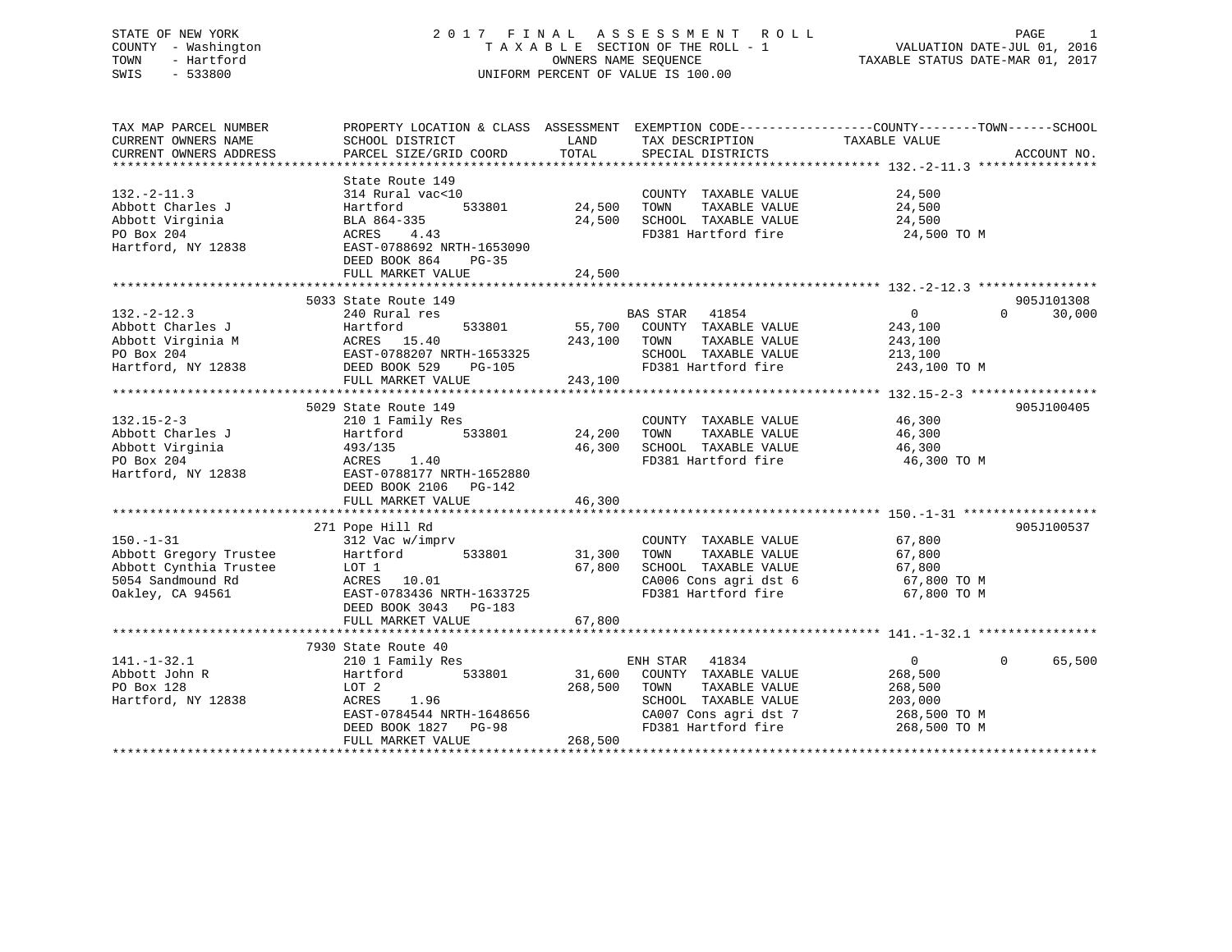# STATE OF NEW YORK 2 0 1 7 F I N A L A S S E S S M E N T R O L L PAGE 1 COUNTY - Washington T A X A B L E SECTION OF THE ROLL - 1 VALUATION DATE-JUL 01, 2016 TOWN - Hartford OWNERS NAME SEQUENCE TAXABLE STATUS DATE-MAR 01, 2017 SWIS - 533800 UNIFORM PERCENT OF VALUE IS 100.00

| TAX MAP PARCEL NUMBER<br>CURRENT OWNERS NAME | PROPERTY LOCATION & CLASS ASSESSMENT EXEMPTION CODE---------------COUNTY-------TOWN------SCHOOL<br>SCHOOL DISTRICT      | LAND               | TAX DESCRIPTION                             | TAXABLE VALUE           |             |
|----------------------------------------------|-------------------------------------------------------------------------------------------------------------------------|--------------------|---------------------------------------------|-------------------------|-------------|
| CURRENT OWNERS ADDRESS                       | PARCEL SIZE/GRID COORD                                                                                                  | TOTAL              | SPECIAL DISTRICTS                           |                         | ACCOUNT NO. |
|                                              |                                                                                                                         |                    |                                             |                         |             |
|                                              | State Route 149                                                                                                         |                    |                                             |                         |             |
| $132 - 2 - 11.3$                             | 314 Rural vac<10                                                                                                        |                    | COUNTY TAXABLE VALUE                        | 24,500                  |             |
| Abbott Charles J                             | 533801<br>Hartford                                                                                                      | 24,500             | TOWN<br>TAXABLE VALUE                       | 24,500                  |             |
| Abbott Virginia                              | BLA 864-335                                                                                                             | 24,500             | SCHOOL TAXABLE VALUE                        | 24,500                  |             |
| PO Box 204                                   | ACRES 4.43                                                                                                              |                    | FD381 Hartford fire                         | 24,500 TO M             |             |
| Hartford, NY 12838                           | EAST-0788692 NRTH-1653090                                                                                               |                    |                                             |                         |             |
|                                              | DEED BOOK 864<br>PG-35                                                                                                  |                    |                                             |                         |             |
|                                              | FULL MARKET VALUE                                                                                                       | 24,500             |                                             |                         |             |
|                                              |                                                                                                                         |                    |                                             |                         |             |
|                                              | 5033 State Route 149                                                                                                    |                    |                                             | $\Omega$                | 905J101308  |
| $132 - 2 - 12.3$                             | 240 Rural res<br>533801                                                                                                 |                    | BAS STAR 41854                              | $\overline{0}$          | 30,000      |
|                                              |                                                                                                                         |                    | 55,700 COUNTY TAXABLE VALUE<br>243,100 TOWN | 243,100                 |             |
|                                              |                                                                                                                         |                    | TAXABLE VALUE<br>SCHOOL TAXABLE VALUE       | 243,100                 |             |
|                                              | Abbott Charles J<br>Abbott Virginia M<br>PO Box 204<br>Hartford, NY 12838<br>Hartford, NY 12838<br>DEED BOOK 529 PG-105 |                    | FD381 Hartford fire                         | 213,100<br>243,100 TO M |             |
|                                              | FULL MARKET VALUE                                                                                                       | 243,100            |                                             |                         |             |
|                                              |                                                                                                                         |                    |                                             |                         |             |
|                                              | 5029 State Route 149                                                                                                    |                    |                                             |                         | 905J100405  |
| $132.15 - 2 - 3$                             | 210 1 Family Res                                                                                                        |                    | COUNTY TAXABLE VALUE                        | 46,300                  |             |
| Abbott Charles J                             | Hartford                                                                                                                | 533801 24,200 TOWN | TAXABLE VALUE                               | 46,300                  |             |
| Abbott Virginia                              | 493/135                                                                                                                 |                    | 46,300 SCHOOL TAXABLE VALUE 46,300          |                         |             |
| PO Box 204                                   | $35$ 1.40<br>ACRES                                                                                                      |                    | FD381 Hartford fire                         | 46,300 TO M             |             |
| Hartford, NY 12838                           | EAST-0788177 NRTH-1652880                                                                                               |                    |                                             |                         |             |
|                                              | DEED BOOK 2106 PG-142                                                                                                   |                    |                                             |                         |             |
|                                              | FULL MARKET VALUE                                                                                                       | 46,300             |                                             |                         |             |
|                                              |                                                                                                                         |                    |                                             |                         |             |
|                                              | 271 Pope Hill Rd                                                                                                        |                    |                                             |                         | 905J100537  |
| $150. - 1 - 31$                              | 312 Vac w/imprv                                                                                                         |                    | COUNTY TAXABLE VALUE                        | 67,800                  |             |
| Abbott Gregory Trustee                       | 533801 31,300 TOWN<br>Hartford                                                                                          |                    | TAXABLE VALUE                               |                         |             |
| Abbott Cynthia Trustee                       |                                                                                                                         | 67,800             | SCHOOL TAXABLE VALUE                        | 67,800                  |             |
| 5054 Sandmound Rd                            | LOT 1<br>ACRES 10.01                                                                                                    |                    | CA006 Cons agri dst 6                       | 67,800 TO M             |             |
| Oakley, CA 94561                             | EAST-0783436 NRTH-1633725                                                                                               |                    | FD381 Hartford fire                         | 67,800 TO M             |             |
|                                              | DEED BOOK 3043 PG-183                                                                                                   |                    |                                             |                         |             |
|                                              | FULL MARKET VALUE                                                                                                       | 67,800             |                                             |                         |             |
|                                              |                                                                                                                         |                    |                                             |                         |             |
|                                              | 7930 State Route 40                                                                                                     |                    |                                             |                         |             |
| $141. - 1 - 32.1$                            | 210 1 Family Res                                                                                                        |                    | ENH STAR 41834                              | $\Omega$<br>$\Omega$    | 65,500      |
| Abbott John R                                | 533801<br>Hartford                                                                                                      |                    | 31,600 COUNTY TAXABLE VALUE                 | 268,500                 |             |
| PO Box 128                                   | LOT 2                                                                                                                   | 268,500            | TOWN<br>TAXABLE VALUE                       | 268,500                 |             |
| Hartford, NY 12838                           | ACRES 1.96                                                                                                              |                    | SCHOOL TAXABLE VALUE                        | 203,000                 |             |
|                                              | EAST-0784544 NRTH-1648656                                                                                               |                    | CA007 Cons agri dst 7                       | 268,500 TO M            |             |
|                                              | DEED BOOK 1827 PG-98                                                                                                    |                    | FD381 Hartford fire 268,500 TO M            |                         |             |
|                                              | FULL MARKET VALUE                                                                                                       | 268,500            |                                             |                         |             |
|                                              |                                                                                                                         |                    |                                             |                         |             |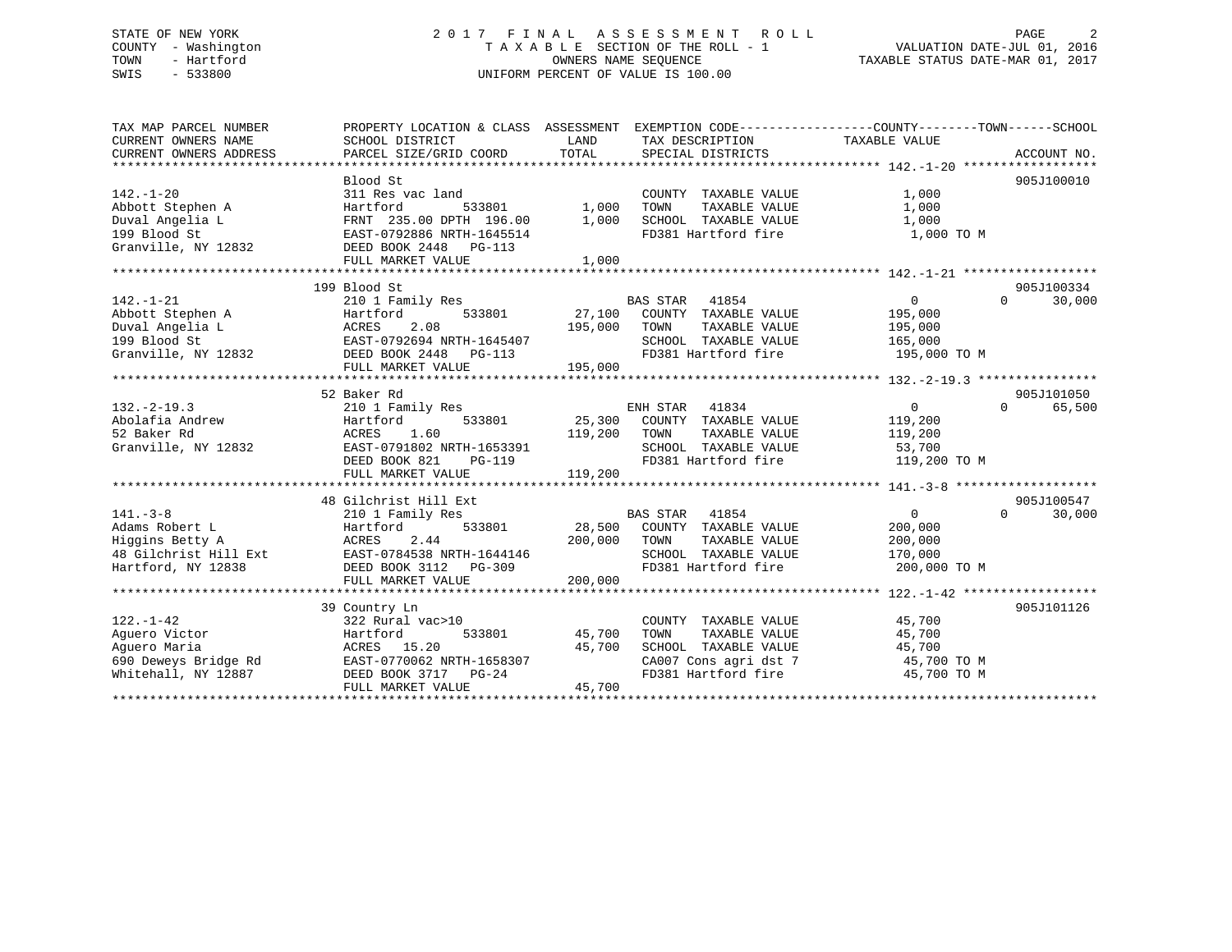# STATE OF NEW YORK 2 0 1 7 F I N A L A S S E S S M E N T R O L L PAGE 2 COUNTY - Washington T A X A B L E SECTION OF THE ROLL - 1 VALUATION DATE-JUL 01, 2016 TOWN - Hartford OWNERS NAME SEQUENCE TAXABLE STATUS DATE-MAR 01, 2017 SWIS - 533800 UNIFORM PERCENT OF VALUE IS 100.00

| TAX MAP PARCEL NUMBER  | PROPERTY LOCATION & CLASS ASSESSMENT EXEMPTION CODE---------------COUNTY-------TOWN-----SCHOOL |                |                             |                |                    |
|------------------------|------------------------------------------------------------------------------------------------|----------------|-----------------------------|----------------|--------------------|
| CURRENT OWNERS NAME    | SCHOOL DISTRICT                                                                                | LAND           | TAX DESCRIPTION             | TAXABLE VALUE  |                    |
| CURRENT OWNERS ADDRESS |                                                                                                |                |                             |                |                    |
|                        |                                                                                                |                |                             |                | 905J100010         |
| $142. - 1 - 20$        | Blood St<br>311 Res vac land                                                                   |                | COUNTY TAXABLE VALUE        | 1,000          |                    |
| Abbott Stephen A       | Hartford<br>533801                                                                             |                | TAXABLE VALUE<br>TOWN       | 1,000          |                    |
| Duval Angelia L        | FRNT 235.00 DPTH 196.00                                                                        | 1,000<br>1,000 | SCHOOL TAXABLE VALUE        | 1,000          |                    |
| 199 Blood St           | EAST-0792886 NRTH-1645514                                                                      |                | FD381 Hartford fire         | 1,000 TO M     |                    |
| Granville, NY 12832    | DEED BOOK 2448 PG-113                                                                          |                |                             |                |                    |
|                        | FULL MARKET VALUE                                                                              | 1,000          |                             |                |                    |
|                        |                                                                                                |                |                             |                |                    |
|                        | 199 Blood St                                                                                   |                |                             |                | 905J100334         |
| $142. - 1 - 21$        | 210 1 Family Res                                                                               |                | BAS STAR<br>41854           | 0              | 30,000<br>$\Omega$ |
| Abbott Stephen A       | Hartford<br>533801                                                                             | 27,100         | COUNTY TAXABLE VALUE        | 195,000        |                    |
| Duval Angelia L        | 2.08<br>ACRES                                                                                  | 195,000        | TOWN<br>TAXABLE VALUE       | 195,000        |                    |
| 199 Blood St           |                                                                                                |                | SCHOOL TAXABLE VALUE        | 165,000        |                    |
| Granville, NY 12832    |                                                                                                |                | FD381 Hartford fire         | 195,000 TO M   |                    |
|                        | FULL MARKET VALUE                                                                              | 195,000        |                             |                |                    |
|                        |                                                                                                |                |                             |                |                    |
|                        | 52 Baker Rd                                                                                    |                |                             |                | 905J101050         |
| $132. - 2 - 19.3$      | 210 1 Family Res                                                                               |                | ENH STAR 41834              | $\overline{0}$ | $\Omega$<br>65,500 |
| Abolafia Andrew        | 533801<br>Hartford                                                                             | 25,300         | COUNTY TAXABLE VALUE        | 119,200        |                    |
| 52 Baker Rd            | ACRES<br>1.60                                                                                  | 119,200        | TOWN<br>TAXABLE VALUE       | 119,200        |                    |
| Granville, NY 12832    | EAST-0791802 NRTH-1653391                                                                      |                | SCHOOL TAXABLE VALUE        | 53,700         |                    |
|                        | DEED BOOK 821<br>$PG-119$                                                                      |                | FD381 Hartford fire         | 119,200 TO M   |                    |
|                        | FULL MARKET VALUE                                                                              | 119,200        |                             |                |                    |
|                        |                                                                                                |                |                             |                |                    |
|                        | 48 Gilchrist Hill Ext                                                                          |                |                             |                | 905J100547         |
| $141. - 3 - 8$         | 210 1 Family Res                                                                               |                | BAS STAR 41854              | 0              | $\Omega$<br>30,000 |
| Adams Robert L         | 533801<br>Hartford                                                                             |                | 28,500 COUNTY TAXABLE VALUE | 200,000        |                    |
| Higgins Betty A        | 2.44<br>ACRES                                                                                  | 200,000        | TOWN<br>TAXABLE VALUE       | 200,000        |                    |
|                        |                                                                                                |                | SCHOOL TAXABLE VALUE        | 170,000        |                    |
| Hartford, NY 12838     | DEED BOOK 3112 PG-309                                                                          |                | FD381 Hartford fire         | 200,000 TO M   |                    |
|                        | FULL MARKET VALUE                                                                              | 200,000        |                             |                |                    |
|                        |                                                                                                |                |                             |                |                    |
|                        | 39 Country Ln                                                                                  |                |                             |                | 905J101126         |
| $122. - 1 - 42$        | 322 Rural vac>10                                                                               |                | COUNTY TAXABLE VALUE        | 45,700         |                    |
| Aquero Victor          | Hartford<br>533801                                                                             | 45,700         | TOWN<br>TAXABLE VALUE       | 45,700         |                    |
| Aquero Maria           | ACRES 15.20                                                                                    | 45,700         | SCHOOL TAXABLE VALUE        | 45,700         |                    |
| 690 Deweys Bridge Rd   | EAST-0770062 NRTH-1658307                                                                      |                | CA007 Cons agri dst 7       | 45,700 TO M    |                    |
| Whitehall, NY 12887    | DEED BOOK 3717 PG-24                                                                           |                | FD381 Hartford fire         | 45,700 TO M    |                    |
|                        | FULL MARKET VALUE                                                                              | 45,700         |                             |                |                    |
|                        |                                                                                                |                |                             |                |                    |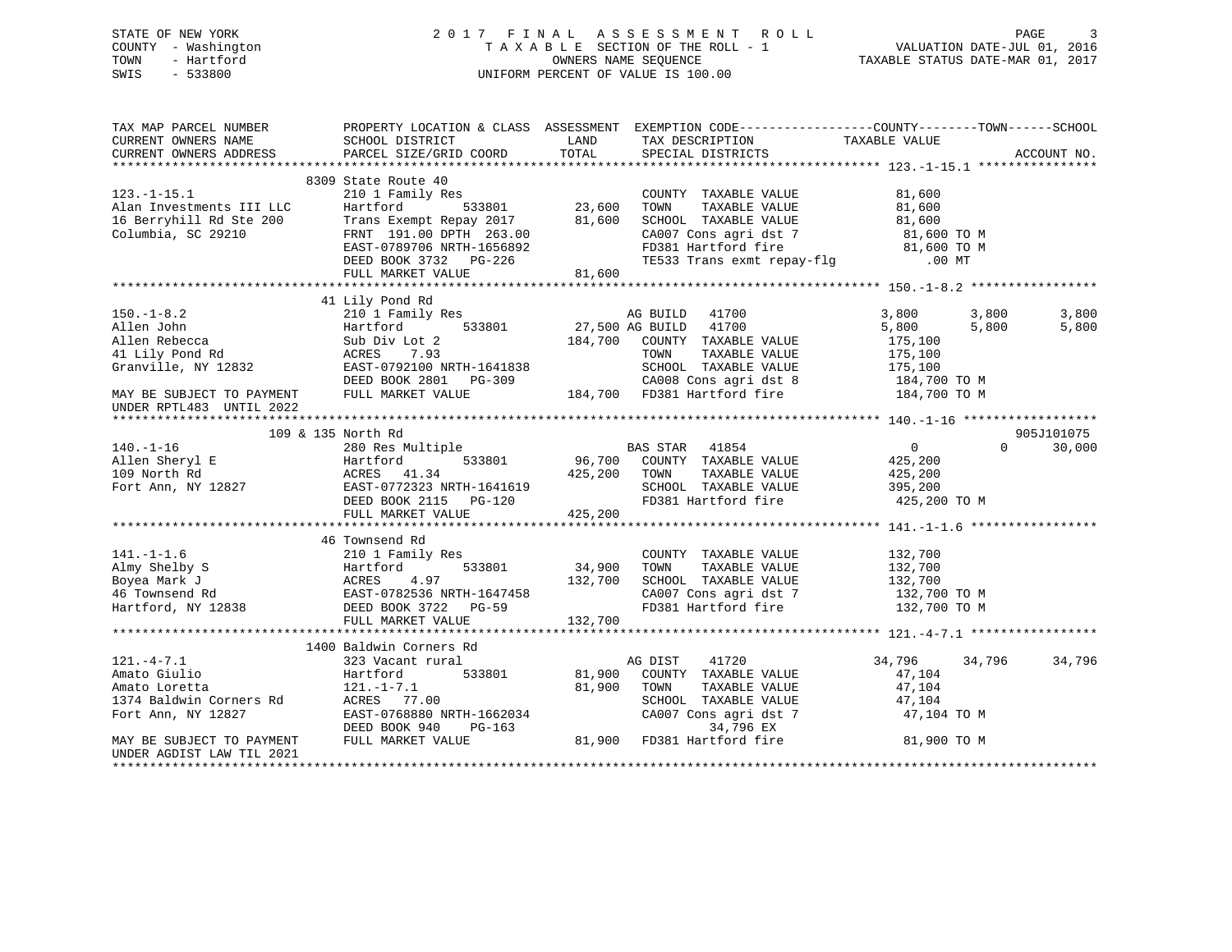# STATE OF NEW YORK 2 0 1 7 F I N A L A S S E S S M E N T R O L L PAGE 3 COUNTY - Washington T A X A B L E SECTION OF THE ROLL - 1 VALUATION DATE-JUL 01, 2016 TOWN - Hartford **TAXABLE STATUS DATE-MAR 01, 2017** SWIS - 533800 UNIFORM PERCENT OF VALUE IS 100.00

| TAX MAP PARCEL NUMBER<br>CURRENT OWNERS NAME<br>CURRENT OWNERS ADDRESS                            | SCHOOL DISTRICT<br>PARCEL SIZE/GRID COORD                                                                                                                                                      | PROPERTY LOCATION & CLASS ASSESSMENT EXEMPTION CODE----------------COUNTY-------TOWN------SCHOOL<br>LAND<br>TAX DESCRIPTION<br>TOTAL<br>SPECIAL DISTRICTS                                         | TAXABLE VALUE<br>ACCOUNT NO.                                                      |                |
|---------------------------------------------------------------------------------------------------|------------------------------------------------------------------------------------------------------------------------------------------------------------------------------------------------|---------------------------------------------------------------------------------------------------------------------------------------------------------------------------------------------------|-----------------------------------------------------------------------------------|----------------|
| $123. - 1 - 15.1$<br>Alan Investments III LLC<br>16 Berryhill Rd Ste 200<br>Columbia, SC 29210    | 8309 State Route 40<br>210 1 Family Res<br>533801<br>Hartford<br>Trans Exempt Repay 2017<br>FRNT 191.00 DPTH 263.00<br>EAST-0789706 NRTH-1656892<br>DEED BOOK 3732 PG-226<br>FULL MARKET VALUE | $\frac{13801}{23,600}$<br>COUNTY TAXABLE VALUE<br>TOWN<br>TAXABLE VALUE<br>81,600<br>SCHOOL TAXABLE VALUE<br>CA007 Cons agri dst 7<br>FD381 Hartford fire<br>TE533 Trans exmt repay-flg<br>81,600 | 81,600<br>81,600<br>81,600<br>81,600 TO M<br>81,600 TO M<br>$.00$ MT              |                |
| $150. - 1 - 8.2$<br>Allen John<br>Allen Rebecca<br>41 Lily Pond Rd<br>Granville, NY 12832         | 41 Lily Pond Rd<br>210 1 Family Res<br>533801<br>Hartford<br>Sub Div Lot 2<br>ACRES<br>7.93<br>EAST-0792100 NRTH-1641838<br>DEED BOOK 2801 PG-309                                              | AG BUILD 41700<br>27,500 AG BUILD<br>41700<br>184,700 COUNTY TAXABLE VALUE<br>TAXABLE VALUE<br>TOWN<br>SCHOOL TAXABLE VALUE<br>CA008 Cons agri dst 8                                              | 3,800<br>3,800<br>5,800<br>5,800<br>175,100<br>175,100<br>175,100<br>184,700 TO M | 3,800<br>5,800 |
| MAY BE SUBJECT TO PAYMENT<br>UNDER RPTL483 UNTIL 2022                                             | FULL MARKET VALUE                                                                                                                                                                              | 184,700 FD381 Hartford fire                                                                                                                                                                       | 184,700 TO M                                                                      |                |
|                                                                                                   | 109 & 135 North Rd                                                                                                                                                                             |                                                                                                                                                                                                   | 905J101075                                                                        |                |
| $140. - 1 - 16$<br>Allen Sheryl E<br>109 North Rd<br>Fort Ann, NY 12827                           | 280 Res Multiple<br>533801<br>Hartford<br>ACRES 41.34<br>EAST-0772323 NRTH-1641619<br>DEED BOOK 2115 PG-120<br>FULL MARKET VALUE                                                               | BAS STAR 41854<br>96,700 COUNTY TAXABLE VALUE<br>---- ---- ---- ---- TAXABLE VALUE<br>425,200<br>TAXABLE VALUE<br>TOWN<br>SCHOOL TAXABLE VALUE<br>FD381 Hartford fire<br>425,200                  | $\overline{0}$<br>$\Omega$<br>425,200<br>425,200<br>395,200<br>425,200 TO M       | 30,000         |
|                                                                                                   |                                                                                                                                                                                                |                                                                                                                                                                                                   |                                                                                   |                |
| $141. - 1 - 1.6$<br>Almy Shelby S<br>Boyea Mark J<br>46 Townsend Rd<br>Hartford, NY 12838         | 46 Townsend Rd<br>210 1 Family Res<br>Hartford<br>533801<br>ACRES<br>4.97<br>EAST-0782536 NRTH-1647458<br>DEED BOOK 3722 PG-59                                                                 | COUNTY TAXABLE VALUE<br>34,900<br>TAXABLE VALUE<br>TOWN<br>132,700<br>SCHOOL TAXABLE VALUE<br>CA007 Cons agri dst 7<br>FD381 Hartford fire                                                        | 132,700<br>132,700<br>132,700<br>132,700 TO M<br>132,700 TO M                     |                |
|                                                                                                   | FULL MARKET VALUE                                                                                                                                                                              | 132,700                                                                                                                                                                                           |                                                                                   |                |
|                                                                                                   |                                                                                                                                                                                                |                                                                                                                                                                                                   |                                                                                   |                |
| $121. -4 - 7.1$<br>Amato Giulio<br>Amato Loretta<br>1374 Baldwin Corners Rd<br>Fort Ann, NY 12827 | 1400 Baldwin Corners Rd<br>323 Vacant rural<br>533801<br>Hartford<br>121.-1-7.1<br>ACRES 77.00<br>EAST-0768880 NRTH-1662034<br>DEED BOOK 940<br>PG-163                                         | AG DIST<br>41720<br>81,900<br>COUNTY TAXABLE VALUE<br>81,900<br>TOWN<br>TAXABLE VALUE<br>SCHOOL TAXABLE VALUE<br>CA007 Cons agri dst 7<br>34,796 EX                                               | 34,796<br>34,796<br>47,104<br>47,104<br>47,104<br>47,104 TO M                     | 34,796         |
| MAY BE SUBJECT TO PAYMENT<br>UNDER AGDIST LAW TIL 2021                                            | FULL MARKET VALUE                                                                                                                                                                              | 81,900 FD381 Hartford fire                                                                                                                                                                        | 81,900 TO M                                                                       |                |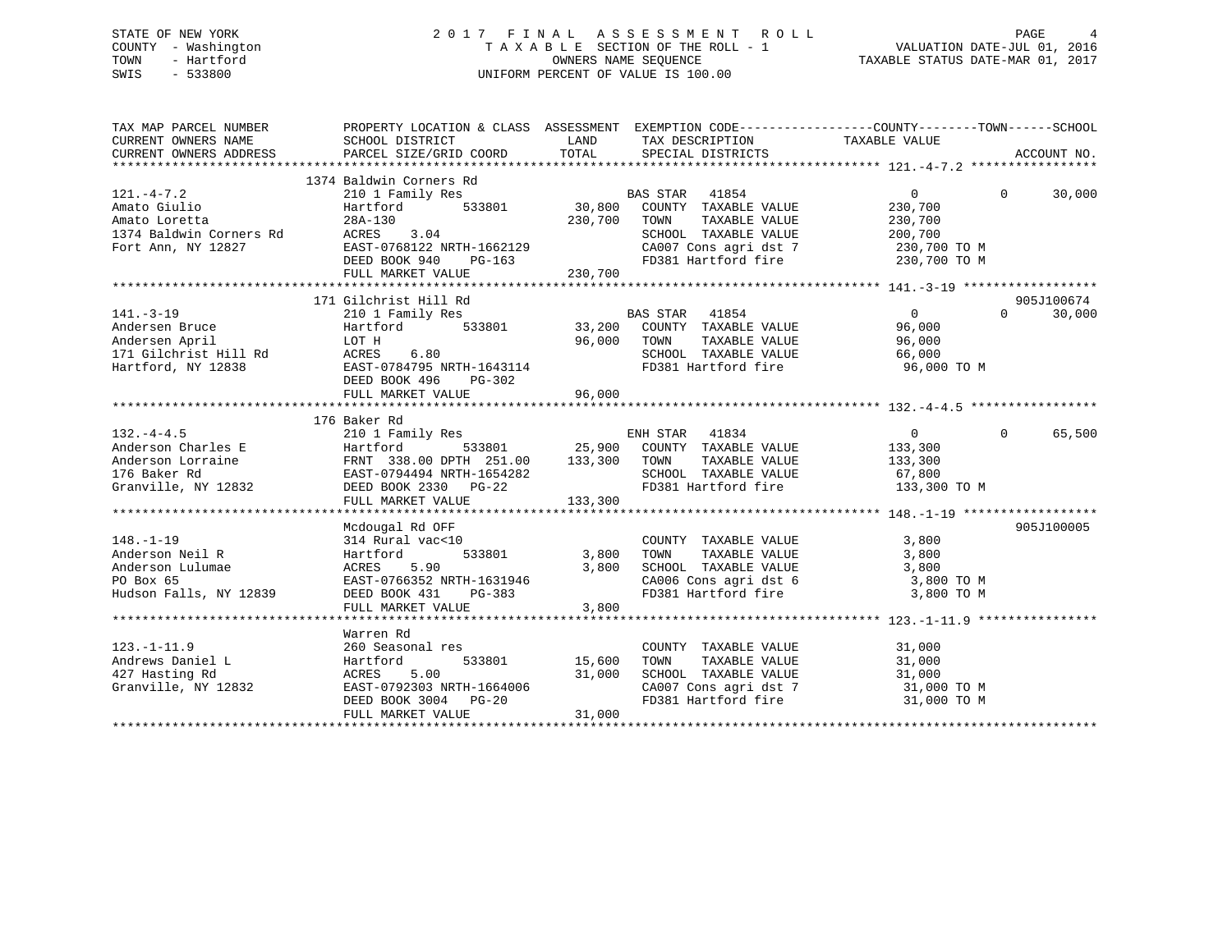# STATE OF NEW YORK 2 0 1 7 F I N A L A S S E S S M E N T R O L L PAGE 4 COUNTY - Washington T A X A B L E SECTION OF THE ROLL - 1 VALUATION DATE-JUL 01, 2016 TOWN - Hartford **TAXABLE STATUS DATE-MAR 01, 2017** SWIS - 533800 UNIFORM PERCENT OF VALUE IS 100.00

| TAX MAP PARCEL NUMBER                                                                             |                                                                                                                                                                                                                                                    |                                                                                                                                                                                   | PROPERTY LOCATION & CLASS ASSESSMENT EXEMPTION CODE---------------COUNTY-------TOWN-----SCHOOL                                                   |
|---------------------------------------------------------------------------------------------------|----------------------------------------------------------------------------------------------------------------------------------------------------------------------------------------------------------------------------------------------------|-----------------------------------------------------------------------------------------------------------------------------------------------------------------------------------|--------------------------------------------------------------------------------------------------------------------------------------------------|
| $121. -4 - 7.2$<br>Amato Giulio<br>Amato Loretta<br>1374 Baldwin Corners Rd<br>Fort Ann, NY 12827 | 1374 Baldwin Corners Rd<br>210 1 Family Res<br>Hartford<br>Hartford<br>28A-130<br>ACRES<br>EAST-0<br>3.04<br>EAST-0768122 NRTH-1662129<br>DEED BOOK 940 PG-163                                                                                     | BAS STAR<br>41854<br>533801 30,800 COUNTY TAXABLE VALUE<br>230,700<br>TOWN<br>TAXABLE VALUE<br>SCHOOL TAXABLE VALUE<br>CA007 Cons agri dst 7<br>FD381 Hartford fire               | $\Omega$<br>$\Omega$<br>30,000<br>230,700<br>230,700<br>200,700<br>230,700 TO M<br>230,700 TO M                                                  |
|                                                                                                   | 171 Gilchrist Hill Rd                                                                                                                                                                                                                              |                                                                                                                                                                                   | 905J100674                                                                                                                                       |
| $141. - 3 - 19$<br>141.-3-19<br>Andersen Bruce<br>Andersen April                                  | LOT H<br>171 Gilchrist Hill Rd               ACRES       6.80<br>Hartford, NY 12838                     EAST-0784795 NRTH-1643114<br>DEED BOOK 496<br>PG-302<br>FULL MARKET VALUE                                                                  | 96,000<br>TOWN<br>FD381 Hartford fire<br>96,000                                                                                                                                   | $\overline{0}$<br>$\Omega$<br>30,000<br>96,000<br>TAXABLE VALUE<br>96,000<br>66,000<br>96,000 TO M                                               |
|                                                                                                   | 176 Baker Rd                                                                                                                                                                                                                                       |                                                                                                                                                                                   |                                                                                                                                                  |
|                                                                                                   | 210 1 Family Res<br>132.-4-4.5<br>Anderson Charles E (1994)<br>Anderson Lorraine (1994)<br>EAST-0794494 NRTH-1654282 (1993)<br>TOM (1994)<br>EAST-0794494 NRTH-1654282 (1993)<br>PG-22 (1993)<br>PG-22 (1993)<br>PG-22 (1993)<br>FULL MARKET VALUE | ENH STAR 41834<br>533801 25,900 COUNTY TAXABLE VALUE<br>133,300                                                                                                                   | $\overline{0}$<br>65,500<br>$\Omega$<br>133,300<br>TOWN TAXABLE VALUE 133,300<br>SCHOOL TAXABLE VALUE 67,800<br>FD381 Hartford fire 133,300 TO M |
|                                                                                                   | Mcdougal Rd OFF                                                                                                                                                                                                                                    |                                                                                                                                                                                   | 905J100005                                                                                                                                       |
| $148. - 1 - 19$<br>Anderson Neil R<br>Anderson Lulumae<br>PO Box 65<br>Hudson Falls, NY 12839     | 314 Rural vac<10<br>Hartford<br>5.90<br>ACRES<br>EAST-0766352 NRTH-1631946<br>DEED BOOK 431<br>PG-383<br>FULL MARKET VALUE                                                                                                                         | COUNTY TAXABLE VALUE<br>TOWN TAXABLE VALUE<br>533801 3,800<br>3,800<br>SCHOOL TAXABLE VALUE<br>CA006 Cons agri dst 6<br>FD381 Hartford fire<br>3,800                              | 3,800<br>3,800<br>3,800<br>3,800 TO M<br>3,800 TO M                                                                                              |
|                                                                                                   |                                                                                                                                                                                                                                                    |                                                                                                                                                                                   |                                                                                                                                                  |
| $123. - 1 - 11.9$<br>Andrews Daniel L<br>427 Hasting Rd<br>Granville, NY 12832                    | Warren Rd<br>260 Seasonal res<br>Hartford<br>ACRES<br>5.00<br>EAST-0792303 NRTH-1664006<br>DEED BOOK 3004 PG-20<br>FULL MARKET VALUE                                                                                                               | COUNTY TAXABLE VALUE<br>533801 15,600<br>TOWN<br>TAXABLE VALUE<br>31,000<br>SCHOOL TAXABLE VALUE<br>CA007 Cons agri dst 7<br>ED381 Hartford fire<br>FD381 Hartford fire<br>31,000 | 31,000<br>31,000<br>31,000<br>31,000 TO M<br>31,000 TO M                                                                                         |
|                                                                                                   |                                                                                                                                                                                                                                                    |                                                                                                                                                                                   |                                                                                                                                                  |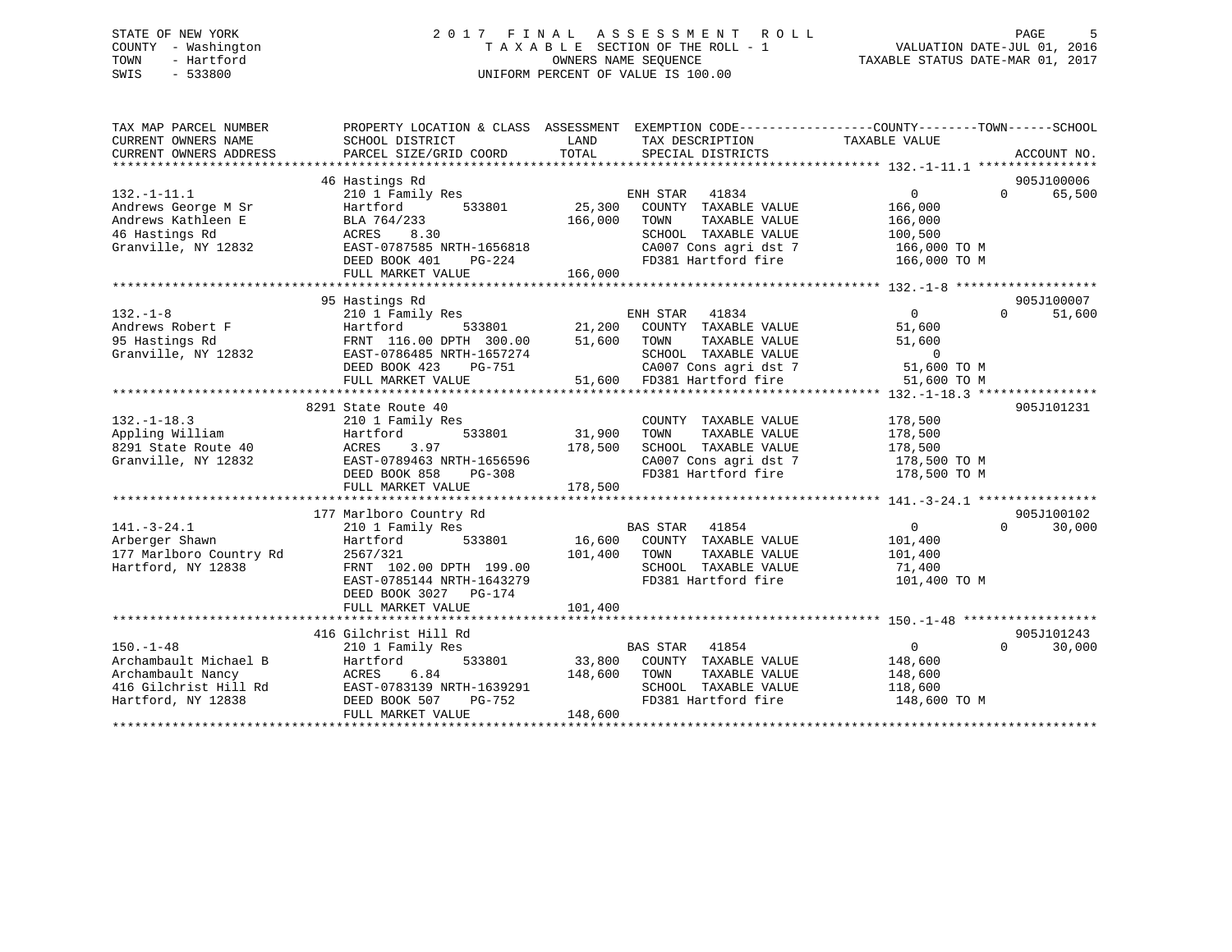# STATE OF NEW YORK 2 0 1 7 F I N A L A S S E S S M E N T R O L L PAGE 5 COUNTY - Washington T A X A B L E SECTION OF THE ROLL - 1 VALUATION DATE-JUL 01, 2016 TOWN - Hartford **TAXABLE STATUS DATE-MAR 01, 2017** SWIS - 533800 UNIFORM PERCENT OF VALUE IS 100.00

| TAX MAP PARCEL NUMBER<br>CURRENT OWNERS NAME<br>CURRENT OWNERS ADDRESS                                       | SCHOOL DISTRICT<br>PARCEL SIZE/GRID COORD                                                                                                                                           | LAND<br>TAX DESCRIPTION<br>TOTAL<br>SPECIAL DISTRICTS                                                                                                                                             | PROPERTY LOCATION & CLASS ASSESSMENT EXEMPTION CODE---------------COUNTY-------TOWN------SCHOOL<br>TAXABLE VALUE<br>ACCOUNT NO. |
|--------------------------------------------------------------------------------------------------------------|-------------------------------------------------------------------------------------------------------------------------------------------------------------------------------------|---------------------------------------------------------------------------------------------------------------------------------------------------------------------------------------------------|---------------------------------------------------------------------------------------------------------------------------------|
| $132. - 1 - 11.1$<br>Andrews George M Sr<br>Andrews Kathleen E<br>46 Hastings Rd<br>Granville, NY 12832      | 46 Hastings Rd<br>210 1 Family Res<br>Hartford<br>533801<br>BLA 764/233<br>ACRES<br>8.30<br>EAST-0787585 NRTH-1656818<br>$PG-224$<br>DEED BOOK 401<br>FULL MARKET VALUE             | ENH STAR<br>41834<br>25,300<br>COUNTY TAXABLE VALUE<br>166,000<br>TOWN<br>TAXABLE VALUE<br>SCHOOL TAXABLE VALUE<br>CA007 Cons agri dst 7<br>Theod Hartford fire<br>FD381 Hartford fire<br>166,000 | 905J100006<br>$\overline{0}$<br>$\Omega$<br>65,500<br>166,000<br>166,000<br>100,500<br>166,000 TO M<br>166,000 TO M             |
|                                                                                                              |                                                                                                                                                                                     |                                                                                                                                                                                                   |                                                                                                                                 |
| $132. - 1 - 8$<br>Andrews Robert F<br>95 Hastings Rd<br>Granville, NY 12832                                  | 95 Hastings Rd<br>210 1 Family Res<br>533801<br>Hartford<br>FRNT 116.00 DPTH 300.00<br>EAST-0786485 NRTH-1657274<br>DEED BOOK 423<br>PG-751<br>FULL MARKET VALUE                    | ENH STAR 41834<br>21,200 COUNTY TAXABLE VALUE<br>51,600<br>TAXABLE VALUE<br>TOWN<br>SCHOOL TAXABLE VALUE<br>$CAO07$ Cons agri dst $7$<br>51,600 FD381 Hartford fire                               | 905J100007<br>$0 \qquad \qquad$<br>$\Omega$<br>51,600<br>51,600<br>51,600<br>$\Omega$<br>51,600 TO M<br>51,600 TO M             |
|                                                                                                              |                                                                                                                                                                                     |                                                                                                                                                                                                   |                                                                                                                                 |
| $132. - 1 - 18.3$<br>Appling William<br>8291 State Route 40<br>Granville, NY 12832                           | 8291 State Route 40<br>210 1 Family Res<br>533801<br>Hartford<br>3.97<br>ACRES<br>EAST-0789463 NRTH-1656596<br>DEED BOOK 858<br>PG-308                                              | COUNTY TAXABLE VALUE<br>31,900<br>TAXABLE VALUE<br>TOWN<br>178,500<br>SCHOOL TAXABLE VALUE<br>CA007 Cons agri dst 7<br>FD381 Hartford fire                                                        | 905J101231<br>178,500<br>178,500<br>178,500<br>178,500 TO M<br>178,500 TO M                                                     |
|                                                                                                              | FULL MARKET VALUE                                                                                                                                                                   | 178,500                                                                                                                                                                                           |                                                                                                                                 |
|                                                                                                              |                                                                                                                                                                                     |                                                                                                                                                                                                   | 905J100102                                                                                                                      |
| $141. - 3 - 24.1$<br>Arberger Shawn<br>177 Marlboro Country Rd<br>Hartford, NY 12838                         | 177 Marlboro Country Rd<br>210 1 Family Res<br>533801<br>Hartford<br>2567/321<br>FRNT 102.00 DPTH 199.00<br>EAST-0785144 NRTH-1643279<br>DEED BOOK 3027 PG-174<br>FULL MARKET VALUE | BAS STAR<br>41854<br>16,600 COUNTY TAXABLE VALUE<br>101,400<br>TOWN<br>TAXABLE VALUE<br>SCHOOL TAXABLE VALUE<br>FD381 Hartford fire<br>101,400                                                    | $\overline{0}$<br>30,000<br>$\Omega$<br>101,400<br>101,400<br>71,400<br>101,400 TO M                                            |
|                                                                                                              |                                                                                                                                                                                     |                                                                                                                                                                                                   |                                                                                                                                 |
|                                                                                                              | 416 Gilchrist Hill Rd                                                                                                                                                               |                                                                                                                                                                                                   | 905J101243                                                                                                                      |
| $150. - 1 - 48$<br>Archambault Michael B<br>Archambault Nancy<br>416 Gilchrist Hill Rd<br>Hartford, NY 12838 | 210 1 Family Res<br>533801<br>Hartford<br>6.84<br>ACRES<br>EAST-0783139 NRTH-1639291<br>PG-752<br>DEED BOOK 507<br>FULL MARKET VALUE                                                | BAS STAR 41854<br>33,800 COUNTY TAXABLE VALUE<br>148,600<br>TOWN<br>TAXABLE VALUE<br>SCHOOL TAXABLE VALUE<br>FD381 Hartford fire<br>148,600                                                       | $\Omega$<br>30,000<br>$\Omega$<br>148,600<br>148,600<br>118,600<br>148,600 TO M                                                 |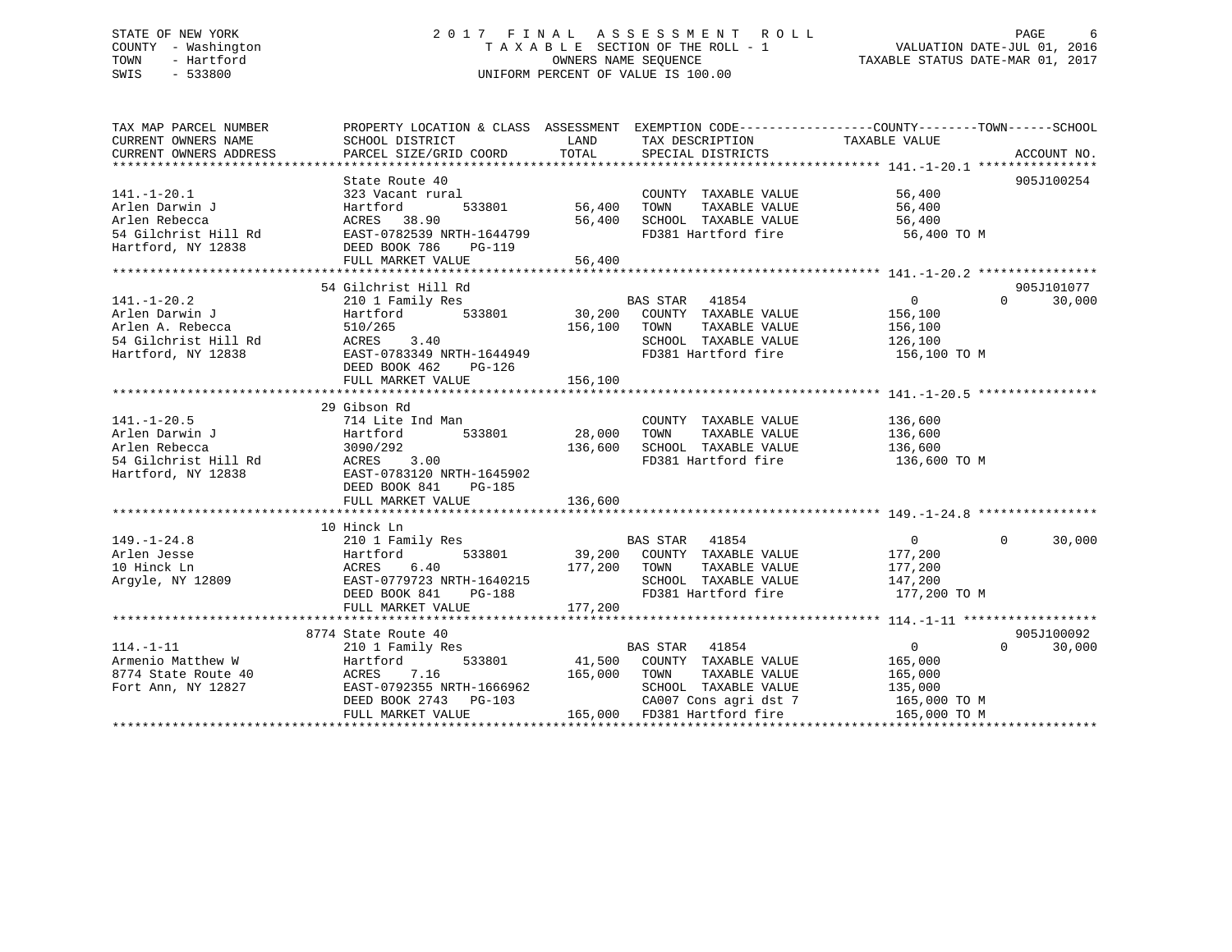# STATE OF NEW YORK 2 0 1 7 F I N A L A S S E S S M E N T R O L L PAGE 6 COUNTY - Washington T A X A B L E SECTION OF THE ROLL - 1 VALUATION DATE-JUL 01, 2016 TOWN - Hartford OWNERS NAME SEQUENCE TAXABLE STATUS DATE-MAR 01, 2017 SWIS - 533800 UNIFORM PERCENT OF VALUE IS 100.00

| TAX MAP PARCEL NUMBER                                  |                                                                                             |               |                                             | PROPERTY LOCATION & CLASS ASSESSMENT EXEMPTION CODE--------------COUNTY-------TOWN------SCHOOL                                                                                      |
|--------------------------------------------------------|---------------------------------------------------------------------------------------------|---------------|---------------------------------------------|-------------------------------------------------------------------------------------------------------------------------------------------------------------------------------------|
| CURRENT OWNERS NAME                                    | SCHOOL DISTRICT                                                                             | LAND          | TAX DESCRIPTION                             | TAXABLE VALUE                                                                                                                                                                       |
|                                                        |                                                                                             |               |                                             |                                                                                                                                                                                     |
|                                                        |                                                                                             |               |                                             | CURRENT OWNERS ADDRESS PARCEL SIZE/GRID COORD TOTAL SPECIAL DISTRICTS AND ACCOUNT NO.<br>TOTAL SPECIAL DISTRICTS ADDRESS PARCEL SIZE/GRID COORD TOTAL SPECIAL DISTRICTS ACCOUNT NO. |
|                                                        | State Route 40                                                                              |               |                                             | 905J100254                                                                                                                                                                          |
| $141. - 1 - 20.1$                                      | 323 Vacant rural                                                                            |               | COUNTY TAXABLE VALUE 56,400                 |                                                                                                                                                                                     |
| Arlen Darwin J                                         | Hartford                                                                                    | 533801 56,400 | TOWN                                        | TAXABLE VALUE 56,400                                                                                                                                                                |
| Arlen Rebecca                                          | ACRES 38.90                                                                                 | 56,400        |                                             |                                                                                                                                                                                     |
|                                                        | 54 Gilchrist Hill Rd EAST-0782539 NRTH-1644799                                              |               | SCHOOL TAXABLE VALUE<br>FD381 Hartford fire | 56,400<br>56,400 TO M                                                                                                                                                               |
| Hartford, NY 12838                                     | DEED BOOK 786<br>PG-119                                                                     |               |                                             |                                                                                                                                                                                     |
|                                                        |                                                                                             |               |                                             |                                                                                                                                                                                     |
|                                                        |                                                                                             |               |                                             |                                                                                                                                                                                     |
|                                                        | 54 Gilchrist Hill Rd                                                                        |               |                                             | 905J101077                                                                                                                                                                          |
| $141. - 1 - 20.2$                                      | 210 1 Family Res                                                                            |               | BAS STAR 41854                              | $\Omega$<br>$\Omega$<br>30,000                                                                                                                                                      |
| Arlen Darwin J                                         | 210 1 Family Res<br>Hartford 533801 30,200 COUNTY TAXABLE VALUE<br>100 COUNTY TAXABLE VALUE |               |                                             | 156,100                                                                                                                                                                             |
| Arlen A. Rebecca                                       |                                                                                             | 156,100       | TOWN<br>TAXABLE VALUE                       | 156,100                                                                                                                                                                             |
| 54 Gilchrist Hill Rd                                   |                                                                                             |               | SCHOOL TAXABLE VALUE                        |                                                                                                                                                                                     |
|                                                        | 510/265<br>ACRES       3.40<br>EAST-0783349 NRTH-1644949                                    |               | FD381 Hartford fire 156,100 TO M            | 126,100                                                                                                                                                                             |
| Hartford, NY 12838                                     |                                                                                             |               |                                             |                                                                                                                                                                                     |
|                                                        | DEED BOOK 462<br>PG-126                                                                     |               |                                             |                                                                                                                                                                                     |
|                                                        | FULL MARKET VALUE                                                                           | 156,100       |                                             |                                                                                                                                                                                     |
|                                                        |                                                                                             |               |                                             |                                                                                                                                                                                     |
|                                                        | 29 Gibson Rd                                                                                |               |                                             |                                                                                                                                                                                     |
| $141. - 1 - 20.5$                                      | 714 Lite Ind Man                                                                            |               | COUNTY TAXABLE VALUE                        | 136,600                                                                                                                                                                             |
| Arlen Darwin J                                         | Hartford 533801 28,000                                                                      |               | TOWN<br>TAXABLE VALUE                       | 136,600                                                                                                                                                                             |
| Arlen Rebecca<br>Arıen Rebecca<br>54 Gilchrist Hill Rd | 3090/292                                                                                    | 136,600       | SCHOOL TAXABLE VALUE                        | 136,600                                                                                                                                                                             |
|                                                        | ACRES 3.00                                                                                  |               | FD381 Hartford fire                         | 136,600 TO M                                                                                                                                                                        |
| Hartford, NY 12838                                     | EAST-0783120 NRTH-1645902                                                                   |               |                                             |                                                                                                                                                                                     |
|                                                        | DEED BOOK 841<br>PG-185                                                                     |               |                                             |                                                                                                                                                                                     |
|                                                        | FULL MARKET VALUE                                                                           | 136,600       |                                             |                                                                                                                                                                                     |
|                                                        |                                                                                             |               |                                             |                                                                                                                                                                                     |
|                                                        | 10 Hinck Ln                                                                                 |               |                                             |                                                                                                                                                                                     |
| $149. - 1 - 24.8$                                      | 210 1 Family Res                                                                            |               | BAS STAR 41854                              | $\overline{0}$<br>30,000<br>$\Omega$                                                                                                                                                |
|                                                        |                                                                                             |               | 533801 39,200 COUNTY TAXABLE VALUE 177,200  |                                                                                                                                                                                     |
|                                                        |                                                                                             | 177,200       | TOWN<br>TAXABLE VALUE                       | 177,200                                                                                                                                                                             |
|                                                        |                                                                                             |               | SCHOOL TAXABLE VALUE                        | 147,200                                                                                                                                                                             |
|                                                        | DEED BOOK 841<br>PG-188                                                                     |               | FD381 Hartford fire                         | 177,200 TO M                                                                                                                                                                        |
|                                                        | FULL MARKET VALUE                                                                           | 177,200       |                                             |                                                                                                                                                                                     |
|                                                        |                                                                                             |               |                                             |                                                                                                                                                                                     |
|                                                        | 8774 State Route 40                                                                         |               |                                             | 905J100092                                                                                                                                                                          |
| $114. - 1 - 11$                                        | blate Route 40<br>210 1 Family Res                                                          |               | BAS STAR 41854                              | $\Omega$<br>$\Omega$<br>30,000                                                                                                                                                      |
| Armenio Matthew W                                      | Hartford                                                                                    |               | 533801 41,500 COUNTY TAXABLE VALUE          | 165,000                                                                                                                                                                             |
| 8774 State Route 40                                    |                                                                                             |               | 165,000 TOWN TAXABLE VALUE                  |                                                                                                                                                                                     |
| Fort Ann, NY 12827                                     |                                                                                             |               | SCHOOL TAXABLE VALUE                        | 165,000<br>135,000                                                                                                                                                                  |
|                                                        | ACRES 7.10<br>EAST-0792355 NRTH-1666962<br>محمد حديث من 103–103<br>DEED BOOK 2743 PG-103    |               | CA007 Cons agri dst 7 165,000 TO M          |                                                                                                                                                                                     |
|                                                        | FULL MARKET VALUE                                                                           |               | 165,000 FD381 Hartford fire                 | 165,000 TO M                                                                                                                                                                        |
|                                                        |                                                                                             |               |                                             |                                                                                                                                                                                     |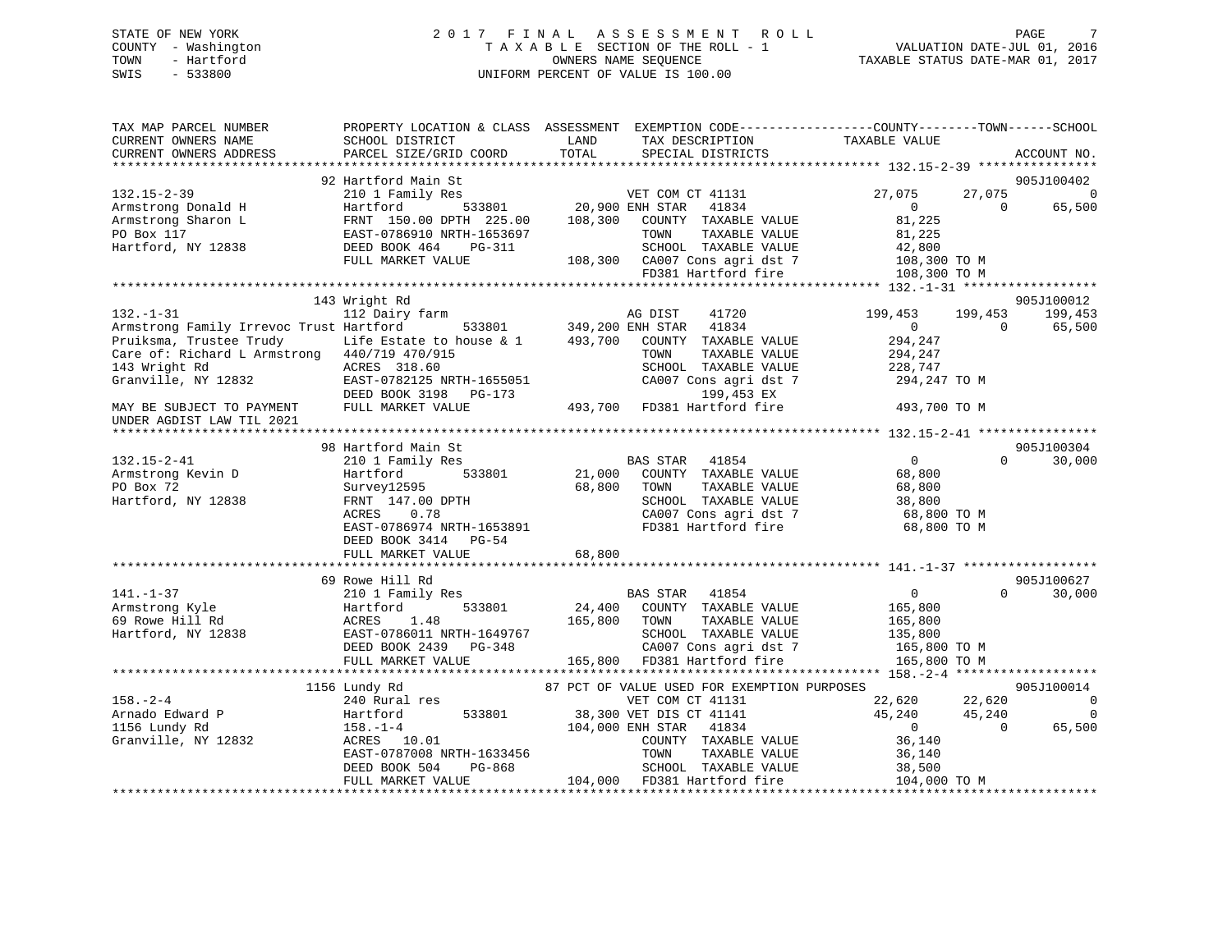# STATE OF NEW YORK 2 0 1 7 F I N A L A S S E S S M E N T R O L L PAGE 7 COUNTY - Washington T A X A B L E SECTION OF THE ROLL - 1 VALUATION DATE-JUL 01, 2016 TOWN - Hartford **TAXABLE STATUS DATE-MAR 01, 2017** SWIS - 533800 UNIFORM PERCENT OF VALUE IS 100.00

| PARCEL SIZE/GRID COORD<br>SPECIAL DISTRICTS<br>ACCOUNT NO.<br>92 Hartford Main St<br>905J100402<br>27,075<br>$132.15 - 2 - 39$<br>210 1 Family Res<br>27,075<br>$\overline{0}$<br>VET COM CT 41131<br>20,900 ENH STAR<br>$\Omega$<br>65,500<br>Armstrong Donald H<br>Hartford<br>533801<br>41834<br>$\Omega$<br>81,225<br>Armstrong Sharon L<br>FRNT 150.00 DPTH 225.00<br>108,300<br>COUNTY TAXABLE VALUE<br>TAXABLE VALUE<br>PO Box 117<br>EAST-0786910 NRTH-1653697<br>81,225<br>TOWN<br>Hartford, NY 12838<br>SCHOOL TAXABLE VALUE<br>DEED BOOK 464<br>PG-311<br>42,800<br>108,300 CA007 Cons agri dst 7<br>FULL MARKET VALUE<br>108,300 TO M<br>FD381 Hartford fire<br>108,300 TO M<br>143 Wright Rd<br>905J100012<br>112 Dairy farm<br>199,453<br>AG DIST<br>41720<br>199,453<br>199,453<br>Armstrong Family Irrevoc Trust Hartford<br>533801<br>349,200 ENH STAR<br>41834<br>65,500<br>$\overline{0}$<br>$\Omega$<br>294,247<br>Pruiksma, Trustee Trudy Life Estate to house & 1<br>493,700<br>COUNTY TAXABLE VALUE<br>Care of: Richard L Armstrong 440/719 470/915<br>TAXABLE VALUE<br>TOWN<br>294,247<br>SCHOOL TAXABLE VALUE<br>ACRES 318.60<br>228,747<br>Granville, NY 12832<br>EAST-0782125 NRTH-1655051<br>CA007 Cons agri dst 7<br>294,247 TO M<br>199,453 EX<br>DEED BOOK 3198<br>$PG-173$<br>493,700 FD381 Hartford fire<br>FULL MARKET VALUE<br>493,700 TO M<br>MAY BE SUBJECT TO PAYMENT<br>905J100304<br>98 Hartford Main St<br>$132.15 - 2 - 41$<br>$\mathbf{0}$<br>$\Omega$<br>30,000<br>210 1 Family Res<br>BAS STAR<br>41854<br>Armstrong Kevin D<br>Hartford<br>533801<br>21,000<br>COUNTY TAXABLE VALUE<br>68,800<br>PO Box 72<br>68,800<br>TAXABLE VALUE<br>Survey12595<br>TOWN<br>68,800<br>Hartford, NY 12838<br>FRNT 147.00 DPTH<br>SCHOOL TAXABLE VALUE<br>38,800<br>ACRES<br>0.78<br>CA007 Cons agri dst 7<br>68,800 TO M<br>FD381 Hartford fire<br>EAST-0786974 NRTH-1653891<br>68,800 TO M<br>DEED BOOK 3414 PG-54<br>68,800<br>FULL MARKET VALUE<br>69 Rowe Hill Rd<br>905J100627<br>$141. - 1 - 37$<br><b>BAS STAR</b><br>41854<br>$\overline{0}$<br>$\Omega$<br>30,000<br>210 1 Family Res<br>Armstrong Kyle<br>Hartford<br>533801<br>24,400 COUNTY TAXABLE VALUE<br>165,800<br>165,800<br>TAXABLE VALUE<br>ACRES<br>1.48<br>TOWN<br>165,800<br>EAST-0786011 NRTH-1649767<br>SCHOOL TAXABLE VALUE<br>135,800<br>DEED BOOK 2439 PG-348<br>CA007 Cons agri dst 7<br>165,800 TO M<br>FD381 Hartford fire<br>FULL MARKET VALUE<br>165,800<br>165,800 TO M<br>***************************<br>905J100014<br>1156 Lundy Rd<br>87 PCT OF VALUE USED FOR EXEMPTION PURPOSES<br>VET COM CT 41131<br>22,620<br>22,620<br>240 Rural res<br>0<br>533801<br>38,300 VET DIS CT 41141<br>45,240<br>$\overline{0}$<br>Hartford<br>45,240<br>104,000 ENH STAR<br>65,500<br>$158. - 1 - 4$<br>41834<br>$\overline{0}$<br>$\Omega$<br>Granville, NY 12832<br>ACRES 10.01<br>COUNTY TAXABLE VALUE<br>36,140<br>EAST-0787008 NRTH-1633456<br>TAXABLE VALUE<br>TOWN<br>36,140<br>PG-868<br>SCHOOL TAXABLE VALUE<br>DEED BOOK 504<br>38,500<br>104,000 FD381 Hartford fire<br>104,000 TO M<br>FULL MARKET VALUE | TAX MAP PARCEL NUMBER<br>CURRENT OWNERS NAME | SCHOOL DISTRICT | PROPERTY LOCATION & CLASS ASSESSMENT EXEMPTION CODE----------------COUNTY-------TOWN------SCHOOL<br>LAND<br>TAX DESCRIPTION | TAXABLE VALUE |
|------------------------------------------------------------------------------------------------------------------------------------------------------------------------------------------------------------------------------------------------------------------------------------------------------------------------------------------------------------------------------------------------------------------------------------------------------------------------------------------------------------------------------------------------------------------------------------------------------------------------------------------------------------------------------------------------------------------------------------------------------------------------------------------------------------------------------------------------------------------------------------------------------------------------------------------------------------------------------------------------------------------------------------------------------------------------------------------------------------------------------------------------------------------------------------------------------------------------------------------------------------------------------------------------------------------------------------------------------------------------------------------------------------------------------------------------------------------------------------------------------------------------------------------------------------------------------------------------------------------------------------------------------------------------------------------------------------------------------------------------------------------------------------------------------------------------------------------------------------------------------------------------------------------------------------------------------------------------------------------------------------------------------------------------------------------------------------------------------------------------------------------------------------------------------------------------------------------------------------------------------------------------------------------------------------------------------------------------------------------------------------------------------------------------------------------------------------------------------------------------------------------------------------------------------------------------------------------------------------------------------------------------------------------------------------------------------------------------------------------------------------------------------------------------------------------------------------------------------------------------------------------------------------------------------------------------------------------------------------------------------------------------------------------------------------------------------------------------------------------------------|----------------------------------------------|-----------------|-----------------------------------------------------------------------------------------------------------------------------|---------------|
|                                                                                                                                                                                                                                                                                                                                                                                                                                                                                                                                                                                                                                                                                                                                                                                                                                                                                                                                                                                                                                                                                                                                                                                                                                                                                                                                                                                                                                                                                                                                                                                                                                                                                                                                                                                                                                                                                                                                                                                                                                                                                                                                                                                                                                                                                                                                                                                                                                                                                                                                                                                                                                                                                                                                                                                                                                                                                                                                                                                                                                                                                                                              | CURRENT OWNERS ADDRESS                       |                 | TOTAL                                                                                                                       |               |
|                                                                                                                                                                                                                                                                                                                                                                                                                                                                                                                                                                                                                                                                                                                                                                                                                                                                                                                                                                                                                                                                                                                                                                                                                                                                                                                                                                                                                                                                                                                                                                                                                                                                                                                                                                                                                                                                                                                                                                                                                                                                                                                                                                                                                                                                                                                                                                                                                                                                                                                                                                                                                                                                                                                                                                                                                                                                                                                                                                                                                                                                                                                              |                                              |                 |                                                                                                                             |               |
|                                                                                                                                                                                                                                                                                                                                                                                                                                                                                                                                                                                                                                                                                                                                                                                                                                                                                                                                                                                                                                                                                                                                                                                                                                                                                                                                                                                                                                                                                                                                                                                                                                                                                                                                                                                                                                                                                                                                                                                                                                                                                                                                                                                                                                                                                                                                                                                                                                                                                                                                                                                                                                                                                                                                                                                                                                                                                                                                                                                                                                                                                                                              |                                              |                 |                                                                                                                             |               |
|                                                                                                                                                                                                                                                                                                                                                                                                                                                                                                                                                                                                                                                                                                                                                                                                                                                                                                                                                                                                                                                                                                                                                                                                                                                                                                                                                                                                                                                                                                                                                                                                                                                                                                                                                                                                                                                                                                                                                                                                                                                                                                                                                                                                                                                                                                                                                                                                                                                                                                                                                                                                                                                                                                                                                                                                                                                                                                                                                                                                                                                                                                                              |                                              |                 |                                                                                                                             |               |
|                                                                                                                                                                                                                                                                                                                                                                                                                                                                                                                                                                                                                                                                                                                                                                                                                                                                                                                                                                                                                                                                                                                                                                                                                                                                                                                                                                                                                                                                                                                                                                                                                                                                                                                                                                                                                                                                                                                                                                                                                                                                                                                                                                                                                                                                                                                                                                                                                                                                                                                                                                                                                                                                                                                                                                                                                                                                                                                                                                                                                                                                                                                              |                                              |                 |                                                                                                                             |               |
|                                                                                                                                                                                                                                                                                                                                                                                                                                                                                                                                                                                                                                                                                                                                                                                                                                                                                                                                                                                                                                                                                                                                                                                                                                                                                                                                                                                                                                                                                                                                                                                                                                                                                                                                                                                                                                                                                                                                                                                                                                                                                                                                                                                                                                                                                                                                                                                                                                                                                                                                                                                                                                                                                                                                                                                                                                                                                                                                                                                                                                                                                                                              |                                              |                 |                                                                                                                             |               |
|                                                                                                                                                                                                                                                                                                                                                                                                                                                                                                                                                                                                                                                                                                                                                                                                                                                                                                                                                                                                                                                                                                                                                                                                                                                                                                                                                                                                                                                                                                                                                                                                                                                                                                                                                                                                                                                                                                                                                                                                                                                                                                                                                                                                                                                                                                                                                                                                                                                                                                                                                                                                                                                                                                                                                                                                                                                                                                                                                                                                                                                                                                                              |                                              |                 |                                                                                                                             |               |
|                                                                                                                                                                                                                                                                                                                                                                                                                                                                                                                                                                                                                                                                                                                                                                                                                                                                                                                                                                                                                                                                                                                                                                                                                                                                                                                                                                                                                                                                                                                                                                                                                                                                                                                                                                                                                                                                                                                                                                                                                                                                                                                                                                                                                                                                                                                                                                                                                                                                                                                                                                                                                                                                                                                                                                                                                                                                                                                                                                                                                                                                                                                              |                                              |                 |                                                                                                                             |               |
|                                                                                                                                                                                                                                                                                                                                                                                                                                                                                                                                                                                                                                                                                                                                                                                                                                                                                                                                                                                                                                                                                                                                                                                                                                                                                                                                                                                                                                                                                                                                                                                                                                                                                                                                                                                                                                                                                                                                                                                                                                                                                                                                                                                                                                                                                                                                                                                                                                                                                                                                                                                                                                                                                                                                                                                                                                                                                                                                                                                                                                                                                                                              |                                              |                 |                                                                                                                             |               |
|                                                                                                                                                                                                                                                                                                                                                                                                                                                                                                                                                                                                                                                                                                                                                                                                                                                                                                                                                                                                                                                                                                                                                                                                                                                                                                                                                                                                                                                                                                                                                                                                                                                                                                                                                                                                                                                                                                                                                                                                                                                                                                                                                                                                                                                                                                                                                                                                                                                                                                                                                                                                                                                                                                                                                                                                                                                                                                                                                                                                                                                                                                                              |                                              |                 |                                                                                                                             |               |
|                                                                                                                                                                                                                                                                                                                                                                                                                                                                                                                                                                                                                                                                                                                                                                                                                                                                                                                                                                                                                                                                                                                                                                                                                                                                                                                                                                                                                                                                                                                                                                                                                                                                                                                                                                                                                                                                                                                                                                                                                                                                                                                                                                                                                                                                                                                                                                                                                                                                                                                                                                                                                                                                                                                                                                                                                                                                                                                                                                                                                                                                                                                              |                                              |                 |                                                                                                                             |               |
|                                                                                                                                                                                                                                                                                                                                                                                                                                                                                                                                                                                                                                                                                                                                                                                                                                                                                                                                                                                                                                                                                                                                                                                                                                                                                                                                                                                                                                                                                                                                                                                                                                                                                                                                                                                                                                                                                                                                                                                                                                                                                                                                                                                                                                                                                                                                                                                                                                                                                                                                                                                                                                                                                                                                                                                                                                                                                                                                                                                                                                                                                                                              | $132. - 1 - 31$                              |                 |                                                                                                                             |               |
|                                                                                                                                                                                                                                                                                                                                                                                                                                                                                                                                                                                                                                                                                                                                                                                                                                                                                                                                                                                                                                                                                                                                                                                                                                                                                                                                                                                                                                                                                                                                                                                                                                                                                                                                                                                                                                                                                                                                                                                                                                                                                                                                                                                                                                                                                                                                                                                                                                                                                                                                                                                                                                                                                                                                                                                                                                                                                                                                                                                                                                                                                                                              |                                              |                 |                                                                                                                             |               |
|                                                                                                                                                                                                                                                                                                                                                                                                                                                                                                                                                                                                                                                                                                                                                                                                                                                                                                                                                                                                                                                                                                                                                                                                                                                                                                                                                                                                                                                                                                                                                                                                                                                                                                                                                                                                                                                                                                                                                                                                                                                                                                                                                                                                                                                                                                                                                                                                                                                                                                                                                                                                                                                                                                                                                                                                                                                                                                                                                                                                                                                                                                                              |                                              |                 |                                                                                                                             |               |
|                                                                                                                                                                                                                                                                                                                                                                                                                                                                                                                                                                                                                                                                                                                                                                                                                                                                                                                                                                                                                                                                                                                                                                                                                                                                                                                                                                                                                                                                                                                                                                                                                                                                                                                                                                                                                                                                                                                                                                                                                                                                                                                                                                                                                                                                                                                                                                                                                                                                                                                                                                                                                                                                                                                                                                                                                                                                                                                                                                                                                                                                                                                              |                                              |                 |                                                                                                                             |               |
|                                                                                                                                                                                                                                                                                                                                                                                                                                                                                                                                                                                                                                                                                                                                                                                                                                                                                                                                                                                                                                                                                                                                                                                                                                                                                                                                                                                                                                                                                                                                                                                                                                                                                                                                                                                                                                                                                                                                                                                                                                                                                                                                                                                                                                                                                                                                                                                                                                                                                                                                                                                                                                                                                                                                                                                                                                                                                                                                                                                                                                                                                                                              | 143 Wright Rd                                |                 |                                                                                                                             |               |
|                                                                                                                                                                                                                                                                                                                                                                                                                                                                                                                                                                                                                                                                                                                                                                                                                                                                                                                                                                                                                                                                                                                                                                                                                                                                                                                                                                                                                                                                                                                                                                                                                                                                                                                                                                                                                                                                                                                                                                                                                                                                                                                                                                                                                                                                                                                                                                                                                                                                                                                                                                                                                                                                                                                                                                                                                                                                                                                                                                                                                                                                                                                              |                                              |                 |                                                                                                                             |               |
|                                                                                                                                                                                                                                                                                                                                                                                                                                                                                                                                                                                                                                                                                                                                                                                                                                                                                                                                                                                                                                                                                                                                                                                                                                                                                                                                                                                                                                                                                                                                                                                                                                                                                                                                                                                                                                                                                                                                                                                                                                                                                                                                                                                                                                                                                                                                                                                                                                                                                                                                                                                                                                                                                                                                                                                                                                                                                                                                                                                                                                                                                                                              |                                              |                 |                                                                                                                             |               |
|                                                                                                                                                                                                                                                                                                                                                                                                                                                                                                                                                                                                                                                                                                                                                                                                                                                                                                                                                                                                                                                                                                                                                                                                                                                                                                                                                                                                                                                                                                                                                                                                                                                                                                                                                                                                                                                                                                                                                                                                                                                                                                                                                                                                                                                                                                                                                                                                                                                                                                                                                                                                                                                                                                                                                                                                                                                                                                                                                                                                                                                                                                                              | UNDER AGDIST LAW TIL 2021                    |                 |                                                                                                                             |               |
|                                                                                                                                                                                                                                                                                                                                                                                                                                                                                                                                                                                                                                                                                                                                                                                                                                                                                                                                                                                                                                                                                                                                                                                                                                                                                                                                                                                                                                                                                                                                                                                                                                                                                                                                                                                                                                                                                                                                                                                                                                                                                                                                                                                                                                                                                                                                                                                                                                                                                                                                                                                                                                                                                                                                                                                                                                                                                                                                                                                                                                                                                                                              |                                              |                 |                                                                                                                             |               |
|                                                                                                                                                                                                                                                                                                                                                                                                                                                                                                                                                                                                                                                                                                                                                                                                                                                                                                                                                                                                                                                                                                                                                                                                                                                                                                                                                                                                                                                                                                                                                                                                                                                                                                                                                                                                                                                                                                                                                                                                                                                                                                                                                                                                                                                                                                                                                                                                                                                                                                                                                                                                                                                                                                                                                                                                                                                                                                                                                                                                                                                                                                                              |                                              |                 |                                                                                                                             |               |
|                                                                                                                                                                                                                                                                                                                                                                                                                                                                                                                                                                                                                                                                                                                                                                                                                                                                                                                                                                                                                                                                                                                                                                                                                                                                                                                                                                                                                                                                                                                                                                                                                                                                                                                                                                                                                                                                                                                                                                                                                                                                                                                                                                                                                                                                                                                                                                                                                                                                                                                                                                                                                                                                                                                                                                                                                                                                                                                                                                                                                                                                                                                              |                                              |                 |                                                                                                                             |               |
|                                                                                                                                                                                                                                                                                                                                                                                                                                                                                                                                                                                                                                                                                                                                                                                                                                                                                                                                                                                                                                                                                                                                                                                                                                                                                                                                                                                                                                                                                                                                                                                                                                                                                                                                                                                                                                                                                                                                                                                                                                                                                                                                                                                                                                                                                                                                                                                                                                                                                                                                                                                                                                                                                                                                                                                                                                                                                                                                                                                                                                                                                                                              |                                              |                 |                                                                                                                             |               |
|                                                                                                                                                                                                                                                                                                                                                                                                                                                                                                                                                                                                                                                                                                                                                                                                                                                                                                                                                                                                                                                                                                                                                                                                                                                                                                                                                                                                                                                                                                                                                                                                                                                                                                                                                                                                                                                                                                                                                                                                                                                                                                                                                                                                                                                                                                                                                                                                                                                                                                                                                                                                                                                                                                                                                                                                                                                                                                                                                                                                                                                                                                                              |                                              |                 |                                                                                                                             |               |
|                                                                                                                                                                                                                                                                                                                                                                                                                                                                                                                                                                                                                                                                                                                                                                                                                                                                                                                                                                                                                                                                                                                                                                                                                                                                                                                                                                                                                                                                                                                                                                                                                                                                                                                                                                                                                                                                                                                                                                                                                                                                                                                                                                                                                                                                                                                                                                                                                                                                                                                                                                                                                                                                                                                                                                                                                                                                                                                                                                                                                                                                                                                              |                                              |                 |                                                                                                                             |               |
|                                                                                                                                                                                                                                                                                                                                                                                                                                                                                                                                                                                                                                                                                                                                                                                                                                                                                                                                                                                                                                                                                                                                                                                                                                                                                                                                                                                                                                                                                                                                                                                                                                                                                                                                                                                                                                                                                                                                                                                                                                                                                                                                                                                                                                                                                                                                                                                                                                                                                                                                                                                                                                                                                                                                                                                                                                                                                                                                                                                                                                                                                                                              |                                              |                 |                                                                                                                             |               |
|                                                                                                                                                                                                                                                                                                                                                                                                                                                                                                                                                                                                                                                                                                                                                                                                                                                                                                                                                                                                                                                                                                                                                                                                                                                                                                                                                                                                                                                                                                                                                                                                                                                                                                                                                                                                                                                                                                                                                                                                                                                                                                                                                                                                                                                                                                                                                                                                                                                                                                                                                                                                                                                                                                                                                                                                                                                                                                                                                                                                                                                                                                                              |                                              |                 |                                                                                                                             |               |
|                                                                                                                                                                                                                                                                                                                                                                                                                                                                                                                                                                                                                                                                                                                                                                                                                                                                                                                                                                                                                                                                                                                                                                                                                                                                                                                                                                                                                                                                                                                                                                                                                                                                                                                                                                                                                                                                                                                                                                                                                                                                                                                                                                                                                                                                                                                                                                                                                                                                                                                                                                                                                                                                                                                                                                                                                                                                                                                                                                                                                                                                                                                              |                                              |                 |                                                                                                                             |               |
|                                                                                                                                                                                                                                                                                                                                                                                                                                                                                                                                                                                                                                                                                                                                                                                                                                                                                                                                                                                                                                                                                                                                                                                                                                                                                                                                                                                                                                                                                                                                                                                                                                                                                                                                                                                                                                                                                                                                                                                                                                                                                                                                                                                                                                                                                                                                                                                                                                                                                                                                                                                                                                                                                                                                                                                                                                                                                                                                                                                                                                                                                                                              |                                              |                 |                                                                                                                             |               |
|                                                                                                                                                                                                                                                                                                                                                                                                                                                                                                                                                                                                                                                                                                                                                                                                                                                                                                                                                                                                                                                                                                                                                                                                                                                                                                                                                                                                                                                                                                                                                                                                                                                                                                                                                                                                                                                                                                                                                                                                                                                                                                                                                                                                                                                                                                                                                                                                                                                                                                                                                                                                                                                                                                                                                                                                                                                                                                                                                                                                                                                                                                                              |                                              |                 |                                                                                                                             |               |
|                                                                                                                                                                                                                                                                                                                                                                                                                                                                                                                                                                                                                                                                                                                                                                                                                                                                                                                                                                                                                                                                                                                                                                                                                                                                                                                                                                                                                                                                                                                                                                                                                                                                                                                                                                                                                                                                                                                                                                                                                                                                                                                                                                                                                                                                                                                                                                                                                                                                                                                                                                                                                                                                                                                                                                                                                                                                                                                                                                                                                                                                                                                              |                                              |                 |                                                                                                                             |               |
|                                                                                                                                                                                                                                                                                                                                                                                                                                                                                                                                                                                                                                                                                                                                                                                                                                                                                                                                                                                                                                                                                                                                                                                                                                                                                                                                                                                                                                                                                                                                                                                                                                                                                                                                                                                                                                                                                                                                                                                                                                                                                                                                                                                                                                                                                                                                                                                                                                                                                                                                                                                                                                                                                                                                                                                                                                                                                                                                                                                                                                                                                                                              |                                              |                 |                                                                                                                             |               |
|                                                                                                                                                                                                                                                                                                                                                                                                                                                                                                                                                                                                                                                                                                                                                                                                                                                                                                                                                                                                                                                                                                                                                                                                                                                                                                                                                                                                                                                                                                                                                                                                                                                                                                                                                                                                                                                                                                                                                                                                                                                                                                                                                                                                                                                                                                                                                                                                                                                                                                                                                                                                                                                                                                                                                                                                                                                                                                                                                                                                                                                                                                                              | 69 Rowe Hill Rd                              |                 |                                                                                                                             |               |
|                                                                                                                                                                                                                                                                                                                                                                                                                                                                                                                                                                                                                                                                                                                                                                                                                                                                                                                                                                                                                                                                                                                                                                                                                                                                                                                                                                                                                                                                                                                                                                                                                                                                                                                                                                                                                                                                                                                                                                                                                                                                                                                                                                                                                                                                                                                                                                                                                                                                                                                                                                                                                                                                                                                                                                                                                                                                                                                                                                                                                                                                                                                              | Hartford, NY 12838                           |                 |                                                                                                                             |               |
|                                                                                                                                                                                                                                                                                                                                                                                                                                                                                                                                                                                                                                                                                                                                                                                                                                                                                                                                                                                                                                                                                                                                                                                                                                                                                                                                                                                                                                                                                                                                                                                                                                                                                                                                                                                                                                                                                                                                                                                                                                                                                                                                                                                                                                                                                                                                                                                                                                                                                                                                                                                                                                                                                                                                                                                                                                                                                                                                                                                                                                                                                                                              |                                              |                 |                                                                                                                             |               |
|                                                                                                                                                                                                                                                                                                                                                                                                                                                                                                                                                                                                                                                                                                                                                                                                                                                                                                                                                                                                                                                                                                                                                                                                                                                                                                                                                                                                                                                                                                                                                                                                                                                                                                                                                                                                                                                                                                                                                                                                                                                                                                                                                                                                                                                                                                                                                                                                                                                                                                                                                                                                                                                                                                                                                                                                                                                                                                                                                                                                                                                                                                                              |                                              |                 |                                                                                                                             |               |
|                                                                                                                                                                                                                                                                                                                                                                                                                                                                                                                                                                                                                                                                                                                                                                                                                                                                                                                                                                                                                                                                                                                                                                                                                                                                                                                                                                                                                                                                                                                                                                                                                                                                                                                                                                                                                                                                                                                                                                                                                                                                                                                                                                                                                                                                                                                                                                                                                                                                                                                                                                                                                                                                                                                                                                                                                                                                                                                                                                                                                                                                                                                              |                                              |                 |                                                                                                                             |               |
|                                                                                                                                                                                                                                                                                                                                                                                                                                                                                                                                                                                                                                                                                                                                                                                                                                                                                                                                                                                                                                                                                                                                                                                                                                                                                                                                                                                                                                                                                                                                                                                                                                                                                                                                                                                                                                                                                                                                                                                                                                                                                                                                                                                                                                                                                                                                                                                                                                                                                                                                                                                                                                                                                                                                                                                                                                                                                                                                                                                                                                                                                                                              |                                              |                 |                                                                                                                             |               |
|                                                                                                                                                                                                                                                                                                                                                                                                                                                                                                                                                                                                                                                                                                                                                                                                                                                                                                                                                                                                                                                                                                                                                                                                                                                                                                                                                                                                                                                                                                                                                                                                                                                                                                                                                                                                                                                                                                                                                                                                                                                                                                                                                                                                                                                                                                                                                                                                                                                                                                                                                                                                                                                                                                                                                                                                                                                                                                                                                                                                                                                                                                                              | $158. - 2 - 4$                               |                 |                                                                                                                             |               |
|                                                                                                                                                                                                                                                                                                                                                                                                                                                                                                                                                                                                                                                                                                                                                                                                                                                                                                                                                                                                                                                                                                                                                                                                                                                                                                                                                                                                                                                                                                                                                                                                                                                                                                                                                                                                                                                                                                                                                                                                                                                                                                                                                                                                                                                                                                                                                                                                                                                                                                                                                                                                                                                                                                                                                                                                                                                                                                                                                                                                                                                                                                                              | Arnado Edward P                              |                 |                                                                                                                             |               |
|                                                                                                                                                                                                                                                                                                                                                                                                                                                                                                                                                                                                                                                                                                                                                                                                                                                                                                                                                                                                                                                                                                                                                                                                                                                                                                                                                                                                                                                                                                                                                                                                                                                                                                                                                                                                                                                                                                                                                                                                                                                                                                                                                                                                                                                                                                                                                                                                                                                                                                                                                                                                                                                                                                                                                                                                                                                                                                                                                                                                                                                                                                                              | 1156 Lundy Rd                                |                 |                                                                                                                             |               |
|                                                                                                                                                                                                                                                                                                                                                                                                                                                                                                                                                                                                                                                                                                                                                                                                                                                                                                                                                                                                                                                                                                                                                                                                                                                                                                                                                                                                                                                                                                                                                                                                                                                                                                                                                                                                                                                                                                                                                                                                                                                                                                                                                                                                                                                                                                                                                                                                                                                                                                                                                                                                                                                                                                                                                                                                                                                                                                                                                                                                                                                                                                                              |                                              |                 |                                                                                                                             |               |
|                                                                                                                                                                                                                                                                                                                                                                                                                                                                                                                                                                                                                                                                                                                                                                                                                                                                                                                                                                                                                                                                                                                                                                                                                                                                                                                                                                                                                                                                                                                                                                                                                                                                                                                                                                                                                                                                                                                                                                                                                                                                                                                                                                                                                                                                                                                                                                                                                                                                                                                                                                                                                                                                                                                                                                                                                                                                                                                                                                                                                                                                                                                              |                                              |                 |                                                                                                                             |               |
|                                                                                                                                                                                                                                                                                                                                                                                                                                                                                                                                                                                                                                                                                                                                                                                                                                                                                                                                                                                                                                                                                                                                                                                                                                                                                                                                                                                                                                                                                                                                                                                                                                                                                                                                                                                                                                                                                                                                                                                                                                                                                                                                                                                                                                                                                                                                                                                                                                                                                                                                                                                                                                                                                                                                                                                                                                                                                                                                                                                                                                                                                                                              |                                              |                 |                                                                                                                             |               |
|                                                                                                                                                                                                                                                                                                                                                                                                                                                                                                                                                                                                                                                                                                                                                                                                                                                                                                                                                                                                                                                                                                                                                                                                                                                                                                                                                                                                                                                                                                                                                                                                                                                                                                                                                                                                                                                                                                                                                                                                                                                                                                                                                                                                                                                                                                                                                                                                                                                                                                                                                                                                                                                                                                                                                                                                                                                                                                                                                                                                                                                                                                                              |                                              |                 |                                                                                                                             |               |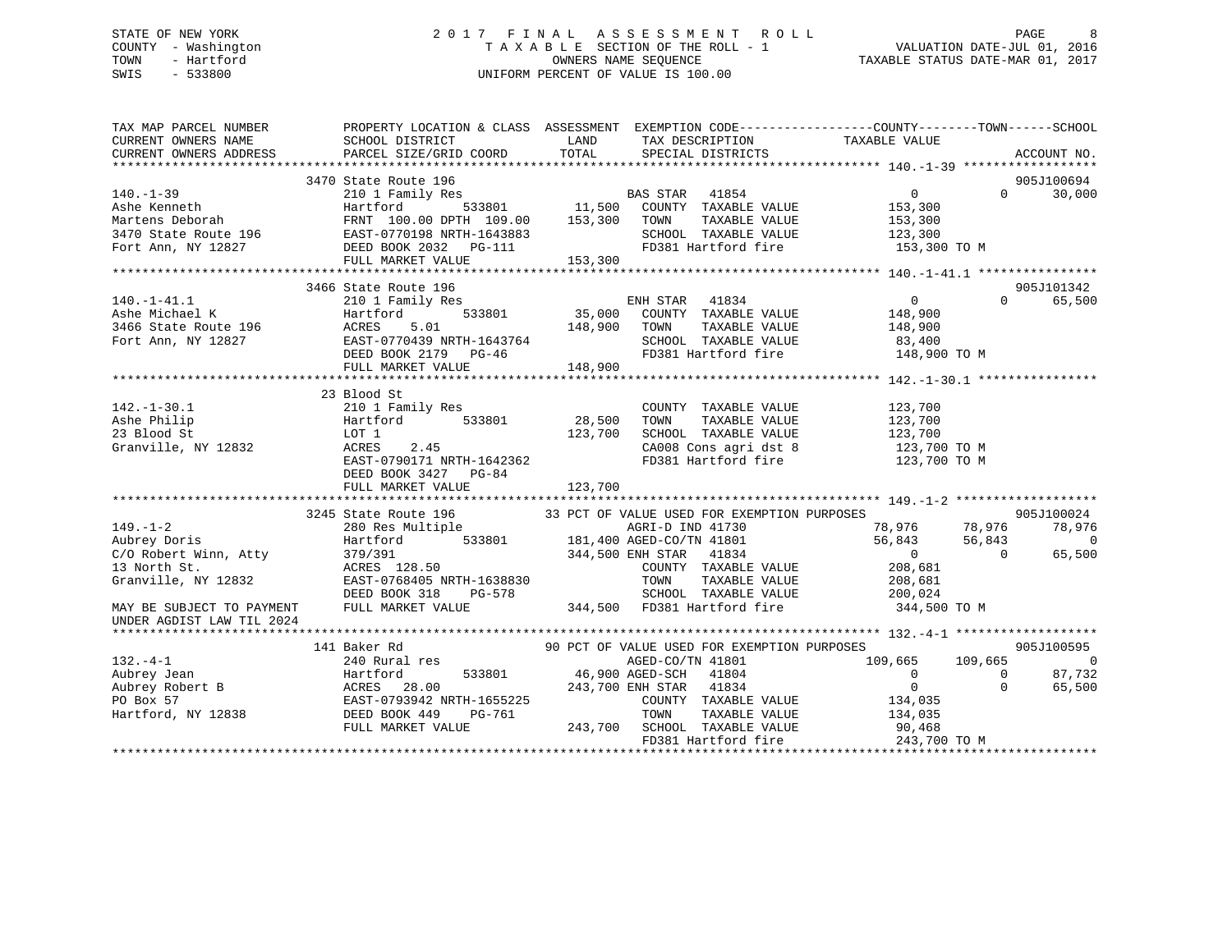# STATE OF NEW YORK 2 0 1 7 F I N A L A S S E S S M E N T R O L L PAGE 8 COUNTY - Washington T A X A B L E SECTION OF THE ROLL - 1 VALUATION DATE-JUL 01, 2016 TOWN - Hartford OWNERS NAME SEQUENCE TAXABLE STATUS DATE-MAR 01, 2017 SWIS - 533800 UNIFORM PERCENT OF VALUE IS 100.00

| TAX MAP PARCEL NUMBER                         | PROPERTY LOCATION & CLASS ASSESSMENT EXEMPTION CODE-----------------COUNTY-------TOWN------SCHOOL<br>SCHOOL DISTRICT                         LAND       TAX DESCRIPTION         TAXABLE VALUE                                                                                                                                                                                                                  |                                                                   |                                                                                                        |                    |
|-----------------------------------------------|----------------------------------------------------------------------------------------------------------------------------------------------------------------------------------------------------------------------------------------------------------------------------------------------------------------------------------------------------------------------------------------------------------------|-------------------------------------------------------------------|--------------------------------------------------------------------------------------------------------|--------------------|
| CURRENT OWNERS NAME<br>CURRENT OWNERS ADDRESS |                                                                                                                                                                                                                                                                                                                                                                                                                | LAND TAX DESCRIPTION TAXABLE VALUE COORD TOTAL SPECIAL DISTRICTS  |                                                                                                        |                    |
|                                               | PARCEL SIZE/GRID COORD                                                                                                                                                                                                                                                                                                                                                                                         |                                                                   |                                                                                                        | ACCOUNT NO.        |
|                                               |                                                                                                                                                                                                                                                                                                                                                                                                                |                                                                   |                                                                                                        | 905J100694         |
| $140. - 1 - 39$                               | 3470 State Route 196                                                                                                                                                                                                                                                                                                                                                                                           |                                                                   |                                                                                                        |                    |
|                                               | 210 1 Family Res                                                                                                                                                                                                                                                                                                                                                                                               |                                                                   | $\overline{0}$                                                                                         | $0 \t 30,000$      |
|                                               |                                                                                                                                                                                                                                                                                                                                                                                                                |                                                                   |                                                                                                        |                    |
|                                               |                                                                                                                                                                                                                                                                                                                                                                                                                |                                                                   |                                                                                                        |                    |
|                                               |                                                                                                                                                                                                                                                                                                                                                                                                                |                                                                   |                                                                                                        |                    |
|                                               |                                                                                                                                                                                                                                                                                                                                                                                                                |                                                                   |                                                                                                        |                    |
|                                               |                                                                                                                                                                                                                                                                                                                                                                                                                |                                                                   |                                                                                                        |                    |
|                                               |                                                                                                                                                                                                                                                                                                                                                                                                                |                                                                   |                                                                                                        |                    |
|                                               | 3466 State Route 196                                                                                                                                                                                                                                                                                                                                                                                           |                                                                   |                                                                                                        | 905J101342         |
| $140. - 1 - 41.1$                             | 210 1 Family Res                                                                                                                                                                                                                                                                                                                                                                                               | ENH STAR 41834                                                    | $\overline{0}$                                                                                         | $\Omega$<br>65,500 |
|                                               |                                                                                                                                                                                                                                                                                                                                                                                                                |                                                                   |                                                                                                        |                    |
|                                               |                                                                                                                                                                                                                                                                                                                                                                                                                |                                                                   |                                                                                                        |                    |
|                                               |                                                                                                                                                                                                                                                                                                                                                                                                                |                                                                   |                                                                                                        |                    |
|                                               |                                                                                                                                                                                                                                                                                                                                                                                                                |                                                                   |                                                                                                        |                    |
|                                               |                                                                                                                                                                                                                                                                                                                                                                                                                |                                                                   |                                                                                                        |                    |
|                                               | $\begin{tabular}{lllllllllllllllllllll} \hline 140.-1-41.1 & 210\text{ 1 Family Res} & \text{ENH STAR} & 41834 & 0 & 65,500 \\ \hline \text{Ashe Michael K} & Hartford & 533801 & 35,000 & \text{COUNTY} & \text{TAXABLE VALUE} & 148,900 \\ \hline 3466 State Route 196 & ACERES & 5.01 & 148,900 & \text{TQWIN} & \text{TAXABLE VALUE} & 48,400 \\ \hline \text{Fort Ann, NY 12827} & EABST-0770439 NRTH-16$ |                                                                   |                                                                                                        |                    |
| 142.-1-30.1<br>Ashe Philip<br>$\frac{1}{2}$   | 23 Blood St                                                                                                                                                                                                                                                                                                                                                                                                    |                                                                   |                                                                                                        |                    |
|                                               | 210 1 Family Res<br>Hartford 533801 28,500<br>LOT 1 123,700<br>ACRES 2.45 123,700                                                                                                                                                                                                                                                                                                                              |                                                                   |                                                                                                        |                    |
|                                               |                                                                                                                                                                                                                                                                                                                                                                                                                | COUNTY TAXABLE VALUE<br>TOWN      TAXABLE VALUE                   | 123,700<br>123,700                                                                                     |                    |
|                                               |                                                                                                                                                                                                                                                                                                                                                                                                                |                                                                   |                                                                                                        |                    |
|                                               |                                                                                                                                                                                                                                                                                                                                                                                                                |                                                                   | SCHOOL TAXABLE VALUE 123,700<br>CA008 Cons agri dst 8 123,700 TO M<br>FD381 Hartford fire 123,700 TO M |                    |
| Granville, NY 12832                           |                                                                                                                                                                                                                                                                                                                                                                                                                |                                                                   |                                                                                                        |                    |
|                                               | EAST-0790171 NRTH-1642362                                                                                                                                                                                                                                                                                                                                                                                      |                                                                   |                                                                                                        |                    |
|                                               | DEED BOOK 3427 PG-84                                                                                                                                                                                                                                                                                                                                                                                           |                                                                   |                                                                                                        |                    |
|                                               |                                                                                                                                                                                                                                                                                                                                                                                                                |                                                                   |                                                                                                        |                    |
|                                               |                                                                                                                                                                                                                                                                                                                                                                                                                |                                                                   |                                                                                                        |                    |
|                                               | 3245 State Route 196 33 PCT OF VALUE USED FOR EXEMPTION PURPOSES<br>State Route 196 33 FOI OF VALUE ONLY 11730<br>280 Res Multiple AGRI-D IND 41730<br>Hartford 533801 181,400 AGED-CO/TN 41801<br>244 500 ENH STAR 41834                                                                                                                                                                                      |                                                                   |                                                                                                        | 905J100024         |
|                                               |                                                                                                                                                                                                                                                                                                                                                                                                                |                                                                   |                                                                                                        | 78,976             |
| $149.-1-2$<br>Authors Doris                   |                                                                                                                                                                                                                                                                                                                                                                                                                |                                                                   | $78,976$<br>$56,843$<br>$56,843$<br>$0$<br>$0$                                                         | $\sim$ 0           |
|                                               |                                                                                                                                                                                                                                                                                                                                                                                                                |                                                                   |                                                                                                        | 65,500             |
|                                               |                                                                                                                                                                                                                                                                                                                                                                                                                |                                                                   |                                                                                                        |                    |
|                                               |                                                                                                                                                                                                                                                                                                                                                                                                                |                                                                   |                                                                                                        |                    |
|                                               |                                                                                                                                                                                                                                                                                                                                                                                                                |                                                                   |                                                                                                        |                    |
|                                               | CORSER MAN Atty and the state of the state of the state of the state of the state of the state of the state of the state of the state of the state of the state of the state of the state of the state of the state of the sta                                                                                                                                                                                 |                                                                   |                                                                                                        |                    |
|                                               |                                                                                                                                                                                                                                                                                                                                                                                                                |                                                                   |                                                                                                        |                    |
| UNDER AGDIST LAW TIL 2024                     |                                                                                                                                                                                                                                                                                                                                                                                                                |                                                                   |                                                                                                        |                    |
|                                               |                                                                                                                                                                                                                                                                                                                                                                                                                |                                                                   |                                                                                                        |                    |
|                                               | 141 Baker Rd                                                                                                                                                                                                                                                                                                                                                                                                   | 90 PCT OF VALUE USED FOR EXEMPTION PURPOSES<br>AGED-CO/TN 41801 1 | MPTION PURPOSES<br>109,665         109,665                                                             | 905J100595         |
| $132. -4-1$                                   | 240 Rural res                                                                                                                                                                                                                                                                                                                                                                                                  | AGED-CO/TN 41801                                                  |                                                                                                        | $\sim$ 0           |
|                                               |                                                                                                                                                                                                                                                                                                                                                                                                                | 533801 46,900 AGED-SCH 41804                                      | $\overline{0}$<br>$\Omega$                                                                             | 87,732             |
|                                               | Aubrey Jean<br>Aubrey Robert B<br>PO Box 57<br>Hartford, NY 12838<br>ACRES 28.00<br>EAST-0793942 NRTH-1655225<br>Hartford, NY 12838<br>DEED BOOK 449<br>PG-761<br>FRD ROST PR-761                                                                                                                                                                                                                              | 243,700 ENH STAR 41834                                            | 0<br>$\Omega$                                                                                          | 65,500             |
|                                               |                                                                                                                                                                                                                                                                                                                                                                                                                | COUNTY TAXABLE VALUE 134,035                                      |                                                                                                        |                    |
|                                               |                                                                                                                                                                                                                                                                                                                                                                                                                | TOWN                                                              |                                                                                                        |                    |
|                                               |                                                                                                                                                                                                                                                                                                                                                                                                                |                                                                   | TAXABLE VALUE 134,035<br>TAXABLE VALUE 90,468                                                          |                    |
|                                               |                                                                                                                                                                                                                                                                                                                                                                                                                |                                                                   | FD381 Hartford fire 243,700 TO M                                                                       |                    |
|                                               |                                                                                                                                                                                                                                                                                                                                                                                                                |                                                                   |                                                                                                        |                    |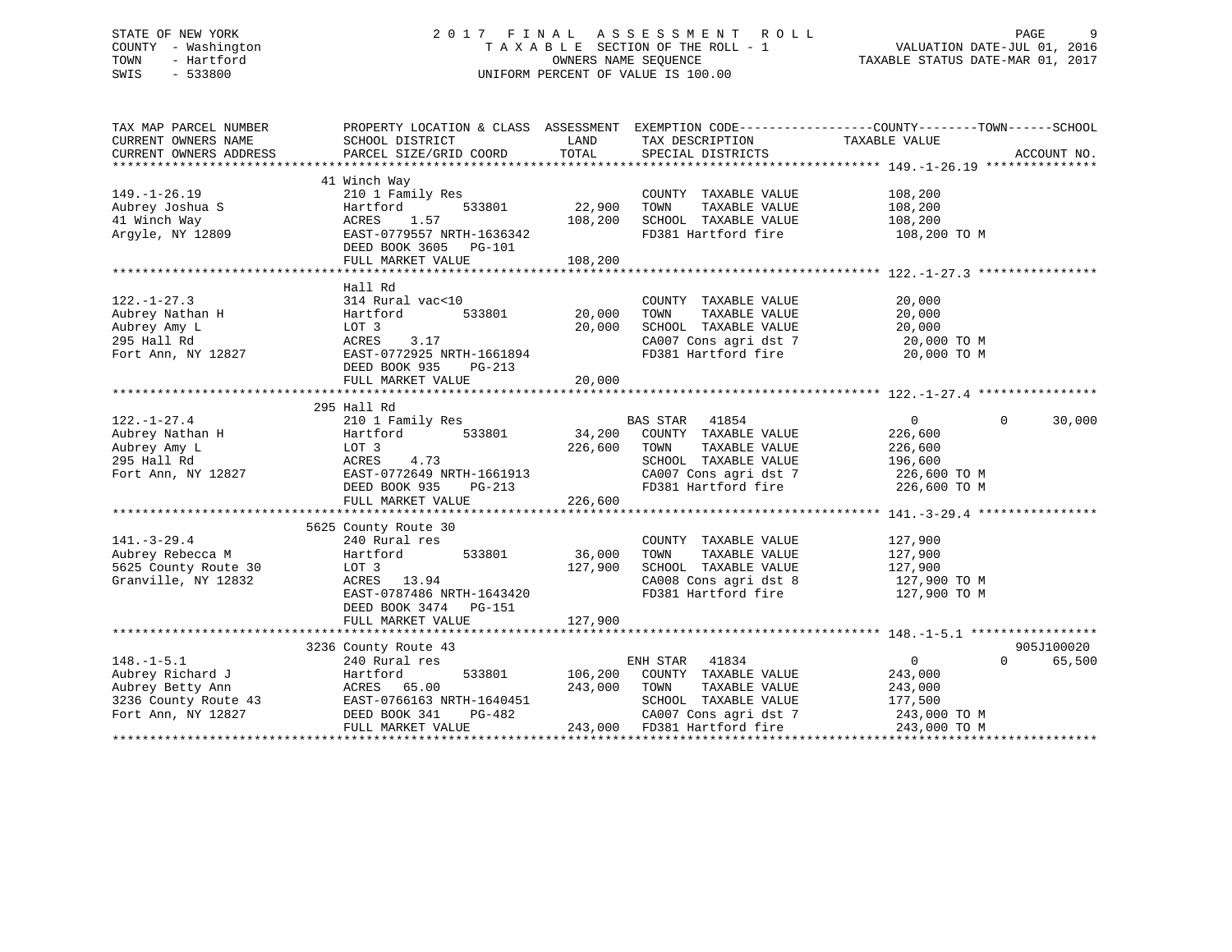# STATE OF NEW YORK 2 0 1 7 F I N A L A S S E S S M E N T R O L L PAGE 9 COUNTY - Washington T A X A B L E SECTION OF THE ROLL - 1 VALUATION DATE-JUL 01, 2016 TOWN - Hartford **TAXABLE STATUS DATE-MAR 01, 2017** SWIS - 533800 UNIFORM PERCENT OF VALUE IS 100.00

| TAX MAP PARCEL NUMBER  | PROPERTY LOCATION & CLASS ASSESSMENT EXEMPTION CODE---------------COUNTY-------TOWN-----SCHOOL           |              |                                  |                |                    |
|------------------------|----------------------------------------------------------------------------------------------------------|--------------|----------------------------------|----------------|--------------------|
| CURRENT OWNERS NAME    | SCHOOL DISTRICT                                                                                          | LAND         | TAX DESCRIPTION                  | TAXABLE VALUE  |                    |
| CURRENT OWNERS ADDRESS | PARCEL SIZE/GRID COORD                                                                                   | TOTAL        | SPECIAL DISTRICTS                |                | ACCOUNT NO.        |
|                        |                                                                                                          |              |                                  |                |                    |
|                        | 41 Winch Way                                                                                             |              |                                  |                |                    |
| $149. - 1 - 26.19$     | 210 1 Family Res                                                                                         |              | COUNTY TAXABLE VALUE             | 108,200        |                    |
| Aubrey Joshua S        | Hartford<br>533801                                                                                       | 22,900       | TOWN<br>TAXABLE VALUE            | 108,200        |                    |
| 41 Winch Way           | 1.57<br>ACRES                                                                                            | 108,200      | SCHOOL TAXABLE VALUE             | 108,200        |                    |
| Argyle, NY 12809       | EAST-0779557 NRTH-1636342                                                                                |              | FD381 Hartford fire              | 108,200 TO M   |                    |
|                        | DEED BOOK 3605 PG-101                                                                                    |              |                                  |                |                    |
|                        | FULL MARKET VALUE                                                                                        | 108,200      |                                  |                |                    |
|                        |                                                                                                          |              |                                  |                |                    |
|                        | Hall Rd                                                                                                  |              |                                  |                |                    |
| $122. - 1 - 27.3$      | 314 Rural vac<10                                                                                         |              | COUNTY TAXABLE VALUE             | 20,000         |                    |
| Aubrey Nathan H        | 533801<br>Hartford                                                                                       | 20,000       | TAXABLE VALUE<br>TOWN            | 20,000         |                    |
| Aubrey Amy L           | LOT 3                                                                                                    | 20,000       | SCHOOL TAXABLE VALUE             | 20,000         |                    |
| 295 Hall Rd            | ACRES<br>3.17                                                                                            |              | CA007 Cons agri dst 7            | 20,000 TO M    |                    |
| Fort Ann, NY 12827     | EAST-0772925 NRTH-1661894                                                                                |              | FD381 Hartford fire              | 20,000 TO M    |                    |
|                        | DEED BOOK 935<br>PG-213                                                                                  |              |                                  |                |                    |
|                        | FULL MARKET VALUE                                                                                        | 20,000       |                                  |                |                    |
|                        |                                                                                                          |              |                                  |                |                    |
|                        | 295 Hall Rd                                                                                              |              |                                  |                |                    |
| $122. - 1 - 27.4$      | 210 1 Family Res                                                                                         |              | <b>BAS STAR</b><br>41854         | $\overline{0}$ | $\Omega$<br>30,000 |
| Aubrey Nathan H        | 533801<br>Hartford                                                                                       | BZ<br>34,200 | COUNTY TAXABLE VALUE             | 226,600        |                    |
| Aubrey Amy L           | LOT 3                                                                                                    | 226,600      | TAXABLE VALUE<br>TOWN            | 226,600        |                    |
| 295 Hall Rd            | 4.73<br>ACRES                                                                                            |              | SCHOOL TAXABLE VALUE             | 196,600        |                    |
| Fort Ann, NY 12827     | EAST-0772649 NRTH-1661913                                                                                |              | $CAO07$ Cons agri dst 7          | $226,600$ TO M |                    |
|                        | DEED BOOK 935<br>PG-213                                                                                  |              | FD381 Hartford fire 226,600 TO M |                |                    |
|                        | FULL MARKET VALUE                                                                                        | 226,600      |                                  |                |                    |
|                        |                                                                                                          |              |                                  |                |                    |
|                        | 5625 County Route 30                                                                                     |              |                                  |                |                    |
| $141. - 3 - 29.4$      | 240 Rural res                                                                                            |              | COUNTY TAXABLE VALUE             | 127,900        |                    |
| Aubrey Rebecca M       | 533801<br>Hartford                                                                                       | 36,000       | TOWN<br>TAXABLE VALUE            | 127,900        |                    |
| 5625 County Route 30   | LOT 3                                                                                                    | 127,900      | SCHOOL TAXABLE VALUE             | 127,900        |                    |
| Granville, NY 12832    | ACRES 13.94                                                                                              |              | CA008 Cons agri dst 8            | 127,900 TO M   |                    |
|                        | EAST-0787486 NRTH-1643420                                                                                |              | FD381 Hartford fire              | 127,900 TO M   |                    |
|                        | DEED BOOK 3474<br><b>PG-151</b>                                                                          |              |                                  |                |                    |
|                        | FULL MARKET VALUE                                                                                        | 127,900      |                                  |                |                    |
|                        |                                                                                                          |              |                                  |                |                    |
|                        | 3236 County Route 43                                                                                     |              |                                  |                | 905J100020         |
| $148. - 1 - 5.1$       | 240 Rural res                                                                                            |              | ENH STAR 41834                   | $\overline{0}$ | 65,500<br>$\Omega$ |
| Aubrey Richard J       | 533801<br>Hartford                                                                                       | 106,200      | COUNTY TAXABLE VALUE             | 243,000        |                    |
| Aubrey Betty Ann       |                                                                                                          | 243,000      | TAXABLE VALUE<br>TOWN            | 243,000        |                    |
| 3236 County Route 43   |                                                                                                          |              | SCHOOL TAXABLE VALUE             | 177,500        |                    |
| Fort Ann, NY 12827     | ACRES 65.00<br>H3 EAST-0766163 NRTH-1640451<br>DEED BOOK 341<br>DEED BOOK 341<br>DEED BOOK 341<br>PG-482 |              | CA007 Cons agri dst 7            | 243,000 TO M   |                    |
|                        | FULL MARKET VALUE                                                                                        |              | 243,000 FD381 Hartford fire      | 243,000 TO M   |                    |
|                        |                                                                                                          |              |                                  |                |                    |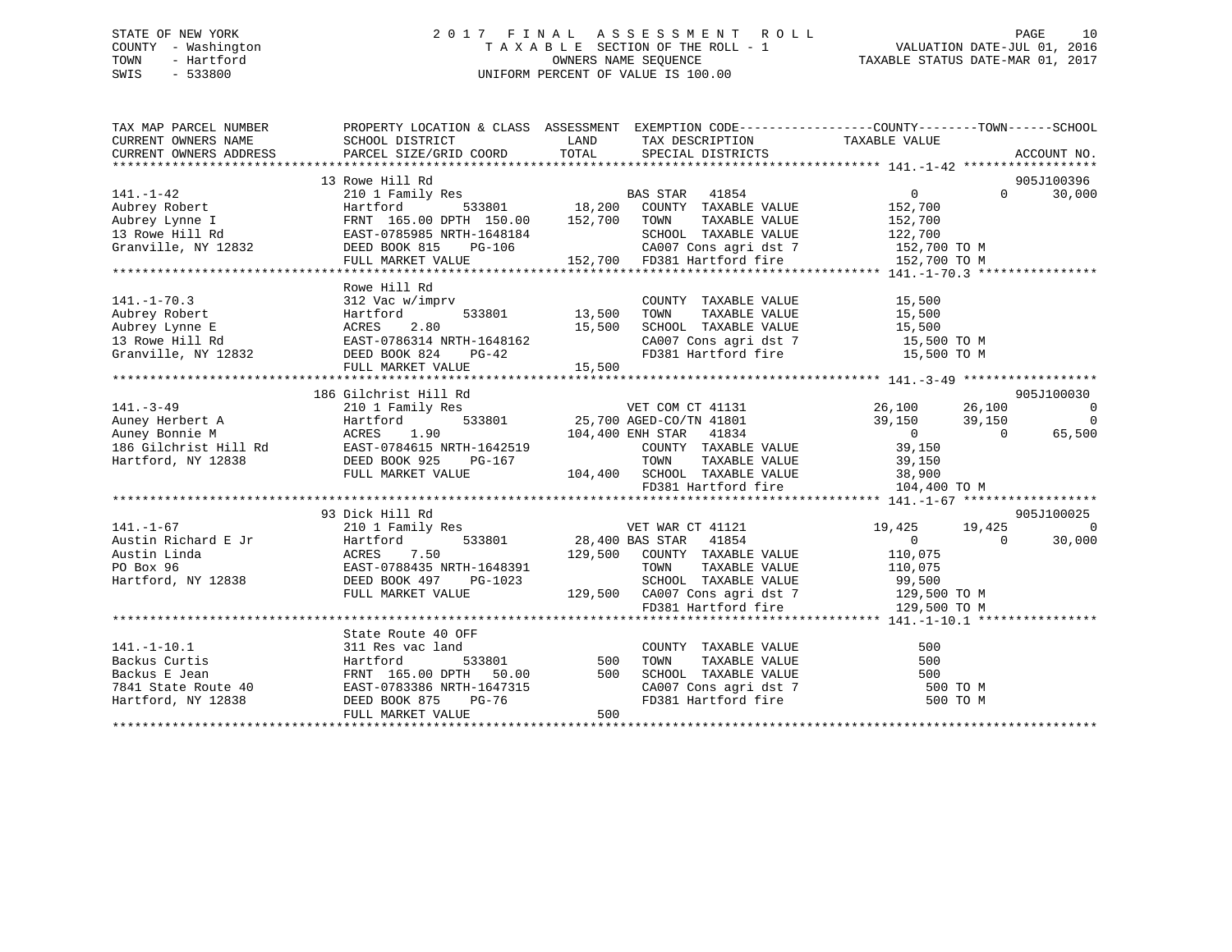# STATE OF NEW YORK 2 0 1 7 F I N A L A S S E S S M E N T R O L L PAGE 10 COUNTY - Washington T A X A B L E SECTION OF THE ROLL - 1 VALUATION DATE-JUL 01, 2016 TOWN - Hartford **TAXABLE STATUS DATE-MAR 01, 2017** SWIS - 533800 UNIFORM PERCENT OF VALUE IS 100.00

| TAX MAP PARCEL NUMBER                                                                                                                                                                                                                                                                                                                                                                           | PROPERTY LOCATION & CLASS ASSESSMENT EXEMPTION CODE---------------COUNTY-------TOWN-----SCHOOL                                    |     |                                                                                                                                                            |          |                   |          |
|-------------------------------------------------------------------------------------------------------------------------------------------------------------------------------------------------------------------------------------------------------------------------------------------------------------------------------------------------------------------------------------------------|-----------------------------------------------------------------------------------------------------------------------------------|-----|------------------------------------------------------------------------------------------------------------------------------------------------------------|----------|-------------------|----------|
|                                                                                                                                                                                                                                                                                                                                                                                                 |                                                                                                                                   |     |                                                                                                                                                            |          |                   |          |
|                                                                                                                                                                                                                                                                                                                                                                                                 | 13 Rowe Hill Rd                                                                                                                   |     |                                                                                                                                                            |          | 905J100396        |          |
| $[141.-1-42] \begin{tabular}{lcccc} 141.-1-42 & 101 Family Res & BAS STAR & 41854 & 0 \\ \text{Aubrey Robert} & Hartford & 533801 & 18,200 COUNT TAXABLE VALUE & 152,700 \\ \text{Aubrey Lynch I} & FRNT & 165.00 DPTH & 150.00 & 152,700 TOWN & TAXABLE VALUE & 152,700 \\ \text{TRNT} & 165.00 DPTH & 150.00 & 152,700 TOWN & TAXABLE VALUE & 152,700 \\ \text{Granville, NY} & 12832 & DEED$ |                                                                                                                                   |     |                                                                                                                                                            |          | $0 \qquad \qquad$ | 30,000   |
|                                                                                                                                                                                                                                                                                                                                                                                                 |                                                                                                                                   |     |                                                                                                                                                            |          |                   |          |
|                                                                                                                                                                                                                                                                                                                                                                                                 |                                                                                                                                   |     |                                                                                                                                                            |          |                   |          |
|                                                                                                                                                                                                                                                                                                                                                                                                 |                                                                                                                                   |     |                                                                                                                                                            |          |                   |          |
|                                                                                                                                                                                                                                                                                                                                                                                                 |                                                                                                                                   |     |                                                                                                                                                            |          |                   |          |
|                                                                                                                                                                                                                                                                                                                                                                                                 |                                                                                                                                   |     |                                                                                                                                                            |          |                   |          |
|                                                                                                                                                                                                                                                                                                                                                                                                 |                                                                                                                                   |     |                                                                                                                                                            |          |                   |          |
|                                                                                                                                                                                                                                                                                                                                                                                                 | Rowe Hill Rd                                                                                                                      |     |                                                                                                                                                            |          |                   |          |
|                                                                                                                                                                                                                                                                                                                                                                                                 |                                                                                                                                   |     |                                                                                                                                                            |          |                   |          |
|                                                                                                                                                                                                                                                                                                                                                                                                 |                                                                                                                                   |     |                                                                                                                                                            |          |                   |          |
|                                                                                                                                                                                                                                                                                                                                                                                                 |                                                                                                                                   |     |                                                                                                                                                            |          |                   |          |
|                                                                                                                                                                                                                                                                                                                                                                                                 |                                                                                                                                   |     |                                                                                                                                                            |          |                   |          |
|                                                                                                                                                                                                                                                                                                                                                                                                 |                                                                                                                                   |     |                                                                                                                                                            |          |                   |          |
|                                                                                                                                                                                                                                                                                                                                                                                                 |                                                                                                                                   |     |                                                                                                                                                            |          |                   |          |
|                                                                                                                                                                                                                                                                                                                                                                                                 |                                                                                                                                   |     |                                                                                                                                                            |          |                   |          |
|                                                                                                                                                                                                                                                                                                                                                                                                 | 186 Gilchrist Hill Rd                                                                                                             |     |                                                                                                                                                            |          | 905J100030        |          |
|                                                                                                                                                                                                                                                                                                                                                                                                 |                                                                                                                                   |     |                                                                                                                                                            |          |                   |          |
|                                                                                                                                                                                                                                                                                                                                                                                                 |                                                                                                                                   |     |                                                                                                                                                            |          |                   |          |
|                                                                                                                                                                                                                                                                                                                                                                                                 |                                                                                                                                   |     |                                                                                                                                                            |          |                   |          |
|                                                                                                                                                                                                                                                                                                                                                                                                 |                                                                                                                                   |     |                                                                                                                                                            |          |                   |          |
|                                                                                                                                                                                                                                                                                                                                                                                                 |                                                                                                                                   |     |                                                                                                                                                            |          |                   |          |
|                                                                                                                                                                                                                                                                                                                                                                                                 |                                                                                                                                   |     |                                                                                                                                                            |          |                   |          |
|                                                                                                                                                                                                                                                                                                                                                                                                 |                                                                                                                                   |     |                                                                                                                                                            |          |                   |          |
|                                                                                                                                                                                                                                                                                                                                                                                                 |                                                                                                                                   |     |                                                                                                                                                            |          |                   |          |
|                                                                                                                                                                                                                                                                                                                                                                                                 | 93 Dick Hill Rd                                                                                                                   |     |                                                                                                                                                            |          | 905J100025        |          |
| $141. - 1 - 67$                                                                                                                                                                                                                                                                                                                                                                                 |                                                                                                                                   |     |                                                                                                                                                            |          |                   | $\Omega$ |
|                                                                                                                                                                                                                                                                                                                                                                                                 | 210 1 Family Res<br>Hartford 533801 28,400 BAS STAR 41854 19,425 19,425 19,425<br>ACRES 7.50 129,500 COUNTY TAXABLE VALUE 110,075 |     |                                                                                                                                                            |          |                   | 30,000   |
|                                                                                                                                                                                                                                                                                                                                                                                                 |                                                                                                                                   |     |                                                                                                                                                            |          |                   |          |
|                                                                                                                                                                                                                                                                                                                                                                                                 |                                                                                                                                   |     |                                                                                                                                                            |          |                   |          |
|                                                                                                                                                                                                                                                                                                                                                                                                 |                                                                                                                                   |     |                                                                                                                                                            |          |                   |          |
|                                                                                                                                                                                                                                                                                                                                                                                                 |                                                                                                                                   |     | 1648391 TOWN TAXABLE VALUE 110,075<br>3-1023 SCHOOL TAXABLE VALUE 99,500<br>129,500 CA007 Cons agri dst 7 129,500 TO M<br>FD381 Hartford fire 129,500 TO M |          |                   |          |
|                                                                                                                                                                                                                                                                                                                                                                                                 |                                                                                                                                   |     |                                                                                                                                                            |          |                   |          |
|                                                                                                                                                                                                                                                                                                                                                                                                 |                                                                                                                                   |     |                                                                                                                                                            |          |                   |          |
|                                                                                                                                                                                                                                                                                                                                                                                                 |                                                                                                                                   |     |                                                                                                                                                            |          |                   |          |
|                                                                                                                                                                                                                                                                                                                                                                                                 |                                                                                                                                   |     |                                                                                                                                                            |          |                   |          |
|                                                                                                                                                                                                                                                                                                                                                                                                 |                                                                                                                                   |     |                                                                                                                                                            |          |                   |          |
|                                                                                                                                                                                                                                                                                                                                                                                                 |                                                                                                                                   |     |                                                                                                                                                            |          |                   |          |
| 311 Res vac 1and 2008<br>Backus Curtis 311 Res vac 1and 2008<br>Backus E Jean FRNT 165.00 DPTH 50.00 500 SCHOO<br>7841 State Route 40 EAST-0783386 NRTH-1647315 2A007<br>Hartford, NY 12838 DEED BOOK 875 PG-76 FD381<br>FRNT MARKET MAR                                                                                                                                                        |                                                                                                                                   |     | COUNTY TAXABLE VALUE 500<br>TOWN TAXABLE VALUE 500<br>SCHOOL TAXABLE VALUE 500<br>CA007 Cons agri dst 7 500 TO M<br>FD381 Hartford fire 500 TO M           | 500 TO M |                   |          |
|                                                                                                                                                                                                                                                                                                                                                                                                 | FULL MARKET VALUE                                                                                                                 | 500 |                                                                                                                                                            |          |                   |          |
|                                                                                                                                                                                                                                                                                                                                                                                                 |                                                                                                                                   |     |                                                                                                                                                            |          |                   |          |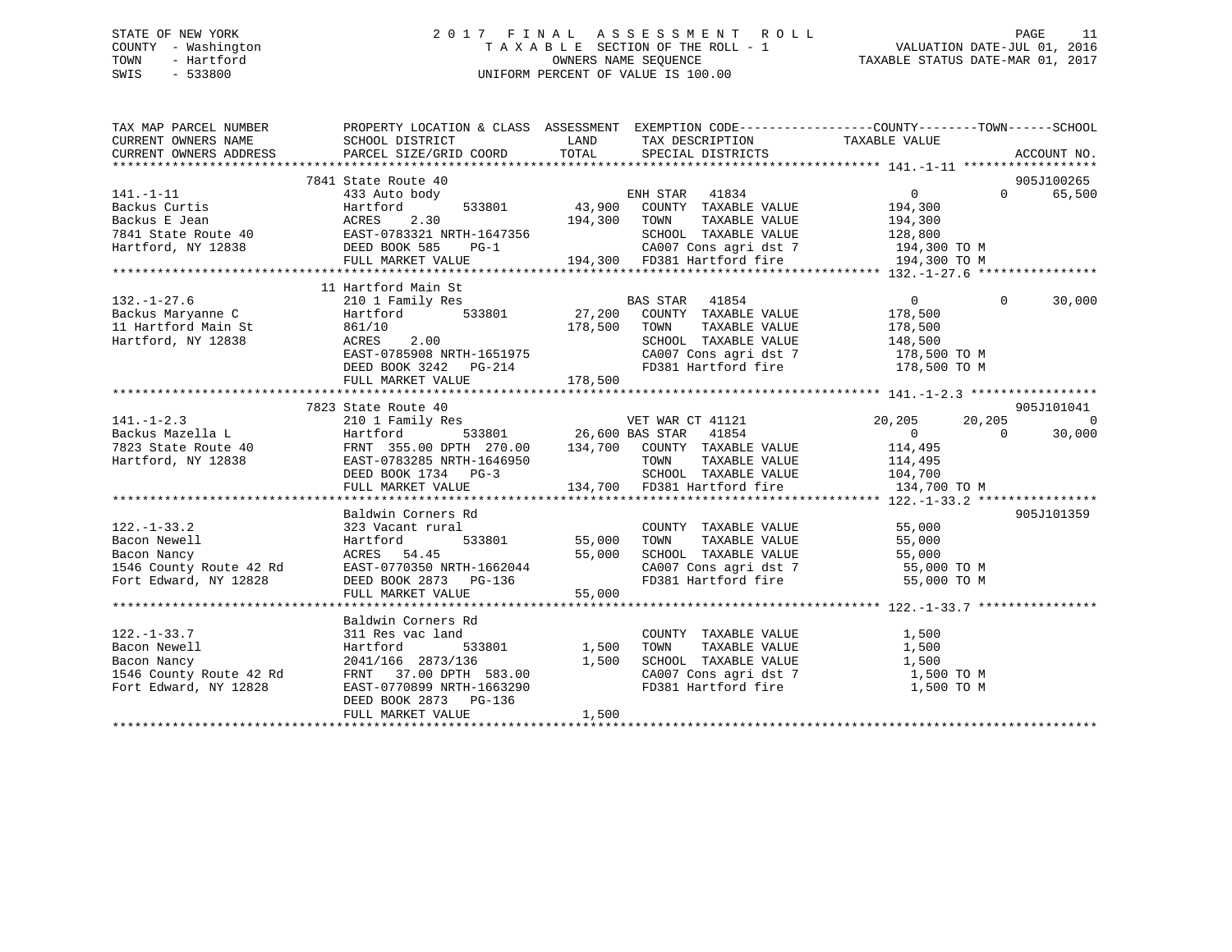# STATE OF NEW YORK 2 0 1 7 F I N A L A S S E S S M E N T R O L L PAGE 11 COUNTY - Washington T A X A B L E SECTION OF THE ROLL - 1 VALUATION DATE-JUL 01, 2016 TOWN - Hartford **TAXABLE STATUS DATE-MAR 01, 2017** SWIS - 533800 UNIFORM PERCENT OF VALUE IS 100.00

| TAX MAP PARCEL NUMBER                                                 | PROPERTY LOCATION & CLASS ASSESSMENT EXEMPTION CODE---------------COUNTY-------TOWN-----SCHOOL                                                                                                                                                   |                                                                                                                       |                                                                    |                       |                |                          |
|-----------------------------------------------------------------------|--------------------------------------------------------------------------------------------------------------------------------------------------------------------------------------------------------------------------------------------------|-----------------------------------------------------------------------------------------------------------------------|--------------------------------------------------------------------|-----------------------|----------------|--------------------------|
| CURRENT OWNERS NAME                                                   | SCHOOL DISTRICT                                                                                                                                                                                                                                  | <b>EXAMPLE DESCRIPTION OF STREET AND STREET AND STREET AND STREET AND STREET AND STREET AND STREET AND STREET AND</b> | TAX DESCRIPTION                                                    | TAXABLE VALUE         |                |                          |
| CURRENT OWNERS ADDRESS                                                | PARCEL SIZE/GRID COORD                                                                                                                                                                                                                           |                                                                                                                       | TOTAL SPECIAL DISTRICTS                                            |                       |                | ACCOUNT NO.              |
|                                                                       | 7841 State Route 40                                                                                                                                                                                                                              |                                                                                                                       |                                                                    |                       |                | 905J100265               |
| $141. - 1 - 11$                                                       | 433 Auto body                                                                                                                                                                                                                                    |                                                                                                                       | ENH STAR 41834<br>533801 43,900 COUNTY TAXABLE VALUE               | $\overline{0}$        | $\Omega$       | 65,500                   |
| Backus Curtis                                                         |                                                                                                                                                                                                                                                  |                                                                                                                       |                                                                    | 194,300               |                |                          |
|                                                                       |                                                                                                                                                                                                                                                  | 194,300 TOWN                                                                                                          |                                                                    | TAXABLE VALUE 194,300 |                |                          |
|                                                                       |                                                                                                                                                                                                                                                  |                                                                                                                       |                                                                    |                       |                |                          |
|                                                                       |                                                                                                                                                                                                                                                  |                                                                                                                       | SCHOOL TAXABLE VALUE 128,800<br>CA007 Cons agri dst 7 194,300 TO M |                       |                |                          |
|                                                                       | Backus Curtis Martford 533801 43,900<br>Backus E Jean ACRES 2.30 194,300<br>7841 State Route 40 EAST-0783321 NRTH-1647356<br>Hartford, NY 12838 DEED BOOK 585 PG-1<br>FULL MARKET VALUE 194,300<br>FULL MARKET VALUE 194,300 FD381 Hartford fire |                                                                                                                       |                                                                    | 194,300 TO M          |                |                          |
|                                                                       |                                                                                                                                                                                                                                                  |                                                                                                                       |                                                                    |                       |                |                          |
|                                                                       | 11 Hartford Main St                                                                                                                                                                                                                              |                                                                                                                       |                                                                    |                       |                |                          |
| $132. - 1 - 27.6$                                                     | 210 1 Family Res                                                                                                                                                                                                                                 |                                                                                                                       |                                                                    | $\overline{0}$        | $\overline{0}$ | 30,000                   |
|                                                                       |                                                                                                                                                                                                                                                  |                                                                                                                       | BAS STAR 41854<br>27,200 COUNTY TAXABLE VALUE                      | 178,500               |                |                          |
| 11 Hartford Main St<br>Hartford, NY 12838<br>Factor Main St<br>BACRES |                                                                                                                                                                                                                                                  | 178,500 TOWN                                                                                                          |                                                                    | TAXABLE VALUE 178,500 |                |                          |
|                                                                       | 861/10<br>ACRES 2.00                                                                                                                                                                                                                             |                                                                                                                       | SCHOOL TAXABLE VALUE 148,500<br>CA007 Cons agri dst 7 178,500 TO M |                       |                |                          |
|                                                                       | $2.00$<br>EAST-0785908 NRTH-1651975<br>END 2221 02:00                                                                                                                                                                                            |                                                                                                                       |                                                                    |                       |                |                          |
|                                                                       | DEED BOOK 3242 PG-214                                                                                                                                                                                                                            |                                                                                                                       | FD381 Hartford fire 178,500 TO M                                   |                       |                |                          |
|                                                                       | FULL MARKET VALUE                                                                                                                                                                                                                                | 178,500                                                                                                               |                                                                    |                       |                |                          |
|                                                                       |                                                                                                                                                                                                                                                  |                                                                                                                       |                                                                    |                       |                |                          |
|                                                                       | 7823 State Route 40                                                                                                                                                                                                                              |                                                                                                                       |                                                                    |                       |                | 905J101041               |
| $141. - 1 - 2.3$                                                      |                                                                                                                                                                                                                                                  |                                                                                                                       |                                                                    | 20,205                | 20,205         | $\overline{\phantom{0}}$ |
|                                                                       |                                                                                                                                                                                                                                                  |                                                                                                                       |                                                                    |                       |                |                          |
|                                                                       |                                                                                                                                                                                                                                                  |                                                                                                                       |                                                                    |                       |                |                          |
|                                                                       |                                                                                                                                                                                                                                                  |                                                                                                                       |                                                                    |                       |                |                          |
|                                                                       |                                                                                                                                                                                                                                                  |                                                                                                                       |                                                                    |                       |                |                          |
|                                                                       | 141.-1-2<br>Backus Maximi (1864)<br>Text 1 Femility Research 2010 26,600 BAS STAR 41854<br>Text 10 FRNT 355.00 DPTH 270.00 134,700 COUNTY TAXABLE VALUE 114,495<br>TEXT -0783285 NRTH-1646950 TOWN TAXABLE VALUE 114,495<br>DEED BOOK            |                                                                                                                       |                                                                    |                       |                |                          |
|                                                                       |                                                                                                                                                                                                                                                  |                                                                                                                       |                                                                    |                       |                | 905J101359               |
| $122. - 1 - 33.2$                                                     | Baldwin Corners Rd<br>323 Vacant rural                                                                                                                                                                                                           |                                                                                                                       | COUNTY TAXABLE VALUE                                               | 55,000                |                |                          |
| Bacon Newell                                                          | Hartford                                                                                                                                                                                                                                         | 1 COUNT<br>533801 55,000 TOWN                                                                                         | TAXABLE VALUE                                                      | 55,000                |                |                          |
| Bacon Nancy                                                           | ACRES 54.45                                                                                                                                                                                                                                      | 55,000                                                                                                                |                                                                    |                       |                |                          |
| 1546 County Route 42 Rd                                               | EAST-0770350 NRTH-1662044                                                                                                                                                                                                                        |                                                                                                                       | SCHOOL TAXABLE VALUE 55,000<br>CA007 Cons agri dst 7 55,000 TO M   |                       |                |                          |
| Fort Edward, NY 12828                                                 | DEED BOOK 2873 PG-136                                                                                                                                                                                                                            |                                                                                                                       | FD381 Hartford fire                                                | 55,000 TO M           |                |                          |
|                                                                       | FULL MARKET VALUE                                                                                                                                                                                                                                | 55,000                                                                                                                |                                                                    |                       |                |                          |
|                                                                       |                                                                                                                                                                                                                                                  |                                                                                                                       |                                                                    |                       |                |                          |
|                                                                       | Baldwin Corners Rd                                                                                                                                                                                                                               |                                                                                                                       |                                                                    |                       |                |                          |
| $122. - 1 - 33.7$                                                     | 311 Res vac land                                                                                                                                                                                                                                 |                                                                                                                       | COUNTY TAXABLE VALUE                                               | 1,500                 |                |                          |
|                                                                       | Hartford                                                                                                                                                                                                                                         | 533801 1,500                                                                                                          | TAXABLE VALUE<br>TOWN                                              | 1,500                 |                |                          |
| Bacon Newell<br>Bacon Nancy<br>1546 County Route 42 Rd                |                                                                                                                                                                                                                                                  |                                                                                                                       |                                                                    |                       |                |                          |
|                                                                       | 2041/166 2873/136 1,500<br>FRNT 37.00 DPTH 583.00 1,500                                                                                                                                                                                          |                                                                                                                       | SCHOOL TAXABLE VALUE $1,500$<br>CA007 Cons agri dst 7 1,500 TO M   |                       |                |                          |
| Fort Edward, NY 12828                                                 | EAST-0770899 NRTH-1663290                                                                                                                                                                                                                        |                                                                                                                       | FD381 Hartford fire 1,500 TO M                                     |                       |                |                          |
|                                                                       | DEED BOOK 2873 PG-136                                                                                                                                                                                                                            |                                                                                                                       |                                                                    |                       |                |                          |
|                                                                       | FULL MARKET VALUE                                                                                                                                                                                                                                | 1,500                                                                                                                 |                                                                    |                       |                |                          |
|                                                                       |                                                                                                                                                                                                                                                  |                                                                                                                       |                                                                    |                       |                |                          |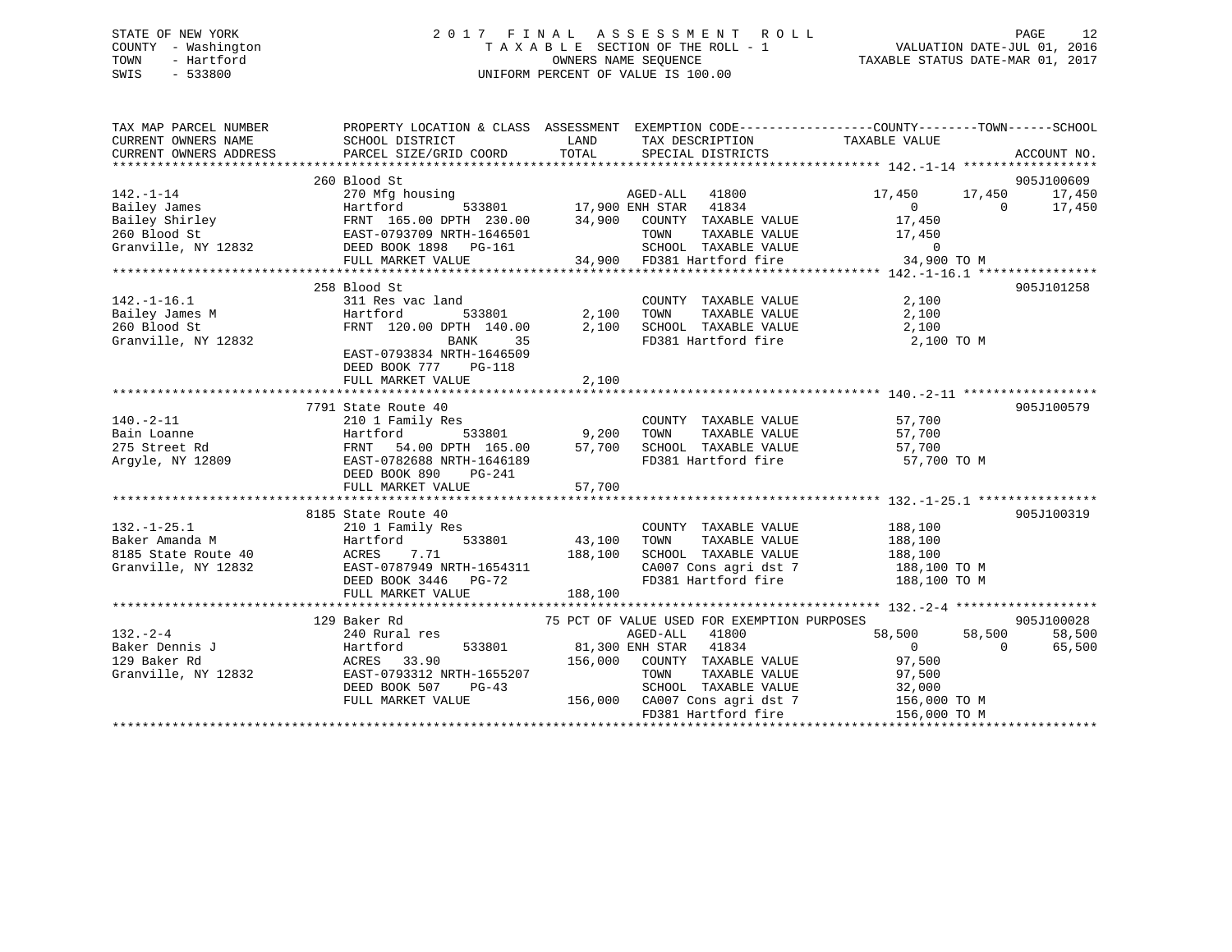# STATE OF NEW YORK 2 0 1 7 F I N A L A S S E S S M E N T R O L L PAGE 12 COUNTY - Washington T A X A B L E SECTION OF THE ROLL - 1 VALUATION DATE-JUL 01, 2016 TOWN - Hartford **TAXABLE STATUS DATE-MAR 01, 2017** SWIS - 533800 UNIFORM PERCENT OF VALUE IS 100.00

| TAX MAP PARCEL NUMBER<br>CURRENT OWNERS NAME<br>CURRENT OWNERS ADDRESS                           | SCHOOL DISTRICT<br>PARCEL SIZE/GRID COORD                                                                                                                          | <b>LAND</b><br>TAX DESCRIPTION TAXABLE VALUE<br>TOTAL SPECIAL DISTRICTS                                                                                                                                                                                       | PROPERTY LOCATION & CLASS ASSESSMENT EXEMPTION CODE---------------COUNTY-------TOWN------SCHOOL<br>ACCOUNT NO.                          |
|--------------------------------------------------------------------------------------------------|--------------------------------------------------------------------------------------------------------------------------------------------------------------------|---------------------------------------------------------------------------------------------------------------------------------------------------------------------------------------------------------------------------------------------------------------|-----------------------------------------------------------------------------------------------------------------------------------------|
|                                                                                                  |                                                                                                                                                                    | Bailey James<br>Bailey Shirley<br>Bailey Shirley<br>Bailey Shirley<br>Bailey Shirley<br>ERST-0793709 NRTH-1646501<br>Granville, NY 12832<br>ERST-0793709 NRTH-1646501<br>EED BOOK 1898 PG-161<br>FULL MARKET VALUE<br>FULL MARKET VALUE<br>TOWN TAXA          | 905J100609<br>17,450 17,450<br>17,450<br>$\begin{array}{c} 0 \\ 17,450 \end{array}$<br>17,450<br>$\overline{0}$<br>TAXABLE VALUE 17,450 |
| $142.-1-16.1$<br>Bailey James M<br>260 Blood St<br>Granville, NY 12832                           | 258 Blood St<br>311 Res vac land<br>Hartford<br>FRNT 120.00 DPTH 140.00<br>BANK<br>35<br>EAST-0793834 NRTH-1646509<br>DEED BOOK 777 PG-118<br>FULL MARKET VALUE    | COUNTY TAXABLE VALUE<br>533801 2,100 TOWN<br>DPTH 140.00 2,100 SCHOOL<br>$\begin{tabular}{lllllllllllll} 2,100 & TOWN & TAXABLE VALUE & & & & 2,100 \\ 2,100 & SCHOOL & TAXABLE VALUE & & & 2,100 \end{tabular}$<br>2,100                                     | 905J101258<br>2,100<br>FD381 Hartford fire 2,100 TO M                                                                                   |
| $140. - 2 - 11$<br>Bain Loanne<br>275 Street Rd<br>Argyle, NY 12809                              | 7791 State Route 40<br>210 1 Family Res<br>FULL MARKET VALUE                                                                                                       | COUNTY TAXABLE VALUE<br>And the 19,200 TOWN TAXABLE VALUE<br>Hartford 533801 9,200 TOWN TAXABLE VALUE<br>FRNT 54.00 DPTH 165.00 57,700 SCHOOL TAXABLE VALUE 57,700<br>EAST-0702 890 PG-241 FD381 Hartford fire 57,700<br>FD381 Hartford fire 57,700<br>57,700 | 905J100579<br>57,700<br>57,700<br>57,700 TO M                                                                                           |
| $132. - 1 - 25.1$<br>132.-1-25.1<br>Baker Amanda M<br>8185 State Route 40<br>Granville, NY 12832 | 8185 State Route 40<br>210 1 Family Res<br>Hartford<br>ACRES<br>7.71<br>EAST-0787949 NRTH-1654311<br>DEED BOOK 3446 PG-72<br>FULL MARKET VALUE                     | s<br>533801                           43,100<br>COUNTY TAXABLE VALUE 188,100<br>TAXABLE VALUE<br>TOWN<br>188,100<br>SCHOOL TAXABLE VALUE<br>188,100                                                                                                           | 905J100319<br>188,100<br>188,100<br>188,100 TO M<br>CA007 Cons agri dst 7 188,100 TO M<br>FD381 Hartford fire 188,100 TO M              |
| $132 - 2 - 4$<br>Baker Dennis J<br>129 Baker Rd<br>Granville, NY 12832                           | 129 Baker Rd<br>240 Rural res<br>Hartford<br>ACRES 33.90<br>EAST-0793312 N<br>533801<br>EAST-0793312 NRTH-1655207<br>DEED BOOK 507<br>$PG-43$<br>FULL MARKET VALUE | 75 PCT OF VALUE USED FOR EXEMPTION PURPOSES<br>AGED-ALL<br>41800<br>81,300 ENH STAR 41834<br>156,000 COUNTY TAXABLE VALUE<br>TAXABLE VALUE<br>TOWN<br>SCHOOL TAXABLE VALUE<br>156,000 CA007 Cons agri dst 7 156,000 TO M<br>FD381 Hartford fire               | 905J100028<br>58,500<br>58,500<br>58,500<br>$\overline{0}$<br>$\Omega$<br>65,500<br>97,500<br>97,500<br>32,000<br>156,000 TO M          |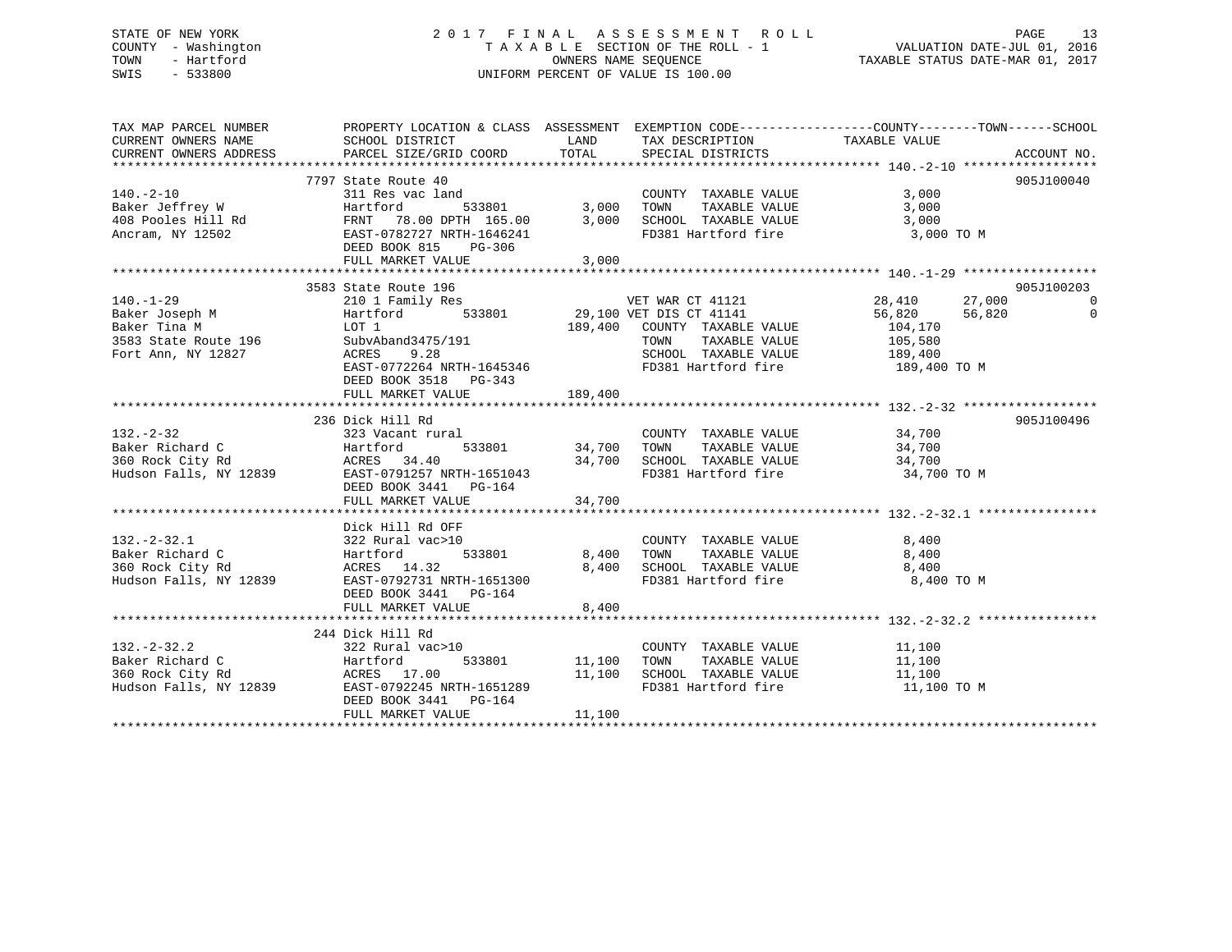# STATE OF NEW YORK 2 0 1 7 F I N A L A S S E S S M E N T R O L L PAGE 13 COUNTY - Washington T A X A B L E SECTION OF THE ROLL - 1 VALUATION DATE-JUL 01, 2016 TOWN - Hartford **TAXABLE STATUS DATE-MAR 01, 2017** SWIS - 533800 UNIFORM PERCENT OF VALUE IS 100.00

| TAX MAP PARCEL NUMBER                                                                                                                                                   | PROPERTY LOCATION & CLASS ASSESSMENT EXEMPTION CODE----------------COUNTY-------TOWN------SCHOOL                                                                                                                                                    |                         |                                                                                                                          |                                                             |                                                |
|-------------------------------------------------------------------------------------------------------------------------------------------------------------------------|-----------------------------------------------------------------------------------------------------------------------------------------------------------------------------------------------------------------------------------------------------|-------------------------|--------------------------------------------------------------------------------------------------------------------------|-------------------------------------------------------------|------------------------------------------------|
|                                                                                                                                                                         | 7797 State Route 40<br>140.-2-10<br>Baker Jeffrey W 311 Res vac land<br>408 Pooles Hill Rd FRNT 78.00 DPTH 165.00 3,000<br>Ancram, NY 12502 EAST-0782727 NRTH-1646241<br>DEED BOOK 815<br>PG-306<br>FULL MARKET VALUE                               | 3,000                   | COUNTY TAXABLE VALUE<br>TOWN TAXABLE VALUE 3,000<br>SCHOOL TAXABLE VALUE 3,000<br>TOWN<br>FD381 Hartford fire 3,000 TO M | 3,000                                                       | 905J100040                                     |
|                                                                                                                                                                         |                                                                                                                                                                                                                                                     |                         |                                                                                                                          |                                                             |                                                |
| 140.-1-29 210 1 Family Res<br>Baker Joseph M Hartford 53<br>Baker Tina M LOT 1<br>3583 State Route 196 SubvAband3475/191<br>Fort Ann, NY 12827 ACRES 9.28<br>ACRES 9.28 | 3583 State Route 196<br>210 1 Family Res<br>210 1 Family Res<br>533801 29,100 VET DIS CT 41141 28,410 27,000<br>29,100 VET DIS CT 41141 256,820 56,820<br>29,400 COUNTY TAXABLE VALUE 104,170<br>EAST-0772264 NRTH-1645346<br>DEED BOOK 3518 PG-343 |                         | TOWN<br>SCHOOL TAXABLE VALUE 189,400<br>FD381 Hartford fire 189,400 TO M                                                 | 104,170<br>TAXABLE VALUE 105,580<br>TAXABLE VALUE 189,400   | 905J100203<br>$\overline{0}$<br>$\overline{0}$ |
|                                                                                                                                                                         | FULL MARKET VALUE                                                                                                                                                                                                                                   | 189,400                 |                                                                                                                          |                                                             |                                                |
| $132. - 2 - 32$                                                                                                                                                         | 236 Dick Hill Rd<br>323 Vacant rural<br>DEED BOOK 3441 PG-164                                                                                                                                                                                       | 533801 34,700 TOWN      | COUNTY TAXABLE VALUE 34,700                                                                                              |                                                             | 905J100496                                     |
|                                                                                                                                                                         |                                                                                                                                                                                                                                                     |                         |                                                                                                                          |                                                             |                                                |
|                                                                                                                                                                         | Dick Hill Rd OFF<br>132.-2-32.1<br>Baker Richard C<br>360 Rock City Rd<br>Hudson Falls, NY 12839<br>EAST-0792731 NRTH-1651300<br>$533801$ 8,400<br>DEED BOOK 3441 PG-164<br>FULL MARKET VALUE                                                       | 8,400<br>8,400          | COUNTY TAXABLE VALUE<br>TOWN<br>SCHOOL TAXABLE VALUE<br>FD381 Hartford fire                                              | 8,400<br>TAXABLE VALUE 8,400<br>8,400<br>8,400 TO M         |                                                |
|                                                                                                                                                                         |                                                                                                                                                                                                                                                     |                         |                                                                                                                          |                                                             |                                                |
| $132 - 2 - 32.2$                                                                                                                                                        | 244 Dick Hill Rd<br>$322$ Rural vac>10<br>External paint of the Martford<br>360 Rock City Rd (1993) ACRES 17.00<br>Hudson Falls, NY 12839 (2017-0792245 NRTH-1651289<br>DEED BOOK 3441    PG-164<br>FULL MARKET VALUE                               | 533801 11,100<br>11,100 | COUNTY TAXABLE VALUE 11,100<br>TOWN<br>11,100 SCHOOL TAXABLE VALUE<br>FD381 Hartford fire                                | TAXABLE VALUE 11,100<br>TAXABLE VALUE 11,100<br>11,100 TO M |                                                |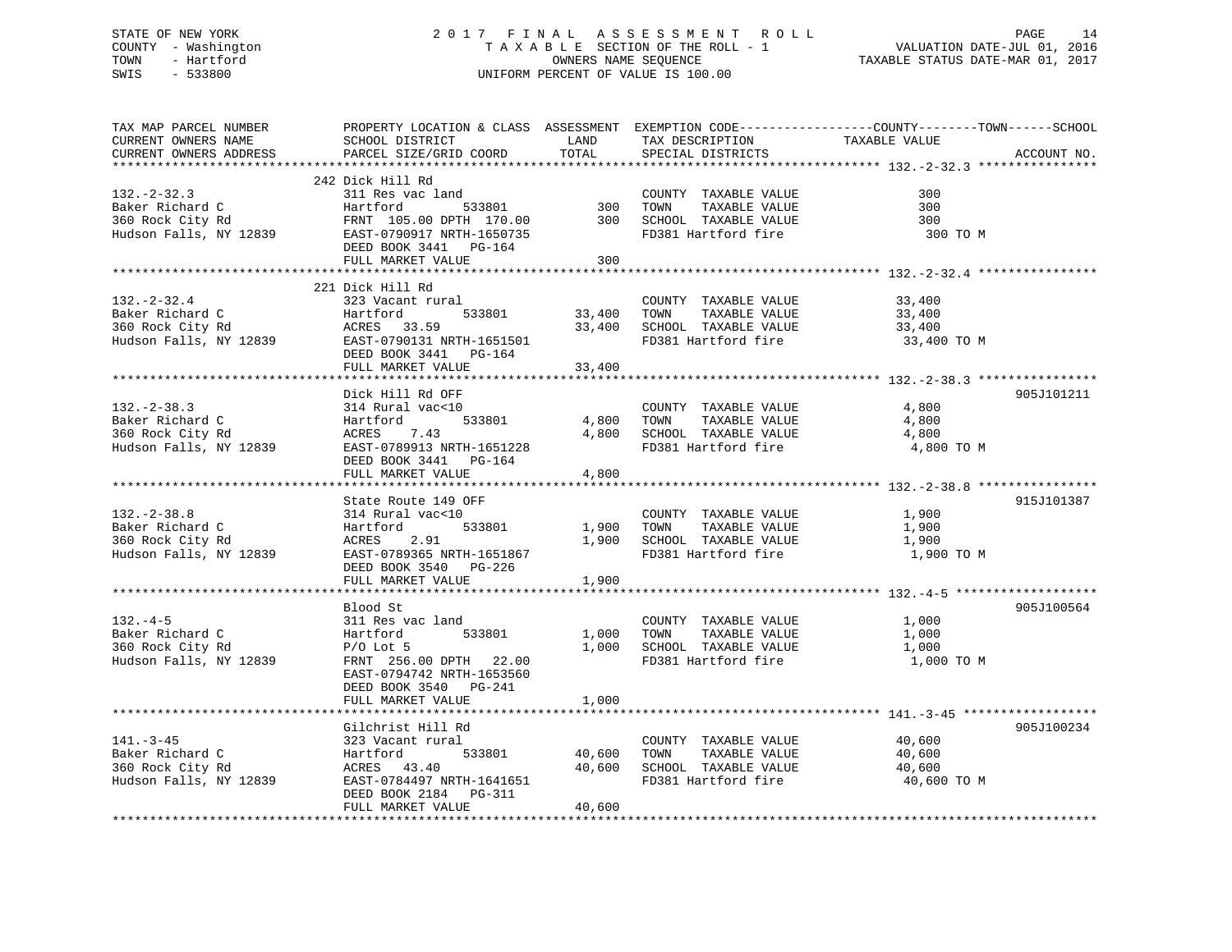# STATE OF NEW YORK 2 0 1 7 F I N A L A S S E S S M E N T R O L L PAGE 14 COUNTY - Washington T A X A B L E SECTION OF THE ROLL - 1 VALUATION DATE-JUL 01, 2016 TOWN - Hartford OWNERS NAME SEQUENCE TAXABLE STATUS DATE-MAR 01, 2017 SWIS - 533800 UNIFORM PERCENT OF VALUE IS 100.00

| TAX MAP PARCEL NUMBER<br>CURRENT OWNERS NAME<br>CURRENT OWNERS ADDRESS             | SCHOOL DISTRICT<br>PARCEL SIZE/GRID COORD                                                                                                                                                    | LAND<br>TOTAL              | TAX DESCRIPTION<br>SPECIAL DISTRICTS                                                         | PROPERTY LOCATION & CLASS ASSESSMENT EXEMPTION CODE----------------COUNTY-------TOWN------SCHOOL<br>TAXABLE VALUE<br>ACCOUNT NO. |  |
|------------------------------------------------------------------------------------|----------------------------------------------------------------------------------------------------------------------------------------------------------------------------------------------|----------------------------|----------------------------------------------------------------------------------------------|----------------------------------------------------------------------------------------------------------------------------------|--|
|                                                                                    |                                                                                                                                                                                              |                            |                                                                                              |                                                                                                                                  |  |
| $132. - 2 - 32.3$<br>Baker Richard C<br>360 Rock City Rd<br>Hudson Falls, NY 12839 | 242 Dick Hill Rd<br>311 Res vac land<br>Hartford<br>533801<br>FRNT 105.00 DPTH 170.00<br>EAST-0790917 NRTH-1650735<br>DEED BOOK 3441 PG-164<br>FULL MARKET VALUE<br>************************ | 300<br>300<br>300          | COUNTY TAXABLE VALUE<br>TAXABLE VALUE<br>TOWN<br>SCHOOL TAXABLE VALUE<br>FD381 Hartford fire | 300<br>300<br>300<br>300 TO M                                                                                                    |  |
|                                                                                    | 221 Dick Hill Rd                                                                                                                                                                             |                            |                                                                                              |                                                                                                                                  |  |
| $132. - 2 - 32.4$<br>Baker Richard C<br>360 Rock City Rd<br>Hudson Falls, NY 12839 | 323 Vacant rural<br>Hartford<br>533801<br>ACRES 33.59<br>EAST-0790131 NRTH-1651501<br>DEED BOOK 3441 PG-164<br>FULL MARKET VALUE                                                             | 33,400<br>33,400<br>33,400 | COUNTY TAXABLE VALUE<br>TAXABLE VALUE<br>TOWN<br>SCHOOL TAXABLE VALUE<br>FD381 Hartford fire | 33,400<br>33,400<br>33,400<br>33,400 TO M                                                                                        |  |
|                                                                                    |                                                                                                                                                                                              |                            |                                                                                              |                                                                                                                                  |  |
| $132 - 2 - 38.3$<br>Baker Richard C<br>360 Rock City Rd<br>Hudson Falls, NY 12839  | Dick Hill Rd OFF<br>314 Rural vac<10<br>533801<br>Hartford<br>7.43<br>ACRES<br>EAST-0789913 NRTH-1651228<br>DEED BOOK 3441<br>PG-164<br>FULL MARKET VALUE                                    | 4,800<br>4,800<br>4,800    | COUNTY TAXABLE VALUE<br>TOWN<br>TAXABLE VALUE<br>SCHOOL TAXABLE VALUE<br>FD381 Hartford fire | 905J101211<br>4,800<br>4,800<br>4,800<br>4,800 TO M                                                                              |  |
|                                                                                    |                                                                                                                                                                                              |                            |                                                                                              |                                                                                                                                  |  |
| $132. - 2 - 38.8$<br>Baker Richard C<br>360 Rock City Rd<br>Hudson Falls, NY 12839 | State Route 149 OFF<br>314 Rural vac<10<br>Hartford<br>533801<br><b>ACRES</b><br>2.91<br>EAST-0789365 NRTH-1651867<br>DEED BOOK 3540 PG-226<br>FULL MARKET VALUE                             | 1,900<br>1,900<br>1,900    | COUNTY TAXABLE VALUE<br>TOWN<br>TAXABLE VALUE<br>SCHOOL TAXABLE VALUE<br>FD381 Hartford fire | 915J101387<br>1,900<br>1,900<br>1,900<br>1,900 TO M                                                                              |  |
|                                                                                    |                                                                                                                                                                                              |                            |                                                                                              |                                                                                                                                  |  |
| $132 - 4 - 5$<br>Baker Richard C<br>360 Rock City Rd<br>Hudson Falls, NY 12839     | Blood St<br>311 Res vac land<br>Hartford<br>533801<br>$P/O$ Lot 5<br>FRNT 256.00 DPTH 22.00<br>EAST-0794742 NRTH-1653560<br>DEED BOOK 3540 PG-241                                            | 1,000<br>1,000             | COUNTY TAXABLE VALUE<br>TAXABLE VALUE<br>TOWN<br>SCHOOL TAXABLE VALUE<br>FD381 Hartford fire | 905J100564<br>1,000<br>1,000<br>1,000<br>1,000 TO M                                                                              |  |
|                                                                                    | FULL MARKET VALUE                                                                                                                                                                            | 1,000                      |                                                                                              |                                                                                                                                  |  |
|                                                                                    |                                                                                                                                                                                              | **********                 |                                                                                              | ************************************* 141.-3-45 *******************                                                              |  |
| $141. - 3 - 45$<br>Baker Richard C<br>360 Rock City Rd<br>Hudson Falls, NY 12839   | Gilchrist Hill Rd<br>323 Vacant rural<br>Hartford<br>533801<br>ACRES 43.40<br>EAST-0784497 NRTH-1641651<br>DEED BOOK 2184 PG-311<br>FULL MARKET VALUE                                        | 40,600<br>40,600<br>40,600 | COUNTY TAXABLE VALUE<br>TOWN<br>TAXABLE VALUE<br>SCHOOL TAXABLE VALUE<br>FD381 Hartford fire | 905J100234<br>40,600<br>40,600<br>40,600<br>40,600 TO M                                                                          |  |
|                                                                                    |                                                                                                                                                                                              |                            |                                                                                              |                                                                                                                                  |  |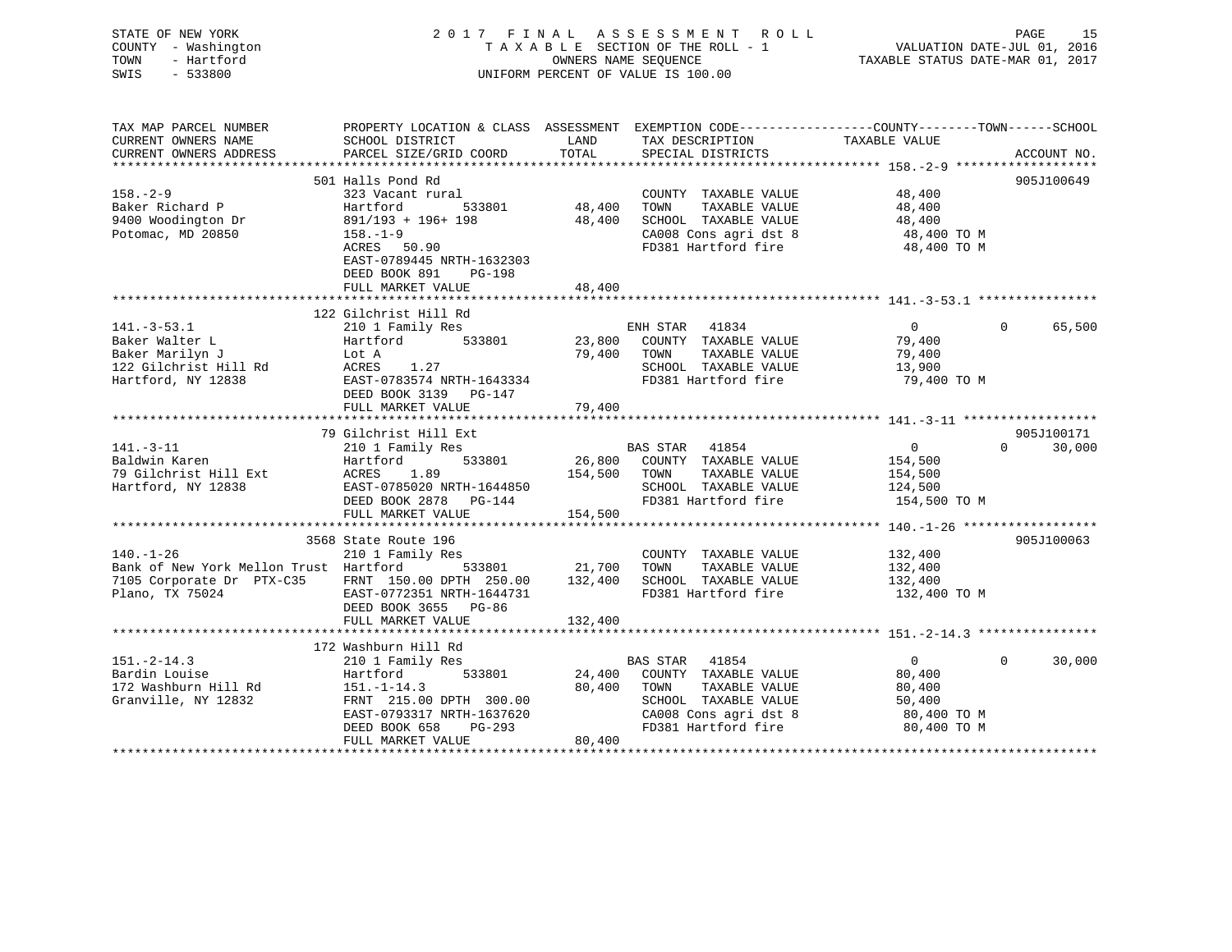| STATE OF NEW YORK<br>COUNTY - Washington<br>- Hartford<br>TOWN<br>SWIS<br>$-533800$        |                                                                                                  | OWNERS NAME SEOUENCE | 2017 FINAL ASSESSMENT ROLL<br>TAXABLE SECTION OF THE ROLL - 1<br>UNIFORM PERCENT OF VALUE IS 100.00 | VALUATION DATE-JUL 01, 2016<br>TAXABLE STATUS DATE-MAR 01, 2017 | PAGE<br>15                       |
|--------------------------------------------------------------------------------------------|--------------------------------------------------------------------------------------------------|----------------------|-----------------------------------------------------------------------------------------------------|-----------------------------------------------------------------|----------------------------------|
| TAX MAP PARCEL NUMBER                                                                      | PROPERTY LOCATION & CLASS ASSESSMENT EXEMPTION CODE----------------COUNTY-------TOWN------SCHOOL |                      |                                                                                                     |                                                                 |                                  |
| CURRENT OWNERS NAME                                                                        | SCHOOL DISTRICT                                                                                  | <b>LAND</b>          | TAX DESCRIPTION TAXABLE VALUE                                                                       |                                                                 |                                  |
| CURRENT OWNERS ADDRESS                                                                     | PARCEL SIZE/GRID COORD                                                                           | TOTAL                | SPECIAL DISTRICTS                                                                                   |                                                                 | ACCOUNT NO.                      |
|                                                                                            |                                                                                                  |                      |                                                                                                     |                                                                 |                                  |
| $158. - 2 - 9$                                                                             | 501 Halls Pond Rd<br>323 Vacant rural                                                            |                      | COUNTY TAXABLE VALUE                                                                                |                                                                 | 905J100649                       |
| Baker Richard P                                                                            | Hartford 533801                                                                                  |                      | 48,400 TOWN TAXABLE VALUE                                                                           | 48,400<br>48,400                                                |                                  |
| 9400 Woodington Dr                                                                         | 891/193 + 196+ 198                                                                               |                      | 48,400 SCHOOL TAXABLE VALUE                                                                         | 48,400                                                          |                                  |
| Potomac, MD 20850                                                                          | $158. - 1 - 9$                                                                                   |                      | CA008 Cons agri dst 8                                                                               | 48,400 TO M                                                     |                                  |
|                                                                                            | ACRES 50.90<br>EAST-0789445 NRTH-1632303                                                         |                      | FD381 Hartford fire                                                                                 | 48,400 TO M                                                     |                                  |
|                                                                                            | DEED BOOK 891 PG-198                                                                             |                      |                                                                                                     |                                                                 |                                  |
|                                                                                            | FULL MARKET VALUE                                                                                | 48,400               |                                                                                                     |                                                                 |                                  |
|                                                                                            | 122 Gilchrist Hill Rd                                                                            |                      |                                                                                                     |                                                                 |                                  |
| $141.-3-53.1$                                                                              | 210 1 Family Res                                                                                 |                      | ENH STAR 41834                                                                                      | $\overline{0}$                                                  | 65,500<br>$\Omega$               |
| Baker Walter L                                                                             | 533801<br>Hartford                                                                               |                      | 23,800 COUNTY TAXABLE VALUE                                                                         | 79,400                                                          |                                  |
| Baker Marilyn J                                                                            | Lot A                                                                                            |                      | 79,400 TOWN TAXABLE VALUE                                                                           | 79,400                                                          |                                  |
|                                                                                            | ACRES 1.27                                                                                       |                      | SCHOOL TAXABLE VALUE                                                                                | 13,900                                                          |                                  |
| 122 Gilchrist Hill Rd<br>Hartford, NY 12838                                                | EAST-0783574 NRTH-1643334                                                                        |                      | FD381 Hartford fire                                                                                 | 79,400 TO M                                                     |                                  |
|                                                                                            | DEED BOOK 3139 PG-147                                                                            |                      |                                                                                                     |                                                                 |                                  |
|                                                                                            | FULL MARKET VALUE                                                                                | 79,400               |                                                                                                     |                                                                 |                                  |
|                                                                                            |                                                                                                  |                      |                                                                                                     |                                                                 |                                  |
|                                                                                            | 79 Gilchrist Hill Ext<br>210 1 Family Res                                                        |                      | BAS STAR 41854                                                                                      | $\overline{0}$                                                  | 905J100171<br>$\Omega$<br>30,000 |
| 141.-3-11<br>Baldwin Karen                                                                 | 533801<br>Hartford                                                                               |                      | $26,800$ COUNTY TAXABLE VALUE                                                                       | 154,500                                                         |                                  |
| 79 Gilchrist Hill Ext                                                                      | ACRES 1.89                                                                                       |                      | 154,500 TOWN TAXABLE VALUE                                                                          | 154,500                                                         |                                  |
| Hartford, NY 12838                                                                         | EAST-0785020 NRTH-1644850                                                                        |                      | SCHOOL TAXABLE VALUE                                                                                | 124,500                                                         |                                  |
|                                                                                            | DEED BOOK 2878 PG-144                                                                            |                      | FD381 Hartford fire                                                                                 | 154,500 TO M                                                    |                                  |
|                                                                                            | FULL MARKET VALUE                                                                                | 154,500              |                                                                                                     |                                                                 |                                  |
|                                                                                            |                                                                                                  |                      |                                                                                                     |                                                                 |                                  |
|                                                                                            | 3568 State Route 196                                                                             |                      |                                                                                                     |                                                                 | 905J100063                       |
| $140. - 1 - 26$<br>Bank of New York Mellon Trust Hartford 533801 21,700 TOWN TAXABLE VALUE | 210 1 Family Res                                                                                 |                      | COUNTY TAXABLE VALUE                                                                                | 132,400                                                         |                                  |
| 7105 Corporate Dr PTX-C35 FRNT 150.00 DPTH 250.00 132,400 SCHOOL TAXABLE VALUE             |                                                                                                  |                      |                                                                                                     | 132,400                                                         |                                  |
| Plano, TX 75024                                                                            | EAST-0772351 NRTH-1644731                                                                        |                      | FD381 Hartford fire                                                                                 | 132,400<br>132,400 TO M                                         |                                  |
|                                                                                            | DEED BOOK 3655 PG-86                                                                             |                      |                                                                                                     |                                                                 |                                  |
|                                                                                            | FULL MARKET VALUE                                                                                | 132,400              |                                                                                                     |                                                                 |                                  |
|                                                                                            |                                                                                                  |                      |                                                                                                     |                                                                 |                                  |
|                                                                                            | 172 Washburn Hill Rd                                                                             |                      |                                                                                                     |                                                                 |                                  |
| 151.-2-14.3<br>Bardin Louise                                                               | 210 1 Family Res                                                                                 |                      | BAS STAR 41854                                                                                      | 0                                                               | 30,000<br>$\Omega$               |
|                                                                                            | 533801<br>Hartford                                                                               |                      | 24,400 COUNTY TAXABLE VALUE                                                                         | 80,400                                                          |                                  |
| 172 Washburn Hill Rd<br>Granville, NY 12832                                                | $151. - 1 - 14.3$                                                                                |                      | 80,400 TOWN TAXABLE VALUE                                                                           | 80,400                                                          |                                  |
|                                                                                            | FRNT 215.00 DPTH 300.00                                                                          |                      | SCHOOL TAXABLE VALUE                                                                                | 50,400                                                          |                                  |
|                                                                                            | EAST-0793317 NRTH-1637620<br>PG-293<br>DEED BOOK 658                                             |                      | CA008 Cons agri dst 8<br>FD381 Hartford fire                                                        | 80,400 TO M<br>80,400 TO M                                      |                                  |
|                                                                                            | FULL MARKET VALUE                                                                                | 80,400               |                                                                                                     |                                                                 |                                  |
|                                                                                            |                                                                                                  |                      |                                                                                                     |                                                                 |                                  |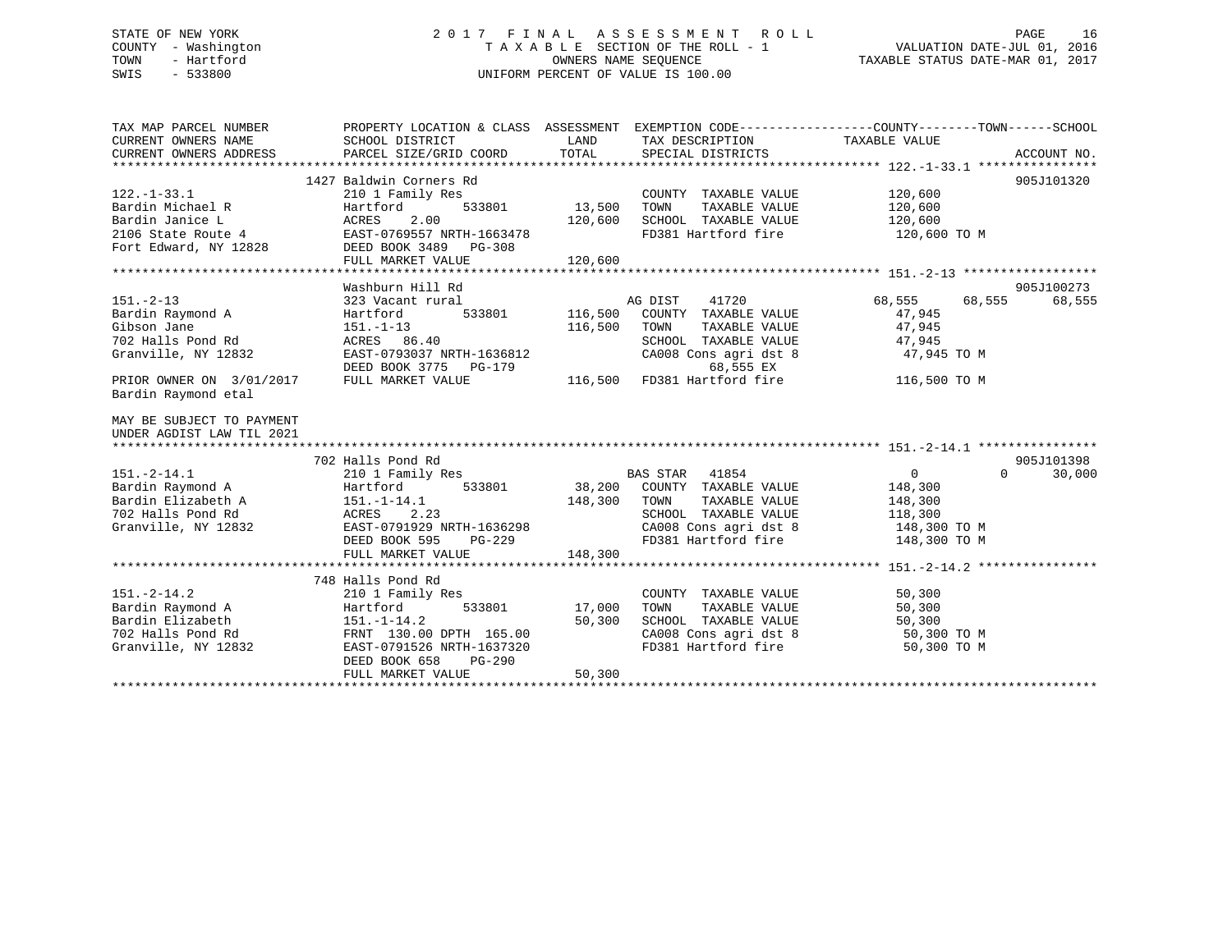# STATE OF NEW YORK 2 0 1 7 F I N A L A S S E S S M E N T R O L L PAGE 16 COUNTY - Washington T A X A B L E SECTION OF THE ROLL - 1 VALUATION DATE-JUL 01, 2016 TOWN - Hartford **TAXABLE STATUS DATE-MAR 01, 2017** SWIS - 533800 UNIFORM PERCENT OF VALUE IS 100.00

| TAX MAP PARCEL NUMBER<br>CURRENT OWNERS NAME<br>CURRENT OWNERS ADDRESS | PROPERTY LOCATION & CLASS ASSESSMENT<br>SCHOOL DISTRICT<br>PARCEL SIZE/GRID COORD | LAND<br>TOTAL      | EXEMPTION CODE-----------------COUNTY-------TOWN------SCHOOL<br>TAX DESCRIPTION<br>SPECIAL DISTRICTS | TAXABLE VALUE      | ACCOUNT NO.        |
|------------------------------------------------------------------------|-----------------------------------------------------------------------------------|--------------------|------------------------------------------------------------------------------------------------------|--------------------|--------------------|
| $122. - 1 - 33.1$                                                      | 1427 Baldwin Corners Rd<br>210 1 Family Res                                       |                    | COUNTY TAXABLE VALUE                                                                                 | 120,600            | 905J101320         |
| Bardin Michael R                                                       | Hartford<br>533801                                                                | 13,500             |                                                                                                      |                    |                    |
| Bardin Janice L                                                        | ACRES<br>2.00                                                                     | 120,600            | TAXABLE VALUE<br>TOWN<br>SCHOOL TAXABLE VALUE                                                        | 120,600<br>120,600 |                    |
| 2106 State Route 4                                                     | EAST-0769557 NRTH-1663478                                                         |                    | FD381 Hartford fire                                                                                  | 120,600 TO M       |                    |
| Fort Edward, NY 12828                                                  | DEED BOOK 3489 PG-308                                                             |                    |                                                                                                      |                    |                    |
|                                                                        | FULL MARKET VALUE                                                                 | 120,600            |                                                                                                      |                    |                    |
|                                                                        |                                                                                   |                    |                                                                                                      |                    |                    |
|                                                                        | Washburn Hill Rd                                                                  |                    |                                                                                                      |                    | 905J100273         |
| $151 - 2 - 13$                                                         | 323 Vacant rural                                                                  |                    | AG DIST<br>41720                                                                                     | 68,555<br>68,555   | 68,555             |
|                                                                        | 533801<br>Hartford                                                                |                    | COUNTY TAXABLE VALUE                                                                                 | 47,945             |                    |
| Bardin Raymond A<br>Gibson Jane                                        | $151. - 1 - 13$                                                                   | 116,500<br>116,500 | TAXABLE VALUE<br>TOWN                                                                                | 47,945             |                    |
| 702 Halls Pond Rd                                                      | ACRES 86.40                                                                       |                    |                                                                                                      |                    |                    |
|                                                                        | EAST-0793037 NRTH-1636812                                                         |                    | SCHOOL TAXABLE VALUE                                                                                 | 47,945             |                    |
| Granville, NY 12832                                                    | <b>PG-179</b>                                                                     |                    | CA008 Cons agri dst 8<br>68,555 EX                                                                   | 47,945 TO M        |                    |
|                                                                        | DEED BOOK 3775                                                                    |                    | FD381 Hartford fire                                                                                  |                    |                    |
| PRIOR OWNER ON 3/01/2017<br>Bardin Raymond etal                        | FULL MARKET VALUE                                                                 | 116,500            |                                                                                                      | 116,500 TO M       |                    |
| MAY BE SUBJECT TO PAYMENT<br>UNDER AGDIST LAW TIL 2021                 |                                                                                   |                    |                                                                                                      |                    |                    |
|                                                                        | 702 Halls Pond Rd                                                                 |                    |                                                                                                      |                    | 905J101398         |
| $151. - 2 - 14.1$                                                      | 210 1 Family Res                                                                  |                    | BAS STAR 41854                                                                                       | $\overline{0}$     | $\Omega$<br>30,000 |
| Bardin Raymond A                                                       | Hartford<br>533801                                                                |                    | 38,200 COUNTY TAXABLE VALUE                                                                          | 148,300            |                    |
| Bardin Elizabeth A                                                     | $151.-1-14.1$                                                                     | 148,300            | TOWN<br>TAXABLE VALUE                                                                                | 148,300            |                    |
| 702 Halls Pond Rd                                                      | ACRES<br>2.23                                                                     |                    | SCHOOL TAXABLE VALUE                                                                                 | 118,300            |                    |
| Granville, NY 12832                                                    | EAST-0791929 NRTH-1636298                                                         |                    | CA008 Cons agri dst 8                                                                                | 148,300 TO M       |                    |
|                                                                        | $PG-229$<br>DEED BOOK 595                                                         |                    | FD381 Hartford fire                                                                                  | 148,300 TO M       |                    |
|                                                                        | FULL MARKET VALUE                                                                 | 148,300            |                                                                                                      |                    |                    |
|                                                                        |                                                                                   |                    |                                                                                                      |                    |                    |
|                                                                        | 748 Halls Pond Rd                                                                 |                    |                                                                                                      |                    |                    |
| $151. - 2 - 14.2$                                                      | 210 1 Family Res                                                                  |                    | COUNTY TAXABLE VALUE                                                                                 | 50,300             |                    |
| Bardin Raymond A                                                       | 533801<br>Hartford                                                                | 17,000             | TOWN<br>TAXABLE VALUE                                                                                | 50,300             |                    |
| Bardin Elizabeth                                                       | $151. - 1 - 14.2$                                                                 | 50,300             | SCHOOL TAXABLE VALUE                                                                                 | 50,300             |                    |
| 702 Halls Pond Rd                                                      | FRNT 130.00 DPTH 165.00                                                           |                    | CA008 Cons agri dst 8                                                                                | 50,300 TO M        |                    |
| Granville, NY 12832                                                    | EAST-0791526 NRTH-1637320                                                         |                    | FD381 Hartford fire                                                                                  | 50,300 TO M        |                    |
|                                                                        | DEED BOOK 658<br>PG-290                                                           |                    |                                                                                                      |                    |                    |
|                                                                        | FULL MARKET VALUE                                                                 | 50,300             |                                                                                                      |                    |                    |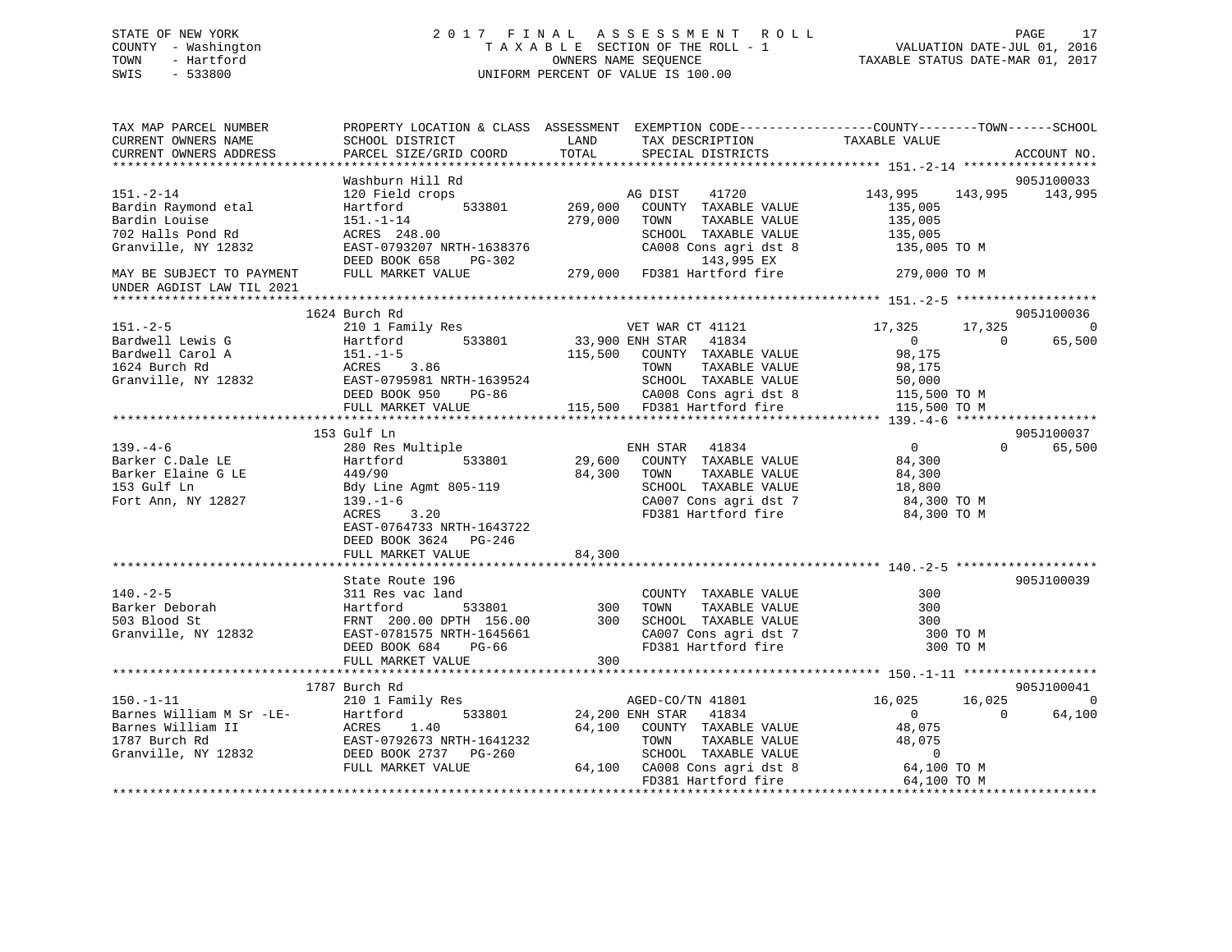# STATE OF NEW YORK 2 0 1 7 F I N A L A S S E S S M E N T R O L L PAGE 17 COUNTY - Washington T A X A B L E SECTION OF THE ROLL - 1 VALUATION DATE-JUL 01, 2016 TOWN - Hartford OWNERS NAME SEQUENCE TAXABLE STATUS DATE-MAR 01, 2017 SWIS - 533800 UNIFORM PERCENT OF VALUE IS 100.00

| TAX MAP PARCEL NUMBER<br>CURRENT OWNERS NAME<br>CURRENT OWNERS ADDRESS | SCHOOL DISTRICT<br>PARCEL SIZE/GRID COORD            | LAND<br>TAX DESCRIPTION<br>TOTAL<br>SPECIAL DISTRICTS | PROPERTY LOCATION & CLASS ASSESSMENT EXEMPTION CODE---------------COUNTY-------TOWN------SCHOOL<br>TAXABLE VALUE<br>ACCOUNT NO. |
|------------------------------------------------------------------------|------------------------------------------------------|-------------------------------------------------------|---------------------------------------------------------------------------------------------------------------------------------|
|                                                                        |                                                      |                                                       |                                                                                                                                 |
|                                                                        | Washburn Hill Rd                                     |                                                       | 905J100033                                                                                                                      |
| $151. - 2 - 14$                                                        | 120 Field crops                                      | 41720<br>AG DIST                                      | 143,995<br>143,995 143,995                                                                                                      |
| Bardin Raymond etal                                                    | 533801<br>Hartford                                   | 269,000<br>COUNTY TAXABLE VALUE                       | 135,005                                                                                                                         |
| Bardin Louise                                                          | $151. - 1 - 14$                                      | 279,000<br>TOWN<br>TAXABLE VALUE                      | 135,005                                                                                                                         |
| 702 Halls Pond Rd                                                      | ACRES 248.00                                         | SCHOOL TAXABLE VALUE                                  | 135,005                                                                                                                         |
| Granville, NY 12832                                                    | EAST-0793207 NRTH-1638376<br>DEED BOOK 658<br>PG-302 | CA008 Cons agri dst 8<br>143,995 EX                   | 135,005 TO M                                                                                                                    |
| MAY BE SUBJECT TO PAYMENT                                              | FULL MARKET VALUE                                    | 279,000<br>FD381 Hartford fire                        | 279,000 TO M                                                                                                                    |
| UNDER AGDIST LAW TIL 2021                                              |                                                      |                                                       |                                                                                                                                 |
|                                                                        |                                                      |                                                       |                                                                                                                                 |
|                                                                        | 1624 Burch Rd                                        |                                                       | 905J100036                                                                                                                      |
| $151 - 2 - 5$                                                          | 210 1 Family Res                                     | VET WAR CT 41121                                      | 17,325<br>17,325<br>$\overline{0}$                                                                                              |
| Bardwell Lewis G                                                       | Hartford<br>533801                                   | 33,900 ENH STAR 41834                                 | 65,500<br>$\overline{0}$<br>$\Omega$                                                                                            |
| Bardwell Carol A                                                       | $151.-1-5$                                           | 115,500<br>COUNTY TAXABLE VALUE                       | 98,175                                                                                                                          |
| 1624 Burch Rd                                                          | 3.86<br>ACRES                                        | TAXABLE VALUE<br>TOWN                                 | 98,175                                                                                                                          |
| Granville, NY 12832                                                    | EAST-0795981 NRTH-1639524                            | SCHOOL TAXABLE VALUE                                  | 50,000                                                                                                                          |
|                                                                        | DEED BOOK 950<br>PG-86                               | CA008 Cons agri dst 8                                 | 115,500 TO M                                                                                                                    |
|                                                                        | FULL MARKET VALUE                                    | 115,500 FD381 Hartford fire                           | 115,500 TO M                                                                                                                    |
|                                                                        |                                                      |                                                       |                                                                                                                                 |
|                                                                        | 153 Gulf Ln                                          |                                                       | 905J100037                                                                                                                      |
| $139. -4 - 6$                                                          | 280 Res Multiple                                     | ENH STAR 41834                                        | $\overline{0}$<br>$\Omega$<br>65,500                                                                                            |
| Barker C.Dale LE<br>Barker Elaine G LE                                 | 533801<br>Hartford<br>449/90                         | 29,600<br>COUNTY TAXABLE VALUE<br>84,300<br>TOWN      | 84,300                                                                                                                          |
| 153 Gulf Ln                                                            | Bdy Line Agmt 805-119                                | TAXABLE VALUE<br>SCHOOL TAXABLE VALUE                 | 84,300<br>18,800                                                                                                                |
| Fort Ann, NY 12827                                                     | $139. - 1 - 6$                                       | CA007 Cons agri dst 7                                 | 84,300 TO M                                                                                                                     |
|                                                                        | 3.20<br>ACRES                                        | FD381 Hartford fire                                   | 84,300 TO M                                                                                                                     |
|                                                                        | EAST-0764733 NRTH-1643722                            |                                                       |                                                                                                                                 |
|                                                                        | DEED BOOK 3624 PG-246                                |                                                       |                                                                                                                                 |
|                                                                        | FULL MARKET VALUE                                    | 84,300                                                |                                                                                                                                 |
|                                                                        |                                                      |                                                       |                                                                                                                                 |
|                                                                        | State Route 196                                      |                                                       | 905J100039                                                                                                                      |
| $140. - 2 - 5$                                                         | 311 Res vac land                                     | COUNTY TAXABLE VALUE                                  | 300                                                                                                                             |
| Barker Deborah                                                         | 533801<br>Hartford                                   | 300<br>TOWN<br>TAXABLE VALUE                          | 300                                                                                                                             |
| 503 Blood St                                                           | FRNT 200.00 DPTH 156.00                              | 300<br>SCHOOL TAXABLE VALUE                           | 300                                                                                                                             |
| Granville, NY 12832                                                    | EAST-0781575 NRTH-1645661                            | CA007 Cons agri dst 7                                 | 300 TO M                                                                                                                        |
|                                                                        | DEED BOOK 684<br>PG-66                               | FD381 Hartford fire                                   | 300 TO M                                                                                                                        |
|                                                                        | FULL MARKET VALUE                                    | 300                                                   |                                                                                                                                 |
|                                                                        |                                                      |                                                       |                                                                                                                                 |
|                                                                        | 1787 Burch Rd                                        |                                                       | 905J100041                                                                                                                      |
| $150. - 1 - 11$                                                        | 210 1 Family Res<br>533801                           | AGED-CO/TN 41801<br>24,200 ENH STAR 41834             | 16,025<br>16,025<br>$\Omega$<br>64,100<br>$\Omega$<br>$\Omega$                                                                  |
| Barnes William M Sr -LE-<br>Barnes William II<br>1787 Burch Rd         | Hartford<br>1.40<br>ACRES                            | 64,100<br>COUNTY TAXABLE VALUE                        | 48,075                                                                                                                          |
|                                                                        | EAST-0792673 NRTH-1641232                            | TOWN<br>TAXABLE VALUE                                 | 48,075                                                                                                                          |
| Granville, NY 12832                                                    | DEED BOOK 2737 PG-260                                | SCHOOL TAXABLE VALUE                                  | $\mathbf 0$                                                                                                                     |
|                                                                        | FULL MARKET VALUE                                    | 64,100 CA008 Cons agri dst 8                          | 64,100 TO M                                                                                                                     |
|                                                                        |                                                      | FD381 Hartford fire                                   | 64,100 TO M                                                                                                                     |
|                                                                        |                                                      |                                                       |                                                                                                                                 |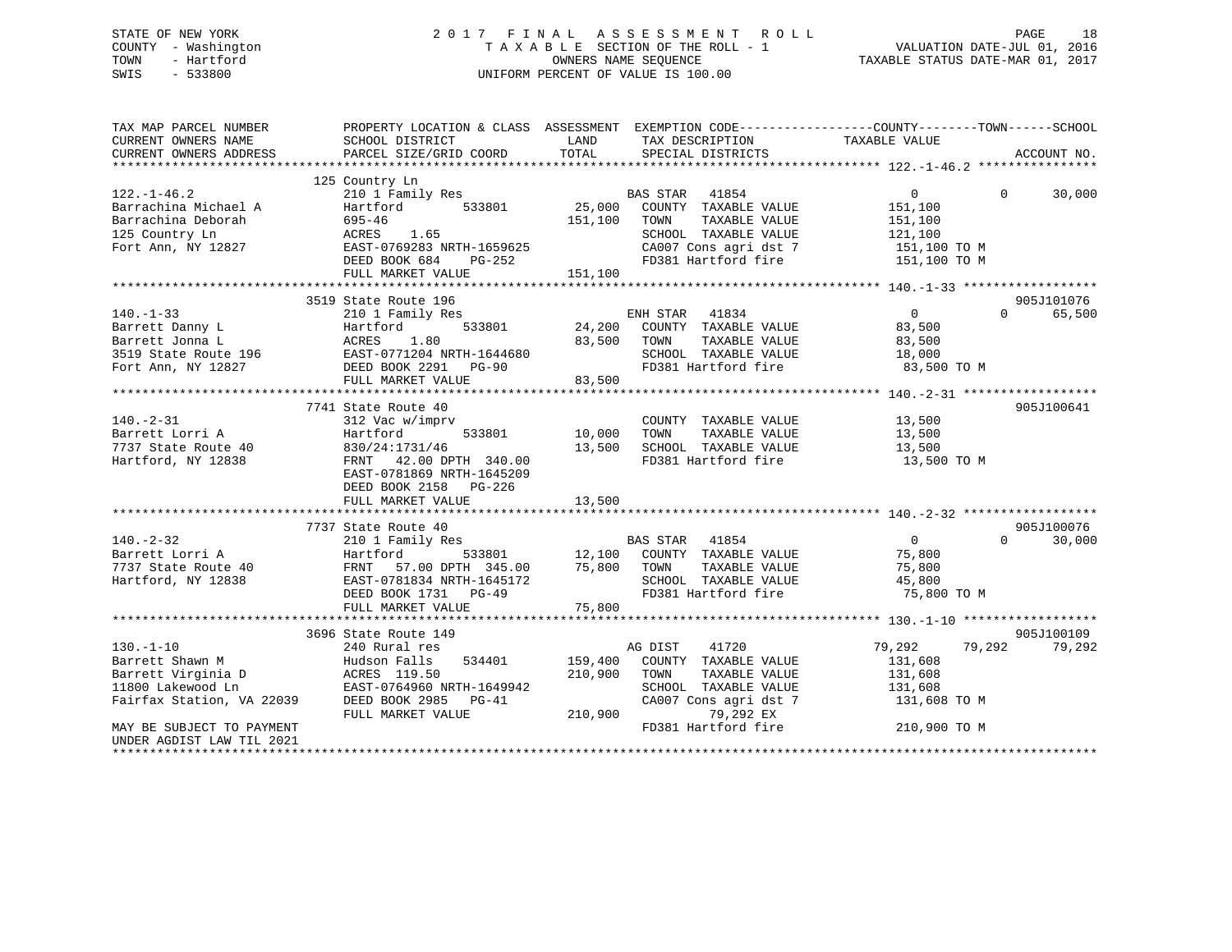# STATE OF NEW YORK 2 0 1 7 F I N A L A S S E S S M E N T R O L L PAGE 18 COUNTY - Washington T A X A B L E SECTION OF THE ROLL - 1 VALUATION DATE-JUL 01, 2016 TOWN - Hartford OWNERS NAME SEQUENCE TAXABLE STATUS DATE-MAR 01, 2017 SWIS - 533800 UNIFORM PERCENT OF VALUE IS 100.00

| TAX MAP PARCEL NUMBER     | PROPERTY LOCATION & CLASS ASSESSMENT EXEMPTION CODE----------------COUNTY-------TOWN------SCHOOL                                                                                                       |                     |                                 |                         |                    |
|---------------------------|--------------------------------------------------------------------------------------------------------------------------------------------------------------------------------------------------------|---------------------|---------------------------------|-------------------------|--------------------|
| CURRENT OWNERS NAME       | SCHOOL DISTRICT                                                                                                                                                                                        | LAND<br>TOTAL       | TAX DESCRIPTION                 | TAXABLE VALUE           |                    |
| CURRENT OWNERS ADDRESS    | PARCEL SIZE/GRID COORD                                                                                                                                                                                 |                     | SPECIAL DISTRICTS               |                         | ACCOUNT NO.        |
|                           |                                                                                                                                                                                                        |                     |                                 |                         |                    |
| $122. - 1 - 46.2$         | 125 Country Ln<br>210 1 Family Res                                                                                                                                                                     |                     | BAS STAR 41854                  | $\overline{0}$          | $0 \t 30,000$      |
|                           |                                                                                                                                                                                                        | 533801 25,000       | COUNTY TAXABLE VALUE            | 151,100                 |                    |
|                           | Exercise of Partial Pressure of Partial Pressure of the Barrachina Deborah<br>125 Country Ln<br>125 Country Ln<br>126 Country Ln<br>12827 EAST-0769283 NRTH-1659625<br>12827 EAST-0769283 NRTH-1659625 | 151,100             | TOWN<br>TAXABLE VALUE           | 151,100                 |                    |
|                           |                                                                                                                                                                                                        |                     |                                 | 121, 100                |                    |
|                           |                                                                                                                                                                                                        |                     | SCHOOL TAXABLE VALUE            |                         |                    |
|                           |                                                                                                                                                                                                        | =-1059025<br>PG-252 | CA007 Cons agri dst 7           | 151,100 TO M            |                    |
|                           | DEED BOOK 684                                                                                                                                                                                          |                     | FD381 Hartford fire             | 151,100 TO M            |                    |
|                           | FULL MARKET VALUE                                                                                                                                                                                      | 151,100             |                                 |                         |                    |
|                           |                                                                                                                                                                                                        |                     |                                 |                         |                    |
|                           | 3519 State Route 196                                                                                                                                                                                   |                     |                                 |                         | 905J101076         |
| $140. - 1 - 33$           | 210 1 Family Res                                                                                                                                                                                       |                     | ENH STAR 41834                  | $\overline{0}$          | $\Omega$<br>65,500 |
| Barrett Danny L           | Hartford                                                                                                                                                                                               | 533801 24,200       | COUNTY TAXABLE VALUE            | 83,500                  |                    |
|                           |                                                                                                                                                                                                        |                     | TOWN                            |                         |                    |
|                           |                                                                                                                                                                                                        |                     | SCHOOL TAXABLE VALUE            |                         |                    |
|                           | Barrett Jonna L<br>Barrett Jonna L<br>3519 State Route 196 EAST-0771204 NRTH-1644680<br>Fort Ann, NY 12827 DEED BOOK 2291 PG-90                                                                        |                     | FD381 Hartford fire 33,500 TO M |                         |                    |
|                           | FULL MARKET VALUE                                                                                                                                                                                      | 83,500              |                                 |                         |                    |
|                           |                                                                                                                                                                                                        |                     |                                 |                         |                    |
|                           | 7741 State Route 40                                                                                                                                                                                    |                     |                                 |                         | 905J100641         |
| $140. - 2 - 31$           | 312 Vac w/imprv                                                                                                                                                                                        |                     | COUNTY TAXABLE VALUE            | 13,500                  |                    |
|                           | 533801 10,000                                                                                                                                                                                          |                     | TOWN<br>TAXABLE VALUE           | 13,500                  |                    |
|                           |                                                                                                                                                                                                        | 13,500              | SCHOOL TAXABLE VALUE            | 13,500                  |                    |
| Hartford, NY 12838        | FRNT 42.00 DPTH 340.00                                                                                                                                                                                 |                     | FD381 Hartford fire             | 13,500 TO M             |                    |
|                           | EAST-0781869 NRTH-1645209                                                                                                                                                                              |                     |                                 |                         |                    |
|                           | DEED BOOK 2158 PG-226                                                                                                                                                                                  |                     |                                 |                         |                    |
|                           | FULL MARKET VALUE                                                                                                                                                                                      | 13,500              |                                 |                         |                    |
|                           |                                                                                                                                                                                                        |                     |                                 |                         |                    |
|                           | 7737 State Route 40                                                                                                                                                                                    |                     |                                 |                         | 905J100076         |
| $140. -2 - 32$            | 210 1 Family Res                                                                                                                                                                                       |                     | <b>BAS STAR</b> 41854           | $\overline{0}$          | $\Omega$<br>30,000 |
| Barrett Lorri A           |                                                                                                                                                                                                        | 533801 12,100       | COUNTY TAXABLE VALUE 75,800     |                         |                    |
| 7737 State Route 40       |                                                                                                                                                                                                        |                     | TOWN<br>TAXABLE VALUE           | 75,800                  |                    |
| Hartford, NY 12838        | Hartford 533801<br>40 FRNT 57.00 DPTH 345.00<br>88 EAST-0781834 NRTH-1645172                                                                                                                           | 75,800              | SCHOOL TAXABLE VALUE            | 45,800                  |                    |
|                           | DEED BOOK 1731 PG-49                                                                                                                                                                                   |                     | FD381 Hartford fire             | 75,800 TO M             |                    |
|                           | FULL MARKET VALUE                                                                                                                                                                                      | 75,800              |                                 |                         |                    |
|                           |                                                                                                                                                                                                        |                     |                                 |                         |                    |
|                           | 3696 State Route 149                                                                                                                                                                                   |                     |                                 |                         | 905J100109         |
|                           |                                                                                                                                                                                                        |                     | AG DIST<br>41720                | 79,292                  | 79,292<br>79,292   |
|                           |                                                                                                                                                                                                        | 159,400             | COUNTY TAXABLE VALUE            | 131,608                 |                    |
|                           |                                                                                                                                                                                                        | 210,900             | TAXABLE VALUE<br>TOWN           | 131,608                 |                    |
|                           |                                                                                                                                                                                                        |                     | SCHOOL TAXABLE VALUE            |                         |                    |
|                           |                                                                                                                                                                                                        |                     | CA007 Cons agri dst 7           | 131,608<br>131,608 TO M |                    |
|                           | FULL MARKET VALUE                                                                                                                                                                                      |                     | 210,900 79,292 EX               |                         |                    |
| MAY BE SUBJECT TO PAYMENT |                                                                                                                                                                                                        |                     | FD381 Hartford fire             | 210,900 TO M            |                    |
| UNDER AGDIST LAW TIL 2021 |                                                                                                                                                                                                        |                     |                                 |                         |                    |
|                           |                                                                                                                                                                                                        |                     |                                 |                         |                    |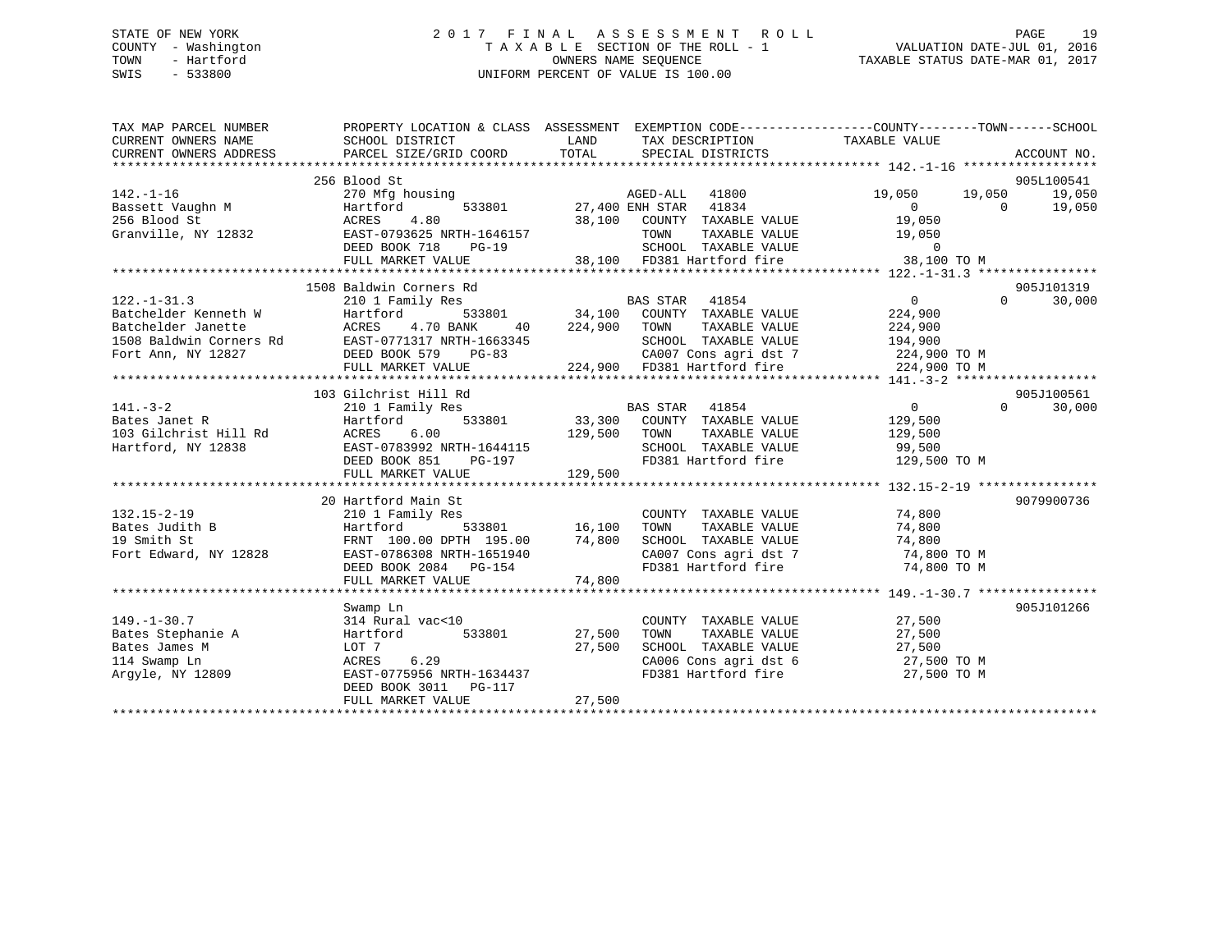# STATE OF NEW YORK 2 0 1 7 F I N A L A S S E S S M E N T R O L L PAGE 19 COUNTY - Washington T A X A B L E SECTION OF THE ROLL - 1 VALUATION DATE-JUL 01, 2016 TOWN - Hartford **TAXABLE STATUS DATE-MAR 01, 2017** SWIS - 533800 UNIFORM PERCENT OF VALUE IS 100.00

| TAX MAP PARCEL NUMBER                       |                                                                                                                       |                                                                                                       | PROPERTY LOCATION & CLASS ASSESSMENT EXEMPTION CODE---------------COUNTY-------TOWN------SCHOOL |
|---------------------------------------------|-----------------------------------------------------------------------------------------------------------------------|-------------------------------------------------------------------------------------------------------|-------------------------------------------------------------------------------------------------|
| CURRENT OWNERS NAME                         | SCHOOL DISTRICT                                                                                                       | LAND<br>TAX DESCRIPTION                                                                               | TAXABLE VALUE                                                                                   |
| CURRENT OWNERS ADDRESS                      | PARCEL SIZE/GRID COORD                                                                                                | TOTAL<br>SPECIAL DISTRICTS                                                                            | ACCOUNT NO.                                                                                     |
|                                             |                                                                                                                       |                                                                                                       | 905L100541                                                                                      |
| $142. - 1 - 16$                             | 256 Blood St<br>270 Mfg housing                                                                                       | AGED-ALL 41800                                                                                        | 19,050 19,050<br>19,050                                                                         |
|                                             | 533801<br>Hartford                                                                                                    | 27,400 ENH STAR 41834                                                                                 | 19,050                                                                                          |
| Bassett Vaughn M<br>256 Blood St            | ACRES<br>4.80                                                                                                         | 38,100 COUNTY TAXABLE VALUE                                                                           | $\begin{matrix}0&&&&0\end{matrix}$ 19,050                                                       |
|                                             | Granville, NY 12832 EAST-0793625 NRTH-1646157                                                                         | TOWN                                                                                                  | TAXABLE VALUE 19,050                                                                            |
|                                             | DEED BOOK 718<br>$PG-19$                                                                                              |                                                                                                       |                                                                                                 |
|                                             | FULL MARKET VALUE                                                                                                     | SCHOOL TAXABLE VALUE 0<br>38,100 FD381 Hartford fire 38,100 TO M                                      |                                                                                                 |
|                                             |                                                                                                                       |                                                                                                       |                                                                                                 |
|                                             | 1508 Baldwin Corners Rd                                                                                               |                                                                                                       | 905J101319                                                                                      |
| $122. - 1 - 31.3$                           | 210 1 Family Res                                                                                                      | <b>BAS STAR 41854</b>                                                                                 | $\overline{0}$<br>$\Omega$<br>30,000                                                            |
|                                             |                                                                                                                       | 533801 34,100 COUNTY TAXABLE VALUE                                                                    | 224,900                                                                                         |
|                                             |                                                                                                                       | 40 224,900 TOWN<br>TAXABLE VALUE                                                                      | 224,900                                                                                         |
|                                             |                                                                                                                       | SCHOOL TAXABLE VALUE 194,900                                                                          |                                                                                                 |
| Fort Ann, NY 12827                          | DEED BOOK 579<br>$PG-83$                                                                                              | 224,900 FD381 Hartford fire<br>G-83 224,900 FD381 Hartford fire<br>CA007 Cons agri dst 7 224,900 TO M |                                                                                                 |
|                                             | FULL MARKET VALUE                                                                                                     |                                                                                                       | 224,900 TO M                                                                                    |
|                                             |                                                                                                                       |                                                                                                       |                                                                                                 |
|                                             | 103 Gilchrist Hill Rd                                                                                                 |                                                                                                       | 905J100561                                                                                      |
| $141. - 3 - 2$                              | 210 1 Family Res                                                                                                      | <b>BAS STAR</b> 41854                                                                                 | $\overline{0}$<br>$\Omega$<br>30,000                                                            |
| Bates Janet R                               | Hartford                                                                                                              | 533801 33,300 COUNTY TAXABLE VALUE                                                                    | 129,500                                                                                         |
| 103 Gilchrist Hill Rd<br>Hartford, NY 12838 | ACRES<br>6.00                                                                                                         | 129,500 TOWN<br>TAXABLE VALUE                                                                         | 129,500                                                                                         |
|                                             | EAST-0783992 NRTH-1644115                                                                                             | SCHOOL TAXABLE VALUE<br>FD381 Hartford fire<br>H-1644115<br>PG-197                                    | 99,500                                                                                          |
|                                             | DEED BOOK 851                                                                                                         |                                                                                                       | 129,500 TO M                                                                                    |
|                                             | FULL MARKET VALUE                                                                                                     | 129,500                                                                                               |                                                                                                 |
|                                             | 20 Hartford Main St                                                                                                   |                                                                                                       | 9079900736                                                                                      |
| $132.15 - 2 - 19$                           | 210 1 Family Res                                                                                                      | COUNTY TAXABLE VALUE                                                                                  | 74,800                                                                                          |
| Bates Judith B                              | Hartford                                                                                                              | TAXABLE VALUE<br>TOWN                                                                                 | 74,800                                                                                          |
| 19 Smith St                                 | $\begin{array}{cccc} 1 & 533801 & 16,100 \\ 0 & \text{DPTH} & 195.00 & 74,800 \end{array}$<br>FRNT 100.00 DPTH 195.00 | SCHOOL TAXABLE VALUE                                                                                  | 74,800                                                                                          |
| Fort Edward, NY 12828                       | EAST-0786308 NRTH-1651940                                                                                             | CA007 Cons agri dst 7 74,800 TO M                                                                     |                                                                                                 |
|                                             | DEED BOOK 2084 PG-154                                                                                                 | FD381 Hartford fire                                                                                   | 74,800 TO M                                                                                     |
|                                             | FULL MARKET VALUE                                                                                                     | 74,800                                                                                                |                                                                                                 |
|                                             |                                                                                                                       |                                                                                                       |                                                                                                 |
|                                             | Swamp Ln                                                                                                              |                                                                                                       | 905J101266                                                                                      |
| $149. - 1 - 30.7$                           | 314 Rural vac<10                                                                                                      | COUNTY TAXABLE VALUE 27,500                                                                           |                                                                                                 |
| Bates Stephanie A                           | Hartford<br>533801                                                                                                    | 27,500<br>TOWN<br>TAXABLE VALUE                                                                       | 27,500                                                                                          |
| Bates James M                               | LOT 7                                                                                                                 | 27,500<br>SCHOOL TAXABLE VALUE 27,500<br>CA006 Cons agri dst 6 27,500 TO M                            |                                                                                                 |
| 114 Swamp Ln                                | 6.29<br>ACRES                                                                                                         |                                                                                                       |                                                                                                 |
| Argyle, NY 12809                            | EAST-0775956 NRTH-1634437                                                                                             | FD381 Hartford fire                                                                                   | 27,500 TO M                                                                                     |
|                                             | DEED BOOK 3011    PG-117                                                                                              |                                                                                                       |                                                                                                 |
|                                             |                                                                                                                       |                                                                                                       |                                                                                                 |
|                                             |                                                                                                                       |                                                                                                       |                                                                                                 |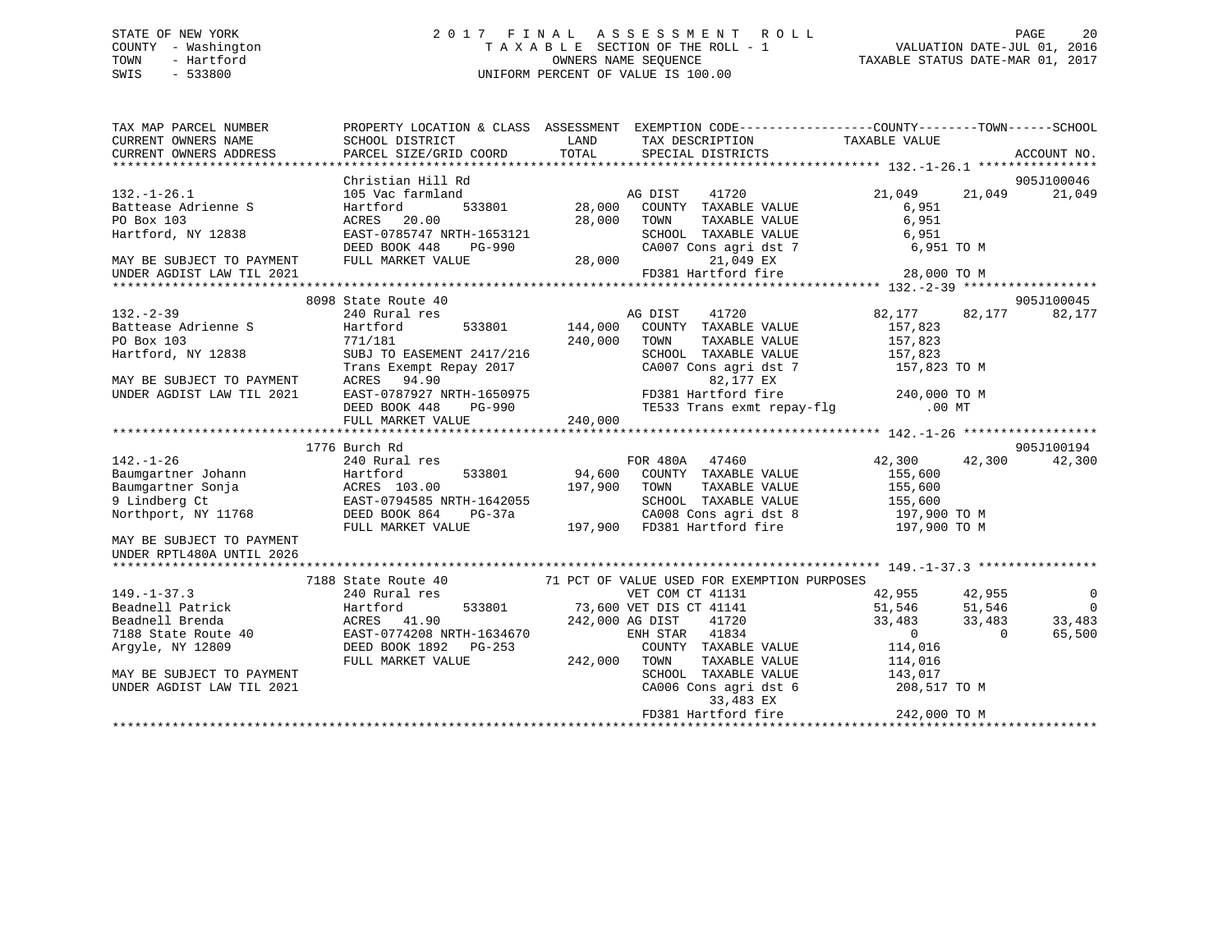# STATE OF NEW YORK 20 17 FINAL ASSESSMENT ROLL PAGE 20 COUNTY - Washington  $T A X A B L E$  SECTION OF THE ROLL - 1<br>TOWN - Hartford SWIS - 533800 UNIFORM PERCENT OF VALUE IS 100.00

| TAX MAP PARCEL NUMBER                                                |                           | PROPERTY LOCATION & CLASS ASSESSMENT EXEMPTION CODE---------------COUNTY-------TOWN------SCHOOL                                                                                                                                                                                      |                                                                         |                          |
|----------------------------------------------------------------------|---------------------------|--------------------------------------------------------------------------------------------------------------------------------------------------------------------------------------------------------------------------------------------------------------------------------------|-------------------------------------------------------------------------|--------------------------|
|                                                                      |                           |                                                                                                                                                                                                                                                                                      |                                                                         |                          |
|                                                                      |                           |                                                                                                                                                                                                                                                                                      |                                                                         |                          |
|                                                                      |                           |                                                                                                                                                                                                                                                                                      |                                                                         |                          |
|                                                                      |                           |                                                                                                                                                                                                                                                                                      |                                                                         | 905J100046               |
|                                                                      |                           |                                                                                                                                                                                                                                                                                      |                                                                         | 21,049                   |
|                                                                      |                           |                                                                                                                                                                                                                                                                                      |                                                                         |                          |
|                                                                      |                           |                                                                                                                                                                                                                                                                                      |                                                                         |                          |
|                                                                      |                           |                                                                                                                                                                                                                                                                                      |                                                                         |                          |
|                                                                      |                           |                                                                                                                                                                                                                                                                                      |                                                                         |                          |
|                                                                      |                           |                                                                                                                                                                                                                                                                                      |                                                                         |                          |
|                                                                      |                           |                                                                                                                                                                                                                                                                                      |                                                                         |                          |
|                                                                      |                           | 132.-1-26.1<br>21,049<br>21,049<br>21,049<br>21,049<br>21,049<br>21,049<br>21,049<br>21,049<br>21,049<br>21,049<br>21,049<br>21,049<br>21,049<br>21,049<br>21,049<br>21,049<br>21,049<br>21,049<br>21,049<br>21,049<br>21,049<br>21,049<br>21,049<br>21,049<br>21,049<br>21,049<br>2 |                                                                         |                          |
|                                                                      | 8098 State Route 40       |                                                                                                                                                                                                                                                                                      |                                                                         | 905J100045               |
| $132 - 2 - 39$                                                       | 240 Rural res             | res<br>533801 144,000 COUNTY TAXABLE VALUE<br>533801 144,000 COUNTY TAXABLE VALUE<br>57,823                                                                                                                                                                                          | 41720 82,177 82,177                                                     | 82,177                   |
|                                                                      |                           |                                                                                                                                                                                                                                                                                      |                                                                         |                          |
|                                                                      |                           | TAXABLE VALUE<br>240,000 TOWN                                                                                                                                                                                                                                                        | 157,823                                                                 |                          |
| Partease Adrienne S<br>Po Box 103<br>Hartford, NY 12838<br>SUBJ TO E | SUBJ TO EASEMENT 2417/216 | SCHOOL TAXABLE VALUE 157,823                                                                                                                                                                                                                                                         |                                                                         |                          |
|                                                                      |                           |                                                                                                                                                                                                                                                                                      |                                                                         |                          |
| MAY BE SUBJECT TO PAYMENT                                            |                           |                                                                                                                                                                                                                                                                                      |                                                                         |                          |
| UNDER AGDIST LAW TIL 2021                                            |                           |                                                                                                                                                                                                                                                                                      |                                                                         |                          |
|                                                                      |                           | Trans Exempt Repay 2017<br>Trans Exempt Repay 2017<br>RES 94.90<br>EAST-0787927 NRTH-1650975<br>DEED BOOK 448 PG-990<br>FULL MARKET VALUE 240,000<br>PD381 Hartford fire 240,000 TO M<br>TE533 Trans exmt repay-flg .00 MT<br>PULL MARKET VALU                                       |                                                                         |                          |
|                                                                      |                           |                                                                                                                                                                                                                                                                                      |                                                                         |                          |
|                                                                      |                           |                                                                                                                                                                                                                                                                                      |                                                                         |                          |
|                                                                      |                           | 1/10 Burd in the country TAXABLE VALUE<br>240 Rural res<br>Baumgartner Johann Hartford 533801 94,600 COUNTY TAXABLE VALUE<br>94,600 COUNTY TAXABLE VALUE 155,600<br>9 Lindberg Ct EAST-0794585 NRTH-1642055<br>Northport, NY 11768 DEED                                              |                                                                         | 905J100194               |
|                                                                      |                           |                                                                                                                                                                                                                                                                                      |                                                                         | 42,300                   |
|                                                                      |                           |                                                                                                                                                                                                                                                                                      |                                                                         |                          |
|                                                                      |                           |                                                                                                                                                                                                                                                                                      |                                                                         |                          |
|                                                                      |                           |                                                                                                                                                                                                                                                                                      |                                                                         |                          |
|                                                                      |                           |                                                                                                                                                                                                                                                                                      |                                                                         |                          |
|                                                                      |                           |                                                                                                                                                                                                                                                                                      |                                                                         |                          |
|                                                                      |                           |                                                                                                                                                                                                                                                                                      |                                                                         |                          |
|                                                                      |                           |                                                                                                                                                                                                                                                                                      |                                                                         |                          |
|                                                                      |                           |                                                                                                                                                                                                                                                                                      |                                                                         |                          |
|                                                                      |                           | 7188 State Route 40 71 PCT OF VALUE USED FOR EXEMPTION PURPOSES                                                                                                                                                                                                                      |                                                                         |                          |
|                                                                      |                           |                                                                                                                                                                                                                                                                                      |                                                                         | $\overline{\phantom{0}}$ |
|                                                                      |                           |                                                                                                                                                                                                                                                                                      |                                                                         | $\overline{0}$           |
|                                                                      |                           | 149.-1-37.3<br>240 Rural res<br>Beadnell Patrick<br>Beadnell Brenda<br>240 Rural res<br>240 Rural res<br>240 Rural res<br>242,000 RCES<br>242,000 RG DIST<br>242,000 RG DIST<br>242,000 RG DIST<br>242,000 RG DIST<br>242,000 RG DIST<br>242,000 RG DIST                             |                                                                         | 33,483                   |
|                                                                      |                           |                                                                                                                                                                                                                                                                                      |                                                                         | 65,500                   |
|                                                                      |                           |                                                                                                                                                                                                                                                                                      |                                                                         |                          |
|                                                                      |                           |                                                                                                                                                                                                                                                                                      |                                                                         |                          |
| MAY BE SUBJECT TO PAYMENT                                            |                           |                                                                                                                                                                                                                                                                                      |                                                                         |                          |
| UNDER AGDIST LAW TIL 2021                                            |                           |                                                                                                                                                                                                                                                                                      | SCHOOL TAXABLE VALUE<br>CA006 Cons agri dst 6 208,517 TO M<br>33.483 EX |                          |
|                                                                      |                           | 33,483 EX                                                                                                                                                                                                                                                                            |                                                                         |                          |
|                                                                      |                           | FD381 Hartford fire                                                                                                                                                                                                                                                                  | 242,000 TO M                                                            |                          |
|                                                                      |                           |                                                                                                                                                                                                                                                                                      |                                                                         |                          |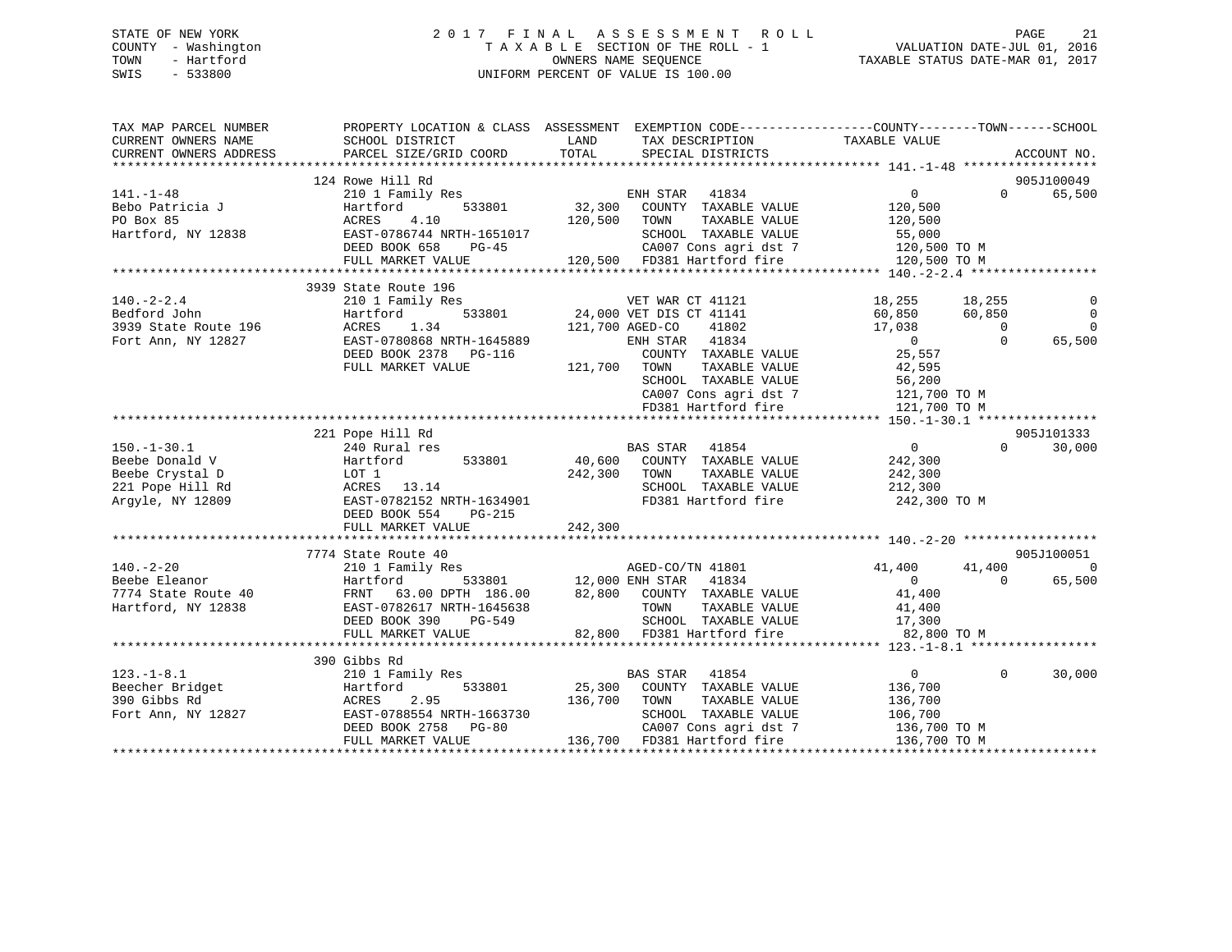# STATE OF NEW YORK 2 0 1 7 F I N A L A S S E S S M E N T R O L L PAGE 21 COUNTY - Washington T A X A B L E SECTION OF THE ROLL - 1 VALUATION DATE-JUL 01, 2016 TOWN - Hartford **TAXABLE STATUS DATE-MAR 01, 2017** SWIS - 533800 UNIFORM PERCENT OF VALUE IS 100.00

| TAX MAP PARCEL NUMBER<br>CURRENT OWNERS NAME                                               | SCHOOL DISTRICT                                                                                                                                                         | PROPERTY LOCATION & CLASS ASSESSMENT EXEMPTION CODE---------------COUNTY-------TOWN------SCHOOL<br>LAND<br>TAX DESCRIPTION<br>TOTAL                                                                             | TAXABLE VALUE<br>ACCOUNT NO.                                                                                                                                                                            |
|--------------------------------------------------------------------------------------------|-------------------------------------------------------------------------------------------------------------------------------------------------------------------------|-----------------------------------------------------------------------------------------------------------------------------------------------------------------------------------------------------------------|---------------------------------------------------------------------------------------------------------------------------------------------------------------------------------------------------------|
| CURRENT OWNERS ADDRESS                                                                     | PARCEL SIZE/GRID COORD                                                                                                                                                  | SPECIAL DISTRICTS                                                                                                                                                                                               |                                                                                                                                                                                                         |
|                                                                                            | 124 Rowe Hill Rd                                                                                                                                                        |                                                                                                                                                                                                                 | 905J100049                                                                                                                                                                                              |
| $141. - 1 - 48$<br>Bebo Patricia J<br>PO Box 85<br>Hartford, NY 12838                      | 210 1 Family Res<br>Hartford<br>533801<br>4.10<br>ACRES<br>EAST-0786744 NRTH-1651017<br>DEED BOOK 658<br>PG-45                                                          | ENH STAR 41834<br>32,300 COUNTY TAXABLE VALUE<br>120,500 TOWN<br>TAXABLE VALUE<br>SCHOOL TAXABLE VALUE 55,000<br>CA007 Cons agri dst 7 120,500 TO M<br>120,500 FD381 Hartford fire 120,500 TO M                 | $0 \qquad \qquad$<br>65,500<br>$\Omega$<br>120,500<br>120,500                                                                                                                                           |
|                                                                                            | FULL MARKET VALUE                                                                                                                                                       |                                                                                                                                                                                                                 |                                                                                                                                                                                                         |
|                                                                                            |                                                                                                                                                                         |                                                                                                                                                                                                                 |                                                                                                                                                                                                         |
| $140. -2 - 2.4$<br>Bedford John<br>3939 State Route 196<br>Fort Ann, NY 12827              | 3939 State Route 196<br>210 1 Family Res<br>Hartford<br>ACRES<br>1.34<br>EAST-0780868 NRTH-1645889<br>DEED BOOK 2378 PG-116<br>FULL MARKET VALUE                        | 3<br>533801 24,000 VET DIS CT 41141<br>121,700 AGED-CO 41802<br>ENH STAR 41834<br>COUNTY TAXABLE VALUE<br>121,700 TOWN<br>TAXABLE VALUE<br>SCHOOL TAXABLE VALUE<br>CA007 Cons agri dst 7<br>FD381 Hartford fire | 18,255<br>18,255<br>60,850<br>$\overline{0}$<br>60,850<br>17,038<br>$\overline{\phantom{0}}$<br>0<br>$\Omega$<br>65,500<br>$\overline{0}$<br>25,557<br>42,595<br>56,200<br>121,700 TO M<br>121,700 TO M |
|                                                                                            |                                                                                                                                                                         |                                                                                                                                                                                                                 |                                                                                                                                                                                                         |
| $150.-1-30.1$<br>Beebe Donald V<br>Beebe Crystal D<br>221 Pope Hill Rd<br>Arqyle, NY 12809 | 221 Pope Hill Rd<br>240 Rural res<br>Hartford 533801<br>LOT 1<br>ACRES 13.14<br>EAST-0782152 N<br>EAST-0782152 NRTH-1634901<br>DEED BOOK 554<br>$PG-215$                | BAS STAR 41854<br>40,600 COUNTY TAXABLE VALUE<br>242,300 TOWN<br>TAXABLE VALUE<br>SCHOOL TAXABLE VALUE 212,300<br>FD381 Hartford fire                                                                           | 905J101333<br>$\overline{0}$<br>$\Omega$<br>30,000<br>242,300<br>242,300<br>242,300 TO M                                                                                                                |
|                                                                                            | FULL MARKET VALUE                                                                                                                                                       | 242,300                                                                                                                                                                                                         |                                                                                                                                                                                                         |
|                                                                                            |                                                                                                                                                                         |                                                                                                                                                                                                                 |                                                                                                                                                                                                         |
| $140. - 2 - 20$<br>Beebe Eleanor<br>7774 State Route 40<br>Hartford, NY 12838              | 7774 State Route 40<br>210 1 Family Res<br>Hartford 533801<br>40 FRNT 63.00 DPTH 186.00<br>38 EAST-0782617 NRTH-1645638<br>DEED BOOK 390<br>PG-549<br>FULL MARKET VALUE | AGED-CO/TN 41801<br>533801 12,000 ENH STAR<br>41834<br>FRNT 63.00 DPTH $186.00$ 82,800 COUNTY TAXABLE VALUE<br>TOWN TAXABLE VALUE 41,400<br>SCHOOL TAXABLE VALUE 17,300<br>82,800 FD381 Hartford fire 82,800    | 905J100051<br>$\overline{0}$<br>41,400<br>41,400<br>$\overline{0}$<br>65,500<br>$\Omega$<br>41,400<br>82,800 TO M                                                                                       |
|                                                                                            |                                                                                                                                                                         |                                                                                                                                                                                                                 |                                                                                                                                                                                                         |
| $123. - 1 - 8.1$<br>Beecher Bridget<br>390 Gibbs Rd<br>Fort Ann, NY 12827                  | 390 Gibbs Rd<br>210 1 Family Res<br>533801<br>Hartford<br>2.95<br>ACRES<br>EAST-0788554 NRTH-1663730<br>DEED BOOK 2758 PG-80<br>FULL MARKET VALUE                       | BAS STAR<br>41854<br>25,300 COUNTY TAXABLE VALUE<br>136,700<br>TOWN<br>TAXABLE VALUE<br>SCHOOL TAXABLE VALUE<br>CA007 Cons agri dst 7<br>136,700 FD381 Hartford fire                                            | 30,000<br>$\overline{0}$<br>$\Omega$<br>136,700<br>136,700<br>106,700<br>$136,700$ TO M<br>136,700 TO M                                                                                                 |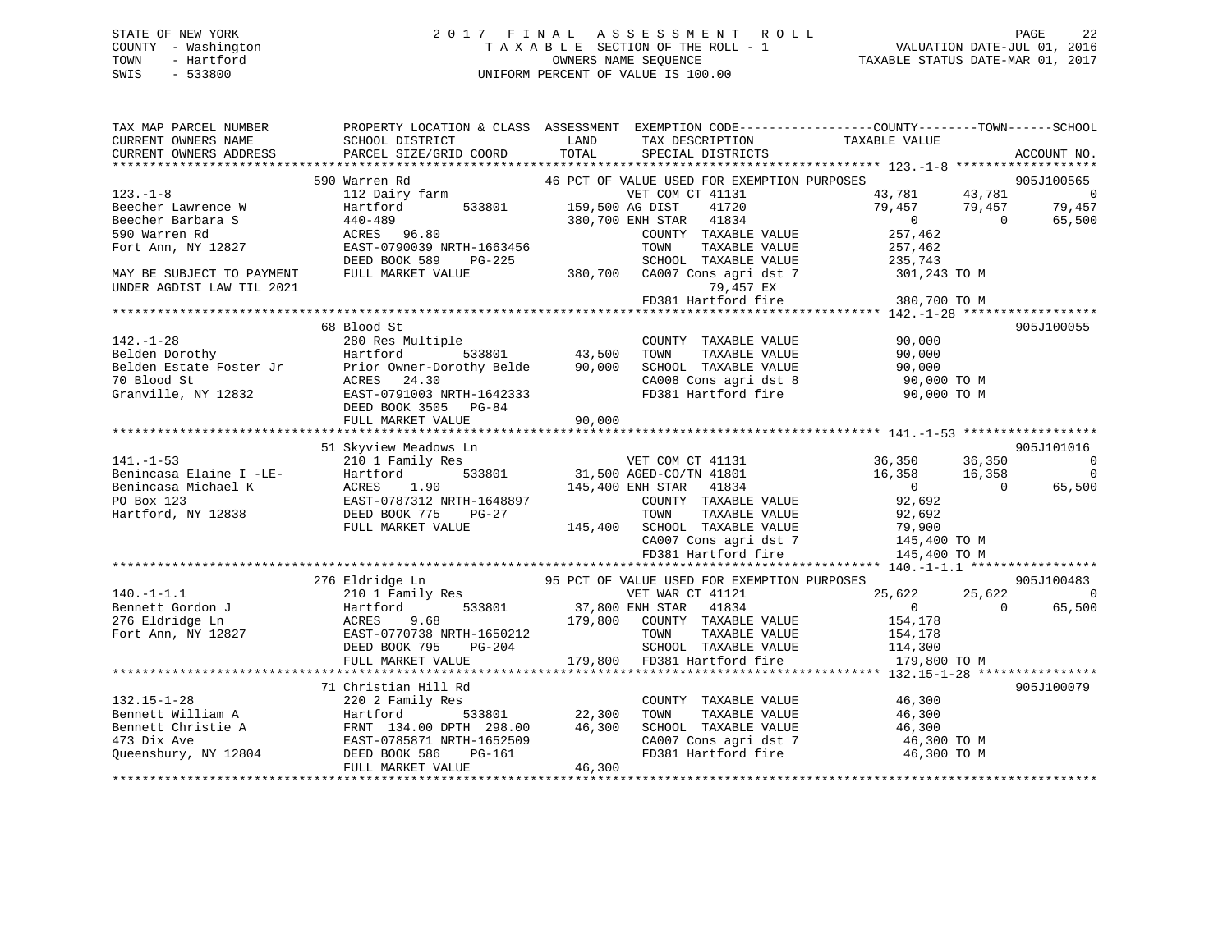# STATE OF NEW YORK 2 0 1 7 F I N A L A S S E S S M E N T R O L L PAGE 22 COUNTY - Washington T A X A B L E SECTION OF THE ROLL - 1 VALUATION DATE-JUL 01, 2016 TOWN - Hartford **TAXABLE STATUS DATE-MAR 01, 2017** SWIS - 533800 UNIFORM PERCENT OF VALUE IS 100.00

| TAX MAP PARCEL NUMBER<br>CURRENT OWNERS NAME<br>CURRENT OWNERS ADDRESS | SCHOOL DISTRICT<br>PARCEL SIZE/GRID COORD                                                                           | LAND<br>TAX DESCRIPTION<br>TOTAL<br>SPECIAL DISTRICTS           | PROPERTY LOCATION & CLASS ASSESSMENT EXEMPTION CODE----------------COUNTY-------TOWN------SCHOOL<br>TAXABLE VALUE<br>ACCOUNT NO. |
|------------------------------------------------------------------------|---------------------------------------------------------------------------------------------------------------------|-----------------------------------------------------------------|----------------------------------------------------------------------------------------------------------------------------------|
|                                                                        |                                                                                                                     |                                                                 |                                                                                                                                  |
| $123. - 1 - 8$                                                         | 590 Warren Rd<br>112 Dairy farm                                                                                     | 46 PCT OF VALUE USED FOR EXEMPTION PURPOSES<br>VET COM CT 41131 | 905J100565<br>43,781<br>43,781<br>$\sim$ 0                                                                                       |
| Beecher Lawrence W                                                     | Hartford<br>533801                                                                                                  | 159,500 AG DIST<br>41720                                        | 79,457<br>79,457<br>79,457                                                                                                       |
| Beecher Barbara S                                                      | 440-489                                                                                                             | 380,700 ENH STAR 41834                                          | $\overline{0}$<br>$\bigcap$<br>65,500                                                                                            |
| 590 Warren Rd                                                          | ACRES 96.80                                                                                                         | COUNTY TAXABLE VALUE                                            | 257,462                                                                                                                          |
| Fort Ann, NY 12827                                                     | EAST-0790039 NRTH-1663456                                                                                           | TOWN<br>TAXABLE VALUE                                           | 257,462                                                                                                                          |
|                                                                        | DEED BOOK 589<br>PG-225                                                                                             | SCHOOL TAXABLE VALUE                                            | 235,743                                                                                                                          |
| MAY BE SUBJECT TO PAYMENT                                              | FULL MARKET VALUE                                                                                                   | 380,700 CA007 Cons agri dst 7                                   | 301,243 TO M                                                                                                                     |
| UNDER AGDIST LAW TIL 2021                                              |                                                                                                                     | 79,457 EX                                                       |                                                                                                                                  |
|                                                                        |                                                                                                                     |                                                                 |                                                                                                                                  |
|                                                                        |                                                                                                                     |                                                                 |                                                                                                                                  |
|                                                                        | 68 Blood St                                                                                                         |                                                                 | 905J100055                                                                                                                       |
| $142. - 1 - 28$                                                        | 280 Res Multiple                                                                                                    | COUNTY TAXABLE VALUE                                            | 90,000                                                                                                                           |
| Belden Dorothy                                                         | Hartford<br>533801                                                                                                  | 43,500<br>TAXABLE VALUE<br>TOWN                                 | 90,000                                                                                                                           |
| Belden Estate Foster Jr                                                | Prior Owner-Dorothy Belde                                                                                           | 90,000<br>SCHOOL TAXABLE VALUE                                  | 90,000                                                                                                                           |
| 70 Blood St                                                            | ACRES 24.30                                                                                                         | CA008 Cons agri dst 8                                           | 90,000 TO M                                                                                                                      |
| Granville, NY 12832                                                    | EAST-0791003 NRTH-1642333                                                                                           |                                                                 | FD381 Hartford fire 90,000 TO M                                                                                                  |
|                                                                        | DEED BOOK 3505 PG-84                                                                                                |                                                                 |                                                                                                                                  |
|                                                                        | FULL MARKET VALUE                                                                                                   | 90,000                                                          |                                                                                                                                  |
|                                                                        |                                                                                                                     |                                                                 |                                                                                                                                  |
|                                                                        | 51 Skyview Meadows Ln                                                                                               |                                                                 | 905J101016                                                                                                                       |
| $141. - 1 - 53$                                                        | 210 1 Family Res<br>210 1 Family Res<br>Hartford 533801<br>ACRES 1.90<br>EAST-0787312 NRTH-1648897<br>DEED BOOK 775 | VET COM CT 41131 36,350                                         | 36,350<br>$\sim$ 0<br>16,358<br>$\overline{0}$                                                                                   |
| Benincasa Elaine I -LE-<br>Benincasa Michael K                         |                                                                                                                     | 31,500 AGED-CO/TN 41801                                         | 16,358<br>$\overline{0}$<br>$\Omega$                                                                                             |
| PO Box 123                                                             |                                                                                                                     | 145,400 ENH STAR 41834<br>COUNTY TAXABLE VALUE                  | 65,500<br>92,692                                                                                                                 |
| Hartford, NY 12838                                                     |                                                                                                                     | TOWN<br>TAXABLE VALUE                                           | 92,692                                                                                                                           |
|                                                                        | FULL MARKET VALUE                                                                                                   | 145,400 SCHOOL TAXABLE VALUE                                    |                                                                                                                                  |
|                                                                        |                                                                                                                     |                                                                 |                                                                                                                                  |
|                                                                        |                                                                                                                     | CA007 Cons agri dst 7<br>FD381 Hartford fire                    | 79,900<br>145,400 TO M<br>1100 TO M                                                                                              |
|                                                                        |                                                                                                                     |                                                                 |                                                                                                                                  |
|                                                                        | 276 Eldridge Ln                                                                                                     | 95 PCT OF VALUE USED FOR EXEMPTION PURPOSES                     | 905J100483                                                                                                                       |
| $140. -1 - 1.1$                                                        | 210 1 Family Res                                                                                                    | VET WAR CT 41121                                                | $\Omega$<br>25,622<br>25,622                                                                                                     |
| Bennett Gordon J                                                       | Hartford                                                                                                            | 533801 37,800 ENH STAR 41834                                    | $\overline{0}$<br>$\Omega$<br>65,500                                                                                             |
| 276 Eldridge Ln                                                        | ACRES<br>9.68                                                                                                       | 179,800 COUNTY TAXABLE VALUE                                    | 154,178                                                                                                                          |
| Fort Ann, NY 12827                                                     | EAST-0770738 NRTH-1650212                                                                                           | TOWN<br>TAXABLE VALUE                                           | 154,178                                                                                                                          |
|                                                                        | DEED BOOK 795 PG-204                                                                                                | SCHOOL TAXABLE VALUE                                            | 114,300                                                                                                                          |
|                                                                        | FULL MARKET VALUE                                                                                                   | 179,800 FD381 Hartford fire                                     | 179,800 TO M                                                                                                                     |
|                                                                        |                                                                                                                     |                                                                 |                                                                                                                                  |
|                                                                        | 71 Christian Hill Rd                                                                                                |                                                                 | 905J100079                                                                                                                       |
| $132.15 - 1 - 28$                                                      | 220 2 Family Res                                                                                                    | COUNTY TAXABLE VALUE                                            | 46,300                                                                                                                           |
| Bennett William A                                                      | Hartford<br>533801                                                                                                  | 22,300<br>TOWN<br>TAXABLE VALUE                                 | 46,300                                                                                                                           |
| Bennett Christie A                                                     | FRNT 134.00 DPTH 298.00                                                                                             | 46,300<br>SCHOOL TAXABLE VALUE                                  | 46,300                                                                                                                           |
| 473 Dix Ave                                                            | EAST-0785871 NRTH-1652509                                                                                           | CA007 Cons agri dst 7                                           | 46,300 TO M                                                                                                                      |
| Oueensbury, NY 12804                                                   | DEED BOOK 586<br>PG-161                                                                                             | FD381 Hartford fire                                             | 46,300 TO M                                                                                                                      |
|                                                                        | FULL MARKET VALUE                                                                                                   | 46,300                                                          |                                                                                                                                  |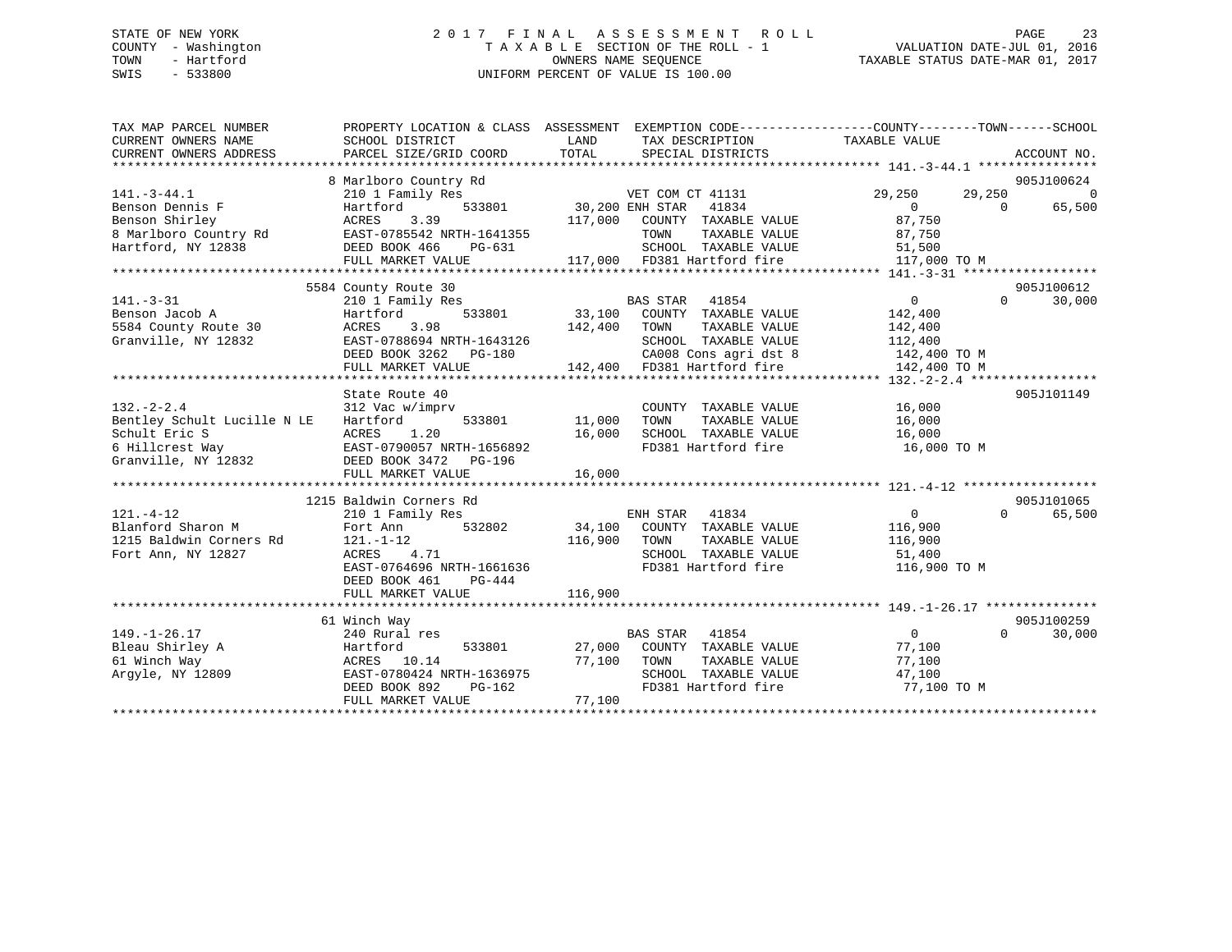# STATE OF NEW YORK 2 0 1 7 F I N A L A S S E S S M E N T R O L L PAGE 23 COUNTY - Washington T A X A B L E SECTION OF THE ROLL - 1 VALUATION DATE-JUL 01, 2016 TOWN - Hartford **TAXABLE STATUS DATE-MAR 01, 2017** SWIS - 533800 UNIFORM PERCENT OF VALUE IS 100.00

| TAX MAP PARCEL NUMBER<br>CURRENT OWNERS NAME<br>CURRENT OWNERS ADDRESS                | PROPERTY LOCATION & CLASS ASSESSMENT EXEMPTION CODE----------------COUNTY-------TOWN------SCHOOL<br>SCHOOL DISTRICT<br>PARCEL SIZE/GRID COORD | LAND<br>TOTAL    | TAX DESCRIPTION<br>SPECIAL DISTRICTS                                                                                            | TAXABLE VALUE                                                  | ACCOUNT NO.            |
|---------------------------------------------------------------------------------------|-----------------------------------------------------------------------------------------------------------------------------------------------|------------------|---------------------------------------------------------------------------------------------------------------------------------|----------------------------------------------------------------|------------------------|
| $141. - 3 - 44.1$                                                                     | 8 Marlboro Country Rd<br>210 1 Family Res                                                                                                     |                  | VET COM CT 41131                                                                                                                | 29,250<br>29,250                                               | 905J100624<br>$\Omega$ |
| Benson Dennis F<br>Benson Shirley<br>8 Marlboro Country Rd EAST-0785542 NRTH-1641355  | 533801<br>Hartford<br>3.39<br>ACRES                                                                                                           | 117,000          | 30,200 ENH STAR 41834<br>COUNTY TAXABLE VALUE<br>TOWN<br>TAXABLE VALUE                                                          | $\overline{0}$<br>87,750<br>87,750                             | $\Omega$<br>65,500     |
| Hartford, NY 12838                                                                    | DEED BOOK 466<br>PG-631<br>FULL MARKET VALUE                                                                                                  |                  | SCHOOL TAXABLE VALUE<br>117,000 FD381 Hartford fire                                                                             | 51,500<br>117,000 TO M                                         |                        |
|                                                                                       | 5584 County Route 30                                                                                                                          |                  |                                                                                                                                 |                                                                | 905J100612             |
| $141. - 3 - 31$<br>Benson Jacob A                                                     | 210 1 Family Res<br>533801<br>Hartford                                                                                                        |                  | <b>BAS STAR</b> 41854<br>33,100 COUNTY TAXABLE VALUE                                                                            | $\overline{0}$<br>142,400                                      | $\Omega$<br>30,000     |
| 5584 County Route 30<br>Granville, NY 12832                                           | ACRES<br>3.98<br>EAST-0788694 NRTH-1643126<br>DEED BOOK 3262 PG-180                                                                           |                  | 142,400 TOWN TAXABLE VALUE<br>SCHOOL TAXABLE VALUE                                                                              | 142,400<br>112,400<br>CA008 Cons agri dst 8 142,400 TO M       |                        |
|                                                                                       | FULL MARKET VALUE                                                                                                                             |                  | 142,400 FD381 Hartford fire                                                                                                     | 142,400 TO M                                                   |                        |
|                                                                                       |                                                                                                                                               |                  |                                                                                                                                 |                                                                |                        |
|                                                                                       | State Route 40                                                                                                                                |                  |                                                                                                                                 |                                                                | 905J101149             |
| $132 - 2 - 2.4$<br>Bentley Schult Lucille N LE                                        | 312 Vac w/imprv<br>533801                                                                                                                     | 11,000           | COUNTY TAXABLE VALUE                                                                                                            | 16,000                                                         |                        |
| Schult Eric S                                                                         | Hartford<br>ACRES<br>1.20                                                                                                                     | 16,000           | TOWN<br>TAXABLE VALUE<br>SCHOOL TAXABLE VALUE                                                                                   | 16,000<br>16,000                                               |                        |
| 6 Hillcrest Way                                                                       | EAST-0790057 NRTH-1656892                                                                                                                     |                  | FD381 Hartford fire                                                                                                             | 16,000 TO M                                                    |                        |
| Granville, NY 12832                                                                   | DEED BOOK 3472 PG-196<br>FULL MARKET VALUE                                                                                                    | 16,000           |                                                                                                                                 |                                                                |                        |
|                                                                                       |                                                                                                                                               |                  |                                                                                                                                 |                                                                |                        |
|                                                                                       | 1215 Baldwin Corners Rd                                                                                                                       |                  |                                                                                                                                 |                                                                | 905J101065             |
| $121. - 4 - 12$<br>Blanford Sharon M<br>1215 Baldwin Corners Rd<br>Fort Ann, NY 12827 | 210 1 Family Res<br>Fort Ann<br>532802<br>$121. - 1 - 12$<br>ACRES<br>4.71<br>EAST-0764696 NRTH-1661636<br>DEED BOOK 461<br>PG-444            | 116,900          | ENH STAR 41834<br>34,100 COUNTY TAXABLE VALUE<br>TAXABLE VALUE<br>TOWN<br>SCHOOL TAXABLE VALUE<br>FD381 Hartford fire           | $\overline{0}$<br>116,900<br>116,900<br>51,400<br>116,900 TO M | $\Omega$<br>65,500     |
|                                                                                       | FULL MARKET VALUE                                                                                                                             | 116,900          |                                                                                                                                 |                                                                |                        |
|                                                                                       |                                                                                                                                               |                  |                                                                                                                                 |                                                                |                        |
|                                                                                       | 61 Winch Way                                                                                                                                  |                  |                                                                                                                                 |                                                                | 905J100259             |
| $149. - 1 - 26.17$<br>Bleau Shirley A<br>61 Winch Way<br>Argyle, NY 12809             | 240 Rural res<br>Hartford<br>533801<br>ACRES 10.14<br>EAST-0780424 NRTH-1636975<br>DEED BOOK 892<br>PG-162<br>FULL MARKET VALUE               | 77,100<br>77,100 | <b>BAS STAR</b><br>41854<br>27,000 COUNTY TAXABLE VALUE<br>TOWN<br>TAXABLE VALUE<br>SCHOOL TAXABLE VALUE<br>FD381 Hartford fire | $\overline{0}$<br>77,100<br>77,100<br>47,100<br>77,100 TO M    | $\Omega$<br>30,000     |
|                                                                                       |                                                                                                                                               |                  |                                                                                                                                 |                                                                |                        |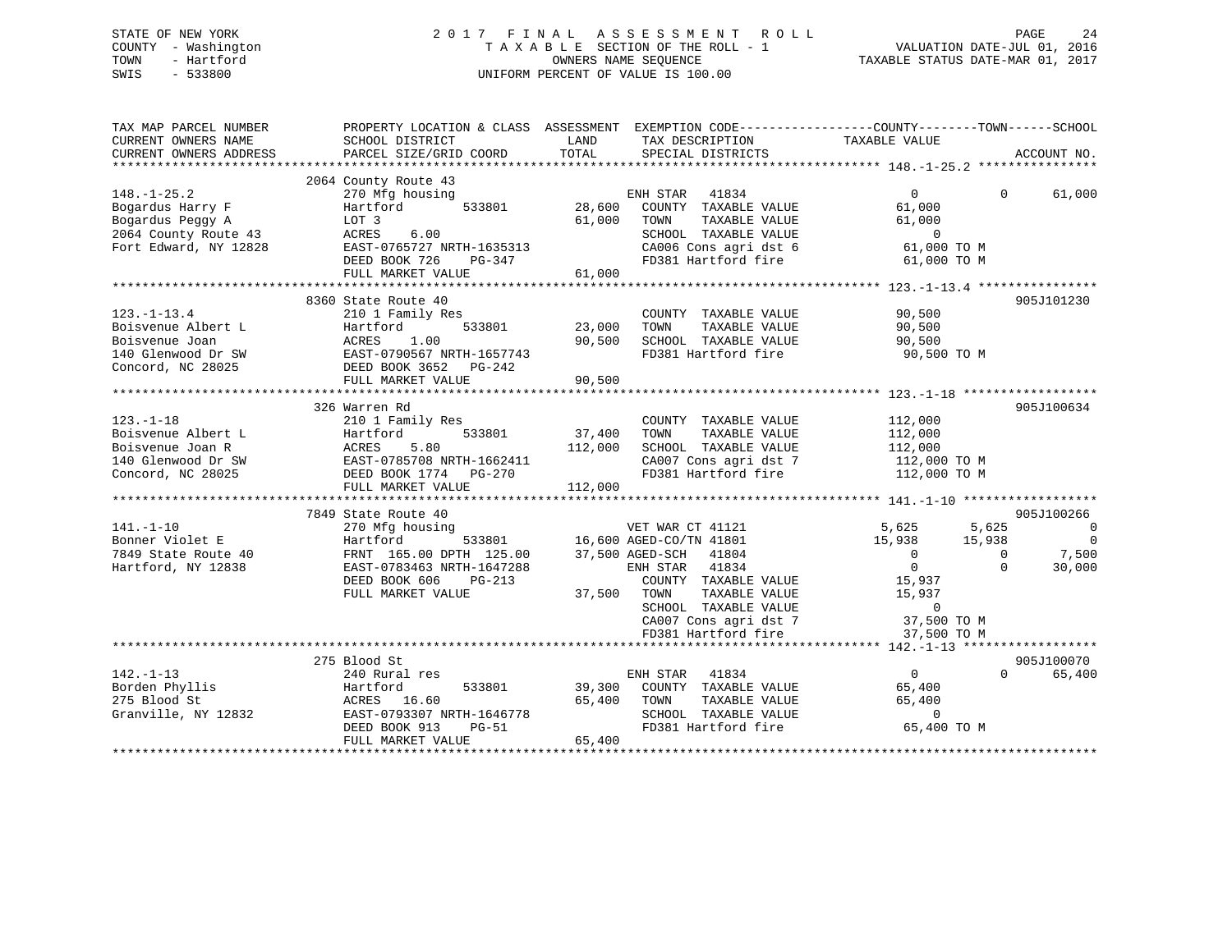# STATE OF NEW YORK 2 0 1 7 F I N A L A S S E S S M E N T R O L L PAGE 24 COUNTY - Washington T A X A B L E SECTION OF THE ROLL - 1 VALUATION DATE-JUL 01, 2016 TOWN - Hartford **TAXABLE STATUS DATE-MAR 01, 2017** SWIS - 533800 UNIFORM PERCENT OF VALUE IS 100.00

| TAX MAP PARCEL NUMBER<br>CURRENT OWNERS NAME<br>CURRENT OWNERS ADDRESS | SCHOOL DISTRICT<br>PARCEL SIZE/GRID COORD                                                                            | LAND<br>TAX DESCRIPTION<br>TOTAL<br>SPECIAL DISTRICTS                  | PROPERTY LOCATION & CLASS ASSESSMENT EXEMPTION CODE----------------COUNTY-------TOWN------SCHOOL<br>TAXABLE VALUE<br>ACCOUNT NO. |
|------------------------------------------------------------------------|----------------------------------------------------------------------------------------------------------------------|------------------------------------------------------------------------|----------------------------------------------------------------------------------------------------------------------------------|
|                                                                        |                                                                                                                      |                                                                        |                                                                                                                                  |
|                                                                        | 2064 County Route 43                                                                                                 |                                                                        |                                                                                                                                  |
| $148. - 1 - 25.2$                                                      | 270 Mfg housing                                                                                                      | ENH STAR 41834                                                         | $\overline{0}$<br>$\Omega$<br>61,000                                                                                             |
| Bogardus Harry F                                                       | 533801<br>Hartford                                                                                                   | 28,600<br>COUNTY TAXABLE VALUE                                         | 61,000                                                                                                                           |
| Bogardus Peggy A                                                       | LOT 3                                                                                                                | 61,000<br>TOWN<br>TAXABLE VALUE                                        | 61,000                                                                                                                           |
| 2064 County Route 43                                                   | ACRES<br>6.00                                                                                                        | SCHOOL TAXABLE VALUE                                                   | $\overline{0}$                                                                                                                   |
| Fort Edward, NY 12828                                                  | EAST-0765727 NRTH-1635313                                                                                            | CA006 Cons agri dst 6                                                  | 61,000 TO M                                                                                                                      |
|                                                                        | DEED BOOK 726<br>PG-347<br>FULL MARKET VALUE                                                                         | FD381 Hartford fire<br>61,000                                          | 61,000 TO M                                                                                                                      |
|                                                                        |                                                                                                                      |                                                                        |                                                                                                                                  |
|                                                                        | 8360 State Route 40                                                                                                  |                                                                        | 905J101230                                                                                                                       |
| $123. - 1 - 13.4$                                                      | 210 1 Family Res                                                                                                     | COUNTY TAXABLE VALUE                                                   | 90,500                                                                                                                           |
| Boisvenue Albert L                                                     | Hartford<br>533801                                                                                                   | 23,000<br>TAXABLE VALUE<br>TOWN                                        | 90,500                                                                                                                           |
|                                                                        |                                                                                                                      | 90,500<br>SCHOOL TAXABLE VALUE                                         | 90,500                                                                                                                           |
|                                                                        |                                                                                                                      | FD381 Hartford fire                                                    | 90,500 TO M                                                                                                                      |
|                                                                        | Boisvenue Joan MCRES 1.00<br>140 Glenwood Dr SW EAST-0790567 NRTH-1657743<br>Concord, NC 28025 DEED BOOK 3652 PG-242 |                                                                        |                                                                                                                                  |
|                                                                        | FULL MARKET VALUE                                                                                                    | 90,500                                                                 |                                                                                                                                  |
|                                                                        |                                                                                                                      |                                                                        |                                                                                                                                  |
|                                                                        | 326 Warren Rd                                                                                                        |                                                                        | 905J100634                                                                                                                       |
| $123. - 1 - 18$                                                        | 210 1 Family Res                                                                                                     | COUNTY TAXABLE VALUE                                                   | 112,000                                                                                                                          |
| Boisvenue Albert L                                                     | 533801                                                                                                               | 37,400<br>TAXABLE VALUE<br>TOWN                                        | 112,000                                                                                                                          |
| Boisvenue Joan R                                                       | Hartford 533801<br>ACRES 5.80<br>EAST-0785708 NRTH-1662411<br>DEED BOOK 1774 PG-270                                  | 112,000<br>SCHOOL TAXABLE VALUE                                        | 112,000                                                                                                                          |
| 140 Glenwood Dr SW                                                     |                                                                                                                      | CA007 Cons agri dst 7                                                  | 112,000 TO M                                                                                                                     |
| Concord, NC 28025                                                      |                                                                                                                      | FD381 Hartford fire                                                    | 112,000 TO M                                                                                                                     |
|                                                                        | FULL MARKET VALUE                                                                                                    | 112,000                                                                |                                                                                                                                  |
|                                                                        |                                                                                                                      |                                                                        |                                                                                                                                  |
|                                                                        | 7849 State Route 40                                                                                                  |                                                                        | 905J100266                                                                                                                       |
| $141. - 1 - 10$                                                        | 270 Mfg housing                                                                                                      | VET WAR CT 41121<br>533801 16,600 AGED-CO/TN 41801<br>VET WAR CT 41121 | 5,625<br>$\overline{0}$                                                                                                          |
| Bonner Violet E                                                        | Hartford                                                                                                             |                                                                        | 5,625<br>15,938<br>15,938<br>$\overline{\phantom{0}}$                                                                            |
| 7849 State Route 40                                                    | FRNT 165.00 DPTH 125.00                                                                                              | 37,500 AGED-SCH 41804                                                  | 7,500<br>$\overline{0}$<br>$\Omega$                                                                                              |
| Hartford, NY 12838                                                     | EAST-0783463 NRTH-1647288                                                                                            | ENH STAR 41834                                                         | $\overline{0}$<br>$\Omega$<br>30,000                                                                                             |
|                                                                        | DEED BOOK 606<br>$PG-213$                                                                                            | COUNTY TAXABLE VALUE                                                   | 15,937                                                                                                                           |
|                                                                        | FULL MARKET VALUE                                                                                                    | 37,500 TOWN                                                            |                                                                                                                                  |
|                                                                        |                                                                                                                      | TOWN      TAXABLE  VALUE<br>SCHOOL   TAXABLE  VALUE                    | 15,937<br>0                                                                                                                      |
|                                                                        |                                                                                                                      |                                                                        | 37,500 TO M                                                                                                                      |
|                                                                        |                                                                                                                      | CA007 Cons agri dst 7<br>ED381 Hartford fire<br>FD381 Hartford fire    | 37,500 TO M                                                                                                                      |
|                                                                        |                                                                                                                      |                                                                        |                                                                                                                                  |
|                                                                        | 275 Blood St                                                                                                         |                                                                        | 905J100070                                                                                                                       |
| $142. - 1 - 13$                                                        | 240 Rural res                                                                                                        | ENH STAR<br>41834                                                      | $\sim$ 0<br>$\Omega$<br>65,400                                                                                                   |
| Borden Phyllis                                                         | Hartford<br>533801                                                                                                   | 39,300<br>COUNTY TAXABLE VALUE                                         | 65,400                                                                                                                           |
| 275 Blood St                                                           | ACRES 16.60                                                                                                          | 65,400<br>TAXABLE VALUE<br>TOWN                                        | 65,400                                                                                                                           |
| Granville, NY 12832                                                    | EAST-0793307 NRTH-1646778                                                                                            |                                                                        | $\overline{0}$                                                                                                                   |
|                                                                        | DEED BOOK 913<br>PG-51                                                                                               | SCHOOL TAXABLE VALUE<br>FD381 Hartford fire                            | 65,400 TO M                                                                                                                      |
|                                                                        | FULL MARKET VALUE                                                                                                    | 65,400                                                                 |                                                                                                                                  |
|                                                                        |                                                                                                                      |                                                                        |                                                                                                                                  |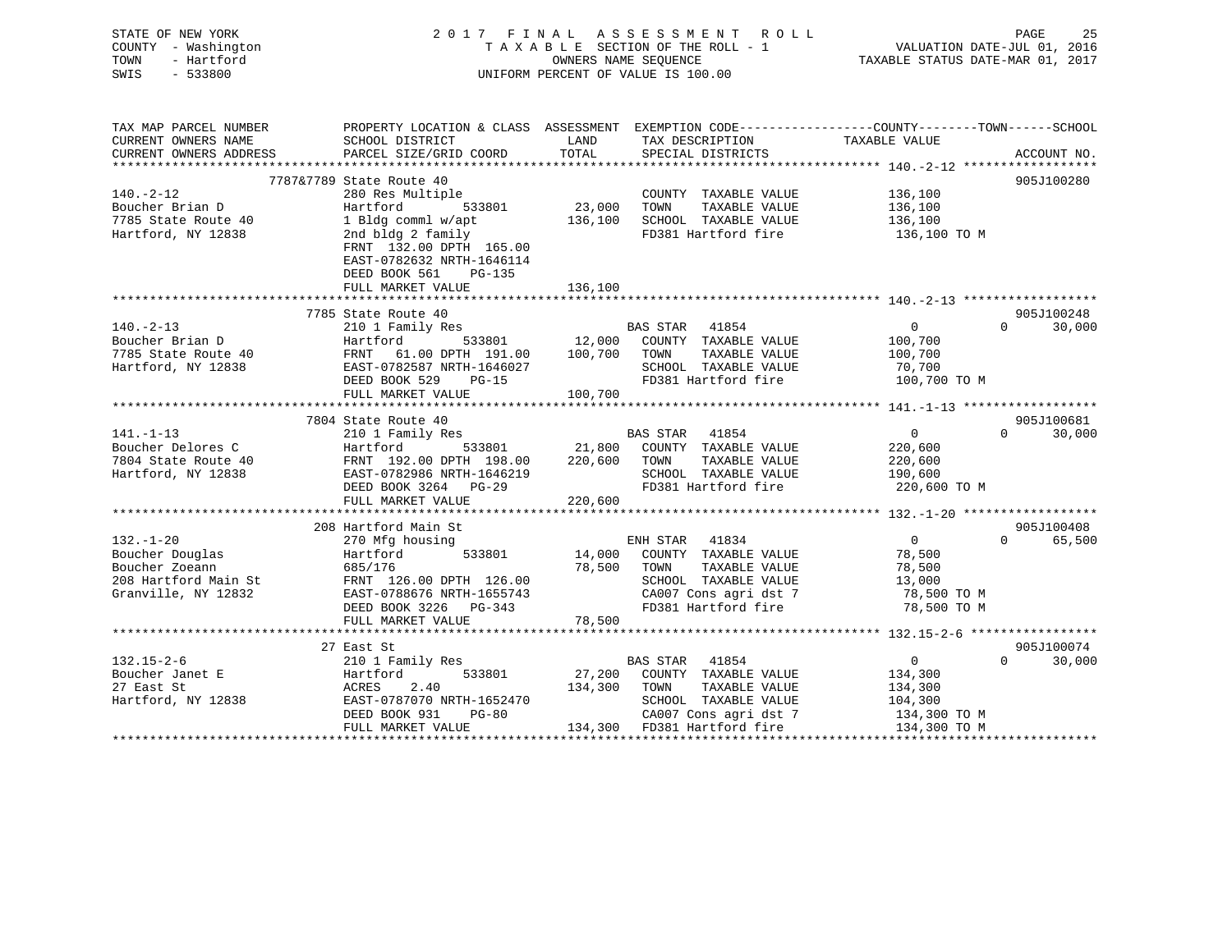| STATE OF NEW YORK<br>COUNTY - Washington<br>- Hartford<br>TOWN<br>SWIS<br>$-533800$ | 2017 FINAL                                                                                                        | TAXABLE SECTION OF THE ROLL - 1<br>OWNERS NAME SEOUENCE<br>UNIFORM PERCENT OF VALUE IS 100.00 | A S S E S S M E N T | R O L L               | VALUATION DATE-JUL 01, 2016<br>TAXABLE STATUS DATE-MAR 01, 2017 | PAGE<br>25             |
|-------------------------------------------------------------------------------------|-------------------------------------------------------------------------------------------------------------------|-----------------------------------------------------------------------------------------------|---------------------|-----------------------|-----------------------------------------------------------------|------------------------|
| TAX MAP PARCEL NUMBER<br>CURRENT OWNERS NAME                                        | PROPERTY LOCATION & CLASS ASSESSMENT EXEMPTION CODE---------------COUNTY-------TOWN-----SCHOOL<br>SCHOOL DISTRICT | LAND                                                                                          |                     | TAX DESCRIPTION       | TAXABLE VALUE                                                   |                        |
| CURRENT OWNERS ADDRESS<br>**********************                                    | PARCEL SIZE/GRID COORD<br>************************                                                                | TOTAL                                                                                         |                     | SPECIAL DISTRICTS     |                                                                 | ACCOUNT NO.            |
|                                                                                     | 7787&7789 State Route 40                                                                                          |                                                                                               |                     |                       |                                                                 | 905J100280             |
| $140. -2 - 12$                                                                      | 280 Res Multiple                                                                                                  |                                                                                               |                     | COUNTY TAXABLE VALUE  | 136,100                                                         |                        |
| Boucher Brian D                                                                     | Hartford<br>533801                                                                                                | 23,000                                                                                        | TOWN                | TAXABLE VALUE         | 136,100                                                         |                        |
| 7785 State Route 40                                                                 | 1 Bldg comml w/apt                                                                                                | 136,100                                                                                       |                     | SCHOOL TAXABLE VALUE  | 136,100                                                         |                        |
| Hartford, NY 12838                                                                  | 2nd bldg 2 family<br>FRNT 132.00 DPTH 165.00<br>EAST-0782632 NRTH-1646114<br>DEED BOOK 561<br>$PG-135$            | 136,100                                                                                       |                     | FD381 Hartford fire   | 136,100 TO M                                                    |                        |
|                                                                                     | FULL MARKET VALUE<br>******************************                                                               |                                                                                               |                     |                       |                                                                 |                        |
|                                                                                     | 7785 State Route 40                                                                                               |                                                                                               |                     |                       |                                                                 | 905J100248             |
| $140. - 2 - 13$                                                                     | 210 1 Family Res                                                                                                  |                                                                                               | <b>BAS STAR</b>     | 41854                 | $\overline{0}$                                                  | $\Omega$<br>30,000     |
| Boucher Brian D                                                                     | Hartford<br>533801                                                                                                | 12,000                                                                                        |                     | COUNTY TAXABLE VALUE  | 100,700                                                         |                        |
| 7785 State Route 40                                                                 | FRNT<br>61.00 DPTH 191.00                                                                                         | 100,700                                                                                       | TOWN                | TAXABLE VALUE         | 100,700                                                         |                        |
| Hartford, NY 12838                                                                  | EAST-0782587 NRTH-1646027                                                                                         |                                                                                               |                     | SCHOOL TAXABLE VALUE  | 70,700                                                          |                        |
|                                                                                     | DEED BOOK 529<br>$PG-15$                                                                                          |                                                                                               |                     | FD381 Hartford fire   | 100,700 TO M                                                    |                        |
|                                                                                     | FULL MARKET VALUE                                                                                                 | 100,700                                                                                       |                     |                       |                                                                 |                        |
|                                                                                     | ***************************                                                                                       |                                                                                               |                     |                       |                                                                 |                        |
| $141. - 1 - 13$                                                                     | 7804 State Route 40                                                                                               |                                                                                               |                     | 41854                 | $\overline{0}$                                                  | 905J100681<br>$\Omega$ |
| Boucher Delores C                                                                   | 210 1 Family Res<br>Hartford<br>533801                                                                            | 21,800                                                                                        | <b>BAS STAR</b>     | COUNTY TAXABLE VALUE  | 220,600                                                         | 30,000                 |
| 7804 State Route 40                                                                 | FRNT 192.00 DPTH 198.00                                                                                           | 220,600                                                                                       | TOWN                | TAXABLE VALUE         | 220,600                                                         |                        |
| Hartford, NY 12838                                                                  | EAST-0782986 NRTH-1646219                                                                                         |                                                                                               |                     | SCHOOL TAXABLE VALUE  | 190,600                                                         |                        |
|                                                                                     | DEED BOOK 3264<br>$PG-29$                                                                                         |                                                                                               |                     | FD381 Hartford fire   | 220,600 TO M                                                    |                        |
|                                                                                     | FULL MARKET VALUE                                                                                                 | 220,600                                                                                       |                     |                       |                                                                 |                        |
|                                                                                     |                                                                                                                   |                                                                                               |                     |                       | ********************* 132.-1-20 *******************             |                        |
|                                                                                     | 208 Hartford Main St                                                                                              |                                                                                               |                     |                       |                                                                 | 905J100408             |
| $132. - 1 - 20$                                                                     | 270 Mfg housing                                                                                                   |                                                                                               | ENH STAR 41834      |                       | $\overline{0}$                                                  | $\Omega$<br>65,500     |
| Boucher Douglas                                                                     | 533801<br>Hartford                                                                                                | 14,000                                                                                        |                     | COUNTY TAXABLE VALUE  | 78,500                                                          |                        |
| Boucher Zoeann                                                                      | 685/176                                                                                                           | 78,500                                                                                        | TOWN                | TAXABLE VALUE         | 78,500                                                          |                        |
| 208 Hartford Main St                                                                | FRNT 126.00 DPTH 126.00                                                                                           |                                                                                               |                     | SCHOOL TAXABLE VALUE  | 13,000                                                          |                        |
| Granville, NY 12832                                                                 | EAST-0788676 NRTH-1655743                                                                                         |                                                                                               |                     | CA007 Cons agri dst 7 | 78,500 TO M                                                     |                        |
|                                                                                     | DEED BOOK 3226 PG-343                                                                                             |                                                                                               |                     | FD381 Hartford fire   | 78,500 TO M                                                     |                        |
|                                                                                     | FULL MARKET VALUE                                                                                                 | 78,500                                                                                        |                     |                       |                                                                 |                        |
|                                                                                     | 27 East St                                                                                                        |                                                                                               |                     |                       |                                                                 | 905J100074             |
| $132.15 - 2 - 6$                                                                    | 210 1 Family Res                                                                                                  |                                                                                               | <b>BAS STAR</b>     | 41854                 | $\overline{0}$                                                  | 30,000<br>$\Omega$     |
| Boucher Janet E                                                                     | Hartford<br>533801                                                                                                | 27,200                                                                                        |                     | COUNTY TAXABLE VALUE  | 134,300                                                         |                        |
| 27 East St                                                                          | 2.40<br>ACRES                                                                                                     | 134,300                                                                                       | TOWN                | TAXABLE VALUE         | 134,300                                                         |                        |
| Hartford, NY 12838                                                                  | EAST-0787070 NRTH-1652470                                                                                         |                                                                                               |                     | SCHOOL TAXABLE VALUE  | 104,300                                                         |                        |
|                                                                                     | DEED BOOK 931<br><b>PG-80</b>                                                                                     |                                                                                               |                     | CA007 Cons agri dst 7 | 134,300 TO M                                                    |                        |

FULL MARKET VALUE 134,300 FD381 Hartford fire 134,300 TO M

\*\*\*\*\*\*\*\*\*\*\*\*\*\*\*\*\*\*\*\*\*\*\*\*\*\*\*\*\*\*\*\*\*\*\*\*\*\*\*\*\*\*\*\*\*\*\*\*\*\*\*\*\*\*\*\*\*\*\*\*\*\*\*\*\*\*\*\*\*\*\*\*\*\*\*\*\*\*\*\*\*\*\*\*\*\*\*\*\*\*\*\*\*\*\*\*\*\*\*\*\*\*\*\*\*\*\*\*\*\*\*\*\*\*\*\*\*\*\*\*\*\*\*\*\*\*\*\*\*\*\*\*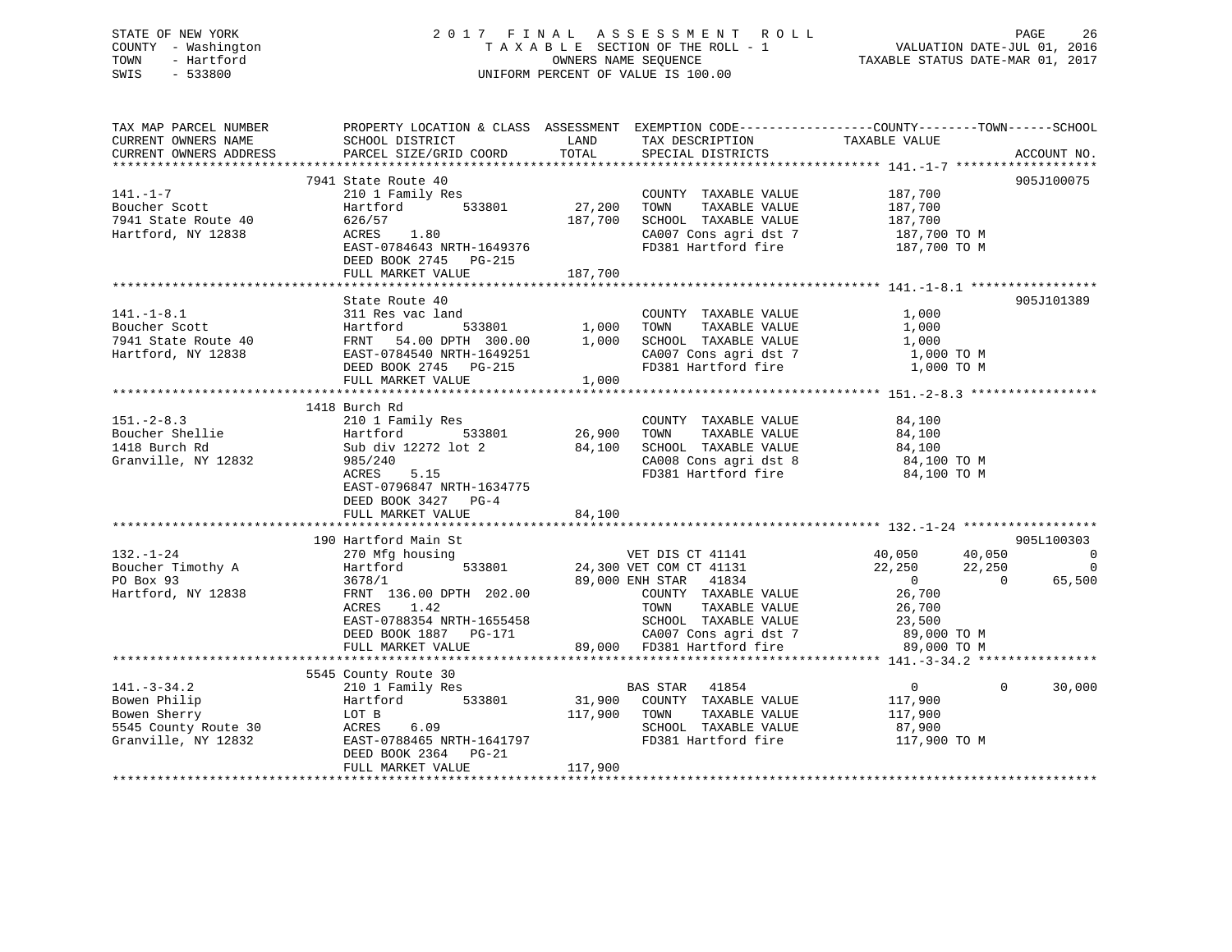# STATE OF NEW YORK 2 0 1 7 F I N A L A S S E S S M E N T R O L L PAGE 26 COUNTY - Washington T A X A B L E SECTION OF THE ROLL - 1 VALUATION DATE-JUL 01, 2016 TOWN - Hartford **TAXABLE STATUS DATE-MAR 01, 2017** SWIS - 533800 UNIFORM PERCENT OF VALUE IS 100.00

| SCHOOL DISTRICT<br>CURRENT OWNERS ADDRESS                                                                                                                            |         |                                                                |                                                                                                                                                                                                                                           | ACCOUNT NO.                                                                                                                                                                                                                                                                                                                                                                                                                                                                                                                                                                                                                                                                                                                                                                                                                                                                                                                                                                                                                                                                                                                                                                                                                                |
|----------------------------------------------------------------------------------------------------------------------------------------------------------------------|---------|----------------------------------------------------------------|-------------------------------------------------------------------------------------------------------------------------------------------------------------------------------------------------------------------------------------------|--------------------------------------------------------------------------------------------------------------------------------------------------------------------------------------------------------------------------------------------------------------------------------------------------------------------------------------------------------------------------------------------------------------------------------------------------------------------------------------------------------------------------------------------------------------------------------------------------------------------------------------------------------------------------------------------------------------------------------------------------------------------------------------------------------------------------------------------------------------------------------------------------------------------------------------------------------------------------------------------------------------------------------------------------------------------------------------------------------------------------------------------------------------------------------------------------------------------------------------------|
| 7941 State Route 40<br>1-1.-1.-/<br>Boucher Scott<br>7941 State Route 40<br>Hartford, NY 12838<br>626/57<br>ACRES 1.80<br>DEED BOOK 2745 PG-215<br>FULL MARKET VALUE | 187,700 |                                                                | 187,700 TO M                                                                                                                                                                                                                              | 905J100075                                                                                                                                                                                                                                                                                                                                                                                                                                                                                                                                                                                                                                                                                                                                                                                                                                                                                                                                                                                                                                                                                                                                                                                                                                 |
| State Route 40<br>FULL MARKET VALUE                                                                                                                                  |         |                                                                |                                                                                                                                                                                                                                           | 905J101389                                                                                                                                                                                                                                                                                                                                                                                                                                                                                                                                                                                                                                                                                                                                                                                                                                                                                                                                                                                                                                                                                                                                                                                                                                 |
| 1418 Burch Rd<br>ACRES 5.15<br>EAST-0796847 NRTH-1634775<br>DEED BOOK 3427 PG-4<br>FULL MARKET VALUE                                                                 | 84,100  |                                                                |                                                                                                                                                                                                                                           |                                                                                                                                                                                                                                                                                                                                                                                                                                                                                                                                                                                                                                                                                                                                                                                                                                                                                                                                                                                                                                                                                                                                                                                                                                            |
|                                                                                                                                                                      |         |                                                                |                                                                                                                                                                                                                                           |                                                                                                                                                                                                                                                                                                                                                                                                                                                                                                                                                                                                                                                                                                                                                                                                                                                                                                                                                                                                                                                                                                                                                                                                                                            |
| ACRES<br>1.42                                                                                                                                                        |         | TOWN                                                           | $22,250$ $22,250$<br>0 0<br>26,700                                                                                                                                                                                                        | 905L100303<br>$\overline{0}$<br>65,500                                                                                                                                                                                                                                                                                                                                                                                                                                                                                                                                                                                                                                                                                                                                                                                                                                                                                                                                                                                                                                                                                                                                                                                                     |
|                                                                                                                                                                      |         |                                                                |                                                                                                                                                                                                                                           |                                                                                                                                                                                                                                                                                                                                                                                                                                                                                                                                                                                                                                                                                                                                                                                                                                                                                                                                                                                                                                                                                                                                                                                                                                            |
| 5545 County Route 30<br>DEED BOOK 2364 PG-21<br>FULL MARKET VALUE                                                                                                    |         |                                                                | $\begin{array}{c} 0 \\ 117,900 \end{array}$<br>87,900                                                                                                                                                                                     | 30,000<br>$\Omega$                                                                                                                                                                                                                                                                                                                                                                                                                                                                                                                                                                                                                                                                                                                                                                                                                                                                                                                                                                                                                                                                                                                                                                                                                         |
|                                                                                                                                                                      |         | PARCEL SIZE/GRID COORD<br>EAST-0784643 NRTH-1649376<br>117,900 | <b>EXAMPLE EXAMPLE THE EXAMPLE EXAMPLE EXAMPLE EXAMPLE EXAMPLE EXAMPLE EXAMPLE EXAMPLE EXAMPLE EXAMPLE EXAMPLE E</b><br>TOTAL<br>210 1 Family Res<br>Hartford 533801 27,200 TOWN<br>187,700<br>1,000<br>36/8/1<br>FRNT 136.00 DPTH 202.00 | PROPERTY LOCATION & CLASS ASSESSMENT EXEMPTION CODE----------------COUNTY-------TOWN------SCHOOL<br>TAX DESCRIPTION TAXABLE VALUE SPECIAL DISTRICTS<br>COUNTY TAXABLE VALUE 187,700<br>TAXABLE VALUE 187,700<br>SCHOOL TAXABLE VALUE 187,700<br>CA007 Cons agri dst 7 187,700 TO M<br>FD381 Hartford fire<br>CA008 Cons agri dst 8 34,100 TO M<br>FD381 Hartford fire 34,100 TO M<br>132.-1-24<br>190 Hartford Main St<br>270 Mfg housing<br>290 Martford 533801<br>24,300 VET COM CT 41131<br>24,300 VET COM CT 41131<br>24,300 VET COM CT 41131<br>24,300 VET COM CT 41131<br>24,300 VET COM CT 41131<br>29,000 ENH STAR 41834<br>29,<br>TAXABLE VALUE 26,700<br>TAXABLE VALUE 23,500<br>ACRES 1.42<br>EAST-0788354 NRTH-1655458<br>DEED BOOK 1887 PG-171 29,000 FD381 Hartford fire 23,500<br>FULL MARKET VALUE 29,000 FD381 Hartford fire 89,000 TO M<br>FULL MARKET VALUE 29,000 FD381 Hartford fire 89,000 TO M<br>5945 COUNTY ROUTE 31,900<br>BAS STAR 41854<br>BOWER Philip Hartford 533801<br>BOWER STAR 41854<br>BAS STAR 41854<br>BAS STAR 41854<br>BAS STAR 41854<br>BAS STAR 41854<br>COUNTY TAXABLE VALUE<br>BOWER TAXABLE VALUE<br>SCHOOL TAXABLE VALUE<br>SCH<br>TAXABLE VALUE 117,900<br>FD381 Hartford fire 117,900 TO M |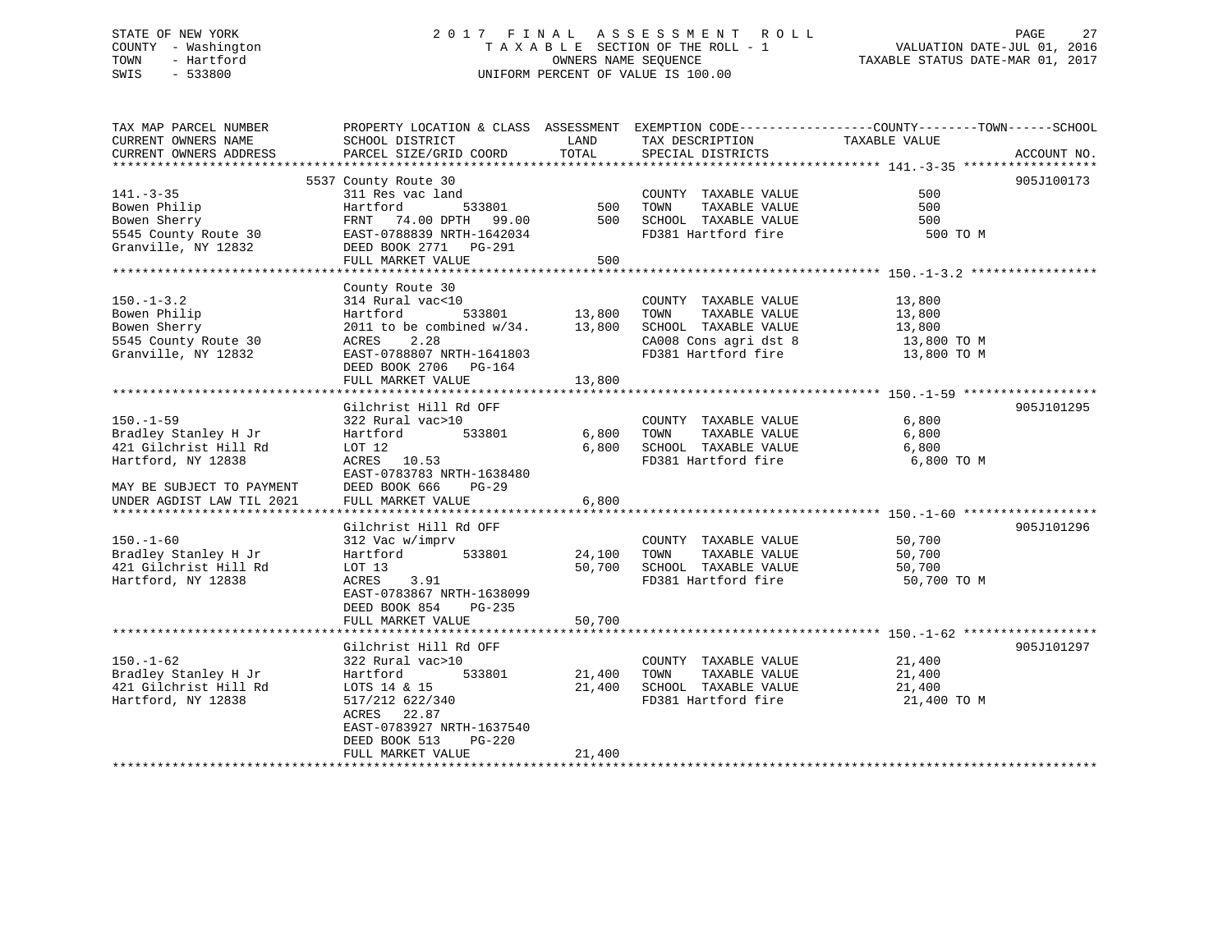# STATE OF NEW YORK 2 0 1 7 F I N A L A S S E S S M E N T R O L L PAGE 27 COUNTY - Washington T A X A B L E SECTION OF THE ROLL - 1 VALUATION DATE-JUL 01, 2016 TOWN - Hartford **TAXABLE STATUS DATE-MAR 01, 2017** SWIS - 533800 UNIFORM PERCENT OF VALUE IS 100.00

| TAX MAP PARCEL NUMBER<br>CURRENT OWNERS NAME<br>CURRENT OWNERS ADDRESS                                                                           | PROPERTY LOCATION & CLASS ASSESSMENT EXEMPTION CODE----------------COUNTY-------TOWN------SCHOOL<br>SCHOOL DISTRICT<br>PARCEL SIZE/GRID COORD                                                                                     | LAND<br>TOTAL                          | TAX DESCRIPTION<br>SPECIAL DISTRICTS                                                                                             | TAXABLE VALUE                                            | ACCOUNT NO. |
|--------------------------------------------------------------------------------------------------------------------------------------------------|-----------------------------------------------------------------------------------------------------------------------------------------------------------------------------------------------------------------------------------|----------------------------------------|----------------------------------------------------------------------------------------------------------------------------------|----------------------------------------------------------|-------------|
| $141. - 3 - 35$<br>Bowen Philip<br>Bowen Sherry<br>5545 County Route 30<br>Granville, NY 12832                                                   | 5537 County Route 30<br>311 Res vac land<br>Hartford<br>533801<br>74.00 DPTH 99.00<br>FRNT<br>EAST-0788839 NRTH-1642034<br>DEED BOOK 2771 PG-291<br>FULL MARKET VALUE                                                             | 500<br>500<br>500                      | COUNTY TAXABLE VALUE<br>TAXABLE VALUE<br>TOWN<br>SCHOOL TAXABLE VALUE<br>FD381 Hartford fire                                     | 500<br>500<br>500<br>500 TO M                            | 905J100173  |
| $150. - 1 - 3.2$<br>Bowen Philip<br>Bowen Sherry<br>5545 County Route 30<br>Granville, NY 12832                                                  | County Route 30<br>314 Rural vac<10<br>Hartford<br>533801<br>2011 to be combined $w/34$ .<br>2.28<br>ACRES<br>EAST-0788807 NRTH-1641803<br>DEED BOOK 2706<br>PG-164<br>FULL MARKET VALUE                                          | 13,800<br>13,800<br>13,800             | COUNTY TAXABLE VALUE<br>TOWN<br>TAXABLE VALUE<br>SCHOOL TAXABLE VALUE<br>CA008 Cons agri dst 8<br>FD381 Hartford fire            | 13,800<br>13,800<br>13,800<br>13,800 TO M<br>13,800 TO M |             |
| $150. - 1 - 59$<br>Bradley Stanley H Jr<br>421 Gilchrist Hill Rd<br>Hartford, NY 12838<br>MAY BE SUBJECT TO PAYMENT<br>UNDER AGDIST LAW TIL 2021 | Gilchrist Hill Rd OFF<br>322 Rural vac>10<br>533801<br>Hartford<br>LOT 12<br>ACRES 10.53<br>EAST-0783783 NRTH-1638480<br>DEED BOOK 666<br>$PG-29$<br>FULL MARKET VALUE                                                            | 6,800<br>6,800<br>6,800<br>*********** | COUNTY TAXABLE VALUE<br>TAXABLE VALUE<br>TOWN<br>SCHOOL TAXABLE VALUE<br>FD381 Hartford fire                                     | 6,800<br>6,800<br>6,800<br>6,800 ТО М                    | 905J101295  |
| $150. - 1 - 60$<br>Bradley Stanley H Jr<br>421 Gilchrist Hill Rd<br>Hartford, NY 12838                                                           | Gilchrist Hill Rd OFF<br>312 Vac w/imprv<br>533801<br>Hartford<br>LOT 13<br>3.91<br>ACRES<br>EAST-0783867 NRTH-1638099<br>DEED BOOK 854<br>$PG-235$<br>FULL MARKET VALUE                                                          | 24,100<br>50,700<br>50,700             | COUNTY TAXABLE VALUE<br>TOWN<br>TAXABLE VALUE<br>SCHOOL TAXABLE VALUE<br>FD381 Hartford fire                                     | 50,700<br>50,700<br>50,700<br>50,700 TO M                | 905J101296  |
| $150. - 1 - 62$<br>Bradley Stanley H Jr<br>421 Gilchrist Hill Rd<br>Hartford, NY 12838                                                           | Gilchrist Hill Rd OFF<br>322 Rural vac>10<br>Hartford<br>533801<br>LOTS 14 & 15<br>517/212 622/340<br>ACRES 22.87<br>EAST-0783927 NRTH-1637540<br>DEED BOOK 513<br><b>PG-220</b><br>FULL MARKET VALUE<br>************************ | 21,400<br>21,400<br>21,400             | COUNTY TAXABLE VALUE<br>TOWN<br>TAXABLE VALUE<br>SCHOOL TAXABLE VALUE<br>FD381 Hartford fire<br>******************************** | 21,400<br>21,400<br>21,400<br>21,400 TO M                | 905J101297  |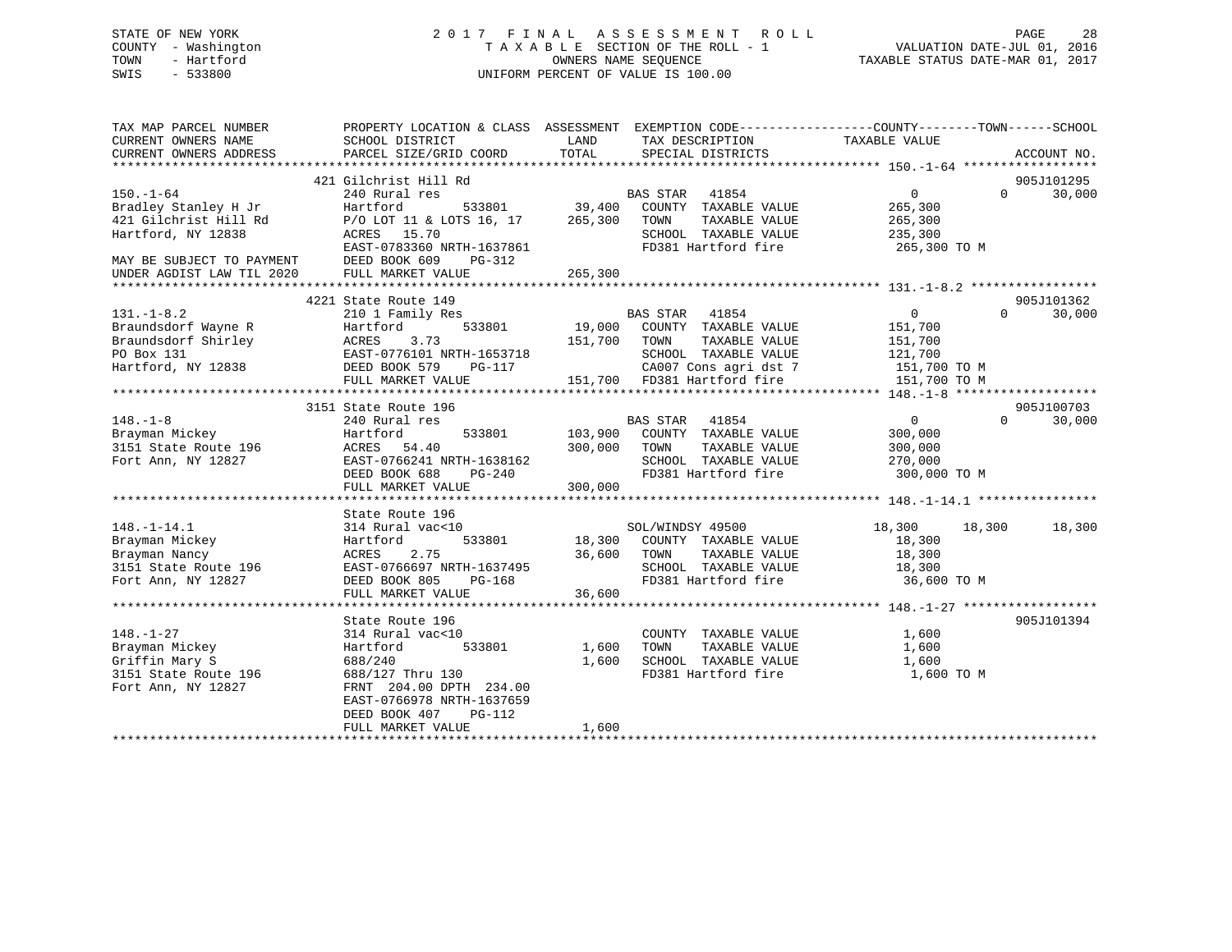# STATE OF NEW YORK 2 0 1 7 F I N A L A S S E S S M E N T R O L L PAGE 28 COUNTY - Washington T A X A B L E SECTION OF THE ROLL - 1 VALUATION DATE-JUL 01, 2016 TOWN - Hartford **TAXABLE STATUS DATE-MAR 01, 2017** SWIS - 533800 UNIFORM PERCENT OF VALUE IS 100.00

| TAX MAP PARCEL NUMBER                                                                                                                                                                                                                                                                                                             | PROPERTY LOCATION & CLASS ASSESSMENT EXEMPTION CODE---------------COUNTY-------TOWN-----SCHOOL                                                                                                         |              |                                                                                     |                                                       |                    |
|-----------------------------------------------------------------------------------------------------------------------------------------------------------------------------------------------------------------------------------------------------------------------------------------------------------------------------------|--------------------------------------------------------------------------------------------------------------------------------------------------------------------------------------------------------|--------------|-------------------------------------------------------------------------------------|-------------------------------------------------------|--------------------|
| CURRENT OWNERS NAME                                                                                                                                                                                                                                                                                                               | SCHOOL DISTRICT                                                                                                                                                                                        | LAND         | TAX DESCRIPTION                                                                     | TAXABLE VALUE                                         |                    |
| CURRENT OWNERS ADDRESS                                                                                                                                                                                                                                                                                                            | PARCEL SIZE/GRID COORD                                                                                                                                                                                 | TOTAL        | SPECIAL DISTRICTS                                                                   |                                                       | ACCOUNT NO.        |
|                                                                                                                                                                                                                                                                                                                                   |                                                                                                                                                                                                        |              |                                                                                     |                                                       |                    |
|                                                                                                                                                                                                                                                                                                                                   |                                                                                                                                                                                                        |              |                                                                                     |                                                       | 905J101295         |
| $150. - 1 - 64$                                                                                                                                                                                                                                                                                                                   |                                                                                                                                                                                                        |              |                                                                                     | $\overline{0}$                                        | 30,000<br>$\Omega$ |
| Bradley Stanley H Jr                                                                                                                                                                                                                                                                                                              |                                                                                                                                                                                                        |              |                                                                                     | 265,300                                               |                    |
| 421 Gilchrist Hill Rd                                                                                                                                                                                                                                                                                                             | P/O LOT 11 & LOTS 16, 17 265,300 TOWN<br>ACRES 15.70 SCHOOL                                                                                                                                            |              |                                                                                     | TAXABLE VALUE 265,300<br>TAXABLE VALUE 235,300        |                    |
| Hartford, NY 12838                                                                                                                                                                                                                                                                                                                |                                                                                                                                                                                                        |              | SCHOOL TAXABLE VALUE                                                                |                                                       |                    |
|                                                                                                                                                                                                                                                                                                                                   | EAST-0783360 NRTH-1637861                                                                                                                                                                              |              | FD381 Hartford fire 265,300 TO M                                                    |                                                       |                    |
|                                                                                                                                                                                                                                                                                                                                   | DEED BOOK 609 PG-312                                                                                                                                                                                   |              |                                                                                     |                                                       |                    |
| MAY BE SUBJECT TO PAYMENT<br>UNDER AGDIST LAW TIL 2020                                                                                                                                                                                                                                                                            |                                                                                                                                                                                                        |              |                                                                                     |                                                       |                    |
|                                                                                                                                                                                                                                                                                                                                   |                                                                                                                                                                                                        |              |                                                                                     |                                                       |                    |
|                                                                                                                                                                                                                                                                                                                                   | 4221 State Route 149                                                                                                                                                                                   |              |                                                                                     |                                                       | 905J101362         |
| $131. - 1 - 8.2$                                                                                                                                                                                                                                                                                                                  | 210 1 Family Res                                                                                                                                                                                       |              | BAS STAR 41854                                                                      | $\overline{0}$                                        | $\Omega$<br>30,000 |
|                                                                                                                                                                                                                                                                                                                                   |                                                                                                                                                                                                        |              | 533801 19,000 COUNTY TAXABLE VALUE 151,700<br>73 151,700 TOWN TAXABLE VALUE 151,700 |                                                       |                    |
|                                                                                                                                                                                                                                                                                                                                   |                                                                                                                                                                                                        |              |                                                                                     |                                                       |                    |
|                                                                                                                                                                                                                                                                                                                                   |                                                                                                                                                                                                        |              | SCHOOL TAXABLE VALUE 121,700                                                        |                                                       |                    |
|                                                                                                                                                                                                                                                                                                                                   | 131.-1-8.2 210 1 Family Res<br>Braundsdorf Wayne R<br>Braundsdorf Shirley ACRES 3.73 151,700<br>PO Box 131 EAST-0776101 NRTH-1653718<br>Hartford, NY 12838 DEED BOOK 579 PG-117<br>THE BOOK 579 PG-117 |              |                                                                                     |                                                       |                    |
|                                                                                                                                                                                                                                                                                                                                   | FULL MARKET VALUE                                                                                                                                                                                      |              | CA007 Cons agri dst 7 151,700 TO M<br>151,700 FD381 Hartford fire 151,700 TO M      |                                                       |                    |
|                                                                                                                                                                                                                                                                                                                                   |                                                                                                                                                                                                        |              |                                                                                     |                                                       |                    |
|                                                                                                                                                                                                                                                                                                                                   | 3151 State Route 196                                                                                                                                                                                   |              |                                                                                     |                                                       | 905J100703         |
| $\begin{tabular}{llllll} 148.-1-8 & 240 Rural res \\ \hline \texttt{Brayman} \; \texttt{Mickey} & \texttt{Hartford} \\ \texttt{3151} \; \texttt{State} \; \texttt{Route 196} & \texttt{ACRES} & \texttt{54.40} \\ \texttt{Fort Ann, NY 12827} & \texttt{EAST-0766241 N} \\ & \texttt{DEED BOOK} \; \; \texttt{688} \end{tabular}$ |                                                                                                                                                                                                        |              |                                                                                     | $\begin{array}{c}\n0 \\ 300\n\end{array}$<br>$\Omega$ | 30,000             |
|                                                                                                                                                                                                                                                                                                                                   |                                                                                                                                                                                                        |              | BAS STAR 41854<br>533801 103,900 COUNTY TAXABLE VALUE                               |                                                       |                    |
|                                                                                                                                                                                                                                                                                                                                   |                                                                                                                                                                                                        |              |                                                                                     | TAXABLE VALUE 300,000                                 |                    |
|                                                                                                                                                                                                                                                                                                                                   |                                                                                                                                                                                                        |              |                                                                                     |                                                       |                    |
|                                                                                                                                                                                                                                                                                                                                   |                                                                                                                                                                                                        |              |                                                                                     |                                                       |                    |
|                                                                                                                                                                                                                                                                                                                                   |                                                                                                                                                                                                        |              |                                                                                     |                                                       |                    |
|                                                                                                                                                                                                                                                                                                                                   | FULL MARKET VALUE                                                                                                                                                                                      | 300,000      |                                                                                     |                                                       |                    |
|                                                                                                                                                                                                                                                                                                                                   |                                                                                                                                                                                                        |              |                                                                                     |                                                       |                    |
|                                                                                                                                                                                                                                                                                                                                   | State Route 196                                                                                                                                                                                        |              |                                                                                     |                                                       |                    |
| $148. - 1 - 14.1$                                                                                                                                                                                                                                                                                                                 | 314 Rural vac<10                                                                                                                                                                                       |              | SOL/WINDSY 49500                                                                    | 18,300 18,300 18,300                                  |                    |
|                                                                                                                                                                                                                                                                                                                                   | Hartford                                                                                                                                                                                               |              | 533801 18,300 COUNTY TAXABLE VALUE                                                  | 18,300                                                |                    |
|                                                                                                                                                                                                                                                                                                                                   |                                                                                                                                                                                                        |              |                                                                                     | TAXABLE VALUE 18,300                                  |                    |
|                                                                                                                                                                                                                                                                                                                                   |                                                                                                                                                                                                        |              |                                                                                     |                                                       |                    |
| 148.-1-14.1<br>Brayman Mickey<br>Brayman Nancy<br>3151 State Route 196<br>Fort Ann, NY 12827                                                                                                                                                                                                                                      | ACRES 2.75 36,600 TOWN<br>EAST-0766697 NRTH-1637495 36,600 TOWN<br>DEED BOOK 805 PG-168 FD381                                                                                                          |              | SCHOOL TAXABLE VALUE 18,300<br>FD381 Hartford fire 16,600 TO M                      |                                                       |                    |
|                                                                                                                                                                                                                                                                                                                                   |                                                                                                                                                                                                        |              |                                                                                     |                                                       |                    |
|                                                                                                                                                                                                                                                                                                                                   |                                                                                                                                                                                                        |              |                                                                                     |                                                       |                    |
|                                                                                                                                                                                                                                                                                                                                   | State Route 196                                                                                                                                                                                        |              |                                                                                     |                                                       | 905J101394         |
| $148. - 1 - 27$                                                                                                                                                                                                                                                                                                                   | 314 Rural vac<10                                                                                                                                                                                       |              |                                                                                     | 1,600                                                 |                    |
| Brayman Mickey                                                                                                                                                                                                                                                                                                                    | Hartford                                                                                                                                                                                               | 533801 1,600 | COUNTY TAXABLE VALUE<br>TOWN TAXABLE VALUE                                          | 1,600                                                 |                    |
| Griffin Mary S<br>3151 State Route 196                                                                                                                                                                                                                                                                                            | 688/240                                                                                                                                                                                                | 1,600        | SCHOOL TAXABLE VALUE 1,600                                                          |                                                       |                    |
|                                                                                                                                                                                                                                                                                                                                   | 688/127 Thru 130                                                                                                                                                                                       |              | FD381 Hartford fire                                                                 | 1,600 TO M                                            |                    |
| Fort Ann, NY 12827                                                                                                                                                                                                                                                                                                                | FRNT 204.00 DPTH 234.00                                                                                                                                                                                |              |                                                                                     |                                                       |                    |
|                                                                                                                                                                                                                                                                                                                                   | EAST-0766978 NRTH-1637659                                                                                                                                                                              |              |                                                                                     |                                                       |                    |
|                                                                                                                                                                                                                                                                                                                                   | DEED BOOK 407<br>$PG-112$                                                                                                                                                                              |              |                                                                                     |                                                       |                    |
|                                                                                                                                                                                                                                                                                                                                   | FULL MARKET VALUE                                                                                                                                                                                      | 1,600        |                                                                                     |                                                       |                    |
|                                                                                                                                                                                                                                                                                                                                   |                                                                                                                                                                                                        |              |                                                                                     |                                                       |                    |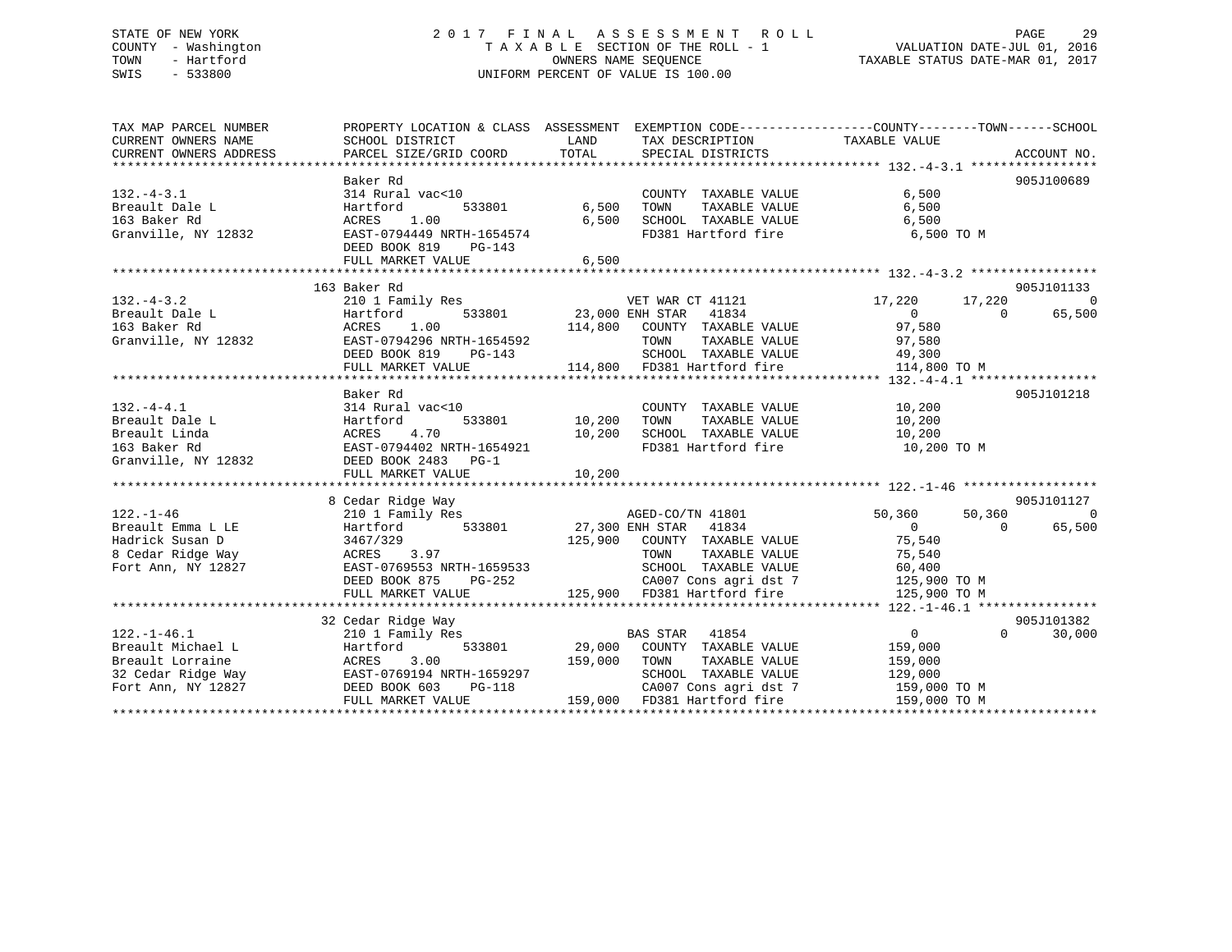# STATE OF NEW YORK 2 0 1 7 F I N A L A S S E S S M E N T R O L L PAGE 29 COUNTY - Washington T A X A B L E SECTION OF THE ROLL - 1 VALUATION DATE-JUL 01, 2016 TOWN - Hartford **TAXABLE STATUS DATE-MAR 01, 2017** SWIS - 533800 UNIFORM PERCENT OF VALUE IS 100.00

| TAX MAP PARCEL NUMBER<br>CURRENT OWNERS NAME<br>CURRENT OWNERS ADDRESS                                                | PROPERTY LOCATION & CLASS ASSESSMENT EXEMPTION CODE---------------COUNTY-------TOWN-----SCHOOL<br>SCHOOL DISTRICT                                                                    | LAND                           | TAX DESCRIPTION TAXABLE VALUE                                                                                                                                                      |                                                                                          |                                                          |
|-----------------------------------------------------------------------------------------------------------------------|--------------------------------------------------------------------------------------------------------------------------------------------------------------------------------------|--------------------------------|------------------------------------------------------------------------------------------------------------------------------------------------------------------------------------|------------------------------------------------------------------------------------------|----------------------------------------------------------|
| $132. -4 - 3.1$<br>Breault Dale L<br>163 Baker Rd<br>Granville, NY 12832                                              | Baker Rd<br>314 Rural vac<10<br>Hartford<br>ACRES 1.00<br>EAST-0794449 NRTH-1654574<br>DEED BOOK 819<br>$PG-143$<br>FULL MARKET VALUE                                                | 533801 6,500<br>6,500<br>6,500 | COUNTY TAXABLE VALUE<br>TAXABLE VALUE<br>TOWN<br>SCHOOL TAXABLE VALUE<br>FD381 Hartford fire                                                                                       | 6,500<br>6,500<br>6,500<br>6,500 TO M                                                    | 905J100689                                               |
| $132. - 4 - 3.2$<br>re L<br>Rd<br>Breault Dale L<br>163 Baker Rd<br>Granville, NY 12832                               | 163 Baker Rd<br>210 1 Family Res<br>Hartford<br>1.00<br>ACRES<br>EAST-0794296 NRTH-1654592<br>DEED BOOK 819 PG-143<br>FULL MARKET VALUE                                              |                                | VET WAR CT 41121<br>533801 23,000 ENH STAR 41834<br>114,800 COUNTY TAXABLE VALUE 97,580<br>TOWN TAXABLE VALUE 97,580<br>SCHOOL TAXABLE VALUE 49,300<br>114,800 FD381 Hartford fire | 17,220<br>17,220<br>$\overline{0}$<br>114,800 TO M                                       | 905J101133<br>$\overline{0}$<br>65,500<br>$\overline{0}$ |
| $132. -4 - 4.1$<br>Breault Dale L<br>Breault Linda<br>163 Baker Rd<br>Granville, NY 12832                             | Baker Rd<br>314 Rural vac<10<br>533801<br>Hartford<br>4.70<br>ACRES<br>EAST-0794402 NRTH-1654921<br>DEED BOOK 2483 PG-1                                                              | 10,200<br>10,200               | COUNTY TAXABLE VALUE<br>TOWN TAXABLE VALUE $10,200$<br>SCHOOL TAXABLE VALUE $10,200$<br>FD381 Hartford fire $10,200$ TO M                                                          | 10, 200                                                                                  | 905J101218                                               |
|                                                                                                                       |                                                                                                                                                                                      |                                |                                                                                                                                                                                    |                                                                                          |                                                          |
| $122. - 1 - 46$<br>Breault Emma L LE<br>Hadrick Susan D<br>Hadrick Susan D<br>8 Cedar Ridge Way<br>Fort Ann, NY 12827 | 8 Cedar Ridge Way<br>2001 Namily Res<br>210 1 Family Res<br>33801 27,300 ENH STAR 41834<br>3467/329<br>ACRES 3.97<br>EAST-0769553 NRTH-1659533<br>DEED BOOK 875<br>FULL MARKET VALUE |                                | AGED-CO/TN 41801<br>125,900 COUNTY TAXABLE VALUE<br>TOWN TAXABLE VALUE<br>SCHOOL TAXABLE VALUE<br>PG-252 CA007 Cons agri dst 7<br>LLUE 125,900 FD381 Hartford fire                 | 50,360<br>$\overline{0}$<br>75,540<br>75,540<br>60,400<br>$125,900$ TO M<br>125,900 TO M | 905J101127<br>50,360 0<br>65,500<br>$\overline{0}$       |
|                                                                                                                       |                                                                                                                                                                                      |                                |                                                                                                                                                                                    |                                                                                          |                                                          |
| $122. - 1 - 46.1$                                                                                                     | 32 Cedar Ridge Way<br>210 1 Family Res                                                                                                                                               |                                | <b>BAS STAR</b> 41854                                                                                                                                                              | $\overline{0}$<br>159,000<br>159,000<br>129,000<br>159,000 TO M<br>159,000 TO M          | 905J101382<br>$\Omega$<br>30,000                         |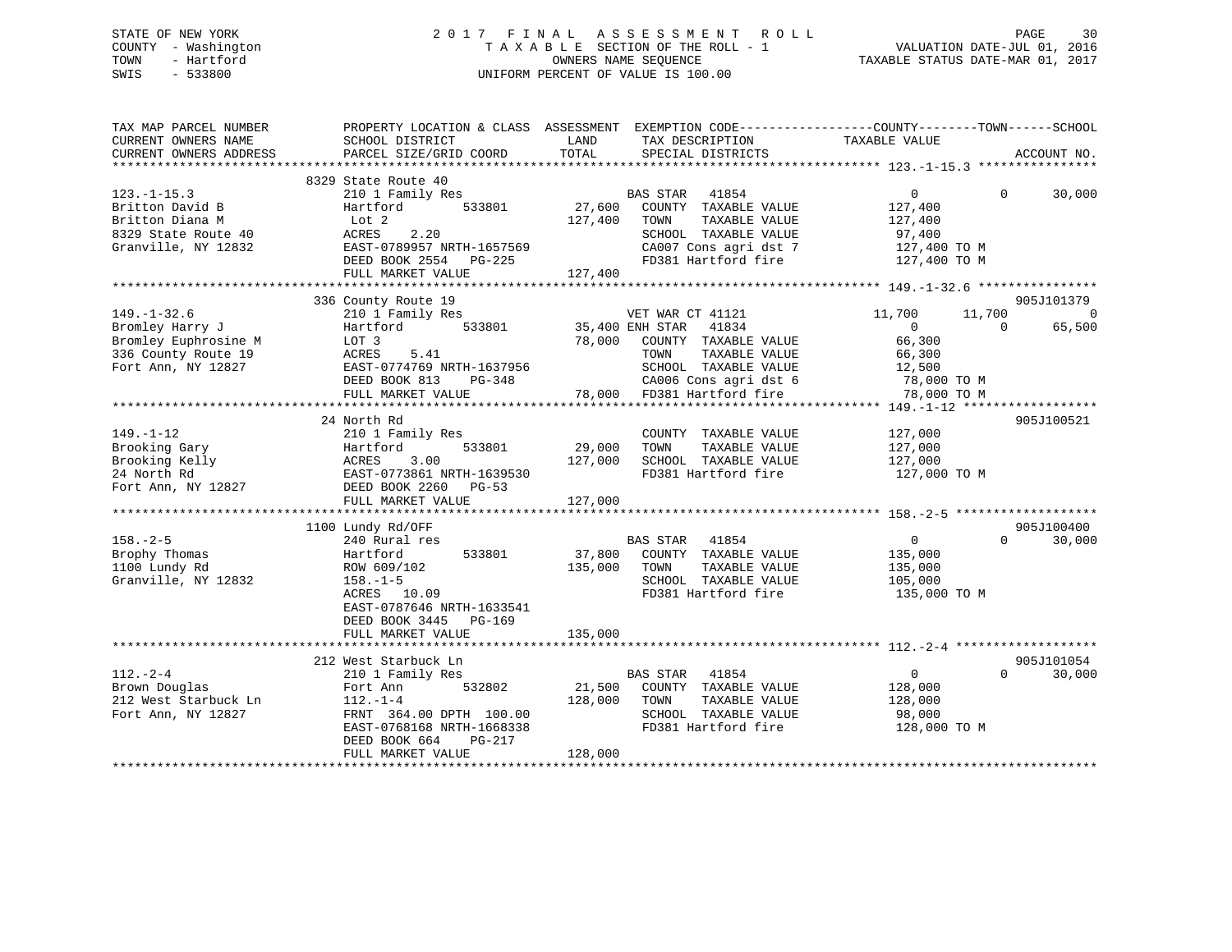# STATE OF NEW YORK 2 0 1 7 F I N A L A S S E S S M E N T R O L L PAGE 30 COUNTY - Washington T A X A B L E SECTION OF THE ROLL - 1 VALUATION DATE-JUL 01, 2016 TOWN - Hartford **TAXABLE STATUS DATE-MAR 01, 2017** SWIS - 533800 UNIFORM PERCENT OF VALUE IS 100.00

| TAX MAP PARCEL NUMBER                         |                                           |                                                       | PROPERTY LOCATION & CLASS ASSESSMENT EXEMPTION CODE-----------------COUNTY--------TOWN------SCHOOL |
|-----------------------------------------------|-------------------------------------------|-------------------------------------------------------|----------------------------------------------------------------------------------------------------|
| CURRENT OWNERS NAME<br>CURRENT OWNERS ADDRESS | SCHOOL DISTRICT<br>PARCEL SIZE/GRID COORD | TAX DESCRIPTION<br>LAND<br>TOTAL<br>SPECIAL DISTRICTS | TAXABLE VALUE<br>ACCOUNT NO.                                                                       |
|                                               |                                           |                                                       |                                                                                                    |
|                                               | 8329 State Route 40                       |                                                       |                                                                                                    |
| $123. - 1 - 15.3$                             | 210 1 Family Res                          | BAS STAR 41854                                        | $\overline{0}$<br>$\Omega$<br>30,000                                                               |
| Britton David B                               | 533801<br>Hartford                        | 27,600 COUNTY TAXABLE VALUE                           | 127,400                                                                                            |
| Britton Diana M                               | Lot 2                                     | 127,400<br>TOWN<br>TAXABLE VALUE                      | 127,400                                                                                            |
| 8329 State Route 40                           | 2.20<br>ACRES                             | SCHOOL TAXABLE VALUE                                  | 97,400                                                                                             |
| Granville, NY 12832                           | EAST-0789957 NRTH-1657569                 | CA007 Cons agri dst 7                                 | 127,400 TO M                                                                                       |
|                                               | DEED BOOK 2554 PG-225                     | FD381 Hartford fire                                   | 127,400 TO M                                                                                       |
|                                               | FULL MARKET VALUE                         | 127,400                                               |                                                                                                    |
|                                               |                                           |                                                       |                                                                                                    |
|                                               | 336 County Route 19                       |                                                       | 905J101379                                                                                         |
| $149. - 1 - 32.6$                             | 210 1 Family Res                          | VET WAR CT 41121<br>35,400 ENH STAR 41834             | 11,700<br>11,700<br>0                                                                              |
| Bromley Harry J                               | Hartford 533801                           |                                                       | 65,500<br>$\overline{0}$<br>$\Omega$                                                               |
| Bromley Euphrosine M                          | LOT 3                                     | 78,000 COUNTY TAXABLE VALUE                           | 66,300                                                                                             |
| 336 County Route 19                           | ACRES 5.41                                | TAXABLE VALUE<br>TOWN                                 | 66,300                                                                                             |
| Fort Ann, NY 12827                            | EAST-0774769 NRTH-1637956                 | SCHOOL TAXABLE VALUE                                  | 12,500                                                                                             |
|                                               | DEED BOOK 813<br>PG-348                   | CA006 Cons agri dst 6<br>78,000 FD381 Hartford fire   | 78,000 TO M                                                                                        |
|                                               | FULL MARKET VALUE                         |                                                       | 78,000 TO M                                                                                        |
|                                               |                                           |                                                       |                                                                                                    |
|                                               | 24 North Rd                               |                                                       | 905J100521                                                                                         |
| $149. - 1 - 12$                               | 210 1 Family Res                          | COUNTY TAXABLE VALUE                                  | 127,000                                                                                            |
| Brooking Gary                                 | Hartford<br>533801                        | 29,000<br>TOWN<br>TAXABLE VALUE                       | 127,000                                                                                            |
| Brooking Kelly                                | ACRES<br>EAST-<br>3.00                    | 127,000<br>SCHOOL TAXABLE VALUE                       | 127,000                                                                                            |
| 24 North Rd                                   | EAST-0773861 NRTH-1639530                 | FD381 Hartford fire                                   | 127,000 TO M                                                                                       |
| Fort Ann, NY 12827 DEED BOOK 2260             | $PG-53$                                   |                                                       |                                                                                                    |
|                                               | FULL MARKET VALUE                         | 127,000                                               |                                                                                                    |
|                                               |                                           |                                                       | 905J100400                                                                                         |
| $158. - 2 - 5$                                | 1100 Lundy Rd/OFF<br>240 Rural res        | BAS STAR 41854                                        | 30,000<br>$\overline{0}$<br>$\Omega$                                                               |
| Brophy Thomas                                 | 533801<br>Hartford                        | 37,800 COUNTY TAXABLE VALUE                           | 135,000                                                                                            |
| 1100 Lundy Rd                                 | ROW 609/102                               | 135,000<br>TAXABLE VALUE<br>TOWN                      | 135,000                                                                                            |
| Granville, NY 12832                           | $158. - 1 - 5$                            | SCHOOL TAXABLE VALUE                                  | 105,000                                                                                            |
|                                               | ACRES 10.09                               | FD381 Hartford fire                                   | 135,000 TO M                                                                                       |
|                                               | EAST-0787646 NRTH-1633541                 |                                                       |                                                                                                    |
|                                               | DEED BOOK 3445 PG-169                     |                                                       |                                                                                                    |
|                                               | FULL MARKET VALUE                         | 135,000                                               |                                                                                                    |
|                                               |                                           |                                                       |                                                                                                    |
|                                               | 212 West Starbuck Ln                      |                                                       | 905J101054                                                                                         |
| $112. - 2 - 4$                                | 210 1 Family Res                          | BAS STAR 41854                                        | $\overline{0}$<br>$\Omega$<br>30,000                                                               |
| Brown Douglas                                 | 532802<br>Fort Ann                        | 21,500<br>COUNTY TAXABLE VALUE                        | 128,000                                                                                            |
| 212 West Starbuck Ln                          | $112. - 1 - 4$                            | 128,000<br>TAXABLE VALUE<br>TOWN                      | 128,000                                                                                            |
| Fort Ann, NY 12827                            | FRNT 364.00 DPTH 100.00                   | SCHOOL TAXABLE VALUE                                  | 98,000                                                                                             |
|                                               | EAST-0768168 NRTH-1668338                 | FD381 Hartford fire                                   | 128,000 TO M                                                                                       |
|                                               | DEED BOOK 664<br>PG-217                   |                                                       |                                                                                                    |
|                                               | FULL MARKET VALUE                         | 128,000                                               |                                                                                                    |
|                                               |                                           |                                                       |                                                                                                    |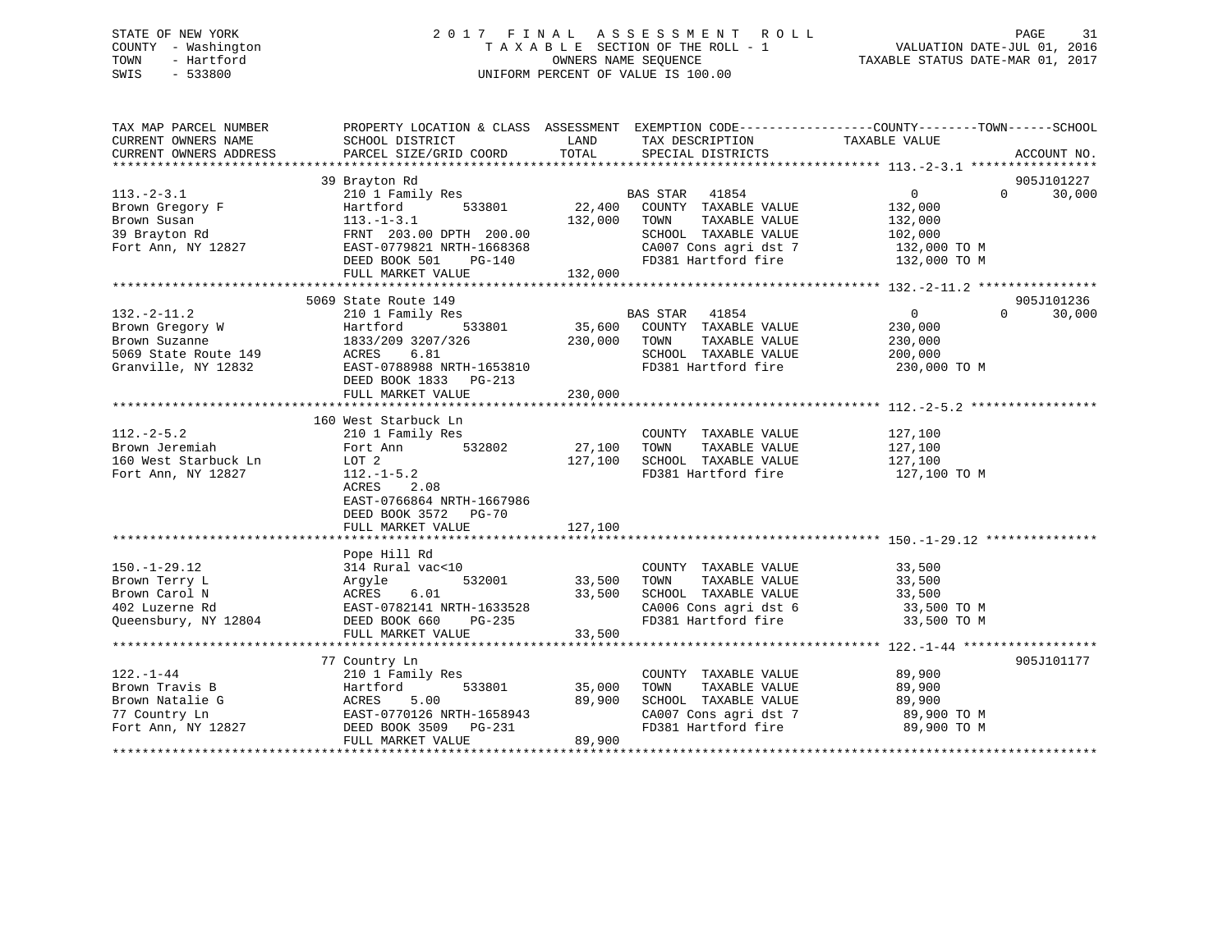# STATE OF NEW YORK 2 0 1 7 F I N A L A S S E S S M E N T R O L L PAGE 31 COUNTY - Washington T A X A B L E SECTION OF THE ROLL - 1 VALUATION DATE-JUL 01, 2016 TOWN - Hartford **TAXABLE STATUS DATE-MAR 01, 2017** SWIS - 533800 UNIFORM PERCENT OF VALUE IS 100.00

| TAX MAP PARCEL NUMBER  | PROPERTY LOCATION & CLASS ASSESSMENT EXEMPTION CODE---------------COUNTY-------TOWN------SCHOOL |               |                                                                  |                   |                    |
|------------------------|-------------------------------------------------------------------------------------------------|---------------|------------------------------------------------------------------|-------------------|--------------------|
| CURRENT OWNERS NAME    | SCHOOL DISTRICT                                                                                 | LAND<br>TOTAL | TAX DESCRIPTION                                                  | TAXABLE VALUE     |                    |
| CURRENT OWNERS ADDRESS | PARCEL SIZE/GRID COORD                                                                          |               | SPECIAL DISTRICTS                                                |                   | ACCOUNT NO.        |
|                        | 39 Brayton Rd                                                                                   |               |                                                                  |                   | 905J101227         |
| $113. - 2 - 3.1$       | 210 1 Family Res                                                                                |               | BAS STAR 41854                                                   | $0 \qquad \qquad$ | 30,000<br>$\Omega$ |
| Brown Gregory F        | 533801<br>Hartford                                                                              | 22,400        | COUNTY TAXABLE VALUE                                             | 132,000           |                    |
| Brown Susan            | $113.-1-3.1$                                                                                    | 132,000       | TOWN<br>TAXABLE VALUE                                            | 132,000           |                    |
| 39 Brayton Rd          | FRNT 203.00 DPTH 200.00                                                                         |               | SCHOOL TAXABLE VALUE                                             | 102,000           |                    |
| Fort Ann, NY 12827     | EAST-0779821 NRTH-1668368                                                                       |               | CA007 Cons agri dst 7 132,000 TO M                               |                   |                    |
|                        | DEED BOOK 501<br>$PG-140$                                                                       |               | FD381 Hartford fire                                              | 132,000 TO M      |                    |
|                        | FULL MARKET VALUE                                                                               | 132,000       |                                                                  |                   |                    |
|                        |                                                                                                 |               |                                                                  |                   |                    |
|                        | 5069 State Route 149                                                                            |               |                                                                  |                   | 905J101236         |
| $132. - 2 - 11.2$      | 210 1 Family Res                                                                                |               | BAS STAR 41854                                                   | $\overline{0}$    | $\Omega$<br>30,000 |
| Brown Gregory W        | 533801<br>Hartford                                                                              | 35,600        | COUNTY TAXABLE VALUE                                             | 230,000           |                    |
| Brown Suzanne          | 1833/209 3207/326                                                                               | 230,000       | TAXABLE VALUE<br>TOWN                                            | 230,000           |                    |
| 5069 State Route 149   | 6.81<br>ACRES                                                                                   |               | SCHOOL TAXABLE VALUE                                             | 200,000           |                    |
| Granville, NY 12832    | EAST-0788988 NRTH-1653810                                                                       |               | FD381 Hartford fire                                              | 230,000 TO M      |                    |
|                        | DEED BOOK 1833 PG-213                                                                           |               |                                                                  |                   |                    |
|                        | FULL MARKET VALUE                                                                               | 230,000       |                                                                  |                   |                    |
|                        |                                                                                                 |               |                                                                  |                   |                    |
|                        | 160 West Starbuck Ln                                                                            |               |                                                                  |                   |                    |
| $112. - 2 - 5.2$       | 210 1 Family Res                                                                                |               | COUNTY TAXABLE VALUE                                             | 127,100           |                    |
| Brown Jeremiah         | Fort Ann<br>532802                                                                              | 27,100        | TOWN<br>TAXABLE VALUE                                            | 127,100           |                    |
| 160 West Starbuck Ln   | LOT 2                                                                                           | 127,100       | SCHOOL TAXABLE VALUE                                             | 127,100           |                    |
| Fort Ann, NY 12827     | $112. - 1 - 5.2$                                                                                |               | FD381 Hartford fire                                              | 127,100 TO M      |                    |
|                        | ACRES<br>2.08                                                                                   |               |                                                                  |                   |                    |
|                        | EAST-0766864 NRTH-1667986                                                                       |               |                                                                  |                   |                    |
|                        | DEED BOOK 3572 PG-70                                                                            |               |                                                                  |                   |                    |
|                        | FULL MARKET VALUE                                                                               | 127,100       |                                                                  |                   |                    |
|                        |                                                                                                 |               |                                                                  |                   |                    |
|                        | Pope Hill Rd                                                                                    |               |                                                                  |                   |                    |
| $150. - 1 - 29.12$     | 314 Rural vac<10                                                                                |               | COUNTY TAXABLE VALUE                                             | 33,500            |                    |
| Brown Terry L          | 532001<br>Arqyle                                                                                | 33,500        | TOWN<br>TAXABLE VALUE                                            | 33,500            |                    |
| Brown Carol N          | ACRES<br>6.01                                                                                   | 33,500        |                                                                  |                   |                    |
| 402 Luzerne Rd         | EAST-0782141 NRTH-1633528                                                                       |               | SCHOOL TAXABLE VALUE 33,500<br>CA006 Cons agri dst 6 33,500 TO M |                   |                    |
| Queensbury, NY 12804   | DEED BOOK 660<br>PG-235                                                                         |               | FD381 Hartford fire                                              | 33,500 TO M       |                    |
|                        | FULL MARKET VALUE                                                                               | 33,500        |                                                                  |                   |                    |
|                        |                                                                                                 |               |                                                                  |                   |                    |
|                        | 77 Country Ln                                                                                   |               |                                                                  |                   | 905J101177         |
| $122. - 1 - 44$        | 210 1 Family Res                                                                                |               | COUNTY TAXABLE VALUE                                             | 89,900            |                    |
| Brown Travis B         | Hartford<br>533801                                                                              | 35,000        | TAXABLE VALUE<br>TOWN                                            | 89,900            |                    |
| Brown Natalie G        | ACRES<br>5.00                                                                                   | 89,900        | SCHOOL TAXABLE VALUE                                             | 89,900            |                    |
| 77 Country Ln          | EAST-0770126 NRTH-1658943                                                                       |               | CA007 Cons agri dst 7                                            | 89,900 TO M       |                    |
| Fort Ann, NY 12827     | EAST-0770126 NN111 1999.<br>DEED BOOK 3509 PG-231                                               |               | FD381 Hartford fire                                              | 89,900 TO M       |                    |
|                        | FULL MARKET VALUE                                                                               | 89,900        |                                                                  |                   |                    |
|                        |                                                                                                 |               |                                                                  |                   |                    |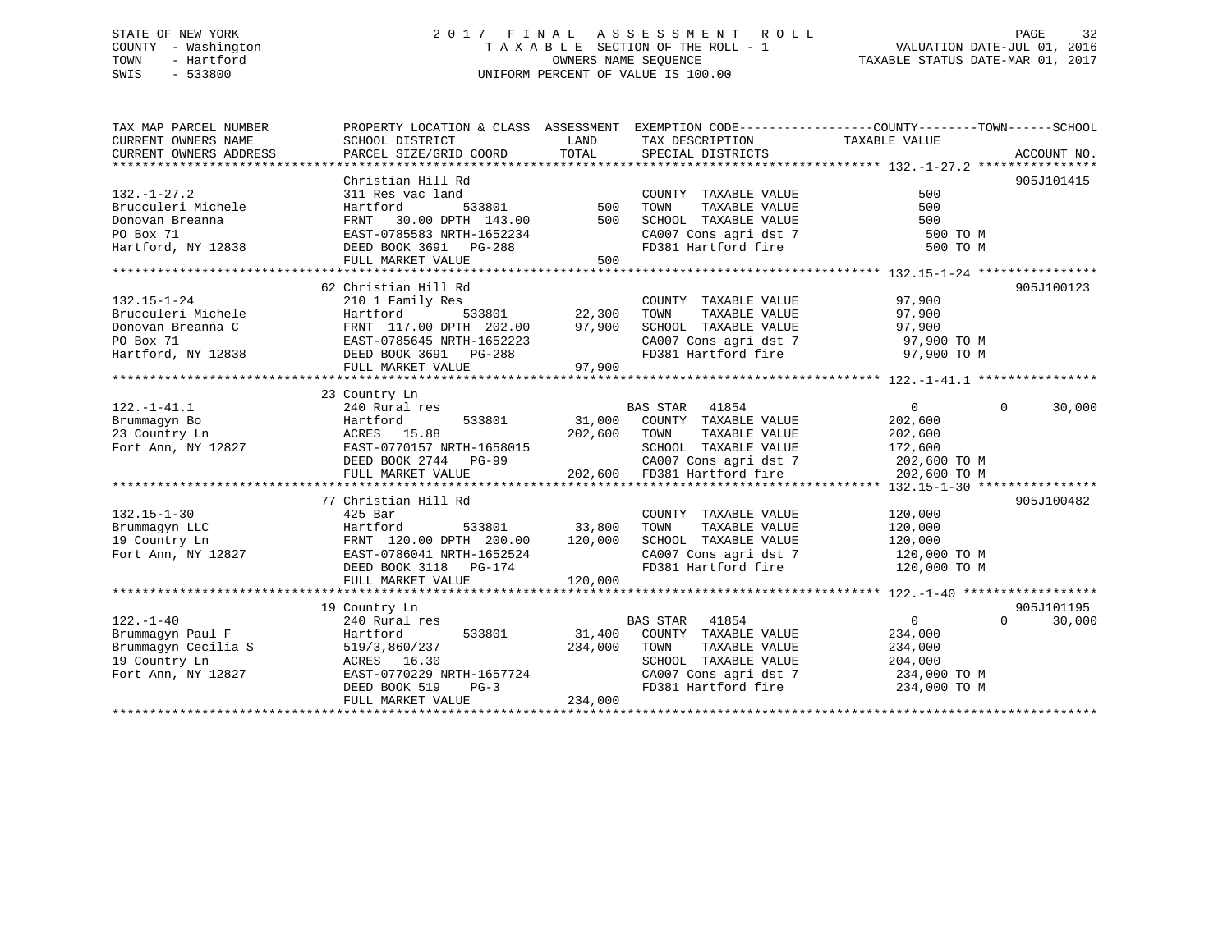# STATE OF NEW YORK 2 0 1 7 F I N A L A S S E S S M E N T R O L L PAGE 32 COUNTY - Washington T A X A B L E SECTION OF THE ROLL - 1 VALUATION DATE-JUL 01, 2016 TOWN - Hartford **TAXABLE STATUS DATE-MAR 01, 2017** SWIS - 533800 UNIFORM PERCENT OF VALUE IS 100.00

| TAX MAP PARCEL NUMBER<br>CURRENT OWNERS NAME<br>CURRENT OWNERS ADDRESS                            | PROPERTY LOCATION & CLASS ASSESSMENT EXEMPTION CODE---------------COUNTY-------TOWN-----SCHOOL<br>SCHOOL DISTRICT<br>PARCEL SIZE/GRID COORD                          | LAND<br>TOTAL              | TAX DESCRIPTION TAXABLE VALUE<br>SPECIAL DISTRICTS                                                                                                                              |                                                                                 | ACCOUNT NO.                      |
|---------------------------------------------------------------------------------------------------|----------------------------------------------------------------------------------------------------------------------------------------------------------------------|----------------------------|---------------------------------------------------------------------------------------------------------------------------------------------------------------------------------|---------------------------------------------------------------------------------|----------------------------------|
| $132. - 1 - 27.2$<br>Brucculeri Michele<br>Donovan Breanna<br>PO Box 71<br>Hartford, NY 12838     | Christian Hill Rd<br>311 Res vac land<br>533801<br>Hartford<br>FRNT 30.00 DPTH 143.00<br>EAST-0785583 NRTH-1652234<br>DEED BOOK 3691 PG-288<br>FULL MARKET VALUE     | 500<br>500<br>500          | COUNTY TAXABLE VALUE<br>TOWN<br>TAXABLE VALUE<br>SCHOOL TAXABLE VALUE<br>FD381 Hartford fire                                                                                    | 500<br>500<br>500<br>500 TO M                                                   | 905J101415                       |
| $132.15 - 1 - 24$<br>Brucculeri Michele<br>Donovan Breanna C<br>PO Box 71<br>Hartford, NY 12838   | 62 Christian Hill Rd<br>210 1 Family Res<br>533801<br>Hartford<br>FRNT 117.00 DPTH 202.00<br>EAST-0785645 NRTH-1652223<br>DEED BOOK 3691 PG-288<br>FULL MARKET VALUE | 22,300<br>97,900<br>97,900 | COUNTY TAXABLE VALUE<br>TOWN<br>TAXABLE VALUE<br>SCHOOL TAXABLE VALUE<br>CA007 Cons agri dst 7<br>The lightford fire                                                            | 97,900<br>97,900<br>97,900<br>97,900 TO M<br>97,900 TO M                        | 905J100123                       |
| $122. - 1 - 41.1$<br>Brummaqyn Bo<br>srummagyn Bo<br>23 Country Ln<br>Fort Ann, NY 12827          | 23 Country Ln<br>240 Rural res<br>533801<br>Hartford<br>ACRES 15.88<br>EAST-0770157 NRTH-1658015<br>DEED BOOK 2744 PG-99<br>FULL MARKET VALUE                        | 202,600                    | BAS STAR 41854<br>31,000 COUNTY TAXABLE VALUE<br>TOWN<br>TAXABLE VALUE<br>SCHOOL TAXABLE VALUE<br>CA007 Cons agri dst 7<br>CA007 Cons agri dst 7<br>202,600 FD381 Hartford fire | $\overline{0}$<br>202,600<br>202,600<br>172,600<br>202,600 TO M<br>202,600 TO M | $\Omega$<br>30,000               |
| $132.15 - 1 - 30$<br>Brummagyn LLC<br>19 Country Ln<br>Fort Ann, NY 12827                         | 77 Christian Hill Rd<br>425 Bar<br>533801 33,800<br>Hartford<br>FRNT 120.00 DPTH 200.00<br>EAST-0786041 NRTH-1652524<br>DEED BOOK 3118 PG-174<br>FULL MARKET VALUE   | 120,000<br>120,000         | COUNTY TAXABLE VALUE<br>TOWN<br>TAXABLE VALUE<br>SCHOOL TAXABLE VALUE<br>CA007 Cons agri dst 7 120,000 TO M<br>FD381 Hartford fire 120,000 TO M                                 | 120,000<br>120,000<br>120,000                                                   | 905J100482                       |
| $122. - 1 - 40$<br>Brummaqyn Paul F<br>Brummaqyn Cecilia S<br>19 Country Ln<br>Fort Ann, NY 12827 | 19 Country Ln<br>240 Rural res<br>Hartford<br>519/3,860/237<br>ACRES 16.30<br>EAST-0770229 NRTH-1657724<br>DEED BOOK 519<br>$PG-3$<br>FULL MARKET VALUE              | 234,000<br>234,000         | BAS STAR 41854<br>533801 31,400 COUNTY TAXABLE VALUE<br>TOWN<br>TAXABLE VALUE<br>SCHOOL TAXABLE VALUE<br>CA007 Cons agri dst 7 234,000 TO M<br>FD381 Hartford fire 234,000 TO M | $\overline{0}$<br>234,000<br>234,000<br>204,000                                 | 905J101195<br>$\Omega$<br>30,000 |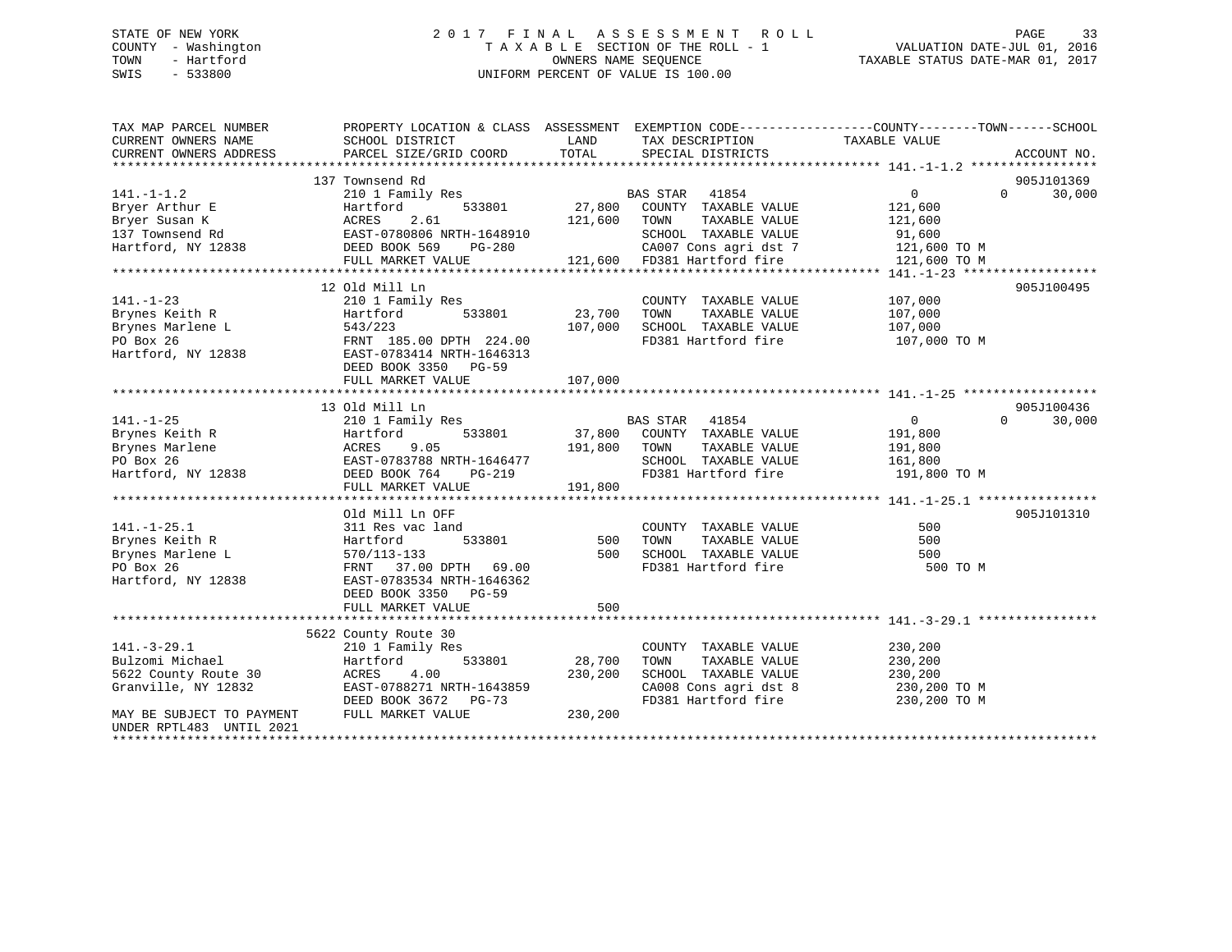# STATE OF NEW YORK 2 0 1 7 F I N A L A S S E S S M E N T R O L L PAGE 33 COUNTY - Washington T A X A B L E SECTION OF THE ROLL - 1 VALUATION DATE-JUL 01, 2016 TOWN - Hartford **TAXABLE STATUS DATE-MAR 01, 2017** SWIS - 533800 UNIFORM PERCENT OF VALUE IS 100.00

| TAX MAP PARCEL NUMBER<br>CURRENT OWNERS NAME | PROPERTY LOCATION & CLASS ASSESSMENT EXEMPTION CODE---------------COUNTY-------TOWN-----SCHOOL<br>SCHOOL DISTRICT | LAND                   | TAX DESCRIPTION                    | TAXABLE VALUE  |                    |
|----------------------------------------------|-------------------------------------------------------------------------------------------------------------------|------------------------|------------------------------------|----------------|--------------------|
| CURRENT OWNERS ADDRESS                       | PARCEL SIZE/GRID COORD                                                                                            | TOTAL                  | SPECIAL DISTRICTS                  |                | ACCOUNT NO.        |
|                                              |                                                                                                                   |                        |                                    |                |                    |
|                                              | 137 Townsend Rd                                                                                                   |                        |                                    |                | 905J101369         |
| $141. - 1 - 1.2$                             | 210 1 Family Res                                                                                                  |                        | BAS STAR 41854                     | $\overline{0}$ | 30,000<br>$\Omega$ |
| Bryer Arthur E                               | Hartford<br>533801                                                                                                | $27,800$ <sup>BZ</sup> | COUNTY TAXABLE VALUE               | 121,600        |                    |
| Bryer Susan K                                | 2.61<br>ACRES                                                                                                     | 121,600 TOWN           | TAXABLE VALUE                      | 121,600        |                    |
| 137 Townsend Rd                              | EAST-0780806 NRTH-1648910                                                                                         |                        | SCHOOL TAXABLE VALUE               | 91,600         |                    |
| Hartford, NY 12838                           | DEED BOOK 569<br>PG-280                                                                                           |                        | CA007 Cons agri dst 7 121,600 TO M |                |                    |
|                                              | FULL MARKET VALUE                                                                                                 |                        | 121,600 FD381 Hartford fire        | 121,600 TO M   |                    |
|                                              |                                                                                                                   |                        |                                    |                |                    |
|                                              | 12 Old Mill Ln                                                                                                    |                        |                                    |                | 905J100495         |
| $141. - 1 - 23$                              | 210 1 Family Res                                                                                                  |                        | COUNTY TAXABLE VALUE               | 107,000        |                    |
| Brynes Keith R                               | 533801<br>Hartford                                                                                                | 23,700                 | TAXABLE VALUE<br>TOWN              | 107,000        |                    |
|                                              | 543/223                                                                                                           | 107,000                | SCHOOL TAXABLE VALUE               | 107,000        |                    |
| Brynes Marlene L<br>PO Box 26                | FRNT 185.00 DPTH 224.00                                                                                           |                        | FD381 Hartford fire                | 107,000 TO M   |                    |
| Hartford, NY 12838                           | EAST-0783414 NRTH-1646313                                                                                         |                        |                                    |                |                    |
|                                              | DEED BOOK 3350 PG-59                                                                                              |                        |                                    |                |                    |
|                                              | FULL MARKET VALUE                                                                                                 | 107,000                |                                    |                |                    |
|                                              |                                                                                                                   |                        |                                    |                |                    |
|                                              | 13 Old Mill Ln                                                                                                    |                        |                                    |                | 905J100436         |
| $141. - 1 - 25$                              | 210 1 Family Res                                                                                                  |                        | BAS STAR<br>41854                  | $\overline{0}$ | $\Omega$<br>30,000 |
| Brynes Keith R                               | 533801<br>Hartford                                                                                                |                        | 37,800 COUNTY TAXABLE VALUE        | 191,800        |                    |
| Brynes Marlene                               | 9.05<br>ACRES                                                                                                     | 191,800 TOWN           | TAXABLE VALUE                      | 191,800        |                    |
|                                              | EAST-0783788 NRTH-1646477                                                                                         |                        | SCHOOL TAXABLE VALUE               | 161,800        |                    |
|                                              | DEED BOOK 764<br>PG-219                                                                                           |                        | FD381 Hartford fire                | 191,800 TO M   |                    |
| ro BOX 26<br>Hartford, NY 12838              |                                                                                                                   | 191,800                |                                    |                |                    |
|                                              | FULL MARKET VALUE                                                                                                 |                        |                                    |                |                    |
|                                              |                                                                                                                   |                        |                                    |                | 905J101310         |
|                                              | Old Mill Ln OFF                                                                                                   |                        |                                    |                |                    |
| $141. - 1 - 25.1$                            | 311 Res vac land                                                                                                  |                        | COUNTY TAXABLE VALUE               | 500            |                    |
| Brynes Keith R                               | 533801<br>Hartford                                                                                                | 500                    | TOWN<br>TAXABLE VALUE              | 500            |                    |
| Brynes Marlene L                             | 570/113-133                                                                                                       | 500                    | SCHOOL TAXABLE VALUE               | 500            |                    |
| PO Box 26                                    | FRNT 37.00 DPTH 69.00                                                                                             |                        | FD381 Hartford fire                | 500 TO M       |                    |
| Hartford, NY 12838                           | EAST-0783534 NRTH-1646362                                                                                         |                        |                                    |                |                    |
|                                              | DEED BOOK 3350 PG-59                                                                                              |                        |                                    |                |                    |
|                                              | FULL MARKET VALUE                                                                                                 | 500                    |                                    |                |                    |
|                                              |                                                                                                                   |                        |                                    |                |                    |
|                                              | 5622 County Route 30                                                                                              |                        |                                    |                |                    |
| $141. - 3 - 29.1$                            | 210 1 Family Res                                                                                                  |                        | COUNTY TAXABLE VALUE               | 230,200        |                    |
| Bulzomi Michael                              | 533801<br>Hartford                                                                                                | 28,700                 | TOWN<br>TAXABLE VALUE              | 230,200        |                    |
| 5622 County Route 30                         | 4.00<br>ACRES                                                                                                     | 230,200                | SCHOOL TAXABLE VALUE               | 230,200        |                    |
| Granville, NY 12832                          | EAST-0788271 NRTH-1643859                                                                                         |                        | CA008 Cons agri dst 8              | 230,200 TO M   |                    |
|                                              | DEED BOOK 3672 PG-73                                                                                              |                        | FD381 Hartford fire                | 230,200 TO M   |                    |
| MAY BE SUBJECT TO PAYMENT                    | FULL MARKET VALUE                                                                                                 | 230,200                |                                    |                |                    |
| UNDER RPTL483 UNTIL 2021                     |                                                                                                                   |                        |                                    |                |                    |
|                                              |                                                                                                                   |                        |                                    |                |                    |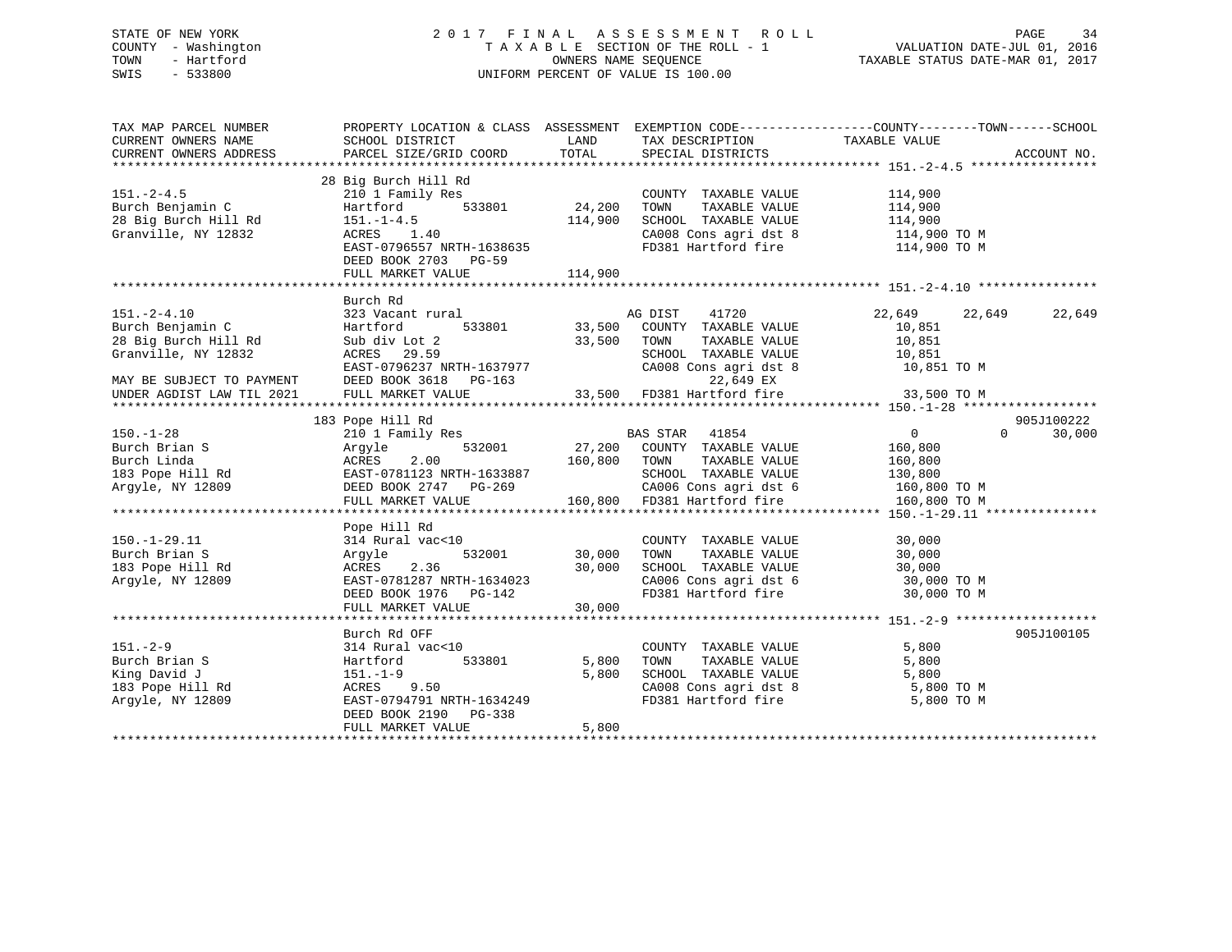# STATE OF NEW YORK 2 0 1 7 F I N A L A S S E S S M E N T R O L L PAGE 34 COUNTY - Washington T A X A B L E SECTION OF THE ROLL - 1 VALUATION DATE-JUL 01, 2016 TOWN - Hartford **TAXABLE STATUS DATE-MAR 01, 2017** SWIS - 533800 UNIFORM PERCENT OF VALUE IS 100.00

| TAX MAP PARCEL NUMBER<br>CURRENT OWNERS NAME<br>CURRENT OWNERS ADDRESS                                            | SCHOOL DISTRICT<br>PARCEL SIZE/GRID COORD                                                                                                             | LAND<br>TOTAL              | TAX DESCRIPTION TAXABLE VALUE<br>SPECIAL DISTRICTS                                                                                      | PROPERTY LOCATION & CLASS ASSESSMENT EXEMPTION CODE---------------COUNTY-------TOWN------SCHOOL<br>ACCOUNT NO.      |
|-------------------------------------------------------------------------------------------------------------------|-------------------------------------------------------------------------------------------------------------------------------------------------------|----------------------------|-----------------------------------------------------------------------------------------------------------------------------------------|---------------------------------------------------------------------------------------------------------------------|
| $151 - 2 - 4.5$<br>Burch Benjamin C<br>28 Big Burch Hill Rd<br>Granville, NY 12832                                | 28 Big Burch Hill Rd<br>210 1 Family Res<br>Hartford<br>533801<br>$151. - 1 - 4.5$<br>ACRES 1.40<br>EAST-0796557 NRTH-1638635<br>DEED BOOK 2703 PG-59 | 24,200<br>114,900          | COUNTY TAXABLE VALUE<br>TOWN<br>TAXABLE VALUE<br>SCHOOL TAXABLE VALUE<br>FD381 Hartford fire                                            | 114,900<br>114,900<br>114,900<br>CA008 Cons agri dst 8 114,900 TO M<br>114,900 TO M                                 |
|                                                                                                                   |                                                                                                                                                       |                            |                                                                                                                                         |                                                                                                                     |
| $151. - 2 - 4.10$<br>Burch Benjamin C<br>28 Big Burch Hill Rd<br>Granville, NY 12832<br>MAY BE SUBJECT TO PAYMENT | Burch Rd<br>323 Vacant rural<br>Hartford<br>Sub div Lot 2<br>ACRES 29.59<br>EAST-0796237 NRTH-1637977<br>DEED BOOK 3618 PG-163                        | 33,500 TOWN                | AG DIST<br>41720<br>533801 33,500 COUNTY TAXABLE VALUE<br>TAXABLE VALUE<br>SCHOOL TAXABLE VALUE 10,851<br>22,649 EX                     | 22,649<br>22,649<br>22,649<br>10,851<br>10,851<br>CA008 Cons agri dst 8 10,851 TO M                                 |
| UNDER AGDIST LAW TIL 2021                                                                                         | FULL MARKET VALUE                                                                                                                                     |                            | 33,500 FD381 Hartford fire                                                                                                              | 33,500 TO M                                                                                                         |
|                                                                                                                   |                                                                                                                                                       |                            |                                                                                                                                         | ********************* 150.-1-28 ******************                                                                  |
| $150. - 1 - 28$<br>Burch Brian S<br>Burch Linda<br>183 Pope Hill Rd<br>Arqyle, NY 12809                           | 183 Pope Hill Rd<br>210 1 Family Res<br>Arqyle<br>532001<br>ACRES<br>2.00<br>EAST-0781123 NRTH-1633887<br>DEED BOOK 2747 PG-269<br>FULL MARKET VALUE  | 27,200<br>160,800 TOWN     | BAS STAR 41854<br>COUNTY TAXABLE VALUE<br>TAXABLE VALUE<br>SCHOOL TAXABLE VALUE<br>CA006 Cons agri dst 6<br>160,800 FD381 Hartford fire | 905J100222<br>$\overline{0}$<br>$\Omega$<br>30,000<br>160,800<br>160,800<br>130,800<br>160,800 TO M<br>160,800 TO M |
|                                                                                                                   | Pope Hill Rd                                                                                                                                          |                            |                                                                                                                                         |                                                                                                                     |
| $150. - 1 - 29.11$<br>Burch Brian S<br>183 Pope Hill Rd<br>Arqyle, NY 12809                                       | 314 Rural vac<10<br>532001<br>Argyle<br>2.36<br>ACRES<br>EAST-0781287 NRTH-1634023<br>DEED BOOK 1976 PG-142<br>FULL MARKET VALUE                      | 30,000<br>30,000<br>30,000 | COUNTY TAXABLE VALUE<br>TAXABLE VALUE<br>TOWN<br>SCHOOL TAXABLE VALUE<br>FD381 Hartford fire                                            | 30,000<br>30,000<br>30,000<br>CA006 Cons agri dst 6 30,000 TO M<br>30,000 TO M                                      |
|                                                                                                                   | Burch Rd OFF                                                                                                                                          |                            |                                                                                                                                         | 905J100105                                                                                                          |
| $151. - 2 - 9$<br>Burch Brian S<br>King David J<br>183 Pope Hill Rd<br>Argyle, NY 12809                           | 314 Rural vac<10<br>533801<br>Hartford<br>$151.-1-9$<br>ACRES 9.50<br>EAST-0794791 NRTH-1634249<br>DEED BOOK 2190 PG-338<br>FULL MARKET VALUE         | 5,800<br>5,800<br>5,800    | COUNTY TAXABLE VALUE<br>TAXABLE VALUE<br>TOWN<br>SCHOOL TAXABLE VALUE<br>CA008 Cons agri dst 8<br>CA008 Cons agri dst 8                 | 5,800<br>5,800<br>5,800<br>5,800 TO M<br>5,800 TO M                                                                 |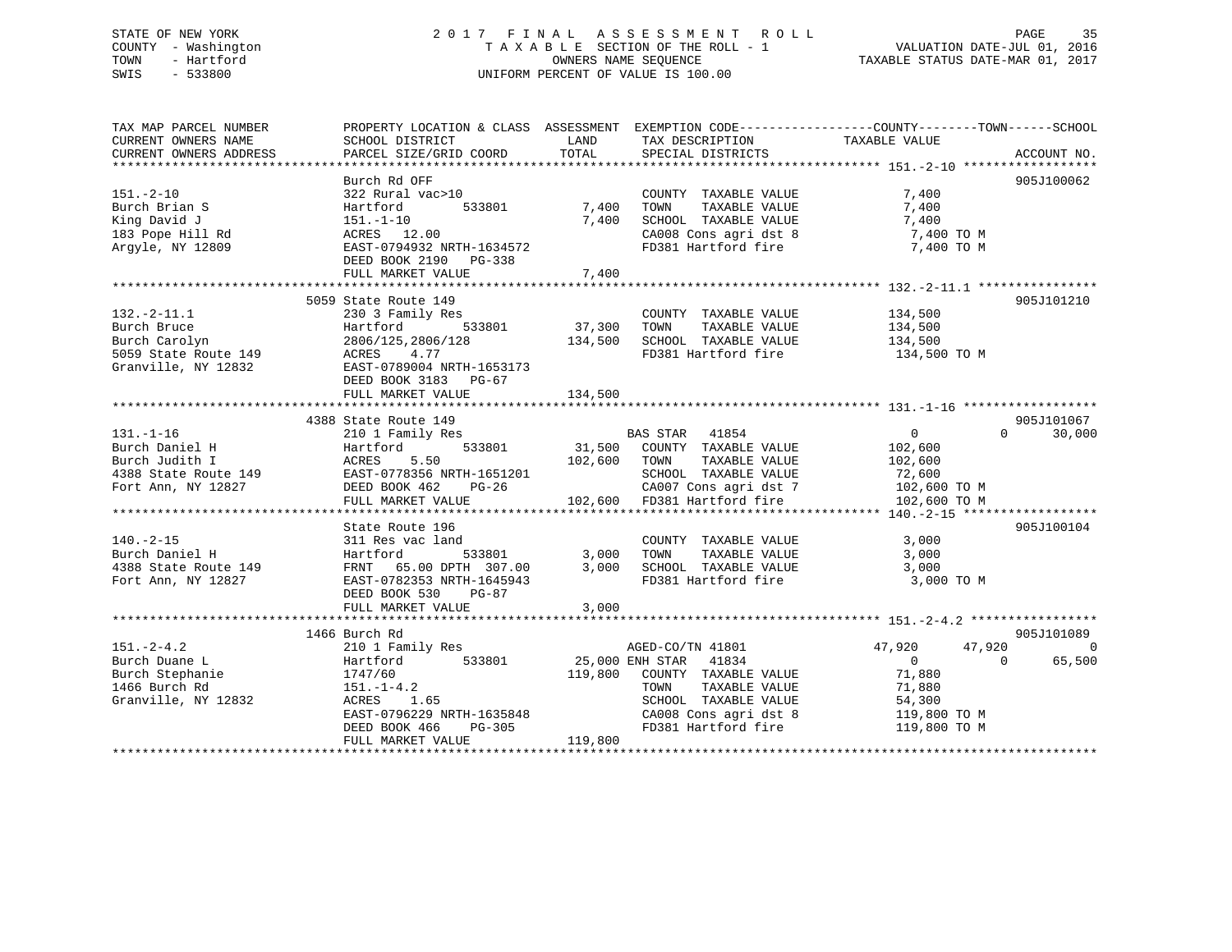# STATE OF NEW YORK 2 0 1 7 F I N A L A S S E S S M E N T R O L L PAGE 35 COUNTY - Washington T A X A B L E SECTION OF THE ROLL - 1 VALUATION DATE-JUL 01, 2016 TOWN - Hartford **TAXABLE STATUS DATE-MAR 01, 2017** SWIS - 533800 UNIFORM PERCENT OF VALUE IS 100.00

| TAX MAP PARCEL NUMBER<br>CURRENT OWNERS NAME<br>CURRENT OWNERS ADDRESS                                                                                                                           | PROPERTY LOCATION & CLASS ASSESSMENT EXEMPTION CODE----------------COUNTY-------TOWN------SCHOOL<br>SCHOOL DISTRICT<br>PARCEL SIZE/GRID COORD                                                                          | LAND<br>TOTAL                  | TAX DESCRIPTION<br>SPECIAL DISTRICTS                                                                                                                                  | TAXABLE VALUE                                                                      | ACCOUNT NO.                         |
|--------------------------------------------------------------------------------------------------------------------------------------------------------------------------------------------------|------------------------------------------------------------------------------------------------------------------------------------------------------------------------------------------------------------------------|--------------------------------|-----------------------------------------------------------------------------------------------------------------------------------------------------------------------|------------------------------------------------------------------------------------|-------------------------------------|
| $151. - 2 - 10$<br>Burch Brian S<br>King David J<br>151.-1-10<br>183 Pope Hill Rd<br>183 Pope Hill Rd<br>200<br>Argyle, NY 12809                                                                 | Burch Rd OFF<br>322 Rural vac>10<br>EAST-0794932 NRTH-1634572<br>DEED BOOK 2190 PG-338<br>FULL MARKET VALUE                                                                                                            | 533801 7,400<br>7,400<br>7,400 | COUNTY TAXABLE VALUE 7,400<br>TOWN<br>SCHOOL TAXABLE VALUE 7,400<br>CA008 Cons agri dst 8 7,400 TO M<br>FD381 Hartford fire 7,400 TO M                                | TAXABLE VALUE 7,400                                                                | 905J100062                          |
| $132.-2-11.1$<br>Burch Bruce<br>Burch Bruce<br>Burch Carolyn<br>533801<br>Burch Carolyn<br>5059 State Route 149<br>Granville, NY 12832<br>EAST-0789004 NRTH-1653173<br>EAST-0789004 NRTH-1653173 | 5059 State Route 149<br>230 3 Family Res<br>Hartford 533801 37,300 TOWN<br>DEED BOOK 3183 PG-67<br>FULL MARKET VALUE                                                                                                   | 134,500                        | COUNTY TAXABLE VALUE 134,500<br>134,500 SCHOOL TAXABLE VALUE 134,500<br>FD381 Hartford fire 134,500 TO M                                                              | TAXABLE VALUE 134,500                                                              | 905J101210                          |
| $131. - 1 - 16$                                                                                                                                                                                  | 4388 State Route 149<br>State Route 149<br>210 1 Family Res                                                                                                                                                            |                                | edity:<br>102,600 BAS STAR 41854 (1954)<br>533801 31,500 COUNTY TAXABLE VALUE 102,600                                                                                 | $\overline{0}$                                                                     | 905J101067<br>$\Omega$<br>30,000    |
| $140. - 2 - 15$<br>Burch Daniel H<br>4388 State Route 149<br>Fort Ann, NY 12827                                                                                                                  | State Route 196<br>311 Res vac land<br>Hartford - 533801 3,000 TOWN<br>FRNT 65.00 DPTH 307.00 3,000 SCHOOL<br>EAST-0782353 NRTH-1645943<br>DEED BOOK 530 PG-87<br>FULL MARKET VALUE                                    | 3,000                          | COUNTY TAXABLE VALUE 3,000<br>FD381 Hartford fire                                                                                                                     | 3,000 TO M                                                                         | 905J100104                          |
| $151. - 2 - 4.2$<br>Burch Duane L<br>Burch Stephanie<br>1466 Burch Rd<br>1466 Burch Rd<br>Granville, NY 12832                                                                                    | 1466 Burch Rd<br>210 1 Family Res<br>Hartford 533801 25,000 ENH STAR 41834<br>$1741/00$<br>$151. -1-4.2$<br>$151. -1$<br>ACRES 1.65<br>EAST-0796229 NRTH-1635848<br>DEED BOOK 466 PG-305<br>FIILL MARKET VALUE 119,800 |                                | AGED-CO/TN 41801<br>119,800 COUNTY TAXABLE VALUE<br>TAXABLE VALUE<br>TOWN<br>SCHOOL TAXABLE VALUE 54,300<br>CA008 Cons agri dst 8 119,800 TO M<br>FD381 Hartford fire | 47,920<br>47,920<br>$\overline{0}$<br>$\Omega$<br>71,880<br>71,880<br>119,800 TO M | 905J101089<br>$\mathbf 0$<br>65,500 |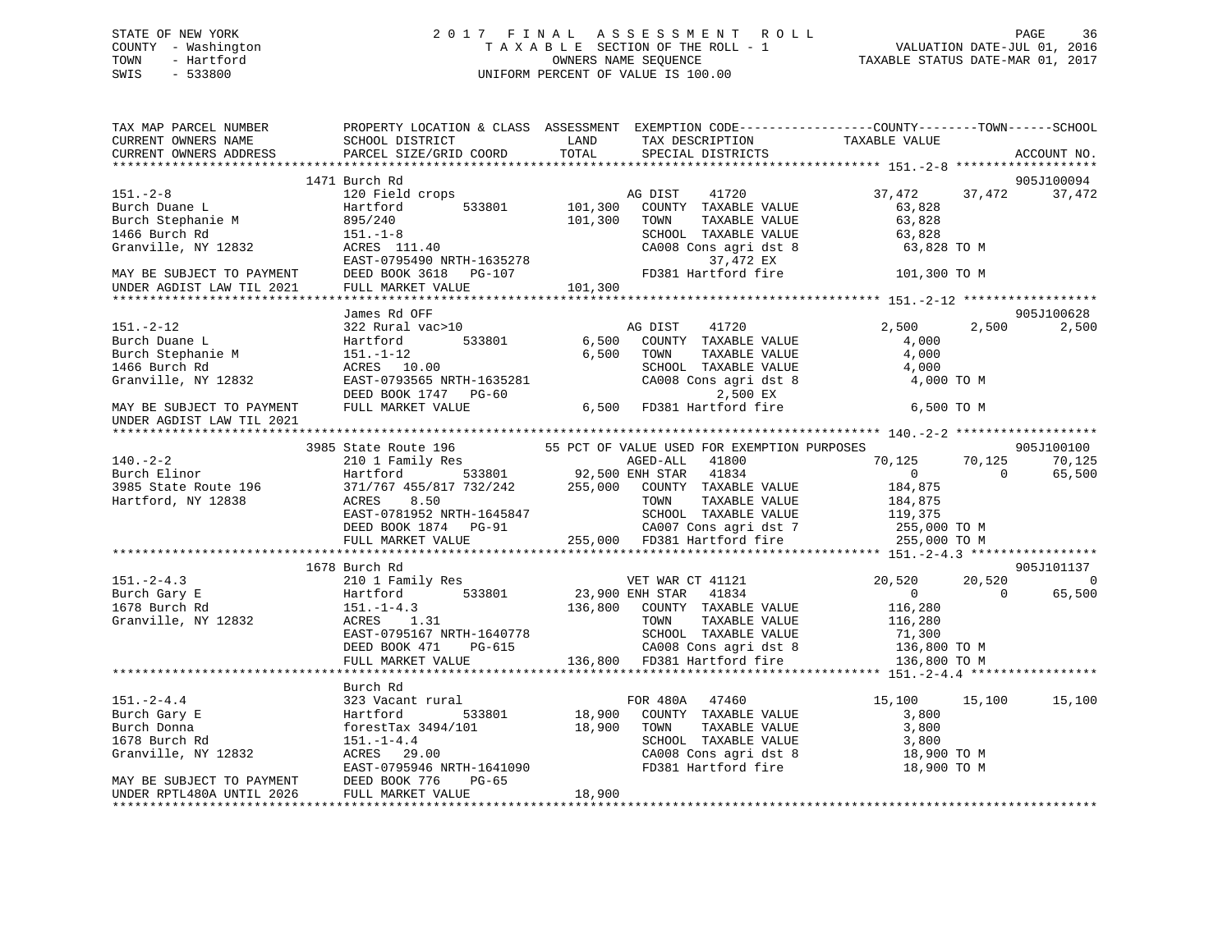# STATE OF NEW YORK 2 0 1 7 F I N A L A S S E S S M E N T R O L L PAGE 36 COUNTY - Washington T A X A B L E SECTION OF THE ROLL - 1 VALUATION DATE-JUL 01, 2016 TOWN - Hartford **TAXABLE STATUS DATE-MAR 01, 2017** SWIS - 533800 UNIFORM PERCENT OF VALUE IS 100.00

| TAX MAP PARCEL NUMBER<br>CURRENT OWNERS NAME                                                                                                                                                                                                                                                                                                                                                                          | SCHOOL DISTRICT LAND                                                                                                                                                                                                                   |        | TAX DESCRIPTION   | PROPERTY LOCATION & CLASS ASSESSMENT EXEMPTION CODE----------------COUNTY-------TOWN------SCHOOL<br>TAXABLE VALUE |                                |
|-----------------------------------------------------------------------------------------------------------------------------------------------------------------------------------------------------------------------------------------------------------------------------------------------------------------------------------------------------------------------------------------------------------------------|----------------------------------------------------------------------------------------------------------------------------------------------------------------------------------------------------------------------------------------|--------|-------------------|-------------------------------------------------------------------------------------------------------------------|--------------------------------|
| CURRENT OWNERS ADDRESS                                                                                                                                                                                                                                                                                                                                                                                                | PARCEL SIZE/GRID COORD                                                                                                                                                                                                                 | TOTAL  | SPECIAL DISTRICTS |                                                                                                                   | ACCOUNT NO.                    |
|                                                                                                                                                                                                                                                                                                                                                                                                                       |                                                                                                                                                                                                                                        |        |                   |                                                                                                                   | 905J100094                     |
| $\begin{tabular}{lllllllllll} \textbf{181.}-2-8 & & & 1471 & \texttt{Duc} \\ \texttt{Rurch Dune L} & & & 120\text{ Field crops} & & & 1711. \\ \texttt{Burch Dune L} & & & 120\text{ Field crops} & & 101,300 & \texttt{TONIN} \\ \texttt{Burch Dune L} & & & 895/240 & & & 101,300 & \texttt{TONIN} \\ \texttt{Granville, NY 12832} & & & & 8008 & \texttt{CMBOR} & & 37,472 & \texttt{EX} \\ \texttt{Granville, NY$ |                                                                                                                                                                                                                                        |        |                   |                                                                                                                   | 37,472                         |
|                                                                                                                                                                                                                                                                                                                                                                                                                       |                                                                                                                                                                                                                                        |        |                   |                                                                                                                   |                                |
|                                                                                                                                                                                                                                                                                                                                                                                                                       |                                                                                                                                                                                                                                        |        |                   |                                                                                                                   |                                |
|                                                                                                                                                                                                                                                                                                                                                                                                                       |                                                                                                                                                                                                                                        |        |                   |                                                                                                                   |                                |
|                                                                                                                                                                                                                                                                                                                                                                                                                       |                                                                                                                                                                                                                                        |        |                   |                                                                                                                   | 905J100628                     |
|                                                                                                                                                                                                                                                                                                                                                                                                                       |                                                                                                                                                                                                                                        |        |                   |                                                                                                                   | 2,500 2,500                    |
|                                                                                                                                                                                                                                                                                                                                                                                                                       |                                                                                                                                                                                                                                        |        |                   |                                                                                                                   |                                |
|                                                                                                                                                                                                                                                                                                                                                                                                                       |                                                                                                                                                                                                                                        |        |                   |                                                                                                                   |                                |
|                                                                                                                                                                                                                                                                                                                                                                                                                       |                                                                                                                                                                                                                                        |        |                   |                                                                                                                   |                                |
|                                                                                                                                                                                                                                                                                                                                                                                                                       |                                                                                                                                                                                                                                        |        |                   |                                                                                                                   |                                |
|                                                                                                                                                                                                                                                                                                                                                                                                                       |                                                                                                                                                                                                                                        |        |                   | 70,125 70,125<br>0 0<br>$70,125$                                                                                  | 905J100100<br>70,125<br>65,500 |
| 3985 State Route 196 55 PCT OF VALUE USED FOR EXEMPTION PURPOSES<br>210 1 Family Res AGED-ALL 41800 70,125<br>3985 State Route 196 533801 92,500 ENH STAR 41834 0<br>3985 State Route 196 371/767 455/817 732/242 255,000 COUNTY TAX                                                                                                                                                                                  | ACRES 8.50 TOWN TAXABLE VALUE 184,875<br>EAST-0781952 NRTH-1645847 SCHOOL TAXABLE VALUE 119,375<br>DEED BOOK 1874 PG-91 CA007 Cons agri dst 7 255,000 TO M<br>FULL MARKET VALUE 255,000 FD381 Hartford fire 255,000 TO M<br>FULL MARKE |        |                   |                                                                                                                   |                                |
|                                                                                                                                                                                                                                                                                                                                                                                                                       |                                                                                                                                                                                                                                        |        |                   |                                                                                                                   |                                |
|                                                                                                                                                                                                                                                                                                                                                                                                                       |                                                                                                                                                                                                                                        |        |                   |                                                                                                                   |                                |
|                                                                                                                                                                                                                                                                                                                                                                                                                       | 1678 Burch Rd                                                                                                                                                                                                                          |        |                   |                                                                                                                   | 905J101137                     |
|                                                                                                                                                                                                                                                                                                                                                                                                                       |                                                                                                                                                                                                                                        |        |                   |                                                                                                                   | $20,520$ 0<br>0 65.500         |
|                                                                                                                                                                                                                                                                                                                                                                                                                       |                                                                                                                                                                                                                                        |        |                   | $\sim$ 0                                                                                                          | 65,500                         |
|                                                                                                                                                                                                                                                                                                                                                                                                                       |                                                                                                                                                                                                                                        |        |                   |                                                                                                                   |                                |
|                                                                                                                                                                                                                                                                                                                                                                                                                       | Burch Rd                                                                                                                                                                                                                               |        |                   |                                                                                                                   |                                |
| 151.-2-4.4<br>Burch Gary E<br>Burch Donna<br>15,100<br>Durch Donna<br>1678 Burch Rd<br>18,900 COUNTY TAXABLE VALUE<br>1678 Burch Rd<br>1678 Burch Rd<br>18,900 TOWN TAXABLE VALUE<br>18,900 TOWN TAXABLE VALUE<br>18,900 TOWN TAXABLE VALUE<br>18,900                                                                                                                                                                 |                                                                                                                                                                                                                                        |        |                   | 15,100 15,100<br>CA008 Cons agri dst 8 18,900 TO M<br>FD381 Hartford fire 18,900 TO M                             | 15,100                         |
| UNDER RPTL480A UNTIL 2026                                                                                                                                                                                                                                                                                                                                                                                             | FULL MARKET VALUE                                                                                                                                                                                                                      | 18,900 |                   |                                                                                                                   |                                |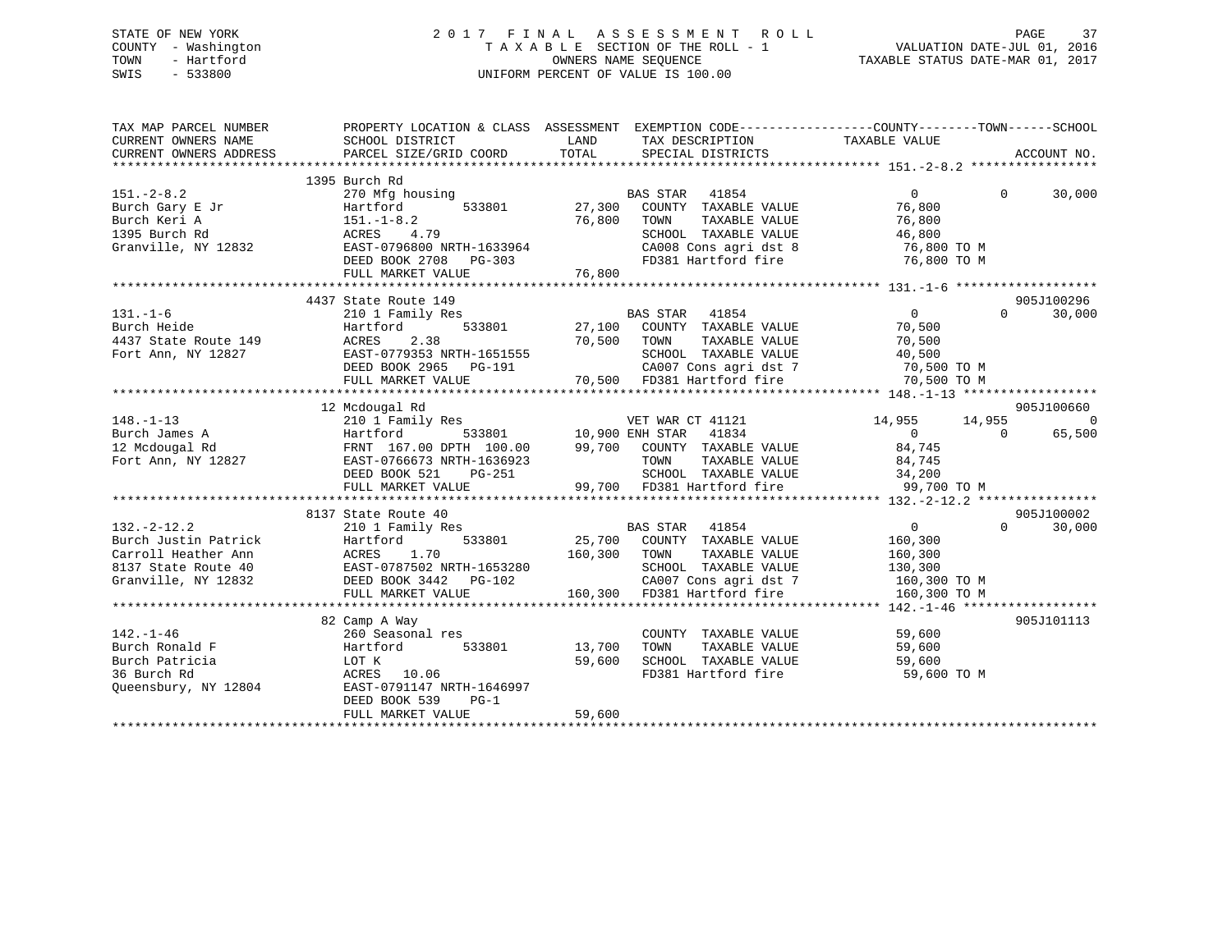### STATE OF NEW YORK 2 0 1 7 F I N A L A S S E S S M E N T R O L L PAGE 37 COUNTY - Washington T A X A B L E SECTION OF THE ROLL - 1 VALUATION DATE-JUL 01, 2016 TOWN - Hartford **TAXABLE STATUS DATE-MAR 01, 2017** SWIS - 533800 UNIFORM PERCENT OF VALUE IS 100.00

| TAX MAP PARCEL NUMBER<br>CURRENT OWNERS NAME<br>CURRENT OWNERS ADDRESS | SCHOOL DISTRICT<br>PARCEL SIZE/GRID COORD                                                                                   | LAND<br>TAX DESCRIPTION<br>TOTAL<br>SPECIAL DISTRICTS                                                                                                           | PROPERTY LOCATION & CLASS ASSESSMENT EXEMPTION CODE---------------COUNTY-------TOWN-----SCHOOL<br>TAXABLE VALUE<br>ACCOUNT NO. |
|------------------------------------------------------------------------|-----------------------------------------------------------------------------------------------------------------------------|-----------------------------------------------------------------------------------------------------------------------------------------------------------------|--------------------------------------------------------------------------------------------------------------------------------|
|                                                                        |                                                                                                                             |                                                                                                                                                                 |                                                                                                                                |
| $151. - 2 - 8.2$                                                       | 1395 Burch Rd<br>270 Mfg housing                                                                                            | <b>BAS STAR</b><br>41854                                                                                                                                        | $\overline{0}$<br>30,000<br>$\Omega$                                                                                           |
|                                                                        | 533801<br>Hartford                                                                                                          | 27,300<br>COUNTY TAXABLE VALUE                                                                                                                                  | 76,800                                                                                                                         |
| Burch Gary E Jr<br>Burch Keri A<br>Burch Keri A                        | $151.-1-8.2$                                                                                                                | 76,800<br>TAXABLE VALUE<br>TOWN                                                                                                                                 | 76,800                                                                                                                         |
| 1395 Burch Rd                                                          |                                                                                                                             |                                                                                                                                                                 |                                                                                                                                |
| Granville, NY 12832                                                    | ACRES 4.79<br>2832 EAST-0796800 NRTH-1633964                                                                                |                                                                                                                                                                 |                                                                                                                                |
|                                                                        | DEED BOOK 2708 PG-303                                                                                                       |                                                                                                                                                                 | SCHOOL TAXABLE VALUE 46,800<br>CA008 Cons agri dst 8 76,800 TO M<br>FD381 Hartford fire 76,800 TO M                            |
|                                                                        |                                                                                                                             |                                                                                                                                                                 |                                                                                                                                |
|                                                                        |                                                                                                                             |                                                                                                                                                                 |                                                                                                                                |
|                                                                        | 4437 State Route 149                                                                                                        |                                                                                                                                                                 | 905J100296                                                                                                                     |
| $131. - 1 - 6$                                                         | 210 1 Family Res                                                                                                            | BAS STAR 41854<br>$\begin{tabular}{lllllllllll} \texttt{BAS STAR} & 41854 \\ \texttt{533801} & 27,100 & \texttt{COUNTY} & \texttt{TAXABLE VALUE} \end{tabular}$ | $\overline{0}$<br>30,000<br>$\Omega$                                                                                           |
| Burch Heide                                                            | Hartford                                                                                                                    |                                                                                                                                                                 | 70,500                                                                                                                         |
| 4437 State Route 149                                                   | ACRES<br>2.38                                                                                                               | 70,500 TOWN<br>TAXABLE VALUE                                                                                                                                    | 70,500                                                                                                                         |
| Fort Ann, NY 12827                                                     | EAST-0779353 NRTH-1651555                                                                                                   | SCHOOL TAXABLE VALUE                                                                                                                                            | 40,500                                                                                                                         |
|                                                                        | DEED BOOK 2965 PG-191                                                                                                       | $\overline{a}$                                                                                                                                                  | CA007 Cons agri dst 7 70,500 TO M                                                                                              |
|                                                                        | FULL MARKET VALUE                                                                                                           | 70,500 FD381 Hartford fire                                                                                                                                      | 70,500 TO M                                                                                                                    |
|                                                                        |                                                                                                                             |                                                                                                                                                                 |                                                                                                                                |
|                                                                        | 12 Mcdougal Rd                                                                                                              |                                                                                                                                                                 | 905J100660                                                                                                                     |
| $148. - 1 - 13$                                                        | 210 1 Family Res                                                                                                            | VET WAR CT 41121                                                                                                                                                | $\overline{0}$<br>14,955<br>14,955                                                                                             |
| Burch James A                                                          | Hartford                                                                                                                    | 533801 10,900 ENH STAR 41834                                                                                                                                    | $\overline{0}$<br>65,500<br>$\overline{0}$                                                                                     |
| 12 Mcdougal Rd                                                         |                                                                                                                             |                                                                                                                                                                 |                                                                                                                                |
| Fort Ann, NY 12827                                                     | EAST-0766673 NRTH-1636923                                                                                                   | $PG-251$                                                                                                                                                        |                                                                                                                                |
|                                                                        | DEED BOOK 521                                                                                                               | 36923 TOWN TAXABLE VALUE 84,745<br>251 SCHOOL TAXABLE VALUE 34,200<br>99,700 FD381 Hartford fire 99,700                                                         |                                                                                                                                |
|                                                                        | FULL MARKET VALUE                                                                                                           |                                                                                                                                                                 | 99,700 TO M                                                                                                                    |
|                                                                        |                                                                                                                             |                                                                                                                                                                 | 905J100002                                                                                                                     |
| $132 - 2 - 12.2$                                                       | 8137 State Route 40                                                                                                         |                                                                                                                                                                 | $\overline{0}$<br>$\Omega$<br>30,000                                                                                           |
| Burch Justin Patrick                                                   | 210 1 Family Res<br>210 1 Family Res<br>Hartford 533801<br>ACRES 1.70<br>EAST-0787502 NRTH-1653280<br>DEED BOOK 3442 PG-102 | BAS STAR 41854<br>25,700 COUNTY TAXABLE VALUE                                                                                                                   | 160,300                                                                                                                        |
| Carroll Heather Ann                                                    |                                                                                                                             | 160,300<br>TAXABLE VALUE<br>TOWN                                                                                                                                | 160,300                                                                                                                        |
| 8137 State Route 40                                                    |                                                                                                                             |                                                                                                                                                                 |                                                                                                                                |
| Granville, NY 12832                                                    |                                                                                                                             | SCHOOL TAXABLE VALUE 130,300<br>CA007 Cons agri dst 7 160,300 TO M<br>$\sim$ 0                                                                                  |                                                                                                                                |
|                                                                        | FULL MARKET VALUE                                                                                                           | 160,300 FD381 Hartford fire                                                                                                                                     | 160,300 TO M                                                                                                                   |
|                                                                        |                                                                                                                             |                                                                                                                                                                 |                                                                                                                                |
|                                                                        | 82 Camp A Way                                                                                                               |                                                                                                                                                                 | 905J101113                                                                                                                     |
| $142. - 1 - 46$                                                        | 260 Seasonal res                                                                                                            | COUNTY TAXABLE VALUE                                                                                                                                            | 59,600                                                                                                                         |
| Burch Ronald F                                                         | Hartford<br>533801                                                                                                          | 13,700<br>TOWN<br>TAXABLE VALUE                                                                                                                                 | 59,600                                                                                                                         |
| Burch Patricia                                                         | LOT K                                                                                                                       | SCHOOL TAXABLE VALUE<br>59,600                                                                                                                                  | 59,600                                                                                                                         |
| 36 Burch Rd                                                            | ACRES 10.06                                                                                                                 | FD381 Hartford fire                                                                                                                                             | 59,600 TO M                                                                                                                    |
| Queensbury, NY 12804                                                   | EAST-0791147 NRTH-1646997                                                                                                   |                                                                                                                                                                 |                                                                                                                                |
|                                                                        | DEED BOOK 539<br>$PG-1$                                                                                                     |                                                                                                                                                                 |                                                                                                                                |
|                                                                        | FULL MARKET VALUE                                                                                                           | 59,600                                                                                                                                                          |                                                                                                                                |
|                                                                        |                                                                                                                             |                                                                                                                                                                 |                                                                                                                                |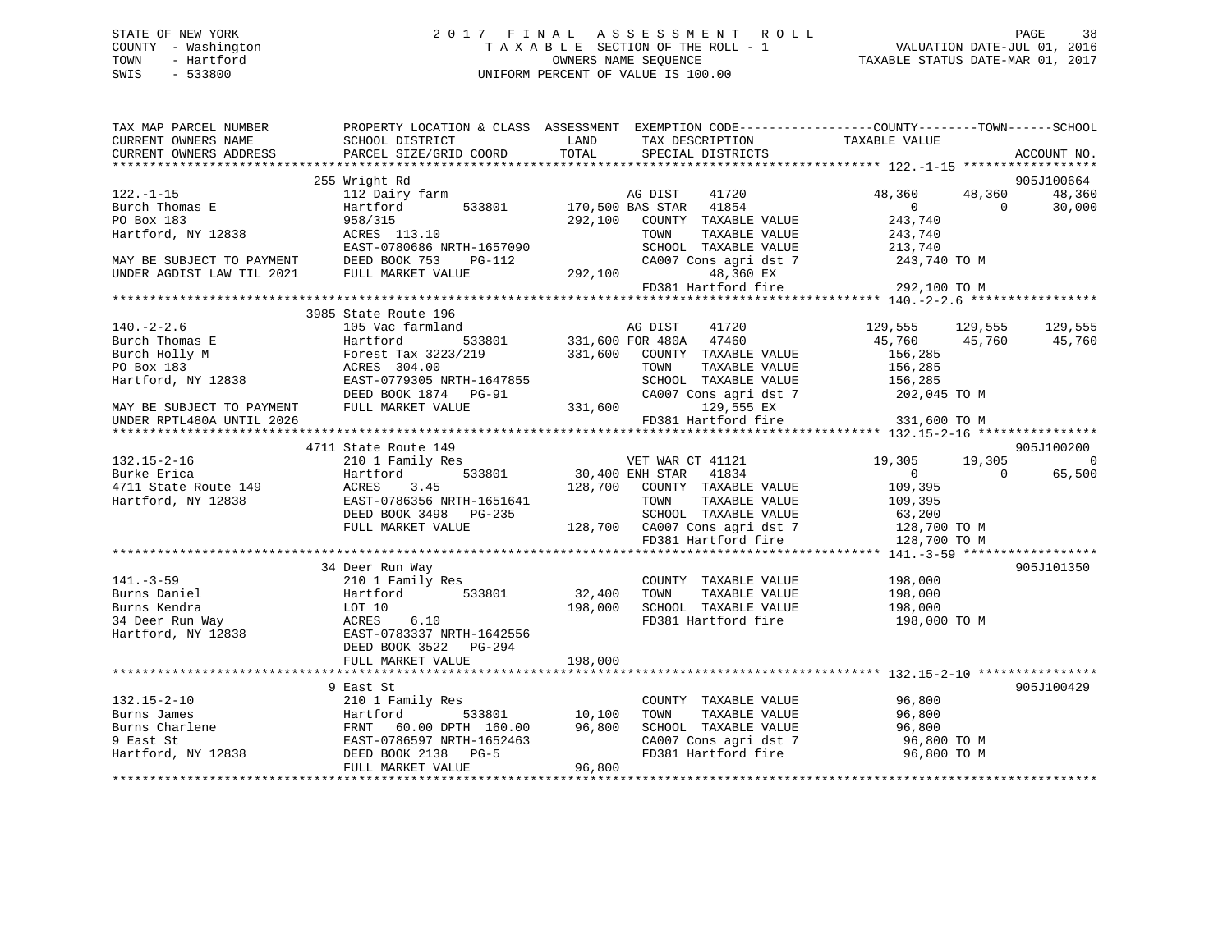### STATE OF NEW YORK 2 0 1 7 F I N A L A S S E S S M E N T R O L L PAGE 38 COUNTY - Washington T A X A B L E SECTION OF THE ROLL - 1 VALUATION DATE-JUL 01, 2016 TOWN - Hartford OWNERS NAME SEQUENCE TAXABLE STATUS DATE-MAR 01, 2017 SWIS - 533800 UNIFORM PERCENT OF VALUE IS 100.00

| TAX MAP PARCEL NUMBER<br>CURRENT OWNERS NAME                                                                                                                                                                                                                | PROPERTY LOCATION & CLASS ASSESSMENT EXEMPTION CODE----------------COUNTY-------TOWN-----SCHOOL<br>SCHOOL DISTRICT<br><b>EXAMPLE EXAMPLE EXAMPLE EXAMPLE EXAMPLE EXAMPLE EXAMPLE EXAMPLE EXAMPLE EXAMPLE EXAMPLE EXAMPLE EXAMPLE EXAMPLE E</b> |                                         | TAX DESCRIPTION TAXABLE VALUE<br>SPECIAL DISTRICTS                                  |                                                       |             |                |
|-------------------------------------------------------------------------------------------------------------------------------------------------------------------------------------------------------------------------------------------------------------|------------------------------------------------------------------------------------------------------------------------------------------------------------------------------------------------------------------------------------------------|-----------------------------------------|-------------------------------------------------------------------------------------|-------------------------------------------------------|-------------|----------------|
| CURRENT OWNERS ADDRESS                                                                                                                                                                                                                                      | PARCEL SIZE/GRID COORD                                                                                                                                                                                                                         | TOTAL                                   |                                                                                     |                                                       | ACCOUNT NO. |                |
|                                                                                                                                                                                                                                                             | 255 Wright Rd                                                                                                                                                                                                                                  |                                         |                                                                                     |                                                       | 905J100664  |                |
| $122. - 1 - 15$                                                                                                                                                                                                                                             | 112 Dairy farm                                                                                                                                                                                                                                 |                                         | AG DIST 41720                                                                       | 48,360 48,360                                         |             | 48,360         |
| $122. -1 - 15$<br>Burch Thomas E<br>PO Box 183<br>Hartford, NY 12838                                                                                                                                                                                        | Hartford 533801 170,500 BAS STAR 41854                                                                                                                                                                                                         |                                         |                                                                                     |                                                       | $\bigcap$   | 30,000         |
|                                                                                                                                                                                                                                                             |                                                                                                                                                                                                                                                |                                         | 292,100 COUNTY TAXABLE VALUE                                                        | $\begin{smallmatrix}&&0\0&243\,,740\end{smallmatrix}$ |             |                |
|                                                                                                                                                                                                                                                             | 958/315<br>ACRES 113.10                                                                                                                                                                                                                        |                                         | TOWN<br>TAXABLE VALUE                                                               | 243,740                                               |             |                |
|                                                                                                                                                                                                                                                             | EAST-0780686 NRTH-1657090                                                                                                                                                                                                                      |                                         |                                                                                     |                                                       |             |                |
|                                                                                                                                                                                                                                                             |                                                                                                                                                                                                                                                |                                         | SCHOOL TAXABLE VALUE 213,740<br>CA007 Cons agri dst 7 243,740 TO M                  |                                                       |             |                |
| MAY BE SUBJECT TO PAYMENT DEED BOOK 753 P<br>UNDER AGDIST LAW TIL 2021 FULL MARKET VALUE                                                                                                                                                                    |                                                                                                                                                                                                                                                |                                         | 48,360 EX                                                                           |                                                       |             |                |
|                                                                                                                                                                                                                                                             |                                                                                                                                                                                                                                                | $PG-112$ CA007 C<br>LUE 292,100 FD381 H | FD381 Hartford fire                                                                 | 292,100 TO M                                          |             |                |
|                                                                                                                                                                                                                                                             |                                                                                                                                                                                                                                                |                                         |                                                                                     |                                                       |             |                |
|                                                                                                                                                                                                                                                             | 3985 State Route 196                                                                                                                                                                                                                           |                                         |                                                                                     |                                                       |             |                |
| $140. -2 - 2.6$                                                                                                                                                                                                                                             | 105 Vac farmland                                                                                                                                                                                                                               |                                         | AG DIST 41720                                                                       | 129,555 129,555                                       |             | 129,555        |
|                                                                                                                                                                                                                                                             |                                                                                                                                                                                                                                                |                                         |                                                                                     | 45,760 45,760 45,760                                  |             |                |
|                                                                                                                                                                                                                                                             |                                                                                                                                                                                                                                                |                                         | 1991 - 1991 - 1992<br>Thand 533801 - 331,600 FOR 480A - 47460<br>Ann COUNTY TAXABLE |                                                       |             |                |
|                                                                                                                                                                                                                                                             |                                                                                                                                                                                                                                                |                                         |                                                                                     |                                                       |             |                |
|                                                                                                                                                                                                                                                             |                                                                                                                                                                                                                                                |                                         |                                                                                     |                                                       |             |                |
|                                                                                                                                                                                                                                                             |                                                                                                                                                                                                                                                |                                         |                                                                                     |                                                       |             |                |
|                                                                                                                                                                                                                                                             |                                                                                                                                                                                                                                                |                                         |                                                                                     |                                                       |             |                |
| 140.-2-2.6<br>Burch Thomas E<br>Burch Thomas E<br>Burch Thomas E<br>Burch Holly M<br>For Box 183<br>Po Box 183<br>Po Box 183<br>Po Box 183<br>Po Box 183<br>Po Box 183<br>Po Box 183<br>Po Box 183<br>Po Box 183<br>Po Box 183<br>EAST-0779305 NRTH-1647855 |                                                                                                                                                                                                                                                |                                         |                                                                                     |                                                       |             |                |
|                                                                                                                                                                                                                                                             |                                                                                                                                                                                                                                                |                                         |                                                                                     |                                                       |             |                |
|                                                                                                                                                                                                                                                             |                                                                                                                                                                                                                                                |                                         |                                                                                     |                                                       | 905J100200  |                |
|                                                                                                                                                                                                                                                             |                                                                                                                                                                                                                                                |                                         |                                                                                     | 19,305 19,305                                         |             | $\overline{0}$ |
|                                                                                                                                                                                                                                                             |                                                                                                                                                                                                                                                |                                         |                                                                                     | $\begin{array}{ccc} & & 0 & \quad & 0 \end{array}$    |             | 65,500         |
|                                                                                                                                                                                                                                                             |                                                                                                                                                                                                                                                |                                         |                                                                                     |                                                       |             |                |
|                                                                                                                                                                                                                                                             |                                                                                                                                                                                                                                                |                                         |                                                                                     |                                                       |             |                |
|                                                                                                                                                                                                                                                             |                                                                                                                                                                                                                                                |                                         |                                                                                     |                                                       |             |                |
|                                                                                                                                                                                                                                                             |                                                                                                                                                                                                                                                |                                         |                                                                                     |                                                       |             |                |
|                                                                                                                                                                                                                                                             |                                                                                                                                                                                                                                                |                                         |                                                                                     |                                                       |             |                |
|                                                                                                                                                                                                                                                             |                                                                                                                                                                                                                                                |                                         |                                                                                     |                                                       |             |                |
|                                                                                                                                                                                                                                                             | 34 Deer Run Way                                                                                                                                                                                                                                |                                         |                                                                                     |                                                       | 905J101350  |                |
| $141. -3 - 59$                                                                                                                                                                                                                                              |                                                                                                                                                                                                                                                |                                         | COUNTY TAXABLE VALUE 198,000                                                        |                                                       |             |                |
|                                                                                                                                                                                                                                                             |                                                                                                                                                                                                                                                |                                         | TOWN<br>TAXABLE VALUE                                                               | 198,000                                               |             |                |
|                                                                                                                                                                                                                                                             | $\frac{1}{198,000}$<br>533001<br>198,000                                                                                                                                                                                                       |                                         | SCHOOL TAXABLE VALUE 198,000                                                        |                                                       |             |                |
| 141.-3-59<br>Burns Daniel (10.1 Family Res<br>Burns Kendra (10.7 10)<br>34 Deer Run Way (10.8 RAST-0783337 NRTH-1642556<br>Hartford, NY 12838 (10.1 RAST-0783337 NRTH-1642556                                                                               |                                                                                                                                                                                                                                                |                                         | FD381 Hartford fire                                                                 | 198,000 TO M                                          |             |                |
|                                                                                                                                                                                                                                                             |                                                                                                                                                                                                                                                |                                         |                                                                                     |                                                       |             |                |
|                                                                                                                                                                                                                                                             | DEED BOOK 3522 PG-294                                                                                                                                                                                                                          |                                         |                                                                                     |                                                       |             |                |
|                                                                                                                                                                                                                                                             |                                                                                                                                                                                                                                                |                                         |                                                                                     |                                                       |             |                |
|                                                                                                                                                                                                                                                             |                                                                                                                                                                                                                                                |                                         |                                                                                     |                                                       |             |                |
|                                                                                                                                                                                                                                                             | 9 East St                                                                                                                                                                                                                                      |                                         |                                                                                     |                                                       | 905J100429  |                |
|                                                                                                                                                                                                                                                             |                                                                                                                                                                                                                                                |                                         | COUNTY TAXABLE VALUE 96,800                                                         |                                                       |             |                |
|                                                                                                                                                                                                                                                             |                                                                                                                                                                                                                                                |                                         | TOWN                                                                                | TAXABLE VALUE 96,800                                  |             |                |
|                                                                                                                                                                                                                                                             |                                                                                                                                                                                                                                                |                                         | SCHOOL TAXABLE VALUE                                                                | 96,800                                                |             |                |
|                                                                                                                                                                                                                                                             |                                                                                                                                                                                                                                                |                                         | CA007 Cons agri dst 7 96,800 TO M                                                   |                                                       |             |                |
|                                                                                                                                                                                                                                                             |                                                                                                                                                                                                                                                |                                         | FD381 Hartford fire                                                                 | 96,800 TO M                                           |             |                |
|                                                                                                                                                                                                                                                             |                                                                                                                                                                                                                                                |                                         |                                                                                     |                                                       |             |                |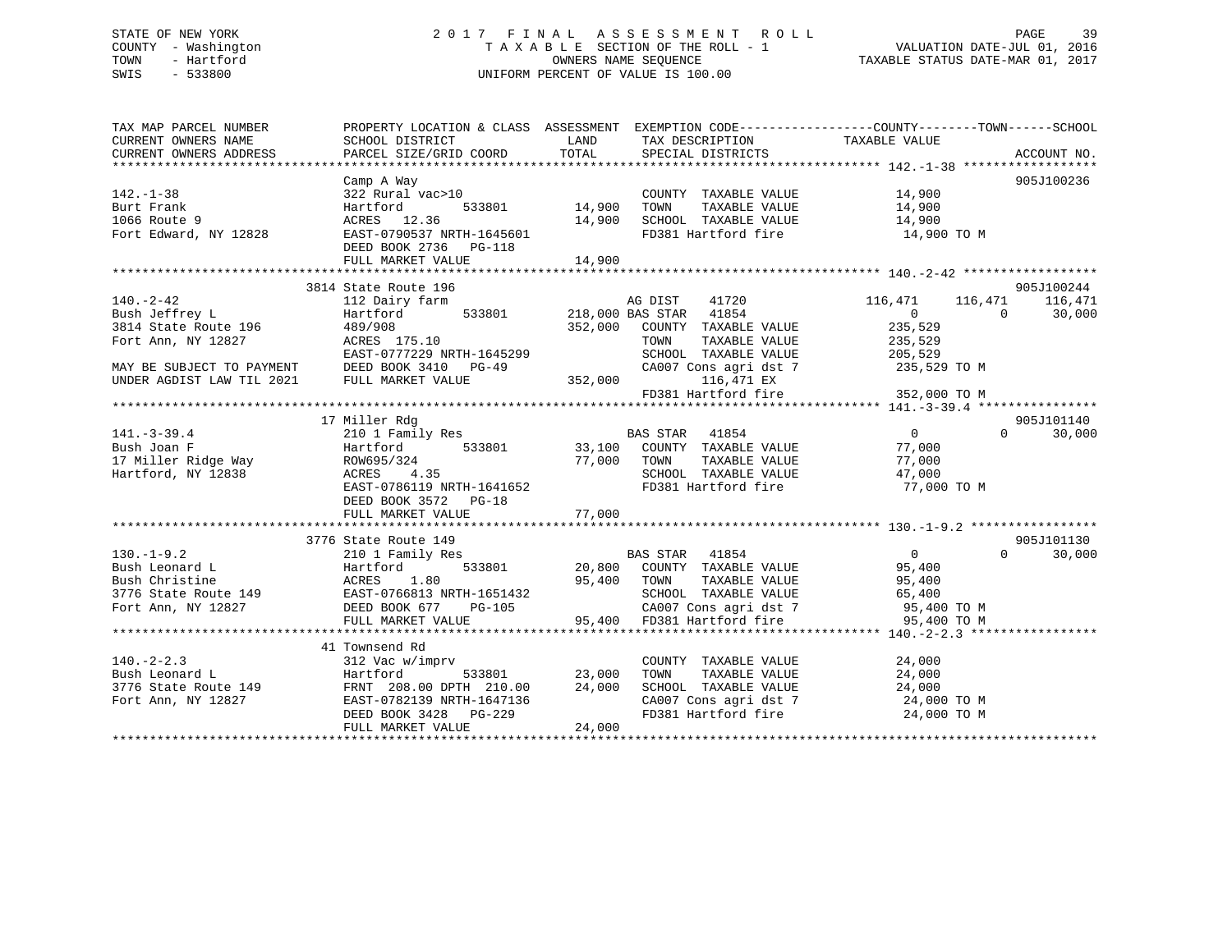### STATE OF NEW YORK 2 0 1 7 F I N A L A S S E S S M E N T R O L L PAGE 39 COUNTY - Washington T A X A B L E SECTION OF THE ROLL - 1 VALUATION DATE-JUL 01, 2016 TOWN - Hartford OWNERS NAME SEQUENCE TAXABLE STATUS DATE-MAR 01, 2017 SWIS - 533800 UNIFORM PERCENT OF VALUE IS 100.00

| TAX MAP PARCEL NUMBER                                                                                                                                                                                                                |                                                                             |        |                                                                    | PROPERTY LOCATION & CLASS ASSESSMENT EXEMPTION CODE---------------COUNTY-------TOWN------SCHOOL |            |
|--------------------------------------------------------------------------------------------------------------------------------------------------------------------------------------------------------------------------------------|-----------------------------------------------------------------------------|--------|--------------------------------------------------------------------|-------------------------------------------------------------------------------------------------|------------|
|                                                                                                                                                                                                                                      |                                                                             |        |                                                                    |                                                                                                 |            |
|                                                                                                                                                                                                                                      | Camp A Way                                                                  |        |                                                                    |                                                                                                 | 905J100236 |
| $142. - 1 - 38$                                                                                                                                                                                                                      |                                                                             |        | COUNTY TAXABLE VALUE 14,900                                        |                                                                                                 |            |
| Burt Frank                                                                                                                                                                                                                           | 322 Rural vac>10<br>Hartford 533801 14,900 TOWN<br>ACRES 12.36 14,900 SCHOC |        |                                                                    |                                                                                                 |            |
| 1066 Route 9                                                                                                                                                                                                                         |                                                                             |        |                                                                    |                                                                                                 |            |
| Fort Edward, NY 12828                                                                                                                                                                                                                | EAST-0790537 NRTH-1645601                                                   |        | FD381 Hartford fire                                                | 14,900 TO M                                                                                     |            |
|                                                                                                                                                                                                                                      | DEED BOOK 2736 PG-118                                                       |        |                                                                    |                                                                                                 |            |
|                                                                                                                                                                                                                                      |                                                                             |        |                                                                    |                                                                                                 |            |
|                                                                                                                                                                                                                                      |                                                                             |        |                                                                    |                                                                                                 |            |
|                                                                                                                                                                                                                                      | 3814 State Route 196                                                        |        |                                                                    |                                                                                                 | 905J100244 |
|                                                                                                                                                                                                                                      |                                                                             |        |                                                                    | AG DIST 41720 116,471 116,471 116,471<br>BAS STAR 41854 0 0 30 116,471                          |            |
|                                                                                                                                                                                                                                      |                                                                             |        |                                                                    |                                                                                                 |            |
| Bush Jeffrey L<br>3814 State Route 196 (489/908 152,000 COUNTY TAXABLE VALUE 235,529<br>Fort Ann, NY 12827 (EAST-0777229 NRTH-1645299 SCHOOL TAXABLE VALUE 205,529<br>MAY BE SUBJECT TO PAYMENT DEED BOOK 3410 PG-49 (A007 Cons agri |                                                                             |        | 352,000 COUNTY TAXABLE VALUE 235,529<br>TOWN TAXABLE VALUE 235,529 |                                                                                                 |            |
|                                                                                                                                                                                                                                      |                                                                             |        |                                                                    |                                                                                                 |            |
|                                                                                                                                                                                                                                      |                                                                             |        |                                                                    |                                                                                                 |            |
|                                                                                                                                                                                                                                      |                                                                             |        |                                                                    |                                                                                                 |            |
|                                                                                                                                                                                                                                      |                                                                             |        |                                                                    |                                                                                                 |            |
|                                                                                                                                                                                                                                      |                                                                             |        |                                                                    |                                                                                                 |            |
|                                                                                                                                                                                                                                      |                                                                             |        |                                                                    |                                                                                                 |            |
|                                                                                                                                                                                                                                      | 17 Miller Rdg                                                               |        |                                                                    |                                                                                                 | 905J101140 |
|                                                                                                                                                                                                                                      |                                                                             |        |                                                                    | $\overline{0}$<br>$\Omega$                                                                      | 30,000     |
|                                                                                                                                                                                                                                      |                                                                             |        |                                                                    |                                                                                                 |            |
|                                                                                                                                                                                                                                      |                                                                             |        |                                                                    |                                                                                                 |            |
|                                                                                                                                                                                                                                      |                                                                             |        | SCHOOL TAXABLE VALUE                                               | TAXABLE VALUE 77,000<br>TAXABLE VALUE 47,000<br>47,000                                          |            |
|                                                                                                                                                                                                                                      |                                                                             |        |                                                                    | FD381 Hartford fire 77,000 TO M                                                                 |            |
|                                                                                                                                                                                                                                      |                                                                             |        |                                                                    |                                                                                                 |            |
|                                                                                                                                                                                                                                      |                                                                             |        |                                                                    |                                                                                                 |            |
|                                                                                                                                                                                                                                      |                                                                             |        |                                                                    |                                                                                                 |            |
|                                                                                                                                                                                                                                      | 3776 State Route 149                                                        |        |                                                                    |                                                                                                 | 905J101130 |
|                                                                                                                                                                                                                                      |                                                                             |        |                                                                    | $\Omega$                                                                                        | 30,000     |
|                                                                                                                                                                                                                                      |                                                                             |        |                                                                    |                                                                                                 |            |
|                                                                                                                                                                                                                                      |                                                                             |        |                                                                    |                                                                                                 |            |
|                                                                                                                                                                                                                                      |                                                                             |        |                                                                    |                                                                                                 |            |
|                                                                                                                                                                                                                                      |                                                                             |        |                                                                    |                                                                                                 |            |
|                                                                                                                                                                                                                                      |                                                                             |        |                                                                    |                                                                                                 |            |
|                                                                                                                                                                                                                                      |                                                                             |        |                                                                    |                                                                                                 |            |
|                                                                                                                                                                                                                                      | 41 Townsend Rd                                                              |        |                                                                    |                                                                                                 |            |
| $140. -2 - 2.3$                                                                                                                                                                                                                      | 312 Vac w/imprv                                                             |        | COUNTY TAXABLE VALUE                                               |                                                                                                 |            |
|                                                                                                                                                                                                                                      | $\frac{1}{23}$ ,000<br>533801 23,000                                        |        | TOWN                                                               | TAXABLE VALUE 24,000<br>TAXABLE VALUE 24,000                                                    |            |
| 140.-2-2.3<br>Bush Leonard L<br>3776 State Route 149<br>FRNT 208.00 DPTH 210.00<br>Fort Ann, NY 12827<br>FRNT 208.00 DPTH 210.00<br>EAST-0782139 NRTH-1647136<br>FRNT 208.00 DPTH 210.00                                             |                                                                             | 24,000 | SCHOOL TAXABLE VALUE 24,000                                        |                                                                                                 |            |
|                                                                                                                                                                                                                                      |                                                                             |        |                                                                    |                                                                                                 |            |
|                                                                                                                                                                                                                                      | EAST-0782139 NRTH-1647136<br>DEED BOOK 3428 PG-229                          |        |                                                                    | CA007 Cons agri dst 7<br>FD381 Hartford fire 24,000 TO M<br>24,000 TO M                         |            |
|                                                                                                                                                                                                                                      | FULL MARKET VALUE                                                           | 24,000 |                                                                    |                                                                                                 |            |
|                                                                                                                                                                                                                                      |                                                                             |        |                                                                    |                                                                                                 |            |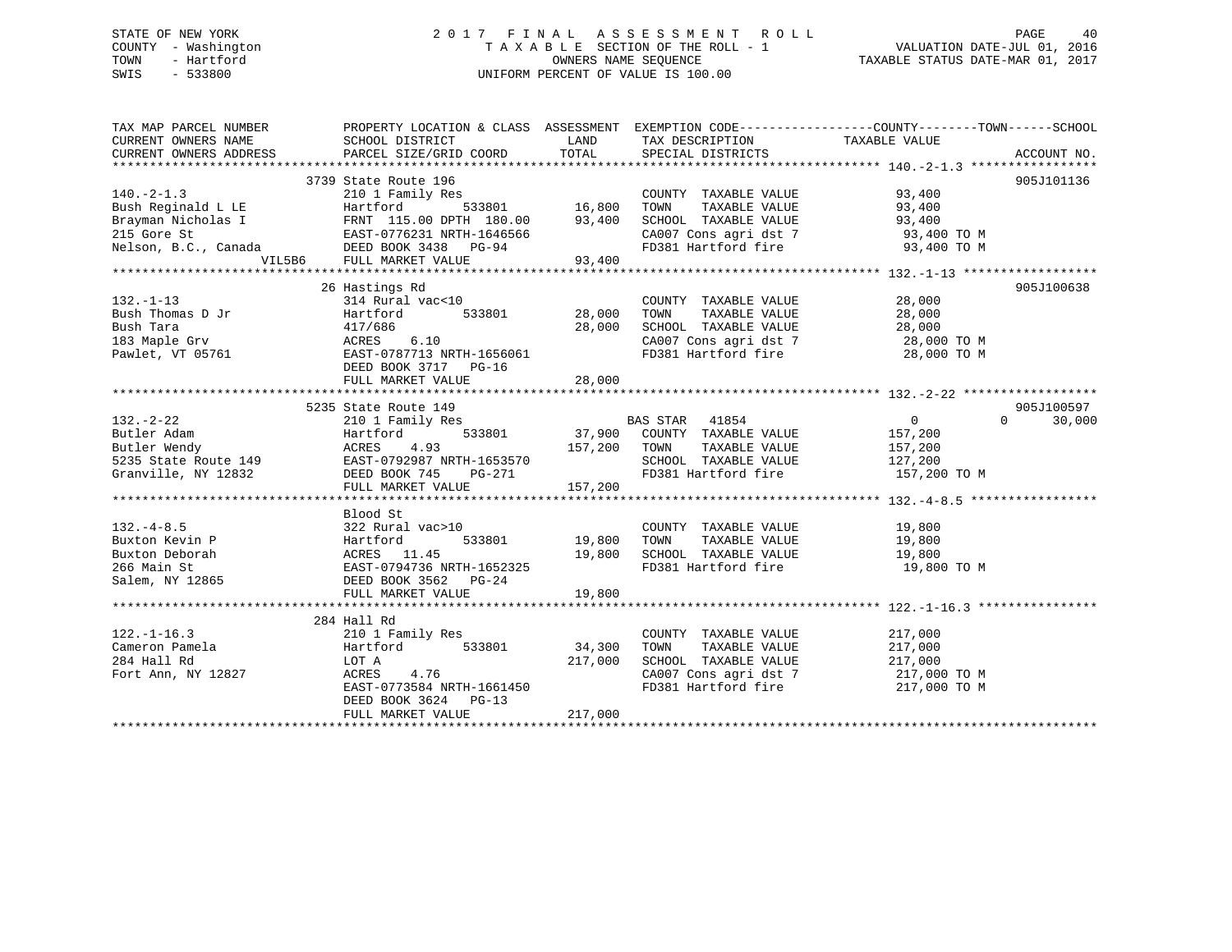### STATE OF NEW YORK 2 0 1 7 F I N A L A S S E S S M E N T R O L L PAGE 40 COUNTY - Washington T A X A B L E SECTION OF THE ROLL - 1 VALUATION DATE-JUL 01, 2016 TOWN - Hartford **TAXABLE STATUS DATE-MAR 01, 2017** SWIS - 533800 UNIFORM PERCENT OF VALUE IS 100.00

| TAX MAP PARCEL NUMBER                                                                                                                                                                                                                                                | PROPERTY LOCATION & CLASS ASSESSMENT EXEMPTION CODE-----------------COUNTY-------TOWN------SCHOOL |         |                                                                          |                              |            |
|----------------------------------------------------------------------------------------------------------------------------------------------------------------------------------------------------------------------------------------------------------------------|---------------------------------------------------------------------------------------------------|---------|--------------------------------------------------------------------------|------------------------------|------------|
| CURRENT OWNERS NAME SCHOOL DISTRICT                                                                                                                                                                                                                                  |                                                                                                   |         | LAND TAX DESCRIPTION TAXABLE VALUE                                       |                              |            |
|                                                                                                                                                                                                                                                                      |                                                                                                   |         |                                                                          |                              |            |
|                                                                                                                                                                                                                                                                      |                                                                                                   |         |                                                                          |                              |            |
|                                                                                                                                                                                                                                                                      | 3739 State Route 196<br>te 196<br>ily Res 533801 16,800 TOWN                                      |         |                                                                          |                              | 905J101136 |
|                                                                                                                                                                                                                                                                      |                                                                                                   |         |                                                                          |                              |            |
|                                                                                                                                                                                                                                                                      |                                                                                                   |         |                                                                          |                              |            |
|                                                                                                                                                                                                                                                                      |                                                                                                   |         |                                                                          |                              |            |
|                                                                                                                                                                                                                                                                      |                                                                                                   |         |                                                                          |                              |            |
|                                                                                                                                                                                                                                                                      |                                                                                                   |         |                                                                          |                              |            |
| 140.-2-1.3<br>210 1 Family Res<br>210 1 Family Res<br>210 1 Family Res<br>210 1 Family Res<br>215 Gore St<br>215 Gore St<br>215 Gore St<br>215 Gore St<br>215 Gore St<br>215 Gore St<br>215 Gore St<br>215 Gore St<br>215 Gore St<br>215 Gore St<br>215 Gore         |                                                                                                   |         |                                                                          |                              |            |
|                                                                                                                                                                                                                                                                      |                                                                                                   |         |                                                                          |                              |            |
|                                                                                                                                                                                                                                                                      | 26 Hastings Rd                                                                                    |         |                                                                          |                              | 905J100638 |
|                                                                                                                                                                                                                                                                      |                                                                                                   |         |                                                                          |                              |            |
|                                                                                                                                                                                                                                                                      |                                                                                                   |         |                                                                          |                              |            |
|                                                                                                                                                                                                                                                                      |                                                                                                   |         |                                                                          |                              |            |
|                                                                                                                                                                                                                                                                      |                                                                                                   |         | CA007 Cons agri dst 7 and 28,000 TO M<br>FD381 Hartford fire 28,000 TO M |                              |            |
|                                                                                                                                                                                                                                                                      |                                                                                                   |         |                                                                          |                              |            |
|                                                                                                                                                                                                                                                                      |                                                                                                   |         |                                                                          |                              |            |
|                                                                                                                                                                                                                                                                      | FULL MARKET VALUE                                                                                 | 28,000  |                                                                          |                              |            |
|                                                                                                                                                                                                                                                                      |                                                                                                   |         |                                                                          |                              |            |
|                                                                                                                                                                                                                                                                      |                                                                                                   |         |                                                                          |                              |            |
|                                                                                                                                                                                                                                                                      |                                                                                                   |         |                                                                          |                              |            |
|                                                                                                                                                                                                                                                                      |                                                                                                   |         |                                                                          |                              |            |
|                                                                                                                                                                                                                                                                      |                                                                                                   |         |                                                                          |                              |            |
|                                                                                                                                                                                                                                                                      |                                                                                                   |         |                                                                          |                              |            |
|                                                                                                                                                                                                                                                                      |                                                                                                   |         |                                                                          |                              |            |
|                                                                                                                                                                                                                                                                      |                                                                                                   |         |                                                                          |                              |            |
| 32.-2-22<br>32.-2-22<br>37.900<br>37.900<br>37.900<br>37.900<br>37.900<br>37.900<br>20001 Tamily Res<br>37.900<br>20001 Tamily Res<br>37.900<br>20001 TAXABLE VALUE<br>37.200<br>20001 TAXABLE VALUE<br>37.200<br>37.900<br>20001 TAXABLE VALUE<br>37.200<br>2127.20 |                                                                                                   |         |                                                                          |                              |            |
|                                                                                                                                                                                                                                                                      | Blood St                                                                                          |         |                                                                          |                              |            |
|                                                                                                                                                                                                                                                                      |                                                                                                   |         |                                                                          |                              |            |
|                                                                                                                                                                                                                                                                      |                                                                                                   |         |                                                                          |                              |            |
|                                                                                                                                                                                                                                                                      |                                                                                                   |         | 19,800 SCHOOL TAXABLE VALUE 19,800<br>FD381 Hartford fire 19,800 TO M    |                              |            |
|                                                                                                                                                                                                                                                                      |                                                                                                   |         |                                                                          |                              |            |
| 132.-4-8.5<br>22 Rural vac>10 COUNTY<br>26 Rural vac>10 19,800 TOWN<br>266 Main St<br>266 Main St<br>266 Main St<br>266 Main St<br>266 Main St<br>266 Main St<br>266 Main St<br>266 Main St<br>266 Main St<br>266 Main St<br>268 282 RURA<br>2682 PG-24<br>2         |                                                                                                   |         |                                                                          |                              |            |
|                                                                                                                                                                                                                                                                      | FULL MARKET VALUE                                                                                 | 19,800  |                                                                          |                              |            |
|                                                                                                                                                                                                                                                                      |                                                                                                   |         |                                                                          |                              |            |
|                                                                                                                                                                                                                                                                      | 284 Hall Rd                                                                                       |         |                                                                          |                              |            |
|                                                                                                                                                                                                                                                                      |                                                                                                   |         |                                                                          |                              |            |
|                                                                                                                                                                                                                                                                      |                                                                                                   |         |                                                                          |                              |            |
| 122.-1-16.3<br>Country Cameron Pamela (10.1 Family Res (210 1 Family Res (2000)<br>284 Hall Rd (217,000 SCHOOL POT A 217,000 SCHOOL POT A 217,000 SCHOOL POT A 217,000 SCHOOL POT A 217,000 SCHOOL POT A 217,000 SCHOOL POT A 217                                    |                                                                                                   |         | 217,000 SCHOOL TAXABLE VALUE 217,000                                     |                              |            |
|                                                                                                                                                                                                                                                                      |                                                                                                   |         | CA007 Cons agri dst 7<br>FD381 Hartford fire                             | 217,000 TO M<br>217,000 TO M |            |
|                                                                                                                                                                                                                                                                      | ACRES 4.76<br>EAST-0773584 NRTH-1661450                                                           |         |                                                                          |                              |            |
|                                                                                                                                                                                                                                                                      | DEED BOOK 3624 PG-13                                                                              |         |                                                                          |                              |            |
|                                                                                                                                                                                                                                                                      | FULL MARKET VALUE                                                                                 | 217,000 |                                                                          |                              |            |
|                                                                                                                                                                                                                                                                      |                                                                                                   |         |                                                                          |                              |            |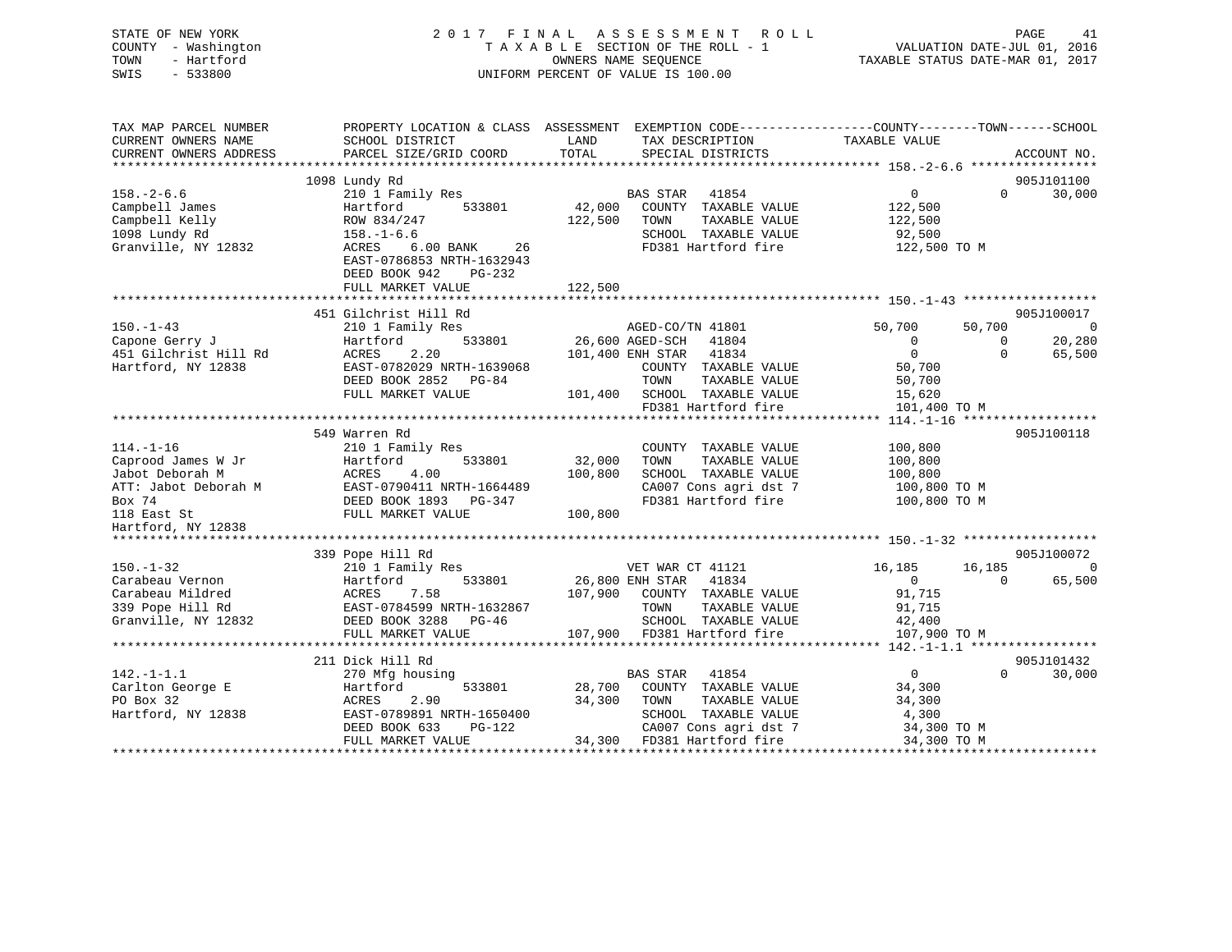| STATE OF NEW YORK<br>COUNTY - Washington<br>TOWN<br>- Hartford<br>SWIS<br>$-533800$ |                                                                               | 2017 FINAL ASSESSMENT ROLL<br>TAXABLE SECTION OF THE ROLL - 1<br>OWNERS NAME SEOUENCE<br>UNIFORM PERCENT OF VALUE IS 100.00 | PAGE 41<br>VALUATION DATE-JUL 01, 2016<br>TAXABLE STATUS DATE VILLET                             |
|-------------------------------------------------------------------------------------|-------------------------------------------------------------------------------|-----------------------------------------------------------------------------------------------------------------------------|--------------------------------------------------------------------------------------------------|
| TAX MAP PARCEL NUMBER                                                               |                                                                               |                                                                                                                             | PROPERTY LOCATION & CLASS ASSESSMENT EXEMPTION CODE----------------COUNTY-------TOWN------SCHOOL |
| CURRENT OWNERS NAME                                                                 | SCHOOL DISTRICT                                                               | LAND<br>TAX DESCRIPTION TAXABLE VALUE<br>TOTAL                                                                              |                                                                                                  |
| CURRENT OWNERS ADDRESS                                                              | PARCEL SIZE/GRID COORD                                                        | SPECIAL DISTRICTS                                                                                                           | ACCOUNT NO.                                                                                      |
|                                                                                     | 1098 Lundy Rd                                                                 |                                                                                                                             | 905J101100                                                                                       |
| $158. - 2 - 6.6$                                                                    | 210 1 Family Res                                                              | BAS STAR<br>41854                                                                                                           | $\Omega$<br>30,000<br>$\overline{0}$                                                             |
| Campbell James                                                                      | 533801<br>Hartford                                                            | 42,000<br>COUNTY TAXABLE VALUE                                                                                              | 122,500                                                                                          |
| Campbell Kelly                                                                      | ROW 834/247                                                                   | 122,500 TOWN<br>TAXABLE VALUE                                                                                               | 122,500                                                                                          |
| 1098 Lundy Rd                                                                       | $158. - 1 - 6.6$                                                              | SCHOOL TAXABLE VALUE                                                                                                        | 92,500                                                                                           |
| Granville, NY 12832                                                                 | ACRES<br>6.00 BANK 26<br>EAST-0786853 NRTH-1632943<br>DEED BOOK 942<br>PG-232 | FD381 Hartford fire                                                                                                         | 122,500 TO M                                                                                     |
|                                                                                     | FULL MARKET VALUE                                                             | 122,500                                                                                                                     |                                                                                                  |
|                                                                                     |                                                                               |                                                                                                                             |                                                                                                  |
|                                                                                     | 451 Gilchrist Hill Rd                                                         |                                                                                                                             | 905J100017                                                                                       |
| $150. - 1 - 43$                                                                     | 210 1 Family Res                                                              | AGED-CO/TN 41801                                                                                                            | 50,700<br>50,700<br>$\overline{0}$                                                               |
| Capone Gerry J                                                                      | 533801<br>Hartford                                                            | 26,600 AGED-SCH 41804                                                                                                       | $\mathbf{0}$<br>20,280<br>$\mathbf{0}$                                                           |
| 451 Gilchrist Hill Rd                                                               | 2.20<br>ACRES                                                                 | 101,400 ENH STAR 41834                                                                                                      | $\overline{0}$<br>65,500<br>$\Omega$                                                             |
| Hartford, NY 12838                                                                  | EAST-0782029 NRTH-1639068                                                     | COUNTY TAXABLE VALUE                                                                                                        | 50,700                                                                                           |
|                                                                                     | DEED BOOK 2852 PG-84<br>FULL MARKET VALUE                                     | TOWN<br>TAXABLE VALUE<br>101,400 SCHOOL TAXABLE VALUE                                                                       | 50,700<br>15,620                                                                                 |
|                                                                                     |                                                                               | FD381 Hartford fire                                                                                                         | 101,400 TO M                                                                                     |
|                                                                                     |                                                                               |                                                                                                                             |                                                                                                  |
|                                                                                     | 549 Warren Rd                                                                 |                                                                                                                             | 905J100118                                                                                       |
| $114. - 1 - 16$                                                                     | 210 1 Family Res                                                              | COUNTY TAXABLE VALUE                                                                                                        | 100,800                                                                                          |
| Caprood James W Jr                                                                  | Hartford<br>533801                                                            | 32,000<br>TAXABLE VALUE<br>TOWN                                                                                             | 100,800                                                                                          |
| Jabot Deborah M                                                                     | ACRES<br>4.00                                                                 | 100,800<br>SCHOOL TAXABLE VALUE                                                                                             | 100,800                                                                                          |
| ATT: Jabot Deborah M                                                                | EAST-0790411 NRTH-1664489                                                     | CA007 Cons agri dst 7                                                                                                       | 100,800 TO M                                                                                     |
| Box 74                                                                              | DEED BOOK 1893 PG-347                                                         | FD381 Hartford fire                                                                                                         | 100,800 TO M                                                                                     |
| 118 East St                                                                         | FULL MARKET VALUE                                                             | 100,800                                                                                                                     |                                                                                                  |
| Hartford, NY 12838                                                                  |                                                                               |                                                                                                                             |                                                                                                  |
|                                                                                     | 339 Pope Hill Rd                                                              |                                                                                                                             | 905J100072                                                                                       |
| $150. - 1 - 32$                                                                     | 210 1 Family Res                                                              | VET WAR CT 41121                                                                                                            | 16,185<br>16,185<br>$\overline{0}$                                                               |
| Carabeau Vernon                                                                     | 533801<br>Hartford                                                            | 26,800 ENH STAR 41834                                                                                                       | 65,500<br>$\overline{0}$<br>$\Omega$                                                             |
| Carabeau Mildred                                                                    | 7.58<br>ACRES                                                                 | 107,900<br>COUNTY TAXABLE VALUE                                                                                             | 91,715                                                                                           |
| 339 Pope Hill Rd                                                                    | EAST-0784599 NRTH-1632867                                                     | TOWN<br>TAXABLE VALUE                                                                                                       | 91,715                                                                                           |
| Granville, NY 12832                                                                 | DEED BOOK 3288 PG-46                                                          | SCHOOL TAXABLE VALUE                                                                                                        | 42,400                                                                                           |
|                                                                                     | FULL MARKET VALUE                                                             | 107,900 FD381 Hartford fire                                                                                                 | 107,900 TO M                                                                                     |
|                                                                                     |                                                                               |                                                                                                                             |                                                                                                  |
|                                                                                     | 211 Dick Hill Rd                                                              |                                                                                                                             | 905J101432                                                                                       |
| $142. - 1 - 1.1$                                                                    | 270 Mfg housing                                                               | BAS STAR 41854                                                                                                              | $\overline{0}$<br>$\Omega$<br>30,000                                                             |
| Carlton George E<br>PO Box 32<br>PO Box 32                                          | 533801<br>Hartford<br>ACRES<br>2.90                                           | 28,700<br>COUNTY TAXABLE VALUE<br>34,300<br>TOWN<br>TAXABLE VALUE                                                           | 34,300<br>34,300                                                                                 |
| Hartford, NY 12838                                                                  | EAST-0789891 NRTH-1650400                                                     | SCHOOL TAXABLE VALUE                                                                                                        | 4,300                                                                                            |
|                                                                                     | DEED BOOK 633<br>PG-122                                                       | CA007 Cons agri dst 7                                                                                                       | 34,300 TO M                                                                                      |
|                                                                                     | FULL MARKET VALUE                                                             | 34,300 FD381 Hartford fire                                                                                                  | 34,300 TO M                                                                                      |
|                                                                                     |                                                                               |                                                                                                                             |                                                                                                  |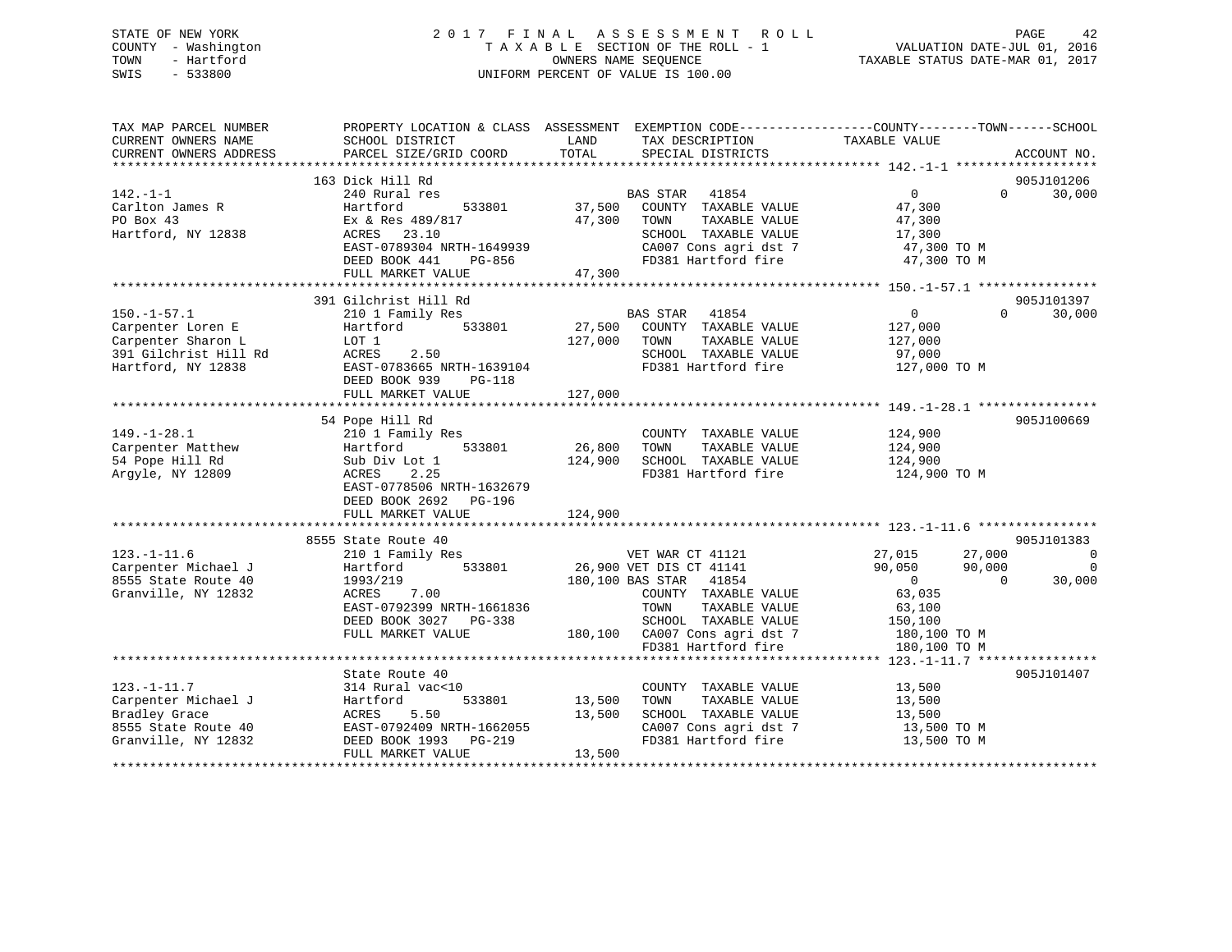### STATE OF NEW YORK 2 0 1 7 F I N A L A S S E S S M E N T R O L L PAGE 42 COUNTY - Washington T A X A B L E SECTION OF THE ROLL - 1 VALUATION DATE-JUL 01, 2016 TOWN - Hartford **TAXABLE STATUS DATE-MAR 01, 2017** SWIS - 533800 UNIFORM PERCENT OF VALUE IS 100.00

| TAX MAP PARCEL NUMBER<br>CURRENT OWNERS NAME<br>CURRENT OWNERS ADDRESS | PROPERTY LOCATION & CLASS ASSESSMENT EXEMPTION CODE----------------COUNTY-------TOWN-----SCHOOL<br>SCHOOL DISTRICT<br>PARCEL SIZE/GRID COORD | LAND<br>TOTAL | TAX DESCRIPTION<br>SPECIAL DISTRICTS                            | TAXABLE VALUE    | ACCOUNT NO.        |
|------------------------------------------------------------------------|----------------------------------------------------------------------------------------------------------------------------------------------|---------------|-----------------------------------------------------------------|------------------|--------------------|
|                                                                        | 163 Dick Hill Rd                                                                                                                             |               |                                                                 |                  | 905J101206         |
| $142. - 1 - 1$                                                         | 240 Rural res                                                                                                                                |               | BAS STAR 41854                                                  | $\overline{0}$   | 30,000<br>$\Omega$ |
| Carlton James R                                                        | 533801<br>Hartford                                                                                                                           | 37,500        | COUNTY TAXABLE VALUE                                            | 47,300           |                    |
| PO Box 43                                                              | Ex & Res 489/817                                                                                                                             | 47,300        | TOWN<br>TAXABLE VALUE                                           | 47,300           |                    |
| Hartford, NY 12838                                                     | 23.10<br>ACRES                                                                                                                               |               | SCHOOL TAXABLE VALUE                                            | 17,300           |                    |
|                                                                        | EAST-0789304 NRTH-1649939                                                                                                                    |               | CA007 Cons agri dst 7                                           | 47,300 TO M      |                    |
|                                                                        | DEED BOOK 441<br>PG-856                                                                                                                      |               | FD381 Hartford fire                                             | 47,300 TO M      |                    |
|                                                                        | FULL MARKET VALUE                                                                                                                            | 47,300        |                                                                 |                  |                    |
|                                                                        | 391 Gilchrist Hill Rd                                                                                                                        |               |                                                                 |                  | 905J101397         |
| $150. - 1 - 57.1$                                                      | 210 1 Family Res                                                                                                                             |               | BAS STAR 41854                                                  | $\overline{0}$   | 30,000<br>$\Omega$ |
| Carpenter Loren E                                                      | 533801<br>Hartford                                                                                                                           | 27,500        | COUNTY TAXABLE VALUE                                            | 127,000          |                    |
| Carpenter Sharon L                                                     | LOT 1                                                                                                                                        | 127,000       | TAXABLE VALUE<br>TOWN                                           | 127,000          |                    |
| 391 Gilchrist Hill Rd                                                  | 2.50<br>ACRES                                                                                                                                |               | SCHOOL TAXABLE VALUE                                            | 97,000           |                    |
| Hartford, NY 12838                                                     | EAST-0783665 NRTH-1639104                                                                                                                    |               | FD381 Hartford fire                                             | 127,000 TO M     |                    |
|                                                                        | DEED BOOK 939<br><b>PG-118</b>                                                                                                               |               |                                                                 |                  |                    |
|                                                                        | FULL MARKET VALUE                                                                                                                            | 127,000       |                                                                 |                  |                    |
|                                                                        |                                                                                                                                              |               |                                                                 |                  |                    |
|                                                                        | 54 Pope Hill Rd                                                                                                                              |               |                                                                 |                  | 905J100669         |
| $149. - 1 - 28.1$                                                      | 210 1 Family Res                                                                                                                             |               | COUNTY TAXABLE VALUE                                            | 124,900          |                    |
| Carpenter Matthew                                                      | 533801<br>Hartford                                                                                                                           | 26,800        | TOWN<br>TAXABLE VALUE                                           | 124,900          |                    |
| 54 Pope Hill Rd                                                        | Sub Div Lot 1                                                                                                                                | 124,900       | SCHOOL TAXABLE VALUE                                            | 124,900          |                    |
| Argyle, NY 12809                                                       | 2.25<br>ACRES                                                                                                                                |               | FD381 Hartford fire                                             | 124,900 TO M     |                    |
|                                                                        | EAST-0778506 NRTH-1632679                                                                                                                    |               |                                                                 |                  |                    |
|                                                                        | DEED BOOK 2692 PG-196                                                                                                                        |               |                                                                 |                  |                    |
|                                                                        | FULL MARKET VALUE                                                                                                                            | 124,900       |                                                                 |                  |                    |
|                                                                        |                                                                                                                                              |               |                                                                 |                  |                    |
|                                                                        | 8555 State Route 40                                                                                                                          |               |                                                                 |                  | 905J101383         |
| $123. - 1 - 11.6$                                                      | 210 1 Family Res                                                                                                                             |               | VET WAR CT 41121<br>26,900 VET DIS CT 41141<br>VET WAR CT 41121 | 27,015<br>27,000 | $\overline{0}$     |
| Carpenter Michael J                                                    | 533801<br>Hartford                                                                                                                           |               |                                                                 | 90,050<br>90,000 | $\overline{0}$     |
| 8555 State Route 40                                                    | 1993/219                                                                                                                                     |               | 180,100 BAS STAR 41854                                          | $\overline{0}$   | 30,000<br>$\Omega$ |
| Granville, NY 12832                                                    | 7.00<br>ACRES                                                                                                                                |               | COUNTY TAXABLE VALUE                                            | 63,035           |                    |
|                                                                        | EAST-0792399 NRTH-1661836                                                                                                                    |               | TOWN<br>TAXABLE VALUE                                           | 63,100           |                    |
|                                                                        | DEED BOOK 3027 PG-338                                                                                                                        |               | SCHOOL TAXABLE VALUE                                            | 150,100          |                    |
|                                                                        | FULL MARKET VALUE                                                                                                                            |               | 180,100 CA007 Cons agri dst 7                                   | 180,100 TO M     |                    |
|                                                                        |                                                                                                                                              |               | FD381 Hartford fire                                             | 180,100 TO M     |                    |
|                                                                        | State Route 40                                                                                                                               |               |                                                                 |                  | 905J101407         |
| $123. - 1 - 11.7$                                                      | 314 Rural vac<10                                                                                                                             |               | COUNTY TAXABLE VALUE                                            | 13,500           |                    |
| Carpenter Michael J                                                    | 533801<br>Hartford                                                                                                                           | 13,500        | TOWN<br>TAXABLE VALUE                                           | 13,500           |                    |
| Bradley Grace                                                          | ACRES<br>5.50                                                                                                                                | 13,500        | SCHOOL TAXABLE VALUE                                            | 13,500           |                    |
| 8555 State Route 40                                                    | EAST-0792409 NRTH-1662055                                                                                                                    |               | CA007 Cons agri dst 7                                           | 13,500 TO M      |                    |
| Granville, NY 12832                                                    | DEED BOOK 1993 PG-219                                                                                                                        |               | FD381 Hartford fire                                             | 13,500 TO M      |                    |
|                                                                        | FULL MARKET VALUE                                                                                                                            | 13,500        |                                                                 |                  |                    |
|                                                                        |                                                                                                                                              |               |                                                                 |                  |                    |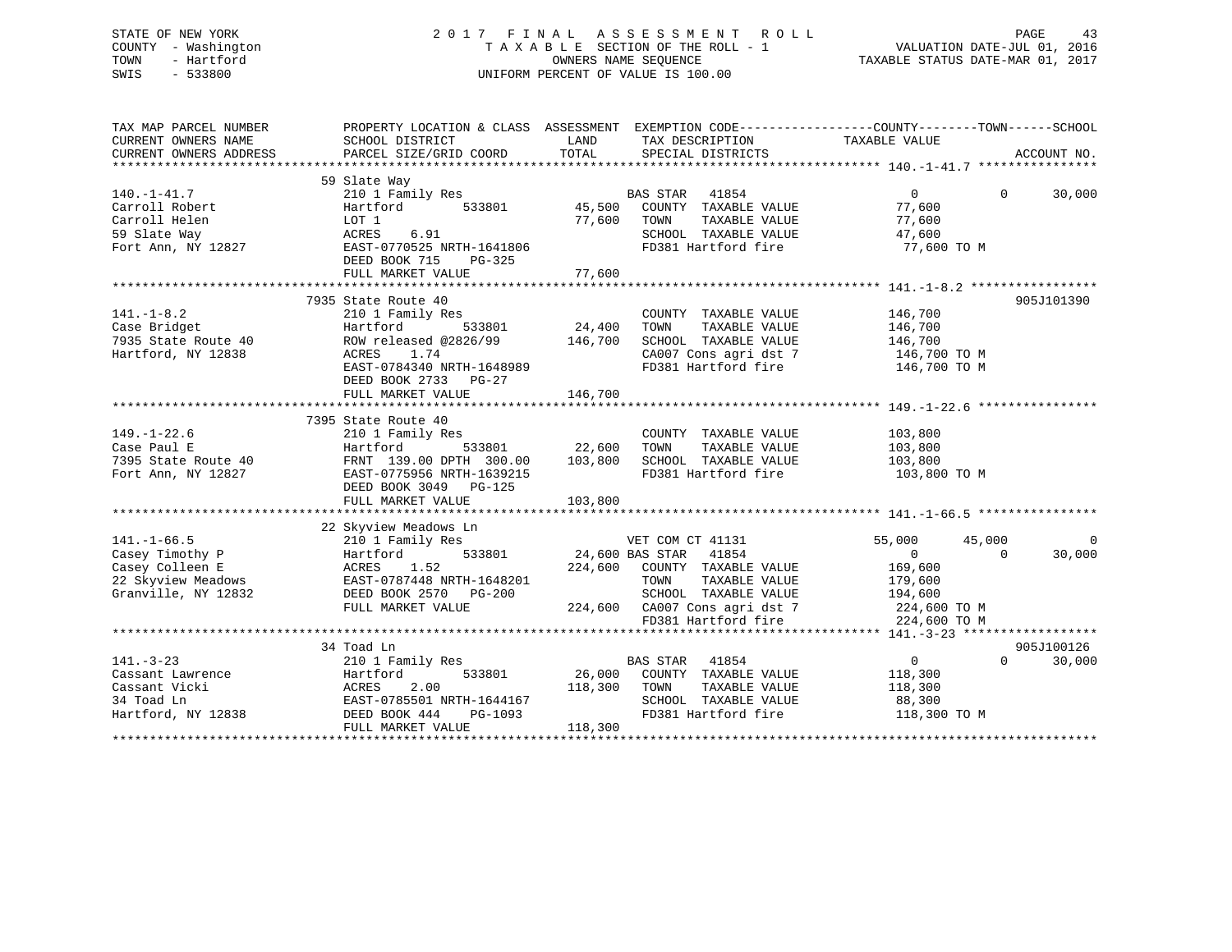### STATE OF NEW YORK 2 0 1 7 F I N A L A S S E S S M E N T R O L L PAGE 43 COUNTY - Washington T A X A B L E SECTION OF THE ROLL - 1 VALUATION DATE-JUL 01, 2016 TOWN - Hartford OWNERS NAME SEQUENCE TAXABLE STATUS DATE-MAR 01, 2017 SWIS - 533800 UNIFORM PERCENT OF VALUE IS 100.00

| TAX MAP PARCEL NUMBER<br>CURRENT OWNERS NAME<br>CURRENT OWNERS ADDRESS                               | PROPERTY LOCATION & CLASS ASSESSMENT EXEMPTION CODE---------------COUNTY-------TOWN-----SCHOOL<br>SCHOOL DISTRICT<br>PARCEL SIZE/GRID COORD                             | LAND<br>TOTAL                       | TAX DESCRIPTION TAXABLE VALUE<br>SPECIAL DISTRICTS                                                                                                                 |                                                                                     |                    | ACCOUNT NO.          |
|------------------------------------------------------------------------------------------------------|-------------------------------------------------------------------------------------------------------------------------------------------------------------------------|-------------------------------------|--------------------------------------------------------------------------------------------------------------------------------------------------------------------|-------------------------------------------------------------------------------------|--------------------|----------------------|
| $140. - 1 - 41.7$<br>Carroll Robert<br>Carroll Helen<br>59 Slate Way<br>Fort Ann, NY 12827           | 59 Slate Way<br>210 1 Family Res<br>533801<br>Hartford<br>LOT 1<br>6.91<br>ACRES<br>EAST-0770525 NRTH-1641806<br>DEED BOOK 715<br>PG-325                                | 45,500<br>77,600                    | <b>BAS STAR</b><br>41854<br>COUNTY TAXABLE VALUE<br>TOWN<br>TAXABLE VALUE<br>SCHOOL TAXABLE VALUE<br>FD381 Hartford fire                                           | $\Omega$<br>77,600<br>77,600<br>47,600<br>77,600 TO M                               | $\Omega$           | 30,000               |
|                                                                                                      |                                                                                                                                                                         |                                     |                                                                                                                                                                    |                                                                                     |                    |                      |
| $141. - 1 - 8.2$<br>Case Bridget<br>7935 State Route 40<br>Hartford, NY 12838                        | 7935 State Route 40<br>210 1 Family Res<br>Hartford<br>ROW released @2826/99<br>ACRES<br>1.74<br>EAST-0784340 NRTH-1648989<br>DEED BOOK 2733 PG-27<br>FULL MARKET VALUE | 533801 24,400<br>146,700<br>146,700 | COUNTY TAXABLE VALUE<br>TOWN<br>TAXABLE VALUE<br>SCHOOL TAXABLE VALUE<br>CA007 Cons agri dst 7<br>FD381 Hartford fire                                              | 146,700<br>146,700<br>146,700<br>146,700 TO M<br>146,700 TO M                       |                    | 905J101390           |
| $149. - 1 - 22.6$<br>Case Paul E<br>7395 State Route 40<br>Fort Ann, NY 12827                        | 7395 State Route 40<br>210 1 Family Res<br>533801<br>Hartford<br>FRNT 139.00 DPTH 300.00<br>EAST-0775956 NRTH-1639215<br>DEED BOOK 3049 PG-125<br>FULL MARKET VALUE     | 22,600<br>103,800<br>103,800        | COUNTY TAXABLE VALUE<br>TOWN<br>TAXABLE VALUE<br>SCHOOL TAXABLE VALUE 103,800<br>FD381 Hartford fire                                                               | 103,800<br>103,800<br>103,800 TO M                                                  |                    |                      |
|                                                                                                      | 22 Skyview Meadows Ln                                                                                                                                                   |                                     |                                                                                                                                                                    |                                                                                     |                    |                      |
| $141. - 1 - 66.5$<br>Casey Timothy P<br>Casey Colleen E<br>22 Skyview Meadows<br>Granville, NY 12832 | 210 1 Family Res<br>Hartford<br>ACRES 1.52<br>EAST-0787448 NRTH-1648201<br>DEED BOOK 2570 PG-200<br>FULL MARKET VALUE                                                   | 533801 24,600 BAS STAR              | VET COM CT 41131<br>41854<br>224,600 COUNTY TAXABLE VALUE<br>TOWN<br>TAXABLE VALUE<br>SCHOOL TAXABLE VALUE<br>224,600 CA007 Cons agri dst 7<br>FD381 Hartford fire | 55,000<br>$\Omega$<br>169,600<br>179,600<br>194,600<br>224,600 TO M<br>224,600 TO M | 45,000<br>$\Omega$ | $\Omega$<br>30,000   |
|                                                                                                      |                                                                                                                                                                         |                                     |                                                                                                                                                                    |                                                                                     |                    |                      |
| $141. - 3 - 23$<br>Cassant Lawrence<br>Cassant Vicki<br>34 Toad Ln<br>Hartford, NY 12838             | 34 Toad Ln<br>210 1 Family Res<br>Hartford<br>533801<br>2.00<br>ACRES<br>EAST-0785501 NRTH-1644167<br>DEED BOOK 444<br>PG-1093<br>FULL MARKET VALUE                     | 118,300<br>118,300                  | BAS STAR<br>41854<br>26,000 COUNTY TAXABLE VALUE<br>TAXABLE VALUE<br>TOWN<br>SCHOOL TAXABLE VALUE<br>FD381 Hartford fire                                           | $\overline{0}$<br>118,300<br>118,300<br>88,300<br>118,300 TO M                      | $\Omega$           | 905J100126<br>30,000 |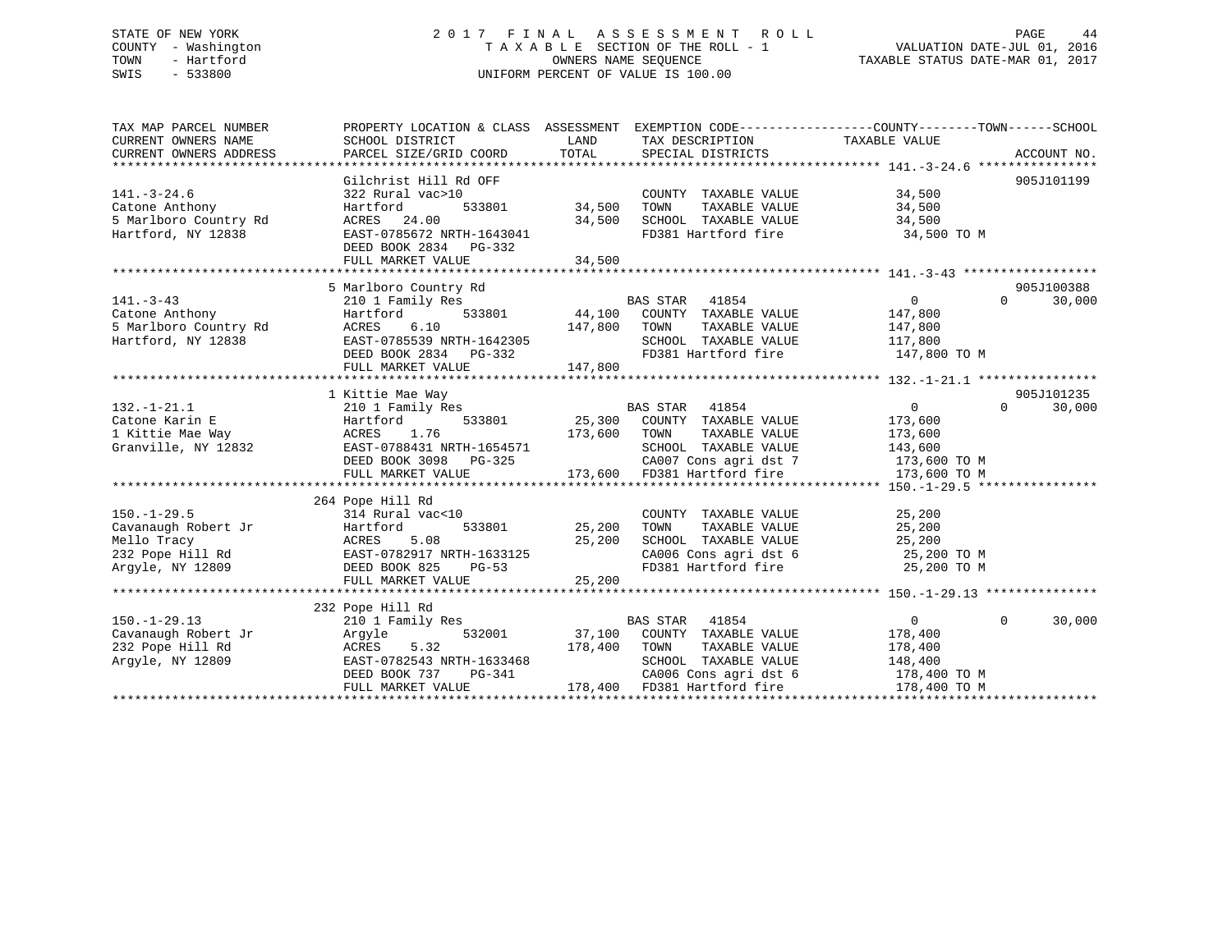### STATE OF NEW YORK 2 0 1 7 F I N A L A S S E S S M E N T R O L L PAGE 44 COUNTY - Washington T A X A B L E SECTION OF THE ROLL - 1 VALUATION DATE-JUL 01, 2016 TOWN - Hartford **TAXABLE STATUS DATE-MAR 01, 2017** SWIS - 533800 UNIFORM PERCENT OF VALUE IS 100.00

| TAX MAP PARCEL NUMBER<br>CURRENT OWNERS NAME<br>CURRENT OWNERS ADDRESS                          | PROPERTY LOCATION & CLASS ASSESSMENT<br>SCHOOL DISTRICT<br>PARCEL SIZE/GRID COORD                                                                                   | LAND<br>TOTAL                     | EXEMPTION CODE-----------------COUNTY-------TOWN------SCHOOL<br>TAX DESCRIPTION<br>SPECIAL DISTRICTS                                                                               | TAXABLE VALUE                                                                     | ACCOUNT NO.                      |
|-------------------------------------------------------------------------------------------------|---------------------------------------------------------------------------------------------------------------------------------------------------------------------|-----------------------------------|------------------------------------------------------------------------------------------------------------------------------------------------------------------------------------|-----------------------------------------------------------------------------------|----------------------------------|
| $141. - 3 - 24.6$<br>Catone Anthony<br>5 Marlboro Country Rd<br>Hartford, NY 12838              | Gilchrist Hill Rd OFF<br>322 Rural vac>10<br>Hartford<br>ACRES 24.00<br>EAST-0785672 NRTH-1643041                                                                   | 533801 34,500<br>34,500           | COUNTY TAXABLE VALUE<br>TOWN<br>TAXABLE VALUE<br>SCHOOL TAXABLE VALUE<br>FD381 Hartford fire                                                                                       | 34,500<br>34,500<br>34,500<br>34,500 TO M                                         | 905J101199                       |
|                                                                                                 | DEED BOOK 2834 PG-332<br>FULL MARKET VALUE                                                                                                                          | 34,500                            |                                                                                                                                                                                    |                                                                                   |                                  |
|                                                                                                 | 5 Marlboro Country Rd                                                                                                                                               |                                   |                                                                                                                                                                                    |                                                                                   | 905J100388                       |
| $141. - 3 - 43$<br>Catone Anthony<br>5 Marlboro Country Rd<br>Hartford, NY 12838                | 210 1 Family Res<br>Hartford<br>6.10<br>ACRES<br>EAST-0785539 NRTH-1642305<br>DEED BOOK 2834 PG-332<br>FULL MARKET VALUE                                            | 147,800<br>147,800                | BAS STAR 41854<br>533801 44,100 COUNTY TAXABLE VALUE<br>TAXABLE VALUE<br>TOWN<br>SCHOOL TAXABLE VALUE 117,800<br>FD381 Hartford fire                                               | 0<br>147,800<br>147,800<br>147,800 TO M                                           | $\Omega$<br>30,000               |
|                                                                                                 |                                                                                                                                                                     |                                   |                                                                                                                                                                                    |                                                                                   |                                  |
| $132. - 1 - 21.1$<br>Catone Karin E<br>1 Kittie Mae Way<br>Granville, NY 12832                  | 1 Kittie Mae Way<br>210 1 Family Res<br>533801<br>Hartford<br>1.76<br>ACRES<br>EAST-0788431 NRTH-1654571<br>DEED BOOK 3098 PG-325                                   | 173,600 TOWN                      | BAS STAR 41854<br>25,300 COUNTY TAXABLE VALUE<br>TAXABLE VALUE<br>SCHOOL TAXABLE VALUE<br>CA007 Cons agri dst 7                                                                    | $\overline{0}$<br>173,600<br>173,600<br>143,600<br>173,600 TO M                   | 905J101235<br>$\Omega$<br>30,000 |
|                                                                                                 | FULL MARKET VALUE                                                                                                                                                   |                                   | 173,600 FD381 Hartford fire                                                                                                                                                        | 173,600 TO M                                                                      |                                  |
| $150. - 1 - 29.5$<br>Cavanaugh Robert Jr<br>Mello Tracy<br>232 Pope Hill Rd<br>Argyle, NY 12809 | 264 Pope Hill Rd<br>314 Rural vac<10<br>Hartford<br>5.08<br>ACRES<br>ACRES 5.08 25,200<br>EAST-0782917 NRTH-1633125<br>DEED BOOK 825 PG-53<br>FULL MARKET VALUE     | 533801 25,200<br>25,200<br>25,200 | COUNTY TAXABLE VALUE<br>TOWN<br>TAXABLE VALUE<br>SCHOOL TAXABLE VALUE<br>SCHOOL TAXABLE VALUE $25,200$<br>CA006 Cons agri dst 6 $25,200$ TO M<br>FD381 Hartford fire $25,200$ TO M | 25,200<br>25,200<br>25,200                                                        |                                  |
| $150. - 1 - 29.13$<br>Cavanaugh Robert Jr<br>232 Pope Hill Rd<br>Argyle, NY 12809               | 232 Pope Hill Rd<br>210 1 Family Res<br>532001<br>Argyle<br>ACRES 522<br>5.32<br>ACRES<br>EAST-0782543 NRTH-1633468<br>DEED BOOK 737<br>PG-341<br>FULL MARKET VALUE | 178,400                           | BAS STAR 41854<br>37,100 COUNTY TAXABLE VALUE<br>TOWN<br>TAXABLE VALUE<br>SCHOOL TAXABLE VALUE<br>CA006 Cons agri dst 6<br>178,400 FD381 Hartford fire                             | $\overline{0}$<br>178,400<br>178,400<br>148,400<br>$178,400$ TO M<br>178,400 TO M | $\mathbf{0}$<br>30,000           |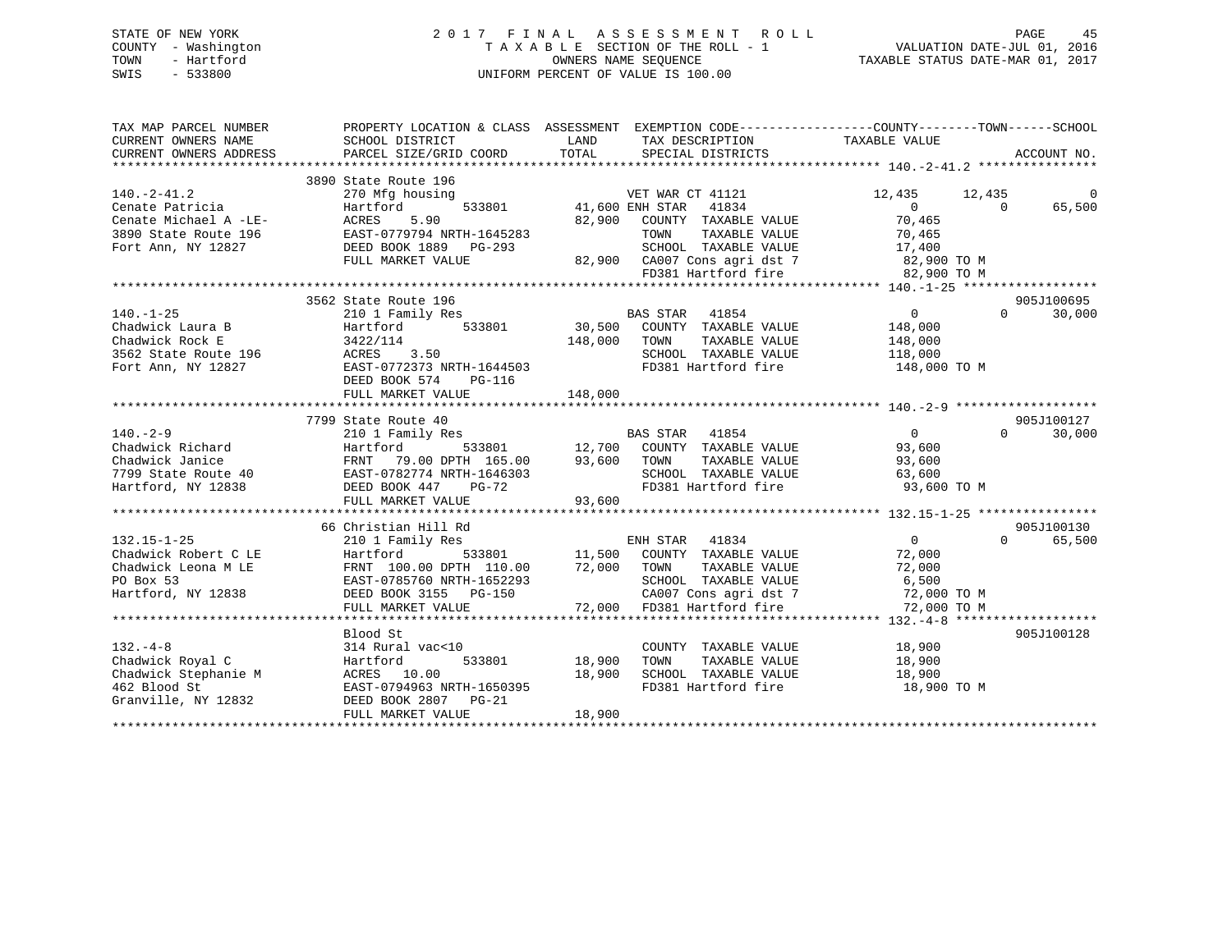### STATE OF NEW YORK 2 0 1 7 F I N A L A S S E S S M E N T R O L L PAGE 45 COUNTY - Washington T A X A B L E SECTION OF THE ROLL - 1 VALUATION DATE-JUL 01, 2016 TOWN - Hartford **TAXABLE STATUS DATE-MAR 01, 2017** SWIS - 533800 UNIFORM PERCENT OF VALUE IS 100.00

| TAX MAP PARCEL NUMBER<br>CURRENT OWNERS NAME<br>CURRENT OWNERS ADDRESS                                                     | SCHOOL DISTRICT<br>PARCEL SIZE/GRID COORD                                                                                                                          | LAND<br>TAX DESCRIPTION TAXABLE VALUE<br>TOTAL<br>SPECIAL DISTRICTS                                                                                                                           | PROPERTY LOCATION & CLASS ASSESSMENT EXEMPTION CODE----------------COUNTY-------TOWN-----SCHOOL<br>ACCOUNT NO.                |
|----------------------------------------------------------------------------------------------------------------------------|--------------------------------------------------------------------------------------------------------------------------------------------------------------------|-----------------------------------------------------------------------------------------------------------------------------------------------------------------------------------------------|-------------------------------------------------------------------------------------------------------------------------------|
| $140. -2 - 41.2$<br>Cenate Patricia<br>Cenate Michael A -LE-<br>3890 State Route 196<br>Fort Ann, NY 12827                 | 3890 State Route 196<br>270 Mfg housing<br>Hartford<br>ACRES<br>5.90<br>EAST-0779794 NRTH-1645283<br>DEED BOOK 1889    PG-293<br>FULL MARKET VALUE                 | VET WAR CT 41121<br>533801 41,600 ENH STAR<br>41834<br>82,900<br>COUNTY TAXABLE VALUE<br>TAXABLE VALUE<br>TOWN<br>SCHOOL TAXABLE VALUE<br>82,900 CA007 Cons agri dst 7<br>FD381 Hartford fire | $\Omega$<br>12,435 12,435<br>$\overline{0}$<br>65,500<br>$\Omega$<br>70,465<br>70,465<br>17,400<br>82,900 TO M<br>82,900 TO M |
| $140. - 1 - 25$<br>Chadwick Laura B<br>Chadwick Rock E<br>3562 State Route 196<br>Fort Ann, NY 12827<br>Fort Ann, NY 12827 | 3562 State Route 196<br>210 1 Family Res<br>Hartford 533801<br>3422/114<br>ACRES 3.50<br>EAST-0772373 NRTH-1644503<br>DEED BOOK 574<br>PG-116<br>FULL MARKET VALUE | BAS STAR 41854<br>30,500 COUNTY TAXABLE VALUE<br>148,000<br>TOWN<br>TAXABLE VALUE<br>SCHOOL TAXABLE VALUE<br>FD381 Hartford fire<br>148,000                                                   | 905J100695<br>$\overline{0}$<br>$\Omega$<br>30,000<br>148,000<br>148,000<br>118,000<br>148,000 TO M                           |
| $140. - 2 - 9$<br>Chadwick Richard<br>Chadwick Janice<br>7799 State Route 40<br>Hartford, NY 12838                         | 7799 State Route 40<br>210 1 Family Res<br>Hartford<br>FRNT 79.00 DPTH 165.00 93,600 TOWN<br>EAST-0782774 NRTH-1646303<br>DEED BOOK 447 PG-72<br>FULL MARKET VALUE | BAS STAR 41854<br>533801 12,700 COUNTY TAXABLE VALUE<br>TAXABLE VALUE<br>SCHOOL TAXABLE VALUE 63,600<br>FD381 Hartford fire 93,600 TO M<br>93,600                                             | 905J100127<br>$\overline{0}$<br>$\Omega$<br>30,000<br>93,600<br>93,600                                                        |
| $132.15 - 1 - 25$<br>Chadwick Robert C LE<br>Chadwick Leona M LE<br>PO Box 53<br>Hartford, NY 12838                        | 66 Christian Hill Rd<br>210 1 Family Res<br>Hartford<br>FRNT 100.00 DPTH 110.00<br>EAST-0785760 NRTH-1652293<br>DEED BOOK 3155 PG-150<br>FULL MARKET VALUE         | s<br>533801 11,500 COUNTY TAXABLE VALUE<br>72,000 TOWN<br>TAXABLE VALUE<br>SCHOOL TAXABLE VALUE<br>CA007 Cons agri dst 7<br>72,000 FD381 Hartford fire                                        | 905J100130<br>$\overline{0}$<br>$\Omega$<br>65,500<br>72,000<br>72,000<br>6,500<br>72,000 TO M<br>72,000 TO M                 |
| $132. -4 - 8$<br>Chadwick Royal C<br>Chadwick Stephanie M<br>462 Blood St<br>Granville, NY 12832                           | Blood St<br>314 Rural vac<10<br>533801<br>Hartford<br>ACRES 10.00<br>EAST-0794963 NRTH-1650395<br>DEED BOOK 2807 PG-21<br>FULL MARKET VALUE                        | COUNTY TAXABLE VALUE<br>18,900<br>TOWN<br>TAXABLE VALUE<br>18,900<br>SCHOOL TAXABLE VALUE<br>FD381 Hartford fire<br>18,900                                                                    | 905J100128<br>18,900<br>18,900<br>18,900<br>18,900 TO M                                                                       |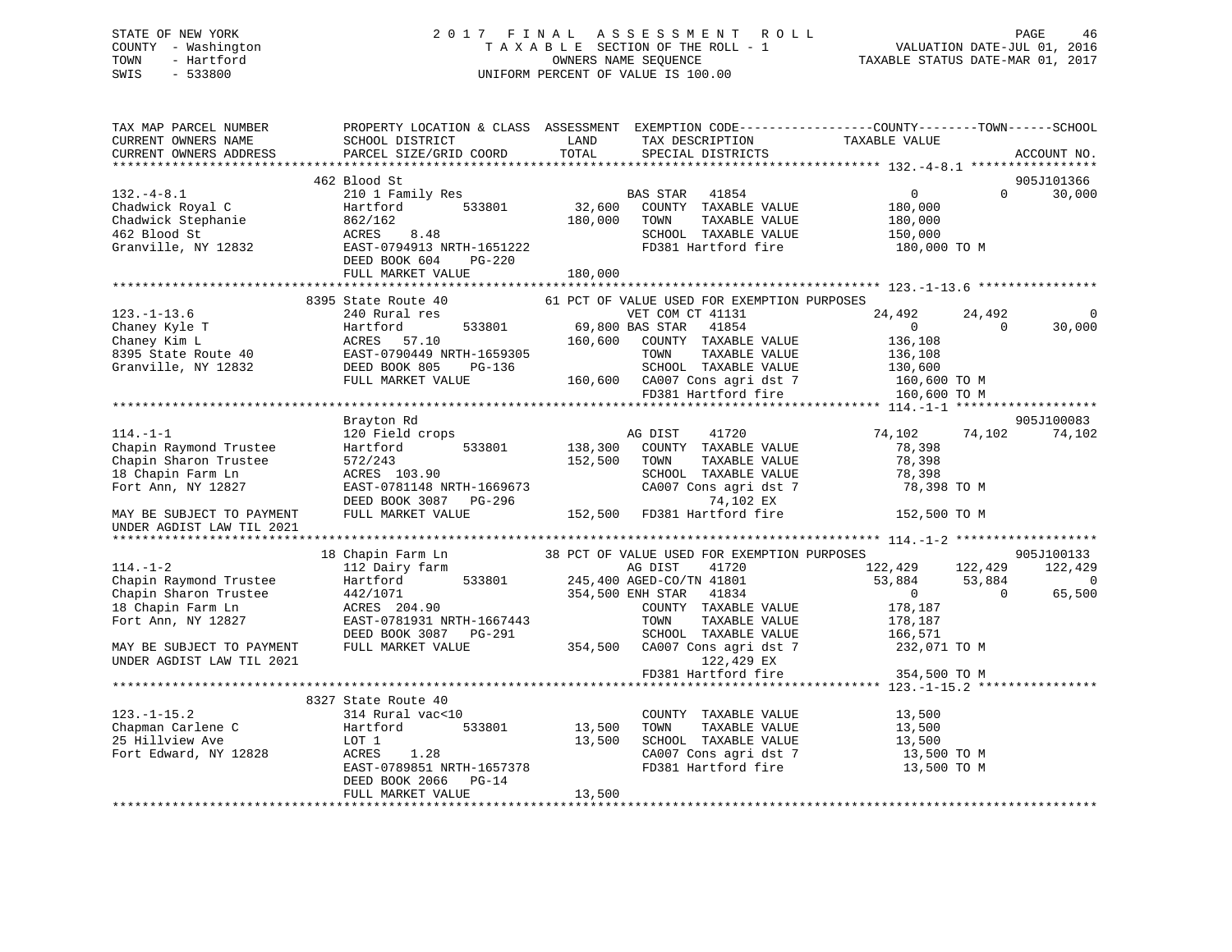### STATE OF NEW YORK 2 0 1 7 F I N A L A S S E S S M E N T R O L L PAGE 46 COUNTY - Washington T A X A B L E SECTION OF THE ROLL - 1 VALUATION DATE-JUL 01, 2016 TOWN - Hartford **TAXABLE STATUS DATE-MAR 01, 2017** SWIS - 533800 UNIFORM PERCENT OF VALUE IS 100.00

| TAX MAP PARCEL NUMBER<br>CURRENT OWNERS NAME<br>CURRENT OWNERS ADDRESS                                                                                                                                                                                                            | PROPERTY LOCATION & CLASS ASSESSMENT EXEMPTION CODE----------------COUNTY-------TOWN-----SCHOOL<br>SCHOOL DISTRICT<br>PARCEL SIZE/GRID COORD                                                                                                                                                                     | LAND<br>TOTAL | TAX DESCRIPTION<br>SPECIAL DISTRICTS                                                                                                                                              | TAXABLE VALUE      | ACCOUNT NO.              |
|-----------------------------------------------------------------------------------------------------------------------------------------------------------------------------------------------------------------------------------------------------------------------------------|------------------------------------------------------------------------------------------------------------------------------------------------------------------------------------------------------------------------------------------------------------------------------------------------------------------|---------------|-----------------------------------------------------------------------------------------------------------------------------------------------------------------------------------|--------------------|--------------------------|
|                                                                                                                                                                                                                                                                                   |                                                                                                                                                                                                                                                                                                                  |               |                                                                                                                                                                                   |                    |                          |
|                                                                                                                                                                                                                                                                                   | 462 Blood St                                                                                                                                                                                                                                                                                                     |               |                                                                                                                                                                                   |                    | 905J101366               |
| $132.-4-8.1$                                                                                                                                                                                                                                                                      | $210 \t1 \t Family Res \t\t BAS \t STAR \t\t 41854 \t\t 41854 \t\t 533801 \t\t 32,600 \t 1.600 \t\t CDUNTY \t TAXABLE \t VALUE \t\t 33801 \t\t 34,600 \t\t 353801 \t\t 3680 \t\t 3780 \t\t 3880 \t\t 3880 \t\t 3980 \t\t 3080 \t\t 3080 \t\t 3180 \t\t 3280 \t\t 3380 \t\t 3480 \t\t 3580 \t\t 3680 \t\t 3780 \$ |               | BAS STAR 41854 0<br>COUNTY TAXABLE VALUE 180,000                                                                                                                                  |                    | $\Omega$<br>30,000       |
|                                                                                                                                                                                                                                                                                   |                                                                                                                                                                                                                                                                                                                  |               |                                                                                                                                                                                   |                    |                          |
| Chadwick Royal C<br>Chadwick Royal C<br>Chadwick Stephanie<br>462 Blood St<br>462 Blood St<br>Granville, NY 12832<br>EAST-0794913 NRTH-1651222<br>FRST-0794913 NRTH-1651222<br>FRST-0794913 NRTH-1651222                                                                          |                                                                                                                                                                                                                                                                                                                  | 180,000 TOWN  | TAXABLE VALUE                                                                                                                                                                     | 180,000<br>150,000 |                          |
|                                                                                                                                                                                                                                                                                   |                                                                                                                                                                                                                                                                                                                  |               | SCHOOL TAXABLE VALUE                                                                                                                                                              |                    |                          |
|                                                                                                                                                                                                                                                                                   | ACRES 8.48<br>EAST-0794913 NRTH-1651222                                                                                                                                                                                                                                                                          |               | FD381 Hartford fire 180,000 TO M                                                                                                                                                  |                    |                          |
|                                                                                                                                                                                                                                                                                   | DEED BOOK 604 PG-220                                                                                                                                                                                                                                                                                             |               |                                                                                                                                                                                   |                    |                          |
|                                                                                                                                                                                                                                                                                   | FULL MARKET VALUE 180,000                                                                                                                                                                                                                                                                                        |               |                                                                                                                                                                                   |                    |                          |
|                                                                                                                                                                                                                                                                                   |                                                                                                                                                                                                                                                                                                                  |               |                                                                                                                                                                                   |                    |                          |
|                                                                                                                                                                                                                                                                                   | 8395 State Route 40 61 PCT OF VALUE USED FOR EXEMPTION PURPOSES                                                                                                                                                                                                                                                  |               |                                                                                                                                                                                   |                    |                          |
| $123. - 1 - 13.6$<br>123.-1-13.6<br>Chaney Kyle T<br>Chaney Kyle T<br>Chaney Kim L<br>24.492 24.4<br>Chaney Kim L<br>24.492 24.4<br>Chaney Kyle T<br>24.492 24.4<br>24.492 24.4<br>24.492 24.4<br>24.492 24.4<br>24.492 24.4<br>24.492 24.4<br>24.492 24.4<br>24.492 24.4<br>24.4 | 240 Rural res                                                                                                                                                                                                                                                                                                    |               | VET COM CT 41131                                                                                                                                                                  | 24,492             | 24,492<br>$\Omega$       |
|                                                                                                                                                                                                                                                                                   |                                                                                                                                                                                                                                                                                                                  |               |                                                                                                                                                                                   |                    | $\overline{0}$<br>30,000 |
|                                                                                                                                                                                                                                                                                   |                                                                                                                                                                                                                                                                                                                  |               |                                                                                                                                                                                   |                    |                          |
|                                                                                                                                                                                                                                                                                   |                                                                                                                                                                                                                                                                                                                  |               |                                                                                                                                                                                   |                    |                          |
|                                                                                                                                                                                                                                                                                   |                                                                                                                                                                                                                                                                                                                  |               |                                                                                                                                                                                   |                    |                          |
|                                                                                                                                                                                                                                                                                   |                                                                                                                                                                                                                                                                                                                  |               |                                                                                                                                                                                   |                    |                          |
|                                                                                                                                                                                                                                                                                   |                                                                                                                                                                                                                                                                                                                  |               | FD381 Hartford fire                                                                                                                                                               | 160,600 TO M       |                          |
|                                                                                                                                                                                                                                                                                   |                                                                                                                                                                                                                                                                                                                  |               |                                                                                                                                                                                   |                    |                          |
|                                                                                                                                                                                                                                                                                   | Brayton Rd                                                                                                                                                                                                                                                                                                       |               |                                                                                                                                                                                   |                    | 905J100083               |
| $114. - 1 - 1$                                                                                                                                                                                                                                                                    | 120 Field crops MG DIST 41720<br>Hartford 533801 138,300 COUNTY TAXABLE VALUE                                                                                                                                                                                                                                    |               |                                                                                                                                                                                   | 74,102 74,102      | 74,102                   |
| Chapin Raymond Trustee                                                                                                                                                                                                                                                            |                                                                                                                                                                                                                                                                                                                  |               |                                                                                                                                                                                   | 78,398             |                          |
| Chapin Sharon Trustee                                                                                                                                                                                                                                                             | 572/243<br>ACRES 103.90                                                                                                                                                                                                                                                                                          | 152,500       | TOWN      TAXABLE VALUE<br>SCHOOL   TAXABLE VALUE                                                                                                                                 | 78,398             |                          |
| 18 Chapin Farm Ln                                                                                                                                                                                                                                                                 |                                                                                                                                                                                                                                                                                                                  |               |                                                                                                                                                                                   | 78,398             |                          |
| Fort Ann, NY 12827                                                                                                                                                                                                                                                                |                                                                                                                                                                                                                                                                                                                  |               |                                                                                                                                                                                   |                    |                          |
|                                                                                                                                                                                                                                                                                   |                                                                                                                                                                                                                                                                                                                  |               |                                                                                                                                                                                   |                    |                          |
| MAY BE SUBJECT TO PAYMENT                                                                                                                                                                                                                                                         | ACRES 103.90<br>EAST-0781148 NRTH-1669673 CA007 Cons agri dst 7 78,398 TO M<br>DEED BOOK 3087 PG-296 74,102 EX<br>FULL MARKET VALUE 152,500 FD381 Hartford fire 152,500 TO M                                                                                                                                     |               |                                                                                                                                                                                   |                    |                          |
| UNDER AGDIST LAW TIL 2021                                                                                                                                                                                                                                                         |                                                                                                                                                                                                                                                                                                                  |               |                                                                                                                                                                                   |                    |                          |
|                                                                                                                                                                                                                                                                                   |                                                                                                                                                                                                                                                                                                                  |               |                                                                                                                                                                                   |                    |                          |
|                                                                                                                                                                                                                                                                                   |                                                                                                                                                                                                                                                                                                                  |               |                                                                                                                                                                                   |                    | 905J100133               |
| $114. - 1 - 2$                                                                                                                                                                                                                                                                    |                                                                                                                                                                                                                                                                                                                  |               |                                                                                                                                                                                   | 122,429 122,429    | 122,429                  |
| Chapin Raymond Trustee                                                                                                                                                                                                                                                            |                                                                                                                                                                                                                                                                                                                  |               |                                                                                                                                                                                   | 53,884 53,884      | $\overline{\phantom{0}}$ |
| Chapin Sharon Trustee                                                                                                                                                                                                                                                             | Hartford<br>442/1071 533801 245,400 AGED-CO/TN 41801<br>354,500 ENH STAR 41834<br>COUNTY TAXABLE VALUE                                                                                                                                                                                                           |               |                                                                                                                                                                                   | $\overline{0}$     | 65,500<br>$\sim$ 0       |
| 18 Chapin Farm Ln                                                                                                                                                                                                                                                                 |                                                                                                                                                                                                                                                                                                                  |               |                                                                                                                                                                                   |                    |                          |
| Fort Ann, NY 12827                                                                                                                                                                                                                                                                | EAST-0781931 NRTH-1667443                                                                                                                                                                                                                                                                                        |               |                                                                                                                                                                                   |                    |                          |
|                                                                                                                                                                                                                                                                                   | DEED BOOK 3087 PG-291                                                                                                                                                                                                                                                                                            |               | COUNTY TAXABLE VALUE 178,187<br>-1667443 TOWN TAXABLE VALUE 178,187<br>-291 SCHOOL TAXABLE VALUE 166,571<br>354,500 CA007 Cons agri dst 7 232,071 TO M<br>129 429 FV 232,071 TO M |                    |                          |
| MAY BE SUBJECT TO PAYMENT                                                                                                                                                                                                                                                         | FULL MARKET VALUE                                                                                                                                                                                                                                                                                                |               |                                                                                                                                                                                   |                    |                          |
| UNDER AGDIST LAW TIL 2021                                                                                                                                                                                                                                                         |                                                                                                                                                                                                                                                                                                                  |               | 122,429 EX<br>FD381 Hartford fire                                                                                                                                                 |                    |                          |
|                                                                                                                                                                                                                                                                                   |                                                                                                                                                                                                                                                                                                                  |               |                                                                                                                                                                                   | 354,500 TO M       |                          |
|                                                                                                                                                                                                                                                                                   |                                                                                                                                                                                                                                                                                                                  |               |                                                                                                                                                                                   |                    |                          |
|                                                                                                                                                                                                                                                                                   | 8327 State Route 40<br>314 Rural vac<10                                                                                                                                                                                                                                                                          |               |                                                                                                                                                                                   |                    |                          |
| $123. - 1 - 15.2$                                                                                                                                                                                                                                                                 |                                                                                                                                                                                                                                                                                                                  |               | COUNTY TAXABLE VALUE 13,500                                                                                                                                                       |                    |                          |
| Chapman Carlene C<br>25 Hillview Ave                                                                                                                                                                                                                                              | Hartford 533801                                                                                                                                                                                                                                                                                                  |               | 13,500 TOWN<br>13,500 TOWN TAXABLE VALUE 13,500<br>13,500 SCHOOL TAXABLE VALUE 13,500<br>CA007 Cons agri dst 7 13,500 TO M                                                        |                    |                          |
| 25 Hillview Ave                                                                                                                                                                                                                                                                   | LOT 1                                                                                                                                                                                                                                                                                                            |               |                                                                                                                                                                                   |                    |                          |
| Fort Edward, NY 12828                                                                                                                                                                                                                                                             | 1.28<br>ACRES                                                                                                                                                                                                                                                                                                    |               | FD381 Hartford fire 13,500 TO M                                                                                                                                                   |                    |                          |
|                                                                                                                                                                                                                                                                                   | EAST-0789851 NRTH-1657378                                                                                                                                                                                                                                                                                        |               |                                                                                                                                                                                   |                    |                          |
|                                                                                                                                                                                                                                                                                   | DEED BOOK 2066 PG-14                                                                                                                                                                                                                                                                                             | 13,500        |                                                                                                                                                                                   |                    |                          |
|                                                                                                                                                                                                                                                                                   | FULL MARKET VALUE                                                                                                                                                                                                                                                                                                |               |                                                                                                                                                                                   |                    |                          |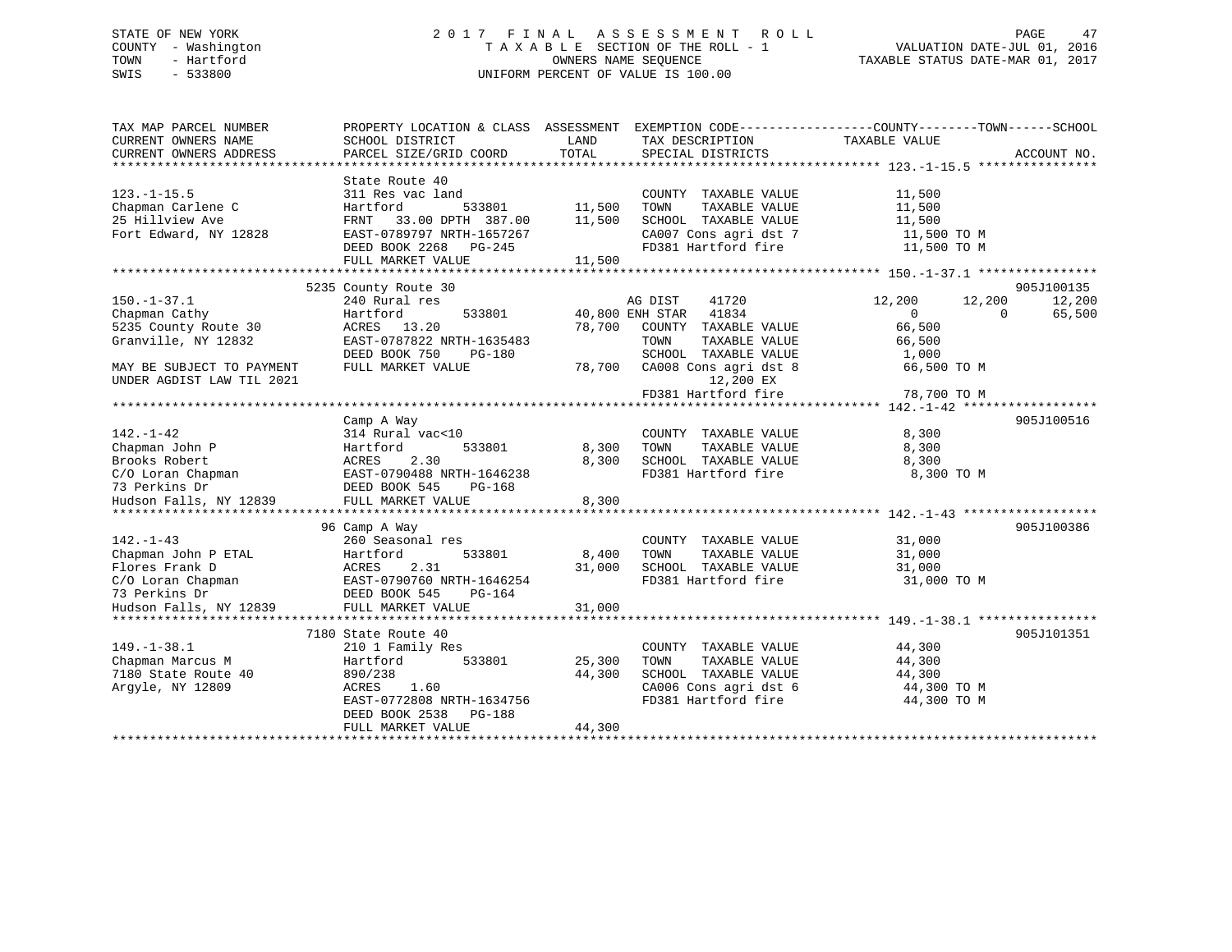### STATE OF NEW YORK 2 0 1 7 F I N A L A S S E S S M E N T R O L L PAGE 47 COUNTY - Washington T A X A B L E SECTION OF THE ROLL - 1 VALUATION DATE-JUL 01, 2016 TOWN - Hartford **TAXABLE STATUS DATE-MAR 01, 2017** SWIS - 533800 UNIFORM PERCENT OF VALUE IS 100.00

| TOTAL<br>CURRENT OWNERS ADDRESS<br>PARCEL SIZE/GRID COORD<br>SPECIAL DISTRICTS<br>ACCOUNT NO.<br>State Route 40<br>$123. - 1 - 15.5$<br>311 Res vac land<br>COUNTY TAXABLE VALUE<br>11,500<br>Chapman Carlene C<br>Hartford<br>533801<br>11,500<br>TAXABLE VALUE<br>11,500<br>TOWN<br>25 Hillview Ave<br>33.00 DPTH 387.00<br>11,500<br>SCHOOL TAXABLE VALUE<br>11,500<br>FRNT<br>CA007 Cons agri dst 7<br>Fort Edward, NY 12828<br>EAST-0789797 NRTH-1657267<br>11,500 TO M<br>DEED BOOK 2268 PG-245<br>FD381 Hartford fire<br>11,500 TO M<br>FULL MARKET VALUE<br>11,500<br>5235 County Route 30<br>905J100135<br>$150. - 1 - 37.1$<br>240 Rural res<br>AG DIST<br>41720<br>12,200<br>12,200<br>12,200<br>41834<br>Chapman Cathy<br>Hartford<br>533801<br>40,800 ENH STAR<br>$\Omega$<br>65,500<br>$\Omega$<br>5235 County Route 30<br>66,500<br>ACRES 13.20<br>78,700<br>COUNTY TAXABLE VALUE<br>EAST-0787822 NRTH-1635483<br>Granville, NY 12832<br>TAXABLE VALUE<br>TOWN<br>66,500<br>DEED BOOK 750<br>$PG-180$<br>SCHOOL TAXABLE VALUE<br>1,000<br>MAY BE SUBJECT TO PAYMENT<br>FULL MARKET VALUE<br>78,700<br>CA008 Cons agri dst 8<br>66,500 TO M<br>12,200 EX<br>FD381 Hartford fire<br>78,700 TO M<br>905J100516<br>Camp A Way<br>314 Rural vac<10<br>8,300<br>COUNTY TAXABLE VALUE<br>Hartford<br>533801<br>8,300<br>TOWN<br>TAXABLE VALUE<br>8,300<br>2.30<br>8,300<br>SCHOOL TAXABLE VALUE<br>8,300<br>ACRES<br>EAST-0790488 NRTH-1646238<br>FD381 Hartford fire<br>8,300 TO M<br>DEED BOOK 545<br>PG-168<br>FULL MARKET VALUE<br>8,300<br>*************<br>905J100386<br>96 Camp A Way<br>$142. - 1 - 43$<br>260 Seasonal res<br>COUNTY TAXABLE VALUE<br>31,000<br>Chapman John P ETAL<br>Hartford<br>533801<br>8,400<br>TOWN<br>TAXABLE VALUE<br>31,000<br>2.31<br>Flores Frank D<br>ACRES<br>31,000<br>SCHOOL TAXABLE VALUE<br>31,000<br>C/O Loran Chapman<br>EAST-0790760 NRTH-1646254<br>FD381 Hartford fire<br>31,000 TO M<br>73 Perkins Dr<br>DEED BOOK 545<br>PG-164<br>Hudson Falls, NY 12839<br>FULL MARKET VALUE<br>31,000<br>905J101351<br>7180 State Route 40<br>$149. - 1 - 38.1$<br>COUNTY TAXABLE VALUE<br>44,300<br>210 1 Family Res<br>Chapman Marcus M<br>44,300<br>Hartford<br>533801<br>25,300<br>TAXABLE VALUE<br>TOWN<br>7180 State Route 40<br>890/238<br>44,300<br>SCHOOL TAXABLE VALUE<br>44,300<br>Argyle, NY 12809<br>ACRES<br>1.60<br>CA006 Cons agri dst 6<br>44,300 TO M<br>FD381 Hartford fire<br>EAST-0772808 NRTH-1634756<br>44,300 TO M<br>DEED BOOK 2538<br>PG-188 | TAX MAP PARCEL NUMBER<br>CURRENT OWNERS NAME | PROPERTY LOCATION & CLASS ASSESSMENT<br>SCHOOL DISTRICT | LAND   | TAX DESCRIPTION | EXEMPTION CODE-----------------COUNTY-------TOWN------SCHOOL<br>TAXABLE VALUE |  |
|---------------------------------------------------------------------------------------------------------------------------------------------------------------------------------------------------------------------------------------------------------------------------------------------------------------------------------------------------------------------------------------------------------------------------------------------------------------------------------------------------------------------------------------------------------------------------------------------------------------------------------------------------------------------------------------------------------------------------------------------------------------------------------------------------------------------------------------------------------------------------------------------------------------------------------------------------------------------------------------------------------------------------------------------------------------------------------------------------------------------------------------------------------------------------------------------------------------------------------------------------------------------------------------------------------------------------------------------------------------------------------------------------------------------------------------------------------------------------------------------------------------------------------------------------------------------------------------------------------------------------------------------------------------------------------------------------------------------------------------------------------------------------------------------------------------------------------------------------------------------------------------------------------------------------------------------------------------------------------------------------------------------------------------------------------------------------------------------------------------------------------------------------------------------------------------------------------------------------------------------------------------------------------------------------------------------------------------------------------------------------------------------------------------------------------------------------------------------------------------------------------------------|----------------------------------------------|---------------------------------------------------------|--------|-----------------|-------------------------------------------------------------------------------|--|
|                                                                                                                                                                                                                                                                                                                                                                                                                                                                                                                                                                                                                                                                                                                                                                                                                                                                                                                                                                                                                                                                                                                                                                                                                                                                                                                                                                                                                                                                                                                                                                                                                                                                                                                                                                                                                                                                                                                                                                                                                                                                                                                                                                                                                                                                                                                                                                                                                                                                                                                     |                                              |                                                         |        |                 |                                                                               |  |
|                                                                                                                                                                                                                                                                                                                                                                                                                                                                                                                                                                                                                                                                                                                                                                                                                                                                                                                                                                                                                                                                                                                                                                                                                                                                                                                                                                                                                                                                                                                                                                                                                                                                                                                                                                                                                                                                                                                                                                                                                                                                                                                                                                                                                                                                                                                                                                                                                                                                                                                     |                                              |                                                         |        |                 |                                                                               |  |
|                                                                                                                                                                                                                                                                                                                                                                                                                                                                                                                                                                                                                                                                                                                                                                                                                                                                                                                                                                                                                                                                                                                                                                                                                                                                                                                                                                                                                                                                                                                                                                                                                                                                                                                                                                                                                                                                                                                                                                                                                                                                                                                                                                                                                                                                                                                                                                                                                                                                                                                     |                                              |                                                         |        |                 |                                                                               |  |
|                                                                                                                                                                                                                                                                                                                                                                                                                                                                                                                                                                                                                                                                                                                                                                                                                                                                                                                                                                                                                                                                                                                                                                                                                                                                                                                                                                                                                                                                                                                                                                                                                                                                                                                                                                                                                                                                                                                                                                                                                                                                                                                                                                                                                                                                                                                                                                                                                                                                                                                     |                                              |                                                         |        |                 |                                                                               |  |
|                                                                                                                                                                                                                                                                                                                                                                                                                                                                                                                                                                                                                                                                                                                                                                                                                                                                                                                                                                                                                                                                                                                                                                                                                                                                                                                                                                                                                                                                                                                                                                                                                                                                                                                                                                                                                                                                                                                                                                                                                                                                                                                                                                                                                                                                                                                                                                                                                                                                                                                     |                                              |                                                         |        |                 |                                                                               |  |
|                                                                                                                                                                                                                                                                                                                                                                                                                                                                                                                                                                                                                                                                                                                                                                                                                                                                                                                                                                                                                                                                                                                                                                                                                                                                                                                                                                                                                                                                                                                                                                                                                                                                                                                                                                                                                                                                                                                                                                                                                                                                                                                                                                                                                                                                                                                                                                                                                                                                                                                     |                                              |                                                         |        |                 |                                                                               |  |
|                                                                                                                                                                                                                                                                                                                                                                                                                                                                                                                                                                                                                                                                                                                                                                                                                                                                                                                                                                                                                                                                                                                                                                                                                                                                                                                                                                                                                                                                                                                                                                                                                                                                                                                                                                                                                                                                                                                                                                                                                                                                                                                                                                                                                                                                                                                                                                                                                                                                                                                     |                                              |                                                         |        |                 |                                                                               |  |
|                                                                                                                                                                                                                                                                                                                                                                                                                                                                                                                                                                                                                                                                                                                                                                                                                                                                                                                                                                                                                                                                                                                                                                                                                                                                                                                                                                                                                                                                                                                                                                                                                                                                                                                                                                                                                                                                                                                                                                                                                                                                                                                                                                                                                                                                                                                                                                                                                                                                                                                     |                                              |                                                         |        |                 |                                                                               |  |
|                                                                                                                                                                                                                                                                                                                                                                                                                                                                                                                                                                                                                                                                                                                                                                                                                                                                                                                                                                                                                                                                                                                                                                                                                                                                                                                                                                                                                                                                                                                                                                                                                                                                                                                                                                                                                                                                                                                                                                                                                                                                                                                                                                                                                                                                                                                                                                                                                                                                                                                     |                                              |                                                         |        |                 |                                                                               |  |
|                                                                                                                                                                                                                                                                                                                                                                                                                                                                                                                                                                                                                                                                                                                                                                                                                                                                                                                                                                                                                                                                                                                                                                                                                                                                                                                                                                                                                                                                                                                                                                                                                                                                                                                                                                                                                                                                                                                                                                                                                                                                                                                                                                                                                                                                                                                                                                                                                                                                                                                     |                                              |                                                         |        |                 |                                                                               |  |
|                                                                                                                                                                                                                                                                                                                                                                                                                                                                                                                                                                                                                                                                                                                                                                                                                                                                                                                                                                                                                                                                                                                                                                                                                                                                                                                                                                                                                                                                                                                                                                                                                                                                                                                                                                                                                                                                                                                                                                                                                                                                                                                                                                                                                                                                                                                                                                                                                                                                                                                     |                                              |                                                         |        |                 |                                                                               |  |
|                                                                                                                                                                                                                                                                                                                                                                                                                                                                                                                                                                                                                                                                                                                                                                                                                                                                                                                                                                                                                                                                                                                                                                                                                                                                                                                                                                                                                                                                                                                                                                                                                                                                                                                                                                                                                                                                                                                                                                                                                                                                                                                                                                                                                                                                                                                                                                                                                                                                                                                     |                                              |                                                         |        |                 |                                                                               |  |
|                                                                                                                                                                                                                                                                                                                                                                                                                                                                                                                                                                                                                                                                                                                                                                                                                                                                                                                                                                                                                                                                                                                                                                                                                                                                                                                                                                                                                                                                                                                                                                                                                                                                                                                                                                                                                                                                                                                                                                                                                                                                                                                                                                                                                                                                                                                                                                                                                                                                                                                     |                                              |                                                         |        |                 |                                                                               |  |
|                                                                                                                                                                                                                                                                                                                                                                                                                                                                                                                                                                                                                                                                                                                                                                                                                                                                                                                                                                                                                                                                                                                                                                                                                                                                                                                                                                                                                                                                                                                                                                                                                                                                                                                                                                                                                                                                                                                                                                                                                                                                                                                                                                                                                                                                                                                                                                                                                                                                                                                     |                                              |                                                         |        |                 |                                                                               |  |
|                                                                                                                                                                                                                                                                                                                                                                                                                                                                                                                                                                                                                                                                                                                                                                                                                                                                                                                                                                                                                                                                                                                                                                                                                                                                                                                                                                                                                                                                                                                                                                                                                                                                                                                                                                                                                                                                                                                                                                                                                                                                                                                                                                                                                                                                                                                                                                                                                                                                                                                     |                                              |                                                         |        |                 |                                                                               |  |
|                                                                                                                                                                                                                                                                                                                                                                                                                                                                                                                                                                                                                                                                                                                                                                                                                                                                                                                                                                                                                                                                                                                                                                                                                                                                                                                                                                                                                                                                                                                                                                                                                                                                                                                                                                                                                                                                                                                                                                                                                                                                                                                                                                                                                                                                                                                                                                                                                                                                                                                     |                                              |                                                         |        |                 |                                                                               |  |
|                                                                                                                                                                                                                                                                                                                                                                                                                                                                                                                                                                                                                                                                                                                                                                                                                                                                                                                                                                                                                                                                                                                                                                                                                                                                                                                                                                                                                                                                                                                                                                                                                                                                                                                                                                                                                                                                                                                                                                                                                                                                                                                                                                                                                                                                                                                                                                                                                                                                                                                     | UNDER AGDIST LAW TIL 2021                    |                                                         |        |                 |                                                                               |  |
|                                                                                                                                                                                                                                                                                                                                                                                                                                                                                                                                                                                                                                                                                                                                                                                                                                                                                                                                                                                                                                                                                                                                                                                                                                                                                                                                                                                                                                                                                                                                                                                                                                                                                                                                                                                                                                                                                                                                                                                                                                                                                                                                                                                                                                                                                                                                                                                                                                                                                                                     |                                              |                                                         |        |                 |                                                                               |  |
|                                                                                                                                                                                                                                                                                                                                                                                                                                                                                                                                                                                                                                                                                                                                                                                                                                                                                                                                                                                                                                                                                                                                                                                                                                                                                                                                                                                                                                                                                                                                                                                                                                                                                                                                                                                                                                                                                                                                                                                                                                                                                                                                                                                                                                                                                                                                                                                                                                                                                                                     |                                              |                                                         |        |                 |                                                                               |  |
|                                                                                                                                                                                                                                                                                                                                                                                                                                                                                                                                                                                                                                                                                                                                                                                                                                                                                                                                                                                                                                                                                                                                                                                                                                                                                                                                                                                                                                                                                                                                                                                                                                                                                                                                                                                                                                                                                                                                                                                                                                                                                                                                                                                                                                                                                                                                                                                                                                                                                                                     |                                              |                                                         |        |                 |                                                                               |  |
|                                                                                                                                                                                                                                                                                                                                                                                                                                                                                                                                                                                                                                                                                                                                                                                                                                                                                                                                                                                                                                                                                                                                                                                                                                                                                                                                                                                                                                                                                                                                                                                                                                                                                                                                                                                                                                                                                                                                                                                                                                                                                                                                                                                                                                                                                                                                                                                                                                                                                                                     | $142. - 1 - 42$                              |                                                         |        |                 |                                                                               |  |
|                                                                                                                                                                                                                                                                                                                                                                                                                                                                                                                                                                                                                                                                                                                                                                                                                                                                                                                                                                                                                                                                                                                                                                                                                                                                                                                                                                                                                                                                                                                                                                                                                                                                                                                                                                                                                                                                                                                                                                                                                                                                                                                                                                                                                                                                                                                                                                                                                                                                                                                     | Chapman John P                               |                                                         |        |                 |                                                                               |  |
|                                                                                                                                                                                                                                                                                                                                                                                                                                                                                                                                                                                                                                                                                                                                                                                                                                                                                                                                                                                                                                                                                                                                                                                                                                                                                                                                                                                                                                                                                                                                                                                                                                                                                                                                                                                                                                                                                                                                                                                                                                                                                                                                                                                                                                                                                                                                                                                                                                                                                                                     | Brooks Robert                                |                                                         |        |                 |                                                                               |  |
|                                                                                                                                                                                                                                                                                                                                                                                                                                                                                                                                                                                                                                                                                                                                                                                                                                                                                                                                                                                                                                                                                                                                                                                                                                                                                                                                                                                                                                                                                                                                                                                                                                                                                                                                                                                                                                                                                                                                                                                                                                                                                                                                                                                                                                                                                                                                                                                                                                                                                                                     | C/O Loran Chapman                            |                                                         |        |                 |                                                                               |  |
|                                                                                                                                                                                                                                                                                                                                                                                                                                                                                                                                                                                                                                                                                                                                                                                                                                                                                                                                                                                                                                                                                                                                                                                                                                                                                                                                                                                                                                                                                                                                                                                                                                                                                                                                                                                                                                                                                                                                                                                                                                                                                                                                                                                                                                                                                                                                                                                                                                                                                                                     | 73 Perkins Dr                                |                                                         |        |                 |                                                                               |  |
|                                                                                                                                                                                                                                                                                                                                                                                                                                                                                                                                                                                                                                                                                                                                                                                                                                                                                                                                                                                                                                                                                                                                                                                                                                                                                                                                                                                                                                                                                                                                                                                                                                                                                                                                                                                                                                                                                                                                                                                                                                                                                                                                                                                                                                                                                                                                                                                                                                                                                                                     | Hudson Falls, NY 12839                       |                                                         |        |                 |                                                                               |  |
|                                                                                                                                                                                                                                                                                                                                                                                                                                                                                                                                                                                                                                                                                                                                                                                                                                                                                                                                                                                                                                                                                                                                                                                                                                                                                                                                                                                                                                                                                                                                                                                                                                                                                                                                                                                                                                                                                                                                                                                                                                                                                                                                                                                                                                                                                                                                                                                                                                                                                                                     |                                              |                                                         |        |                 |                                                                               |  |
|                                                                                                                                                                                                                                                                                                                                                                                                                                                                                                                                                                                                                                                                                                                                                                                                                                                                                                                                                                                                                                                                                                                                                                                                                                                                                                                                                                                                                                                                                                                                                                                                                                                                                                                                                                                                                                                                                                                                                                                                                                                                                                                                                                                                                                                                                                                                                                                                                                                                                                                     |                                              |                                                         |        |                 |                                                                               |  |
|                                                                                                                                                                                                                                                                                                                                                                                                                                                                                                                                                                                                                                                                                                                                                                                                                                                                                                                                                                                                                                                                                                                                                                                                                                                                                                                                                                                                                                                                                                                                                                                                                                                                                                                                                                                                                                                                                                                                                                                                                                                                                                                                                                                                                                                                                                                                                                                                                                                                                                                     |                                              |                                                         |        |                 |                                                                               |  |
|                                                                                                                                                                                                                                                                                                                                                                                                                                                                                                                                                                                                                                                                                                                                                                                                                                                                                                                                                                                                                                                                                                                                                                                                                                                                                                                                                                                                                                                                                                                                                                                                                                                                                                                                                                                                                                                                                                                                                                                                                                                                                                                                                                                                                                                                                                                                                                                                                                                                                                                     |                                              |                                                         |        |                 |                                                                               |  |
|                                                                                                                                                                                                                                                                                                                                                                                                                                                                                                                                                                                                                                                                                                                                                                                                                                                                                                                                                                                                                                                                                                                                                                                                                                                                                                                                                                                                                                                                                                                                                                                                                                                                                                                                                                                                                                                                                                                                                                                                                                                                                                                                                                                                                                                                                                                                                                                                                                                                                                                     |                                              |                                                         |        |                 |                                                                               |  |
|                                                                                                                                                                                                                                                                                                                                                                                                                                                                                                                                                                                                                                                                                                                                                                                                                                                                                                                                                                                                                                                                                                                                                                                                                                                                                                                                                                                                                                                                                                                                                                                                                                                                                                                                                                                                                                                                                                                                                                                                                                                                                                                                                                                                                                                                                                                                                                                                                                                                                                                     |                                              |                                                         |        |                 |                                                                               |  |
|                                                                                                                                                                                                                                                                                                                                                                                                                                                                                                                                                                                                                                                                                                                                                                                                                                                                                                                                                                                                                                                                                                                                                                                                                                                                                                                                                                                                                                                                                                                                                                                                                                                                                                                                                                                                                                                                                                                                                                                                                                                                                                                                                                                                                                                                                                                                                                                                                                                                                                                     |                                              |                                                         |        |                 |                                                                               |  |
|                                                                                                                                                                                                                                                                                                                                                                                                                                                                                                                                                                                                                                                                                                                                                                                                                                                                                                                                                                                                                                                                                                                                                                                                                                                                                                                                                                                                                                                                                                                                                                                                                                                                                                                                                                                                                                                                                                                                                                                                                                                                                                                                                                                                                                                                                                                                                                                                                                                                                                                     |                                              |                                                         |        |                 |                                                                               |  |
|                                                                                                                                                                                                                                                                                                                                                                                                                                                                                                                                                                                                                                                                                                                                                                                                                                                                                                                                                                                                                                                                                                                                                                                                                                                                                                                                                                                                                                                                                                                                                                                                                                                                                                                                                                                                                                                                                                                                                                                                                                                                                                                                                                                                                                                                                                                                                                                                                                                                                                                     |                                              |                                                         |        |                 |                                                                               |  |
|                                                                                                                                                                                                                                                                                                                                                                                                                                                                                                                                                                                                                                                                                                                                                                                                                                                                                                                                                                                                                                                                                                                                                                                                                                                                                                                                                                                                                                                                                                                                                                                                                                                                                                                                                                                                                                                                                                                                                                                                                                                                                                                                                                                                                                                                                                                                                                                                                                                                                                                     |                                              |                                                         |        |                 |                                                                               |  |
|                                                                                                                                                                                                                                                                                                                                                                                                                                                                                                                                                                                                                                                                                                                                                                                                                                                                                                                                                                                                                                                                                                                                                                                                                                                                                                                                                                                                                                                                                                                                                                                                                                                                                                                                                                                                                                                                                                                                                                                                                                                                                                                                                                                                                                                                                                                                                                                                                                                                                                                     |                                              |                                                         |        |                 |                                                                               |  |
|                                                                                                                                                                                                                                                                                                                                                                                                                                                                                                                                                                                                                                                                                                                                                                                                                                                                                                                                                                                                                                                                                                                                                                                                                                                                                                                                                                                                                                                                                                                                                                                                                                                                                                                                                                                                                                                                                                                                                                                                                                                                                                                                                                                                                                                                                                                                                                                                                                                                                                                     |                                              |                                                         |        |                 |                                                                               |  |
|                                                                                                                                                                                                                                                                                                                                                                                                                                                                                                                                                                                                                                                                                                                                                                                                                                                                                                                                                                                                                                                                                                                                                                                                                                                                                                                                                                                                                                                                                                                                                                                                                                                                                                                                                                                                                                                                                                                                                                                                                                                                                                                                                                                                                                                                                                                                                                                                                                                                                                                     |                                              |                                                         |        |                 |                                                                               |  |
|                                                                                                                                                                                                                                                                                                                                                                                                                                                                                                                                                                                                                                                                                                                                                                                                                                                                                                                                                                                                                                                                                                                                                                                                                                                                                                                                                                                                                                                                                                                                                                                                                                                                                                                                                                                                                                                                                                                                                                                                                                                                                                                                                                                                                                                                                                                                                                                                                                                                                                                     |                                              |                                                         |        |                 |                                                                               |  |
|                                                                                                                                                                                                                                                                                                                                                                                                                                                                                                                                                                                                                                                                                                                                                                                                                                                                                                                                                                                                                                                                                                                                                                                                                                                                                                                                                                                                                                                                                                                                                                                                                                                                                                                                                                                                                                                                                                                                                                                                                                                                                                                                                                                                                                                                                                                                                                                                                                                                                                                     |                                              |                                                         |        |                 |                                                                               |  |
|                                                                                                                                                                                                                                                                                                                                                                                                                                                                                                                                                                                                                                                                                                                                                                                                                                                                                                                                                                                                                                                                                                                                                                                                                                                                                                                                                                                                                                                                                                                                                                                                                                                                                                                                                                                                                                                                                                                                                                                                                                                                                                                                                                                                                                                                                                                                                                                                                                                                                                                     |                                              | FULL MARKET VALUE                                       | 44,300 |                 |                                                                               |  |
|                                                                                                                                                                                                                                                                                                                                                                                                                                                                                                                                                                                                                                                                                                                                                                                                                                                                                                                                                                                                                                                                                                                                                                                                                                                                                                                                                                                                                                                                                                                                                                                                                                                                                                                                                                                                                                                                                                                                                                                                                                                                                                                                                                                                                                                                                                                                                                                                                                                                                                                     |                                              |                                                         |        |                 |                                                                               |  |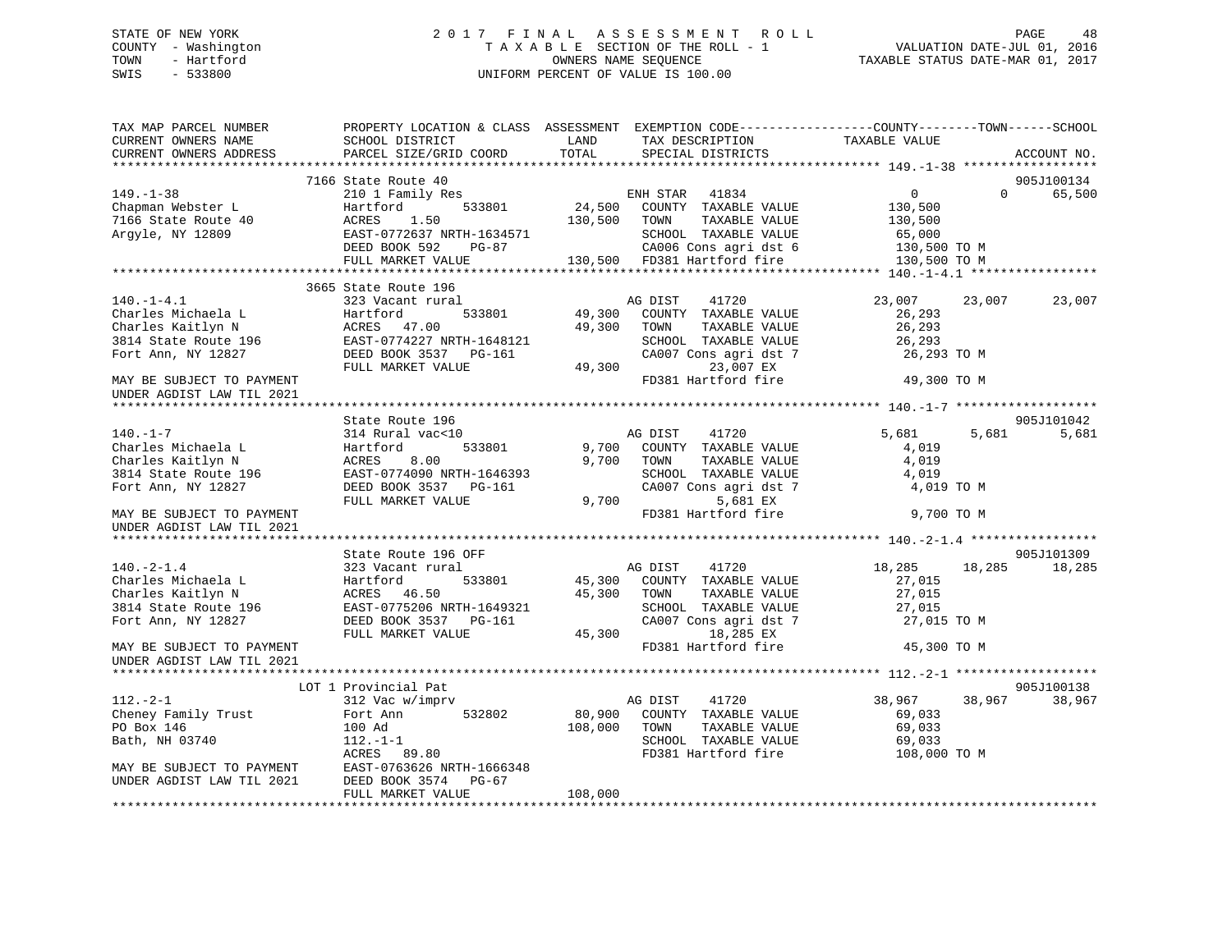### STATE OF NEW YORK 2 0 1 7 F I N A L A S S E S S M E N T R O L L PAGE 48 COUNTY - Washington T A X A B L E SECTION OF THE ROLL - 1 VALUATION DATE-JUL 01, 2016 TOWN - Hartford **TAXABLE STATUS DATE-MAR 01, 2017** SWIS - 533800 UNIFORM PERCENT OF VALUE IS 100.00

| TOTAL<br>PARCEL SIZE/GRID COORD<br>CURRENT OWNERS ADDRESS<br>SPECIAL DISTRICTS<br>ACCOUNT NO.<br>7166 State Route 40<br>905J100134<br>$149. - 1 - 38$<br>$\overline{0}$<br>$\Omega$<br>65,500<br>The California Medicine of the Hartford 533801<br>Chapman Webster L<br>T166 State Route 40 ACRES 1.50<br>Argyle, NY 12809 EAST-0772637 NRTH-1634571<br>130,500<br>130,500 TOWN<br>TAXABLE VALUE<br>130,500<br>65,000<br>SCHOOL TAXABLE VALUE<br>CA006 Cons agri dst 6<br>DEED BOOK 592<br>PG-87<br>130,500 TO M<br>130,500 FD381 Hartford fire<br>FULL MARKET VALUE<br>130,500 TO M<br>3665 State Route 196<br>$140. - 1 - 4.1$<br>323 Vacant rural<br>AG DIST 41720<br>23,007<br>23,007<br>23,007<br>533801<br>49,300<br>COUNTY TAXABLE VALUE<br>49,300 TOWN TAXABLE VALUE<br>Charles Michaela L<br>Charles Kaitlyn N<br>3814 State Route 196<br>Fort Ann, NY 12827<br>DEED BOOK 3537<br>26,293<br> | TAX MAP PARCEL NUMBER<br>CURRENT OWNERS NAME | PROPERTY LOCATION & CLASS ASSESSMENT EXEMPTION CODE---------------COUNTY-------TOWN-----SCHOOL<br>SCHOOL DISTRICT | LAND | TAX DESCRIPTION | TAXABLE VALUE |  |
|-------------------------------------------------------------------------------------------------------------------------------------------------------------------------------------------------------------------------------------------------------------------------------------------------------------------------------------------------------------------------------------------------------------------------------------------------------------------------------------------------------------------------------------------------------------------------------------------------------------------------------------------------------------------------------------------------------------------------------------------------------------------------------------------------------------------------------------------------------------------------------------------------------|----------------------------------------------|-------------------------------------------------------------------------------------------------------------------|------|-----------------|---------------|--|
|                                                                                                                                                                                                                                                                                                                                                                                                                                                                                                                                                                                                                                                                                                                                                                                                                                                                                                       |                                              |                                                                                                                   |      |                 |               |  |
|                                                                                                                                                                                                                                                                                                                                                                                                                                                                                                                                                                                                                                                                                                                                                                                                                                                                                                       |                                              |                                                                                                                   |      |                 |               |  |
|                                                                                                                                                                                                                                                                                                                                                                                                                                                                                                                                                                                                                                                                                                                                                                                                                                                                                                       |                                              |                                                                                                                   |      |                 |               |  |
|                                                                                                                                                                                                                                                                                                                                                                                                                                                                                                                                                                                                                                                                                                                                                                                                                                                                                                       |                                              |                                                                                                                   |      |                 |               |  |
|                                                                                                                                                                                                                                                                                                                                                                                                                                                                                                                                                                                                                                                                                                                                                                                                                                                                                                       |                                              |                                                                                                                   |      |                 |               |  |
|                                                                                                                                                                                                                                                                                                                                                                                                                                                                                                                                                                                                                                                                                                                                                                                                                                                                                                       |                                              |                                                                                                                   |      |                 |               |  |
|                                                                                                                                                                                                                                                                                                                                                                                                                                                                                                                                                                                                                                                                                                                                                                                                                                                                                                       |                                              |                                                                                                                   |      |                 |               |  |
|                                                                                                                                                                                                                                                                                                                                                                                                                                                                                                                                                                                                                                                                                                                                                                                                                                                                                                       |                                              |                                                                                                                   |      |                 |               |  |
|                                                                                                                                                                                                                                                                                                                                                                                                                                                                                                                                                                                                                                                                                                                                                                                                                                                                                                       |                                              |                                                                                                                   |      |                 |               |  |
|                                                                                                                                                                                                                                                                                                                                                                                                                                                                                                                                                                                                                                                                                                                                                                                                                                                                                                       |                                              |                                                                                                                   |      |                 |               |  |
|                                                                                                                                                                                                                                                                                                                                                                                                                                                                                                                                                                                                                                                                                                                                                                                                                                                                                                       |                                              |                                                                                                                   |      |                 |               |  |
|                                                                                                                                                                                                                                                                                                                                                                                                                                                                                                                                                                                                                                                                                                                                                                                                                                                                                                       |                                              |                                                                                                                   |      |                 |               |  |
|                                                                                                                                                                                                                                                                                                                                                                                                                                                                                                                                                                                                                                                                                                                                                                                                                                                                                                       |                                              |                                                                                                                   |      |                 |               |  |
|                                                                                                                                                                                                                                                                                                                                                                                                                                                                                                                                                                                                                                                                                                                                                                                                                                                                                                       |                                              |                                                                                                                   |      |                 |               |  |
|                                                                                                                                                                                                                                                                                                                                                                                                                                                                                                                                                                                                                                                                                                                                                                                                                                                                                                       |                                              |                                                                                                                   |      |                 |               |  |
|                                                                                                                                                                                                                                                                                                                                                                                                                                                                                                                                                                                                                                                                                                                                                                                                                                                                                                       |                                              |                                                                                                                   |      |                 |               |  |
|                                                                                                                                                                                                                                                                                                                                                                                                                                                                                                                                                                                                                                                                                                                                                                                                                                                                                                       |                                              |                                                                                                                   |      |                 |               |  |
|                                                                                                                                                                                                                                                                                                                                                                                                                                                                                                                                                                                                                                                                                                                                                                                                                                                                                                       |                                              |                                                                                                                   |      |                 |               |  |
|                                                                                                                                                                                                                                                                                                                                                                                                                                                                                                                                                                                                                                                                                                                                                                                                                                                                                                       |                                              |                                                                                                                   |      |                 |               |  |
|                                                                                                                                                                                                                                                                                                                                                                                                                                                                                                                                                                                                                                                                                                                                                                                                                                                                                                       |                                              |                                                                                                                   |      |                 |               |  |
|                                                                                                                                                                                                                                                                                                                                                                                                                                                                                                                                                                                                                                                                                                                                                                                                                                                                                                       |                                              |                                                                                                                   |      |                 |               |  |
|                                                                                                                                                                                                                                                                                                                                                                                                                                                                                                                                                                                                                                                                                                                                                                                                                                                                                                       |                                              |                                                                                                                   |      |                 |               |  |
|                                                                                                                                                                                                                                                                                                                                                                                                                                                                                                                                                                                                                                                                                                                                                                                                                                                                                                       |                                              |                                                                                                                   |      |                 |               |  |
|                                                                                                                                                                                                                                                                                                                                                                                                                                                                                                                                                                                                                                                                                                                                                                                                                                                                                                       |                                              |                                                                                                                   |      |                 |               |  |
|                                                                                                                                                                                                                                                                                                                                                                                                                                                                                                                                                                                                                                                                                                                                                                                                                                                                                                       |                                              |                                                                                                                   |      |                 |               |  |
|                                                                                                                                                                                                                                                                                                                                                                                                                                                                                                                                                                                                                                                                                                                                                                                                                                                                                                       |                                              |                                                                                                                   |      |                 |               |  |
|                                                                                                                                                                                                                                                                                                                                                                                                                                                                                                                                                                                                                                                                                                                                                                                                                                                                                                       |                                              |                                                                                                                   |      |                 |               |  |
|                                                                                                                                                                                                                                                                                                                                                                                                                                                                                                                                                                                                                                                                                                                                                                                                                                                                                                       |                                              |                                                                                                                   |      |                 |               |  |
|                                                                                                                                                                                                                                                                                                                                                                                                                                                                                                                                                                                                                                                                                                                                                                                                                                                                                                       |                                              |                                                                                                                   |      |                 |               |  |
|                                                                                                                                                                                                                                                                                                                                                                                                                                                                                                                                                                                                                                                                                                                                                                                                                                                                                                       |                                              |                                                                                                                   |      |                 |               |  |
|                                                                                                                                                                                                                                                                                                                                                                                                                                                                                                                                                                                                                                                                                                                                                                                                                                                                                                       |                                              |                                                                                                                   |      |                 |               |  |
|                                                                                                                                                                                                                                                                                                                                                                                                                                                                                                                                                                                                                                                                                                                                                                                                                                                                                                       |                                              |                                                                                                                   |      |                 |               |  |
|                                                                                                                                                                                                                                                                                                                                                                                                                                                                                                                                                                                                                                                                                                                                                                                                                                                                                                       |                                              |                                                                                                                   |      |                 |               |  |
|                                                                                                                                                                                                                                                                                                                                                                                                                                                                                                                                                                                                                                                                                                                                                                                                                                                                                                       |                                              |                                                                                                                   |      |                 |               |  |
|                                                                                                                                                                                                                                                                                                                                                                                                                                                                                                                                                                                                                                                                                                                                                                                                                                                                                                       |                                              |                                                                                                                   |      |                 |               |  |
|                                                                                                                                                                                                                                                                                                                                                                                                                                                                                                                                                                                                                                                                                                                                                                                                                                                                                                       |                                              |                                                                                                                   |      |                 |               |  |
|                                                                                                                                                                                                                                                                                                                                                                                                                                                                                                                                                                                                                                                                                                                                                                                                                                                                                                       |                                              |                                                                                                                   |      |                 |               |  |
|                                                                                                                                                                                                                                                                                                                                                                                                                                                                                                                                                                                                                                                                                                                                                                                                                                                                                                       |                                              |                                                                                                                   |      |                 |               |  |
|                                                                                                                                                                                                                                                                                                                                                                                                                                                                                                                                                                                                                                                                                                                                                                                                                                                                                                       |                                              |                                                                                                                   |      |                 |               |  |
|                                                                                                                                                                                                                                                                                                                                                                                                                                                                                                                                                                                                                                                                                                                                                                                                                                                                                                       |                                              |                                                                                                                   |      |                 |               |  |
|                                                                                                                                                                                                                                                                                                                                                                                                                                                                                                                                                                                                                                                                                                                                                                                                                                                                                                       |                                              |                                                                                                                   |      |                 |               |  |
|                                                                                                                                                                                                                                                                                                                                                                                                                                                                                                                                                                                                                                                                                                                                                                                                                                                                                                       |                                              |                                                                                                                   |      |                 |               |  |
|                                                                                                                                                                                                                                                                                                                                                                                                                                                                                                                                                                                                                                                                                                                                                                                                                                                                                                       |                                              |                                                                                                                   |      |                 |               |  |
|                                                                                                                                                                                                                                                                                                                                                                                                                                                                                                                                                                                                                                                                                                                                                                                                                                                                                                       |                                              |                                                                                                                   |      |                 |               |  |
|                                                                                                                                                                                                                                                                                                                                                                                                                                                                                                                                                                                                                                                                                                                                                                                                                                                                                                       |                                              |                                                                                                                   |      |                 |               |  |
|                                                                                                                                                                                                                                                                                                                                                                                                                                                                                                                                                                                                                                                                                                                                                                                                                                                                                                       |                                              |                                                                                                                   |      |                 |               |  |
|                                                                                                                                                                                                                                                                                                                                                                                                                                                                                                                                                                                                                                                                                                                                                                                                                                                                                                       |                                              |                                                                                                                   |      |                 |               |  |
|                                                                                                                                                                                                                                                                                                                                                                                                                                                                                                                                                                                                                                                                                                                                                                                                                                                                                                       |                                              |                                                                                                                   |      |                 |               |  |
|                                                                                                                                                                                                                                                                                                                                                                                                                                                                                                                                                                                                                                                                                                                                                                                                                                                                                                       |                                              |                                                                                                                   |      |                 |               |  |
|                                                                                                                                                                                                                                                                                                                                                                                                                                                                                                                                                                                                                                                                                                                                                                                                                                                                                                       |                                              |                                                                                                                   |      |                 |               |  |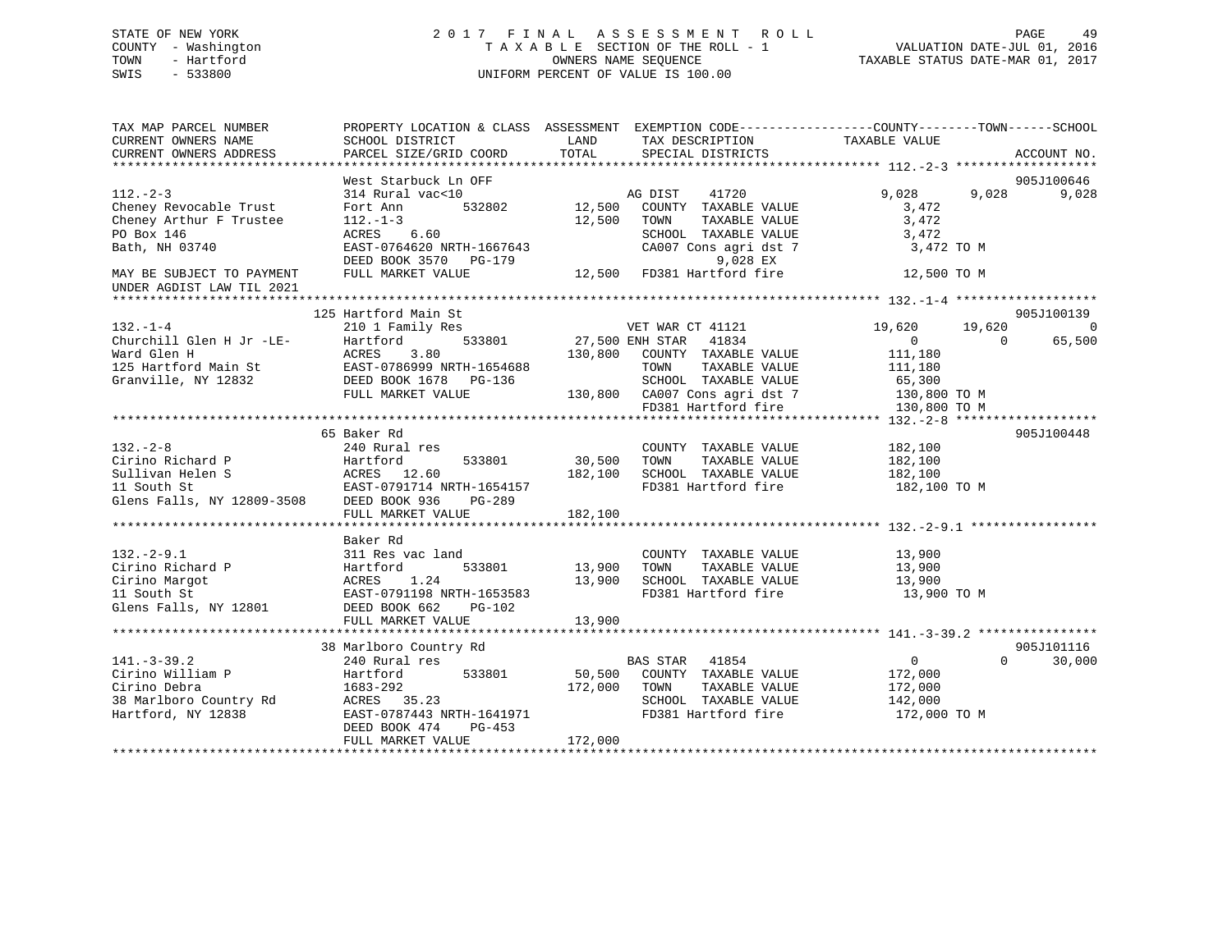### STATE OF NEW YORK 2 0 1 7 F I N A L A S S E S S M E N T R O L L PAGE 49 COUNTY - Washington T A X A B L E SECTION OF THE ROLL - 1 VALUATION DATE-JUL 01, 2016 TOWN - Hartford **TAXABLE STATUS DATE-MAR 01, 2017** SWIS - 533800 UNIFORM PERCENT OF VALUE IS 100.00

| TAX MAP PARCEL NUMBER<br>CURRENT OWNERS NAME<br>CURRENT OWNERS ADDRESS                                                                                       | SCHOOL DISTRICT<br>PARCEL SIZE/GRID COORD                                                                                                                             | PROPERTY LOCATION & CLASS ASSESSMENT EXEMPTION CODE----------------COUNTY-------TOWN------SCHOOL<br>LAND<br>TAX DESCRIPTION<br>TOTAL<br>SPECIAL DISTRICTS                               | TAXABLE VALUE<br>ACCOUNT NO.                                                                        |
|--------------------------------------------------------------------------------------------------------------------------------------------------------------|-----------------------------------------------------------------------------------------------------------------------------------------------------------------------|-----------------------------------------------------------------------------------------------------------------------------------------------------------------------------------------|-----------------------------------------------------------------------------------------------------|
| $112 - 2 - 3$<br>Cheney Revocable Trust<br>Cheney Arthur F Trustee<br>PO Box 146<br>Bath, NH 03740<br>MAY BE SUBJECT TO PAYMENT<br>UNDER AGDIST LAW TIL 2021 | West Starbuck Ln OFF<br>314 Rural vac<10<br>Fort Ann<br>$112. - 1 - 3$<br>ACRES 6.60<br>EAST-0764620 NRTH-1667643<br>DEED BOOK 3570 PG-179<br>FULL MARKET VALUE       | AG DIST<br>41720<br>532802 12,500<br>COUNTY TAXABLE VALUE<br>12,500<br>TOWN<br>TAXABLE VALUE<br>SCHOOL TAXABLE VALUE<br>CA007 Cons agri dst 7<br>9,028 EX<br>12,500 FD381 Hartford fire | 905J100646<br>9,028<br>9,028<br>9,028<br>3,472<br>3,472<br>3,472<br>3,472 TO M<br>12,500 TO M       |
| $132. - 1 - 4$<br>Churchill Glen H Jr -LE-                                                                                                                   | 125 Hartford Main St<br>210 1 Family Res<br>533801<br>Hartford                                                                                                        | VET WAR CT 41121<br>27,500 ENH STAR 41834                                                                                                                                               | 905J100139<br>19,620<br>19,620<br>$\overline{0}$<br>65,500<br>$\overline{0}$<br>$\Omega$            |
| Ward Glen H<br>125 Hartford Main St<br>Granville, NY 12832                                                                                                   | ACRES<br>3.80<br>EAST-0786999 NRTH-1654688<br>DEED BOOK 1678 PG-136<br>FULL MARKET VALUE                                                                              | 130,800<br>COUNTY TAXABLE VALUE<br>TAXABLE VALUE<br>TOWN<br>SCHOOL TAXABLE VALUE<br>130,800 CA007 Cons agri dst 7<br>FD381 Hartford fire                                                | 111,180<br>111,180<br>65,300<br>130,800 TO M<br>130,800 TO M                                        |
| $132 - 2 - 8$                                                                                                                                                | 65 Baker Rd<br>240 Rural res<br>FULL MARKET VALUE                                                                                                                     | COUNTY TAXABLE VALUE<br>30,500<br>TOWN<br>TAXABLE VALUE<br>182,100<br>SCHOOL TAXABLE VALUE<br>FD381 Hartford fire<br>182,100                                                            | 905J100448<br>182,100<br>182,100<br>182,100<br>182,100 TO M                                         |
| $132. - 2 - 9.1$<br>Cirino Richard P<br>Cirino Margot<br>11 South St<br>Glens Falls, NY 12801                                                                | Baker Rd<br>311 Res vac land<br>Hartford<br>ACRES 1.24<br>EAST-0791198 NRTH-1653583<br>EAST-0791198 NRTH-1653583<br>DEED BOOK 662<br>PG-102                           | COUNTY TAXABLE VALUE<br>13,900<br>TAXABLE VALUE<br>TOWN<br>13,900<br>SCHOOL TAXABLE VALUE<br>FD381 Hartford fire                                                                        | 13,900<br>13,900<br>13,900<br>13,900 TO M                                                           |
| $141. - 3 - 39.2$<br>Cirino William P<br>Cirino Debra<br>38 Marlboro Country Rd<br>Hartford, NY 12838                                                        | 38 Marlboro Country Rd<br>240 Rural res<br>Hartford<br>533801<br>1683-292<br>ACRES 35.23<br>EAST-0787443 NRTH-1641971<br>DEED BOOK 474<br>PG-453<br>FULL MARKET VALUE | <b>BAS STAR</b><br>41854<br>50,500<br>COUNTY TAXABLE VALUE<br>172,000<br>TOWN<br>TAXABLE VALUE<br>SCHOOL TAXABLE VALUE<br>FD381 Hartford fire<br>172,000                                | 905J101116<br>$\overline{0}$<br>$\Omega$<br>30,000<br>172,000<br>172,000<br>142,000<br>172,000 TO M |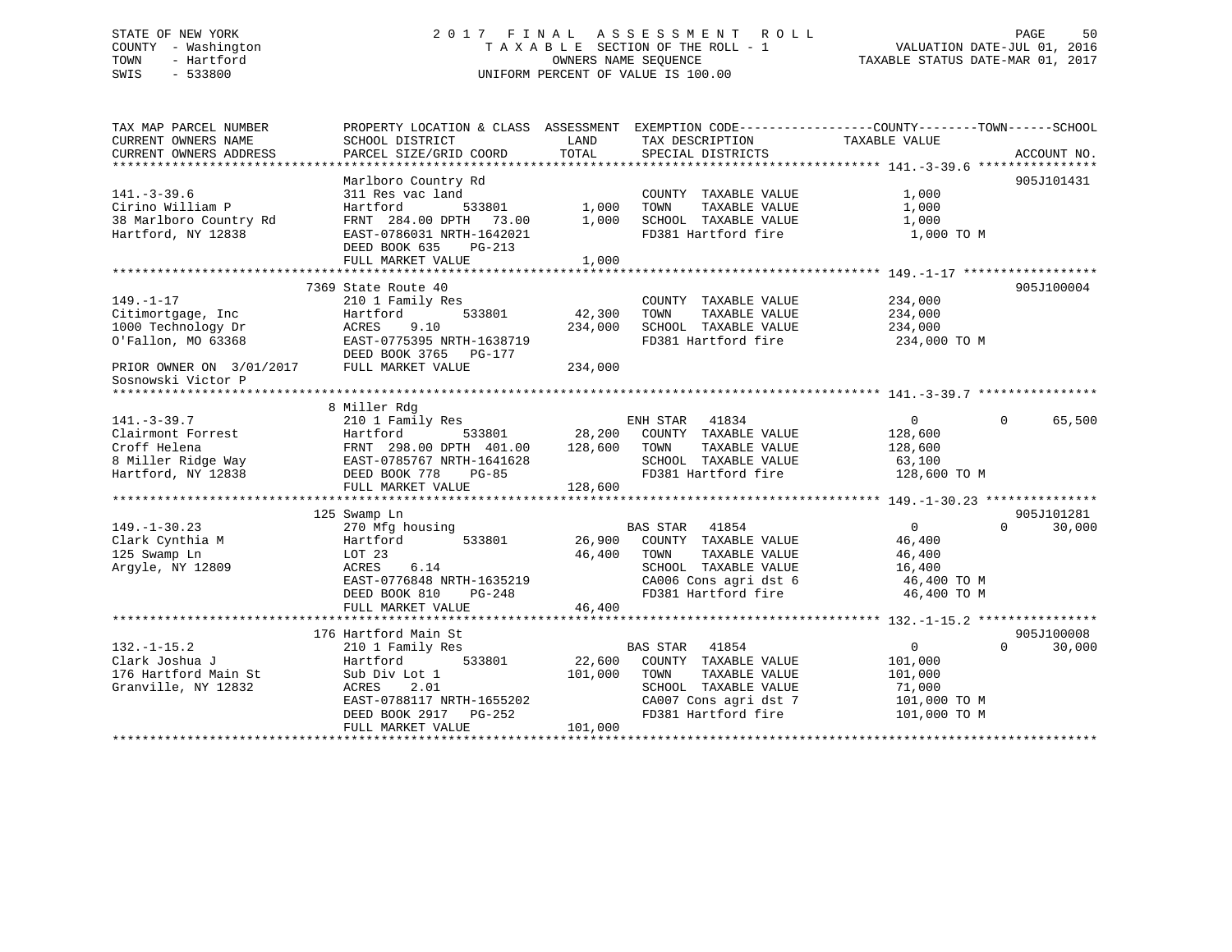## STATE OF NEW YORK 2 0 1 7 F I N A L A S S E S S M E N T R O L L PAGE 50 COUNTY - Washington T A X A B L E SECTION OF THE ROLL - 1 VALUATION DATE-JUL 01, 2016 TOWN - Hartford OWNERS NAME SEQUENCE TAXABLE STATUS DATE-MAR 01, 2017 SWIS - 533800 UNIFORM PERCENT OF VALUE IS 100.00

TAX MAP PARCEL NUMBER PROPERTY LOCATION & CLASS ASSESSMENT EXEMPTION CODE------------------COUNTY--------TOWN------SCHOOL CURRENT OWNERS NAME SCHOOL DISTRICT LAND TAX DESCRIPTION TAXABLE VALUE CURRENT OWNERS ADDRESS PARCEL SIZE/GRID COORD TOTAL SPECIAL DISTRICTS ACCOUNT NO. \*\*\*\*\*\*\*\*\*\*\*\*\*\*\*\*\*\*\*\*\*\*\*\*\*\*\*\*\*\*\*\*\*\*\*\*\*\*\*\*\*\*\*\*\*\*\*\*\*\*\*\*\*\*\*\*\*\*\*\*\*\*\*\*\*\*\*\*\*\*\*\*\*\*\*\*\*\*\*\*\*\*\*\*\*\*\*\*\*\*\*\*\*\*\*\*\*\*\*\*\*\*\* 141.-3-39.6 \*\*\*\*\*\*\*\*\*\*\*\*\*\*\*\* Marlboro Country Rd 905J101431 141.-3-39.6 311 Res vac land COUNTY TAXABLE VALUE 1,000 Cirino William P Hartford 533801 1,000 TOWN TAXABLE VALUE 1,000 38 Marlboro Country Rd FRNT 284.00 DPTH 73.00 1,000 SCHOOL TAXABLE VALUE 1,000 Hartford, NY 12838 EAST-0786031 NRTH-1642021 FD381 Hartford fire 1,000 TO M DEED BOOK 635 PG-213 FULL MARKET VALUE 1,000 \*\*\*\*\*\*\*\*\*\*\*\*\*\*\*\*\*\*\*\*\*\*\*\*\*\*\*\*\*\*\*\*\*\*\*\*\*\*\*\*\*\*\*\*\*\*\*\*\*\*\*\*\*\*\*\*\*\*\*\*\*\*\*\*\*\*\*\*\*\*\*\*\*\*\*\*\*\*\*\*\*\*\*\*\*\*\*\*\*\*\*\*\*\*\*\*\*\*\*\*\*\*\* 149.-1-17 \*\*\*\*\*\*\*\*\*\*\*\*\*\*\*\*\*\* 7369 State Route 40 905J100004149.-1-17 210 1 Family Res COUNTY TAXABLE VALUE 234,000 Citimortgage, Inc Hartford 533801 42,300 TOWN TAXABLE VALUE 234,000 1000 Technology Dr ACRES 9.10 234,000 SCHOOL TAXABLE VALUE 234,000 O'Fallon, MO 63368 EAST-0775395 NRTH-1638719 FD381 Hartford fire 234,000 TO M DEED BOOK 3765 PG-177PRIOR OWNER ON 3/01/2017 FULL MARKET VALUE 234,000 Sosnowski Victor P \*\*\*\*\*\*\*\*\*\*\*\*\*\*\*\*\*\*\*\*\*\*\*\*\*\*\*\*\*\*\*\*\*\*\*\*\*\*\*\*\*\*\*\*\*\*\*\*\*\*\*\*\*\*\*\*\*\*\*\*\*\*\*\*\*\*\*\*\*\*\*\*\*\*\*\*\*\*\*\*\*\*\*\*\*\*\*\*\*\*\*\*\*\*\*\*\*\*\*\*\*\*\* 141.-3-39.7 \*\*\*\*\*\*\*\*\*\*\*\*\*\*\*\* 8 Miller Rdg 141.-3-39.7 210 1 Family Res ENH STAR 41834 0 0 65,500 Clairmont Forrest Hartford 533801 28,200 COUNTY TAXABLE VALUE 128,600 Croff Helena FRNT 298.00 DPTH 401.00 128,600 TOWN TAXABLE VALUE 128,600 8 Miller Ridge Way EAST-0785767 NRTH-1641628 SCHOOL TAXABLE VALUE 63,100 Hartford, NY 12838 DEED BOOK 778 PG-85 FD381 Hartford fire 128,600 TO M FULL MARKET VALUE 128,600 \*\*\*\*\*\*\*\*\*\*\*\*\*\*\*\*\*\*\*\*\*\*\*\*\*\*\*\*\*\*\*\*\*\*\*\*\*\*\*\*\*\*\*\*\*\*\*\*\*\*\*\*\*\*\*\*\*\*\*\*\*\*\*\*\*\*\*\*\*\*\*\*\*\*\*\*\*\*\*\*\*\*\*\*\*\*\*\*\*\*\*\*\*\*\*\*\*\*\*\*\*\*\* 149.-1-30.23 \*\*\*\*\*\*\*\*\*\*\*\*\*\*\* 125 Swamp Ln 905J101281 149.-1-30.23 270 Mfg housing BAS STAR 41854 0 0 30,000 Clark Cynthia M Hartford 533801 26,900 COUNTY TAXABLE VALUE 46,400 125 Swamp Ln LOT 23 46,400 TOWN TAXABLE VALUE 46,400 Argyle, NY 12809 ACRES 6.14 SCHOOL TAXABLE VALUE 16,400 EAST-0776848 NRTH-1635219 CA006 Cons agri dst 6 46,400 TO M DEED BOOK 810 PG-248 FD381 Hartford fire 46,400 TO M FULL MARKET VALUE 46,400 \*\*\*\*\*\*\*\*\*\*\*\*\*\*\*\*\*\*\*\*\*\*\*\*\*\*\*\*\*\*\*\*\*\*\*\*\*\*\*\*\*\*\*\*\*\*\*\*\*\*\*\*\*\*\*\*\*\*\*\*\*\*\*\*\*\*\*\*\*\*\*\*\*\*\*\*\*\*\*\*\*\*\*\*\*\*\*\*\*\*\*\*\*\*\*\*\*\*\*\*\*\*\* 132.-1-15.2 \*\*\*\*\*\*\*\*\*\*\*\*\*\*\*\*905J100008 176 Hartford Main St  $0 \t30.000$ 132.-1-15.2 210 1 Family Res BAS STAR 41854 0 0 30,000 Clark Joshua J Hartford 533801 22,600 COUNTY TAXABLE VALUE 101,000 176 Hartford Main St Sub Div Lot 1 101,000 TOWN TAXABLE VALUE 101,000 Granville, NY 12832 ACRES 2.01 SCHOOL TAXABLE VALUE 71,000 EAST-0788117 NRTH-1655202 CA007 Cons agri dst 7 101,000 TO M DEED BOOK 2917 PG-252 FD381 Hartford fire 101,000 TO M DEED BOOK 2917 PG-252<br>FULL MARKET VALUE 101,000 \*\*\*\*\*\*\*\*\*\*\*\*\*\*\*\*\*\*\*\*\*\*\*\*\*\*\*\*\*\*\*\*\*\*\*\*\*\*\*\*\*\*\*\*\*\*\*\*\*\*\*\*\*\*\*\*\*\*\*\*\*\*\*\*\*\*\*\*\*\*\*\*\*\*\*\*\*\*\*\*\*\*\*\*\*\*\*\*\*\*\*\*\*\*\*\*\*\*\*\*\*\*\*\*\*\*\*\*\*\*\*\*\*\*\*\*\*\*\*\*\*\*\*\*\*\*\*\*\*\*\*\*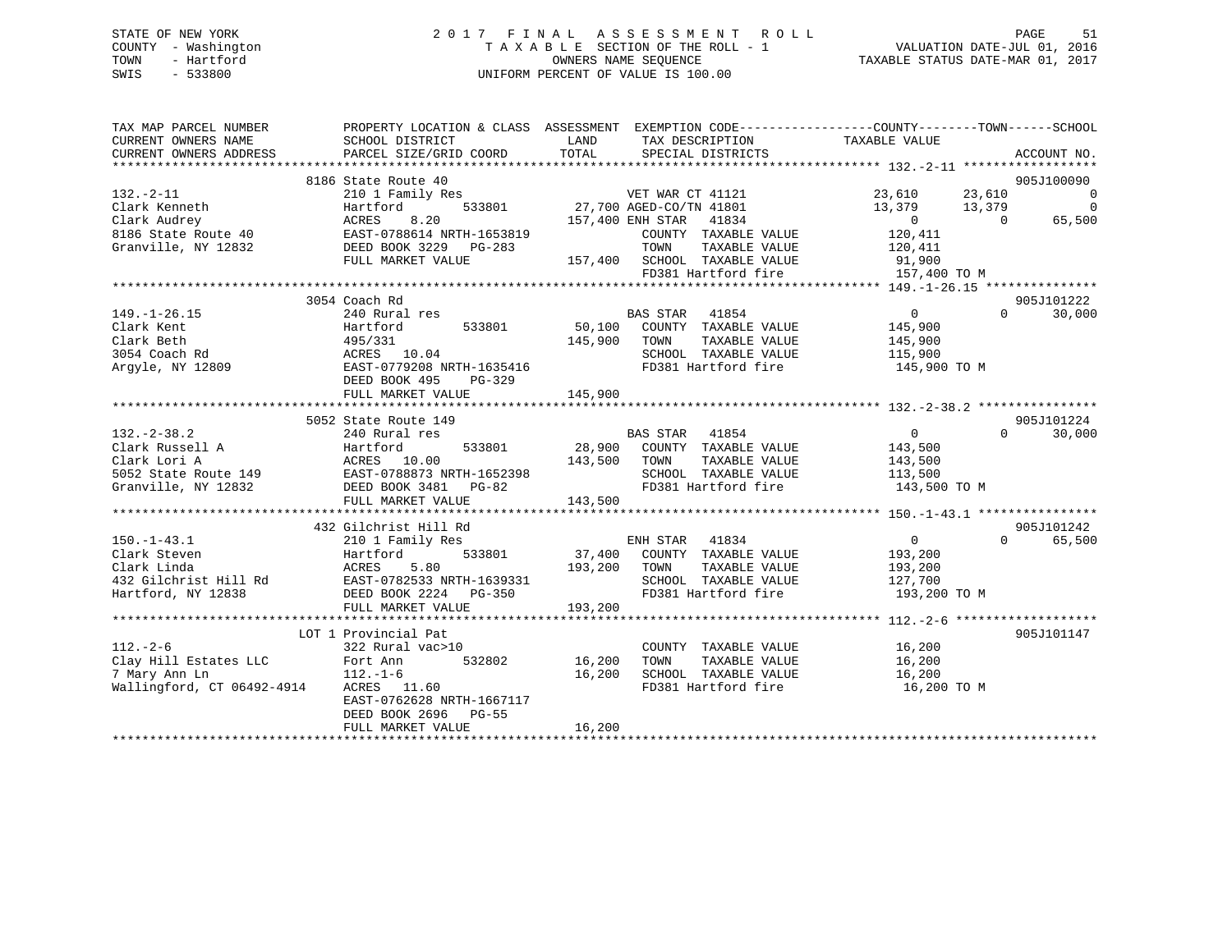### STATE OF NEW YORK 2 0 1 7 F I N A L A S S E S S M E N T R O L L PAGE 51 COUNTY - Washington T A X A B L E SECTION OF THE ROLL - 1 VALUATION DATE-JUL 01, 2016 TOWN - Hartford **TAXABLE STATUS DATE-MAR 01, 2017** SWIS - 533800 UNIFORM PERCENT OF VALUE IS 100.00

| TAX MAP PARCEL NUMBER<br>CURRENT OWNERS NAME<br>CURRENT OWNERS ADDRESS                                                                                                          | PROPERTY LOCATION & CLASS ASSESSMENT<br>SCHOOL DISTRICT<br>PARCEL SIZE/GRID COORD                                                                        | LAND<br>TOTAL                                                                                                                                                                                                                        | EXEMPTION CODE-----------------COUNTY-------TOWN------SCHOOL<br>TAX DESCRIPTION TAXABLE VALUE<br>SPECIAL DISTRICTS                |                                                                    |                              | ACCOUNT NO.                                              |
|---------------------------------------------------------------------------------------------------------------------------------------------------------------------------------|----------------------------------------------------------------------------------------------------------------------------------------------------------|--------------------------------------------------------------------------------------------------------------------------------------------------------------------------------------------------------------------------------------|-----------------------------------------------------------------------------------------------------------------------------------|--------------------------------------------------------------------|------------------------------|----------------------------------------------------------|
| $132. - 2 - 11$<br>Clark Kenneth<br>Clark Audrey<br>Black Audrey<br>Black Audrey<br>Black Audrey<br>BLAGT-0788614 NRTH-1653819<br>Granville, NY 12832<br>DEED BOOK 3229 PG-283  | 8186 State Route 40<br>210 1 Family Res<br>Hartford<br>FULL MARKET VALUE                                                                                 | FRIED STRAIN THE STRAIN VERSION STRAIN THE STRAIN STRAIN STRAIN THE STRAIN STRAIN THE STRAIN STRAIN STRAIN STR<br>157,400 ENH STRAIN THE STRAIN STRAIN STRAIN STRAIN STRAIN STRAIN STRAIN STRAIN STRAIN STRAIN STRAIN STRAIN STR<br> | COUNTY TAXABLE VALUE<br>TOWN<br>TAXABLE VALUE<br>157,400 SCHOOL TAXABLE VALUE                                                     | 23,610<br>13,379<br>$\overline{0}$<br>120,411<br>120,411<br>91,900 | 23,610<br>13,379<br>$\Omega$ | 905J100090<br>$\overline{0}$<br>$\overline{0}$<br>65,500 |
| $149. - 1 - 26.15$<br>Clark Kent<br>Clark Beth<br>3054 Coach Rd<br>Argyle, NY 12809                                                                                             | 3054 Coach Rd<br>240 Rural res<br>Hartford<br>533801<br>495/331<br>ACRES 10.04<br>BAST-0779208 NRTH-1635416<br>DEED BOOK 495<br>PG-329                   | 145,900 TOWN                                                                                                                                                                                                                         | BAS STAR 41854<br>50,100 COUNTY TAXABLE VALUE<br>TAXABLE VALUE<br>SCHOOL TAXABLE VALUE<br>FD381 Hartford fire                     | $\overline{0}$<br>145,900<br>145,900<br>115,900<br>145,900 TO M    | $\Omega$                     | 905J101222<br>30,000                                     |
|                                                                                                                                                                                 | FULL MARKET VALUE                                                                                                                                        | 145,900                                                                                                                                                                                                                              |                                                                                                                                   |                                                                    |                              |                                                          |
| $132 - 2 - 38.2$<br>Clark Russell A and Hartford 533801<br>Clark Lori A acres 10.00<br>5052 State Route 149 EAST-0788873 NRTH-1652398<br>Granville, NY 12832                    | 5052 State Route 149<br>240 Rural res<br>DEED BOOK 3481 PG-82<br>FULL MARKET VALUE                                                                       | 143,500<br>TOWN<br>143,500                                                                                                                                                                                                           | BAS STAR 41854<br>533801 28,900 COUNTY TAXABLE VALUE<br>TAXABLE VALUE<br>SCHOOL TAXABLE VALUE<br>FD381 Hartford fire 143,500 TO M | $\overline{0}$<br>143,500<br>143,500<br>$\frac{1}{113}, 500$       | $\Omega$                     | 905J101224<br>30,000                                     |
| $150. - 1 - 43.1$<br>Clark Steven<br>Clark Linda<br>432 Gilchrist Hill Rd EAST-0782533 NRTH-1639331<br>Hartford, NY 12838                                                       | 432 Gilchrist Hill Rd<br>210 1 Family Res<br>533801<br>Hartford<br>5.80<br>ACRES<br>DEED BOOK 2224 PG-350<br>FULL MARKET VALUE                           | 193,200 TOWN<br>193,200                                                                                                                                                                                                              | ENH STAR 41834<br>37,400 COUNTY TAXABLE VALUE<br>TAXABLE VALUE<br>SCHOOL TAXABLE VALUE 127,700<br>FD381 Hartford fire             | $\overline{0}$<br>193,200<br>193,200<br>193,200 TO M               | $\Omega$                     | 905J101242<br>65,500                                     |
| $112. - 2 - 6$<br>Clay Hill Estates LLC<br>LLC $\begin{array}{ccc} \text{Fort} & \text{Ann} \\ 112.-1-6 \end{array}$<br>7 Mary Ann Ln<br>Wallingford, CT 06492-4914 ACRES 11.60 | LOT 1 Provincial Pat<br>322 Rural vac>10<br>532802<br>$112. - 1 - 6$<br>EAST-0762628 NRTH-1667117<br>DEED BOOK 2696<br><b>PG-55</b><br>FULL MARKET VALUE | 16,200<br>16,200<br>16,200                                                                                                                                                                                                           | COUNTY TAXABLE VALUE<br>TOWN<br>TAXABLE VALUE<br>SCHOOL TAXABLE VALUE<br>FD381 Hartford fire                                      | 16,200<br>16,200<br>16,200<br>16,200 TO M                          |                              | 905J101147                                               |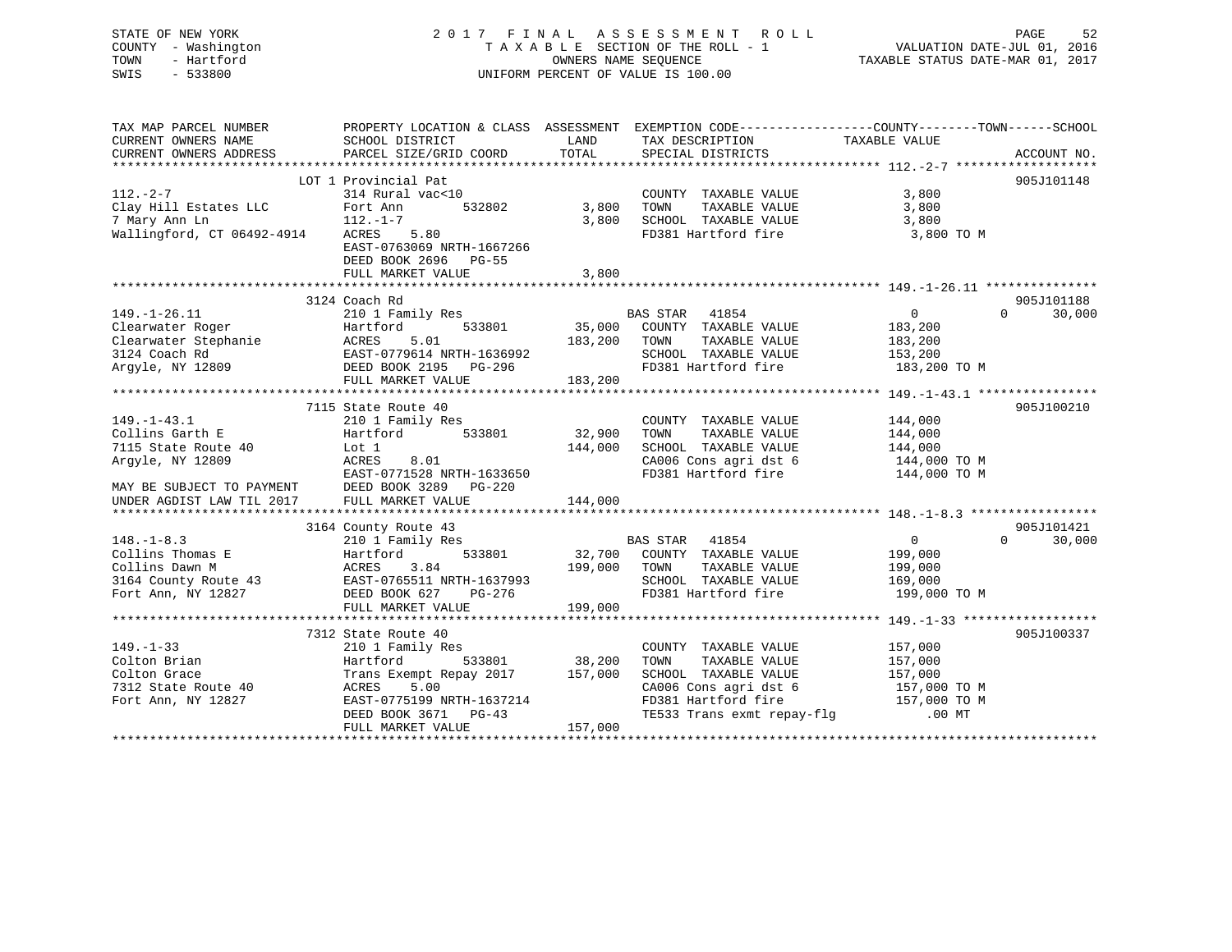| STATE OF NEW YORK<br>COUNTY - Washington<br>TOWN<br>- Hartford<br>$-533800$<br>SWIS                                                                                                                                                               |                                                                                                                   |                   | 2017 FINAL ASSESSMENT ROLL<br>T A X A B L E SECTION OF THE ROLL - 1<br>OWNERS NAME SEQUENCE<br>UNIFORM PERCENT OF VALUE IS 100.00 | VALUATION DATE-JUL 01, 2016<br>TAXABLE STATUS DATE-MAR 01, 2017 | PAGE<br>52    |
|---------------------------------------------------------------------------------------------------------------------------------------------------------------------------------------------------------------------------------------------------|-------------------------------------------------------------------------------------------------------------------|-------------------|-----------------------------------------------------------------------------------------------------------------------------------|-----------------------------------------------------------------|---------------|
| TAX MAP PARCEL NUMBER<br>CURRENT OWNERS NAME                                                                                                                                                                                                      | PROPERTY LOCATION & CLASS ASSESSMENT EXEMPTION CODE---------------COUNTY-------TOWN-----SCHOOL<br>SCHOOL DISTRICT | LAND              | TAX DESCRIPTION TAXABLE VALUE                                                                                                     |                                                                 |               |
| CURRENT OWNERS ADDRESS                                                                                                                                                                                                                            | PARCEL SIZE/GRID COORD                                                                                            | TOTAL             | SPECIAL DISTRICTS                                                                                                                 |                                                                 | ACCOUNT NO.   |
|                                                                                                                                                                                                                                                   | LOT 1 Provincial Pat                                                                                              |                   |                                                                                                                                   |                                                                 | 905J101148    |
| $112. - 2 - 7$                                                                                                                                                                                                                                    | 314 Rural vac<10                                                                                                  |                   | COUNTY TAXABLE VALUE                                                                                                              | 3,800                                                           |               |
|                                                                                                                                                                                                                                                   | Fort Ann 532802                                                                                                   |                   | TAXABLE VALUE<br>3,800 TOWN                                                                                                       | 3,800                                                           |               |
|                                                                                                                                                                                                                                                   |                                                                                                                   |                   | 3,800 SCHOOL TAXABLE VALUE                                                                                                        | 3,800                                                           |               |
| Clay Hill Estates LLC Fort Ann 532802<br>7 Mary Ann Ln 112.-1-7<br>Wallingford, CT 06492-4914 ACRES                                                                                                                                               |                                                                                                                   |                   | FD381 Hartford fire                                                                                                               | 3,800 TO M                                                      |               |
|                                                                                                                                                                                                                                                   | EAST-0763069 NRTH-1667266                                                                                         |                   |                                                                                                                                   |                                                                 |               |
|                                                                                                                                                                                                                                                   | DEED BOOK 2696 PG-55                                                                                              |                   |                                                                                                                                   |                                                                 |               |
|                                                                                                                                                                                                                                                   | FULL MARKET VALUE                                                                                                 | 3,800             |                                                                                                                                   |                                                                 |               |
|                                                                                                                                                                                                                                                   | 3124 Coach Rd                                                                                                     |                   |                                                                                                                                   |                                                                 | 905J101188    |
| $149. - 1 - 26.11$                                                                                                                                                                                                                                | 210 1 Family Res                                                                                                  |                   | BAS STAR 41854                                                                                                                    | $\Omega$<br>$\overline{0}$                                      | 30,000        |
|                                                                                                                                                                                                                                                   |                                                                                                                   |                   | 111y Res 533801 35,000 COUNTY TAXABLE VALUE                                                                                       | 183,200                                                         |               |
|                                                                                                                                                                                                                                                   |                                                                                                                   |                   | 183,200 TOWN TAXABLE VALUE                                                                                                        | 183,200                                                         |               |
|                                                                                                                                                                                                                                                   |                                                                                                                   |                   | SCHOOL TAXABLE VALUE                                                                                                              | 153, 200                                                        |               |
| Clearwater Roger<br>Clearwater Stephanie Martford 533801 35,000<br>3124 Coach Rd EARES 5.01 183,200<br>Argyle, NY 12809 BEED BOOK 2195 PG-296<br>THIT MARGET CORP PG-296                                                                          |                                                                                                                   |                   | FD381 Hartford fire                                                                                                               | 183,200 TO M                                                    |               |
|                                                                                                                                                                                                                                                   | FULL MARKET VALUE 183,200                                                                                         |                   |                                                                                                                                   |                                                                 |               |
|                                                                                                                                                                                                                                                   |                                                                                                                   |                   |                                                                                                                                   |                                                                 |               |
|                                                                                                                                                                                                                                                   | 7115 State Route 40                                                                                               |                   |                                                                                                                                   |                                                                 | 905J100210    |
| 149. - 1 - 43. 1<br>Collins Garth E                                                                                                                                                                                                               | 210 1 Family Res<br>Hartford 533801                                                                               |                   | COUNTY TAXABLE VALUE                                                                                                              | 144,000<br>144,000                                              |               |
| 7115 State Route 40                                                                                                                                                                                                                               | Lot 1                                                                                                             | 32,900<br>144,000 | TAXABLE VALUE<br>TOWN<br>SCHOOL TAXABLE VALUE                                                                                     | 144,000                                                         |               |
| Argyle, NY 12809                                                                                                                                                                                                                                  |                                                                                                                   |                   | CA006 Cons agri dst 6                                                                                                             | 144,000 TO M                                                    |               |
|                                                                                                                                                                                                                                                   | ACRES 0.01<br>EAST-0771528 NRTH-1633650<br>CAST 2000 DG-220                                                       |                   | FD381 Hartford fire                                                                                                               | 144,000 TO M                                                    |               |
|                                                                                                                                                                                                                                                   |                                                                                                                   |                   |                                                                                                                                   |                                                                 |               |
| MAY BE SUBJECT TO PAYMENT DEED BOOK 3289 PG-220<br>UNDER AGDIST LAW TIL 2017 FULL MARKET VALUE                                                                                                                                                    |                                                                                                                   | 144,000           |                                                                                                                                   |                                                                 |               |
|                                                                                                                                                                                                                                                   |                                                                                                                   |                   |                                                                                                                                   |                                                                 |               |
|                                                                                                                                                                                                                                                   | 3164 County Route 43                                                                                              |                   |                                                                                                                                   |                                                                 | 905J101421    |
| $148. - 1 - 8.3$                                                                                                                                                                                                                                  | 210 1 Family Res                                                                                                  |                   | BAS STAR 41854                                                                                                                    | $\overline{0}$                                                  | $0 \t 30,000$ |
|                                                                                                                                                                                                                                                   |                                                                                                                   |                   |                                                                                                                                   | 199,000                                                         |               |
|                                                                                                                                                                                                                                                   |                                                                                                                   |                   |                                                                                                                                   | 199,000<br>169,000                                              |               |
|                                                                                                                                                                                                                                                   |                                                                                                                   |                   | FD381 Hartford fire 199,000 TO M                                                                                                  |                                                                 |               |
| 148.-1-8.3<br>Collins Thomas E<br>Collins Dawn M<br>MACRES 3.84<br>3164 County Route 43<br>Fort Ann, NY 12827<br>210 1 Family Res<br>32,700 COUNTY TAXABLE VALUE<br>32,700 COUNTY TAXABLE VALUE<br>32,700 COUNTY TAXABLE VALUE<br>32,700 COUNTY T |                                                                                                                   |                   |                                                                                                                                   |                                                                 |               |
|                                                                                                                                                                                                                                                   |                                                                                                                   |                   |                                                                                                                                   |                                                                 |               |
|                                                                                                                                                                                                                                                   | 7312 State Route 40                                                                                               |                   |                                                                                                                                   |                                                                 | 905J100337    |
| $149. - 1 - 33$                                                                                                                                                                                                                                   | 210 1 Family Res                                                                                                  |                   | COUNTY TAXABLE VALUE                                                                                                              | 157,000                                                         |               |
|                                                                                                                                                                                                                                                   |                                                                                                                   |                   | TOWN TAXABLE VALUE                                                                                                                | 157,000<br>157,000                                              |               |
| Colton Brian<br>Colton Grace<br>Colton Grace<br>Trans Exempt Repay 2017 157,000<br>7312 State Route 40<br>Fort Ann, NY 12827 EAST-0775199 NRTH-1637214                                                                                            |                                                                                                                   |                   | SCHOOL TAXABLE VALUE                                                                                                              |                                                                 |               |
|                                                                                                                                                                                                                                                   |                                                                                                                   |                   |                                                                                                                                   |                                                                 |               |
|                                                                                                                                                                                                                                                   |                                                                                                                   |                   |                                                                                                                                   |                                                                 |               |
|                                                                                                                                                                                                                                                   | DEED BOOK 3671 PG-43<br>FULL MARKET VALUE                                                                         | 157,000           | FD381 Hartford fire<br>FD381 Hartford fire<br>TE533 Trans exmt repay-flg<br>TE533 Trans exmt repay-flg<br>.00 MT                  |                                                                 |               |
|                                                                                                                                                                                                                                                   |                                                                                                                   |                   |                                                                                                                                   |                                                                 |               |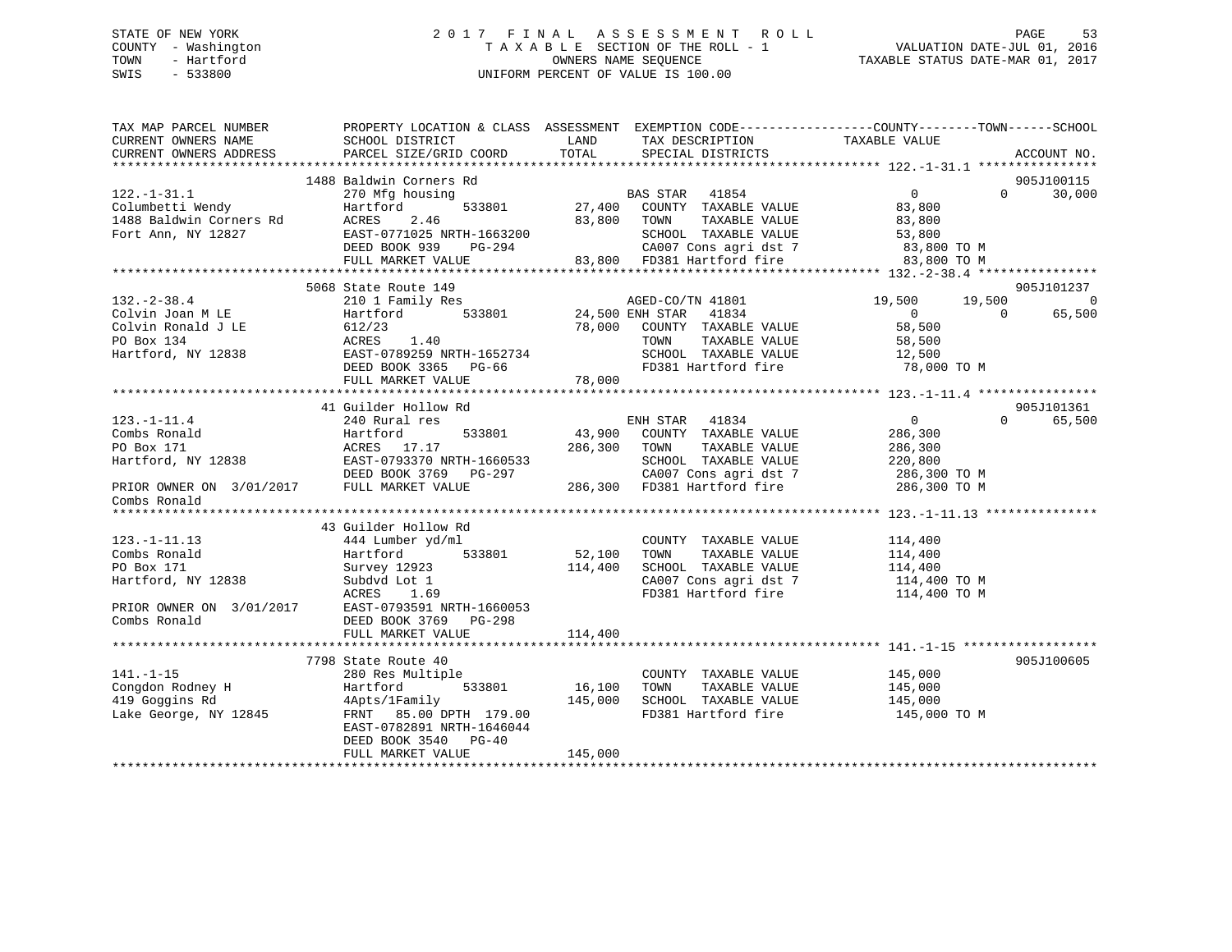### STATE OF NEW YORK 2 0 1 7 F I N A L A S S E S S M E N T R O L L PAGE 53 COUNTY - Washington T A X A B L E SECTION OF THE ROLL - 1 VALUATION DATE-JUL 01, 2016 TOWN - Hartford **TAXABLE STATUS DATE-MAR 01, 2017** SWIS - 533800 UNIFORM PERCENT OF VALUE IS 100.00

| TAX MAP PARCEL NUMBER<br>CURRENT OWNERS NAME<br>CURRENT OWNERS ADDRESS                                                                                                                                                                                     | PROPERTY LOCATION & CLASS ASSESSMENT EXEMPTION CODE----------------COUNTY-------TOWN-----SCHOOL<br>SCHOOL DISTRICT<br>PARCEL SIZE/GRID COORD                                                                                                                                                                                                                                                                                                   | LAND<br>TOTAL                            | TAX DESCRIPTION<br>SPECIAL DISTRICTS                                                                | TAXABLE VALUE            |                | ACCOUNT NO.        |
|------------------------------------------------------------------------------------------------------------------------------------------------------------------------------------------------------------------------------------------------------------|------------------------------------------------------------------------------------------------------------------------------------------------------------------------------------------------------------------------------------------------------------------------------------------------------------------------------------------------------------------------------------------------------------------------------------------------|------------------------------------------|-----------------------------------------------------------------------------------------------------|--------------------------|----------------|--------------------|
|                                                                                                                                                                                                                                                            |                                                                                                                                                                                                                                                                                                                                                                                                                                                |                                          |                                                                                                     |                          |                |                    |
|                                                                                                                                                                                                                                                            | 1488 Baldwin Corners Rd                                                                                                                                                                                                                                                                                                                                                                                                                        |                                          |                                                                                                     |                          |                | 905J100115         |
| $122. - 1 - 31.1$                                                                                                                                                                                                                                          | 270 Mfg housing                                                                                                                                                                                                                                                                                                                                                                                                                                |                                          | EXECUTE BAS STAR 41854<br>533801 27,400 COUNTY TAXABLE VALUE                                        | $\overline{0}$           | $\Omega$       | 30,000             |
| 122.-1-31.1<br>Columbetti Wendy<br>1488 Baldwin Corners Rd<br>Fort Ann. NY 12827                                                                                                                                                                           | Hartford                                                                                                                                                                                                                                                                                                                                                                                                                                       |                                          |                                                                                                     | 83,800                   |                |                    |
|                                                                                                                                                                                                                                                            | ACRES<br>2.46                                                                                                                                                                                                                                                                                                                                                                                                                                  |                                          | 83,800 TOWN<br>TAXABLE VALUE                                                                        | 83,800                   |                |                    |
|                                                                                                                                                                                                                                                            |                                                                                                                                                                                                                                                                                                                                                                                                                                                |                                          | TOWN TAXABLE VALUE<br>SCHOOL TAXABLE VALUE 53,800<br>CALOR Constant dst 7 53,800 TO M               |                          |                |                    |
|                                                                                                                                                                                                                                                            |                                                                                                                                                                                                                                                                                                                                                                                                                                                |                                          |                                                                                                     |                          |                |                    |
|                                                                                                                                                                                                                                                            | EAST-0771025 NRTH-1663200<br>DEED BOOK 939 PG-294 83,800 CA007 Cons agri dst 7 83,800 TO M<br>FULL MARKET VALUE 83,800 FD381 Hartford fire 83,800 TO M<br>FULL MARKET VALUE 83,800 FD381 Hartford fire 83,800 TO M                                                                                                                                                                                                                             |                                          |                                                                                                     |                          |                |                    |
|                                                                                                                                                                                                                                                            |                                                                                                                                                                                                                                                                                                                                                                                                                                                |                                          |                                                                                                     |                          |                |                    |
|                                                                                                                                                                                                                                                            | 5068 State Route 149                                                                                                                                                                                                                                                                                                                                                                                                                           |                                          |                                                                                                     |                          |                | 905J101237         |
| $132. - 2 - 38.4$                                                                                                                                                                                                                                          | 210 1 Family Res                                                                                                                                                                                                                                                                                                                                                                                                                               | 3<br>533801 MGED-CO/T<br>24,500 ENH STAR | AGED-CO/TN 41801                                                                                    | 19,500                   | 19,500         | $\overline{0}$     |
| Colvin Joan M LE                                                                                                                                                                                                                                           | Hartford                                                                                                                                                                                                                                                                                                                                                                                                                                       |                                          | 41834                                                                                               | $\overline{0}$<br>58,500 | $\overline{0}$ | 65,500             |
| Colvin Ronald J LE<br>PO Box 134<br>Hartford, NY 12838                                                                                                                                                                                                     | 612/23<br>ACRES 1.40                                                                                                                                                                                                                                                                                                                                                                                                                           |                                          | 78,000 COUNTY TAXABLE VALUE<br>TOWN<br>TAXABLE VALUE                                                | 58,500                   |                |                    |
|                                                                                                                                                                                                                                                            | EAST-0789259 NRTH-1652734                                                                                                                                                                                                                                                                                                                                                                                                                      |                                          |                                                                                                     |                          |                |                    |
|                                                                                                                                                                                                                                                            | DEED BOOK 3365 PG-66                                                                                                                                                                                                                                                                                                                                                                                                                           |                                          |                                                                                                     |                          |                |                    |
|                                                                                                                                                                                                                                                            |                                                                                                                                                                                                                                                                                                                                                                                                                                                | 78,000                                   |                                                                                                     |                          |                |                    |
|                                                                                                                                                                                                                                                            | FULL MARKET VALUE                                                                                                                                                                                                                                                                                                                                                                                                                              |                                          |                                                                                                     |                          |                |                    |
|                                                                                                                                                                                                                                                            | 41 Guilder Hollow Rd                                                                                                                                                                                                                                                                                                                                                                                                                           |                                          |                                                                                                     |                          |                | 905J101361         |
| $123. - 1 - 11.4$                                                                                                                                                                                                                                          | 240 Rural res                                                                                                                                                                                                                                                                                                                                                                                                                                  |                                          | ENH STAR 41834                                                                                      | $\overline{0}$           |                | 65,500<br>$\Omega$ |
|                                                                                                                                                                                                                                                            |                                                                                                                                                                                                                                                                                                                                                                                                                                                |                                          | 533801 43,900 COUNTY TAXABLE VALUE                                                                  | 286,300                  |                |                    |
|                                                                                                                                                                                                                                                            |                                                                                                                                                                                                                                                                                                                                                                                                                                                |                                          | TAXABLE VALUE                                                                                       | 286,300                  |                |                    |
|                                                                                                                                                                                                                                                            |                                                                                                                                                                                                                                                                                                                                                                                                                                                |                                          | SCHOOL TAXABLE VALUE 220,800                                                                        |                          |                |                    |
|                                                                                                                                                                                                                                                            |                                                                                                                                                                                                                                                                                                                                                                                                                                                |                                          |                                                                                                     | 286,300 TO M             |                |                    |
|                                                                                                                                                                                                                                                            | $\begin{tabular}{lllllllllllllllllll} \multicolumn{4}{c l} \multicolumn{4}{c l} \multicolumn{4}{c l} \multicolumn{4}{c l} \multicolumn{4}{c l} \multicolumn{4}{c l} \multicolumn{4}{c l} \multicolumn{4}{c l} \multicolumn{4}{c l} \multicolumn{4}{c l} \multicolumn{4}{c l} \multicolumn{4}{c l} \multicolumn{4}{c l} \multicolumn{4}{c l} \multicolumn{4}{c l} \multicolumn{4}{c l} \multicolumn{4}{c l} \multicolumn{4}{c l} \multicolumn{$ |                                          | 3-297 CA007 Cons agri dst 7 286,300 TO M<br>286,300 FD381 Hartford fire 286,300 TO M                |                          |                |                    |
| Combs Ronald                                                                                                                                                                                                                                               |                                                                                                                                                                                                                                                                                                                                                                                                                                                |                                          |                                                                                                     |                          |                |                    |
|                                                                                                                                                                                                                                                            |                                                                                                                                                                                                                                                                                                                                                                                                                                                |                                          |                                                                                                     |                          |                |                    |
|                                                                                                                                                                                                                                                            | 43 Guilder Hollow Rd                                                                                                                                                                                                                                                                                                                                                                                                                           |                                          |                                                                                                     |                          |                |                    |
| $123. - 1 - 11.13$                                                                                                                                                                                                                                         | 444 Lumber yd/ml                                                                                                                                                                                                                                                                                                                                                                                                                               |                                          | COUNTY TAXABLE VALUE 114,400                                                                        |                          |                |                    |
| Combs Ronald                                                                                                                                                                                                                                               | Hartford 533801                                                                                                                                                                                                                                                                                                                                                                                                                                | 52,100                                   | TOWN<br>TAXABLE VALUE                                                                               |                          |                |                    |
| PO Box 171                                                                                                                                                                                                                                                 | Survey 12923                                                                                                                                                                                                                                                                                                                                                                                                                                   | 114,400                                  | SCHOOL TAXABLE VALUE                                                                                | 114,400<br>114,400       |                |                    |
| Hartford, NY 12838                                                                                                                                                                                                                                         | Subdyd Lot 1                                                                                                                                                                                                                                                                                                                                                                                                                                   |                                          | CA007 Cons agri dst 7 114,400 TO M                                                                  |                          |                |                    |
|                                                                                                                                                                                                                                                            | ACRES<br>1.69                                                                                                                                                                                                                                                                                                                                                                                                                                  |                                          | FD381 Hartford fire                                                                                 | 114,400 TO M             |                |                    |
|                                                                                                                                                                                                                                                            | PRIOR OWNER ON 3/01/2017 EAST-0793591 NRTH-1660053                                                                                                                                                                                                                                                                                                                                                                                             |                                          |                                                                                                     |                          |                |                    |
| Combs Ronald                                                                                                                                                                                                                                               | DEED BOOK 3769 PG-298                                                                                                                                                                                                                                                                                                                                                                                                                          |                                          |                                                                                                     |                          |                |                    |
|                                                                                                                                                                                                                                                            | FULL MARKET VALUE                                                                                                                                                                                                                                                                                                                                                                                                                              | 114,400                                  |                                                                                                     |                          |                |                    |
|                                                                                                                                                                                                                                                            |                                                                                                                                                                                                                                                                                                                                                                                                                                                |                                          |                                                                                                     |                          |                |                    |
|                                                                                                                                                                                                                                                            | 7798 State Route 40                                                                                                                                                                                                                                                                                                                                                                                                                            |                                          |                                                                                                     |                          |                | 905J100605         |
| $141. - 1 - 15$                                                                                                                                                                                                                                            | 280 Res Multiple                                                                                                                                                                                                                                                                                                                                                                                                                               |                                          | COUNTY TAXABLE VALUE                                                                                | 145,000                  |                |                    |
|                                                                                                                                                                                                                                                            |                                                                                                                                                                                                                                                                                                                                                                                                                                                | 533801 16,100                            | TOWN                                                                                                | TAXABLE VALUE 145,000    |                |                    |
| Congdon Rodney H<br>19 Goggins Rd<br>19 Goggins Rd<br>19 Goggins Rd<br>19 Goggins Rd<br>19 Goggins Rd<br>19 Goggins Rd<br>19 Goggins Rd<br>19 Goggins Rd<br>19 Goggins Rd<br>19 Goggins Rd<br>19 Goggins Rd<br>19 Goggins Rd<br>19 Goggins Rd<br>19 Goggin |                                                                                                                                                                                                                                                                                                                                                                                                                                                | 145,000                                  | SCHOOL TAXABLE VALUE                  145,000<br>FD381 Hartford fire                   145,000 TO M |                          |                |                    |
|                                                                                                                                                                                                                                                            | FRNT 85.00 DPTH 179.00                                                                                                                                                                                                                                                                                                                                                                                                                         |                                          |                                                                                                     |                          |                |                    |
|                                                                                                                                                                                                                                                            | EAST-0782891 NRTH-1646044                                                                                                                                                                                                                                                                                                                                                                                                                      |                                          |                                                                                                     |                          |                |                    |
|                                                                                                                                                                                                                                                            | DEED BOOK 3540 PG-40                                                                                                                                                                                                                                                                                                                                                                                                                           |                                          |                                                                                                     |                          |                |                    |
|                                                                                                                                                                                                                                                            | FULL MARKET VALUE                                                                                                                                                                                                                                                                                                                                                                                                                              | 145,000                                  |                                                                                                     |                          |                |                    |
|                                                                                                                                                                                                                                                            |                                                                                                                                                                                                                                                                                                                                                                                                                                                |                                          |                                                                                                     |                          |                |                    |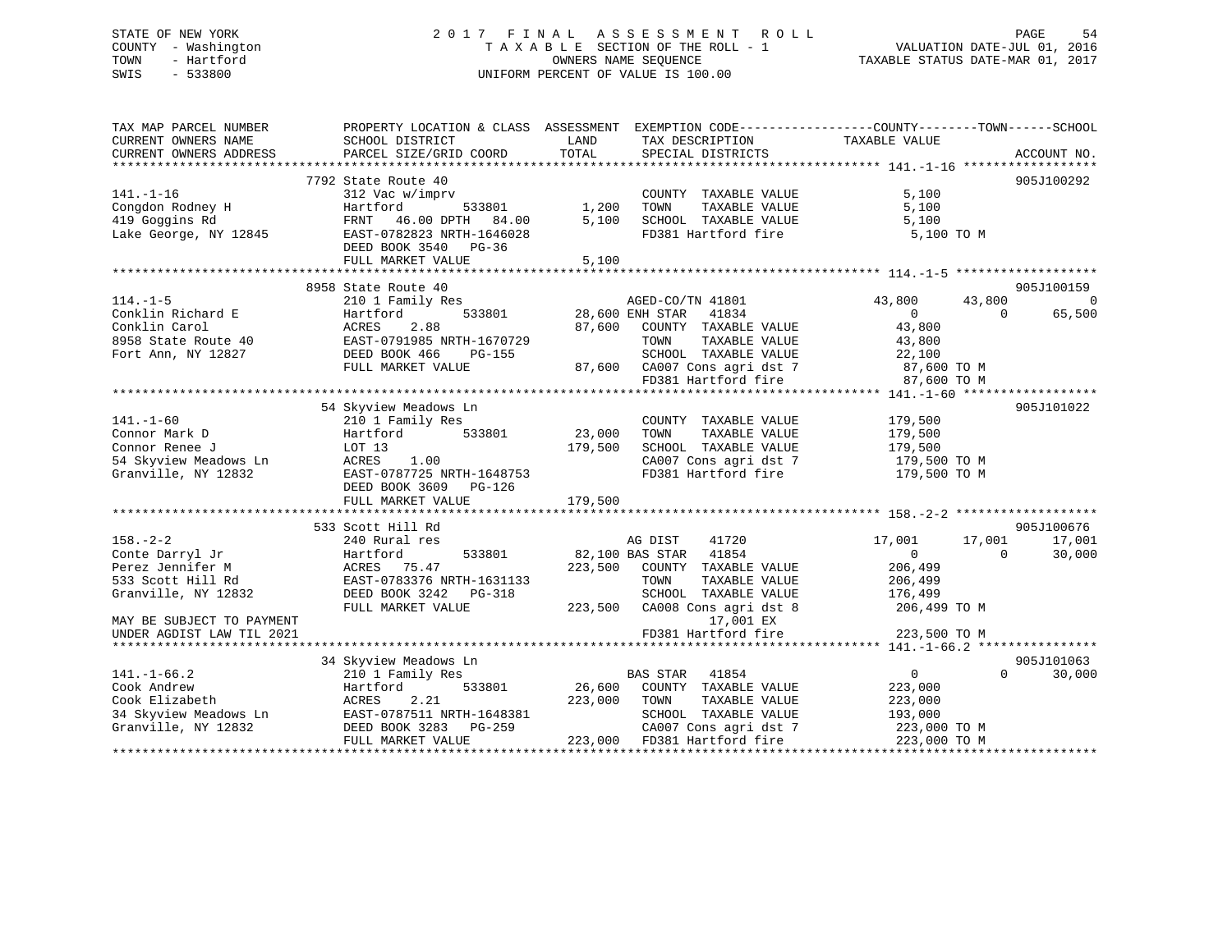### STATE OF NEW YORK 2 0 1 7 F I N A L A S S E S S M E N T R O L L PAGE 54 COUNTY - Washington T A X A B L E SECTION OF THE ROLL - 1 VALUATION DATE-JUL 01, 2016 TOWN - Hartford **TAXABLE STATUS DATE-MAR 01, 2017** SWIS - 533800 UNIFORM PERCENT OF VALUE IS 100.00

| TAX MAP PARCEL NUMBER<br>CURRENT OWNERS NAME | SCHOOL DISTRICT           | PROPERTY LOCATION & CLASS ASSESSMENT EXEMPTION CODE----------------COUNTY-------TOWN------SCHOOL<br>LAND<br>TAX DESCRIPTION | TAXABLE VALUE                        |
|----------------------------------------------|---------------------------|-----------------------------------------------------------------------------------------------------------------------------|--------------------------------------|
| CURRENT OWNERS ADDRESS                       | PARCEL SIZE/GRID COORD    | TOTAL<br>SPECIAL DISTRICTS                                                                                                  | ACCOUNT NO.                          |
|                                              | 7792 State Route 40       |                                                                                                                             | 905J100292                           |
| $141. - 1 - 16$                              | 312 Vac w/imprv           | COUNTY TAXABLE VALUE                                                                                                        | 5,100                                |
| Congdon Rodney H                             | Hartford<br>533801        | 1,200<br>TOWN<br>TAXABLE VALUE                                                                                              | 5,100                                |
| 419 Goggins Rd                               | FRNT<br>46.00 DPTH 84.00  | 5,100<br>SCHOOL TAXABLE VALUE                                                                                               | 5,100                                |
| Lake George, NY 12845                        | EAST-0782823 NRTH-1646028 | FD381 Hartford fire                                                                                                         | 5,100 TO M                           |
|                                              | DEED BOOK 3540 PG-36      |                                                                                                                             |                                      |
|                                              | FULL MARKET VALUE         | 5,100                                                                                                                       |                                      |
|                                              |                           |                                                                                                                             |                                      |
|                                              | 8958 State Route 40       |                                                                                                                             | 905J100159                           |
| $114. - 1 - 5$                               | 210 1 Family Res          | AGED-CO/TN 41801                                                                                                            | 43,800<br>43,800<br>$\overline{0}$   |
| Conklin Richard E                            | 533801<br>Hartford        | 28,600 ENH STAR<br>41834                                                                                                    | $\overline{0}$<br>$\Omega$<br>65,500 |
| Conklin Carol                                | 2.88<br>ACRES             | 87,600<br>COUNTY TAXABLE VALUE                                                                                              | 43,800                               |
| 8958 State Route 40                          | EAST-0791985 NRTH-1670729 | TOWN<br>TAXABLE VALUE                                                                                                       | 43,800                               |
|                                              | DEED BOOK 466             | SCHOOL TAXABLE VALUE                                                                                                        |                                      |
| Fort Ann, NY 12827                           | PG-155                    |                                                                                                                             | 22,100                               |
|                                              | FULL MARKET VALUE         | 87,600 CA007 Cons agri dst 7                                                                                                | 87,600 TO M                          |
|                                              |                           | FD381 Hartford fire                                                                                                         | 87,600 TO M                          |
|                                              |                           |                                                                                                                             |                                      |
|                                              | 54 Skyview Meadows Ln     |                                                                                                                             | 905J101022                           |
| $141. - 1 - 60$                              | 210 1 Family Res          | COUNTY TAXABLE VALUE                                                                                                        | 179,500                              |
| Connor Mark D                                | Hartford<br>533801        | 23,000<br>TOWN<br>TAXABLE VALUE                                                                                             | 179,500                              |
| Connor Renee J                               | LOT 13                    | 179,500<br>SCHOOL TAXABLE VALUE                                                                                             | 179,500                              |
| 54 Skyview Meadows Ln                        | ACRES<br>1.00             | CA007 Cons agri dst 7                                                                                                       | 179,500 TO M                         |
| Granville, NY 12832                          | EAST-0787725 NRTH-1648753 | FD381 Hartford fire                                                                                                         | 179,500 TO M                         |
|                                              | DEED BOOK 3609 PG-126     |                                                                                                                             |                                      |
|                                              | FULL MARKET VALUE         | 179,500                                                                                                                     |                                      |
|                                              |                           |                                                                                                                             |                                      |
|                                              | 533 Scott Hill Rd         |                                                                                                                             | 905J100676                           |
| $158. - 2 - 2$                               | 240 Rural res             | AG DIST<br>41720                                                                                                            | 17,001<br>17,001<br>17,001           |
| Conte Darryl Jr                              | 533801<br>Hartford        | 82,100 BAS STAR<br>41854                                                                                                    | 30,000<br>$\overline{0}$<br>$\Omega$ |
| Perez Jennifer M                             | ACRES 75.47               | 223,500<br>COUNTY TAXABLE VALUE                                                                                             | 206,499                              |
| 533 Scott Hill Rd                            | EAST-0783376 NRTH-1631133 | TOWN<br>TAXABLE VALUE                                                                                                       | 206,499                              |
| Granville, NY 12832                          | DEED BOOK 3242 PG-318     | SCHOOL TAXABLE VALUE                                                                                                        | 176,499                              |
|                                              | FULL MARKET VALUE         | 223,500<br>CA008 Cons agri dst 8                                                                                            | 206,499 TO M                         |
| MAY BE SUBJECT TO PAYMENT                    |                           | 17,001 EX                                                                                                                   |                                      |
| UNDER AGDIST LAW TIL 2021                    |                           | FD381 Hartford fire                                                                                                         | 223,500 TO M                         |
|                                              |                           |                                                                                                                             |                                      |
|                                              | 34 Skyview Meadows Ln     |                                                                                                                             | 905J101063                           |
| $141. - 1 - 66.2$                            | 210 1 Family Res          | <b>BAS STAR</b><br>41854                                                                                                    | $\mathbf{0}$<br>$\Omega$<br>30,000   |
| Cook Andrew                                  | 533801<br>Hartford        | 26,600<br>COUNTY TAXABLE VALUE                                                                                              | 223,000                              |
| Cook Elizabeth                               | 2.21<br>ACRES             | 223,000<br>TOWN<br>TAXABLE VALUE                                                                                            | 223,000                              |
| 34 Skyview Meadows Ln                        | EAST-0787511 NRTH-1648381 | SCHOOL TAXABLE VALUE                                                                                                        | 193,000                              |
| Granville, NY 12832                          | DEED BOOK 3283 PG-259     | CA007 Cons agri dst 7                                                                                                       | 223,000 TO M                         |
|                                              | FULL MARKET VALUE         | 223,000 FD381 Hartford fire                                                                                                 | 223,000 TO M                         |
|                                              |                           |                                                                                                                             |                                      |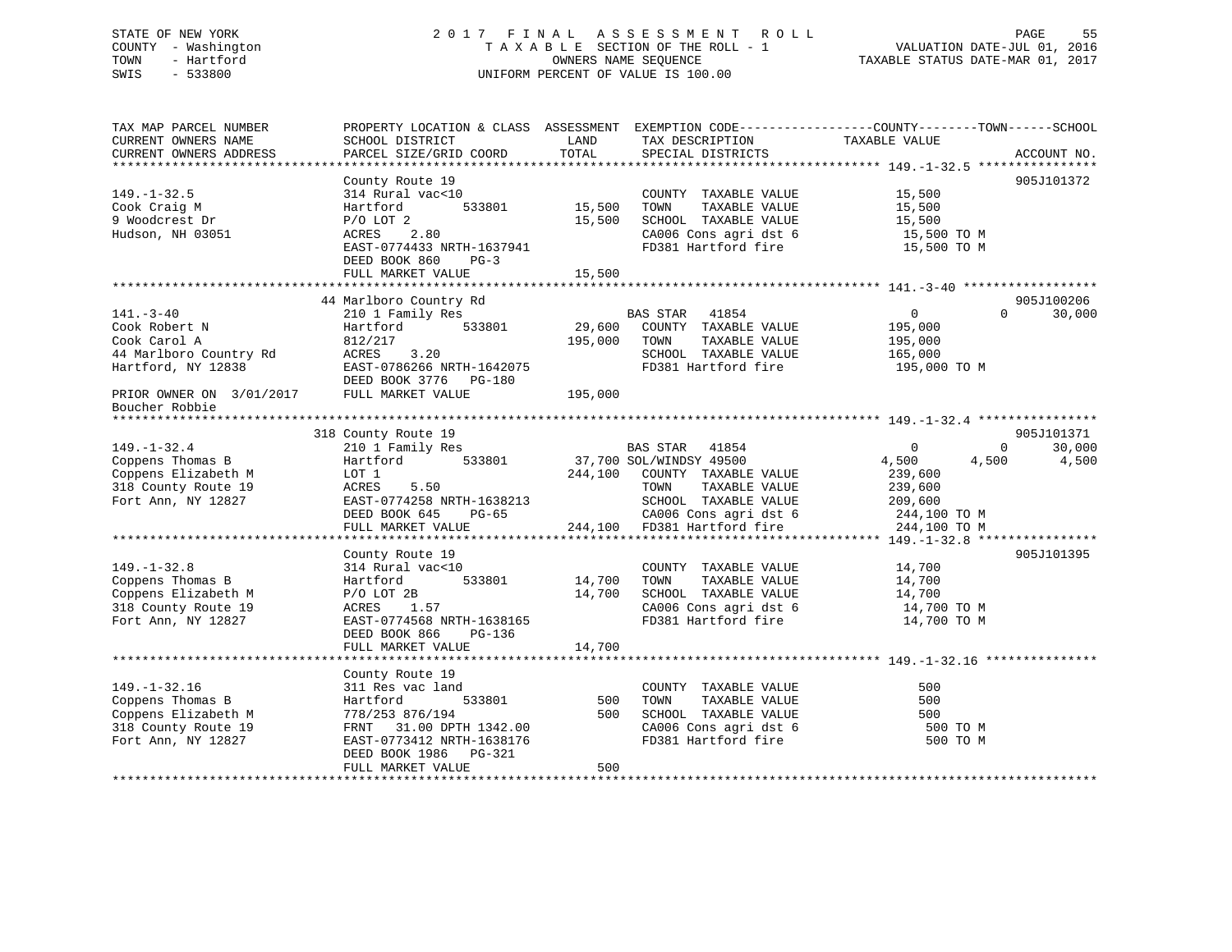### STATE OF NEW YORK 2 0 1 7 F I N A L A S S E S S M E N T R O L L PAGE 55 COUNTY - Washington T A X A B L E SECTION OF THE ROLL - 1 VALUATION DATE-JUL 01, 2016 TOWN - Hartford OWNERS NAME SEQUENCE TAXABLE STATUS DATE-MAR 01, 2017 SWIS - 533800 UNIFORM PERCENT OF VALUE IS 100.00

| TAX MAP PARCEL NUMBER                         | PROPERTY LOCATION & CLASS ASSESSMENT EXEMPTION CODE---------------COUNTY-------TOWN-----SCHOOL |               |                                       |                            |             |
|-----------------------------------------------|------------------------------------------------------------------------------------------------|---------------|---------------------------------------|----------------------------|-------------|
| CURRENT OWNERS NAME<br>CURRENT OWNERS ADDRESS | SCHOOL DISTRICT<br>PARCEL SIZE/GRID COORD                                                      | LAND<br>TOTAL | TAX DESCRIPTION<br>SPECIAL DISTRICTS  | TAXABLE VALUE              | ACCOUNT NO. |
| *************************                     |                                                                                                |               |                                       |                            |             |
|                                               | County Route 19                                                                                |               |                                       |                            | 905J101372  |
| $149. - 1 - 32.5$                             | 314 Rural vac<10                                                                               |               | COUNTY TAXABLE VALUE                  | 15,500                     |             |
| Cook Craig M                                  | 533801<br>Hartford                                                                             | 15,500        | TOWN<br>TAXABLE VALUE                 | 15,500                     |             |
| 9 Woodcrest Dr                                | $P/O$ LOT $2$                                                                                  | 15,500        | SCHOOL TAXABLE VALUE                  | 15,500                     |             |
| Hudson, NH 03051                              | 2.80<br>ACRES                                                                                  |               | CA006 Cons agri dst 6                 | 15,500 TO M                |             |
|                                               | EAST-0774433 NRTH-1637941                                                                      |               | FD381 Hartford fire                   | 15,500 TO M                |             |
|                                               | DEED BOOK 860<br>$PG-3$                                                                        |               |                                       |                            |             |
|                                               | FULL MARKET VALUE                                                                              | 15,500        |                                       |                            |             |
|                                               |                                                                                                |               |                                       |                            |             |
|                                               | 44 Marlboro Country Rd                                                                         |               |                                       |                            | 905J100206  |
| $141. - 3 - 40$                               | 210 1 Family Res                                                                               |               | BAS STAR<br>41854                     | $\circ$<br>$\Omega$        | 30,000      |
| Cook Robert N                                 | 533801<br>Hartford                                                                             | 29,600        | COUNTY TAXABLE VALUE                  | 195,000                    |             |
| Cook Carol A                                  | 812/217                                                                                        | 195,000       | TOWN<br>TAXABLE VALUE                 | 195,000                    |             |
| 44 Marlboro Country Rd                        | ACRES<br>3.20                                                                                  |               | SCHOOL TAXABLE VALUE                  | 165,000                    |             |
| Hartford, NY 12838                            | EAST-0786266 NRTH-1642075                                                                      |               | FD381 Hartford fire                   | 195,000 TO M               |             |
|                                               | DEED BOOK 3776 PG-180                                                                          |               |                                       |                            |             |
| PRIOR OWNER ON 3/01/2017                      | FULL MARKET VALUE                                                                              | 195,000       |                                       |                            |             |
| Boucher Robbie                                |                                                                                                |               |                                       |                            |             |
|                                               |                                                                                                |               |                                       |                            |             |
|                                               | 318 County Route 19                                                                            |               |                                       |                            | 905J101371  |
| $149. - 1 - 32.4$                             | 210 1 Family Res                                                                               |               | BAS STAR 41854                        | $\Omega$<br>$\circ$        | 30,000      |
| Coppens Thomas B                              | 533801<br>Hartford                                                                             |               | 37,700 SOL/WINDSY 49500               | 4,500<br>4,500             | 4,500       |
| Coppens Elizabeth M                           | LOT 1                                                                                          | 244,100       | COUNTY TAXABLE VALUE                  | 239,600                    |             |
| 318 County Route 19                           | ACRES<br>5.50                                                                                  |               | TOWN<br>TAXABLE VALUE                 | 239,600                    |             |
| Fort Ann, NY 12827                            | EAST-0774258 NRTH-1638213                                                                      |               | SCHOOL TAXABLE VALUE                  | 209,600                    |             |
|                                               | DEED BOOK 645<br>$PG-65$                                                                       |               | CA006 Cons agri dst 6                 | 244,100 TO M               |             |
|                                               | FULL MARKET VALUE                                                                              | 244,100       | FD381 Hartford fire                   | 244,100 TO M               |             |
|                                               |                                                                                                |               |                                       |                            |             |
|                                               | County Route 19                                                                                |               |                                       |                            | 905J101395  |
| $149. - 1 - 32.8$<br>Coppens Thomas B         | 314 Rural vac<10<br>533801                                                                     | 14,700        | COUNTY TAXABLE VALUE<br>TOWN          | 14,700                     |             |
| Coppens Elizabeth M                           | Hartford                                                                                       |               | TAXABLE VALUE<br>SCHOOL TAXABLE VALUE | 14,700                     |             |
|                                               | $P/O$ LOT 2B                                                                                   | 14,700        | CA006 Cons agri dst 6                 | 14,700                     |             |
| 318 County Route 19                           | 1.57<br>ACRES<br>EAST-0774568 NRTH-1638165                                                     |               | FD381 Hartford fire                   | 14,700 TO M<br>14,700 TO M |             |
| Fort Ann, NY 12827                            | DEED BOOK 866<br>PG-136                                                                        |               |                                       |                            |             |
|                                               | FULL MARKET VALUE                                                                              | 14,700        |                                       |                            |             |
|                                               |                                                                                                |               |                                       |                            |             |
|                                               | County Route 19                                                                                |               |                                       |                            |             |
| $149. - 1 - 32.16$                            | 311 Res vac land                                                                               |               | COUNTY TAXABLE VALUE                  | 500                        |             |
| Coppens Thomas B                              | 533801<br>Hartford                                                                             | 500           | TOWN<br>TAXABLE VALUE                 | 500                        |             |
| Coppens Elizabeth M                           | 778/253 876/194                                                                                | 500           | SCHOOL TAXABLE VALUE                  | 500                        |             |
| 318 County Route 19                           | FRNT 31.00 DPTH 1342.00                                                                        |               | CA006 Cons agri dst 6                 | 500 TO M                   |             |
| Fort Ann, NY 12827                            | EAST-0773412 NRTH-1638176                                                                      |               | FD381 Hartford fire                   | 500 TO M                   |             |
|                                               | DEED BOOK 1986<br>PG-321                                                                       |               |                                       |                            |             |
|                                               | FULL MARKET VALUE                                                                              | 500           |                                       |                            |             |
|                                               |                                                                                                |               |                                       |                            |             |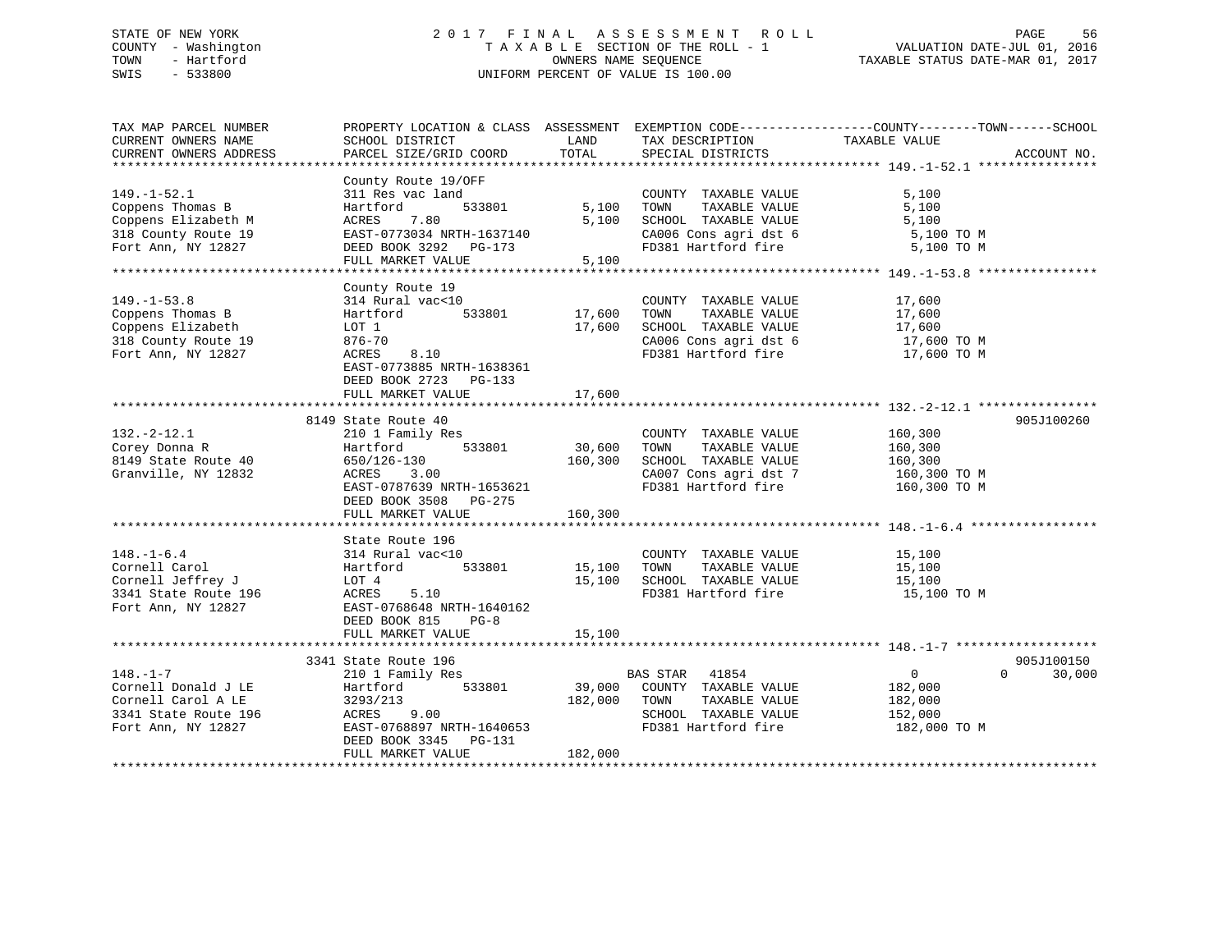### STATE OF NEW YORK 2 0 1 7 F I N A L A S S E S S M E N T R O L L PAGE 56 COUNTY - Washington T A X A B L E SECTION OF THE ROLL - 1 VALUATION DATE-JUL 01, 2016 TOWN - Hartford **TAXABLE STATUS DATE-MAR 01, 2017** SWIS - 533800 UNIFORM PERCENT OF VALUE IS 100.00

| TAX MAP PARCEL NUMBER<br>CURRENT OWNERS NAME | SCHOOL DISTRICT                            | LAND    | TAX DESCRIPTION                  | PROPERTY LOCATION & CLASS ASSESSMENT EXEMPTION CODE----------------COUNTY-------TOWN------SCHOOL<br>TAXABLE VALUE |             |
|----------------------------------------------|--------------------------------------------|---------|----------------------------------|-------------------------------------------------------------------------------------------------------------------|-------------|
| CURRENT OWNERS ADDRESS                       | PARCEL SIZE/GRID COORD                     | TOTAL   | SPECIAL DISTRICTS                |                                                                                                                   | ACCOUNT NO. |
|                                              |                                            |         |                                  |                                                                                                                   |             |
|                                              | County Route 19/OFF                        |         |                                  |                                                                                                                   |             |
| $149. - 1 - 52.1$                            | 311 Res vac land                           |         | COUNTY TAXABLE VALUE             | 5,100                                                                                                             |             |
| Coppens Thomas B                             | 533801<br>Hartford                         | 5,100   | TOWN<br>TAXABLE VALUE            | 5,100                                                                                                             |             |
| Coppens Elizabeth M                          | 7.80<br>ACRES                              | 5,100   | SCHOOL TAXABLE VALUE             | 5,100                                                                                                             |             |
| 318 County Route 19                          | EAST-0773034 NRTH-1637140                  |         | CA006 Cons agri dst 6            | 5,100 TO M                                                                                                        |             |
| Fort Ann, NY 12827                           | DEED BOOK 3292 PG-173                      |         | FD381 Hartford fire              | 5,100 TO M                                                                                                        |             |
|                                              | FULL MARKET VALUE                          | 5,100   |                                  |                                                                                                                   |             |
|                                              | County Route 19                            |         |                                  |                                                                                                                   |             |
| $149. - 1 - 53.8$                            | 314 Rural vac<10                           |         | COUNTY TAXABLE VALUE             | 17,600                                                                                                            |             |
| Coppens Thomas B                             | 533801<br>Hartford                         | 17,600  | TAXABLE VALUE<br>TOWN            | 17,600                                                                                                            |             |
| Coppens Elizabeth                            | LOT 1                                      | 17,600  | SCHOOL TAXABLE VALUE             | 17,600                                                                                                            |             |
| 318 County Route 19                          | 876-70                                     |         | CA006 Cons agri dst 6            | 17,600 TO M                                                                                                       |             |
| Fort Ann, NY 12827                           | 8.10<br>ACRES                              |         | FD381 Hartford fire              | 17,600 TO M                                                                                                       |             |
|                                              | EAST-0773885 NRTH-1638361                  |         |                                  |                                                                                                                   |             |
|                                              |                                            |         |                                  |                                                                                                                   |             |
|                                              | DEED BOOK 2723 PG-133                      | 17,600  |                                  |                                                                                                                   |             |
|                                              | FULL MARKET VALUE                          |         |                                  |                                                                                                                   |             |
|                                              | 8149 State Route 40                        |         |                                  |                                                                                                                   | 905J100260  |
| $132. - 2 - 12.1$                            | 210 1 Family Res                           |         | COUNTY TAXABLE VALUE             | 160,300                                                                                                           |             |
| Corey Donna R                                | 533801<br>Hartford                         | 30,600  | TOWN<br>TAXABLE VALUE            | 160,300                                                                                                           |             |
| 8149 State Route 40                          | 650/126-130                                | 160,300 | SCHOOL TAXABLE VALUE             |                                                                                                                   |             |
| Granville, NY 12832                          | ACRES 3.00                                 |         | CA007 Cons agri dst 7            | 160,300<br>160,300 TO M                                                                                           |             |
|                                              | EAST-0787639 NRTH-1653621                  |         | FD381 Hartford fire 160,300 TO M |                                                                                                                   |             |
|                                              |                                            |         |                                  |                                                                                                                   |             |
|                                              | DEED BOOK 3508 PG-275<br>FULL MARKET VALUE | 160,300 |                                  |                                                                                                                   |             |
|                                              |                                            |         |                                  |                                                                                                                   |             |
|                                              | State Route 196                            |         |                                  |                                                                                                                   |             |
| $148. - 1 - 6.4$                             | 314 Rural vac<10                           |         | COUNTY TAXABLE VALUE             | 15,100                                                                                                            |             |
| Cornell Carol                                | 533801<br>Hartford                         | 15,100  | TOWN<br>TAXABLE VALUE            | 15,100                                                                                                            |             |
| Cornell Jeffrey J                            | LOT 4                                      | 15,100  | SCHOOL TAXABLE VALUE             | 15,100                                                                                                            |             |
| 3341 State Route 196                         | ACRES<br>5.10                              |         | FD381 Hartford fire              | 15,100 TO M                                                                                                       |             |
| Fort Ann, NY 12827                           | EAST-0768648 NRTH-1640162                  |         |                                  |                                                                                                                   |             |
|                                              | DEED BOOK 815<br>$PG-8$                    |         |                                  |                                                                                                                   |             |
|                                              | FULL MARKET VALUE                          | 15,100  |                                  |                                                                                                                   |             |
|                                              |                                            |         |                                  |                                                                                                                   |             |
|                                              | 3341 State Route 196                       |         |                                  |                                                                                                                   | 905J100150  |
| $148. - 1 - 7$                               | 210 1 Family Res                           |         | BAS STAR 41854                   | $\overline{0}$<br>$\Omega$                                                                                        | 30,000      |
| Cornell Donald J LE                          | 533801<br>Hartford                         | 39,000  | COUNTY TAXABLE VALUE             | 182,000                                                                                                           |             |
| Cornell Carol A LE                           | 3293/213                                   | 182,000 | TOWN<br>TAXABLE VALUE            | 182,000                                                                                                           |             |
| 3341 State Route 196                         | ACRES<br>9.00                              |         | SCHOOL TAXABLE VALUE             | 152,000                                                                                                           |             |
| Fort Ann, NY 12827                           | EAST-0768897 NRTH-1640653                  |         | FD381 Hartford fire              | 182,000 TO M                                                                                                      |             |
|                                              | DEED BOOK 3345 PG-131                      |         |                                  |                                                                                                                   |             |
|                                              | FULL MARKET VALUE                          | 182,000 |                                  |                                                                                                                   |             |
|                                              |                                            |         |                                  |                                                                                                                   |             |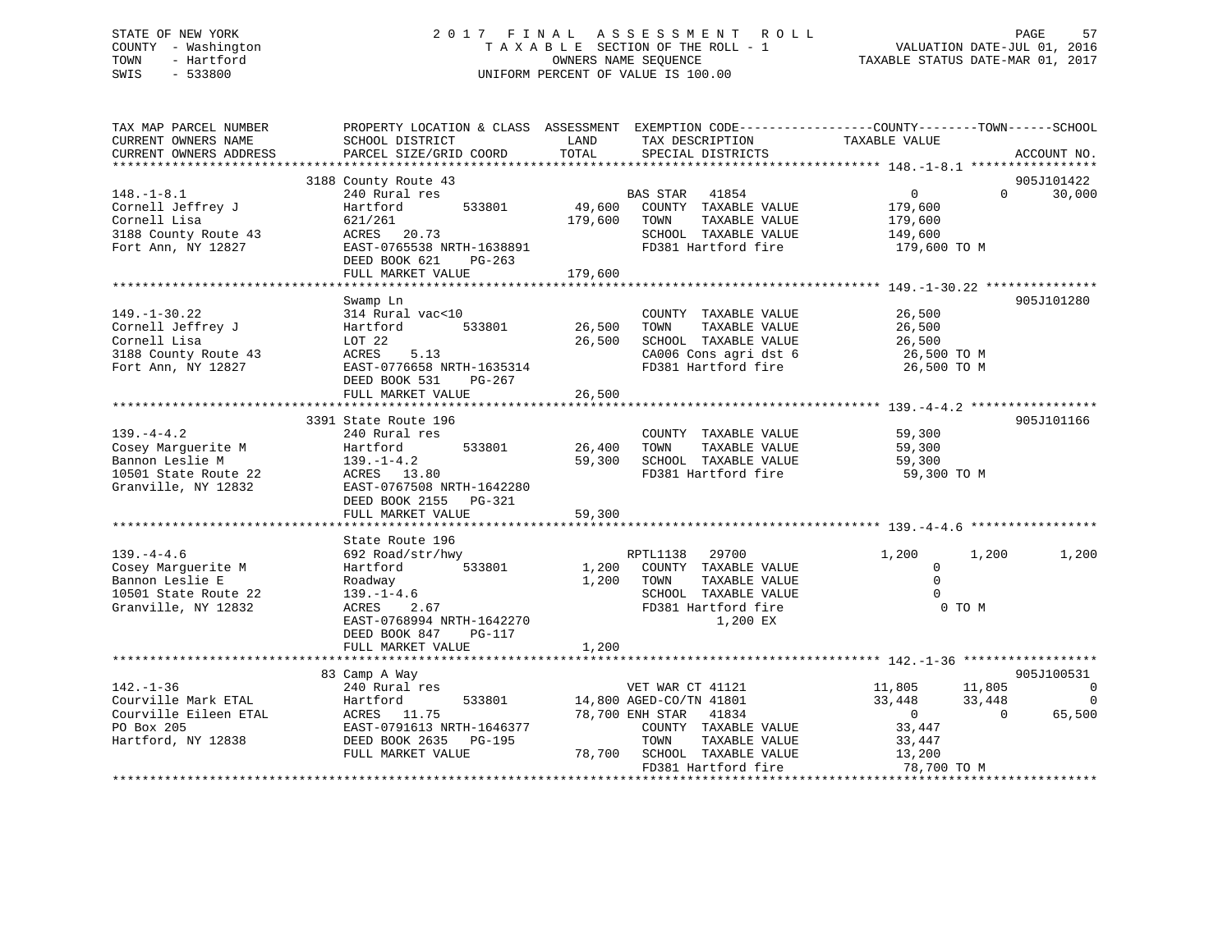### STATE OF NEW YORK 2 0 1 7 F I N A L A S S E S S M E N T R O L L PAGE 57 COUNTY - Washington T A X A B L E SECTION OF THE ROLL - 1 VALUATION DATE-JUL 01, 2016 TOWN - Hartford OWNERS NAME SEQUENCE TAXABLE STATUS DATE-MAR 01, 2017 SWIS - 533800 UNIFORM PERCENT OF VALUE IS 100.00

| TAX MAP PARCEL NUMBER<br>CURRENT OWNERS NAME<br>CURRENT OWNERS ADDRESS | PROPERTY LOCATION & CLASS ASSESSMENT EXEMPTION CODE----------------COUNTY-------TOWN-----SCHOOL<br>SCHOOL DISTRICT<br>PARCEL SIZE/GRID COORD | LAND<br>TOTAL | TAX DESCRIPTION<br>SPECIAL DISTRICTS          | TAXABLE VALUE    | ACCOUNT NO.                        |
|------------------------------------------------------------------------|----------------------------------------------------------------------------------------------------------------------------------------------|---------------|-----------------------------------------------|------------------|------------------------------------|
|                                                                        |                                                                                                                                              |               |                                               |                  |                                    |
|                                                                        | 3188 County Route 43                                                                                                                         |               |                                               |                  | 905J101422                         |
| $148. - 1 - 8.1$                                                       | 240 Rural res                                                                                                                                |               | BAS STAR 41854                                | $\overline{0}$   | 30,000<br>$\Omega$                 |
| Cornell Jeffrey J                                                      | Hartford<br>533801                                                                                                                           |               | 49,600 COUNTY TAXABLE VALUE                   | 179,600          |                                    |
| Cornell Lisa                                                           | 621/261                                                                                                                                      |               | 179,600 TOWN<br>TAXABLE VALUE                 | 179,600          |                                    |
| 3188 County Route 43                                                   | ACRES 20.73                                                                                                                                  |               | SCHOOL TAXABLE VALUE                          | 149,600          |                                    |
| Fort Ann, NY 12827                                                     | EAST-0765538 NRTH-1638891                                                                                                                    |               | FD381 Hartford fire                           | 179,600 TO M     |                                    |
|                                                                        | DEED BOOK 621<br>PG-263                                                                                                                      |               |                                               |                  |                                    |
|                                                                        | FULL MARKET VALUE                                                                                                                            | 179,600       |                                               |                  |                                    |
|                                                                        |                                                                                                                                              |               |                                               |                  |                                    |
|                                                                        | Swamp Ln                                                                                                                                     |               |                                               |                  | 905J101280                         |
| $149. - 1 - 30.22$                                                     | 314 Rural vac<10                                                                                                                             | 26,500        | COUNTY TAXABLE VALUE                          | 26,500           |                                    |
| Cornell Jeffrey J<br>Cornell Lisa                                      | Hartford<br>533801                                                                                                                           | 26,500        | TOWN<br>TAXABLE VALUE<br>SCHOOL TAXABLE VALUE | 26,500<br>26,500 |                                    |
| 3188 County Route 43                                                   | LOT 22<br>5.13<br>ACRES                                                                                                                      |               | CA006 Cons agri dst 6                         | 26,500 TO M      |                                    |
| Fort Ann, NY 12827                                                     | EAST-0776658 NRTH-1635314                                                                                                                    |               | FD381 Hartford fire                           | 26,500 TO M      |                                    |
|                                                                        | DEED BOOK 531 PG-267                                                                                                                         |               |                                               |                  |                                    |
|                                                                        | FULL MARKET VALUE                                                                                                                            | 26,500        |                                               |                  |                                    |
|                                                                        |                                                                                                                                              |               |                                               |                  |                                    |
|                                                                        | 3391 State Route 196                                                                                                                         |               |                                               |                  | 905J101166                         |
| $139. -4 - 4.2$                                                        | 240 Rural res                                                                                                                                |               | COUNTY TAXABLE VALUE                          | 59,300           |                                    |
| Cosey Marguerite M                                                     | Hartford<br>533801                                                                                                                           | 26,400        | TOWN<br>TAXABLE VALUE                         | 59,300           |                                    |
| Bannon Leslie M                                                        | $139. - 1 - 4.2$                                                                                                                             | 59,300        | SCHOOL TAXABLE VALUE                          | 59,300           |                                    |
| 10501 State Route 22                                                   | ACRES 13.80                                                                                                                                  |               | FD381 Hartford fire                           | 59,300 TO M      |                                    |
| Granville, NY 12832                                                    | EAST-0767508 NRTH-1642280                                                                                                                    |               |                                               |                  |                                    |
|                                                                        | DEED BOOK 2155 PG-321                                                                                                                        |               |                                               |                  |                                    |
|                                                                        | FULL MARKET VALUE                                                                                                                            | 59,300        |                                               |                  |                                    |
|                                                                        |                                                                                                                                              |               |                                               |                  |                                    |
|                                                                        | State Route 196                                                                                                                              |               |                                               |                  |                                    |
| $139. -4 - 4.6$                                                        | 692 Road/str/hwy                                                                                                                             |               | RPTL1138<br>29700                             | 1,200            | 1,200<br>1,200                     |
| Cosey Marquerite M                                                     | Hartford<br>533801                                                                                                                           |               | 1,200 COUNTY TAXABLE VALUE                    | $\mathbf 0$      |                                    |
| Bannon Leslie E                                                        | Roadway                                                                                                                                      | 1,200 TOWN    | TAXABLE VALUE                                 | $\Omega$         |                                    |
| 10501 State Route 22                                                   | $139. - 1 - 4.6$                                                                                                                             |               | SCHOOL TAXABLE VALUE                          | $\Omega$         |                                    |
| Granville, NY 12832                                                    | 2.67<br>ACRES                                                                                                                                |               | FD381 Hartford fire                           | 0 TO M           |                                    |
|                                                                        | EAST-0768994 NRTH-1642270                                                                                                                    |               | 1,200 EX                                      |                  |                                    |
|                                                                        | DEED BOOK 847<br>PG-117                                                                                                                      |               |                                               |                  |                                    |
|                                                                        | FULL MARKET VALUE                                                                                                                            | 1,200         |                                               |                  |                                    |
|                                                                        | 83 Camp A Way                                                                                                                                |               |                                               |                  | 905J100531                         |
| $142. - 1 - 36$                                                        | 240 Rural res                                                                                                                                |               | VET WAR CT 41121                              | 11,805 11,805    | 0                                  |
| Courville Mark ETAL                                                    | 533801<br>Hartford                                                                                                                           |               | 14,800 AGED-CO/TN 41801                       | 33,448           | 33,448<br>$\overline{\phantom{0}}$ |
| Courville Eileen ETAL                                                  | ACRES 11.75                                                                                                                                  |               | 78,700 ENH STAR 41834                         | $\overline{0}$   | 65,500<br>$\overline{0}$           |
| PO Box 205                                                             | EAST-0791613 NRTH-1646377                                                                                                                    |               | COUNTY TAXABLE VALUE                          | 33,447           |                                    |
| Hartford, NY 12838                                                     | DEED BOOK 2635 PG-195                                                                                                                        |               | TOWN<br>TAXABLE VALUE                         | 33,447           |                                    |
|                                                                        | FULL MARKET VALUE                                                                                                                            |               | 78,700 SCHOOL TAXABLE VALUE                   | 13,200           |                                    |
|                                                                        |                                                                                                                                              |               | FD381 Hartford fire                           | 78,700 TO M      |                                    |
|                                                                        |                                                                                                                                              |               |                                               |                  |                                    |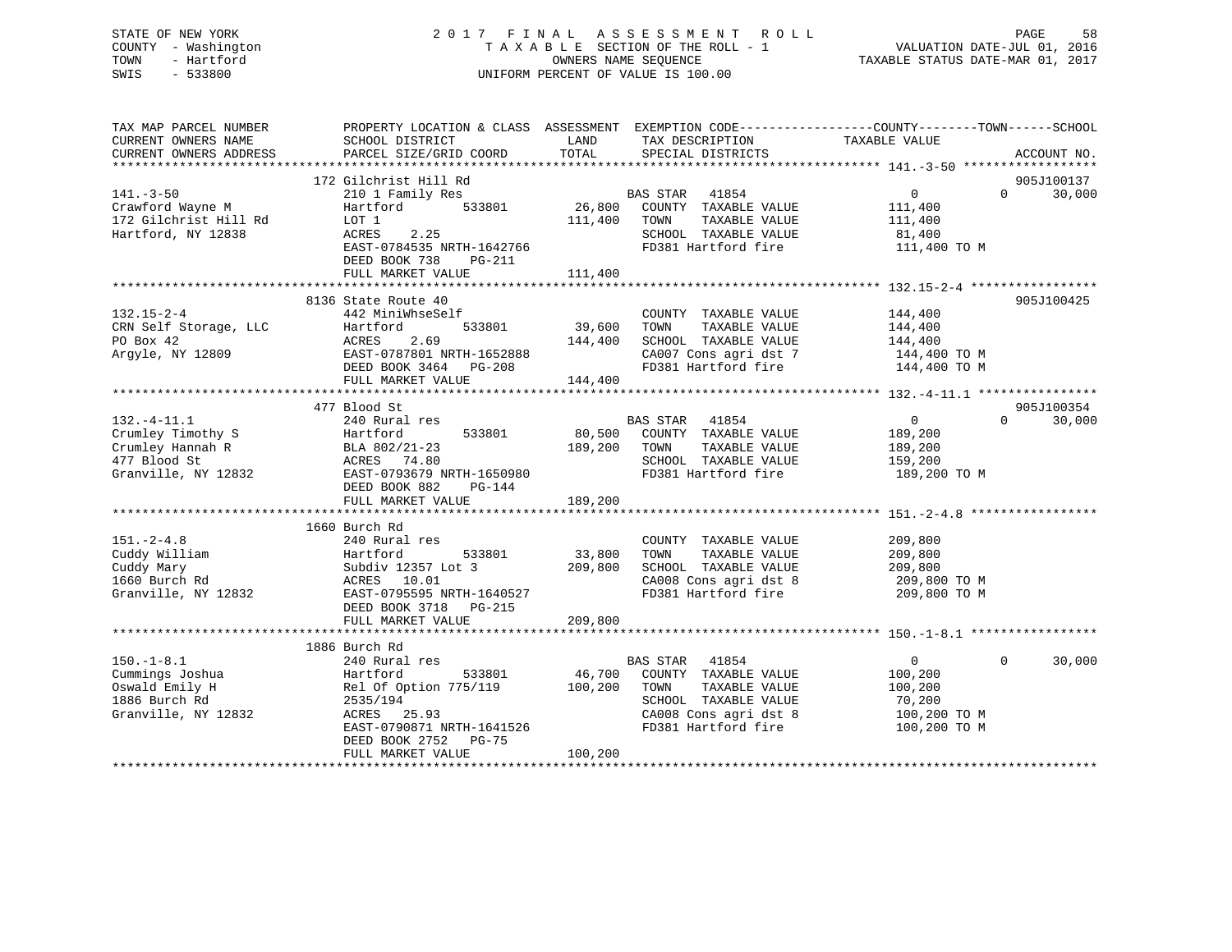#### STATE OF NEW YORK STATE OF NEW YORK SEE SOMETHER A S S E S S M E N T R O L L S AGE S S M E N T R O L L COUNTY - Washington T A X A B L E SECTION OF THE ROLL - 1 VALUATION DATE-JUL 01, 2016 OWNERS NAME SEQUENCE TAXABLE STATUS DATE-MAR 01, 2017 SWIS - 533800 UNIFORM PERCENT OF VALUE IS 100.00

| TAX MAP PARCEL NUMBER<br>CURRENT OWNERS NAME<br>CURRENT OWNERS ADDRESS | PROPERTY LOCATION & CLASS ASSESSMENT EXEMPTION CODE----------------COUNTY-------TOWN------SCHOOL<br>SCHOOL DISTRICT<br>PARCEL SIZE/GRID COORD | LAND<br>TOTAL | TAX DESCRIPTION<br>SPECIAL DISTRICTS          | TAXABLE VALUE                 | ACCOUNT NO. |
|------------------------------------------------------------------------|-----------------------------------------------------------------------------------------------------------------------------------------------|---------------|-----------------------------------------------|-------------------------------|-------------|
|                                                                        |                                                                                                                                               |               |                                               |                               |             |
|                                                                        | 172 Gilchrist Hill Rd                                                                                                                         |               |                                               |                               | 905J100137  |
| $141. - 3 - 50$                                                        | 210 1 Family Res                                                                                                                              |               | BAS STAR 41854                                | $\overline{0}$<br>$\Omega$    | 30,000      |
| Crawford Wayne M                                                       | 533801<br>Hartford                                                                                                                            | 26,800        | COUNTY TAXABLE VALUE                          | 111,400                       |             |
| 172 Gilchrist Hill Rd                                                  | LOT 1<br>2.25                                                                                                                                 | 111,400       | TOWN<br>TAXABLE VALUE<br>SCHOOL TAXABLE VALUE | 111,400                       |             |
| Hartford, NY 12838                                                     | ACRES<br>EAST-0784535 NRTH-1642766                                                                                                            |               | FD381 Hartford fire                           | 81,400<br>111,400 TO M        |             |
|                                                                        | DEED BOOK 738<br>$PG-211$                                                                                                                     |               |                                               |                               |             |
|                                                                        | FULL MARKET VALUE                                                                                                                             | 111,400       |                                               |                               |             |
|                                                                        |                                                                                                                                               |               |                                               |                               |             |
|                                                                        | 8136 State Route 40                                                                                                                           |               |                                               |                               | 905J100425  |
| $132.15 - 2 - 4$                                                       | 442 MiniWhseSelf                                                                                                                              |               | COUNTY TAXABLE VALUE                          | 144,400                       |             |
| CRN Self Storage, LLC                                                  | 533801<br>Hartford                                                                                                                            | 39,600        | TOWN<br>TAXABLE VALUE                         | 144,400                       |             |
| PO Box 42                                                              | 2.69<br>ACRES                                                                                                                                 | 144,400       | SCHOOL TAXABLE VALUE                          | 144,400                       |             |
| Arqyle, NY 12809                                                       | EAST-0787801 NRTH-1652888                                                                                                                     |               | CA007 Cons agri dst 7                         | 144,400 TO M                  |             |
|                                                                        | DEED BOOK 3464 PG-208                                                                                                                         |               | FD381 Hartford fire                           | 144,400 TO M                  |             |
|                                                                        | FULL MARKET VALUE                                                                                                                             | 144,400       |                                               |                               |             |
|                                                                        |                                                                                                                                               |               |                                               |                               |             |
|                                                                        | 477 Blood St                                                                                                                                  |               |                                               |                               | 905J100354  |
| $132. - 4 - 11.1$                                                      | 240 Rural res                                                                                                                                 |               | BAS STAR 41854                                | $\overline{0}$<br>$\Omega$    | 30,000      |
| Crumley Timothy S                                                      | 533801<br>Hartford                                                                                                                            | 80,500        | COUNTY TAXABLE VALUE                          | 189,200                       |             |
| Crumley Hannah R                                                       | BLA 802/21-23                                                                                                                                 | 189,200       | TAXABLE VALUE<br>TOWN                         | 189,200                       |             |
| 477 Blood St                                                           | ACRES 74.80                                                                                                                                   |               | SCHOOL TAXABLE VALUE                          | 159,200                       |             |
| Granville, NY 12832                                                    | EAST-0793679 NRTH-1650980                                                                                                                     |               | FD381 Hartford fire                           | 189,200 TO M                  |             |
|                                                                        | DEED BOOK 882<br>PG-144                                                                                                                       |               |                                               |                               |             |
|                                                                        | FULL MARKET VALUE                                                                                                                             | 189,200       |                                               |                               |             |
|                                                                        |                                                                                                                                               |               |                                               |                               |             |
|                                                                        | 1660 Burch Rd                                                                                                                                 |               |                                               |                               |             |
| $151. - 2 - 4.8$<br>Cuddy William                                      | 240 Rural res<br>533801                                                                                                                       | 33,800        | COUNTY TAXABLE VALUE<br>TOWN                  | 209,800                       |             |
| Cuddy Mary                                                             | Hartford<br>Subdiv 12357 Lot 3                                                                                                                | 209,800       | TAXABLE VALUE<br>SCHOOL TAXABLE VALUE         | 209,800<br>209,800            |             |
| 1660 Burch Rd                                                          | ACRES 10.01                                                                                                                                   |               | CA008 Cons agri dst 8                         | 209,800 TO M                  |             |
| Granville, NY 12832                                                    | EAST-0795595 NRTH-1640527                                                                                                                     |               | FD381 Hartford fire                           | 209,800 TO M                  |             |
|                                                                        | DEED BOOK 3718 PG-215                                                                                                                         |               |                                               |                               |             |
|                                                                        | FULL MARKET VALUE                                                                                                                             | 209,800       |                                               |                               |             |
|                                                                        |                                                                                                                                               |               |                                               |                               |             |
|                                                                        | 1886 Burch Rd                                                                                                                                 |               |                                               |                               |             |
| $150. - 1 - 8.1$                                                       | 240 Rural res                                                                                                                                 |               | <b>BAS STAR</b><br>41854                      | $0 \qquad \qquad$<br>$\Omega$ | 30,000      |
| Cummings Joshua                                                        | Hartford<br>533801                                                                                                                            | 46,700        | COUNTY TAXABLE VALUE                          | 100,200                       |             |
| Oswald Emily H                                                         | Rel Of Option 775/119                                                                                                                         | 100,200       | TAXABLE VALUE<br>TOWN                         | 100,200                       |             |
| 1886 Burch Rd                                                          | 2535/194                                                                                                                                      |               | SCHOOL TAXABLE VALUE                          | 70,200                        |             |
| Granville, NY 12832                                                    | ACRES 25.93                                                                                                                                   |               | CA008 Cons agri dst 8                         | 100,200 TO M                  |             |
|                                                                        | EAST-0790871 NRTH-1641526                                                                                                                     |               | FD381 Hartford fire                           | 100,200 TO M                  |             |
|                                                                        | DEED BOOK 2752 PG-75                                                                                                                          |               |                                               |                               |             |
|                                                                        | FULL MARKET VALUE                                                                                                                             | 100,200       |                                               |                               |             |
|                                                                        |                                                                                                                                               |               |                                               |                               |             |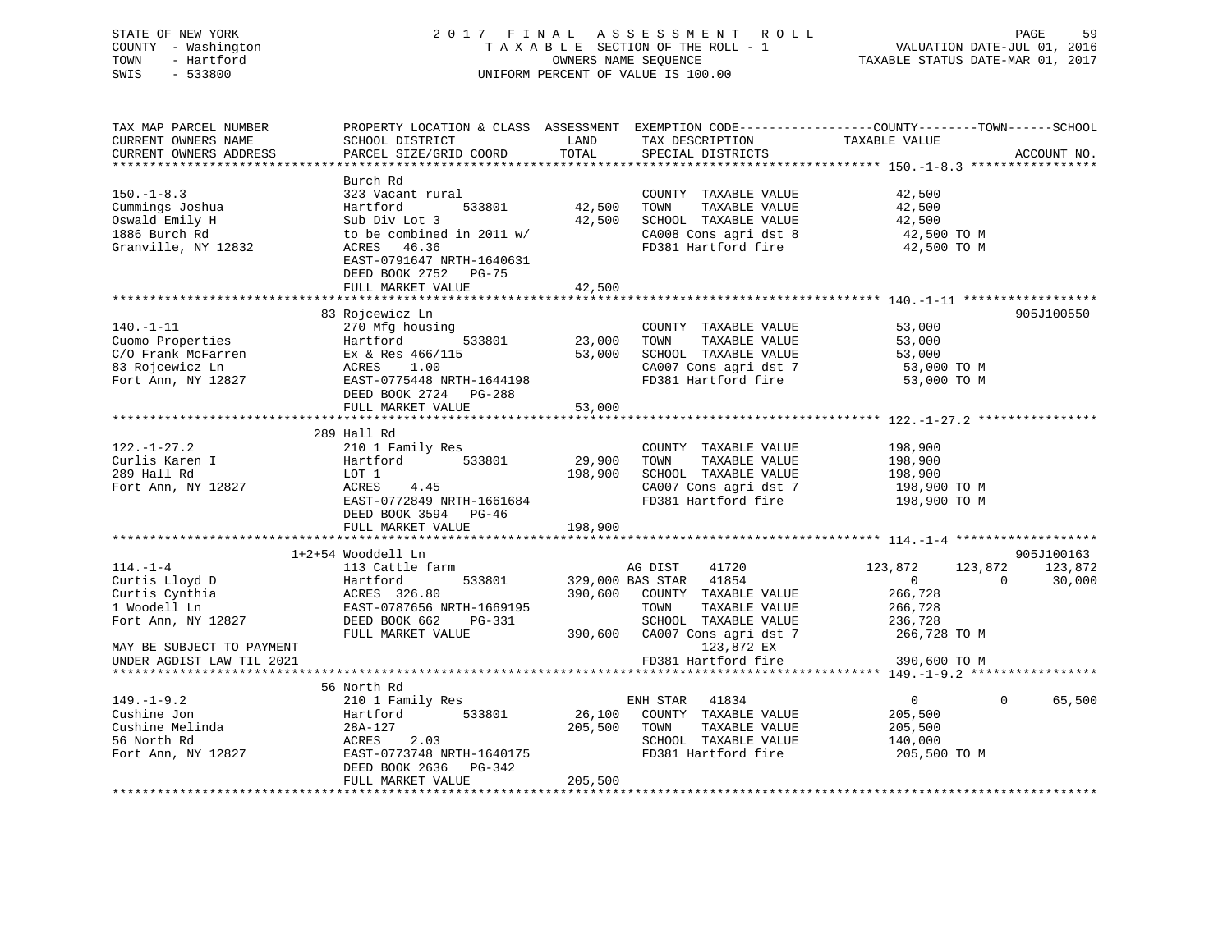| STATE OF NEW YORK<br>COUNTY - Washington               |                                                   |         | 2017 FINAL ASSESSMENT ROLL<br>TAXABLE SECTION OF THE ROLL - 1 | PAGE<br>59<br>VALUATION DATE-JUL 01, 2016<br>TAXABLE STATUS DATE-MAR 01, 2017                  |
|--------------------------------------------------------|---------------------------------------------------|---------|---------------------------------------------------------------|------------------------------------------------------------------------------------------------|
| TOWN<br>- Hartford                                     |                                                   |         | OWNERS NAME SEQUENCE                                          |                                                                                                |
| SWIS<br>$-533800$                                      |                                                   |         | UNIFORM PERCENT OF VALUE IS 100.00                            |                                                                                                |
|                                                        |                                                   |         |                                                               |                                                                                                |
|                                                        |                                                   |         |                                                               |                                                                                                |
| TAX MAP PARCEL NUMBER                                  |                                                   |         |                                                               | PROPERTY LOCATION & CLASS ASSESSMENT EXEMPTION CODE---------------COUNTY-------TOWN-----SCHOOL |
| CURRENT OWNERS NAME                                    | SCHOOL DISTRICT                                   | LAND    | THE DESCRIPTION<br>TAXABLE VALUE<br>CONGILIATION              |                                                                                                |
| CURRENT OWNERS ADDRESS                                 | PARCEL SIZE/GRID COORD                            | TOTAL   | SPECIAL DISTRICTS                                             | ACCOUNT NO.                                                                                    |
|                                                        |                                                   |         |                                                               |                                                                                                |
|                                                        | Burch Rd                                          |         |                                                               |                                                                                                |
| $150. - 1 - 8.3$                                       | 323 Vacant rural                                  |         | COUNTY TAXABLE VALUE                                          | 42,500                                                                                         |
| Cummings Joshua                                        | 533801<br>Hartford                                | 42,500  | TOWN<br>TAXABLE VALUE                                         | 42,500                                                                                         |
| Oswald Emily H                                         | Sub Div Lot 3                                     | 42,500  | SCHOOL TAXABLE VALUE                                          | 42,500                                                                                         |
| 1886 Burch Rd                                          | to be combined in 2011 w/                         |         | CA008 Cons agri dst 8                                         | 42,500 TO M                                                                                    |
| Granville, NY 12832                                    | ACRES<br>46.36                                    |         | FD381 Hartford fire                                           | 42,500 TO M                                                                                    |
|                                                        | EAST-0791647 NRTH-1640631                         |         |                                                               |                                                                                                |
|                                                        | DEED BOOK 2752 PG-75<br>FULL MARKET VALUE         | 42,500  |                                                               |                                                                                                |
|                                                        |                                                   |         |                                                               |                                                                                                |
|                                                        | 83 Rojcewicz Ln                                   |         |                                                               | 905J100550                                                                                     |
| $140. - 1 - 11$                                        | 270 Mfg housing                                   |         | COUNTY TAXABLE VALUE                                          | 53,000                                                                                         |
| Cuomo Properties                                       | Hartford<br>533801                                | 23,000  | TOWN<br>TAXABLE VALUE                                         | 53,000                                                                                         |
| C/O Frank McFarren                                     | $Ex$ & Res $466/115$                              |         | 53,000 SCHOOL TAXABLE VALUE                                   | 53,000                                                                                         |
| 83 Rojcewicz Ln                                        | Hartfo<br>Ex & R<br>ACRES<br>1.00                 |         | CA007 Cons agri dst 7                                         | 53,000 TO M                                                                                    |
| Fort Ann, NY 12827 EAST-0775448 NRTH-1644198           |                                                   |         | FD381 Hartford fire                                           | 53,000 TO M                                                                                    |
|                                                        | DEED BOOK 2724 PG-288                             |         |                                                               |                                                                                                |
|                                                        | FULL MARKET VALUE                                 | 53,000  |                                                               |                                                                                                |
|                                                        |                                                   |         |                                                               |                                                                                                |
|                                                        | 289 Hall Rd                                       |         |                                                               |                                                                                                |
| $122. - 1 - 27.2$                                      | 210 1 Family Res                                  |         | COUNTY TAXABLE VALUE                                          | 198,900                                                                                        |
| Curlis Karen I                                         | Hartford<br>533801                                | 29,900  | TOWN<br>TAXABLE VALUE                                         | 198,900                                                                                        |
| 289 Hall Rd                                            | LOT 1                                             | 198,900 | SCHOOL TAXABLE VALUE                                          | 198,900                                                                                        |
| Fort Ann, NY 12827                                     | ACRES 4.45                                        |         | CA007 Cons agri dst 7                                         | 198,900 TO M                                                                                   |
|                                                        | EAST-0772849 NRTH-1661684                         |         | FD381 Hartford fire                                           | 198,900 TO M                                                                                   |
|                                                        | DEED BOOK 3594 PG-46                              |         |                                                               |                                                                                                |
|                                                        | FULL MARKET VALUE                                 | 198,900 |                                                               |                                                                                                |
|                                                        |                                                   |         |                                                               |                                                                                                |
|                                                        | 1+2+54 Wooddell Ln                                |         |                                                               | 905J100163                                                                                     |
| $114. - 1 - 4$                                         | 113 Cattle farm                                   |         | 41720<br>AG DIST                                              | 123,872<br>123,872 123,872                                                                     |
| Curtis Lloyd D                                         | Hartford                                          |         | 533801 329,000 BAS STAR 41854                                 | $\sim$ 0<br>$\Omega$<br>30,000                                                                 |
| Curtis Cynthia                                         | ACRES 326.80                                      |         | 390,600 COUNTY TAXABLE VALUE                                  | 266,728                                                                                        |
| 1 Woodell Ln                                           | EAST-0787656 NRTH-1669195<br>DEED BOOK 662 PG-331 |         | TOWN<br>TAXABLE VALUE                                         | 266,728                                                                                        |
| Fort Ann, NY 12827                                     |                                                   |         | SCHOOL TAXABLE VALUE                                          | 236,728                                                                                        |
|                                                        | FULL MARKET VALUE                                 |         | 390,600 CA007 Cons agri dst 7                                 | 266,728 TO M                                                                                   |
| MAY BE SUBJECT TO PAYMENT<br>UNDER AGDIST LAW TIL 2021 |                                                   |         | 123,872 EX<br>FD381 Hartford fire                             | 390,600 TO M                                                                                   |
|                                                        |                                                   |         |                                                               |                                                                                                |
|                                                        | 56 North Rd                                       |         |                                                               |                                                                                                |
| $149. - 1 - 9.2$                                       | 210 1 Family Res                                  |         | ENH STAR 41834                                                | $\mathbf{0}$<br>65,500<br>$\overline{0}$                                                       |
| Cushine Jon                                            | Hartford<br>533801                                |         | 26,100 COUNTY TAXABLE VALUE                                   | 205,500                                                                                        |
|                                                        | 28A-127                                           |         | 205,500 TOWN<br>TAXABLE VALUE                                 | 205,500                                                                                        |
| Cushine Melinda<br>- Chinak na<br>56 North Rd          | ACRES<br>2.03                                     |         | SCHOOL TAXABLE VALUE                                          | 140,000                                                                                        |
| Fort Ann, NY 12827                                     | EAST-0773748 NRTH-1640175                         |         | FD381 Hartford fire                                           | 205,500 TO M                                                                                   |
|                                                        | DEED BOOK 2636<br>PG-342                          |         |                                                               |                                                                                                |
|                                                        | FULL MARKET VALUE                                 | 205,500 |                                                               |                                                                                                |
|                                                        |                                                   |         |                                                               |                                                                                                |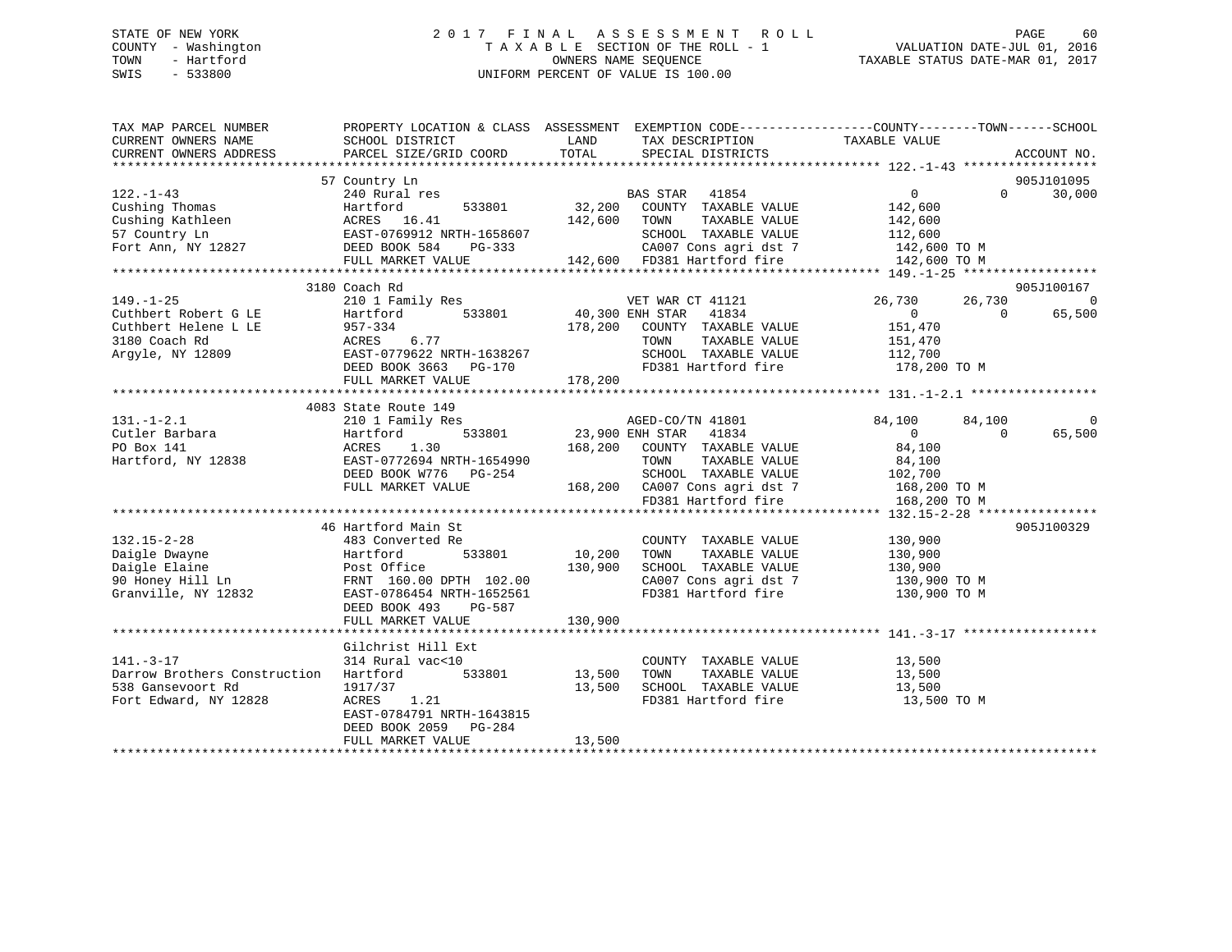### STATE OF NEW YORK 2 0 1 7 F I N A L A S S E S S M E N T R O L L PAGE 60 COUNTY - Washington T A X A B L E SECTION OF THE ROLL - 1 VALUATION DATE-JUL 01, 2016 TOWN - Hartford **TAXABLE STATUS DATE-MAR 01, 2017** SWIS - 533800 UNIFORM PERCENT OF VALUE IS 100.00

| TAX MAP PARCEL NUMBER<br>CURRENT OWNERS NAME<br>CURRENT OWNERS ADDRESS                                                                                                                                                                                                                                                      | PROPERTY LOCATION & CLASS ASSESSMENT EXEMPTION CODE----------------COUNTY-------TOWN------SCHOOL<br>SCHOOL DISTRICT<br>PARCEL SIZE/GRID COORD TOTAL SPECIAL DISTRICTS |        | LAND TAX DESCRIPTION                                             | TAXABLE VALUE                                  |           | ACCOUNT NO.    |
|-----------------------------------------------------------------------------------------------------------------------------------------------------------------------------------------------------------------------------------------------------------------------------------------------------------------------------|-----------------------------------------------------------------------------------------------------------------------------------------------------------------------|--------|------------------------------------------------------------------|------------------------------------------------|-----------|----------------|
|                                                                                                                                                                                                                                                                                                                             |                                                                                                                                                                       |        |                                                                  |                                                |           |                |
|                                                                                                                                                                                                                                                                                                                             | 57 Country Ln                                                                                                                                                         |        |                                                                  |                                                |           | 905J101095     |
|                                                                                                                                                                                                                                                                                                                             |                                                                                                                                                                       |        |                                                                  |                                                |           |                |
|                                                                                                                                                                                                                                                                                                                             |                                                                                                                                                                       |        |                                                                  |                                                |           |                |
|                                                                                                                                                                                                                                                                                                                             |                                                                                                                                                                       |        |                                                                  |                                                |           |                |
|                                                                                                                                                                                                                                                                                                                             |                                                                                                                                                                       |        |                                                                  |                                                |           |                |
|                                                                                                                                                                                                                                                                                                                             |                                                                                                                                                                       |        |                                                                  |                                                |           |                |
|                                                                                                                                                                                                                                                                                                                             |                                                                                                                                                                       |        |                                                                  |                                                |           |                |
|                                                                                                                                                                                                                                                                                                                             |                                                                                                                                                                       |        |                                                                  |                                                |           |                |
|                                                                                                                                                                                                                                                                                                                             | 3180 Coach Rd                                                                                                                                                         |        |                                                                  |                                                |           | 905J100167     |
|                                                                                                                                                                                                                                                                                                                             |                                                                                                                                                                       |        |                                                                  |                                                |           |                |
|                                                                                                                                                                                                                                                                                                                             |                                                                                                                                                                       |        |                                                                  |                                                |           |                |
|                                                                                                                                                                                                                                                                                                                             |                                                                                                                                                                       |        |                                                                  |                                                |           |                |
|                                                                                                                                                                                                                                                                                                                             |                                                                                                                                                                       |        |                                                                  |                                                |           |                |
|                                                                                                                                                                                                                                                                                                                             |                                                                                                                                                                       |        |                                                                  |                                                |           |                |
|                                                                                                                                                                                                                                                                                                                             |                                                                                                                                                                       |        |                                                                  |                                                |           |                |
|                                                                                                                                                                                                                                                                                                                             |                                                                                                                                                                       |        |                                                                  |                                                |           |                |
|                                                                                                                                                                                                                                                                                                                             |                                                                                                                                                                       |        |                                                                  |                                                |           |                |
|                                                                                                                                                                                                                                                                                                                             | 4083 State Route 149                                                                                                                                                  |        |                                                                  |                                                |           |                |
| $131. - 1 - 2.1$                                                                                                                                                                                                                                                                                                            | 210 1 Family Res                                                                                                                                                      |        | AGED-CO/TN 41801                                                 | 84,100                                         | 84,100    | $\overline{0}$ |
|                                                                                                                                                                                                                                                                                                                             |                                                                                                                                                                       |        | Res<br>533801 23,900 ENH STAR 41834<br>0 169.200 COUNTING TARREL |                                                | $\bigcap$ | 65,500         |
|                                                                                                                                                                                                                                                                                                                             |                                                                                                                                                                       |        | 168,200 COUNTY TAXABLE VALUE                                     | $\begin{array}{c} 0 \\ 84,100 \end{array}$     |           |                |
|                                                                                                                                                                                                                                                                                                                             |                                                                                                                                                                       |        |                                                                  |                                                |           |                |
|                                                                                                                                                                                                                                                                                                                             |                                                                                                                                                                       |        |                                                                  |                                                |           |                |
|                                                                                                                                                                                                                                                                                                                             | FULL MARKET VALUE                                                                                                                                                     |        | 168,200 CA007 Cons agri dst 7 168,200 TO M                       |                                                |           |                |
|                                                                                                                                                                                                                                                                                                                             |                                                                                                                                                                       |        | FD381 Hartford fire                                              | 168,200 TO M                                   |           |                |
|                                                                                                                                                                                                                                                                                                                             |                                                                                                                                                                       |        |                                                                  |                                                |           |                |
|                                                                                                                                                                                                                                                                                                                             | 46 Hartford Main St                                                                                                                                                   |        |                                                                  |                                                |           | 905J100329     |
|                                                                                                                                                                                                                                                                                                                             |                                                                                                                                                                       |        | COUNTY TAXABLE VALUE 130,900                                     |                                                |           |                |
|                                                                                                                                                                                                                                                                                                                             |                                                                                                                                                                       |        | TOWN                                                             |                                                |           |                |
|                                                                                                                                                                                                                                                                                                                             |                                                                                                                                                                       |        | SCHOOL TAXABLE VALUE                                             | TAXABLE VALUE 130,900<br>TAXABLE VALUE 130,900 |           |                |
|                                                                                                                                                                                                                                                                                                                             |                                                                                                                                                                       |        | CA007 Cons agri dst 7 130,900 TO M                               |                                                |           |                |
|                                                                                                                                                                                                                                                                                                                             |                                                                                                                                                                       |        | FD381 Hartford fire                                              |                                                |           |                |
|                                                                                                                                                                                                                                                                                                                             |                                                                                                                                                                       |        |                                                                  | 130,900 TO M                                   |           |                |
|                                                                                                                                                                                                                                                                                                                             |                                                                                                                                                                       |        |                                                                  |                                                |           |                |
| 132.15-2-28<br>Daigle Dwayne<br>Daigle Elaine<br>90 Honey Hill Ln<br>Granville, NY 12832<br>2020 EAST-0786454 NRTH-1652561<br>2020 EAST-0786454 NRTH-1652561<br>2020 EAST-0786454 NRTH-1652561<br>2020 EAST-0786454 NRTH-1652561<br>2020 EAST-0                                                                             |                                                                                                                                                                       |        |                                                                  |                                                |           |                |
|                                                                                                                                                                                                                                                                                                                             |                                                                                                                                                                       |        |                                                                  |                                                |           |                |
|                                                                                                                                                                                                                                                                                                                             | Gilchrist Hill Ext                                                                                                                                                    |        |                                                                  |                                                |           |                |
|                                                                                                                                                                                                                                                                                                                             |                                                                                                                                                                       |        | COUNTY TAXABLE VALUE 13,500                                      |                                                |           |                |
| $\frac{1}{2}$ $\frac{1}{2}$ , $\frac{1}{2}$ , $\frac{1}{2}$ , $\frac{1}{2}$ , $\frac{1}{2}$ , $\frac{1}{2}$ , $\frac{1}{2}$ , $\frac{1}{2}$ , $\frac{1}{2}$ , $\frac{1}{2}$ , $\frac{1}{2}$ , $\frac{1}{2}$ , $\frac{1}{2}$ , $\frac{1}{2}$ , $\frac{1}{2}$ , $\frac{1}{2}$ , $\frac{1}{2}$ , $\frac{1}{2}$ , $\frac{1}{2}$ |                                                                                                                                                                       |        | TOWN                                                             | TAXABLE VALUE 13,500<br>TAXABLE VALUE 13,500   |           |                |
|                                                                                                                                                                                                                                                                                                                             | 13,500                                                                                                                                                                |        |                                                                  |                                                |           |                |
| Fort Edward, NY 12828                                                                                                                                                                                                                                                                                                       | ACRES 1.21                                                                                                                                                            |        |                                                                  |                                                |           |                |
|                                                                                                                                                                                                                                                                                                                             | EAST-0784791 NRTH-1643815                                                                                                                                             |        |                                                                  |                                                |           |                |
|                                                                                                                                                                                                                                                                                                                             | DEED BOOK 2059 PG-284                                                                                                                                                 |        |                                                                  |                                                |           |                |
|                                                                                                                                                                                                                                                                                                                             | FULL MARKET VALUE                                                                                                                                                     | 13,500 |                                                                  |                                                |           |                |
|                                                                                                                                                                                                                                                                                                                             |                                                                                                                                                                       |        |                                                                  |                                                |           |                |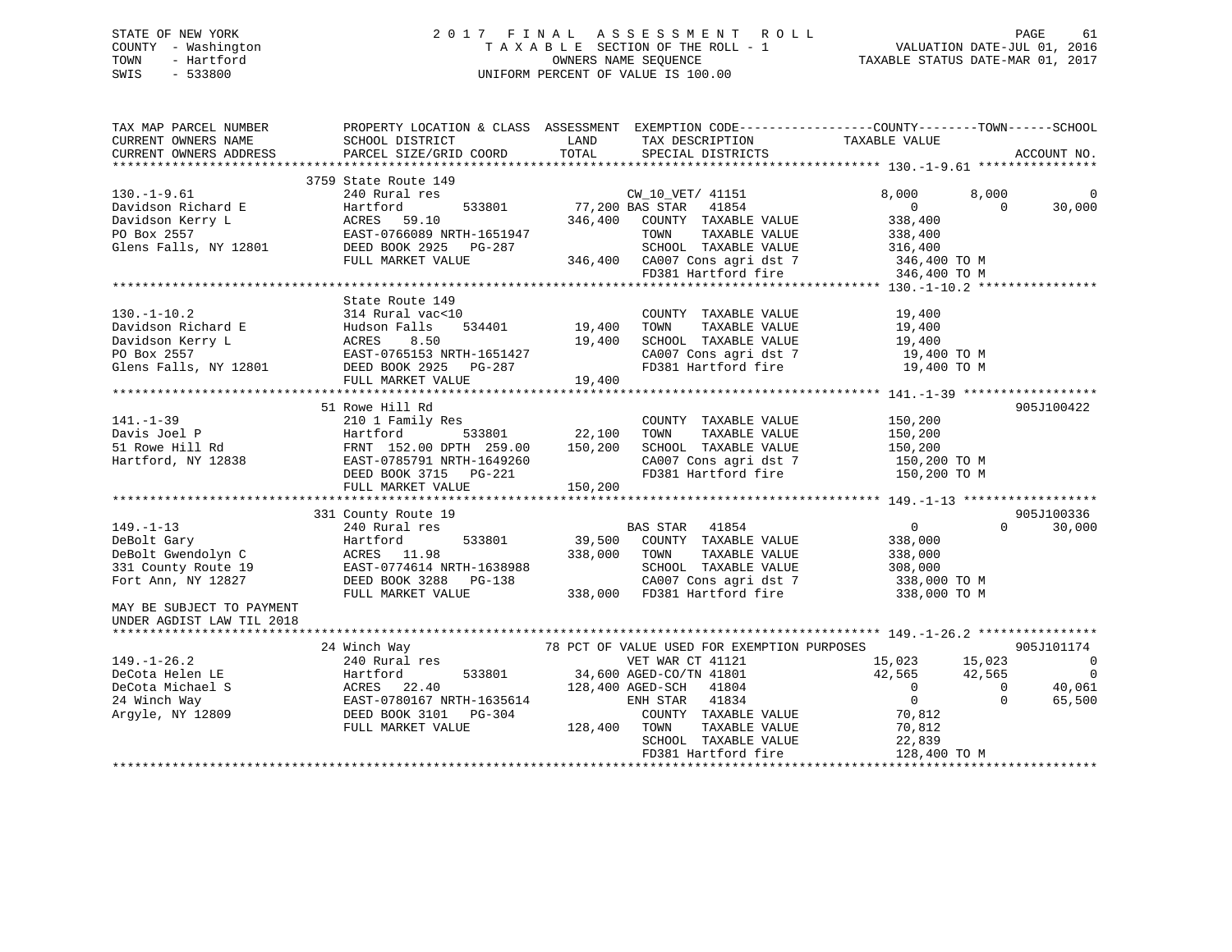### STATE OF NEW YORK 2 0 1 7 F I N A L A S S E S S M E N T R O L L PAGE 61 COUNTY - Washington T A X A B L E SECTION OF THE ROLL - 1 VALUATION DATE-JUL 01, 2016 TOWN - Hartford **TAXABLE STATUS DATE-MAR 01, 2017** SWIS - 533800 UNIFORM PERCENT OF VALUE IS 100.00

| TAX DESCRIPTION TAXABLE VALUE<br>SPECIAL DISTRICTS<br>SCHOOL DISTRICT<br>LAND<br>PARCEL SIZE/GRID COORD TOTAL SPECIAL DISTRICTS<br>ACCOUNT NO.<br>CURRENT OWNERS ADDRESS<br>3759 State Route 149<br>$\texttt{CW\_10\_VET/~41151} \\ \texttt{533801} \\ \texttt{77,200 BAS STAR} \\ \texttt{41854}$<br>$130.-1-9.61$<br>240 Rural res<br>8,000<br>8,000<br>Davidson Richard E Martford 533801<br>Davidson Kerry L ACRES 59.10<br>PO Box 2557 EAST-0766089 NRTH-1651947<br>$\overline{0}$<br>$\bigcirc$<br>30,000<br>346,400 COUNTY TAXABLE VALUE<br>338,400<br>TOWN<br>TAXABLE VALUE<br>338,400<br>Glens Falls, NY 12801 DEED BOOK 2925 PG-287<br>7<br>SCHOOL TAXABLE VALUE<br>346,400 CA007 Cons agri dst 7<br>FD381 Hartford fire<br>ED381 Hartford fire<br>SCHOOL TAXABLE VALUE 316,400<br>CA007 Cons agri dst 7 346,400 TO M<br>FULL MARKET VALUE<br>346,400 TO M<br>State Route 149<br>0<br>534401 19,400<br>314 Rural vac<10<br>COUNTY TAXABLE VALUE<br>19,400<br>130.-1-10.2<br>Davidson Richard E<br>Davidson Kerry L<br>PO Box 2557<br>Clens Falls, NY 12801<br>PO Box 2557<br>Clens Falls, NY 12801<br>PO BOX 2925<br>PO BOX 2925<br>PO BOX 2925<br>PO BOX 2925<br>PO BOX 2925<br>PO BOX 2925<br>PO BOX 2925<br>PO BOX<br>TAXABLE VALUE<br>TOWN<br>19,400<br>SCHOOL TAXABLE VALUE 19,400<br>CA007 Cons agri dst 7 19,400 TO M<br>FD381 Hartford fire 19,400 TO M<br>51 Rowe Hill Rd<br>905J100422<br>141.-1-39<br>Davis Joel P 210 1 Family Res<br>53801 22,100<br>51 Rowe Hill Rd FRNT 152.00 DPTH 259.00 150,200<br>Hartford, NY 12838 EAST-0785791 NRTH-1649260<br>150,200<br>COUNTY TAXABLE VALUE<br>$533801$ 22,100<br>TOWN<br>TAXABLE VALUE<br>150,200<br>SCHOOL TAXABLE VALUE 150,200<br>CA007 Cons agri dst 7 150,200 TO M<br>FD381 Hartford fire 150,200 TO M<br>EAST-0785791 NRTH-1649260<br>DEED BOOK 3715 PG-221<br>FULL MARKET VALUE 150,200<br>905J100336<br>331 County Route 19<br>$0 \qquad \qquad$<br>$\Omega$<br>30,000<br>240 Rural res<br>BAS STAR 41854<br>149.-1-13<br>DeBolt Gary<br>DeBolt Gwendolyn C<br><sup>221</sup> County Route 19<br>533801 39,500 COUNTY TAXABLE VALUE<br>Hartford<br>338,000<br>338,000 TOWN<br>ACRES 11.98<br>TAXABLE VALUE<br>338,000<br>EAST-0774614 NRTH-1638988<br>SCHOOL TAXABLE VALUE 308,000<br>CA007 Cons agri dst 7 338,000 TO M<br>331 County Route 19<br>DEED BOOK 3288 PG-138<br>FULL MARKET WATTER<br>Fort Ann, NY 12827<br>338,000 FD381 Hartford fire<br>FULL MARKET VALUE<br>338,000 TO M<br>MAY BE SUBJECT TO PAYMENT<br>UNDER AGDIST LAW TIL 2018<br>78 PCT OF VALUE USED FOR EXEMPTION PURPOSES<br>905J101174<br>24 Winch Way<br>ninch way<br>240 Rural res<br>15,023 15,023<br>$149. - 1 - 26.2$<br>$\sim$ 0<br>VET WAR CT 41121<br>533801 34,600 AGED-CO/TN 41801<br>128,400 AGED-SCH 41804<br>42,565<br>42,565<br>$\overline{\phantom{0}}$<br>42,565<br>0<br>128,400 AGED-SCH 41804<br>$\overline{0}$<br>40,061<br>$\overline{0}$<br>$\Omega$<br>65,500<br>41834<br>ENH STAR<br>70,812<br>COUNTY TAXABLE VALUE<br>FULL MARKET VALUE<br>128,400 TOWN<br>TAXABLE VALUE<br>70,812<br>SCHOOL TAXABLE VALUE<br>22,839<br>FD381 Hartford fire<br>128,400 TO M | TAX MAP PARCEL NUMBER | PROPERTY LOCATION & CLASS ASSESSMENT EXEMPTION CODE-----------------COUNTY--------TOWN------SCHOOL |  |  |  |
|------------------------------------------------------------------------------------------------------------------------------------------------------------------------------------------------------------------------------------------------------------------------------------------------------------------------------------------------------------------------------------------------------------------------------------------------------------------------------------------------------------------------------------------------------------------------------------------------------------------------------------------------------------------------------------------------------------------------------------------------------------------------------------------------------------------------------------------------------------------------------------------------------------------------------------------------------------------------------------------------------------------------------------------------------------------------------------------------------------------------------------------------------------------------------------------------------------------------------------------------------------------------------------------------------------------------------------------------------------------------------------------------------------------------------------------------------------------------------------------------------------------------------------------------------------------------------------------------------------------------------------------------------------------------------------------------------------------------------------------------------------------------------------------------------------------------------------------------------------------------------------------------------------------------------------------------------------------------------------------------------------------------------------------------------------------------------------------------------------------------------------------------------------------------------------------------------------------------------------------------------------------------------------------------------------------------------------------------------------------------------------------------------------------------------------------------------------------------------------------------------------------------------------------------------------------------------------------------------------------------------------------------------------------------------------------------------------------------------------------------------------------------------------------------------------------------------------------------------------------------------------------------------------------------------------------------------------------------------------------------------------------------------------------------------------------------------------------------------------------------------------------|-----------------------|----------------------------------------------------------------------------------------------------|--|--|--|
|                                                                                                                                                                                                                                                                                                                                                                                                                                                                                                                                                                                                                                                                                                                                                                                                                                                                                                                                                                                                                                                                                                                                                                                                                                                                                                                                                                                                                                                                                                                                                                                                                                                                                                                                                                                                                                                                                                                                                                                                                                                                                                                                                                                                                                                                                                                                                                                                                                                                                                                                                                                                                                                                                                                                                                                                                                                                                                                                                                                                                                                                                                                                          | CURRENT OWNERS NAME   |                                                                                                    |  |  |  |
|                                                                                                                                                                                                                                                                                                                                                                                                                                                                                                                                                                                                                                                                                                                                                                                                                                                                                                                                                                                                                                                                                                                                                                                                                                                                                                                                                                                                                                                                                                                                                                                                                                                                                                                                                                                                                                                                                                                                                                                                                                                                                                                                                                                                                                                                                                                                                                                                                                                                                                                                                                                                                                                                                                                                                                                                                                                                                                                                                                                                                                                                                                                                          |                       |                                                                                                    |  |  |  |
|                                                                                                                                                                                                                                                                                                                                                                                                                                                                                                                                                                                                                                                                                                                                                                                                                                                                                                                                                                                                                                                                                                                                                                                                                                                                                                                                                                                                                                                                                                                                                                                                                                                                                                                                                                                                                                                                                                                                                                                                                                                                                                                                                                                                                                                                                                                                                                                                                                                                                                                                                                                                                                                                                                                                                                                                                                                                                                                                                                                                                                                                                                                                          |                       |                                                                                                    |  |  |  |
|                                                                                                                                                                                                                                                                                                                                                                                                                                                                                                                                                                                                                                                                                                                                                                                                                                                                                                                                                                                                                                                                                                                                                                                                                                                                                                                                                                                                                                                                                                                                                                                                                                                                                                                                                                                                                                                                                                                                                                                                                                                                                                                                                                                                                                                                                                                                                                                                                                                                                                                                                                                                                                                                                                                                                                                                                                                                                                                                                                                                                                                                                                                                          |                       |                                                                                                    |  |  |  |
|                                                                                                                                                                                                                                                                                                                                                                                                                                                                                                                                                                                                                                                                                                                                                                                                                                                                                                                                                                                                                                                                                                                                                                                                                                                                                                                                                                                                                                                                                                                                                                                                                                                                                                                                                                                                                                                                                                                                                                                                                                                                                                                                                                                                                                                                                                                                                                                                                                                                                                                                                                                                                                                                                                                                                                                                                                                                                                                                                                                                                                                                                                                                          |                       |                                                                                                    |  |  |  |
|                                                                                                                                                                                                                                                                                                                                                                                                                                                                                                                                                                                                                                                                                                                                                                                                                                                                                                                                                                                                                                                                                                                                                                                                                                                                                                                                                                                                                                                                                                                                                                                                                                                                                                                                                                                                                                                                                                                                                                                                                                                                                                                                                                                                                                                                                                                                                                                                                                                                                                                                                                                                                                                                                                                                                                                                                                                                                                                                                                                                                                                                                                                                          |                       |                                                                                                    |  |  |  |
|                                                                                                                                                                                                                                                                                                                                                                                                                                                                                                                                                                                                                                                                                                                                                                                                                                                                                                                                                                                                                                                                                                                                                                                                                                                                                                                                                                                                                                                                                                                                                                                                                                                                                                                                                                                                                                                                                                                                                                                                                                                                                                                                                                                                                                                                                                                                                                                                                                                                                                                                                                                                                                                                                                                                                                                                                                                                                                                                                                                                                                                                                                                                          |                       |                                                                                                    |  |  |  |
|                                                                                                                                                                                                                                                                                                                                                                                                                                                                                                                                                                                                                                                                                                                                                                                                                                                                                                                                                                                                                                                                                                                                                                                                                                                                                                                                                                                                                                                                                                                                                                                                                                                                                                                                                                                                                                                                                                                                                                                                                                                                                                                                                                                                                                                                                                                                                                                                                                                                                                                                                                                                                                                                                                                                                                                                                                                                                                                                                                                                                                                                                                                                          |                       |                                                                                                    |  |  |  |
|                                                                                                                                                                                                                                                                                                                                                                                                                                                                                                                                                                                                                                                                                                                                                                                                                                                                                                                                                                                                                                                                                                                                                                                                                                                                                                                                                                                                                                                                                                                                                                                                                                                                                                                                                                                                                                                                                                                                                                                                                                                                                                                                                                                                                                                                                                                                                                                                                                                                                                                                                                                                                                                                                                                                                                                                                                                                                                                                                                                                                                                                                                                                          |                       |                                                                                                    |  |  |  |
|                                                                                                                                                                                                                                                                                                                                                                                                                                                                                                                                                                                                                                                                                                                                                                                                                                                                                                                                                                                                                                                                                                                                                                                                                                                                                                                                                                                                                                                                                                                                                                                                                                                                                                                                                                                                                                                                                                                                                                                                                                                                                                                                                                                                                                                                                                                                                                                                                                                                                                                                                                                                                                                                                                                                                                                                                                                                                                                                                                                                                                                                                                                                          |                       |                                                                                                    |  |  |  |
|                                                                                                                                                                                                                                                                                                                                                                                                                                                                                                                                                                                                                                                                                                                                                                                                                                                                                                                                                                                                                                                                                                                                                                                                                                                                                                                                                                                                                                                                                                                                                                                                                                                                                                                                                                                                                                                                                                                                                                                                                                                                                                                                                                                                                                                                                                                                                                                                                                                                                                                                                                                                                                                                                                                                                                                                                                                                                                                                                                                                                                                                                                                                          |                       |                                                                                                    |  |  |  |
|                                                                                                                                                                                                                                                                                                                                                                                                                                                                                                                                                                                                                                                                                                                                                                                                                                                                                                                                                                                                                                                                                                                                                                                                                                                                                                                                                                                                                                                                                                                                                                                                                                                                                                                                                                                                                                                                                                                                                                                                                                                                                                                                                                                                                                                                                                                                                                                                                                                                                                                                                                                                                                                                                                                                                                                                                                                                                                                                                                                                                                                                                                                                          |                       |                                                                                                    |  |  |  |
|                                                                                                                                                                                                                                                                                                                                                                                                                                                                                                                                                                                                                                                                                                                                                                                                                                                                                                                                                                                                                                                                                                                                                                                                                                                                                                                                                                                                                                                                                                                                                                                                                                                                                                                                                                                                                                                                                                                                                                                                                                                                                                                                                                                                                                                                                                                                                                                                                                                                                                                                                                                                                                                                                                                                                                                                                                                                                                                                                                                                                                                                                                                                          |                       |                                                                                                    |  |  |  |
|                                                                                                                                                                                                                                                                                                                                                                                                                                                                                                                                                                                                                                                                                                                                                                                                                                                                                                                                                                                                                                                                                                                                                                                                                                                                                                                                                                                                                                                                                                                                                                                                                                                                                                                                                                                                                                                                                                                                                                                                                                                                                                                                                                                                                                                                                                                                                                                                                                                                                                                                                                                                                                                                                                                                                                                                                                                                                                                                                                                                                                                                                                                                          |                       |                                                                                                    |  |  |  |
|                                                                                                                                                                                                                                                                                                                                                                                                                                                                                                                                                                                                                                                                                                                                                                                                                                                                                                                                                                                                                                                                                                                                                                                                                                                                                                                                                                                                                                                                                                                                                                                                                                                                                                                                                                                                                                                                                                                                                                                                                                                                                                                                                                                                                                                                                                                                                                                                                                                                                                                                                                                                                                                                                                                                                                                                                                                                                                                                                                                                                                                                                                                                          |                       |                                                                                                    |  |  |  |
|                                                                                                                                                                                                                                                                                                                                                                                                                                                                                                                                                                                                                                                                                                                                                                                                                                                                                                                                                                                                                                                                                                                                                                                                                                                                                                                                                                                                                                                                                                                                                                                                                                                                                                                                                                                                                                                                                                                                                                                                                                                                                                                                                                                                                                                                                                                                                                                                                                                                                                                                                                                                                                                                                                                                                                                                                                                                                                                                                                                                                                                                                                                                          |                       |                                                                                                    |  |  |  |
|                                                                                                                                                                                                                                                                                                                                                                                                                                                                                                                                                                                                                                                                                                                                                                                                                                                                                                                                                                                                                                                                                                                                                                                                                                                                                                                                                                                                                                                                                                                                                                                                                                                                                                                                                                                                                                                                                                                                                                                                                                                                                                                                                                                                                                                                                                                                                                                                                                                                                                                                                                                                                                                                                                                                                                                                                                                                                                                                                                                                                                                                                                                                          |                       |                                                                                                    |  |  |  |
|                                                                                                                                                                                                                                                                                                                                                                                                                                                                                                                                                                                                                                                                                                                                                                                                                                                                                                                                                                                                                                                                                                                                                                                                                                                                                                                                                                                                                                                                                                                                                                                                                                                                                                                                                                                                                                                                                                                                                                                                                                                                                                                                                                                                                                                                                                                                                                                                                                                                                                                                                                                                                                                                                                                                                                                                                                                                                                                                                                                                                                                                                                                                          |                       |                                                                                                    |  |  |  |
|                                                                                                                                                                                                                                                                                                                                                                                                                                                                                                                                                                                                                                                                                                                                                                                                                                                                                                                                                                                                                                                                                                                                                                                                                                                                                                                                                                                                                                                                                                                                                                                                                                                                                                                                                                                                                                                                                                                                                                                                                                                                                                                                                                                                                                                                                                                                                                                                                                                                                                                                                                                                                                                                                                                                                                                                                                                                                                                                                                                                                                                                                                                                          |                       |                                                                                                    |  |  |  |
|                                                                                                                                                                                                                                                                                                                                                                                                                                                                                                                                                                                                                                                                                                                                                                                                                                                                                                                                                                                                                                                                                                                                                                                                                                                                                                                                                                                                                                                                                                                                                                                                                                                                                                                                                                                                                                                                                                                                                                                                                                                                                                                                                                                                                                                                                                                                                                                                                                                                                                                                                                                                                                                                                                                                                                                                                                                                                                                                                                                                                                                                                                                                          |                       |                                                                                                    |  |  |  |
|                                                                                                                                                                                                                                                                                                                                                                                                                                                                                                                                                                                                                                                                                                                                                                                                                                                                                                                                                                                                                                                                                                                                                                                                                                                                                                                                                                                                                                                                                                                                                                                                                                                                                                                                                                                                                                                                                                                                                                                                                                                                                                                                                                                                                                                                                                                                                                                                                                                                                                                                                                                                                                                                                                                                                                                                                                                                                                                                                                                                                                                                                                                                          |                       |                                                                                                    |  |  |  |
|                                                                                                                                                                                                                                                                                                                                                                                                                                                                                                                                                                                                                                                                                                                                                                                                                                                                                                                                                                                                                                                                                                                                                                                                                                                                                                                                                                                                                                                                                                                                                                                                                                                                                                                                                                                                                                                                                                                                                                                                                                                                                                                                                                                                                                                                                                                                                                                                                                                                                                                                                                                                                                                                                                                                                                                                                                                                                                                                                                                                                                                                                                                                          |                       |                                                                                                    |  |  |  |
|                                                                                                                                                                                                                                                                                                                                                                                                                                                                                                                                                                                                                                                                                                                                                                                                                                                                                                                                                                                                                                                                                                                                                                                                                                                                                                                                                                                                                                                                                                                                                                                                                                                                                                                                                                                                                                                                                                                                                                                                                                                                                                                                                                                                                                                                                                                                                                                                                                                                                                                                                                                                                                                                                                                                                                                                                                                                                                                                                                                                                                                                                                                                          |                       |                                                                                                    |  |  |  |
|                                                                                                                                                                                                                                                                                                                                                                                                                                                                                                                                                                                                                                                                                                                                                                                                                                                                                                                                                                                                                                                                                                                                                                                                                                                                                                                                                                                                                                                                                                                                                                                                                                                                                                                                                                                                                                                                                                                                                                                                                                                                                                                                                                                                                                                                                                                                                                                                                                                                                                                                                                                                                                                                                                                                                                                                                                                                                                                                                                                                                                                                                                                                          |                       |                                                                                                    |  |  |  |
|                                                                                                                                                                                                                                                                                                                                                                                                                                                                                                                                                                                                                                                                                                                                                                                                                                                                                                                                                                                                                                                                                                                                                                                                                                                                                                                                                                                                                                                                                                                                                                                                                                                                                                                                                                                                                                                                                                                                                                                                                                                                                                                                                                                                                                                                                                                                                                                                                                                                                                                                                                                                                                                                                                                                                                                                                                                                                                                                                                                                                                                                                                                                          |                       |                                                                                                    |  |  |  |
|                                                                                                                                                                                                                                                                                                                                                                                                                                                                                                                                                                                                                                                                                                                                                                                                                                                                                                                                                                                                                                                                                                                                                                                                                                                                                                                                                                                                                                                                                                                                                                                                                                                                                                                                                                                                                                                                                                                                                                                                                                                                                                                                                                                                                                                                                                                                                                                                                                                                                                                                                                                                                                                                                                                                                                                                                                                                                                                                                                                                                                                                                                                                          |                       |                                                                                                    |  |  |  |
|                                                                                                                                                                                                                                                                                                                                                                                                                                                                                                                                                                                                                                                                                                                                                                                                                                                                                                                                                                                                                                                                                                                                                                                                                                                                                                                                                                                                                                                                                                                                                                                                                                                                                                                                                                                                                                                                                                                                                                                                                                                                                                                                                                                                                                                                                                                                                                                                                                                                                                                                                                                                                                                                                                                                                                                                                                                                                                                                                                                                                                                                                                                                          |                       |                                                                                                    |  |  |  |
|                                                                                                                                                                                                                                                                                                                                                                                                                                                                                                                                                                                                                                                                                                                                                                                                                                                                                                                                                                                                                                                                                                                                                                                                                                                                                                                                                                                                                                                                                                                                                                                                                                                                                                                                                                                                                                                                                                                                                                                                                                                                                                                                                                                                                                                                                                                                                                                                                                                                                                                                                                                                                                                                                                                                                                                                                                                                                                                                                                                                                                                                                                                                          |                       |                                                                                                    |  |  |  |
|                                                                                                                                                                                                                                                                                                                                                                                                                                                                                                                                                                                                                                                                                                                                                                                                                                                                                                                                                                                                                                                                                                                                                                                                                                                                                                                                                                                                                                                                                                                                                                                                                                                                                                                                                                                                                                                                                                                                                                                                                                                                                                                                                                                                                                                                                                                                                                                                                                                                                                                                                                                                                                                                                                                                                                                                                                                                                                                                                                                                                                                                                                                                          |                       |                                                                                                    |  |  |  |
|                                                                                                                                                                                                                                                                                                                                                                                                                                                                                                                                                                                                                                                                                                                                                                                                                                                                                                                                                                                                                                                                                                                                                                                                                                                                                                                                                                                                                                                                                                                                                                                                                                                                                                                                                                                                                                                                                                                                                                                                                                                                                                                                                                                                                                                                                                                                                                                                                                                                                                                                                                                                                                                                                                                                                                                                                                                                                                                                                                                                                                                                                                                                          |                       |                                                                                                    |  |  |  |
|                                                                                                                                                                                                                                                                                                                                                                                                                                                                                                                                                                                                                                                                                                                                                                                                                                                                                                                                                                                                                                                                                                                                                                                                                                                                                                                                                                                                                                                                                                                                                                                                                                                                                                                                                                                                                                                                                                                                                                                                                                                                                                                                                                                                                                                                                                                                                                                                                                                                                                                                                                                                                                                                                                                                                                                                                                                                                                                                                                                                                                                                                                                                          |                       |                                                                                                    |  |  |  |
|                                                                                                                                                                                                                                                                                                                                                                                                                                                                                                                                                                                                                                                                                                                                                                                                                                                                                                                                                                                                                                                                                                                                                                                                                                                                                                                                                                                                                                                                                                                                                                                                                                                                                                                                                                                                                                                                                                                                                                                                                                                                                                                                                                                                                                                                                                                                                                                                                                                                                                                                                                                                                                                                                                                                                                                                                                                                                                                                                                                                                                                                                                                                          |                       |                                                                                                    |  |  |  |
|                                                                                                                                                                                                                                                                                                                                                                                                                                                                                                                                                                                                                                                                                                                                                                                                                                                                                                                                                                                                                                                                                                                                                                                                                                                                                                                                                                                                                                                                                                                                                                                                                                                                                                                                                                                                                                                                                                                                                                                                                                                                                                                                                                                                                                                                                                                                                                                                                                                                                                                                                                                                                                                                                                                                                                                                                                                                                                                                                                                                                                                                                                                                          |                       |                                                                                                    |  |  |  |
|                                                                                                                                                                                                                                                                                                                                                                                                                                                                                                                                                                                                                                                                                                                                                                                                                                                                                                                                                                                                                                                                                                                                                                                                                                                                                                                                                                                                                                                                                                                                                                                                                                                                                                                                                                                                                                                                                                                                                                                                                                                                                                                                                                                                                                                                                                                                                                                                                                                                                                                                                                                                                                                                                                                                                                                                                                                                                                                                                                                                                                                                                                                                          |                       |                                                                                                    |  |  |  |
|                                                                                                                                                                                                                                                                                                                                                                                                                                                                                                                                                                                                                                                                                                                                                                                                                                                                                                                                                                                                                                                                                                                                                                                                                                                                                                                                                                                                                                                                                                                                                                                                                                                                                                                                                                                                                                                                                                                                                                                                                                                                                                                                                                                                                                                                                                                                                                                                                                                                                                                                                                                                                                                                                                                                                                                                                                                                                                                                                                                                                                                                                                                                          |                       |                                                                                                    |  |  |  |
|                                                                                                                                                                                                                                                                                                                                                                                                                                                                                                                                                                                                                                                                                                                                                                                                                                                                                                                                                                                                                                                                                                                                                                                                                                                                                                                                                                                                                                                                                                                                                                                                                                                                                                                                                                                                                                                                                                                                                                                                                                                                                                                                                                                                                                                                                                                                                                                                                                                                                                                                                                                                                                                                                                                                                                                                                                                                                                                                                                                                                                                                                                                                          |                       |                                                                                                    |  |  |  |
|                                                                                                                                                                                                                                                                                                                                                                                                                                                                                                                                                                                                                                                                                                                                                                                                                                                                                                                                                                                                                                                                                                                                                                                                                                                                                                                                                                                                                                                                                                                                                                                                                                                                                                                                                                                                                                                                                                                                                                                                                                                                                                                                                                                                                                                                                                                                                                                                                                                                                                                                                                                                                                                                                                                                                                                                                                                                                                                                                                                                                                                                                                                                          |                       |                                                                                                    |  |  |  |
|                                                                                                                                                                                                                                                                                                                                                                                                                                                                                                                                                                                                                                                                                                                                                                                                                                                                                                                                                                                                                                                                                                                                                                                                                                                                                                                                                                                                                                                                                                                                                                                                                                                                                                                                                                                                                                                                                                                                                                                                                                                                                                                                                                                                                                                                                                                                                                                                                                                                                                                                                                                                                                                                                                                                                                                                                                                                                                                                                                                                                                                                                                                                          |                       |                                                                                                    |  |  |  |
|                                                                                                                                                                                                                                                                                                                                                                                                                                                                                                                                                                                                                                                                                                                                                                                                                                                                                                                                                                                                                                                                                                                                                                                                                                                                                                                                                                                                                                                                                                                                                                                                                                                                                                                                                                                                                                                                                                                                                                                                                                                                                                                                                                                                                                                                                                                                                                                                                                                                                                                                                                                                                                                                                                                                                                                                                                                                                                                                                                                                                                                                                                                                          |                       |                                                                                                    |  |  |  |
|                                                                                                                                                                                                                                                                                                                                                                                                                                                                                                                                                                                                                                                                                                                                                                                                                                                                                                                                                                                                                                                                                                                                                                                                                                                                                                                                                                                                                                                                                                                                                                                                                                                                                                                                                                                                                                                                                                                                                                                                                                                                                                                                                                                                                                                                                                                                                                                                                                                                                                                                                                                                                                                                                                                                                                                                                                                                                                                                                                                                                                                                                                                                          |                       |                                                                                                    |  |  |  |
|                                                                                                                                                                                                                                                                                                                                                                                                                                                                                                                                                                                                                                                                                                                                                                                                                                                                                                                                                                                                                                                                                                                                                                                                                                                                                                                                                                                                                                                                                                                                                                                                                                                                                                                                                                                                                                                                                                                                                                                                                                                                                                                                                                                                                                                                                                                                                                                                                                                                                                                                                                                                                                                                                                                                                                                                                                                                                                                                                                                                                                                                                                                                          |                       |                                                                                                    |  |  |  |
|                                                                                                                                                                                                                                                                                                                                                                                                                                                                                                                                                                                                                                                                                                                                                                                                                                                                                                                                                                                                                                                                                                                                                                                                                                                                                                                                                                                                                                                                                                                                                                                                                                                                                                                                                                                                                                                                                                                                                                                                                                                                                                                                                                                                                                                                                                                                                                                                                                                                                                                                                                                                                                                                                                                                                                                                                                                                                                                                                                                                                                                                                                                                          |                       |                                                                                                    |  |  |  |
|                                                                                                                                                                                                                                                                                                                                                                                                                                                                                                                                                                                                                                                                                                                                                                                                                                                                                                                                                                                                                                                                                                                                                                                                                                                                                                                                                                                                                                                                                                                                                                                                                                                                                                                                                                                                                                                                                                                                                                                                                                                                                                                                                                                                                                                                                                                                                                                                                                                                                                                                                                                                                                                                                                                                                                                                                                                                                                                                                                                                                                                                                                                                          |                       |                                                                                                    |  |  |  |
|                                                                                                                                                                                                                                                                                                                                                                                                                                                                                                                                                                                                                                                                                                                                                                                                                                                                                                                                                                                                                                                                                                                                                                                                                                                                                                                                                                                                                                                                                                                                                                                                                                                                                                                                                                                                                                                                                                                                                                                                                                                                                                                                                                                                                                                                                                                                                                                                                                                                                                                                                                                                                                                                                                                                                                                                                                                                                                                                                                                                                                                                                                                                          |                       |                                                                                                    |  |  |  |
|                                                                                                                                                                                                                                                                                                                                                                                                                                                                                                                                                                                                                                                                                                                                                                                                                                                                                                                                                                                                                                                                                                                                                                                                                                                                                                                                                                                                                                                                                                                                                                                                                                                                                                                                                                                                                                                                                                                                                                                                                                                                                                                                                                                                                                                                                                                                                                                                                                                                                                                                                                                                                                                                                                                                                                                                                                                                                                                                                                                                                                                                                                                                          |                       |                                                                                                    |  |  |  |
|                                                                                                                                                                                                                                                                                                                                                                                                                                                                                                                                                                                                                                                                                                                                                                                                                                                                                                                                                                                                                                                                                                                                                                                                                                                                                                                                                                                                                                                                                                                                                                                                                                                                                                                                                                                                                                                                                                                                                                                                                                                                                                                                                                                                                                                                                                                                                                                                                                                                                                                                                                                                                                                                                                                                                                                                                                                                                                                                                                                                                                                                                                                                          |                       |                                                                                                    |  |  |  |
|                                                                                                                                                                                                                                                                                                                                                                                                                                                                                                                                                                                                                                                                                                                                                                                                                                                                                                                                                                                                                                                                                                                                                                                                                                                                                                                                                                                                                                                                                                                                                                                                                                                                                                                                                                                                                                                                                                                                                                                                                                                                                                                                                                                                                                                                                                                                                                                                                                                                                                                                                                                                                                                                                                                                                                                                                                                                                                                                                                                                                                                                                                                                          |                       |                                                                                                    |  |  |  |
|                                                                                                                                                                                                                                                                                                                                                                                                                                                                                                                                                                                                                                                                                                                                                                                                                                                                                                                                                                                                                                                                                                                                                                                                                                                                                                                                                                                                                                                                                                                                                                                                                                                                                                                                                                                                                                                                                                                                                                                                                                                                                                                                                                                                                                                                                                                                                                                                                                                                                                                                                                                                                                                                                                                                                                                                                                                                                                                                                                                                                                                                                                                                          |                       |                                                                                                    |  |  |  |
|                                                                                                                                                                                                                                                                                                                                                                                                                                                                                                                                                                                                                                                                                                                                                                                                                                                                                                                                                                                                                                                                                                                                                                                                                                                                                                                                                                                                                                                                                                                                                                                                                                                                                                                                                                                                                                                                                                                                                                                                                                                                                                                                                                                                                                                                                                                                                                                                                                                                                                                                                                                                                                                                                                                                                                                                                                                                                                                                                                                                                                                                                                                                          |                       |                                                                                                    |  |  |  |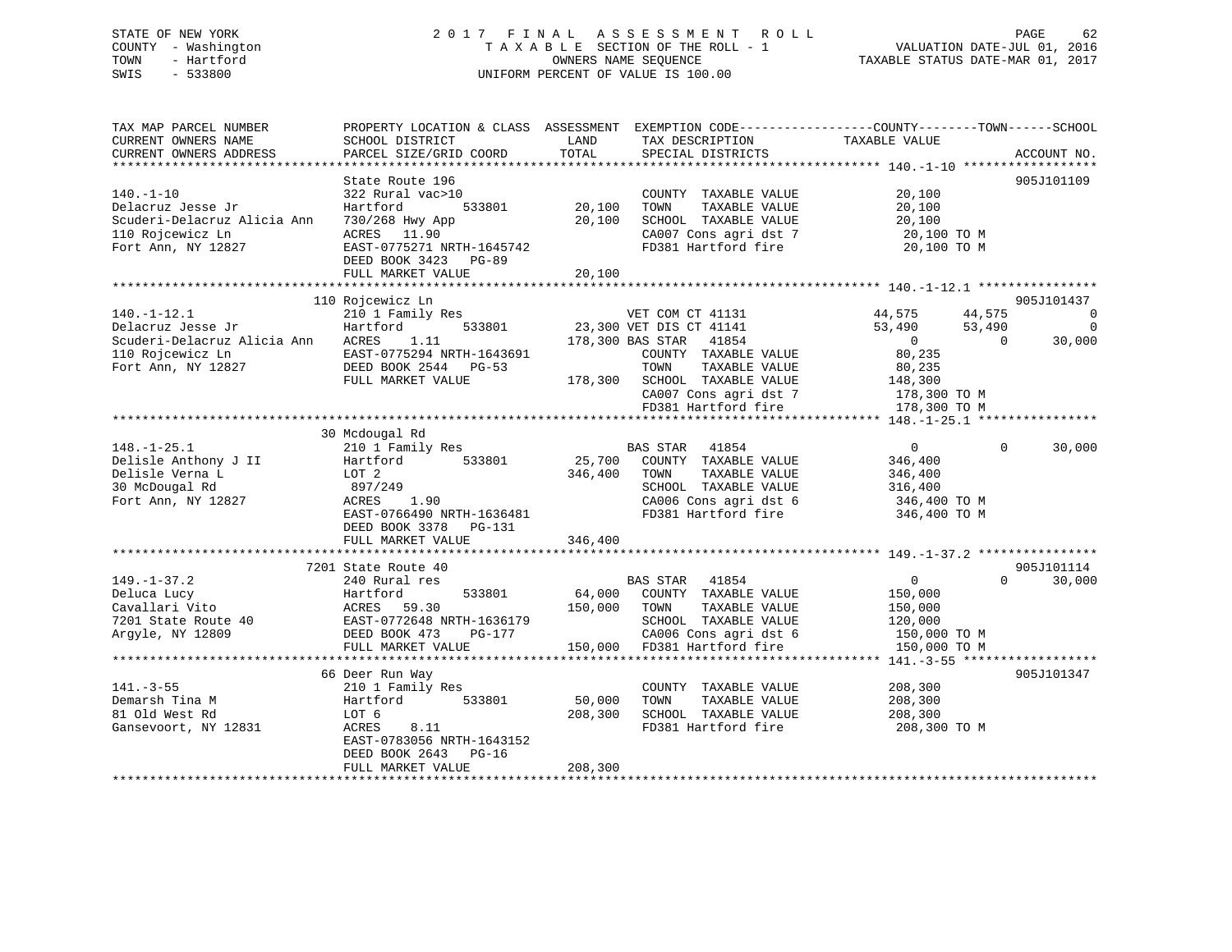### STATE OF NEW YORK 2 0 1 7 F I N A L A S S E S S M E N T R O L L PAGE 62 COUNTY - Washington T A X A B L E SECTION OF THE ROLL - 1 VALUATION DATE-JUL 01, 2016 TOWN - Hartford **TAXABLE STATUS DATE-MAR 01, 2017** SWIS - 533800 UNIFORM PERCENT OF VALUE IS 100.00

| TAX MAP PARCEL NUMBER<br>CURRENT OWNERS NAME                                                                    | PROPERTY LOCATION & CLASS ASSESSMENT<br>SCHOOL DISTRICT                                                                                  | LAND                         | EXEMPTION CODE----------------COUNTY-------TOWN------SCHOOL<br>TAX DESCRIPTION                                                                 | TAXABLE VALUE                                                                   |                                            |
|-----------------------------------------------------------------------------------------------------------------|------------------------------------------------------------------------------------------------------------------------------------------|------------------------------|------------------------------------------------------------------------------------------------------------------------------------------------|---------------------------------------------------------------------------------|--------------------------------------------|
| CURRENT OWNERS ADDRESS<br>************************                                                              | PARCEL SIZE/GRID COORD                                                                                                                   | TOTAL                        | SPECIAL DISTRICTS                                                                                                                              |                                                                                 | ACCOUNT NO.                                |
|                                                                                                                 | State Route 196                                                                                                                          |                              |                                                                                                                                                |                                                                                 | 905J101109                                 |
| $140. - 1 - 10$<br>Delacruz Jesse Jr<br>Scuderi-Delacruz Alicia Ann<br>110 Rojcewicz Ln<br>Fort Ann, NY 12827   | 322 Rural vac>10<br>533801<br>Hartford<br>730/268 Hwy App<br>ACRES 11.90<br>EAST-0775271 NRTH-1645742<br>DEED BOOK 3423 PG-89            | 20,100<br>20,100             | COUNTY TAXABLE VALUE<br>TAXABLE VALUE<br>TOWN<br>SCHOOL TAXABLE VALUE<br>CA007 Cons agri dst 7<br>FD381 Hartford fire                          | 20,100<br>20,100<br>20,100<br>20,100 TO M<br>20,100 TO M                        |                                            |
|                                                                                                                 | FULL MARKET VALUE                                                                                                                        | 20,100                       |                                                                                                                                                |                                                                                 |                                            |
|                                                                                                                 |                                                                                                                                          |                              |                                                                                                                                                |                                                                                 |                                            |
| $140. - 1 - 12.1$<br>Delacruz Jesse Jr<br>Scuderi-Delacruz Alicia Ann<br>110 Rojcewicz Ln<br>Fort Ann, NY 12827 | 110 Rojcewicz Ln<br>210 1 Family Res<br>533801<br>Hartford<br>1.11<br>ACRES<br>EAST-0775294 NRTH-1643691<br>DEED BOOK 2544 PG-53         |                              | VET COM CT 41131<br>23,300 VET DIS CT 41141<br>178,300 BAS STAR 41854<br>COUNTY TAXABLE VALUE<br>TOWN<br>TAXABLE VALUE                         | 44,575<br>44,575<br>53,490<br>53,490<br>$\overline{0}$<br>80,235<br>80,235      | 905J101437<br>0<br>0<br>$\Omega$<br>30,000 |
|                                                                                                                 | FULL MARKET VALUE                                                                                                                        |                              | 178,300 SCHOOL TAXABLE VALUE<br>CA007 Cons agri dst 7<br>FD381 Hartford fire                                                                   | 148,300<br>178,300 TO M<br>178,300 TO M                                         |                                            |
|                                                                                                                 |                                                                                                                                          |                              |                                                                                                                                                |                                                                                 |                                            |
|                                                                                                                 | 30 Mcdougal Rd                                                                                                                           |                              |                                                                                                                                                |                                                                                 |                                            |
| $148. - 1 - 25.1$<br>Delisle Anthony J II<br>Delisle Verna L<br>30 McDougal Rd<br>Fort Ann, NY 12827            | 210 1 Family Res<br>Hartford<br>533801<br>LOT 2<br>897/249<br>ACRES<br>1.90<br>EAST-0766490 NRTH-1636481                                 | 346,400                      | BAS STAR 41854<br>25,700 COUNTY TAXABLE VALUE<br>TOWN<br>TAXABLE VALUE<br>SCHOOL TAXABLE VALUE<br>CA006 Cons agri dst 6<br>FD381 Hartford fire | $\overline{0}$<br>346,400<br>346,400<br>316,400<br>346,400 TO M<br>346,400 TO M | $\Omega$<br>30,000                         |
|                                                                                                                 | DEED BOOK 3378 PG-131<br>FULL MARKET VALUE                                                                                               | 346,400                      |                                                                                                                                                |                                                                                 |                                            |
|                                                                                                                 | 7201 State Route 40                                                                                                                      |                              |                                                                                                                                                |                                                                                 | 905J101114                                 |
| $149. - 1 - 37.2$<br>Deluca Lucy<br>Cavallari Vito<br>7201 State Route 40<br>Argyle, NY 12809                   | 240 Rural res<br>Hartford<br>533801<br>ACRES<br>59.30<br>EAST-0772648 NRTH-1636179<br>DEED BOOK 473<br>PG-177<br>FULL MARKET VALUE       | 64,000<br>150,000<br>150,000 | BAS STAR 41854<br>COUNTY TAXABLE VALUE<br>TOWN<br>TAXABLE VALUE<br>SCHOOL TAXABLE VALUE<br>CA006 Cons agri dst 6<br>FD381 Hartford fire        | $\overline{0}$<br>150,000<br>150,000<br>120,000<br>150,000 TO M<br>150,000 TO M | 30,000<br>$\Omega$                         |
|                                                                                                                 |                                                                                                                                          |                              |                                                                                                                                                |                                                                                 |                                            |
| $141. - 3 - 55$<br>Demarsh Tina M<br>81 Old West Rd<br>Gansevoort, NY 12831                                     | 66 Deer Run Way<br>210 1 Family Res<br>533801<br>Hartford<br>LOT 6<br>8.11<br>ACRES<br>EAST-0783056 NRTH-1643152<br>DEED BOOK 2643 PG-16 | 50,000<br>208,300            | COUNTY TAXABLE VALUE<br>TOWN<br>TAXABLE VALUE<br>SCHOOL TAXABLE VALUE<br>FD381 Hartford fire                                                   | 208,300<br>208,300<br>208,300<br>208,300 TO M                                   | 905J101347                                 |
|                                                                                                                 | FULL MARKET VALUE                                                                                                                        | 208,300                      |                                                                                                                                                |                                                                                 |                                            |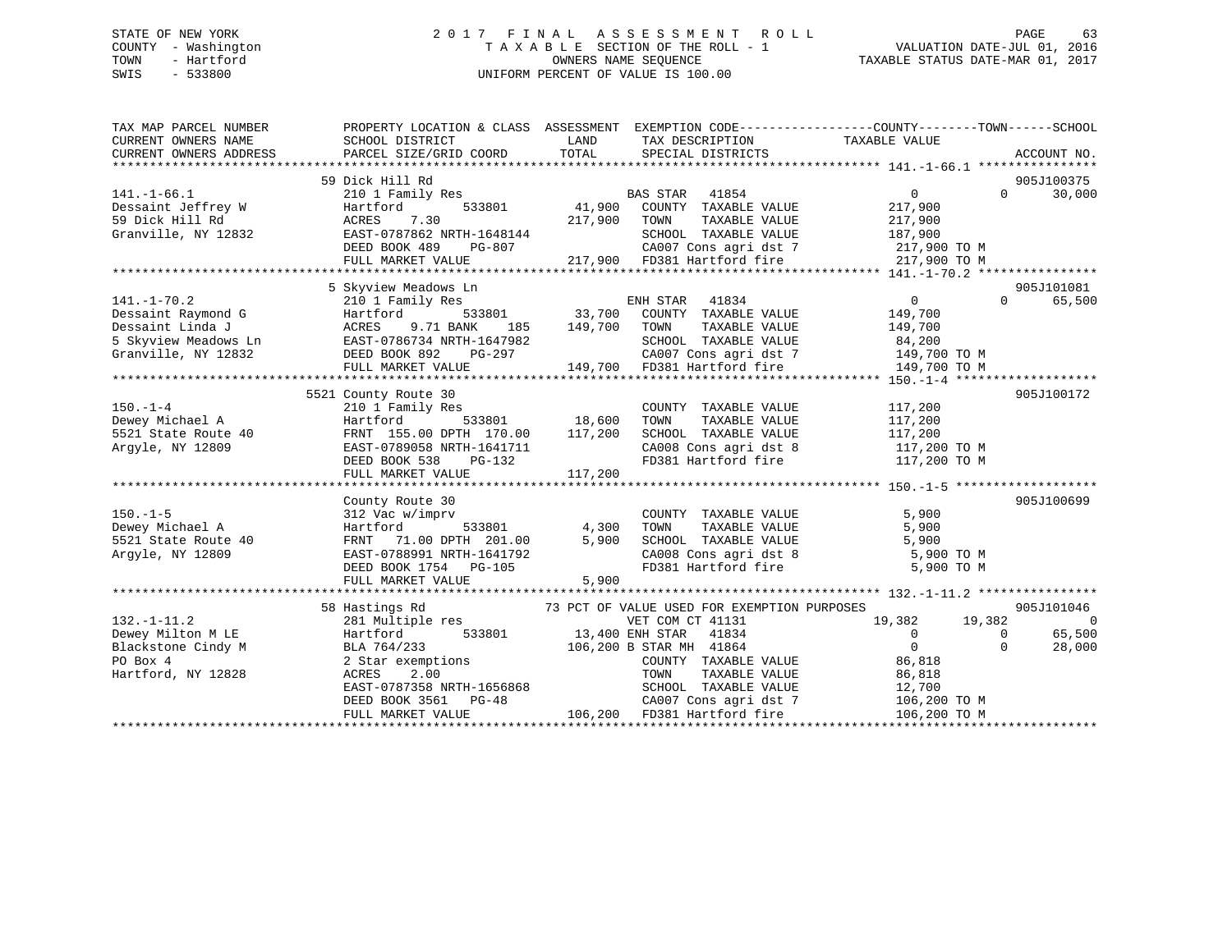### STATE OF NEW YORK 2 0 1 7 F I N A L A S S E S S M E N T R O L L PAGE 63 COUNTY - Washington T A X A B L E SECTION OF THE ROLL - 1 VALUATION DATE-JUL 01, 2016 TOWN - Hartford **TAXABLE STATUS DATE-MAR 01, 2017** SWIS - 533800 UNIFORM PERCENT OF VALUE IS 100.00

| TAX MAP PARCEL NUMBER<br>CURRENT OWNERS NAME<br>CURRENT OWNERS ADDRESS | PROPERTY LOCATION & CLASS ASSESSMENT EXEMPTION CODE----------------COUNTY-------TOWN-----SCHOOL<br>SCHOOL DISTRICT<br>PARCEL SIZE/GRID COORD | LAND<br>TOTAL   | TAX DESCRIPTION TAXABLE VALUE<br>SPECIAL DISTRICTS    |                                                                         |          | ACCOUNT NO.    |
|------------------------------------------------------------------------|----------------------------------------------------------------------------------------------------------------------------------------------|-----------------|-------------------------------------------------------|-------------------------------------------------------------------------|----------|----------------|
|                                                                        |                                                                                                                                              |                 |                                                       |                                                                         |          |                |
|                                                                        | 59 Dick Hill Rd                                                                                                                              |                 |                                                       |                                                                         | $\Omega$ | 905J100375     |
| $141. - 1 - 66.1$                                                      | 210 1 Family Res                                                                                                                             |                 | <b>BAS STAR</b><br>41854                              | $\overline{0}$                                                          |          | 30,000         |
| Dessaint Jeffrey W<br>59 Dick Hill Rd                                  | 533801<br>Hartford<br>7.30                                                                                                                   | 41,900          | COUNTY TAXABLE VALUE                                  | 217,900                                                                 |          |                |
|                                                                        | ACRES                                                                                                                                        | 217,900         | TAXABLE VALUE<br>TOWN<br>SCHOOL TAXABLE VALUE         | 217,900                                                                 |          |                |
| Granville, NY 12832                                                    | EAST-0787862 NRTH-1648144                                                                                                                    |                 | CA007 Cons agri dst 7                                 | 187,900                                                                 |          |                |
|                                                                        | DEED BOOK 489<br>PG-807<br>FULL MARKET VALUE                                                                                                 |                 | 217,900 FD381 Hartford fire                           | 217,900 TO M<br>217,900 TO M                                            |          |                |
|                                                                        |                                                                                                                                              |                 |                                                       |                                                                         |          |                |
|                                                                        |                                                                                                                                              |                 |                                                       |                                                                         |          |                |
|                                                                        | 5 Skyview Meadows Ln                                                                                                                         |                 |                                                       |                                                                         |          | 905J101081     |
| $141. - 1 - 70.2$                                                      | 210 1 Family Res                                                                                                                             |                 | ENH STAR<br>41834                                     | $\overline{0}$                                                          | $\Omega$ | 65,500         |
| Dessaint Raymond G                                                     | Hartford<br>9.71 BANK                                                                                                                        |                 | 533801 33,700 COUNTY TAXABLE VALUE                    | 149,700                                                                 |          |                |
| Dessaint Linda J<br>5 Skyview Meadows Ln EAST-0786734 NRTH-1647982     | ACRES<br>185                                                                                                                                 | 149,700         | TOWN<br>TAXABLE VALUE                                 | 149,700                                                                 |          |                |
|                                                                        |                                                                                                                                              |                 | SCHOOL TAXABLE VALUE                                  | 84,200<br>149,700 TO M                                                  |          |                |
| Granville, NY 12832                                                    | DEED BOOK 892<br>PG-297                                                                                                                      |                 |                                                       |                                                                         |          |                |
|                                                                        | FULL MARKET VALUE                                                                                                                            |                 | CAUU / Cons agri dst 7<br>149,700 FD381 Hartford fire | 149,700 TO M                                                            |          |                |
|                                                                        |                                                                                                                                              |                 |                                                       |                                                                         |          |                |
|                                                                        | 5521 County Route 30                                                                                                                         |                 |                                                       |                                                                         |          | 905J100172     |
| $150. - 1 - 4$                                                         | 210 1 Family Res                                                                                                                             |                 | COUNTY TAXABLE VALUE                                  | 117,200                                                                 |          |                |
| Dewey Michael A                                                        | Hartford                                                                                                                                     | 533801 18,600   | TAXABLE VALUE<br>TOWN                                 | 117,200                                                                 |          |                |
| 5521 State Route 40                                                    | FRNT 155.00 DPTH 170.00                                                                                                                      | 117,200         | SCHOOL TAXABLE VALUE                                  | 117,200                                                                 |          |                |
| Argyle, NY 12809                                                       | EAST-0789058 NRTH-1641711                                                                                                                    |                 | CA008 Cons agri dst 8                                 | 117,200 TO M                                                            |          |                |
|                                                                        | DEED BOOK 538<br>PG-132                                                                                                                      |                 |                                                       | FD381 Hartford fire 117,200 TO M                                        |          |                |
|                                                                        | FULL MARKET VALUE                                                                                                                            | 117,200         |                                                       |                                                                         |          |                |
|                                                                        |                                                                                                                                              |                 |                                                       |                                                                         |          |                |
|                                                                        | County Route 30                                                                                                                              |                 |                                                       |                                                                         |          | 905J100699     |
| $150. - 1 - 5$                                                         | 312 Vac w/imprv                                                                                                                              |                 | COUNTY TAXABLE VALUE                                  | 5,900                                                                   |          |                |
| Dewey Michael A                                                        | Hartford<br>533801                                                                                                                           | 4,300           | TOWN<br>TAXABLE VALUE                                 | 5,900                                                                   |          |                |
| 5521 State Route 40                                                    | FRNT 71.00 DPTH 201.00                                                                                                                       | 5,900           | SCHOOL TAXABLE VALUE                                  | 5,900<br>SCHOOL TAXABLE VALUE 5,900<br>CA008 Cons agri dst 8 5,900 TO M |          |                |
| Argyle, NY 12809                                                       | EAST-0788991 NRTH-1641792                                                                                                                    |                 | FD381 Hartford fire                                   |                                                                         |          |                |
|                                                                        | DEED BOOK 1754 PG-105                                                                                                                        |                 |                                                       | 5,900 TO M                                                              |          |                |
|                                                                        | FULL MARKET VALUE                                                                                                                            | 5,900           |                                                       |                                                                         |          |                |
|                                                                        |                                                                                                                                              |                 |                                                       |                                                                         |          | 905J101046     |
|                                                                        | 58 Hastings Rd                                                                                                                               |                 | 73 PCT OF VALUE USED FOR EXEMPTION PURPOSES           |                                                                         | 19,382   |                |
| $132. - 1 - 11.2$                                                      | 281 Multiple res<br>533801                                                                                                                   |                 | VET COM CT 41131                                      | 19,382<br>$\Omega$                                                      | $\Omega$ | $\overline{0}$ |
| Dewey Milton M LE                                                      | Hartford                                                                                                                                     | 13,400 ENH STAR | 41834                                                 | $\overline{0}$                                                          |          | 65,500         |
| Blackstone Cindy M                                                     | BLA 764/233                                                                                                                                  |                 | 106,200 B STAR MH 41864                               | 86,818                                                                  | $\Omega$ | 28,000         |
| PO Box 4                                                               | 2 Star exemptions                                                                                                                            |                 | COUNTY TAXABLE VALUE                                  |                                                                         |          |                |
| Hartford, NY 12828                                                     | ACRES<br>2.00<br>EAST-0787358 NRTH-1656868                                                                                                   |                 | TAXABLE VALUE<br>TOWN<br>SCHOOL TAXABLE VALUE         | 86,818<br>12,700                                                        |          |                |
|                                                                        |                                                                                                                                              |                 |                                                       |                                                                         |          |                |
|                                                                        | DEED BOOK 3561 PG-48                                                                                                                         | 106,200         | CA007 Cons agri dst 7<br>FD381 Hartford fire          | 106,200 TO M                                                            |          |                |
|                                                                        | FULL MARKET VALUE                                                                                                                            |                 |                                                       | 106,200 TO M                                                            |          |                |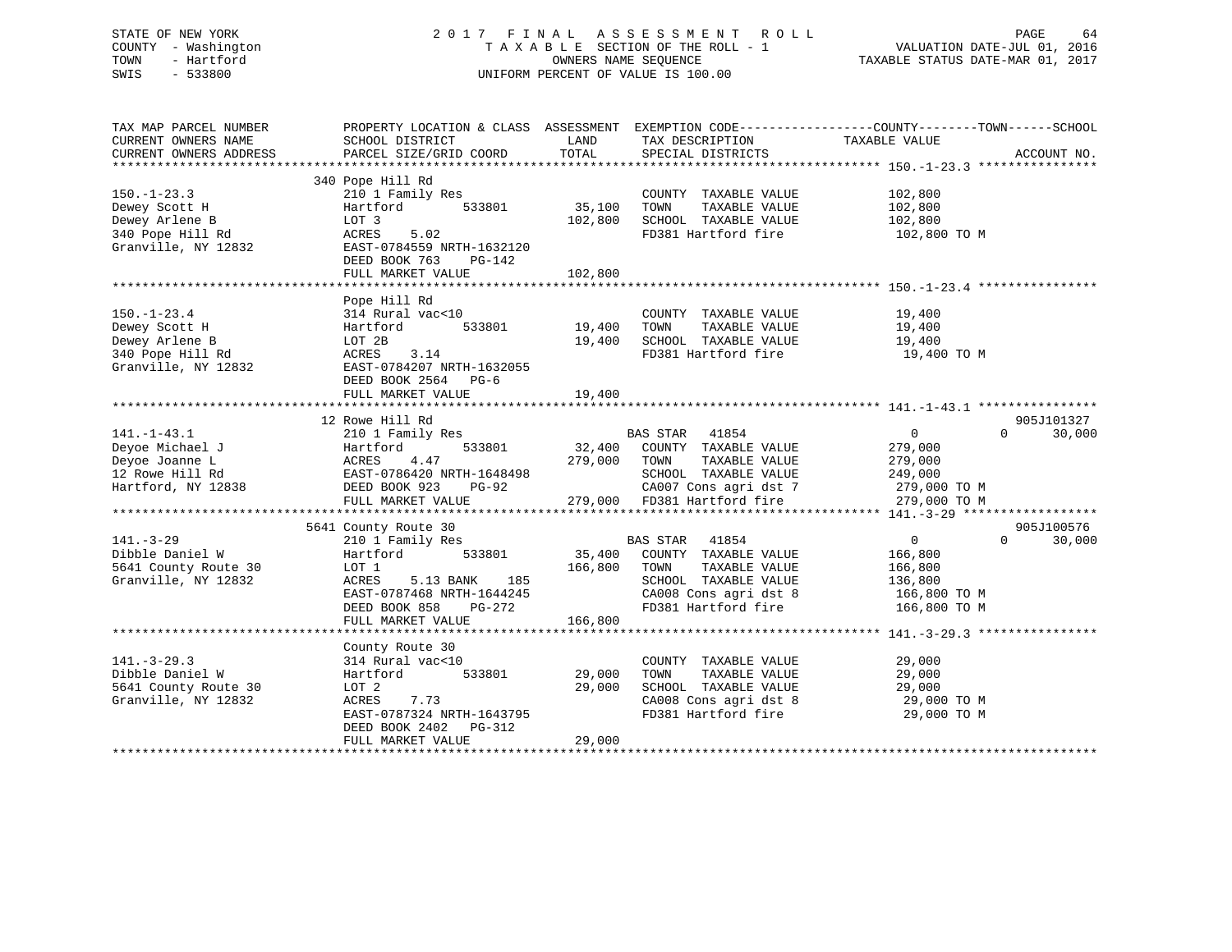### STATE OF NEW YORK 2 0 1 7 F I N A L A S S E S S M E N T R O L L PAGE 64 COUNTY - Washington T A X A B L E SECTION OF THE ROLL - 1 VALUATION DATE-JUL 01, 2016 TOWN - Hartford **TAXABLE STATUS DATE-MAR 01, 2017** SWIS - 533800 UNIFORM PERCENT OF VALUE IS 100.00

| TAX MAP PARCEL NUMBER<br>CURRENT OWNERS NAME<br>CURRENT OWNERS ADDRESS                          | PROPERTY LOCATION & CLASS ASSESSMENT<br>SCHOOL DISTRICT<br>PARCEL SIZE/GRID COORD                                                                                                 | LAND<br>TOTAL                | EXEMPTION CODE-----------------COUNTY-------TOWN------SCHOOL<br>TAX DESCRIPTION<br>SPECIAL DISTRICTS                                              | TAXABLE VALUE                                                                 | ACCOUNT NO.                      |
|-------------------------------------------------------------------------------------------------|-----------------------------------------------------------------------------------------------------------------------------------------------------------------------------------|------------------------------|---------------------------------------------------------------------------------------------------------------------------------------------------|-------------------------------------------------------------------------------|----------------------------------|
| $150. - 1 - 23.3$<br>Dewey Scott H<br>Dewey Arlene B<br>340 Pope Hill Rd<br>Granville, NY 12832 | 340 Pope Hill Rd<br>210 1 Family Res<br>Hartford<br>533801<br>LOT 3<br>ACRES<br>5.02<br>EAST-0784559 NRTH-1632120<br>DEED BOOK 763<br>PG-142<br>FULL MARKET VALUE                 | 35,100<br>102,800<br>102,800 | COUNTY TAXABLE VALUE<br>TOWN<br>TAXABLE VALUE<br>SCHOOL TAXABLE VALUE<br>FD381 Hartford fire                                                      | 102,800<br>102,800<br>102,800<br>102,800 TO M                                 |                                  |
| $150. - 1 - 23.4$<br>Dewey Scott H<br>Dewey Arlene B<br>340 Pope Hill Rd<br>Granville, NY 12832 | Pope Hill Rd<br>314 Rural vac<10<br>533801<br>Hartford<br>LOT 2B<br>ACRES<br>3.14<br>EAST-0784207 NRTH-1632055<br>DEED BOOK 2564 PG-6<br>FULL MARKET VALUE                        | 19,400<br>19,400<br>19,400   | COUNTY TAXABLE VALUE<br>TOWN<br>TAXABLE VALUE<br>SCHOOL TAXABLE VALUE<br>FD381 Hartford fire                                                      | 19,400<br>19,400<br>19,400<br>19,400 TO M                                     |                                  |
| $141. - 1 - 43.1$<br>Deyoe Michael J<br>Deyoe Joanne L<br>12 Rowe Hill Rd<br>Hartford, NY 12838 | 12 Rowe Hill Rd<br>210 1 Family Res<br>533801<br>Hartford<br>4.47<br>ACRES<br>EAST-0786420 NRTH-1648498<br>DEED BOOK 923<br><b>PG-92</b>                                          | 32,400<br>279,000            | BAS STAR 41854<br>COUNTY TAXABLE VALUE<br>TOWN<br>TAXABLE VALUE<br>SCHOOL TAXABLE VALUE<br>CA007 Cons agri dst 7                                  | $\overline{0}$<br>279,000<br>279,000<br>249,000<br>279,000 TO M               | 905J101327<br>30,000<br>$\Omega$ |
|                                                                                                 | FULL MARKET VALUE                                                                                                                                                                 |                              | 279,000 FD381 Hartford fire                                                                                                                       | 279,000 TO M                                                                  |                                  |
| $141. - 3 - 29$<br>Dibble Daniel W<br>5641 County Route 30<br>Granville, NY 12832               | 5641 County Route 30<br>210 1 Family Res<br>533801<br>Hartford<br>LOT 1<br>ACRES<br>5.13 BANK<br>185<br>EAST-0787468 NRTH-1644245<br>DEED BOOK 858<br>PG-272<br>FULL MARKET VALUE | 35,400<br>166,800<br>166,800 | <b>BAS STAR</b><br>41854<br>COUNTY TAXABLE VALUE<br>TOWN<br>TAXABLE VALUE<br>SCHOOL TAXABLE VALUE<br>CA008 Cons agri dst 8<br>FD381 Hartford fire | $\mathsf{O}$<br>166,800<br>166,800<br>136,800<br>166,800 TO M<br>166,800 TO M | 905J100576<br>$\Omega$<br>30,000 |
| $141. - 3 - 29.3$<br>Dibble Daniel W<br>5641 County Route 30<br>Granville, NY 12832             | County Route 30<br>314 Rural vac<10<br>533801<br>Hartford<br>LOT 2<br>ACRES<br>7.73<br>EAST-0787324 NRTH-1643795<br>DEED BOOK 2402<br>PG-312<br>FULL MARKET VALUE                 | 29,000<br>29,000<br>29,000   | COUNTY TAXABLE VALUE<br>TOWN<br>TAXABLE VALUE<br>SCHOOL TAXABLE VALUE<br>CA008 Cons agri dst 8<br>FD381 Hartford fire                             | 29,000<br>29,000<br>29,000<br>29,000 TO M<br>29,000 TO M                      |                                  |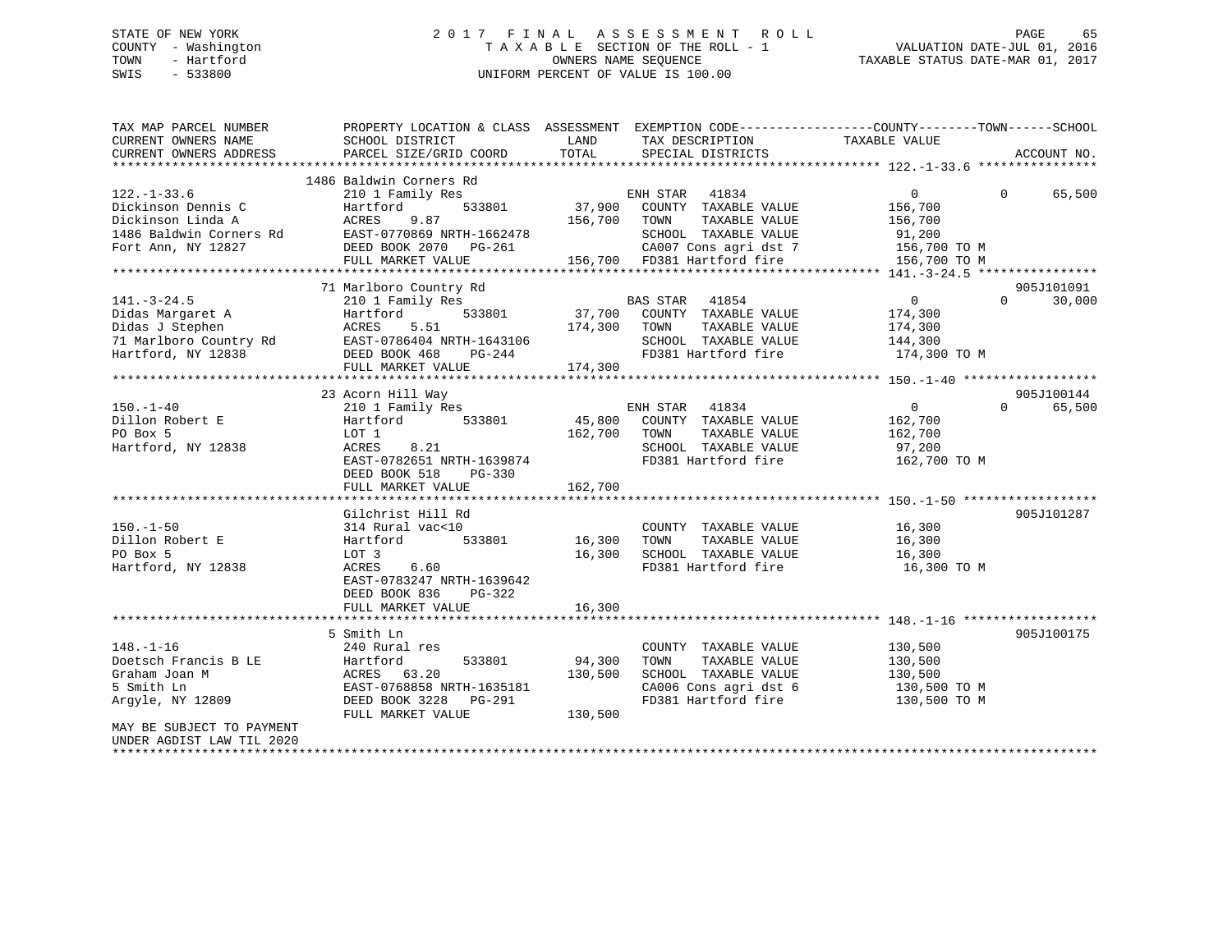### STATE OF NEW YORK 2 0 1 7 F I N A L A S S E S S M E N T R O L L PAGE 65 COUNTY - Washington T A X A B L E SECTION OF THE ROLL - 1 VALUATION DATE-JUL 01, 2016 TOWN - Hartford **TAXABLE STATUS DATE-MAR 01, 2017** SWIS - 533800 UNIFORM PERCENT OF VALUE IS 100.00

| TAX MAP PARCEL NUMBER<br>CURRENT OWNERS NAME<br>CURRENT OWNERS ADDRESS                                                                                                                                                                                   | PROPERTY LOCATION & CLASS ASSESSMENT EXEMPTION CODE---------------COUNTY-------TOWN-----SCHOOL<br>SCHOOL DISTRICT<br>PARCEL SIZE/GRID COORD | LAND<br>TOTAL | TAX DESCRIPTION TAXABLE VALUE SPECIAL DISTRICTS                                   |                                    | ACCOUNT NO.        |
|----------------------------------------------------------------------------------------------------------------------------------------------------------------------------------------------------------------------------------------------------------|---------------------------------------------------------------------------------------------------------------------------------------------|---------------|-----------------------------------------------------------------------------------|------------------------------------|--------------------|
|                                                                                                                                                                                                                                                          |                                                                                                                                             |               |                                                                                   |                                    |                    |
|                                                                                                                                                                                                                                                          | 1486 Baldwin Corners Rd                                                                                                                     |               |                                                                                   |                                    |                    |
| $122. - 1 - 33.6$                                                                                                                                                                                                                                        | 210 1 Family Res                                                                                                                            |               | ENH STAR 41834<br>801 37,900 COUNTY TAXABLE VALUE                                 | $0 \qquad \qquad$                  | $\Omega$<br>65,500 |
|                                                                                                                                                                                                                                                          |                                                                                                                                             |               |                                                                                   | 156,700                            |                    |
|                                                                                                                                                                                                                                                          | 156,700 TOWN                                                                                                                                |               | TAXABLE VALUE                                                                     | 156,700                            |                    |
|                                                                                                                                                                                                                                                          |                                                                                                                                             |               | SCHOOL TAXABLE VALUE                                                              | 91,200                             |                    |
| Pickinson Dennis C<br>Dickinson Dennis C<br>Dickinson Linda A<br>27,900<br>1486 Baldwin Corners Rd<br>Fort Ann, NY 12827<br>ELEM BOOK 2070<br>DEED BOOK 2070<br>DEED BOOK 2070<br>PG-261<br>TH-1662478<br>Fort Ann, NY 12827<br>DEED BOOK 2070<br>PG-261 |                                                                                                                                             |               |                                                                                   | CA007 Cons agri dst 7 156,700 TO M |                    |
|                                                                                                                                                                                                                                                          | FULL MARKET VALUE                                                                                                                           |               | 156,700 FD381 Hartford fire                                                       | 156,700 TO M                       |                    |
|                                                                                                                                                                                                                                                          |                                                                                                                                             |               |                                                                                   |                                    |                    |
|                                                                                                                                                                                                                                                          | 71 Marlboro Country Rd                                                                                                                      |               |                                                                                   |                                    | 905J101091         |
| $141. - 3 - 24.5$                                                                                                                                                                                                                                        | 210 1 Family Res                                                                                                                            |               | <b>BAS STAR</b> 41854                                                             | $\overline{0}$                     | 30,000<br>$\Omega$ |
|                                                                                                                                                                                                                                                          |                                                                                                                                             |               | Y Res<br>533801 37,700 COUNTY TAXABLE VALUE<br>533801 37,700 COUNTY TAXABLE VALUE | 174,300                            |                    |
|                                                                                                                                                                                                                                                          |                                                                                                                                             |               |                                                                                   | 174,300                            |                    |
|                                                                                                                                                                                                                                                          |                                                                                                                                             |               | SCHOOL TAXABLE VALUE 144,300                                                      |                                    |                    |
| Find Margaret A<br>Didas Margaret A<br>Didas J Stephen Margaret A<br>T1 Marlboro Country Rd<br>Hartford, NY 12838<br>ERST-0786404 NRTH-1643106<br>Hartford, NY 12838<br>PULL MARKET VALUE                                                                |                                                                                                                                             |               | FD381 Hartford fire                                                               | 174,300 TO M                       |                    |
|                                                                                                                                                                                                                                                          | FULL MARKET VALUE                                                                                                                           | 174,300       |                                                                                   |                                    |                    |
|                                                                                                                                                                                                                                                          |                                                                                                                                             |               |                                                                                   |                                    |                    |
|                                                                                                                                                                                                                                                          | 23 Acorn Hill Way                                                                                                                           |               |                                                                                   |                                    | 905J100144         |
| $150. - 1 - 40$                                                                                                                                                                                                                                          | 210 1 Family Res                                                                                                                            |               |                                                                                   | $\overline{0}$                     | $\Omega$<br>65,500 |
| Dillon Robert E                                                                                                                                                                                                                                          |                                                                                                                                             |               | ENH STAR 41834<br>45,800 COUNTY TAXABLE VALUE                                     | 162,700                            |                    |
| PO Box 5                                                                                                                                                                                                                                                 | LOT 1                                                                                                                                       | 162,700 TOWN  |                                                                                   | TAXABLE VALUE 162,700              |                    |
| Hartford, NY 12838                                                                                                                                                                                                                                       | ACRES<br>8.21                                                                                                                               |               | SCHOOL TAXABLE VALUE                                                              | 97,200                             |                    |
|                                                                                                                                                                                                                                                          | EAST-0782651 NRTH-1639874                                                                                                                   |               |                                                                                   | FD381 Hartford fire 162,700 TO M   |                    |
|                                                                                                                                                                                                                                                          | DEED BOOK 518<br>PG-330                                                                                                                     |               |                                                                                   |                                    |                    |
|                                                                                                                                                                                                                                                          | FULL MARKET VALUE                                                                                                                           | 162,700       |                                                                                   |                                    |                    |
|                                                                                                                                                                                                                                                          |                                                                                                                                             |               |                                                                                   |                                    |                    |
|                                                                                                                                                                                                                                                          | Gilchrist Hill Rd                                                                                                                           |               |                                                                                   |                                    | 905J101287         |
| $150. - 1 - 50$                                                                                                                                                                                                                                          | 314 Rural vac<10                                                                                                                            |               | COUNTY TAXABLE VALUE 16,300                                                       |                                    |                    |
| Dillon Robert E                                                                                                                                                                                                                                          | Hartford 533801                                                                                                                             | 16,300 TOWN   | TAXABLE VALUE                                                                     | 16,300                             |                    |
| PO Box 5                                                                                                                                                                                                                                                 | LOT 3                                                                                                                                       | 16,300        | SCHOOL TAXABLE VALUE 16,300                                                       |                                    |                    |
| Hartford, NY 12838                                                                                                                                                                                                                                       | ACRES 6.60                                                                                                                                  |               | FD381 Hartford fire                                                               | 16,300 TO M                        |                    |
|                                                                                                                                                                                                                                                          | EAST-0783247 NRTH-1639642                                                                                                                   |               |                                                                                   |                                    |                    |
|                                                                                                                                                                                                                                                          | DEED BOOK 836<br>PG-322                                                                                                                     |               |                                                                                   |                                    |                    |
|                                                                                                                                                                                                                                                          | FULL MARKET VALUE                                                                                                                           | 16,300        |                                                                                   |                                    |                    |
|                                                                                                                                                                                                                                                          |                                                                                                                                             |               |                                                                                   |                                    |                    |
|                                                                                                                                                                                                                                                          | 5 Smith Ln                                                                                                                                  |               |                                                                                   |                                    | 905J100175         |
| $148. - 1 - 16$                                                                                                                                                                                                                                          | 240 Rural res                                                                                                                               |               | COUNTY TAXABLE VALUE                                                              | 130,500                            |                    |
|                                                                                                                                                                                                                                                          | 533801<br>Hartford                                                                                                                          | 94,300        | TAXABLE VALUE<br>TOWN                                                             | 130,500                            |                    |
|                                                                                                                                                                                                                                                          | ACRES 63.20                                                                                                                                 | 130,500       | SCHOOL TAXABLE VALUE 130,500                                                      |                                    |                    |
| Doetsch Francis B LE<br>Graham Joan M<br>5 Smith Ln<br>Argyle, NY 12809                                                                                                                                                                                  | EAST-0768858 NRTH-1635181                                                                                                                   |               |                                                                                   | 130,500 TO M                       |                    |
|                                                                                                                                                                                                                                                          | DEED BOOK 3228<br>PG-291                                                                                                                    |               | CA006 Cons agri dst 6<br>FD381 Hartford fire                                      | 130,500 TO M                       |                    |
|                                                                                                                                                                                                                                                          | FULL MARKET VALUE                                                                                                                           | 130,500       |                                                                                   |                                    |                    |
| MAY BE SUBJECT TO PAYMENT                                                                                                                                                                                                                                |                                                                                                                                             |               |                                                                                   |                                    |                    |
| UNDER AGDIST LAW TIL 2020                                                                                                                                                                                                                                |                                                                                                                                             |               |                                                                                   |                                    |                    |
|                                                                                                                                                                                                                                                          |                                                                                                                                             |               |                                                                                   |                                    |                    |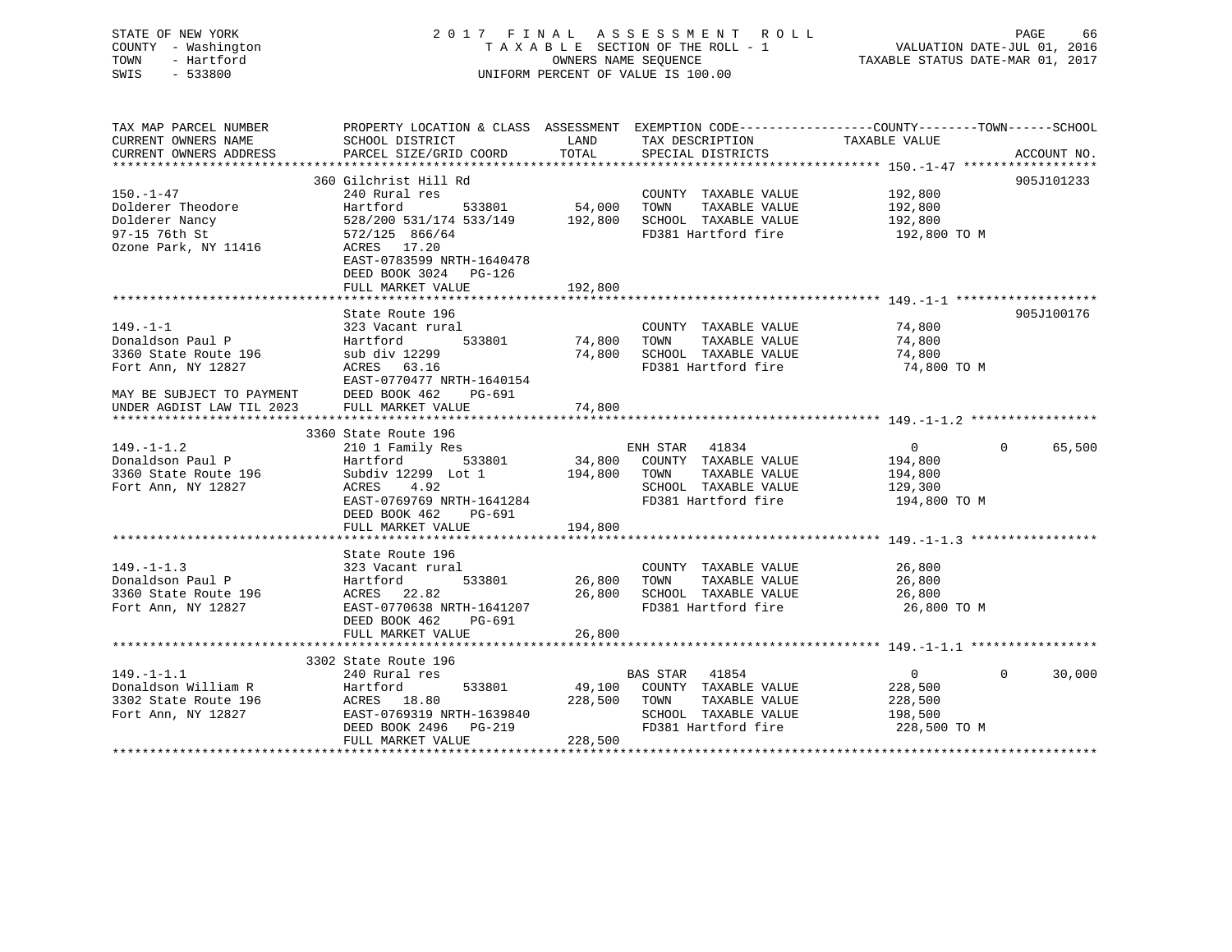| STATE OF NEW YORK |                     | 2017 FINAL ASSESSMENT ROLL |                                    |                                  | PAGE | 66 |
|-------------------|---------------------|----------------------------|------------------------------------|----------------------------------|------|----|
|                   | COUNTY - Washington |                            | TAXABLE SECTION OF THE ROLL - 1    | VALUATION DATE-JUL 01, 2016      |      |    |
| TOWN              | - Hartford          |                            | OWNERS NAME SEOUENCE               | TAXABLE STATUS DATE-MAR 01, 2017 |      |    |
| SWIS              | - 533800            |                            | UNIFORM PERCENT OF VALUE IS 100.00 |                                  |      |    |
|                   |                     |                            |                                    |                                  |      |    |
|                   |                     |                            |                                    |                                  |      |    |

| TAX MAP PARCEL NUMBER<br>CURRENT OWNERS NAME                                                                                               | PROPERTY LOCATION & CLASS ASSESSMENT EXEMPTION CODE---------------COUNTY-------TOWN------SCHOOL<br>SCHOOL DISTRICT                                                                                                 | LAND               | TAX DESCRIPTION                                                                                                                    | TAXABLE VALUE                                                   |                    |
|--------------------------------------------------------------------------------------------------------------------------------------------|--------------------------------------------------------------------------------------------------------------------------------------------------------------------------------------------------------------------|--------------------|------------------------------------------------------------------------------------------------------------------------------------|-----------------------------------------------------------------|--------------------|
| CURRENT OWNERS ADDRESS                                                                                                                     | PARCEL SIZE/GRID COORD                                                                                                                                                                                             | TOTAL              | SPECIAL DISTRICTS                                                                                                                  |                                                                 | ACCOUNT NO.        |
|                                                                                                                                            |                                                                                                                                                                                                                    |                    |                                                                                                                                    |                                                                 |                    |
| $150. - 1 - 47$<br>Dolderer Theodore<br>Dolderer Nancy<br>97-15 76th St<br>Ozone Park, NY 11416                                            | 360 Gilchrist Hill Rd<br>240 Rural res<br>533801 54,000<br>Hartford<br>528/200 531/174 533/149 192,800<br>572/125 866/64<br>ACRES 17.20<br>EAST-0783599 NRTH-1640478<br>DEED BOOK 3024 PG-126<br>FULL MARKET VALUE | 192,800            | COUNTY TAXABLE VALUE 192,800<br>TOWN<br>TAXABLE VALUE<br>SCHOOL TAXABLE VALUE<br>FD381 Hartford fire                               | 192,800<br>192,800<br>192,800 TO M                              | 905J101233         |
|                                                                                                                                            |                                                                                                                                                                                                                    |                    |                                                                                                                                    |                                                                 |                    |
| $149. - 1 - 1$<br>Donaldson Paul P<br>3360 State Route 196<br>Fort Ann, NY 12827<br>MAY BE SUBJECT TO PAYMENT<br>UNDER AGDIST LAW TIL 2023 | State Route 196<br>323 Vacant rural<br>533801<br>Hartford<br>sub div 12299<br>ACRES 63.16<br>EAST-0770477 NRTH-1640154<br>DEED BOOK 462<br>PG-691<br>FULL MARKET VALUE                                             | 74,800<br>74,800   | COUNTY TAXABLE VALUE 74,800<br>TOWN<br>TAXABLE VALUE<br>74,800 SCHOOL TAXABLE VALUE<br>FD381 Hartford fire 74,800 TO M             | 74,800<br>74,800                                                | 905J100176         |
|                                                                                                                                            | 3360 State Route 196                                                                                                                                                                                               |                    |                                                                                                                                    |                                                                 |                    |
| $149. - 1 - 1.2$<br>Donaldson Paul P<br>3360 State Route 196<br>Fort Ann, NY 12827                                                         | 210 1 Family Res<br>Hartford 533801<br>Subdiv 12299 Lot 1<br>ACRES<br>4.92<br>EAST-0769769 NRTH-1641284<br>DEED BOOK 462<br>PG-691                                                                                 |                    | ENH STAR 41834<br>34,800 COUNTY TAXABLE VALUE<br>194,800 TOWN TAXABLE VALUE<br>SCHOOL TAXABLE VALUE 129,300<br>FD381 Hartford fire | $\overline{0}$<br>194,800<br>194,800<br>194,800 TO M            | 65,500<br>$\Omega$ |
|                                                                                                                                            | FULL MARKET VALUE                                                                                                                                                                                                  | 194,800            |                                                                                                                                    |                                                                 |                    |
| $149. - 1 - 1.3$<br>Donaldson Paul P<br>3360 State Route 196<br>Fort Ann, NY 12827                                                         | State Route 196<br>323 Vacant rural<br>533801<br>Hartford<br>ACRES 22.82<br>EAST-0770638 NRTH-1641207<br>DEED BOOK 462<br>PG-691<br>FULL MARKET VALUE                                                              | 26,800<br>26,800   | COUNTY TAXABLE VALUE 26,800<br>TOWN<br>TAXABLE VALUE<br>26,800 SCHOOL TAXABLE VALUE<br>FD381 Hartford fire                         | 26,800<br>26,800<br>26,800 TO M                                 |                    |
|                                                                                                                                            |                                                                                                                                                                                                                    |                    |                                                                                                                                    |                                                                 |                    |
|                                                                                                                                            | 3302 State Route 196                                                                                                                                                                                               |                    |                                                                                                                                    |                                                                 |                    |
| $149. - 1 - 1.1$<br>Donaldson William R<br>3302 State Route 196<br>Fort Ann, NY 12827                                                      | 240 Rural res<br>533801<br>Hartford<br>ACRES 18.80<br>EAST-0769319 NRTH-1639840<br>DEED BOOK 2496 PG-219<br>FULL MARKET VALUE                                                                                      | 228,500<br>228,500 | BAS STAR 41854<br>49,100 COUNTY TAXABLE VALUE<br>TOWN<br>TAXABLE VALUE<br>SCHOOL TAXABLE VALUE<br>FD381 Hartford fire              | $\overline{0}$<br>228,500<br>228,500<br>198,500<br>228,500 TO M | 30,000<br>$\Omega$ |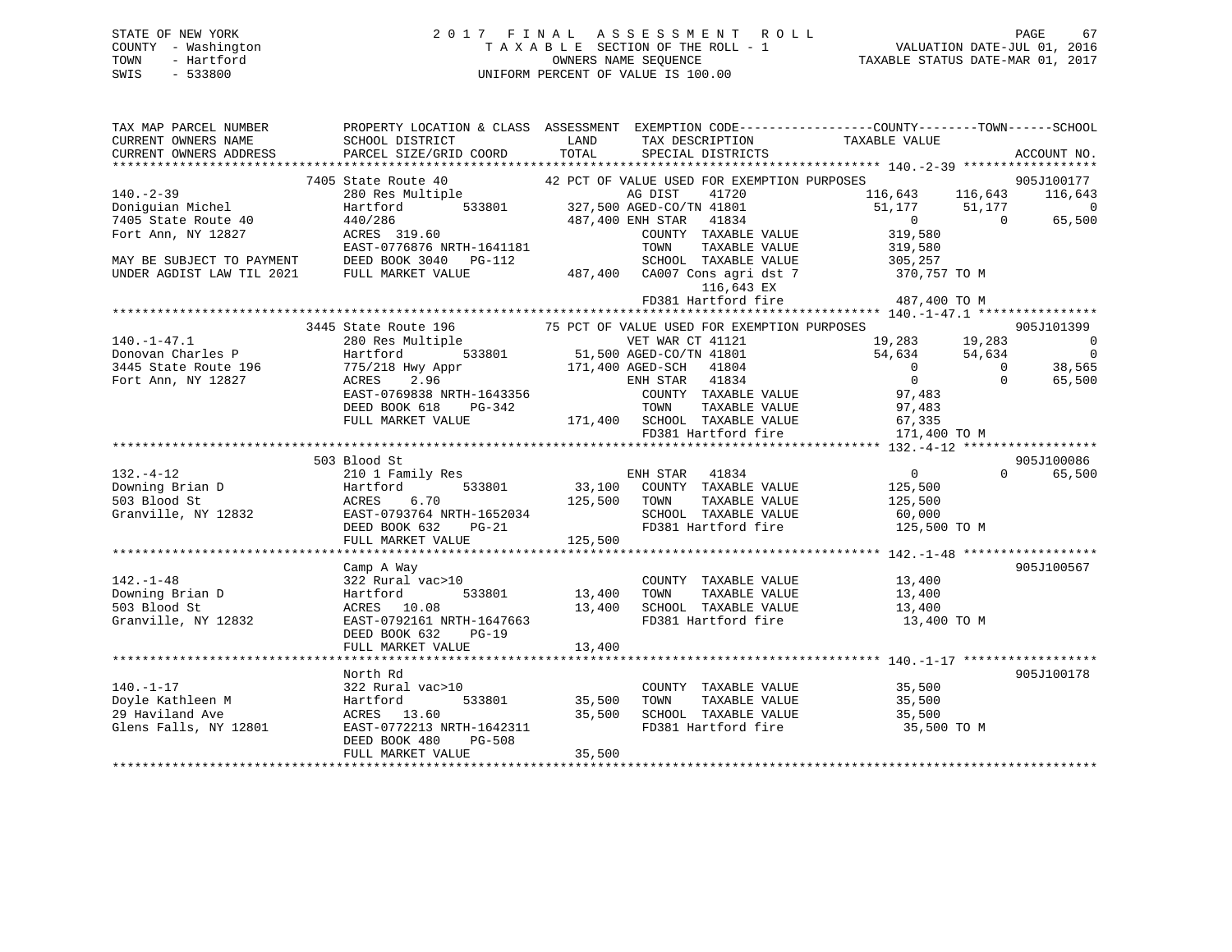STATE OF NEW YORK 2 0 1 7 F I N A L A S S E S S M E N T R O L L PAGE 67 COUNTY - Washington T A X A B L E SECTION OF THE ROLL - 1 VALUATION DATE-JUL 01, 2016 TOWN - Hartford **TAXABLE STATUS DATE-MAR 01, 2017** 

# SWIS - 533800 UNIFORM PERCENT OF VALUE IS 100.00

| TAX MAP PARCEL NUMBER                   | PROPERTY LOCATION & CLASS ASSESSMENT EXEMPTION CODE---------------COUNTY-------TOWN------SCHOOL                                                                                                                                                                                                                                                                               |             |                                                                                                                                                                                                |                               |          |                                    |
|-----------------------------------------|-------------------------------------------------------------------------------------------------------------------------------------------------------------------------------------------------------------------------------------------------------------------------------------------------------------------------------------------------------------------------------|-------------|------------------------------------------------------------------------------------------------------------------------------------------------------------------------------------------------|-------------------------------|----------|------------------------------------|
| CURRENT OWNERS NAME                     | SCHOOL DISTRICT                                                                                                                                                                                                                                                                                                                                                               | <b>LAND</b> | TAX DESCRIPTION                                                                                                                                                                                | TAXABLE VALUE                 |          |                                    |
| CURRENT OWNERS ADDRESS                  | PARCEL SIZE/GRID COORD                                                                                                                                                                                                                                                                                                                                                        | TOTAL       | SPECIAL DISTRICTS                                                                                                                                                                              |                               |          | ACCOUNT NO.                        |
|                                         |                                                                                                                                                                                                                                                                                                                                                                               |             |                                                                                                                                                                                                |                               |          |                                    |
| $140. -2 - 39$                          |                                                                                                                                                                                                                                                                                                                                                                               |             |                                                                                                                                                                                                | $116,643$ $116,643$ $116,643$ |          | 905J100177                         |
|                                         |                                                                                                                                                                                                                                                                                                                                                                               |             |                                                                                                                                                                                                |                               |          |                                    |
| Doniguian Michel<br>7405 State Route 40 |                                                                                                                                                                                                                                                                                                                                                                               |             |                                                                                                                                                                                                | $51,177$ $51,177$ 0           |          | $\overline{\phantom{0}}$<br>65,500 |
| Fort Ann, NY 12827                      | $\begin{tabular}{lllllllllllll} \bf 7405 \text{ State Route 40} & \tt 42 PCT OF VALUE USED FOR EXEMPITION PURPOSES \\ \bf 280 Res Multiple & \tt 437,500 AGED-CO/TN 41801 & \tt 140120 & \tt 14401286 & \tt 487,400 ENH STR & \tt 41834 \\ \bf  ACRES & \tt 319.60 & \tt 1407286 & \tt 1487,400 ENH STR & \tt 41834 & \tt 14834 & \tt 14834 & \tt 14834 & \tt 14834 & \tt 14$ |             |                                                                                                                                                                                                |                               |          |                                    |
|                                         | EAST-0776876 NRTH-1641181                                                                                                                                                                                                                                                                                                                                                     |             | TOWN                                                                                                                                                                                           |                               |          |                                    |
|                                         |                                                                                                                                                                                                                                                                                                                                                                               |             |                                                                                                                                                                                                |                               |          |                                    |
|                                         | MAY BE SUBJECT TO PAYMENT DEED BOOK 3040 PG-112<br>UNDER AGDIST LAW TIL 2021 FULL MARKET VALUE                                                                                                                                                                                                                                                                                |             |                                                                                                                                                                                                |                               |          |                                    |
|                                         |                                                                                                                                                                                                                                                                                                                                                                               |             | 305,257<br>487,400 CA007 Cons agri dst 7<br>487,400 CA007 Cons agri dst 7<br>487,400 CA007 Cons agri dst 7<br>487,400 TD 116,643 EX<br>487,400 TO M                                            |                               |          |                                    |
|                                         |                                                                                                                                                                                                                                                                                                                                                                               |             |                                                                                                                                                                                                |                               |          |                                    |
|                                         |                                                                                                                                                                                                                                                                                                                                                                               |             |                                                                                                                                                                                                |                               |          |                                    |
|                                         | 3445 State Route 196 75 PCT OF VALUE USED FOR EXEMPTION PURPOSES<br>280 Res Multiple 75 PCT OF VALUE USED FOR EXEMPTION PURPOSES                                                                                                                                                                                                                                              |             |                                                                                                                                                                                                |                               |          | 905J101399                         |
| $140. - 1 - 47.1$                       |                                                                                                                                                                                                                                                                                                                                                                               |             |                                                                                                                                                                                                | 19,283 19,283                 |          | $\overline{\phantom{0}}$           |
| Donovan Charles P                       |                                                                                                                                                                                                                                                                                                                                                                               |             |                                                                                                                                                                                                |                               |          | $\overline{0}$                     |
| 3445 State Route 196                    |                                                                                                                                                                                                                                                                                                                                                                               |             |                                                                                                                                                                                                | $54,634$ $54,634$ 0           |          | 38,565                             |
| Fort Ann, NY 12827                      |                                                                                                                                                                                                                                                                                                                                                                               |             |                                                                                                                                                                                                |                               | $\Omega$ | 65,500                             |
|                                         |                                                                                                                                                                                                                                                                                                                                                                               |             |                                                                                                                                                                                                |                               |          |                                    |
|                                         |                                                                                                                                                                                                                                                                                                                                                                               |             |                                                                                                                                                                                                |                               |          |                                    |
|                                         |                                                                                                                                                                                                                                                                                                                                                                               |             |                                                                                                                                                                                                |                               |          |                                    |
|                                         |                                                                                                                                                                                                                                                                                                                                                                               |             |                                                                                                                                                                                                | 171,400 TO M                  |          |                                    |
|                                         | 3445 State Route 196<br>280 Res Multiple 75 PCT or wave WIT WAR CT 41121<br>Hartford 533801 51,500 AGED-CO/TN 41801 54,634<br>775/218 Hwy Appr 171,400 AGED-SCH 41804 0<br>ACRES 2.96 ENH STAR 41834 0<br>EAST-0769838 NRTH-1643356 COUN                                                                                                                                      |             |                                                                                                                                                                                                |                               |          |                                    |
|                                         | 503 Blood St                                                                                                                                                                                                                                                                                                                                                                  |             |                                                                                                                                                                                                |                               |          | 905J100086                         |
| $132. - 4 - 12$                         |                                                                                                                                                                                                                                                                                                                                                                               |             |                                                                                                                                                                                                | $\overline{0}$                | $\Omega$ | 65,500                             |
|                                         |                                                                                                                                                                                                                                                                                                                                                                               |             |                                                                                                                                                                                                |                               |          |                                    |
|                                         |                                                                                                                                                                                                                                                                                                                                                                               |             |                                                                                                                                                                                                |                               |          |                                    |
|                                         |                                                                                                                                                                                                                                                                                                                                                                               |             |                                                                                                                                                                                                |                               |          |                                    |
|                                         | 132.-4-12<br>Downing Brian D<br>533801 533801 533801 535,100 COONTINABLE VALUE<br>503 Blood St<br>Granville, NY 12832 EAST-0793764 NRTH-1652034 SCHOOL TAXABLE VALUE<br>DEED BOOK 632 PG-21 FD381 Hartford fire 125,500 TO M<br>TEED BOOK                                                                                                                                     |             |                                                                                                                                                                                                |                               |          |                                    |
|                                         |                                                                                                                                                                                                                                                                                                                                                                               |             |                                                                                                                                                                                                |                               |          |                                    |
|                                         | Camp A Way                                                                                                                                                                                                                                                                                                                                                                    |             |                                                                                                                                                                                                |                               |          | 905J100567                         |
| $142. - 1 - 48$                         | $322$ Rural vac>10                                                                                                                                                                                                                                                                                                                                                            |             |                                                                                                                                                                                                |                               |          |                                    |
|                                         |                                                                                                                                                                                                                                                                                                                                                                               |             | $\begin{tabular}{lllllllllll} \multicolumn{2}{c}{\text{COUNTY}} & \text{TAXABLE VALUE} & & & 13\,400 \\ \multicolumn{2}{c}{\text{TOWN}} & \text{TAXABLE VALUE} & & & 13\,400 \\ \end{tabular}$ |                               |          |                                    |
| 503 Blood St                            |                                                                                                                                                                                                                                                                                                                                                                               |             |                                                                                                                                                                                                |                               |          |                                    |
| Granville, NY 12832                     | ACRES 10.08 13,400 SCHOOL TAXABLE VALUE 13,400<br>EAST-0792161 NRTH-1647663 FD381 Hartford fire 13,400 TO M                                                                                                                                                                                                                                                                   |             |                                                                                                                                                                                                |                               |          |                                    |
|                                         | DEED BOOK 632 PG-19                                                                                                                                                                                                                                                                                                                                                           |             |                                                                                                                                                                                                |                               |          |                                    |
|                                         |                                                                                                                                                                                                                                                                                                                                                                               |             |                                                                                                                                                                                                |                               |          |                                    |
|                                         |                                                                                                                                                                                                                                                                                                                                                                               |             |                                                                                                                                                                                                |                               |          |                                    |
|                                         | North Rd                                                                                                                                                                                                                                                                                                                                                                      |             |                                                                                                                                                                                                |                               |          | 905J100178                         |
|                                         |                                                                                                                                                                                                                                                                                                                                                                               |             |                                                                                                                                                                                                |                               |          |                                    |
|                                         |                                                                                                                                                                                                                                                                                                                                                                               |             |                                                                                                                                                                                                |                               |          |                                    |
|                                         |                                                                                                                                                                                                                                                                                                                                                                               |             |                                                                                                                                                                                                |                               |          |                                    |
|                                         |                                                                                                                                                                                                                                                                                                                                                                               |             |                                                                                                                                                                                                | 35,500 TO M                   |          |                                    |
|                                         | DEED BOOK 480<br><b>PG-508</b>                                                                                                                                                                                                                                                                                                                                                |             |                                                                                                                                                                                                |                               |          |                                    |
|                                         | FULL MARKET VALUE                                                                                                                                                                                                                                                                                                                                                             | 35,500      |                                                                                                                                                                                                |                               |          |                                    |
|                                         |                                                                                                                                                                                                                                                                                                                                                                               |             |                                                                                                                                                                                                |                               |          |                                    |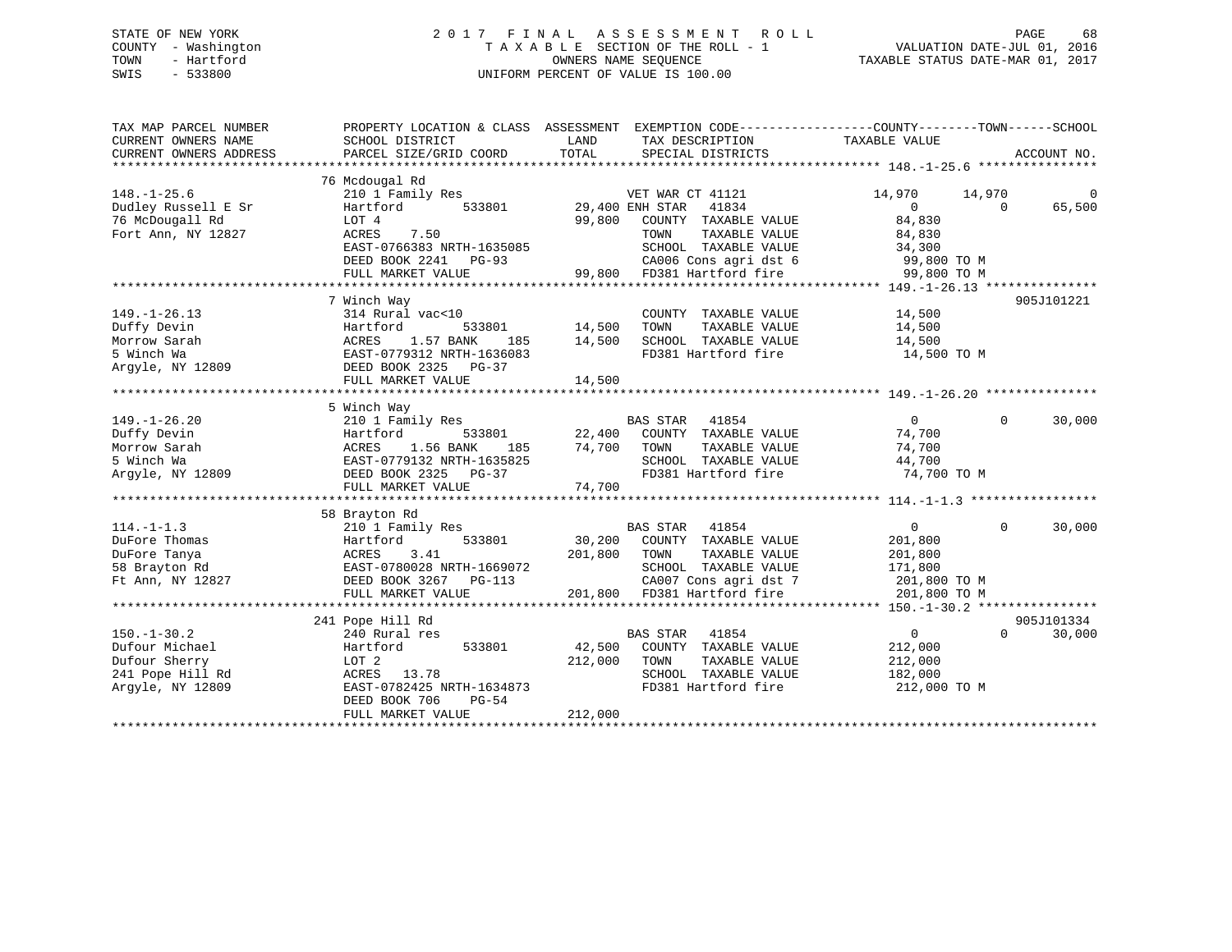### STATE OF NEW YORK 2 0 1 7 F I N A L A S S E S S M E N T R O L L PAGE 68 COUNTY - Washington T A X A B L E SECTION OF THE ROLL - 1 VALUATION DATE-JUL 01, 2016 TOWN - Hartford **TAXABLE STATUS DATE-MAR 01, 2017** SWIS - 533800 UNIFORM PERCENT OF VALUE IS 100.00

| TAX MAP PARCEL NUMBER<br>CURRENT OWNERS NAME<br>CURRENT OWNERS ADDRESS | SCHOOL DISTRICT<br>PARCEL SIZE/GRID COORD | PROPERTY LOCATION & CLASS ASSESSMENT EXEMPTION CODE---------------COUNTY-------TOWN-----SCHOOL<br>LAND<br>TAX DESCRIPTION<br>TOTAL<br>SPECIAL DISTRICTS | TAXABLE VALUE<br>ACCOUNT NO.               |
|------------------------------------------------------------------------|-------------------------------------------|---------------------------------------------------------------------------------------------------------------------------------------------------------|--------------------------------------------|
|                                                                        |                                           |                                                                                                                                                         |                                            |
| $148. - 1 - 25.6$                                                      | 76 Mcdougal Rd<br>210 1 Family Res        | VET WAR CT 41121                                                                                                                                        | 14,970<br>14,970<br>0                      |
| Dudley Russell E Sr                                                    | Hartford<br>533801                        | 29,400 ENH STAR 41834                                                                                                                                   | $\overline{0}$<br>65,500<br>$\overline{0}$ |
| 76 McDougall Rd                                                        | LOT 4                                     | 99,800<br>COUNTY TAXABLE VALUE                                                                                                                          | 84,830                                     |
| Fort Ann, NY 12827                                                     | 7.50<br>ACRES                             | TOWN<br>TAXABLE VALUE                                                                                                                                   | 84,830                                     |
|                                                                        | EAST-0766383 NRTH-1635085                 | SCHOOL TAXABLE VALUE                                                                                                                                    | 34,300                                     |
|                                                                        | DEED BOOK 2241 PG-93                      | CA006 Cons agri dst 6 99,800 TO M                                                                                                                       |                                            |
|                                                                        | FULL MARKET VALUE                         | 99,800 FD381 Hartford fire                                                                                                                              | 99,800 TO M                                |
|                                                                        |                                           |                                                                                                                                                         |                                            |
|                                                                        | 7 Winch Way                               |                                                                                                                                                         | 905J101221                                 |
| $149. - 1 - 26.13$                                                     | 314 Rural vac<10                          | COUNTY TAXABLE VALUE                                                                                                                                    | 14,500                                     |
| Duffy Devin                                                            | 533801<br>Hartford                        | 14,500<br>TAXABLE VALUE<br>TOWN                                                                                                                         | 14,500                                     |
| Morrow Sarah                                                           | 1.57 BANK<br>ACRES<br>185                 | SCHOOL TAXABLE VALUE<br>14,500                                                                                                                          | 14,500                                     |
| 5 Winch Wa                                                             | EAST-0779312 NRTH-1636083                 | FD381 Hartford fire                                                                                                                                     | 14,500 TO M                                |
| Argyle, NY 12809                                                       | DEED BOOK 2325 PG-37                      |                                                                                                                                                         |                                            |
|                                                                        | FULL MARKET VALUE                         | 14,500                                                                                                                                                  |                                            |
|                                                                        |                                           |                                                                                                                                                         |                                            |
|                                                                        | 5 Winch Way                               |                                                                                                                                                         |                                            |
| $149. - 1 - 26.20$                                                     | 210 1 Family Res                          | BAS STAR 41854                                                                                                                                          | $\overline{0}$<br>$\Omega$<br>30,000       |
| Duffy Devin                                                            | 533801<br>Hartford                        | 22,400 COUNTY TAXABLE VALUE                                                                                                                             | 74,700                                     |
| Morrow Sarah                                                           | 1.56 BANK<br>ACRES                        | 185 74,700 TOWN<br>TAXABLE VALUE                                                                                                                        | 74,700                                     |
| 5 Winch Wa                                                             | EAST-0779132 NRTH-1635825                 | SCHOOL TAXABLE VALUE                                                                                                                                    | 44,700                                     |
| Argyle, NY 12809                                                       | DEED BOOK 2325 PG-37                      | FD381 Hartford fire                                                                                                                                     | 74,700 TO M                                |
|                                                                        | FULL MARKET VALUE                         | 74,700                                                                                                                                                  |                                            |
|                                                                        |                                           |                                                                                                                                                         |                                            |
|                                                                        | 58 Brayton Rd                             |                                                                                                                                                         |                                            |
| $114. - 1 - 1.3$                                                       | 210 1 Family Res                          | BAS STAR 41854                                                                                                                                          | $\Omega$<br>$\Omega$<br>30,000             |
| DuFore Thomas                                                          | Hartford<br>533801                        | 30,200 COUNTY TAXABLE VALUE                                                                                                                             | 201,800                                    |
| DuFore Tanya                                                           | ACRES<br>3.41                             | 201,800<br>TOWN<br>TAXABLE VALUE                                                                                                                        | 201,800                                    |
| 58 Brayton Rd                                                          | EAST-0780028 NRTH-1669072                 | SCHOOL TAXABLE VALUE<br>$\frac{1}{2}$                                                                                                                   | 171,800                                    |
| Ft Ann, NY 12827                                                       | DEED BOOK 3267<br>$PG-113$                | CA007 Cons agri dst 7                                                                                                                                   | 201,800 TO M                               |
|                                                                        | FULL MARKET VALUE                         | 201,800 FD381 Hartford fire                                                                                                                             | 201,800 TO M                               |
|                                                                        |                                           |                                                                                                                                                         |                                            |
|                                                                        | 241 Pope Hill Rd                          |                                                                                                                                                         | 905J101334                                 |
| $150. - 1 - 30.2$                                                      | 240 Rural res                             | <b>BAS STAR</b><br>41854                                                                                                                                | 30,000<br>$0 \qquad \qquad$<br>$\Omega$    |
| Dufour Michael                                                         | 533801<br>Hartford                        | 42,500 COUNTY TAXABLE VALUE                                                                                                                             | 212,000                                    |
| Dufour Sherry                                                          | LOT 2                                     | 212,000<br>TOWN<br>TAXABLE VALUE                                                                                                                        | 212,000                                    |
| 241 Pope Hill Rd                                                       | ACRES 13.78                               | SCHOOL TAXABLE VALUE                                                                                                                                    | 182,000                                    |
| Argyle, NY 12809                                                       | EAST-0782425 NRTH-1634873                 | FD381 Hartford fire                                                                                                                                     | 212,000 TO M                               |
|                                                                        | DEED BOOK 706<br>PG-54                    |                                                                                                                                                         |                                            |
|                                                                        | FULL MARKET VALUE                         | 212,000                                                                                                                                                 |                                            |
|                                                                        |                                           |                                                                                                                                                         |                                            |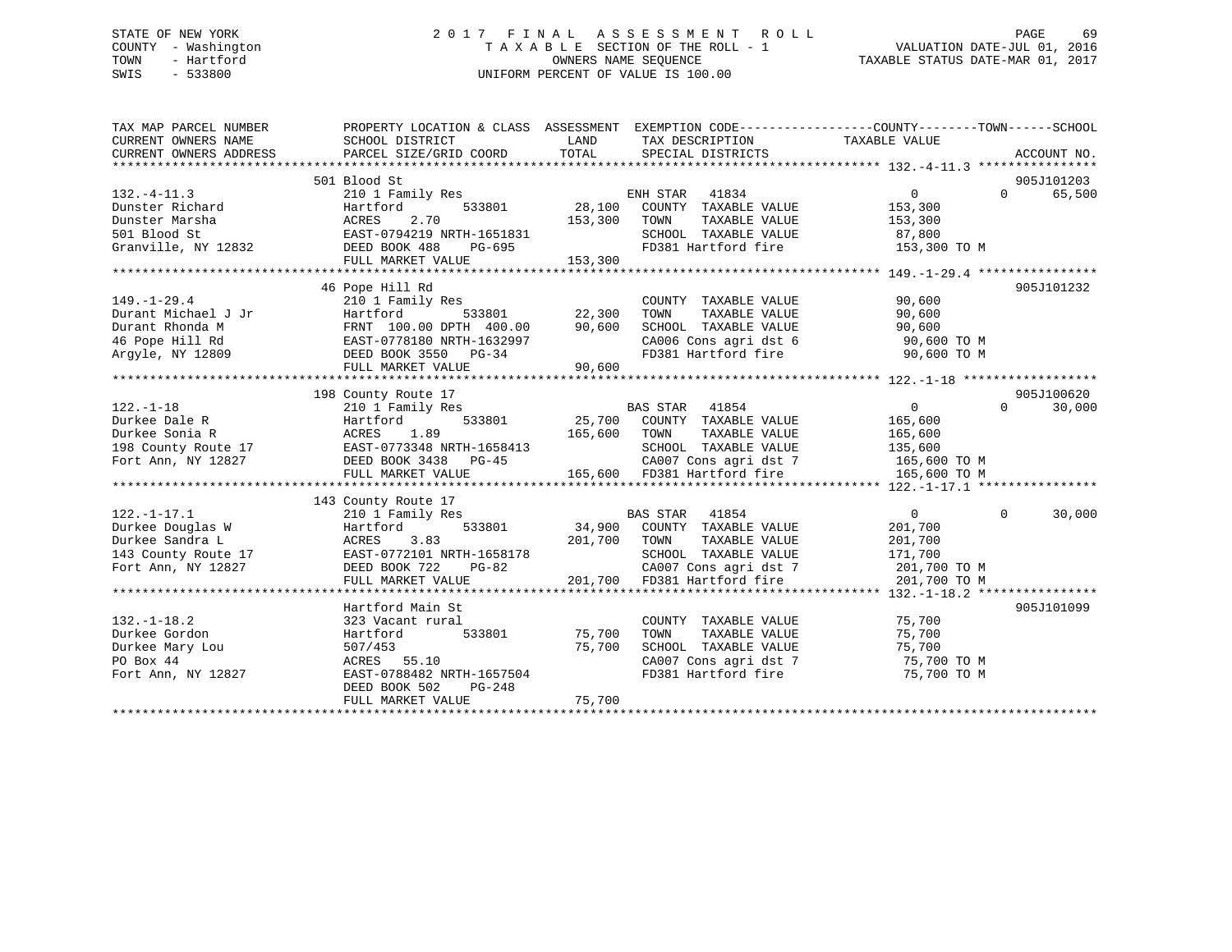### STATE OF NEW YORK 2 0 1 7 F I N A L A S S E S S M E N T R O L L PAGE 69 COUNTY - Washington T A X A B L E SECTION OF THE ROLL - 1 VALUATION DATE-JUL 01, 2016 TOWN - Hartford **TAXABLE STATUS DATE-MAR 01, 2017** SWIS - 533800 UNIFORM PERCENT OF VALUE IS 100.00

| TAX MAP PARCEL NUMBER<br>CURRENT OWNERS NAME<br>CURRENT OWNERS ADDRESS | PROPERTY LOCATION & CLASS ASSESSMENT EXEMPTION CODE----------------COUNTY-------TOWN-----SCHOOL<br>SCHOOL DISTRICT<br>PARCEL SIZE/GRID COORD | LAND<br>TOTAL | TAX DESCRIPTION TAXABLE VALUE<br>SPECIAL DISTRICTS                                                                             |                |          | ACCOUNT NO. |
|------------------------------------------------------------------------|----------------------------------------------------------------------------------------------------------------------------------------------|---------------|--------------------------------------------------------------------------------------------------------------------------------|----------------|----------|-------------|
|                                                                        | 501 Blood St                                                                                                                                 |               |                                                                                                                                |                |          | 905J101203  |
| $132. - 4 - 11.3$                                                      | 210 1 Family Res                                                                                                                             |               | ENH STAR 41834                                                                                                                 | 0              | $\Omega$ | 65,500      |
| Dunster Richard                                                        | Hartford                                                                                                                                     | 533801 28,100 | COUNTY TAXABLE VALUE                                                                                                           | 153,300        |          |             |
| Dunster Marsha                                                         | 2.70<br>ACRES                                                                                                                                | 153,300       | TAXABLE VALUE<br>TOWN                                                                                                          | 153,300        |          |             |
| 501 Blood St                                                           | EAST-0794219 NRTH-1651831                                                                                                                    |               | SCHOOL TAXABLE VALUE                                                                                                           | 87,800         |          |             |
| Granville, NY 12832                                                    | DEED BOOK 488<br>PG-695                                                                                                                      |               | FD381 Hartford fire 153,300 TO M                                                                                               |                |          |             |
|                                                                        | FULL MARKET VALUE                                                                                                                            | 153,300       |                                                                                                                                |                |          |             |
|                                                                        |                                                                                                                                              |               |                                                                                                                                |                |          |             |
|                                                                        | 46 Pope Hill Rd                                                                                                                              |               |                                                                                                                                |                |          | 905J101232  |
| $149. - 1 - 29.4$                                                      | 210 1 Family Res                                                                                                                             |               | COUNTY TAXABLE VALUE                                                                                                           | 90,600         |          |             |
| Durant Michael J Jr                                                    | 533801<br>Hartford                                                                                                                           | 22,300        | TAXABLE VALUE<br>TOWN                                                                                                          | 90,600         |          |             |
| Durant Rhonda M                                                        | FRNT 100.00 DPTH 400.00                                                                                                                      | 90,600        | SCHOOL TAXABLE VALUE                                                                                                           | 90,600         |          |             |
| 46 Pope Hill Rd                                                        | EAST-0778180 NRTH-1632997                                                                                                                    |               |                                                                                                                                | 90,600 TO M    |          |             |
| Arqyle, NY 12809                                                       | DEED BOOK 3550 PG-34                                                                                                                         |               | onvoc coms agri dst 6<br>FD381 Hartford fire                                                                                   | 90,600 TO M    |          |             |
|                                                                        | FULL MARKET VALUE                                                                                                                            | 90,600        |                                                                                                                                |                |          |             |
|                                                                        |                                                                                                                                              |               |                                                                                                                                |                |          |             |
|                                                                        | 198 County Route 17                                                                                                                          |               |                                                                                                                                |                |          | 905J100620  |
| $122. - 1 - 18$                                                        | 210 1 Family Res                                                                                                                             |               | <b>BAS STAR</b><br>41854                                                                                                       | $\overline{0}$ | $\Omega$ | 30,000      |
| Durkee Dale R                                                          | 533801<br>Hartford                                                                                                                           |               | 25,700 COUNTY TAXABLE VALUE                                                                                                    | 165,600        |          |             |
| Durkee Sonia R                                                         | ACRES<br>1.89                                                                                                                                | 165,600 TOWN  | TAXABLE VALUE                                                                                                                  | 165,600        |          |             |
| 198 County Route 17                                                    | EAST-0773348 NRTH-1658413                                                                                                                    |               | SCHOOL TAXABLE VALUE                                                                                                           | 135,600        |          |             |
| Fort Ann, NY 12827                                                     | DEED BOOK 3438 PG-45                                                                                                                         |               |                                                                                                                                |                |          |             |
|                                                                        | FULL MARKET VALUE                                                                                                                            |               | CA007 Cons agri dst 7<br>CA007 Cons agri dst 7 165,600 TO M<br>----- "---ford fire 165,600 TO M<br>165,600 FD381 Hartford fire |                |          |             |
|                                                                        |                                                                                                                                              |               |                                                                                                                                |                |          |             |
|                                                                        | 143 County Route 17                                                                                                                          |               |                                                                                                                                |                |          |             |
| $122. - 1 - 17.1$                                                      | 210 1 Family Res                                                                                                                             |               | BAS STAR 41854                                                                                                                 | $\overline{0}$ | $\Omega$ | 30,000      |
| Durkee Douglas W                                                       | Hartford                                                                                                                                     |               | 533801 34,900 COUNTY TAXABLE VALUE                                                                                             | 201,700        |          |             |
| Durkee Sandra L                                                        | 3.83<br>ACRES                                                                                                                                | 201,700       | TOWN<br>TAXABLE VALUE                                                                                                          | 201,700        |          |             |
|                                                                        |                                                                                                                                              |               | SCHOOL TAXABLE VALUE                                                                                                           | 171,700        |          |             |
| Fort Ann, NY 12827                                                     | DEED BOOK 722<br>PG-82                                                                                                                       |               | CA007 Cons agri dst 7                                                                                                          | 201,700 TO M   |          |             |
|                                                                        | FULL MARKET VALUE                                                                                                                            |               | 201,700 FD381 Hartford fire                                                                                                    | 201,700 TO M   |          |             |
|                                                                        |                                                                                                                                              |               |                                                                                                                                |                |          |             |
|                                                                        | Hartford Main St                                                                                                                             |               |                                                                                                                                |                |          | 905J101099  |
| $132. - 1 - 18.2$                                                      | 323 Vacant rural                                                                                                                             |               | COUNTY TAXABLE VALUE                                                                                                           | 75,700         |          |             |
| Durkee Gordon                                                          | 533801<br>Hartford                                                                                                                           | 75,700        | TAXABLE VALUE<br>TOWN                                                                                                          | 75,700         |          |             |
| Durkee Mary Lou                                                        | 507/453                                                                                                                                      | 75,700        | SCHOOL TAXABLE VALUE                                                                                                           | 75,700         |          |             |
| PO Box 44                                                              | ACRES 55.10                                                                                                                                  |               | CA007 Cons agri dst 7<br>CA007 Cons agri dst 7                                                                                 | 75,700 TO M    |          |             |
| Fort Ann, NY 12827                                                     | EAST-0788482 NRTH-1657504                                                                                                                    |               | FD381 Hartford fire                                                                                                            | 75,700 TO M    |          |             |
|                                                                        | DEED BOOK 502<br>PG-248                                                                                                                      |               |                                                                                                                                |                |          |             |
|                                                                        | FULL MARKET VALUE                                                                                                                            | 75,700        |                                                                                                                                |                |          |             |
|                                                                        |                                                                                                                                              |               |                                                                                                                                |                |          |             |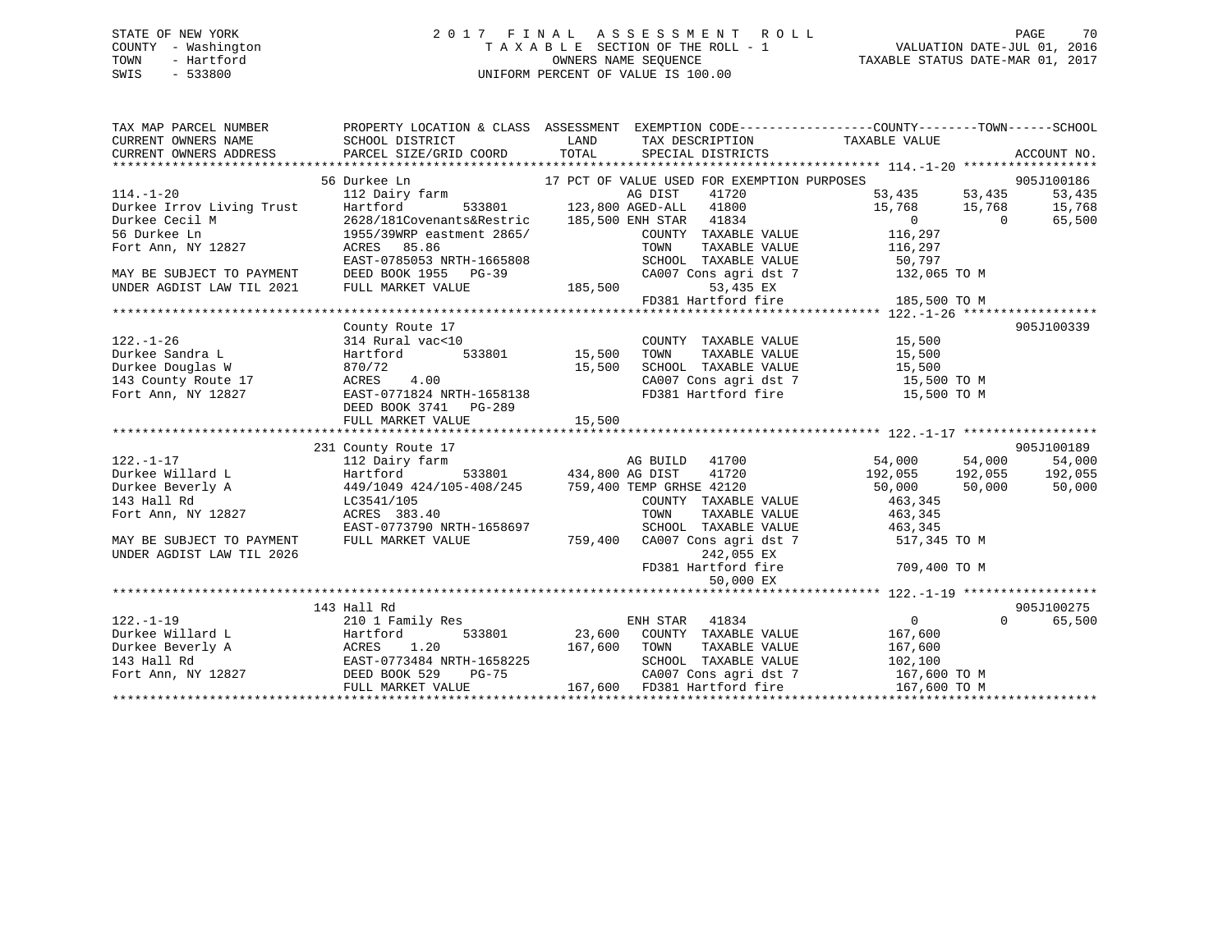### STATE OF NEW YORK 2 0 1 7 F I N A L A S S E S S M E N T R O L L PAGE 70 COUNTY - Washington T A X A B L E SECTION OF THE ROLL - 1 VALUATION DATE-JUL 01, 2016 TOWN - Hartford **TAXABLE STATUS DATE-MAR 01, 2017** SWIS - 533800 UNIFORM PERCENT OF VALUE IS 100.00

| TAX MAP PARCEL NUMBER<br>CURRENT OWNERS NAME<br>CURRENT OWNERS ADDRESS                                                        | SCHOOL DISTRICT<br>PARCEL SIZE/GRID COORD TOTAL                               | LAND<br>TAX DESCRIPTION TAXABLE VALUE<br>SPECIAL DISTRICTS       | PROPERTY LOCATION & CLASS ASSESSMENT EXEMPTION CODE---------------COUNTY-------TOWN------SCHOOL<br>ACCOUNT NO.       |
|-------------------------------------------------------------------------------------------------------------------------------|-------------------------------------------------------------------------------|------------------------------------------------------------------|----------------------------------------------------------------------------------------------------------------------|
|                                                                                                                               |                                                                               |                                                                  |                                                                                                                      |
|                                                                                                                               | 56 Durkee Ln                                                                  | 17 PCT OF VALUE USED FOR EXEMPTION PURPOSES                      | $53,435$<br>$15,768$<br>$53,435$<br>$15,768$<br>$15,768$<br>$15,768$<br>$15,768$<br>$15,768$<br>$15,768$<br>$15,500$ |
| $114. - 1 - 20$                                                                                                               | 112 Dairy farm                                                                | AG DIST<br>41720                                                 |                                                                                                                      |
|                                                                                                                               |                                                                               | AG DIST 41720<br>533801 123,800 AGED-ALL 41800                   |                                                                                                                      |
|                                                                                                                               | 2628/181Covenants&Restric                                                     | 185,500 ENH STAR 41834                                           |                                                                                                                      |
|                                                                                                                               | 1955/39WRP eastment 2865/                                                     | COUNTY TAXABLE VALUE                                             | 116,297                                                                                                              |
| 114.-1-20<br>Durkee Irrov Living Trust<br>Durkee Cecil M<br>56 Durkee Ln<br>Fort Ann, NY 12827 (ACRES 8<br>Fort Ann, NY 12827 | ACRES 85.86                                                                   | TOWN<br>TAXABLE VALUE                                            | 116,297                                                                                                              |
|                                                                                                                               | EAST-0785053 NRTH-1665808                                                     | SCHOOL TAXABLE VALUE                                             | 50,797                                                                                                               |
| MAY BE SUBJECT TO PAYMENT                                                                                                     | DEED BOOK 1955 PG-39                                                          | CA007 Cons agri dst 7                                            | 132,065 TO M                                                                                                         |
|                                                                                                                               | FULL MARKET VALUE                                                             | 53,435 EX                                                        |                                                                                                                      |
|                                                                                                                               |                                                                               | FD381 Hartford fire                                              | 185,500 TO M                                                                                                         |
|                                                                                                                               |                                                                               |                                                                  |                                                                                                                      |
|                                                                                                                               | County Route 17                                                               |                                                                  | 905J100339                                                                                                           |
| $122. - 1 - 26$                                                                                                               | 314 Rural vac<10                                                              | COUNTY TAXABLE VALUE                                             | 15,500                                                                                                               |
| Durkee Sandra L                                                                                                               | Hartford                                                                      | 533801 15,500<br>TOWN<br>TAXABLE VALUE                           | 15,500                                                                                                               |
|                                                                                                                               | 870/72                                                                        | 15,500                                                           |                                                                                                                      |
| Durkee Douglas W<br>143 County Route 17                                                                                       | 4.00<br>ACRES                                                                 | SCHOOL TAXABLE VALUE 15,500<br>CA007 Cons agri dst 7 15,500 TO M |                                                                                                                      |
| Fort Ann, NY 12827                                                                                                            | EAST-0771824 NRTH-1658138                                                     | FD381 Hartford fire 15,500 TO M                                  |                                                                                                                      |
|                                                                                                                               | DEED BOOK 3741 PG-289                                                         |                                                                  |                                                                                                                      |
|                                                                                                                               |                                                                               |                                                                  |                                                                                                                      |
|                                                                                                                               |                                                                               |                                                                  |                                                                                                                      |
|                                                                                                                               | 231 County Route 17                                                           |                                                                  | 905J100189                                                                                                           |
| $122. - 1 - 17$                                                                                                               | 112 Dairy farm                                                                | AG BUILD 41700                                                   | 54,000 54,000<br>54,000                                                                                              |
| Durkee Willard L                                                                                                              | Hartford                                                                      | AG BUILD<br>533801 434,800 AG DIST<br>41720                      | $192,055$ 192,055<br>192,055                                                                                         |
| Durkee Beverly A                                                                                                              |                                                                               |                                                                  | 50,000<br>50,000<br>50,000                                                                                           |
| 143 Hall Rd                                                                                                                   | 449/1049 424/105-408/245 759,400 TEMP GRHSE 42120<br>LC3541/105<br>LC3541/105 | COUNTY TAXABLE VALUE                                             | 463,345                                                                                                              |
| Fort Ann, NY 12827                                                                                                            | ACRES 383.40                                                                  | TOWN<br>TAXABLE VALUE                                            | 463,345                                                                                                              |
|                                                                                                                               | EAST-0773790 NRTH-1658697                                                     | SCHOOL TAXABLE VALUE                                             |                                                                                                                      |
|                                                                                                                               | FULL MARKET VALUE                                                             | 759,400                                                          | 463, 345                                                                                                             |
| MAY BE SUBJECT TO PAYMENT<br>UNDER AGDIST LAW TIL 2026                                                                        |                                                                               | CA007 Cons agri dst 7<br>242,055 EX                              | 517,345 TO M                                                                                                         |
|                                                                                                                               |                                                                               | FD381 Hartford fire                                              | 709,400 TO M                                                                                                         |
|                                                                                                                               |                                                                               |                                                                  |                                                                                                                      |
|                                                                                                                               |                                                                               | 50,000 EX                                                        |                                                                                                                      |
|                                                                                                                               |                                                                               |                                                                  |                                                                                                                      |
|                                                                                                                               | 143 Hall Rd                                                                   |                                                                  | 905J100275                                                                                                           |
|                                                                                                                               | 210 1 Family Res                                                              | ENH STAR<br>41834                                                | $0 \qquad \qquad$<br>$\Omega$<br>65,500                                                                              |
|                                                                                                                               |                                                                               | 533801 23,600 COUNTY TAXABLE VALUE                               | 167,600                                                                                                              |
|                                                                                                                               |                                                                               | 167,600<br>TOWN<br>TAXABLE VALUE                                 | 167,600                                                                                                              |
|                                                                                                                               | EAST-0773484 NRTH-1658225                                                     | SCHOOL TAXABLE VALUE                                             | 102,100<br>102,100<br>167,600 TO M                                                                                   |
|                                                                                                                               | $PG-75$                                                                       | CA007 Cons agri dst 7                                            |                                                                                                                      |
|                                                                                                                               | FULL MARKET VALUE                                                             | 167,600<br>FD381 Hartford fire                                   | 167,600 TO M                                                                                                         |
|                                                                                                                               |                                                                               |                                                                  |                                                                                                                      |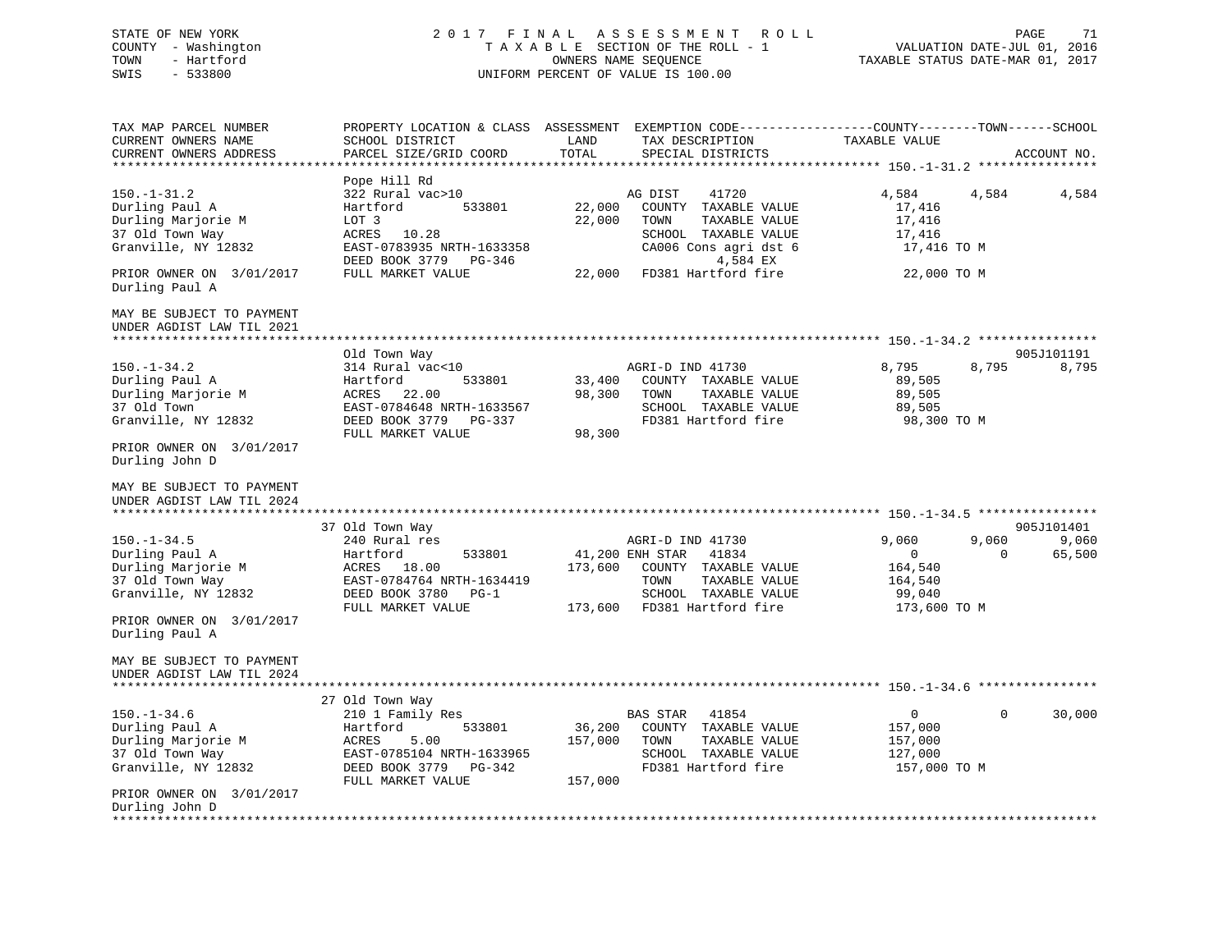STATE OF NEW YORK 2 0 1 7 F I N A L A S S E S S M E N T R O L L PAGE 71VALUATION DATE-JUL 01, 2016 COUNTY - Washington T A X A B L E SECTION OF THE ROLL - 1 TOWN - Hartford OWNERS NAME SEQUENCE TAXABLE STATUS DATE-MAR 01, 2017 SWIS - 533800 UNIFORM PERCENT OF VALUE IS 100.00 TAX MAP PARCEL NUMBER PROPERTY LOCATION & CLASS ASSESSMENT EXEMPTION CODE------------------COUNTY--------TOWN------SCHOOL CURRENT OWNERS NAME SCHOOL DISTRICT LAND TAX DESCRIPTION TAXABLE VALUECURRENT OWNERS ADDRESS PARCEL SIZE/GRID COORD TOTAL SPECIAL DISTRICTS ACCOUNT NO. \*\*\*\*\*\*\*\*\*\*\*\*\*\*\*\*\*\*\*\*\*\*\*\*\*\*\*\*\*\*\*\*\*\*\*\*\*\*\*\*\*\*\*\*\*\*\*\*\*\*\*\*\*\*\*\*\*\*\*\*\*\*\*\*\*\*\*\*\*\*\*\*\*\*\*\*\*\*\*\*\*\*\*\*\*\*\*\*\*\*\*\*\*\*\*\*\*\*\*\*\*\*\* 150.-1-31.2 \*\*\*\*\*\*\*\*\*\*\*\*\*\*\*\* Pope Hill Rd 150.-1-31.2 322 Rural vac>10 AG DIST 41720 4,584 4,584 4,584 Durling Paul A **Hartford** 533801 22,000 COUNTY TAXABLE VALUE 17,416 Durling Marjorie M LOT 3 22,000 TOWN TAXABLE VALUE 17,416 37 Old Town Way **ACRES** 10.28 SCHOOL TAXABLE VALUE 17,416 Granville, NY 12832 EAST-0783935 NRTH-1633358 CA006 Cons agri dst 6 17,416 TO M<br>DEED BOOK 3779 PG-346 1,584 EX DEED BOOK 3779 PG-346<br>FULL MARKET VALUE PRIOR OWNER ON 3/01/2017 FULL MARKET VALUE 22,000 FD381 Hartford fire 22,000 TO M Durling Paul A MAY BE SUBJECT TO PAYMENTUNDER AGDIST LAW TIL 2021 \*\*\*\*\*\*\*\*\*\*\*\*\*\*\*\*\*\*\*\*\*\*\*\*\*\*\*\*\*\*\*\*\*\*\*\*\*\*\*\*\*\*\*\*\*\*\*\*\*\*\*\*\*\*\*\*\*\*\*\*\*\*\*\*\*\*\*\*\*\*\*\*\*\*\*\*\*\*\*\*\*\*\*\*\*\*\*\*\*\*\*\*\*\*\*\*\*\*\*\*\*\*\* 150.-1-34.2 \*\*\*\*\*\*\*\*\*\*\*\*\*\*\*\* Old Town Way 905J101191 150.-1-34.2 314 Rural vac<10 AGRI-D IND 41730 8,795 8,795 8,795 Durling Paul A **Hartford** 533801 33,400 COUNTY TAXABLE VALUE 89,505 Durling Marjorie M ACRES 22.00 98,300 TOWN TAXABLE VALUE 89,505 EAST-0784648 NRTH-1633567 Granville, NY 12832 DEED BOOK 3779 PG-337 FD381 Hartford fire 98,300 TO M FULL MARKET VALUE 98,300 PRIOR OWNER ON 3/01/2017 Durling John D MAY BE SUBJECT TO PAYMENTUNDER AGDIST LAW TIL 2024 \*\*\*\*\*\*\*\*\*\*\*\*\*\*\*\*\*\*\*\*\*\*\*\*\*\*\*\*\*\*\*\*\*\*\*\*\*\*\*\*\*\*\*\*\*\*\*\*\*\*\*\*\*\*\*\*\*\*\*\*\*\*\*\*\*\*\*\*\*\*\*\*\*\*\*\*\*\*\*\*\*\*\*\*\*\*\*\*\*\*\*\*\*\*\*\*\*\*\*\*\*\*\* 150.-1-34.5 \*\*\*\*\*\*\*\*\*\*\*\*\*\*\*\* 37 Old Town Way 905J101401 150.-1-34.5 240 Rural res AGRI-D IND 41730 9,060 9,060 9,060 Durling Paul A Hartford 533801 41,200 ENH STAR 41834 0 0 65,500 Durling Marjorie M ACRES 18.00 173,600 COUNTY TAXABLE VALUE 164,540 37 Old Town Way EAST-0784764 NRTH-1634419 TOWN TAXABLE VALUE 164,540 Granville, NY 12832 **DEED BOOK 3780** PG-1 SCHOOL TAXABLE VALUE 99,040 FULL MARKET VALUE 173,600 FD381 Hartford fire 173,600 TO M PRIOR OWNER ON 3/01/2017 Durling Paul A MAY BE SUBJECT TO PAYMENTUNDER AGDIST LAW TIL 2024 \*\*\*\*\*\*\*\*\*\*\*\*\*\*\*\*\*\*\*\*\*\*\*\*\*\*\*\*\*\*\*\*\*\*\*\*\*\*\*\*\*\*\*\*\*\*\*\*\*\*\*\*\*\*\*\*\*\*\*\*\*\*\*\*\*\*\*\*\*\*\*\*\*\*\*\*\*\*\*\*\*\*\*\*\*\*\*\*\*\*\*\*\*\*\*\*\*\*\*\*\*\*\* 150.-1-34.6 \*\*\*\*\*\*\*\*\*\*\*\*\*\*\*\* 27 Old Town Way 150.-1-34.6 210 1 Family Res BAS STAR 41854 0 0 30,000 Durling Paul A Hartford 533801 36,200 COUNTY TAXABLE VALUE 157,000 Durling Marjorie M ACRES 5.00 157,000 TOWN TAXABLE VALUE 157,000 37 Old Town Way EAST-0785104 NRTH-1633965 SCHOOL TAXABLE VALUE 127,000 Granville, NY 12832 DEED BOOK 3779 PG-342 FD381 Hartford fire 157,000 TO M FULL MARKET VALUE 157,000 PRIOR OWNER ON 3/01/2017 Durling John D \*\*\*\*\*\*\*\*\*\*\*\*\*\*\*\*\*\*\*\*\*\*\*\*\*\*\*\*\*\*\*\*\*\*\*\*\*\*\*\*\*\*\*\*\*\*\*\*\*\*\*\*\*\*\*\*\*\*\*\*\*\*\*\*\*\*\*\*\*\*\*\*\*\*\*\*\*\*\*\*\*\*\*\*\*\*\*\*\*\*\*\*\*\*\*\*\*\*\*\*\*\*\*\*\*\*\*\*\*\*\*\*\*\*\*\*\*\*\*\*\*\*\*\*\*\*\*\*\*\*\*\*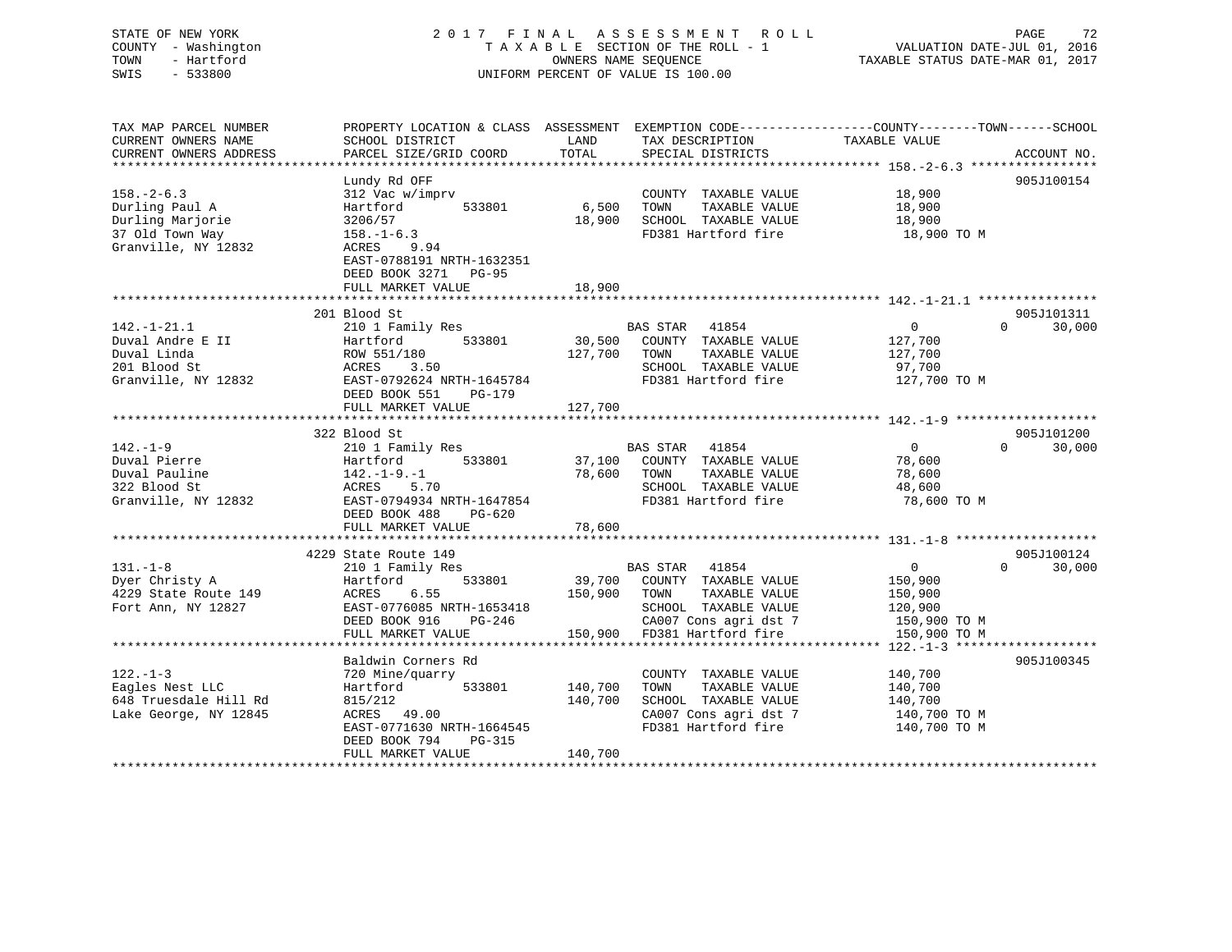| STATE OF NEW YORK<br>COUNTY - Washington<br>- Hartford<br>TOWN<br>$-533800$<br>SWIS | 2017 FINAL ASSESSMENT ROLL<br>TAXABLE SECTION OF THE ROLL - 1<br>OWNERS NAME SEOUENCE<br>UNIFORM PERCENT OF VALUE IS 100.00 | 72<br>PAGE<br>VALUATION DATE-JUL 01, 2016<br>TAXABLE STATUS DATE-MAR 01, 2017 |
|-------------------------------------------------------------------------------------|-----------------------------------------------------------------------------------------------------------------------------|-------------------------------------------------------------------------------|
| TAX MAP PARCEL NUMBER                                                               | PROPERTY LOCATION & CLASS ASSESSMENT EXEMPTION CODE---------------COUNTY-------TOWN------SCHOOL                             |                                                                               |

| CURRENT OWNERS NAME               | SCHOOL DISTRICT                              | LAND                                   | TAX DESCRIPTION                               | TAXABLE VALUE              |             |
|-----------------------------------|----------------------------------------------|----------------------------------------|-----------------------------------------------|----------------------------|-------------|
| CURRENT OWNERS ADDRESS            | PARCEL SIZE/GRID COORD                       | TOTAL                                  | SPECIAL DISTRICTS                             |                            | ACCOUNT NO. |
|                                   |                                              |                                        |                                               |                            |             |
|                                   | Lundy Rd OFF                                 |                                        |                                               |                            | 905J100154  |
| $158. - 2 - 6.3$                  | 312 Vac w/imprv                              |                                        | COUNTY TAXABLE VALUE                          | 18,900                     |             |
| Durling Paul A                    | 533801<br>Hartford                           | 6,500                                  | TAXABLE VALUE<br>TOWN                         | 18,900                     |             |
| Durling Marjorie                  | 3206/57                                      | 18,900                                 | SCHOOL TAXABLE VALUE                          | 18,900                     |             |
| 37 Old Town Way                   | $158. - 1 - 6.3$                             |                                        | FD381 Hartford fire                           | 18,900 TO M                |             |
| Granville, NY 12832               | ACRES 9.94                                   |                                        |                                               |                            |             |
|                                   | EAST-0788191 NRTH-1632351                    |                                        |                                               |                            |             |
|                                   | DEED BOOK 3271 PG-95                         |                                        |                                               |                            |             |
|                                   | FULL MARKET VALUE                            | 18,900                                 |                                               |                            |             |
|                                   |                                              |                                        |                                               |                            |             |
|                                   | 201 Blood St                                 |                                        |                                               |                            | 905J101311  |
| $142. - 1 - 21.1$                 | 210 1 Family Res                             |                                        | BAS STAR<br>41854                             | 0<br>$\Omega$              | 30,000      |
| Duval Andre E II                  | 533801<br>Hartford                           |                                        | 30,500 COUNTY TAXABLE VALUE                   | 127,700                    |             |
| Duval Linda                       | ROW 551/180                                  | 127,700                                | TAXABLE VALUE<br>TOWN                         | 127,700                    |             |
| 201 Blood St                      | ACRES<br>3.50                                |                                        | SCHOOL TAXABLE VALUE                          | 97,700                     |             |
| Granville, NY 12832               | EAST-0792624 NRTH-1645784                    |                                        | FD381 Hartford fire                           | 127,700 TO M               |             |
|                                   | DEED BOOK 551<br>PG-179                      |                                        |                                               |                            |             |
|                                   | FULL MARKET VALUE                            | 127,700<br>* * * * * * * * * * * * * * |                                               |                            |             |
|                                   |                                              |                                        |                                               |                            |             |
|                                   | 322 Blood St                                 |                                        |                                               |                            | 905J101200  |
| $142. - 1 - 9$                    | 210 1 Family Res                             |                                        | BAS STAR<br>41854                             | $\overline{0}$<br>$\Omega$ | 30,000      |
| Duval Pierre                      | 533801<br>Hartford                           |                                        | 37,100 COUNTY TAXABLE VALUE                   | 78,600                     |             |
| Duval Pauline                     | $142. - 1 - 9. - 1$                          | 78,600                                 | TAXABLE VALUE<br>TOWN                         | 78,600                     |             |
| 322 Blood St                      | ACRES 5.70                                   |                                        | SCHOOL TAXABLE VALUE                          | 48,600                     |             |
| Granville, NY 12832               | EAST-0794934 NRTH-1647854                    |                                        | FD381 Hartford fire                           | 78,600 TO M                |             |
|                                   | DEED BOOK 488<br>$PG-620$                    |                                        |                                               |                            |             |
|                                   | FULL MARKET VALUE                            | 78,600                                 |                                               |                            |             |
|                                   |                                              |                                        |                                               |                            | 905J100124  |
|                                   | 4229 State Route 149                         |                                        |                                               | $\Omega$                   | 30,000      |
| $131. - 1 - 8$                    | 210 1 Family Res                             |                                        | BAS STAR 41854                                | $\overline{0}$             |             |
| Dyer Christy A                    | 533801<br>Hartford                           |                                        | 39,700 COUNTY TAXABLE VALUE                   | 150,900                    |             |
| 4229 State Route 149              | ACRES<br>6.55                                | 150,900                                | TOWN<br>TAXABLE VALUE                         | 150,900                    |             |
| Fort Ann, NY 12827                | EAST-0776085 NRTH-1653418                    |                                        | SCHOOL TAXABLE VALUE<br>CA007 Cons agri dst 7 | 120,900<br>150,900 TO M    |             |
|                                   | DEED BOOK 916<br>PG-246                      |                                        |                                               |                            |             |
|                                   | FULL MARKET VALUE                            |                                        | 150,900 FD381 Hartford fire                   | 150,900 TO M               |             |
|                                   |                                              |                                        |                                               |                            |             |
|                                   | Baldwin Corners Rd                           |                                        |                                               |                            | 905J100345  |
| $122. - 1 - 3$<br>Eagles Nest LLC | 720 Mine/quarry<br>533801                    |                                        | COUNTY TAXABLE VALUE<br>TAXABLE VALUE<br>TOWN | 140,700                    |             |
|                                   | Hartford                                     | 140,700                                |                                               | 140,700                    |             |
| 648 Truesdale Hill Rd             | 815/212                                      | 140,700                                | SCHOOL TAXABLE VALUE                          | 140,700                    |             |
| Lake George, NY 12845             | ACRES 49.00                                  |                                        | CA007 Cons agri dst 7<br>FD381 Hartford fire  | 140,700 TO M               |             |
|                                   | EAST-0771630 NRTH-1664545                    |                                        |                                               | 140,700 TO M               |             |
|                                   | DEED BOOK 794<br>PG-315<br>FULL MARKET VALUE |                                        |                                               |                            |             |
|                                   |                                              | 140,700                                |                                               |                            |             |
|                                   |                                              |                                        |                                               |                            |             |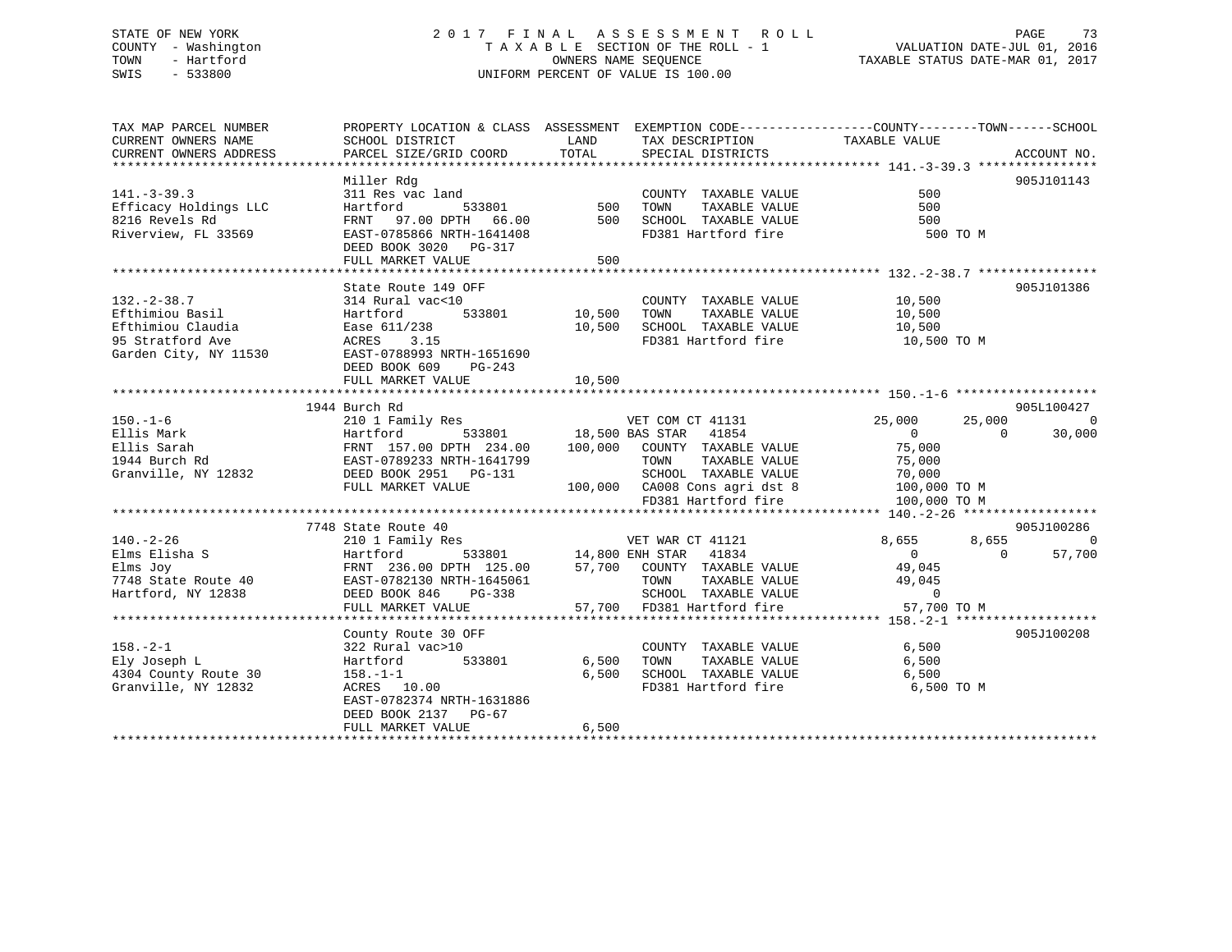# STATE OF NEW YORK 2 0 1 7 F I N A L A S S E S S M E N T R O L L PAGE 73 COUNTY - Washington T A X A B L E SECTION OF THE ROLL - 1 VALUATION DATE-JUL 01, 2016 TOWN - Hartford **TAXABLE STATUS DATE-MAR 01, 2017** SWIS - 533800 UNIFORM PERCENT OF VALUE IS 100.00

| TAX MAP PARCEL NUMBER                                                                                                                                                                                                                                                                                                                                                                                                                  | PROPERTY LOCATION & CLASS ASSESSMENT EXEMPTION CODE-----------------COUNTY--------TOWN------SCHOOL                                                                                                                                                         |                            |                                                                                                                                                                                                 |                                                                                                    |                                                       |
|----------------------------------------------------------------------------------------------------------------------------------------------------------------------------------------------------------------------------------------------------------------------------------------------------------------------------------------------------------------------------------------------------------------------------------------|------------------------------------------------------------------------------------------------------------------------------------------------------------------------------------------------------------------------------------------------------------|----------------------------|-------------------------------------------------------------------------------------------------------------------------------------------------------------------------------------------------|----------------------------------------------------------------------------------------------------|-------------------------------------------------------|
| CURRENT OWNERS NAME<br>CURRENT OWNERS ADDRESS                                                                                                                                                                                                                                                                                                                                                                                          | SCHOOL DISTRICT<br>PARCEL SIZE/GRID COORD                                                                                                                                                                                                                  | LAND<br>TOTAL              | TAX DESCRIPTION<br>SPECIAL DISTRICTS                                                                                                                                                            | TAXABLE VALUE                                                                                      | ACCOUNT NO.                                           |
|                                                                                                                                                                                                                                                                                                                                                                                                                                        |                                                                                                                                                                                                                                                            |                            |                                                                                                                                                                                                 |                                                                                                    |                                                       |
| $141. - 3 - 39.3$<br>Efficacy Holdings LLC<br>8216 Revels Rd<br>Riverview, FL 33569                                                                                                                                                                                                                                                                                                                                                    | Miller Rdg<br>311 Res vac land<br>Hartford<br>FRNT 97.00 DPTH 66.00<br>EAST-0785866 NRTH-1641408<br>DEED BOOK 3020 PG-317<br>FULL MARKET VALUE                                                                                                             | 533801 500<br>500          | COUNTY TAXABLE VALUE<br>TOWN<br>TAXABLE VALUE<br>500 SCHOOL TAXABLE VALUE<br>FD381 Hartford fire                                                                                                | 500<br>500<br>500<br>500 TO M                                                                      | 905J101143                                            |
|                                                                                                                                                                                                                                                                                                                                                                                                                                        |                                                                                                                                                                                                                                                            |                            |                                                                                                                                                                                                 |                                                                                                    |                                                       |
| $132. - 2 - 38.7$<br>Efthimiou Basil<br>Efthimiou Claudia<br>95 Stratford Ave<br>Garden City, NY 11530                                                                                                                                                                                                                                                                                                                                 | State Route 149 OFF<br>314 Rural vac<10<br>533801 10,500<br>Hartford<br>Ease 611/238<br>ACRES<br>3.15<br>EAST-0788993 NRTH-1651690<br>DEED BOOK 609 PG-243                                                                                                 |                            | COUNTY TAXABLE VALUE 10,500<br>TOWN<br>10,500 SCHOOL TAXABLE VALUE                                                                                                                              | TAXABLE VALUE 10,500<br>TAXABLE VALUE 10,500<br>FD381 Hartford fire 10,500 TO M                    | 905J101386                                            |
|                                                                                                                                                                                                                                                                                                                                                                                                                                        | FULL MARKET VALUE                                                                                                                                                                                                                                          | 10,500                     |                                                                                                                                                                                                 |                                                                                                    |                                                       |
|                                                                                                                                                                                                                                                                                                                                                                                                                                        | 1944 Burch Rd                                                                                                                                                                                                                                              |                            |                                                                                                                                                                                                 |                                                                                                    | 905L100427                                            |
| $150. - 1 - 6$<br>Ellis Mark<br>Ellis Sarah<br>1944 Burch Rd<br>Granville, NY 12832                                                                                                                                                                                                                                                                                                                                                    | 210 1 Family Res<br>210 1 1 2001<br>Hartford 533801 18,500 BAS STAR 41854<br>FRNT 157.00 DPTH 234.00 100,000 COUNTY TAXABLE VALUE<br>EAST-0789233 NRTH-1641799 TOWN TAXABLE VALUE<br>COUNTY TAXABLE VALUE<br>DEED BOOK 2951    PG-131<br>FULL MARKET VALUE |                            | ver COM CT 41131<br>533801 18,500 BAS STAR 41854<br>VET COM CT 41131<br>BAS STAR 41854<br>SCHOOL TAXABLE VALUE<br>CA008 Cons agri dst 8<br>100,000 CA008 Cons agri dst 8<br>FD381 Hartford fire | 25,000<br>25,000<br>$\overline{0}$<br>$\frac{0}{75,000}$<br>70,000<br>100,000 TO M<br>100,000 TO M | $\overline{0}$<br>30,000                              |
|                                                                                                                                                                                                                                                                                                                                                                                                                                        |                                                                                                                                                                                                                                                            |                            |                                                                                                                                                                                                 |                                                                                                    |                                                       |
| $\begin{tabular}{lllllllll} \textbf{7748 State Route 40} & \textbf{EAST-0782130 NRTH-1645061} & \textbf{TOWN} & \textbf{TXABLE VALUE} & \textbf{49,045} \\ \textbf{Hartford, NY 12838} & \textbf{DEED BOOK 846} & \textbf{PG-338} & \textbf{SCHOOL TAXABLE VALUE} & 0 \\ & & \textbf{FULL MARKET VALUE} & \textbf{57,700} & \textbf{FD381 Hartford fire} & \textbf{57,700 TO M} \\ & & \textbf{57,700} & \textbf{FD381 Hartford fire}$ | 7748 State Route 40                                                                                                                                                                                                                                        |                            | 9 VET WAR CT 41121<br>533801 14,800 ENH STAR 41834                                                                                                                                              | 8,655                                                                                              | 905J100286<br>8,655<br>$\Omega$<br>57,700<br>$\Omega$ |
|                                                                                                                                                                                                                                                                                                                                                                                                                                        |                                                                                                                                                                                                                                                            |                            |                                                                                                                                                                                                 |                                                                                                    |                                                       |
| $158. - 2 - 1$<br>Ely Joseph L<br>4304 County Route 30<br>Granville, NY 12832                                                                                                                                                                                                                                                                                                                                                          | County Route 30 OFF<br>322 Rural vac>10<br>Hartford<br>$158. -1 - 1$<br>158.-1-1<br>ACRES 10.00<br>EAST-0782374 NRTH-1631886                                                                                                                               | 533801 6,500 TOWN<br>6,500 | COUNTY TAXABLE VALUE<br>IAXABLE VALUE<br>TAXABLE VALUE<br>SCHOOL TAXABLE VALUE 6,500<br>FD381 Hartford fire                                                                                     | 6,500<br>6,500<br>6,500 TO M                                                                       | 905J100208                                            |
|                                                                                                                                                                                                                                                                                                                                                                                                                                        | DEED BOOK 2137 PG-67<br>FULL MARKET VALUE                                                                                                                                                                                                                  | 6,500                      |                                                                                                                                                                                                 |                                                                                                    |                                                       |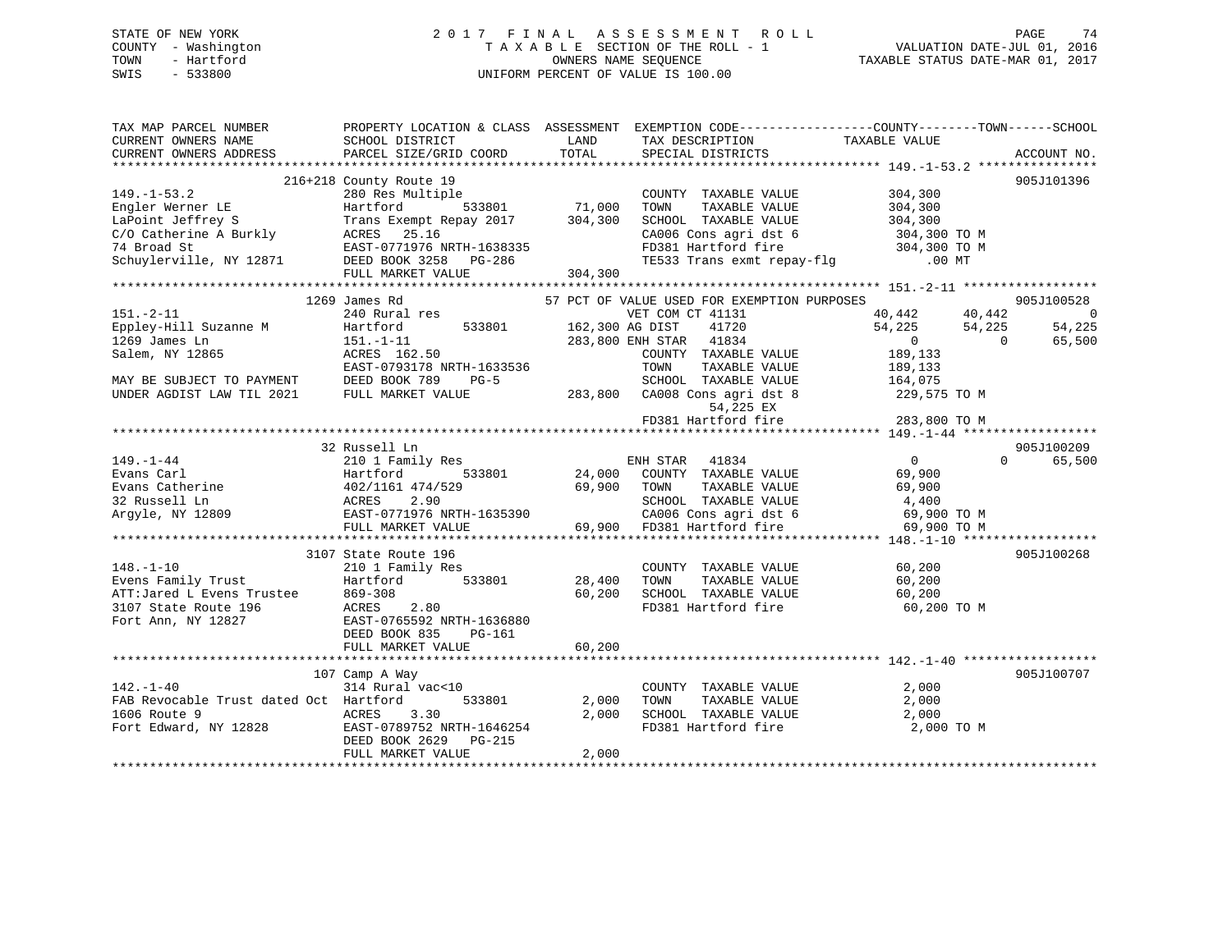# STATE OF NEW YORK 2 0 1 7 F I N A L A S S E S S M E N T R O L L PAGE 74 COUNTY - Washington T A X A B L E SECTION OF THE ROLL - 1 VALUATION DATE-JUL 01, 2016 TOWN - Hartford **TAXABLE STATUS DATE-MAR 01, 2017** SWIS - 533800 UNIFORM PERCENT OF VALUE IS 100.00

| TAX MAP PARCEL NUMBER<br>CURRENT OWNERS NAME<br>CURRENT OWNERS ADDRESS                                                                                           | SCHOOL DISTRICT<br>PARCEL SIZE/GRID COORD                                                                                                                               | LAND<br>TOTAL              | PROPERTY LOCATION & CLASS ASSESSMENT EXEMPTION CODE---------------COUNTY-------TOWN-----SCHOOL<br>TAX DESCRIPTION<br>SPECIAL DISTRICTS                                                                                                           | TAXABLE VALUE                                                                                                                         | ACCOUNT NO.                                      |
|------------------------------------------------------------------------------------------------------------------------------------------------------------------|-------------------------------------------------------------------------------------------------------------------------------------------------------------------------|----------------------------|--------------------------------------------------------------------------------------------------------------------------------------------------------------------------------------------------------------------------------------------------|---------------------------------------------------------------------------------------------------------------------------------------|--------------------------------------------------|
| $149. - 1 - 53.2$<br>Engler Werner LE<br>LaPoint Jeffrey S<br>C/O Catherine A Burkly ACRES 25.16<br>74 Broad St<br>Schuylerville, NY 12871 DEED BOOK 3258 PG-286 | 216+218 County Route 19<br>280 Res Multiple<br>Hartford<br>Trans Exempt Repay 2017 304,300<br>EAST-0771976 NRTH-1638335<br>FULL MARKET VALUE                            | 533801 71,000<br>304,300   | COUNTY TAXABLE VALUE<br>TOWN<br>TAXABLE VALUE<br>SCHOOL TAXABLE VALUE<br>CA006 Cons agri dst 6 304,300 TO M<br>FD381 Hartford fire 30<br>TE533 Trans exmt repay-flg 30                                                                           | 304,300<br>304,300<br>304,300<br>304,300 TO M<br>$.00$ MT                                                                             | 905J101396                                       |
| $151. - 2 - 11$<br>Eppley-Hill Suzanne M<br>1269 James Ln<br>Salem, NY 12865<br>MAY BE SUBJECT TO PAYMENT<br>UNDER AGDIST LAW TIL 2021                           | 1269 James Rd<br>240 Rural res<br>533801<br>Hartford<br>$151. - 1 - 11$<br>ACRES 162.50<br>EAST-0793178 NRTH-1633536<br>DEED BOOK 789<br>$PG-5$<br>FULL MARKET VALUE    | 162,300 AG DIST            | 57 PCT OF VALUE USED FOR EXEMPTION PURPOSES<br>VET COM CT 41131<br>41720<br>283,800 ENH STAR 41834<br>COUNTY TAXABLE VALUE<br>TAXABLE VALUE<br>TOWN<br>SCHOOL TAXABLE VALUE<br>283,800 CA008 Cons agri dst 8<br>54,225 EX<br>FD381 Hartford fire | 40,442<br>40,442<br>54,225<br>54,225<br>$\overline{0}$<br>$\bigcirc$<br>189,133<br>189,133<br>164,075<br>229,575 TO M<br>283,800 TO M | 905J100528<br>$\overline{0}$<br>54,225<br>65,500 |
| $149. - 1 - 44$<br>Evans Carl<br>Evans Catherine<br>32 Russell Ln<br>Argyle, NY 12809                                                                            | 32 Russell Ln<br>210 1 Family Res<br>Hartford<br>533801<br>402/1161 474/529<br>2.90<br>ACRES<br>EAST-0771976 NRTH-1635390<br>FULL MARKET VALUE                          | 69,900                     | ENH STAR<br>41834<br>24,000 COUNTY TAXABLE VALUE<br>TAXABLE VALUE<br>TOWN<br>SCHOOL TAXABLE VALUE<br>CA006 Cons agri dst 6<br>69,900 FD381 Hartford fire                                                                                         | $\overline{0}$<br>$\Omega$<br>69,900<br>69,900<br>4,400<br>69,900 TO M<br>69,900 TO M                                                 | 905J100209<br>65,500                             |
| $148. - 1 - 10$<br>Evens Family Trust<br>ATT:Jared L Evens Trustee<br>3107 State Route 196<br>Fort Ann, NY 12827                                                 | 3107 State Route 196<br>210 1 Family Res<br>533801<br>Hartford<br>869-308<br>ACRES<br>2.80<br>EAST-0765592 NRTH-1636880<br>DEED BOOK 835<br>PG-161<br>FULL MARKET VALUE | 28,400<br>60,200<br>60,200 | COUNTY TAXABLE VALUE<br>TOWN<br>TAXABLE VALUE<br>SCHOOL TAXABLE VALUE<br>FD381 Hartford fire                                                                                                                                                     | 60,200<br>60,200<br>60,200<br>60,200 TO M                                                                                             | 905J100268                                       |
| $142. - 1 - 40$<br>FAB Revocable Trust dated Oct Hartford<br>1606 Route 9<br>Fort Edward, NY 12828                                                               | 107 Camp A Way<br>314 Rural vac<10<br>533801<br>ACRES<br>3.30<br>EAST-0789752 NRTH-1646254<br>DEED BOOK 2629 PG-215<br>FULL MARKET VALUE                                | 2,000<br>2,000<br>2,000    | COUNTY TAXABLE VALUE<br>TAXABLE VALUE<br>TOWN<br>SCHOOL TAXABLE VALUE<br>FD381 Hartford fire                                                                                                                                                     | 2,000<br>2,000<br>2,000<br>2,000 TO M                                                                                                 | 905J100707                                       |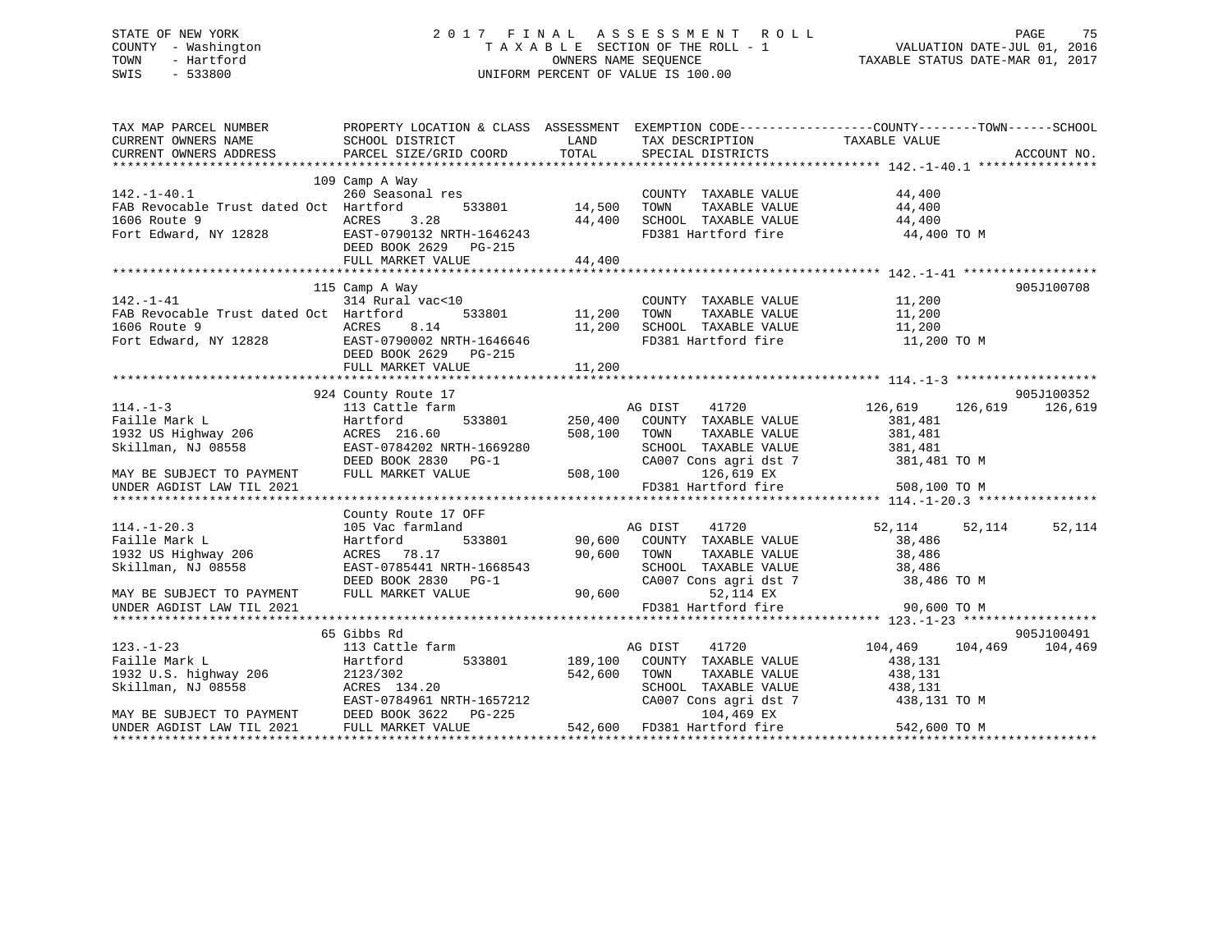# STATE OF NEW YORK 2 0 1 7 F I N A L A S S E S S M E N T R O L L PAGE 75 COUNTY - Washington T A X A B L E SECTION OF THE ROLL - 1 VALUATION DATE-JUL 01, 2016 TOWN - Hartford **TAXABLE STATUS DATE-MAR 01, 2017** SWIS - 533800 UNIFORM PERCENT OF VALUE IS 100.00

| TAX MAP PARCEL NUMBER<br>CURRENT OWNERS NAME<br>CURRENT OWNERS ADDRESS                                                                                                                                                                                   | PROPERTY LOCATION & CLASS ASSESSMENT EXEMPTION CODE----------------COUNTY-------TOWN------SCHOOL<br>SCHOOL DISTRICT<br><b>LAND</b><br>PARCEL SIZE/GRID COORD TOTAL SPECIAL DISTRICTS                      |        | TAX DESCRIPTION TAXABLE VALUE SPECIAL DISTRICTS                                                                                     |                                                 | ACCOUNT NO.     |
|----------------------------------------------------------------------------------------------------------------------------------------------------------------------------------------------------------------------------------------------------------|-----------------------------------------------------------------------------------------------------------------------------------------------------------------------------------------------------------|--------|-------------------------------------------------------------------------------------------------------------------------------------|-------------------------------------------------|-----------------|
| 142.-1-40.1<br>FAB Revocable Trust dated Oct Hartford<br>FAB Revocable Trust dated Oct Hartford<br>1606 Route 9<br>FORES 3.28<br>FORES 3.28<br>FORES 3.28<br>FORES 3.28<br>FORES 3.28<br>FORES 3.28<br>FORES 3.28<br>FORES 44,400<br>FORES 44,400<br>FOR | 109 Camp A Way<br>DEED BOOK 2629 PG-215<br>FULL MARKET VALUE                                                                                                                                              | 44,400 | COUNTY TAXABLE VALUE<br>FD381 Hartford fire 44,400 TO M                                                                             | 44,400                                          |                 |
|                                                                                                                                                                                                                                                          |                                                                                                                                                                                                           |        |                                                                                                                                     |                                                 |                 |
| $142. - 1 - 41$<br>FAB Revocable Trust dated Oct Hartford<br>1606 Route 9<br>Fort Edward, NY 12828 EAST-0790002 NRTH-1646646<br>DEED BOOK 2629 PG-215<br>DEED BOOK 2629 PG-215                                                                           | 115 Camp A Way<br>$314 \text{ Rural vac} \leq 10$ $314 \text{Rural vac} \leq 533801$ $11,200 \text{ Town}$                                                                                                |        |                                                                                                                                     |                                                 | 905J100708      |
|                                                                                                                                                                                                                                                          | FULL MARKET VALUE                                                                                                                                                                                         | 11,200 |                                                                                                                                     |                                                 |                 |
|                                                                                                                                                                                                                                                          |                                                                                                                                                                                                           |        |                                                                                                                                     |                                                 |                 |
| $114. -1-3$<br>UNDER AGDIST LAW TIL 2021                                                                                                                                                                                                                 | 924 County Route 17<br>113 Cattle farm                                                                                                                                                                    |        | 533801 250,400 COUNTY TAXABLE VALUE 381,481<br>CA007 Cons agri dst 7 381,481 TO M<br>126,619 EX<br>FD381 Hartford fire 508,100 TO M | 20,619 126,619 126,619 AG DIST 41720            | 905J100352      |
|                                                                                                                                                                                                                                                          |                                                                                                                                                                                                           |        |                                                                                                                                     |                                                 |                 |
| $114. - 1 - 20.3$<br>Faille Mark L<br>1932 US Highway 206<br>Skillman, NJ 08558                                                                                                                                                                          | County Route 17 OFF<br>105 Vac farmland<br>105 Vac 18<br>Hartford<br>ACRES 78.17<br>ACRES 78.17 90,600 COMN<br>EAST-0785441 NRTH-1668543 SCHOOL<br>DEED BOOK 2830 PG-1 CA007 CONNECT VALUE 90,600 FOND PT |        | SCHOOL TAXABLE VALUE 38,486<br>CA007 Cons agri dst 7 38,486 TO M                                                                    | 52,114 52,114<br>38,486<br>TAXABLE VALUE 38,486 | 52,114          |
| MAY BE SUBJECT TO PAYMENT<br>UNDER AGDIST LAW TIL 2021                                                                                                                                                                                                   |                                                                                                                                                                                                           |        | 52,114 EX<br>FD381 Hartford fire 90,600 TO M                                                                                        |                                                 |                 |
|                                                                                                                                                                                                                                                          | 65 Gibbs Rd                                                                                                                                                                                               |        |                                                                                                                                     |                                                 | 905J100491      |
|                                                                                                                                                                                                                                                          |                                                                                                                                                                                                           |        |                                                                                                                                     |                                                 | 104,469 104,469 |
|                                                                                                                                                                                                                                                          |                                                                                                                                                                                                           |        |                                                                                                                                     |                                                 |                 |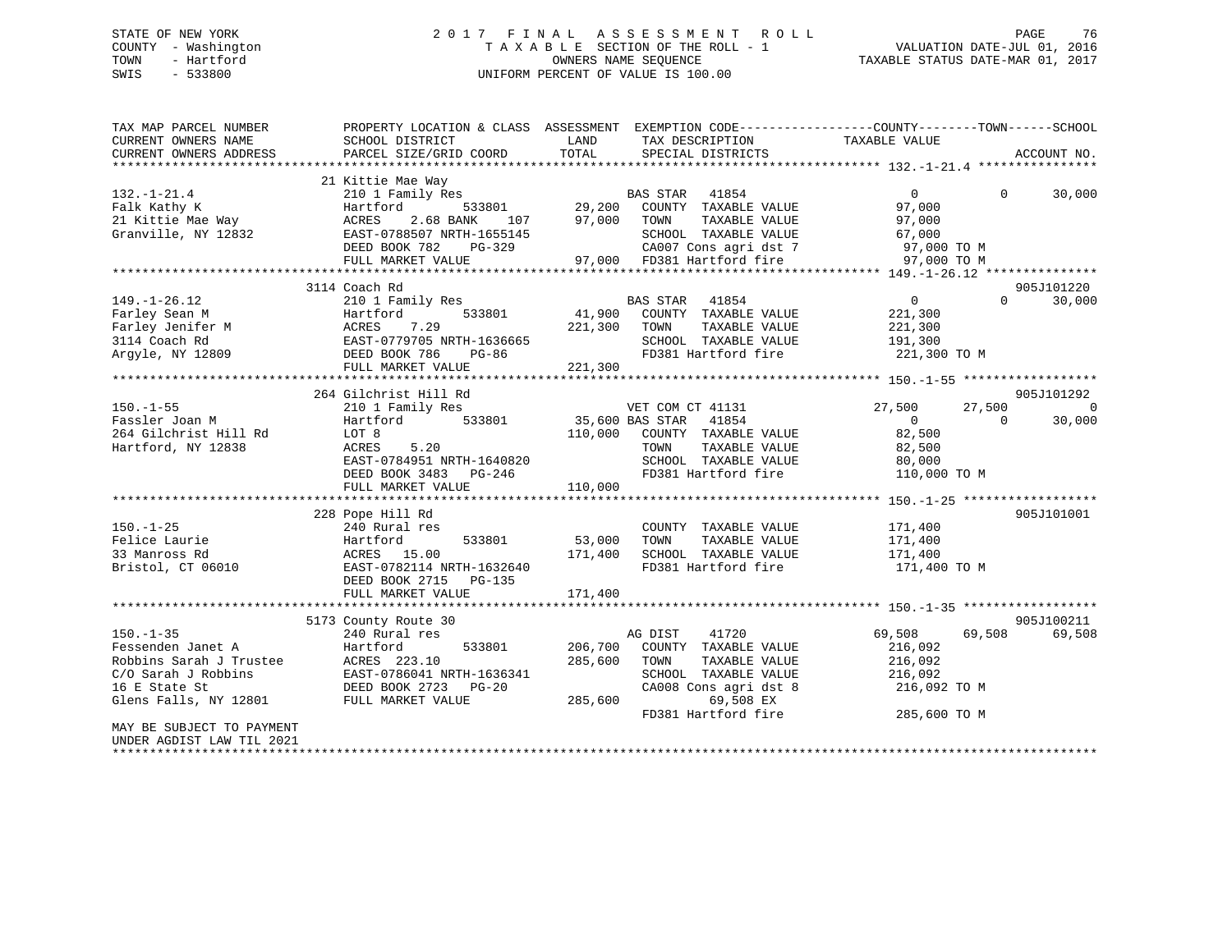### STATE OF NEW YORK 2 0 1 7 F I N A L A S S E S S M E N T R O L L PAGE 76COUNTY - Washington T A X A B L E SECTION OF THE ROLL - 1<br>TOWN - Hartford COUNTERS NAME SEQUENCE OWNERS NAME SEQUENCE TAXABLE STATUS DATE-MAR 01, 2017 SWIS - 533800 UNIFORM PERCENT OF VALUE IS 100.00

| TAX MAP PARCEL NUMBER     |                               |                                  | PROPERTY LOCATION & CLASS ASSESSMENT EXEMPTION CODE--------------COUNTY-------TOWN-----SCHOOL |
|---------------------------|-------------------------------|----------------------------------|-----------------------------------------------------------------------------------------------|
| CURRENT OWNERS NAME       | SCHOOL DISTRICT               | LAND<br>TAX DESCRIPTION          | TAXABLE VALUE                                                                                 |
| CURRENT OWNERS ADDRESS    | PARCEL SIZE/GRID COORD        | TOTAL<br>SPECIAL DISTRICTS       | ACCOUNT NO.                                                                                   |
|                           |                               |                                  |                                                                                               |
|                           | 21 Kittie Mae Way             |                                  |                                                                                               |
| $132. - 1 - 21.4$         | 210 1 Family Res              | BAS STAR 41854                   | $\overline{0}$<br>30,000<br>$\Omega$                                                          |
| Falk Kathy K              | 533801<br>Hartford            | 29,200<br>COUNTY TAXABLE VALUE   | 97,000                                                                                        |
| 21 Kittie Mae Way         | ACRES<br>2.68 BANK<br>107     | 97,000<br>TOWN<br>TAXABLE VALUE  | 97,000                                                                                        |
| Granville, NY 12832       | EAST-0788507 NRTH-1655145     | SCHOOL TAXABLE VALUE             | 67,000                                                                                        |
|                           | DEED BOOK 782<br>PG-329       | CA007 Cons agri dst 7            | 97,000 TO M                                                                                   |
|                           | FULL MARKET VALUE             | 97,000 FD381 Hartford fire       | 97,000 TO M                                                                                   |
|                           | ***************************** |                                  |                                                                                               |
|                           | 3114 Coach Rd                 |                                  | 905J101220                                                                                    |
| $149. - 1 - 26.12$        | 210 1 Family Res              | BAS STAR 41854                   | $\overline{0}$<br>$\Omega$<br>30,000                                                          |
| Farley Sean M             | Hartford<br>533801            | 41,900<br>COUNTY TAXABLE VALUE   | 221,300                                                                                       |
| Farley Jenifer M          | 7.29<br>ACRES                 | 221,300<br>TOWN<br>TAXABLE VALUE | 221,300                                                                                       |
| 3114 Coach Rd             | EAST-0779705 NRTH-1636665     | SCHOOL TAXABLE VALUE             | 191,300                                                                                       |
| Argyle, NY 12809          | DEED BOOK 786<br>PG-86        | FD381 Hartford fire              | 221,300 TO M                                                                                  |
|                           | FULL MARKET VALUE             | 221,300                          |                                                                                               |
|                           |                               |                                  |                                                                                               |
|                           | 264 Gilchrist Hill Rd         |                                  | 905J101292                                                                                    |
| $150. - 1 - 55$           | 210 1 Family Res              | VET COM CT 41131                 | 27,500<br>27,500<br>$\bigcirc$                                                                |
| Fassler Joan M            | 533801<br>Hartford            | 35,600 BAS STAR<br>41854         | $\overline{0}$<br>$\Omega$<br>30,000                                                          |
| 264 Gilchrist Hill Rd     | LOT 8                         | 110,000<br>COUNTY TAXABLE VALUE  | 82,500                                                                                        |
| Hartford, NY 12838        | ACRES<br>5.20                 | TOWN<br>TAXABLE VALUE            | 82,500                                                                                        |
|                           | EAST-0784951 NRTH-1640820     | SCHOOL TAXABLE VALUE             | 80,000                                                                                        |
|                           | DEED BOOK 3483 PG-246         | FD381 Hartford fire              | 110,000 TO M                                                                                  |
|                           | FULL MARKET VALUE             | 110,000                          |                                                                                               |
|                           |                               |                                  |                                                                                               |
|                           | 228 Pope Hill Rd              |                                  | 905J101001                                                                                    |
| $150. - 1 - 25$           | 240 Rural res                 | COUNTY TAXABLE VALUE             | 171,400                                                                                       |
| Felice Laurie             | Hartford<br>533801            | 53,000<br>TAXABLE VALUE<br>TOWN  | 171,400                                                                                       |
| 33 Manross Rd             | ACRES 15.00                   | 171,400<br>SCHOOL TAXABLE VALUE  | 171,400                                                                                       |
| Bristol, CT 06010         | EAST-0782114 NRTH-1632640     | FD381 Hartford fire              | 171,400 TO M                                                                                  |
|                           | DEED BOOK 2715<br>PG-135      |                                  |                                                                                               |
|                           | FULL MARKET VALUE             | 171,400                          |                                                                                               |
|                           |                               |                                  |                                                                                               |
|                           | 5173 County Route 30          |                                  | 905J100211                                                                                    |
| $150. - 1 - 35$           | 240 Rural res                 | 41720<br>AG DIST                 | 69,508<br>69,508<br>69,508                                                                    |
| Fessenden Janet A         | 533801<br>Hartford            | 206,700<br>COUNTY TAXABLE VALUE  | 216,092                                                                                       |
| Robbins Sarah J Trustee   | ACRES 223.10                  | 285,600<br>TOWN<br>TAXABLE VALUE | 216,092                                                                                       |
| C/O Sarah J Robbins       | EAST-0786041 NRTH-1636341     | SCHOOL TAXABLE VALUE             | 216,092                                                                                       |
| 16 E State St             | DEED BOOK 2723 PG-20          | CA008 Cons agri dst 8            | 216,092 TO M                                                                                  |
| Glens Falls, NY 12801     | FULL MARKET VALUE             | 69,508 EX<br>285,600             |                                                                                               |
|                           |                               | FD381 Hartford fire              | 285,600 TO M                                                                                  |
| MAY BE SUBJECT TO PAYMENT |                               |                                  |                                                                                               |
| UNDER AGDIST LAW TIL 2021 |                               |                                  |                                                                                               |
|                           |                               |                                  |                                                                                               |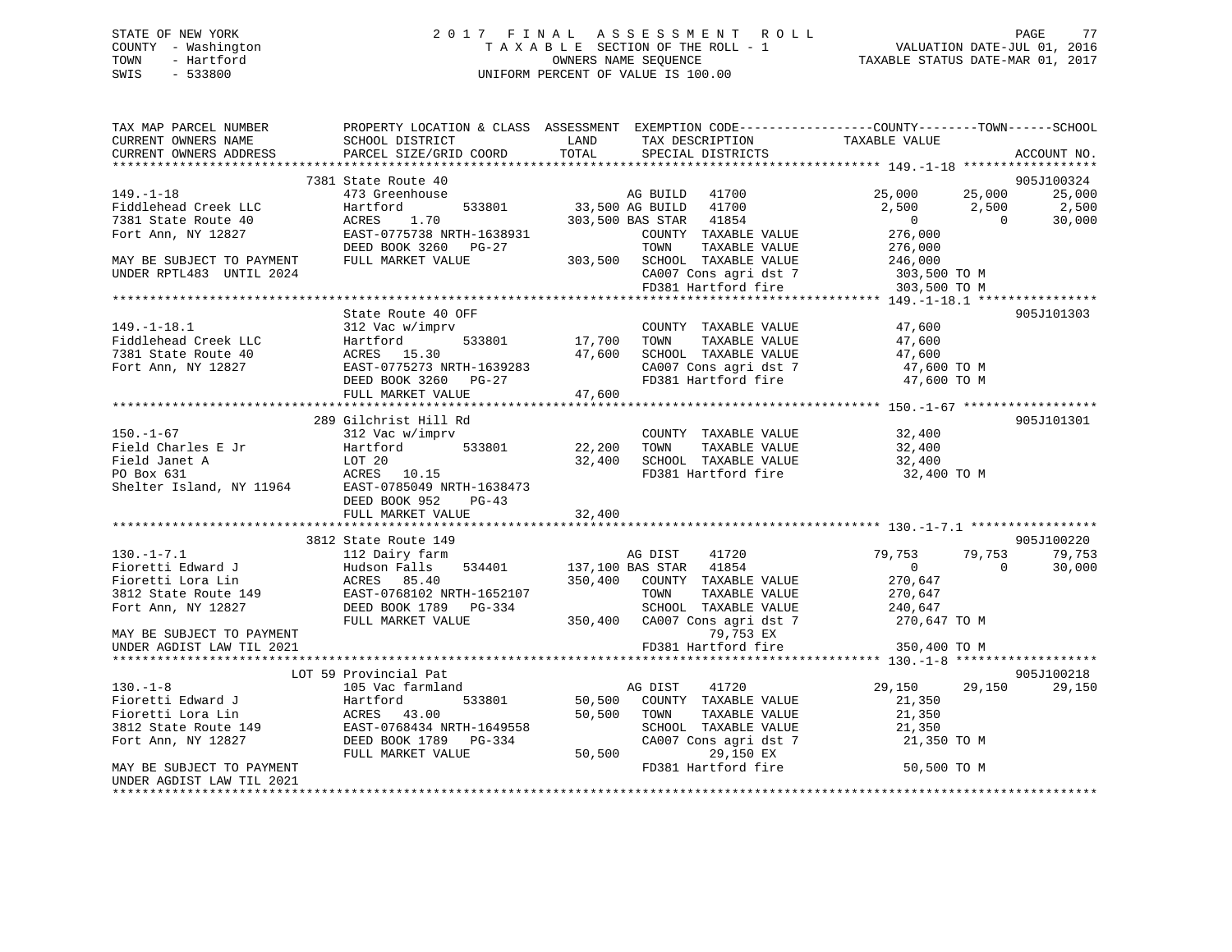# STATE OF NEW YORK 2 0 1 7 F I N A L A S S E S S M E N T R O L L PAGE 77 COUNTY - Washington T A X A B L E SECTION OF THE ROLL - 1 VALUATION DATE-JUL 01, 2016 TOWN - Hartford **TAXABLE STATUS DATE-MAR 01, 2017** SWIS - 533800 UNIFORM PERCENT OF VALUE IS 100.00

| 7381 State Route 40<br>905J100324<br>AG BUILD 41700<br>533801 33,500 AG BUILD 41700<br>633.500 AG BUILD 41700<br>$149. - 1 - 18$<br>473 Greenhouse<br>25,000 25,000<br>25,000<br>2,500<br>2,500<br>Fiddlehead Creek LLC<br>Hartford<br>2,500<br>ACRES<br>1.70<br>303,500 BAS STAR 41854<br>$\overline{0}$<br>30,000<br>7381 State Route 40<br>$\bigcap$<br>EAST-0775738 NRTH-1638931<br>276,000<br>Fort Ann, NY 12827<br>COUNTY TAXABLE VALUE<br>DEED BOOK 3260 PG-27<br>TOWN<br>TAXABLE VALUE<br>276,000<br>MAY BE SUBJECT TO PAYMENT<br>FULL MARKET VALUE<br>303,500 SCHOOL TAXABLE VALUE<br>246,000<br>CA007 Cons agri dst 7 303,500 TO M<br>UNDER RPTL483 UNTIL 2024<br>FD381 Hartford fire<br>303,500 TO M<br>State Route 40 OFF<br>905J101303<br>47,600<br>47,600<br>$149. - 1 - 18.1$<br>COUNTY TAXABLE VALUE<br>312 Vac w/imprv<br>Hartford<br>17,700 TOWN<br>533801<br>Fiddlehead Creek LLC<br>TAXABLE VALUE<br>47,600<br>ACRES 15.30<br>47,600 SCHOOL TAXABLE VALUE<br>7381 State Route 40<br>47,600<br>47,600 TO M<br>CA007 Cons agri dst 7<br>Fort Ann, NY 12827<br>EAST-0775273 NRTH-1639283<br>47,600<br>DEED BOOK 3260 PG-27<br>FD381 Hartford fire<br>47,600 TO M<br>FULL MARKET VALUE<br>289 Gilchrist Hill Rd<br>905J101301<br>$150. - 1 - 67$<br>32,400<br>COUNTY TAXABLE VALUE<br>312 Vac w/imprv<br>32,400<br>533801 22,200<br>Field Charles E Jr<br>TAXABLE VALUE<br>Hartford<br>TOWN<br>32,400 SCHOOL TAXABLE VALUE<br>Field Janet A<br>PO Box 631<br>Shelter Island, NY 11964<br>EAST-0785049 NRTH-1638473<br>32,400<br>FD381 Hartford fire<br>32,400 TO M<br>DEED BOOK 952<br>PG-43<br>32,400<br>FULL MARKET VALUE<br>905J100220<br>3812 State Route 149<br>112 Dairy farm<br>$130. - 1 - 7.1$<br>AG DIST<br>41720<br>79,753<br>79,753<br>79,753<br>$\sim$ 0<br>$\overline{0}$<br>30,000<br>350,400 COUNTY TAXABLE VALUE<br>270,647<br>TAXABLE VALUE<br>270,647<br>Fort Ann, NY 12827<br>DEED BOOK 1789 PG-334<br>SCHOOL TAXABLE VALUE 240,647<br>350,400 CA007 Cons agri dst 7 270,647 TO M<br>FULL MARKET VALUE<br>79,753 EX<br>MAY BE SUBJECT TO PAYMENT<br>FD381 Hartford fire<br>UNDER AGDIST LAW TIL 2021<br>350,400 TO M<br>LOT 59 Provincial Pat<br>905J100218<br>$130. - 1 - 8$<br>105 Vac farmland<br>41720<br>29,150 29,150<br>29,150<br>AG DIST<br>130.-1-8<br>Fioretti Edward J<br>Tissetti Lora Lin (ACRES 13.00)<br>Tissetti Lora Lin (ACRES 156404)<br>533801<br>50,500 COUNTY TAXABLE VALUE<br>21,350<br>50,500 TOWN<br>TAXABLE VALUE<br>21,350<br>Fioretti Lora Lin<br>3812 State Route 149<br>The Mass of the CAST-0768434 NRTH-1649558<br>DEED BOOK 1789 PG-334<br>SCHOOL TAXABLE VALUE<br>21,350<br>DEED BOOK 1789 PG-334<br>CA007 Cons agri dst 7<br>21,350 TO M<br>50,500<br>29,150 EX<br>FULL MARKET VALUE<br>FD381 Hartford fire<br>50,500 TO M<br>MAY BE SUBJECT TO PAYMENT<br>UNDER AGDIST LAW TIL 2021 | TAX MAP PARCEL NUMBER<br>CURRENT OWNERS NAME<br>CURRENT OWNERS ADDRESS | SCHOOL DISTRICT<br>PARCEL SIZE/GRID COORD | PROPERTY LOCATION & CLASS ASSESSMENT EXEMPTION CODE---------------COUNTY-------TOWN-----SCHOOL<br>LAND<br>TAX DESCRIPTION<br>TOTAL<br>SPECIAL DISTRICTS | TAXABLE VALUE<br>ACCOUNT NO. |
|-------------------------------------------------------------------------------------------------------------------------------------------------------------------------------------------------------------------------------------------------------------------------------------------------------------------------------------------------------------------------------------------------------------------------------------------------------------------------------------------------------------------------------------------------------------------------------------------------------------------------------------------------------------------------------------------------------------------------------------------------------------------------------------------------------------------------------------------------------------------------------------------------------------------------------------------------------------------------------------------------------------------------------------------------------------------------------------------------------------------------------------------------------------------------------------------------------------------------------------------------------------------------------------------------------------------------------------------------------------------------------------------------------------------------------------------------------------------------------------------------------------------------------------------------------------------------------------------------------------------------------------------------------------------------------------------------------------------------------------------------------------------------------------------------------------------------------------------------------------------------------------------------------------------------------------------------------------------------------------------------------------------------------------------------------------------------------------------------------------------------------------------------------------------------------------------------------------------------------------------------------------------------------------------------------------------------------------------------------------------------------------------------------------------------------------------------------------------------------------------------------------------------------------------------------------------------------------------------------------------------------------------------------------------------------------------------------------------------------------------------------------------------------------------------------------------------------------------------------------|------------------------------------------------------------------------|-------------------------------------------|---------------------------------------------------------------------------------------------------------------------------------------------------------|------------------------------|
|                                                                                                                                                                                                                                                                                                                                                                                                                                                                                                                                                                                                                                                                                                                                                                                                                                                                                                                                                                                                                                                                                                                                                                                                                                                                                                                                                                                                                                                                                                                                                                                                                                                                                                                                                                                                                                                                                                                                                                                                                                                                                                                                                                                                                                                                                                                                                                                                                                                                                                                                                                                                                                                                                                                                                                                                                                                             |                                                                        |                                           |                                                                                                                                                         |                              |
|                                                                                                                                                                                                                                                                                                                                                                                                                                                                                                                                                                                                                                                                                                                                                                                                                                                                                                                                                                                                                                                                                                                                                                                                                                                                                                                                                                                                                                                                                                                                                                                                                                                                                                                                                                                                                                                                                                                                                                                                                                                                                                                                                                                                                                                                                                                                                                                                                                                                                                                                                                                                                                                                                                                                                                                                                                                             |                                                                        |                                           |                                                                                                                                                         |                              |
|                                                                                                                                                                                                                                                                                                                                                                                                                                                                                                                                                                                                                                                                                                                                                                                                                                                                                                                                                                                                                                                                                                                                                                                                                                                                                                                                                                                                                                                                                                                                                                                                                                                                                                                                                                                                                                                                                                                                                                                                                                                                                                                                                                                                                                                                                                                                                                                                                                                                                                                                                                                                                                                                                                                                                                                                                                                             |                                                                        |                                           |                                                                                                                                                         |                              |
|                                                                                                                                                                                                                                                                                                                                                                                                                                                                                                                                                                                                                                                                                                                                                                                                                                                                                                                                                                                                                                                                                                                                                                                                                                                                                                                                                                                                                                                                                                                                                                                                                                                                                                                                                                                                                                                                                                                                                                                                                                                                                                                                                                                                                                                                                                                                                                                                                                                                                                                                                                                                                                                                                                                                                                                                                                                             |                                                                        |                                           |                                                                                                                                                         |                              |
|                                                                                                                                                                                                                                                                                                                                                                                                                                                                                                                                                                                                                                                                                                                                                                                                                                                                                                                                                                                                                                                                                                                                                                                                                                                                                                                                                                                                                                                                                                                                                                                                                                                                                                                                                                                                                                                                                                                                                                                                                                                                                                                                                                                                                                                                                                                                                                                                                                                                                                                                                                                                                                                                                                                                                                                                                                                             |                                                                        |                                           |                                                                                                                                                         |                              |
|                                                                                                                                                                                                                                                                                                                                                                                                                                                                                                                                                                                                                                                                                                                                                                                                                                                                                                                                                                                                                                                                                                                                                                                                                                                                                                                                                                                                                                                                                                                                                                                                                                                                                                                                                                                                                                                                                                                                                                                                                                                                                                                                                                                                                                                                                                                                                                                                                                                                                                                                                                                                                                                                                                                                                                                                                                                             |                                                                        |                                           |                                                                                                                                                         |                              |
|                                                                                                                                                                                                                                                                                                                                                                                                                                                                                                                                                                                                                                                                                                                                                                                                                                                                                                                                                                                                                                                                                                                                                                                                                                                                                                                                                                                                                                                                                                                                                                                                                                                                                                                                                                                                                                                                                                                                                                                                                                                                                                                                                                                                                                                                                                                                                                                                                                                                                                                                                                                                                                                                                                                                                                                                                                                             |                                                                        |                                           |                                                                                                                                                         |                              |
|                                                                                                                                                                                                                                                                                                                                                                                                                                                                                                                                                                                                                                                                                                                                                                                                                                                                                                                                                                                                                                                                                                                                                                                                                                                                                                                                                                                                                                                                                                                                                                                                                                                                                                                                                                                                                                                                                                                                                                                                                                                                                                                                                                                                                                                                                                                                                                                                                                                                                                                                                                                                                                                                                                                                                                                                                                                             |                                                                        |                                           |                                                                                                                                                         |                              |
|                                                                                                                                                                                                                                                                                                                                                                                                                                                                                                                                                                                                                                                                                                                                                                                                                                                                                                                                                                                                                                                                                                                                                                                                                                                                                                                                                                                                                                                                                                                                                                                                                                                                                                                                                                                                                                                                                                                                                                                                                                                                                                                                                                                                                                                                                                                                                                                                                                                                                                                                                                                                                                                                                                                                                                                                                                                             |                                                                        |                                           |                                                                                                                                                         |                              |
|                                                                                                                                                                                                                                                                                                                                                                                                                                                                                                                                                                                                                                                                                                                                                                                                                                                                                                                                                                                                                                                                                                                                                                                                                                                                                                                                                                                                                                                                                                                                                                                                                                                                                                                                                                                                                                                                                                                                                                                                                                                                                                                                                                                                                                                                                                                                                                                                                                                                                                                                                                                                                                                                                                                                                                                                                                                             |                                                                        |                                           |                                                                                                                                                         |                              |
|                                                                                                                                                                                                                                                                                                                                                                                                                                                                                                                                                                                                                                                                                                                                                                                                                                                                                                                                                                                                                                                                                                                                                                                                                                                                                                                                                                                                                                                                                                                                                                                                                                                                                                                                                                                                                                                                                                                                                                                                                                                                                                                                                                                                                                                                                                                                                                                                                                                                                                                                                                                                                                                                                                                                                                                                                                                             |                                                                        |                                           |                                                                                                                                                         |                              |
|                                                                                                                                                                                                                                                                                                                                                                                                                                                                                                                                                                                                                                                                                                                                                                                                                                                                                                                                                                                                                                                                                                                                                                                                                                                                                                                                                                                                                                                                                                                                                                                                                                                                                                                                                                                                                                                                                                                                                                                                                                                                                                                                                                                                                                                                                                                                                                                                                                                                                                                                                                                                                                                                                                                                                                                                                                                             |                                                                        |                                           |                                                                                                                                                         |                              |
|                                                                                                                                                                                                                                                                                                                                                                                                                                                                                                                                                                                                                                                                                                                                                                                                                                                                                                                                                                                                                                                                                                                                                                                                                                                                                                                                                                                                                                                                                                                                                                                                                                                                                                                                                                                                                                                                                                                                                                                                                                                                                                                                                                                                                                                                                                                                                                                                                                                                                                                                                                                                                                                                                                                                                                                                                                                             |                                                                        |                                           |                                                                                                                                                         |                              |
|                                                                                                                                                                                                                                                                                                                                                                                                                                                                                                                                                                                                                                                                                                                                                                                                                                                                                                                                                                                                                                                                                                                                                                                                                                                                                                                                                                                                                                                                                                                                                                                                                                                                                                                                                                                                                                                                                                                                                                                                                                                                                                                                                                                                                                                                                                                                                                                                                                                                                                                                                                                                                                                                                                                                                                                                                                                             |                                                                        |                                           |                                                                                                                                                         |                              |
|                                                                                                                                                                                                                                                                                                                                                                                                                                                                                                                                                                                                                                                                                                                                                                                                                                                                                                                                                                                                                                                                                                                                                                                                                                                                                                                                                                                                                                                                                                                                                                                                                                                                                                                                                                                                                                                                                                                                                                                                                                                                                                                                                                                                                                                                                                                                                                                                                                                                                                                                                                                                                                                                                                                                                                                                                                                             |                                                                        |                                           |                                                                                                                                                         |                              |
|                                                                                                                                                                                                                                                                                                                                                                                                                                                                                                                                                                                                                                                                                                                                                                                                                                                                                                                                                                                                                                                                                                                                                                                                                                                                                                                                                                                                                                                                                                                                                                                                                                                                                                                                                                                                                                                                                                                                                                                                                                                                                                                                                                                                                                                                                                                                                                                                                                                                                                                                                                                                                                                                                                                                                                                                                                                             |                                                                        |                                           |                                                                                                                                                         |                              |
|                                                                                                                                                                                                                                                                                                                                                                                                                                                                                                                                                                                                                                                                                                                                                                                                                                                                                                                                                                                                                                                                                                                                                                                                                                                                                                                                                                                                                                                                                                                                                                                                                                                                                                                                                                                                                                                                                                                                                                                                                                                                                                                                                                                                                                                                                                                                                                                                                                                                                                                                                                                                                                                                                                                                                                                                                                                             |                                                                        |                                           |                                                                                                                                                         |                              |
|                                                                                                                                                                                                                                                                                                                                                                                                                                                                                                                                                                                                                                                                                                                                                                                                                                                                                                                                                                                                                                                                                                                                                                                                                                                                                                                                                                                                                                                                                                                                                                                                                                                                                                                                                                                                                                                                                                                                                                                                                                                                                                                                                                                                                                                                                                                                                                                                                                                                                                                                                                                                                                                                                                                                                                                                                                                             |                                                                        |                                           |                                                                                                                                                         |                              |
|                                                                                                                                                                                                                                                                                                                                                                                                                                                                                                                                                                                                                                                                                                                                                                                                                                                                                                                                                                                                                                                                                                                                                                                                                                                                                                                                                                                                                                                                                                                                                                                                                                                                                                                                                                                                                                                                                                                                                                                                                                                                                                                                                                                                                                                                                                                                                                                                                                                                                                                                                                                                                                                                                                                                                                                                                                                             |                                                                        |                                           |                                                                                                                                                         |                              |
|                                                                                                                                                                                                                                                                                                                                                                                                                                                                                                                                                                                                                                                                                                                                                                                                                                                                                                                                                                                                                                                                                                                                                                                                                                                                                                                                                                                                                                                                                                                                                                                                                                                                                                                                                                                                                                                                                                                                                                                                                                                                                                                                                                                                                                                                                                                                                                                                                                                                                                                                                                                                                                                                                                                                                                                                                                                             |                                                                        |                                           |                                                                                                                                                         |                              |
|                                                                                                                                                                                                                                                                                                                                                                                                                                                                                                                                                                                                                                                                                                                                                                                                                                                                                                                                                                                                                                                                                                                                                                                                                                                                                                                                                                                                                                                                                                                                                                                                                                                                                                                                                                                                                                                                                                                                                                                                                                                                                                                                                                                                                                                                                                                                                                                                                                                                                                                                                                                                                                                                                                                                                                                                                                                             |                                                                        |                                           |                                                                                                                                                         |                              |
|                                                                                                                                                                                                                                                                                                                                                                                                                                                                                                                                                                                                                                                                                                                                                                                                                                                                                                                                                                                                                                                                                                                                                                                                                                                                                                                                                                                                                                                                                                                                                                                                                                                                                                                                                                                                                                                                                                                                                                                                                                                                                                                                                                                                                                                                                                                                                                                                                                                                                                                                                                                                                                                                                                                                                                                                                                                             |                                                                        |                                           |                                                                                                                                                         |                              |
|                                                                                                                                                                                                                                                                                                                                                                                                                                                                                                                                                                                                                                                                                                                                                                                                                                                                                                                                                                                                                                                                                                                                                                                                                                                                                                                                                                                                                                                                                                                                                                                                                                                                                                                                                                                                                                                                                                                                                                                                                                                                                                                                                                                                                                                                                                                                                                                                                                                                                                                                                                                                                                                                                                                                                                                                                                                             |                                                                        |                                           |                                                                                                                                                         |                              |
|                                                                                                                                                                                                                                                                                                                                                                                                                                                                                                                                                                                                                                                                                                                                                                                                                                                                                                                                                                                                                                                                                                                                                                                                                                                                                                                                                                                                                                                                                                                                                                                                                                                                                                                                                                                                                                                                                                                                                                                                                                                                                                                                                                                                                                                                                                                                                                                                                                                                                                                                                                                                                                                                                                                                                                                                                                                             |                                                                        |                                           |                                                                                                                                                         |                              |
|                                                                                                                                                                                                                                                                                                                                                                                                                                                                                                                                                                                                                                                                                                                                                                                                                                                                                                                                                                                                                                                                                                                                                                                                                                                                                                                                                                                                                                                                                                                                                                                                                                                                                                                                                                                                                                                                                                                                                                                                                                                                                                                                                                                                                                                                                                                                                                                                                                                                                                                                                                                                                                                                                                                                                                                                                                                             |                                                                        |                                           |                                                                                                                                                         |                              |
|                                                                                                                                                                                                                                                                                                                                                                                                                                                                                                                                                                                                                                                                                                                                                                                                                                                                                                                                                                                                                                                                                                                                                                                                                                                                                                                                                                                                                                                                                                                                                                                                                                                                                                                                                                                                                                                                                                                                                                                                                                                                                                                                                                                                                                                                                                                                                                                                                                                                                                                                                                                                                                                                                                                                                                                                                                                             |                                                                        |                                           |                                                                                                                                                         |                              |
|                                                                                                                                                                                                                                                                                                                                                                                                                                                                                                                                                                                                                                                                                                                                                                                                                                                                                                                                                                                                                                                                                                                                                                                                                                                                                                                                                                                                                                                                                                                                                                                                                                                                                                                                                                                                                                                                                                                                                                                                                                                                                                                                                                                                                                                                                                                                                                                                                                                                                                                                                                                                                                                                                                                                                                                                                                                             |                                                                        |                                           |                                                                                                                                                         |                              |
|                                                                                                                                                                                                                                                                                                                                                                                                                                                                                                                                                                                                                                                                                                                                                                                                                                                                                                                                                                                                                                                                                                                                                                                                                                                                                                                                                                                                                                                                                                                                                                                                                                                                                                                                                                                                                                                                                                                                                                                                                                                                                                                                                                                                                                                                                                                                                                                                                                                                                                                                                                                                                                                                                                                                                                                                                                                             |                                                                        |                                           |                                                                                                                                                         |                              |
|                                                                                                                                                                                                                                                                                                                                                                                                                                                                                                                                                                                                                                                                                                                                                                                                                                                                                                                                                                                                                                                                                                                                                                                                                                                                                                                                                                                                                                                                                                                                                                                                                                                                                                                                                                                                                                                                                                                                                                                                                                                                                                                                                                                                                                                                                                                                                                                                                                                                                                                                                                                                                                                                                                                                                                                                                                                             |                                                                        |                                           |                                                                                                                                                         |                              |
|                                                                                                                                                                                                                                                                                                                                                                                                                                                                                                                                                                                                                                                                                                                                                                                                                                                                                                                                                                                                                                                                                                                                                                                                                                                                                                                                                                                                                                                                                                                                                                                                                                                                                                                                                                                                                                                                                                                                                                                                                                                                                                                                                                                                                                                                                                                                                                                                                                                                                                                                                                                                                                                                                                                                                                                                                                                             |                                                                        |                                           |                                                                                                                                                         |                              |
|                                                                                                                                                                                                                                                                                                                                                                                                                                                                                                                                                                                                                                                                                                                                                                                                                                                                                                                                                                                                                                                                                                                                                                                                                                                                                                                                                                                                                                                                                                                                                                                                                                                                                                                                                                                                                                                                                                                                                                                                                                                                                                                                                                                                                                                                                                                                                                                                                                                                                                                                                                                                                                                                                                                                                                                                                                                             |                                                                        |                                           |                                                                                                                                                         |                              |
|                                                                                                                                                                                                                                                                                                                                                                                                                                                                                                                                                                                                                                                                                                                                                                                                                                                                                                                                                                                                                                                                                                                                                                                                                                                                                                                                                                                                                                                                                                                                                                                                                                                                                                                                                                                                                                                                                                                                                                                                                                                                                                                                                                                                                                                                                                                                                                                                                                                                                                                                                                                                                                                                                                                                                                                                                                                             |                                                                        |                                           |                                                                                                                                                         |                              |
|                                                                                                                                                                                                                                                                                                                                                                                                                                                                                                                                                                                                                                                                                                                                                                                                                                                                                                                                                                                                                                                                                                                                                                                                                                                                                                                                                                                                                                                                                                                                                                                                                                                                                                                                                                                                                                                                                                                                                                                                                                                                                                                                                                                                                                                                                                                                                                                                                                                                                                                                                                                                                                                                                                                                                                                                                                                             |                                                                        |                                           |                                                                                                                                                         |                              |
|                                                                                                                                                                                                                                                                                                                                                                                                                                                                                                                                                                                                                                                                                                                                                                                                                                                                                                                                                                                                                                                                                                                                                                                                                                                                                                                                                                                                                                                                                                                                                                                                                                                                                                                                                                                                                                                                                                                                                                                                                                                                                                                                                                                                                                                                                                                                                                                                                                                                                                                                                                                                                                                                                                                                                                                                                                                             |                                                                        |                                           |                                                                                                                                                         |                              |
|                                                                                                                                                                                                                                                                                                                                                                                                                                                                                                                                                                                                                                                                                                                                                                                                                                                                                                                                                                                                                                                                                                                                                                                                                                                                                                                                                                                                                                                                                                                                                                                                                                                                                                                                                                                                                                                                                                                                                                                                                                                                                                                                                                                                                                                                                                                                                                                                                                                                                                                                                                                                                                                                                                                                                                                                                                                             |                                                                        |                                           |                                                                                                                                                         |                              |
|                                                                                                                                                                                                                                                                                                                                                                                                                                                                                                                                                                                                                                                                                                                                                                                                                                                                                                                                                                                                                                                                                                                                                                                                                                                                                                                                                                                                                                                                                                                                                                                                                                                                                                                                                                                                                                                                                                                                                                                                                                                                                                                                                                                                                                                                                                                                                                                                                                                                                                                                                                                                                                                                                                                                                                                                                                                             |                                                                        |                                           |                                                                                                                                                         |                              |
|                                                                                                                                                                                                                                                                                                                                                                                                                                                                                                                                                                                                                                                                                                                                                                                                                                                                                                                                                                                                                                                                                                                                                                                                                                                                                                                                                                                                                                                                                                                                                                                                                                                                                                                                                                                                                                                                                                                                                                                                                                                                                                                                                                                                                                                                                                                                                                                                                                                                                                                                                                                                                                                                                                                                                                                                                                                             |                                                                        |                                           |                                                                                                                                                         |                              |
|                                                                                                                                                                                                                                                                                                                                                                                                                                                                                                                                                                                                                                                                                                                                                                                                                                                                                                                                                                                                                                                                                                                                                                                                                                                                                                                                                                                                                                                                                                                                                                                                                                                                                                                                                                                                                                                                                                                                                                                                                                                                                                                                                                                                                                                                                                                                                                                                                                                                                                                                                                                                                                                                                                                                                                                                                                                             |                                                                        |                                           |                                                                                                                                                         |                              |
|                                                                                                                                                                                                                                                                                                                                                                                                                                                                                                                                                                                                                                                                                                                                                                                                                                                                                                                                                                                                                                                                                                                                                                                                                                                                                                                                                                                                                                                                                                                                                                                                                                                                                                                                                                                                                                                                                                                                                                                                                                                                                                                                                                                                                                                                                                                                                                                                                                                                                                                                                                                                                                                                                                                                                                                                                                                             |                                                                        |                                           |                                                                                                                                                         |                              |
|                                                                                                                                                                                                                                                                                                                                                                                                                                                                                                                                                                                                                                                                                                                                                                                                                                                                                                                                                                                                                                                                                                                                                                                                                                                                                                                                                                                                                                                                                                                                                                                                                                                                                                                                                                                                                                                                                                                                                                                                                                                                                                                                                                                                                                                                                                                                                                                                                                                                                                                                                                                                                                                                                                                                                                                                                                                             |                                                                        |                                           |                                                                                                                                                         |                              |
|                                                                                                                                                                                                                                                                                                                                                                                                                                                                                                                                                                                                                                                                                                                                                                                                                                                                                                                                                                                                                                                                                                                                                                                                                                                                                                                                                                                                                                                                                                                                                                                                                                                                                                                                                                                                                                                                                                                                                                                                                                                                                                                                                                                                                                                                                                                                                                                                                                                                                                                                                                                                                                                                                                                                                                                                                                                             |                                                                        |                                           |                                                                                                                                                         |                              |
|                                                                                                                                                                                                                                                                                                                                                                                                                                                                                                                                                                                                                                                                                                                                                                                                                                                                                                                                                                                                                                                                                                                                                                                                                                                                                                                                                                                                                                                                                                                                                                                                                                                                                                                                                                                                                                                                                                                                                                                                                                                                                                                                                                                                                                                                                                                                                                                                                                                                                                                                                                                                                                                                                                                                                                                                                                                             |                                                                        |                                           |                                                                                                                                                         |                              |
|                                                                                                                                                                                                                                                                                                                                                                                                                                                                                                                                                                                                                                                                                                                                                                                                                                                                                                                                                                                                                                                                                                                                                                                                                                                                                                                                                                                                                                                                                                                                                                                                                                                                                                                                                                                                                                                                                                                                                                                                                                                                                                                                                                                                                                                                                                                                                                                                                                                                                                                                                                                                                                                                                                                                                                                                                                                             |                                                                        |                                           |                                                                                                                                                         |                              |
|                                                                                                                                                                                                                                                                                                                                                                                                                                                                                                                                                                                                                                                                                                                                                                                                                                                                                                                                                                                                                                                                                                                                                                                                                                                                                                                                                                                                                                                                                                                                                                                                                                                                                                                                                                                                                                                                                                                                                                                                                                                                                                                                                                                                                                                                                                                                                                                                                                                                                                                                                                                                                                                                                                                                                                                                                                                             |                                                                        |                                           |                                                                                                                                                         |                              |
|                                                                                                                                                                                                                                                                                                                                                                                                                                                                                                                                                                                                                                                                                                                                                                                                                                                                                                                                                                                                                                                                                                                                                                                                                                                                                                                                                                                                                                                                                                                                                                                                                                                                                                                                                                                                                                                                                                                                                                                                                                                                                                                                                                                                                                                                                                                                                                                                                                                                                                                                                                                                                                                                                                                                                                                                                                                             |                                                                        |                                           |                                                                                                                                                         |                              |
|                                                                                                                                                                                                                                                                                                                                                                                                                                                                                                                                                                                                                                                                                                                                                                                                                                                                                                                                                                                                                                                                                                                                                                                                                                                                                                                                                                                                                                                                                                                                                                                                                                                                                                                                                                                                                                                                                                                                                                                                                                                                                                                                                                                                                                                                                                                                                                                                                                                                                                                                                                                                                                                                                                                                                                                                                                                             |                                                                        |                                           |                                                                                                                                                         |                              |
|                                                                                                                                                                                                                                                                                                                                                                                                                                                                                                                                                                                                                                                                                                                                                                                                                                                                                                                                                                                                                                                                                                                                                                                                                                                                                                                                                                                                                                                                                                                                                                                                                                                                                                                                                                                                                                                                                                                                                                                                                                                                                                                                                                                                                                                                                                                                                                                                                                                                                                                                                                                                                                                                                                                                                                                                                                                             |                                                                        |                                           |                                                                                                                                                         |                              |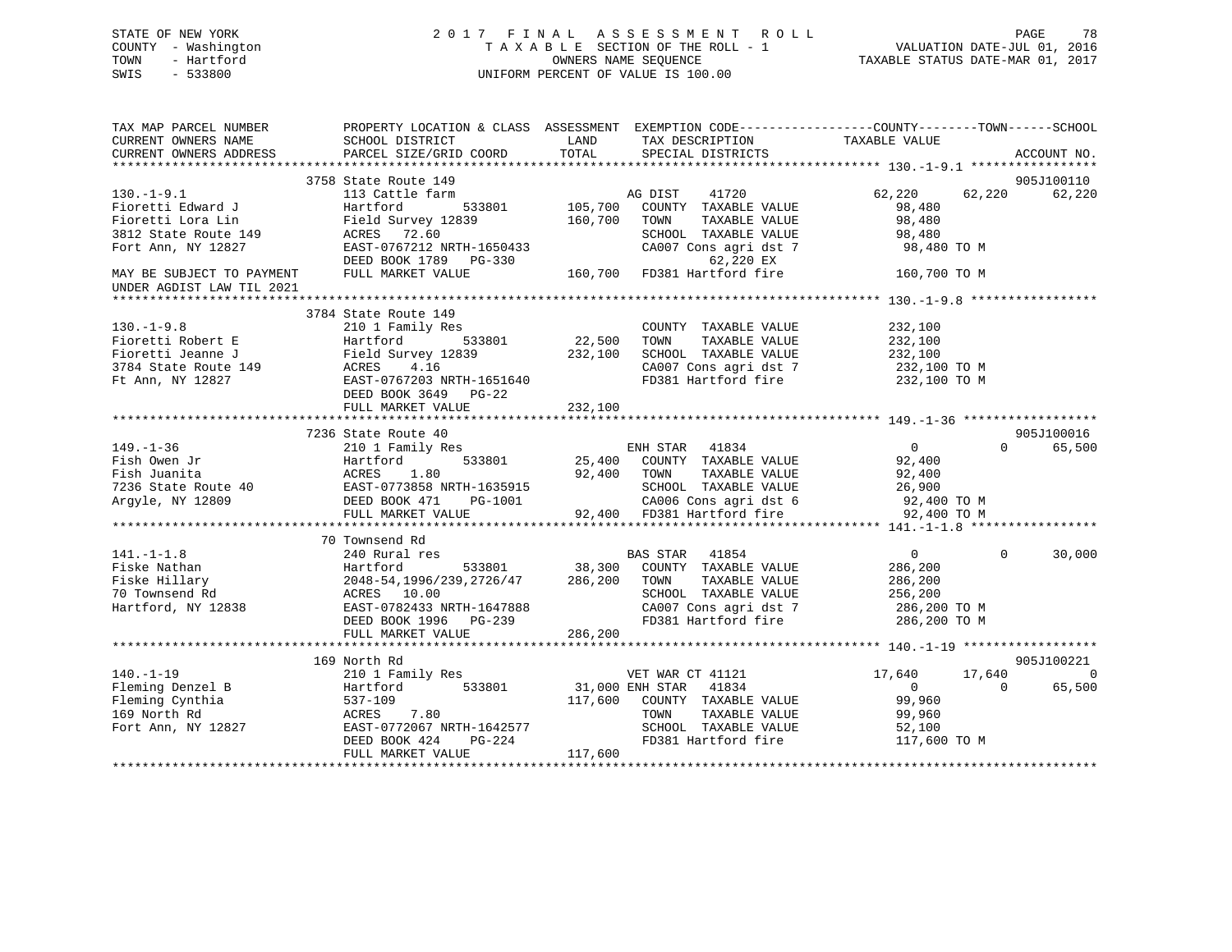# STATE OF NEW YORK 2 0 1 7 F I N A L A S S E S S M E N T R O L L PAGE 78 COUNTY - Washington T A X A B L E SECTION OF THE ROLL - 1 VALUATION DATE-JUL 01, 2016 TOWN - Hartford **TAXABLE STATUS DATE-MAR 01, 2017** SWIS - 533800 UNIFORM PERCENT OF VALUE IS 100.00

| TAX MAP PARCEL NUMBER                       | PROPERTY LOCATION & CLASS ASSESSMENT EXEMPTION CODE---------------COUNTY-------TOWN-----SCHOOL                                                                                                                                                                                                                                                                                                                                                                                                           |                    |                                                    |                      |                    |
|---------------------------------------------|----------------------------------------------------------------------------------------------------------------------------------------------------------------------------------------------------------------------------------------------------------------------------------------------------------------------------------------------------------------------------------------------------------------------------------------------------------------------------------------------------------|--------------------|----------------------------------------------------|----------------------|--------------------|
| CURRENT OWNERS NAME                         | SCHOOL DISTRICT                                                                                                                                                                                                                                                                                                                                                                                                                                                                                          | LAND               | TAX DESCRIPTION TAXABLE VALUE<br>SERCIAL DISTRICTS |                      |                    |
| CURRENT OWNERS ADDRESS                      | PARCEL SIZE/GRID COORD                                                                                                                                                                                                                                                                                                                                                                                                                                                                                   | TOTAL              | SPECIAL DISTRICTS                                  |                      | ACCOUNT NO.        |
|                                             |                                                                                                                                                                                                                                                                                                                                                                                                                                                                                                          |                    |                                                    |                      |                    |
|                                             | 3758 State Route 149                                                                                                                                                                                                                                                                                                                                                                                                                                                                                     |                    |                                                    |                      | 905J100110         |
| $130.-1-9.1$                                | 113 Cattle farm                                                                                                                                                                                                                                                                                                                                                                                                                                                                                          | $533801$ $105,700$ | AG DIST<br>41720                                   | 62,220 62,220 62,220 |                    |
| Fioretti Edward J                           | Hartford                                                                                                                                                                                                                                                                                                                                                                                                                                                                                                 |                    | COUNTY TAXABLE VALUE                               | 98,480               |                    |
|                                             |                                                                                                                                                                                                                                                                                                                                                                                                                                                                                                          | 160,700            | TOWN<br>TAXABLE VALUE                              | 98,480               |                    |
|                                             |                                                                                                                                                                                                                                                                                                                                                                                                                                                                                                          |                    |                                                    | 98,480               |                    |
|                                             | Fioretti Lora Lin Field Survey 12839<br>3812 State Route 149 ACRES 72.60<br>Fort Ann, NY 12827 EAST-0767212 NRTH-1650433<br>DEED BOOK 1789 PG-330                                                                                                                                                                                                                                                                                                                                                        |                    | SCHOOL TAXABLE VALUE<br>CA007 Cons agri dst 7      |                      |                    |
|                                             |                                                                                                                                                                                                                                                                                                                                                                                                                                                                                                          |                    |                                                    | 98,480 TO M          |                    |
|                                             |                                                                                                                                                                                                                                                                                                                                                                                                                                                                                                          |                    | 62,220 EX                                          |                      |                    |
| MAY BE SUBJECT TO PAYMENT FULL MARKET VALUE |                                                                                                                                                                                                                                                                                                                                                                                                                                                                                                          |                    | 160,700 FD381 Hartford fire                        | 160,700 TO M         |                    |
| UNDER AGDIST LAW TIL 2021                   |                                                                                                                                                                                                                                                                                                                                                                                                                                                                                                          |                    |                                                    |                      |                    |
|                                             |                                                                                                                                                                                                                                                                                                                                                                                                                                                                                                          |                    |                                                    |                      |                    |
|                                             | 3784 State Route 149                                                                                                                                                                                                                                                                                                                                                                                                                                                                                     |                    |                                                    |                      |                    |
| $130.-1-9.8$                                | ily Res<br>533801 22,500<br>210 1 Family Res                                                                                                                                                                                                                                                                                                                                                                                                                                                             |                    | COUNTY TAXABLE VALUE                               | 232,100              |                    |
|                                             | 130.-1-9.8 210 1 Family Res<br>Fioretti Robert E Hartford 533801 22,500<br>Fioretti Jeanne J Field Survey 12839 232,100<br>3784 State Route 149 ACRES 4.16<br>Ft Ann, NY 12827 EAST-0767203 NRTH-1651640                                                                                                                                                                                                                                                                                                 |                    | TOWN<br>TAXABLE VALUE                              | 232,100              |                    |
|                                             |                                                                                                                                                                                                                                                                                                                                                                                                                                                                                                          |                    | SCHOOL TAXABLE VALUE                               | 232,100              |                    |
|                                             |                                                                                                                                                                                                                                                                                                                                                                                                                                                                                                          |                    | CA007 Cons agri dst 7                              | 232,100 TO M         |                    |
|                                             |                                                                                                                                                                                                                                                                                                                                                                                                                                                                                                          |                    | FD381 Hartford fire 232,100 TO M                   |                      |                    |
|                                             | DEED BOOK 3649 PG-22                                                                                                                                                                                                                                                                                                                                                                                                                                                                                     |                    |                                                    |                      |                    |
|                                             | FULL MARKET VALUE                                                                                                                                                                                                                                                                                                                                                                                                                                                                                        | 232,100            |                                                    |                      |                    |
|                                             |                                                                                                                                                                                                                                                                                                                                                                                                                                                                                                          |                    |                                                    |                      |                    |
|                                             | 7236 State Route 40                                                                                                                                                                                                                                                                                                                                                                                                                                                                                      |                    |                                                    |                      | 905J100016         |
| $149. - 1 - 36$                             | 210 1 Family Res                                                                                                                                                                                                                                                                                                                                                                                                                                                                                         |                    | ENH STAR 41834                                     | $\overline{0}$       | $\Omega$<br>65,500 |
|                                             |                                                                                                                                                                                                                                                                                                                                                                                                                                                                                                          |                    | 533801 25,400 COUNTY TAXABLE VALUE 92,400          |                      |                    |
|                                             |                                                                                                                                                                                                                                                                                                                                                                                                                                                                                                          |                    |                                                    | 92,400               |                    |
|                                             |                                                                                                                                                                                                                                                                                                                                                                                                                                                                                                          |                    |                                                    | 26,900               |                    |
|                                             |                                                                                                                                                                                                                                                                                                                                                                                                                                                                                                          |                    |                                                    | 92,400 TO M          |                    |
|                                             |                                                                                                                                                                                                                                                                                                                                                                                                                                                                                                          |                    |                                                    |                      |                    |
|                                             | $\begin{tabular}{lllllllllllllllllll} \textbf{149.}-1-36 & \textbf{25,400} & \textbf{1.80} & \textbf{25,400} & \textbf{1.91} & \textbf{1.92} & \textbf{1.93} & \textbf{2.9} & \textbf{2.9} & \textbf{2.9} & \textbf{2.9} & \textbf{2.9} & \textbf{2.9} & \textbf{2.9} & \textbf{2.9} & \textbf{2.9} & \textbf{2.9} & \textbf{2.9} & \textbf{2.9} & \textbf{2.9} & \textbf{2.9}$                                                                                                                          |                    |                                                    | 92,400 TO M          |                    |
|                                             |                                                                                                                                                                                                                                                                                                                                                                                                                                                                                                          |                    |                                                    |                      |                    |
|                                             | 70 Townsend Rd                                                                                                                                                                                                                                                                                                                                                                                                                                                                                           |                    |                                                    |                      |                    |
|                                             |                                                                                                                                                                                                                                                                                                                                                                                                                                                                                                          |                    | res<br>533801 533801 38,300 COUNTY TAXABLE VALUE   | $\overline{0}$       | $\Omega$<br>30,000 |
|                                             |                                                                                                                                                                                                                                                                                                                                                                                                                                                                                                          |                    |                                                    | 286,200              |                    |
|                                             |                                                                                                                                                                                                                                                                                                                                                                                                                                                                                                          |                    | TOWN<br>TAXABLE VALUE                              | 286,200              |                    |
|                                             |                                                                                                                                                                                                                                                                                                                                                                                                                                                                                                          |                    | SCHOOL TAXABLE VALUE                               | 256,200              |                    |
|                                             |                                                                                                                                                                                                                                                                                                                                                                                                                                                                                                          |                    | CA007 Cons agri dst 7 286,200 TO M                 |                      |                    |
|                                             |                                                                                                                                                                                                                                                                                                                                                                                                                                                                                                          |                    | FD381 Hartford fire                                | 286,200 TO M         |                    |
|                                             |                                                                                                                                                                                                                                                                                                                                                                                                                                                                                                          |                    |                                                    |                      |                    |
|                                             |                                                                                                                                                                                                                                                                                                                                                                                                                                                                                                          |                    |                                                    |                      |                    |
|                                             | 169 North Rd                                                                                                                                                                                                                                                                                                                                                                                                                                                                                             |                    |                                                    |                      | 905J100221         |
|                                             |                                                                                                                                                                                                                                                                                                                                                                                                                                                                                                          |                    |                                                    | 17,640<br>17,640     | $\overline{0}$     |
|                                             |                                                                                                                                                                                                                                                                                                                                                                                                                                                                                                          |                    |                                                    | $\overline{0}$       | 65,500<br>$\Omega$ |
|                                             |                                                                                                                                                                                                                                                                                                                                                                                                                                                                                                          |                    | 117,600 COUNTY TAXABLE VALUE                       | 99,960               |                    |
|                                             |                                                                                                                                                                                                                                                                                                                                                                                                                                                                                                          |                    | TAXABLE VALUE                                      | 99,960               |                    |
|                                             |                                                                                                                                                                                                                                                                                                                                                                                                                                                                                                          |                    |                                                    | 52,100               |                    |
|                                             |                                                                                                                                                                                                                                                                                                                                                                                                                                                                                                          |                    | SCHOOL TAXABLE VALUE<br>FD381 Hartford fire        | 117,600 TO M         |                    |
|                                             | $\begin{tabular}{lllllllllllllllllllll} \multicolumn{3}{l}{} & \multicolumn{3}{l}{} & \multicolumn{3}{l}{} & \multicolumn{3}{l}{} & \multicolumn{3}{l}{} & \multicolumn{3}{l}{} & \multicolumn{3}{l}{} & \multicolumn{3}{l}{} & \multicolumn{3}{l}{} & \multicolumn{3}{l}{} & \multicolumn{3}{l}{} & \multicolumn{3}{l}{} & \multicolumn{3}{l}{} & \multicolumn{3}{l}{} & \multicolumn{3}{l}{} & \multicolumn{3}{l}{} & \multicolumn{3}{l}{} & \multicolumn{3}{l}{} & \multicolumn$<br>FULL MARKET VALUE | 117,600            |                                                    |                      |                    |
|                                             |                                                                                                                                                                                                                                                                                                                                                                                                                                                                                                          |                    |                                                    |                      |                    |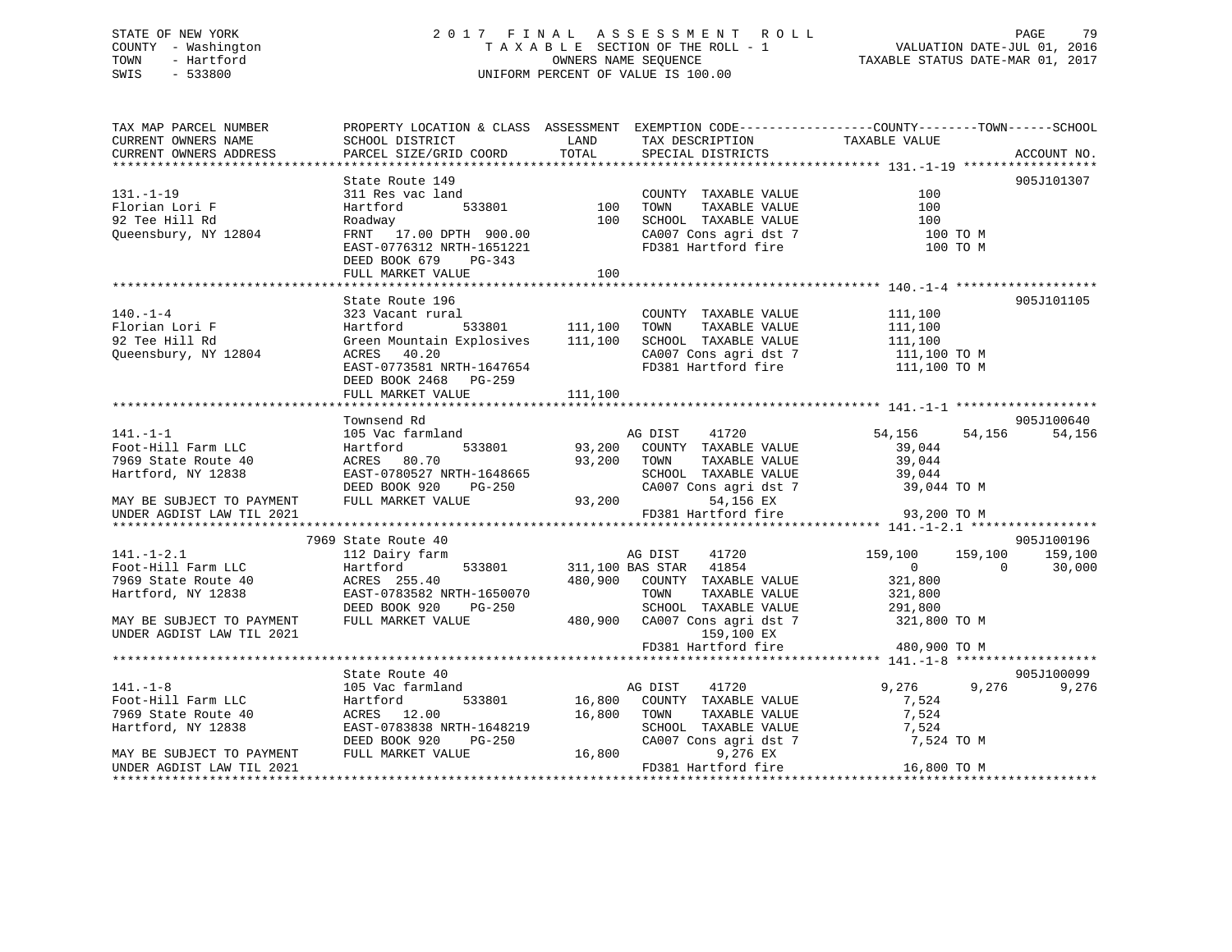# STATE OF NEW YORK 2 0 1 7 F I N A L A S S E S S M E N T R O L L PAGE 79 COUNTY - Washington T A X A B L E SECTION OF THE ROLL - 1 VALUATION DATE-JUL 01, 2016 TOWN - Hartford OWNERS NAME SEQUENCE TAXABLE STATUS DATE-MAR 01, 2017 SWIS - 533800 UNIFORM PERCENT OF VALUE IS 100.00

| TAX MAP PARCEL NUMBER                                  | PROPERTY LOCATION & CLASS ASSESSMENT EXEMPTION CODE----------------COUNTY-------TOWN------SCHOOL |             |                                                                                                                                                                                       |                    |                          |
|--------------------------------------------------------|--------------------------------------------------------------------------------------------------|-------------|---------------------------------------------------------------------------------------------------------------------------------------------------------------------------------------|--------------------|--------------------------|
| CURRENT OWNERS NAME                                    | SCHOOL DISTRICT                                                                                  | LAND        | TAX DESCRIPTION                                                                                                                                                                       | TAXABLE VALUE      |                          |
| CURRENT OWNERS ADDRESS                                 | PARCEL SIZE/GRID COORD                                                                           | TOTAL       | SPECIAL DISTRICTS                                                                                                                                                                     |                    | ACCOUNT NO.              |
|                                                        |                                                                                                  |             |                                                                                                                                                                                       |                    |                          |
| $131. - 1 - 19$                                        | State Route 149<br>311 Res vac land                                                              |             | COUNTY TAXABLE VALUE                                                                                                                                                                  | 100                | 905J101307               |
| l31.-1-1<br>Florian Lori F<br>ריייי                    | 533801<br>Hartford                                                                               |             | TOWN<br>TAXABLE VALUE                                                                                                                                                                 | 100                |                          |
|                                                        | Roadway                                                                                          | 100         | 100 SCHOOL TAXABLE VALUE                                                                                                                                                              | 100                |                          |
| Queensbury, NY 12804                                   | FRNT 17.00 DPTH 900.00                                                                           |             |                                                                                                                                                                                       | 100 TO M           |                          |
|                                                        | EAST-0776312 NRTH-1651221                                                                        |             | CA007 Cons agri dst 7<br>FD381 Hartford fire                                                                                                                                          | 100 TO M           |                          |
|                                                        | DEED BOOK 679 PG-343                                                                             |             |                                                                                                                                                                                       |                    |                          |
|                                                        | FULL MARKET VALUE                                                                                | 100         |                                                                                                                                                                                       |                    |                          |
|                                                        |                                                                                                  |             |                                                                                                                                                                                       |                    |                          |
|                                                        | State Route 196                                                                                  |             |                                                                                                                                                                                       |                    | 905J101105               |
| $140. - 1 - 4$                                         | 323 Vacant rural                                                                                 |             | COUNTY TAXABLE VALUE                                                                                                                                                                  |                    |                          |
| Florian Lori F                                         | rural<br>533801 111,100<br>Hartford                                                              |             | TAXABLE VALUE<br>TOWN                                                                                                                                                                 | 111,100<br>111,100 |                          |
| 92 Tee Hill Rd                                         | Green Mountain Explosives 111,100                                                                |             | SCHOOL TAXABLE VALUE                                                                                                                                                                  |                    |                          |
| Queensbury, NY 12804                                   | ACRES 40.20                                                                                      |             | SCHOOL TAXABLE VALUE 111,100<br>CA007 Cons agri dst 7 111,100 TO M                                                                                                                    |                    |                          |
|                                                        | EAST-0773581 NRTH-1647654                                                                        |             | FD381 Hartford fire                                                                                                                                                                   | 111,100 TO M       |                          |
|                                                        | DEED BOOK 2468 PG-259                                                                            |             |                                                                                                                                                                                       |                    |                          |
|                                                        | FULL MARKET VALUE                                                                                | 111,100     |                                                                                                                                                                                       |                    |                          |
|                                                        |                                                                                                  |             |                                                                                                                                                                                       |                    |                          |
|                                                        | Townsend Rd                                                                                      |             |                                                                                                                                                                                       |                    | 905J100640               |
| $141. - 1 - 1$                                         | 105 Vac farmland                                                                                 |             | AG DIST<br>41720                                                                                                                                                                      | 54,156             | 54,156<br>54,156         |
| Foot-Hill Farm LLC                                     | Hartford                                                                                         |             | 533801 93,200 COUNTY TAXABLE VALUE                                                                                                                                                    | 39,044             |                          |
| 7969 State Route 40                                    | ACRES 80.70                                                                                      | 93,200 TOWN | TAXABLE VALUE                                                                                                                                                                         | 39,044             |                          |
| Hartford, NY 12838                                     | EAST-0780527 NRTH-1648665                                                                        |             |                                                                                                                                                                                       | 39,044             |                          |
|                                                        | RTH-1648665<br>PG-250<br>DEED BOOK 920                                                           |             | SCHOOL TAXABLE VALUE<br>CA007 Cons agri dst 7                                                                                                                                         | 39,044 TO M        |                          |
| MAY BE SUBJECT TO PAYMENT                              | FULL MARKET VALUE                                                                                | 93,200      | 54,156 EX                                                                                                                                                                             |                    |                          |
| UNDER AGDIST LAW TIL 2021                              |                                                                                                  |             | FD381 Hartford fire                                                                                                                                                                   | 93,200 TO M        |                          |
|                                                        |                                                                                                  |             |                                                                                                                                                                                       |                    |                          |
|                                                        | 7969 State Route 40                                                                              |             |                                                                                                                                                                                       |                    | 905J100196               |
| $141. - 1 - 2.1$                                       | 112 Dairy farm                                                                                   |             | AG DIST<br>41720                                                                                                                                                                      |                    | 159,100 159,100 159,100  |
| Foot-Hill Farm LLC                                     | Hartford                                                                                         |             | 533801 311,100 BAS STAR 41854                                                                                                                                                         | $\overline{0}$     | $\overline{0}$<br>30,000 |
| 7969 State Route 40                                    | ACRES 255.40                                                                                     |             | 480,900 COUNTY TAXABLE VALUE                                                                                                                                                          | 321,800<br>321,800 |                          |
| Hartford, NY 12838                                     | EAST-0783582 NRTH-1650070                                                                        |             | TAXABLE VALUE<br>TOWN                                                                                                                                                                 |                    |                          |
|                                                        | DEED BOOK 920<br>PG-250                                                                          |             | 99-250 SCHOOL TAXABLE VALUE 291,800<br>480,900 CA007 Cons agri dst 7 321,800 TO M                                                                                                     |                    |                          |
| MAY BE SUBJECT TO PAYMENT                              | FULL MARKET VALUE                                                                                |             |                                                                                                                                                                                       |                    |                          |
| UNDER AGDIST LAW TIL 2021                              |                                                                                                  |             | 159,100 EX                                                                                                                                                                            |                    |                          |
|                                                        |                                                                                                  |             | FD381 Hartford fire                                                                                                                                                                   | 480,900 TO M       |                          |
|                                                        |                                                                                                  |             |                                                                                                                                                                                       |                    |                          |
|                                                        | State Route 40                                                                                   |             |                                                                                                                                                                                       |                    | 905J100099               |
| $141. - 1 - 8$                                         | 105 Vac farmland                                                                                 | AG DIST     | 41720                                                                                                                                                                                 | 9,276              | 9,276 9,276              |
| Foot-Hill Farm LLC                                     | Hartford                                                                                         |             | 533801 16,800 COUNTY TAXABLE VALUE                                                                                                                                                    | 7,524              |                          |
| 7969 State Route 40                                    | ACRES 12.00                                                                                      | 16,800 TOWN | $\begin{tabular}{lllllllll} \textsc{TONN} & \textsc{TAXABLE} & \textsc{VALUE} & \textsc{7,524} \\ \textsc{SCHOOL} & \textsc{TAXABLE} & \textsc{VALUE} & \textsc{7,524} \end{tabular}$ |                    |                          |
| Hartford, NY 12838                                     | EAST-0783838 NRTH-1648219                                                                        |             |                                                                                                                                                                                       |                    |                          |
|                                                        |                                                                                                  |             | CA007 Cons agri dst 7                                                                                                                                                                 | 7,524 TO M         |                          |
| MAY BE SUBJECT TO PAYMENT<br>UNDER AGDIST LAW TIL 2021 |                                                                                                  |             | 9,276 EX<br>FD381 Hartford fire                                                                                                                                                       | 16,800 TO M        |                          |
|                                                        |                                                                                                  |             |                                                                                                                                                                                       |                    |                          |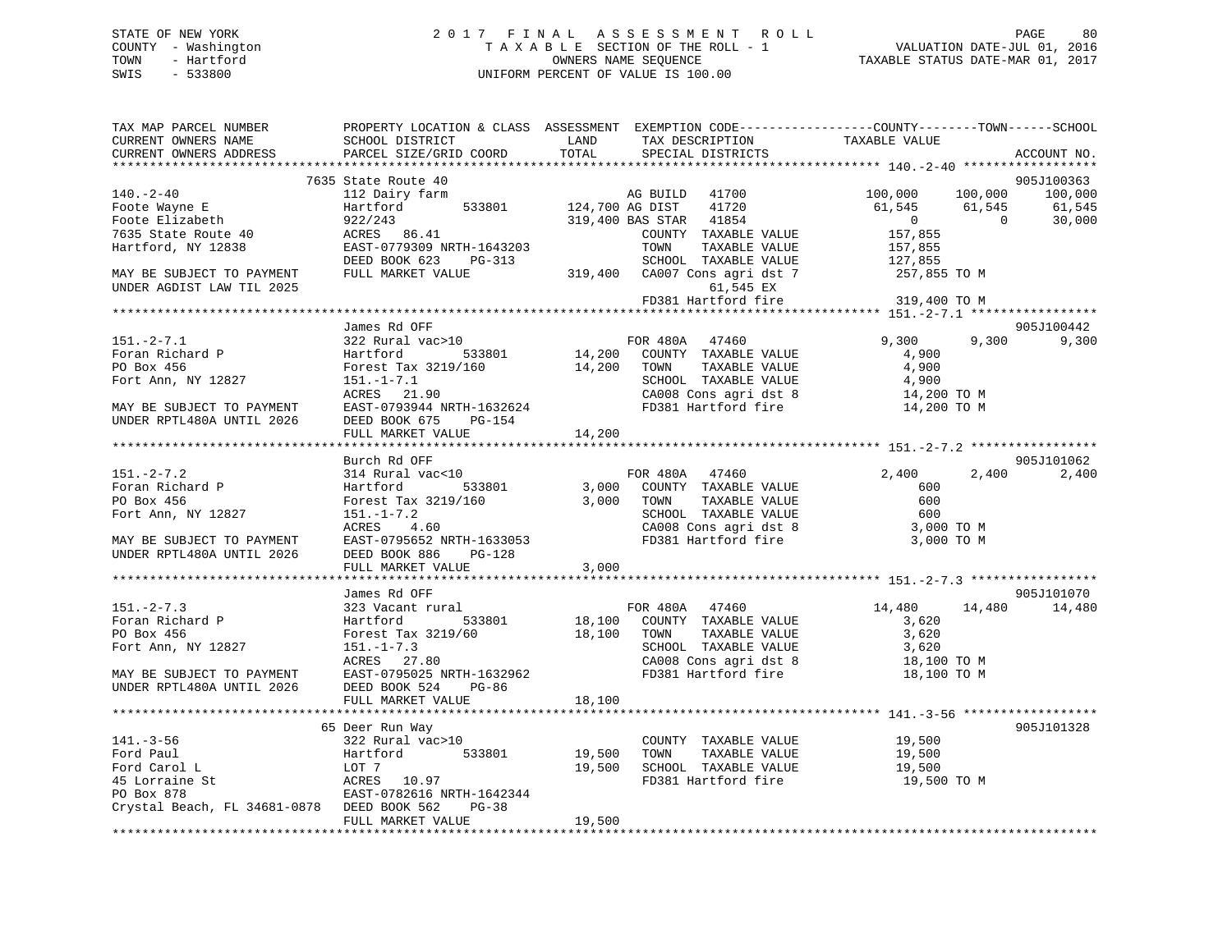# STATE OF NEW YORK 2 0 1 7 F I N A L A S S E S S M E N T R O L L PAGE 80 COUNTY - Washington T A X A B L E SECTION OF THE ROLL - 1 VALUATION DATE-JUL 01, 2016 TOWN - Hartford **TAXABLE STATUS DATE-MAR 01, 2017** SWIS - 533800 UNIFORM PERCENT OF VALUE IS 100.00

| TAX MAP PARCEL NUMBER<br>CURRENT OWNERS NAME    | SCHOOL DISTRICT                 | LAND                    | TAX DESCRIPTION                               | PROPERTY LOCATION & CLASS ASSESSMENT EXEMPTION CODE---------------COUNTY-------TOWN-----SCHOOL<br>TAXABLE VALUE |                  |
|-------------------------------------------------|---------------------------------|-------------------------|-----------------------------------------------|-----------------------------------------------------------------------------------------------------------------|------------------|
| CURRENT OWNERS ADDRESS                          | PARCEL SIZE/GRID COORD          | TOTAL                   | SPECIAL DISTRICTS                             |                                                                                                                 | ACCOUNT NO.      |
|                                                 |                                 |                         |                                               |                                                                                                                 | 905J100363       |
|                                                 | 7635 State Route 40             |                         |                                               |                                                                                                                 |                  |
| 140.-2-40                                       | 112 Dairy farm<br>533801        |                         | AG BUILD 41700<br>41720                       | 100,000<br>100,000                                                                                              | 100,000          |
| Foote Wayne E<br>Foote Elizabeth                | Hartford                        |                         | 124,700 AG DIST<br>319,400 BAS STAR 41854     | 61,545<br>61,545<br>$\overline{0}$<br>$\overline{0}$                                                            | 61,545<br>30,000 |
| 7635 State Route 40                             | $ACRES$ 86.41                   |                         | COUNTY TAXABLE VALUE                          | 157,855                                                                                                         |                  |
| Hartford, NY 12838                              | EAST-0779309 NRTH-1643203       |                         | TOWN<br>TAXABLE VALUE                         | 157,855                                                                                                         |                  |
|                                                 | DEED BOOK 623<br>PG-313         |                         | SCHOOL TAXABLE VALUE                          |                                                                                                                 |                  |
| MAY BE SUBJECT TO PAYMENT                       | FULL MARKET VALUE               |                         | 319,400 CA007 Cons agri dst 7                 | 127,855<br>257,855 TO M                                                                                         |                  |
| UNDER AGDIST LAW TIL 2025                       |                                 |                         | 61,545 EX                                     |                                                                                                                 |                  |
|                                                 |                                 |                         | FD381 Hartford fire                           | 319,400 TO M                                                                                                    |                  |
|                                                 |                                 |                         |                                               |                                                                                                                 |                  |
|                                                 | James Rd OFF                    |                         |                                               |                                                                                                                 | 905J100442       |
| $151 - 2 - 7.1$                                 | 322 Rural vac>10                |                         | FOR 480A 47460                                | 9,300                                                                                                           | 9,300 9,300      |
| Foran Richard P                                 | Hartford 533801                 |                         | 14,200 COUNTY TAXABLE VALUE                   | 4,900                                                                                                           |                  |
| PO Box 456                                      | Forest Tax 3219/160 14,200 TOWN |                         | TAXABLE VALUE                                 | 4,900                                                                                                           |                  |
| Fort Ann, NY 12827                              | $151. - 1 - 7.1$                |                         | SCHOOL TAXABLE VALUE                          | 4,900                                                                                                           |                  |
|                                                 | ACRES 21.90                     |                         |                                               |                                                                                                                 |                  |
| MAY BE SUBJECT TO PAYMENT                       | EAST-0793944 NRTH-1632624       |                         |                                               | CA008 Cons agri dst 8 14,200 TO M<br>FD381 Hartford fire 14,200 TO M                                            |                  |
| UNDER RPTL480A UNTIL 2026                       | DEED BOOK 675<br>PG-154         |                         |                                               |                                                                                                                 |                  |
|                                                 | FULL MARKET VALUE               | 14,200                  |                                               |                                                                                                                 |                  |
|                                                 |                                 |                         |                                               |                                                                                                                 |                  |
|                                                 | Burch Rd OFF                    |                         |                                               |                                                                                                                 | 905J101062       |
| $151 - 2 - 7.2$                                 | 314 Rural vac<10                |                         | FOR 480A 47460                                | 2,400<br>2,400                                                                                                  | 2,400            |
| Foran Richard P                                 | Hartford<br>533801              |                         | 3,000 COUNTY TAXABLE VALUE                    | 600                                                                                                             |                  |
| PO Box 456                                      | Forest Tax 3219/160 3,000       |                         | TOWN<br>TAXABLE VALUE                         | 600                                                                                                             |                  |
| Fort Ann, NY 12827                              | $151. - 1 - 7.2$                |                         | SCHOOL TAXABLE VALUE                          | 600                                                                                                             |                  |
|                                                 | ACRES 4.60                      |                         | CA008 Cons agri dst 8                         | 3,000 TO M                                                                                                      |                  |
| MAY BE SUBJECT TO PAYMENT                       | EAST-0795652 NRTH-1633053       |                         | FD381 Hartford fire                           | 3,000 TO M                                                                                                      |                  |
| UNDER RPTL480A UNTIL 2026                       | DEED BOOK 886 PG-128            |                         |                                               |                                                                                                                 |                  |
|                                                 | FULL MARKET VALUE               | 3,000                   |                                               |                                                                                                                 |                  |
|                                                 |                                 |                         |                                               |                                                                                                                 |                  |
|                                                 | James Rd OFF                    |                         |                                               |                                                                                                                 | 905J101070       |
| $151 - 2 - 7.3$                                 | 323 Vacant rural                |                         | FOR 480A 47460                                | 14,480<br>14,480                                                                                                | 14,480           |
| Foran Richard P                                 | Hartford<br>533801              |                         | 18,100 COUNTY TAXABLE VALUE                   | 3,620                                                                                                           |                  |
| PO Box 456                                      | Forest Tax 3219/60              |                         | 18,100 TOWN<br>TAXABLE VALUE                  | 3,620                                                                                                           |                  |
| Fort Ann, NY 12827                              | $151. - 1 - 7.3$                |                         | SCHOOL TAXABLE VALUE                          | 3,620                                                                                                           |                  |
| MAY BE SUBJECT TO PAYMENT<br>-- 1000 UNTIL 2026 | ACRES 27.80                     |                         | CA008 Cons agri dst 8                         | 18,100 TO M                                                                                                     |                  |
|                                                 | EAST-0795025 NRTH-1632962       |                         | FD381 Hartford fire                           | 18,100 TO M                                                                                                     |                  |
|                                                 | DEED BOOK 524<br>PG-86          |                         |                                               |                                                                                                                 |                  |
|                                                 | FULL MARKET VALUE               | 18,100                  |                                               |                                                                                                                 |                  |
|                                                 |                                 |                         |                                               |                                                                                                                 |                  |
| $141. - 3 - 56$                                 | 65 Deer Run Way                 |                         |                                               |                                                                                                                 | 905J101328       |
| Ford Paul                                       | 322 Rural vac>10<br>Hartford    |                         | COUNTY TAXABLE VALUE<br>TAXABLE VALUE<br>TOWN | 19,500<br>19,500                                                                                                |                  |
| Ford Carol L                                    | LOT 7                           | 533801 19,500<br>19,500 | SCHOOL TAXABLE VALUE                          | 19,500                                                                                                          |                  |
| 45 Lorraine St                                  | ACRES 10.97                     |                         | FD381 Hartford fire                           | 19,500 TO M                                                                                                     |                  |
| PO Box 878                                      | EAST-0782616 NRTH-1642344       |                         |                                               |                                                                                                                 |                  |
| Crystal Beach, FL 34681-0878 DEED BOOK 562      | $PG-38$                         |                         |                                               |                                                                                                                 |                  |
|                                                 | FULL MARKET VALUE               | 19,500                  |                                               |                                                                                                                 |                  |
|                                                 |                                 |                         |                                               |                                                                                                                 |                  |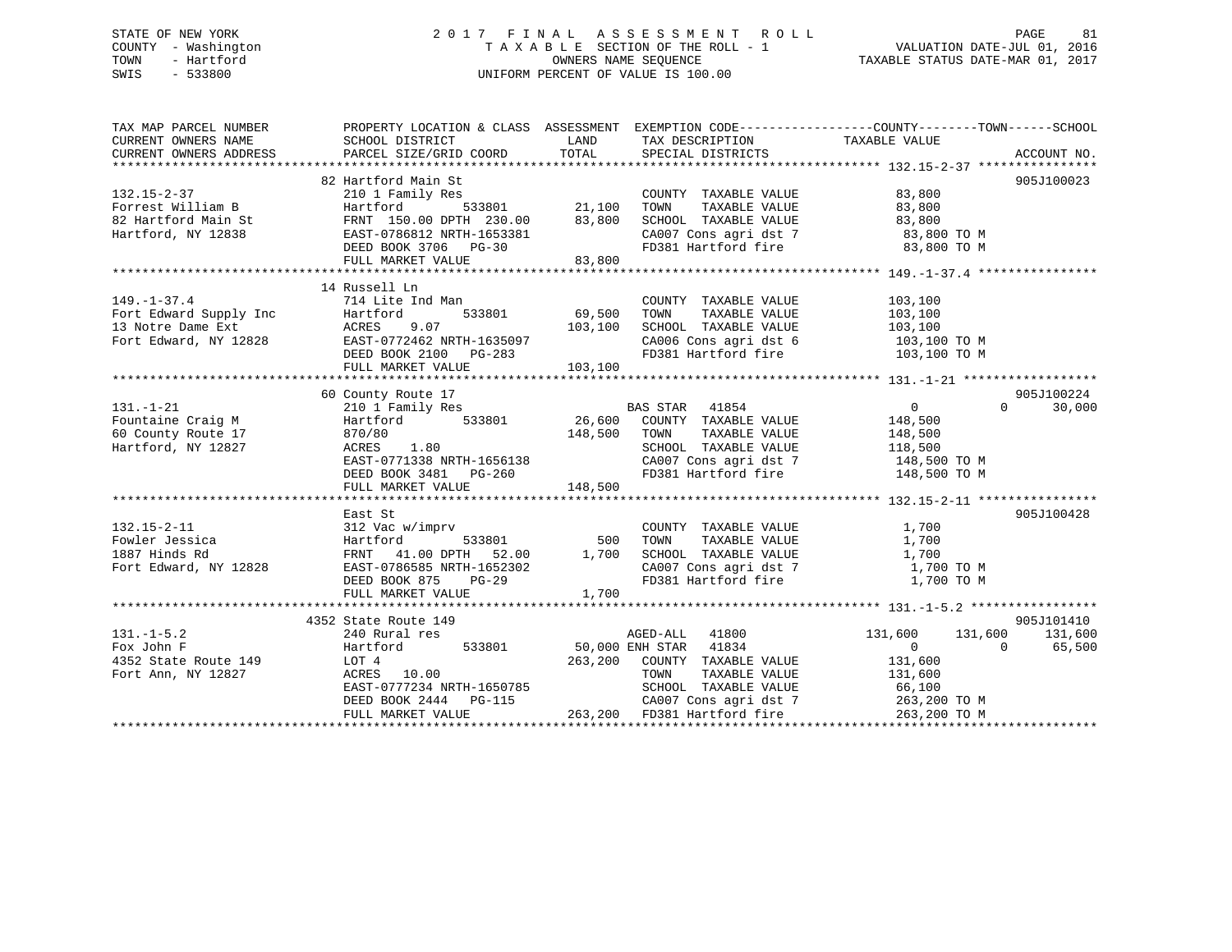# STATE OF NEW YORK 2 0 1 7 F I N A L A S S E S S M E N T R O L L PAGE 81 COUNTY - Washington T A X A B L E SECTION OF THE ROLL - 1 VALUATION DATE-JUL 01, 2016 TOWN - Hartford **TAXABLE STATUS DATE-MAR 01, 2017** SWIS - 533800 UNIFORM PERCENT OF VALUE IS 100.00

| TAX MAP PARCEL NUMBER<br>CURRENT OWNERS NAME | PROPERTY LOCATION & CLASS ASSESSMENT EXEMPTION CODE---------------COUNTY-------TOWN-----SCHOOL<br>SCHOOL DISTRICT                                                                                                                                                                                       |        | LAND TAX DESCRIPTION                                                   |                       |                             |
|----------------------------------------------|---------------------------------------------------------------------------------------------------------------------------------------------------------------------------------------------------------------------------------------------------------------------------------------------------------|--------|------------------------------------------------------------------------|-----------------------|-----------------------------|
| CURRENT OWNERS ADDRESS                       | PARCEL SIZE/GRID COORD                                                                                                                                                                                                                                                                                  |        | TOTAL SPECIAL DISTRICTS                                                | TAXABLE VALUE         | ACCOUNT NO.                 |
|                                              |                                                                                                                                                                                                                                                                                                         |        |                                                                        |                       |                             |
|                                              | 82 Hartford Main St                                                                                                                                                                                                                                                                                     |        |                                                                        |                       | 905J100023                  |
|                                              | 132.15-2-37 62 Hartford Main St<br>Forrest William B<br>82 Hartford Main St<br>Hartford, NY 12838 EAST-0786812 NRTH-1653381 62007<br>DEED BOOK 3706 PG-30 FD381 FD381                                                                                                                                   |        |                                                                        |                       |                             |
|                                              |                                                                                                                                                                                                                                                                                                         |        |                                                                        |                       |                             |
|                                              |                                                                                                                                                                                                                                                                                                         |        |                                                                        |                       |                             |
|                                              |                                                                                                                                                                                                                                                                                                         |        | CA007 Cons agri dst 7 83,800 TO M<br>FD381 Hartford fire 83,800 TO M   |                       |                             |
|                                              |                                                                                                                                                                                                                                                                                                         |        |                                                                        |                       |                             |
|                                              | FULL MARKET VALUE                                                                                                                                                                                                                                                                                       | 83,800 |                                                                        |                       |                             |
|                                              |                                                                                                                                                                                                                                                                                                         |        |                                                                        |                       |                             |
|                                              | 14 Russell Ln                                                                                                                                                                                                                                                                                           |        |                                                                        |                       |                             |
|                                              |                                                                                                                                                                                                                                                                                                         |        |                                                                        |                       |                             |
|                                              |                                                                                                                                                                                                                                                                                                         |        |                                                                        |                       |                             |
|                                              |                                                                                                                                                                                                                                                                                                         |        |                                                                        |                       |                             |
|                                              |                                                                                                                                                                                                                                                                                                         |        | CA006 Cons agri dst 6 103,100 TO M<br>FD381 Hartford fire 103,100 TO M |                       |                             |
|                                              |                                                                                                                                                                                                                                                                                                         |        |                                                                        |                       |                             |
|                                              | 149.-1-37.4<br>Fort Edward Supply Inc 714 Lite Ind Man<br>Fort Edward Supply Inc Hartford 533801 69,500 TOWN TAXABLE VALUE 103,100<br>TOWN TAXABLE VALUE 103,100<br>Fort Edward, NY 12828 EAST-0772462 NRTH-1635097 CA006 Cons agri ds                                                                  |        |                                                                        |                       |                             |
|                                              |                                                                                                                                                                                                                                                                                                         |        |                                                                        |                       |                             |
|                                              | 60 County Route 17                                                                                                                                                                                                                                                                                      |        |                                                                        |                       | 905J100224                  |
| $131. - 1 - 21$                              | 210 1 Family Res                                                                                                                                                                                                                                                                                        |        | BAS STAR 41854                                                         | $\overline{0}$        | $0 \qquad \qquad$<br>30,000 |
| Fountaine Craig M<br>60 County Route 17      |                                                                                                                                                                                                                                                                                                         |        |                                                                        |                       |                             |
|                                              | Hartford 533801 26,600 COUNTY TAXABLE VALUE<br>870/80 148,500 TOWN TAXABLE VALUE<br>870/80 1.80 148,500 TOWN TAXABLE VALUE 148,500<br>ACRES 1.80 SCHOOL TAXABLE VALUE 118,500<br>EAST-0771338 NRTH-1656138 CA007 Cons agri dst 7 148,500 TOWN<br>DEED BOOK 3481 PG-260 FD381 Hartford fire 148,500 TO M |        |                                                                        | 148,500<br>148,500    |                             |
| Hartford, NY 12827                           |                                                                                                                                                                                                                                                                                                         |        |                                                                        |                       |                             |
|                                              |                                                                                                                                                                                                                                                                                                         |        |                                                                        |                       |                             |
|                                              |                                                                                                                                                                                                                                                                                                         |        |                                                                        |                       |                             |
|                                              |                                                                                                                                                                                                                                                                                                         |        |                                                                        |                       |                             |
|                                              |                                                                                                                                                                                                                                                                                                         |        |                                                                        |                       |                             |
|                                              | East St                                                                                                                                                                                                                                                                                                 |        |                                                                        |                       | 905J100428                  |
|                                              |                                                                                                                                                                                                                                                                                                         |        |                                                                        |                       |                             |
|                                              |                                                                                                                                                                                                                                                                                                         |        |                                                                        |                       |                             |
|                                              |                                                                                                                                                                                                                                                                                                         |        |                                                                        |                       |                             |
|                                              | 132.15-2-11<br>Fowler Jessica Hartford 533801 500 TOWN TAXABLE VALUE 1,700<br>1887 Hinds Rd FRNT 41.00 DPTH 52.00 1,700 SCHOOL TAXABLE VALUE 1,700<br>Fort Edward, NY 12828 EAST-0786585 NRTH-1652302 CA007 Cons agri dst 7 1,700<br>                                                                   |        |                                                                        | 1,700 TO M            |                             |
|                                              |                                                                                                                                                                                                                                                                                                         |        |                                                                        | 1,700 TO M            |                             |
|                                              | FULL MARKET VALUE                                                                                                                                                                                                                                                                                       | 1,700  |                                                                        |                       |                             |
|                                              |                                                                                                                                                                                                                                                                                                         |        |                                                                        |                       |                             |
|                                              | 4352 State Route 149                                                                                                                                                                                                                                                                                    |        |                                                                        |                       | 905J101410                  |
| $131. -1 - 5.2$                              | 240 Rural res                                                                                                                                                                                                                                                                                           |        | AGED-ALL 41800                                                         | $131,600$ $131,600$ 0 | 131,600                     |
| Fox John F                                   |                                                                                                                                                                                                                                                                                                         |        |                                                                        |                       | 65,500                      |
| 4352 State Route 149                         | 240 Rural res<br>Hartford 533801 50,000 ENH STAR 41834<br>LOT 4 263,200 COUNTY TAXABLE VALUE 131,600<br>RCRES 10.00 TOWN TAXABLE VALUE 131,600<br>EAST-0777234 NRTH-1650785 SCHOOL TAXABLE VALUE 66,100<br>CROSS CRES 200 COUNTY TAXABLE                                                                |        |                                                                        |                       |                             |
| Fort Ann, NY 12827                           |                                                                                                                                                                                                                                                                                                         |        |                                                                        |                       |                             |
|                                              |                                                                                                                                                                                                                                                                                                         |        |                                                                        |                       |                             |
|                                              | DEED BOOK 2444 PG-115<br>FULL MARKET VALUE 263,200 FD381 Hartford fire                                                                                                                                                                                                                                  |        | CA007 Cons agri dst 7 263,200 TO M                                     |                       |                             |
|                                              |                                                                                                                                                                                                                                                                                                         |        |                                                                        | 263,200 TO M          |                             |
|                                              |                                                                                                                                                                                                                                                                                                         |        |                                                                        |                       |                             |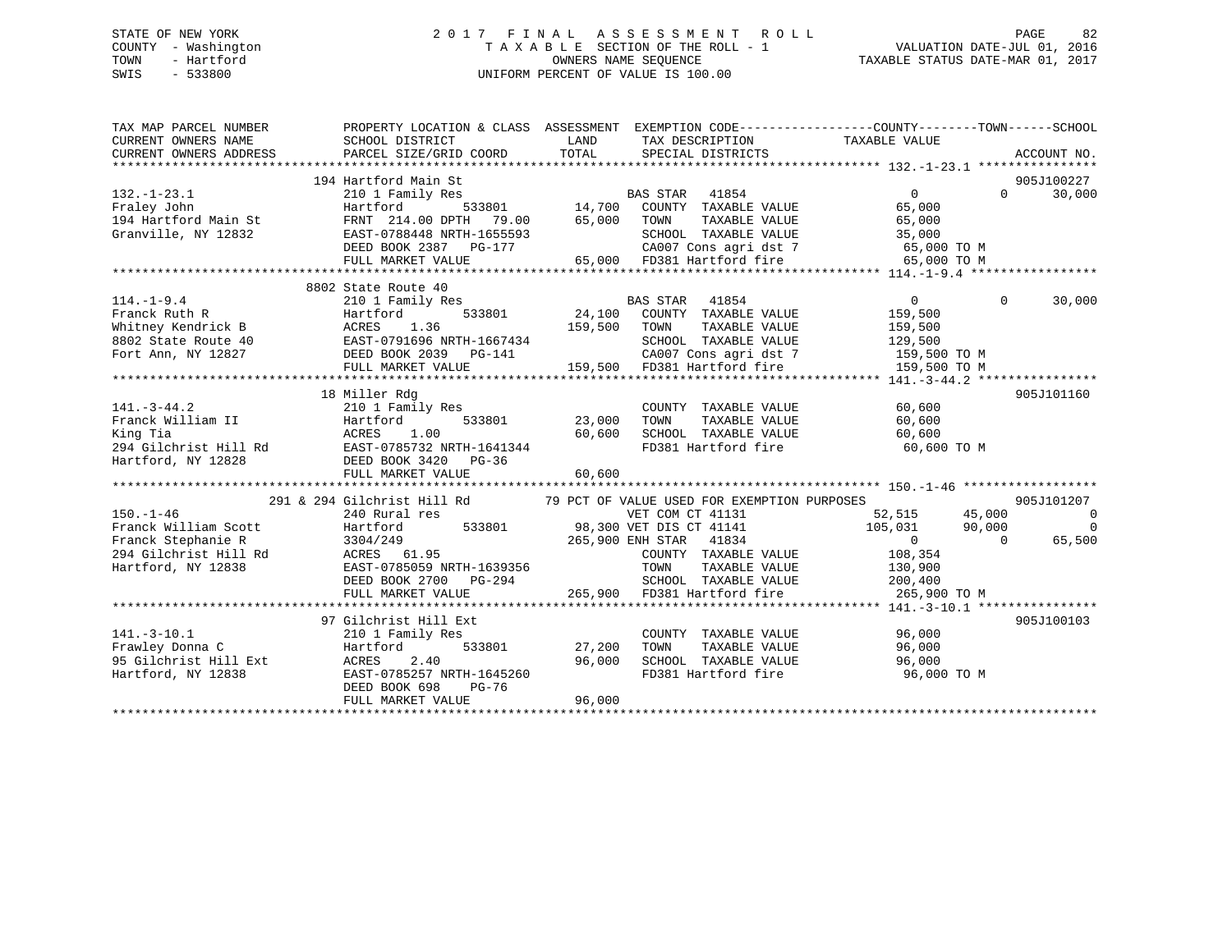# STATE OF NEW YORK 2 0 1 7 F I N A L A S S E S S M E N T R O L L PAGE 82 COUNTY - Washington T A X A B L E SECTION OF THE ROLL - 1 VALUATION DATE-JUL 01, 2016 TOWN - Hartford **TAXABLE STATUS DATE-MAR 01, 2017** SWIS - 533800 UNIFORM PERCENT OF VALUE IS 100.00

| TAX MAP PARCEL NUMBER<br>CURRENT OWNERS NAME<br>CURRENT OWNERS ADDRESS                                                                                                                                                                        | PROPERTY LOCATION & CLASS ASSESSMENT EXEMPTION CODE----------------COUNTY-------TOWN------SCHOOL<br>SCHOOL DISTRICT<br>PARCEL SIZE/GRID COORD | LAND<br>TOTAL | TAX DESCRIPTION TAXABLE VALUE<br>SPECIAL DISTRICTS                       |                                    |           | ACCOUNT NO.        |
|-----------------------------------------------------------------------------------------------------------------------------------------------------------------------------------------------------------------------------------------------|-----------------------------------------------------------------------------------------------------------------------------------------------|---------------|--------------------------------------------------------------------------|------------------------------------|-----------|--------------------|
|                                                                                                                                                                                                                                               | 194 Hartford Main St                                                                                                                          |               |                                                                          |                                    |           | 905J100227         |
| $132. - 1 - 23.1$                                                                                                                                                                                                                             | 210 1 Family Res                                                                                                                              |               |                                                                          | $\Omega$                           |           | 30,000<br>$\Omega$ |
| Fraley John                                                                                                                                                                                                                                   |                                                                                                                                               |               | BAS STAR 41854<br>533801 14,700 COUNTY TAXABLE VALUE                     | 65,000                             |           |                    |
| 194 Hartford Main St                                                                                                                                                                                                                          | Hartford                                                                                                                                      |               | TAXABLE VALUE                                                            | 65,000                             |           |                    |
| Granville, NY 12832                                                                                                                                                                                                                           | EAST-0788448 NRTH-1655593<br>EAST-0788448 NRTH-1655593<br>DEED BOOK 2387 PG-177 CA007<br>FULL MARKET VALUE                                    |               | SCHOOL TAXABLE VALUE                                                     | 35,000                             |           |                    |
|                                                                                                                                                                                                                                               |                                                                                                                                               |               |                                                                          |                                    |           |                    |
|                                                                                                                                                                                                                                               |                                                                                                                                               |               |                                                                          | CA007 Cons agri dst 7 65,000 TO M  |           |                    |
|                                                                                                                                                                                                                                               |                                                                                                                                               |               | 65,000 FD381 Hartford fire                                               | 65,000 TO M                        |           |                    |
|                                                                                                                                                                                                                                               |                                                                                                                                               |               |                                                                          |                                    |           |                    |
|                                                                                                                                                                                                                                               | 8802 State Route 40                                                                                                                           |               |                                                                          |                                    |           |                    |
| $114.-1-9.4$                                                                                                                                                                                                                                  | 210 1 Family Res                                                                                                                              |               | BAS STAR 41854                                                           | $\overline{0}$                     | $\Omega$  | 30,000             |
| Franck Ruth R                                                                                                                                                                                                                                 | 533801<br>Hartford                                                                                                                            |               | 24,100 COUNTY TAXABLE VALUE                                              | 159,500                            |           |                    |
|                                                                                                                                                                                                                                               |                                                                                                                                               | 159,500 TOWN  | TAXABLE VALUE                                                            | 159,500                            |           |                    |
|                                                                                                                                                                                                                                               |                                                                                                                                               |               | SCHOOL TAXABLE VALUE                                                     | 129,500                            |           |                    |
|                                                                                                                                                                                                                                               |                                                                                                                                               |               |                                                                          | CA007 Cons agri dst 7 159,500 TO M |           |                    |
| Framer, under the MCRES 1.36 and the MCRES 1.36 and the MCRES 1.36 and the MCRES 1.36 and the MCRES 1.36 and the MCRES 1.36 and the MCRES 1.36 and the MCRES 1.36 and the MCRES 159,500 and the MCRED BOOK 2039 and the MCRED                 |                                                                                                                                               |               | 159,500 FD381 Hartford fire                                              | 159,500 TO M                       |           |                    |
|                                                                                                                                                                                                                                               |                                                                                                                                               |               |                                                                          |                                    |           |                    |
|                                                                                                                                                                                                                                               | 18 Miller Rdg                                                                                                                                 |               |                                                                          |                                    |           | 905J101160         |
| $141. - 3 - 44.2$                                                                                                                                                                                                                             | 210 1 Family Res                                                                                                                              |               | COUNTY TAXABLE VALUE                                                     | 60,600                             |           |                    |
|                                                                                                                                                                                                                                               |                                                                                                                                               | 23,000        | TOWN<br>TAXABLE VALUE                                                    | 60,600                             |           |                    |
|                                                                                                                                                                                                                                               |                                                                                                                                               | 60,600        | SCHOOL TAXABLE VALUE                                                     | 60,600                             |           |                    |
|                                                                                                                                                                                                                                               |                                                                                                                                               |               |                                                                          | FD381 Hartford fire 60,600 TO M    |           |                    |
|                                                                                                                                                                                                                                               |                                                                                                                                               |               |                                                                          |                                    |           |                    |
| 141.-3-44.2<br>Pranck William II<br>Franck William II<br>Example 10 1 Family Res<br>Example 10 533801<br>294 Gilchrist Hill Rd<br>EAST-0785732 NRTH-1641344<br>Hartford, NY 12828<br>DEED BOOK 3420 PG-36<br>PRES BOOK 3420 PG-36<br>PRES BOO | FULL MARKET VALUE                                                                                                                             | 60,600        |                                                                          |                                    |           |                    |
|                                                                                                                                                                                                                                               |                                                                                                                                               |               |                                                                          |                                    |           |                    |
|                                                                                                                                                                                                                                               | 291 & 294 Gilchrist Hill Rd 79 PCT OF VALUE USED FOR EXEMPTION PURPOSES                                                                       |               |                                                                          |                                    |           | 905J101207         |
| $150. - 1 - 46$                                                                                                                                                                                                                               | 240 Rural res                                                                                                                                 |               | VET COM CT 41131                                                         | 52,515<br>45,000                   |           | $\overline{0}$     |
|                                                                                                                                                                                                                                               |                                                                                                                                               |               |                                                                          |                                    |           | $\mathbf 0$        |
| Franck William Scott                                                                                                                                                                                                                          | Hartford                                                                                                                                      |               | 533801 98,300 VET DIS CT 41141                                           | 105,031 90,000                     |           |                    |
|                                                                                                                                                                                                                                               |                                                                                                                                               |               | 265,900 ENH STAR 41834                                                   | $\overline{0}$                     | $\bigcap$ | 65,500             |
|                                                                                                                                                                                                                                               |                                                                                                                                               |               | COUNTY TAXABLE VALUE 108,354                                             |                                    |           |                    |
| Hartford, NY 12838                                                                                                                                                                                                                            | EAST-0785059 NRTH-1639356                                                                                                                     |               | TOWN                                                                     | TAXABLE VALUE 130,900              |           |                    |
|                                                                                                                                                                                                                                               | DEED BOOK 2700 PG-294                                                                                                                         |               | SCHOOL TAXABLE VALUE 200,400<br>265,900 FD381 Hartford fire 265,900 TO M |                                    |           |                    |
|                                                                                                                                                                                                                                               | FULL MARKET VALUE                                                                                                                             |               |                                                                          |                                    |           |                    |
|                                                                                                                                                                                                                                               |                                                                                                                                               |               |                                                                          |                                    |           |                    |
|                                                                                                                                                                                                                                               | 97 Gilchrist Hill Ext                                                                                                                         |               |                                                                          |                                    |           | 905J100103         |
| $141.-3-10.1$                                                                                                                                                                                                                                 | 210 1 Family Res                                                                                                                              |               | COUNTY TAXABLE VALUE                                                     | 96,000                             |           |                    |
| Frawley Donna C                                                                                                                                                                                                                               | 533801<br>Hartford                                                                                                                            | 27,200        | TOWN<br>TAXABLE VALUE                                                    | $96,000$<br>$96.000$               |           |                    |
| 95 Gilchrist Hill Ext                                                                                                                                                                                                                         | ACRES<br>2.40                                                                                                                                 | 96,000        |                                                                          | 96,000                             |           |                    |
| Hartford, NY 12838                                                                                                                                                                                                                            | EAST-0785257 NRTH-1645260                                                                                                                     |               | SCHOOL TAXABLE VALUE<br>FD381 Hartford fire                              | 96,000 TO M                        |           |                    |
|                                                                                                                                                                                                                                               | DEED BOOK 698<br>PG-76                                                                                                                        |               |                                                                          |                                    |           |                    |
|                                                                                                                                                                                                                                               | FULL MARKET VALUE                                                                                                                             | 96,000        |                                                                          |                                    |           |                    |
|                                                                                                                                                                                                                                               |                                                                                                                                               |               |                                                                          |                                    |           |                    |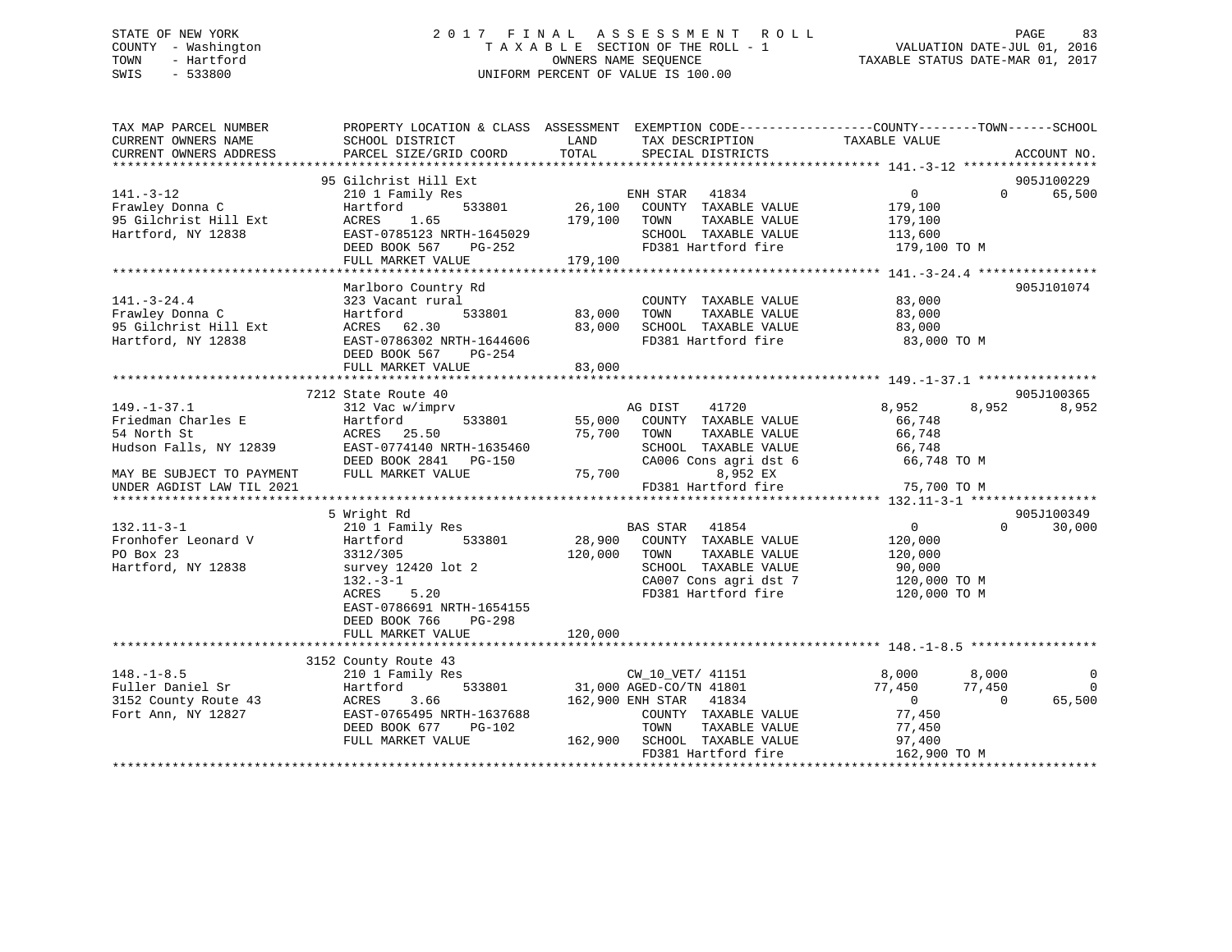# STATE OF NEW YORK 2 0 1 7 F I N A L A S S E S S M E N T R O L L PAGE 83 COUNTY - Washington T A X A B L E SECTION OF THE ROLL - 1 VALUATION DATE-JUL 01, 2016 TOWN - Hartford OWNERS NAME SEQUENCE TAXABLE STATUS DATE-MAR 01, 2017 SWIS - 533800 UNIFORM PERCENT OF VALUE IS 100.00

| TAX MAP PARCEL NUMBER<br>CURRENT OWNERS NAME<br>CURRENT OWNERS ADDRESS | SCHOOL DISTRICT<br>PARCEL SIZE/GRID COORD | LAND<br>TOTAL | TAX DESCRIPTION<br>SPECIAL DISTRICTS | PROPERTY LOCATION & CLASS ASSESSMENT EXEMPTION CODE----------------COUNTY-------TOWN------SCHOOL<br>TAXABLE VALUE | ACCOUNT NO.    |
|------------------------------------------------------------------------|-------------------------------------------|---------------|--------------------------------------|-------------------------------------------------------------------------------------------------------------------|----------------|
|                                                                        |                                           |               |                                      |                                                                                                                   |                |
|                                                                        | 95 Gilchrist Hill Ext                     |               |                                      |                                                                                                                   | 905J100229     |
| $141. - 3 - 12$                                                        | 210 1 Family Res                          |               | ENH STAR 41834                       | $\overline{0}$<br>$\Omega$                                                                                        | 65,500         |
| Frawley Donna C                                                        | 533801<br>Hartford                        | 26,100        | COUNTY TAXABLE VALUE                 | 179,100                                                                                                           |                |
| 95 Gilchrist Hill Ext                                                  | ACRES 1.65                                | 179,100       | TOWN<br>TAXABLE VALUE                | 179,100                                                                                                           |                |
| Hartford, NY 12838                                                     | EAST-0785123 NRTH-1645029                 |               | SCHOOL TAXABLE VALUE                 | 113,600                                                                                                           |                |
|                                                                        | DEED BOOK 567<br>PG-252                   |               | FD381 Hartford fire                  | 179,100 TO M                                                                                                      |                |
|                                                                        | FULL MARKET VALUE                         | 179,100       |                                      |                                                                                                                   |                |
|                                                                        | Marlboro Country Rd                       |               |                                      |                                                                                                                   | 905J101074     |
| $141. - 3 - 24.4$                                                      | 323 Vacant rural                          |               | COUNTY TAXABLE VALUE                 | 83,000                                                                                                            |                |
| Frawley Donna C                                                        | 533801<br>Hartford                        | 83,000        | TAXABLE VALUE<br>TOWN                | 83,000                                                                                                            |                |
| 95 Gilchrist Hill Ext                                                  | ACRES 62.30                               | 83,000        | SCHOOL TAXABLE VALUE                 | 83,000                                                                                                            |                |
| Hartford, NY 12838                                                     | EAST-0786302 NRTH-1644606                 |               | FD381 Hartford fire                  | 83,000 TO M                                                                                                       |                |
|                                                                        | DEED BOOK 567<br>PG-254                   |               |                                      |                                                                                                                   |                |
|                                                                        | FULL MARKET VALUE                         | 83,000        |                                      |                                                                                                                   |                |
|                                                                        |                                           |               |                                      |                                                                                                                   |                |
|                                                                        | 7212 State Route 40                       |               |                                      |                                                                                                                   | 905J100365     |
| $149. - 1 - 37.1$                                                      | 312 Vac w/imprv                           |               | 41720<br>AG DIST                     | 8,952<br>8,952                                                                                                    | 8,952          |
| Friedman Charles E                                                     | Hartford<br>533801                        | 55,000        | COUNTY TAXABLE VALUE                 | 66,748                                                                                                            |                |
| 54 North St                                                            | ACRES 25.50                               | 75,700        | TOWN<br>TAXABLE VALUE                | 66,748                                                                                                            |                |
| Hudson Falls, NY 12839                                                 | EAST-0774140 NRTH-1635460                 |               | SCHOOL TAXABLE VALUE                 | 66,748                                                                                                            |                |
|                                                                        | DEED BOOK 2841 PG-150                     |               | CA006 Cons agri dst 6                | 66,748 TO M                                                                                                       |                |
| MAY BE SUBJECT TO PAYMENT                                              | FULL MARKET VALUE                         | 75,700        | 8,952 EX                             |                                                                                                                   |                |
| UNDER AGDIST LAW TIL 2021                                              |                                           |               | FD381 Hartford fire                  | 75,700 TO M                                                                                                       |                |
|                                                                        | 5 Wright Rd                               |               |                                      |                                                                                                                   | 905J100349     |
| $132.11 - 3 - 1$                                                       | 210 1 Family Res                          |               | BAS STAR 41854                       | $\Omega$<br>$0 \qquad \qquad$                                                                                     | 30,000         |
| Fronhofer Leonard V                                                    | 533801<br>Hartford                        | 28,900        | COUNTY TAXABLE VALUE                 | 120,000                                                                                                           |                |
| PO Box 23                                                              | 3312/305                                  | 120,000       | TOWN<br>TAXABLE VALUE                | 120,000                                                                                                           |                |
| Hartford, NY 12838                                                     | survey 12420 lot 2                        |               | SCHOOL TAXABLE VALUE                 | 90,000                                                                                                            |                |
|                                                                        | $132 - 3 - 1$                             |               | CA007 Cons agri dst 7                | 120,000 TO M                                                                                                      |                |
|                                                                        | 5.20<br>ACRES                             |               | FD381 Hartford fire                  | 120,000 TO M                                                                                                      |                |
|                                                                        | EAST-0786691 NRTH-1654155                 |               |                                      |                                                                                                                   |                |
|                                                                        | DEED BOOK 766<br>$PG-298$                 |               |                                      |                                                                                                                   |                |
|                                                                        | FULL MARKET VALUE                         | 120,000       |                                      |                                                                                                                   |                |
|                                                                        |                                           |               |                                      |                                                                                                                   |                |
|                                                                        | 3152 County Route 43                      |               |                                      |                                                                                                                   |                |
| $148. - 1 - 8.5$                                                       | 210 1 Family Res                          |               | CW_10_VET/ 41151                     | 8,000<br>8,000                                                                                                    | 0              |
| Fuller Daniel Sr                                                       | 533801<br>Hartford                        |               | 31,000 AGED-CO/TN 41801              | 77,450<br>77,450                                                                                                  | $\overline{0}$ |
| 3152 County Route 43                                                   | ACRES<br>3.66                             |               | 162,900 ENH STAR 41834               | $\Omega$<br>$\Omega$                                                                                              | 65,500         |
| Fort Ann, NY 12827                                                     | EAST-0765495 NRTH-1637688                 |               | COUNTY TAXABLE VALUE                 | 77,450                                                                                                            |                |
|                                                                        | DEED BOOK 677<br>PG-102                   |               | TOWN<br>TAXABLE VALUE                | 77,450                                                                                                            |                |
|                                                                        | FULL MARKET VALUE                         |               | 162,900 SCHOOL TAXABLE VALUE         | 97,400                                                                                                            |                |
|                                                                        |                                           |               | FD381 Hartford fire                  | 162,900 TO M                                                                                                      |                |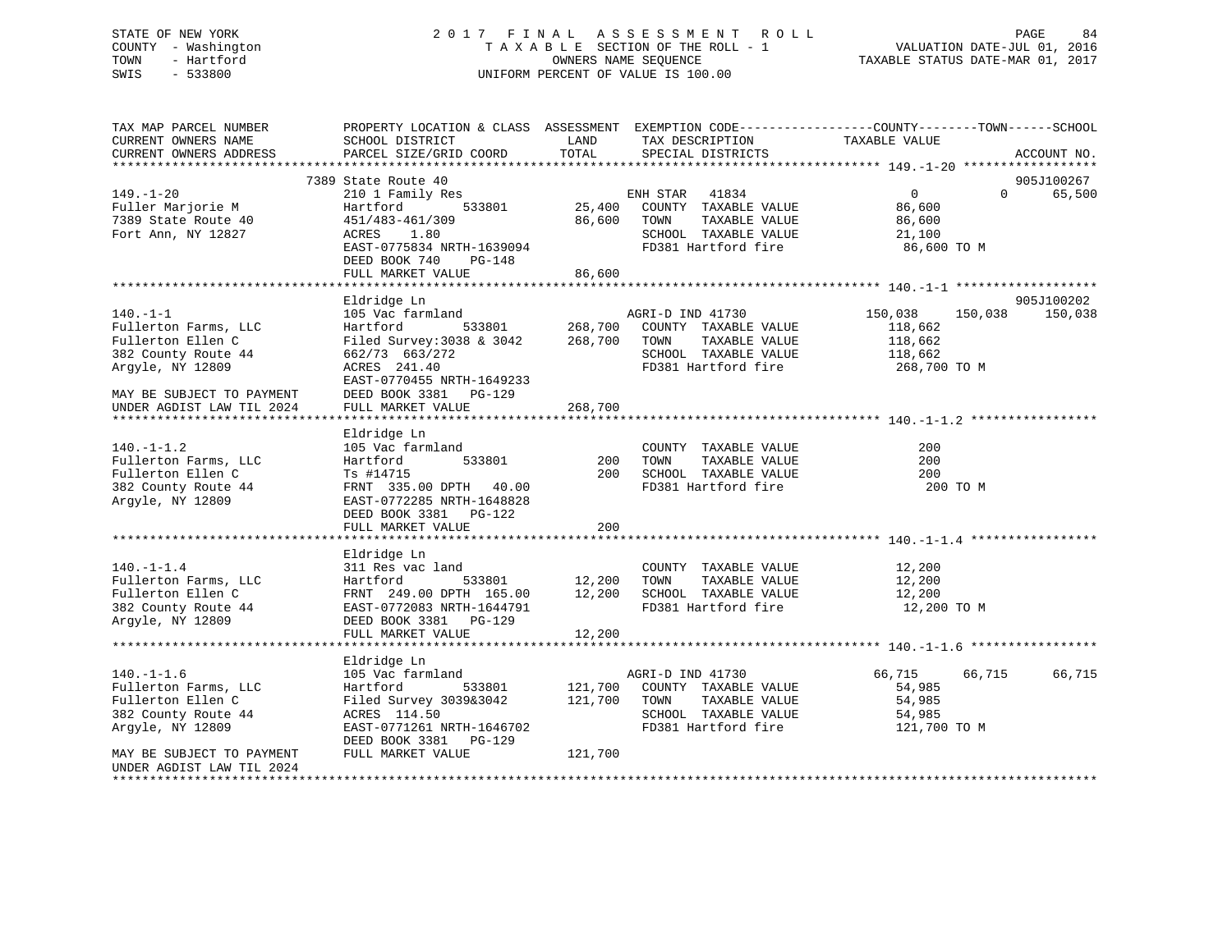# STATE OF NEW YORK 2 0 1 7 F I N A L A S S E S S M E N T R O L L PAGE 84 COUNTY - Washington T A X A B L E SECTION OF THE ROLL - 1 VALUATION DATE-JUL 01, 2016 TOWN - Hartford **TAXABLE STATUS DATE-MAR 01, 2017** SWIS - 533800 UNIFORM PERCENT OF VALUE IS 100.00

| TAX MAP PARCEL NUMBER<br>CURRENT OWNERS NAME<br>CURRENT OWNERS ADDRESS | SCHOOL DISTRICT<br>PARCEL SIZE/GRID COORD                        | LAND<br>TOTAL | TAX DESCRIPTION<br>SPECIAL DISTRICTS          | PROPERTY LOCATION & CLASS ASSESSMENT EXEMPTION CODE----------------COUNTY-------TOWN------SCHOOL<br>TAXABLE VALUE | ACCOUNT NO. |
|------------------------------------------------------------------------|------------------------------------------------------------------|---------------|-----------------------------------------------|-------------------------------------------------------------------------------------------------------------------|-------------|
|                                                                        |                                                                  |               |                                               |                                                                                                                   |             |
|                                                                        | 7389 State Route 40                                              |               |                                               |                                                                                                                   | 905J100267  |
| $149. - 1 - 20$                                                        | 210 1 Family Res                                                 |               | ENH STAR 41834                                | $0 \qquad \qquad$<br>$\Omega$                                                                                     | 65,500      |
| Fuller Marjorie M                                                      | Hartford                                                         | 533801 25,400 | COUNTY TAXABLE VALUE                          | 86,600                                                                                                            |             |
| 7389 State Route 40                                                    | 451/483-461/309                                                  | 86,600        | TOWN<br>TAXABLE VALUE                         | 86,600                                                                                                            |             |
| Fort Ann, NY 12827                                                     | ACRES<br>1.80                                                    |               | SCHOOL TAXABLE VALUE                          | 21,100                                                                                                            |             |
|                                                                        | EAST-0775834 NRTH-1639094                                        |               | FD381 Hartford fire                           | 86,600 TO M                                                                                                       |             |
|                                                                        | DEED BOOK 740<br>$PG-148$                                        |               |                                               |                                                                                                                   |             |
|                                                                        | FULL MARKET VALUE                                                | 86,600        |                                               |                                                                                                                   |             |
|                                                                        |                                                                  |               |                                               |                                                                                                                   |             |
|                                                                        | Eldridge Ln                                                      |               |                                               |                                                                                                                   | 905J100202  |
| $140. - 1 - 1$                                                         | 105 Vac farmland<br>Hartford 533801 268,700 COUNTY TAXABLE VALUE |               |                                               | 150,038<br>150,038                                                                                                | 150,038     |
| Fullerton Farms, LLC                                                   |                                                                  |               |                                               | 118,662                                                                                                           |             |
| Fullerton Ellen C                                                      | Filed Survey: 3038 & 3042 268,700                                |               | TOWN<br>TAXABLE VALUE                         | 118,662                                                                                                           |             |
| 382 County Route 44                                                    | 662/73 663/272                                                   |               | SCHOOL TAXABLE VALUE                          | 118,662                                                                                                           |             |
| Argyle, NY 12809                                                       | ACRES 241.40                                                     |               | FD381 Hartford fire                           | 268,700 TO M                                                                                                      |             |
|                                                                        | EAST-0770455 NRTH-1649233                                        |               |                                               |                                                                                                                   |             |
| MAY BE SUBJECT TO PAYMENT                                              | DEED BOOK 3381 PG-129                                            |               |                                               |                                                                                                                   |             |
| UNDER AGDIST LAW TIL 2024                                              | FULL MARKET VALUE                                                | 268,700       |                                               |                                                                                                                   |             |
|                                                                        |                                                                  |               |                                               |                                                                                                                   |             |
|                                                                        | Eldridge Ln                                                      |               |                                               |                                                                                                                   |             |
| $140. - 1 - 1.2$                                                       | 105 Vac farmland                                                 |               | COUNTY TAXABLE VALUE                          | 200                                                                                                               |             |
| Fullerton Farms, LLC                                                   | 533801<br>Hartford                                               | 200           | TAXABLE VALUE<br>TOWN<br>SCHOOL TAXABLE VALUE | 200                                                                                                               |             |
| Fullerton Ellen C                                                      | Ts #14715                                                        | 200           |                                               | 200                                                                                                               |             |
| 382 County Route 44                                                    | FRNT 335.00 DPTH 40.00                                           |               | FD381 Hartford fire                           | 200 TO M                                                                                                          |             |
| Argyle, NY 12809                                                       | EAST-0772285 NRTH-1648828                                        |               |                                               |                                                                                                                   |             |
|                                                                        | DEED BOOK 3381 PG-122                                            | 200           |                                               |                                                                                                                   |             |
|                                                                        | FULL MARKET VALUE                                                |               |                                               |                                                                                                                   |             |
|                                                                        | Eldridge Ln                                                      |               |                                               |                                                                                                                   |             |
| $140. - 1 - 1.4$                                                       | 311 Res vac land                                                 |               | COUNTY TAXABLE VALUE                          | 12,200                                                                                                            |             |
| Fullerton Farms, LLC                                                   | Hartford                                                         | 533801 12,200 | TAXABLE VALUE<br>TOWN                         | 12,200                                                                                                            |             |
| Fullerton Ellen C                                                      | FRNT 249.00 DPTH 165.00                                          | 12,200        | SCHOOL TAXABLE VALUE                          | 12,200                                                                                                            |             |
| 382 County Route 44                                                    | EAST-0772083 NRTH-1644791                                        |               | FD381 Hartford fire                           | 12,200 TO M                                                                                                       |             |
| Argyle, NY 12809                                                       | DEED BOOK 3381 PG-129                                            |               |                                               |                                                                                                                   |             |
|                                                                        | FULL MARKET VALUE                                                | 12,200        |                                               |                                                                                                                   |             |
|                                                                        |                                                                  |               |                                               |                                                                                                                   |             |
|                                                                        | Eldridge Ln                                                      |               |                                               |                                                                                                                   |             |
| $140. - 1 - 1.6$                                                       | 105 Vac farmland                                                 |               | AGRI-D IND 41730                              | 66,715<br>66,715                                                                                                  | 66,715      |
| Fullerton Farms, LLC                                                   | 533801<br>Hartford                                               | 121,700       | COUNTY TAXABLE VALUE                          | 54,985                                                                                                            |             |
| Fullerton Ellen C                                                      | Filed Survey 3039&3042                                           | 121,700       | TOWN<br>TAXABLE VALUE                         | 54,985                                                                                                            |             |
| 382 County Route 44                                                    | ACRES 114.50                                                     |               | SCHOOL TAXABLE VALUE                          | 54,985                                                                                                            |             |
| Argyle, NY 12809                                                       | EAST-0771261 NRTH-1646702                                        |               | FD381 Hartford fire                           | 121,700 TO M                                                                                                      |             |
|                                                                        | DEED BOOK 3381 PG-129                                            |               |                                               |                                                                                                                   |             |
| MAY BE SUBJECT TO PAYMENT                                              | FULL MARKET VALUE                                                | 121,700       |                                               |                                                                                                                   |             |
| UNDER AGDIST LAW TIL 2024                                              |                                                                  |               |                                               |                                                                                                                   |             |
|                                                                        |                                                                  |               |                                               |                                                                                                                   |             |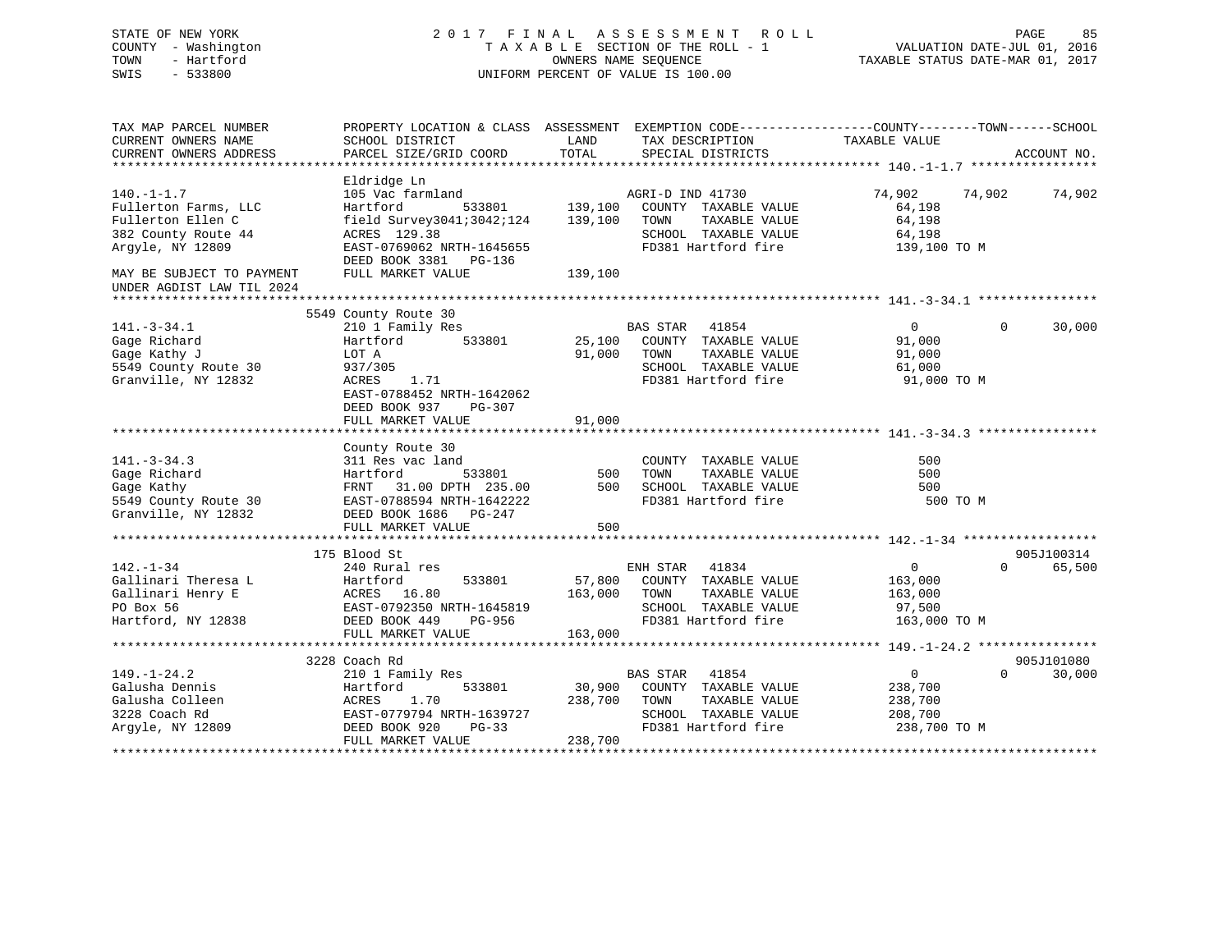| STATE OF NEW YORK<br>COUNTY - Washington<br>TOWN<br>- Hartford<br>SWIS<br>$-533800$ |                                                                                                  | TAXABLE SECTION OF THE ROLL - 1<br>OWNERS NAME SEOUENCE<br>UNIFORM PERCENT OF VALUE IS 100.00 |                  | 2017 FINAL ASSESSMENT ROLL           | VALUATION DATE-JUL 01, 2016<br>TAXABLE STATUS DATE-MAR 01, 2017 | PAGE                                | 85          |
|-------------------------------------------------------------------------------------|--------------------------------------------------------------------------------------------------|-----------------------------------------------------------------------------------------------|------------------|--------------------------------------|-----------------------------------------------------------------|-------------------------------------|-------------|
| TAX MAP PARCEL NUMBER                                                               | PROPERTY LOCATION & CLASS ASSESSMENT EXEMPTION CODE----------------COUNTY-------TOWN------SCHOOL |                                                                                               |                  |                                      |                                                                 |                                     |             |
| CURRENT OWNERS NAME<br>CURRENT OWNERS ADDRESS                                       | SCHOOL DISTRICT<br>PARCEL SIZE/GRID COORD                                                        | LAND<br>TOTAL                                                                                 |                  | TAX DESCRIPTION<br>SPECIAL DISTRICTS | TAXABLE VALUE                                                   |                                     | ACCOUNT NO. |
| ******************                                                                  |                                                                                                  |                                                                                               |                  |                                      |                                                                 |                                     |             |
|                                                                                     | Eldridge Ln                                                                                      |                                                                                               |                  |                                      |                                                                 |                                     |             |
| $140. - 1 - 1.7$                                                                    | 105 Vac farmland                                                                                 |                                                                                               | AGRI-D IND 41730 |                                      | 74,902                                                          | 74,902                              | 74,902      |
| Fullerton Farms, LLC                                                                | 533801<br>Hartford                                                                               | 139,100                                                                                       |                  | COUNTY TAXABLE VALUE                 | 64,198                                                          |                                     |             |
| Fullerton Ellen C                                                                   | field Survey3041;3042;124                                                                        | 139,100                                                                                       | TOWN             | TAXABLE VALUE                        | 64,198                                                          |                                     |             |
| 382 County Route 44                                                                 | ACRES 129.38                                                                                     |                                                                                               |                  | SCHOOL TAXABLE VALUE                 | 64,198                                                          |                                     |             |
| Argyle, NY 12809                                                                    | EAST-0769062 NRTH-1645655<br>DEED BOOK 3381 PG-136                                               |                                                                                               |                  | FD381 Hartford fire                  | 139,100 TO M                                                    |                                     |             |
| MAY BE SUBJECT TO PAYMENT                                                           | FULL MARKET VALUE                                                                                | 139,100                                                                                       |                  |                                      |                                                                 |                                     |             |
| UNDER AGDIST LAW TIL 2024                                                           |                                                                                                  |                                                                                               |                  |                                      |                                                                 |                                     |             |
|                                                                                     | 5549 County Route 30                                                                             |                                                                                               |                  |                                      |                                                                 |                                     |             |
| $141. - 3 - 34.1$                                                                   | 210 1 Family Res                                                                                 |                                                                                               | BAS STAR 41854   |                                      | $\overline{0}$                                                  | $\Omega$                            | 30,000      |
| Gage Richard                                                                        | 533801<br>Hartford                                                                               | 25,100                                                                                        |                  | COUNTY TAXABLE VALUE                 | 91,000                                                          |                                     |             |
| Gage Kathy J                                                                        | LOT A                                                                                            | 91,000                                                                                        | TOWN             | TAXABLE VALUE                        | 91,000                                                          |                                     |             |
| 5549 County Route 30                                                                | 937/305                                                                                          |                                                                                               |                  | SCHOOL TAXABLE VALUE                 | 61,000                                                          |                                     |             |
| Granville, NY 12832                                                                 | ACRES<br>1.71                                                                                    |                                                                                               |                  | FD381 Hartford fire                  | 91,000 TO M                                                     |                                     |             |
|                                                                                     | EAST-0788452 NRTH-1642062                                                                        |                                                                                               |                  |                                      |                                                                 |                                     |             |
|                                                                                     | DEED BOOK 937<br>PG-307                                                                          |                                                                                               |                  |                                      |                                                                 |                                     |             |
|                                                                                     | FULL MARKET VALUE                                                                                | 91,000                                                                                        |                  |                                      |                                                                 |                                     |             |
|                                                                                     | County Route 30                                                                                  |                                                                                               |                  |                                      |                                                                 |                                     |             |
| $141. - 3 - 34.3$                                                                   | 311 Res vac land                                                                                 |                                                                                               |                  | COUNTY TAXABLE VALUE                 | 500                                                             |                                     |             |
| Gage Richard                                                                        | 533801<br>Hartford                                                                               | 500                                                                                           | TOWN             | TAXABLE VALUE                        | 500                                                             |                                     |             |
| Gage Kathy                                                                          | FRNT 31.00 DPTH 235.00                                                                           | 500                                                                                           |                  | SCHOOL TAXABLE VALUE                 | 500                                                             |                                     |             |
| 5549 County Route 30                                                                | EAST-0788594 NRTH-1642222                                                                        |                                                                                               |                  | FD381 Hartford fire                  | 500 TO M                                                        |                                     |             |
| Granville, NY 12832                                                                 | DEED BOOK 1686 PG-247                                                                            |                                                                                               |                  |                                      |                                                                 |                                     |             |
|                                                                                     | FULL MARKET VALUE                                                                                | 500                                                                                           |                  |                                      |                                                                 |                                     |             |
|                                                                                     | 175 Blood St                                                                                     |                                                                                               |                  |                                      |                                                                 |                                     | 905J100314  |
| $142. - 1 - 34$                                                                     | 240 Rural res                                                                                    |                                                                                               | ENH STAR 41834   |                                      | $\overline{0}$                                                  | $\Omega$                            | 65,500      |
| Gallinari Theresa L                                                                 | Hartford<br>533801                                                                               | 57,800                                                                                        |                  | COUNTY TAXABLE VALUE                 | 163,000                                                         |                                     |             |
| Gallinari Henry E                                                                   | ACRES 16.80                                                                                      | 163,000                                                                                       | TOWN             | TAXABLE VALUE                        | 163,000                                                         |                                     |             |
| PO Box 56                                                                           | EAST-0792350 NRTH-1645819                                                                        |                                                                                               |                  | SCHOOL TAXABLE VALUE                 | 97,500                                                          |                                     |             |
| Hartford, NY 12838                                                                  | DEED BOOK 449<br>PG-956                                                                          |                                                                                               |                  | FD381 Hartford fire                  | 163,000 TO M                                                    |                                     |             |
|                                                                                     | FULL MARKET VALUE                                                                                | 163,000                                                                                       |                  |                                      |                                                                 |                                     |             |
|                                                                                     |                                                                                                  |                                                                                               |                  |                                      |                                                                 |                                     |             |
|                                                                                     | 3228 Coach Rd                                                                                    |                                                                                               |                  |                                      |                                                                 | $\Omega$                            | 905J101080  |
| $149. - 1 - 24.2$<br>Galusha Dennis                                                 | 210 1 Family Res<br>533801<br>Hartford                                                           | 30,900                                                                                        | BAS STAR 41854   | COUNTY TAXABLE VALUE                 | $\overline{0}$<br>238,700                                       |                                     | 30,000      |
| Galusha Colleen                                                                     | 1.70<br>ACRES                                                                                    | 238,700                                                                                       | TOWN             | TAXABLE VALUE                        | 238,700                                                         |                                     |             |
| 3228 Coach Rd                                                                       | EAST-0779794 NRTH-1639727                                                                        |                                                                                               |                  | SCHOOL TAXABLE VALUE                 | 208,700                                                         |                                     |             |
| Argyle, NY 12809                                                                    | DEED BOOK 920<br>$PG-33$                                                                         |                                                                                               |                  | FD381 Hartford fire                  | 238,700 TO M                                                    |                                     |             |
|                                                                                     | FULL MARKET VALUE                                                                                | 238,700                                                                                       |                  |                                      |                                                                 |                                     |             |
|                                                                                     |                                                                                                  |                                                                                               |                  |                                      |                                                                 | + + + + + + + + + + + + + + + + + + |             |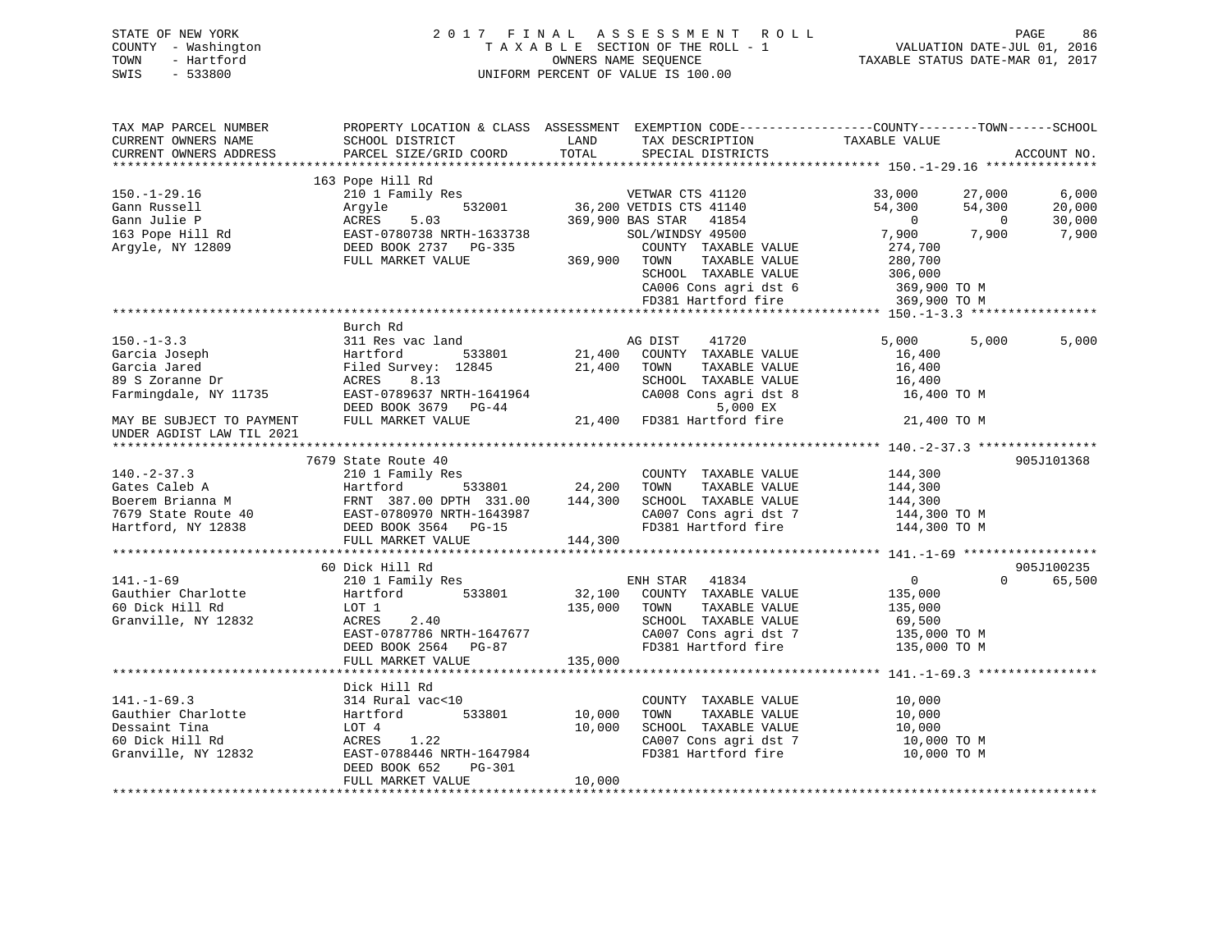# STATE OF NEW YORK 2 0 1 7 F I N A L A S S E S S M E N T R O L L PAGE 86 COUNTY - Washington T A X A B L E SECTION OF THE ROLL - 1 VALUATION DATE-JUL 01, 2016 TOWN - Hartford **TAXABLE STATUS DATE-MAR 01, 2017** SWIS - 533800 UNIFORM PERCENT OF VALUE IS 100.00

| TAX MAP PARCEL NUMBER<br>CURRENT OWNERS NAME<br>CURRENT OWNERS ADDRESS                                                                                                                | PROPERTY LOCATION & CLASS ASSESSMENT EXEMPTION CODE----------------COUNTY-------TOWN------SCHOOL<br>SCHOOL DISTRICT<br>PARCEL SIZE/GRID COORD                 | LAND<br>TOTAL              | TAX DESCRIPTION<br>SPECIAL DISTRICTS                                                                                                                               | TAXABLE VALUE                                                                                             | ACCOUNT NO.                                      |
|---------------------------------------------------------------------------------------------------------------------------------------------------------------------------------------|---------------------------------------------------------------------------------------------------------------------------------------------------------------|----------------------------|--------------------------------------------------------------------------------------------------------------------------------------------------------------------|-----------------------------------------------------------------------------------------------------------|--------------------------------------------------|
|                                                                                                                                                                                       |                                                                                                                                                               |                            |                                                                                                                                                                    |                                                                                                           |                                                  |
| $150.-1-29.16$<br>Gann Russell<br>Gann Julie P<br>163 Pope Hill Rd<br>Argyle, NY 12809                                                                                                | 163 Pope Hill Rd<br>210 1 Family Res<br>532001<br>Arqyle<br>ACRES<br>5.03<br>EAST-0780738 NRTH-1633738<br>DEED BOOK 2737 PG-335<br>FULL MARKET VALUE          | 369,900                    | VETWAR CTS 41120<br>36,200 VETDIS CTS 41140<br>369,900 BAS STAR 41854<br>SOL/WINDSY 49500<br>COUNTY TAXABLE VALUE<br>TOWN<br>TAXABLE VALUE<br>SCHOOL TAXABLE VALUE | 33,000<br>27,000<br>54,300<br>54,300<br>$\overline{0}$<br>7,900<br>7,900<br>274,700<br>280,700<br>306,000 | 6,000<br>20,000<br>30,000<br>$\bigcirc$<br>7,900 |
|                                                                                                                                                                                       |                                                                                                                                                               |                            | CA006 Cons agri dst 6<br>FD381 Hartford fire                                                                                                                       | 369,900 TO M<br>369,900 TO M                                                                              |                                                  |
|                                                                                                                                                                                       |                                                                                                                                                               |                            |                                                                                                                                                                    |                                                                                                           |                                                  |
| $150. - 1 - 3.3$<br>Garcia Joseph<br>Garcia Jared<br>89 S Zoranne Dr<br>Farmingdale, NY 11735                                                                                         | Burch Rd<br>311 Res vac land<br>Hartford 533801<br>Filed Survey: 12845<br>8.13<br>ACRES<br>EAST-0789637 NRTH-1641964                                          | 21,400                     | 41720<br>AG DIST<br>21,400 COUNTY TAXABLE VALUE<br>TOWN<br>TAXABLE VALUE<br>SCHOOL TAXABLE VALUE<br>CA008 Cons agri dst 8                                          | 5,000<br>5,000<br>16,400<br>16,400<br>16,400<br>16,400 TO M                                               | 5,000                                            |
| MAY BE SUBJECT TO PAYMENT                                                                                                                                                             | DEED BOOK 3679 PG-44<br>FULL MARKET VALUE                                                                                                                     |                            | 5,000 EX<br>21,400 FD381 Hartford fire                                                                                                                             | 21,400 TO M                                                                                               |                                                  |
| UNDER AGDIST LAW TIL 2021                                                                                                                                                             |                                                                                                                                                               |                            |                                                                                                                                                                    |                                                                                                           |                                                  |
|                                                                                                                                                                                       | 7679 State Route 40                                                                                                                                           |                            |                                                                                                                                                                    |                                                                                                           | 905J101368                                       |
| $140. - 2 - 37.3$<br>Gates Caleb A<br>Boerem Brianna M<br>Text 387.00 DPTH 331.00 144,300<br>7679 State Route 40 EAST-0780970 NRTH-1643987<br>Hartford, NY 12838 DEED BOOK 3564 PG-15 | 210 1 Family Res<br>533801<br>Hartford<br>FULL MARKET VALUE                                                                                                   | 24,200<br>144,300          | COUNTY TAXABLE VALUE<br>TAXABLE VALUE<br>TOWN<br>SCHOOL TAXABLE VALUE<br>CA007 Cons agri dst 7<br>FD381 Hartford fire                                              | 144,300<br>144,300<br>144,300<br>144,300 TO M<br>144,300 TO M                                             |                                                  |
| **********************                                                                                                                                                                |                                                                                                                                                               |                            |                                                                                                                                                                    |                                                                                                           |                                                  |
| $141. - 1 - 69$<br>Gauthier Charlotte<br>60 Dick Hill Rd<br>Granville, NY 12832                                                                                                       | 60 Dick Hill Rd<br>210 1 Family Res<br>533801<br>Hartford<br>LOT 1<br>ACRES<br>2.40<br>EAST-0787786 NRTH-1647677<br>DEED BOOK 2564 PG-87<br>FULL MARKET VALUE | 135,000<br>135,000         | ENH STAR 41834<br>32,100 COUNTY TAXABLE VALUE<br>TOWN<br>TAXABLE VALUE<br>SCHOOL TAXABLE VALUE<br>CA007 Cons agri dst 7<br>FD381 Hartford fire                     | $\overline{0}$<br>135,000<br>135,000<br>69,500<br>135,000 TO M<br>135,000 TO M                            | 905J100235<br>$\Omega$<br>65,500                 |
|                                                                                                                                                                                       |                                                                                                                                                               |                            |                                                                                                                                                                    |                                                                                                           |                                                  |
| $141. - 1 - 69.3$<br>Gauthier Charlotte<br>Dessaint Tina<br>60 Dick Hill Rd<br>Granville, NY 12832                                                                                    | Dick Hill Rd<br>314 Rural vac<10<br>533801<br>Hartford<br>LOT 4<br>ACRES<br>1.22<br>EAST-0788446 NRTH-1647984<br>DEED BOOK 652<br>PG-301<br>FULL MARKET VALUE | 10,000<br>10,000<br>10,000 | COUNTY TAXABLE VALUE<br>TOWN<br>TAXABLE VALUE<br>SCHOOL TAXABLE VALUE<br>CA007 Cons agri dst 7<br>FD381 Hartford fire                                              | 10,000<br>10,000<br>10,000<br>10,000 TO M<br>10,000 TO M                                                  |                                                  |
|                                                                                                                                                                                       |                                                                                                                                                               |                            |                                                                                                                                                                    |                                                                                                           |                                                  |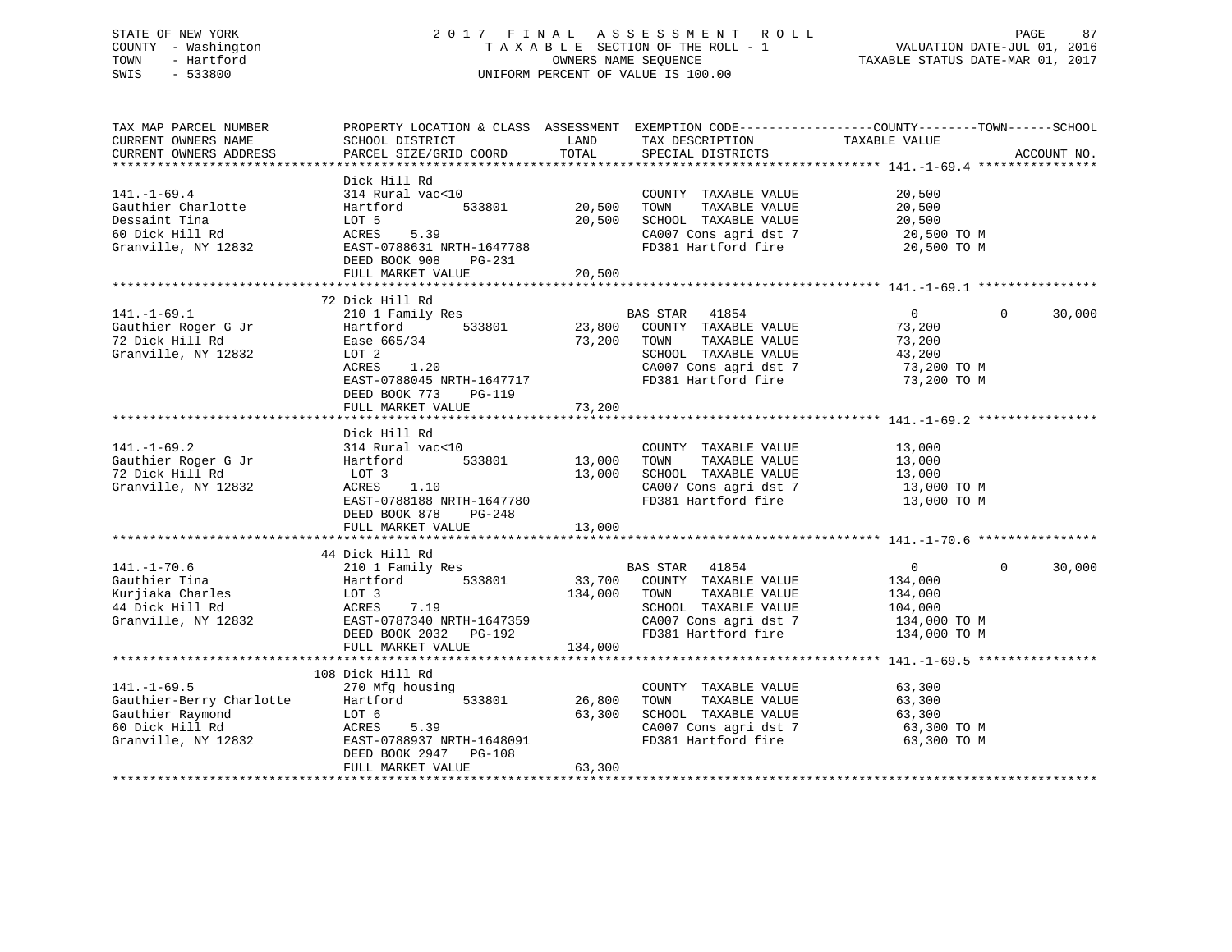# STATE OF NEW YORK 2 0 1 7 F I N A L A S S E S S M E N T R O L L PAGE 87 COUNTY - Washington T A X A B L E SECTION OF THE ROLL - 1 VALUATION DATE-JUL 01, 2016 TOWN - Hartford **TAXABLE STATUS DATE-MAR 01, 2017** SWIS - 533800 UNIFORM PERCENT OF VALUE IS 100.00

| TAX MAP PARCEL NUMBER<br>CURRENT OWNERS NAME<br>CURRENT OWNERS ADDRESS                                      | SCHOOL DISTRICT<br>PARCEL SIZE/GRID COORD                                                                                                                                       | LAND<br>TOTAL              | TAX DESCRIPTION<br>SPECIAL DISTRICTS                                                                                                           | PROPERTY LOCATION & CLASS ASSESSMENT EXEMPTION CODE----------------COUNTY-------TOWN------SCHOOL<br>TAXABLE VALUE | ACCOUNT NO. |
|-------------------------------------------------------------------------------------------------------------|---------------------------------------------------------------------------------------------------------------------------------------------------------------------------------|----------------------------|------------------------------------------------------------------------------------------------------------------------------------------------|-------------------------------------------------------------------------------------------------------------------|-------------|
| $141. - 1 - 69.4$<br>Gauthier Charlotte<br>Dessaint Tina<br>60 Dick Hill Rd<br>Granville, NY 12832          | Dick Hill Rd<br>314 Rural vac<10<br>533801<br>Hartford<br>LOT 5<br>5.39<br>ACRES<br>EAST-0788631 NRTH-1647788<br>DEED BOOK 908<br>PG-231<br>FULL MARKET VALUE                   | 20,500<br>20,500<br>20,500 | COUNTY TAXABLE VALUE<br>TAXABLE VALUE<br>TOWN<br>SCHOOL TAXABLE VALUE<br>CA007 Cons agri dst 7<br>FD381 Hartford fire                          | 20,500<br>20,500<br>20,500<br>20,500 TO M<br>20,500 TO M                                                          |             |
| $141. - 1 - 69.1$<br>Gauthier Roger G Jr<br>72 Dick Hill Rd<br>Granville, NY 12832                          | 72 Dick Hill Rd<br>210 1 Family Res<br>533801<br>Hartford<br>Ease 665/34<br>LOT 2<br>1.20<br>ACRES<br>EAST-0788045 NRTH-1647717<br>DEED BOOK 773<br>PG-119<br>FULL MARKET VALUE | 23,800<br>73,200<br>73,200 | BAS STAR 41854<br>COUNTY TAXABLE VALUE<br>TAXABLE VALUE<br>TOWN<br>SCHOOL TAXABLE VALUE<br>CA007 Cons agri dst 7<br>FD381 Hartford fire        | 0<br>$\Omega$<br>73,200<br>73,200<br>43,200<br>73,200 TO M<br>73,200 TO M                                         | 30,000      |
| $141. - 1 - 69.2$<br>Gauthier Roger G Jr<br>72 Dick Hill Rd<br>Granville, NY 12832                          | Dick Hill Rd<br>314 Rural vac<10<br>Hartford<br>533801<br>LOT 3<br>ACRES<br>1.10<br>EAST-0788188 NRTH-1647780<br>DEED BOOK 878<br>$PG-248$<br>FULL MARKET VALUE                 | 13,000<br>13,000<br>13,000 | COUNTY TAXABLE VALUE<br>TAXABLE VALUE<br>TOWN<br>SCHOOL TAXABLE VALUE<br>CA007 Cons agri dst 7<br>FD381 Hartford fire                          | 13,000<br>13,000<br>13,000<br>13,000 TO M<br>13,000 TO M                                                          |             |
| $141. - 1 - 70.6$<br>Gauthier Tina<br>Kurjiaka Charles<br>44 Dick Hill Rd<br>Granville, NY 12832            | 44 Dick Hill Rd<br>210 1 Family Res<br>533801<br>Hartford<br>LOT 3<br>ACRES<br>7.19<br>EAST-0787340 NRTH-1647359<br>DEED BOOK 2032<br>PG-192<br>FULL MARKET VALUE               | 134,000<br>134,000         | BAS STAR 41854<br>33,700 COUNTY TAXABLE VALUE<br>TAXABLE VALUE<br>TOWN<br>SCHOOL TAXABLE VALUE<br>CA007 Cons agri dst 7<br>FD381 Hartford fire | $\overline{0}$<br>$\Omega$<br>134,000<br>134,000<br>104,000<br>134,000 TO M<br>134,000 TO M                       | 30,000      |
| $141. - 1 - 69.5$<br>Gauthier-Berry Charlotte<br>Gauthier Raymond<br>60 Dick Hill Rd<br>Granville, NY 12832 | 108 Dick Hill Rd<br>270 Mfg housing<br>533801<br>Hartford<br>LOT 6<br>ACRES<br>5.39<br>EAST-0788937 NRTH-1648091<br>DEED BOOK 2947 PG-108<br>FULL MARKET VALUE                  | 26,800<br>63,300<br>63,300 | COUNTY TAXABLE VALUE<br>TAXABLE VALUE<br>TOWN<br>SCHOOL TAXABLE VALUE<br>CA007 Cons agri dst 7<br>FD381 Hartford fire                          | 63,300<br>63,300<br>63,300<br>63,300 TO M<br>63,300 TO M                                                          |             |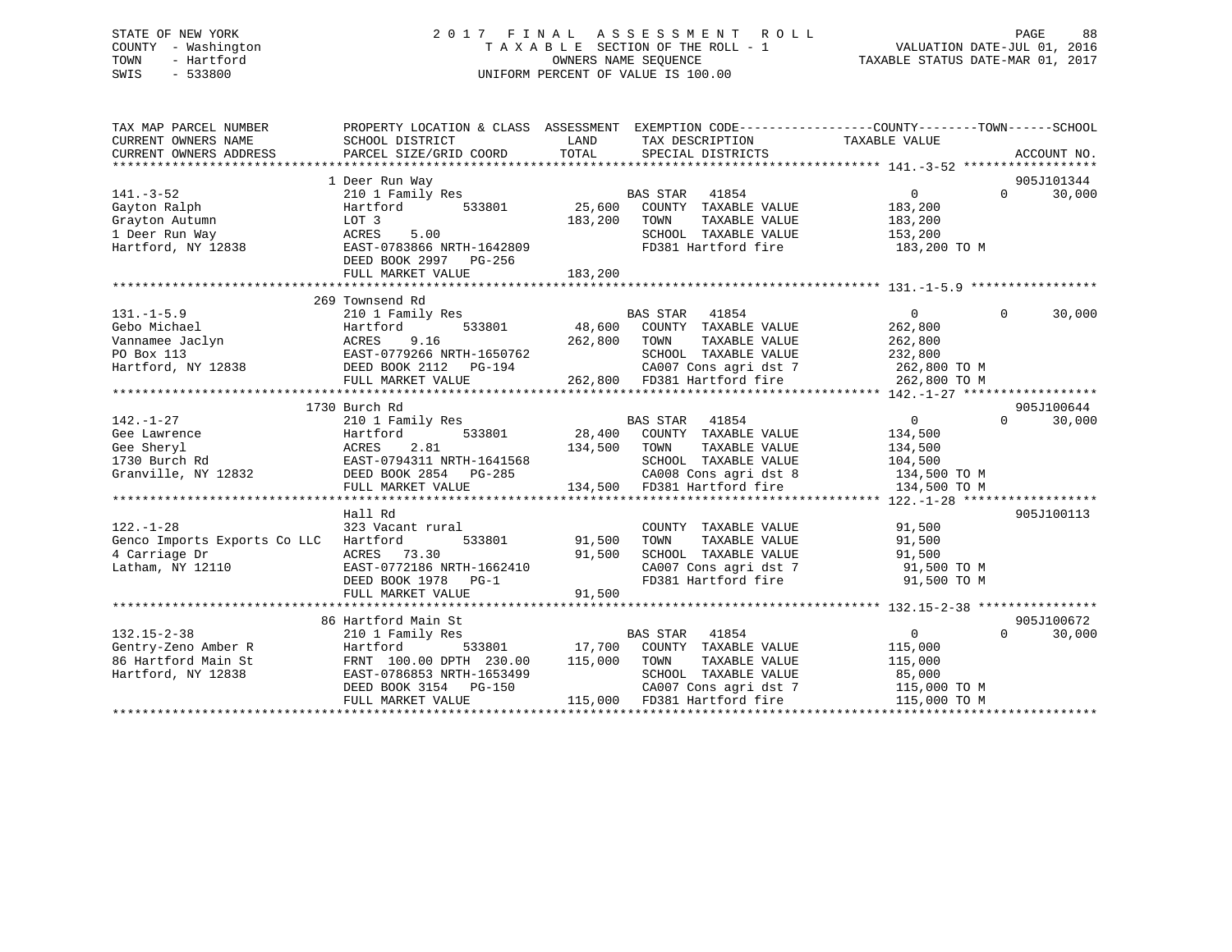# STATE OF NEW YORK 2 0 1 7 F I N A L A S S E S S M E N T R O L L PAGE 88 COUNTY - Washington T A X A B L E SECTION OF THE ROLL - 1 VALUATION DATE-JUL 01, 2016 TOWN - Hartford **TAXABLE STATUS DATE-MAR 01, 2017** SWIS - 533800 UNIFORM PERCENT OF VALUE IS 100.00

| TAX MAP PARCEL NUMBER                                                                                                                                                                                                                  | PROPERTY LOCATION & CLASS ASSESSMENT EXEMPTION CODE---------------COUNTY-------TOWN-----SCHOOL |               |                                                                                                                            |                |          |             |
|----------------------------------------------------------------------------------------------------------------------------------------------------------------------------------------------------------------------------------------|------------------------------------------------------------------------------------------------|---------------|----------------------------------------------------------------------------------------------------------------------------|----------------|----------|-------------|
| CURRENT OWNERS NAME                                                                                                                                                                                                                    | SCHOOL DISTRICT                                                                                | LAND          | TAX DESCRIPTION                                                                                                            | TAXABLE VALUE  |          |             |
| CURRENT OWNERS ADDRESS                                                                                                                                                                                                                 | PARCEL SIZE/GRID COORD                                                                         | TOTAL         | SPECIAL DISTRICTS                                                                                                          |                |          | ACCOUNT NO. |
|                                                                                                                                                                                                                                        |                                                                                                |               |                                                                                                                            |                |          |             |
|                                                                                                                                                                                                                                        | 1 Deer Run Way                                                                                 |               |                                                                                                                            |                |          | 905J101344  |
| $141. - 3 - 52$                                                                                                                                                                                                                        | 210 1 Family Res                                                                               |               | BAS STAR 41854                                                                                                             | 0              | $\Omega$ | 30,000      |
| Gayton Ralph                                                                                                                                                                                                                           | Hartford                                                                                       |               | 533801 25,600 COUNTY TAXABLE VALUE                                                                                         | 183,200        |          |             |
| Grayton Autumn                                                                                                                                                                                                                         | LOT 3                                                                                          | 183,200       | TAXABLE VALUE<br>TOWN                                                                                                      | 183,200        |          |             |
| 1 Deer Run Way                                                                                                                                                                                                                         | 5.00<br>ACRES                                                                                  |               | SCHOOL TAXABLE VALUE 153,200                                                                                               |                |          |             |
| Hartford, NY 12838                                                                                                                                                                                                                     | EAST-0783866 NRTH-1642809                                                                      |               | FD381 Hartford fire 183,200 TO M                                                                                           |                |          |             |
|                                                                                                                                                                                                                                        | DEED BOOK 2997 PG-256                                                                          |               |                                                                                                                            |                |          |             |
|                                                                                                                                                                                                                                        | FULL MARKET VALUE                                                                              | 183,200       |                                                                                                                            |                |          |             |
|                                                                                                                                                                                                                                        |                                                                                                |               |                                                                                                                            |                |          |             |
|                                                                                                                                                                                                                                        | 269 Townsend Rd                                                                                |               |                                                                                                                            |                |          |             |
| $131. -1 - 5.9$                                                                                                                                                                                                                        | 210 1 Family Res                                                                               |               | BAS STAR<br>41854                                                                                                          | $\overline{0}$ | $\Omega$ | 30,000      |
|                                                                                                                                                                                                                                        |                                                                                                |               |                                                                                                                            | 262,800        |          |             |
|                                                                                                                                                                                                                                        |                                                                                                |               |                                                                                                                            | 262,800        |          |             |
|                                                                                                                                                                                                                                        |                                                                                                |               | SCHOOL TAXABLE VALUE 232,800                                                                                               |                |          |             |
|                                                                                                                                                                                                                                        |                                                                                                |               | CA007 Cons agri dst 7 262,800 TO M                                                                                         |                |          |             |
|                                                                                                                                                                                                                                        |                                                                                                |               |                                                                                                                            | 262,800 TO M   |          |             |
| 131.-1-5.9<br>Gebo Michael Hartford 533801 46,000 COMITERXABLE VALUE<br>Vannamee Jaclyn ACRES 9.16 262,800 TOWN TAXABLE VALUE<br>PO Box 113 EAST-0779266 NRTH-1650762 SCHOOL TAXABLE VALUE<br>Hartford, NY 12838 DEED BOOK 2112 PG-194 |                                                                                                |               |                                                                                                                            |                |          |             |
|                                                                                                                                                                                                                                        | 1730 Burch Rd                                                                                  |               |                                                                                                                            |                |          | 905J100644  |
| $142. - 1 - 27$                                                                                                                                                                                                                        | 210 1 Family Res                                                                               |               | <sup>3</sup><br>533801 28,400 COUNTY TAXABLE VALUE                                                                         | $\overline{0}$ | $\Omega$ | 30,000      |
|                                                                                                                                                                                                                                        | Hartford                                                                                       |               |                                                                                                                            | 134,500        |          |             |
|                                                                                                                                                                                                                                        | 2.81<br>ACRES                                                                                  | 134,500       | TAXABLE VALUE<br>TOWN                                                                                                      | 134,500        |          |             |
|                                                                                                                                                                                                                                        | EAST-0794311 NRTH-1641568                                                                      |               |                                                                                                                            |                |          |             |
| 142.-1-27<br>Gee Lawrence<br>Gee Sheryl<br>1730 Burch Rd<br>Granville, NY 12832                                                                                                                                                        | EASI-U794311 NRTH-1641568<br>DEED BOOK 2854 PG-285                                             |               |                                                                                                                            |                |          |             |
|                                                                                                                                                                                                                                        | FULL MARKET VALUE                                                                              |               | 91568 SCHOOL TAXABLE VALUE 104,500<br>3-285 CA008 Cons agri dst 8 134,500 TO M<br>334,500 FD381 Hartford fire 134,500 TO M |                |          |             |
|                                                                                                                                                                                                                                        |                                                                                                |               |                                                                                                                            |                |          |             |
|                                                                                                                                                                                                                                        | Hall Rd                                                                                        |               |                                                                                                                            |                |          | 905J100113  |
| $122. - 1 - 28$                                                                                                                                                                                                                        | 323 Vacant rural                                                                               |               | COUNTY TAXABLE VALUE                                                                                                       | 91,500         |          |             |
| Genco Imports Exports Co LLC Hartford                                                                                                                                                                                                  |                                                                                                | 533801 91,500 | TAXABLE VALUE<br>TOWN        TAXABLE  VALUE<br>SCHOOL    TAXABLE  VALUE                                                    | 91,500         |          |             |
| 4 Carriage Dr                                                                                                                                                                                                                          | ACRES 73.30                                                                                    | 91,500        |                                                                                                                            | 91,500         |          |             |
| Latham, NY 12110                                                                                                                                                                                                                       | EAST-0772186 NRTH-1662410                                                                      |               | CA007 Cons agri dst 7 91,500 TO M                                                                                          |                |          |             |
|                                                                                                                                                                                                                                        | DEED BOOK 1978 PG-1                                                                            |               | FD381 Hartford fire                                                                                                        | 91,500 TO M    |          |             |
|                                                                                                                                                                                                                                        | FULL MARKET VALUE                                                                              | 91,500        |                                                                                                                            |                |          |             |
|                                                                                                                                                                                                                                        |                                                                                                |               |                                                                                                                            |                |          |             |
|                                                                                                                                                                                                                                        | 86 Hartford Main St                                                                            |               |                                                                                                                            |                |          | 905J100672  |
| $132.15 - 2 - 38$                                                                                                                                                                                                                      | 210 1 Family Res                                                                               |               | <b>BAS STAR</b> 41854                                                                                                      | $\overline{0}$ | $\Omega$ | 30,000      |
| Gentry-Zeno Amber R                                                                                                                                                                                                                    | Hartford                                                                                       |               | 533801 17,700 COUNTY TAXABLE VALUE                                                                                         | 115,000        |          |             |
| 86 Hartford Main St                                                                                                                                                                                                                    | FRNT 100.00 DPTH 230.00 115,000 TOWN                                                           |               | TAXABLE VALUE                                                                                                              | 115,000        |          |             |
| Hartford, NY 12838                                                                                                                                                                                                                     | EAST-0786853 NRTH-1653499                                                                      |               | SCHOOL TAXABLE VALUE                                                                                                       | 85,000         |          |             |
|                                                                                                                                                                                                                                        | DEED BOOK 3154 PG-150                                                                          |               | CA007 Cons agri dst 7 115,000 TO M                                                                                         |                |          |             |
|                                                                                                                                                                                                                                        | FULL MARKET VALUE                                                                              |               | 115,000 FD381 Hartford fire                                                                                                | 115,000 TO M   |          |             |
|                                                                                                                                                                                                                                        |                                                                                                |               |                                                                                                                            |                |          |             |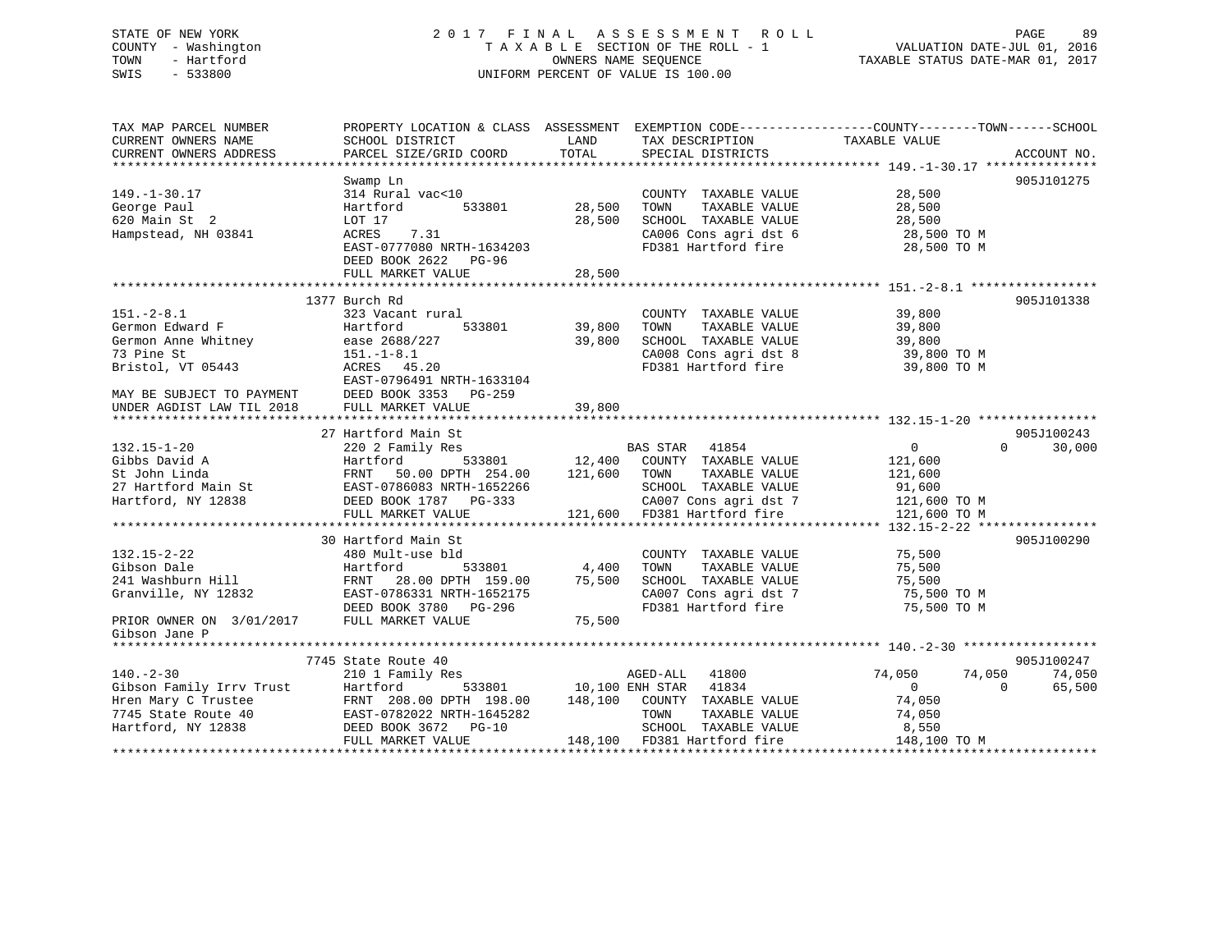# STATE OF NEW YORK 2 0 1 7 F I N A L A S S E S S M E N T R O L L PAGE 89 COUNTY - Washington T A X A B L E SECTION OF THE ROLL - 1 VALUATION DATE-JUL 01, 2016 TOWN - Hartford OWNERS NAME SEQUENCE TAXABLE STATUS DATE-MAR 01, 2017 SWIS - 533800 UNIFORM PERCENT OF VALUE IS 100.00

| TAX MAP PARCEL NUMBER    |                                                                                                                                                                                     |         |                                                                                                                                  | PROPERTY LOCATION & CLASS ASSESSMENT EXEMPTION CODE----------------COUNTY-------TOWN------SCHOOL |                      |
|--------------------------|-------------------------------------------------------------------------------------------------------------------------------------------------------------------------------------|---------|----------------------------------------------------------------------------------------------------------------------------------|--------------------------------------------------------------------------------------------------|----------------------|
| CURRENT OWNERS NAME      | SCHOOL DISTRICT                                                                                                                                                                     | LAND    | TAX DESCRIPTION                                                                                                                  | TAXABLE VALUE                                                                                    |                      |
| CURRENT OWNERS ADDRESS   | PARCEL SIZE/GRID COORD                                                                                                                                                              | TOTAL   | SPECIAL DISTRICTS                                                                                                                |                                                                                                  | ACCOUNT NO.          |
|                          |                                                                                                                                                                                     |         |                                                                                                                                  |                                                                                                  |                      |
|                          | Swamp Ln                                                                                                                                                                            |         |                                                                                                                                  |                                                                                                  | 905J101275           |
| $149. - 1 - 30.17$       | 314 Rural vac<10                                                                                                                                                                    |         | COUNTY TAXABLE VALUE                                                                                                             | 28,500                                                                                           |                      |
| George Paul              | 533801<br>Hartford                                                                                                                                                                  | 28,500  | TOWN<br>TAXABLE VALUE                                                                                                            | 28,500                                                                                           |                      |
| 620 Main St 2            | LOT 17                                                                                                                                                                              | 28,500  | SCHOOL TAXABLE VALUE                                                                                                             | 28,500                                                                                           |                      |
| Hampstead, NH 03841      | ACRES<br>7.31                                                                                                                                                                       |         | CA006 Cons agri dst 6                                                                                                            | 28,500 TO M                                                                                      |                      |
|                          | EAST-0777080 NRTH-1634203                                                                                                                                                           |         | FD381 Hartford fire                                                                                                              | 28,500 TO M                                                                                      |                      |
|                          | DEED BOOK 2622<br>PG-96                                                                                                                                                             |         |                                                                                                                                  |                                                                                                  |                      |
|                          | FULL MARKET VALUE                                                                                                                                                                   | 28,500  |                                                                                                                                  |                                                                                                  |                      |
|                          |                                                                                                                                                                                     |         |                                                                                                                                  |                                                                                                  |                      |
|                          | 1377 Burch Rd                                                                                                                                                                       |         |                                                                                                                                  |                                                                                                  | 905J101338           |
| $151. - 2 - 8.1$         | 323 Vacant rural                                                                                                                                                                    |         | COUNTY TAXABLE VALUE                                                                                                             | 39,800                                                                                           |                      |
| Germon Edward F          | 533801<br>Hartford                                                                                                                                                                  | 39,800  | TOWN<br>TAXABLE VALUE                                                                                                            | 39,800                                                                                           |                      |
| Germon Anne Whitney      | ease 2688/227                                                                                                                                                                       | 39,800  | SCHOOL TAXABLE VALUE                                                                                                             | 39,800                                                                                           |                      |
| 73 Pine St               | $151. - 1 - 8.1$                                                                                                                                                                    |         | CA008 Cons agri dst 8                                                                                                            | 39,800 TO M                                                                                      |                      |
| Bristol, VT 05443        | ACRES 45.20                                                                                                                                                                         |         | FD381 Hartford fire                                                                                                              | 39,800 TO M                                                                                      |                      |
|                          | EAST-0796491 NRTH-1633104                                                                                                                                                           |         |                                                                                                                                  |                                                                                                  |                      |
|                          | DEED BOOK 3353<br>PG-259                                                                                                                                                            |         |                                                                                                                                  |                                                                                                  |                      |
|                          | FULL MARKET VALUE                                                                                                                                                                   | 39,800  |                                                                                                                                  |                                                                                                  |                      |
|                          |                                                                                                                                                                                     |         |                                                                                                                                  |                                                                                                  |                      |
| $132.15 - 1 - 20$        | 27 Hartford Main St<br>220 2 Family Res                                                                                                                                             |         | BAS STAR 41854                                                                                                                   | $\Omega$<br>$\overline{0}$                                                                       | 905J100243<br>30,000 |
| Gibbs David A            | Hartford                                                                                                                                                                            |         |                                                                                                                                  | 121,600                                                                                          |                      |
| St John Linda            | 50.00 DPTH 254.00<br>FRNT                                                                                                                                                           | 121,600 | ${\tt 533801} \hspace{20pt} {\tt 12,400} \hspace{20pt} {\tt COUNTY} \hspace{20pt} {\tt TAXABLE~ VALUE}$<br>TOWN<br>TAXABLE VALUE | 121,600                                                                                          |                      |
|                          |                                                                                                                                                                                     |         | SCHOOL TAXABLE VALUE                                                                                                             | 91,600                                                                                           |                      |
| Hartford, NY 12838       | DEED BOOK 1787 PG-333                                                                                                                                                               |         | CA007 Cons agri dst 7                                                                                                            | 121,600 TO M                                                                                     |                      |
|                          | FULL MARKET VALUE                                                                                                                                                                   |         | 121,600 FD381 Hartford fire                                                                                                      | 121,600 TO M                                                                                     |                      |
|                          |                                                                                                                                                                                     |         |                                                                                                                                  |                                                                                                  |                      |
|                          | 30 Hartford Main St                                                                                                                                                                 |         |                                                                                                                                  |                                                                                                  | 905J100290           |
| $132.15 - 2 - 22$        | 480 Mult-use bld                                                                                                                                                                    |         | COUNTY TAXABLE VALUE                                                                                                             | 75,500                                                                                           |                      |
| Gibson Dale              | 533801<br>Hartford                                                                                                                                                                  | 4,400   | TAXABLE VALUE<br>TOWN                                                                                                            | 75,500                                                                                           |                      |
| 241 Washburn Hill        |                                                                                                                                                                                     | 75,500  | SCHOOL TAXABLE VALUE                                                                                                             | 75,500                                                                                           |                      |
| Granville, NY 12832      | FRNT 28.00 DPTH 159.00<br>EAST-0786331 NRTH-1652175                                                                                                                                 |         | CA007 Cons agri dst 7                                                                                                            | 75,500 TO M                                                                                      |                      |
|                          | DEED BOOK 3780 PG-296                                                                                                                                                               |         | FD381 Hartford fire                                                                                                              | 75,500 TO M                                                                                      |                      |
| PRIOR OWNER ON 3/01/2017 | FULL MARKET VALUE                                                                                                                                                                   | 75,500  |                                                                                                                                  |                                                                                                  |                      |
| Gibson Jane P            |                                                                                                                                                                                     |         |                                                                                                                                  |                                                                                                  |                      |
|                          |                                                                                                                                                                                     |         |                                                                                                                                  |                                                                                                  |                      |
|                          | 7745 State Route 40                                                                                                                                                                 |         |                                                                                                                                  |                                                                                                  | 905J100247           |
| $140. - 2 - 30$          | 210 1 Family Res                                                                                                                                                                    |         | AGED-ALL<br>41800                                                                                                                | 74,050<br>74,050                                                                                 | 74,050               |
|                          |                                                                                                                                                                                     |         | 10,100 ENH STAR 41834                                                                                                            | $\overline{0}$<br>$\Omega$                                                                       | 65,500               |
|                          |                                                                                                                                                                                     | 148,100 | COUNTY TAXABLE VALUE                                                                                                             | 74,050                                                                                           |                      |
|                          |                                                                                                                                                                                     |         | TOWN<br>TAXABLE VALUE                                                                                                            | 74,050                                                                                           |                      |
|                          | Gibson Family Irrv Trust Hartford 533801<br>Hren Mary C Trustee FRNT 208.00 DPTH 198.00<br>7745 State Route 40 EAST-0782022 NRTH-1645282<br>Hartford, NY 12838 DEED BOOK 3672 PG-10 |         | SCHOOL TAXABLE VALUE                                                                                                             | 8,550                                                                                            |                      |
|                          | FULL MARKET VALUE                                                                                                                                                                   |         | 148,100 FD381 Hartford fire                                                                                                      | 148,100 TO M                                                                                     |                      |
|                          |                                                                                                                                                                                     |         |                                                                                                                                  |                                                                                                  |                      |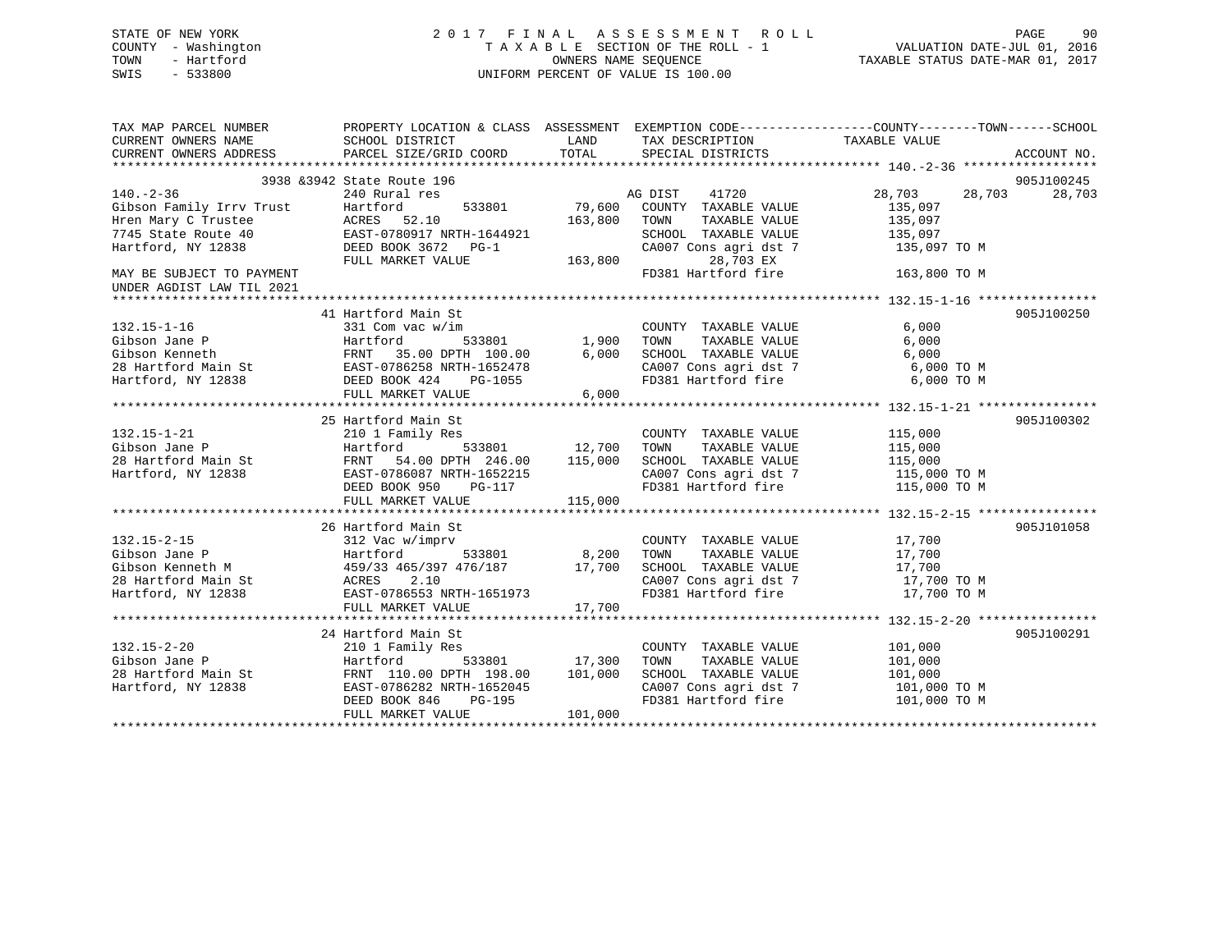# STATE OF NEW YORK 2 0 1 7 F I N A L A S S E S S M E N T R O L L PAGE 90 COUNTY - Washington T A X A B L E SECTION OF THE ROLL - 1 VALUATION DATE-JUL 01, 2016 TOWN - Hartford **TAXABLE STATUS DATE-MAR 01, 2017** SWIS - 533800 UNIFORM PERCENT OF VALUE IS 100.00

| TAX MAP PARCEL NUMBER<br>CURRENT OWNERS NAME<br>CURRENT OWNERS ADDRESS | SCHOOL DISTRICT<br>PARCEL SIZE/GRID COORD           | LAND<br>TOTAL | TAX DESCRIPTION TAXABLE VALUE<br>SPECIAL DISTRICTS | PROPERTY LOCATION & CLASS ASSESSMENT EXEMPTION CODE----------------COUNTY-------TOWN-----SCHOOL | ACCOUNT NO. |
|------------------------------------------------------------------------|-----------------------------------------------------|---------------|----------------------------------------------------|-------------------------------------------------------------------------------------------------|-------------|
|                                                                        | 3938 & 3942 State Route 196                         |               |                                                    |                                                                                                 | 905J100245  |
| $140. - 2 - 36$                                                        | 240 Rural res                                       |               | AG DIST<br>41720                                   | 28,703<br>28,703                                                                                | 28,703      |
| Gibson Family Irrv Trust                                               | Hartford<br>533801                                  | 79,600        | COUNTY TAXABLE VALUE                               | 135,097                                                                                         |             |
| Hren Mary C Trustee                                                    | 52.10<br>ACRES                                      | 163,800       | TOWN<br>TAXABLE VALUE                              | 135,097                                                                                         |             |
| 7745 State Route 40                                                    | EAST-0780917 NRTH-1644921                           |               | SCHOOL TAXABLE VALUE                               | 135,097                                                                                         |             |
| Hartford, NY 12838                                                     | DEED BOOK 3672 PG-1                                 |               | CA007 Cons agri dst 7                              | 135,097 TO M                                                                                    |             |
|                                                                        | FULL MARKET VALUE                                   | 163,800       | 28,703 EX                                          |                                                                                                 |             |
| MAY BE SUBJECT TO PAYMENT                                              |                                                     |               | FD381 Hartford fire                                | 163,800 TO M                                                                                    |             |
| UNDER AGDIST LAW TIL 2021                                              |                                                     |               |                                                    |                                                                                                 |             |
|                                                                        |                                                     |               |                                                    |                                                                                                 |             |
| $132.15 - 1 - 16$                                                      | 41 Hartford Main St<br>331 Com vac w/im             |               | COUNTY TAXABLE VALUE                               | 6,000                                                                                           | 905J100250  |
| Gibson Jane P                                                          | 533801<br>Hartford                                  | 1,900         | TOWN<br>TAXABLE VALUE                              | 6,000                                                                                           |             |
| Gibson Kenneth                                                         | FRNT 35.00 DPTH 100.00                              | 6,000         | SCHOOL TAXABLE VALUE                               | 6,000                                                                                           |             |
| 28 Hartford Main St                                                    | FRNT 35.00 DPTH 100.00<br>EAST-0786258 NRTH-1652478 |               | CA007 Cons agri dst 7                              | 6,000 TO M                                                                                      |             |
| Hartford, NY 12838                                                     | DEED BOOK 424<br>PG-1055                            |               | FD381 Hartford fire                                | 6,000 TO M                                                                                      |             |
|                                                                        | FULL MARKET VALUE                                   | 6,000         |                                                    |                                                                                                 |             |
|                                                                        |                                                     |               |                                                    |                                                                                                 |             |
|                                                                        | 25 Hartford Main St                                 |               |                                                    |                                                                                                 | 905J100302  |
| $132.15 - 1 - 21$                                                      | 210 1 Family Res                                    |               | COUNTY TAXABLE VALUE                               | 115,000                                                                                         |             |
| Gibson Jane P                                                          | Hartford<br>533801                                  | 12,700        | TAXABLE VALUE<br>TOWN                              | 115,000                                                                                         |             |
| 28 Hartford Main St                                                    | FRNT 54.00 DPTH 246.00                              | 115,000       | SCHOOL TAXABLE VALUE                               | 115,000                                                                                         |             |
| Hartford, NY 12838                                                     | EAST-0786087 NRTH-1652215                           |               | CA007 Cons agri dst 7                              | 115,000 TO M                                                                                    |             |
|                                                                        | DEED BOOK 950<br>PG-117                             |               | FD381 Hartford fire                                | 115,000 TO M                                                                                    |             |
|                                                                        | FULL MARKET VALUE                                   | 115,000       |                                                    |                                                                                                 |             |
|                                                                        |                                                     |               |                                                    |                                                                                                 |             |
|                                                                        | 26 Hartford Main St                                 |               |                                                    |                                                                                                 | 905J101058  |
| $132.15 - 2 - 15$                                                      | 312 Vac w/imprv                                     |               | COUNTY TAXABLE VALUE                               | 17,700                                                                                          |             |
| Gibson Jane P                                                          | Hartford<br>533801                                  | 8,200         | TOWN<br>TAXABLE VALUE                              | 17,700                                                                                          |             |
| Gibson Kenneth M                                                       | ⊥00ددد<br>459/33 465/397 476/187<br>ACRES 2 10      | 17,700        | SCHOOL TAXABLE VALUE                               | 17,700                                                                                          |             |
| 28 Hartford Main St                                                    |                                                     |               | CA007 Cons agri dst 7                              | 17,700 TO M                                                                                     |             |
| Hartford, NY 12838                                                     | EAST-0786553 NRTH-1651973                           |               | FD381 Hartford fire                                | 17,700 TO M                                                                                     |             |
|                                                                        | FULL MARKET VALUE                                   | 17,700        |                                                    |                                                                                                 |             |
|                                                                        | 24 Hartford Main St                                 |               |                                                    |                                                                                                 | 905J100291  |
| $132.15 - 2 - 20$                                                      | 210 1 Family Res                                    |               | COUNTY TAXABLE VALUE                               | 101,000                                                                                         |             |
| Gibson Jane P                                                          | Hartford<br>533801                                  | 17,300        | TOWN<br>TAXABLE VALUE                              | 101,000                                                                                         |             |
| 28 Hartford Main St                                                    | FRNT 110.00 DPTH 198.00                             | 101,000       | SCHOOL TAXABLE VALUE                               | 101,000                                                                                         |             |
| Hartford, NY 12838                                                     | EAST-0786282 NRTH-1652045                           |               | CA007 Cons agri dst 7                              | 101,000 TO M                                                                                    |             |
|                                                                        | DEED BOOK 846<br>PG-195                             |               | FD381 Hartford fire                                | 101,000 TO M                                                                                    |             |
|                                                                        | FULL MARKET VALUE                                   | 101,000       |                                                    |                                                                                                 |             |
|                                                                        |                                                     |               |                                                    |                                                                                                 |             |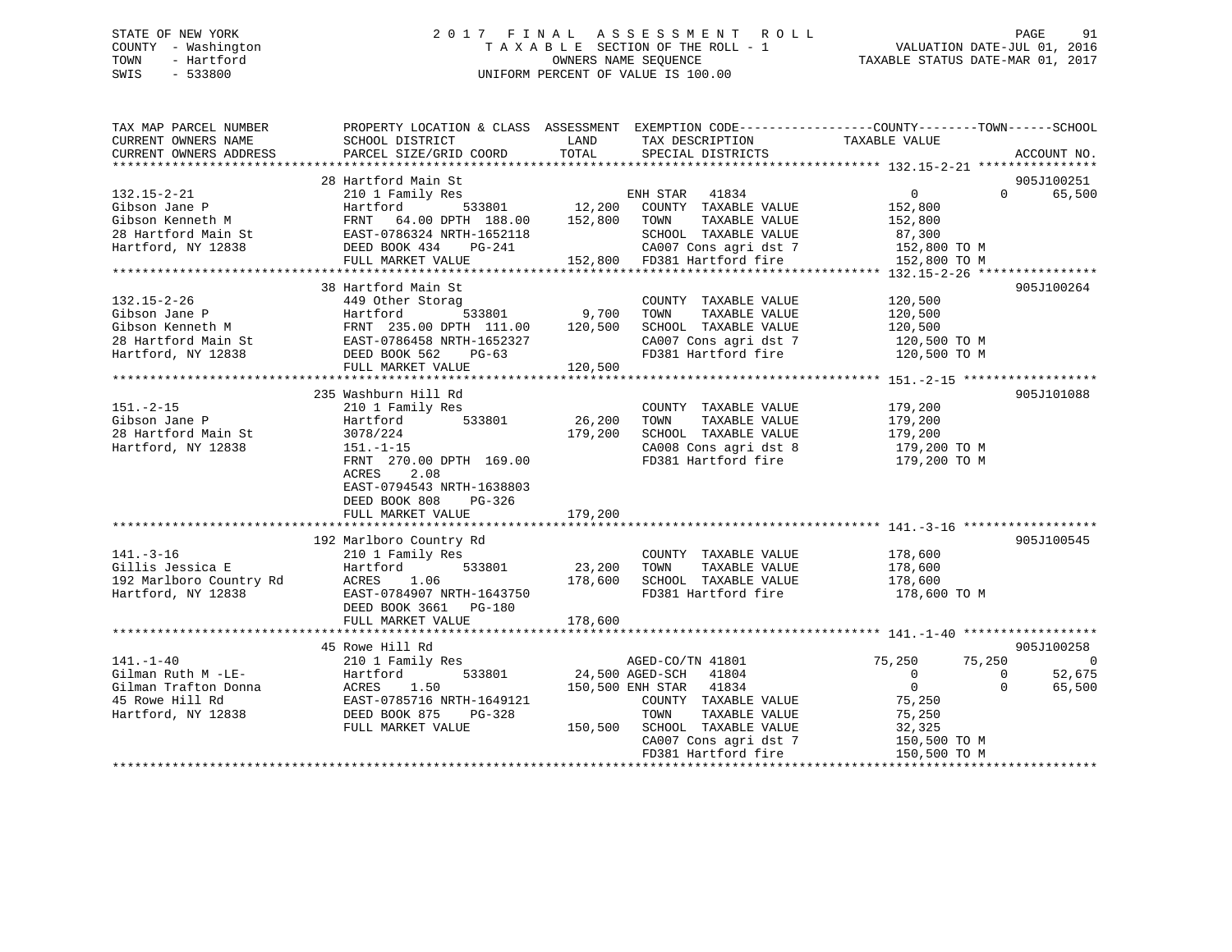# STATE OF NEW YORK 2 0 1 7 F I N A L A S S E S S M E N T R O L L PAGE 91 COUNTY - Washington T A X A B L E SECTION OF THE ROLL - 1 VALUATION DATE-JUL 01, 2016 TOWN - Hartford OWNERS NAME SEQUENCE TAXABLE STATUS DATE-MAR 01, 2017 SWIS - 533800 UNIFORM PERCENT OF VALUE IS 100.00

| TAX MAP PARCEL NUMBER<br>CURRENT OWNERS NAME<br>CURRENT OWNERS ADDRESS                                 | SCHOOL DISTRICT<br>PARCEL SIZE/GRID COORD                                                                                                                                                                                                    | LAND<br>TOTAL                | TAX DESCRIPTION<br>SPECIAL DISTRICTS<br>SPECIAL DISTRICTS                                                                                                                                    | PROPERTY LOCATION & CLASS ASSESSMENT EXEMPTION CODE---------------COUNTY-------TOWN------SCHOOL                                                | ACCOUNT NO.                    |
|--------------------------------------------------------------------------------------------------------|----------------------------------------------------------------------------------------------------------------------------------------------------------------------------------------------------------------------------------------------|------------------------------|----------------------------------------------------------------------------------------------------------------------------------------------------------------------------------------------|------------------------------------------------------------------------------------------------------------------------------------------------|--------------------------------|
| $132.15 - 2 - 21$<br>Gibson Jane P<br>Gibson Kenneth M<br>28 Hartford Main St<br>Hartford, NY 12838    | 28 Hartford Main St<br>210 1 Family Res<br>Hartford<br>FRNT 64.00 DPTH 188.00<br>EAST-0786324 NRTH-1652118<br>FRNT 64.00 DPTH 188.00 152,800 TOWN<br>DEED BOOK 434<br>PG-241<br>FULL MARKET VALUE                                            | 533801 12,200                | ENH STAR 41834<br>COUNTY TAXABLE VALUE<br>TAXABLE VALUE<br>SCHOOL TAXABLE VALUE<br>CA007 Cons agri dst 7<br>152,800 FD381 Hartford fire                                                      | 0<br>$\Omega$<br>152,800<br>152,800<br>87,300<br>152,800 TO M<br>152,800 TO M                                                                  | 905J100251<br>65,500           |
| $132.15 - 2 - 26$<br>Gibson Jane P                                                                     | 38 Hartford Main St<br>449 Other Storag<br>Hartford<br>533801<br>Gibson Kenneth M<br>28 Hartford Main St<br>28 Hartford, NY 12838<br>28 Hartford, NY 12838<br>29 Hartford, NY 12838<br>2010 DEED BOOK 562<br>2010 PG-63<br>FULL MARKET VALUE | 9,700<br>120,500             | COUNTY TAXABLE VALUE<br>TOWN<br>TAXABLE VALUE<br>SCHOOL TAXABLE VALUE<br>CA007 Cons agri dst 7<br>FD381 Hartford fire 120,500 TO M                                                           | 120,500<br>120,500<br>120,500<br>120,500 TO M                                                                                                  | 905J100264                     |
| $151. - 2 - 15$<br>Gibson Jane P<br>28 Hartford Main St<br>Hartford, NY 12838                          | 235 Washburn Hill Rd<br>210 1 Family Res<br>Hartford<br>533801<br>3078/224<br>$151.-1-15$<br>FRNT 270.00 DPTH 169.00<br>ACRES<br>2.08<br>EAST-0794543 NRTH-1638803<br>DEED BOOK 808<br>PG-326<br>FULL MARKET VALUE                           | 26,200<br>179,200<br>179,200 | COUNTY TAXABLE VALUE<br>TAXABLE VALUE<br>TOWN<br>SCHOOL TAXABLE VALUE<br>CA008 Cons agri dst 8<br>FD381 Hartford fire                                                                        | 179,200<br>179,200<br>179,200<br>179,200 TO M<br>179,200 TO M                                                                                  | 905J101088                     |
| $141. - 3 - 16$<br>Gillis Jessica E<br>192 Marlboro Country Rd<br>Hartford, NY 12838                   | 192 Marlboro Country Rd<br>210 1 Family Res<br>Hartford<br>533801<br>1.06<br>ACRES<br>EAST-0784907 NRTH-1643750<br>DEED BOOK 3661 PG-180<br>FULL MARKET VALUE                                                                                | 23,200<br>178,600<br>178,600 | COUNTY TAXABLE VALUE<br>TOWN<br>TAXABLE VALUE<br>SCHOOL TAXABLE VALUE<br>FD381 Hartford fire                                                                                                 | 178,600<br>178,600<br>178,600<br>178,600 TO M                                                                                                  | 905J100545                     |
|                                                                                                        | 45 Rowe Hill Rd                                                                                                                                                                                                                              |                              |                                                                                                                                                                                              |                                                                                                                                                | 905J100258                     |
| $141. - 1 - 40$<br>Gilman Ruth M -LE-<br>Gilman Trafton Donna<br>45 Rowe Hill Rd<br>Hartford, NY 12838 | 210 1 Family Res<br>Hartford 533801<br>ACRES 1.50<br>EAST-0785716 NRTH-1649121<br>DEED BOOK 875 PG-328<br>FULL MARKET VALUE                                                                                                                  | 150,500                      | AGED-CO/TN 41801<br>24,500 AGED-SCH 41804<br>150,500 ENH STAR 41834<br>COUNTY TAXABLE VALUE<br>TAXABLE VALUE<br>TOWN<br>SCHOOL TAXABLE VALUE<br>CA007 Cons agri dst 7<br>FD381 Hartford fire | 75,250<br>75,250<br>$\overline{0}$<br>$\mathbf{0}$<br>$\overline{0}$<br>$\Omega$<br>75,250<br>75,250<br>32,325<br>150,500 TO M<br>150,500 TO M | $\bigcirc$<br>52,675<br>65,500 |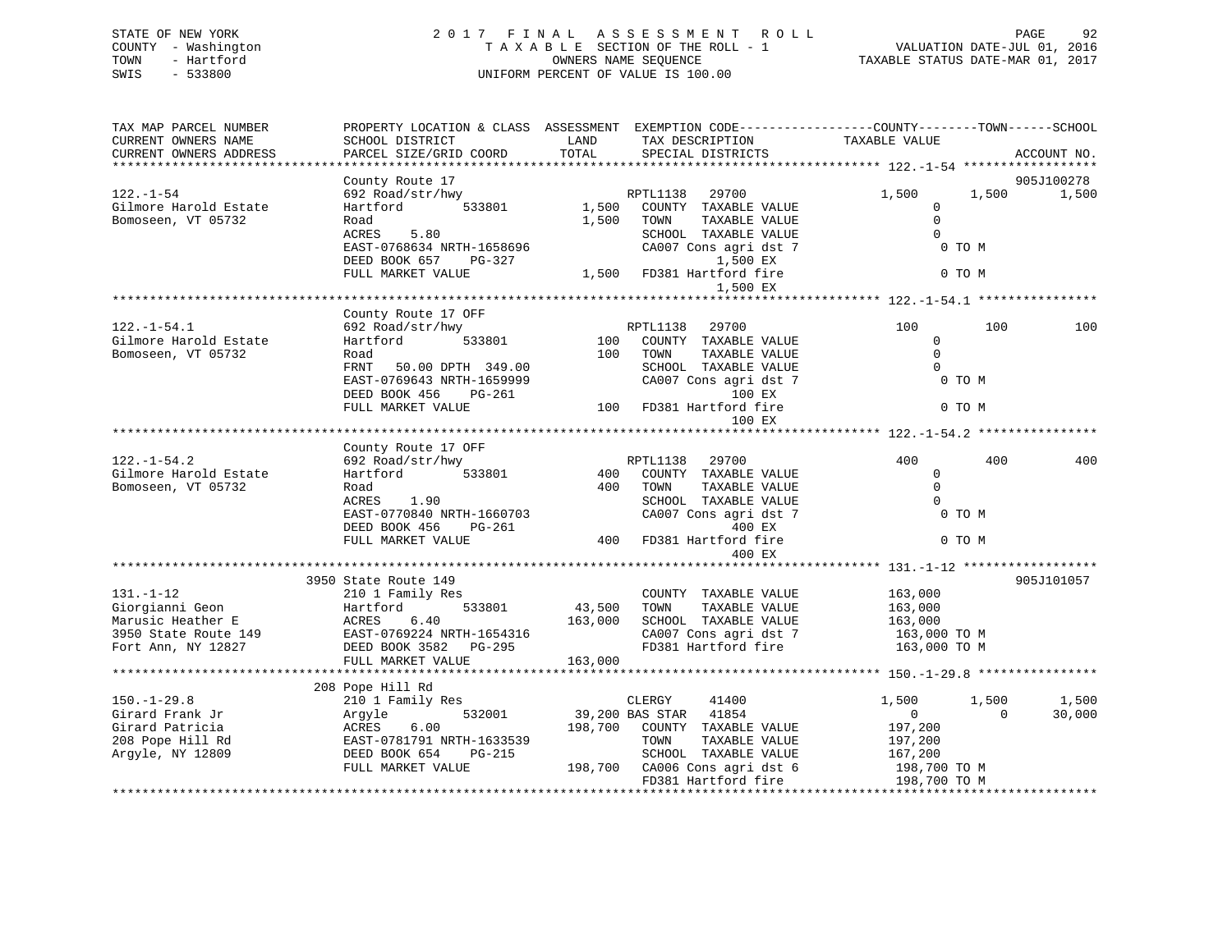# STATE OF NEW YORK 2 0 1 7 F I N A L A S S E S S M E N T R O L L PAGE 92 COUNTY - Washington T A X A B L E SECTION OF THE ROLL - 1 VALUATION DATE-JUL 01, 2016 TOWN - Hartford OWNERS NAME SEQUENCE TAXABLE STATUS DATE-MAR 01, 2017 SWIS - 533800 UNIFORM PERCENT OF VALUE IS 100.00

| SCHOOL DISTRICT                                                                                                                    | LAND                                                                                                                                                         | TAX DESCRIPTION                                                                                                                         | TAXABLE VALUE                                                                                                                                                                                                       | ACCOUNT NO.                                                                                                                                    |
|------------------------------------------------------------------------------------------------------------------------------------|--------------------------------------------------------------------------------------------------------------------------------------------------------------|-----------------------------------------------------------------------------------------------------------------------------------------|---------------------------------------------------------------------------------------------------------------------------------------------------------------------------------------------------------------------|------------------------------------------------------------------------------------------------------------------------------------------------|
|                                                                                                                                    |                                                                                                                                                              |                                                                                                                                         |                                                                                                                                                                                                                     |                                                                                                                                                |
| County Route 17                                                                                                                    |                                                                                                                                                              |                                                                                                                                         |                                                                                                                                                                                                                     | 905J100278                                                                                                                                     |
| 533801<br>Hartford<br>Road<br>5.80<br>ACRES<br>DEED BOOK 657<br>PG-327                                                             | 1,500                                                                                                                                                        | COUNTY TAXABLE VALUE<br>TOWN<br>TAXABLE VALUE<br>SCHOOL TAXABLE VALUE<br>CA007 Cons agri dst 7<br>1,500 EX                              | 0<br>$\Omega$<br>$\mathbf 0$<br>0 TO M                                                                                                                                                                              | 1,500                                                                                                                                          |
| FULL MARKET VALUE                                                                                                                  |                                                                                                                                                              | FD381 Hartford fire                                                                                                                     | 0 TO M                                                                                                                                                                                                              |                                                                                                                                                |
|                                                                                                                                    |                                                                                                                                                              |                                                                                                                                         |                                                                                                                                                                                                                     |                                                                                                                                                |
|                                                                                                                                    |                                                                                                                                                              |                                                                                                                                         |                                                                                                                                                                                                                     |                                                                                                                                                |
| 692 Road/str/hwy<br>Hartford<br>533801<br>Road<br>FRNT<br>50.00 DPTH 349.00<br>EAST-0769643 NRTH-1659999                           | 100<br>100                                                                                                                                                   | 29700<br>COUNTY TAXABLE VALUE<br>TAXABLE VALUE<br>TOWN<br>SCHOOL TAXABLE VALUE<br>CA007 Cons agri dst 7                                 | 100<br>$\Omega$<br>$\mathbf 0$<br>$\Omega$<br>0 TO M                                                                                                                                                                | 100                                                                                                                                            |
| FULL MARKET VALUE                                                                                                                  | 100                                                                                                                                                          |                                                                                                                                         | 0 TO M                                                                                                                                                                                                              |                                                                                                                                                |
|                                                                                                                                    |                                                                                                                                                              |                                                                                                                                         |                                                                                                                                                                                                                     |                                                                                                                                                |
| County Route 17 OFF                                                                                                                |                                                                                                                                                              |                                                                                                                                         |                                                                                                                                                                                                                     |                                                                                                                                                |
| Hartford<br>533801<br>Road<br>ACRES<br>1.90<br>EAST-0770840 NRTH-1660703<br>DEED BOOK 456<br>PG-261<br>FULL MARKET VALUE           | 400<br>400                                                                                                                                                   | COUNTY TAXABLE VALUE<br>TOWN<br>TAXABLE VALUE<br>SCHOOL TAXABLE VALUE<br>CA007 Cons agri dst 7<br>400 EX<br>FD381 Hartford fire         | $\mathbf 0$<br>$\Omega$<br>$\Omega$<br>0 TO M<br>0 TO M                                                                                                                                                             | 400                                                                                                                                            |
|                                                                                                                                    |                                                                                                                                                              |                                                                                                                                         |                                                                                                                                                                                                                     |                                                                                                                                                |
| 210 1 Family Res<br>533801<br>Hartford<br>ACRES<br>6.40<br>EAST-0769224 NRTH-1654316<br>DEED BOOK 3582 PG-295<br>FULL MARKET VALUE | 163,000<br>163,000                                                                                                                                           | COUNTY TAXABLE VALUE<br>TOWN<br>TAXABLE VALUE<br>SCHOOL TAXABLE VALUE<br>CA007 Cons agri dst 7<br>FD381 Hartford fire                   | 163,000<br>163,000<br>163,000<br>163,000 TO M<br>163,000 TO M                                                                                                                                                       | 905J101057                                                                                                                                     |
|                                                                                                                                    |                                                                                                                                                              |                                                                                                                                         |                                                                                                                                                                                                                     |                                                                                                                                                |
| 210 1 Family Res<br>532001<br>Argyle<br>ACRES<br>6.00<br>EAST-0781791 NRTH-1633539<br>DEED BOOK 654<br>PG-215<br>FULL MARKET VALUE | 198,700                                                                                                                                                      | 41400<br>41854<br>COUNTY TAXABLE VALUE<br>TAXABLE VALUE<br>TOWN<br>SCHOOL TAXABLE VALUE<br>CA006 Cons agri dst 6<br>FD381 Hartford fire | 1,500<br>$\mathbf{0}$<br>197,200<br>197,200<br>167,200<br>198,700 TO M<br>198,700 TO M                                                                                                                              | 1,500<br>$\Omega$<br>30,000                                                                                                                    |
|                                                                                                                                    | PARCEL SIZE/GRID COORD<br>692 Road/str/hwy<br>County Route 17 OFF<br>DEED BOOK 456<br>PG-261<br>692 Road/str/hwy<br>3950 State Route 149<br>208 Pope Hill Rd | TOTAL<br>EAST-0768634 NRTH-1658696                                                                                                      | SPECIAL DISTRICTS<br>RPTL1138<br>29700<br>1,500<br>1,500<br>1,500 EX<br>RPTL1138<br>100 EX<br>FD381 Hartford fire<br>100 EX<br>RPTL1138<br>29700<br>400<br>400 EX<br>43,500<br>CLERGY<br>39,200 BAS STAR<br>198,700 | PROPERTY LOCATION & CLASS ASSESSMENT EXEMPTION CODE---------------COUNTY-------TOWN-----SCHOOL<br>1,500<br>1,500<br>100<br>400<br>400<br>1,500 |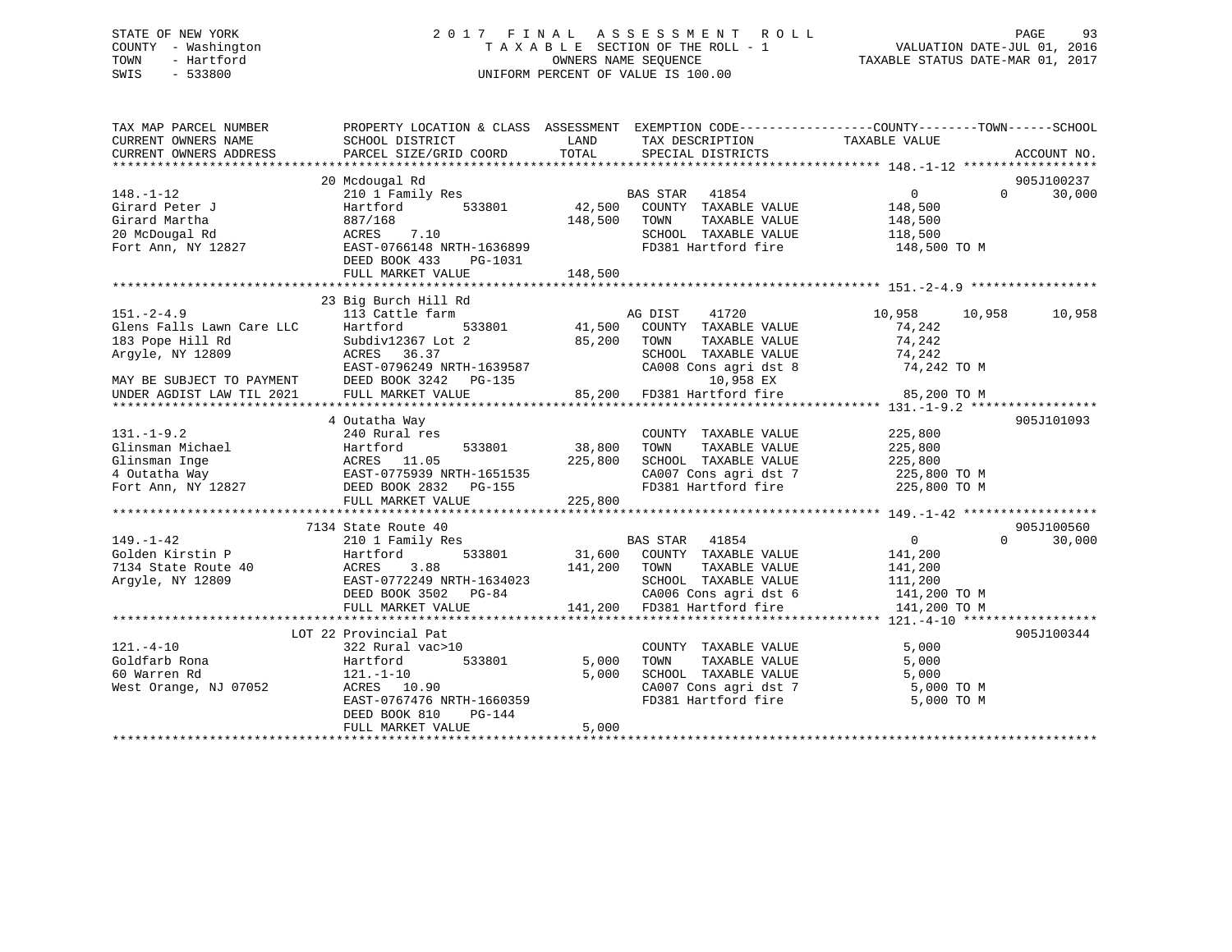# STATE OF NEW YORK 2 0 1 7 F I N A L A S S E S S M E N T R O L L PAGE 93 COUNTY - Washington T A X A B L E SECTION OF THE ROLL - 1 VALUATION DATE-JUL 01, 2016 TOWN - Hartford **TAXABLE STATUS DATE-MAR 01, 2017** SWIS - 533800 UNIFORM PERCENT OF VALUE IS 100.00

| TAX MAP PARCEL NUMBER<br>CURRENT OWNERS NAME | PROPERTY LOCATION & CLASS ASSESSMENT<br>SCHOOL DISTRICT | LAND         | TAX DESCRIPTION                                                               | EXEMPTION CODE-----------------COUNTY-------TOWN------SCHOOL<br>TAXABLE VALUE |             |
|----------------------------------------------|---------------------------------------------------------|--------------|-------------------------------------------------------------------------------|-------------------------------------------------------------------------------|-------------|
| CURRENT OWNERS ADDRESS                       | PARCEL SIZE/GRID COORD                                  | TOTAL        | SPECIAL DISTRICTS                                                             |                                                                               | ACCOUNT NO. |
|                                              | 20 Mcdougal Rd                                          |              |                                                                               |                                                                               | 905J100237  |
| $148. - 1 - 12$                              | 210 1 Family Res                                        |              | BAS STAR 41854                                                                | $\Omega$<br>$\Omega$                                                          | 30,000      |
| Girard Peter J                               | 533801<br>Hartford                                      | 42,500       | COUNTY TAXABLE VALUE                                                          | 148,500                                                                       |             |
| Girard Martha                                | 887/168                                                 | 148,500      | TOWN<br>TAXABLE VALUE                                                         | 148,500                                                                       |             |
| 20 McDougal Rd                               | 7.10<br>ACRES                                           |              | SCHOOL TAXABLE VALUE                                                          | 118,500                                                                       |             |
| Fort Ann, NY 12827                           | EAST-0766148 NRTH-1636899                               |              | FD381 Hartford fire 148,500 TO M                                              |                                                                               |             |
|                                              | DEED BOOK 433<br>PG-1031                                |              |                                                                               |                                                                               |             |
|                                              |                                                         |              |                                                                               |                                                                               |             |
|                                              |                                                         |              |                                                                               |                                                                               |             |
|                                              | 23 Big Burch Hill Rd                                    |              |                                                                               |                                                                               |             |
| $151. - 2 - 4.9$                             | 113 Cattle farm                                         |              | 41720<br>AG DIST                                                              | 10,958<br>10,958                                                              | 10,958      |
| Glens Falls Lawn Care LLC                    | Hartford<br>533801                                      | 41,500       | COUNTY TAXABLE VALUE                                                          | 74,242                                                                        |             |
| 183 Pope Hill Rd                             | Subdiv12367 Lot 2                                       | 85,200       | TOWN<br>TAXABLE VALUE                                                         | 74,242                                                                        |             |
| Arqyle, NY 12809                             | ACRES 36.37                                             |              | SCHOOL TAXABLE VALUE                                                          | 74,242                                                                        |             |
|                                              | EAST-0796249 NRTH-1639587                               |              | CA008 Cons agri dst 8                                                         | 74,242 TO M                                                                   |             |
| MAY BE SUBJECT TO PAYMENT                    | DEED BOOK 3242 PG-135                                   |              | 10,958 EX                                                                     |                                                                               |             |
| UNDER AGDIST LAW TIL 2021                    | FULL MARKET VALUE                                       |              | 85,200 FD381 Hartford fire                                                    | 85,200 TO M                                                                   |             |
|                                              |                                                         |              |                                                                               |                                                                               |             |
|                                              | 4 Outatha Way                                           |              |                                                                               |                                                                               | 905J101093  |
| $131. -1 - 9.2$                              | 240 Rural res                                           |              | COUNTY TAXABLE VALUE                                                          | 225,800                                                                       |             |
| Glinsman Michael                             | 533801<br>Hartford                                      | 38,800       | TOWN<br>TAXABLE VALUE<br>SCHOOL TAXABLE VALUE                                 | 225,800                                                                       |             |
| Glinsman Inge                                | ACRES 11.05<br>ACRES 11.05<br>EAST-0775939 NRTH-1651535 | 225,800      | SCHOOL TAXABLE VALUE 225,800<br>CA007 Cons agri dst 7 225,800 TO M            | 225,800                                                                       |             |
| 4 Outatha Way<br>Fort Ann, NY 12827          | DEED BOOK 2832<br>PG-155                                |              | FD381 Hartford fire 225,800 TO M                                              |                                                                               |             |
|                                              | FULL MARKET VALUE                                       | 225,800      |                                                                               |                                                                               |             |
|                                              |                                                         |              |                                                                               |                                                                               |             |
|                                              | 7134 State Route 40                                     |              |                                                                               |                                                                               | 905J100560  |
| $149. - 1 - 42$                              | 210 1 Family Res                                        |              | BAS STAR 41854                                                                | $\overline{0}$<br>$\Omega$                                                    | 30,000      |
| Golden Kirstin P                             | 533801<br>Hartford                                      |              | 31,600 COUNTY TAXABLE VALUE                                                   | 141,200                                                                       |             |
| 7134 State Route 40                          | 3.88<br>ACRES                                           | 141,200 TOWN | TAXABLE VALUE                                                                 | 141,200                                                                       |             |
| Arqyle, NY 12809                             | EAST-0772249 NRTH-1634023                               |              | SCHOOL TAXABLE VALUE                                                          | 111,200                                                                       |             |
|                                              | DEED BOOK 3502 PG-84                                    |              | CA006 Cons agri dst 6 $141,200$ TO M<br>FD281 Uprtford fire<br>$141,200$ TO M |                                                                               |             |
|                                              | FULL MARKET VALUE                                       |              | 141,200 FD381 Hartford fire                                                   | 141,200 TO M                                                                  |             |
|                                              |                                                         |              |                                                                               |                                                                               |             |
|                                              | LOT 22 Provincial Pat                                   |              |                                                                               |                                                                               | 905J100344  |
| $121. - 4 - 10$                              | 322 Rural vac>10                                        |              | COUNTY TAXABLE VALUE                                                          | 5,000                                                                         |             |
| Goldfarb Rona                                | 533801<br>Hartford                                      | 5,000        | TAXABLE VALUE<br>TOWN                                                         | 5,000                                                                         |             |
| 60 Warren Rd                                 | $121.-1-10$                                             | 5,000        | SCHOOL TAXABLE VALUE                                                          | 5,000                                                                         |             |
| West Orange, NJ 07052                        | ACRES 10.90                                             |              | CA007 Cons agri dst 7                                                         | 5,000 TO M                                                                    |             |
|                                              | EAST-0767476 NRTH-1660359                               |              | FD381 Hartford fire                                                           | 5,000 TO M                                                                    |             |
|                                              | DEED BOOK 810<br>PG-144                                 |              |                                                                               |                                                                               |             |
|                                              | FULL MARKET VALUE                                       | 5,000        |                                                                               |                                                                               |             |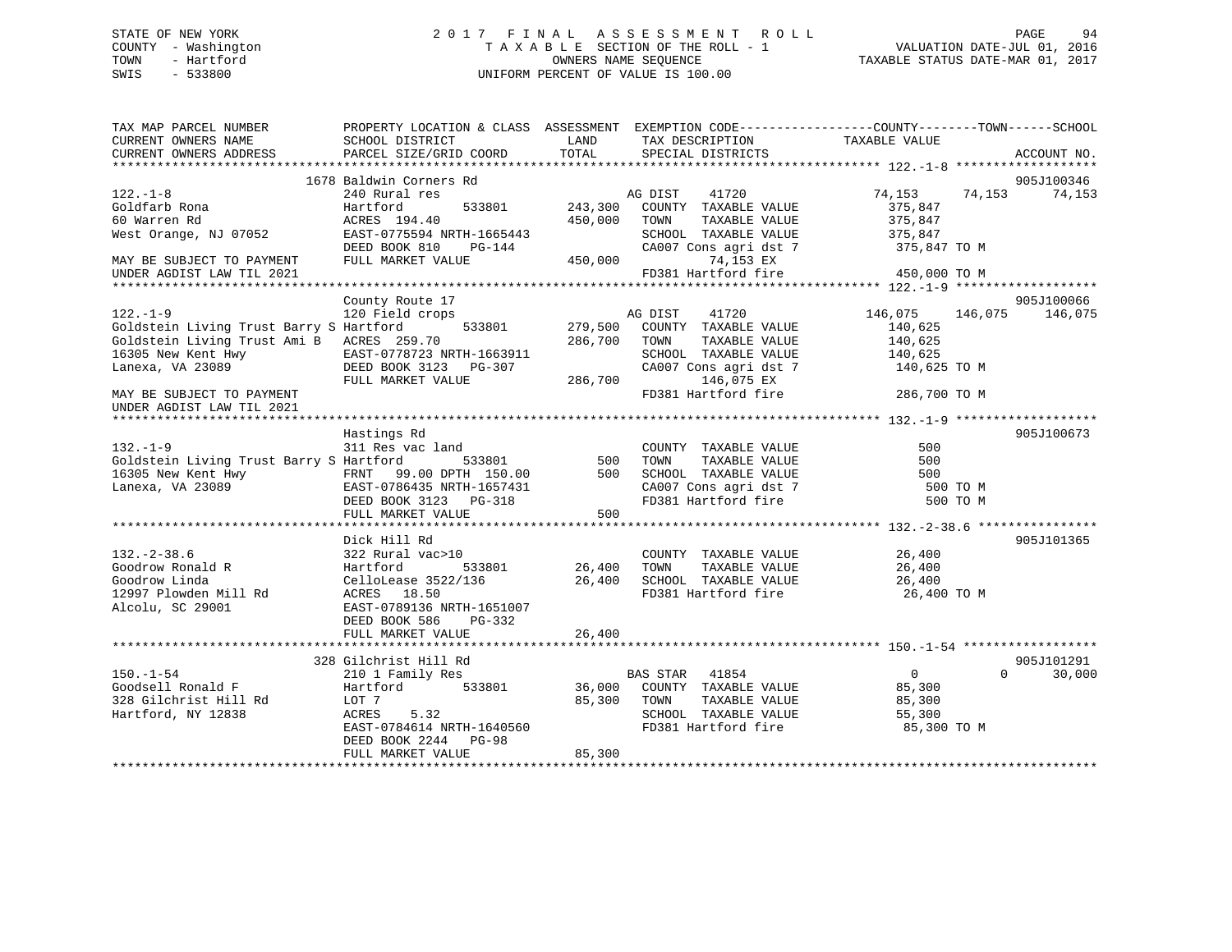# STATE OF NEW YORK 2 0 1 7 F I N A L A S S E S S M E N T R O L L PAGE 94 COUNTY - Washington T A X A B L E SECTION OF THE ROLL - 1 VALUATION DATE-JUL 01, 2016 TOWN - Hartford OWNERS NAME SEQUENCE TAXABLE STATUS DATE-MAR 01, 2017 SWIS - 533800 UNIFORM PERCENT OF VALUE IS 100.00

| TAX MAP PARCEL NUMBER                                                                   |                                                    |         |                                              | PROPERTY LOCATION & CLASS ASSESSMENT EXEMPTION CODE----------------COUNTY-------TOWN------SCHOOL |                    |
|-----------------------------------------------------------------------------------------|----------------------------------------------------|---------|----------------------------------------------|--------------------------------------------------------------------------------------------------|--------------------|
| CURRENT OWNERS NAME                                                                     | SCHOOL DISTRICT                                    | LAND    | TAX DESCRIPTION                              | TAXABLE VALUE                                                                                    |                    |
| CURRENT OWNERS ADDRESS                                                                  | PARCEL SIZE/GRID COORD                             | TOTAL   | SPECIAL DISTRICTS                            |                                                                                                  | ACCOUNT NO.        |
|                                                                                         |                                                    |         |                                              |                                                                                                  |                    |
|                                                                                         | 1678 Baldwin Corners Rd                            |         |                                              |                                                                                                  | 905J100346         |
| $122. - 1 - 8$                                                                          | 240 Rural res                                      |         | 41720<br>AG DIST                             | 74,153<br>74,153                                                                                 | 74,153             |
| Goldfarb Rona                                                                           | Hartford<br>533801                                 | 243,300 | COUNTY TAXABLE VALUE                         | 375,847                                                                                          |                    |
| 60 Warren Rd                                                                            |                                                    | 450,000 | TOWN<br>TAXABLE VALUE                        | 375,847                                                                                          |                    |
| West Orange, NJ 07052                                                                   | ACRES 194.40<br>EAST-0775594 NRTH-1665443          |         | SCHOOL TAXABLE VALUE                         | 375,847                                                                                          |                    |
|                                                                                         | PG-144                                             |         | CA007 Cons agri dst 7                        | 375,847 TO M                                                                                     |                    |
|                                                                                         |                                                    | 450,000 | 74,153 EX                                    |                                                                                                  |                    |
|                                                                                         |                                                    |         | FD381 Hartford fire                          | 450,000 TO M                                                                                     |                    |
|                                                                                         |                                                    |         |                                              |                                                                                                  |                    |
|                                                                                         | County Route 17                                    |         |                                              |                                                                                                  | 905J100066         |
| $122. - 1 - 9$                                                                          | 120 Field crops                                    |         | AG DIST<br>41720                             | 146,075 146,075 146,075                                                                          |                    |
| Goldstein Living Trust Barry S Hartford                                                 | 533801                                             | 279,500 | COUNTY TAXABLE VALUE                         | 140,625                                                                                          |                    |
| Goldstein Living Trust Ami B ACRES 259.70                                               |                                                    | 286,700 | TOWN<br>TAXABLE VALUE                        | 140,625                                                                                          |                    |
| 16305 New Kent Hwy                                                                      |                                                    |         | SCHOOL TAXABLE VALUE                         | 140,625                                                                                          |                    |
| Lanexa, VA 23089                                                                        | EAST-0778723 NRTH-1663911<br>DEED BOOK 3123 PG-307 |         | CA007 Cons agri dst 7                        | 140,625 TO M                                                                                     |                    |
|                                                                                         | FULL MARKET VALUE                                  | 286,700 | 146,075 EX                                   |                                                                                                  |                    |
| MAY BE SUBJECT TO PAYMENT                                                               |                                                    |         | FD381 Hartford fire                          | 286,700 TO M                                                                                     |                    |
| UNDER AGDIST LAW TIL 2021                                                               |                                                    |         |                                              |                                                                                                  |                    |
|                                                                                         |                                                    |         |                                              |                                                                                                  |                    |
|                                                                                         | Hastings Rd                                        |         |                                              |                                                                                                  | 905J100673         |
| $132. - 1 - 9$                                                                          | 311 Res vac land                                   |         | COUNTY TAXABLE VALUE                         | 500                                                                                              |                    |
|                                                                                         | 533801                                             | 500     | TOWN<br>TAXABLE VALUE                        | 500                                                                                              |                    |
| Goldstein Living Trust Barry S Hartford                                                 |                                                    |         |                                              |                                                                                                  |                    |
| 16305 New Kent Hwy<br>Lanexa, VA 23089<br>Lanexa, VA 23089<br>CAST-0786435 NRTH-1657431 |                                                    |         | SCHOOL TAXABLE VALUE                         | 500                                                                                              |                    |
|                                                                                         |                                                    |         | CA007 Cons agri dst 7<br>FD381 Hartford fire | 500 TO M                                                                                         |                    |
|                                                                                         | DEED BOOK 3123 PG-318                              |         |                                              | 500 TO M                                                                                         |                    |
|                                                                                         | FULL MARKET VALUE                                  | 500     |                                              |                                                                                                  |                    |
|                                                                                         |                                                    |         |                                              |                                                                                                  |                    |
|                                                                                         | Dick Hill Rd                                       |         |                                              |                                                                                                  | 905J101365         |
| $132. - 2 - 38.6$                                                                       | 322 Rural vac>10                                   |         | COUNTY TAXABLE VALUE                         | 26,400                                                                                           |                    |
|                                                                                         | 533801                                             | 26,400  | TOWN<br>TAXABLE VALUE                        | 26,400                                                                                           |                    |
|                                                                                         |                                                    | 26,400  | SCHOOL TAXABLE VALUE                         | 26,400                                                                                           |                    |
| 12997 Plowden Mill Rd ACRES 18.50                                                       |                                                    |         | FD381 Hartford fire                          | 26,400 TO M                                                                                      |                    |
| Alcolu, SC 29001                                                                        | EAST-0789136 NRTH-1651007                          |         |                                              |                                                                                                  |                    |
|                                                                                         | DEED BOOK 586<br>PG-332                            |         |                                              |                                                                                                  |                    |
|                                                                                         | FULL MARKET VALUE                                  | 26,400  |                                              |                                                                                                  |                    |
|                                                                                         |                                                    |         |                                              |                                                                                                  |                    |
|                                                                                         | 328 Gilchrist Hill Rd                              |         |                                              |                                                                                                  | 905J101291         |
| $150.-1-54$                                                                             | 210 1 Family Res                                   |         | BAS STAR 41854                               | $\overline{0}$                                                                                   | $\Omega$<br>30,000 |
| Goodsell Ronald F                                                                       | Hartford<br>533801                                 | 36,000  | COUNTY TAXABLE VALUE                         | 85,300                                                                                           |                    |
| 328 Gilchrist Hill Rd                                                                   | LOT 7                                              | 85,300  | TOWN<br>TAXABLE VALUE                        | 85,300                                                                                           |                    |
| Hartford, NY 12838                                                                      | ACRES 5.32                                         |         | SCHOOL TAXABLE VALUE                         | 55,300                                                                                           |                    |
|                                                                                         | EAST-0784614 NRTH-1640560                          |         | FD381 Hartford fire                          | 85,300 TO M                                                                                      |                    |
|                                                                                         | DEED BOOK 2244<br><b>PG-98</b>                     |         |                                              |                                                                                                  |                    |
|                                                                                         | FULL MARKET VALUE                                  | 85,300  |                                              |                                                                                                  |                    |
|                                                                                         |                                                    |         |                                              |                                                                                                  |                    |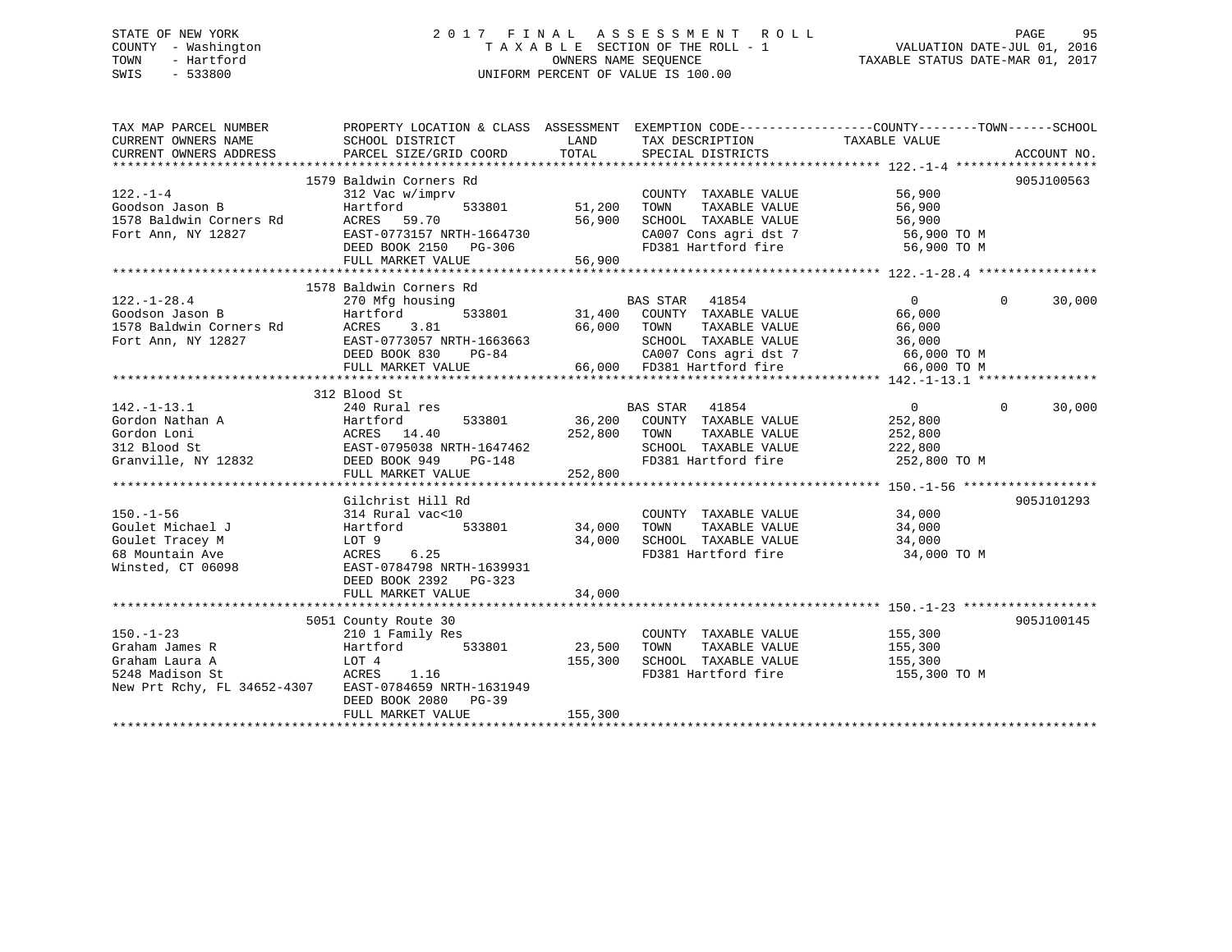# STATE OF NEW YORK 2 0 1 7 F I N A L A S S E S S M E N T R O L L PAGE 95 COUNTY - Washington T A X A B L E SECTION OF THE ROLL - 1 VALUATION DATE-JUL 01, 2016 TOWN - Hartford **TAXABLE STATUS DATE-MAR 01, 2017** SWIS - 533800 UNIFORM PERCENT OF VALUE IS 100.00

| TAX MAP PARCEL NUMBER<br>CURRENT OWNERS NAME<br>CURRENT OWNERS ADDRESS                                | PROPERTY LOCATION & CLASS ASSESSMENT<br>SCHOOL DISTRICT<br>PARCEL SIZE/GRID COORD                                                                                              | LAND<br>TOTAL                       | TAX DESCRIPTION TAXABLE VALUE<br>SPECIAL DISTRICTS                                                                                                              | EXEMPTION CODE-----------------COUNTY-------TOWN------SCHOOL               | ACCOUNT NO.        |
|-------------------------------------------------------------------------------------------------------|--------------------------------------------------------------------------------------------------------------------------------------------------------------------------------|-------------------------------------|-----------------------------------------------------------------------------------------------------------------------------------------------------------------|----------------------------------------------------------------------------|--------------------|
| $122. - 1 - 4$<br>Goodson Jason B<br>1578 Baldwin Corners Rd<br>Fort Ann, NY 12827                    | 1579 Baldwin Corners Rd<br>312 Vac w/imprv<br>533801<br>Hartford<br>ACRES<br>59.70<br>EAST-0773157 NRTH-1664730<br>DEED BOOK 2150 PG-306<br>FULL MARKET VALUE                  | 51,200<br>56,900<br>56,900          | COUNTY TAXABLE VALUE<br>TAXABLE VALUE<br>TOWN<br>SCHOOL TAXABLE VALUE<br>CA007 Cons agri dst 7 56,900 TO M<br>FD381 Hartford fire                               | 56,900<br>56,900<br>56,900<br>56,900 TO M                                  | 905J100563         |
|                                                                                                       |                                                                                                                                                                                |                                     |                                                                                                                                                                 |                                                                            |                    |
| $122. - 1 - 28.4$<br>Goodson Jason B<br>1578 Baldwin Corners Rd<br>Fort Ann, NY 12827                 | 1578 Baldwin Corners Rd<br>270 Mfg housing<br>533801<br>Hartford<br>3.81<br>ACRES<br>EAST-0773057 NRTH-1663663<br>DEED BOOK 830<br>PG-84<br>FULL MARKET VALUE                  | 66,000                              | <b>BAS STAR</b><br>41854<br>31,400 COUNTY TAXABLE VALUE<br>TOWN<br>TAXABLE VALUE<br>SCHOOL TAXABLE VALUE<br>CA007 Cons agri dst 7<br>66,000 FD381 Hartford fire | $\overline{0}$<br>66,000<br>66,000<br>36,000<br>66,000 TO M<br>66,000 TO M | $\Omega$<br>30,000 |
|                                                                                                       | 312 Blood St                                                                                                                                                                   |                                     |                                                                                                                                                                 |                                                                            |                    |
| $142. - 1 - 13.1$<br>Gordon Nathan A<br>Gordon Loni<br>312 Blood St<br>Granville, NY 12832            | 240 Rural res<br>Hartford<br>533801<br>ACRES 14.40<br>EAST-0795038 NRTH-1647462<br>DEED BOOK 949<br>PG-148<br>FULL MARKET VALUE                                                | 252,800<br>252,800<br>************* | BAS STAR 41854<br>36,200 COUNTY TAXABLE VALUE<br>TAXABLE VALUE<br>TOWN<br>SCHOOL TAXABLE VALUE 222,800<br>FD381 Hartford fire                                   | $\overline{0}$<br>252,800<br>252,800<br>252,800 TO M                       | 30,000<br>$\Omega$ |
|                                                                                                       |                                                                                                                                                                                |                                     |                                                                                                                                                                 |                                                                            |                    |
| $150. - 1 - 56$<br>Goulet Michael J<br>Goulet Tracey M<br>68 Mountain Ave<br>Winsted, CT 06098        | Gilchrist Hill Rd<br>314 Rural vac<10<br>533801<br>Hartford<br>LOT 9<br>6.25<br>ACRES<br>EAST-0784798 NRTH-1639931<br>DEED BOOK 2392 PG-323                                    | 34,000<br>34,000                    | COUNTY TAXABLE VALUE 34,000<br>TOWN<br>TAXABLE VALUE<br>SCHOOL TAXABLE VALUE<br>FD381 Hartford fire                                                             | 34,000<br>34,000<br>34,000 TO M                                            | 905J101293         |
|                                                                                                       | FULL MARKET VALUE                                                                                                                                                              | 34,000                              |                                                                                                                                                                 |                                                                            |                    |
|                                                                                                       |                                                                                                                                                                                |                                     |                                                                                                                                                                 |                                                                            |                    |
| $150. - 1 - 23$<br>Graham James R<br>Graham Laura A<br>5248 Madison St<br>New Prt Rchy, FL 34652-4307 | 5051 County Route 30<br>210 1 Family Res<br>533801<br>Hartford<br>LOT 4<br><b>ACRES</b><br>1.16<br>EAST-0784659 NRTH-1631949<br>DEED BOOK 2080<br>$PG-39$<br>FULL MARKET VALUE | 23,500<br>155,300<br>155,300        | COUNTY TAXABLE VALUE<br>TAXABLE VALUE<br>TOWN<br>SCHOOL TAXABLE VALUE                                                                                           | 155,300<br>155,300<br>155,300<br>FD381 Hartford fire 155,300 TO M          | 905J100145         |
|                                                                                                       |                                                                                                                                                                                |                                     |                                                                                                                                                                 |                                                                            |                    |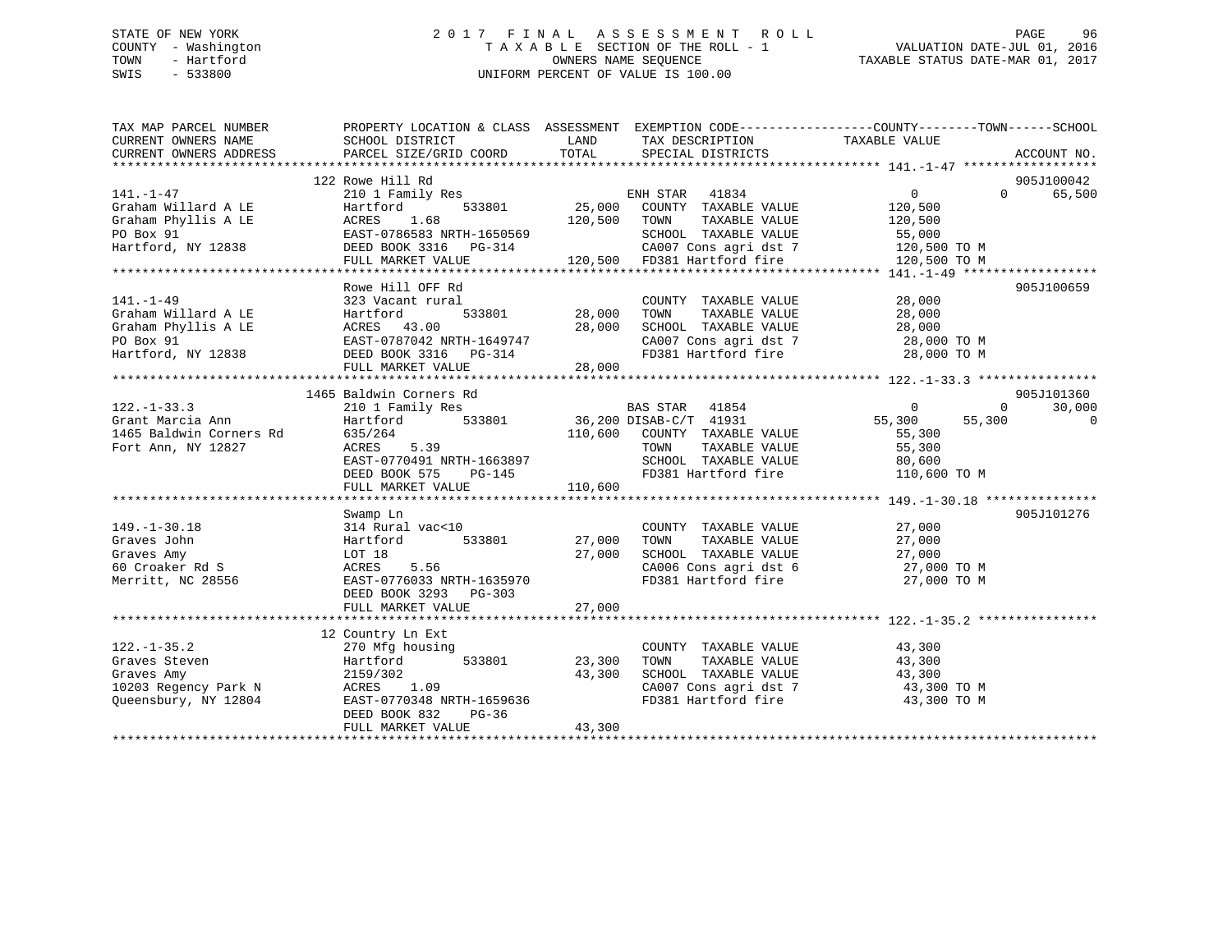# STATE OF NEW YORK 2 0 1 7 F I N A L A S S E S S M E N T R O L L PAGE 96 COUNTY - Washington T A X A B L E SECTION OF THE ROLL - 1 VALUATION DATE-JUL 01, 2016 TOWN - Hartford **TAXABLE STATUS DATE-MAR 01, 2017** SWIS - 533800 UNIFORM PERCENT OF VALUE IS 100.00

| TAXABLE VALUE<br>CURRENT OWNERS NAME<br>LAND<br>SCHOOL DISTRICT<br>TAX DESCRIPTION<br>TOTAL<br>CURRENT OWNERS ADDRESS<br>PARCEL SIZE/GRID COORD<br>SPECIAL DISTRICTS<br>122 Rowe Hill Rd<br>210 1 Family Res<br>Hartford 533801 25,000 COUNTY TAXABLE VALUE<br>$141. - 1 - 47$<br>$0 \qquad \qquad$<br>$\Omega$ | ACCOUNT NO.<br>905J100042<br>65,500 |
|-----------------------------------------------------------------------------------------------------------------------------------------------------------------------------------------------------------------------------------------------------------------------------------------------------------------|-------------------------------------|
|                                                                                                                                                                                                                                                                                                                 |                                     |
|                                                                                                                                                                                                                                                                                                                 |                                     |
|                                                                                                                                                                                                                                                                                                                 |                                     |
|                                                                                                                                                                                                                                                                                                                 |                                     |
| Graham Willard A LE<br>Hartford<br>120,500                                                                                                                                                                                                                                                                      |                                     |
| 1.68<br>Graham Phyllis A LE<br>120,500 TOWN<br>TAXABLE VALUE<br>ACRES<br>120,500                                                                                                                                                                                                                                |                                     |
| PO Box 91<br>EAST-0786583 NRTH-1650569<br>SCHOOL TAXABLE VALUE<br>55,000                                                                                                                                                                                                                                        |                                     |
| DEED BOOK 3316    PG-314<br>CA007 Cons agri dst 7 120,500 TO M<br>Hartford, NY 12838                                                                                                                                                                                                                            |                                     |
| 120,500 FD381 Hartford fire<br>FULL MARKET VALUE<br>120,500 TO M                                                                                                                                                                                                                                                |                                     |
|                                                                                                                                                                                                                                                                                                                 |                                     |
| Rowe Hill OFF Rd                                                                                                                                                                                                                                                                                                | 905J100659                          |
| $141. - 1 - 49$<br>28,000<br>323 Vacant rural<br>COUNTY TAXABLE VALUE                                                                                                                                                                                                                                           |                                     |
| 533801 28,000<br>28,000<br>Graham Willard A LE<br>Hartford<br>TOWN<br>TAXABLE VALUE                                                                                                                                                                                                                             |                                     |
| SCHOOL TAXABLE VALUE<br>Graham Phyllis A LE<br>28,000<br>28,000                                                                                                                                                                                                                                                 |                                     |
| ACRES 43.00<br>EAST-0787042 NRTH-1649747<br>PO Box 91                                                                                                                                                                                                                                                           |                                     |
| FD381 Hartford fire<br>Hartford, NY 12838<br>DEED BOOK 3316 PG-314<br>28,000 TO M                                                                                                                                                                                                                               |                                     |
| 28.000<br>FULL MARKET VALUE                                                                                                                                                                                                                                                                                     |                                     |
|                                                                                                                                                                                                                                                                                                                 |                                     |
| 1465 Baldwin Corners Rd                                                                                                                                                                                                                                                                                         | 905J101360                          |
| <b>BAS STAR</b><br>41854<br>$122. - 1 - 33.3$<br>210 1 Family Res<br>$\overline{0}$<br>$\Omega$                                                                                                                                                                                                                 | 30,000                              |
| 533801 36,200 DISAB-C/T 41931<br>55,300<br>55,300<br>Hartford                                                                                                                                                                                                                                                   | $\overline{0}$                      |
| Grant Marcia Ann<br>1465 Baldwin Corners Rd<br>Fort Ann, NY 12827<br>635/264<br>110,600 COUNTY TAXABLE VALUE<br>55,300                                                                                                                                                                                          |                                     |
| ACRES<br>5.39<br>TAXABLE VALUE<br>Fort Ann, NY 12827<br>TOWN<br>55,300                                                                                                                                                                                                                                          |                                     |
| EAST-0770491 NRTH-1663897<br>SCHOOL TAXABLE VALUE<br>80,600                                                                                                                                                                                                                                                     |                                     |
| FD381 Hartford fire<br>DEED BOOK 575<br>110,600 TO M<br>PG-145                                                                                                                                                                                                                                                  |                                     |
| FULL MARKET VALUE<br>110,600                                                                                                                                                                                                                                                                                    |                                     |
|                                                                                                                                                                                                                                                                                                                 |                                     |
| Swamp Ln                                                                                                                                                                                                                                                                                                        | 905J101276                          |
| COUNTY TAXABLE VALUE<br>$149. - 1 - 30.18$<br>27,000<br>314 Rural vac<10                                                                                                                                                                                                                                        |                                     |
| Graves John<br>27,000<br>533801<br>TOWN<br>TAXABLE VALUE<br>27,000<br>Hartford                                                                                                                                                                                                                                  |                                     |
| 27,000<br>LOT 18<br>Graves Amy                                                                                                                                                                                                                                                                                  |                                     |
| ACRES<br>5.56<br>60 Croaker Rd S                                                                                                                                                                                                                                                                                |                                     |
| SCHOOL TAXABLE VALUE $27,000$<br>CA006 Cons agri dst 6 27,000 TO M<br>FD381 Hartford fire 27,000 TO M<br>Merritt, NC 28556<br>EAST-0776033 NRTH-1635970                                                                                                                                                         |                                     |
| DEED BOOK 3293 PG-303                                                                                                                                                                                                                                                                                           |                                     |
| 27,000<br>FULL MARKET VALUE                                                                                                                                                                                                                                                                                     |                                     |
|                                                                                                                                                                                                                                                                                                                 |                                     |
| 12 Country Ln Ext                                                                                                                                                                                                                                                                                               |                                     |
| $122. - 1 - 35.2$<br>270 Mfg housing<br>COUNTY TAXABLE VALUE<br>43,300                                                                                                                                                                                                                                          |                                     |
| 533801<br>23,300<br>TAXABLE VALUE<br>Graves Steven<br>Hartford<br>TOWN<br>43,300                                                                                                                                                                                                                                |                                     |
| 43,300<br>SCHOOL TAXABLE VALUE<br>Graves Amy<br>2159/302<br>43,300                                                                                                                                                                                                                                              |                                     |
| ACRES 1.09                                                                                                                                                                                                                                                                                                      |                                     |
| 10203 Regency Park N<br>Oueensbury, NY 12804<br>CA007 Cons agri dst 7 43,300 TO M<br>FD381 Hartford fire 43.300 TO M<br>EAST-0770348 NRTH-1659636<br>Oueensbury, NY 12804<br>FD381 Hartford fire<br>43,300 TO M                                                                                                 |                                     |
| DEED BOOK 832<br>PG-36                                                                                                                                                                                                                                                                                          |                                     |
| 43,300<br>FULL MARKET VALUE                                                                                                                                                                                                                                                                                     |                                     |
|                                                                                                                                                                                                                                                                                                                 |                                     |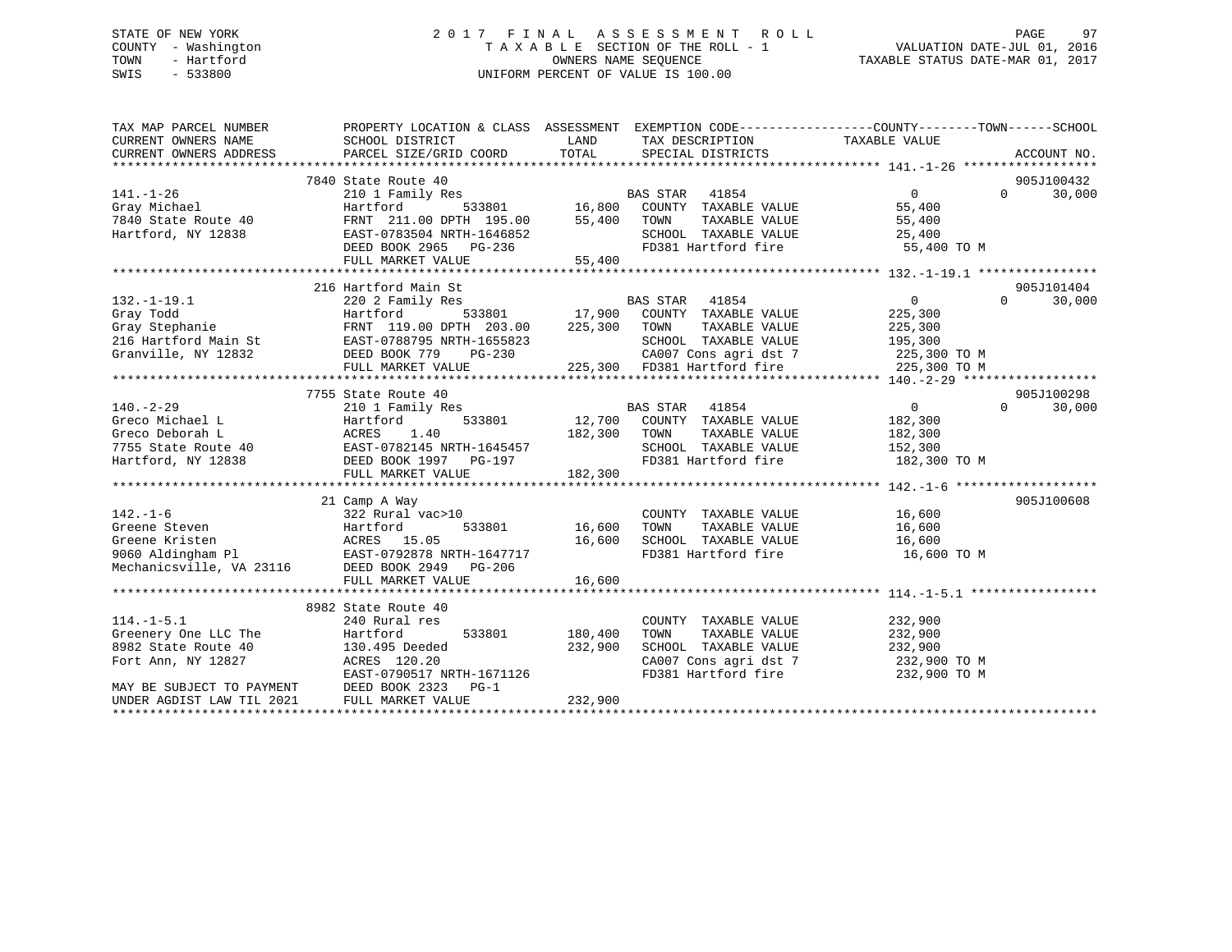# STATE OF NEW YORK 2 0 1 7 F I N A L A S S E S S M E N T R O L L PAGE 97 COUNTY - Washington T A X A B L E SECTION OF THE ROLL - 1 VALUATION DATE-JUL 01, 2016 TOWN - Hartford **TAXABLE STATUS DATE-MAR 01, 2017** SWIS - 533800 UNIFORM PERCENT OF VALUE IS 100.00

| TAX MAP PARCEL NUMBER<br>CURRENT OWNERS NAME<br>CURRENT OWNERS ADDRESS                | PROPERTY LOCATION & CLASS ASSESSMENT EXEMPTION CODE----------------COUNTY-------TOWN------SCHOOL<br>SCHOOL DISTRICT<br>PARCEL SIZE/GRID COORD                                                                                                                                                                                                                                                                                                     | LAND<br>TOTAL  | TAX DESCRIPTION<br>SPECIAL DISTRICTS                                   | TAXABLE VALUE                                  | ACCOUNT NO.        |
|---------------------------------------------------------------------------------------|---------------------------------------------------------------------------------------------------------------------------------------------------------------------------------------------------------------------------------------------------------------------------------------------------------------------------------------------------------------------------------------------------------------------------------------------------|----------------|------------------------------------------------------------------------|------------------------------------------------|--------------------|
|                                                                                       |                                                                                                                                                                                                                                                                                                                                                                                                                                                   |                |                                                                        |                                                |                    |
|                                                                                       | 7840 State Route 40                                                                                                                                                                                                                                                                                                                                                                                                                               |                |                                                                        |                                                | 905J100432         |
| $141. - 1 - 26$                                                                       | 210 1 Family Res<br>BAS STAR 41854 0<br>Hartford 533801 16,800 COUNTY TAXABLE VALUE 55,400<br>PERNT 211.00 DPTH 195.00 55,400 TOWN TAXABLE VALUE 55,400<br>EAST-0783504 NRTH-1646852 SCHOOL TAXABLE VALUE 25,400                                                                                                                                                                                                                                  |                |                                                                        |                                                | 30,000<br>$\Omega$ |
| Gray Michael                                                                          |                                                                                                                                                                                                                                                                                                                                                                                                                                                   |                |                                                                        |                                                |                    |
| 7840 State Route 40                                                                   |                                                                                                                                                                                                                                                                                                                                                                                                                                                   |                |                                                                        |                                                |                    |
| Hartford, NY 12838                                                                    |                                                                                                                                                                                                                                                                                                                                                                                                                                                   |                |                                                                        |                                                |                    |
|                                                                                       | DEED BOOK 2965 PG-236<br>FULL MARKET VALUE 55,400                                                                                                                                                                                                                                                                                                                                                                                                 |                | FD381 Hartford fire 55,400 TO M                                        |                                                |                    |
|                                                                                       |                                                                                                                                                                                                                                                                                                                                                                                                                                                   | 55,400         |                                                                        |                                                |                    |
|                                                                                       |                                                                                                                                                                                                                                                                                                                                                                                                                                                   |                |                                                                        |                                                |                    |
|                                                                                       | 216 Hartford Main St                                                                                                                                                                                                                                                                                                                                                                                                                              |                |                                                                        |                                                | 905J101404         |
|                                                                                       |                                                                                                                                                                                                                                                                                                                                                                                                                                                   |                |                                                                        | $\overline{0}$                                 | 30,000<br>$\Omega$ |
|                                                                                       |                                                                                                                                                                                                                                                                                                                                                                                                                                                   |                |                                                                        |                                                |                    |
|                                                                                       |                                                                                                                                                                                                                                                                                                                                                                                                                                                   |                |                                                                        | TAXABLE VALUE 225,300<br>TAXABLE VALUE 195,300 |                    |
|                                                                                       |                                                                                                                                                                                                                                                                                                                                                                                                                                                   |                | SCHOOL TAXABLE VALUE                                                   |                                                |                    |
|                                                                                       |                                                                                                                                                                                                                                                                                                                                                                                                                                                   |                | CA007 Cons agri dst 7 225,300 TO M                                     |                                                |                    |
|                                                                                       |                                                                                                                                                                                                                                                                                                                                                                                                                                                   |                | 225,300 FD381 Hartford fire                                            | 225,300 TO M                                   |                    |
|                                                                                       |                                                                                                                                                                                                                                                                                                                                                                                                                                                   |                |                                                                        |                                                |                    |
|                                                                                       | 7755 State Route 40                                                                                                                                                                                                                                                                                                                                                                                                                               |                |                                                                        |                                                | 905J100298         |
|                                                                                       |                                                                                                                                                                                                                                                                                                                                                                                                                                                   |                | BAS STAR 41854<br>533801 12,700 COUNTY TAXABLE VALUE                   | $\begin{array}{c} 0 \\ 182,300 \end{array}$    | $\Omega$<br>30,000 |
|                                                                                       |                                                                                                                                                                                                                                                                                                                                                                                                                                                   |                |                                                                        |                                                |                    |
|                                                                                       |                                                                                                                                                                                                                                                                                                                                                                                                                                                   |                |                                                                        | TAXABLE VALUE 182,300                          |                    |
|                                                                                       |                                                                                                                                                                                                                                                                                                                                                                                                                                                   |                | SCHOOL TAXABLE VALUE 152,300                                           |                                                |                    |
|                                                                                       |                                                                                                                                                                                                                                                                                                                                                                                                                                                   |                | FD381 Hartford fire 182,300 TO M                                       |                                                |                    |
|                                                                                       | $\begin{tabular}{lllllllllllllllllllllll} \multicolumn{3}{l}{} & 2101 Family Res \\ \multicolumn{3}{l}{{\textbf{Greco Michael L}}} & & 2101 Family Res & & 12,700 & 700NTY \\ \multicolumn{3}{l}{{\textbf{Greco Deborah L}}} & & & 2101 Family Res & & 12,700 & 700NTY \\ \multicolumn{3}{l}{{\textbf{Greco Deborah L}}} & & & & \multicolumn{3}{l}{{\textbf{ACRES}}} & 1.40 & & 182,300 & 70WN \\ \multicolumn{3}{l}{} & & & & \multicolumn{3}{$ |                |                                                                        |                                                |                    |
|                                                                                       |                                                                                                                                                                                                                                                                                                                                                                                                                                                   |                |                                                                        |                                                |                    |
|                                                                                       | 21 Camp A Way                                                                                                                                                                                                                                                                                                                                                                                                                                     |                |                                                                        |                                                | 905J100608         |
| $142. - 1 - 6$                                                                        | 322 Rural vac>10                                                                                                                                                                                                                                                                                                                                                                                                                                  |                | COUNTY TAXABLE VALUE 16,600                                            |                                                |                    |
|                                                                                       |                                                                                                                                                                                                                                                                                                                                                                                                                                                   | 533801 16,600  | TOWN                                                                   | TAXABLE VALUE 16,600                           |                    |
|                                                                                       | Greene Steven<br>Greene Kristen<br>9060 Aldingham Pl<br>9060 Aldingham Pl<br>EAST-0792878 NRTH-1647717                                                                                                                                                                                                                                                                                                                                            | 16,600         |                                                                        |                                                |                    |
|                                                                                       |                                                                                                                                                                                                                                                                                                                                                                                                                                                   |                |                                                                        |                                                |                    |
| Mechanicsville, VA 23116 DEED BOOK 2949 PG-206                                        |                                                                                                                                                                                                                                                                                                                                                                                                                                                   |                |                                                                        |                                                |                    |
|                                                                                       | FULL MARKET VALUE                                                                                                                                                                                                                                                                                                                                                                                                                                 | 16,600         |                                                                        |                                                |                    |
|                                                                                       |                                                                                                                                                                                                                                                                                                                                                                                                                                                   |                |                                                                        |                                                |                    |
|                                                                                       | 8982 State Route 40                                                                                                                                                                                                                                                                                                                                                                                                                               |                | COUNTY TAXABLE VALUE 232,900                                           |                                                |                    |
| $114.-1-5.1$<br>Greenery One LLC The                                                  | 240 Rural res                                                                                                                                                                                                                                                                                                                                                                                                                                     | 533801 180,400 |                                                                        | TAXABLE VALUE 232,900                          |                    |
|                                                                                       | Hartford                                                                                                                                                                                                                                                                                                                                                                                                                                          |                | TOWN                                                                   |                                                |                    |
| 8982 State Route 40<br>Fort Ann, NY 12827                                             | 130.495 Deeded                                                                                                                                                                                                                                                                                                                                                                                                                                    | 232,900        | SCHOOL TAXABLE VALUE 232,900                                           |                                                |                    |
|                                                                                       | ACRES 120.20<br>EAST-0790517 N<br>ACRES 120.20<br>EAST-0790517 NRTH-1671126                                                                                                                                                                                                                                                                                                                                                                       |                | CA007 Cons agri dst 7 232,900 TO M<br>FD381 Hartford fire 232,900 TO M |                                                |                    |
|                                                                                       | $PG-1$                                                                                                                                                                                                                                                                                                                                                                                                                                            |                |                                                                        |                                                |                    |
| MAY BE SUBJECT TO PAYMENT DEED BOOK 2323<br>UNDER AGDIST LAW TIL 2021 FULL MARKET VAI | FULL MARKET VALUE                                                                                                                                                                                                                                                                                                                                                                                                                                 | 232,900        |                                                                        |                                                |                    |
|                                                                                       |                                                                                                                                                                                                                                                                                                                                                                                                                                                   |                |                                                                        |                                                |                    |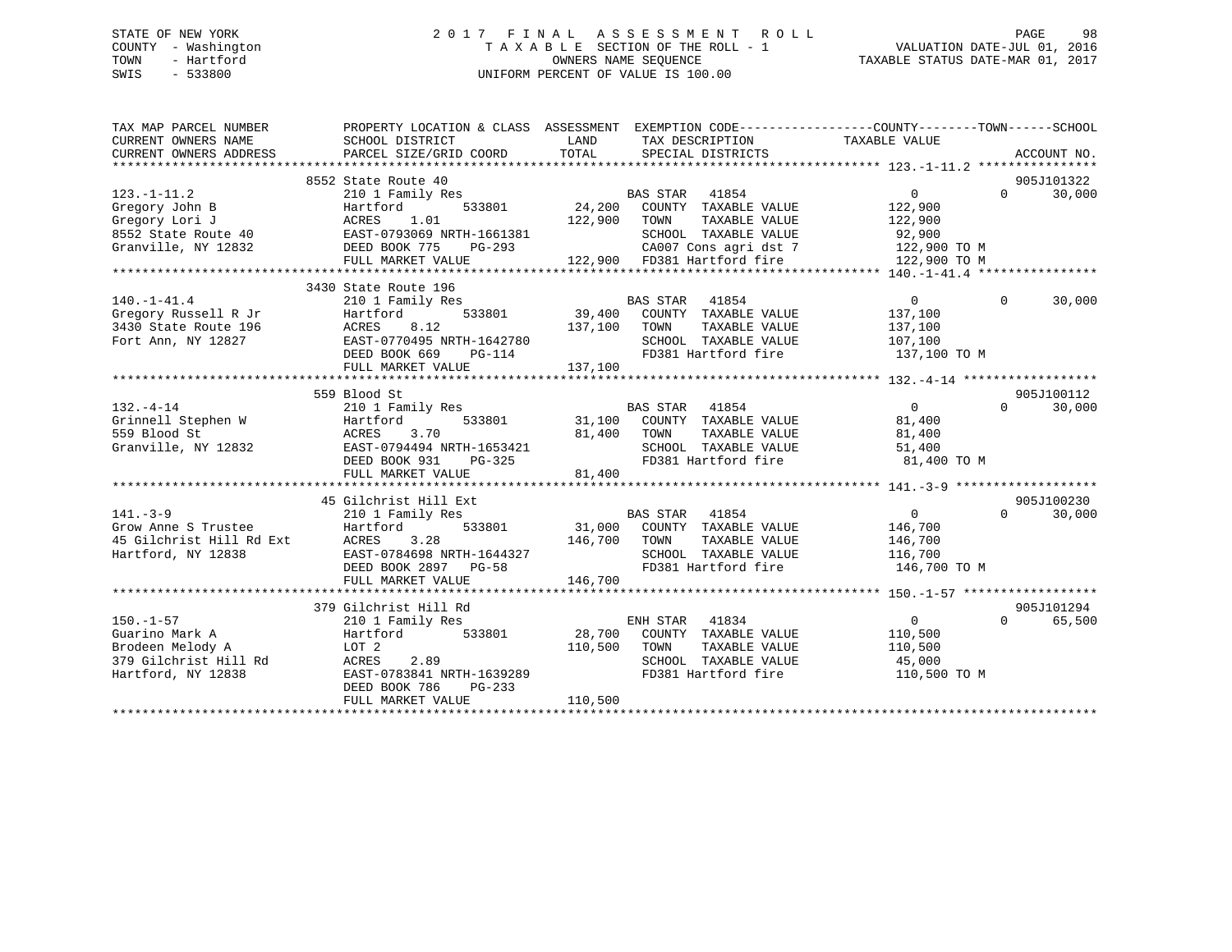# STATE OF NEW YORK 2 0 1 7 F I N A L A S S E S S M E N T R O L L PAGE 98 COUNTY - Washington T A X A B L E SECTION OF THE ROLL - 1 VALUATION DATE-JUL 01, 2016 TOWN - Hartford **TAXABLE STATUS DATE-MAR 01, 2017** SWIS - 533800 UNIFORM PERCENT OF VALUE IS 100.00

| TAX MAP PARCEL NUMBER                         | PROPERTY LOCATION & CLASS ASSESSMENT EXEMPTION CODE---------------COUNTY-------TOWN-----SCHOOL |                             |                                                      |                |          |             |
|-----------------------------------------------|------------------------------------------------------------------------------------------------|-----------------------------|------------------------------------------------------|----------------|----------|-------------|
| CURRENT OWNERS NAME<br>CURRENT OWNERS ADDRESS | SCHOOL DISTRICT<br>PARCEL SIZE/GRID COORD                                                      | LAND<br>TOTAL               | TAX DESCRIPTION<br>SPECIAL DISTRICTS                 | TAXABLE VALUE  |          | ACCOUNT NO. |
|                                               |                                                                                                |                             |                                                      |                |          |             |
|                                               | 8552 State Route 40                                                                            |                             |                                                      |                |          | 905J101322  |
| $123. - 1 - 11.2$                             | 210 1 Family Res                                                                               | <b>BAS STAR</b>             | 41854                                                | $\overline{0}$ | $\Omega$ | 30,000      |
| Gregory John B                                | 533801<br>Hartford                                                                             | 24,200                      | COUNTY TAXABLE VALUE                                 | 122,900        |          |             |
| Gregory Lori J                                | 1.01<br>ACRES                                                                                  | 122,900<br>TOWN             | TAXABLE VALUE                                        | 122,900        |          |             |
| 8552 State Route 40                           | EAST-0793069 NRTH-1661381                                                                      |                             | SCHOOL TAXABLE VALUE                                 | 92,900         |          |             |
| Granville, NY 12832                           | DEED BOOK 775<br>PG-293                                                                        |                             | CA007 Cons agri dst 7                                | 122,900 TO M   |          |             |
|                                               | FULL MARKET VALUE                                                                              |                             | CAUU7 Cons agri dst 7<br>122,900 FD381 Hartford fire | 122,900 TO M   |          |             |
|                                               |                                                                                                |                             |                                                      |                |          |             |
|                                               | 3430 State Route 196                                                                           |                             |                                                      |                |          |             |
| $140. - 1 - 41.4$                             | 210 1 Family Res                                                                               | <b>BAS STAR</b> 41854       |                                                      | $\overline{0}$ | $\Omega$ | 30,000      |
| Gregory Russell R Jr                          | 533801<br>Hartford                                                                             | 39,400 COUNTY TAXABLE VALUE |                                                      | 137,100        |          |             |
| 3430 State Route 196                          | 8.12<br>ACRES                                                                                  | 137,100 TOWN                | TAXABLE VALUE                                        | 137,100        |          |             |
| Fort Ann, NY 12827                            | EAST-0770495 NRTH-1642780                                                                      |                             | SCHOOL TAXABLE VALUE                                 | 107,100        |          |             |
|                                               | DEED BOOK 669<br>$PG-114$                                                                      |                             | FD381 Hartford fire                                  | 137,100 TO M   |          |             |
|                                               | FULL MARKET VALUE                                                                              | 137,100                     |                                                      |                |          |             |
|                                               |                                                                                                |                             |                                                      |                |          |             |
|                                               | 559 Blood St                                                                                   |                             |                                                      |                | $\cap$   | 905J100112  |
| $132. - 4 - 14$                               | 210 1 Family Res<br>533801                                                                     |                             | BAS STAR 41854<br>31,100 COUNTY TAXABLE VALUE        | 0<br>81,400    |          | 30,000      |
| Grinnell Stephen W<br>559 Blood St            | Hartford<br>3.70<br>ACRES                                                                      | 81,400<br>TOWN              | TAXABLE VALUE                                        | 81,400         |          |             |
| Granville, NY 12832                           | EAST-0794494 NRTH-1653421                                                                      |                             | SCHOOL TAXABLE VALUE                                 | 51,400         |          |             |
|                                               | DEED BOOK 931<br>$PG-325$                                                                      |                             | FD381 Hartford fire                                  | 81,400 TO M    |          |             |
|                                               | FULL MARKET VALUE                                                                              | 81,400                      |                                                      |                |          |             |
|                                               |                                                                                                |                             |                                                      |                |          |             |
|                                               | 45 Gilchrist Hill Ext                                                                          |                             |                                                      |                |          | 905J100230  |
| $141. - 3 - 9$                                | 210 1 Family Res                                                                               | <b>BAS STAR</b>             | 41854                                                | $\overline{0}$ | $\Omega$ | 30,000      |
| Grow Anne S Trustee                           | Hartford<br>533801                                                                             | 31,000 COUNTY TAXABLE VALUE |                                                      | 146,700        |          |             |
| 45 Gilchrist Hill Rd Ext                      | ACRES<br>3.28                                                                                  | 146,700<br>TOWN             | TAXABLE VALUE                                        | 146,700        |          |             |
| Hartford, NY 12838                            | EAST-0784698 NRTH-1644327                                                                      |                             | SCHOOL TAXABLE VALUE                                 | 116,700        |          |             |
|                                               | DEED BOOK 2897 PG-58                                                                           |                             | FD381 Hartford fire                                  | 146,700 TO M   |          |             |
|                                               | FULL MARKET VALUE                                                                              | 146,700                     |                                                      |                |          |             |
|                                               |                                                                                                |                             |                                                      |                |          |             |
|                                               | 379 Gilchrist Hill Rd                                                                          |                             |                                                      |                |          | 905J101294  |
| $150. - 1 - 57$                               | 210 1 Family Res                                                                               | ENH STAR                    | 41834                                                | $\overline{0}$ | $\Omega$ | 65,500      |
| Guarino Mark A                                | Hartford<br>533801                                                                             | 28,700                      | COUNTY TAXABLE VALUE                                 | 110,500        |          |             |
| Brodeen Melody A                              | LOT 2                                                                                          | 110,500<br>TOWN             | TAXABLE VALUE                                        | 110,500        |          |             |
| 379 Gilchrist Hill Rd                         | 2.89<br>ACRES                                                                                  |                             | SCHOOL TAXABLE VALUE                                 | 45,000         |          |             |
| Hartford, NY 12838                            | EAST-0783841 NRTH-1639289                                                                      |                             | FD381 Hartford fire                                  | 110,500 TO M   |          |             |
|                                               | DEED BOOK 786<br>$PG-233$                                                                      |                             |                                                      |                |          |             |
|                                               | FULL MARKET VALUE                                                                              | 110,500                     |                                                      |                |          |             |
|                                               |                                                                                                |                             |                                                      |                |          |             |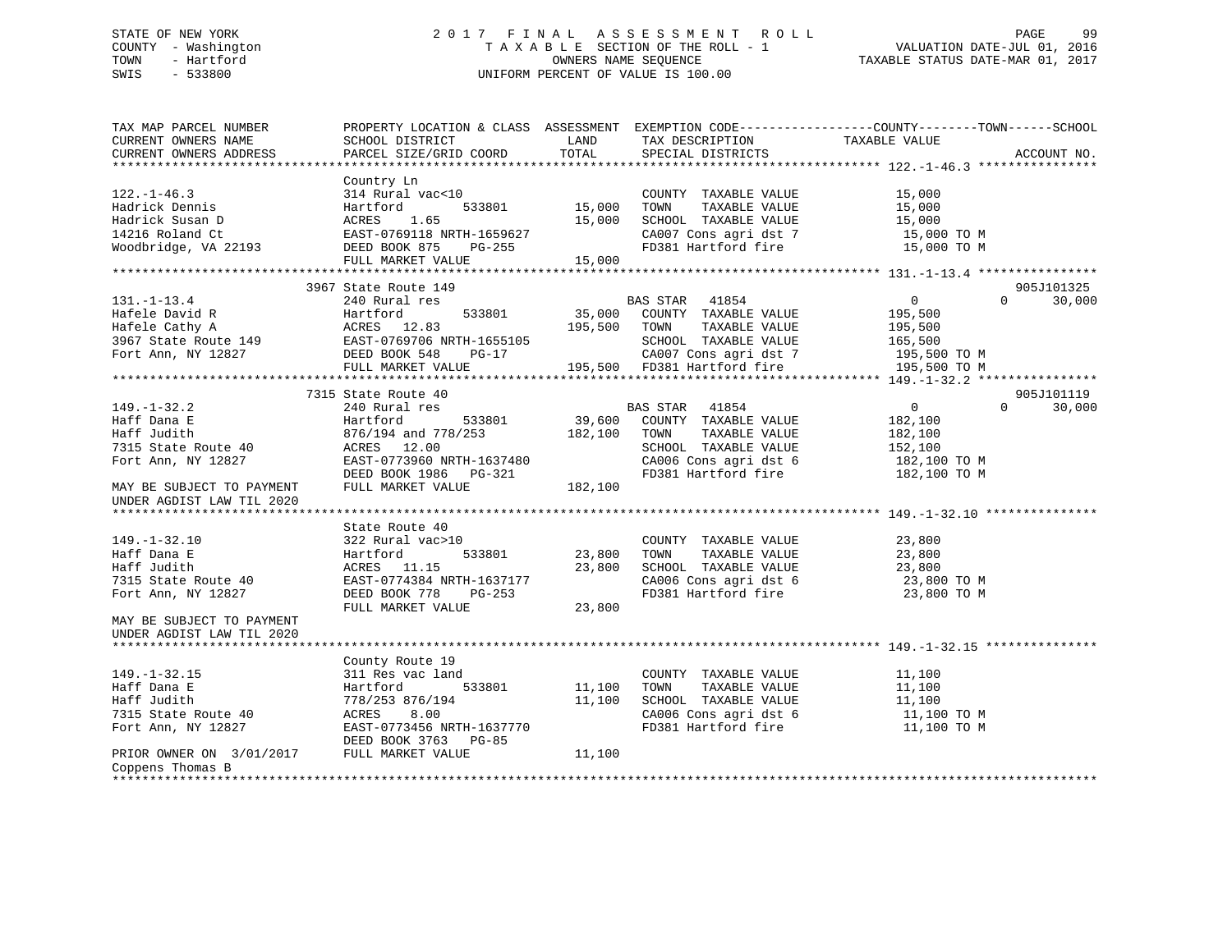# STATE OF NEW YORK 2 0 1 7 F I N A L A S S E S S M E N T R O L L PAGE 99 COUNTY - Washington T A X A B L E SECTION OF THE ROLL - 1 VALUATION DATE-JUL 01, 2016 TOWN - Hartford OWNERS NAME SEQUENCE TAXABLE STATUS DATE-MAR 01, 2017 SWIS - 533800 UNIFORM PERCENT OF VALUE IS 100.00

| TAX MAP PARCEL NUMBER<br>CURRENT OWNERS NAME<br>CURRENT OWNERS ADDRESS                                                               | SCHOOL DISTRICT<br>PARCEL SIZE/GRID COORD | LAND<br>TOTAL | TAX DESCRIPTION<br>SPECIAL DISTRICTS          | PROPERTY LOCATION & CLASS ASSESSMENT EXEMPTION CODE----------------COUNTY-------TOWN------SCHOOL<br>TAXABLE VALUE | ACCOUNT NO. |
|--------------------------------------------------------------------------------------------------------------------------------------|-------------------------------------------|---------------|-----------------------------------------------|-------------------------------------------------------------------------------------------------------------------|-------------|
|                                                                                                                                      |                                           |               |                                               |                                                                                                                   |             |
| $122. - 1 - 46.3$                                                                                                                    | Country Ln                                |               |                                               |                                                                                                                   |             |
|                                                                                                                                      | 314 Rural vac<10                          | 533801 15,000 | COUNTY TAXABLE VALUE                          | 15,000                                                                                                            |             |
| Hadrick Dennis<br>Hadrick Susan D                                                                                                    | Hartford                                  |               | TOWN<br>TAXABLE VALUE                         | 15,000                                                                                                            |             |
|                                                                                                                                      | ACRES 1.65                                | 15,000        | SCHOOL TAXABLE VALUE<br>CA007 Cons agri dst 7 | 15,000                                                                                                            |             |
| 14216 Roland Ct                                                                                                                      | EAST-0769118 NRTH-1659627                 |               |                                               | 15,000 TO M                                                                                                       |             |
| Woodbridge, VA 22193                                                                                                                 | DEED BOOK 875<br>PG-255                   |               | FD381 Hartford fire                           | 15,000 TO M                                                                                                       |             |
|                                                                                                                                      | FULL MARKET VALUE                         | 15,000        |                                               |                                                                                                                   |             |
|                                                                                                                                      |                                           |               |                                               |                                                                                                                   |             |
|                                                                                                                                      | 3967 State Route 149                      |               |                                               |                                                                                                                   | 905J101325  |
| $131. - 1 - 13.4$                                                                                                                    | 240 Rural res                             |               | BAS STAR 41854                                | $\overline{0}$<br>$\Omega$                                                                                        | 30,000      |
| Hafele David R<br>Hafele David R<br>Hafele Cathy A<br>3967 State Route 149<br>3967 State Route 149<br>2007 EAST-0769706 NRTH-1655105 | Hartford<br>533801                        |               | 35,000 COUNTY TAXABLE VALUE                   | 195,500                                                                                                           |             |
|                                                                                                                                      |                                           | 195,500 TOWN  | TAXABLE VALUE                                 | 195,500                                                                                                           |             |
|                                                                                                                                      |                                           |               | SCHOOL TAXABLE VALUE                          | 165,500                                                                                                           |             |
| Fort Ann, NY 12827                                                                                                                   | DEED BOOK 548<br>PG-17                    |               | CA007 Cons agri dst 7                         | 195,500 TO M                                                                                                      |             |
|                                                                                                                                      | FULL MARKET VALUE                         |               | 195,500 FD381 Hartford fire                   | 195,500 TO M                                                                                                      |             |
|                                                                                                                                      |                                           |               |                                               |                                                                                                                   |             |
|                                                                                                                                      | 7315 State Route 40                       |               |                                               |                                                                                                                   | 905J101119  |
| $149. - 1 - 32.2$                                                                                                                    | 240 Rural res                             |               | BAS STAR 41854                                | $\overline{0}$<br>$\Omega$                                                                                        | 30,000      |
| Haff Dana E                                                                                                                          | Hartford                                  |               | 533801 39,600 COUNTY TAXABLE VALUE            | 182,100                                                                                                           |             |
| Haff Judith                                                                                                                          | 876/194 and 778/253                       | 182,100       | TOWN<br>TAXABLE VALUE                         | 182,100                                                                                                           |             |
| 7315 State Route 40                                                                                                                  | ACRES 12.00                               |               | SCHOOL TAXABLE VALUE                          | 152,100                                                                                                           |             |
| Fort Ann, NY 12827                                                                                                                   | EAST-0773960 NRTH-1637480                 |               | CA006 Cons agri dst 6                         | 182,100 TO M                                                                                                      |             |
|                                                                                                                                      | DEED BOOK 1986 PG-321                     |               |                                               | FD381 Hartford fire 182,100 TO M                                                                                  |             |
| MAY BE SUBJECT TO PAYMENT                                                                                                            | FULL MARKET VALUE                         | 182,100       |                                               |                                                                                                                   |             |
| UNDER AGDIST LAW TIL 2020                                                                                                            |                                           |               |                                               |                                                                                                                   |             |
|                                                                                                                                      |                                           |               |                                               |                                                                                                                   |             |
|                                                                                                                                      | State Route 40                            |               |                                               |                                                                                                                   |             |
| $149. - 1 - 32.10$                                                                                                                   | 322 Rural vac>10                          |               | COUNTY TAXABLE VALUE                          | 23,800                                                                                                            |             |
| Haff Dana E                                                                                                                          | Hartford                                  | 533801 23,800 | TOWN<br>TAXABLE VALUE                         | 23,800                                                                                                            |             |
| Haff Judith                                                                                                                          | ACRES 11.15                               | 23,800        | SCHOOL TAXABLE VALUE                          | 23,800                                                                                                            |             |
| 7315 State Route 40                                                                                                                  | EAST-0774384 NRTH-1637177                 |               |                                               | CA006 Cons agri dst 6 23,800 TO M                                                                                 |             |
| Fort Ann, NY 12827                                                                                                                   | DEED BOOK 778<br>PG-253                   |               | FD381 Hartford fire                           | 23,800 TO M                                                                                                       |             |
|                                                                                                                                      | FULL MARKET VALUE                         | 23,800        |                                               |                                                                                                                   |             |
| MAY BE SUBJECT TO PAYMENT                                                                                                            |                                           |               |                                               |                                                                                                                   |             |
| UNDER AGDIST LAW TIL 2020                                                                                                            |                                           |               |                                               |                                                                                                                   |             |
|                                                                                                                                      |                                           |               |                                               |                                                                                                                   |             |
|                                                                                                                                      | County Route 19                           |               |                                               |                                                                                                                   |             |
| $149. - 1 - 32.15$                                                                                                                   | 311 Res vac land                          |               | COUNTY TAXABLE VALUE                          | 11,100                                                                                                            |             |
| Haff Dana E                                                                                                                          | 533801                                    |               | TOWN                                          |                                                                                                                   |             |
|                                                                                                                                      | Hartford                                  | 11,100        | TAXABLE VALUE                                 | 11,100<br>$\frac{1}{11}$ , 100                                                                                    |             |
| Haff Judith                                                                                                                          | 778/253 876/194                           | 11,100        | SCHOOL TAXABLE VALUE                          |                                                                                                                   |             |
| 7315 State Route 40                                                                                                                  | 8.00<br>ACRES                             |               |                                               |                                                                                                                   |             |
| Fort Ann, NY 12827                                                                                                                   | EAST-0773456 NRTH-1637770                 |               |                                               |                                                                                                                   |             |
| PRIOR OWNER ON 3/01/2017 FULL MARKET VALUE                                                                                           | DEED BOOK 3763 PG-85                      |               |                                               |                                                                                                                   |             |
|                                                                                                                                      |                                           | 11,100        |                                               |                                                                                                                   |             |
| Coppens Thomas B<br>*****************                                                                                                |                                           |               |                                               |                                                                                                                   |             |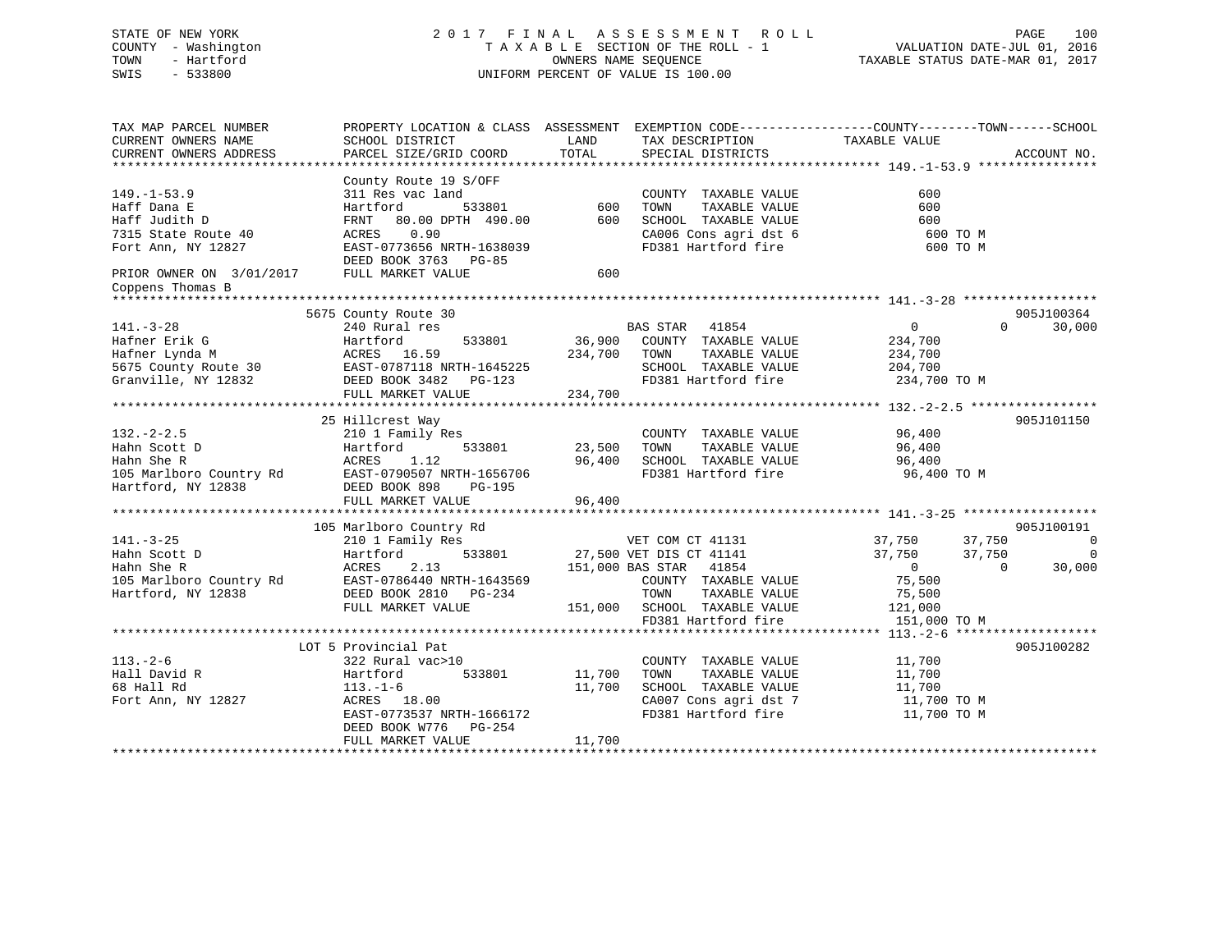# STATE OF NEW YORK 2 0 1 7 F I N A L A S S E S S M E N T R O L L PAGE 100 COUNTY - Washington T A X A B L E SECTION OF THE ROLL - 1 VALUATION DATE-JUL 01, 2016 TOWN - Hartford **TAXABLE STATUS DATE-MAR 01, 2017** SWIS - 533800 UNIFORM PERCENT OF VALUE IS 100.00

| TAX MAP PARCEL NUMBER<br>CURRENT OWNERS NAME<br>CURRENT OWNERS ADDRESS                                                                         | PROPERTY LOCATION & CLASS ASSESSMENT<br>SCHOOL DISTRICT<br>PARCEL SIZE/GRID COORD                                                                                                       | LAND<br>TOTAL                | TAX DESCRIPTION<br>SPECIAL DISTRICTS                                                                                                                                     | EXEMPTION CODE-----------------COUNTY-------TOWN------SCHOOL<br>TAXABLE VALUE                                     | ACCOUNT NO.                       |
|------------------------------------------------------------------------------------------------------------------------------------------------|-----------------------------------------------------------------------------------------------------------------------------------------------------------------------------------------|------------------------------|--------------------------------------------------------------------------------------------------------------------------------------------------------------------------|-------------------------------------------------------------------------------------------------------------------|-----------------------------------|
| $149. - 1 - 53.9$<br>Haff Dana E<br>Haff Judith D<br>7315 State Route 40<br>Fort Ann, NY 12827<br>PRIOR OWNER ON 3/01/2017<br>Coppens Thomas B | County Route 19 S/OFF<br>311 Res vac land<br>533801<br>Hartford<br>80.00 DPTH 490.00<br>FRNT<br>0.90<br>ACRES<br>EAST-0773656 NRTH-1638039<br>DEED BOOK 3763 PG-85<br>FULL MARKET VALUE | 600<br>600<br>600            | COUNTY TAXABLE VALUE<br>TOWN<br>TAXABLE VALUE<br>SCHOOL TAXABLE VALUE<br>CA006 Cons agri dst 6<br>FD381 Hartford fire                                                    | 600<br>600<br>600<br>600 TO M<br>600 TO M                                                                         |                                   |
|                                                                                                                                                |                                                                                                                                                                                         |                              |                                                                                                                                                                          |                                                                                                                   |                                   |
| $141. - 3 - 28$<br>Hafner Erik G<br>Hafner Lynda M<br>5675 County Route 30<br>Granville, NY 12832                                              | 5675 County Route 30<br>240 Rural res<br>Hartford<br>533801<br>ACRES 16.59<br>EAST-0787118 NRTH-1645225<br>DEED BOOK 3482 PG-123<br>FULL MARKET VALUE                                   | 36,900<br>234,700<br>234,700 | <b>BAS STAR</b><br>41854<br>COUNTY TAXABLE VALUE<br>TOWN<br>TAXABLE VALUE<br>SCHOOL TAXABLE VALUE<br>FD381 Hartford fire                                                 | $\overline{0}$<br>$\Omega$<br>234,700<br>234,700<br>204,700<br>234,700 TO M                                       | 905J100364<br>30,000              |
|                                                                                                                                                |                                                                                                                                                                                         |                              |                                                                                                                                                                          |                                                                                                                   |                                   |
| $132 - 2 - 2.5$<br>Hahn Scott D<br>Hahn She R<br>105 Marlboro Country Rd<br>Hartford, NY 12838                                                 | 25 Hillcrest Way<br>210 1 Family Res<br>Hartford<br>533801<br>1.12<br>ACRES<br>EAST-0790507 NRTH-1656706<br>DEED BOOK 898<br>PG-195<br>FULL MARKET VALUE                                | 23,500<br>96,400<br>96,400   | COUNTY TAXABLE VALUE<br>TAXABLE VALUE<br>TOWN<br>SCHOOL TAXABLE VALUE<br>FD381 Hartford fire                                                                             | 96,400<br>96,400<br>96,400<br>96,400 TO M                                                                         | 905J101150                        |
|                                                                                                                                                | 105 Marlboro Country Rd                                                                                                                                                                 |                              |                                                                                                                                                                          |                                                                                                                   | 905J100191                        |
| $141. - 3 - 25$<br>Hahn Scott D<br>Hahn She R<br>105 Marlboro Country Rd<br>Hartford, NY 12838                                                 | 210 1 Family Res<br>533801<br>Hartford<br>2.13<br>ACRES<br>EAST-0786440 NRTH-1643569<br>DEED BOOK 2810 PG-234<br>FULL MARKET VALUE                                                      | 151,000                      | VET COM CT 41131<br>27,500 VET DIS CT 41141<br>151,000 BAS STAR<br>41854<br>COUNTY TAXABLE VALUE<br>TOWN<br>TAXABLE VALUE<br>SCHOOL TAXABLE VALUE<br>FD381 Hartford fire | 37,750<br>37,750<br>37,750<br>37,750<br>$\overline{0}$<br>$\Omega$<br>75,500<br>75,500<br>121,000<br>151,000 TO M | $\mathbf 0$<br>$\Omega$<br>30,000 |
|                                                                                                                                                |                                                                                                                                                                                         |                              |                                                                                                                                                                          |                                                                                                                   |                                   |
| $113. - 2 - 6$<br>Hall David R<br>68 Hall Rd<br>Fort Ann, NY 12827                                                                             | LOT 5 Provincial Pat<br>322 Rural vac>10<br>Hartford<br>533801<br>$113. - 1 - 6$<br>ACRES 18.00<br>EAST-0773537 NRTH-1666172<br>DEED BOOK W776<br>PG-254<br>FULL MARKET VALUE           | 11,700<br>11,700<br>11,700   | COUNTY TAXABLE VALUE<br>TOWN<br>TAXABLE VALUE<br>SCHOOL TAXABLE VALUE<br>CA007 Cons agri dst 7<br>FD381 Hartford fire                                                    | 11,700<br>11,700<br>11,700<br>11,700 TO M<br>11,700 TO M                                                          | 905J100282                        |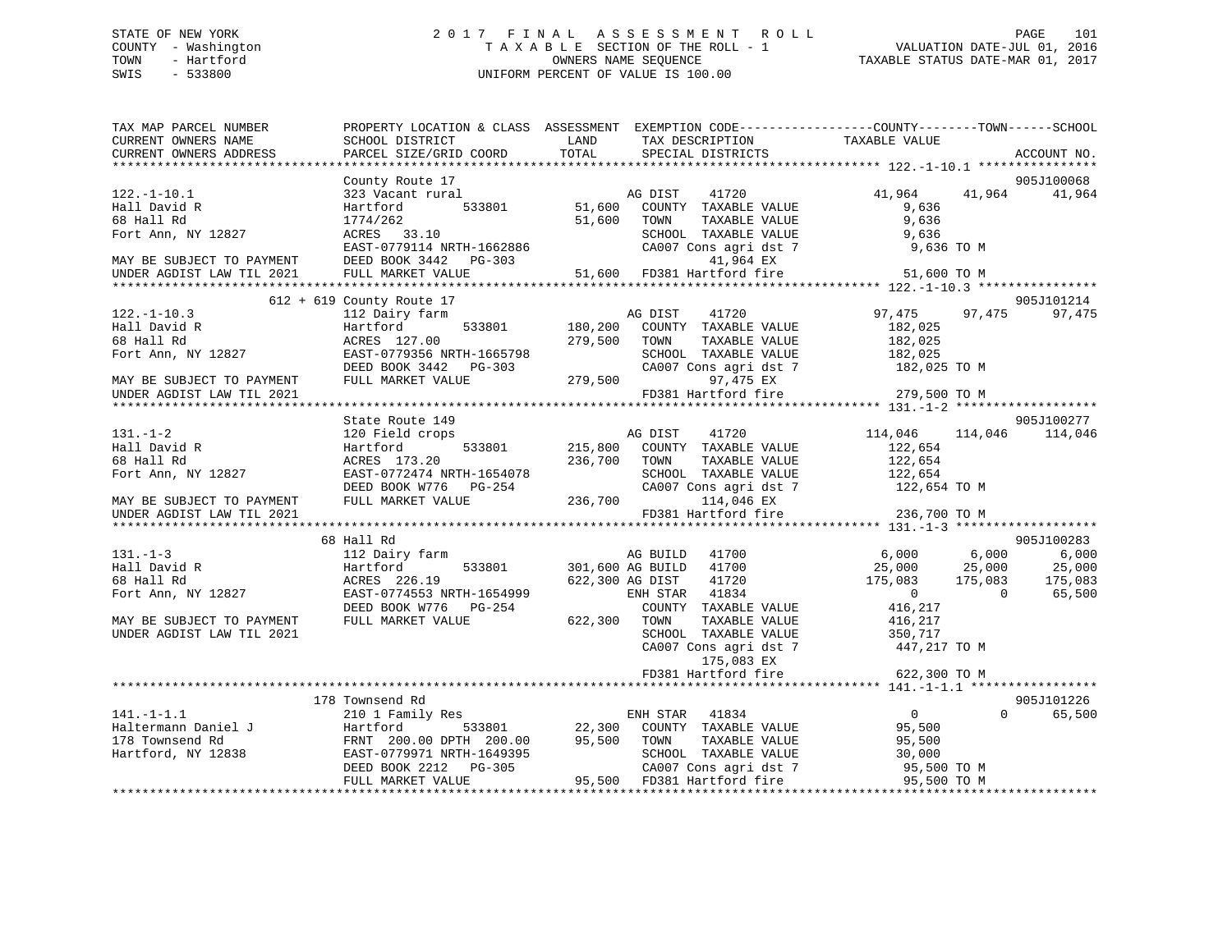# STATE OF NEW YORK 2 0 1 7 F I N A L A S S E S S M E N T R O L L PAGE 101 COUNTY - Washington T A X A B L E SECTION OF THE ROLL - 1 VALUATION DATE-JUL 01, 2016 TOWN - Hartford **TAXABLE STATUS DATE-MAR 01, 2017** SWIS - 533800 UNIFORM PERCENT OF VALUE IS 100.00

| 905J100068<br>County Route 17<br>41,964<br>323 Vacant rural<br>41720<br>41,964<br>41,964<br>$122.-1-10.1$<br>AG DIST<br>533801<br>51,600 COUNTY TAXABLE VALUE<br>Hall David R<br>Hartford<br>9,636<br>68 Hall Rd<br>51,600<br>TAXABLE VALUE<br>9,636<br>1774/262<br>TOWN<br>Fort Ann, NY 12827<br>ACRES 33.10<br>SCHOOL TAXABLE VALUE<br>9,636<br>EAST-0779114 NRTH-1662886<br>CA007 Cons agri dst 7 9,636 TO M<br>MAY BE SUBJECT TO PAYMENT DEED BOOK 3442 PG-303<br>41,964 EX<br>41,964 EX<br>51,600 FD381 Hartford fire<br>UNDER AGDIST LAW TIL 2021 FULL MARKET VALUE<br>51,600 TO M<br>905J101214<br>612 + 619 County Route 17<br>$122. - 1 - 10.3$<br>97,475<br>97,475<br>112 Dairy farm<br>AG DIST<br>41720<br>97,475<br>533801<br>180,200<br>Hall David R<br>Hartford<br>COUNTY TAXABLE VALUE<br>182,025<br>279,500<br>68 Hall Rd<br>ACRES 127.00<br>TOWN<br>TAXABLE VALUE<br>182,025<br>Fort Ann, NY 12827<br>EAST-0779356 NRTH-1665798<br>SCHOOL TAXABLE VALUE<br>182,025<br>182,025 TO M<br>EASI-U77350 NKTH-1665798<br>DEED BOOK 3442 PG-303<br>CA007 Cons agri dst 7<br>279,500<br>FULL MARKET VALUE<br>97,475 EX<br>MAY BE SUBJECT TO PAYMENT<br>279,500 TO M<br>FD381 Hartford fire<br>UNDER AGDIST LAW TIL 2021<br>905J100277<br>State Route 149<br>114,046 114,046 114,046<br>$131. - 1 - 2$<br>120 Field crops<br>AG DIST 41720<br>533801 215,800 COUNTY TAXABLE VALUE<br>Hall David R<br>Hartford<br>122,654<br>236,700 TOWN<br>122,654<br>68 Hall Rd<br>ACRES 173.20<br>TAXABLE VALUE<br>122,654<br>EAST-0772474 NRTH-1654078<br>Fort Ann, NY 12827<br>SCHOOL TAXABLE VALUE<br>DEED BOOK W776 PG-254<br>CA007 Cons agri dst 7<br>122,654 TO M<br>236,700<br>FULL MARKET VALUE<br>114,046 EX<br>MAY BE SUBJECT TO PAYMENT<br>FD381 Hartford fire<br>236,700 TO M<br>UNDER AGDIST LAW TIL 2021<br>68 Hall Rd<br>905J100283<br>6,000<br>$6,000$<br>$25,000$<br>$131. - 1 - 3$<br>112 Dairy farm<br>AG BUILD 41700<br>6,000<br>533801<br>301,600 AG BUILD 41700<br>25,000<br>Hall David R<br>Hartford<br>25,000<br>175,083<br>68 Hall Rd<br>ACRES 226.19<br>622,300 AG DIST<br>41720<br>175,083<br>175,083<br>$\overline{0}$<br>65,500<br>Fort Ann, NY 12827<br>EAST-0774553 NRTH-1654999<br>ENH STAR 41834<br>$\sim$ 0<br>DEED BOOK W776 PG-254<br>COUNTY TAXABLE VALUE<br>416,217<br>622,300 TOWN<br>MAY BE SUBJECT TO PAYMENT<br>FULL MARKET VALUE<br>TAXABLE VALUE<br>416,217<br>UNDER AGDIST LAW TIL 2021<br>SCHOOL TAXABLE VALUE<br>350,717<br>1447 أ<br>CA007 Cons agri dst 7<br>447,217 TO M<br>175,083 EX<br>FD381 Hartford fire<br>622,300 TO M<br>905J101226<br>178 Townsend Rd<br>$\overline{0}$<br>$\Omega$<br>$141. -1 - 1.1$<br>210 1 Family Res<br>65,500<br>ENH STAR<br>41834<br>Haltermann Daniel J<br>178 Townsend Rd<br>Hartford, NY 12838<br>533801 22,300 COUNTY TAXABLE VALUE<br>Hartford<br>95,500<br>FRNT 200.00 DPTH 200.00 95,500 TOWN<br>EAST-0779971 NRTH-1649395 SCHOO<br>TAXABLE VALUE<br>95,500<br>SCHOOL TAXABLE VALUE<br>30,000<br>DEED BOOK 2212 PG-305<br>CA007 Cons agri dst 7<br>95,500 FD381 Hartford fire<br>95,500 TO M<br>FULL MARKET VALUE<br>95,500 TO M | TAX MAP PARCEL NUMBER<br>CURRENT OWNERS NAME | PROPERTY LOCATION & CLASS ASSESSMENT EXEMPTION CODE---------------COUNTY-------TOWN-----SCHOOL<br>SCHOOL DISTRICT | LAND  | TAX DESCRIPTION   | TAXABLE VALUE |             |
|----------------------------------------------------------------------------------------------------------------------------------------------------------------------------------------------------------------------------------------------------------------------------------------------------------------------------------------------------------------------------------------------------------------------------------------------------------------------------------------------------------------------------------------------------------------------------------------------------------------------------------------------------------------------------------------------------------------------------------------------------------------------------------------------------------------------------------------------------------------------------------------------------------------------------------------------------------------------------------------------------------------------------------------------------------------------------------------------------------------------------------------------------------------------------------------------------------------------------------------------------------------------------------------------------------------------------------------------------------------------------------------------------------------------------------------------------------------------------------------------------------------------------------------------------------------------------------------------------------------------------------------------------------------------------------------------------------------------------------------------------------------------------------------------------------------------------------------------------------------------------------------------------------------------------------------------------------------------------------------------------------------------------------------------------------------------------------------------------------------------------------------------------------------------------------------------------------------------------------------------------------------------------------------------------------------------------------------------------------------------------------------------------------------------------------------------------------------------------------------------------------------------------------------------------------------------------------------------------------------------------------------------------------------------------------------------------------------------------------------------------------------------------------------------------------------------------------------------------------------------------------------------------------------------------------------------------------------------------------------------------------------------------------------------------------------------------------------------------------------------|----------------------------------------------|-------------------------------------------------------------------------------------------------------------------|-------|-------------------|---------------|-------------|
|                                                                                                                                                                                                                                                                                                                                                                                                                                                                                                                                                                                                                                                                                                                                                                                                                                                                                                                                                                                                                                                                                                                                                                                                                                                                                                                                                                                                                                                                                                                                                                                                                                                                                                                                                                                                                                                                                                                                                                                                                                                                                                                                                                                                                                                                                                                                                                                                                                                                                                                                                                                                                                                                                                                                                                                                                                                                                                                                                                                                                                                                                                                      | CURRENT OWNERS ADDRESS                       | PARCEL SIZE/GRID COORD                                                                                            | TOTAL | SPECIAL DISTRICTS |               | ACCOUNT NO. |
|                                                                                                                                                                                                                                                                                                                                                                                                                                                                                                                                                                                                                                                                                                                                                                                                                                                                                                                                                                                                                                                                                                                                                                                                                                                                                                                                                                                                                                                                                                                                                                                                                                                                                                                                                                                                                                                                                                                                                                                                                                                                                                                                                                                                                                                                                                                                                                                                                                                                                                                                                                                                                                                                                                                                                                                                                                                                                                                                                                                                                                                                                                                      |                                              |                                                                                                                   |       |                   |               |             |
|                                                                                                                                                                                                                                                                                                                                                                                                                                                                                                                                                                                                                                                                                                                                                                                                                                                                                                                                                                                                                                                                                                                                                                                                                                                                                                                                                                                                                                                                                                                                                                                                                                                                                                                                                                                                                                                                                                                                                                                                                                                                                                                                                                                                                                                                                                                                                                                                                                                                                                                                                                                                                                                                                                                                                                                                                                                                                                                                                                                                                                                                                                                      |                                              |                                                                                                                   |       |                   |               |             |
|                                                                                                                                                                                                                                                                                                                                                                                                                                                                                                                                                                                                                                                                                                                                                                                                                                                                                                                                                                                                                                                                                                                                                                                                                                                                                                                                                                                                                                                                                                                                                                                                                                                                                                                                                                                                                                                                                                                                                                                                                                                                                                                                                                                                                                                                                                                                                                                                                                                                                                                                                                                                                                                                                                                                                                                                                                                                                                                                                                                                                                                                                                                      |                                              |                                                                                                                   |       |                   |               |             |
|                                                                                                                                                                                                                                                                                                                                                                                                                                                                                                                                                                                                                                                                                                                                                                                                                                                                                                                                                                                                                                                                                                                                                                                                                                                                                                                                                                                                                                                                                                                                                                                                                                                                                                                                                                                                                                                                                                                                                                                                                                                                                                                                                                                                                                                                                                                                                                                                                                                                                                                                                                                                                                                                                                                                                                                                                                                                                                                                                                                                                                                                                                                      |                                              |                                                                                                                   |       |                   |               |             |
|                                                                                                                                                                                                                                                                                                                                                                                                                                                                                                                                                                                                                                                                                                                                                                                                                                                                                                                                                                                                                                                                                                                                                                                                                                                                                                                                                                                                                                                                                                                                                                                                                                                                                                                                                                                                                                                                                                                                                                                                                                                                                                                                                                                                                                                                                                                                                                                                                                                                                                                                                                                                                                                                                                                                                                                                                                                                                                                                                                                                                                                                                                                      |                                              |                                                                                                                   |       |                   |               |             |
|                                                                                                                                                                                                                                                                                                                                                                                                                                                                                                                                                                                                                                                                                                                                                                                                                                                                                                                                                                                                                                                                                                                                                                                                                                                                                                                                                                                                                                                                                                                                                                                                                                                                                                                                                                                                                                                                                                                                                                                                                                                                                                                                                                                                                                                                                                                                                                                                                                                                                                                                                                                                                                                                                                                                                                                                                                                                                                                                                                                                                                                                                                                      |                                              |                                                                                                                   |       |                   |               |             |
|                                                                                                                                                                                                                                                                                                                                                                                                                                                                                                                                                                                                                                                                                                                                                                                                                                                                                                                                                                                                                                                                                                                                                                                                                                                                                                                                                                                                                                                                                                                                                                                                                                                                                                                                                                                                                                                                                                                                                                                                                                                                                                                                                                                                                                                                                                                                                                                                                                                                                                                                                                                                                                                                                                                                                                                                                                                                                                                                                                                                                                                                                                                      |                                              |                                                                                                                   |       |                   |               |             |
|                                                                                                                                                                                                                                                                                                                                                                                                                                                                                                                                                                                                                                                                                                                                                                                                                                                                                                                                                                                                                                                                                                                                                                                                                                                                                                                                                                                                                                                                                                                                                                                                                                                                                                                                                                                                                                                                                                                                                                                                                                                                                                                                                                                                                                                                                                                                                                                                                                                                                                                                                                                                                                                                                                                                                                                                                                                                                                                                                                                                                                                                                                                      |                                              |                                                                                                                   |       |                   |               |             |
|                                                                                                                                                                                                                                                                                                                                                                                                                                                                                                                                                                                                                                                                                                                                                                                                                                                                                                                                                                                                                                                                                                                                                                                                                                                                                                                                                                                                                                                                                                                                                                                                                                                                                                                                                                                                                                                                                                                                                                                                                                                                                                                                                                                                                                                                                                                                                                                                                                                                                                                                                                                                                                                                                                                                                                                                                                                                                                                                                                                                                                                                                                                      |                                              |                                                                                                                   |       |                   |               |             |
|                                                                                                                                                                                                                                                                                                                                                                                                                                                                                                                                                                                                                                                                                                                                                                                                                                                                                                                                                                                                                                                                                                                                                                                                                                                                                                                                                                                                                                                                                                                                                                                                                                                                                                                                                                                                                                                                                                                                                                                                                                                                                                                                                                                                                                                                                                                                                                                                                                                                                                                                                                                                                                                                                                                                                                                                                                                                                                                                                                                                                                                                                                                      |                                              |                                                                                                                   |       |                   |               |             |
|                                                                                                                                                                                                                                                                                                                                                                                                                                                                                                                                                                                                                                                                                                                                                                                                                                                                                                                                                                                                                                                                                                                                                                                                                                                                                                                                                                                                                                                                                                                                                                                                                                                                                                                                                                                                                                                                                                                                                                                                                                                                                                                                                                                                                                                                                                                                                                                                                                                                                                                                                                                                                                                                                                                                                                                                                                                                                                                                                                                                                                                                                                                      |                                              |                                                                                                                   |       |                   |               |             |
|                                                                                                                                                                                                                                                                                                                                                                                                                                                                                                                                                                                                                                                                                                                                                                                                                                                                                                                                                                                                                                                                                                                                                                                                                                                                                                                                                                                                                                                                                                                                                                                                                                                                                                                                                                                                                                                                                                                                                                                                                                                                                                                                                                                                                                                                                                                                                                                                                                                                                                                                                                                                                                                                                                                                                                                                                                                                                                                                                                                                                                                                                                                      |                                              |                                                                                                                   |       |                   |               |             |
|                                                                                                                                                                                                                                                                                                                                                                                                                                                                                                                                                                                                                                                                                                                                                                                                                                                                                                                                                                                                                                                                                                                                                                                                                                                                                                                                                                                                                                                                                                                                                                                                                                                                                                                                                                                                                                                                                                                                                                                                                                                                                                                                                                                                                                                                                                                                                                                                                                                                                                                                                                                                                                                                                                                                                                                                                                                                                                                                                                                                                                                                                                                      |                                              |                                                                                                                   |       |                   |               |             |
|                                                                                                                                                                                                                                                                                                                                                                                                                                                                                                                                                                                                                                                                                                                                                                                                                                                                                                                                                                                                                                                                                                                                                                                                                                                                                                                                                                                                                                                                                                                                                                                                                                                                                                                                                                                                                                                                                                                                                                                                                                                                                                                                                                                                                                                                                                                                                                                                                                                                                                                                                                                                                                                                                                                                                                                                                                                                                                                                                                                                                                                                                                                      |                                              |                                                                                                                   |       |                   |               |             |
|                                                                                                                                                                                                                                                                                                                                                                                                                                                                                                                                                                                                                                                                                                                                                                                                                                                                                                                                                                                                                                                                                                                                                                                                                                                                                                                                                                                                                                                                                                                                                                                                                                                                                                                                                                                                                                                                                                                                                                                                                                                                                                                                                                                                                                                                                                                                                                                                                                                                                                                                                                                                                                                                                                                                                                                                                                                                                                                                                                                                                                                                                                                      |                                              |                                                                                                                   |       |                   |               |             |
|                                                                                                                                                                                                                                                                                                                                                                                                                                                                                                                                                                                                                                                                                                                                                                                                                                                                                                                                                                                                                                                                                                                                                                                                                                                                                                                                                                                                                                                                                                                                                                                                                                                                                                                                                                                                                                                                                                                                                                                                                                                                                                                                                                                                                                                                                                                                                                                                                                                                                                                                                                                                                                                                                                                                                                                                                                                                                                                                                                                                                                                                                                                      |                                              |                                                                                                                   |       |                   |               |             |
|                                                                                                                                                                                                                                                                                                                                                                                                                                                                                                                                                                                                                                                                                                                                                                                                                                                                                                                                                                                                                                                                                                                                                                                                                                                                                                                                                                                                                                                                                                                                                                                                                                                                                                                                                                                                                                                                                                                                                                                                                                                                                                                                                                                                                                                                                                                                                                                                                                                                                                                                                                                                                                                                                                                                                                                                                                                                                                                                                                                                                                                                                                                      |                                              |                                                                                                                   |       |                   |               |             |
|                                                                                                                                                                                                                                                                                                                                                                                                                                                                                                                                                                                                                                                                                                                                                                                                                                                                                                                                                                                                                                                                                                                                                                                                                                                                                                                                                                                                                                                                                                                                                                                                                                                                                                                                                                                                                                                                                                                                                                                                                                                                                                                                                                                                                                                                                                                                                                                                                                                                                                                                                                                                                                                                                                                                                                                                                                                                                                                                                                                                                                                                                                                      |                                              |                                                                                                                   |       |                   |               |             |
|                                                                                                                                                                                                                                                                                                                                                                                                                                                                                                                                                                                                                                                                                                                                                                                                                                                                                                                                                                                                                                                                                                                                                                                                                                                                                                                                                                                                                                                                                                                                                                                                                                                                                                                                                                                                                                                                                                                                                                                                                                                                                                                                                                                                                                                                                                                                                                                                                                                                                                                                                                                                                                                                                                                                                                                                                                                                                                                                                                                                                                                                                                                      |                                              |                                                                                                                   |       |                   |               |             |
|                                                                                                                                                                                                                                                                                                                                                                                                                                                                                                                                                                                                                                                                                                                                                                                                                                                                                                                                                                                                                                                                                                                                                                                                                                                                                                                                                                                                                                                                                                                                                                                                                                                                                                                                                                                                                                                                                                                                                                                                                                                                                                                                                                                                                                                                                                                                                                                                                                                                                                                                                                                                                                                                                                                                                                                                                                                                                                                                                                                                                                                                                                                      |                                              |                                                                                                                   |       |                   |               |             |
|                                                                                                                                                                                                                                                                                                                                                                                                                                                                                                                                                                                                                                                                                                                                                                                                                                                                                                                                                                                                                                                                                                                                                                                                                                                                                                                                                                                                                                                                                                                                                                                                                                                                                                                                                                                                                                                                                                                                                                                                                                                                                                                                                                                                                                                                                                                                                                                                                                                                                                                                                                                                                                                                                                                                                                                                                                                                                                                                                                                                                                                                                                                      |                                              |                                                                                                                   |       |                   |               |             |
|                                                                                                                                                                                                                                                                                                                                                                                                                                                                                                                                                                                                                                                                                                                                                                                                                                                                                                                                                                                                                                                                                                                                                                                                                                                                                                                                                                                                                                                                                                                                                                                                                                                                                                                                                                                                                                                                                                                                                                                                                                                                                                                                                                                                                                                                                                                                                                                                                                                                                                                                                                                                                                                                                                                                                                                                                                                                                                                                                                                                                                                                                                                      |                                              |                                                                                                                   |       |                   |               |             |
|                                                                                                                                                                                                                                                                                                                                                                                                                                                                                                                                                                                                                                                                                                                                                                                                                                                                                                                                                                                                                                                                                                                                                                                                                                                                                                                                                                                                                                                                                                                                                                                                                                                                                                                                                                                                                                                                                                                                                                                                                                                                                                                                                                                                                                                                                                                                                                                                                                                                                                                                                                                                                                                                                                                                                                                                                                                                                                                                                                                                                                                                                                                      |                                              |                                                                                                                   |       |                   |               |             |
|                                                                                                                                                                                                                                                                                                                                                                                                                                                                                                                                                                                                                                                                                                                                                                                                                                                                                                                                                                                                                                                                                                                                                                                                                                                                                                                                                                                                                                                                                                                                                                                                                                                                                                                                                                                                                                                                                                                                                                                                                                                                                                                                                                                                                                                                                                                                                                                                                                                                                                                                                                                                                                                                                                                                                                                                                                                                                                                                                                                                                                                                                                                      |                                              |                                                                                                                   |       |                   |               |             |
|                                                                                                                                                                                                                                                                                                                                                                                                                                                                                                                                                                                                                                                                                                                                                                                                                                                                                                                                                                                                                                                                                                                                                                                                                                                                                                                                                                                                                                                                                                                                                                                                                                                                                                                                                                                                                                                                                                                                                                                                                                                                                                                                                                                                                                                                                                                                                                                                                                                                                                                                                                                                                                                                                                                                                                                                                                                                                                                                                                                                                                                                                                                      |                                              |                                                                                                                   |       |                   |               |             |
|                                                                                                                                                                                                                                                                                                                                                                                                                                                                                                                                                                                                                                                                                                                                                                                                                                                                                                                                                                                                                                                                                                                                                                                                                                                                                                                                                                                                                                                                                                                                                                                                                                                                                                                                                                                                                                                                                                                                                                                                                                                                                                                                                                                                                                                                                                                                                                                                                                                                                                                                                                                                                                                                                                                                                                                                                                                                                                                                                                                                                                                                                                                      |                                              |                                                                                                                   |       |                   |               |             |
|                                                                                                                                                                                                                                                                                                                                                                                                                                                                                                                                                                                                                                                                                                                                                                                                                                                                                                                                                                                                                                                                                                                                                                                                                                                                                                                                                                                                                                                                                                                                                                                                                                                                                                                                                                                                                                                                                                                                                                                                                                                                                                                                                                                                                                                                                                                                                                                                                                                                                                                                                                                                                                                                                                                                                                                                                                                                                                                                                                                                                                                                                                                      |                                              |                                                                                                                   |       |                   |               |             |
|                                                                                                                                                                                                                                                                                                                                                                                                                                                                                                                                                                                                                                                                                                                                                                                                                                                                                                                                                                                                                                                                                                                                                                                                                                                                                                                                                                                                                                                                                                                                                                                                                                                                                                                                                                                                                                                                                                                                                                                                                                                                                                                                                                                                                                                                                                                                                                                                                                                                                                                                                                                                                                                                                                                                                                                                                                                                                                                                                                                                                                                                                                                      |                                              |                                                                                                                   |       |                   |               |             |
|                                                                                                                                                                                                                                                                                                                                                                                                                                                                                                                                                                                                                                                                                                                                                                                                                                                                                                                                                                                                                                                                                                                                                                                                                                                                                                                                                                                                                                                                                                                                                                                                                                                                                                                                                                                                                                                                                                                                                                                                                                                                                                                                                                                                                                                                                                                                                                                                                                                                                                                                                                                                                                                                                                                                                                                                                                                                                                                                                                                                                                                                                                                      |                                              |                                                                                                                   |       |                   |               |             |
|                                                                                                                                                                                                                                                                                                                                                                                                                                                                                                                                                                                                                                                                                                                                                                                                                                                                                                                                                                                                                                                                                                                                                                                                                                                                                                                                                                                                                                                                                                                                                                                                                                                                                                                                                                                                                                                                                                                                                                                                                                                                                                                                                                                                                                                                                                                                                                                                                                                                                                                                                                                                                                                                                                                                                                                                                                                                                                                                                                                                                                                                                                                      |                                              |                                                                                                                   |       |                   |               |             |
|                                                                                                                                                                                                                                                                                                                                                                                                                                                                                                                                                                                                                                                                                                                                                                                                                                                                                                                                                                                                                                                                                                                                                                                                                                                                                                                                                                                                                                                                                                                                                                                                                                                                                                                                                                                                                                                                                                                                                                                                                                                                                                                                                                                                                                                                                                                                                                                                                                                                                                                                                                                                                                                                                                                                                                                                                                                                                                                                                                                                                                                                                                                      |                                              |                                                                                                                   |       |                   |               |             |
|                                                                                                                                                                                                                                                                                                                                                                                                                                                                                                                                                                                                                                                                                                                                                                                                                                                                                                                                                                                                                                                                                                                                                                                                                                                                                                                                                                                                                                                                                                                                                                                                                                                                                                                                                                                                                                                                                                                                                                                                                                                                                                                                                                                                                                                                                                                                                                                                                                                                                                                                                                                                                                                                                                                                                                                                                                                                                                                                                                                                                                                                                                                      |                                              |                                                                                                                   |       |                   |               |             |
|                                                                                                                                                                                                                                                                                                                                                                                                                                                                                                                                                                                                                                                                                                                                                                                                                                                                                                                                                                                                                                                                                                                                                                                                                                                                                                                                                                                                                                                                                                                                                                                                                                                                                                                                                                                                                                                                                                                                                                                                                                                                                                                                                                                                                                                                                                                                                                                                                                                                                                                                                                                                                                                                                                                                                                                                                                                                                                                                                                                                                                                                                                                      |                                              |                                                                                                                   |       |                   |               |             |
|                                                                                                                                                                                                                                                                                                                                                                                                                                                                                                                                                                                                                                                                                                                                                                                                                                                                                                                                                                                                                                                                                                                                                                                                                                                                                                                                                                                                                                                                                                                                                                                                                                                                                                                                                                                                                                                                                                                                                                                                                                                                                                                                                                                                                                                                                                                                                                                                                                                                                                                                                                                                                                                                                                                                                                                                                                                                                                                                                                                                                                                                                                                      |                                              |                                                                                                                   |       |                   |               |             |
|                                                                                                                                                                                                                                                                                                                                                                                                                                                                                                                                                                                                                                                                                                                                                                                                                                                                                                                                                                                                                                                                                                                                                                                                                                                                                                                                                                                                                                                                                                                                                                                                                                                                                                                                                                                                                                                                                                                                                                                                                                                                                                                                                                                                                                                                                                                                                                                                                                                                                                                                                                                                                                                                                                                                                                                                                                                                                                                                                                                                                                                                                                                      |                                              |                                                                                                                   |       |                   |               |             |
|                                                                                                                                                                                                                                                                                                                                                                                                                                                                                                                                                                                                                                                                                                                                                                                                                                                                                                                                                                                                                                                                                                                                                                                                                                                                                                                                                                                                                                                                                                                                                                                                                                                                                                                                                                                                                                                                                                                                                                                                                                                                                                                                                                                                                                                                                                                                                                                                                                                                                                                                                                                                                                                                                                                                                                                                                                                                                                                                                                                                                                                                                                                      |                                              |                                                                                                                   |       |                   |               |             |
|                                                                                                                                                                                                                                                                                                                                                                                                                                                                                                                                                                                                                                                                                                                                                                                                                                                                                                                                                                                                                                                                                                                                                                                                                                                                                                                                                                                                                                                                                                                                                                                                                                                                                                                                                                                                                                                                                                                                                                                                                                                                                                                                                                                                                                                                                                                                                                                                                                                                                                                                                                                                                                                                                                                                                                                                                                                                                                                                                                                                                                                                                                                      |                                              |                                                                                                                   |       |                   |               |             |
|                                                                                                                                                                                                                                                                                                                                                                                                                                                                                                                                                                                                                                                                                                                                                                                                                                                                                                                                                                                                                                                                                                                                                                                                                                                                                                                                                                                                                                                                                                                                                                                                                                                                                                                                                                                                                                                                                                                                                                                                                                                                                                                                                                                                                                                                                                                                                                                                                                                                                                                                                                                                                                                                                                                                                                                                                                                                                                                                                                                                                                                                                                                      |                                              |                                                                                                                   |       |                   |               |             |
|                                                                                                                                                                                                                                                                                                                                                                                                                                                                                                                                                                                                                                                                                                                                                                                                                                                                                                                                                                                                                                                                                                                                                                                                                                                                                                                                                                                                                                                                                                                                                                                                                                                                                                                                                                                                                                                                                                                                                                                                                                                                                                                                                                                                                                                                                                                                                                                                                                                                                                                                                                                                                                                                                                                                                                                                                                                                                                                                                                                                                                                                                                                      |                                              |                                                                                                                   |       |                   |               |             |
|                                                                                                                                                                                                                                                                                                                                                                                                                                                                                                                                                                                                                                                                                                                                                                                                                                                                                                                                                                                                                                                                                                                                                                                                                                                                                                                                                                                                                                                                                                                                                                                                                                                                                                                                                                                                                                                                                                                                                                                                                                                                                                                                                                                                                                                                                                                                                                                                                                                                                                                                                                                                                                                                                                                                                                                                                                                                                                                                                                                                                                                                                                                      |                                              |                                                                                                                   |       |                   |               |             |
|                                                                                                                                                                                                                                                                                                                                                                                                                                                                                                                                                                                                                                                                                                                                                                                                                                                                                                                                                                                                                                                                                                                                                                                                                                                                                                                                                                                                                                                                                                                                                                                                                                                                                                                                                                                                                                                                                                                                                                                                                                                                                                                                                                                                                                                                                                                                                                                                                                                                                                                                                                                                                                                                                                                                                                                                                                                                                                                                                                                                                                                                                                                      |                                              |                                                                                                                   |       |                   |               |             |
|                                                                                                                                                                                                                                                                                                                                                                                                                                                                                                                                                                                                                                                                                                                                                                                                                                                                                                                                                                                                                                                                                                                                                                                                                                                                                                                                                                                                                                                                                                                                                                                                                                                                                                                                                                                                                                                                                                                                                                                                                                                                                                                                                                                                                                                                                                                                                                                                                                                                                                                                                                                                                                                                                                                                                                                                                                                                                                                                                                                                                                                                                                                      |                                              |                                                                                                                   |       |                   |               |             |
|                                                                                                                                                                                                                                                                                                                                                                                                                                                                                                                                                                                                                                                                                                                                                                                                                                                                                                                                                                                                                                                                                                                                                                                                                                                                                                                                                                                                                                                                                                                                                                                                                                                                                                                                                                                                                                                                                                                                                                                                                                                                                                                                                                                                                                                                                                                                                                                                                                                                                                                                                                                                                                                                                                                                                                                                                                                                                                                                                                                                                                                                                                                      |                                              |                                                                                                                   |       |                   |               |             |
|                                                                                                                                                                                                                                                                                                                                                                                                                                                                                                                                                                                                                                                                                                                                                                                                                                                                                                                                                                                                                                                                                                                                                                                                                                                                                                                                                                                                                                                                                                                                                                                                                                                                                                                                                                                                                                                                                                                                                                                                                                                                                                                                                                                                                                                                                                                                                                                                                                                                                                                                                                                                                                                                                                                                                                                                                                                                                                                                                                                                                                                                                                                      |                                              |                                                                                                                   |       |                   |               |             |
|                                                                                                                                                                                                                                                                                                                                                                                                                                                                                                                                                                                                                                                                                                                                                                                                                                                                                                                                                                                                                                                                                                                                                                                                                                                                                                                                                                                                                                                                                                                                                                                                                                                                                                                                                                                                                                                                                                                                                                                                                                                                                                                                                                                                                                                                                                                                                                                                                                                                                                                                                                                                                                                                                                                                                                                                                                                                                                                                                                                                                                                                                                                      |                                              |                                                                                                                   |       |                   |               |             |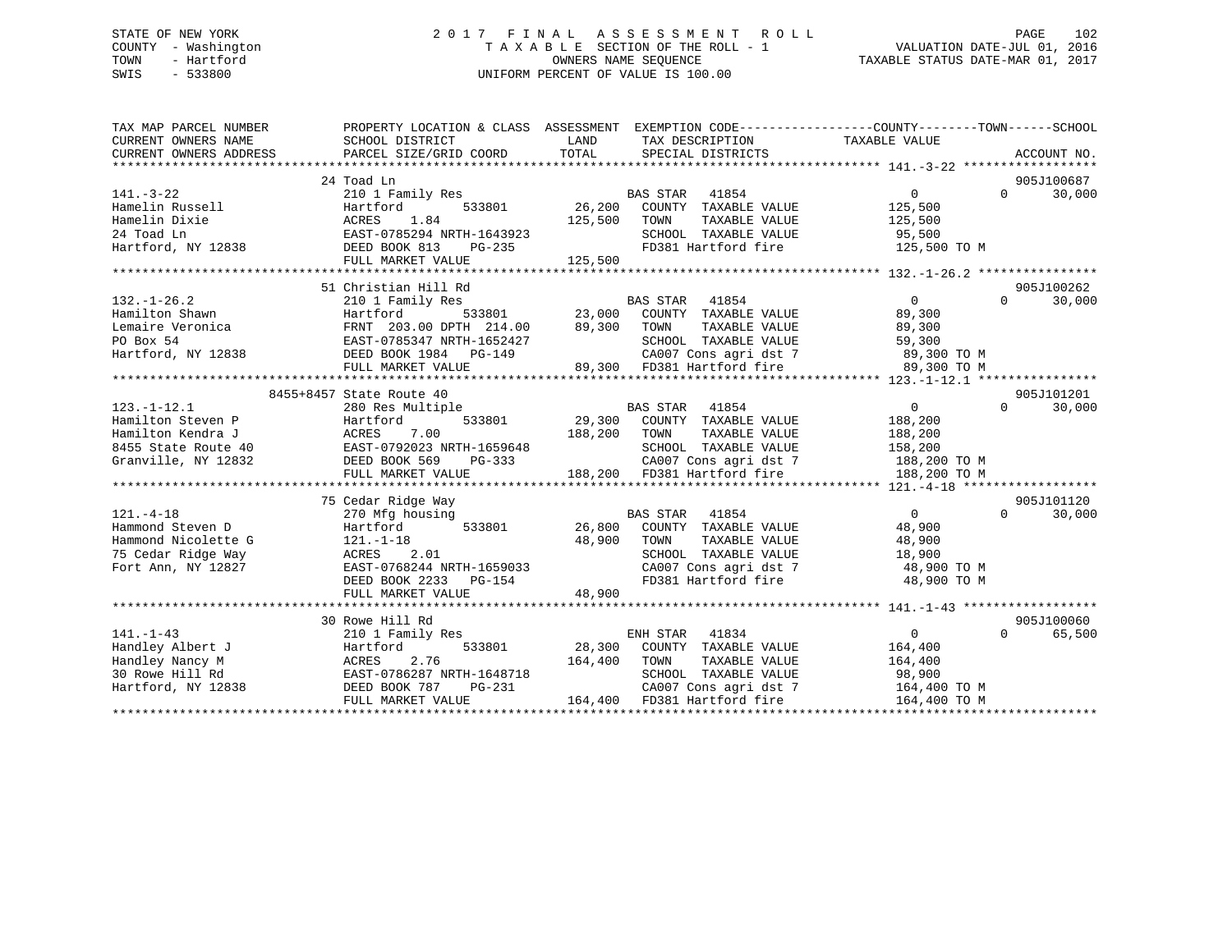# STATE OF NEW YORK 2 0 1 7 F I N A L A S S E S S M E N T R O L L PAGE 102 COUNTY - Washington T A X A B L E SECTION OF THE ROLL - 1 VALUATION DATE-JUL 01, 2016 TOWN - Hartford OWNERS NAME SEQUENCE TAXABLE STATUS DATE-MAR 01, 2017 SWIS - 533800 UNIFORM PERCENT OF VALUE IS 100.00

| TAX MAP PARCEL NUMBER  | PROPERTY LOCATION & CLASS ASSESSMENT      |                                        |                                         |
|------------------------|-------------------------------------------|----------------------------------------|-----------------------------------------|
| CURRENT OWNERS NAME    | SCHOOL DISTRICT                           | LAND<br>TAX DESCRIPTION                | TAXABLE VALUE                           |
| CURRENT OWNERS ADDRESS | PARCEL SIZE/GRID COORD                    | TOTAL<br>SPECIAL DISTRICTS             | ACCOUNT NO.                             |
|                        |                                           |                                        |                                         |
|                        | 24 Toad Ln                                |                                        | 905J100687                              |
| $141. - 3 - 22$        | 210 1 Family Res                          | BAS STAR<br>41854                      | $0 \qquad \qquad$<br>30,000<br>$\Omega$ |
| Hamelin Russell        | 533801<br>Hartford                        | 26,200 COUNTY TAXABLE VALUE            | 125,500                                 |
| Hamelin Dixie          | 1.84<br>ACRES                             | 125,500<br>TOWN<br>TAXABLE VALUE       | 125,500                                 |
| 24 Toad Ln             | EAST-0785294 NRTH-1643923                 | SCHOOL TAXABLE VALUE                   | 95,500                                  |
| Hartford, NY 12838     | DEED BOOK 813<br>PG-235                   | FD381 Hartford fire                    | 125,500 TO M                            |
|                        | FULL MARKET VALUE                         | 125,500                                |                                         |
|                        |                                           |                                        |                                         |
|                        | 51 Christian Hill Rd                      |                                        | 905J100262                              |
| $132. - 1 - 26.2$      | 210 1 Family Res                          | <b>BAS STAR</b><br>41854               | $\overline{0}$<br>$\Omega$<br>30,000    |
| Hamilton Shawn         |                                           |                                        | 89,300                                  |
| Lemaire Veronica       |                                           |                                        | 89,300                                  |
| PO Box 54              |                                           |                                        |                                         |
| Hartford, NY 12838     | DEED BOOK 1984 PG-149                     |                                        |                                         |
|                        | FULL MARKET VALUE                         |                                        |                                         |
|                        |                                           |                                        |                                         |
|                        | 8455+8457 State Route 40                  |                                        | 905J101201                              |
| $123. - 1 - 12.1$      | 280 Res Multiple                          | BAS STAR 41854                         | 0<br>$\Omega$<br>30,000                 |
| Hamilton Steven P      | Hartford<br>533801                        | 29,300 COUNTY TAXABLE VALUE            | 188,200                                 |
| Hamilton Kendra J      | ACRES 7.00<br>3<br>2 DEED BOOK 569 PG-333 | 188,200<br>TOWN<br>TAXABLE VALUE       | 188,200                                 |
| 8455 State Route 40    |                                           | SCHOOL TAXABLE VALUE                   | 158,200                                 |
| Granville, NY 12832    |                                           | $\mathcal{L}$<br>CA007 Cons agri dst 7 | 188,200 TO M                            |
|                        | FULL MARKET VALUE                         | 188,200 FD381 Hartford fire            | 188,200 TO M                            |
|                        |                                           |                                        |                                         |
|                        | 75 Cedar Ridge Way                        |                                        | 905J101120                              |
| $121. - 4 - 18$        | 270 Mfg housing                           | <b>BAS STAR</b><br>41854               | $\Omega$<br>$\Omega$<br>30,000          |
| Hammond Steven D       | Hartford<br>533801                        | 26,800 COUNTY TAXABLE VALUE            | 48,900                                  |
| Hammond Nicolette G    | $121. - 1 - 18$                           | 48,900<br>TAXABLE VALUE<br>TOWN        | 48,900                                  |
| 75 Cedar Ridge Way     | 2.01<br>ACRES                             | SCHOOL TAXABLE VALUE                   | 18,900                                  |
| Fort Ann, NY 12827     | EAST-0768244 NRTH-1659033                 | CA007 Cons agri dst 7                  | 48,900 TO M                             |
|                        | DEED BOOK 2233<br>PG-154                  | FD381 Hartford fire                    | 48,900 TO M                             |
|                        | FULL MARKET VALUE                         | 48,900                                 |                                         |
|                        |                                           |                                        |                                         |
|                        | 30 Rowe Hill Rd                           |                                        | 905J100060                              |
| $141. - 1 - 43$        | 210 1 Family Res                          | ENH STAR<br>41834                      | $\overline{0}$<br>65,500<br>$\Omega$    |
| Handley Albert J       | Hartford<br>533801                        | 28,300<br>COUNTY TAXABLE VALUE         | 164,400                                 |
| Handley Nancy M        | ACRES 2.76<br>EAST-0786287 NRTH-1648718   | 164,400<br>TOWN<br>TAXABLE VALUE       | 164,400                                 |
| 30 Rowe Hill Rd        |                                           | SCHOOL TAXABLE VALUE                   | 98,900                                  |
| Hartford, NY 12838     | DEED BOOK 787<br>PG-231                   | CA007 Cons agri dst 7                  | 164,400 TO M                            |
|                        | FULL MARKET VALUE                         | 164,400 FD381 Hartford fire            | 164,400 TO M                            |
|                        |                                           |                                        |                                         |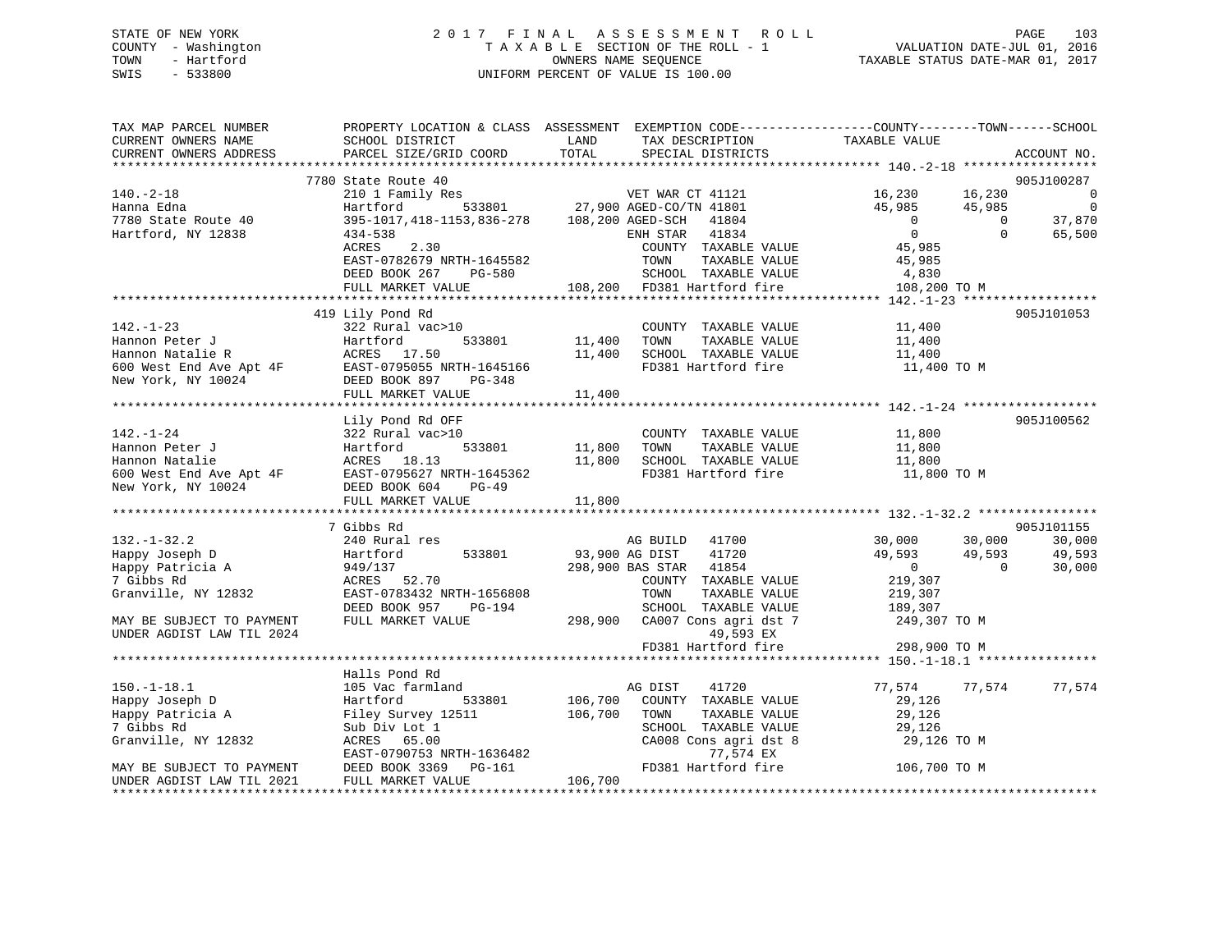# STATE OF NEW YORK 2 0 1 7 F I N A L A S S E S S M E N T R O L L PAGE 103 COUNTY - Washington T A X A B L E SECTION OF THE ROLL - 1 VALUATION DATE-JUL 01, 2016 TOWN - Hartford OWNERS NAME SEQUENCE TAXABLE STATUS DATE-MAR 01, 2017 SWIS - 533800 UNIFORM PERCENT OF VALUE IS 100.00

| TAX MAP PARCEL NUMBER<br>CURRENT OWNERS NAME<br>CURRENT OWNERS ADDRESS | SCHOOL DISTRICT<br>PARCEL SIZE/GRID COORD                                                                                                                              | PROPERTY LOCATION & CLASS ASSESSMENT EXEMPTION CODE----------------COUNTY-------TOWN-----SCHOOL<br>LAND<br>TAX DESCRIPTION<br>TOTAL<br>SPECIAL DISTRICTS | TAXABLE VALUE<br>ACCOUNT NO.                                                                     |
|------------------------------------------------------------------------|------------------------------------------------------------------------------------------------------------------------------------------------------------------------|----------------------------------------------------------------------------------------------------------------------------------------------------------|--------------------------------------------------------------------------------------------------|
|                                                                        |                                                                                                                                                                        |                                                                                                                                                          |                                                                                                  |
|                                                                        | 7780 State Route 40                                                                                                                                                    |                                                                                                                                                          | 905J100287                                                                                       |
| $140. - 2 - 18$<br>Hanna Edna                                          | 210 1 Family Res<br>Hartford                                                                                                                                           | VET WAR CT 41121<br>533801 27,900 AGED-CO/TN 41801                                                                                                       | 16,230<br>16,230<br>$\overline{0}$<br>$\overline{0}$<br>45,985<br>45,985                         |
| 7780 State Route 40<br>Hartford, NY 12838                              | 395-1017, 418-1153, 836-278 108, 200 AGED-SCH<br>$434 - 538$<br>2.30<br>ACRES                                                                                          | 41804<br>41834<br>ENH STAR<br>COUNTY TAXABLE VALUE                                                                                                       | 37,870<br>$\overline{0}$<br>$\Omega$<br>$\overline{0}$<br>65,500<br>$\Omega$<br>45,985           |
|                                                                        | EAST-0782679 NRTH-1645582<br>DEED BOOK 267<br>PG-580<br>FULL MARKET VALUE                                                                                              | TOWN<br>TAXABLE VALUE<br>SCHOOL TAXABLE VALUE<br>108,200 FD381 Hartford fire                                                                             | 45,985<br>4,830<br>108,200 TO M                                                                  |
|                                                                        |                                                                                                                                                                        |                                                                                                                                                          |                                                                                                  |
| $142. - 1 - 23$                                                        | 419 Lily Pond Rd<br>322 Rural vac>10                                                                                                                                   | COUNTY TAXABLE VALUE                                                                                                                                     | 905J101053<br>11,400                                                                             |
|                                                                        |                                                                                                                                                                        | 11,400<br>TOWN<br>TAXABLE VALUE<br>11,400<br>SCHOOL TAXABLE VALUE<br>FD381 Hartford fire                                                                 | 11,400<br>11,400                                                                                 |
|                                                                        | Hannon Peter J<br>Hannon Natalie R<br>600 West End Ave Apt 4F<br>10024<br>Hannon Natalie R<br>EAST-0795055 NRTH-1645166<br>DEED BOOK 897<br>PG-348<br>PG-348<br>PG-348 | 11,400                                                                                                                                                   | 11,400 TO M                                                                                      |
|                                                                        |                                                                                                                                                                        |                                                                                                                                                          |                                                                                                  |
| $142. - 1 - 24$                                                        | Lily Pond Rd OFF<br>322 Rural vac>10                                                                                                                                   | COUNTY TAXABLE VALUE                                                                                                                                     | 905J100562<br>11,800                                                                             |
| Hannon Peter J<br>Hannon Natalie                                       | 533801<br>Hartford<br>ACRES 18.13                                                                                                                                      | TAXABLE VALUE<br>11,800<br>TOWN<br>SCHOOL TAXABLE VALUE<br>11,800<br>FD381 Hartford fire                                                                 | 11,800<br>11,800<br>11,800 TO M                                                                  |
|                                                                        | n 2007 Note to the RAST-0795627 NRTH-1645362<br>New York, NY 10024 DEED BOOK 604 PG-49<br>FULL MARKET VALUE                                                            | 11,800                                                                                                                                                   |                                                                                                  |
|                                                                        |                                                                                                                                                                        |                                                                                                                                                          |                                                                                                  |
|                                                                        | 7 Gibbs Rd                                                                                                                                                             |                                                                                                                                                          | 905J101155                                                                                       |
| $132. - 1 - 32.2$<br>Happy Joseph D<br>Happy Patricia A                | 240 Rural res<br>533801<br>Hartford<br>949/137                                                                                                                         | AG BUILD 41700<br>93,900 AG DIST<br>41720<br>298,900 BAS STAR 41854                                                                                      | 30,000<br>30,000<br>30,000<br>49,593<br>49,593<br>49,593<br>$\overline{0}$<br>30,000<br>$\Omega$ |
| 7 Gibbs Rd<br>Granville, NY 12832                                      | ACRES 52.70<br>EAST-0783432 NRTH-1656808<br>DEED BOOK 957<br>PG-194                                                                                                    | COUNTY TAXABLE VALUE<br>TOWN<br>TAXABLE VALUE<br>SCHOOL TAXABLE VALUE                                                                                    | 219,307<br>219,307<br>189,307                                                                    |
| MAY BE SUBJECT TO PAYMENT<br>UNDER AGDIST LAW TIL 2024                 | FULL MARKET VALUE                                                                                                                                                      | 298,900 CA007 Cons agri dst 7<br>49,593 EX                                                                                                               | 249,307 TO M                                                                                     |
|                                                                        |                                                                                                                                                                        | FD381 Hartford fire                                                                                                                                      | 298,900 TO M                                                                                     |
|                                                                        | Halls Pond Rd                                                                                                                                                          |                                                                                                                                                          |                                                                                                  |
| $150.-1-18.1$<br>Happy Joseph D                                        | 105 Vac farmland<br>Hartford<br>533801                                                                                                                                 | AG DIST<br>41720<br>106,700<br>COUNTY TAXABLE VALUE                                                                                                      | 77,574<br>77,574<br>77,574<br>29,126                                                             |
| Happy Patricia A<br>7 Gibbs Rd                                         | Filey Survey 12511<br>Sub Div Lot 1                                                                                                                                    | 106,700<br>TOWN<br>TAXABLE VALUE<br>SCHOOL TAXABLE VALUE                                                                                                 | 29,126<br>29,126                                                                                 |
| Granville, NY 12832                                                    | ACRES 65.00<br>EAST-0790753 NRTH-1636482<br>DEED BOOK 3369                                                                                                             | CA008 Cons agri dst 8<br>77,574 EX<br>FD381 Hartford fire                                                                                                | 29,126 TO M                                                                                      |
| MAY BE SUBJECT TO PAYMENT<br>UNDER AGDIST LAW TIL 2021                 | PG-161<br>FULL MARKET VALUE                                                                                                                                            | 106,700                                                                                                                                                  | 106,700 TO M                                                                                     |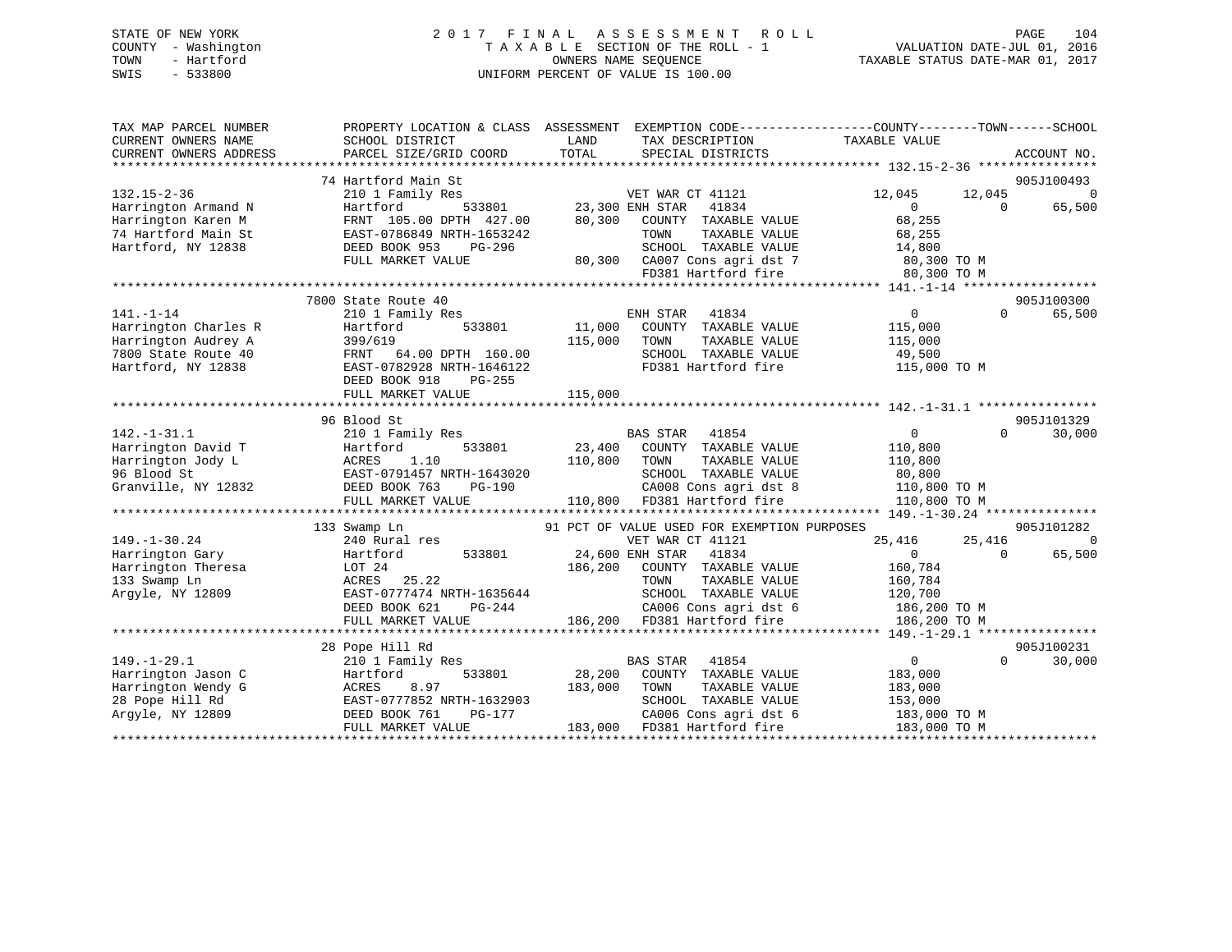# STATE OF NEW YORK 2 0 1 7 F I N A L A S S E S S M E N T R O L L PAGE 104 COUNTY - Washington T A X A B L E SECTION OF THE ROLL - 1 VALUATION DATE-JUL 01, 2016 TOWN - Hartford **TAXABLE STATUS DATE-MAR 01, 2017** SWIS - 533800 UNIFORM PERCENT OF VALUE IS 100.00

| TAX MAP PARCEL NUMBER  | PROPERTY LOCATION & CLASS ASSESSMENT EXEMPTION CODE----------------COUNTY-------TOWN------SCHOOL |                        |                                             |                       |          |                |
|------------------------|--------------------------------------------------------------------------------------------------|------------------------|---------------------------------------------|-----------------------|----------|----------------|
| CURRENT OWNERS NAME    | SCHOOL DISTRICT                                                                                  | LAND                   | TAX DESCRIPTION                             | TAXABLE VALUE         |          |                |
| CURRENT OWNERS ADDRESS | PARCEL SIZE/GRID COORD                                                                           | TOTAL                  | SPECIAL DISTRICTS                           |                       |          | ACCOUNT NO.    |
|                        |                                                                                                  |                        |                                             |                       |          |                |
|                        | 74 Hartford Main St                                                                              |                        |                                             |                       |          | 905J100493     |
| $132.15 - 2 - 36$      | 210 1 Family Res                                                                                 |                        | VET WAR CT 41121                            | 12,045                | 12,045   | $\overline{0}$ |
| Harrington Armand N    | Hartford                                                                                         | 533801 23,300 ENH STAR | 41834                                       | $\overline{0}$        | $\Omega$ | 65,500         |
| Harrington Karen M     | FRNT 105.00 DPTH 427.00                                                                          | 80,300                 | COUNTY TAXABLE VALUE                        | 68,255                |          |                |
| 74 Hartford Main St    | EAST-0786849 NRTH-1653242                                                                        |                        | TOWN<br>TAXABLE VALUE                       | 68,255                |          |                |
| Hartford, NY 12838     | DEED BOOK 953<br>PG-296                                                                          |                        | SCHOOL TAXABLE VALUE                        | 14,800<br>80,300 TO M |          |                |
|                        | FULL MARKET VALUE                                                                                |                        | 80,300 CA007 Cons agri dst 7                |                       |          |                |
|                        |                                                                                                  |                        | FD381 Hartford fire                         | 80,300 TO M           |          |                |
|                        |                                                                                                  |                        |                                             |                       |          |                |
|                        | 7800 State Route 40                                                                              |                        |                                             |                       |          | 905J100300     |
| $141. - 1 - 14$        | 210 1 Family Res                                                                                 |                        | ENH STAR<br>41834                           | $0 \qquad \qquad$     | $\Omega$ | 65,500         |
| Harrington Charles R   | 533801<br>Hartford                                                                               | 11,000                 | COUNTY TAXABLE VALUE                        | 115,000               |          |                |
| Harrington Audrey A    | 399/619                                                                                          | 115,000                | TOWN<br>TAXABLE VALUE                       | 115,000               |          |                |
| 7800 State Route 40    | FRNT 64.00 DPTH 160.00                                                                           |                        | SCHOOL TAXABLE VALUE                        | 49,500                |          |                |
| Hartford, NY 12838     | EAST-0782928 NRTH-1646122                                                                        |                        | FD381 Hartford fire                         | 115,000 TO M          |          |                |
|                        | DEED BOOK 918<br>$PG-255$                                                                        |                        |                                             |                       |          |                |
|                        | FULL MARKET VALUE                                                                                | 115,000                |                                             |                       |          |                |
|                        |                                                                                                  |                        |                                             |                       |          |                |
|                        | 96 Blood St                                                                                      |                        |                                             |                       |          | 905J101329     |
| $142. - 1 - 31.1$      | 210 1 Family Res                                                                                 |                        | BAS STAR<br>41854                           | $\overline{0}$        | $\Omega$ | 30,000         |
| Harrington David T     | 533801<br>Hartford                                                                               | 23,400                 | COUNTY TAXABLE VALUE                        | 110,800               |          |                |
| Harrington Jody L      | ACRES 1.10<br>EAST-0791457 NRTH-1643020                                                          | 110,800                | TOWN<br>TAXABLE VALUE                       | 110,800               |          |                |
| 96 Blood St            |                                                                                                  |                        | SCHOOL TAXABLE VALUE                        | 80,800                |          |                |
| Granville, NY 12832    | DEED BOOK 763<br>PG-190                                                                          |                        | CA008 Cons agri dst 8                       | 110,800 TO M          |          |                |
|                        | FULL MARKET VALUE                                                                                |                        | 110,800 FD381 Hartford fire                 | 110,800 TO M          |          |                |
|                        |                                                                                                  |                        |                                             |                       |          |                |
|                        | 133 Swamp Ln                                                                                     |                        | 91 PCT OF VALUE USED FOR EXEMPTION PURPOSES |                       |          | 905J101282     |
| $149. - 1 - 30.24$     | 240 Rural res                                                                                    |                        | VET WAR CT 41121                            | 25,416                | 25,416   | $\Omega$       |
| Harrington Gary        | 533801<br>Hartford                                                                               |                        | 24,600 ENH STAR 41834                       | $\Omega$              | $\Omega$ | 65,500         |
| Harrington Theresa     | LOT 24                                                                                           | 186,200                | COUNTY TAXABLE VALUE                        | 160,784               |          |                |
| 133 Swamp Ln           | ACRES<br>25.22                                                                                   |                        | TOWN<br>TAXABLE VALUE                       | 160,784               |          |                |
| Argyle, NY 12809       | EAST-0777474 NRTH-1635644                                                                        |                        | SCHOOL TAXABLE VALUE                        | 120,700               |          |                |
|                        | DEED BOOK 621<br>PG-244                                                                          |                        | CA006 Cons agri dst 6                       | 186,200 TO M          |          |                |
|                        | FULL MARKET VALUE                                                                                |                        | 186,200 FD381 Hartford fire                 | 186,200 TO M          |          |                |
|                        |                                                                                                  |                        |                                             |                       |          |                |
|                        | 28 Pope Hill Rd                                                                                  |                        |                                             |                       |          | 905J100231     |
| $149. - 1 - 29.1$      | 210 1 Family Res                                                                                 |                        | BAS STAR 41854                              | $\overline{0}$        | $\Omega$ | 30,000         |
| Harrington Jason C     | 533801<br>Hartford                                                                               | 28,200                 | COUNTY TAXABLE VALUE                        | 183,000               |          |                |
| Harrington Wendy G     | 8.97<br>ACRES                                                                                    | 183,000                | TOWN<br>TAXABLE VALUE                       | 183,000               |          |                |
| 28 Pope Hill Rd        | EAST-0777852 NRTH-1632903                                                                        |                        | SCHOOL TAXABLE VALUE                        | 153,000               |          |                |
| Argyle, NY 12809       | DEED BOOK 761<br>PG-177                                                                          |                        | CA006 Cons agri dst 6                       | 183,000 TO M          |          |                |
|                        | FULL MARKET VALUE                                                                                | 183,000                | FD381 Hartford fire                         | 183,000 TO M          |          |                |
|                        |                                                                                                  |                        |                                             |                       |          |                |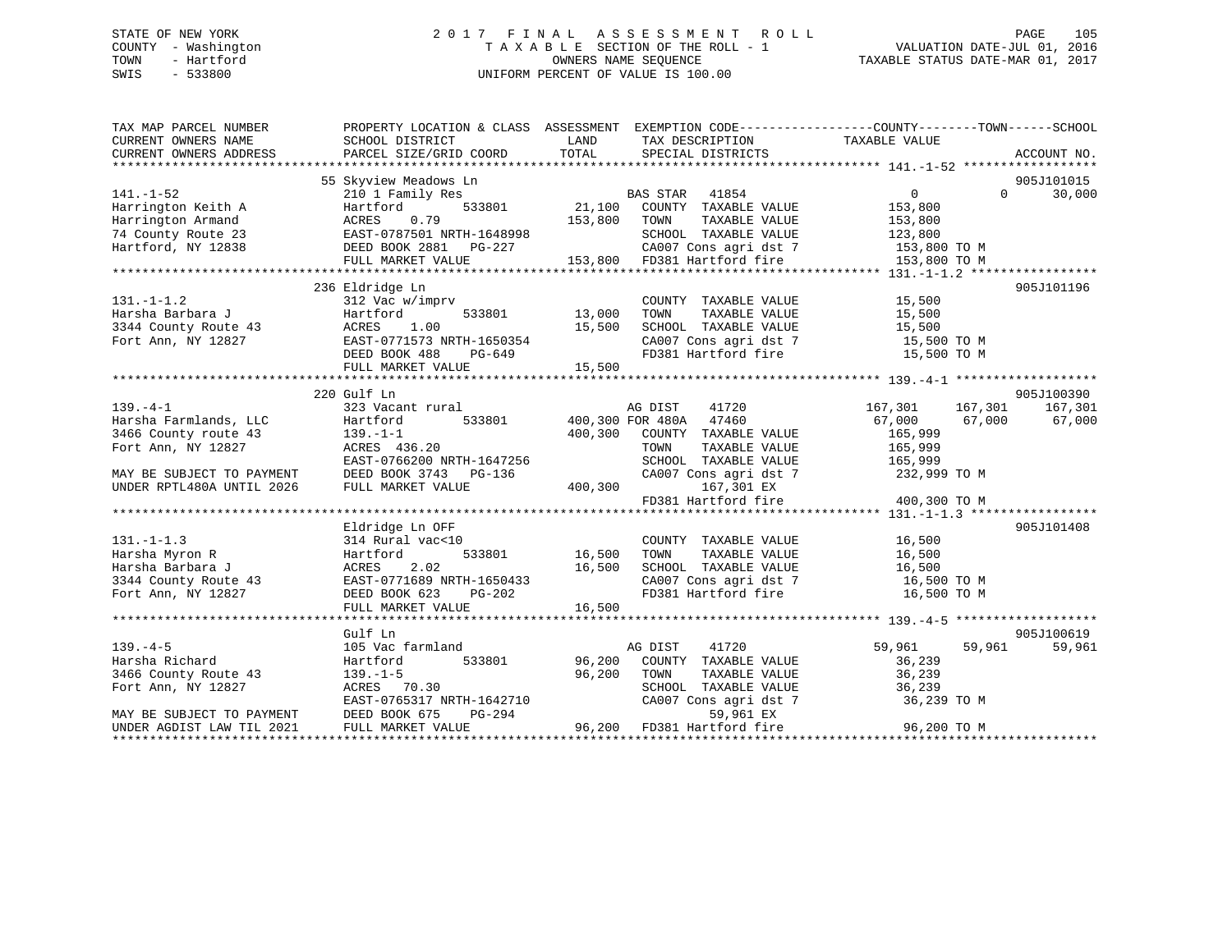# STATE OF NEW YORK 2 0 1 7 F I N A L A S S E S S M E N T R O L L PAGE 105 COUNTY - Washington T A X A B L E SECTION OF THE ROLL - 1 VALUATION DATE-JUL 01, 2016 TOWN - Hartford **TAXABLE STATUS DATE-MAR 01, 2017** SWIS - 533800 UNIFORM PERCENT OF VALUE IS 100.00

| TAX MAP PARCEL NUMBER                                                                                                                                                                                                                | PROPERTY LOCATION & CLASS ASSESSMENT EXEMPTION CODE---------------COUNTY-------TOWN------SCHOOL    |                                            |                                                                        |                         |                    |
|--------------------------------------------------------------------------------------------------------------------------------------------------------------------------------------------------------------------------------------|----------------------------------------------------------------------------------------------------|--------------------------------------------|------------------------------------------------------------------------|-------------------------|--------------------|
| CURRENT OWNERS NAME                                                                                                                                                                                                                  | SCHOOL DISTRICT                                                                                    | <b>EXAMPLE THE STATE OF STATE OF STATE</b> | TAX DESCRIPTION                                                        | TAXABLE VALUE           |                    |
| CURRENT OWNERS ADDRESS                                                                                                                                                                                                               | PARCEL SIZE/GRID COORD                                                                             | TOTAL                                      | SPECIAL DISTRICTS                                                      |                         | ACCOUNT NO.        |
|                                                                                                                                                                                                                                      | 55 Skyview Meadows Ln                                                                              |                                            |                                                                        |                         | 905J101015         |
| $141. - 1 - 52$                                                                                                                                                                                                                      | 210 1 Family Res                                                                                   |                                            |                                                                        | $\overline{0}$          | 30,000<br>$\Omega$ |
| Harrington Keith A                                                                                                                                                                                                                   | Hartford                                                                                           |                                            |                                                                        | 153,800                 |                    |
|                                                                                                                                                                                                                                      |                                                                                                    |                                            |                                                                        |                         |                    |
|                                                                                                                                                                                                                                      |                                                                                                    |                                            |                                                                        |                         |                    |
|                                                                                                                                                                                                                                      |                                                                                                    |                                            |                                                                        |                         |                    |
| Harrington Armand ACRES 0.79 153,800 TOWN TAXABLE VALUE 153,800 TOWN 153,800 TOWN 153,800 TOWN 153,800 TOWN 153,800 TOWN 153,800 TOWN 12838 EAST-0787501 NRTH-1648998 SCHOOL TAXABLE VALUE 123,800 TOWN 12838 DEED BOOK 2881 P       |                                                                                                    |                                            |                                                                        |                         |                    |
|                                                                                                                                                                                                                                      |                                                                                                    |                                            |                                                                        |                         |                    |
|                                                                                                                                                                                                                                      | 236 Eldridge Ln                                                                                    |                                            |                                                                        |                         | 905J101196         |
| $131. - 1 - 1.2$                                                                                                                                                                                                                     | 312 Vac w/imprv                                                                                    |                                            | COUNTY TAXABLE VALUE 15,500                                            |                         |                    |
|                                                                                                                                                                                                                                      |                                                                                                    | 533801 13,000                              | TOWN                                                                   | TAXABLE VALUE 15,500    |                    |
|                                                                                                                                                                                                                                      |                                                                                                    | 15,500                                     | SCHOOL TAXABLE VALUE                                                   | 15,500                  |                    |
|                                                                                                                                                                                                                                      |                                                                                                    |                                            | CA007 Cons agri dst 7 15,500 TO M                                      |                         |                    |
| 131.-1-1.2<br>Harsha Barbara J<br>3344 County Route 43<br>Fort Ann, NY 12827<br>Fort Ann, NY 12827<br>Fort Ann, NY 12827<br>Fort Ann, NY 12827<br>Fort Ann, NY 12827                                                                 | $PG-649$                                                                                           |                                            | FD381 Hartford fire 15,500 TO M                                        |                         |                    |
|                                                                                                                                                                                                                                      | FULL MARKET VALUE                                                                                  | 15,500                                     |                                                                        |                         |                    |
|                                                                                                                                                                                                                                      |                                                                                                    |                                            |                                                                        |                         |                    |
|                                                                                                                                                                                                                                      | 220 Gulf Ln                                                                                        |                                            |                                                                        |                         | 905J100390         |
| $139. -4 - 1$                                                                                                                                                                                                                        | 323 Vacant rural                                                                                   |                                            | AG DIST<br>41720                                                       | 167,301 167,301 167,301 |                    |
| Farsha Farmlands, LLC<br>3466 County route 43<br>Fort Ann, NY 12827                                                                                                                                                                  | Hartford 533801 400,300 FOR 480A 47460                                                             |                                            |                                                                        | 67,000 67,000           | 67,000             |
|                                                                                                                                                                                                                                      | $139. - 1 - 1$                                                                                     |                                            | 400,300 COUNTY TAXABLE VALUE                                           | 165,999                 |                    |
|                                                                                                                                                                                                                                      | ACRES 436.20                                                                                       |                                            | TOWN<br>TAXABLE VALUE                                                  | 165,999                 |                    |
|                                                                                                                                                                                                                                      | EAST-0766200 NRTH-1647256                                                                          |                                            | SCHOOL TAXABLE VALUE                                                   | 165,999                 |                    |
| MAY BE SUBJECT TO PAYMENT DEED BOOK 3743 PG-136                                                                                                                                                                                      |                                                                                                    |                                            | CA007 Cons agri dst 7 232,999 TO M                                     |                         |                    |
| UNDER RPTL480A UNTIL 2026                                                                                                                                                                                                            |                                                                                                    |                                            |                                                                        |                         |                    |
|                                                                                                                                                                                                                                      | FULL MARKET VALUE 400,300 167,301 EX<br>FULL MARKET VALUE 400,300 FD381 Hartford fire 400,300 TO M |                                            |                                                                        |                         |                    |
|                                                                                                                                                                                                                                      |                                                                                                    |                                            |                                                                        |                         |                    |
|                                                                                                                                                                                                                                      | Eldridge Ln OFF                                                                                    |                                            |                                                                        |                         | 905J101408         |
| $131. - 1 - 1.3$                                                                                                                                                                                                                     | 314 Rural vac<10                                                                                   |                                            | COUNTY TAXABLE VALUE 16,500                                            |                         |                    |
| Harsha Myron R                                                                                                                                                                                                                       | Hartford                                                                                           | 533801 16,500 TOWN                         | 16,500 TOWN TAXABLE VALUE 16,500<br>16,500 SCHOOL TAXABLE VALUE 16,500 |                         |                    |
| Harsha Barbara J                                                                                                                                                                                                                     | ACRES 2.02                                                                                         |                                            |                                                                        |                         |                    |
|                                                                                                                                                                                                                                      |                                                                                                    | $\frac{1}{2}$                              | CA007 Cons agri dst 7 16,500 TO M                                      |                         |                    |
| 3344 County Route 43<br>Fort Ann, NY 12827<br>Fort Ann, NY 12827<br>Fort Ann, NY 12827<br>Fort Ann, NY 12827                                                                                                                         |                                                                                                    |                                            | FD381 Hartford fire                                                    | 16,500 TO M             |                    |
|                                                                                                                                                                                                                                      | FULL MARKET VALUE                                                                                  | 16,500                                     |                                                                        |                         |                    |
|                                                                                                                                                                                                                                      |                                                                                                    |                                            |                                                                        |                         |                    |
|                                                                                                                                                                                                                                      | Gulf Ln                                                                                            |                                            |                                                                        |                         | 905J100619         |
| $139. -4 - 5$                                                                                                                                                                                                                        | 105 Vac farmland                                                                                   |                                            | AG DIST<br>41720                                                       | 59,961                  | 59,961<br>59,961   |
| Harsha Richard                                                                                                                                                                                                                       | Hartford                                                                                           |                                            |                                                                        | 36,239                  |                    |
| 3466 County Route 43                                                                                                                                                                                                                 | $139. - 1 - 5$                                                                                     | 96,200 TOWN                                | TAXABLE VALUE                                                          | 36,239                  |                    |
| Fort Ann, NY 12827                                                                                                                                                                                                                   | ACRES 70.30                                                                                        |                                            |                                                                        | 36,239                  |                    |
|                                                                                                                                                                                                                                      |                                                                                                    |                                            | SCHOOL TAXABLE VALUE<br>CA007 Cons agri dst 7                          |                         |                    |
| Fort Ann, NY 12827<br>EAST-0765317 NRTH-1642710<br>MAY BE SUBJECT TO PAYMENT DEED BOOK 675 PG-294 50,200 FD381 Hartford fire 96,200 TO M<br>MDER AGDIST LAW TIL 2021 FULL MARKET VALUE 96,200 FD381 Hartford fire 96,200 TO M<br>*** |                                                                                                    |                                            |                                                                        |                         |                    |
|                                                                                                                                                                                                                                      |                                                                                                    |                                            |                                                                        |                         |                    |
|                                                                                                                                                                                                                                      |                                                                                                    |                                            |                                                                        |                         |                    |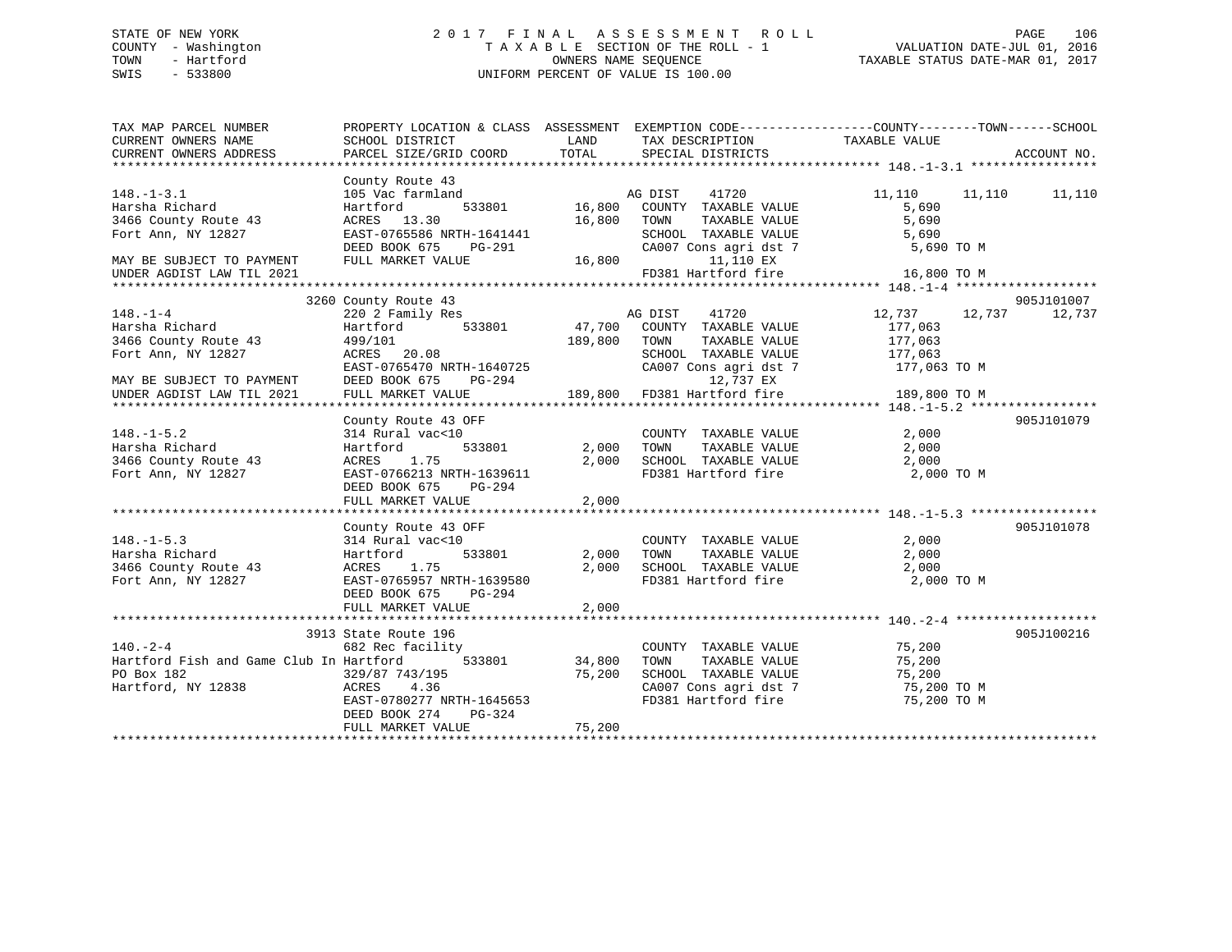# STATE OF NEW YORK 2 0 1 7 F I N A L A S S E S S M E N T R O L L PAGE 106 COUNTY - Washington T A X A B L E SECTION OF THE ROLL - 1 VALUATION DATE-JUL 01, 2016 TOWN - Hartford **TAXABLE STATUS DATE-MAR 01, 2017** SWIS - 533800 UNIFORM PERCENT OF VALUE IS 100.00

| County Route 43<br>$148. - 1 - 3.1$<br>105 Vac farmland<br>AG DIST<br>41720<br>11,110<br>11,110<br>Harsha Richard<br>Hartford<br>533801<br>16,800<br>COUNTY TAXABLE VALUE<br>5,690<br>16,800<br>ACRES 13.30<br>TOWN<br>TAXABLE VALUE<br>5,690<br>3466 County Route 43<br>EAST-0765586 NRTH-1641441<br>Fort Ann, NY 12827<br>SCHOOL TAXABLE VALUE<br>5,690<br>CA007 Cons agri dst 7<br>DEED BOOK 675<br>PG-291<br>5,690 TO M<br>FULL MARKET VALUE<br>16,800<br>11,110 EX<br>MAY BE SUBJECT TO PAYMENT<br>FD381 Hartford fire<br>16,800 TO M<br>UNDER AGDIST LAW TIL 2021<br>3260 County Route 43<br>905J101007<br>$148. - 1 - 4$<br>220 2 Family Res<br>12,737<br>AG DIST<br>41720<br>12,737<br>533801<br>47,700 COUNTY TAXABLE VALUE<br>Harsha Richard<br>Hartford<br>177,063<br>189,800<br>177,063<br>3466 County Route 43<br>499/101<br>TOWN<br>TAXABLE VALUE<br>Fort Ann, NY 12827<br>ACRES 20.08<br>SCHOOL TAXABLE VALUE<br>177,063<br>EAST-0765470 NRTH-1640725<br>CA007 Cons agri dst 7<br>177,063 TO M<br>12,737 EX<br>DEED BOOK 675<br>PG-294<br>MAY BE SUBJECT TO PAYMENT<br>189,800 FD381 Hartford fire<br>FULL MARKET VALUE<br>189,800 TO M<br>UNDER AGDIST LAW TIL 2021<br>County Route 43 OFF<br>$148. - 1 - 5.2$<br>2,000<br>314 Rural vac<10<br>COUNTY TAXABLE VALUE<br>2,000<br>Harsha Richard<br>Hartford<br>533801<br>TOWN<br>TAXABLE VALUE<br>2,000<br>3466 County Route 43<br>1.75<br>2,000<br>SCHOOL TAXABLE VALUE<br>2,000<br>ACRES<br>FD381 Hartford fire<br>2,000 TO M<br>Fort Ann, NY 12827<br>EAST-0766213 NRTH-1639611 | PROPERTY LOCATION & CLASS ASSESSMENT EXEMPTION CODE----------------COUNTY-------TOWN-----SCHOOL<br>ACCOUNT NO. |
|---------------------------------------------------------------------------------------------------------------------------------------------------------------------------------------------------------------------------------------------------------------------------------------------------------------------------------------------------------------------------------------------------------------------------------------------------------------------------------------------------------------------------------------------------------------------------------------------------------------------------------------------------------------------------------------------------------------------------------------------------------------------------------------------------------------------------------------------------------------------------------------------------------------------------------------------------------------------------------------------------------------------------------------------------------------------------------------------------------------------------------------------------------------------------------------------------------------------------------------------------------------------------------------------------------------------------------------------------------------------------------------------------------------------------------------------------------------------------------------------------------------------------------------------------|----------------------------------------------------------------------------------------------------------------|
|                                                                                                                                                                                                                                                                                                                                                                                                                                                                                                                                                                                                                                                                                                                                                                                                                                                                                                                                                                                                                                                                                                                                                                                                                                                                                                                                                                                                                                                                                                                                                   | 11,110                                                                                                         |
|                                                                                                                                                                                                                                                                                                                                                                                                                                                                                                                                                                                                                                                                                                                                                                                                                                                                                                                                                                                                                                                                                                                                                                                                                                                                                                                                                                                                                                                                                                                                                   |                                                                                                                |
|                                                                                                                                                                                                                                                                                                                                                                                                                                                                                                                                                                                                                                                                                                                                                                                                                                                                                                                                                                                                                                                                                                                                                                                                                                                                                                                                                                                                                                                                                                                                                   |                                                                                                                |
|                                                                                                                                                                                                                                                                                                                                                                                                                                                                                                                                                                                                                                                                                                                                                                                                                                                                                                                                                                                                                                                                                                                                                                                                                                                                                                                                                                                                                                                                                                                                                   | 12,737                                                                                                         |
|                                                                                                                                                                                                                                                                                                                                                                                                                                                                                                                                                                                                                                                                                                                                                                                                                                                                                                                                                                                                                                                                                                                                                                                                                                                                                                                                                                                                                                                                                                                                                   |                                                                                                                |
|                                                                                                                                                                                                                                                                                                                                                                                                                                                                                                                                                                                                                                                                                                                                                                                                                                                                                                                                                                                                                                                                                                                                                                                                                                                                                                                                                                                                                                                                                                                                                   |                                                                                                                |
| DEED BOOK 675<br>PG-294<br>FULL MARKET VALUE<br>2,000                                                                                                                                                                                                                                                                                                                                                                                                                                                                                                                                                                                                                                                                                                                                                                                                                                                                                                                                                                                                                                                                                                                                                                                                                                                                                                                                                                                                                                                                                             | 905J101079                                                                                                     |
|                                                                                                                                                                                                                                                                                                                                                                                                                                                                                                                                                                                                                                                                                                                                                                                                                                                                                                                                                                                                                                                                                                                                                                                                                                                                                                                                                                                                                                                                                                                                                   |                                                                                                                |
| County Route 43 OFF<br>2,000<br>$148. - 1 - 5.3$<br>314 Rural vac<10<br>COUNTY TAXABLE VALUE<br>Harsha Richard<br>533801<br>2,000<br>TOWN<br>TAXABLE VALUE<br>2,000<br>Hartford<br>TOWN      TAXABLE VALUE<br>SCHOOL   TAXABLE VALUE<br>3466 County Route 43<br>ACRES<br>1.75<br>2,000<br>2,000<br>FD381 Hartford fire<br>Fort Ann, NY 12827<br>EAST-0765957 NRTH-1639580<br>2,000 TO M<br>DEED BOOK 675<br>PG-294<br>FULL MARKET VALUE<br>2,000                                                                                                                                                                                                                                                                                                                                                                                                                                                                                                                                                                                                                                                                                                                                                                                                                                                                                                                                                                                                                                                                                                  | 905J101078                                                                                                     |
|                                                                                                                                                                                                                                                                                                                                                                                                                                                                                                                                                                                                                                                                                                                                                                                                                                                                                                                                                                                                                                                                                                                                                                                                                                                                                                                                                                                                                                                                                                                                                   |                                                                                                                |
| 3913 State Route 196<br>$140. - 2 - 4$<br>75,200<br>682 Rec facility<br>COUNTY TAXABLE VALUE<br>Hartford Fish and Game Club In Hartford<br>75,200<br>533801<br>34,800<br>TAXABLE VALUE<br>TOWN<br>PO Box 182<br>329/87 743/195<br>75,200<br>SCHOOL TAXABLE VALUE<br>75,200<br>Hartford, NY 12838<br>ACRES 4.36<br>CA007 Cons agri dst 7<br>CA007 Cons agri dst 7<br>75,200 TO M<br>FD381 Hartford fire<br>EAST-0780277 NRTH-1645653<br>75,200 TO M<br>DEED BOOK 274<br>PG-324<br>75,200<br>FULL MARKET VALUE                                                                                                                                                                                                                                                                                                                                                                                                                                                                                                                                                                                                                                                                                                                                                                                                                                                                                                                                                                                                                                      | 905J100216                                                                                                     |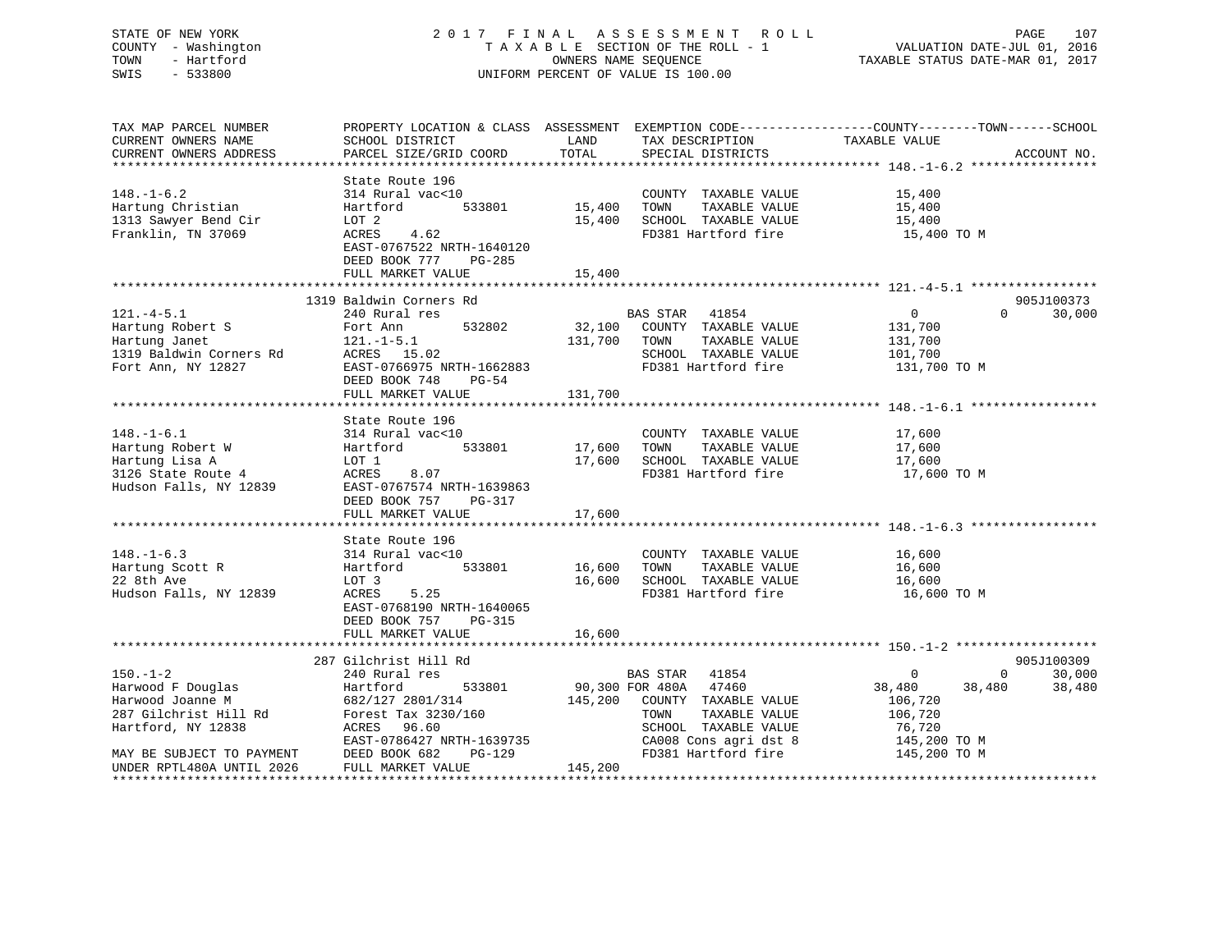# STATE OF NEW YORK 2 0 1 7 F I N A L A S S E S S M E N T R O L L PAGE 107 COUNTY - Washington T A X A B L E SECTION OF THE ROLL - 1 VALUATION DATE-JUL 01, 2016 TOWN - Hartford **TAXABLE STATUS DATE-MAR 01, 2017** SWIS - 533800 UNIFORM PERCENT OF VALUE IS 100.00

| TAX MAP PARCEL NUMBER<br>CURRENT OWNERS NAME<br>CURRENT OWNERS ADDRESS                                                              | PROPERTY LOCATION & CLASS ASSESSMENT EXEMPTION CODE----------------COUNTY-------TOWN------SCHOOL<br>SCHOOL DISTRICT<br>PARCEL SIZE/GRID COORD                                  | LAND<br>TOTAL                     | TAX DESCRIPTION<br>SPECIAL DISTRICTS                                                                                                                                     | TAXABLE VALUE                                                                                      | ACCOUNT NO.                                         |
|-------------------------------------------------------------------------------------------------------------------------------------|--------------------------------------------------------------------------------------------------------------------------------------------------------------------------------|-----------------------------------|--------------------------------------------------------------------------------------------------------------------------------------------------------------------------|----------------------------------------------------------------------------------------------------|-----------------------------------------------------|
| $148. - 1 - 6.2$<br>Hartung Christian<br>1313 Sawyer Bend Cir<br>Franklin, TN 37069                                                 | State Route 196<br>314 Rural vac<10<br>Hartford<br>LOT 2<br>ACRES<br>4.62<br>EAST-0767522 NRTH-1640120<br>DEED BOOK 777<br>PG-285<br>FULL MARKET VALUE                         | 533801 15,400<br>15,400<br>15,400 | COUNTY TAXABLE VALUE<br>TAXABLE VALUE<br>TOWN<br>SCHOOL TAXABLE VALUE<br>FD381 Hartford fire                                                                             | 15,400<br>15,400<br>15,400<br>15,400 TO M                                                          |                                                     |
|                                                                                                                                     |                                                                                                                                                                                |                                   |                                                                                                                                                                          |                                                                                                    |                                                     |
| $121.-4-5.1$<br>Hartung Robert S<br>Hartung Janet<br>1319 Baldwin Corners Rd<br>Fort Ann, NY 12827                                  | 1319 Baldwin Corners Rd<br>240 Rural res<br>532802<br>Fort Ann<br>$121.-1-5.1$<br>ACRES $15.02$<br>EAST-0766975 NRTH-1662883<br>DEED BOOK 748<br>PG-54<br>FULL MARKET VALUE    | 131,700 TOWN<br>131,700           | BAS STAR 41854<br>32,100 COUNTY TAXABLE VALUE<br>TAXABLE VALUE<br>SCHOOL TAXABLE VALUE<br>FD381 Hartford fire                                                            | $\overline{0}$<br>$\Omega$<br>131,700<br>131,700<br>101,700<br>131,700 TO M                        | 905J100373<br>30,000                                |
| $148. - 1 - 6.1$<br>Hartung Robert W<br>Hartung Lisa A<br>3126 State Route 4<br>Hudson Falls, NY 12839                              | State Route 196<br>314 Rural vac<10<br>533801<br>Hartford<br>LOT 1<br>ACRES<br>8.07<br>EAST-0767574 NRTH-1639863<br>DEED BOOK 757<br>PG-317<br>FULL MARKET VALUE               | 17,600<br>17,600<br>17,600        | COUNTY TAXABLE VALUE<br>TOWN<br>TAXABLE VALUE<br>SCHOOL TAXABLE VALUE<br>FD381 Hartford fire                                                                             | 17,600<br>17,600<br>17,600<br>17,600 TO M                                                          |                                                     |
|                                                                                                                                     |                                                                                                                                                                                |                                   |                                                                                                                                                                          |                                                                                                    |                                                     |
| $148. - 1 - 6.3$<br>Hartung Scott R<br>22 8th Ave<br>Hudson Falls, NY 12839                                                         | State Route 196<br>314 Rural vac<10<br>Hartford<br>533801<br>LOT 3<br>5.25<br>ACRES<br>EAST-0768190 NRTH-1640065<br>DEED BOOK 757<br>PG-315                                    | 16,600 TOWN                       | COUNTY TAXABLE VALUE<br>TAXABLE VALUE<br>16,600 SCHOOL TAXABLE VALUE<br>FD381 Hartford fire                                                                              | 16,600<br>16,600<br>16,600<br>16,600 TO M                                                          |                                                     |
|                                                                                                                                     | FULL MARKET VALUE                                                                                                                                                              | 16,600                            |                                                                                                                                                                          |                                                                                                    |                                                     |
|                                                                                                                                     |                                                                                                                                                                                |                                   |                                                                                                                                                                          |                                                                                                    |                                                     |
| $150. - 1 - 2$<br>Harwood F Douglas<br>Harwood Joanne M<br>287 Gilchrist Hill Rd<br>Hartford, NY 12838<br>MAY BE SUBJECT TO PAYMENT | 287 Gilchrist Hill Rd<br>240 Rural res<br>533801<br>Hartford<br>682/127 2801/314<br>Forest Tax 3230/160<br>ACRES 96.60<br>EAST-0786427 NRTH-1639735<br>DEED BOOK 682<br>PG-129 |                                   | BAS STAR 41854<br>90,300 FOR 480A 47460<br>145,200 COUNTY TAXABLE VALUE<br>TAXABLE VALUE<br>TOWN<br>SCHOOL TAXABLE VALUE<br>CA008 Cons agri dst 8<br>FD381 Hartford fire | $\overline{0}$<br>38,480<br>38,480<br>106,720<br>106,720<br>76,720<br>145,200 TO M<br>145,200 TO M | 905J100309<br>30,000<br>$0 \qquad \qquad$<br>38,480 |
| UNDER RPTL480A UNTIL 2026                                                                                                           | FULL MARKET VALUE                                                                                                                                                              | 145,200                           |                                                                                                                                                                          |                                                                                                    |                                                     |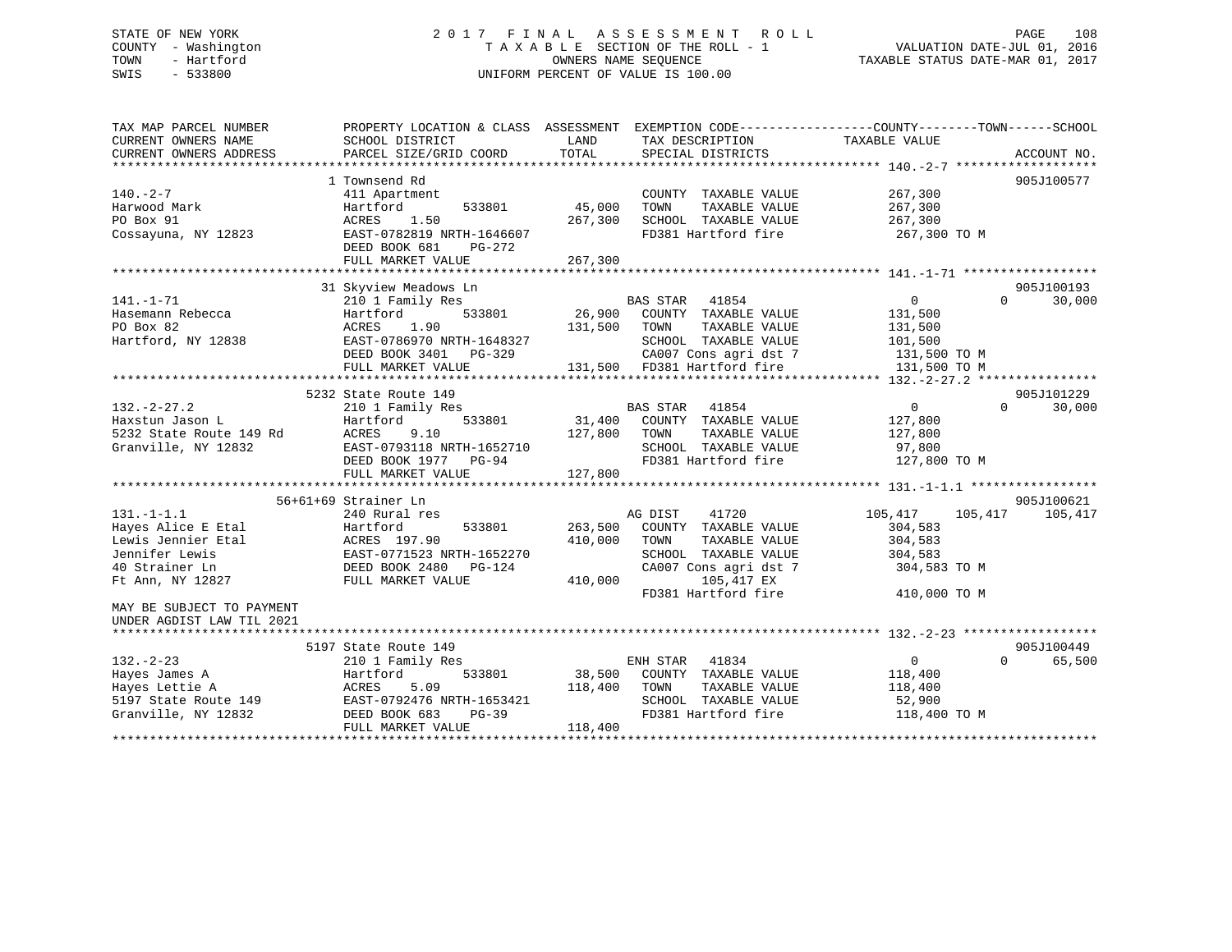# STATE OF NEW YORK 2 0 1 7 F I N A L A S S E S S M E N T R O L L PAGE 108 COUNTY - Washington T A X A B L E SECTION OF THE ROLL - 1 VALUATION DATE-JUL 01, 2016 TOWN - Hartford OWNERS NAME SEQUENCE TAXABLE STATUS DATE-MAR 01, 2017 SWIS - 533800 UNIFORM PERCENT OF VALUE IS 100.00

| TAX MAP PARCEL NUMBER<br>CURRENT OWNERS NAME<br>CURRENT OWNERS ADDRESS | SCHOOL DISTRICT<br>PARCEL SIZE/GRID COORD            | LAND<br>TOTAL | TAX DESCRIPTION TAXABLE VALUE<br>SPECIAL DISTRICTS | PROPERTY LOCATION & CLASS ASSESSMENT EXEMPTION CODE----------------COUNTY-------TOWN------SCHOOL | ACCOUNT NO. |
|------------------------------------------------------------------------|------------------------------------------------------|---------------|----------------------------------------------------|--------------------------------------------------------------------------------------------------|-------------|
|                                                                        | 1 Townsend Rd                                        |               |                                                    |                                                                                                  | 905J100577  |
| $140. -2 - 7$                                                          |                                                      |               |                                                    |                                                                                                  |             |
| Harwood Mark                                                           | 411 Apartment<br>Hartford<br>533801                  | 45,000        | COUNTY TAXABLE VALUE<br>TAXABLE VALUE              | 267,300<br>267,300                                                                               |             |
|                                                                        |                                                      |               | TOWN                                               |                                                                                                  |             |
| PO Box 91                                                              | 1.50<br>ACRES                                        | 267,300       | SCHOOL TAXABLE VALUE                               | 267,300                                                                                          |             |
| Cossayuna, NY 12823                                                    | EAST-0782819 NRTH-1646607<br>DEED BOOK 681<br>PG-272 |               | FD381 Hartford fire                                | 267,300 TO M                                                                                     |             |
|                                                                        | FULL MARKET VALUE                                    | 267,300       |                                                    |                                                                                                  |             |
|                                                                        |                                                      |               |                                                    |                                                                                                  |             |
|                                                                        | 31 Skyview Meadows Ln                                |               |                                                    |                                                                                                  | 905J100193  |
| $141. - 1 - 71$                                                        | 210 1 Family Res                                     |               | BAS STAR 41854                                     | 0<br>$\Omega$                                                                                    | 30,000      |
| Hasemann Rebecca                                                       | 533801<br>Hartford                                   | 26,900        | COUNTY TAXABLE VALUE                               | 131,500                                                                                          |             |
| PO Box 82                                                              | ACRES<br>1.90                                        | 131,500       | TAXABLE VALUE<br>TOWN                              | 131,500                                                                                          |             |
| Hartford, NY 12838                                                     | EAST-0786970 NRTH-1648327                            |               | SCHOOL TAXABLE VALUE                               | 101,500                                                                                          |             |
|                                                                        | DEED BOOK 3401 PG-329                                |               | CA007 Cons agri dst 7                              | 131,500 TO M                                                                                     |             |
|                                                                        | FULL MARKET VALUE                                    |               | 131,500 FD381 Hartford fire                        | 131,500 TO M                                                                                     |             |
|                                                                        |                                                      |               |                                                    |                                                                                                  |             |
|                                                                        | 5232 State Route 149                                 |               |                                                    |                                                                                                  | 905J101229  |
| $132. - 2 - 27.2$                                                      | 210 1 Family Res                                     |               | BAS STAR 41854                                     | $0 \qquad \qquad$<br>$\Omega$                                                                    | 30,000      |
| Haxstun Jason L                                                        | 533801<br>Hartford                                   | 31,400        | COUNTY TAXABLE VALUE                               | 127,800                                                                                          |             |
| 5232 State Route 149 Rd                                                | 9.10<br>ACRES                                        | 127,800       | TOWN<br>TAXABLE VALUE                              | 127,800                                                                                          |             |
| Granville, NY 12832                                                    | EAST-0793118 NRTH-1652710                            |               | SCHOOL TAXABLE VALUE                               | 97,800                                                                                           |             |
|                                                                        | DEED BOOK 1977 PG-94                                 |               | FD381 Hartford fire                                | 127,800 TO M                                                                                     |             |
|                                                                        | FULL MARKET VALUE                                    | 127,800       |                                                    |                                                                                                  |             |
|                                                                        |                                                      |               |                                                    |                                                                                                  |             |
|                                                                        | 56+61+69 Strainer Ln                                 |               |                                                    |                                                                                                  | 905J100621  |
| $131. -1 - 1.1$                                                        | 240 Rural res                                        |               | AG DIST<br>41720                                   | 105,417<br>105,417                                                                               | 105,417     |
| Hayes Alice E Etal                                                     | Hartford<br>533801                                   | 263,500       | COUNTY TAXABLE VALUE                               | 304,583                                                                                          |             |
| Lewis Jennier Etal                                                     | ACRES 197.90                                         | 410,000       | TAXABLE VALUE<br>TOWN                              | 304,583                                                                                          |             |
| Jennifer Lewis                                                         | EAST-0771523 NRTH-1652270                            |               | SCHOOL TAXABLE VALUE                               | 304,583                                                                                          |             |
| 40 Strainer Ln                                                         | DEED BOOK 2480 PG-124                                |               | CA007 Cons agri dst 7                              | 304,583 TO M                                                                                     |             |
| Ft Ann, NY 12827                                                       | FULL MARKET VALUE                                    | 410,000       | 105,417 EX                                         |                                                                                                  |             |
|                                                                        |                                                      |               | FD381 Hartford fire                                | 410,000 TO M                                                                                     |             |
| MAY BE SUBJECT TO PAYMENT                                              |                                                      |               |                                                    |                                                                                                  |             |
| UNDER AGDIST LAW TIL 2021                                              |                                                      |               |                                                    |                                                                                                  |             |
|                                                                        |                                                      |               |                                                    |                                                                                                  |             |
|                                                                        | 5197 State Route 149                                 |               |                                                    |                                                                                                  | 905J100449  |
| $132 - 2 - 23$                                                         | 210 1 Family Res                                     |               | ENH STAR 41834                                     | $\overline{0}$<br>$\Omega$                                                                       | 65,500      |
| Hayes James A                                                          | Hartford<br>533801                                   | 38,500        | COUNTY TAXABLE VALUE                               | 118,400                                                                                          |             |
| Hayes Lettie A                                                         | ACRES<br>5.09                                        | 118,400       | TOWN<br>TAXABLE VALUE                              | 118,400                                                                                          |             |
| 5197 State Route 149                                                   | EAST-0792476 NRTH-1653421                            |               | SCHOOL TAXABLE VALUE                               | 52,900                                                                                           |             |
| Granville, NY 12832                                                    | DEED BOOK 683<br>$PG-39$                             |               | FD381 Hartford fire                                | 118,400 TO M                                                                                     |             |
|                                                                        | FULL MARKET VALUE                                    | 118,400       |                                                    |                                                                                                  |             |
|                                                                        |                                                      |               |                                                    |                                                                                                  |             |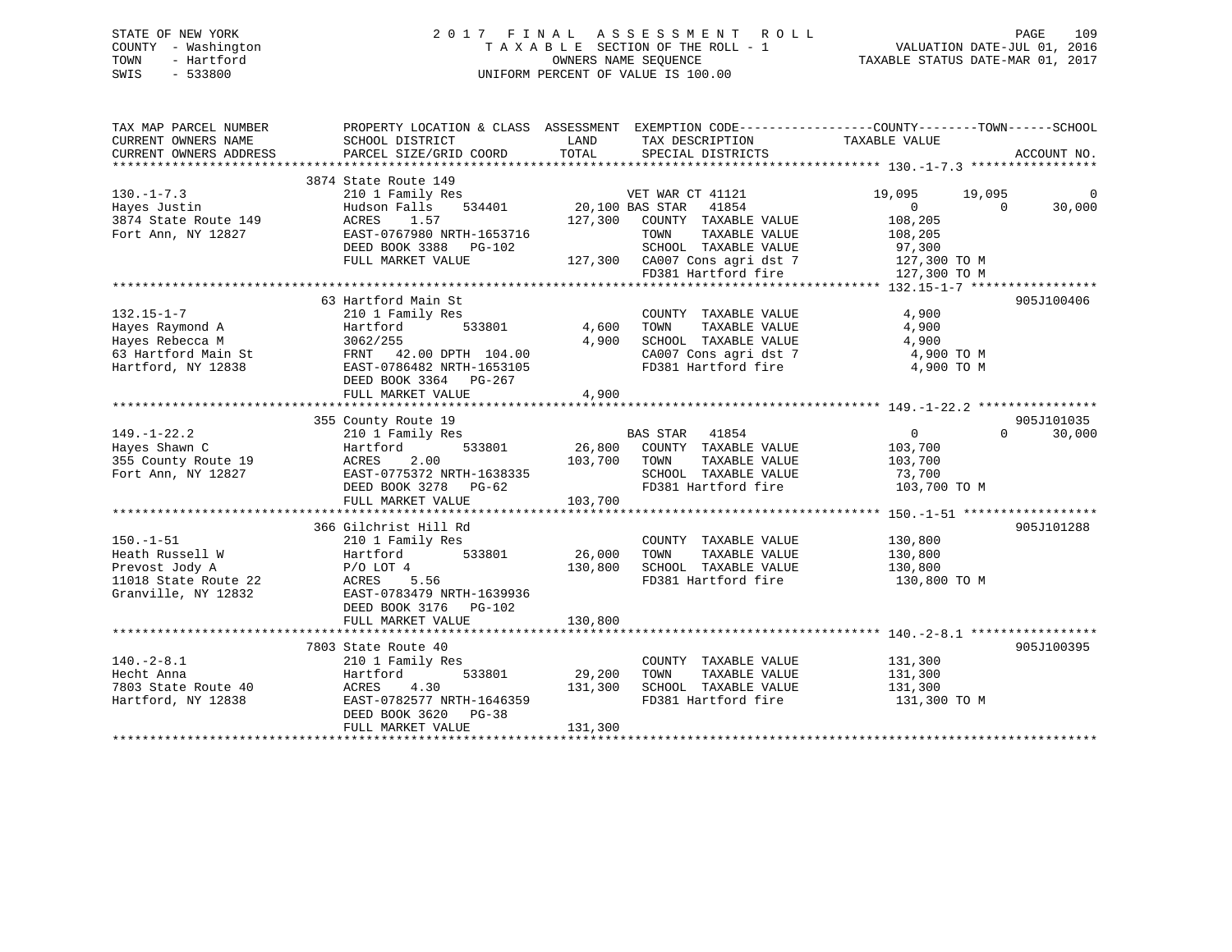## STATE OF NEW YORK 2 0 1 7 F I N A L A S S E S S M E N T R O L L PAGE 109 COUNTY - Washington T A X A B L E SECTION OF THE ROLL - 1 VALUATION DATE-JUL 01, 2016 TOWN - Hartford **TAXABLE STATUS DATE-MAR 01, 2017** SWIS - 533800 UNIFORM PERCENT OF VALUE IS 100.00

| TAX MAP PARCEL NUMBER<br>CURRENT OWNERS NAME<br>CURRENT OWNERS ADDRESS                              | PROPERTY LOCATION & CLASS ASSESSMENT EXEMPTION CODE---------------COUNTY-------TOWN-----SCHOOL<br>SCHOOL DISTRICT<br>PARCEL SIZE/GRID COORD                                    | LAND<br>TOTAL                | TAX DESCRIPTION<br>SPECIAL DISTRICTS                                                                                                                       | TAXABLE VALUE                                                                                                  | ACCOUNT NO.          |
|-----------------------------------------------------------------------------------------------------|--------------------------------------------------------------------------------------------------------------------------------------------------------------------------------|------------------------------|------------------------------------------------------------------------------------------------------------------------------------------------------------|----------------------------------------------------------------------------------------------------------------|----------------------|
| $130. - 1 - 7.3$<br>Hayes Justin<br>3874 State Route 149<br>Fort Ann, NY 12827                      | 3874 State Route 149<br>210 1 Family Res<br>534401<br>Hudson Falls<br>ACRES<br>1.57<br>EAST-0767980 NRTH-1653716<br>DEED BOOK 3388 PG-102<br>FULL MARKET VALUE                 | 20,100 BAS STAR<br>127,300   | VET WAR CT 41121<br>41854<br>COUNTY TAXABLE VALUE<br>TAXABLE VALUE<br>TOWN<br>SCHOOL TAXABLE VALUE<br>127,300 CA007 Cons agri dst 7<br>FD381 Hartford fire | 19,095<br>19,095<br>$\overline{0}$<br>$\Omega$<br>108,205<br>108,205<br>97,300<br>127,300 TO M<br>127,300 TO M | $\Omega$<br>30,000   |
| $132.15 - 1 - 7$<br>Hayes Raymond A<br>Hayes Rebecca M<br>63 Hartford Main St<br>Hartford, NY 12838 | 63 Hartford Main St<br>210 1 Family Res<br>Hartford<br>533801<br>3062/255<br>FRNT 42.00 DPTH 104.00<br>EAST-0786482 NRTH-1653105<br>DEED BOOK 3364 PG-267<br>FULL MARKET VALUE | 4,600<br>4,900<br>4,900      | COUNTY TAXABLE VALUE<br>TOWN<br>TAXABLE VALUE<br>SCHOOL TAXABLE VALUE<br>CA007 Cons agri dst 7<br>FD381 Hartford fire                                      | 4,900<br>4,900<br>4,900<br>4,900 TO M<br>4,900 TO M                                                            | 905J100406           |
| $149. - 1 - 22.2$<br>Hayes Shawn C<br>355 County Route 19<br>Fort Ann, NY 12827                     | 355 County Route 19<br>210 1 Family Res<br>533801<br>Hartford<br>ACRES<br>2.00<br>EAST-0775372 NRTH-1638335<br>DEED BOOK 3278<br>PG-62<br>FULL MARKET VALUE                    | 26,800<br>103,700<br>103,700 | <b>BAS STAR</b><br>41854<br>COUNTY TAXABLE VALUE<br>TOWN<br>TAXABLE VALUE<br>SCHOOL TAXABLE VALUE<br>FD381 Hartford fire                                   | $\overline{0}$<br>$\Omega$<br>103,700<br>103,700<br>73,700<br>103,700 TO M                                     | 905J101035<br>30,000 |
| $150. - 1 - 51$<br>Heath Russell W<br>Prevost Jody A<br>11018 State Route 22<br>Granville, NY 12832 | 366 Gilchrist Hill Rd<br>210 1 Family Res<br>533801<br>Hartford<br>$P/O$ LOT $4$<br>5.56<br>ACRES<br>EAST-0783479 NRTH-1639936<br>DEED BOOK 3176 PG-102<br>FULL MARKET VALUE   | 26,000<br>130,800<br>130,800 | COUNTY TAXABLE VALUE<br>TOWN<br>TAXABLE VALUE<br>SCHOOL TAXABLE VALUE<br>FD381 Hartford fire                                                               | 130,800<br>130,800<br>130,800<br>130,800 TO M                                                                  | 905J101288           |
| $140. - 2 - 8.1$<br>Hecht Anna<br>7803 State Route 40<br>Hartford, NY 12838                         | 7803 State Route 40<br>210 1 Family Res<br>533801<br>Hartford<br>ACRES<br>4.30<br>EAST-0782577 NRTH-1646359<br>DEED BOOK 3620<br>PG-38<br>FULL MARKET VALUE                    | 29,200<br>131,300<br>131,300 | COUNTY TAXABLE VALUE<br>TAXABLE VALUE<br>TOWN<br>SCHOOL TAXABLE VALUE<br>FD381 Hartford fire                                                               | 131,300<br>131,300<br>131,300<br>131,300 TO M                                                                  | 905J100395           |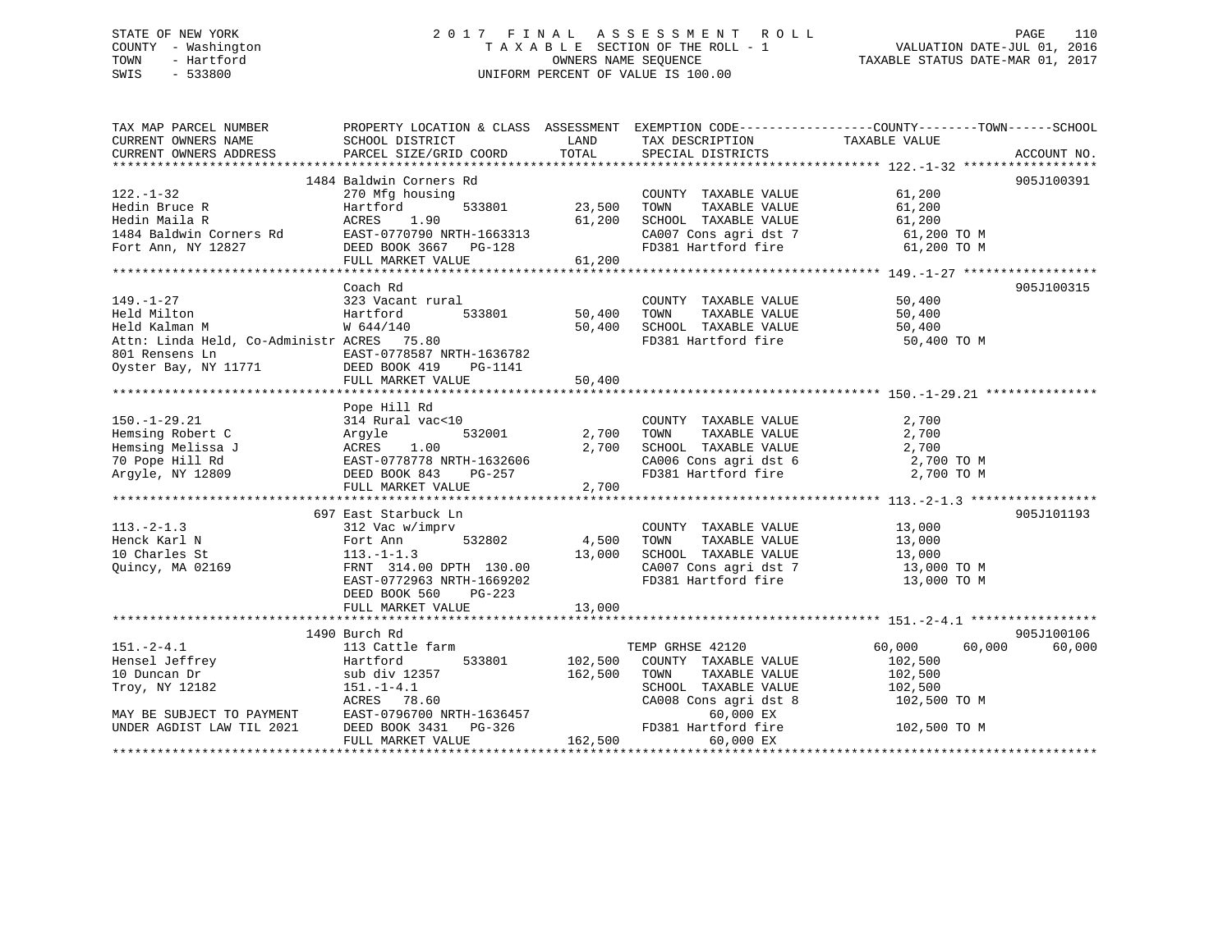## STATE OF NEW YORK 2 0 1 7 F I N A L A S S E S S M E N T R O L L PAGE 110 COUNTY - Washington T A X A B L E SECTION OF THE ROLL - 1 VALUATION DATE-JUL 01, 2016 TOWN - Hartford **TAXABLE STATUS DATE-MAR 01, 2017** SWIS - 533800 UNIFORM PERCENT OF VALUE IS 100.00

| TAX MAP PARCEL NUMBER<br>CURRENT OWNERS NAME SCHOOL DISTRICT                                                                                                                                                                                                                                                                                                                                                                                                                                                                                                                                                                                                | PROPERTY LOCATION & CLASS ASSESSMENT EXEMPTION CODE-----------------COUNTY--------TOWN------SCHOOL                                                                                                                                                                      |                              | LAND TAX DESCRIPTION                                                                                                                                                  | TAXABLE VALUE                                                                                                                                                                                                                                                               |             |
|-------------------------------------------------------------------------------------------------------------------------------------------------------------------------------------------------------------------------------------------------------------------------------------------------------------------------------------------------------------------------------------------------------------------------------------------------------------------------------------------------------------------------------------------------------------------------------------------------------------------------------------------------------------|-------------------------------------------------------------------------------------------------------------------------------------------------------------------------------------------------------------------------------------------------------------------------|------------------------------|-----------------------------------------------------------------------------------------------------------------------------------------------------------------------|-----------------------------------------------------------------------------------------------------------------------------------------------------------------------------------------------------------------------------------------------------------------------------|-------------|
| CURRENT OWNERS ADDRESS                                                                                                                                                                                                                                                                                                                                                                                                                                                                                                                                                                                                                                      | PARCEL SIZE/GRID COORD                                                                                                                                                                                                                                                  |                              | TOTAL SPECIAL DISTRICTS                                                                                                                                               |                                                                                                                                                                                                                                                                             | ACCOUNT NO. |
|                                                                                                                                                                                                                                                                                                                                                                                                                                                                                                                                                                                                                                                             | 1484 Baldwin Corners Rd                                                                                                                                                                                                                                                 |                              |                                                                                                                                                                       |                                                                                                                                                                                                                                                                             | 905J100391  |
| $122. - 1 - 32$                                                                                                                                                                                                                                                                                                                                                                                                                                                                                                                                                                                                                                             | 270 Mfg housing                                                                                                                                                                                                                                                         | COUNTY<br>533801 23,500 TOWN | COUNTY TAXABLE VALUE 61,200                                                                                                                                           |                                                                                                                                                                                                                                                                             |             |
|                                                                                                                                                                                                                                                                                                                                                                                                                                                                                                                                                                                                                                                             | Coach Rd                                                                                                                                                                                                                                                                |                              |                                                                                                                                                                       |                                                                                                                                                                                                                                                                             | 905J100315  |
| $149. - 1 - 27$<br>Held Milton<br>$\begin{tabular}{lllllllllll} \texttt{801} \texttt{Rensens} & \texttt{Ln} & \texttt{EAST-0778587} \texttt{NRTH-1636782} \\ \texttt{Oyster Bay, NY 11771} & \texttt{DEED BOOK 419} & \texttt{PG-1141} \end{tabular}$                                                                                                                                                                                                                                                                                                                                                                                                       |                                                                                                                                                                                                                                                                         |                              | FD381 Hartford fire                                                                                                                                                   | 50,400 TO M                                                                                                                                                                                                                                                                 |             |
|                                                                                                                                                                                                                                                                                                                                                                                                                                                                                                                                                                                                                                                             |                                                                                                                                                                                                                                                                         |                              |                                                                                                                                                                       |                                                                                                                                                                                                                                                                             |             |
| $\begin{tabular}{lllllllllllllllllll} \rule{0pt}{2.5mm} \text{150.-1--29.21} & \text{~\small 2.700} & \text{COUNTT} & \text{150.--1--29.21} & \text{314 Rural vac<10} & \text{COUNTT} & \text{1.00} & \text{2.700} & \text{TOWN} \\ \text{Hemsing Melissa J} & \text{ACRES} & \text{1.00} & \text{2.700} & \text{SCHOOL} \\ \text{70 Pope Hill Rd} & \text{EAST-0778778 NRTH-1632606} & \text{CAO06} & \$                                                                                                                                                                                                                                                   |                                                                                                                                                                                                                                                                         |                              | COUNTY TAXABLE VALUE                                                                                                                                                  | 2,700<br>$\begin{array}{lllll} \texttt{CA006} & \texttt{Cons}\ \texttt{agri}\ \texttt{dst}\ \texttt{6} & \texttt{2,700}\ \texttt{TO}\ \texttt{M} & \texttt{3,700}\ \texttt{TO}\ \texttt{M} & \texttt{1,700}\ \texttt{C} & \texttt{M} & \texttt{M} & \texttt{M} \end{array}$ |             |
|                                                                                                                                                                                                                                                                                                                                                                                                                                                                                                                                                                                                                                                             | 697 East Starbuck Ln                                                                                                                                                                                                                                                    |                              |                                                                                                                                                                       |                                                                                                                                                                                                                                                                             | 905J101193  |
| 113.-2-1.3<br>Henck Karl N<br>10 Charles St<br>Quincy, MA 02169<br>213.000<br>213.-1-1.3<br>214.00 DPTH 130.00<br>213.000<br>213.000<br>214.00 DPTH 130.00<br>213.000<br>213.000<br>214.00<br>213.000                                                                                                                                                                                                                                                                                                                                                                                                                                                       | $\begin{tabular}{llllll} 312\text{ Vac } \text{w}/\text{imprv} & \multicolumn{2}{c }{\text{COUNT}} \\ \text{Fort Ann} & 532802 & & 4,500 & \multicolumn{2}{c }{\text{TOWN}} \\ \end{tabular}$<br>EAST-0772963 NRTH-1669202<br>DEED BOOK 560 PG-223<br>FULL MARKET VALUE | 13,000                       | COUNTY TAXABLE VALUE $13,000$<br>TOWN TAXABLE VALUE $13,000$<br>SCHOOL TAXABLE VALUE $13,000$<br>CA007 Cons agri dst 7 13,000 TO M<br>FD381 Hartford fire 13,000 TO M |                                                                                                                                                                                                                                                                             |             |
|                                                                                                                                                                                                                                                                                                                                                                                                                                                                                                                                                                                                                                                             | 1490 Burch Rd                                                                                                                                                                                                                                                           |                              |                                                                                                                                                                       |                                                                                                                                                                                                                                                                             | 905J100106  |
| 151.-2-4.1 13 Cattle farm TEMP GRHSE 42120<br>Hensel Jeffrey Hartford 533801 102,500 COUNTY TAXABLE VALUE<br>162,500 TOWN TAXABLE VALUE<br>Troy, NY 12182 151.-1-4.1 1257 162,500 TOWN TAXABLE VALUE<br>SCHOOL TAYARLE VALUE<br>$\begin{tabular}{lllllllllll} \textsc{10} \textsc{Duncan Dr} & $\textsc{Lun}=-1$ & $\textsc{S$-InVOL} \\ \textsc{Troy, NY 12182} & 151.-1-4.1 & $\textsc{S$-InVOL} \\ \textsc{MAY BE SUBJECT TO PAYMENT} & \textsc{EAST}-0796700 \textsc{NRTH}-1636457 & $\textsc{CAO08 Con} \\ \textsc{UNDER AGDIST LAW TIL 2021} & \textsc{DEED BOK 3431} & \textsc{PG}-326 & $\textsc{FD381 Har}$ \\ \textsc{FULL MARKET VALUE} & & & &$ |                                                                                                                                                                                                                                                                         |                              | TOWN TAXABLE VALUE 102,500<br>SCHOOL TAXABLE VALUE 102,500                                                                                                            | $60,000$ $60,000$<br>102,500<br>CA008 Cons agri dst 8 102,500 TO M                                                                                                                                                                                                          | 60,000      |
|                                                                                                                                                                                                                                                                                                                                                                                                                                                                                                                                                                                                                                                             |                                                                                                                                                                                                                                                                         |                              | $60,000$ EX<br>FD381 Hartford fire $102,500$ TO M<br>60,000 EX                                                                                                        |                                                                                                                                                                                                                                                                             |             |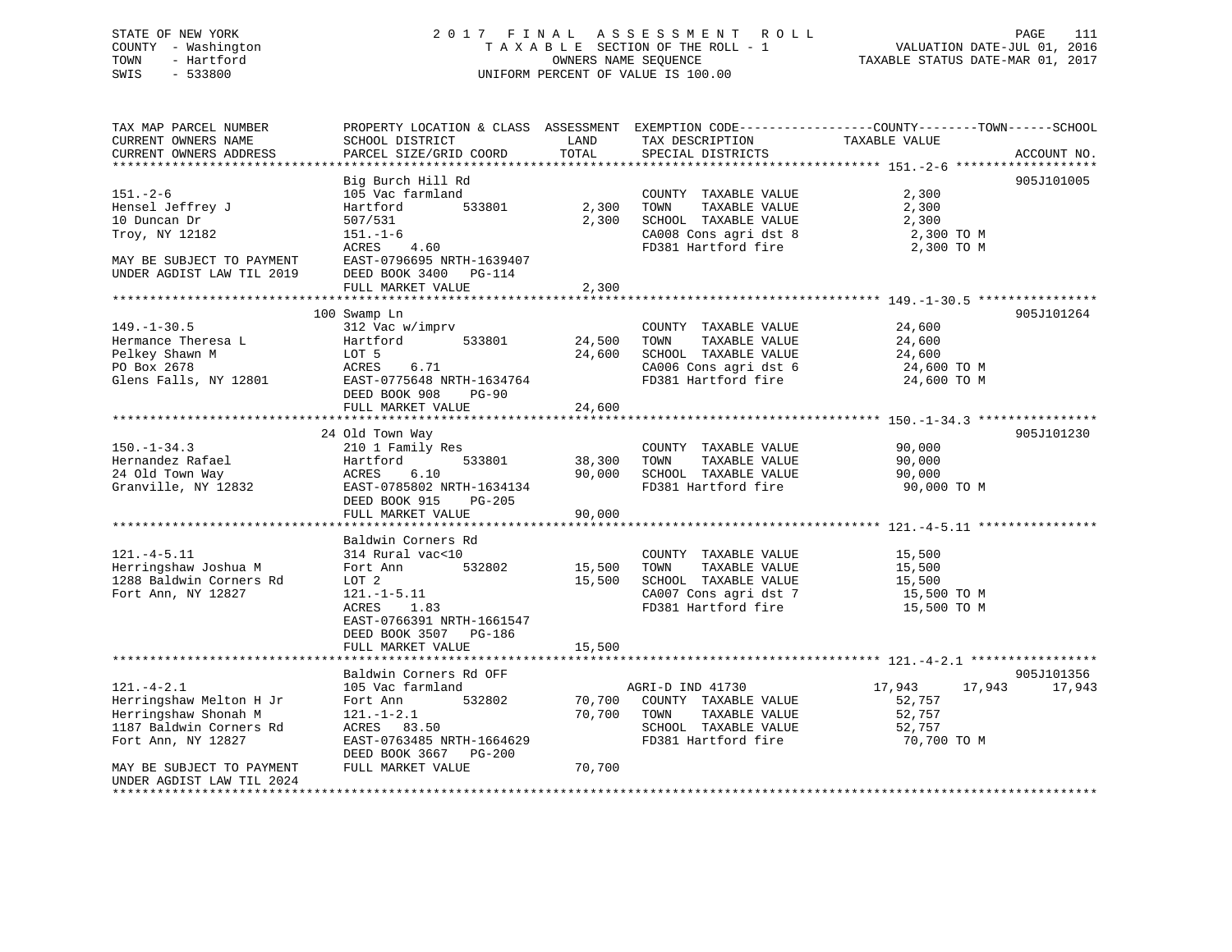## STATE OF NEW YORK 2 0 1 7 F I N A L A S S E S S M E N T R O L L PAGE 111 COUNTY - Washington T A X A B L E SECTION OF THE ROLL - 1 VALUATION DATE-JUL 01, 2016 TOWN - Hartford **TAXABLE STATUS DATE-MAR 01, 2017** SWIS - 533800 UNIFORM PERCENT OF VALUE IS 100.00

| TAX MAP PARCEL NUMBER<br>CURRENT OWNERS NAME<br>CURRENT OWNERS ADDRESS                                                                                                                                 | PROPERTY LOCATION & CLASS ASSESSMENT EXEMPTION CODE----------------COUNTY-------TOWN------SCHOOL<br>SCHOOL DISTRICT<br>PARCEL SIZE/GRID COORD                   | LAND<br>TOTAL              | TAX DESCRIPTION<br>SPECIAL DISTRICTS                                                                                  | TAXABLE VALUE                                                 | ACCOUNT NO. |
|--------------------------------------------------------------------------------------------------------------------------------------------------------------------------------------------------------|-----------------------------------------------------------------------------------------------------------------------------------------------------------------|----------------------------|-----------------------------------------------------------------------------------------------------------------------|---------------------------------------------------------------|-------------|
|                                                                                                                                                                                                        |                                                                                                                                                                 |                            |                                                                                                                       |                                                               |             |
| $151. - 2 - 6$<br>Hensel Jeffrey J<br>10 Duncan Dr<br>Troy, NY 12182<br>MAY BE SUBJECT TO PAYMENT<br>UNDER AGDIST LAW TIL 2019                                                                         | Big Burch Hill Rd<br>105 Vac farmland<br>Hartford<br>533801<br>507/531<br>$151. - 1 - 6$<br>ACRES<br>4.60<br>EAST-0796695 NRTH-1639407<br>DEED BOOK 3400 PG-114 | 2,300<br>2,300             | COUNTY TAXABLE VALUE<br>TAXABLE VALUE<br>TOWN<br>SCHOOL TAXABLE VALUE<br>CA008 Cons agri dst 8<br>FD381 Hartford fire | 2,300<br>2,300<br>2,300<br>2,300 TO M<br>2,300 TO M           | 905J101005  |
|                                                                                                                                                                                                        | FULL MARKET VALUE                                                                                                                                               | 2,300                      |                                                                                                                       |                                                               |             |
|                                                                                                                                                                                                        |                                                                                                                                                                 |                            |                                                                                                                       | ************************************** 149. -1-30. 5 ****     |             |
| $149. - 1 - 30.5$<br>Hermance Theresa L<br>Pelkey Shawn M<br>PO Box 2678<br>Glens Falls, NY 12801                                                                                                      | 100 Swamp Ln<br>312 Vac w/imprv<br>533801<br>Hartford<br>LOT 5<br>ACRES<br>6.71<br>EAST-0775648 NRTH-1634764<br>DEED BOOK 908<br>$PG-90$<br>FULL MARKET VALUE   | 24,500<br>24,600<br>24,600 | COUNTY TAXABLE VALUE<br>TAXABLE VALUE<br>TOWN<br>SCHOOL TAXABLE VALUE<br>CA006 Cons agri dst 6<br>FD381 Hartford fire | 24,600<br>24,600<br>24,600<br>24,600 TO M<br>24,600 TO M      | 905J101264  |
|                                                                                                                                                                                                        |                                                                                                                                                                 |                            |                                                                                                                       |                                                               |             |
| $150. - 1 - 34.3$<br>Hernandez Rafael<br>24 Old Town Way<br>Granville, NY 12832                                                                                                                        | 24 Old Town Way<br>210 1 Family Res<br>Hartford<br>533801<br>ACRES<br>6.10<br>EAST-0785802 NRTH-1634134<br>DEED BOOK 915<br>PG-205<br>FULL MARKET VALUE         | 38,300<br>90,000<br>90,000 | COUNTY TAXABLE VALUE<br>TOWN<br>TAXABLE VALUE<br>SCHOOL TAXABLE VALUE<br>FD381 Hartford fire                          | 90,000<br>90,000<br>90,000<br>90,000 TO M                     | 905J101230  |
|                                                                                                                                                                                                        | Baldwin Corners Rd                                                                                                                                              |                            |                                                                                                                       |                                                               |             |
| $121. -4 - 5.11$<br>Herringshaw Joshua M<br>1288 Baldwin Corners Rd<br>Fort Ann, NY 12827                                                                                                              | 314 Rural vac<10<br>532802<br>Fort Ann<br>LOT 2<br>$121. - 1 - 5.11$<br><b>ACRES</b><br>1.83<br>EAST-0766391 NRTH-1661547<br>DEED BOOK 3507<br>PG-186           | 15,500<br>15,500           | COUNTY TAXABLE VALUE<br>TOWN<br>TAXABLE VALUE<br>SCHOOL TAXABLE VALUE<br>CA007 Cons agri dst 7<br>FD381 Hartford fire | 15,500<br>15,500<br>15,500<br>15,500 TO M<br>15,500 TO M      |             |
|                                                                                                                                                                                                        | FULL MARKET VALUE                                                                                                                                               | 15,500                     |                                                                                                                       |                                                               |             |
|                                                                                                                                                                                                        | Baldwin Corners Rd OFF                                                                                                                                          |                            |                                                                                                                       |                                                               | 905J101356  |
| $121. - 4 - 2.1$<br>Herringshaw Melton H Jr<br>Herringshaw Shonah M<br>1187 Baldwin Corners Rd<br>Fort Ann, NY 12827<br>MAY BE SUBJECT TO PAYMENT<br>UNDER AGDIST LAW TIL 2024<br>******************** | 105 Vac farmland<br>532802<br>Fort Ann<br>$121. - 1 - 2.1$<br>ACRES 83.50<br>EAST-0763485 NRTH-1664629<br>DEED BOOK 3667<br>PG-200<br>FULL MARKET VALUE         | 70,700<br>70,700<br>70,700 | AGRI-D IND 41730<br>COUNTY TAXABLE VALUE<br>TOWN<br>TAXABLE VALUE<br>SCHOOL TAXABLE VALUE<br>FD381 Hartford fire      | 17,943<br>17,943<br>52,757<br>52,757<br>52,757<br>70,700 TO M | 17,943      |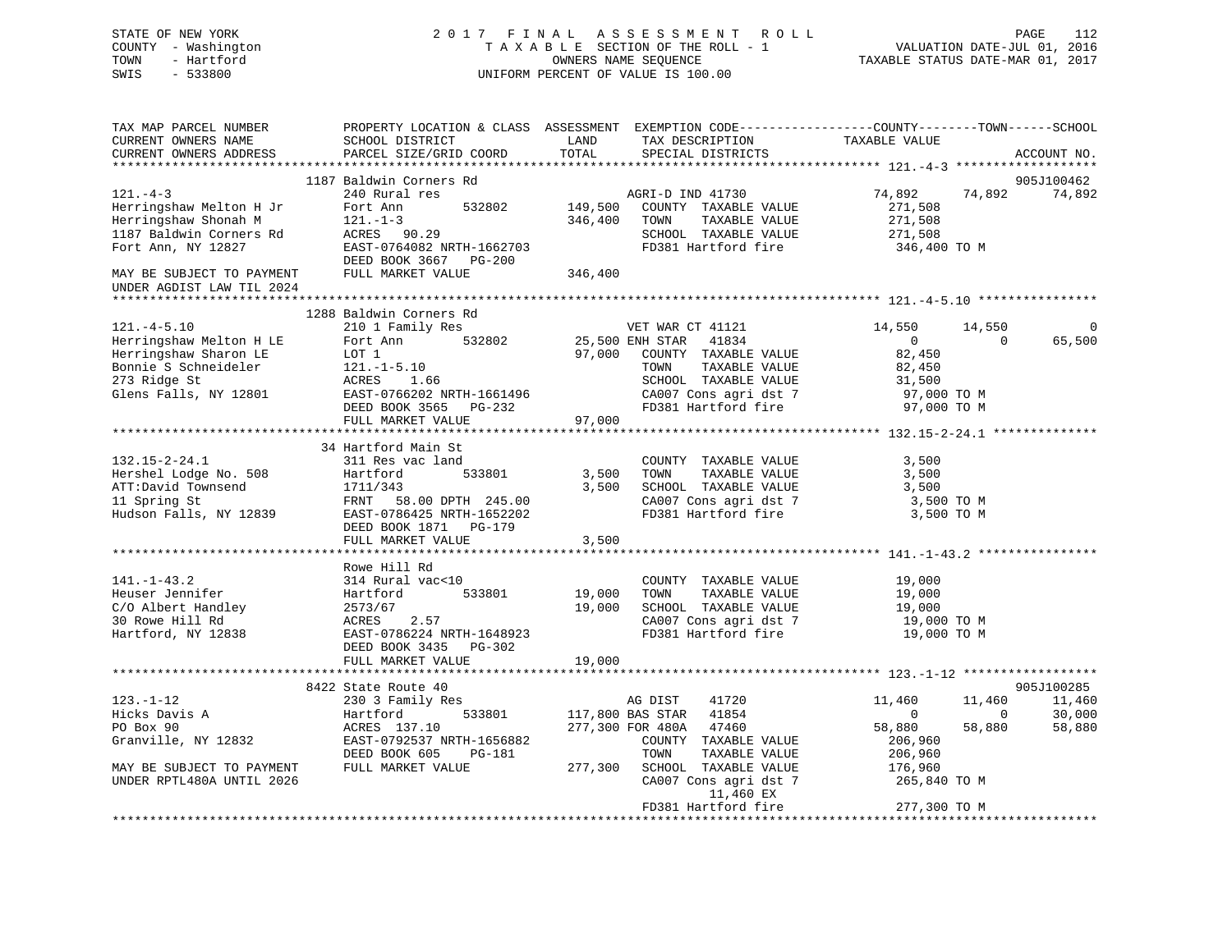STATE OF NEW YORK 2 0 1 7 F I N A L A S S E S S M E N T R O L L PAGE 112 COUNTY - Washington T A X A B L E SECTION OF THE ROLL - 1 VALUATION DATE-JUL 01, 2016 TOWN - Hartford OWNERS NAME SEQUENCE TAXABLE STATUS DATE-MAR 01, 2017 SWIS - 533800 UNIFORM PERCENT OF VALUE IS 100.00TAX MAP PARCEL NUMBER PROPERTY LOCATION & CLASS ASSESSMENT EXEMPTION CODE------------------COUNTY--------TOWN------SCHOOL CURRENT OWNERS NAME SCHOOL DISTRICT THE LAND TAX DESCRIPTION TAXABLE VALUE CURRENT OWNERS ADDRESS PARCEL SIZE/GRID COORD TOTAL SPECIAL DISTRICTS ACCOUNT NO. \*\*\*\*\*\*\*\*\*\*\*\*\*\*\*\*\*\*\*\*\*\*\*\*\*\*\*\*\*\*\*\*\*\*\*\*\*\*\*\*\*\*\*\*\*\*\*\*\*\*\*\*\*\*\*\*\*\*\*\*\*\*\*\*\*\*\*\*\*\*\*\*\*\*\*\*\*\*\*\*\*\*\*\*\*\*\*\*\*\*\*\*\*\*\*\*\*\*\*\*\*\*\* 121.-4-3 \*\*\*\*\*\*\*\*\*\*\*\*\*\*\*\*\*\*\* 1187 Baldwin Corners Rd 905J100462121.-4-3 240 Rural res AGRI-D IND 41730 74,892 74,892 74,892 Herringshaw Melton H Jr Fort Ann 532802 149,500 COUNTY TAXABLE VALUE 271,508 Herringshaw Shonah M 121.-1-3 346,400 TOWN TAXABLE VALUE 271,508 1187 Baldwin Corners Rd ACRES 90.29 SCHOOL TAXABLE VALUE 271,508 Fort Ann, NY 12827 EAST-0764082 NRTH-1662703 FD381 Hartford fire 346,400 TO M DEED BOOK 3667 PG-200 MAY BE SUBJECT TO PAYMENT FULL MARKET VALUE 346,400 UNDER AGDIST LAW TIL 2024 \*\*\*\*\*\*\*\*\*\*\*\*\*\*\*\*\*\*\*\*\*\*\*\*\*\*\*\*\*\*\*\*\*\*\*\*\*\*\*\*\*\*\*\*\*\*\*\*\*\*\*\*\*\*\*\*\*\*\*\*\*\*\*\*\*\*\*\*\*\*\*\*\*\*\*\*\*\*\*\*\*\*\*\*\*\*\*\*\*\*\*\*\*\*\*\*\*\*\*\*\*\*\* 121.-4-5.10 \*\*\*\*\*\*\*\*\*\*\*\*\*\*\*\* 1288 Baldwin Corners Rd121.-4-5.10 210 1 Family Res VET WAR CT 41121 14,550 14,550 14,550 0 Herringshaw Melton H LE Fort Ann 532802 25,500 ENH STAR 41834 0 0 65,500 Herringshaw Sharon LE LOT 1 97,000 COUNTY TAXABLE VALUE 82,450 Bonnie S Schneideler 121.-1-5.10 TOWN TAXABLE VALUE 82,450 273 Ridge St ACRES 1.66 SCHOOL TAXABLE VALUE 31,500 Glens Falls, NY 12801 EAST-0766202 NRTH-1661496 CA007 Cons agri dst 7 97,000 TO M<br>DEED BOOK 3565 PG-232 FD381 Hartford fire 97,000 TO M DEED BOOK 3565 PG-232 FD381 Hartford fire 97,000 TO M<br>FULL MARKET VALUE 97.000 FULL MARKET VALUE

|                           | 34 Hartford Main St                              |                  |                                                 |                                  |            |
|---------------------------|--------------------------------------------------|------------------|-------------------------------------------------|----------------------------------|------------|
| $132.15 - 2 - 24.1$       | 311 Res vac land                                 |                  | COUNTY TAXABLE VALUE                            | 3,500                            |            |
| Hershel Lodge No. 508     | 533801 3,500<br>Hartford                         |                  | TAXABLE VALUE<br>TOWN                           | 3,500                            |            |
|                           |                                                  | 3,500            | SCHOOL TAXABLE VALUE                            | 3,500                            |            |
|                           |                                                  |                  | CA007 Cons agri dst 7 3,500 TO M                |                                  |            |
|                           | Hudson Falls, NY 12839 EAST-0786425 NRTH-1652202 |                  | FD381 Hartford fire 3,500 TO M                  |                                  |            |
|                           | DEED BOOK 1871 PG-179                            |                  |                                                 |                                  |            |
|                           | FULL MARKET VALUE                                | 3,500            |                                                 |                                  |            |
|                           |                                                  |                  |                                                 |                                  |            |
|                           | Rowe Hill Rd                                     |                  |                                                 |                                  |            |
| $141. - 1 - 43.2$         | 314 Rural vac<10                                 |                  | COUNTY TAXABLE VALUE                            | 19,000                           |            |
| Heuser Jennifer           | Hartford<br>533801 19,000                        |                  | TOWN<br>TAXABLE VALUE                           | 19,000                           |            |
| C/O Albert Handley        | 2573/67                                          | 19,000           | SCHOOL TAXABLE VALUE                            | 19,000                           |            |
| 30 Rowe Hill Rd           | ACRES 2.57<br>EAST-0786224 NRTH-1                |                  | CA007 Cons agri dst 7 19,000 TO M               |                                  |            |
| Hartford, NY 12838        | EAST-0786224 NRTH-1648923                        |                  | FD381 Hartford fire                             | 19,000 TO M                      |            |
|                           | DEED BOOK 3435 PG-302                            |                  |                                                 |                                  |            |
|                           | FULL MARKET VALUE                                | 19,000           |                                                 |                                  |            |
|                           |                                                  |                  |                                                 |                                  |            |
|                           | 8422 State Route 40                              |                  |                                                 |                                  | 905J100285 |
| $123. - 1 - 12$           | 230 3 Family Res                                 |                  | AG DIST 41720                                   | 11,460 11,460                    | 11,460     |
| Hicks Davis A             | Hartford 533801 117,800 BAS STAR 41854           |                  |                                                 | $\overline{0}$<br>$\overline{0}$ | 30,000     |
| PO Box 90                 | ACRES 137.10                                     | 277,300 FOR 480A | 47460                                           | 58,880<br>58,880                 | 58,880     |
| Granville, NY 12832       | EAST-0792537 NRTH-1656882                        |                  | COUNTY TAXABLE VALUE 206,960                    |                                  |            |
|                           | DEED BOOK 605 PG-181                             |                  | TOWN                                            | TAXABLE VALUE 206,960            |            |
| MAY BE SUBJECT TO PAYMENT | FULL MARKET VALUE                                | 277,300          | SCHOOL TAXABLE VALUE 176,960                    |                                  |            |
| UNDER RPTL480A UNTIL 2026 |                                                  |                  | CA007 Cons agri dst 7 265,840 TO M<br>11,460 EX |                                  |            |
|                           |                                                  |                  | FD381 Hartford fire                             | 277,300 TO M                     |            |
|                           |                                                  |                  |                                                 |                                  |            |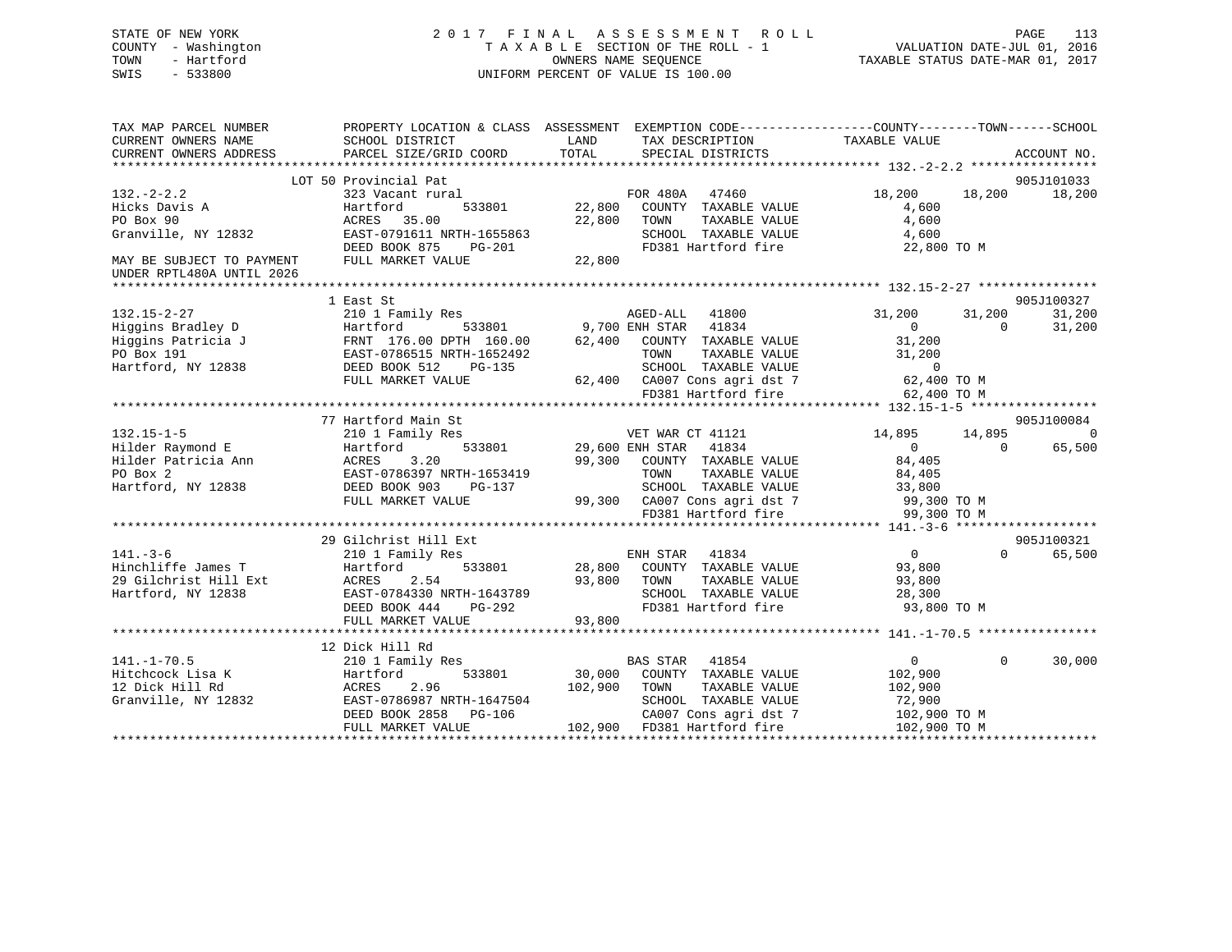## STATE OF NEW YORK 2 0 1 7 F I N A L A S S E S S M E N T R O L L PAGE 113 COUNTY - Washington T A X A B L E SECTION OF THE ROLL - 1 VALUATION DATE-JUL 01, 2016 TOWN - Hartford **TAXABLE STATUS DATE-MAR 01, 2017** SWIS - 533800 UNIFORM PERCENT OF VALUE IS 100.00

| TAX MAP PARCEL NUMBER<br>CURRENT OWNERS NAME<br>CURRENT OWNERS ADDRESS | PROPERTY LOCATION & CLASS ASSESSMENT EXEMPTION CODE----------------COUNTY-------TOWN------SCHOOL<br>SCHOOL DISTRICT<br>PARCEL SIZE/GRID COORD | LAND<br>TOTAL | TAX DESCRIPTION<br>SPECIAL DISTRICTS                               | TAXABLE VALUE              |                | ACCOUNT NO. |
|------------------------------------------------------------------------|-----------------------------------------------------------------------------------------------------------------------------------------------|---------------|--------------------------------------------------------------------|----------------------------|----------------|-------------|
|                                                                        |                                                                                                                                               |               |                                                                    |                            |                |             |
|                                                                        | LOT 50 Provincial Pat                                                                                                                         |               |                                                                    |                            |                | 905J101033  |
| $132 - 2 - 2.2$                                                        | 323 Vacant rural                                                                                                                              |               | FOR 480A 47460                                                     | 18,200 18,200              |                | 18,200      |
| Hicks Davis A                                                          | 533801<br>Hartford                                                                                                                            |               | 22,800 COUNTY TAXABLE VALUE                                        | 4,600                      |                |             |
| PO Box 90                                                              | ACRES 35.00                                                                                                                                   | 22,800        | TOWN<br>TAXABLE VALUE                                              | 4,600                      |                |             |
| Granville, NY 12832                                                    | EAST-0791611 NRTH-1655863                                                                                                                     |               | SCHOOL TAXABLE VALUE<br>FD381 Hartford fire                        | 4,600                      |                |             |
|                                                                        | $PG-201$<br>DEED BOOK 875                                                                                                                     |               |                                                                    | 22,800 TO M                |                |             |
| MAY BE SUBJECT TO PAYMENT<br>UNDER RPTL480A UNTIL 2026                 | FULL MARKET VALUE                                                                                                                             | 22,800        |                                                                    |                            |                |             |
|                                                                        |                                                                                                                                               |               |                                                                    |                            |                |             |
|                                                                        | 1 East St                                                                                                                                     |               |                                                                    |                            |                | 905J100327  |
| $132.15 - 2 - 27$                                                      | Hartford 533801 9,700 ENH STAR 41800<br>FRNT 176.00 DPTH 160.00 62,400 COUNTY TAXABLE VALUE<br>EAST-0786515 NRTH-1652492                      |               |                                                                    | 31,200                     | 31,200         | 31,200      |
| Higgins Bradley D                                                      |                                                                                                                                               |               |                                                                    | $\overline{0}$             | $\bigcirc$     | 31,200      |
| Higgins Patricia J                                                     |                                                                                                                                               |               |                                                                    | 31,200                     |                |             |
| PO Box 191                                                             |                                                                                                                                               |               | TAXABLE VALUE                                                      | 31,200                     |                |             |
| Hartford, NY 12838                                                     | DEED BOOK 512<br>PG-135                                                                                                                       |               |                                                                    |                            |                |             |
|                                                                        | FULL MARKET VALUE                                                                                                                             |               | SCHOOL TAXABLE VALUE 0<br>62,400 CA007 Cons agri dst 7 62,400 TO M |                            |                |             |
|                                                                        |                                                                                                                                               |               | FD381 Hartford fire                                                | 62,400 TO M                |                |             |
|                                                                        |                                                                                                                                               |               |                                                                    |                            |                |             |
|                                                                        | 77 Hartford Main St                                                                                                                           |               |                                                                    |                            |                | 905J100084  |
| $132.15 - 1 - 5$                                                       | 210 1 Family Res                                                                                                                              |               | VET WAR CT 41121                                                   | 14,895                     | 14,895         | $\Omega$    |
|                                                                        |                                                                                                                                               |               | VET WAR CT 41121<br>533801 29,600 ENH STAR 41834                   | $\overline{0}$             | $\overline{0}$ | 65,500      |
|                                                                        |                                                                                                                                               |               | 99,300 COUNTY TAXABLE VALUE                                        |                            |                |             |
|                                                                        |                                                                                                                                               |               | TAXABLE VALUE<br>TOWN                                              | 84,405<br>84.405<br>84,405 |                |             |
| Hartford, NY 12838 DEED BOOK 903                                       | PG-137                                                                                                                                        |               | SCHOOL TAXABLE VALUE                                               | 33,800                     |                |             |
|                                                                        | FULL MARKET VALUE                                                                                                                             |               |                                                                    | 99,300 TO M                |                |             |
|                                                                        |                                                                                                                                               |               | 99,300 CA007 Cons agri dst 7<br>FD381 Hartford fire                | 99,300 TO M                |                |             |
|                                                                        |                                                                                                                                               |               |                                                                    |                            |                |             |
|                                                                        | 29 Gilchrist Hill Ext                                                                                                                         |               |                                                                    |                            |                | 905J100321  |
| $141. - 3 - 6$                                                         | 210 1 Family Res                                                                                                                              |               |                                                                    | $\overline{0}$             | $\Omega$       | 65,500      |
|                                                                        | Hartford<br>533801                                                                                                                            |               | ENH STAR 41834<br>28,800 COUNTY TAXABLE VALUE                      | 93,800                     |                |             |
| Hinchliffe James T<br>29 Gilchrist Hill Ext                            | ACRES<br>2.54                                                                                                                                 | 93,800 TOWN   | TAXABLE VALUE                                                      | 93,800                     |                |             |
| Hartford, NY 12838                                                     | EAST-0784330 NRTH-1643789                                                                                                                     |               |                                                                    | 28,300                     |                |             |
|                                                                        | DEED BOOK 444<br>PG-292                                                                                                                       |               | SCHOOL TAXABLE VALUE<br>FD381 Hartford fire                        | 93,800 TO M                |                |             |
|                                                                        | FULL MARKET VALUE                                                                                                                             | 93,800        |                                                                    |                            |                |             |
|                                                                        |                                                                                                                                               |               |                                                                    |                            |                |             |
|                                                                        |                                                                                                                                               |               |                                                                    |                            |                |             |
|                                                                        | 12 Dick Hill Rd                                                                                                                               |               |                                                                    |                            |                |             |
| $141. - 1 - 70.5$<br>Hitchcock Lisa K<br>Hitchcock Lisa K<br>All Rd    | 210 1 Family Res                                                                                                                              |               | <b>BAS STAR</b> 41854                                              | $\Omega$                   | $\Omega$       | 30,000      |
|                                                                        | 533801<br>Hartford                                                                                                                            |               | 30,000 COUNTY TAXABLE VALUE                                        | 102,900                    |                |             |
|                                                                        | 2.96<br>ACRES                                                                                                                                 | 102,900 TOWN  | TAXABLE VALUE                                                      | 102,900                    |                |             |
| Granville, NY 12832                                                    | EAST-0786987 NRTH-1647504                                                                                                                     |               | SCHOOL TAXABLE VALUE                                               | 72,900                     |                |             |
|                                                                        | DEED BOOK 2858 PG-106<br>DEED BOOK 2858 PG-106                                                                                                |               | CA007 Cons agri dst 7                                              | 102,900 TO M               |                |             |
|                                                                        | FULL MARKET VALUE                                                                                                                             |               | 102,900 FD381 Hartford fire                                        | 102,900 TO M               |                |             |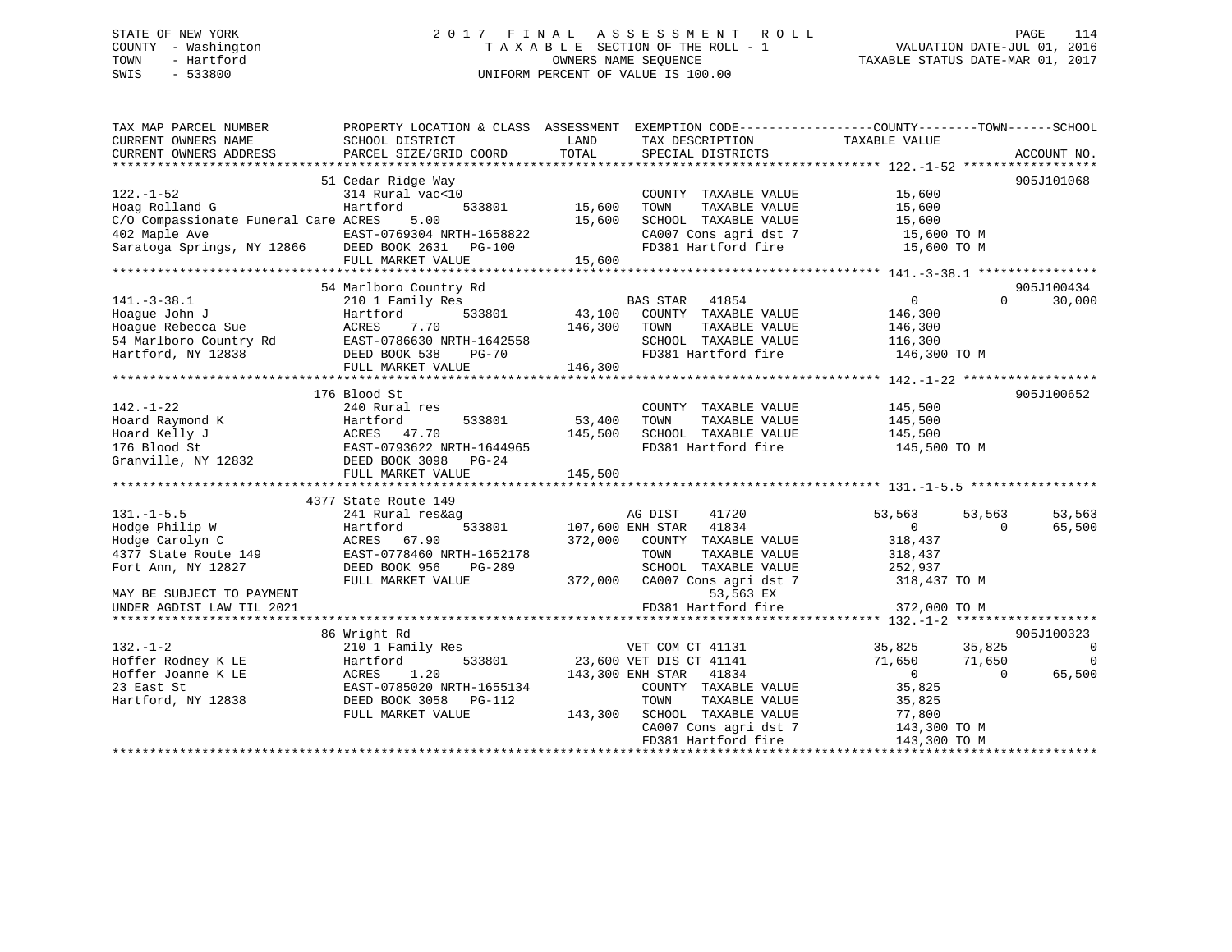## STATE OF NEW YORK 2 0 1 7 F I N A L A S S E S S M E N T R O L L PAGE 114 COUNTY - Washington T A X A B L E SECTION OF THE ROLL - 1 VALUATION DATE-JUL 01, 2016 TOWN - Hartford **TAXABLE STATUS DATE-MAR 01, 2017** SWIS - 533800 UNIFORM PERCENT OF VALUE IS 100.00

| TAX MAP PARCEL NUMBER<br>CURRENT OWNERS NAME<br>CURRENT OWNERS ADDRESS | PROPERTY LOCATION & CLASS ASSESSMENT EXEMPTION CODE---------------COUNTY-------TOWN-----SCHOOL<br>SCHOOL DISTRICT<br>PARCEL SIZE/GRID COORD | LAND<br>TOTAL    | TAX DESCRIPTION<br>SPECIAL DISTRICTS | TAXABLE VALUE              | ACCOUNT NO.    |
|------------------------------------------------------------------------|---------------------------------------------------------------------------------------------------------------------------------------------|------------------|--------------------------------------|----------------------------|----------------|
|                                                                        |                                                                                                                                             |                  |                                      |                            |                |
|                                                                        | 51 Cedar Ridge Way                                                                                                                          |                  |                                      |                            | 905J101068     |
| $122. - 1 - 52$                                                        | 314 Rural vac<10                                                                                                                            |                  | COUNTY TAXABLE VALUE                 | 15,600                     |                |
| Hoag Rolland G                                                         | Hartford<br>533801                                                                                                                          | 15,600           | TOWN<br>TAXABLE VALUE                | 15,600                     |                |
| C/O Compassionate Funeral Care ACRES                                   | 5.00                                                                                                                                        | 15,600           | SCHOOL TAXABLE VALUE                 | 15,600                     |                |
| 402 Maple Ave                                                          | EAST-0769304 NRTH-1658822                                                                                                                   |                  | CA007 Cons agri dst 7                | 15,600 TO M                |                |
| Saratoga Springs, NY 12866 DEED BOOK 2631 PG-100                       |                                                                                                                                             |                  | FD381 Hartford fire                  | 15,600 TO M                |                |
|                                                                        | FULL MARKET VALUE                                                                                                                           | 15,600           |                                      |                            |                |
|                                                                        |                                                                                                                                             |                  |                                      |                            |                |
|                                                                        | 54 Marlboro Country Rd                                                                                                                      |                  |                                      |                            | 905J100434     |
| $141. - 3 - 38.1$                                                      | 210 1 Family Res                                                                                                                            |                  | BAS STAR<br>41854                    | $\Omega$<br>$\overline{0}$ | 30,000         |
| Hoaque John J                                                          | 533801<br>Hartford                                                                                                                          | 43,100           | COUNTY TAXABLE VALUE                 | 146,300                    |                |
| Hoague Rebecca Sue                                                     | <b>ACRES</b><br>7.70                                                                                                                        | 146,300          | TAXABLE VALUE<br>TOWN                | 146,300                    |                |
| 54 Marlboro Country Rd                                                 | EAST-0786630 NRTH-1642558                                                                                                                   |                  | SCHOOL TAXABLE VALUE                 | 116,300                    |                |
| Hartford, NY 12838                                                     | DEED BOOK 538<br><b>PG-70</b>                                                                                                               |                  | FD381 Hartford fire                  | 146,300 TO M               |                |
|                                                                        | FULL MARKET VALUE                                                                                                                           | 146,300          |                                      |                            |                |
|                                                                        |                                                                                                                                             |                  |                                      |                            |                |
|                                                                        | 176 Blood St                                                                                                                                |                  |                                      |                            | 905J100652     |
| $142. - 1 - 22$                                                        | 240 Rural res                                                                                                                               |                  | COUNTY TAXABLE VALUE                 | 145,500                    |                |
| Hoard Raymond K                                                        | 533801<br>Hartford                                                                                                                          | 53,400           | TAXABLE VALUE<br>TOWN                | 145,500                    |                |
| Hoard Kelly J                                                          | ACRES 47.70                                                                                                                                 | 145,500          | SCHOOL TAXABLE VALUE                 | 145,500                    |                |
| 176 Blood St                                                           | EAST-0793622 NRTH-1644965                                                                                                                   |                  | FD381 Hartford fire                  | 145,500 TO M               |                |
| Granville, NY 12832                                                    | DEED BOOK 3098<br>PG-24                                                                                                                     |                  |                                      |                            |                |
|                                                                        | FULL MARKET VALUE                                                                                                                           | 145,500          |                                      |                            |                |
|                                                                        |                                                                                                                                             |                  |                                      |                            |                |
|                                                                        |                                                                                                                                             |                  |                                      |                            |                |
|                                                                        | 4377 State Route 149                                                                                                                        |                  |                                      |                            |                |
| $131. -1 - 5.5$                                                        | 241 Rural res&ag                                                                                                                            |                  | 41720<br>AG DIST                     | 53,563<br>53,563           | 53,563         |
| Hodge Philip W                                                         | 533801<br>Hartford                                                                                                                          | 107,600 ENH STAR | 41834                                | $\overline{0}$<br>$\Omega$ | 65,500         |
| Hodge Carolyn C                                                        | ACRES 67.90                                                                                                                                 | 372,000          | COUNTY TAXABLE VALUE                 | 318,437                    |                |
| 4377 State Route 149                                                   | EAST-0778460 NRTH-1652178                                                                                                                   |                  | TAXABLE VALUE<br>TOWN                | 318,437                    |                |
| Fort Ann, NY 12827                                                     | DEED BOOK 956<br>PG-289                                                                                                                     |                  | SCHOOL TAXABLE VALUE                 | 252,937                    |                |
|                                                                        | FULL MARKET VALUE                                                                                                                           |                  | 372,000 CA007 Cons agri dst 7        | 318,437 TO M               |                |
| MAY BE SUBJECT TO PAYMENT                                              |                                                                                                                                             |                  | 53,563 EX                            |                            |                |
| UNDER AGDIST LAW TIL 2021                                              |                                                                                                                                             |                  | FD381 Hartford fire                  | 372,000 TO M               |                |
|                                                                        |                                                                                                                                             |                  |                                      |                            |                |
|                                                                        | 86 Wright Rd                                                                                                                                |                  |                                      |                            | 905J100323     |
| $132. - 1 - 2$                                                         | 210 1 Family Res                                                                                                                            |                  | VET COM CT 41131                     | 35,825<br>35,825           | $\overline{0}$ |
| Hoffer Rodney K LE                                                     | 533801<br>Hartford                                                                                                                          |                  | 23,600 VET DIS CT 41141              | 71,650<br>71,650           | $\overline{0}$ |
| Hoffer Joanne K LE                                                     | 1.20<br>ACRES                                                                                                                               |                  | 143,300 ENH STAR 41834               | $\overline{0}$<br>$\Omega$ | 65,500         |
| 23 East St                                                             | EAST-0785020 NRTH-1655134                                                                                                                   |                  | COUNTY TAXABLE VALUE                 | 35,825                     |                |
| Hartford, NY 12838                                                     | DEED BOOK 3058<br>PG-112                                                                                                                    |                  | TOWN<br>TAXABLE VALUE                | 35,825                     |                |
|                                                                        | FULL MARKET VALUE                                                                                                                           | 143,300          | SCHOOL TAXABLE VALUE                 | 77,800                     |                |
|                                                                        |                                                                                                                                             |                  | CA007 Cons agri dst 7                | 143,300 TO M               |                |
|                                                                        |                                                                                                                                             |                  | FD381 Hartford fire                  | 143,300 TO M               |                |
|                                                                        |                                                                                                                                             |                  |                                      |                            |                |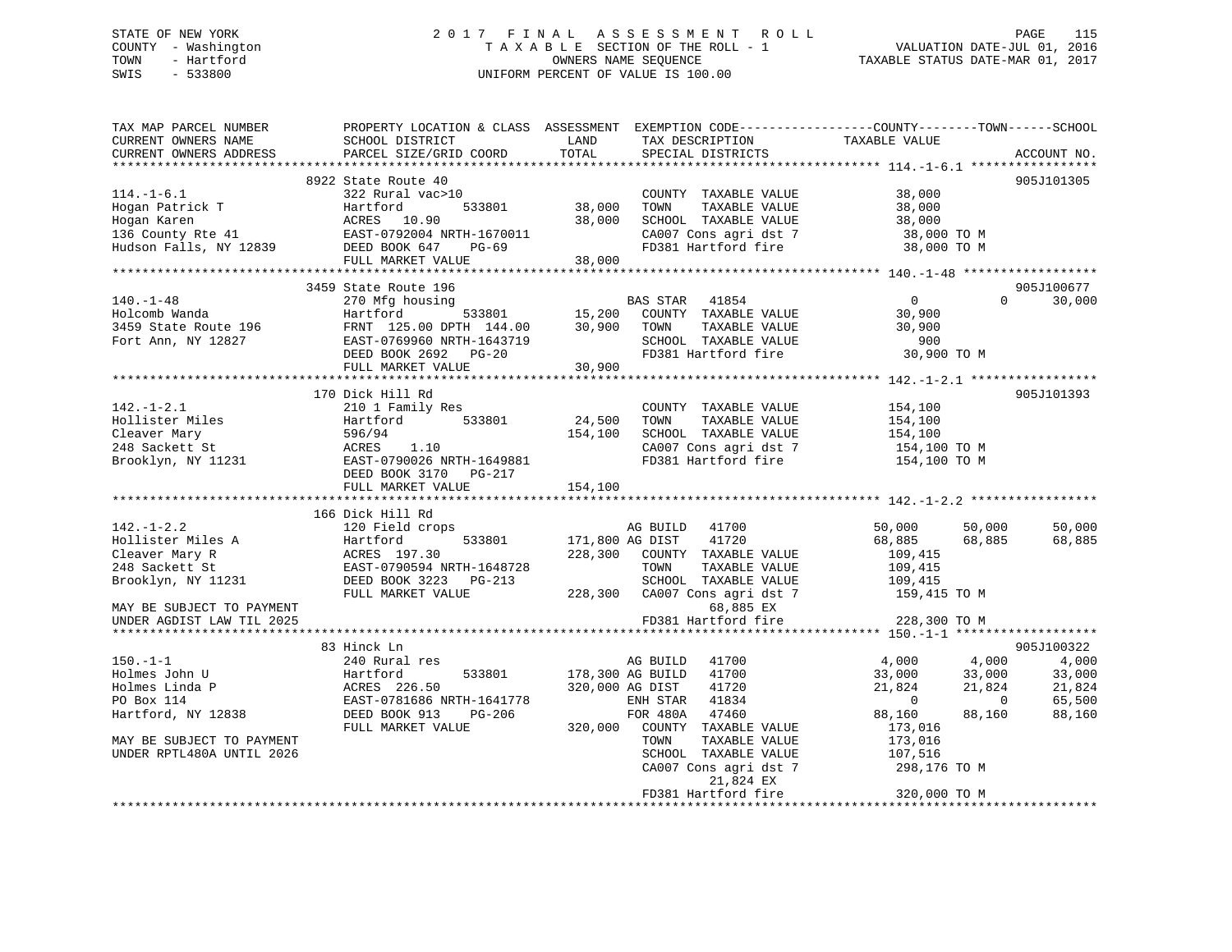## STATE OF NEW YORK 2 0 1 7 F I N A L A S S E S S M E N T R O L L PAGE 115 COUNTY - Washington T A X A B L E SECTION OF THE ROLL - 1 VALUATION DATE-JUL 01, 2016 TOWN - Hartford OWNERS NAME SEQUENCE TAXABLE STATUS DATE-MAR 01, 2017 SWIS - 533800 UNIFORM PERCENT OF VALUE IS 100.00UNIFORM PERCENT OF VALUE IS 100.00

| TAX MAP PARCEL NUMBER<br>CURRENT OWNERS NAME<br>CURRENT OWNERS ADDRESS | SCHOOL DISTRICT<br>PARCEL SIZE/GRID COORD | LAND<br>TOTAL    | TAX DESCRIPTION<br>SPECIAL DISTRICTS | PROPERTY LOCATION & CLASS ASSESSMENT EXEMPTION CODE----------------COUNTY-------TOWN------SCHOOL<br>TAXABLE VALUE | ACCOUNT NO. |
|------------------------------------------------------------------------|-------------------------------------------|------------------|--------------------------------------|-------------------------------------------------------------------------------------------------------------------|-------------|
|                                                                        |                                           |                  |                                      |                                                                                                                   |             |
|                                                                        | 8922 State Route 40                       |                  |                                      |                                                                                                                   | 905J101305  |
| $114. - 1 - 6.1$                                                       | 322 Rural vac>10                          |                  | COUNTY TAXABLE VALUE                 | 38,000                                                                                                            |             |
| Hogan Patrick T                                                        | Hartford<br>533801                        | 38,000           | TOWN<br>TAXABLE VALUE                | 38,000                                                                                                            |             |
| Hogan Karen                                                            | ACRES 10.90                               | 38,000           | SCHOOL TAXABLE VALUE                 | 38,000                                                                                                            |             |
| $136$ County Rte $41$                                                  | EAST-0792004 NRTH-1670011                 |                  | CA007 Cons agri dst 7                | 38,000 TO M                                                                                                       |             |
| Hudson Falls, NY 12839                                                 | DEED BOOK 647<br>PG-69                    |                  | FD381 Hartford fire                  | 38,000 TO M                                                                                                       |             |
|                                                                        | FULL MARKET VALUE                         | 38,000           |                                      |                                                                                                                   |             |
|                                                                        |                                           |                  |                                      |                                                                                                                   |             |
|                                                                        | 3459 State Route 196                      |                  |                                      |                                                                                                                   | 905J100677  |
| $140. - 1 - 48$                                                        | 270 Mfg housing                           |                  | BAS STAR<br>41854                    | $\overline{0}$<br>$\Omega$                                                                                        | 30,000      |
| Holcomb Wanda                                                          | Hartford<br>533801                        | 15,200           | COUNTY TAXABLE VALUE                 | 30,900                                                                                                            |             |
| 3459 State Route 196                                                   | FRNT 125.00 DPTH 144.00                   | 30,900           | TOWN<br>TAXABLE VALUE                | 30,900                                                                                                            |             |
| Fort Ann, NY 12827                                                     | EAST-0769960 NRTH-1643719                 |                  | SCHOOL TAXABLE VALUE                 | 900                                                                                                               |             |
|                                                                        | DEED BOOK 2692 PG-20                      |                  | FD381 Hartford fire                  | 30,900 TO M                                                                                                       |             |
|                                                                        | FULL MARKET VALUE                         | 30,900           |                                      |                                                                                                                   |             |
|                                                                        |                                           |                  |                                      |                                                                                                                   |             |
|                                                                        | 170 Dick Hill Rd                          |                  |                                      |                                                                                                                   | 905J101393  |
| $142. - 1 - 2.1$                                                       | 210 1 Family Res                          |                  | COUNTY TAXABLE VALUE                 | 154,100                                                                                                           |             |
| Hollister Miles                                                        | Hartford<br>533801                        | 24,500           | TAXABLE VALUE<br>TOWN                | 154,100                                                                                                           |             |
| Cleaver Mary                                                           | 596/94                                    | 154,100          | SCHOOL TAXABLE VALUE                 | 154,100                                                                                                           |             |
| 248 Sackett St                                                         | ACRES<br>1.10                             |                  | CA007 Cons agri dst 7                | 154,100 TO M                                                                                                      |             |
| Brooklyn, NY 11231                                                     | EAST-0790026 NRTH-1649881                 |                  | FD381 Hartford fire                  | 154,100 TO M                                                                                                      |             |
|                                                                        | DEED BOOK 3170 PG-217                     |                  |                                      |                                                                                                                   |             |
|                                                                        | FULL MARKET VALUE                         | 154,100          |                                      |                                                                                                                   |             |
|                                                                        |                                           |                  |                                      |                                                                                                                   |             |
|                                                                        | 166 Dick Hill Rd                          |                  |                                      |                                                                                                                   |             |
| $142. - 1 - 2.2$                                                       | 120 Field crops                           |                  | AG BUILD<br>41700                    | 50,000<br>50,000                                                                                                  | 50,000      |
| Hollister Miles A                                                      | 533801<br>Hartford                        | 171,800 AG DIST  | 41720                                | 68,885<br>68,885                                                                                                  | 68,885      |
| Cleaver Mary R                                                         | ACRES 197.30                              | 228,300          | COUNTY TAXABLE VALUE                 | 109,415                                                                                                           |             |
| 248 Sackett St                                                         | EAST-0790594 NRTH-1648728                 |                  | TOWN<br>TAXABLE VALUE                | 109,415                                                                                                           |             |
| Brooklyn, NY 11231                                                     | DEED BOOK 3223 PG-213                     |                  | SCHOOL TAXABLE VALUE                 | 109,415                                                                                                           |             |
|                                                                        | FULL MARKET VALUE                         | 228,300          | CA007 Cons agri dst 7                | 159,415 TO M                                                                                                      |             |
| MAY BE SUBJECT TO PAYMENT                                              |                                           |                  | 68,885 EX                            |                                                                                                                   |             |
| UNDER AGDIST LAW TIL 2025                                              |                                           |                  | FD381 Hartford fire                  | 228,300 TO M                                                                                                      |             |
|                                                                        |                                           |                  |                                      |                                                                                                                   |             |
|                                                                        | 83 Hinck Ln                               |                  |                                      |                                                                                                                   | 905J100322  |
| $150.-1-1$                                                             | 240 Rural res                             |                  | AG BUILD<br>41700                    | 4,000<br>4,000                                                                                                    | 4,000       |
| Holmes John U                                                          | 533801<br>Hartford                        | 178,300 AG BUILD | 41700                                | 33,000<br>33,000                                                                                                  | 33,000      |
| Holmes Linda P                                                         | ACRES 226.50                              | 320,000 AG DIST  | 41720                                | 21,824<br>21,824                                                                                                  | 21,824      |
| PO Box 114                                                             | EAST-0781686 NRTH-1641778                 |                  | ENH STAR<br>41834                    | $\overline{\phantom{0}}$<br>$\overline{0}$                                                                        | 65,500      |
| Hartford, NY 12838                                                     | DEED BOOK 913<br>PG-206                   |                  | FOR 480A<br>47460                    | 88,160<br>88,160                                                                                                  | 88,160      |
|                                                                        | FULL MARKET VALUE                         | 320,000          | COUNTY TAXABLE VALUE                 | 173,016                                                                                                           |             |
| MAY BE SUBJECT TO PAYMENT                                              |                                           |                  | TOWN<br>TAXABLE VALUE                | 173,016                                                                                                           |             |
| UNDER RPTL480A UNTIL 2026                                              |                                           |                  | SCHOOL TAXABLE VALUE                 | 107,516                                                                                                           |             |
|                                                                        |                                           |                  | CA007 Cons agri dst 7                | 298,176 TO M                                                                                                      |             |
|                                                                        |                                           |                  | 21,824 EX                            |                                                                                                                   |             |
|                                                                        |                                           |                  | FD381 Hartford fire                  | 320,000 TO M                                                                                                      |             |
|                                                                        |                                           |                  |                                      |                                                                                                                   |             |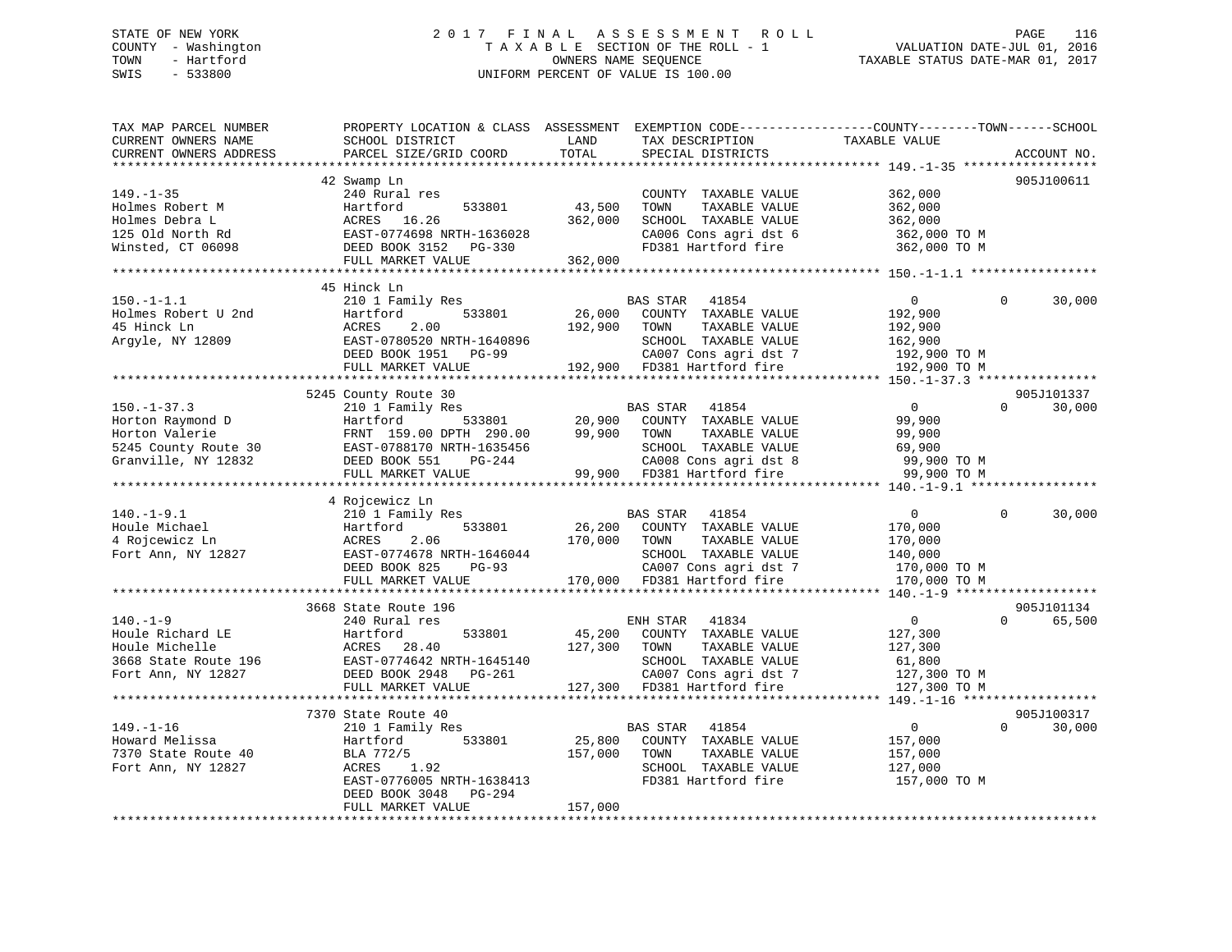## STATE OF NEW YORK 2 0 1 7 F I N A L A S S E S S M E N T R O L L PAGE 116 COUNTY - Washington T A X A B L E SECTION OF THE ROLL - 1 VALUATION DATE-JUL 01, 2016 TOWN - Hartford **TAXABLE STATUS DATE-MAR 01, 2017** SWIS - 533800 UNIFORM PERCENT OF VALUE IS 100.00

| 905J100611<br>42 Swamp Ln<br>362,000<br>$149. - 1 - 35$<br>240 Rural res<br>COUNTY TAXABLE VALUE<br>43,500<br>TAXABLE VALUE<br>Holmes Robert M<br>Hartford<br>533801<br>TOWN<br>362,000<br>Holmes Debra L<br>362,000<br>SCHOOL TAXABLE VALUE<br>ACRES 16.26<br>362,000<br>125 Old North Rd<br>EAST-0774698 NRTH-1636028<br>CA006 Cons agri dst 6<br>362,000 TO M<br>Winsted, CT 06098<br>DEED BOOK 3152 PG-330<br>FD381 Hartford fire<br>362,000 TO M<br>362,000<br>FULL MARKET VALUE<br>45 Hinck Ln<br>$150. - 1 - 1.1$<br>210 1 Family Res<br>$\mathbf{0}$<br>$\Omega$<br>30,000<br><b>BAS STAR</b><br>41854<br>26,000<br>Holmes Robert U 2nd<br>Hartford<br>533801<br>COUNTY TAXABLE VALUE<br>192,900<br>45 Hinck Ln<br>ACRES<br>2.00<br>192,900<br>TAXABLE VALUE<br>192,900<br>TOWN<br>Argyle, NY 12809<br>EAST-0780520 NRTH-1640896<br>SCHOOL TAXABLE VALUE<br>162,900<br>DEED BOOK 1951<br>CA007 Cons agri dst 7<br>192,900 TO M<br><b>PG-99</b><br>FULL MARKET VALUE<br>192,900 FD381 Hartford fire<br>192,900 TO M<br>5245 County Route 30<br>905J101337<br><b>BAS STAR</b><br>41854<br>$\overline{0}$<br>$\Omega$<br>30,000<br>$150. - 1 - 37.3$<br>210 1 Family Res<br>Horton Raymond D<br>20,900<br>COUNTY TAXABLE VALUE<br>Hartford<br>533801<br>99,900<br>Horton Valerie<br>99,900<br>FRNT 159.00 DPTH 290.00<br>TOWN<br>TAXABLE VALUE<br>99,900<br>5245 County Route 30<br>EAST-0788170 NRTH-1635456<br>SCHOOL TAXABLE VALUE<br>69,900<br>CA008 Cons agri dst 8<br>Granville, NY 12832<br>DEED BOOK 551<br>99,900 TO M<br>PG-244<br>FULL MARKET VALUE<br>99,900<br>FD381 Hartford fire<br>99,900 TO M<br>******* 140.-1-9.1 *****<br>4 Rojcewicz Ln<br>41854<br>$\overline{0}$<br>$\mathbf 0$<br>30,000<br>210 1 Family Res<br>BAS STAR<br>26,200<br>Hartford<br>533801<br>COUNTY TAXABLE VALUE<br>170,000<br>2.06<br>170,000<br>TAXABLE VALUE<br>ACRES<br>TOWN<br>170,000<br>SCHOOL TAXABLE VALUE<br>EAST-0774678 NRTH-1646044<br>140,000<br>DEED BOOK 825<br>PG-93<br>CA007 Cons agri dst 7<br>170,000 TO M<br>170,000 FD381 Hartford fire<br>FULL MARKET VALUE<br>170,000 TO M<br>3668 State Route 196<br>905J101134<br>240 Rural res<br>41834<br>$\overline{0}$<br>$\Omega$<br>65,500<br>ENH STAR<br>45,200<br>Hartford<br>533801<br>COUNTY TAXABLE VALUE<br>127,300<br>127,300<br>ACRES<br>28.40<br>TOWN<br>TAXABLE VALUE<br>127,300<br>EAST-0774642 NRTH-1645140<br>SCHOOL TAXABLE VALUE<br>61,800<br>DEED BOOK 2948<br>CA007 Cons agri dst 7<br>PG-261<br>127,300 TO M<br>FULL MARKET VALUE<br>127,300 FD381 Hartford fire<br>127,300 TO M<br>**********************<br>*******************************<br>905J100317<br>7370 State Route 40<br>41854<br>$\overline{0}$<br>$\Omega$<br>30,000<br>210 1 Family Res<br>BAS STAR<br>25,800<br>Hartford<br>533801<br>COUNTY TAXABLE VALUE<br>157,000<br>BLA 772/5<br>157,000<br>TOWN<br>TAXABLE VALUE<br>157,000<br>ACRES<br>1.92<br>SCHOOL TAXABLE VALUE<br>127,000<br>FD381 Hartford fire<br>EAST-0776005 NRTH-1638413<br>157,000 TO M<br>DEED BOOK 3048<br>PG-294<br>FULL MARKET VALUE<br>157,000 | TAX MAP PARCEL NUMBER<br>CURRENT OWNERS NAME | PROPERTY LOCATION & CLASS ASSESSMENT EXEMPTION CODE---------------COUNTY-------TOWN-----SCHOOL<br>SCHOOL DISTRICT | LAND  | TAX DESCRIPTION   | TAXABLE VALUE |             |
|-----------------------------------------------------------------------------------------------------------------------------------------------------------------------------------------------------------------------------------------------------------------------------------------------------------------------------------------------------------------------------------------------------------------------------------------------------------------------------------------------------------------------------------------------------------------------------------------------------------------------------------------------------------------------------------------------------------------------------------------------------------------------------------------------------------------------------------------------------------------------------------------------------------------------------------------------------------------------------------------------------------------------------------------------------------------------------------------------------------------------------------------------------------------------------------------------------------------------------------------------------------------------------------------------------------------------------------------------------------------------------------------------------------------------------------------------------------------------------------------------------------------------------------------------------------------------------------------------------------------------------------------------------------------------------------------------------------------------------------------------------------------------------------------------------------------------------------------------------------------------------------------------------------------------------------------------------------------------------------------------------------------------------------------------------------------------------------------------------------------------------------------------------------------------------------------------------------------------------------------------------------------------------------------------------------------------------------------------------------------------------------------------------------------------------------------------------------------------------------------------------------------------------------------------------------------------------------------------------------------------------------------------------------------------------------------------------------------------------------------------------------------------------------------------------------------------------------------------------------------------------------------------------------------------------------------------------------------------------------------------------------------------------------------------------------------------|----------------------------------------------|-------------------------------------------------------------------------------------------------------------------|-------|-------------------|---------------|-------------|
|                                                                                                                                                                                                                                                                                                                                                                                                                                                                                                                                                                                                                                                                                                                                                                                                                                                                                                                                                                                                                                                                                                                                                                                                                                                                                                                                                                                                                                                                                                                                                                                                                                                                                                                                                                                                                                                                                                                                                                                                                                                                                                                                                                                                                                                                                                                                                                                                                                                                                                                                                                                                                                                                                                                                                                                                                                                                                                                                                                                                                                                                       | CURRENT OWNERS ADDRESS                       | PARCEL SIZE/GRID COORD                                                                                            | TOTAL | SPECIAL DISTRICTS |               | ACCOUNT NO. |
|                                                                                                                                                                                                                                                                                                                                                                                                                                                                                                                                                                                                                                                                                                                                                                                                                                                                                                                                                                                                                                                                                                                                                                                                                                                                                                                                                                                                                                                                                                                                                                                                                                                                                                                                                                                                                                                                                                                                                                                                                                                                                                                                                                                                                                                                                                                                                                                                                                                                                                                                                                                                                                                                                                                                                                                                                                                                                                                                                                                                                                                                       |                                              |                                                                                                                   |       |                   |               |             |
|                                                                                                                                                                                                                                                                                                                                                                                                                                                                                                                                                                                                                                                                                                                                                                                                                                                                                                                                                                                                                                                                                                                                                                                                                                                                                                                                                                                                                                                                                                                                                                                                                                                                                                                                                                                                                                                                                                                                                                                                                                                                                                                                                                                                                                                                                                                                                                                                                                                                                                                                                                                                                                                                                                                                                                                                                                                                                                                                                                                                                                                                       |                                              |                                                                                                                   |       |                   |               |             |
|                                                                                                                                                                                                                                                                                                                                                                                                                                                                                                                                                                                                                                                                                                                                                                                                                                                                                                                                                                                                                                                                                                                                                                                                                                                                                                                                                                                                                                                                                                                                                                                                                                                                                                                                                                                                                                                                                                                                                                                                                                                                                                                                                                                                                                                                                                                                                                                                                                                                                                                                                                                                                                                                                                                                                                                                                                                                                                                                                                                                                                                                       |                                              |                                                                                                                   |       |                   |               |             |
|                                                                                                                                                                                                                                                                                                                                                                                                                                                                                                                                                                                                                                                                                                                                                                                                                                                                                                                                                                                                                                                                                                                                                                                                                                                                                                                                                                                                                                                                                                                                                                                                                                                                                                                                                                                                                                                                                                                                                                                                                                                                                                                                                                                                                                                                                                                                                                                                                                                                                                                                                                                                                                                                                                                                                                                                                                                                                                                                                                                                                                                                       |                                              |                                                                                                                   |       |                   |               |             |
|                                                                                                                                                                                                                                                                                                                                                                                                                                                                                                                                                                                                                                                                                                                                                                                                                                                                                                                                                                                                                                                                                                                                                                                                                                                                                                                                                                                                                                                                                                                                                                                                                                                                                                                                                                                                                                                                                                                                                                                                                                                                                                                                                                                                                                                                                                                                                                                                                                                                                                                                                                                                                                                                                                                                                                                                                                                                                                                                                                                                                                                                       |                                              |                                                                                                                   |       |                   |               |             |
|                                                                                                                                                                                                                                                                                                                                                                                                                                                                                                                                                                                                                                                                                                                                                                                                                                                                                                                                                                                                                                                                                                                                                                                                                                                                                                                                                                                                                                                                                                                                                                                                                                                                                                                                                                                                                                                                                                                                                                                                                                                                                                                                                                                                                                                                                                                                                                                                                                                                                                                                                                                                                                                                                                                                                                                                                                                                                                                                                                                                                                                                       |                                              |                                                                                                                   |       |                   |               |             |
|                                                                                                                                                                                                                                                                                                                                                                                                                                                                                                                                                                                                                                                                                                                                                                                                                                                                                                                                                                                                                                                                                                                                                                                                                                                                                                                                                                                                                                                                                                                                                                                                                                                                                                                                                                                                                                                                                                                                                                                                                                                                                                                                                                                                                                                                                                                                                                                                                                                                                                                                                                                                                                                                                                                                                                                                                                                                                                                                                                                                                                                                       |                                              |                                                                                                                   |       |                   |               |             |
|                                                                                                                                                                                                                                                                                                                                                                                                                                                                                                                                                                                                                                                                                                                                                                                                                                                                                                                                                                                                                                                                                                                                                                                                                                                                                                                                                                                                                                                                                                                                                                                                                                                                                                                                                                                                                                                                                                                                                                                                                                                                                                                                                                                                                                                                                                                                                                                                                                                                                                                                                                                                                                                                                                                                                                                                                                                                                                                                                                                                                                                                       |                                              |                                                                                                                   |       |                   |               |             |
|                                                                                                                                                                                                                                                                                                                                                                                                                                                                                                                                                                                                                                                                                                                                                                                                                                                                                                                                                                                                                                                                                                                                                                                                                                                                                                                                                                                                                                                                                                                                                                                                                                                                                                                                                                                                                                                                                                                                                                                                                                                                                                                                                                                                                                                                                                                                                                                                                                                                                                                                                                                                                                                                                                                                                                                                                                                                                                                                                                                                                                                                       |                                              |                                                                                                                   |       |                   |               |             |
|                                                                                                                                                                                                                                                                                                                                                                                                                                                                                                                                                                                                                                                                                                                                                                                                                                                                                                                                                                                                                                                                                                                                                                                                                                                                                                                                                                                                                                                                                                                                                                                                                                                                                                                                                                                                                                                                                                                                                                                                                                                                                                                                                                                                                                                                                                                                                                                                                                                                                                                                                                                                                                                                                                                                                                                                                                                                                                                                                                                                                                                                       |                                              |                                                                                                                   |       |                   |               |             |
|                                                                                                                                                                                                                                                                                                                                                                                                                                                                                                                                                                                                                                                                                                                                                                                                                                                                                                                                                                                                                                                                                                                                                                                                                                                                                                                                                                                                                                                                                                                                                                                                                                                                                                                                                                                                                                                                                                                                                                                                                                                                                                                                                                                                                                                                                                                                                                                                                                                                                                                                                                                                                                                                                                                                                                                                                                                                                                                                                                                                                                                                       |                                              |                                                                                                                   |       |                   |               |             |
|                                                                                                                                                                                                                                                                                                                                                                                                                                                                                                                                                                                                                                                                                                                                                                                                                                                                                                                                                                                                                                                                                                                                                                                                                                                                                                                                                                                                                                                                                                                                                                                                                                                                                                                                                                                                                                                                                                                                                                                                                                                                                                                                                                                                                                                                                                                                                                                                                                                                                                                                                                                                                                                                                                                                                                                                                                                                                                                                                                                                                                                                       |                                              |                                                                                                                   |       |                   |               |             |
|                                                                                                                                                                                                                                                                                                                                                                                                                                                                                                                                                                                                                                                                                                                                                                                                                                                                                                                                                                                                                                                                                                                                                                                                                                                                                                                                                                                                                                                                                                                                                                                                                                                                                                                                                                                                                                                                                                                                                                                                                                                                                                                                                                                                                                                                                                                                                                                                                                                                                                                                                                                                                                                                                                                                                                                                                                                                                                                                                                                                                                                                       |                                              |                                                                                                                   |       |                   |               |             |
|                                                                                                                                                                                                                                                                                                                                                                                                                                                                                                                                                                                                                                                                                                                                                                                                                                                                                                                                                                                                                                                                                                                                                                                                                                                                                                                                                                                                                                                                                                                                                                                                                                                                                                                                                                                                                                                                                                                                                                                                                                                                                                                                                                                                                                                                                                                                                                                                                                                                                                                                                                                                                                                                                                                                                                                                                                                                                                                                                                                                                                                                       |                                              |                                                                                                                   |       |                   |               |             |
|                                                                                                                                                                                                                                                                                                                                                                                                                                                                                                                                                                                                                                                                                                                                                                                                                                                                                                                                                                                                                                                                                                                                                                                                                                                                                                                                                                                                                                                                                                                                                                                                                                                                                                                                                                                                                                                                                                                                                                                                                                                                                                                                                                                                                                                                                                                                                                                                                                                                                                                                                                                                                                                                                                                                                                                                                                                                                                                                                                                                                                                                       |                                              |                                                                                                                   |       |                   |               |             |
|                                                                                                                                                                                                                                                                                                                                                                                                                                                                                                                                                                                                                                                                                                                                                                                                                                                                                                                                                                                                                                                                                                                                                                                                                                                                                                                                                                                                                                                                                                                                                                                                                                                                                                                                                                                                                                                                                                                                                                                                                                                                                                                                                                                                                                                                                                                                                                                                                                                                                                                                                                                                                                                                                                                                                                                                                                                                                                                                                                                                                                                                       |                                              |                                                                                                                   |       |                   |               |             |
|                                                                                                                                                                                                                                                                                                                                                                                                                                                                                                                                                                                                                                                                                                                                                                                                                                                                                                                                                                                                                                                                                                                                                                                                                                                                                                                                                                                                                                                                                                                                                                                                                                                                                                                                                                                                                                                                                                                                                                                                                                                                                                                                                                                                                                                                                                                                                                                                                                                                                                                                                                                                                                                                                                                                                                                                                                                                                                                                                                                                                                                                       |                                              |                                                                                                                   |       |                   |               |             |
|                                                                                                                                                                                                                                                                                                                                                                                                                                                                                                                                                                                                                                                                                                                                                                                                                                                                                                                                                                                                                                                                                                                                                                                                                                                                                                                                                                                                                                                                                                                                                                                                                                                                                                                                                                                                                                                                                                                                                                                                                                                                                                                                                                                                                                                                                                                                                                                                                                                                                                                                                                                                                                                                                                                                                                                                                                                                                                                                                                                                                                                                       |                                              |                                                                                                                   |       |                   |               |             |
|                                                                                                                                                                                                                                                                                                                                                                                                                                                                                                                                                                                                                                                                                                                                                                                                                                                                                                                                                                                                                                                                                                                                                                                                                                                                                                                                                                                                                                                                                                                                                                                                                                                                                                                                                                                                                                                                                                                                                                                                                                                                                                                                                                                                                                                                                                                                                                                                                                                                                                                                                                                                                                                                                                                                                                                                                                                                                                                                                                                                                                                                       |                                              |                                                                                                                   |       |                   |               |             |
|                                                                                                                                                                                                                                                                                                                                                                                                                                                                                                                                                                                                                                                                                                                                                                                                                                                                                                                                                                                                                                                                                                                                                                                                                                                                                                                                                                                                                                                                                                                                                                                                                                                                                                                                                                                                                                                                                                                                                                                                                                                                                                                                                                                                                                                                                                                                                                                                                                                                                                                                                                                                                                                                                                                                                                                                                                                                                                                                                                                                                                                                       |                                              |                                                                                                                   |       |                   |               |             |
|                                                                                                                                                                                                                                                                                                                                                                                                                                                                                                                                                                                                                                                                                                                                                                                                                                                                                                                                                                                                                                                                                                                                                                                                                                                                                                                                                                                                                                                                                                                                                                                                                                                                                                                                                                                                                                                                                                                                                                                                                                                                                                                                                                                                                                                                                                                                                                                                                                                                                                                                                                                                                                                                                                                                                                                                                                                                                                                                                                                                                                                                       |                                              |                                                                                                                   |       |                   |               |             |
|                                                                                                                                                                                                                                                                                                                                                                                                                                                                                                                                                                                                                                                                                                                                                                                                                                                                                                                                                                                                                                                                                                                                                                                                                                                                                                                                                                                                                                                                                                                                                                                                                                                                                                                                                                                                                                                                                                                                                                                                                                                                                                                                                                                                                                                                                                                                                                                                                                                                                                                                                                                                                                                                                                                                                                                                                                                                                                                                                                                                                                                                       |                                              |                                                                                                                   |       |                   |               |             |
|                                                                                                                                                                                                                                                                                                                                                                                                                                                                                                                                                                                                                                                                                                                                                                                                                                                                                                                                                                                                                                                                                                                                                                                                                                                                                                                                                                                                                                                                                                                                                                                                                                                                                                                                                                                                                                                                                                                                                                                                                                                                                                                                                                                                                                                                                                                                                                                                                                                                                                                                                                                                                                                                                                                                                                                                                                                                                                                                                                                                                                                                       |                                              |                                                                                                                   |       |                   |               |             |
|                                                                                                                                                                                                                                                                                                                                                                                                                                                                                                                                                                                                                                                                                                                                                                                                                                                                                                                                                                                                                                                                                                                                                                                                                                                                                                                                                                                                                                                                                                                                                                                                                                                                                                                                                                                                                                                                                                                                                                                                                                                                                                                                                                                                                                                                                                                                                                                                                                                                                                                                                                                                                                                                                                                                                                                                                                                                                                                                                                                                                                                                       |                                              |                                                                                                                   |       |                   |               |             |
|                                                                                                                                                                                                                                                                                                                                                                                                                                                                                                                                                                                                                                                                                                                                                                                                                                                                                                                                                                                                                                                                                                                                                                                                                                                                                                                                                                                                                                                                                                                                                                                                                                                                                                                                                                                                                                                                                                                                                                                                                                                                                                                                                                                                                                                                                                                                                                                                                                                                                                                                                                                                                                                                                                                                                                                                                                                                                                                                                                                                                                                                       |                                              |                                                                                                                   |       |                   |               |             |
|                                                                                                                                                                                                                                                                                                                                                                                                                                                                                                                                                                                                                                                                                                                                                                                                                                                                                                                                                                                                                                                                                                                                                                                                                                                                                                                                                                                                                                                                                                                                                                                                                                                                                                                                                                                                                                                                                                                                                                                                                                                                                                                                                                                                                                                                                                                                                                                                                                                                                                                                                                                                                                                                                                                                                                                                                                                                                                                                                                                                                                                                       | $140. - 1 - 9.1$                             |                                                                                                                   |       |                   |               |             |
|                                                                                                                                                                                                                                                                                                                                                                                                                                                                                                                                                                                                                                                                                                                                                                                                                                                                                                                                                                                                                                                                                                                                                                                                                                                                                                                                                                                                                                                                                                                                                                                                                                                                                                                                                                                                                                                                                                                                                                                                                                                                                                                                                                                                                                                                                                                                                                                                                                                                                                                                                                                                                                                                                                                                                                                                                                                                                                                                                                                                                                                                       | Houle Michael                                |                                                                                                                   |       |                   |               |             |
|                                                                                                                                                                                                                                                                                                                                                                                                                                                                                                                                                                                                                                                                                                                                                                                                                                                                                                                                                                                                                                                                                                                                                                                                                                                                                                                                                                                                                                                                                                                                                                                                                                                                                                                                                                                                                                                                                                                                                                                                                                                                                                                                                                                                                                                                                                                                                                                                                                                                                                                                                                                                                                                                                                                                                                                                                                                                                                                                                                                                                                                                       | 4 Rojcewicz Ln                               |                                                                                                                   |       |                   |               |             |
|                                                                                                                                                                                                                                                                                                                                                                                                                                                                                                                                                                                                                                                                                                                                                                                                                                                                                                                                                                                                                                                                                                                                                                                                                                                                                                                                                                                                                                                                                                                                                                                                                                                                                                                                                                                                                                                                                                                                                                                                                                                                                                                                                                                                                                                                                                                                                                                                                                                                                                                                                                                                                                                                                                                                                                                                                                                                                                                                                                                                                                                                       | Fort Ann, NY 12827                           |                                                                                                                   |       |                   |               |             |
|                                                                                                                                                                                                                                                                                                                                                                                                                                                                                                                                                                                                                                                                                                                                                                                                                                                                                                                                                                                                                                                                                                                                                                                                                                                                                                                                                                                                                                                                                                                                                                                                                                                                                                                                                                                                                                                                                                                                                                                                                                                                                                                                                                                                                                                                                                                                                                                                                                                                                                                                                                                                                                                                                                                                                                                                                                                                                                                                                                                                                                                                       |                                              |                                                                                                                   |       |                   |               |             |
|                                                                                                                                                                                                                                                                                                                                                                                                                                                                                                                                                                                                                                                                                                                                                                                                                                                                                                                                                                                                                                                                                                                                                                                                                                                                                                                                                                                                                                                                                                                                                                                                                                                                                                                                                                                                                                                                                                                                                                                                                                                                                                                                                                                                                                                                                                                                                                                                                                                                                                                                                                                                                                                                                                                                                                                                                                                                                                                                                                                                                                                                       |                                              |                                                                                                                   |       |                   |               |             |
|                                                                                                                                                                                                                                                                                                                                                                                                                                                                                                                                                                                                                                                                                                                                                                                                                                                                                                                                                                                                                                                                                                                                                                                                                                                                                                                                                                                                                                                                                                                                                                                                                                                                                                                                                                                                                                                                                                                                                                                                                                                                                                                                                                                                                                                                                                                                                                                                                                                                                                                                                                                                                                                                                                                                                                                                                                                                                                                                                                                                                                                                       |                                              |                                                                                                                   |       |                   |               |             |
|                                                                                                                                                                                                                                                                                                                                                                                                                                                                                                                                                                                                                                                                                                                                                                                                                                                                                                                                                                                                                                                                                                                                                                                                                                                                                                                                                                                                                                                                                                                                                                                                                                                                                                                                                                                                                                                                                                                                                                                                                                                                                                                                                                                                                                                                                                                                                                                                                                                                                                                                                                                                                                                                                                                                                                                                                                                                                                                                                                                                                                                                       |                                              |                                                                                                                   |       |                   |               |             |
|                                                                                                                                                                                                                                                                                                                                                                                                                                                                                                                                                                                                                                                                                                                                                                                                                                                                                                                                                                                                                                                                                                                                                                                                                                                                                                                                                                                                                                                                                                                                                                                                                                                                                                                                                                                                                                                                                                                                                                                                                                                                                                                                                                                                                                                                                                                                                                                                                                                                                                                                                                                                                                                                                                                                                                                                                                                                                                                                                                                                                                                                       | $140. - 1 - 9$                               |                                                                                                                   |       |                   |               |             |
|                                                                                                                                                                                                                                                                                                                                                                                                                                                                                                                                                                                                                                                                                                                                                                                                                                                                                                                                                                                                                                                                                                                                                                                                                                                                                                                                                                                                                                                                                                                                                                                                                                                                                                                                                                                                                                                                                                                                                                                                                                                                                                                                                                                                                                                                                                                                                                                                                                                                                                                                                                                                                                                                                                                                                                                                                                                                                                                                                                                                                                                                       | Houle Richard LE                             |                                                                                                                   |       |                   |               |             |
|                                                                                                                                                                                                                                                                                                                                                                                                                                                                                                                                                                                                                                                                                                                                                                                                                                                                                                                                                                                                                                                                                                                                                                                                                                                                                                                                                                                                                                                                                                                                                                                                                                                                                                                                                                                                                                                                                                                                                                                                                                                                                                                                                                                                                                                                                                                                                                                                                                                                                                                                                                                                                                                                                                                                                                                                                                                                                                                                                                                                                                                                       | Houle Michelle                               |                                                                                                                   |       |                   |               |             |
|                                                                                                                                                                                                                                                                                                                                                                                                                                                                                                                                                                                                                                                                                                                                                                                                                                                                                                                                                                                                                                                                                                                                                                                                                                                                                                                                                                                                                                                                                                                                                                                                                                                                                                                                                                                                                                                                                                                                                                                                                                                                                                                                                                                                                                                                                                                                                                                                                                                                                                                                                                                                                                                                                                                                                                                                                                                                                                                                                                                                                                                                       | 3668 State Route 196                         |                                                                                                                   |       |                   |               |             |
|                                                                                                                                                                                                                                                                                                                                                                                                                                                                                                                                                                                                                                                                                                                                                                                                                                                                                                                                                                                                                                                                                                                                                                                                                                                                                                                                                                                                                                                                                                                                                                                                                                                                                                                                                                                                                                                                                                                                                                                                                                                                                                                                                                                                                                                                                                                                                                                                                                                                                                                                                                                                                                                                                                                                                                                                                                                                                                                                                                                                                                                                       | Fort Ann, NY 12827                           |                                                                                                                   |       |                   |               |             |
|                                                                                                                                                                                                                                                                                                                                                                                                                                                                                                                                                                                                                                                                                                                                                                                                                                                                                                                                                                                                                                                                                                                                                                                                                                                                                                                                                                                                                                                                                                                                                                                                                                                                                                                                                                                                                                                                                                                                                                                                                                                                                                                                                                                                                                                                                                                                                                                                                                                                                                                                                                                                                                                                                                                                                                                                                                                                                                                                                                                                                                                                       |                                              |                                                                                                                   |       |                   |               |             |
|                                                                                                                                                                                                                                                                                                                                                                                                                                                                                                                                                                                                                                                                                                                                                                                                                                                                                                                                                                                                                                                                                                                                                                                                                                                                                                                                                                                                                                                                                                                                                                                                                                                                                                                                                                                                                                                                                                                                                                                                                                                                                                                                                                                                                                                                                                                                                                                                                                                                                                                                                                                                                                                                                                                                                                                                                                                                                                                                                                                                                                                                       |                                              |                                                                                                                   |       |                   |               |             |
|                                                                                                                                                                                                                                                                                                                                                                                                                                                                                                                                                                                                                                                                                                                                                                                                                                                                                                                                                                                                                                                                                                                                                                                                                                                                                                                                                                                                                                                                                                                                                                                                                                                                                                                                                                                                                                                                                                                                                                                                                                                                                                                                                                                                                                                                                                                                                                                                                                                                                                                                                                                                                                                                                                                                                                                                                                                                                                                                                                                                                                                                       |                                              |                                                                                                                   |       |                   |               |             |
|                                                                                                                                                                                                                                                                                                                                                                                                                                                                                                                                                                                                                                                                                                                                                                                                                                                                                                                                                                                                                                                                                                                                                                                                                                                                                                                                                                                                                                                                                                                                                                                                                                                                                                                                                                                                                                                                                                                                                                                                                                                                                                                                                                                                                                                                                                                                                                                                                                                                                                                                                                                                                                                                                                                                                                                                                                                                                                                                                                                                                                                                       | $149. - 1 - 16$                              |                                                                                                                   |       |                   |               |             |
|                                                                                                                                                                                                                                                                                                                                                                                                                                                                                                                                                                                                                                                                                                                                                                                                                                                                                                                                                                                                                                                                                                                                                                                                                                                                                                                                                                                                                                                                                                                                                                                                                                                                                                                                                                                                                                                                                                                                                                                                                                                                                                                                                                                                                                                                                                                                                                                                                                                                                                                                                                                                                                                                                                                                                                                                                                                                                                                                                                                                                                                                       | Howard Melissa                               |                                                                                                                   |       |                   |               |             |
|                                                                                                                                                                                                                                                                                                                                                                                                                                                                                                                                                                                                                                                                                                                                                                                                                                                                                                                                                                                                                                                                                                                                                                                                                                                                                                                                                                                                                                                                                                                                                                                                                                                                                                                                                                                                                                                                                                                                                                                                                                                                                                                                                                                                                                                                                                                                                                                                                                                                                                                                                                                                                                                                                                                                                                                                                                                                                                                                                                                                                                                                       | 7370 State Route 40                          |                                                                                                                   |       |                   |               |             |
|                                                                                                                                                                                                                                                                                                                                                                                                                                                                                                                                                                                                                                                                                                                                                                                                                                                                                                                                                                                                                                                                                                                                                                                                                                                                                                                                                                                                                                                                                                                                                                                                                                                                                                                                                                                                                                                                                                                                                                                                                                                                                                                                                                                                                                                                                                                                                                                                                                                                                                                                                                                                                                                                                                                                                                                                                                                                                                                                                                                                                                                                       | Fort Ann, NY 12827                           |                                                                                                                   |       |                   |               |             |
|                                                                                                                                                                                                                                                                                                                                                                                                                                                                                                                                                                                                                                                                                                                                                                                                                                                                                                                                                                                                                                                                                                                                                                                                                                                                                                                                                                                                                                                                                                                                                                                                                                                                                                                                                                                                                                                                                                                                                                                                                                                                                                                                                                                                                                                                                                                                                                                                                                                                                                                                                                                                                                                                                                                                                                                                                                                                                                                                                                                                                                                                       |                                              |                                                                                                                   |       |                   |               |             |
|                                                                                                                                                                                                                                                                                                                                                                                                                                                                                                                                                                                                                                                                                                                                                                                                                                                                                                                                                                                                                                                                                                                                                                                                                                                                                                                                                                                                                                                                                                                                                                                                                                                                                                                                                                                                                                                                                                                                                                                                                                                                                                                                                                                                                                                                                                                                                                                                                                                                                                                                                                                                                                                                                                                                                                                                                                                                                                                                                                                                                                                                       |                                              |                                                                                                                   |       |                   |               |             |
|                                                                                                                                                                                                                                                                                                                                                                                                                                                                                                                                                                                                                                                                                                                                                                                                                                                                                                                                                                                                                                                                                                                                                                                                                                                                                                                                                                                                                                                                                                                                                                                                                                                                                                                                                                                                                                                                                                                                                                                                                                                                                                                                                                                                                                                                                                                                                                                                                                                                                                                                                                                                                                                                                                                                                                                                                                                                                                                                                                                                                                                                       |                                              |                                                                                                                   |       |                   |               |             |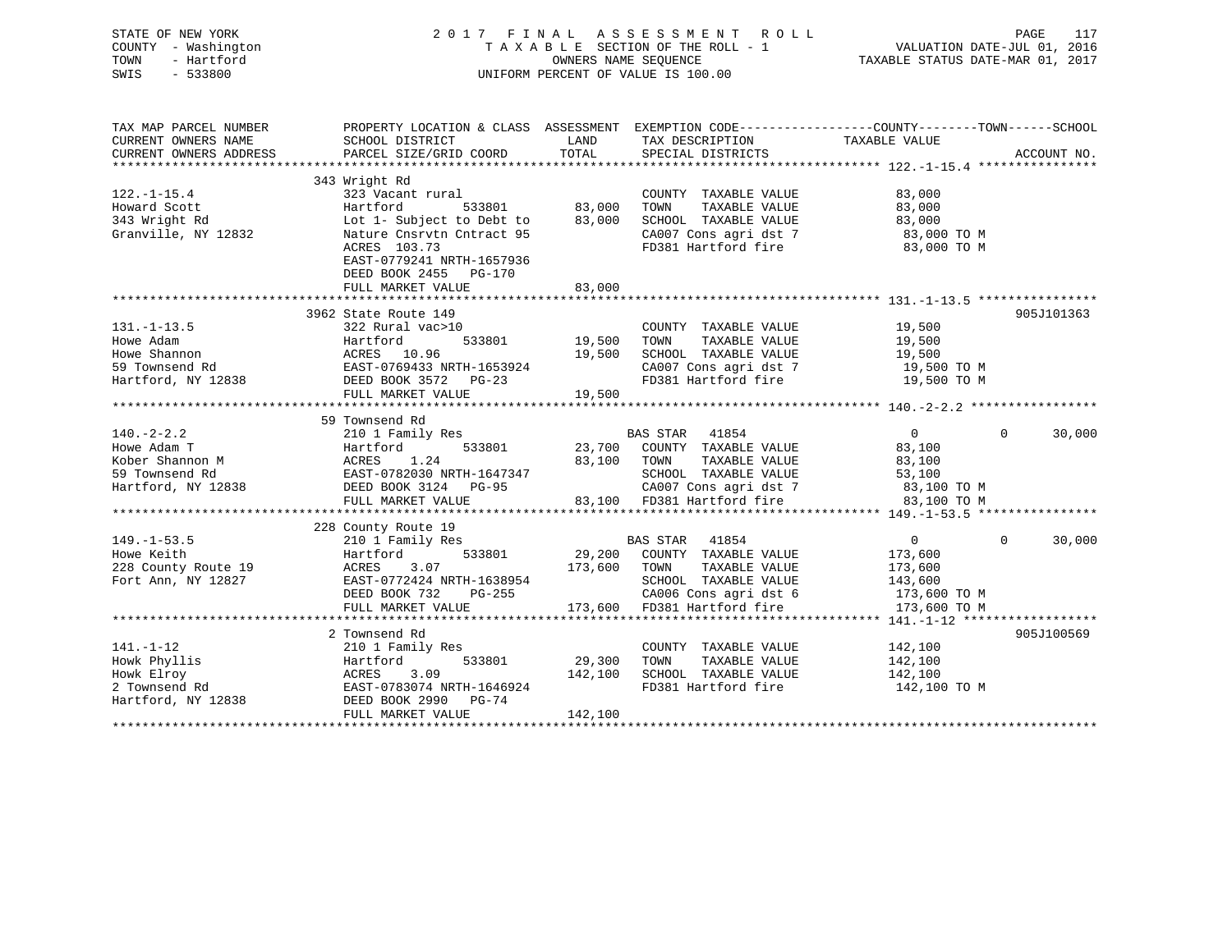| STATE OF NEW YORK      | 2017 FINAL ASSESSMENT                                                                           | PAGE<br>117                      |                            |                |                    |
|------------------------|-------------------------------------------------------------------------------------------------|----------------------------------|----------------------------|----------------|--------------------|
| COUNTY - Washington    | TAXABLE SECTION OF THE ROLL - 1                                                                 | VALUATION DATE-JUL 01, 2016      |                            |                |                    |
| TOWN<br>- Hartford     |                                                                                                 | TAXABLE STATUS DATE-MAR 01, 2017 |                            |                |                    |
| $-533800$<br>SWIS      | UNIFORM PERCENT OF VALUE IS 100.00                                                              |                                  |                            |                |                    |
|                        |                                                                                                 |                                  |                            |                |                    |
|                        |                                                                                                 |                                  |                            |                |                    |
| TAX MAP PARCEL NUMBER  | PROPERTY LOCATION & CLASS ASSESSMENT EXEMPTION CODE----------------COUNTY-------TOWN-----SCHOOL |                                  |                            |                |                    |
| CURRENT OWNERS NAME    | SCHOOL DISTRICT                                                                                 | LAND                             | TAX DESCRIPTION            | TAXABLE VALUE  |                    |
| CURRENT OWNERS ADDRESS | PARCEL SIZE/GRID COORD                                                                          | TOTAL                            | SPECIAL DISTRICTS          |                | ACCOUNT NO.        |
|                        |                                                                                                 |                                  |                            |                |                    |
|                        | 343 Wright Rd                                                                                   |                                  |                            |                |                    |
| $122. - 1 - 15.4$      | 323 Vacant rural                                                                                |                                  | COUNTY TAXABLE VALUE       | 83,000         |                    |
| Howard Scott           | Hartford<br>533801                                                                              | 83,000                           | TOWN<br>TAXABLE VALUE      | 83,000         |                    |
| 343 Wright Rd          | Lot 1- Subject to Debt to                                                                       | 83,000                           | SCHOOL TAXABLE VALUE       | 83,000         |                    |
| Granville, NY 12832    | Nature Cnsrvtn Cntract 95                                                                       |                                  | CA007 Cons agri dst 7      | 83,000 TO M    |                    |
|                        | ACRES 103.73                                                                                    |                                  | FD381 Hartford fire        | 83,000 TO M    |                    |
|                        | EAST-0779241 NRTH-1657936                                                                       |                                  |                            |                |                    |
|                        | DEED BOOK 2455 PG-170                                                                           |                                  |                            |                |                    |
|                        | FULL MARKET VALUE                                                                               | 83,000                           |                            |                |                    |
|                        |                                                                                                 |                                  |                            |                |                    |
|                        | 3962 State Route 149                                                                            |                                  |                            |                | 905J101363         |
| $131. - 1 - 13.5$      | 322 Rural vac>10                                                                                |                                  | COUNTY TAXABLE VALUE       | 19,500         |                    |
| Howe Adam              | Hartford<br>533801                                                                              | 19,500                           | TAXABLE VALUE<br>TOWN      | 19,500         |                    |
| Howe Shannon           | ACRES 10.96                                                                                     | 19,500                           | SCHOOL TAXABLE VALUE       | 19,500         |                    |
| 59 Townsend Rd         | EAST-0769433 NRTH-1653924                                                                       |                                  | CA007 Cons agri dst 7      | 19,500 TO M    |                    |
| Hartford, NY 12838     | DEED BOOK 3572 PG-23                                                                            |                                  | FD381 Hartford fire        | 19,500 TO M    |                    |
|                        | FULL MARKET VALUE                                                                               | 19,500                           |                            |                |                    |
|                        |                                                                                                 |                                  |                            |                |                    |
|                        | 59 Townsend Rd                                                                                  |                                  |                            |                |                    |
| $140. -2 - 2.2$        | 210 1 Family Res                                                                                |                                  | <b>BAS STAR</b><br>41854   | $\overline{0}$ | 30,000<br>$\Omega$ |
| Howe Adam T            | 533801<br>Hartford                                                                              | 23,700                           | COUNTY TAXABLE VALUE       | 83,100         |                    |
| Kober Shannon M        | 1.24<br>ACRES                                                                                   | 83,100                           | TOWN<br>TAXABLE VALUE      | 83,100         |                    |
| 59 Townsend Rd         | EAST-0782030 NRTH-1647347                                                                       |                                  | SCHOOL TAXABLE VALUE       | 53,100         |                    |
| Hartford, NY 12838     | DEED BOOK 3124 PG-95                                                                            |                                  | CA007 Cons agri dst 7      | 83,100 TO M    |                    |
|                        | FULL MARKET VALUE                                                                               |                                  | 83,100 FD381 Hartford fire | 83,100 TO M    |                    |
|                        |                                                                                                 |                                  |                            |                |                    |
|                        | 228 County Route 19                                                                             |                                  |                            |                |                    |
| $149. - 1 - 53.5$      | 210 1 Family Res                                                                                |                                  | 41854<br>BAS STAR          | $\overline{0}$ | 30,000<br>$\Omega$ |
| Howe Keith             | Hartford<br>533801                                                                              | 29,200                           | COUNTY TAXABLE VALUE       | 173,600        |                    |
| 228 County Route 19    | ACRES<br>3.07                                                                                   | 173,600                          | TOWN<br>TAXABLE VALUE      | 173,600        |                    |
| Fort Ann, NY 12827     | EAST-0772424 NRTH-1638954                                                                       |                                  | SCHOOL TAXABLE VALUE       | 143,600        |                    |
|                        | DEED BOOK 732<br>PG-255                                                                         |                                  | CA006 Cons agri dst 6      | 173,600 TO M   |                    |
|                        | FULL MARKET VALUE                                                                               | 173,600                          | FD381 Hartford fire        | 173,600 TO M   |                    |
|                        |                                                                                                 |                                  |                            |                |                    |
|                        | 2 Townsend Rd                                                                                   |                                  |                            |                | 905J100569         |
| $141. - 1 - 12$        | 210 1 Family Res                                                                                |                                  | COUNTY TAXABLE VALUE       | 142,100        |                    |
| Howk Phyllis           | 533801<br>Hartford                                                                              | 29,300                           | TOWN<br>TAXABLE VALUE      | 142,100        |                    |
| Howk Elroy             | 3.09<br>ACRES                                                                                   | 142,100                          | SCHOOL TAXABLE VALUE       | 142,100        |                    |
| 2 Townsend Rd          | EAST-0783074 NRTH-1646924                                                                       |                                  | FD381 Hartford fire        | 142,100 TO M   |                    |
| Hartford, NY 12838     | DEED BOOK 2990<br>PG-74                                                                         |                                  |                            |                |                    |
|                        | FULL MARKET VALUE                                                                               | 142,100                          |                            |                |                    |
| ***********            |                                                                                                 |                                  |                            |                |                    |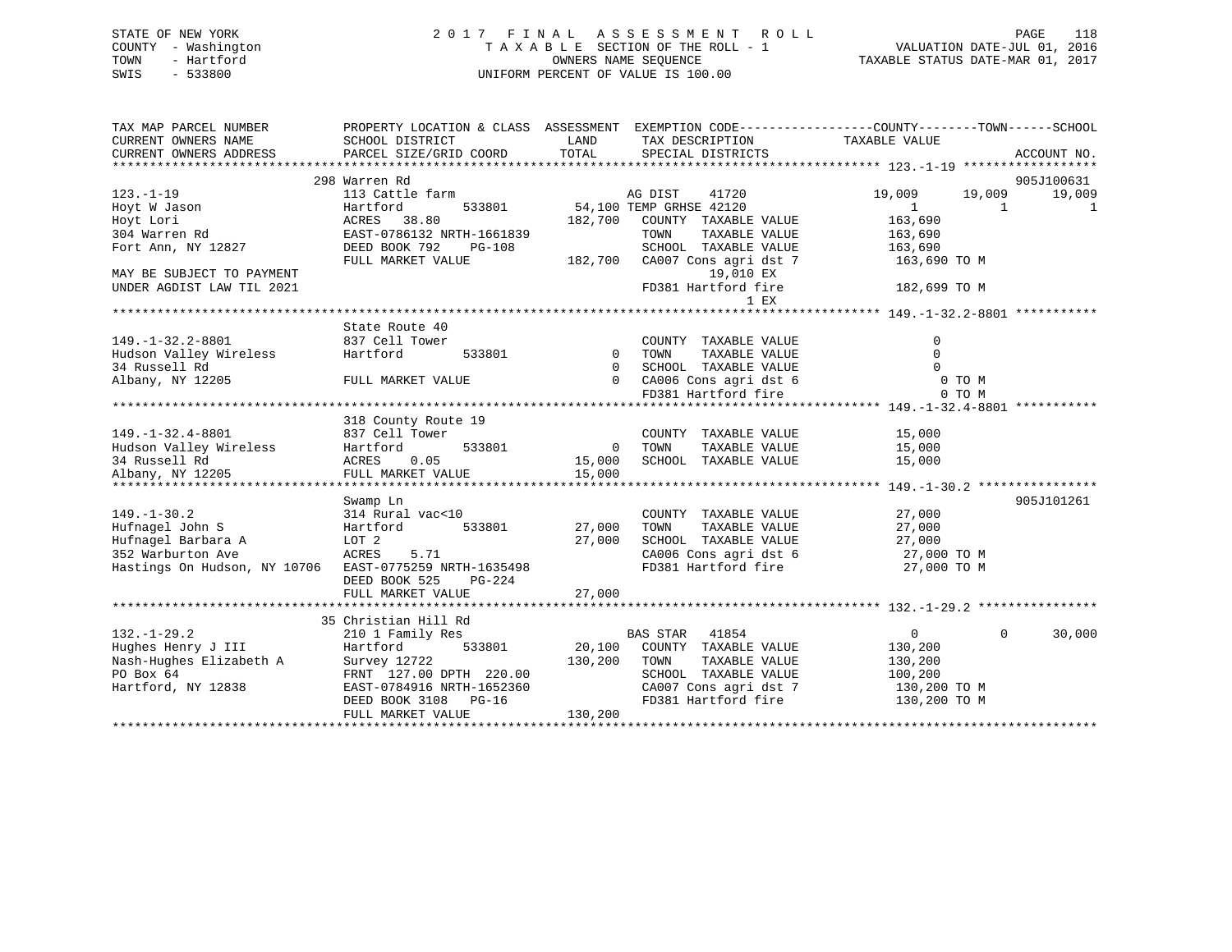## STATE OF NEW YORK 2 0 1 7 F I N A L A S S E S S M E N T R O L L PAGE 118 COUNTY - Washington T A X A B L E SECTION OF THE ROLL - 1 VALUATION DATE-JUL 01, 2016 TOWN - Hartford OWNERS NAME SEQUENCE TAXABLE STATUS DATE-MAR 01, 2017 SWIS - 533800 UNIFORM PERCENT OF VALUE IS 100.00

| TAX MAP PARCEL NUMBER<br>CURRENT OWNERS NAME | PROPERTY LOCATION & CLASS ASSESSMENT EXEMPTION CODE----------------COUNTY-------TOWN------SCHOOL<br>SCHOOL DISTRICT | LAND           | TAX DESCRIPTION                              | TAXABLE VALUE            |                      |
|----------------------------------------------|---------------------------------------------------------------------------------------------------------------------|----------------|----------------------------------------------|--------------------------|----------------------|
| CURRENT OWNERS ADDRESS                       | PARCEL SIZE/GRID COORD                                                                                              | TOTAL          | SPECIAL DISTRICTS                            |                          | ACCOUNT NO.          |
|                                              |                                                                                                                     |                |                                              |                          |                      |
| $123. - 1 - 19$                              | 298 Warren Rd<br>113 Cattle farm                                                                                    |                | AG DIST<br>41720                             | 19,009<br>19,009         | 905J100631<br>19,009 |
| Hoyt W Jason                                 | 533801<br>Hartford                                                                                                  |                | 54,100 TEMP GRHSE 42120                      | $\mathbf{1}$<br>1        | 1                    |
| Hoyt Lori                                    | ACRES<br>38.80                                                                                                      | 182,700        | COUNTY TAXABLE VALUE                         | 163,690                  |                      |
| 304 Warren Rd                                | EAST-0786132 NRTH-1661839                                                                                           |                | TOWN<br>TAXABLE VALUE                        | 163,690                  |                      |
| Fort Ann, NY 12827                           | DEED BOOK 792<br>$PG-108$                                                                                           |                | SCHOOL TAXABLE VALUE                         | 163,690                  |                      |
|                                              | FULL MARKET VALUE                                                                                                   | 182,700        | CA007 Cons agri dst 7                        | 163,690 TO M             |                      |
| MAY BE SUBJECT TO PAYMENT                    |                                                                                                                     |                | 19,010 EX                                    |                          |                      |
| UNDER AGDIST LAW TIL 2021                    |                                                                                                                     |                | FD381 Hartford fire                          | 182,699 TO M             |                      |
|                                              |                                                                                                                     |                | 1 EX                                         |                          |                      |
|                                              |                                                                                                                     |                |                                              |                          |                      |
|                                              | State Route 40                                                                                                      |                |                                              |                          |                      |
| $149. - 1 - 32.2 - 8801$                     | 837 Cell Tower                                                                                                      |                | COUNTY TAXABLE VALUE                         | $\mathbf 0$              |                      |
| Hudson Valley Wireless                       | Hartford<br>533801                                                                                                  | $\overline{0}$ | TOWN<br>TAXABLE VALUE                        | $\Omega$                 |                      |
| 34 Russell Rd                                |                                                                                                                     | $\Omega$       | SCHOOL TAXABLE VALUE                         | $\Omega$                 |                      |
| Albany, NY 12205                             | FULL MARKET VALUE                                                                                                   | $\overline{0}$ | CA006 Cons agri dst 6                        | 0 TO M                   |                      |
|                                              |                                                                                                                     |                | FD381 Hartford fire                          | 0 TO M                   |                      |
|                                              |                                                                                                                     |                |                                              |                          |                      |
|                                              | 318 County Route 19                                                                                                 |                |                                              |                          |                      |
| $149. - 1 - 32.4 - 8801$                     | 837 Cell Tower                                                                                                      |                | COUNTY TAXABLE VALUE                         | 15,000                   |                      |
| Hudson Valley Wireless                       | 533801<br>Hartford                                                                                                  | $\Omega$       | TOWN<br>TAXABLE VALUE                        | 15,000                   |                      |
| 34 Russell Rd                                | ACRES<br>0.05                                                                                                       | 15,000         | SCHOOL TAXABLE VALUE                         | 15,000                   |                      |
| Albany, NY 12205                             | FULL MARKET VALUE                                                                                                   | 15,000         |                                              |                          |                      |
|                                              |                                                                                                                     |                |                                              |                          |                      |
|                                              | Swamp Ln                                                                                                            |                |                                              |                          | 905J101261           |
| $149. - 1 - 30.2$                            | 314 Rural vac<10                                                                                                    |                | COUNTY TAXABLE VALUE                         | 27,000                   |                      |
| Hufnagel John S                              | 533801<br>Hartford                                                                                                  | 27,000         | TOWN<br>TAXABLE VALUE                        | 27,000                   |                      |
| Hufnagel Barbara A                           | LOT 2                                                                                                               | 27,000         | SCHOOL TAXABLE VALUE                         | 27,000                   |                      |
| 352 Warburton Ave                            | ACRES<br>5.71                                                                                                       |                | CA006 Cons agri dst 6<br>FD381 Hartford fire | 27,000 TO M              |                      |
| Hastings On Hudson, NY 10706                 | EAST-0775259 NRTH-1635498                                                                                           |                |                                              | 27,000 TO M              |                      |
|                                              | DEED BOOK 525<br>PG-224<br>FULL MARKET VALUE                                                                        | 27,000         |                                              |                          |                      |
|                                              |                                                                                                                     |                |                                              |                          |                      |
|                                              | 35 Christian Hill Rd                                                                                                |                |                                              |                          |                      |
| $132. - 1 - 29.2$                            | 210 1 Family Res                                                                                                    |                | BAS STAR<br>41854                            | $\mathbf{0}$<br>$\Omega$ | 30,000               |
| Hughes Henry J III                           | Hartford<br>533801                                                                                                  | 20,100         | COUNTY TAXABLE VALUE                         | 130,200                  |                      |
| Nash-Hughes Elizabeth A                      | Survey 12722                                                                                                        | 130,200        | TOWN<br>TAXABLE VALUE                        | 130,200                  |                      |
| PO Box 64                                    | FRNT 127.00 DPTH 220.00                                                                                             |                | SCHOOL TAXABLE VALUE                         | 100,200                  |                      |
| Hartford, NY 12838                           | EAST-0784916 NRTH-1652360                                                                                           |                | CA007 Cons agri dst 7                        | 130,200 TO M             |                      |
|                                              | $PG-16$<br>DEED BOOK 3108                                                                                           |                | FD381 Hartford fire                          | 130,200 TO M             |                      |
|                                              | FULL MARKET VALUE                                                                                                   | 130,200        |                                              |                          |                      |
|                                              |                                                                                                                     |                |                                              |                          |                      |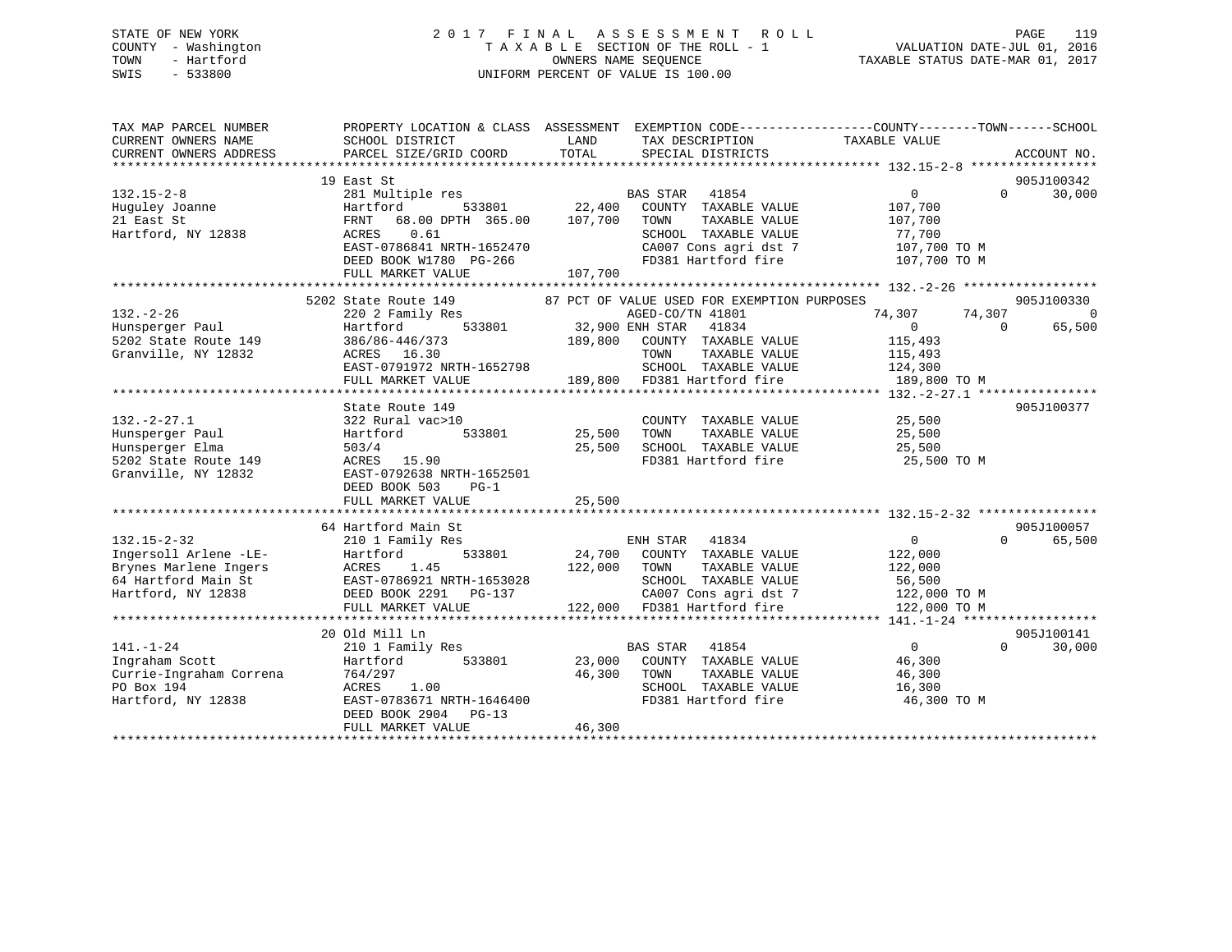## STATE OF NEW YORK 2 0 1 7 F I N A L A S S E S S M E N T R O L L PAGE 119 COUNTY - Washington T A X A B L E SECTION OF THE ROLL - 1 VALUATION DATE-JUL 01, 2016 TOWN - Hartford OWNERS NAME SEQUENCE TAXABLE STATUS DATE-MAR 01, 2017 SWIS - 533800 UNIFORM PERCENT OF VALUE IS 100.00

| TAX MAP PARCEL NUMBER<br>CURRENT OWNERS NAME                        | PROPERTY LOCATION & CLASS ASSESSMENT EXEMPTION CODE---------------COUNTY-------TOWN------SCHOOL<br>SCHOOL DISTRICT | LAND        | TAX DESCRIPTION                                                        | TAXABLE VALUE                                                    |                                                |
|---------------------------------------------------------------------|--------------------------------------------------------------------------------------------------------------------|-------------|------------------------------------------------------------------------|------------------------------------------------------------------|------------------------------------------------|
| CURRENT OWNERS ADDRESS                                              | PARCEL SIZE/GRID COORD                                                                                             | TOTAL       | SPECIAL DISTRICTS                                                      |                                                                  | ACCOUNT NO.                                    |
|                                                                     | 19 East St                                                                                                         |             |                                                                        |                                                                  | 905J100342                                     |
| $132.15 - 2 - 8$<br>Huguley Joanne                                  | 281 Multiple res<br>533801<br>Hartford                                                                             | 22,400      | BAS STAR 41854<br>COUNTY TAXABLE VALUE                                 | 0<br>107,700                                                     | $\Omega$<br>30,000                             |
| 21 East St<br>Hartford, NY 12838                                    | FRNT 68.00 DPTH 365.00<br>0.61<br>ACRES                                                                            | 107,700     | TAXABLE VALUE<br>TOWN<br>SCHOOL TAXABLE VALUE<br>CA007 Cons agri dst 7 | 107,700<br>77,700<br>107,700 TO M                                |                                                |
|                                                                     | EAST-0786841 NRTH-1652470<br>DEED BOOK W1780 PG-266<br>FULL MARKET VALUE                                           | 107,700     | FD381 Hartford fire                                                    | 107,700 TO M                                                     |                                                |
|                                                                     |                                                                                                                    |             |                                                                        |                                                                  |                                                |
|                                                                     | 5202 State Route 149                                                                                               |             | 87 PCT OF VALUE USED FOR EXEMPTION PURPOSES                            |                                                                  | 905J100330                                     |
| $132 - 2 - 26$<br>Hunsperger Paul                                   | 220 2 Family Res<br>533801<br>Hartford                                                                             |             | AGED-CO/TN 41801<br>32,900 ENH STAR 41834                              | 74,307<br>$\overline{0}$                                         | 74,307<br>$\overline{0}$<br>65,500<br>$\Omega$ |
| 5202 State Route 149<br>Granville, NY 12832                         | 386/86-446/373<br>ACRES 16.30                                                                                      | 189,800     | COUNTY TAXABLE VALUE<br>TOWN<br>TAXABLE VALUE                          | 115,493<br>115,493                                               |                                                |
|                                                                     | EAST-0791972 NRTH-1652798<br>FULL MARKET VALUE                                                                     |             | SCHOOL TAXABLE VALUE<br>189,800 FD381 Hartford fire                    | 124,300<br>189,800 TO M                                          |                                                |
|                                                                     |                                                                                                                    |             |                                                                        |                                                                  |                                                |
|                                                                     | State Route 149                                                                                                    |             |                                                                        |                                                                  | 905J100377                                     |
| $132. - 2 - 27.1$                                                   | 322 Rural vac>10                                                                                                   |             | COUNTY TAXABLE VALUE                                                   | 25,500                                                           |                                                |
| Hunsperger Paul                                                     | 533801<br>Hartford                                                                                                 | 25,500      | TOWN<br>TAXABLE VALUE                                                  | 25,500                                                           |                                                |
| Hunsperger Elma                                                     | 503/4                                                                                                              | 25,500      | SCHOOL TAXABLE VALUE                                                   | 25,500                                                           |                                                |
| 5202 State Route 149<br>Granville, NY 12832                         | ACRES 15.90<br>EAST-0792638 NRTH-1652501<br>DEED BOOK 503<br>$PG-1$                                                |             | FD381 Hartford fire                                                    | 25,500 TO M                                                      |                                                |
|                                                                     | FULL MARKET VALUE                                                                                                  | 25,500      |                                                                        |                                                                  |                                                |
|                                                                     | ***************************                                                                                        | *********** |                                                                        | ********************************** 132.15-2-32 ***************** |                                                |
|                                                                     | 64 Hartford Main St                                                                                                |             |                                                                        |                                                                  | 905J100057                                     |
| $132.15 - 2 - 32$                                                   | 210 1 Family Res                                                                                                   |             | ENH STAR 41834                                                         | $\overline{0}$                                                   | $\Omega$<br>65,500                             |
| Ingersoll Arlene -LE-                                               | 533801<br>Hartford                                                                                                 | 24,700      | COUNTY TAXABLE VALUE                                                   | 122,000                                                          |                                                |
| Brynes Marlene Ingers                                               | ACRES<br>1.45                                                                                                      | 122,000     | TOWN<br>TAXABLE VALUE                                                  | 122,000                                                          |                                                |
| 64 Hartford Main St EAST-0786921 NRTH-1653028<br>Hartford, NY 12838 | DEED BOOK 2291 PG-137                                                                                              |             | SCHOOL TAXABLE VALUE<br>CA007 Cons agri dst 7                          | 56,500<br>122,000 TO M                                           |                                                |
|                                                                     | FULL MARKET VALUE                                                                                                  |             | 122,000 FD381 Hartford fire                                            | 122,000 TO M                                                     |                                                |
|                                                                     |                                                                                                                    |             |                                                                        |                                                                  |                                                |
|                                                                     | 20 Old Mill Ln                                                                                                     |             |                                                                        |                                                                  | 905J100141                                     |
| $141. - 1 - 24$                                                     | 210 1 Family Res                                                                                                   |             | <b>BAS STAR</b><br>41854                                               | $\overline{0}$                                                   | $\Omega$<br>30,000                             |
| Ingraham Scott                                                      | Hartford<br>533801                                                                                                 | 23,000      | COUNTY TAXABLE VALUE                                                   | 46,300                                                           |                                                |
| Currie-Ingraham Correna                                             | 764/297                                                                                                            | 46,300      | TOWN<br>TAXABLE VALUE                                                  | 46,300                                                           |                                                |
| PO Box 194                                                          | ACRES<br>1.00                                                                                                      |             | SCHOOL TAXABLE VALUE                                                   | 16,300                                                           |                                                |
| Hartford, NY 12838                                                  | EAST-0783671 NRTH-1646400<br>DEED BOOK 2904 PG-13<br>FULL MARKET VALUE                                             | 46,300      | FD381 Hartford fire                                                    | 46,300 TO M                                                      |                                                |
|                                                                     |                                                                                                                    |             |                                                                        |                                                                  |                                                |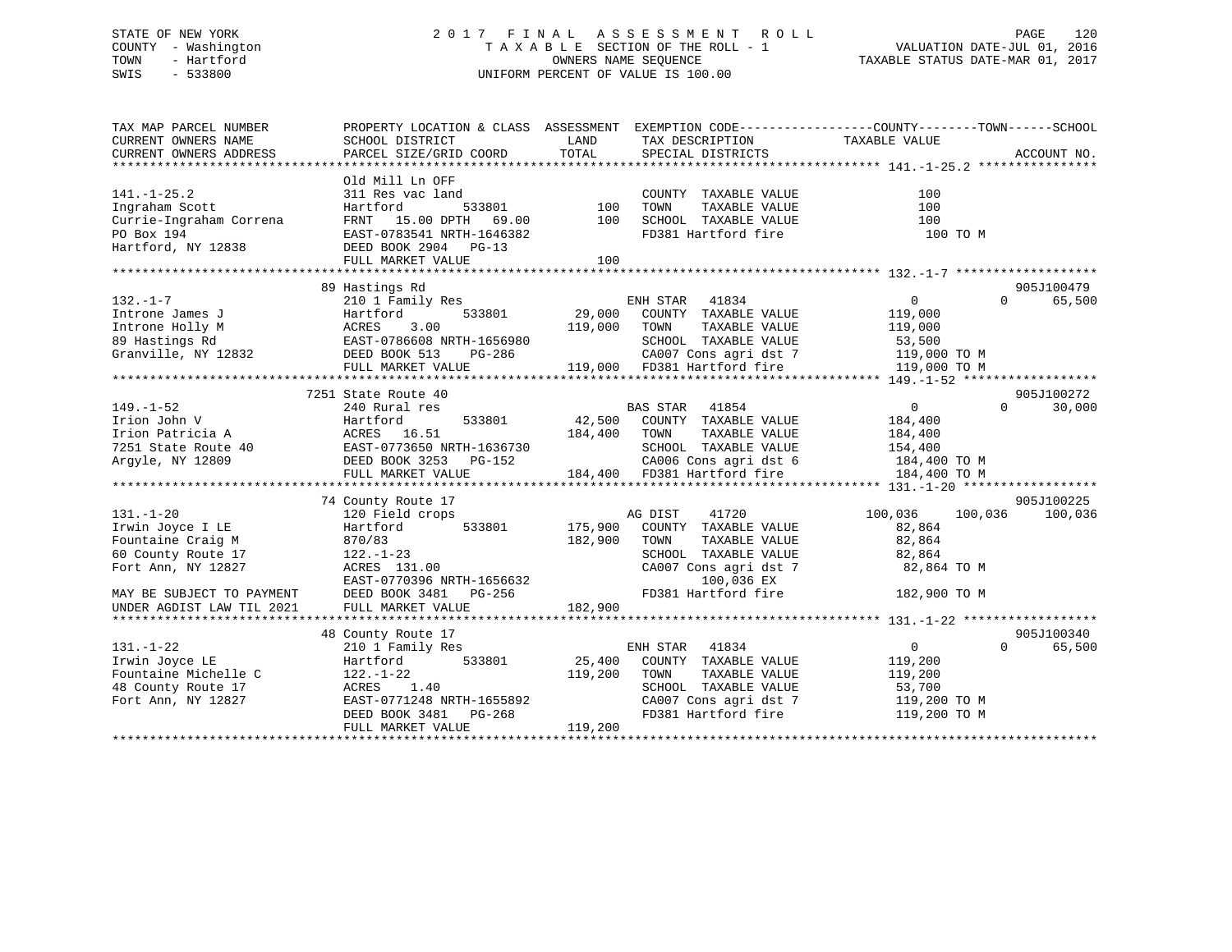## STATE OF NEW YORK 2 0 1 7 F I N A L A S S E S S M E N T R O L L PAGE 120 COUNTY - Washington T A X A B L E SECTION OF THE ROLL - 1 VALUATION DATE-JUL 01, 2016 TOWN - Hartford **TAXABLE STATUS DATE-MAR 01, 2017** SWIS - 533800 UNIFORM PERCENT OF VALUE IS 100.00

| TAX MAP PARCEL NUMBER<br>CURRENT OWNERS NAME<br>CURRENT OWNERS ADDRESS | PROPERTY LOCATION & CLASS ASSESSMENT EXEMPTION CODE---------------COUNTY-------TOWN-----SCHOOL<br>SCHOOL DISTRICT<br>PARCEL SIZE/GRID COORD | LAND<br>TOTAL | TAX DESCRIPTION TAXABLE VALUE<br>SPECIAL DISTRICTS |                            | ACCOUNT NO. |
|------------------------------------------------------------------------|---------------------------------------------------------------------------------------------------------------------------------------------|---------------|----------------------------------------------------|----------------------------|-------------|
|                                                                        |                                                                                                                                             |               |                                                    |                            |             |
| $141. - 1 - 25.2$<br>Ingraham Scott                                    | Old Mill Ln OFF<br>311 Res vac land<br>Hartford<br>533801                                                                                   | 100           | COUNTY TAXABLE VALUE<br>TAXABLE VALUE<br>TOWN      | 100<br>100                 |             |
| Currie-Ingraham Correna                                                | 15.00 DPTH<br>FRNT<br>69.00                                                                                                                 | 100           | SCHOOL TAXABLE VALUE                               | 100                        |             |
| PO Box 194                                                             | EAST-0783541 NRTH-1646382                                                                                                                   |               | FD381 Hartford fire                                | 100 TO M                   |             |
| Hartford, NY 12838                                                     | DEED BOOK 2904 PG-13<br>FULL MARKET VALUE                                                                                                   | 100           |                                                    |                            |             |
|                                                                        |                                                                                                                                             |               |                                                    |                            |             |
|                                                                        | 89 Hastings Rd                                                                                                                              |               |                                                    |                            | 905J100479  |
| $132. - 1 - 7$                                                         | 210 1 Family Res                                                                                                                            |               | ENH STAR<br>41834                                  | 0<br>$\Omega$              | 65,500      |
| Introne James J                                                        | 533801<br>Hartford                                                                                                                          | 29,000        | COUNTY TAXABLE VALUE                               | 119,000                    |             |
| Introne Holly M                                                        | ACRES<br>3.00                                                                                                                               | 119,000       | TAXABLE VALUE<br>TOWN                              | 119,000                    |             |
| 89 Hastings Rd                                                         | EAST-0786608 NRTH-1656980                                                                                                                   |               | SCHOOL TAXABLE VALUE                               | 53,500                     |             |
| Granville, NY 12832                                                    | DEED BOOK 513<br>PG-286                                                                                                                     |               | CA007 Cons agri dst 7 119,000 TO M                 |                            |             |
|                                                                        |                                                                                                                                             |               | 119,000 FD381 Hartford fire                        |                            |             |
|                                                                        | FULL MARKET VALUE                                                                                                                           |               |                                                    | 119,000 TO M               |             |
|                                                                        | 7251 State Route 40                                                                                                                         |               |                                                    |                            | 905J100272  |
|                                                                        |                                                                                                                                             |               |                                                    |                            |             |
| $149. - 1 - 52$                                                        | 240 Rural res                                                                                                                               |               | BAS STAR 41854                                     | $\overline{0}$<br>$\Omega$ | 30,000      |
| Irion John V                                                           | Hartford<br>533801                                                                                                                          | 42,500        | COUNTY TAXABLE VALUE                               | 184,400                    |             |
| Irion Patricia A                                                       | ACRES 16.51                                                                                                                                 | 184,400       | TOWN<br>TAXABLE VALUE                              | 184,400                    |             |
| 7251 State Route 40                                                    | EAST-0773650 NRTH-1636730                                                                                                                   |               | SCHOOL TAXABLE VALUE                               | 154,400                    |             |
| Argyle, NY 12809                                                       | DEED BOOK 3253 PG-152                                                                                                                       |               | CA006 Cons agri dst 6 184,400 TO M                 |                            |             |
|                                                                        | FULL MARKET VALUE                                                                                                                           |               | 184,400 FD381 Hartford fire                        | 184,400 TO M               |             |
|                                                                        |                                                                                                                                             |               |                                                    |                            |             |
|                                                                        | 74 County Route 17                                                                                                                          |               |                                                    |                            | 905J100225  |
| $131. - 1 - 20$                                                        | 120 Field crops                                                                                                                             |               | 41720<br>AG DIST                                   | 100,036<br>100,036         | 100,036     |
| Irwin Joyce I LE                                                       | Hartford<br>533801                                                                                                                          | 175,900       | COUNTY TAXABLE VALUE                               | 82,864                     |             |
| Fountaine Craig M                                                      | 870/83                                                                                                                                      | 182,900       | TAXABLE VALUE<br>TOWN                              | 82,864                     |             |
| 60 County Route 17                                                     | $122. - 1 - 23$                                                                                                                             |               | SCHOOL TAXABLE VALUE                               | 82,864                     |             |
| Fort Ann, NY 12827                                                     | ACRES 131.00                                                                                                                                |               | CA007 Cons agri dst 7                              | 82,864 TO M                |             |
|                                                                        | EAST-0770396 NRTH-1656632                                                                                                                   |               | 100,036 EX                                         |                            |             |
| MAY BE SUBJECT TO PAYMENT                                              | PG-256<br>DEED BOOK 3481                                                                                                                    |               | FD381 Hartford fire                                | 182,900 TO M               |             |
| UNDER AGDIST LAW TIL 2021                                              | FULL MARKET VALUE                                                                                                                           | 182,900       |                                                    |                            |             |
|                                                                        |                                                                                                                                             |               |                                                    |                            |             |
|                                                                        | 48 County Route 17                                                                                                                          |               |                                                    |                            | 905J100340  |
| $131. - 1 - 22$                                                        | 210 1 Family Res                                                                                                                            |               | 41834<br>ENH STAR                                  | $\overline{0}$<br>$\Omega$ | 65,500      |
| Irwin Joyce LE                                                         | 533801<br>Hartford                                                                                                                          | 25,400        | COUNTY TAXABLE VALUE                               | 119,200                    |             |
| Fountaine Michelle C                                                   | $122. - 1 - 22$                                                                                                                             | 119,200       | TAXABLE VALUE<br>TOWN                              | 119,200                    |             |
| 48 County Route 17                                                     | ACRES<br>1.40                                                                                                                               |               | SCHOOL TAXABLE VALUE                               | 53,700                     |             |
| Fort Ann, NY 12827                                                     | EAST-0771248 NRTH-1655892                                                                                                                   |               | CA007 Cons agri dst 7                              | 119,200 TO M               |             |
|                                                                        | DEED BOOK 3481<br>PG-268                                                                                                                    |               | FD381 Hartford fire                                | 119,200 TO M               |             |
|                                                                        | FULL MARKET VALUE                                                                                                                           | 119,200       |                                                    |                            |             |
|                                                                        |                                                                                                                                             |               |                                                    |                            |             |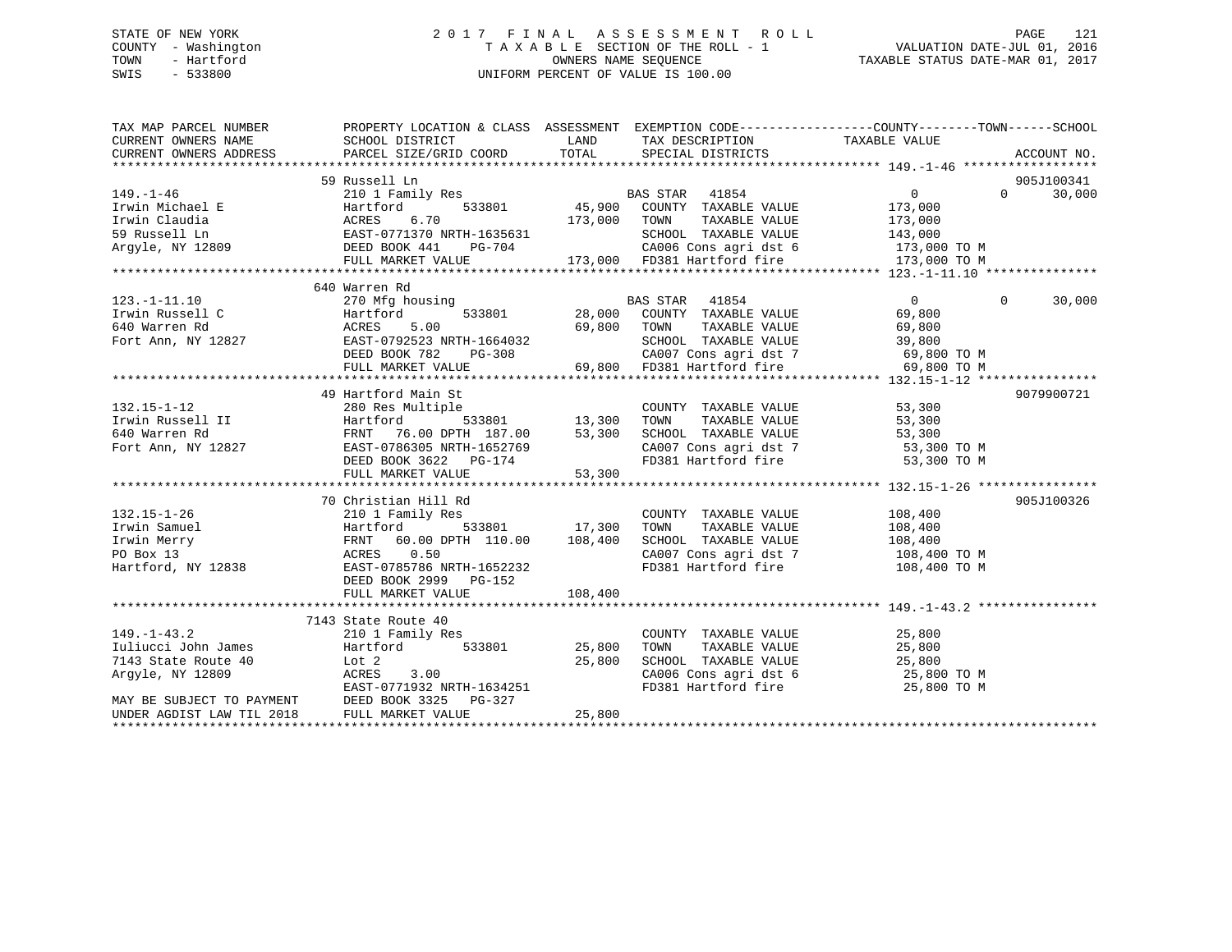## STATE OF NEW YORK 2 0 1 7 F I N A L A S S E S S M E N T R O L L PAGE 121 COUNTY - Washington T A X A B L E SECTION OF THE ROLL - 1 VALUATION DATE-JUL 01, 2016 TOWN - Hartford **TAXABLE STATUS DATE-MAR 01, 2017** SWIS - 533800 UNIFORM PERCENT OF VALUE IS 100.00

| TAX MAP PARCEL NUMBER                                                          | PROPERTY LOCATION & CLASS ASSESSMENT EXEMPTION CODE----------------COUNTY-------TOWN------SCHOOL                                                                                                         |         |                              |                                                                                                     |                          |
|--------------------------------------------------------------------------------|----------------------------------------------------------------------------------------------------------------------------------------------------------------------------------------------------------|---------|------------------------------|-----------------------------------------------------------------------------------------------------|--------------------------|
|                                                                                |                                                                                                                                                                                                          |         |                              |                                                                                                     |                          |
|                                                                                | 59 Russell Ln                                                                                                                                                                                            |         |                              |                                                                                                     | 905J100341               |
|                                                                                |                                                                                                                                                                                                          |         |                              | $\overline{0}$                                                                                      | $\overline{0}$<br>30,000 |
|                                                                                |                                                                                                                                                                                                          |         |                              |                                                                                                     |                          |
|                                                                                |                                                                                                                                                                                                          |         |                              |                                                                                                     |                          |
|                                                                                |                                                                                                                                                                                                          |         |                              |                                                                                                     |                          |
|                                                                                |                                                                                                                                                                                                          |         |                              |                                                                                                     |                          |
|                                                                                |                                                                                                                                                                                                          |         |                              |                                                                                                     |                          |
|                                                                                |                                                                                                                                                                                                          |         |                              |                                                                                                     |                          |
|                                                                                |                                                                                                                                                                                                          |         |                              |                                                                                                     |                          |
| $123. -1 - 11.10$                                                              |                                                                                                                                                                                                          |         |                              | $\overline{0}$                                                                                      | 30,000<br>$\Omega$       |
|                                                                                | Matrien Ru (1854)<br>270 Mfg housing (1853801 (1865) BAS STAR (1854 (1865) 9,800 (2000)<br>ACRES (1869,800 (2000) 59,800 (2000) 700 (1866),800 (1866),800 (1866),800 (1866),800 (1866),800 (1866),800 (1 |         |                              |                                                                                                     |                          |
|                                                                                |                                                                                                                                                                                                          |         |                              |                                                                                                     |                          |
|                                                                                |                                                                                                                                                                                                          |         |                              |                                                                                                     |                          |
|                                                                                |                                                                                                                                                                                                          |         |                              |                                                                                                     |                          |
|                                                                                |                                                                                                                                                                                                          |         |                              |                                                                                                     |                          |
|                                                                                |                                                                                                                                                                                                          |         |                              |                                                                                                     |                          |
|                                                                                | 49 Hartford Main St                                                                                                                                                                                      |         |                              |                                                                                                     | 9079900721               |
|                                                                                |                                                                                                                                                                                                          |         | COUNTY TAXABLE VALUE 53,300  |                                                                                                     |                          |
|                                                                                |                                                                                                                                                                                                          |         | TOWN                         | TAXABLE VALUE 53,300                                                                                |                          |
|                                                                                |                                                                                                                                                                                                          |         |                              |                                                                                                     |                          |
|                                                                                |                                                                                                                                                                                                          |         |                              |                                                                                                     |                          |
|                                                                                |                                                                                                                                                                                                          |         |                              | SCHOOL TAXABLE VALUE 53,300<br>CA007 Cons agri dst 7 53,300 TO M<br>FD381 Hartford fire 53,300 TO M |                          |
|                                                                                |                                                                                                                                                                                                          |         |                              |                                                                                                     |                          |
|                                                                                |                                                                                                                                                                                                          |         |                              |                                                                                                     |                          |
|                                                                                | 70 Christian Hill Rd                                                                                                                                                                                     |         |                              |                                                                                                     | 905J100326               |
| $132.15 - 1 - 26$                                                              | 210 1 Family Res                                                                                                                                                                                         |         | COUNTY TAXABLE VALUE 108,400 |                                                                                                     |                          |
|                                                                                | Hartford 533801 17,300<br>FRNT 60.00 DPTH 110.00 108,400                                                                                                                                                 |         | TOWN                         | TAXABLE VALUE 108,400                                                                               |                          |
|                                                                                |                                                                                                                                                                                                          |         |                              | SCHOOL TAXABLE VALUE 108,400<br>CA007 Cons agri dst 7 108,400 TO M                                  |                          |
|                                                                                | ACRES 0.50                                                                                                                                                                                               |         |                              |                                                                                                     |                          |
| Irwin Samuel<br>Irwin Merry<br>PO Box 13<br>Hartford, NY 12838                 | EAST-0785786 NRTH-1652232                                                                                                                                                                                |         |                              | FD381 Hartford fire 108,400 TO M                                                                    |                          |
|                                                                                | DEED BOOK 2999 PG-152                                                                                                                                                                                    |         |                              |                                                                                                     |                          |
|                                                                                | FULL MARKET VALUE                                                                                                                                                                                        | 108,400 |                              |                                                                                                     |                          |
|                                                                                |                                                                                                                                                                                                          |         |                              |                                                                                                     |                          |
|                                                                                | 7143 State Route 40                                                                                                                                                                                      |         |                              |                                                                                                     |                          |
| $149. - 1 - 43.2$<br>149.-1-43.2<br>Iuliucci John James<br>7143 State Route 40 | 210 1 Family Res                                                                                                                                                                                         |         | COUNTY TAXABLE VALUE         | 25,800                                                                                              |                          |
|                                                                                | Hartford 533801 25,800                                                                                                                                                                                   |         |                              |                                                                                                     |                          |
|                                                                                | Lot 2                                                                                                                                                                                                    | 25,800  |                              | TOWN TAXABLE VALUE 25,800<br>SCHOOL TAXABLE VALUE 25,800<br>CA006 Cons agri dst 6 25,800 TO M       |                          |
| Argyle, NY 12809                                                               | ACRES 3.00<br>EAST-0771932 NRTH-1634251                                                                                                                                                                  |         |                              |                                                                                                     |                          |
| MAY BE SUBJECT TO PAYMENT                                                      |                                                                                                                                                                                                          |         | FD381 Hartford fire          | 25,800 TO M                                                                                         |                          |
|                                                                                | DEED BOOK 3325 PG-327                                                                                                                                                                                    |         |                              |                                                                                                     |                          |
| UNDER AGDIST LAW TIL 2018                                                      | FULL MARKET VALUE                                                                                                                                                                                        | 25,800  |                              |                                                                                                     |                          |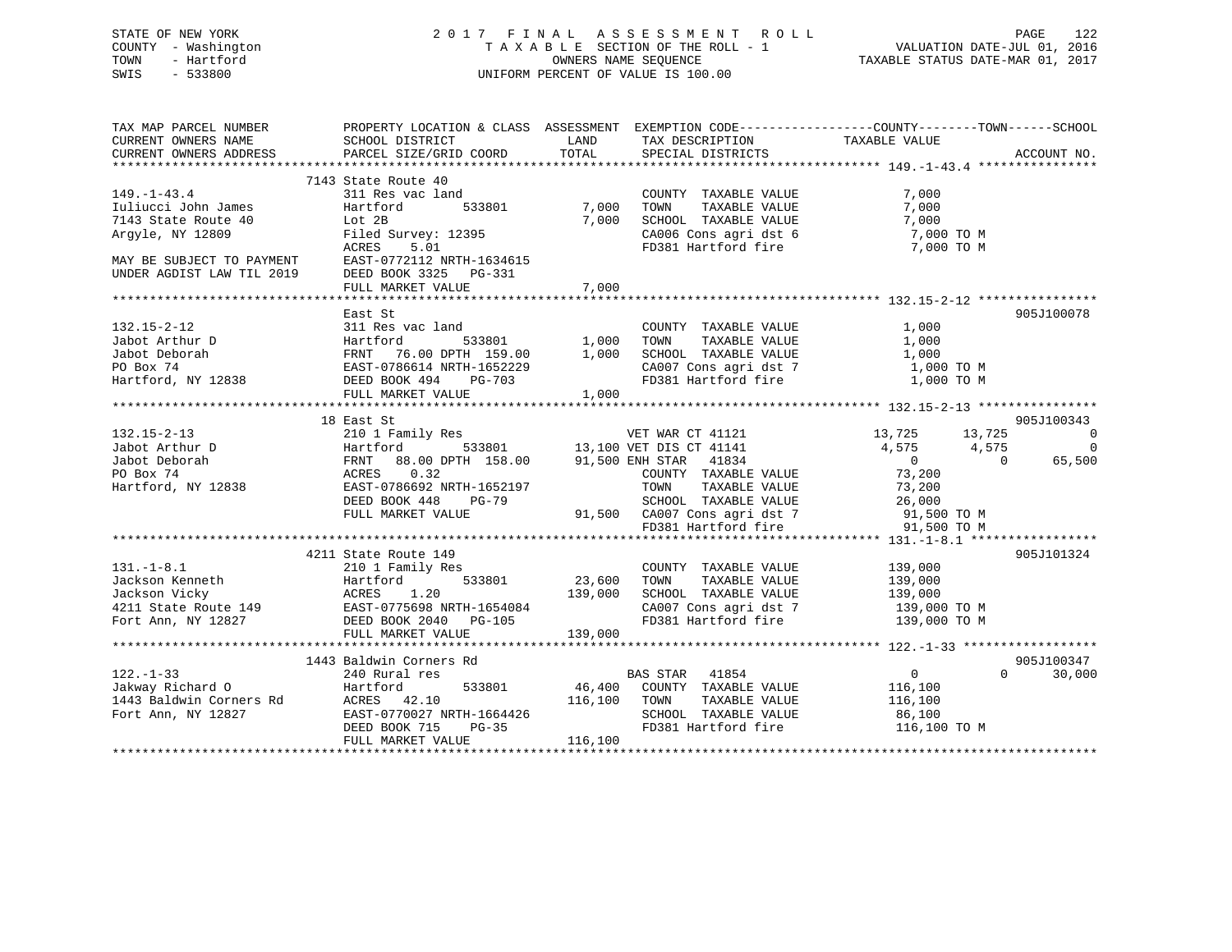## STATE OF NEW YORK 2 0 1 7 F I N A L A S S E S S M E N T R O L L PAGE 122 COUNTY - Washington T A X A B L E SECTION OF THE ROLL - 1 VALUATION DATE-JUL 01, 2016 TOWN - Hartford **TAXABLE STATUS DATE-MAR 01, 2017** SWIS - 533800 UNIFORM PERCENT OF VALUE IS 100.00

| TAX MAP PARCEL NUMBER<br>CURRENT OWNERS NAME<br>CURRENT OWNERS ADDRESS                                                                        | PROPERTY LOCATION & CLASS ASSESSMENT EXEMPTION CODE---------------COUNTY-------TOWN------SCHOOL<br>SCHOOL DISTRICT<br>PARCEL SIZE/GRID COORD                                                                                                                                                                                        | <b>LAND</b><br>TOTAL    | TAX DESCRIPTION<br>SPECIAL DISTRICTS                                                                                                                | TAXABLE VALUE                                  | ACCOUNT NO.                                                        |
|-----------------------------------------------------------------------------------------------------------------------------------------------|-------------------------------------------------------------------------------------------------------------------------------------------------------------------------------------------------------------------------------------------------------------------------------------------------------------------------------------|-------------------------|-----------------------------------------------------------------------------------------------------------------------------------------------------|------------------------------------------------|--------------------------------------------------------------------|
| $149. - 1 - 43.4$<br>Iuliucci John James<br>7143 State Route 40<br>Arqyle, NY 12809<br>MAY BE SUBJECT TO PAYMENT<br>UNDER AGDIST LAW TIL 2019 | 7143 State Route 40<br>311 Res vac land<br>533801<br>Hartford<br>Lot 2B<br>Filed Survey: 12395<br>ACRES<br>5.01<br>EAST-0772112 NRTH-1634615<br>DEED BOOK 3325 PG-331<br>FULL MARKET VALUE                                                                                                                                          | 7,000<br>7,000<br>7,000 | COUNTY TAXABLE VALUE<br>TAXABLE VALUE<br>TOWN<br>SCHOOL TAXABLE VALUE 7,000<br>CA006 Cons agri dst 6 7,000 TO M<br>FD381 Hartford fire 7,000 TO M   | 7,000<br>7,000                                 |                                                                    |
| $132.15 - 2 - 12$                                                                                                                             | East St<br>311 Res vac land<br>32.12 2001<br>32.12 2001<br>32.12 2005<br>32.12 2007<br>32.12 2007<br>32.12 2007<br>32.12 2007<br>32.12 2007<br>32.12 2007<br>32.12 2007<br>32.12 2007<br>32.12 2007<br>32.12 2007<br>32.12 2007<br>32.12 2007<br>32.12 2007<br>32.12 2007<br>32.12 2007<br>32.12                                    |                         | COUNTY TAXABLE VALUE 1,000<br>CA007 Cons agri dst 7                        1,000 TO M<br>FD381 Hartford fire                             1,000 TO M |                                                | 905J100078                                                         |
|                                                                                                                                               | $\begin{tabular}{l c c c c c c} \hline & 132.15-2-13 & 13.725 & 13.725 & 13.725 & 13.725 & 13.725 & 13.725 & 13.725 & 13.725 & 13.725 & 13.725 & 13.725 & 13.725 & 13.725 & 13.725 & 13.725 & 13.725 & 13.725 & 13.725 & 13.725 & 13.725 & 13.725 & 13.725 & 13.725$                                                                |                         |                                                                                                                                                     | 13,725 13,725<br>4,575 4,575<br>$\overline{0}$ | 905J100343<br>$\overline{\phantom{0}}$<br>$\overline{0}$<br>65,500 |
| $131. - 1 - 8.1$                                                                                                                              | 4211 State Route 149<br>210 1 Family Res<br>31.-1-8.1<br>Jackson Kenneth Hartford 533801 23,600 TOWN TAXABLE VALUE 139,000<br>4211 State Route 149 EAST-0775698 NRTH-1654084 CA007 Cons agri dst 7 139,000<br>Fort Ann, NY 12827 DEED BOOK 2040 PG-105 FULL MARKET VALUE 139,000                                                    |                         | COUNTY TAXABLE VALUE 139,000<br>$\frac{139,000 \text{ TO M}}{132,000 \text{ TO M}}$                                                                 | 139,000 TO M                                   | 905J101324                                                         |
| 122.-1-33<br>240 Rural res<br>Jakway Richard O Hartford                                                                                       | 1443 Baldwin Corners Rd<br>240 Rural res<br>122.-1-55<br>Jakway Richard 0<br>116,100<br>116,100<br>Fort Ann, NY 12827<br>126.100<br>Fort Ann, NY 12827<br>116,100<br>DEED BOOK TRIFI-1664426<br>116,100<br>DEED BOOK 712827<br>116,100<br>116,100<br>116,100<br>116,100<br>116,100<br>116,100<br>116,100<br>11<br>FULL MARKET VALUE | 116,100                 | BAS STAR 41854<br>SCHOOL TAXABLE VALUE 86,100<br>FD381 Hartford fire 116,100 TO M                                                                   | $\overline{0}$                                 | 905J100347<br>$\Omega$<br>30,000                                   |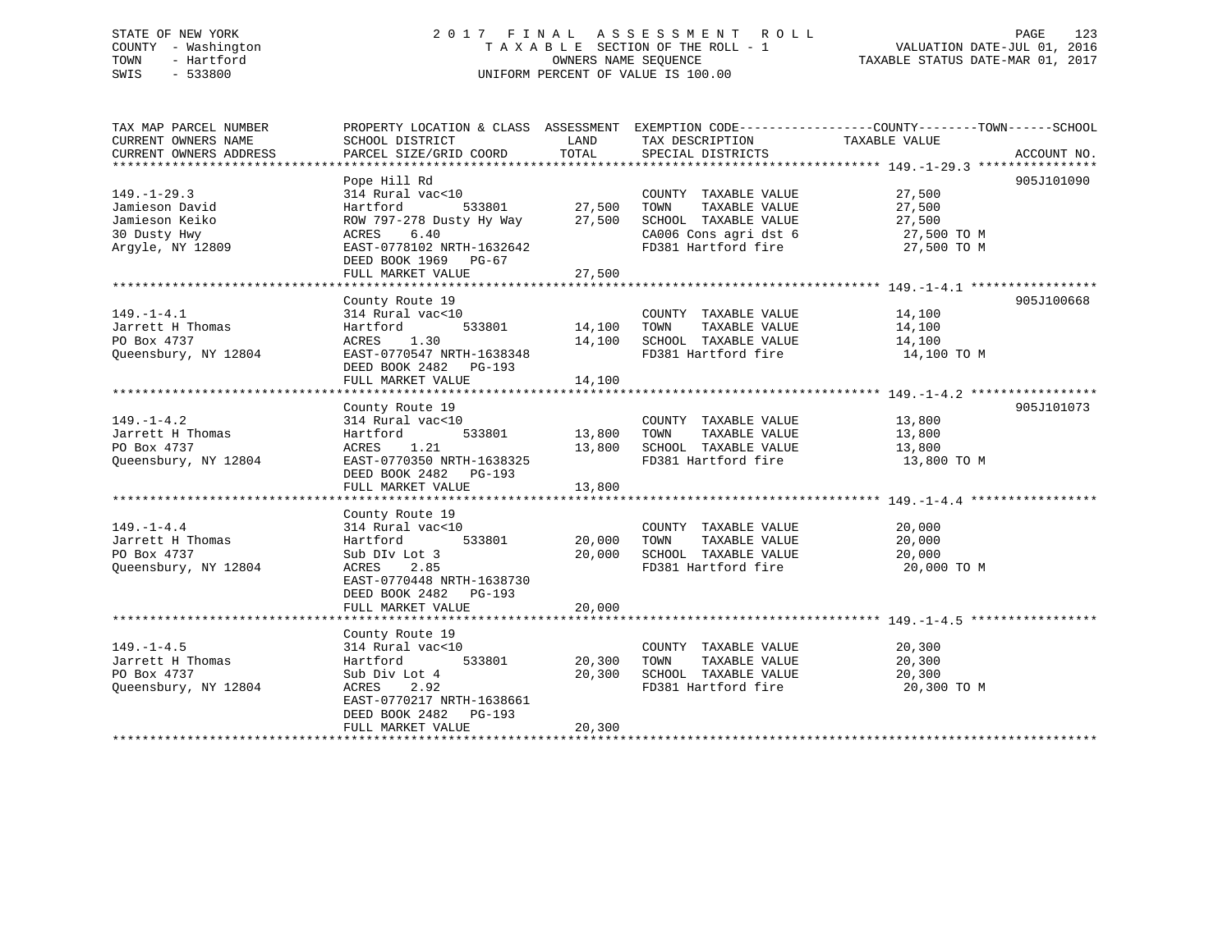## STATE OF NEW YORK 2 0 1 7 F I N A L A S S E S S M E N T R O L L PAGE 123 COUNTY - Washington T A X A B L E SECTION OF THE ROLL - 1 VALUATION DATE-JUL 01, 2016 TOWN - Hartford **TAXABLE STATUS DATE-MAR 01, 2017** SWIS - 533800 UNIFORM PERCENT OF VALUE IS 100.00

| TAX MAP PARCEL NUMBER<br>CURRENT OWNERS NAME | PROPERTY LOCATION & CLASS ASSESSMENT<br>SCHOOL DISTRICT | LAND   | TAX DESCRIPTION       | EXEMPTION CODE-----------------COUNTY-------TOWN------SCHOOL<br>TAXABLE VALUE |             |
|----------------------------------------------|---------------------------------------------------------|--------|-----------------------|-------------------------------------------------------------------------------|-------------|
| CURRENT OWNERS ADDRESS                       | PARCEL SIZE/GRID COORD                                  | TOTAL  | SPECIAL DISTRICTS     |                                                                               | ACCOUNT NO. |
|                                              |                                                         |        |                       |                                                                               |             |
|                                              | Pope Hill Rd                                            |        |                       |                                                                               | 905J101090  |
| $149. - 1 - 29.3$                            | 314 Rural vac<10                                        |        | COUNTY TAXABLE VALUE  | 27,500                                                                        |             |
| Jamieson David                               | 533801<br>Hartford                                      | 27,500 | TAXABLE VALUE<br>TOWN | 27,500                                                                        |             |
| Jamieson Keiko                               | ROW 797-278 Dusty Hy Way                                | 27,500 | SCHOOL TAXABLE VALUE  | 27,500                                                                        |             |
| 30 Dusty Hwy                                 | ACRES<br>6.40                                           |        | CA006 Cons agri dst 6 | 27,500 TO M                                                                   |             |
| Argyle, NY 12809                             | EAST-0778102 NRTH-1632642                               |        | FD381 Hartford fire   | 27,500 TO M                                                                   |             |
|                                              | DEED BOOK 1969 PG-67                                    |        |                       |                                                                               |             |
|                                              | FULL MARKET VALUE                                       | 27,500 |                       |                                                                               |             |
|                                              |                                                         |        |                       |                                                                               |             |
|                                              | County Route 19                                         |        |                       |                                                                               | 905J100668  |
| $149. - 1 - 4.1$                             | 314 Rural vac<10                                        |        | COUNTY TAXABLE VALUE  | 14,100                                                                        |             |
| Jarrett H Thomas                             | 533801<br>Hartford                                      | 14,100 | TAXABLE VALUE<br>TOWN | 14,100                                                                        |             |
| PO Box 4737                                  | ACRES<br>1.30                                           | 14,100 | SCHOOL TAXABLE VALUE  | 14,100                                                                        |             |
| Queensbury, NY 12804                         | EAST-0770547 NRTH-1638348                               |        | FD381 Hartford fire   | 14,100 TO M                                                                   |             |
|                                              | DEED BOOK 2482 PG-193                                   |        |                       |                                                                               |             |
|                                              | FULL MARKET VALUE                                       | 14,100 |                       |                                                                               |             |
|                                              |                                                         |        |                       |                                                                               |             |
|                                              |                                                         |        |                       |                                                                               |             |
|                                              | County Route 19                                         |        |                       |                                                                               | 905J101073  |
| $149. - 1 - 4.2$                             | 314 Rural vac<10                                        |        | COUNTY TAXABLE VALUE  | 13,800                                                                        |             |
| Jarrett H Thomas                             | Hartford<br>533801                                      | 13,800 | TOWN<br>TAXABLE VALUE | 13,800                                                                        |             |
| PO Box 4737                                  | ACRES<br>1.21                                           | 13,800 | SCHOOL TAXABLE VALUE  | 13,800                                                                        |             |
| Queensbury, NY 12804                         | EAST-0770350 NRTH-1638325                               |        | FD381 Hartford fire   | 13,800 TO M                                                                   |             |
|                                              | DEED BOOK 2482 PG-193                                   |        |                       |                                                                               |             |
|                                              | FULL MARKET VALUE                                       | 13,800 |                       |                                                                               |             |
|                                              |                                                         |        |                       |                                                                               |             |
|                                              | County Route 19                                         |        |                       |                                                                               |             |
| $149. - 1 - 4.4$                             | 314 Rural vac<10                                        |        | COUNTY TAXABLE VALUE  | 20,000                                                                        |             |
| Jarrett H Thomas                             | 533801<br>Hartford                                      | 20,000 | TOWN<br>TAXABLE VALUE | 20,000                                                                        |             |
| PO Box 4737                                  | Sub DIv Lot 3                                           | 20,000 | SCHOOL TAXABLE VALUE  | 20,000                                                                        |             |
| Queensbury, NY 12804                         | 2.85<br>ACRES                                           |        | FD381 Hartford fire   | 20,000 TO M                                                                   |             |
|                                              | EAST-0770448 NRTH-1638730                               |        |                       |                                                                               |             |
|                                              | DEED BOOK 2482 PG-193                                   |        |                       |                                                                               |             |
|                                              | FULL MARKET VALUE                                       | 20,000 |                       |                                                                               |             |
|                                              |                                                         |        |                       |                                                                               |             |
|                                              | County Route 19                                         |        |                       |                                                                               |             |
| $149. - 1 - 4.5$                             | 314 Rural vac<10                                        |        | COUNTY TAXABLE VALUE  | 20,300                                                                        |             |
| Jarrett H Thomas                             | 533801<br>Hartford                                      | 20,300 | TAXABLE VALUE<br>TOWN | 20,300                                                                        |             |
| PO Box 4737                                  | Sub Div Lot 4                                           | 20,300 | SCHOOL TAXABLE VALUE  | 20,300                                                                        |             |
| Queensbury, NY 12804                         | 2.92<br>ACRES                                           |        | FD381 Hartford fire   | 20,300 TO M                                                                   |             |
|                                              |                                                         |        |                       |                                                                               |             |
|                                              | EAST-0770217 NRTH-1638661                               |        |                       |                                                                               |             |
|                                              | DEED BOOK 2482    PG-193                                |        |                       |                                                                               |             |
|                                              | FULL MARKET VALUE                                       | 20,300 |                       |                                                                               |             |
|                                              |                                                         |        |                       |                                                                               |             |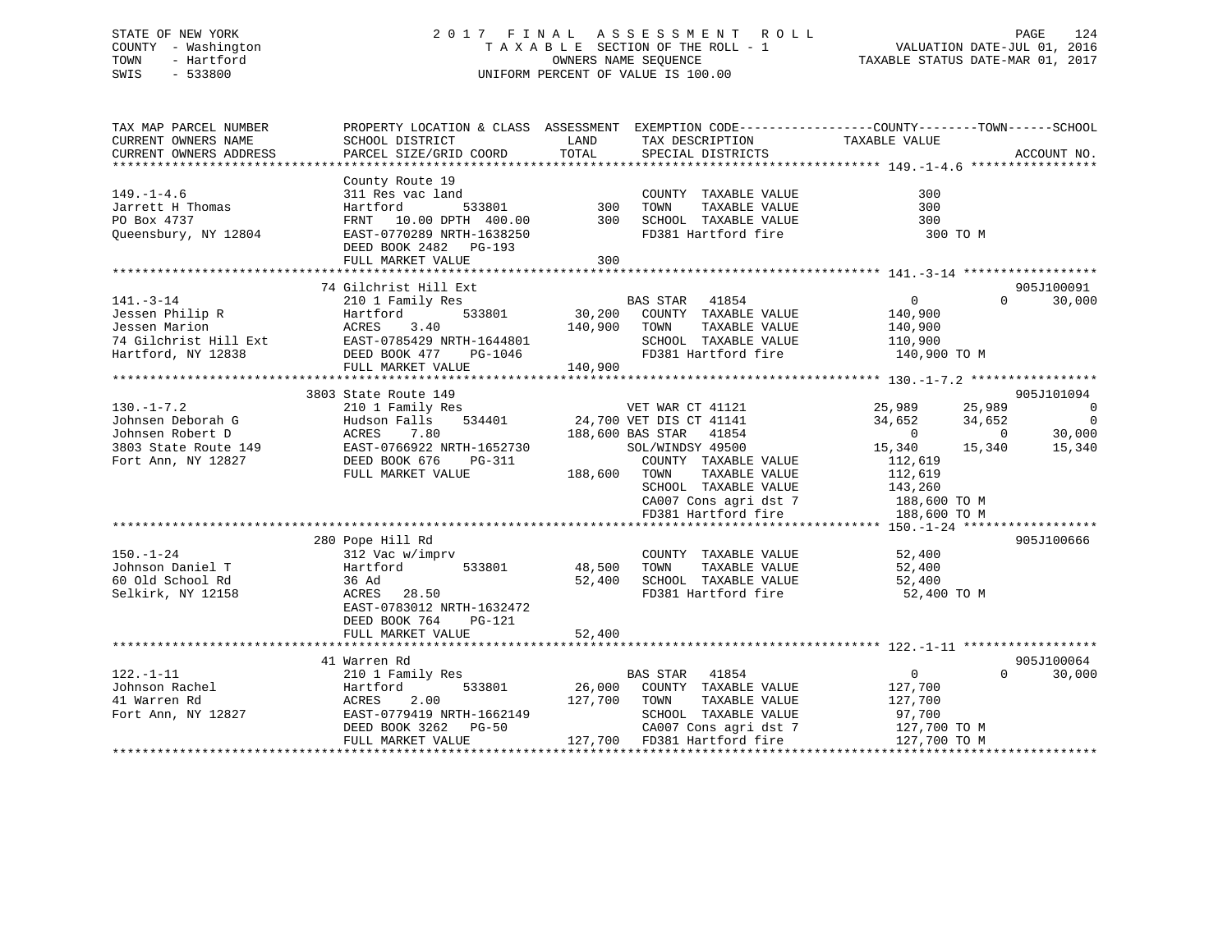## STATE OF NEW YORK 2 0 1 7 F I N A L A S S E S S M E N T R O L L PAGE 124 COUNTY - Washington T A X A B L E SECTION OF THE ROLL - 1 VALUATION DATE-JUL 01, 2016 TOWN - Hartford **TAXABLE STATUS DATE-MAR 01, 2017** SWIS - 533800 UNIFORM PERCENT OF VALUE IS 100.00

| TAX MAP PARCEL NUMBER<br>CURRENT OWNERS NAME<br>CURRENT OWNERS ADDRESS                                | SCHOOL DISTRICT<br>PARCEL SIZE/GRID COORD            | PROPERTY LOCATION & CLASS ASSESSMENT EXEMPTION CODE----------------COUNTY-------TOWN-----SCHOOL<br>LAND<br>TAX DESCRIPTION TAXABLE VALUE<br>SPECIAL DISTRICTS<br>TOTAL<br>SPECIAL DISTRICTS | ACCOUNT NO.                                                                |
|-------------------------------------------------------------------------------------------------------|------------------------------------------------------|---------------------------------------------------------------------------------------------------------------------------------------------------------------------------------------------|----------------------------------------------------------------------------|
|                                                                                                       |                                                      |                                                                                                                                                                                             |                                                                            |
| $149. - 1 - 4.6$                                                                                      | County Route 19<br>311 Res vac land                  | COUNTY TAXABLE VALUE                                                                                                                                                                        | 300                                                                        |
| Jarrett H Thomas                                                                                      | Hartford                                             |                                                                                                                                                                                             | 300                                                                        |
| PO Box 4737                                                                                           | FRNT 10.00 DPTH 400.00                               | COUNTY TAXABLE VALUE<br>300 TOWN TAXABLE VALUE<br>300 SCHOOL TAXABLE VALUE                                                                                                                  | 300                                                                        |
| Queensbury, NY 12804                                                                                  | EAST-0770289 NRTH-1638250<br>DEED BOOK 2482 PG-193   | FD381 Hartford fire                                                                                                                                                                         | 300 TO M                                                                   |
|                                                                                                       |                                                      | 300                                                                                                                                                                                         |                                                                            |
|                                                                                                       |                                                      |                                                                                                                                                                                             |                                                                            |
|                                                                                                       | 74 Gilchrist Hill Ext                                |                                                                                                                                                                                             | 905J100091                                                                 |
| $141. - 3 - 14$                                                                                       | 210 1 Family Res                                     | BAS STAR 41854                                                                                                                                                                              | $\Omega$<br>30,000<br>$\Omega$                                             |
| Jessen Philip R                                                                                       | Hartford                                             | 533801 30,200 COUNTY TAXABLE VALUE                                                                                                                                                          |                                                                            |
| Jessen Marion                                                                                         | Hartfo<br>ACRES<br>3.40                              | TAXABLE VALUE<br>140,900<br>TOWN                                                                                                                                                            | 140,900                                                                    |
|                                                                                                       |                                                      |                                                                                                                                                                                             | 140,900                                                                    |
|                                                                                                       | 74 Gilchrist Hill Ext EAST-0785429 NRTH-1644801      | SCHOOL TAXABLE VALUE 110,900                                                                                                                                                                |                                                                            |
| Hartford, NY 12838                                                                                    | DEED BOOK 477 PG-1046                                | FD381 Hartford fire                                                                                                                                                                         | 140,900 TO M                                                               |
|                                                                                                       | FULL MARKET VALUE                                    | 140,900                                                                                                                                                                                     |                                                                            |
|                                                                                                       |                                                      |                                                                                                                                                                                             |                                                                            |
|                                                                                                       | 3803 State Route 149                                 |                                                                                                                                                                                             | 905J101094                                                                 |
| $130. - 1 - 7.2$                                                                                      | 210 1 Family Res<br>Hudson Falls 534401              |                                                                                                                                                                                             | 25,989<br>25,989<br>$\overline{0}$                                         |
| Johnsen Deborah G                                                                                     | Hudson Falls                                         | VET WAR CT 41121<br>24,700 VET DIS CT 41141                                                                                                                                                 | $\overline{0}$<br>34,652<br>34,652                                         |
| Johnsen Robert D<br>3803 State Route 149<br>Fort Ann, NY 12827<br>Fort Ann, NY 12827<br>DEED BOOK 676 |                                                      | 188,600 BAS STAR 41854                                                                                                                                                                      | $\begin{array}{ccc} 0 & 30,000 \\ 15,340 & 15,340 \end{array}$<br>$\sim$ 0 |
|                                                                                                       | EAST-0766922 NRTH-1652730                            | SOL/WINDSY 49500                                                                                                                                                                            | 15,340                                                                     |
|                                                                                                       | PG-311                                               | COUNTY TAXABLE VALUE                                                                                                                                                                        | 112,619                                                                    |
|                                                                                                       | FULL MARKET VALUE                                    | TAXABLE VALUE<br>188,600 TOWN                                                                                                                                                               | 112,619                                                                    |
|                                                                                                       |                                                      | SCHOOL TAXABLE VALUE                                                                                                                                                                        | $\frac{1}{143}$ , 260                                                      |
|                                                                                                       |                                                      |                                                                                                                                                                                             |                                                                            |
|                                                                                                       |                                                      | CA007 Cons agri dst 7 188,600 TO M<br>FD381 Hartford fire 188,600 TO M                                                                                                                      |                                                                            |
|                                                                                                       |                                                      |                                                                                                                                                                                             |                                                                            |
|                                                                                                       | 280 Pope Hill Rd                                     |                                                                                                                                                                                             | 905J100666                                                                 |
| $150. - 1 - 24$                                                                                       | 312 Vac w/imprv                                      | COUNTY TAXABLE VALUE                                                                                                                                                                        | 52,400                                                                     |
| Johnson Daniel T                                                                                      | Hartford 533801                                      | TAXABLE VALUE<br>48,500<br>TOWN                                                                                                                                                             | 52,400                                                                     |
| 60 Old School Rd                                                                                      | 36 Ad                                                | SCHOOL TAXABLE VALUE<br>52,400                                                                                                                                                              | 52,400                                                                     |
|                                                                                                       | ACRES 28.50                                          | FD381 Hartford fire                                                                                                                                                                         |                                                                            |
| Selkirk, NY 12158                                                                                     |                                                      |                                                                                                                                                                                             | 52,400 TO M                                                                |
|                                                                                                       | EAST-0783012 NRTH-1632472                            |                                                                                                                                                                                             |                                                                            |
|                                                                                                       | DEED BOOK 764<br>PG-121                              |                                                                                                                                                                                             |                                                                            |
|                                                                                                       |                                                      |                                                                                                                                                                                             |                                                                            |
|                                                                                                       |                                                      |                                                                                                                                                                                             |                                                                            |
|                                                                                                       | 41 Warren Rd                                         |                                                                                                                                                                                             | 905J100064                                                                 |
| $122. - 1 - 11$                                                                                       | 210 1 Family Res                                     | BAS STAR 41854                                                                                                                                                                              | $\overline{0}$<br>$\Omega$<br>30,000                                       |
| Johnson Rachel                                                                                        | Hartford                                             | 533801 26,000 COUNTY TAXABLE VALUE                                                                                                                                                          | 127,700                                                                    |
| 41 Warren Rd                                                                                          | ACRES<br>2.00                                        | 127,700<br>TOWN<br>TAXABLE VALUE                                                                                                                                                            | 127,700                                                                    |
| Fort Ann, NY 12827                                                                                    | EAST-0779419 NRTH-1662149                            | SCHOOL TAXABLE VALUE                                                                                                                                                                        | 97,700<br>127,700 TO M                                                     |
|                                                                                                       | $\Sigma = 3113$ NR1H-1662149<br>DEED BOOK 3262 PG-50 | CA007 Cons agri dst 7                                                                                                                                                                       |                                                                            |
|                                                                                                       | FULL MARKET VALUE                                    | 127,700 FD381 Hartford fire                                                                                                                                                                 | 127,700 TO M                                                               |
|                                                                                                       |                                                      |                                                                                                                                                                                             |                                                                            |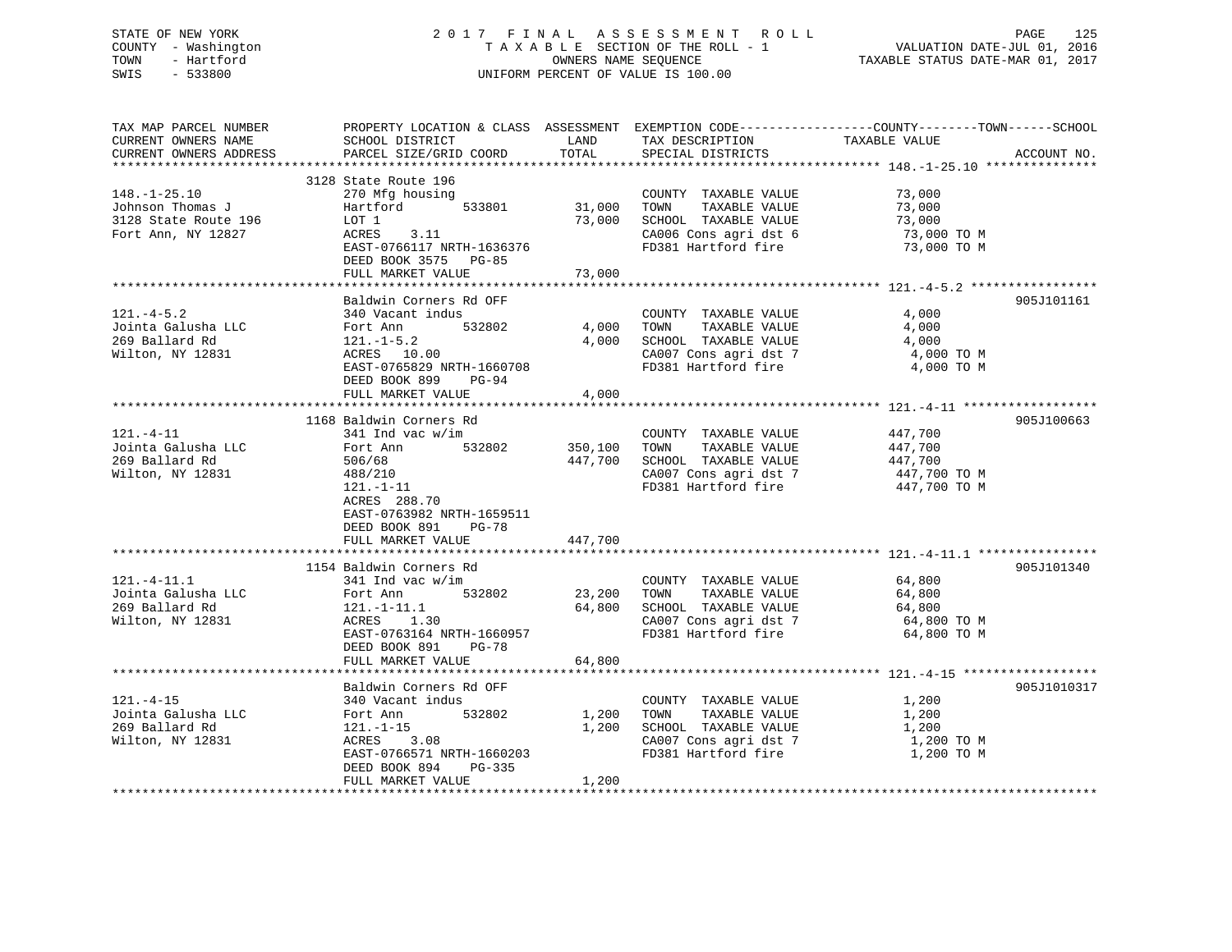## STATE OF NEW YORK 2 0 1 7 F I N A L A S S E S S M E N T R O L L PAGE 125 COUNTY - Washington T A X A B L E SECTION OF THE ROLL - 1 VALUATION DATE-JUL 01, 2016 TOWN - Hartford **TAXABLE STATUS DATE-MAR 01, 2017** SWIS - 533800 UNIFORM PERCENT OF VALUE IS 100.00

| TAX MAP PARCEL NUMBER<br>CURRENT OWNERS NAME<br>CURRENT OWNERS ADDRESS               | SCHOOL DISTRICT<br>PARCEL SIZE/GRID COORD                                                                                                                                                                    | LAND<br>TOTAL                 | TAX DESCRIPTION<br>SPECIAL DISTRICTS                                                                                  | PROPERTY LOCATION & CLASS ASSESSMENT EXEMPTION CODE----------------COUNTY-------TOWN-----SCHOOL<br>TAXABLE VALUE<br>ACCOUNT NO. |
|--------------------------------------------------------------------------------------|--------------------------------------------------------------------------------------------------------------------------------------------------------------------------------------------------------------|-------------------------------|-----------------------------------------------------------------------------------------------------------------------|---------------------------------------------------------------------------------------------------------------------------------|
| $148. - 1 - 25.10$<br>Johnson Thomas J<br>3128 State Route 196<br>Fort Ann, NY 12827 | 3128 State Route 196<br>270 Mfg housing<br>533801<br>Hartford<br>LOT 1<br>ACRES<br>3.11<br>EAST-0766117 NRTH-1636376<br>DEED BOOK 3575 PG-85                                                                 | 31,000<br>73,000              | COUNTY TAXABLE VALUE<br>TOWN<br>TAXABLE VALUE<br>SCHOOL TAXABLE VALUE<br>CA006 Cons agri dst 6<br>FD381 Hartford fire | 73,000<br>73,000<br>73,000<br>73,000 TO M<br>73,000 TO M                                                                        |
|                                                                                      | FULL MARKET VALUE                                                                                                                                                                                            | 73,000                        |                                                                                                                       |                                                                                                                                 |
| $121. - 4 - 5.2$<br>Jointa Galusha LLC<br>269 Ballard Rd<br>Wilton, NY 12831         | Baldwin Corners Rd OFF<br>340 Vacant indus<br>532802<br>Fort Ann<br>$121.-1-5.2$<br>ACRES 10.00<br>EAST-0765829 NRTH-1660708<br>DEED BOOK 899<br><b>PG-94</b><br>FULL MARKET VALUE                           | 4,000<br>4,000<br>4,000       | COUNTY TAXABLE VALUE<br>TAXABLE VALUE<br>TOWN<br>SCHOOL TAXABLE VALUE<br>CA007 Cons agri dst 7<br>FD381 Hartford fire | 905J101161<br>4,000<br>4,000<br>4,000<br>4,000 TO M<br>4,000 TO M                                                               |
| $121. - 4 - 11$<br>Jointa Galusha LLC<br>269 Ballard Rd<br>Wilton, NY 12831          | 1168 Baldwin Corners Rd<br>341 Ind vac w/im<br>532802<br>Fort Ann<br>506/68<br>488/210<br>$121. - 1 - 11$<br>ACRES 288.70<br>EAST-0763982 NRTH-1659511<br>DEED BOOK 891<br><b>PG-78</b><br>FULL MARKET VALUE | 350,100<br>447,700<br>447,700 | COUNTY TAXABLE VALUE<br>TOWN<br>TAXABLE VALUE<br>SCHOOL TAXABLE VALUE<br>CA007 Cons agri dst 7<br>FD381 Hartford fire | 905J100663<br>447,700<br>447,700<br>447,700<br>447,700 TO M<br>447,700 TO M                                                     |
|                                                                                      | 1154 Baldwin Corners Rd                                                                                                                                                                                      |                               |                                                                                                                       | 905J101340                                                                                                                      |
| $121. - 4 - 11.1$<br>Jointa Galusha LLC<br>269 Ballard Rd<br>Wilton, NY 12831        | 341 Ind vac w/im<br>532802<br>Fort Ann<br>121.-1-11.1<br>ACRES<br>1.30<br>EAST-0763164 NRTH-1660957<br>DEED BOOK 891<br>$PG-78$                                                                              | 23,200<br>64,800              | COUNTY TAXABLE VALUE<br>TAXABLE VALUE<br>TOWN<br>SCHOOL TAXABLE VALUE<br>CA007 Cons agri dst 7<br>FD381 Hartford fire | 64,800<br>64,800<br>64,800<br>64,800 TO M<br>64,800 TO M                                                                        |
|                                                                                      | FULL MARKET VALUE                                                                                                                                                                                            | 64,800                        |                                                                                                                       |                                                                                                                                 |
| $121. - 4 - 15$<br>Jointa Galusha LLC<br>269 Ballard Rd<br>Wilton, NY 12831          | Baldwin Corners Rd OFF<br>340 Vacant indus<br>532802<br>Fort Ann<br>$121. - 1 - 15$<br>ACRES<br>3.08<br>EAST-0766571 NRTH-1660203<br>DEED BOOK 894<br>PG-335<br>FULL MARKET VALUE                            | 1,200<br>1,200<br>1,200       | COUNTY TAXABLE VALUE<br>TOWN<br>TAXABLE VALUE<br>SCHOOL TAXABLE VALUE<br>CA007 Cons agri dst 7<br>FD381 Hartford fire | 905J1010317<br>1,200<br>1,200<br>1,200<br>1,200 TO M<br>1,200 TO M                                                              |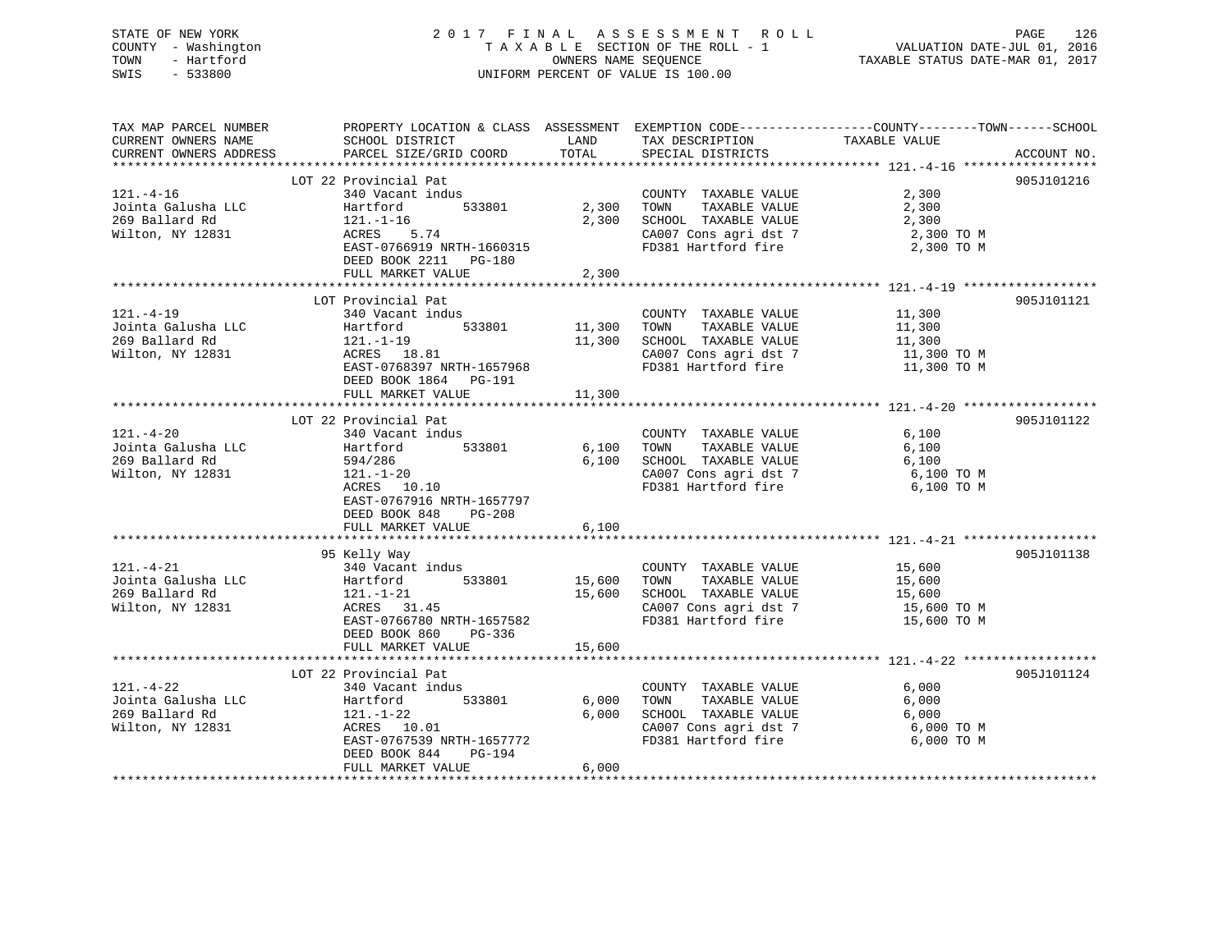## STATE OF NEW YORK 2 0 1 7 F I N A L A S S E S S M E N T R O L L PAGE 126 COUNTY - Washington T A X A B L E SECTION OF THE ROLL - 1 VALUATION DATE-JUL 01, 2016 TOWN - Hartford **TAXABLE STATUS DATE-MAR 01, 2017** SWIS - 533800 UNIFORM PERCENT OF VALUE IS 100.00

| TAX MAP PARCEL NUMBER<br>CURRENT OWNERS NAME<br>CURRENT OWNERS ADDRESS      | SCHOOL DISTRICT<br>PARCEL SIZE/GRID COORD                                                                                                                                               | LAND<br>TOTAL                  | TAX DESCRIPTION TAXABLE VALUE<br>SPECIAL DISTRICTS                                                                        | PROPERTY LOCATION & CLASS ASSESSMENT EXEMPTION CODE----------------COUNTY-------TOWN------SCHOOL<br>ACCOUNT NO. |
|-----------------------------------------------------------------------------|-----------------------------------------------------------------------------------------------------------------------------------------------------------------------------------------|--------------------------------|---------------------------------------------------------------------------------------------------------------------------|-----------------------------------------------------------------------------------------------------------------|
| $121. -4-16$<br>Jointa Galusha LLC<br>269 Ballard Rd<br>Wilton, NY 12831    | LOT 22 Provincial Pat<br>340 Vacant indus<br>Hartford<br>$121. - 1 - 16$<br><b>ACRES</b><br>5.74<br>EAST-0766919 NRTH-1660315<br>DEED BOOK 2211    PG-180<br>FULL MARKET VALUE          | 533801 2,300<br>2,300<br>2,300 | COUNTY TAXABLE VALUE<br>TOWN<br>TAXABLE VALUE<br>SCHOOL TAXABLE VALUE<br>CA007 Cons agri dst 7<br>FD381 Hartford fire     | 905J101216<br>2,300<br>2,300<br>2,300<br>2,300 TO M<br>2,300 TO M                                               |
| $121. -4 - 19$<br>Jointa Galusha LLC<br>269 Ballard Rd<br>Wilton, NY 12831  | LOT Provincial Pat<br>340 Vacant indus<br>Bis .asan<br>533801<br>121.-1-19<br>ACRES 18<br>ACRES 18.81<br>EAST-0768397 NRTH-1657968<br>DEED BOOK 1864 PG-191<br>FULL MARKET VALUE        | 11,300<br>11,300<br>11,300     | COUNTY TAXABLE VALUE<br>TOWN TAXABLE VALUE<br>SCHOOL TAXABLE VALUE<br>CA007 Cons agri dst 7                               | 905J101121<br>11,300<br>11,300<br>11,300<br>11,300 TO M<br>FD381 Hartford fire 11,300 TO M                      |
| $121. - 4 - 20$<br>Jointa Galusha LLC<br>269 Ballard Rd<br>Wilton, NY 12831 | LOT 22 Provincial Pat<br>340 Vacant indus<br>Hartford<br>533801<br>594/286<br>$121.-1-20$<br>ACRES 10.10<br>EAST-0767916 NRTH-1657797<br>DEED BOOK 848<br>$PG-208$<br>FULL MARKET VALUE | 6,100<br>6,100<br>6,100        | COUNTY TAXABLE VALUE<br>TAXABLE VALUE<br>TOWN<br>SCHOOL TAXABLE VALUE<br>FD381 Hartford fire                              | 905J101122<br>6,100<br>6,100<br>6,100<br>CA007 Cons agri dst 7 6,100 TO M<br>6,100 TO M                         |
| $121. - 4 - 21$<br>Wilton, NY 12831                                         | 95 Kelly Way<br>340 Vacant indus<br>533801<br>ACRES 31.45<br>EAST-0766780 NRTH-1657582<br>DEED BOOK 860<br>PG-336<br>FULL MARKET VALUE                                                  | 15,600<br>15,600<br>15,600     | COUNTY TAXABLE VALUE 15,600<br>TOWN TAXABLE VALUE<br>SCHOOL TAXABLE VALUE<br>CA007 Cons agri dst 7<br>FD381 Hartford fire | 905J101138<br>15,600<br>15,600<br>15,600 TO M<br>15,600 TO M                                                    |
| $121. - 4 - 22$<br>Jointa Galusha LLC<br>269 Ballard Rd<br>Wilton, NY 12831 | LOT 22 Provincial Pat<br>340 Vacant indus<br>Hartford<br>533801<br>$121. - 1 - 22$<br>ACRES 10.01<br>EAST-0767539 NRTH-1657772<br>DEED BOOK 844<br>PG-194<br>FULL MARKET VALUE          | 6,000<br>6,000<br>6,000        | COUNTY TAXABLE VALUE<br>TOWN<br>TAXABLE VALUE<br>SCHOOL TAXABLE VALUE<br>CA007 Cons agri dst 7<br>FD381 Hartford fire     | 905J101124<br>6,000<br>6,000<br>6,000<br>6,000 TO M<br>6,000 TO M                                               |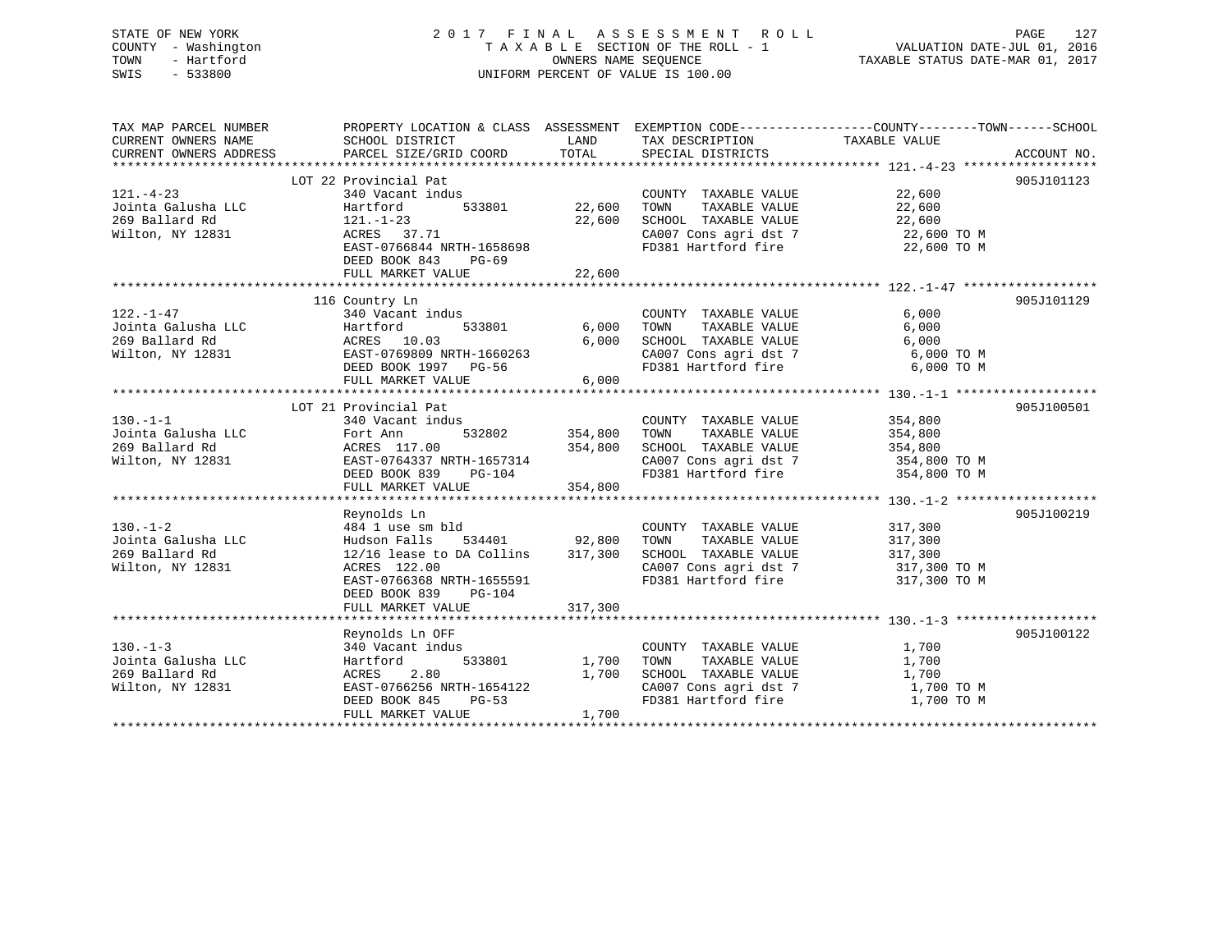## STATE OF NEW YORK 2 0 1 7 F I N A L A S S E S S M E N T R O L L PAGE 127 COUNTY - Washington T A X A B L E SECTION OF THE ROLL - 1 VALUATION DATE-JUL 01, 2016 TOWN - Hartford **TAXABLE STATUS DATE-MAR 01, 2017** SWIS - 533800 UNIFORM PERCENT OF VALUE IS 100.00

| TAX MAP PARCEL NUMBER<br>CURRENT OWNERS NAME                       | PROPERTY LOCATION & CLASS ASSESSMENT EXEMPTION CODE---------------COUNTY-------TOWN-----SCHOOL<br>SCHOOL DISTRICT | LAND           | TAX DESCRIPTION                                                                                      | TAXABLE VALUE |             |
|--------------------------------------------------------------------|-------------------------------------------------------------------------------------------------------------------|----------------|------------------------------------------------------------------------------------------------------|---------------|-------------|
| CURRENT OWNERS ADDRESS                                             | PARCEL SIZE/GRID COORD                                                                                            | TOTAL          | SPECIAL DISTRICTS                                                                                    |               | ACCOUNT NO. |
|                                                                    |                                                                                                                   |                |                                                                                                      |               | 905J101123  |
| $121. - 4 - 23$                                                    | LOT 22 Provincial Pat<br>340 Vacant indus                                                                         |                |                                                                                                      | 22,600        |             |
|                                                                    | 533801<br>Hartford                                                                                                | 22,600         | COUNTY TAXABLE VALUE<br>TAXABLE VALUE<br>TOWN                                                        | 22,600        |             |
| Jointa Galusha LLC<br>269 Ballard Rd                               | 121.-1-23                                                                                                         | 22,600         | SCHOOL TAXABLE VALUE                                                                                 | 22,600        |             |
| Wilton, NY 12831                                                   | ACRES 37.71                                                                                                       |                |                                                                                                      |               |             |
|                                                                    | EAST-0766844 NRTH-1658698                                                                                         |                | CA007 Cons agri dst 7 22,600 TO M<br>FD381 Hartford fire                                             | 22,600 TO M   |             |
|                                                                    | DEED BOOK 843<br>$PG-69$                                                                                          |                |                                                                                                      |               |             |
|                                                                    |                                                                                                                   |                |                                                                                                      |               |             |
|                                                                    |                                                                                                                   |                |                                                                                                      |               |             |
|                                                                    | 116 Country Ln                                                                                                    |                |                                                                                                      |               | 905J101129  |
| $122. - 1 - 47$                                                    | 340 Vacant indus                                                                                                  |                | COUNTY TAXABLE VALUE                                                                                 | 6,000         |             |
| 122.-1-47<br>Jointa Galusha LLC                                    | Hartford                                                                                                          | 533801 6,000   | TAXABLE VALUE<br>TAXABLE VALUE<br>TOWN                                                               | 6,000         |             |
| 269 Ballard Rd                                                     | ACRES 10.03                                                                                                       | 6,000          | SCHOOL TAXABLE VALUE                                                                                 | 6,000         |             |
| Wilton, NY 12831                                                   | EAST-0769809 NRTH-1660263                                                                                         |                |                                                                                                      | 6,000 TO M    |             |
|                                                                    | DEED BOOK 1997 PG-56                                                                                              |                | CA007 Cons agri dst 7<br>FD381 Hartford fire                                                         | 6,000 TO M    |             |
|                                                                    | FULL MARKET VALUE                                                                                                 | 6,000          |                                                                                                      |               |             |
|                                                                    |                                                                                                                   |                |                                                                                                      |               |             |
|                                                                    | LOT 21 Provincial Pat                                                                                             |                |                                                                                                      |               | 905J100501  |
| $130 - 1 - 1$                                                      | 340 Vacant indus                                                                                                  |                | COUNTY TAXABLE VALUE                                                                                 | 354,800       |             |
| Jointa Galusha LLC                                                 | Fort Ann                                                                                                          | 532802 354,800 | TAXABLE VALUE<br>TOWN                                                                                | 354,800       |             |
| 269 Ballard Rd                                                     |                                                                                                                   | 354,800        | SCHOOL TAXABLE VALUE                                                                                 | 354,800       |             |
| Wilton, NY 12831                                                   |                                                                                                                   |                | CA007 Cons agri dst 7 354,800 TO M<br>FD381 Hartford fire 354,800 TO M                               |               |             |
|                                                                    | 2<br>ACRES 117.00 354,800<br>EAST-0764337 NRTH-1657314<br>DEED BOOK 839 PG-104                                    |                |                                                                                                      |               |             |
|                                                                    | FULL MARKET VALUE                                                                                                 | 354,800        |                                                                                                      |               |             |
|                                                                    |                                                                                                                   |                |                                                                                                      |               |             |
|                                                                    | Reynolds Ln                                                                                                       |                |                                                                                                      |               | 905J100219  |
| $130. - 1 - 2$<br>130.-1-2<br>Jointa Galusha LLC<br>269 Ballard Rd | 484 1 use sm bld                                                                                                  |                | COUNTY TAXABLE VALUE                                                                                 | 317,300       |             |
|                                                                    | Hudson Falls<br>$12/16$ lease to DA Collins $317,300$                                                             |                | TAXABLE VALUE<br>TOWN<br>SCHOOL TAXABLE VALUE 317,300                                                | 317,300       |             |
| 269 Ballard Rd<br>Wilton, NY 12831                                 | ACRES 122.00                                                                                                      |                |                                                                                                      |               |             |
|                                                                    | EAST-0766368 NRTH-1655591                                                                                         |                | CA007 Cons agri dst 7 $317,300$ TO M<br>TR301 Visibles fine<br>$317,300$ TO M<br>FD381 Hartford fire | 317,300 TO M  |             |
|                                                                    | DEED BOOK 839<br>$PG-104$                                                                                         |                |                                                                                                      |               |             |
|                                                                    | FULL MARKET VALUE                                                                                                 | 317,300        |                                                                                                      |               |             |
|                                                                    |                                                                                                                   |                |                                                                                                      |               |             |
|                                                                    | Reynolds Ln OFF                                                                                                   |                |                                                                                                      |               | 905J100122  |
| $130 - 1 - 3$                                                      | 340 Vacant indus                                                                                                  |                | COUNTY TAXABLE VALUE                                                                                 | 1,700         |             |
| Jointa Galusha LLC                                                 | 533801<br>Hartford                                                                                                | 1,700          | TAXABLE VALUE<br>TOWN                                                                                | 1,700         |             |
| 269 Ballard Rd                                                     | 2.80<br>ACRES                                                                                                     | 1,700          | SCHOOL TAXABLE VALUE                                                                                 | 1,700         |             |
| Wilton, NY 12831                                                   | $\texttt{EAST-0766256} \texttt{NRTH-1654122}$                                                                     |                | CA007 Cons agri dst 7                                                                                | 1,700 TO M    |             |
|                                                                    | $PG-53$<br>DEED BOOK 845                                                                                          |                | FD381 Hartford fire                                                                                  | 1,700 TO M    |             |
|                                                                    | FULL MARKET VALUE                                                                                                 | 1,700          |                                                                                                      |               |             |
|                                                                    |                                                                                                                   |                |                                                                                                      |               |             |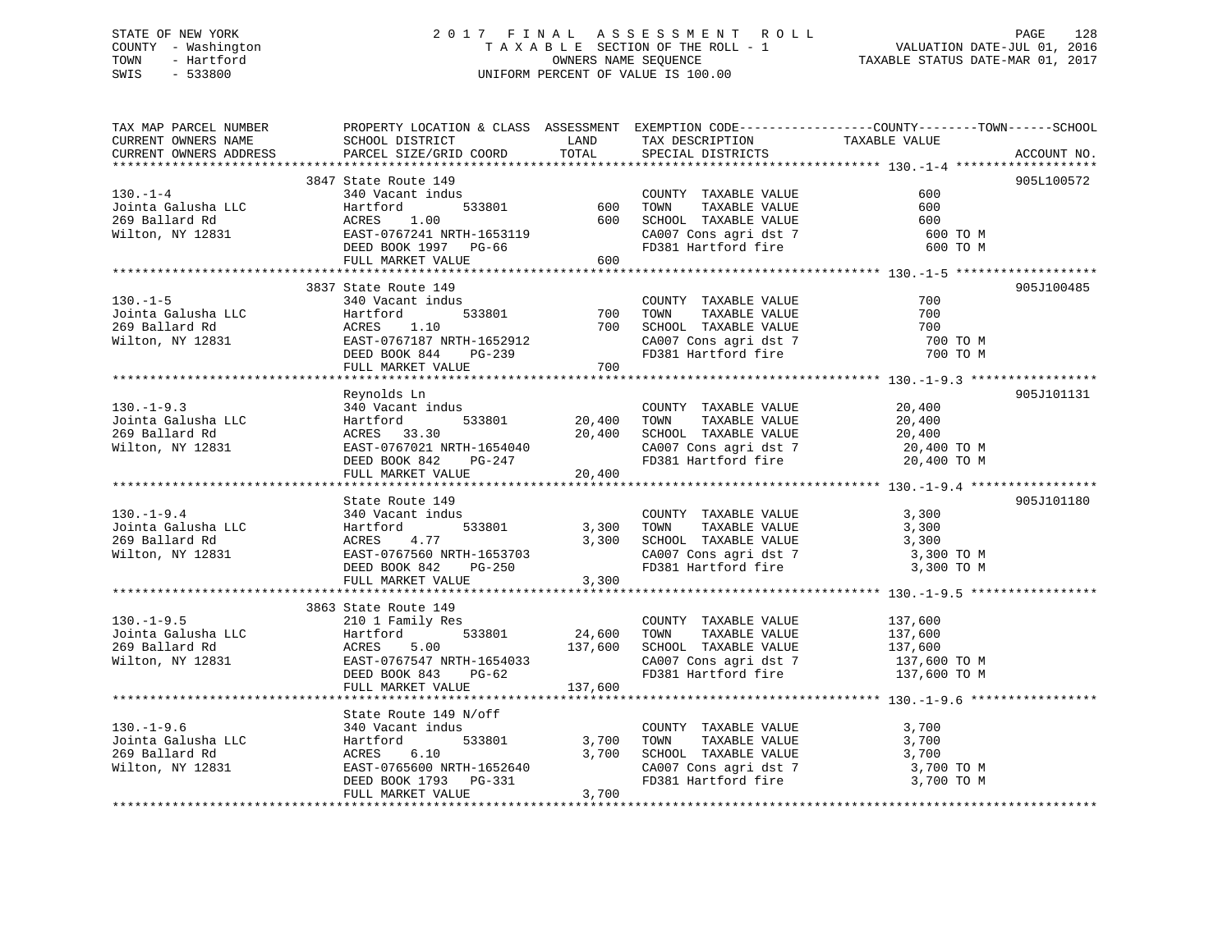## STATE OF NEW YORK 2 0 1 7 F I N A L A S S E S S M E N T R O L L PAGE 128 COUNTY - Washington T A X A B L E SECTION OF THE ROLL - 1 VALUATION DATE-JUL 01, 2016 TOWN - Hartford **TAXABLE STATUS DATE-MAR 01, 2017** SWIS - 533800 UNIFORM PERCENT OF VALUE IS 100.00

| TAX MAP PARCEL NUMBER | PROPERTY LOCATION & CLASS ASSESSMENT EXEMPTION CODE---------------COUNTY-------TOWN------SCHOOL                                                                                                                                                                       |       | LAND TAX DESCRIPTION TAXABLE VALUE                                                                                                                                                                                                              |                                    |             |
|-----------------------|-----------------------------------------------------------------------------------------------------------------------------------------------------------------------------------------------------------------------------------------------------------------------|-------|-------------------------------------------------------------------------------------------------------------------------------------------------------------------------------------------------------------------------------------------------|------------------------------------|-------------|
|                       |                                                                                                                                                                                                                                                                       |       | SPECIAL DISTRICTS                                                                                                                                                                                                                               |                                    | ACCOUNT NO. |
|                       |                                                                                                                                                                                                                                                                       |       |                                                                                                                                                                                                                                                 |                                    |             |
|                       | 3847 State Route 149                                                                                                                                                                                                                                                  |       |                                                                                                                                                                                                                                                 | 600                                | 905L100572  |
|                       | 130.-1-4<br>Jointa Galusha LLC<br>140 Vacant indus<br>140 Vacant indus<br>160 TOWN TAXABLE VALUE<br>269 Ballard Rd<br>269 Ballard Rd<br>269 Ballard Rd<br>269 Ballard Rd<br>269 Ballard Rd<br>269 Ballard Rd<br>269 Ballard Rd<br>269 Ballard Rd<br>269               |       |                                                                                                                                                                                                                                                 | 600<br>600<br>600 TO M<br>600 TO M |             |
|                       |                                                                                                                                                                                                                                                                       |       |                                                                                                                                                                                                                                                 |                                    |             |
|                       | 3837 State Route 149                                                                                                                                                                                                                                                  |       |                                                                                                                                                                                                                                                 |                                    | 905J100485  |
| $130. - 1 - 5$        | 340 Vacant indus<br>130.-1-5<br>Jointa Galusha LLC Martford 533801 700<br>269 Ballard Rd ACRES 1.10 700<br>269 Ballard Rd ACRES 1.10 700<br>269 Ballard Rd ACRES 1.10 700<br>26851-0767187 NRTH-1652912<br>26851 DEED BOOK 844 PG-239<br>FULL MARKET VALUE 700        |       | COUNTY TAXABLE VALUE<br>533801 700 TOWN TAXABLE VALUE<br>700 SCHOOL TAXABLE VALUE<br>CA007 Cons agri dst 7<br>FD381 Hartford fire                                                                                                               | 700<br>700<br>700<br>700 TO M      |             |
|                       |                                                                                                                                                                                                                                                                       |       |                                                                                                                                                                                                                                                 | 700 TO M                           |             |
|                       |                                                                                                                                                                                                                                                                       |       |                                                                                                                                                                                                                                                 |                                    |             |
|                       | Reynolds Ln                                                                                                                                                                                                                                                           |       |                                                                                                                                                                                                                                                 |                                    | 905J101131  |
| $130. - 1 - 9.3$      | 340 Vacant indus<br>130.-1-9.3<br>Jointa Galusha LLC Hartford 533801<br>20,400 TOWN TAXABLE VALUE 20,400<br>269 Ballard Rd ACRES 33.30<br>20,400 EAST-0767021 NRTH-1654040<br>DEED BOOK 842 PG-247<br>PULL MARKET VALUE 20,400<br>20,400 CA007 Cons agri d            |       | COUNTY TAXABLE VALUE<br>TOWN TAXABLE VALUE                                                                                                                                                                                                      | 20,400                             |             |
|                       |                                                                                                                                                                                                                                                                       |       |                                                                                                                                                                                                                                                 |                                    |             |
|                       | State Route 149                                                                                                                                                                                                                                                       |       |                                                                                                                                                                                                                                                 |                                    | 905J101180  |
| $130.-1-9.4$          | 340 Vacant indus<br>130.-1-9.4<br>130.-1-9.4<br>130.-1-9.4<br>130.300<br>269 Ballard Rd (1.77 1313801 1653703<br>269 Ballard Rd (1.77 1653703<br>269 Ballard Rd (1.77 1653703<br>260 BAST-0767560 NRTH-1653703<br>2.300<br>2.300<br>FULL MARKET VALUE                 | 3,300 | COUNTY TAXABLE VALUE<br>533801 3,300 TOWN TAXABLE VALUE 3,300<br>3,300 SCHOOL TAXABLE VALUE 3,300<br>CA007 Cons agri dst 7 3,300 TO M<br>FD381 Hartford fire 3,300 TO M                                                                         | 3,300                              |             |
|                       |                                                                                                                                                                                                                                                                       |       |                                                                                                                                                                                                                                                 |                                    |             |
|                       | 3863 State Route 149<br>130.-1-9.5 210 1 Family Res<br>Jointa Galusha LLC Hartford 533801 24,600 TOWN TAXABLE VALUE 137,600<br>269 Ballard Rd ACRES 5.00 137,600 SCHOOL TAXABLE VALUE 137,600<br>Wilton, NY 12831 BAST-0767547 NRTH-16                                |       |                                                                                                                                                                                                                                                 |                                    |             |
|                       |                                                                                                                                                                                                                                                                       |       |                                                                                                                                                                                                                                                 |                                    |             |
|                       | State Route 149 N/off<br>130.-1-9.6<br>130.-1-9.6<br>130.-1-9.6<br>130.-1-9.6<br>140 Vacant indus<br>140 Vacant indus<br>133801 3,700 TOWN<br>269 Ballard Rd ACRES 6.10 3,700 SCHOOL<br>269 Ballard Rd ACRES 6.10 3,700 SCHOOL<br>269 Ballard Rd ACRES 6.10 3,700 SCH |       | $\begin{tabular}{lllllllllll} \multicolumn{2}{c}{\text{COUNTY}} & \text{TAXABLE VALUE} & & & & 3 \, , \mathit{700} \\ \multicolumn{2}{c}{\text{TONN}} & \text{TAXABLE VALUE} & & & 3 \, , \mathit{700} \\ \end{tabular}$<br>FD381 Hartford fire | 3,700 TO M                         |             |
|                       | FULL MARKET VALUE                                                                                                                                                                                                                                                     | 3,700 |                                                                                                                                                                                                                                                 |                                    |             |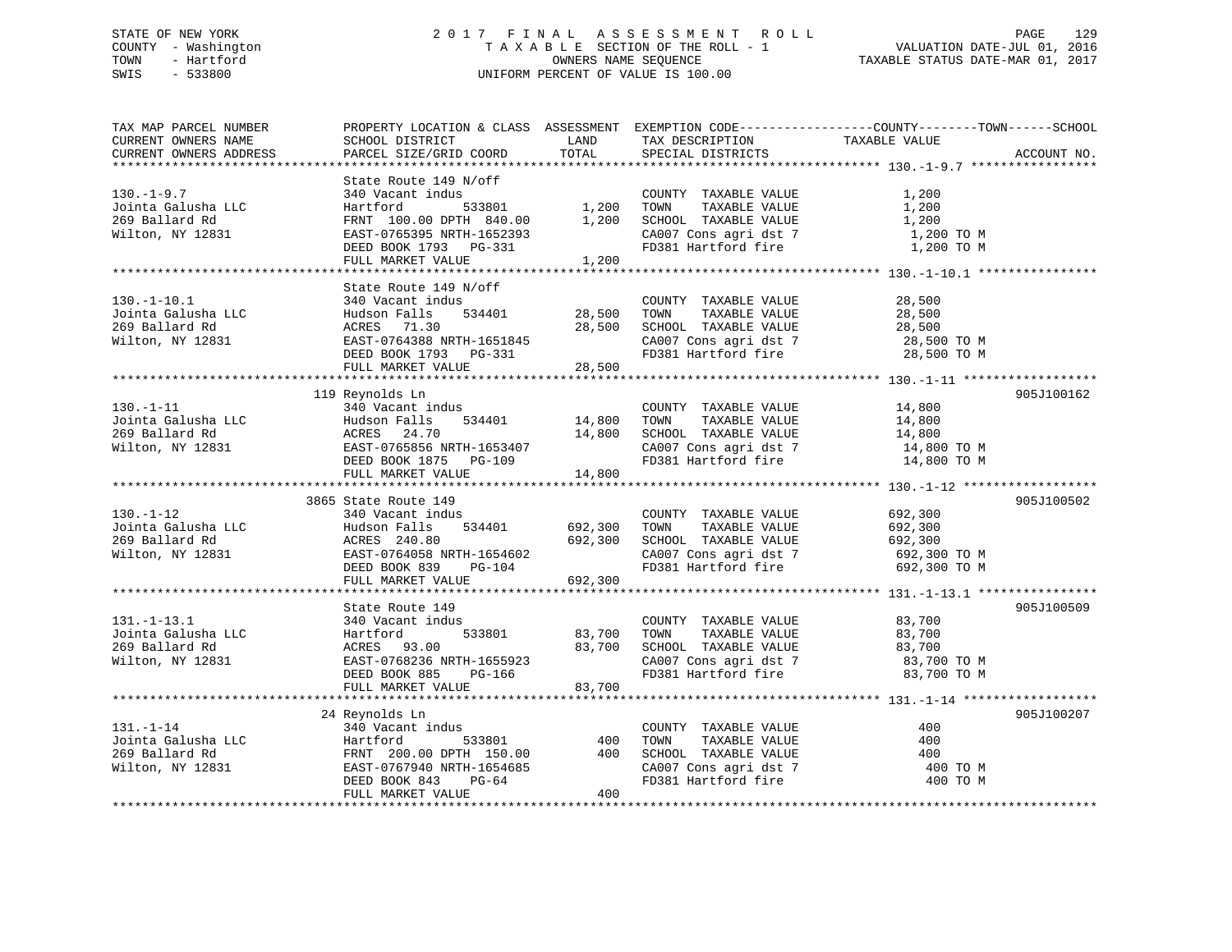## STATE OF NEW YORK 2 0 1 7 F I N A L A S S E S S M E N T R O L L PAGE 129 COUNTY - Washington T A X A B L E SECTION OF THE ROLL - 1 VALUATION DATE-JUL 01, 2016 TOWN - Hartford **TAXABLE STATUS DATE-MAR 01, 2017** SWIS - 533800 UNIFORM PERCENT OF VALUE IS 100.00

| TAX MAP PARCEL NUMBER<br>CURRENT OWNERS NAME | PROPERTY LOCATION & CLASS ASSESSMENT EXEMPTION CODE----------------COUNTY-------TOWN------SCHOOL<br>SCHOOL DISTRICT | LAND    | TAX DESCRIPTION       | TAXABLE VALUE |             |
|----------------------------------------------|---------------------------------------------------------------------------------------------------------------------|---------|-----------------------|---------------|-------------|
| CURRENT OWNERS ADDRESS                       | PARCEL SIZE/GRID COORD                                                                                              | TOTAL   | SPECIAL DISTRICTS     |               | ACCOUNT NO. |
|                                              |                                                                                                                     |         |                       |               |             |
|                                              | State Route 149 N/off                                                                                               |         |                       |               |             |
| $130.-1-9.7$                                 | 340 Vacant indus                                                                                                    |         | COUNTY TAXABLE VALUE  | 1,200         |             |
| Jointa Galusha LLC                           | Hartford<br>533801                                                                                                  | 1,200   | TOWN<br>TAXABLE VALUE | 1,200         |             |
| 269 Ballard Rd                               | FRNT 100.00 DPTH 840.00                                                                                             | 1,200   | SCHOOL TAXABLE VALUE  | 1,200         |             |
| Wilton, NY 12831                             | EAST-0765395 NRTH-1652393                                                                                           |         | CA007 Cons agri dst 7 | 1,200 TO M    |             |
|                                              | DEED BOOK 1793 PG-331                                                                                               |         | FD381 Hartford fire   | 1,200 TO M    |             |
|                                              | FULL MARKET VALUE                                                                                                   | 1,200   |                       |               |             |
|                                              |                                                                                                                     |         |                       |               |             |
| $130. - 1 - 10.1$                            | State Route 149 N/off                                                                                               |         |                       |               |             |
|                                              | 340 Vacant indus                                                                                                    |         | COUNTY TAXABLE VALUE  | 28,500        |             |
| Jointa Galusha LLC                           | Hudson Falls<br>534401                                                                                              | 28,500  | TAXABLE VALUE<br>TOWN | 28,500        |             |
| 269 Ballard Rd                               | ACRES 71.30                                                                                                         | 28,500  | SCHOOL TAXABLE VALUE  | 28,500        |             |
| Wilton, NY 12831                             | EAST-0764388 NRTH-1651845                                                                                           |         | CA007 Cons agri dst 7 | 28,500 TO M   |             |
|                                              | DEED BOOK 1793 PG-331<br>FULL MARKET VALUE                                                                          |         | FD381 Hartford fire   | 28,500 TO M   |             |
|                                              |                                                                                                                     | 28,500  |                       |               |             |
|                                              | 119 Reynolds Ln                                                                                                     |         |                       |               | 905J100162  |
| $130. -1 - 11$                               | 340 Vacant indus                                                                                                    |         | COUNTY TAXABLE VALUE  | 14,800        |             |
| Jointa Galusha LLC                           | Hudson Falls<br>534401                                                                                              | 14,800  | TAXABLE VALUE<br>TOWN | 14,800        |             |
| 269 Ballard Rd                               | ACRES 24.70                                                                                                         | 14,800  | SCHOOL TAXABLE VALUE  | 14,800        |             |
| Wilton, NY 12831                             | EAST-0765856 NRTH-1653407                                                                                           |         | CA007 Cons agri dst 7 | 14,800 TO M   |             |
|                                              | DEED BOOK 1875 PG-109                                                                                               |         | FD381 Hartford fire   | 14,800 TO M   |             |
|                                              | FULL MARKET VALUE                                                                                                   | 14,800  |                       |               |             |
|                                              |                                                                                                                     |         |                       |               |             |
|                                              | 3865 State Route 149                                                                                                |         |                       |               | 905J100502  |
| $130. - 1 - 12$                              | 340 Vacant indus                                                                                                    |         | COUNTY TAXABLE VALUE  | 692,300       |             |
| Jointa Galusha LLC                           | 534401<br>Hudson Falls                                                                                              | 692,300 | TAXABLE VALUE<br>TOWN | 692,300       |             |
| 269 Ballard Rd                               | ACRES 240.80                                                                                                        | 692,300 | SCHOOL TAXABLE VALUE  | 692,300       |             |
| Wilton, NY 12831                             | EAST-0764058 NRTH-1654602                                                                                           |         | CA007 Cons agri dst 7 | 692,300 TO M  |             |
|                                              | DEED BOOK 839<br>PG-104                                                                                             |         | FD381 Hartford fire   | 692,300 TO M  |             |
|                                              | FULL MARKET VALUE                                                                                                   | 692,300 |                       |               |             |
|                                              |                                                                                                                     |         |                       |               |             |
|                                              | State Route 149                                                                                                     |         |                       |               | 905J100509  |
| $131. - 1 - 13.1$                            | 340 Vacant indus                                                                                                    |         | COUNTY TAXABLE VALUE  | 83,700        |             |
| Jointa Galusha LLC                           | Hartford<br>533801                                                                                                  | 83,700  | TAXABLE VALUE<br>TOWN | 83,700        |             |
| 269 Ballard Rd                               | ACRES 93.00                                                                                                         | 83,700  | SCHOOL TAXABLE VALUE  | 83,700        |             |
| Wilton, NY 12831                             | EAST-0768236 NRTH-1655923                                                                                           |         | CA007 Cons agri dst 7 | 83,700 TO M   |             |
|                                              | DEED BOOK 885<br>PG-166                                                                                             |         | FD381 Hartford fire   | 83,700 TO M   |             |
|                                              | FULL MARKET VALUE                                                                                                   | 83,700  |                       |               |             |
|                                              |                                                                                                                     |         |                       |               | 905J100207  |
| $131. - 1 - 14$                              | 24 Reynolds Ln<br>340 Vacant indus                                                                                  |         | COUNTY TAXABLE VALUE  | 400           |             |
| Jointa Galusha LLC                           | Hartford<br>533801                                                                                                  | 400     | TAXABLE VALUE<br>TOWN | 400           |             |
| 269 Ballard Rd                               | FRNT 200.00 DPTH 150.00                                                                                             | 400     | SCHOOL TAXABLE VALUE  | 400           |             |
| Wilton, NY 12831                             | EAST-0767940 NRTH-1654685                                                                                           |         | CA007 Cons agri dst 7 | 400 TO M      |             |
|                                              | DEED BOOK 843<br>PG-64                                                                                              |         | FD381 Hartford fire   | 400 TO M      |             |
|                                              | FULL MARKET VALUE                                                                                                   | 400     |                       |               |             |
|                                              |                                                                                                                     |         |                       |               |             |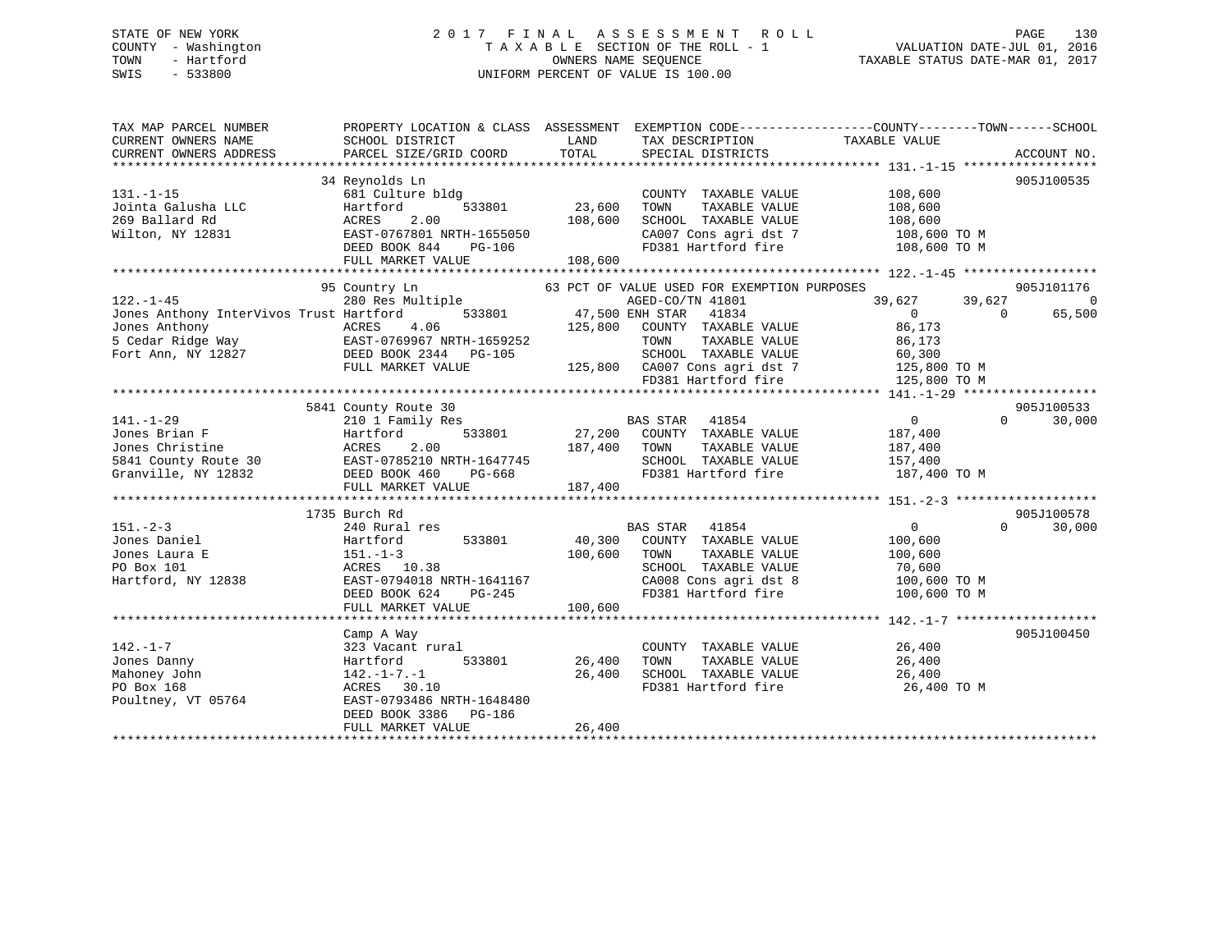## STATE OF NEW YORK 2 0 1 7 F I N A L A S S E S S M E N T R O L L PAGE 130 COUNTY - Washington T A X A B L E SECTION OF THE ROLL - 1 VALUATION DATE-JUL 01, 2016 TOWN - Hartford OWNERS NAME SEQUENCE TAXABLE STATUS DATE-MAR 01, 2017 SWIS - 533800 UNIFORM PERCENT OF VALUE IS 100.00

| TAX MAP PARCEL NUMBER                                                                                                                                                                                                             | PROPERTY LOCATION & CLASS ASSESSMENT EXEMPTION CODE----------------COUNTY-------TOWN------SCHOOL                                                                                                                                                                                                                                                                                                                                     |              |                                                                                 |                                              |                    |
|-----------------------------------------------------------------------------------------------------------------------------------------------------------------------------------------------------------------------------------|--------------------------------------------------------------------------------------------------------------------------------------------------------------------------------------------------------------------------------------------------------------------------------------------------------------------------------------------------------------------------------------------------------------------------------------|--------------|---------------------------------------------------------------------------------|----------------------------------------------|--------------------|
| CURRENT OWNERS NAME                                                                                                                                                                                                               | SCHOOL DISTRICT                                                                                                                                                                                                                                                                                                                                                                                                                      | LAND         | TAX DESCRIPTION                                                                 | TAXABLE VALUE                                |                    |
|                                                                                                                                                                                                                                   |                                                                                                                                                                                                                                                                                                                                                                                                                                      |              |                                                                                 |                                              |                    |
| CURENT OWNERS ADDRESS DEARCEL SIZE/GRID COORD TOTAL SPECIAL DISTRICTS CONNERT OWNERS ADDRESS DEARCEL SIZE/GRID COORD TOTAL SPECIAL DISTRICTS ACCOUNT NO.<br>EXAMPLE SEXUAL SEXUAL SEXUAL SEXUAL SEXUAL SEXUAL SEXUAL DISTRICTS AC |                                                                                                                                                                                                                                                                                                                                                                                                                                      |              |                                                                                 |                                              |                    |
|                                                                                                                                                                                                                                   | 34 Reynolds Ln                                                                                                                                                                                                                                                                                                                                                                                                                       |              |                                                                                 |                                              | 905J100535         |
| $131. -1 - 15$                                                                                                                                                                                                                    | 681 Culture bldg                                                                                                                                                                                                                                                                                                                                                                                                                     |              | COUNTY TAXABLE VALUE 108,600                                                    |                                              |                    |
|                                                                                                                                                                                                                                   | 533801<br>Hartford                                                                                                                                                                                                                                                                                                                                                                                                                   | 23,600       | TAXABLE VALUE<br>TOWN                                                           |                                              |                    |
| Jointa Galusha LLC<br>269 Ballard Rd                                                                                                                                                                                              | ACRES<br>2.00                                                                                                                                                                                                                                                                                                                                                                                                                        | 108,600      | SCHOOL TAXABLE VALUE                                                            | 108,600<br>108,600                           |                    |
|                                                                                                                                                                                                                                   |                                                                                                                                                                                                                                                                                                                                                                                                                                      |              |                                                                                 |                                              |                    |
|                                                                                                                                                                                                                                   |                                                                                                                                                                                                                                                                                                                                                                                                                                      |              |                                                                                 |                                              |                    |
|                                                                                                                                                                                                                                   |                                                                                                                                                                                                                                                                                                                                                                                                                                      |              |                                                                                 |                                              |                    |
|                                                                                                                                                                                                                                   |                                                                                                                                                                                                                                                                                                                                                                                                                                      |              |                                                                                 |                                              |                    |
|                                                                                                                                                                                                                                   |                                                                                                                                                                                                                                                                                                                                                                                                                                      |              |                                                                                 |                                              |                    |
|                                                                                                                                                                                                                                   | 95 Country Ln                                                                                                                                                                                                                                                                                                                                                                                                                        |              | 63 PCT OF VALUE USED FOR EXEMPTION PURPOSES                                     |                                              | 905J101176         |
| $122. - 1 - 45$                                                                                                                                                                                                                   | 280 Res Multiple<br>.tiple<br>533801 573801 533801 533801 533801 533801 533801 533801 533801 575.800                                                                                                                                                                                                                                                                                                                                 |              | AGED-CO/TN 41801                                                                | 39,627<br>39,627                             | 0                  |
| Jones Anthony InterVivos Trust Hartford                                                                                                                                                                                           |                                                                                                                                                                                                                                                                                                                                                                                                                                      |              | 41834                                                                           | $\overline{0}$<br>$\bigcirc$                 | 65,500             |
| Jones Anthony                                                                                                                                                                                                                     | ACRES 4.06                                                                                                                                                                                                                                                                                                                                                                                                                           |              | 125,800 COUNTY TAXABLE VALUE                                                    | 86,173                                       |                    |
| 5 Cedar Ridge Way 6. EAST-0769967 NRTH-1659252                                                                                                                                                                                    |                                                                                                                                                                                                                                                                                                                                                                                                                                      |              | TOWN                                                                            | TAXABLE VALUE 86,173                         |                    |
| Fort Ann, NY 12827 DEED BOOK 2344 PG-105                                                                                                                                                                                          |                                                                                                                                                                                                                                                                                                                                                                                                                                      |              |                                                                                 |                                              |                    |
|                                                                                                                                                                                                                                   | FULL MARKET VALUE                                                                                                                                                                                                                                                                                                                                                                                                                    |              | 3-105 SCHOOL TAXABLE VALUE 60,300<br>125,800 CA007 Cons agri dst 7 125,800 TO M |                                              |                    |
|                                                                                                                                                                                                                                   |                                                                                                                                                                                                                                                                                                                                                                                                                                      |              | FD381 Hartford fire                                                             | 125,800 TO M                                 |                    |
|                                                                                                                                                                                                                                   |                                                                                                                                                                                                                                                                                                                                                                                                                                      |              |                                                                                 |                                              |                    |
|                                                                                                                                                                                                                                   | 5841 County Route 30                                                                                                                                                                                                                                                                                                                                                                                                                 |              |                                                                                 |                                              | 905J100533         |
| $141. - 1 - 29$                                                                                                                                                                                                                   |                                                                                                                                                                                                                                                                                                                                                                                                                                      |              |                                                                                 |                                              | $\Omega$<br>30,000 |
|                                                                                                                                                                                                                                   |                                                                                                                                                                                                                                                                                                                                                                                                                                      |              | BAS STAR 41854 0<br>27,200 COUNTY TAXABLE VALUE 187,400                         |                                              |                    |
|                                                                                                                                                                                                                                   |                                                                                                                                                                                                                                                                                                                                                                                                                                      | 187,400 TOWN |                                                                                 |                                              |                    |
| 141.-1-29 210 1 Family Res E<br>Jones Brian F Hartford 533801 27,200<br>Jones Christine ACRES 2.00 187,400<br>5841 County Route 30 EAST-0785210 NRTH-1647745<br>Granville, NY 12832 DEED BOOK 460 PG-668                          |                                                                                                                                                                                                                                                                                                                                                                                                                                      |              | SCHOOL TAXABLE VALUE                                                            | TAXABLE VALUE 187,400<br>157,400             |                    |
|                                                                                                                                                                                                                                   |                                                                                                                                                                                                                                                                                                                                                                                                                                      |              | FD381 Hartford fire 187,400 TO M                                                |                                              |                    |
|                                                                                                                                                                                                                                   |                                                                                                                                                                                                                                                                                                                                                                                                                                      |              |                                                                                 |                                              |                    |
|                                                                                                                                                                                                                                   | FULL MARKET VALUE                                                                                                                                                                                                                                                                                                                                                                                                                    | 187,400      |                                                                                 |                                              |                    |
|                                                                                                                                                                                                                                   |                                                                                                                                                                                                                                                                                                                                                                                                                                      |              |                                                                                 |                                              |                    |
|                                                                                                                                                                                                                                   | 1735 Burch Rd                                                                                                                                                                                                                                                                                                                                                                                                                        |              |                                                                                 |                                              | 905J100578         |
| $151 - 2 - 3$                                                                                                                                                                                                                     | 240 Rural res                                                                                                                                                                                                                                                                                                                                                                                                                        |              | BAS STAR 41854                                                                  | $\overline{0}$                               | 30,000<br>$\Omega$ |
| Jones Daniel                                                                                                                                                                                                                      | 533801<br>Hartford                                                                                                                                                                                                                                                                                                                                                                                                                   |              | 40,300 COUNTY TAXABLE VALUE                                                     | 100,600                                      |                    |
| Jones Laura E                                                                                                                                                                                                                     |                                                                                                                                                                                                                                                                                                                                                                                                                                      | 100,600 TOWN | TAXABLE VALUE                                                                   | 100,600                                      |                    |
| 151.-1-3<br>ACRES 1<br>PO Box 101                                                                                                                                                                                                 | ACRES 10.38                                                                                                                                                                                                                                                                                                                                                                                                                          |              | SCHOOL TAXABLE VALUE                                                            | 70,600                                       |                    |
| Hartford, NY 12838 EAST-0794018 NRTH-1641167                                                                                                                                                                                      |                                                                                                                                                                                                                                                                                                                                                                                                                                      |              | $\frac{1}{100,600}$ TO M<br>CA008 Cons agri dst 8 100,600 TO M                  |                                              |                    |
|                                                                                                                                                                                                                                   | DEED BOOK 624<br>PG-245                                                                                                                                                                                                                                                                                                                                                                                                              |              | FD381 Hartford fire 100,600 TO M                                                |                                              |                    |
|                                                                                                                                                                                                                                   |                                                                                                                                                                                                                                                                                                                                                                                                                                      |              |                                                                                 |                                              |                    |
|                                                                                                                                                                                                                                   | $\begin{array}{ccccccc} \text{LPL} & \text{LCL} & \text{LCL} & \text{LCL} & \text{LCL} & \text{LCL} & \text{LCL} & \text{LCL} & \text{LCL} & \text{LCL} & \text{LCL} & \text{LCL} & \text{LCL} & \text{LCL} & \text{LCL} & \text{LCL} & \text{LCL} & \text{LCL} & \text{LCL} & \text{LCL} & \text{LCL} & \text{LCL} & \text{LCL} & \text{LCL} & \text{LCL} & \text{LCL} & \text{LCL} & \text{LCL} & \text{LCL} & \text{LCL} & \text$ |              |                                                                                 |                                              |                    |
|                                                                                                                                                                                                                                   | Camp A Way                                                                                                                                                                                                                                                                                                                                                                                                                           |              |                                                                                 |                                              | 905J100450         |
| $142. - 1 - 7$                                                                                                                                                                                                                    | 323 Vacant rural                                                                                                                                                                                                                                                                                                                                                                                                                     |              | COUNTY TAXABLE VALUE 26,400                                                     |                                              |                    |
| Jones Danny                                                                                                                                                                                                                       | 533801<br>Hartford                                                                                                                                                                                                                                                                                                                                                                                                                   | 26,400       | TOWN                                                                            |                                              |                    |
| Mahoney John                                                                                                                                                                                                                      | 142.-1-7.-1                                                                                                                                                                                                                                                                                                                                                                                                                          | 26,400       | SCHOOL TAXABLE VALUE                                                            | TAXABLE VALUE 26,400<br>TAXABLE VALUE 26,400 |                    |
| PO Box 168                                                                                                                                                                                                                        | ACRES 30.10                                                                                                                                                                                                                                                                                                                                                                                                                          |              | FD381 Hartford fire                                                             | 26,400 TO M                                  |                    |
| Poultney, VT 05764                                                                                                                                                                                                                | EAST-0793486 NRTH-1648480                                                                                                                                                                                                                                                                                                                                                                                                            |              |                                                                                 |                                              |                    |
|                                                                                                                                                                                                                                   |                                                                                                                                                                                                                                                                                                                                                                                                                                      |              |                                                                                 |                                              |                    |
|                                                                                                                                                                                                                                   | DEED BOOK 3386<br>PG-186                                                                                                                                                                                                                                                                                                                                                                                                             |              |                                                                                 |                                              |                    |
|                                                                                                                                                                                                                                   | FULL MARKET VALUE                                                                                                                                                                                                                                                                                                                                                                                                                    | 26,400       |                                                                                 |                                              |                    |
|                                                                                                                                                                                                                                   |                                                                                                                                                                                                                                                                                                                                                                                                                                      |              |                                                                                 |                                              |                    |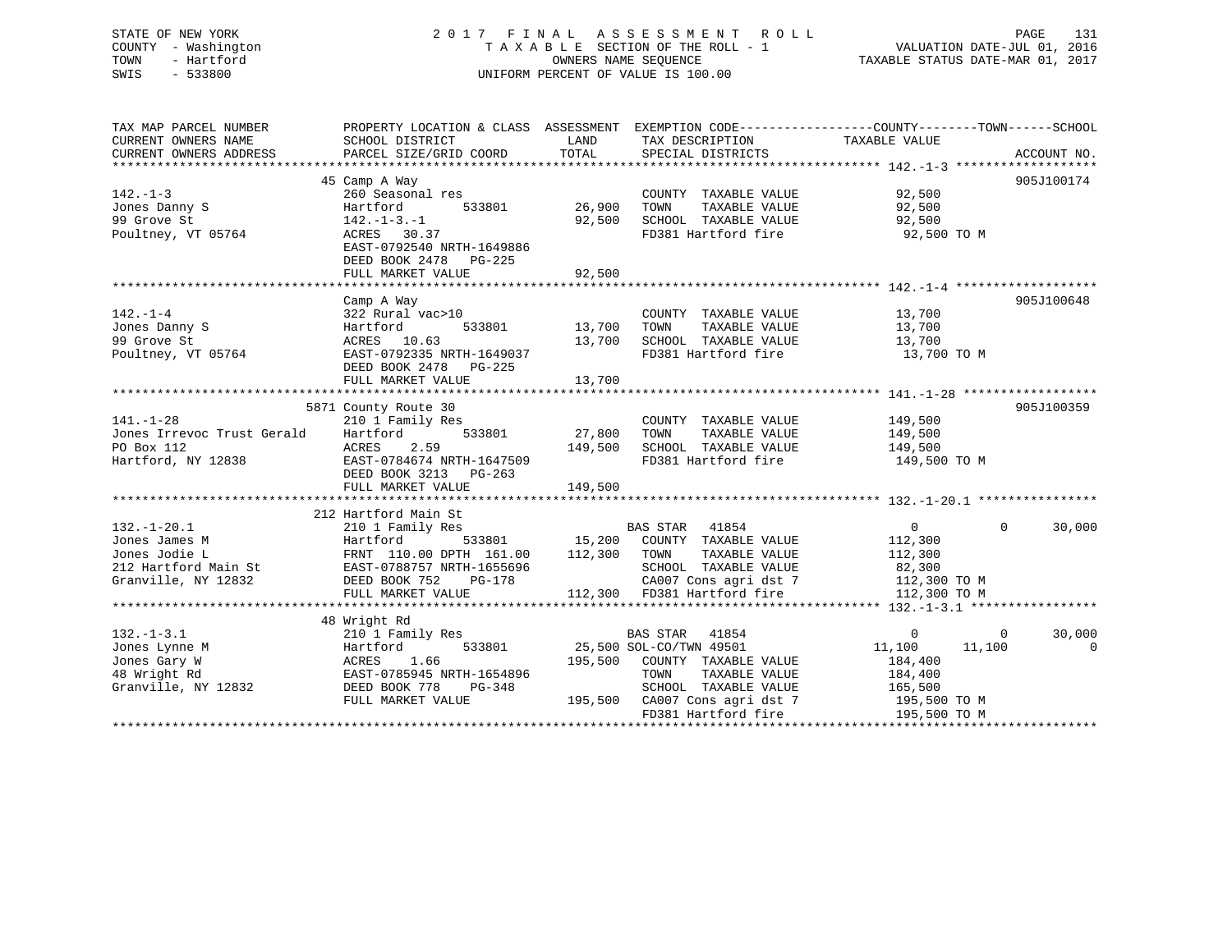# STATE OF NEW YORK 2 0 1 7 F I N A L A S S E S S M E N T R O L L PAGE 131COUNTY - Washington  $T A X A B L E$  SECTION OF THE ROLL - 1<br>TOWN - Hartford SWIS - 533800 UNIFORM PERCENT OF VALUE IS 100.00

VALUATION DATE-JUL 01, 2016

TAXABLE STATUS DATE-MAR 01, 2017

| TAX MAP PARCEL NUMBER<br>CURRENT OWNERS NAME<br>CURRENT OWNERS ADDRESS                             | PROPERTY LOCATION & CLASS ASSESSMENT<br>SCHOOL DISTRICT<br>PARCEL SIZE/GRID COORD                                                                                             | LAND<br>TOTAL                | TAX DESCRIPTION<br>SPECIAL DISTRICTS                                                                                                                                       | EXEMPTION CODE----------------COUNTY-------TOWN------SCHOOL<br>TAXABLE VALUE                        | ACCOUNT NO.                   |
|----------------------------------------------------------------------------------------------------|-------------------------------------------------------------------------------------------------------------------------------------------------------------------------------|------------------------------|----------------------------------------------------------------------------------------------------------------------------------------------------------------------------|-----------------------------------------------------------------------------------------------------|-------------------------------|
| $142. - 1 - 3$<br>Jones Danny S<br>99 Grove St<br>Poultney, VT 05764                               | 45 Camp A Way<br>260 Seasonal res<br>533801<br>Hartford<br>$142. - 1 - 3. - 1$<br>ACRES 30.37<br>EAST-0792540 NRTH-1649886<br>DEED BOOK 2478 PG-225                           | 26,900<br>92,500             | COUNTY TAXABLE VALUE<br>TOWN<br>TAXABLE VALUE<br>SCHOOL TAXABLE VALUE<br>FD381 Hartford fire                                                                               | 92,500<br>92,500<br>92,500<br>92,500 TO M                                                           | 905J100174                    |
|                                                                                                    | FULL MARKET VALUE                                                                                                                                                             | 92,500                       |                                                                                                                                                                            |                                                                                                     |                               |
| $142. - 1 - 4$<br>Jones Danny S<br>99 Grove St<br>Poultney, VT 05764                               | Camp A Way<br>322 Rural vac>10<br>533801<br>Hartford<br>ACRES 10.63<br>EAST-0792335 NRTH-1649037<br>DEED BOOK 2478<br>$PG-225$<br>FULL MARKET VALUE                           | 13,700<br>13,700<br>13,700   | COUNTY TAXABLE VALUE<br>TAXABLE VALUE<br>TOWN<br>SCHOOL TAXABLE VALUE<br>FD381 Hartford fire                                                                               | 13,700<br>13,700<br>13,700<br>13,700 TO M                                                           | 905J100648                    |
|                                                                                                    | ******************************                                                                                                                                                |                              |                                                                                                                                                                            |                                                                                                     | 905J100359                    |
| $141. - 1 - 28$<br>Jones Irrevoc Trust Gerald<br>PO Box 112<br>Hartford, NY 12838                  | 5871 County Route 30<br>210 1 Family Res<br>533801<br>Hartford<br>ACRES<br>2.59<br>EAST-0784674 NRTH-1647509<br>DEED BOOK 3213 PG-263<br>FULL MARKET VALUE                    | 27,800<br>149,500<br>149,500 | COUNTY TAXABLE VALUE<br>TOWN<br>TAXABLE VALUE<br>SCHOOL TAXABLE VALUE<br>FD381 Hartford fire                                                                               | 149,500<br>149,500<br>149,500<br>149,500 TO M                                                       |                               |
|                                                                                                    |                                                                                                                                                                               |                              |                                                                                                                                                                            |                                                                                                     |                               |
| $132. - 1 - 20.1$<br>Jones James M<br>Jones Jodie L<br>212 Hartford Main St<br>Granville, NY 12832 | 212 Hartford Main St<br>210 1 Family Res<br>533801<br>Hartford<br>FRNT 110.00 DPTH 161.00<br>EAST-0788757 NRTH-1655696<br>DEED BOOK 752<br><b>PG-178</b><br>FULL MARKET VALUE | 112,300                      | BAS STAR 41854<br>15,200 COUNTY TAXABLE VALUE<br>TOWN<br>TAXABLE VALUE<br>SCHOOL TAXABLE VALUE<br>CA007 Cons agri dst 7<br>112,300 FD381 Hartford fire                     | $\overline{0}$<br>112,300<br>112,300<br>82,300<br>112,300 TO M<br>112,300 TO M                      | $\mathbf{0}$<br>30,000        |
|                                                                                                    |                                                                                                                                                                               |                              |                                                                                                                                                                            |                                                                                                     |                               |
| $132. - 1 - 3.1$<br>Jones Lynne M<br>Jones Gary W<br>48 Wright Rd<br>Granville, NY 12832           | 48 Wright Rd<br>210 1 Family Res<br>Hartford<br>533801<br>1.66<br>ACRES<br>EAST-0785945 NRTH-1654896<br>DEED BOOK 778<br>PG-348<br>FULL MARKET VALUE                          | 195,500                      | BAS STAR 41854<br>25,500 SOL-CO/TWN 49501<br>195,500 COUNTY TAXABLE VALUE<br>TOWN<br>TAXABLE VALUE<br>SCHOOL TAXABLE VALUE<br>CA007 Cons agri dst 7<br>FD381 Hartford fire | $\overline{0}$<br>11,100<br>11,100<br>184,400<br>184,400<br>165,500<br>195,500 TO M<br>195,500 TO M | 30,000<br>$\overline{0}$<br>0 |
|                                                                                                    |                                                                                                                                                                               |                              |                                                                                                                                                                            |                                                                                                     |                               |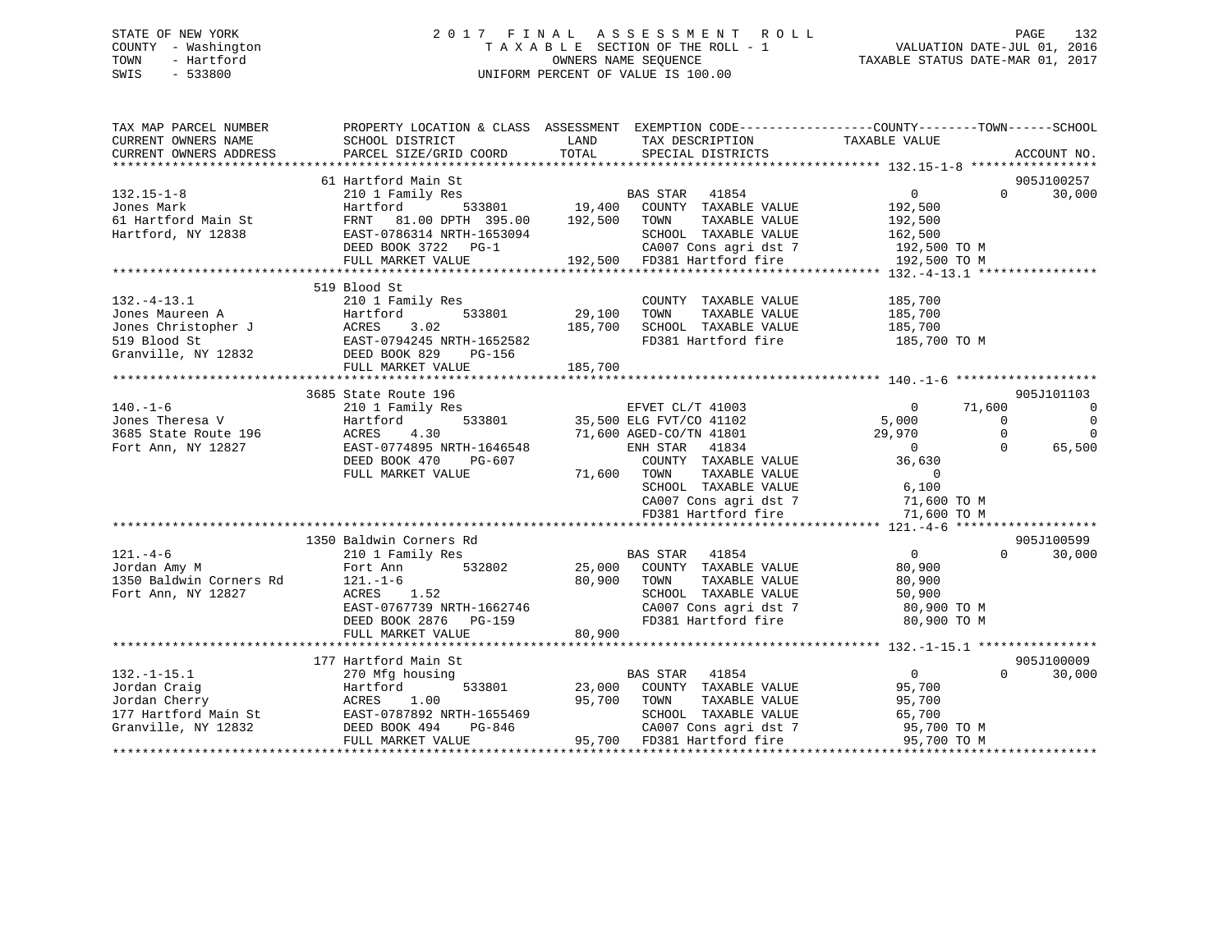## STATE OF NEW YORK 2 0 1 7 F I N A L A S S E S S M E N T R O L L PAGE 132 COUNTY - Washington T A X A B L E SECTION OF THE ROLL - 1 VALUATION DATE-JUL 01, 2016 TOWN - Hartford **TAXABLE STATUS DATE-MAR 01, 2017** SWIS - 533800 UNIFORM PERCENT OF VALUE IS 100.00

| TAX MAP PARCEL NUMBER<br>CURRENT OWNERS NAME                                                                                         | SCHOOL DISTRICT                                                                                                                                                                                                                                     | PROPERTY LOCATION & CLASS ASSESSMENT EXEMPTION CODE---------------COUNTY-------TOWN-----SCHOOL<br>LAND<br>TAX DESCRIPTION                                  |                                                                           |
|--------------------------------------------------------------------------------------------------------------------------------------|-----------------------------------------------------------------------------------------------------------------------------------------------------------------------------------------------------------------------------------------------------|------------------------------------------------------------------------------------------------------------------------------------------------------------|---------------------------------------------------------------------------|
| CURRENT OWNERS ADDRESS                                                                                                               | PARCEL SIZE/GRID COORD                                                                                                                                                                                                                              | TOTAL<br>SPECIAL DISTRICTS                                                                                                                                 | TAXABLE VALUE<br>ACCOUNT NO.                                              |
|                                                                                                                                      |                                                                                                                                                                                                                                                     |                                                                                                                                                            |                                                                           |
|                                                                                                                                      | 61 Hartford Main St                                                                                                                                                                                                                                 |                                                                                                                                                            | 905J100257                                                                |
| $132.15 - 1 - 8$                                                                                                                     | 210 1 Family Res                                                                                                                                                                                                                                    | arn Des<br>1y Res 533801 19,400 COUNTY TAXABLE VALUE                                                                                                       | 30,000<br>$0 \qquad \qquad$<br>$\Omega$                                   |
|                                                                                                                                      |                                                                                                                                                                                                                                                     |                                                                                                                                                            |                                                                           |
|                                                                                                                                      |                                                                                                                                                                                                                                                     |                                                                                                                                                            |                                                                           |
|                                                                                                                                      |                                                                                                                                                                                                                                                     |                                                                                                                                                            |                                                                           |
|                                                                                                                                      |                                                                                                                                                                                                                                                     |                                                                                                                                                            |                                                                           |
|                                                                                                                                      |                                                                                                                                                                                                                                                     |                                                                                                                                                            |                                                                           |
|                                                                                                                                      |                                                                                                                                                                                                                                                     |                                                                                                                                                            |                                                                           |
|                                                                                                                                      | 519 Blood St                                                                                                                                                                                                                                        |                                                                                                                                                            |                                                                           |
| $132. -4 - 13.1$                                                                                                                     | 210 1 Family Res                                                                                                                                                                                                                                    | COUNTY TAXABLE VALUE                                                                                                                                       | 185,700                                                                   |
|                                                                                                                                      | $533801$ $29,100$                                                                                                                                                                                                                                   | TAXABLE VALUE<br>TOWN                                                                                                                                      |                                                                           |
|                                                                                                                                      |                                                                                                                                                                                                                                                     | 185,700<br>SCHOOL TAXABLE VALUE                                                                                                                            | 185,700<br>185,700                                                        |
|                                                                                                                                      |                                                                                                                                                                                                                                                     | FD381 Hartford fire 185,700 TO M                                                                                                                           |                                                                           |
|                                                                                                                                      |                                                                                                                                                                                                                                                     |                                                                                                                                                            |                                                                           |
|                                                                                                                                      | Form and the matrice of the state of the state of the state of the state of the state of the state of the state of the state of the state of the state of the state of the state of the state of the state of the state of the<br>FULL MARKET VALUE | 185,700                                                                                                                                                    |                                                                           |
|                                                                                                                                      |                                                                                                                                                                                                                                                     |                                                                                                                                                            |                                                                           |
|                                                                                                                                      | 3685 State Route 196                                                                                                                                                                                                                                |                                                                                                                                                            | 905J101103                                                                |
| 140.-1-6<br>Jones Theresa V<br>3685 State Route 196<br>ACRES<br>ACRES<br>ACRES<br>ACRES<br>ACRES<br>ACRES<br>ACRES<br>ACRES<br>ACRES |                                                                                                                                                                                                                                                     |                                                                                                                                                            | 71,600<br>$\overline{\phantom{0}}$                                        |
|                                                                                                                                      |                                                                                                                                                                                                                                                     |                                                                                                                                                            | $\overline{0}$<br>$\overline{0}$                                          |
|                                                                                                                                      |                                                                                                                                                                                                                                                     |                                                                                                                                                            | 29,970<br>$\overline{\phantom{a}}$<br>$\overline{0}$<br>$75/0$<br>0<br>36 |
|                                                                                                                                      | EAST-0774895 NRTH-1646548                                                                                                                                                                                                                           | ENH STAR 41834                                                                                                                                             | $\Omega$<br>65,500                                                        |
|                                                                                                                                      | DEED BOOK 470<br>PG-607                                                                                                                                                                                                                             | COUNTY TAXABLE VALUE                                                                                                                                       |                                                                           |
|                                                                                                                                      | FULL MARKET VALUE                                                                                                                                                                                                                                   | 71,600 TOWN                                                                                                                                                |                                                                           |
|                                                                                                                                      |                                                                                                                                                                                                                                                     | $\begin{tabular}{lllllllll} \textbf{TOWN} & \textbf{TAXABLE VALUE} & & & & 0 \\ \textbf{SCHOOL} & \textbf{TAXABLE VALUE} & & & 6 \,, 100 \\ \end{tabular}$ |                                                                           |
|                                                                                                                                      |                                                                                                                                                                                                                                                     |                                                                                                                                                            |                                                                           |
|                                                                                                                                      |                                                                                                                                                                                                                                                     | CA007 Cons agri dst 7 11,600 TO M<br>FD381 Hartford fire 71,600 TO M                                                                                       |                                                                           |
|                                                                                                                                      |                                                                                                                                                                                                                                                     |                                                                                                                                                            |                                                                           |
|                                                                                                                                      | 1350 Baldwin Corners Rd                                                                                                                                                                                                                             |                                                                                                                                                            | 905J100599                                                                |
| $121. -4-6$                                                                                                                          | 210 1 Family Res                                                                                                                                                                                                                                    | BAS STAR 41854                                                                                                                                             | $\overline{0}$<br>$0 \qquad \qquad$<br>30,000                             |
| Jordan Amy M                                                                                                                         | 532802<br>Fort Ann                                                                                                                                                                                                                                  | 25,000 COUNTY TAXABLE VALUE                                                                                                                                | 80,900                                                                    |
| 1350 Baldwin Corners Rd 121.-1-6                                                                                                     |                                                                                                                                                                                                                                                     | TAXABLE VALUE<br>80,900<br>TOWN                                                                                                                            | 80,900                                                                    |
| Fort Ann, NY 12827                                                                                                                   | ACRES 1.52                                                                                                                                                                                                                                          |                                                                                                                                                            |                                                                           |
|                                                                                                                                      | EAST-0767739 NRTH-1662746                                                                                                                                                                                                                           | SCHOOL TAXABLE VALUE 50,900<br>CA007 Cons agri dst 7 60,900 TO M                                                                                           |                                                                           |
|                                                                                                                                      | DEED BOOK 2876 PG-159                                                                                                                                                                                                                               | FD381 Hartford fire 80,900 TO M                                                                                                                            |                                                                           |
|                                                                                                                                      | FULL MARKET VALUE                                                                                                                                                                                                                                   | 80,900                                                                                                                                                     |                                                                           |
|                                                                                                                                      |                                                                                                                                                                                                                                                     |                                                                                                                                                            |                                                                           |
|                                                                                                                                      | 177 Hartford Main St                                                                                                                                                                                                                                |                                                                                                                                                            | 905J100009                                                                |
| $132. - 1 - 15.1$                                                                                                                    | 270 Mfg housing                                                                                                                                                                                                                                     | BAS STAR 41854                                                                                                                                             | $\overline{0}$<br>$\Omega$<br>30,000                                      |
| Jordan Craig                                                                                                                         | Hartford                                                                                                                                                                                                                                            | 533801 23,000 COUNTY TAXABLE VALUE                                                                                                                         | 95,700                                                                    |
| Jordan Cherry                                                                                                                        | ACRES<br>1.00                                                                                                                                                                                                                                       | TAXABLE VALUE<br>95,700<br>TOWN                                                                                                                            | 95,700                                                                    |
|                                                                                                                                      |                                                                                                                                                                                                                                                     | SCHOOL TAXABLE VALUE                                                                                                                                       |                                                                           |
|                                                                                                                                      | 177 Hartford Main St<br>EAST-0787892 NRTH-1655469<br>Granville, NY 12832<br>DEED BOOK 494 PG-846                                                                                                                                                    | CA007 Cons agri dst 7                                                                                                                                      |                                                                           |
|                                                                                                                                      | FULL MARKET VALUE                                                                                                                                                                                                                                   | 95,700 FD381 Hartford fire 95,700 TO M                                                                                                                     | $65,700$ TO M<br>95,700 TO M                                              |
|                                                                                                                                      |                                                                                                                                                                                                                                                     |                                                                                                                                                            |                                                                           |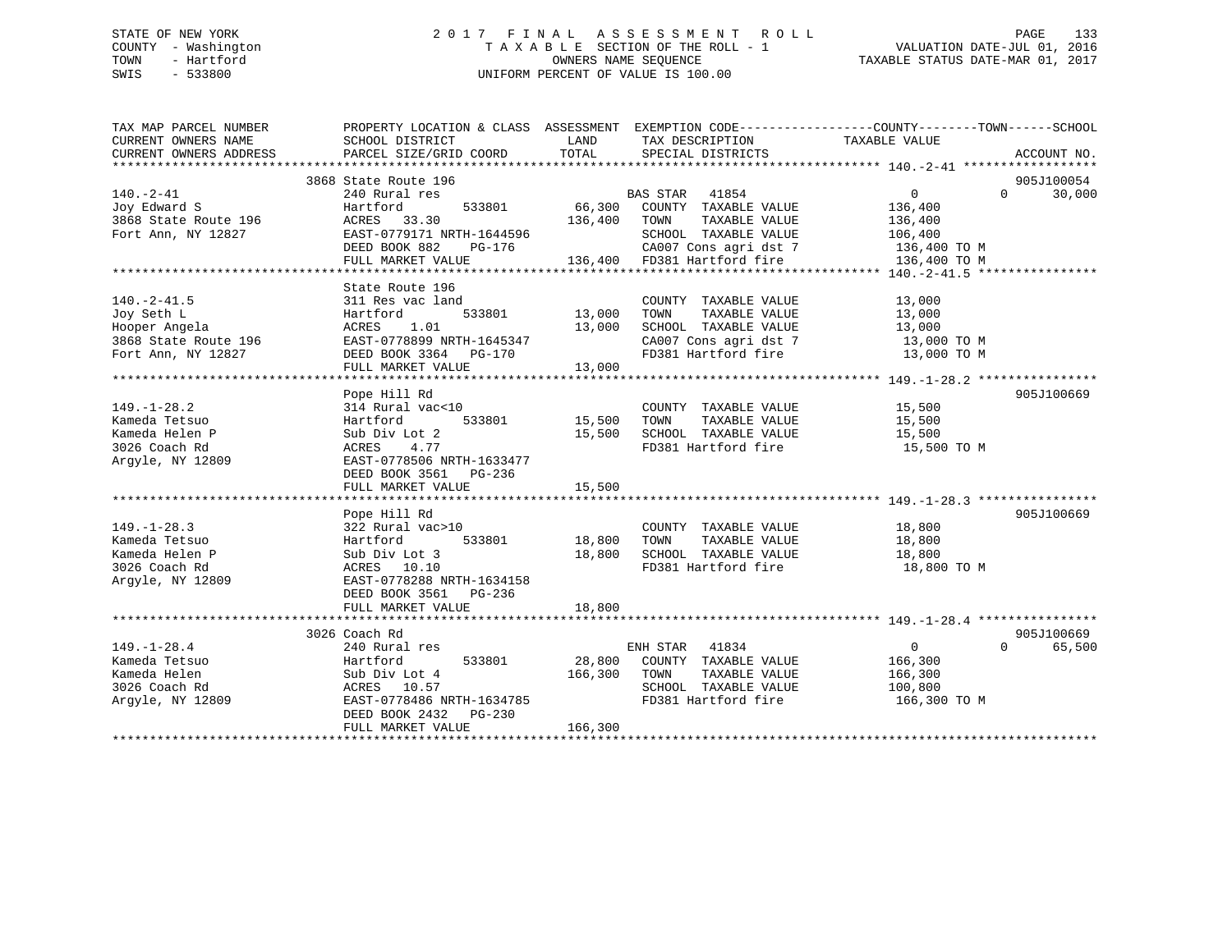## STATE OF NEW YORK 2 0 1 7 F I N A L A S S E S S M E N T R O L L PAGE 133 COUNTY - Washington T A X A B L E SECTION OF THE ROLL - 1 VALUATION DATE-JUL 01, 2016 TOWN - Hartford **TAXABLE STATUS DATE-MAR 01, 2017** SWIS - 533800 UNIFORM PERCENT OF VALUE IS 100.00

| TAX MAP PARCEL NUMBER<br>CURRENT OWNERS NAME<br>CURRENT OWNERS ADDRESS | PROPERTY LOCATION & CLASS ASSESSMENT EXEMPTION CODE---------------COUNTY-------TOWN------SCHOOL<br>SCHOOL DISTRICT<br>PARCEL SIZE/GRID COORD | LAND<br>TOTAL           | TAX DESCRIPTION<br>SPECIAL DISTRICTS | TAXABLE VALUE                 | ACCOUNT NO.        |
|------------------------------------------------------------------------|----------------------------------------------------------------------------------------------------------------------------------------------|-------------------------|--------------------------------------|-------------------------------|--------------------|
|                                                                        |                                                                                                                                              |                         |                                      |                               |                    |
|                                                                        | 3868 State Route 196                                                                                                                         |                         |                                      |                               | 905J100054         |
| $140. - 2 - 41$                                                        | 240 Rural res                                                                                                                                |                         | BAS STAR 41854                       | $0 \qquad \qquad$<br>$\Omega$ | 30,000             |
| Joy Edward S                                                           | Hartford<br>533801                                                                                                                           |                         | 66,300 COUNTY TAXABLE VALUE          | 136,400                       |                    |
| 3868 State Route 196                                                   | ACRES 33.30                                                                                                                                  | 136,400 TOWN            | TAXABLE VALUE                        | 136,400                       |                    |
| Fort Ann, NY 12827                                                     | EAST-0779171 NRTH-1644596                                                                                                                    |                         | SCHOOL TAXABLE VALUE                 | 106,400                       |                    |
|                                                                        | DEED BOOK 882<br>PG-176                                                                                                                      |                         | CA007 Cons agri dst 7 136,400 TO M   |                               |                    |
|                                                                        | FULL MARKET VALUE                                                                                                                            |                         | 136,400 FD381 Hartford fire          | 136,400 TO M                  |                    |
|                                                                        |                                                                                                                                              |                         |                                      |                               |                    |
|                                                                        | State Route 196                                                                                                                              |                         |                                      |                               |                    |
| $140.-2-41.5$                                                          | 311 Res vac land                                                                                                                             |                         | COUNTY TAXABLE VALUE                 | 13,000                        |                    |
| Joy Seth L                                                             | 533801<br>Hartford                                                                                                                           | 13,000                  | TAXABLE VALUE<br>TOWN                | 13,000                        |                    |
| Hooper Angela                                                          | ACRES<br>1.01                                                                                                                                | 13,000                  | SCHOOL TAXABLE VALUE                 |                               |                    |
| 3868 State Route 196                                                   | EAST-0778899 NRTH-1645347                                                                                                                    |                         | CA007 Cons agri dst 7                | $13,000$ TO M                 |                    |
| Fort Ann, NY 12827                                                     | DEED BOOK 3364 PG-170                                                                                                                        |                         | FD381 Hartford fire                  | 13,000 TO M                   |                    |
|                                                                        | FULL MARKET VALUE                                                                                                                            | 13,000                  |                                      |                               |                    |
|                                                                        |                                                                                                                                              |                         |                                      |                               |                    |
|                                                                        | Pope Hill Rd                                                                                                                                 |                         |                                      |                               | 905J100669         |
| $149. - 1 - 28.2$                                                      | 314 Rural vac<10                                                                                                                             |                         | COUNTY TAXABLE VALUE 15,500          |                               |                    |
| Kameda Tetsuo                                                          |                                                                                                                                              |                         | TOWN<br>TAXABLE VALUE                | 15,500                        |                    |
|                                                                        | Hartford                                                                                                                                     | 533801 15,500<br>15,500 | SCHOOL TAXABLE VALUE                 |                               |                    |
| Kameda Helen P                                                         | Sub Div Lot 2                                                                                                                                |                         | FD381 Hartford fire                  | 15,500                        |                    |
| 3026 Coach Rd                                                          | 4.77<br>ACRES                                                                                                                                |                         |                                      | 15,500 TO M                   |                    |
| Argyle, NY 12809                                                       | EAST-0778506 NRTH-1633477                                                                                                                    |                         |                                      |                               |                    |
|                                                                        | DEED BOOK 3561 PG-236                                                                                                                        |                         |                                      |                               |                    |
|                                                                        | FULL MARKET VALUE                                                                                                                            | 15,500                  |                                      |                               |                    |
|                                                                        |                                                                                                                                              |                         |                                      |                               |                    |
|                                                                        | Pope Hill Rd                                                                                                                                 |                         |                                      |                               | 905J100669         |
| $149. - 1 - 28.3$                                                      | 322 Rural vac>10                                                                                                                             |                         | COUNTY TAXABLE VALUE                 | 18,800                        |                    |
| Kameda Tetsuo                                                          | 533801<br>Hartford                                                                                                                           | 18,800                  | TAXABLE VALUE<br>TOWN                | 18,800                        |                    |
| Kameda Helen P                                                         | Sub Div Lot 3                                                                                                                                | 18,800                  | SCHOOL TAXABLE VALUE                 | 18,800                        |                    |
| 3026 Coach Rd                                                          | ACRES 10.10                                                                                                                                  |                         | FD381 Hartford fire                  | 18,800 TO M                   |                    |
| Argyle, NY 12809                                                       | EAST-0778288 NRTH-1634158                                                                                                                    |                         |                                      |                               |                    |
|                                                                        | DEED BOOK 3561 PG-236                                                                                                                        |                         |                                      |                               |                    |
|                                                                        | FULL MARKET VALUE                                                                                                                            | 18,800                  |                                      |                               |                    |
|                                                                        |                                                                                                                                              |                         |                                      |                               |                    |
|                                                                        | 3026 Coach Rd                                                                                                                                |                         |                                      |                               | 905J100669         |
| $149. - 1 - 28.4$                                                      | 240 Rural res                                                                                                                                |                         | ENH STAR<br>41834                    | $\overline{0}$                | $\Omega$<br>65,500 |
| Kameda Tetsuo                                                          | 533801<br>Hartford                                                                                                                           |                         | 28,800 COUNTY TAXABLE VALUE          | 166,300                       |                    |
| Kameda Helen                                                           | Sub Div Lot 4                                                                                                                                | 166,300                 | TOWN<br>TAXABLE VALUE                | 166,300                       |                    |
| 3026 Coach Rd                                                          | ACRES 10.57                                                                                                                                  |                         | SCHOOL TAXABLE VALUE                 | 100,800                       |                    |
| Argyle, NY 12809                                                       | EAST-0778486 NRTH-1634785                                                                                                                    |                         | FD381 Hartford fire                  | 166,300 ТО М                  |                    |
|                                                                        | DEED BOOK 2432<br>PG-230                                                                                                                     |                         |                                      |                               |                    |
|                                                                        | FULL MARKET VALUE                                                                                                                            | 166,300                 |                                      |                               |                    |
|                                                                        |                                                                                                                                              |                         |                                      |                               |                    |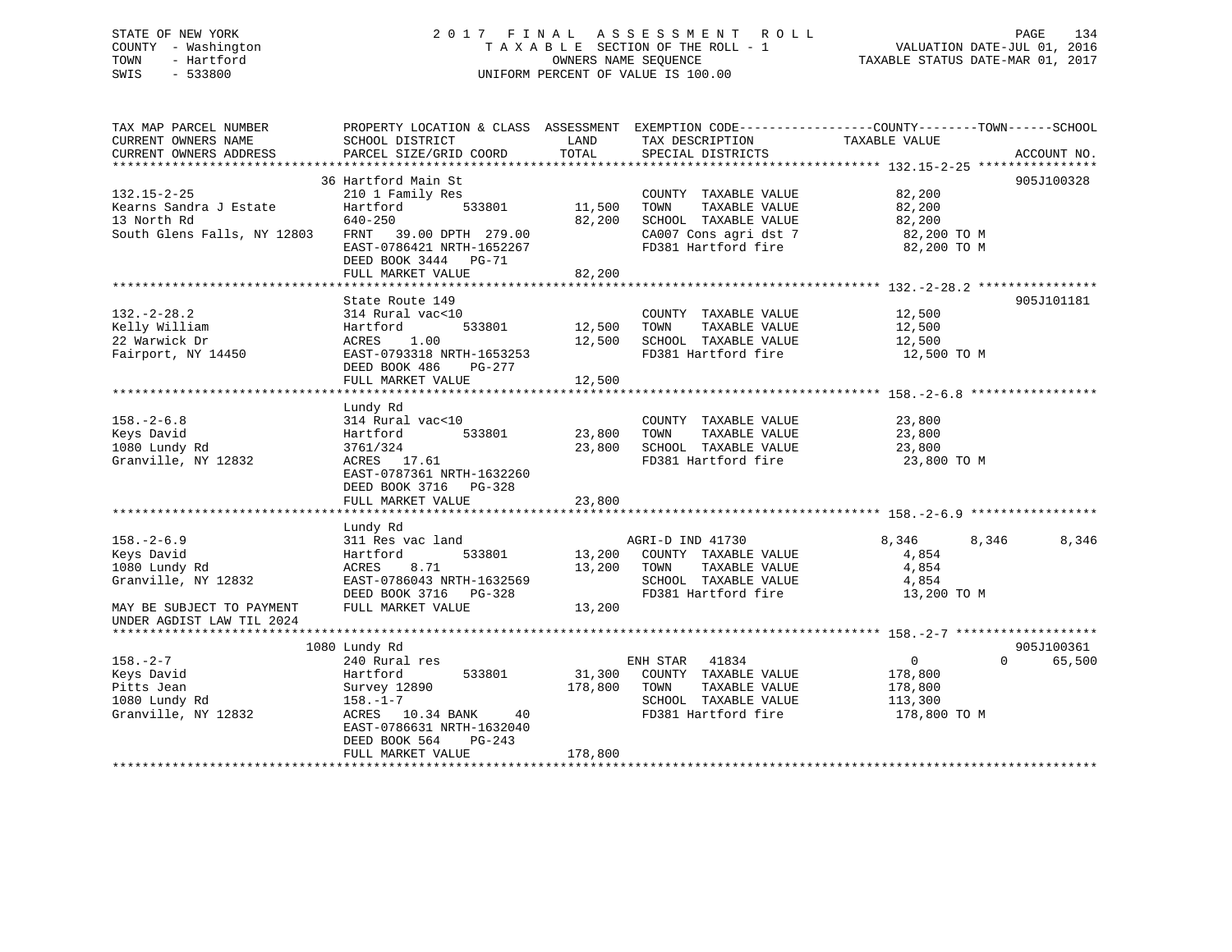## STATE OF NEW YORK 2 0 1 7 F I N A L A S S E S S M E N T R O L L PAGE 134 COUNTY - Washington T A X A B L E SECTION OF THE ROLL - 1 VALUATION DATE-JUL 01, 2016 TOWN - Hartford **TAXABLE STATUS DATE-MAR 01, 2017** SWIS - 533800 UNIFORM PERCENT OF VALUE IS 100.00

| TAX MAP PARCEL NUMBER<br>CURRENT OWNERS NAME<br>CURRENT OWNERS ADDRESS | PROPERTY LOCATION & CLASS ASSESSMENT EXEMPTION CODE----------------COUNTY-------TOWN------SCHOOL<br>SCHOOL DISTRICT<br>PARCEL SIZE/GRID COORD | LAND<br>TOTAL    | TAX DESCRIPTION<br>SPECIAL DISTRICTS          | TAXABLE VALUE                                       | ACCOUNT NO.        |
|------------------------------------------------------------------------|-----------------------------------------------------------------------------------------------------------------------------------------------|------------------|-----------------------------------------------|-----------------------------------------------------|--------------------|
|                                                                        |                                                                                                                                               |                  |                                               |                                                     |                    |
|                                                                        | 36 Hartford Main St                                                                                                                           |                  |                                               |                                                     | 905J100328         |
| $132.15 - 2 - 25$                                                      | 210 1 Family Res                                                                                                                              |                  | COUNTY TAXABLE VALUE                          | 82,200                                              |                    |
| Kearns Sandra J Estate                                                 | Hartford<br>533801                                                                                                                            | 11,500           | TOWN<br>TAXABLE VALUE                         | 82,200                                              |                    |
| 13 North Rd                                                            | 640-250                                                                                                                                       | 82,200           | SCHOOL TAXABLE VALUE                          | 82,200                                              |                    |
| South Glens Falls, NY 12803                                            | FRNT 39.00 DPTH 279.00                                                                                                                        |                  | CA007 Cons agri dst 7                         | 82,200 TO M                                         |                    |
|                                                                        | EAST-0786421 NRTH-1652267                                                                                                                     |                  | FD381 Hartford fire                           | 82,200 TO M                                         |                    |
|                                                                        | DEED BOOK 3444<br>$PG-71$                                                                                                                     |                  |                                               |                                                     |                    |
|                                                                        | FULL MARKET VALUE                                                                                                                             | 82,200           |                                               |                                                     |                    |
|                                                                        |                                                                                                                                               |                  |                                               |                                                     |                    |
|                                                                        | State Route 149                                                                                                                               |                  |                                               |                                                     | 905J101181         |
| $132. - 2 - 28.2$                                                      | 314 Rural vac<10                                                                                                                              |                  | COUNTY TAXABLE VALUE                          | 12,500                                              |                    |
| Kelly William                                                          | 533801<br>Hartford                                                                                                                            | 12,500           | TAXABLE VALUE<br>TOWN                         | 12,500                                              |                    |
| 22 Warwick Dr                                                          | 1.00<br>ACRES                                                                                                                                 | 12,500           | SCHOOL TAXABLE VALUE                          | 12,500                                              |                    |
| Fairport, NY 14450                                                     | EAST-0793318 NRTH-1653253                                                                                                                     |                  | FD381 Hartford fire                           | 12,500 TO M                                         |                    |
|                                                                        | DEED BOOK 486<br>PG-277                                                                                                                       |                  |                                               |                                                     |                    |
|                                                                        | FULL MARKET VALUE                                                                                                                             | 12,500           |                                               |                                                     |                    |
|                                                                        |                                                                                                                                               |                  |                                               |                                                     |                    |
|                                                                        | Lundy Rd                                                                                                                                      |                  |                                               |                                                     |                    |
| $158. - 2 - 6.8$                                                       | 314 Rural vac<10<br>533801                                                                                                                    |                  | COUNTY TAXABLE VALUE                          | 23,800                                              |                    |
| Keys David<br>1080 Lundy Rd                                            | Hartford<br>3761/324                                                                                                                          | 23,800<br>23,800 | TOWN<br>TAXABLE VALUE<br>SCHOOL TAXABLE VALUE | 23,800<br>23,800                                    |                    |
| Granville, NY 12832                                                    | ACRES 17.61                                                                                                                                   |                  | FD381 Hartford fire                           | 23,800 TO M                                         |                    |
|                                                                        | EAST-0787361 NRTH-1632260                                                                                                                     |                  |                                               |                                                     |                    |
|                                                                        | DEED BOOK 3716 PG-328                                                                                                                         |                  |                                               |                                                     |                    |
|                                                                        | FULL MARKET VALUE                                                                                                                             | 23,800           |                                               |                                                     |                    |
|                                                                        | * * * * * * * * * * * * * * * * * * *                                                                                                         | ***********      |                                               | ***************************** 158. -2-6.9 ********* |                    |
|                                                                        | Lundy Rd                                                                                                                                      |                  |                                               |                                                     |                    |
| $158. - 2 - 6.9$                                                       | 311 Res vac land                                                                                                                              |                  | AGRI-D IND 41730                              | 8,346<br>8,346                                      | 8,346              |
| Keys David                                                             | 533801<br>Hartford                                                                                                                            | 13,200           | COUNTY TAXABLE VALUE                          | 4,854                                               |                    |
| 1080 Lundy Rd                                                          | ACRES<br>8.71                                                                                                                                 | 13,200           | TAXABLE VALUE<br>TOWN                         | 4,854                                               |                    |
| Granville, NY 12832                                                    | EAST-0786043 NRTH-1632569                                                                                                                     |                  | SCHOOL TAXABLE VALUE                          | 4,854                                               |                    |
|                                                                        | DEED BOOK 3716<br>PG-328                                                                                                                      |                  | FD381 Hartford fire                           | 13,200 TO M                                         |                    |
| MAY BE SUBJECT TO PAYMENT                                              | FULL MARKET VALUE                                                                                                                             | 13,200           |                                               |                                                     |                    |
| UNDER AGDIST LAW TIL 2024                                              |                                                                                                                                               |                  |                                               |                                                     |                    |
|                                                                        |                                                                                                                                               |                  |                                               |                                                     |                    |
|                                                                        | 1080 Lundy Rd                                                                                                                                 |                  |                                               |                                                     | 905J100361         |
| $158. - 2 - 7$                                                         | 240 Rural res                                                                                                                                 |                  | ENH STAR<br>41834                             | $\mathbf{0}$                                        | $\Omega$<br>65,500 |
| Keys David                                                             | 533801<br>Hartford                                                                                                                            | 31,300           | COUNTY TAXABLE VALUE                          | 178,800                                             |                    |
| Pitts Jean                                                             | Survey 12890                                                                                                                                  | 178,800          | TAXABLE VALUE<br>TOWN                         | 178,800                                             |                    |
| 1080 Lundy Rd                                                          | $158. - 1 - 7$                                                                                                                                |                  | SCHOOL TAXABLE VALUE                          | 113,300                                             |                    |
| Granville, NY 12832                                                    | ACRES 10.34 BANK<br>40                                                                                                                        |                  | FD381 Hartford fire                           | 178,800 TO M                                        |                    |
|                                                                        | EAST-0786631 NRTH-1632040                                                                                                                     |                  |                                               |                                                     |                    |
|                                                                        | DEED BOOK 564<br>$PG-243$                                                                                                                     |                  |                                               |                                                     |                    |
|                                                                        | FULL MARKET VALUE                                                                                                                             | 178,800          |                                               |                                                     |                    |
|                                                                        |                                                                                                                                               |                  |                                               |                                                     |                    |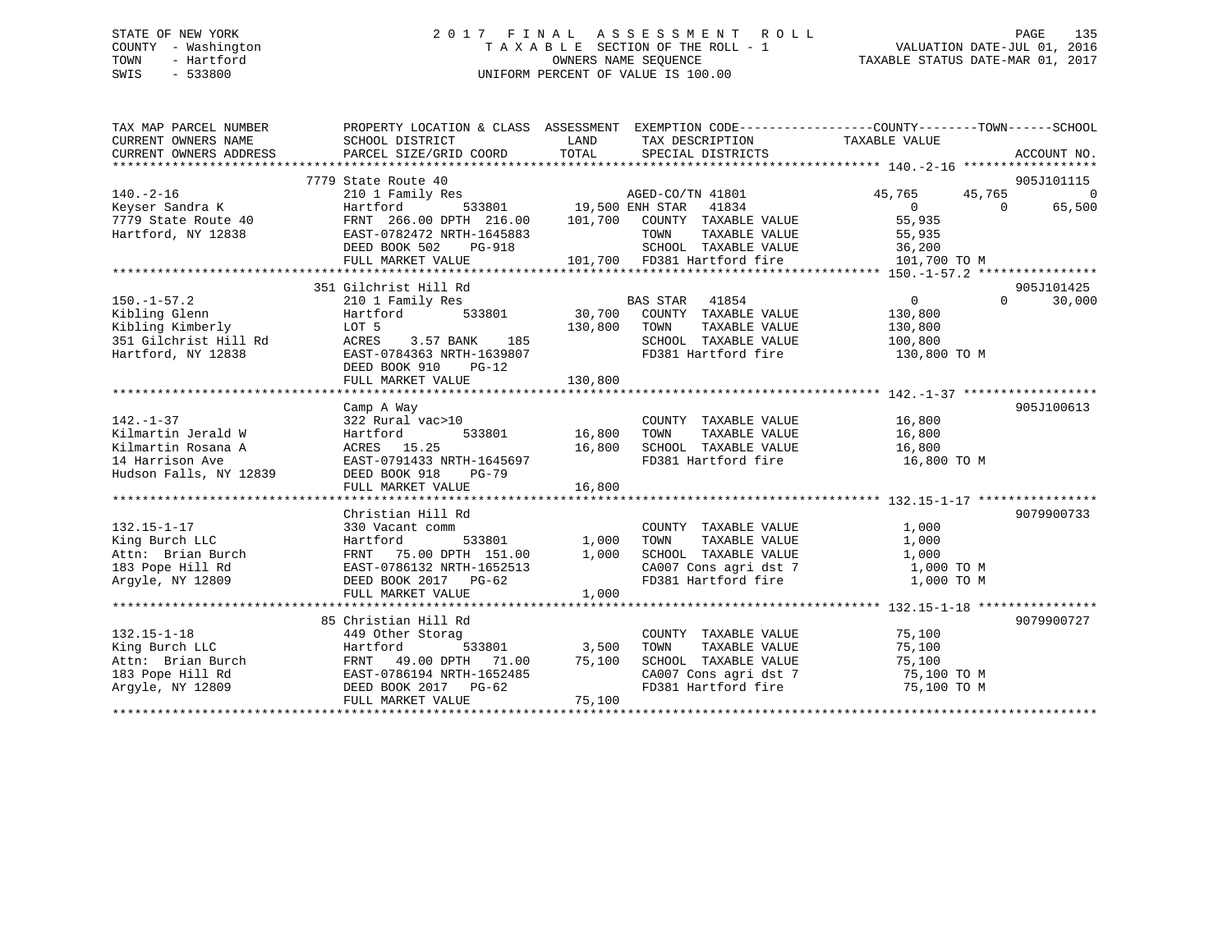## STATE OF NEW YORK 2 0 1 7 F I N A L A S S E S S M E N T R O L L PAGE 135 COUNTY - Washington T A X A B L E SECTION OF THE ROLL - 1 VALUATION DATE-JUL 01, 2016 TOWN - Hartford **TAXABLE STATUS DATE-MAR 01, 2017** SWIS - 533800 UNIFORM PERCENT OF VALUE IS 100.00

| 7779 State Route 40<br>905J101115<br>$140. -2 - 16$<br>210 1 Family Res<br>AGED-CO/TN 41801<br>45,765<br>45,765 | $\Omega$<br>65,500 |
|-----------------------------------------------------------------------------------------------------------------|--------------------|
|                                                                                                                 |                    |
|                                                                                                                 |                    |
| 533801 19,500 ENH STAR<br>41834<br>Keyser Sandra K<br>Hartford<br>$\overline{0}$<br>$\Omega$                    |                    |
| FRNT 266.00 DPTH 216.00<br>101,700<br>55,935<br>7779 State Route 40<br>COUNTY TAXABLE VALUE                     |                    |
| Hartford, NY 12838<br>EAST-0782472 NRTH-1645883<br>55,935<br>TOWN<br>TAXABLE VALUE                              |                    |
| SCHOOL TAXABLE VALUE<br>DEED BOOK 502<br>36,200<br>PG-918                                                       |                    |
| 101,700 FD381 Hartford fire<br>FULL MARKET VALUE<br>101,700 TO M                                                |                    |
|                                                                                                                 |                    |
| 351 Gilchrist Hill Rd<br>905J101425                                                                             |                    |
| $150. - 1 - 57.2$<br>BAS STAR 41854<br>$\overline{0}$<br>$\Omega$<br>210 1 Family Res                           | 30,000             |
| Kibling Glenn<br>533801<br>30,700<br>COUNTY TAXABLE VALUE<br>Hartford<br>130,800                                |                    |
| Kibling Kimberly<br>130,800<br>TOWN<br>TAXABLE VALUE<br>LOT 5<br>130,800                                        |                    |
| 351 Gilchrist Hill Rd<br>ACRES<br>3.57 BANK<br>185<br>SCHOOL TAXABLE VALUE<br>100,800                           |                    |
| Hartford, NY 12838<br>FD381 Hartford fire<br>EAST-0784363 NRTH-1639807<br>130,800 TO M                          |                    |
| DEED BOOK 910<br>$PG-12$                                                                                        |                    |
| 130,800<br>FULL MARKET VALUE                                                                                    |                    |
|                                                                                                                 |                    |
| 905J100613<br>Camp A Way                                                                                        |                    |
| $142. - 1 - 37$<br>16,800<br>322 Rural vac>10<br>COUNTY TAXABLE VALUE                                           |                    |
| 16,800<br>Kilmartin Jerald W<br>16,800<br>Hartford<br>533801<br>TOWN<br>TAXABLE VALUE                           |                    |
| ACRES 15.25<br>16,800<br>SCHOOL TAXABLE VALUE<br>Kilmartin Rosana A<br>16,800                                   |                    |
| 14 Harrison Ave<br>EAST-0791433 NRTH-1645697<br>FD381 Hartford fire<br>16,800 TO M                              |                    |
| Hudson Falls, NY 12839<br>DEED BOOK 918<br>$PG-79$                                                              |                    |
| 16,800<br>FULL MARKET VALUE                                                                                     |                    |
|                                                                                                                 |                    |
| 9079900733<br>Christian Hill Rd                                                                                 |                    |
| $132.15 - 1 - 17$<br>330 Vacant comm<br>COUNTY TAXABLE VALUE<br>1,000                                           |                    |
| King Burch LLC<br>Hartford<br>533801<br>1,000<br>TAXABLE VALUE<br>1,000<br>TOWN                                 |                    |
| 75.00 DPTH 151.00<br>1,000<br>SCHOOL TAXABLE VALUE<br>1,000<br>Attn: Brian Burch<br>FRNT                        |                    |
| CA007 Cons agri dst 7<br>183 Pope Hill Rd<br>EAST-0786132 NRTH-1652513<br>1,000 TO M                            |                    |
| Arqyle, NY 12809<br>FD381 Hartford fire<br>1,000 TO M<br>DEED BOOK 2017 PG-62                                   |                    |
| 1,000<br>FULL MARKET VALUE                                                                                      |                    |
|                                                                                                                 |                    |
| 85 Christian Hill Rd<br>9079900727                                                                              |                    |
| $132.15 - 1 - 18$<br>75,100<br>449 Other Storag<br>COUNTY TAXABLE VALUE                                         |                    |
| 3,500<br>King Burch LLC<br>533801<br>TOWN<br>TAXABLE VALUE<br>75,100<br>Hartford                                |                    |
| 75,100<br>Attn: Brian Burch<br>FRNT 49.00 DPTH 71.00<br>SCHOOL TAXABLE VALUE<br>75,100                          |                    |
| CA007 Cons agri dst 7<br>75,100 TO M<br>183 Pope Hill Rd<br>EAST-0786194 NRTH-1652485                           |                    |
| FD381 Hartford fire<br>Argyle, NY 12809<br>DEED BOOK 2017<br>PG-62<br>75,100 TO M                               |                    |
| FULL MARKET VALUE<br>75,100                                                                                     |                    |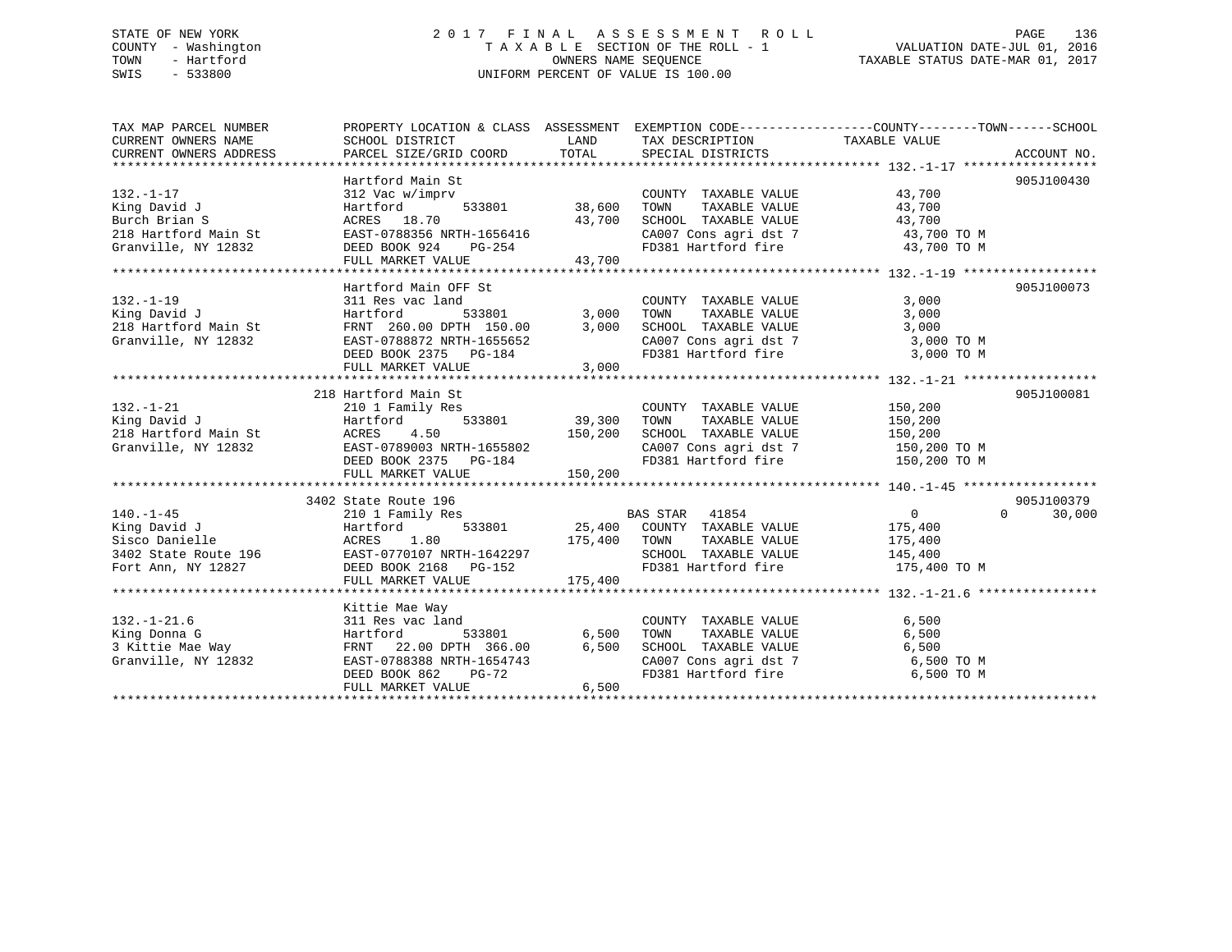## STATE OF NEW YORK 2 0 1 7 F I N A L A S S E S S M E N T R O L L PAGE 136 COUNTY - Washington T A X A B L E SECTION OF THE ROLL - 1 VALUATION DATE-JUL 01, 2016 TOWN - Hartford **TAXABLE STATUS DATE-MAR 01, 2017** SWIS - 533800 UNIFORM PERCENT OF VALUE IS 100.00

| TAX MAP PARCEL NUMBER                                                                                     | PROPERTY LOCATION & CLASS ASSESSMENT EXEMPTION CODE---------------COUNTY-------TOWN-----SCHOOL |                    |                                                                        |                       |                    |
|-----------------------------------------------------------------------------------------------------------|------------------------------------------------------------------------------------------------|--------------------|------------------------------------------------------------------------|-----------------------|--------------------|
| CURRENT OWNERS NAME                                                                                       | SCHOOL DISTRICT                                                                                |                    | LAND TAX DESCRIPTION TAXABLE VALUE                                     |                       |                    |
| CURRENT OWNERS ADDRESS                                                                                    | PARCEL SIZE/GRID COORD TOTAL SPECIAL DISTRICTS                                                 |                    |                                                                        |                       | ACCOUNT NO.        |
|                                                                                                           |                                                                                                |                    |                                                                        |                       |                    |
|                                                                                                           | Hartford Main St                                                                               |                    |                                                                        |                       | 905J100430         |
| $132. - 1 - 17$                                                                                           | 312 Vac w/imprv                                                                                |                    | COUNTY TAXABLE VALUE 43,700                                            |                       |                    |
| King David J                                                                                              | $533801$ 38,600<br>Hartford                                                                    |                    | TOWN                                                                   | TAXABLE VALUE 43,700  |                    |
| Burch Brian S                                                                                             | ACRES 18.70                                                                                    | 43,700             | SCHOOL TAXABLE VALUE 43,700<br>CA007 Cons agri dst 7 43,700 TO M       |                       |                    |
| 218 Hartford Main St                                                                                      | EAST-0788356 NRTH-1656416                                                                      |                    |                                                                        |                       |                    |
| Granville, NY 12832                                                                                       | DEED BOOK 924 PG-254                                                                           |                    | FD381 Hartford fire 43,700 TO M                                        |                       |                    |
|                                                                                                           | FULL MARKET VALUE                                                                              | 43,700             |                                                                        |                       |                    |
|                                                                                                           |                                                                                                |                    |                                                                        |                       |                    |
|                                                                                                           | Hartford Main OFF St                                                                           |                    |                                                                        |                       | 905J100073         |
| $132. - 1 - 19$                                                                                           | 311 Res vac land COUNT<br>Hartford 533801 3,000 TOWN<br>FRNT 260.00 DPTH 150.00 3,000 SCHOO    |                    | COUNTY TAXABLE VALUE 3,000                                             |                       |                    |
| King David J                                                                                              |                                                                                                |                    | TOWN       TAXABLE  VALUE<br>SCHOOL    TAXABLE  VALUE                  | 3,000                 |                    |
| 218 Hartford Main St                                                                                      |                                                                                                |                    |                                                                        | 3,000                 |                    |
| Granville, NY 12832                                                                                       | EAST-0788872 NRTH-1655652                                                                      |                    | CA007 Cons agri dst 7 3,000 TO M                                       |                       |                    |
|                                                                                                           | DEED BOOK 2375 PG-184                                                                          |                    | FD381 Hartford fire                                                    | 3,000 TO M            |                    |
|                                                                                                           | FULL MARKET VALUE                                                                              | 3,000              |                                                                        |                       |                    |
|                                                                                                           |                                                                                                |                    |                                                                        |                       |                    |
|                                                                                                           | 218 Hartford Main St                                                                           |                    | COUNTY TAXABLE VALUE 150,200                                           |                       | 905J100081         |
| $132. - 1 - 21$                                                                                           | 210 1 Family Res                                                                               | 533801 39,300 TOWN |                                                                        | TAXABLE VALUE 150,200 |                    |
| King David J                                                                                              | Hartford                                                                                       |                    |                                                                        |                       |                    |
| x <sub>118</sub> Bartford Main St<br>218 Hartford Main St<br>Granville, NY 12832<br>DEED BOOK 2375 PG-184 |                                                                                                |                    | SCHOOL TAXABLE VALUE 150,200                                           |                       |                    |
|                                                                                                           |                                                                                                |                    | CA007 Cons agri dst 7 150,200 TO M<br>FD381 Hartford fire 150,200 TO M |                       |                    |
|                                                                                                           |                                                                                                | 150, 200           |                                                                        |                       |                    |
|                                                                                                           | FULL MARKET VALUE                                                                              |                    |                                                                        |                       |                    |
|                                                                                                           | 3402 State Route 196                                                                           |                    |                                                                        |                       | 905J100379         |
| $140. - 1 - 45$                                                                                           | 210 1 Family Res                                                                               |                    | BAS STAR 41854                                                         | $\overline{0}$        | $\Omega$<br>30,000 |
|                                                                                                           |                                                                                                |                    |                                                                        |                       |                    |
|                                                                                                           |                                                                                                |                    | 533801 25,400 COUNTY TAXABLE VALUE $175,400$                           |                       |                    |
|                                                                                                           |                                                                                                |                    |                                                                        |                       |                    |
|                                                                                                           |                                                                                                |                    | FD381 Hartford fire 175,400 TO M                                       |                       |                    |
|                                                                                                           |                                                                                                |                    |                                                                        |                       |                    |
|                                                                                                           |                                                                                                |                    |                                                                        |                       |                    |
|                                                                                                           | Kittie Mae Way                                                                                 |                    |                                                                        |                       |                    |
| $132. - 1 - 21.6$                                                                                         | 311 Res vac land                                                                               |                    |                                                                        |                       |                    |
|                                                                                                           |                                                                                                |                    |                                                                        |                       |                    |
|                                                                                                           |                                                                                                | 6,500              |                                                                        |                       |                    |
|                                                                                                           |                                                                                                |                    | CA007 Cons agri dst 7 6,500 TO M                                       |                       |                    |
|                                                                                                           | DEED BOOK 862 PG-72                                                                            |                    | FD381 Hartford fire                                                    | 6,500 TO M            |                    |
|                                                                                                           | FULL MARKET VALUE                                                                              | 6,500              |                                                                        |                       |                    |
|                                                                                                           |                                                                                                |                    |                                                                        |                       |                    |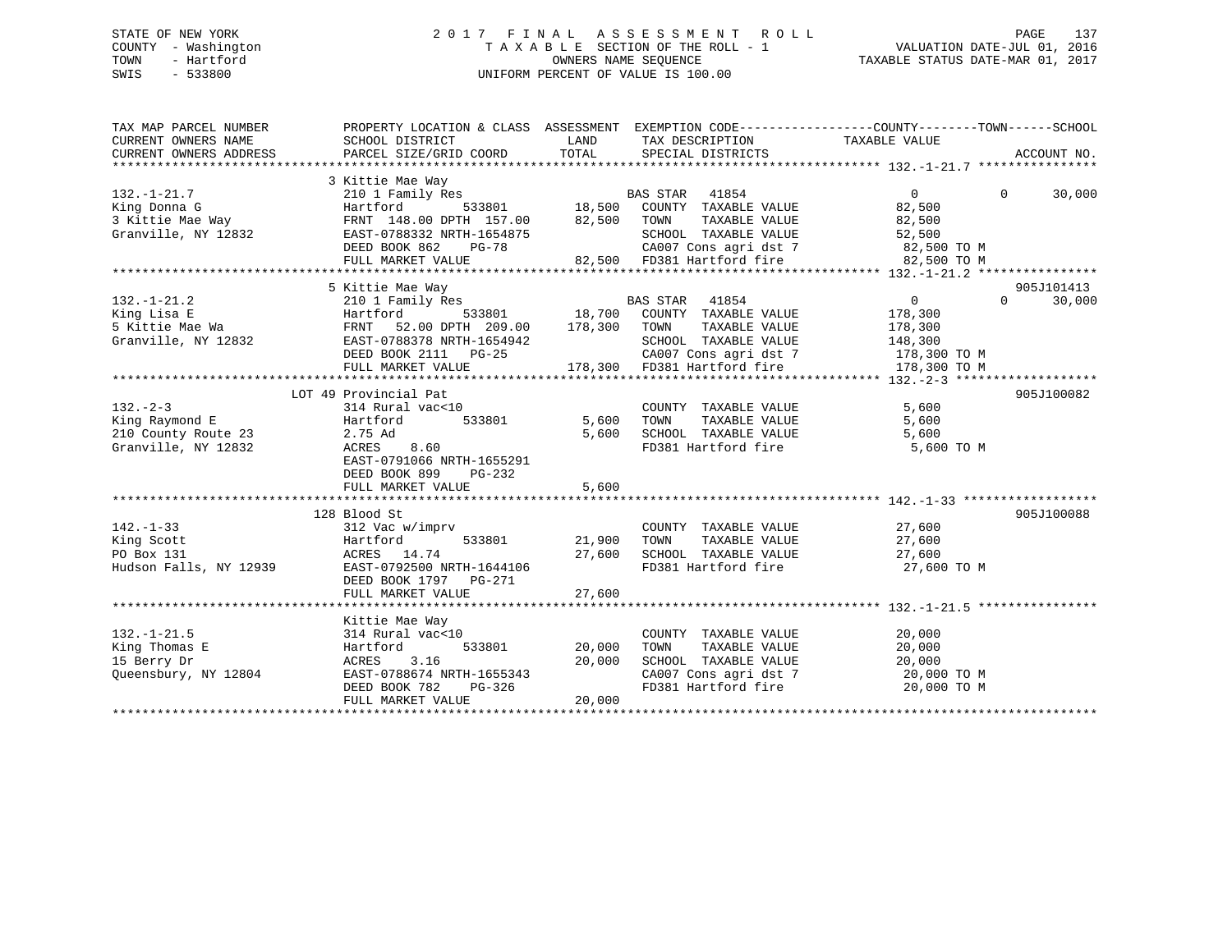## STATE OF NEW YORK 2 0 1 7 F I N A L A S S E S S M E N T R O L L PAGE 137 COUNTY - Washington T A X A B L E SECTION OF THE ROLL - 1 VALUATION DATE-JUL 01, 2016 TOWN - Hartford **TAXABLE STATUS DATE-MAR 01, 2017** SWIS - 533800 UNIFORM PERCENT OF VALUE IS 100.00

| TAX MAP PARCEL NUMBER<br>CURRENT OWNERS NAME<br>CURRENT OWNERS ADDRESS        | PROPERTY LOCATION & CLASS ASSESSMENT EXEMPTION CODE---------------COUNTY-------TOWN-----SCHOOL<br>SCHOOL DISTRICT<br>PARCEL SIZE/GRID COORD                                                 | LAND<br>TOTAL              | TAX DESCRIPTION TAXABLE VALUE<br>SPECIAL DISTRICTS                                                                                                          |                                                                 | ACCOUNT NO.                      |
|-------------------------------------------------------------------------------|---------------------------------------------------------------------------------------------------------------------------------------------------------------------------------------------|----------------------------|-------------------------------------------------------------------------------------------------------------------------------------------------------------|-----------------------------------------------------------------|----------------------------------|
| $132. - 1 - 21.7$<br>King Donna G<br>3 Kittie Mae Way<br>Granville, NY 12832  | 3 Kittie Mae Way<br>210 1 Family Res<br>Hartford<br>FRNT 148.00 DPTH 157.00 82,500<br>FRNT 148.00 DEIR 13.000<br>EAST-0788332 NRTH-1654875<br>DEED BOOK 862<br>$PG-78$<br>FULL MARKET VALUE |                            | 5<br>533801 18,500 COUNTY TAXABLE VALUE<br>TOWN<br>TAXABLE VALUE<br>SCHOOL TAXABLE VALUE<br>CA007 Cons agri dst 7 82,500 TO M<br>82,500 FD381 Hartford fire | $\overline{0}$<br>82,500<br>82,500<br>52,500<br>82,500 TO M     | $\Omega$<br>30,000               |
| $132. - 1 - 21.2$<br>King Lisa E<br>5 Kittie Mae Wa<br>Granville, NY 12832    | 5 Kittie Mae Way<br>210 1 Family Res<br>Hartford<br>FRNT 52.00 DPTH 209.00 178,300 TOWN<br>EAST-0788378 NRTH-1654942<br>DEED BOOK 2111 PG-25<br>FULL MARKET VALUE                           |                            | s<br>533801 18,700 COUNTY TAXABLE VALUE<br>TAXABLE VALUE<br>SCHOOL TAXABLE VALUE<br>CA007 Cons agri dst 7 178,300 TO M<br>178,300 FD381 Hartford fire       | $\overline{0}$<br>178,300<br>178,300<br>148,300<br>178,300 TO M | 905J101413<br>$\Omega$<br>30,000 |
| $132 - 2 - 3$<br>King Raymond E<br>210 County Route 23<br>Granville, NY 12832 | LOT 49 Provincial Pat<br>314 Rural vac<10<br>Hartford 533801<br>2.75 Ad<br>8.60<br>ACRES<br>EAST-0791066 NRTH-1655291<br>DEED BOOK 899<br>$PG-232$<br>FULL MARKET VALUE                     | 5,600<br>5,600<br>5,600    | COUNTY TAXABLE VALUE<br>TAXABLE VALUE<br>TOWN<br>SCHOOL TAXABLE VALUE<br>FD381 Hartford fire 5,600 TO M                                                     | 5,600<br>5,600<br>5,600                                         | 905J100082                       |
| $142. - 1 - 33$<br>King Scott<br>PO Box 131<br>Hudson Falls, NY 12939         | 128 Blood St<br>312 Vac w/imprv<br>Hartford<br>533801<br>ACRES 14.74<br>EAST-0792500 NRTH-1644106<br>DEED BOOK 1797 PG-271<br>FULL MARKET VALUE                                             | 21,900<br>27,600<br>27,600 | COUNTY TAXABLE VALUE<br>TAXABLE VALUE<br>TOWN<br>SCHOOL TAXABLE VALUE<br>FD381 Hartford fire                                                                | $\frac{27}{27}$ , 600<br>27,600<br>27,600<br>27,600 TO M        | 905J100088                       |
| $132. - 1 - 21.5$<br>King Thomas E<br>15 Berry Dr<br>Queensbury, NY 12804     | Kittie Mae Way<br>314 Rural vac<10<br>533801<br>Hartford<br>3.16<br>ACRES<br>EAST-0788674 NRTH-1655343<br>DEED BOOK 782<br>PG-326<br>FULL MARKET VALUE                                      | 20,000<br>20,000<br>20,000 | COUNTY TAXABLE VALUE<br>TAXABLE VALUE<br>TOWN        TAXABLE  VALUE<br>SCHOOL    TAXABLE  VALUE<br>CA007 Cons agri dst 7 20,000 TO M<br>FD381 Hartford fire | 20,000<br>20,000<br>20,000<br>20,000 TO M                       |                                  |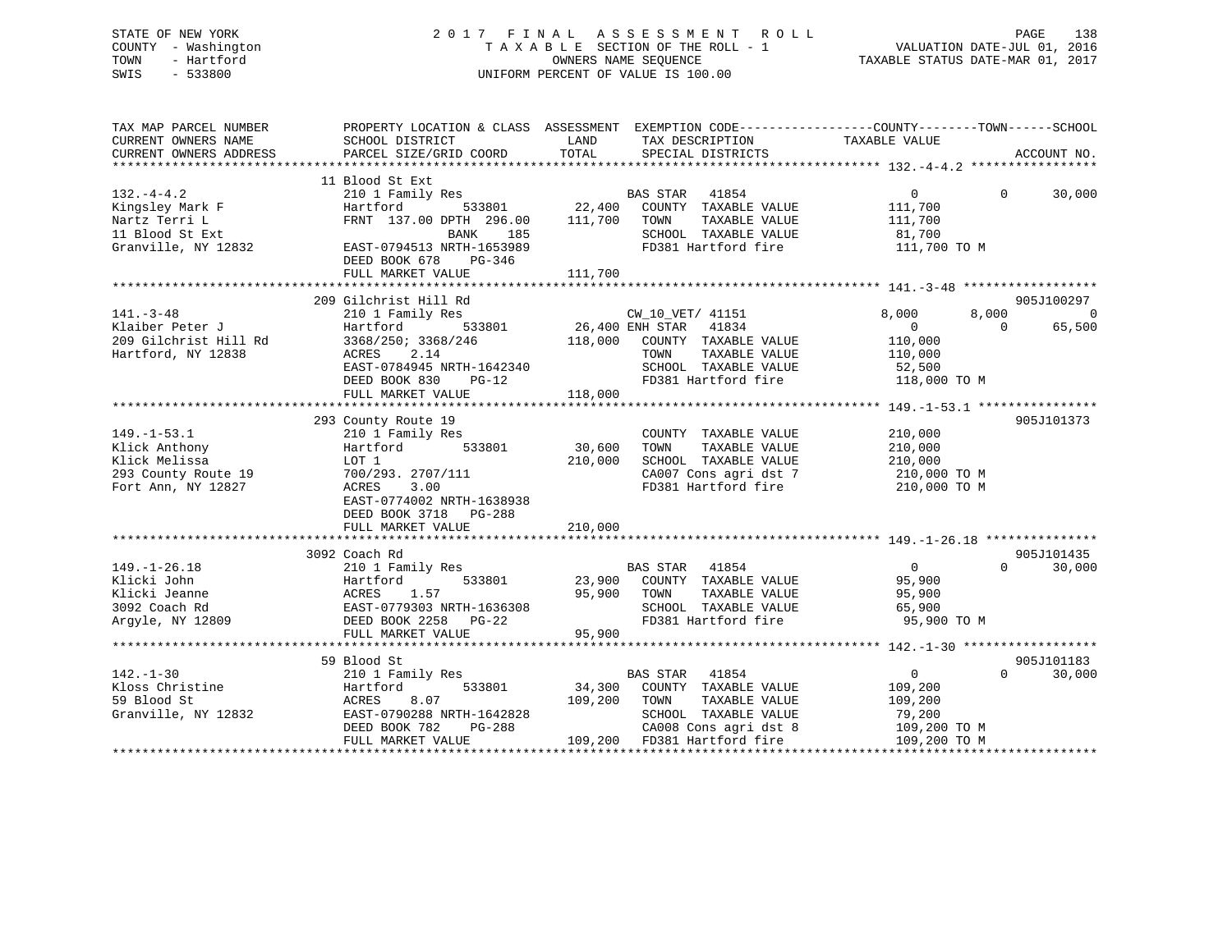## STATE OF NEW YORK 2 0 1 7 F I N A L A S S E S S M E N T R O L L PAGE 138 COUNTY - Washington T A X A B L E SECTION OF THE ROLL - 1 VALUATION DATE-JUL 01, 2016 TOWN - Hartford **TAXABLE STATUS DATE-MAR 01, 2017** SWIS - 533800 UNIFORM PERCENT OF VALUE IS 100.00

| TAX MAP PARCEL NUMBER  |                                                            | PROPERTY LOCATION & CLASS ASSESSMENT EXEMPTION CODE----------------COUNTY-------TOWN------SCHOOL |                            |                |
|------------------------|------------------------------------------------------------|--------------------------------------------------------------------------------------------------|----------------------------|----------------|
| CURRENT OWNERS NAME    | SCHOOL DISTRICT                                            | TAX DESCRIPTION<br>LAND                                                                          | TAXABLE VALUE              |                |
| CURRENT OWNERS ADDRESS | PARCEL SIZE/GRID COORD                                     | TOTAL<br>SPECIAL DISTRICTS                                                                       |                            | ACCOUNT NO.    |
|                        | 11 Blood St Ext                                            |                                                                                                  |                            |                |
| $132. -4 - 4.2$        |                                                            | 210 1 Family Res BAS STAR 41854                                                                  | $\overline{0}$<br>$\Omega$ | 30,000         |
| Kingsley Mark F        | Hartford                                                   | 533801  22,400  COUNTY TAXABLE VALUE                                                             | 111,700                    |                |
| Nartz Terri L          | FRNT 137.00 DPTH 296.00                                    | 111,700 TOWN<br>TAXABLE VALUE                                                                    | 111,700                    |                |
| 11 Blood St Ext        | BANK<br>185                                                | SCHOOL TAXABLE VALUE                                                                             | 81,700                     |                |
| Granville, NY 12832    | EAST-0794513 NRTH-1653989                                  | FD381 Hartford fire                                                                              | 111,700 TO M               |                |
|                        | DEED BOOK 678<br>$PG-346$                                  |                                                                                                  |                            |                |
|                        | FULL MARKET VALUE                                          | 111,700                                                                                          |                            |                |
|                        |                                                            |                                                                                                  |                            |                |
|                        | 209 Gilchrist Hill Rd                                      |                                                                                                  |                            | 905J100297     |
| $141. - 3 - 48$        | 210 1 Family Res                                           | CW_10_VET/ 41151                                                                                 | 8,000<br>8,000             | $\overline{0}$ |
| Klaiber Peter J        | Hartford                                                   | 533801 26,400 ENH STAR<br>41834                                                                  | $\overline{0}$<br>$\Omega$ | 65,500         |
| 209 Gilchrist Hill Rd  | 3368/250; 3368/246                                         | 118,000 COUNTY TAXABLE VALUE                                                                     | 110,000                    |                |
| Hartford, NY 12838     | 2.14<br>ACRES                                              | TOWN<br>TAXABLE VALUE                                                                            | 110,000                    |                |
|                        | EAST-0784945 NRTH-1642340                                  | SCHOOL TAXABLE VALUE                                                                             | 52,500<br>118,000 TO M     |                |
|                        | DEED BOOK 830<br>$PG-12$                                   | FD381 Hartford fire                                                                              |                            |                |
|                        | FULL MARKET VALUE                                          | 118,000                                                                                          |                            |                |
|                        |                                                            |                                                                                                  |                            |                |
| $149. - 1 - 53.1$      | 293 County Route 19                                        |                                                                                                  |                            | 905J101373     |
| Klick Anthony          | 210 1 Family Res<br>533801<br>Hartford                     | COUNTY TAXABLE VALUE<br>30,600<br>TAXABLE VALUE<br>TOWN                                          | 210,000<br>210,000         |                |
| Klick Melissa          | LOT 1                                                      | 210,000<br>SCHOOL TAXABLE VALUE                                                                  | 210,000                    |                |
| 293 County Route 19    | 700/293. 2707/111                                          | CA007 Cons agri dst 7                                                                            | 210,000 TO M               |                |
| Fort Ann, NY 12827     | ACRES<br>3.00                                              | FD381 Hartford fire                                                                              | 210,000 TO M               |                |
|                        | EAST-0774002 NRTH-1638938                                  |                                                                                                  |                            |                |
|                        | DEED BOOK 3718 PG-288                                      |                                                                                                  |                            |                |
|                        | FULL MARKET VALUE                                          | 210,000                                                                                          |                            |                |
|                        |                                                            |                                                                                                  |                            |                |
|                        | 3092 Coach Rd                                              |                                                                                                  |                            | 905J101435     |
| $149. - 1 - 26.18$     | 210 1 Family Res                                           | BAS STAR 41854                                                                                   | $\overline{0}$<br>$\Omega$ | 30,000         |
| Klicki John            | 533801                                                     | 23,900 COUNTY TAXABLE VALUE                                                                      | 95,900                     |                |
| Klicki Jeanne          | Hartford 533801<br>ACRES 1.57<br>EAST-0779303_NRTH-1636308 | 95,900 TOWN<br>TAXABLE VALUE                                                                     | 95,900                     |                |
| 3092 Coach Rd          |                                                            | SCHOOL TAXABLE VALUE                                                                             | 65,900                     |                |
| Argyle, NY 12809       | DEED BOOK 2258 PG-22                                       | FD381 Hartford fire                                                                              | 95,900 TO M                |                |
|                        | FULL MARKET VALUE                                          | 95,900                                                                                           |                            |                |
|                        |                                                            |                                                                                                  |                            |                |
|                        | 59 Blood St                                                |                                                                                                  |                            | 905J101183     |
| $142. - 1 - 30$        | 210 1 Family Res                                           | <b>BAS STAR</b><br>41854                                                                         | $\overline{0}$<br>$\Omega$ | 30,000         |
| Kloss Christine        | Hartford<br>533801                                         | 34,300 COUNTY TAXABLE VALUE                                                                      | 109,200                    |                |
| 59 Blood St            | 8.07<br>ACRES                                              | 109,200<br>TOWN<br>TAXABLE VALUE                                                                 | 109,200                    |                |
| Granville, NY 12832    | EAST-0790288 NRTH-1642828                                  | SCHOOL TAXABLE VALUE                                                                             | 79,200                     |                |
|                        | PG-288<br>DEED BOOK 782                                    | CA008 Cons agri dst 8                                                                            | 109,200 TO M               |                |
|                        | FULL MARKET VALUE                                          | 109,200 FD381 Hartford fire                                                                      | 109,200 TO M               |                |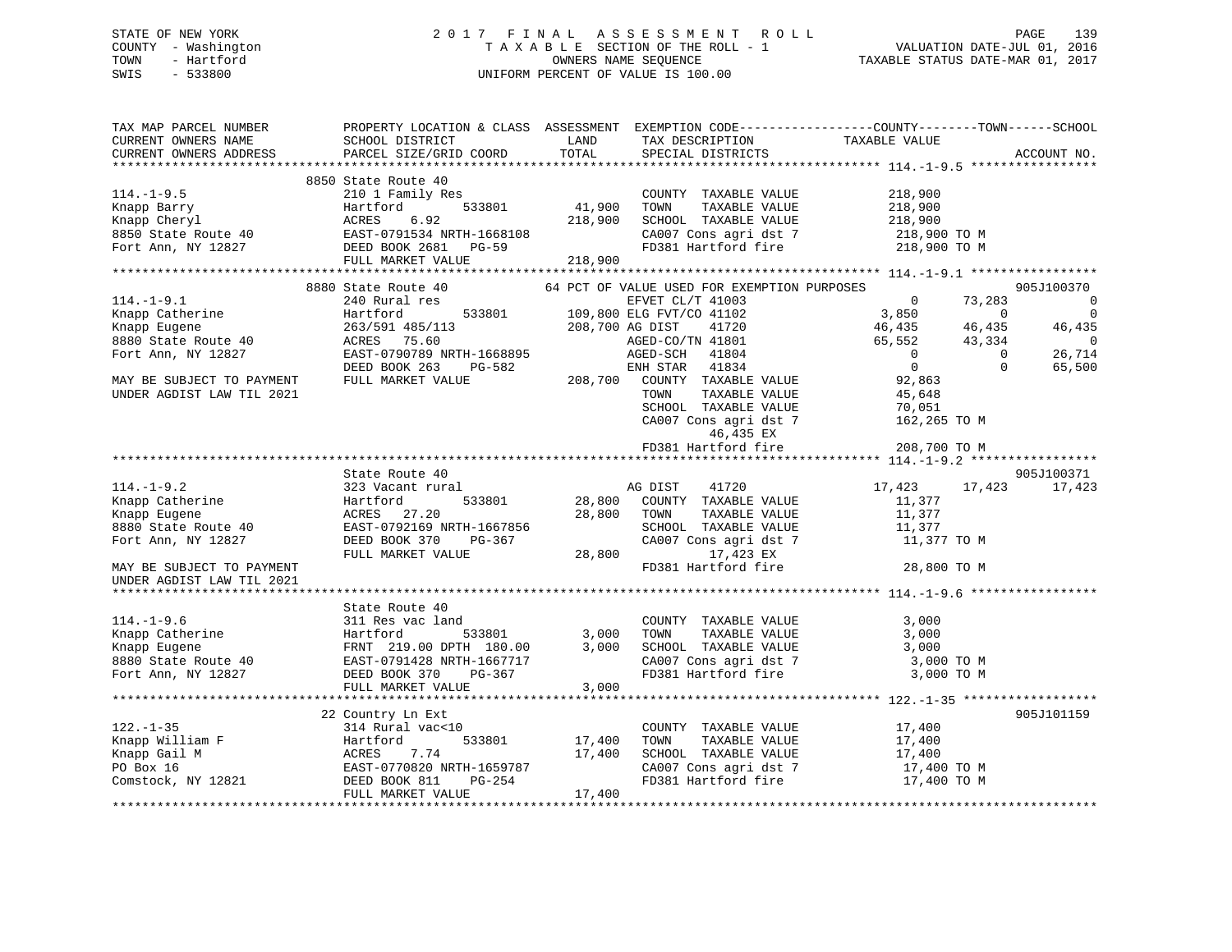## STATE OF NEW YORK 2 0 1 7 F I N A L A S S E S S M E N T R O L L PAGE 139 COUNTY - Washington T A X A B L E SECTION OF THE ROLL - 1 VALUATION DATE-JUL 01, 2016 TOWN - Hartford **TAXABLE STATUS DATE-MAR 01, 2017** SWIS - 533800 UNIFORM PERCENT OF VALUE IS 100.00

| TAX MAP PARCEL NUMBER<br>CURRENT OWNERS NAME<br>CURRENT OWNERS ADDRESS                | PROPERTY LOCATION & CLASS ASSESSMENT EXEMPTION CODE---------------COUNTY-------TOWN------SCHOOL<br>SCHOOL DISTRICT<br>PARCEL SIZE/GRID COORD | LAND<br>TOTAL            | TAX DESCRIPTION<br>SPECIAL DISTRICTS                 | TAXABLE VALUE                    | ACCOUNT NO.    |
|---------------------------------------------------------------------------------------|----------------------------------------------------------------------------------------------------------------------------------------------|--------------------------|------------------------------------------------------|----------------------------------|----------------|
|                                                                                       |                                                                                                                                              |                          |                                                      |                                  |                |
|                                                                                       | 8850 State Route 40                                                                                                                          |                          |                                                      |                                  |                |
| $114.-1-9.5$                                                                          | 210 1 Family Res                                                                                                                             |                          | COUNTY TAXABLE VALUE                                 | 218,900                          |                |
| Knapp Barry                                                                           |                                                                                                                                              | 533801 41,900            | TOWN<br>TAXABLE VALUE                                | 218,900                          |                |
| Knapp Cheryl                                                                          |                                                                                                                                              | 218,900                  | SCHOOL TAXABLE VALUE                                 | 218,900                          |                |
| 8850 State Route 40                                                                   |                                                                                                                                              |                          | CA007 Cons agri dst 7                                | 218,900 TO M                     |                |
| Fort Ann, NY 12827                                                                    | Hartford 533801<br>ACRES 6.92<br>EAST-0791534 NRTH-1668108<br>DEED BOOK 2681 PG-59                                                           | 218,900                  |                                                      | FD381 Hartford fire 218,900 TO M |                |
|                                                                                       | FULL MARKET VALUE                                                                                                                            |                          |                                                      |                                  |                |
|                                                                                       |                                                                                                                                              |                          |                                                      |                                  |                |
|                                                                                       | 8880 State Route 40                                                                                                                          |                          | 64 PCT OF VALUE USED FOR EXEMPTION PURPOSES          |                                  | 905J100370     |
| 114.-1-9.1<br>Knapp Catherine<br>Knapp Eugene<br>8880 State Route 40<br>The NIV 12827 | 240 Rural res                                                                                                                                |                          | EFVET CL/T 41003<br>533801 109,800 ELG FVT/CO 41102  | $\overline{0}$<br>73,283         | $\overline{0}$ |
|                                                                                       | Hartford                                                                                                                                     |                          |                                                      | 3,850<br>$\sim$ 0                | $\overline{0}$ |
|                                                                                       | 263/591 485/113                                                                                                                              |                          | 208,700 AG DIST<br>41720                             | 46,435<br>46,435                 | 46,435         |
|                                                                                       | ACRES 75.60                                                                                                                                  |                          | AGED-CO/IN 11001<br>AGED-SCH 41804                   | 65,552<br>43,334                 | $\sim$ 0       |
|                                                                                       | EAST-0790789 NRTH-1668895                                                                                                                    |                          |                                                      | $\overline{0}$<br>$\overline{0}$ | 26,714         |
|                                                                                       | DEED BOOK 263<br>PG-582                                                                                                                      |                          | ENH STAR 41834                                       | $\overline{0}$<br>$\Omega$       | 65,500         |
| MAY BE SUBJECT TO PAYMENT                                                             | FULL MARKET VALUE                                                                                                                            |                          | 208,700 COUNTY TAXABLE VALUE                         | 92,863                           |                |
| UNDER AGDIST LAW TIL 2021                                                             |                                                                                                                                              |                          | TOWN<br>TAXABLE VALUE                                | 45,648                           |                |
|                                                                                       |                                                                                                                                              |                          | SCHOOL TAXABLE VALUE                                 | 70,051                           |                |
|                                                                                       |                                                                                                                                              |                          | CA007 Cons agri dst 7                                | 162,265 TO M                     |                |
|                                                                                       |                                                                                                                                              |                          | 46,435 EX                                            |                                  |                |
|                                                                                       |                                                                                                                                              |                          | FD381 Hartford fire                                  | 208,700 TO M                     |                |
|                                                                                       |                                                                                                                                              |                          |                                                      |                                  |                |
|                                                                                       | State Route 40                                                                                                                               |                          |                                                      |                                  | 905J100371     |
| $114. -1 - 9.2$                                                                       | 323 Vacant rural                                                                                                                             |                          | 41720                                                | 17,423 17,423                    | 17,423         |
| ria.<br>Knapp Catherine<br>Knapp Eugene<br>8880 State Route 40                        | 533801<br>Hartford                                                                                                                           | AG DIST<br>28,800 COUNTY | COUNTY TAXABLE VALUE                                 | 11,377                           |                |
|                                                                                       | ACRES 27.20                                                                                                                                  | 28,800                   | TOWN<br>TAXABLE VALUE                                | 11,377                           |                |
|                                                                                       | EAST-0792169 NRTH-1667856                                                                                                                    |                          | SCHOOL TAXABLE VALUE                                 | 11,377                           |                |
| Fort Ann, NY 12827                                                                    | DEED BOOK 370<br>PG-367                                                                                                                      |                          | CA007 Cons agri dst 7                                | 11,377 TO M                      |                |
|                                                                                       | FULL MARKET VALUE                                                                                                                            | 28,800                   | 17,423 EX                                            |                                  |                |
| MAY BE SUBJECT TO PAYMENT                                                             |                                                                                                                                              |                          | FD381 Hartford fire                                  | 28,800 TO M                      |                |
| UNDER AGDIST LAW TIL 2021                                                             |                                                                                                                                              |                          |                                                      |                                  |                |
|                                                                                       |                                                                                                                                              |                          |                                                      |                                  |                |
|                                                                                       | State Route 40                                                                                                                               |                          |                                                      |                                  |                |
| $114. - 1 - 9.6$                                                                      | 311 Res vac land                                                                                                                             |                          | COUNTY TAXABLE VALUE                                 | 3,000                            |                |
| Knapp Catherine                                                                       | Hartford<br>533801                                                                                                                           | 3,000                    | TOWN      TAXABLE  VALUE<br>SCHOOL    TAXABLE  VALUE | 3,000                            |                |
| Knapp Eugene                                                                          | FRNT 219.00 DPTH 180.00                                                                                                                      | 3,000                    |                                                      | 3,000                            |                |
| 8880 State Route 40                                                                   | EAST-0791428 NRTH-1667717                                                                                                                    |                          | CA007 Cons agri dst 7                                | 3,000 TO M                       |                |
| Fort Ann, NY 12827                                                                    | DEED BOOK 370<br>PG-367                                                                                                                      |                          | FD381 Hartford fire                                  | 3,000 TO M                       |                |
|                                                                                       | FULL MARKET VALUE                                                                                                                            | 3,000                    |                                                      |                                  |                |
|                                                                                       |                                                                                                                                              |                          |                                                      |                                  |                |
|                                                                                       | 22 Country Ln Ext                                                                                                                            |                          |                                                      |                                  | 905J101159     |
| $122. - 1 - 35$                                                                       | 314 Rural vac<10                                                                                                                             |                          | COUNTY TAXABLE VALUE                                 | 17,400                           |                |
| Knapp William F<br>Knapp Gail M<br>PO Box 16                                          | Hartford                                                                                                                                     | ,<br>533801    17,400    | TOWN<br>TAXABLE VALUE                                | 17,400                           |                |
|                                                                                       | ACRES<br>7.74                                                                                                                                | 17,400                   | SCHOOL TAXABLE VALUE                                 | 17,400                           |                |
| PO Box 16                                                                             | EAST-0770820 NRTH-1659787                                                                                                                    |                          | CA007 Cons agri dst 7                                | 17,400 TO M                      |                |
| Comstock, NY 12821                                                                    | DEED BOOK 811<br>PG-254                                                                                                                      |                          | FD381 Hartford fire                                  | 17,400 TO M                      |                |
|                                                                                       | FULL MARKET VALUE                                                                                                                            | 17,400                   |                                                      |                                  |                |
|                                                                                       |                                                                                                                                              |                          |                                                      |                                  |                |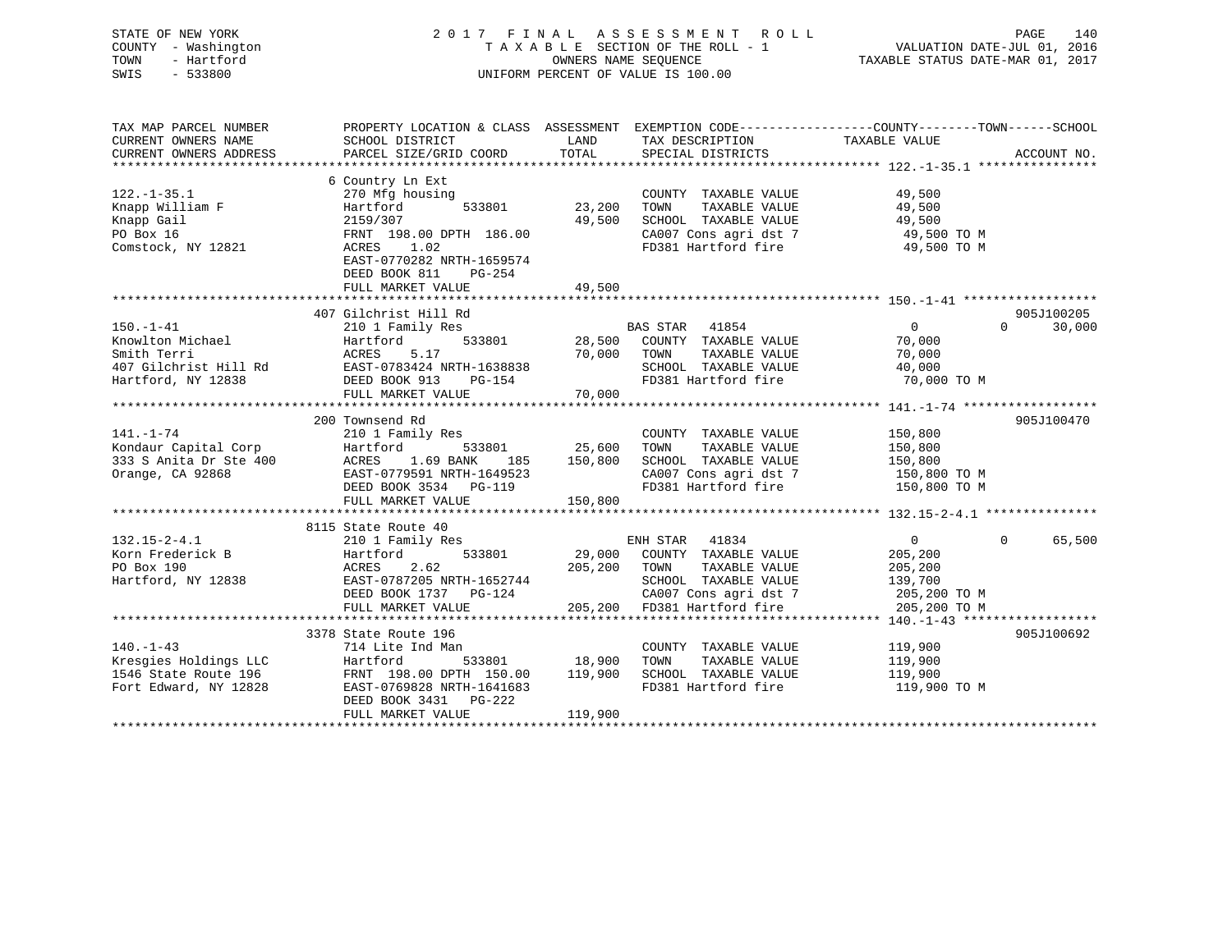## STATE OF NEW YORK 2 0 1 7 F I N A L A S S E S S M E N T R O L L PAGE 140 COUNTY - Washington T A X A B L E SECTION OF THE ROLL - 1 VALUATION DATE-JUL 01, 2016 TOWN - Hartford **TAXABLE STATUS DATE-MAR 01, 2017** SWIS - 533800 UNIFORM PERCENT OF VALUE IS 100.00

| TAX MAP PARCEL NUMBER<br>CURRENT OWNERS NAME<br>CURRENT OWNERS ADDRESS                            | SCHOOL DISTRICT<br>PARCEL SIZE/GRID COORD                                                                                                                                                      | LAND<br>TOTAL                    | TAX DESCRIPTION<br>SPECIAL DISTRICTS                                                                                                            | PROPERTY LOCATION & CLASS ASSESSMENT EXEMPTION CODE----------------COUNTY-------TOWN-----SCHOOL<br>TAXABLE VALUE | ACCOUNT NO.          |
|---------------------------------------------------------------------------------------------------|------------------------------------------------------------------------------------------------------------------------------------------------------------------------------------------------|----------------------------------|-------------------------------------------------------------------------------------------------------------------------------------------------|------------------------------------------------------------------------------------------------------------------|----------------------|
| $122. - 1 - 35.1$<br>Knapp William F<br>Knapp Gail<br>PO Box 16<br>Comstock, NY 12821             | 6 Country Ln Ext<br>270 Mfg housing<br>533801<br>Hartford<br>2159/307<br>FRNT 198.00 DPTH 186.00<br>1.02<br>ACRES<br>EAST-0770282 NRTH-1659574<br>DEED BOOK 811<br>PG-254<br>FULL MARKET VALUE | 23,200<br>49,500<br>49,500       | COUNTY TAXABLE VALUE<br>TAXABLE VALUE<br>TOWN<br>SCHOOL TAXABLE VALUE<br>CA007 Cons agri dst 7<br>FD381 Hartford fire                           | 49,500<br>49,500<br>49,500<br>49,500 TO M<br>49,500 TO M                                                         |                      |
| $150. - 1 - 41$<br>Knowlton Michael<br>Smith Terri<br>407 Gilchrist Hill Rd<br>Hartford, NY 12838 | 407 Gilchrist Hill Rd<br>210 1 Family Res<br>Hartford<br>ACRES<br>5.17<br>EAST-0783424 NRTH-1638838<br>PG-154<br>DEED BOOK 913<br>FULL MARKET VALUE                                            | 70,000<br>70,000                 | BAS STAR 41854<br>533801 28,500 COUNTY TAXABLE VALUE<br>TAXABLE VALUE<br>TOWN<br>SCHOOL TAXABLE VALUE<br>FD381 Hartford fire                    | $\Omega$<br>$\Omega$<br>70,000<br>70,000<br>40,000<br>70,000 TO M                                                | 905J100205<br>30,000 |
| $141. - 1 - 74$<br>Kondaur Capital Corp<br>333 S Anita Dr Ste 400<br>Orange, CA 92868             | 200 Townsend Rd<br>210 1 Family Res<br>Hartford<br>533801<br>ACRES 1.69 BANK<br>EAST-0779591 NRTH-1649523<br>DEED BOOK 3534 PG-119<br>FULL MARKET VALUE                                        | 25,600<br>185 150,800<br>150,800 | COUNTY TAXABLE VALUE<br>TOWN<br>TAXABLE VALUE<br>SCHOOL TAXABLE VALUE<br>CA007 Cons agri dst 7 150,800 TO M<br>FD381 Hartford fire 150,800 TO M | 150,800<br>150,800<br>150,800                                                                                    | 905J100470           |
| $132.15 - 2 - 4.1$<br>Korn Frederick B<br>PO Box 190<br>Hartford, NY 12838                        | 8115 State Route 40<br>210 1 Family Res<br>533801<br>Hartford<br>2.62<br>ACRES<br>EAST-0787205 NRTH-1652744<br>DEED BOOK 1737 PG-124<br>FULL MARKET VALUE                                      | 29,000<br>205,200<br>205,200     | ENH STAR 41834<br>COUNTY TAXABLE VALUE<br>TOWN<br>TAXABLE VALUE<br>SCHOOL TAXABLE VALUE<br>CA007 Cons agri dst 7<br>FD381 Hartford fire         | $\overline{0}$<br>$\mathbf{0}$<br>205,200<br>205,200<br>139,700<br>205,200 TO M<br>205,200 TO M                  | 65,500               |
| $140. -1 - 43$<br>Kresgies Holdings LLC<br>1546 State Route 196<br>Fort Edward, NY 12828          | 3378 State Route 196<br>714 Lite Ind Man<br>Hartford<br>FRNT 198.00 DPTH 150.00 119,900<br>EAST-0769828 NRTH-1641683<br>DEED BOOK 3431 PG-222<br>FULL MARKET VALUE                             | 533801 18,900<br>119,900         | COUNTY TAXABLE VALUE<br>TAXABLE VALUE<br>TOWN<br>SCHOOL TAXABLE VALUE<br>FD381 Hartford fire                                                    | 119,900<br>119,900<br>119,900<br>119,900 TO M                                                                    | 905J100692           |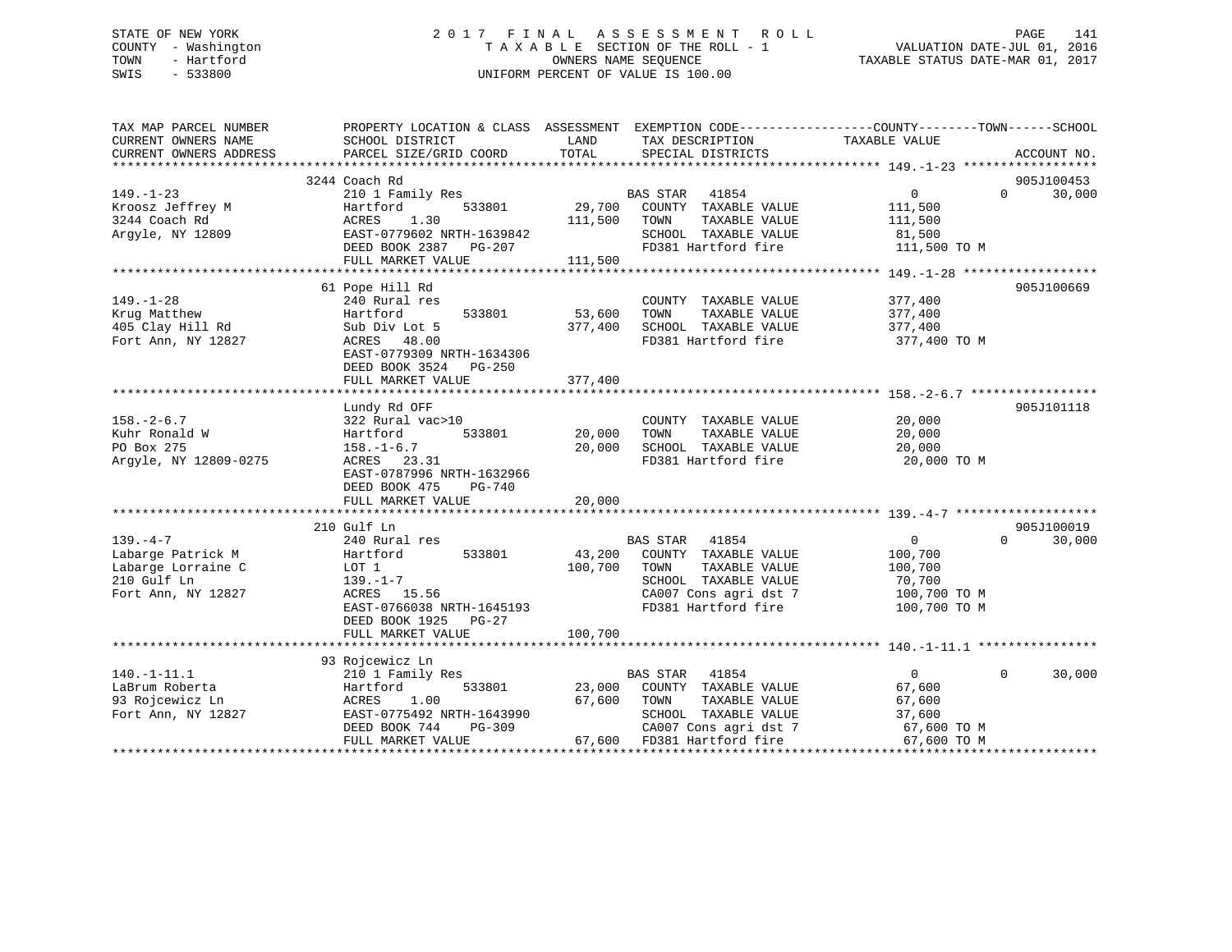## STATE OF NEW YORK 2 0 1 7 F I N A L A S S E S S M E N T R O L L PAGE 141 COUNTY - Washington T A X A B L E SECTION OF THE ROLL - 1 VALUATION DATE-JUL 01, 2016 TOWN - Hartford OWNERS NAME SEQUENCE TAXABLE STATUS DATE-MAR 01, 2017 SWIS - 533800 UNIFORM PERCENT OF VALUE IS 100.00

| TAX MAP PARCEL NUMBER  |                           |                                  | PROPERTY LOCATION & CLASS ASSESSMENT EXEMPTION CODE---------------COUNTY-------TOWN-----SCHOOL |
|------------------------|---------------------------|----------------------------------|------------------------------------------------------------------------------------------------|
| CURRENT OWNERS NAME    | SCHOOL DISTRICT           | LAND<br>TAX DESCRIPTION<br>TOTAL | TAXABLE VALUE                                                                                  |
| CURRENT OWNERS ADDRESS | PARCEL SIZE/GRID COORD    | SPECIAL DISTRICTS                | ACCOUNT NO.                                                                                    |
|                        |                           |                                  | 905J100453                                                                                     |
| $149. - 1 - 23$        | 3244 Coach Rd             | <b>BAS STAR</b><br>41854         | $0 \qquad \qquad$<br>$\Omega$                                                                  |
|                        | 210 1 Family Res          | 29,700                           | 30,000                                                                                         |
| Kroosz Jeffrey M       | 533801<br>Hartford        | COUNTY TAXABLE VALUE             | 111,500                                                                                        |
| 3244 Coach Rd          | 1.30<br>ACRES             | 111,500<br>TOWN<br>TAXABLE VALUE | 111,500                                                                                        |
| Arqyle, NY 12809       | EAST-0779602 NRTH-1639842 | SCHOOL TAXABLE VALUE             | 81,500                                                                                         |
|                        | DEED BOOK 2387 PG-207     | FD381 Hartford fire              | 111,500 TO M                                                                                   |
|                        | FULL MARKET VALUE         | 111,500                          |                                                                                                |
|                        |                           |                                  |                                                                                                |
|                        | 61 Pope Hill Rd           |                                  | 905J100669                                                                                     |
| $149. - 1 - 28$        | 240 Rural res             | COUNTY TAXABLE VALUE             | 377,400                                                                                        |
| Krug Matthew           | Hartford<br>533801        | 53,600<br>TOWN<br>TAXABLE VALUE  | 377,400                                                                                        |
| 405 Clay Hill Rd       | Sub Div Lot 5             | 377,400<br>SCHOOL TAXABLE VALUE  | 377,400                                                                                        |
| Fort Ann, NY 12827     | ACRES 48.00               | FD381 Hartford fire              | 377,400 TO M                                                                                   |
|                        | EAST-0779309 NRTH-1634306 |                                  |                                                                                                |
|                        | DEED BOOK 3524 PG-250     |                                  |                                                                                                |
|                        | FULL MARKET VALUE         | 377,400                          |                                                                                                |
|                        |                           |                                  |                                                                                                |
|                        | Lundy Rd OFF              |                                  | 905J101118                                                                                     |
| $158. - 2 - 6.7$       | 322 Rural vac>10          | COUNTY TAXABLE VALUE             | 20,000                                                                                         |
| Kuhr Ronald W          | Hartford<br>533801        | 20,000<br>TOWN<br>TAXABLE VALUE  | 20,000                                                                                         |
| PO Box 275             | $158. - 1 - 6.7$          | 20,000<br>SCHOOL TAXABLE VALUE   | 20,000                                                                                         |
| Argyle, NY 12809-0275  | ACRES 23.31               | FD381 Hartford fire              | 20,000 TO M                                                                                    |
|                        | EAST-0787996 NRTH-1632966 |                                  |                                                                                                |
|                        | DEED BOOK 475<br>PG-740   |                                  |                                                                                                |
|                        | FULL MARKET VALUE         | 20,000                           |                                                                                                |
|                        |                           |                                  |                                                                                                |
|                        | 210 Gulf Ln               |                                  | 905J100019                                                                                     |
| $139. -4 -7$           | 240 Rural res             | BAS STAR 41854                   | $\overline{0}$<br>$\Omega$<br>30,000                                                           |
| Labarge Patrick M      | 533801<br>Hartford        | 43,200<br>COUNTY TAXABLE VALUE   |                                                                                                |
|                        |                           |                                  | 100,700                                                                                        |
| Labarge Lorraine C     | LOT 1                     | 100,700<br>TAXABLE VALUE<br>TOWN | 100,700                                                                                        |
| 210 Gulf Ln            | 139.–1–7                  | SCHOOL TAXABLE VALUE             | 70,700                                                                                         |
| Fort Ann, NY 12827     | ACRES 15.56               | CA007 Cons agri dst 7            | 100,700 TO M                                                                                   |
|                        | EAST-0766038 NRTH-1645193 | FD381 Hartford fire              | 100,700 TO M                                                                                   |
|                        | DEED BOOK 1925 PG-27      |                                  |                                                                                                |
|                        | FULL MARKET VALUE         | 100,700                          |                                                                                                |
|                        |                           |                                  |                                                                                                |
|                        | 93 Rojcewicz Ln           |                                  |                                                                                                |
| $140. - 1 - 11.1$      | 210 1 Family Res          | <b>BAS STAR</b><br>41854         | $\mathbf{0}$<br>30,000<br>$\Omega$                                                             |
| LaBrum Roberta         | 533801<br>Hartford        | 23,000<br>COUNTY TAXABLE VALUE   | 67,600                                                                                         |
| 93 Rojcewicz Ln        | ACRES<br>1.00             | 67,600<br>TAXABLE VALUE<br>TOWN  | 67,600                                                                                         |
| Fort Ann, NY 12827     | EAST-0775492 NRTH-1643990 | SCHOOL TAXABLE VALUE             | 37,600                                                                                         |
|                        | DEED BOOK 744<br>PG-309   | CA007 Cons agri dst 7            | 67,600 TO M                                                                                    |
|                        | FULL MARKET VALUE         | 67,600 FD381 Hartford fire       | 67,600 TO M                                                                                    |
|                        |                           |                                  |                                                                                                |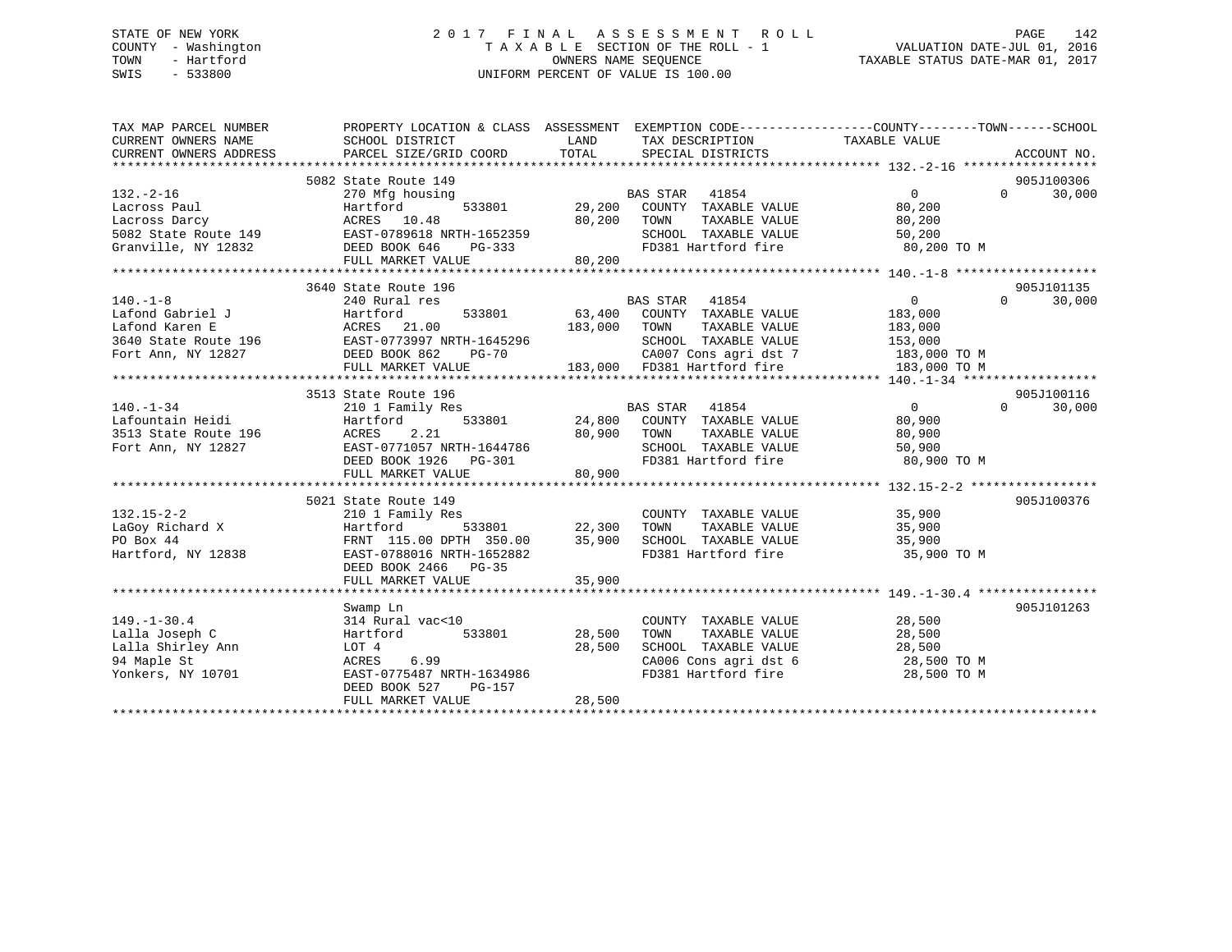## STATE OF NEW YORK 2 0 1 7 F I N A L A S S E S S M E N T R O L L PAGE 142 COUNTY - Washington T A X A B L E SECTION OF THE ROLL - 1 VALUATION DATE-JUL 01, 2016 TOWN - Hartford **TAXABLE STATUS DATE-MAR 01, 2017** SWIS - 533800 UNIFORM PERCENT OF VALUE IS 100.00

| TAX MAP PARCEL NUMBER<br>CURRENT OWNERS NAME<br>CURRENT OWNERS ADDRESS      | PROPERTY LOCATION & CLASS ASSESSMENT EXEMPTION CODE---------------COUNTY-------TOWN-----SCHOOL<br>SCHOOL DISTRICT<br>PARCEL SIZE/GRID COORD | LAND<br>TOTAL | TAX DESCRIPTION<br>SPECIAL DISTRICTS                                 | TAXABLE VALUE  | ACCOUNT NO.        |
|-----------------------------------------------------------------------------|---------------------------------------------------------------------------------------------------------------------------------------------|---------------|----------------------------------------------------------------------|----------------|--------------------|
|                                                                             | 5082 State Route 149                                                                                                                        |               |                                                                      |                | 905J100306         |
| $132 - 2 - 16$                                                              | 270 Mfg housing                                                                                                                             |               | BAS STAR 41854                                                       | $\Omega$       | $\Omega$<br>30,000 |
|                                                                             | Hartford                                                                                                                                    |               | 533801 29,200 COUNTY TAXABLE VALUE                                   | 80,200         |                    |
| Lacross Paul<br>Lacross Darcy                                               |                                                                                                                                             | 80,200        | TOWN<br>TAXABLE VALUE                                                | 80,200         |                    |
|                                                                             |                                                                                                                                             |               | SCHOOL TAXABLE VALUE                                                 | 50,200         |                    |
| Granville, NY 12832 DEED BOOK 646                                           | PG-333                                                                                                                                      |               | FD381 Hartford fire                                                  | 80,200 TO M    |                    |
|                                                                             | FULL MARKET VALUE                                                                                                                           | 80,200        |                                                                      |                |                    |
|                                                                             |                                                                                                                                             |               |                                                                      |                |                    |
|                                                                             | 3640 State Route 196                                                                                                                        |               |                                                                      |                | 905J101135         |
| $140. - 1 - 8$                                                              | in the contract of the contract of<br>240 Rural res                                                                                         |               | BAS STAR 41854                                                       | $\overline{0}$ | $\Omega$<br>30,000 |
| Lafond Gabriel J                                                            |                                                                                                                                             |               | 533801 63,400 COUNTY TAXABLE VALUE                                   | 183,000        |                    |
|                                                                             |                                                                                                                                             | 183,000 TOWN  | TAXABLE VALUE                                                        | 183,000        |                    |
|                                                                             |                                                                                                                                             |               | SCHOOL TAXABLE VALUE                                                 | 153,000        |                    |
|                                                                             |                                                                                                                                             |               | CA007 Cons agri dst 7 183,000 TO M                                   |                |                    |
|                                                                             |                                                                                                                                             |               | 183,000 FD381 Hartford fire                                          | 183,000 TO M   |                    |
|                                                                             |                                                                                                                                             |               |                                                                      |                |                    |
|                                                                             | 3513 State Route 196                                                                                                                        |               |                                                                      |                | 905J100116         |
|                                                                             | 210 1 Family Res                                                                                                                            |               | BAS STAR 41854                                                       | $\overline{0}$ | $\Omega$<br>30,000 |
|                                                                             | 533801<br>Hartford                                                                                                                          |               | BAS STAR 41854<br>24,800 COUNTY TAXABLE VALUE                        | 80,900         |                    |
|                                                                             | ACRES<br>2.21                                                                                                                               | 80,900        | TAXABLE VALUE<br>TOWN                                                | 80,900         |                    |
| 140.-1-34<br>Lafountain Heidi<br>3513 State Route 196<br>Fort Ann, NY 12827 | EAST-0771057 NRTH-1644786                                                                                                                   |               |                                                                      |                |                    |
|                                                                             | DEED BOOK 1926    PG-301                                                                                                                    |               | TOWN TAXABLE VALUE 50,900<br>SCHOOL TAXABLE VALUE 50,900 TO M        |                |                    |
|                                                                             | FULL MARKET VALUE                                                                                                                           | 80,900        |                                                                      |                |                    |
|                                                                             |                                                                                                                                             |               |                                                                      |                |                    |
|                                                                             | 5021 State Route 149                                                                                                                        |               |                                                                      |                | 905J100376         |
| $132.15 - 2 - 2$                                                            | 210 1 Family Res                                                                                                                            |               | COUNTY TAXABLE VALUE 35,900                                          |                |                    |
| LaGoy Richard X                                                             | Hartford                                                                                                                                    | 533801 22,300 | TOWN<br>TAXABLE VALUE                                                | 35,900         |                    |
| PO Box 44                                                                   | FRNT 115.00 DPTH 350.00 35,900                                                                                                              |               |                                                                      | 35,900         |                    |
| Hartford, NY 12838                                                          | EAST-0788016 NRTH-1652882                                                                                                                   |               | SCHOOL TAXABLE VALUE<br>FD381 Hartford fire                          | 35,900 TO M    |                    |
|                                                                             | DEED BOOK 2466 PG-35                                                                                                                        |               |                                                                      |                |                    |
|                                                                             | FULL MARKET VALUE                                                                                                                           | 35,900        |                                                                      |                |                    |
|                                                                             |                                                                                                                                             |               |                                                                      |                |                    |
|                                                                             | Swamp Ln                                                                                                                                    |               |                                                                      |                | 905J101263         |
| $149. - 1 - 30.4$                                                           | 314 Rural vac<10                                                                                                                            |               | COUNTY TAXABLE VALUE 28,500                                          |                |                    |
| Lalla Joseph C                                                              | 533801<br>Hartford                                                                                                                          | 28,500        | TAXABLE VALUE<br>TOWN                                                | 28,500         |                    |
| Lalla Shirley Ann                                                           | LOT 4                                                                                                                                       | 28,500        | SCHOOL TAXABLE VALUE                                                 | 28,500         |                    |
| 94 Maple St                                                                 | ACRES 6.99                                                                                                                                  |               | CA006 Cons agri dst 6 28,500 TO M<br>FD381 Hartford fire 28,500 TO M |                |                    |
| Yonkers, NY 10701                                                           | EAST-0775487 NRTH-1634986                                                                                                                   |               |                                                                      |                |                    |
|                                                                             | DEED BOOK 527<br>PG-157                                                                                                                     |               |                                                                      |                |                    |
|                                                                             | FULL MARKET VALUE                                                                                                                           | 28,500        |                                                                      |                |                    |
|                                                                             |                                                                                                                                             |               |                                                                      |                |                    |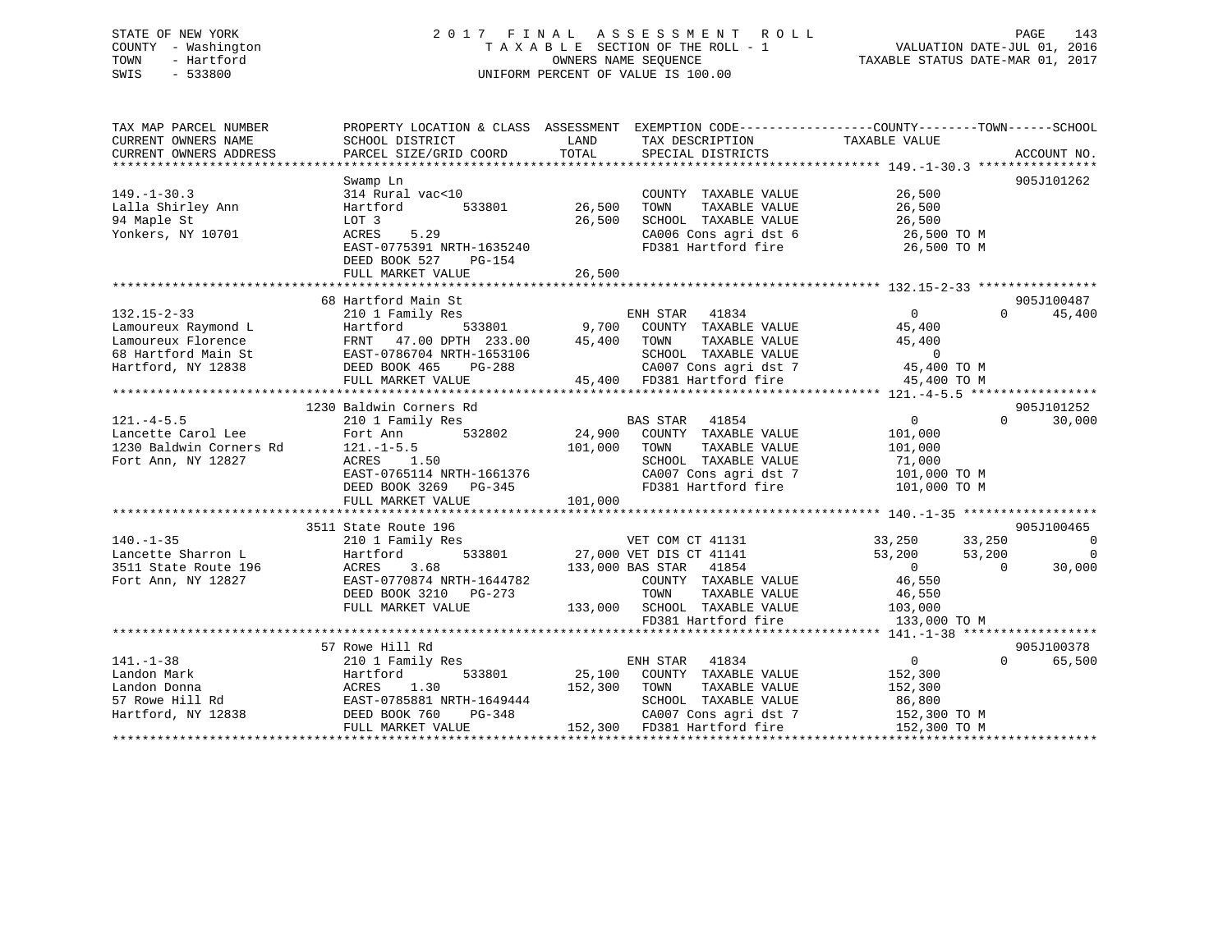## STATE OF NEW YORK 2 0 1 7 F I N A L A S S E S S M E N T R O L L PAGE 143 COUNTY - Washington T A X A B L E SECTION OF THE ROLL - 1 VALUATION DATE-JUL 01, 2016 TOWN - Hartford **TAXABLE STATUS DATE-MAR 01, 2017** SWIS - 533800 UNIFORM PERCENT OF VALUE IS 100.00

| TAX MAP PARCEL NUMBER<br>CURRENT OWNERS NAME | SCHOOL DISTRICT           | LAND<br>TAX DESCRIPTION                                                              | PROPERTY LOCATION & CLASS ASSESSMENT EXEMPTION CODE---------------COUNTY-------TOWN-----SCHOOL<br>TAXABLE VALUE |
|----------------------------------------------|---------------------------|--------------------------------------------------------------------------------------|-----------------------------------------------------------------------------------------------------------------|
| CURRENT OWNERS ADDRESS                       | PARCEL SIZE/GRID COORD    | TOTAL<br>SPECIAL DISTRICTS                                                           | ACCOUNT NO.                                                                                                     |
|                                              |                           |                                                                                      |                                                                                                                 |
|                                              | Swamp Ln                  |                                                                                      | 905J101262                                                                                                      |
| $149. - 1 - 30.3$                            | 314 Rural vac<10          | COUNTY TAXABLE VALUE                                                                 | 26,500                                                                                                          |
| Lalla Shirley Ann                            | 533801<br>Hartford        | 26,500<br>TOWN<br>TAXABLE VALUE                                                      | 26,500                                                                                                          |
| 94 Maple St                                  | LOT 3                     | 26,500<br>SCHOOL TAXABLE VALUE                                                       | 26,500                                                                                                          |
| Yonkers, NY 10701                            | 5.29<br>ACRES             | CA006 Cons agri dst 6                                                                | 26,500 TO M                                                                                                     |
|                                              | EAST-0775391 NRTH-1635240 | FD381 Hartford fire                                                                  | 26,500 TO M                                                                                                     |
|                                              | DEED BOOK 527<br>PG-154   |                                                                                      |                                                                                                                 |
|                                              |                           |                                                                                      |                                                                                                                 |
|                                              |                           |                                                                                      |                                                                                                                 |
|                                              | 68 Hartford Main St       |                                                                                      | 905J100487                                                                                                      |
| $132.15 - 2 - 33$                            | 210 1 Family Res          | 41834<br>ENH STAR                                                                    | $\overline{0}$<br>45,400<br>$\Omega$                                                                            |
| Lamoureux Raymond L                          | 533801<br>Hartford        | 9,700<br>COUNTY TAXABLE VALUE                                                        | 45,400                                                                                                          |
| Lamoureux Florence                           | FRNT 47.00 DPTH 233.00    | 45,400<br>TAXABLE VALUE<br>TOWN                                                      | 45,400                                                                                                          |
| 68 Hartford Main St                          | EAST-0786704 NRTH-1653106 | SCHOOL TAXABLE VALUE                                                                 | $\overline{0}$                                                                                                  |
| Hartford, NY 12838                           | DEED BOOK 465<br>PG-288   |                                                                                      | 45,400 TO M                                                                                                     |
|                                              | FULL MARKET VALUE         | SCHOOL TAAADDD<br>CA007 Cons agri dst 7<br>Liferd fire<br>45,400 FD381 Hartford fire | 45,400 TO M                                                                                                     |
|                                              |                           |                                                                                      |                                                                                                                 |
|                                              | 1230 Baldwin Corners Rd   |                                                                                      | 905J101252                                                                                                      |
| $121. -4 - 5.5$                              | 210 1 Family Res          | BAS STAR<br>41854                                                                    | $\overline{0}$<br>$\Omega$<br>30,000                                                                            |
| Lancette Carol Lee                           | 532802<br>Fort Ann        | 24,900 COUNTY TAXABLE VALUE                                                          | 101,000                                                                                                         |
| 1230 Baldwin Corners Rd                      | $121. - 1 - 5.5$          | 101,000<br>TOWN<br>TAXABLE VALUE                                                     | 101,000                                                                                                         |
|                                              |                           |                                                                                      |                                                                                                                 |
| Fort Ann, NY 12827                           | ACRES 1.50                | SCHOOL TAXABLE VALUE                                                                 | 71,000                                                                                                          |
|                                              | EAST-0765114 NRTH-1661376 | CA007 Cons agri dst 7                                                                | 101,000 TO M                                                                                                    |
|                                              | DEED BOOK 3269<br>PG-345  | FD381 Hartford fire                                                                  | 101,000 TO M                                                                                                    |
|                                              | FULL MARKET VALUE         | 101,000                                                                              |                                                                                                                 |
|                                              |                           |                                                                                      |                                                                                                                 |
|                                              | 3511 State Route 196      |                                                                                      | 905J100465                                                                                                      |
| $140. - 1 - 35$                              | 210 1 Family Res          | VET COM CT 41131                                                                     | 33,250<br>$\overline{\phantom{0}}$<br>33,250                                                                    |
| Lancette Sharron L                           | 533801<br>Hartford        | 27,000 VET DIS CT 41141                                                              | 53,200<br>53,200<br>0                                                                                           |
| 3511 State Route 196                         | 3.68<br>ACRES             | 133,000 BAS STAR 41854                                                               | $\overline{0}$<br>$\Omega$<br>30,000                                                                            |
| Fort Ann, NY 12827                           | EAST-0770874 NRTH-1644782 | COUNTY TAXABLE VALUE                                                                 | 46,550                                                                                                          |
|                                              | DEED BOOK 3210 PG-273     | TOWN<br>TAXABLE VALUE                                                                | 46,550                                                                                                          |
|                                              | FULL MARKET VALUE         | 133,000 SCHOOL TAXABLE VALUE                                                         | 103,000                                                                                                         |
|                                              |                           | FD381 Hartford fire                                                                  | 133,000 TO M                                                                                                    |
|                                              |                           |                                                                                      |                                                                                                                 |
|                                              | 57 Rowe Hill Rd           |                                                                                      | 905J100378                                                                                                      |
| $141. - 1 - 38$                              | 210 1 Family Res          | ENH STAR<br>41834                                                                    | $0 \qquad \qquad$<br>$\Omega$<br>65,500                                                                         |
| Landon Mark                                  | Hartford<br>533801        | 25,100<br>COUNTY TAXABLE VALUE                                                       | 152,300                                                                                                         |
| Landon Donna                                 | 1.30<br>ACRES             | 152,300<br>TAXABLE VALUE<br>TOWN                                                     | 152,300                                                                                                         |
| 57 Rowe Hill Rd                              | EAST-0785881 NRTH-1649444 | SCHOOL TAXABLE VALUE                                                                 | 86,800                                                                                                          |
| Hartford, NY 12838                           | DEED BOOK 760<br>PG-348   | CA007 Cons agri dst 7                                                                | 152,300 TO M                                                                                                    |
|                                              | FULL MARKET VALUE         | 152,300 FD381 Hartford fire                                                          | 152,300 TO M                                                                                                    |
|                                              |                           |                                                                                      |                                                                                                                 |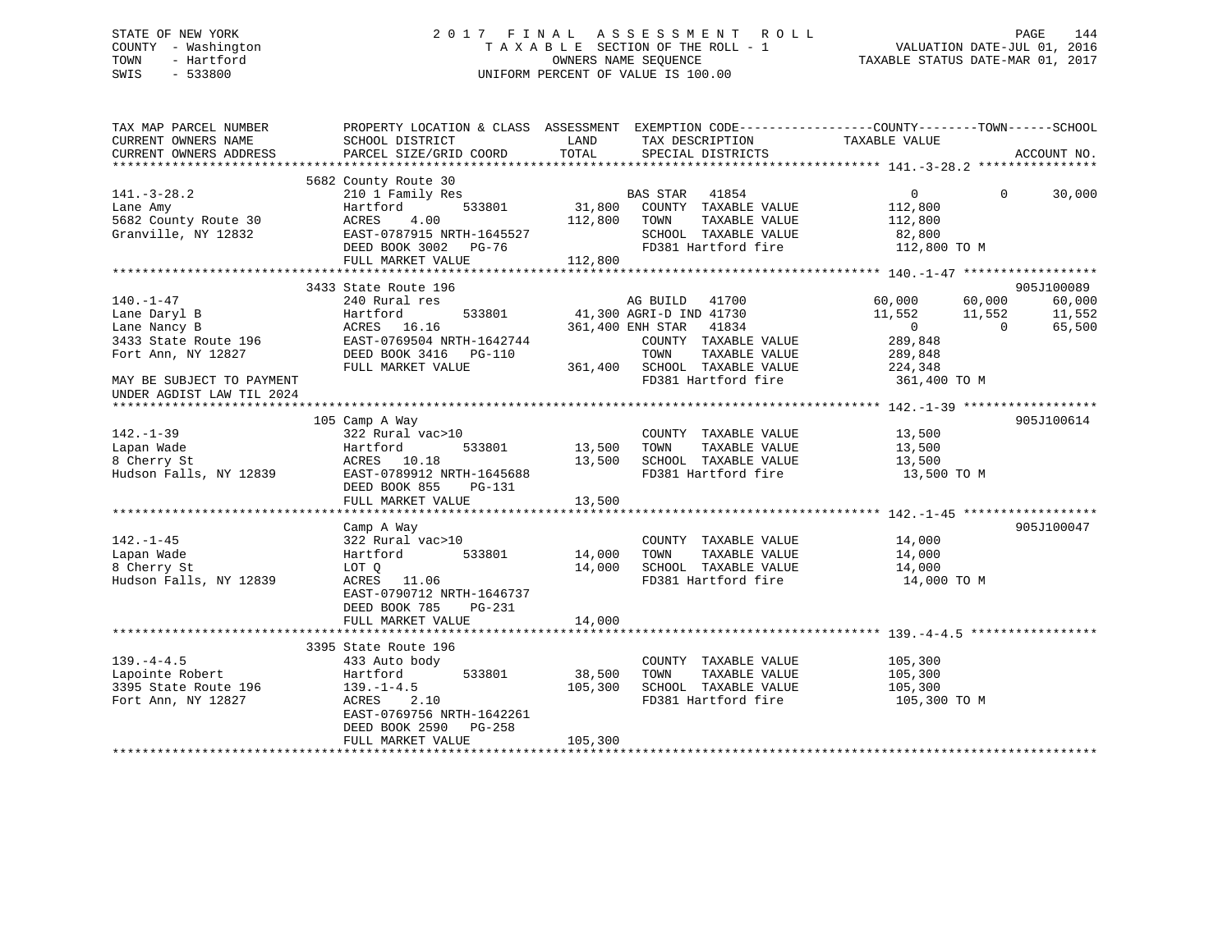## STATE OF NEW YORK 2 0 1 7 F I N A L A S S E S S M E N T R O L L PAGE 144 COUNTY - Washington T A X A B L E SECTION OF THE ROLL - 1 VALUATION DATE-JUL 01, 2016 TOWN - Hartford **TAXABLE STATUS DATE-MAR 01, 2017** SWIS - 533800 UNIFORM PERCENT OF VALUE IS 100.00

| TAX MAP PARCEL NUMBER<br>CURRENT OWNERS NAME<br>CURRENT OWNERS ADDRESS                                                                                  | PROPERTY LOCATION & CLASS ASSESSMENT<br>SCHOOL DISTRICT<br>PARCEL SIZE/GRID COORD                                                                             | LAND<br>TOTAL                | TAX DESCRIPTION TAXABLE VALUE<br>SPECIAL DISTRICTS                                                                                                                                         | EXEMPTION CODE-----------------COUNTY-------TOWN------SCHOOL                                             | ACCOUNT NO.                                            |
|---------------------------------------------------------------------------------------------------------------------------------------------------------|---------------------------------------------------------------------------------------------------------------------------------------------------------------|------------------------------|--------------------------------------------------------------------------------------------------------------------------------------------------------------------------------------------|----------------------------------------------------------------------------------------------------------|--------------------------------------------------------|
|                                                                                                                                                         |                                                                                                                                                               |                              |                                                                                                                                                                                            |                                                                                                          |                                                        |
| $141.-3-28.2$<br>Lane Amy<br>5682 County Route 30<br>Granville, NY 12832                                                                                | 5682 County Route 30<br>210 1 Family Res<br>Hartford<br>533801<br>4.00<br>ACRES<br>EAST-0787915 NRTH-1645527<br>DEED BOOK 3002 PG-76<br>FULL MARKET VALUE     | 112,800<br>112,800           | BAS STAR 41854<br>31,800 COUNTY TAXABLE VALUE<br>TAXABLE VALUE<br>TOWN<br>SCHOOL TAXABLE VALUE                                                                                             | $0 \qquad \qquad$<br>$\Omega$<br>112,800<br>112,800<br>82,800<br>FD381 Hartford fire 112,800 TO M        | 30,000                                                 |
|                                                                                                                                                         |                                                                                                                                                               |                              |                                                                                                                                                                                            |                                                                                                          |                                                        |
| $140. - 1 - 47$<br>Lane Daryl B<br>Lane Nancy B<br>3433 State Route 196<br>Fort Ann, NY 12827<br>MAY BE SUBJECT TO PAYMENT<br>UNDER AGDIST LAW TIL 2024 | 3433 State Route 196<br>240 Rural res<br>Hartford<br>ACRES 16.16<br>EAST-0769504 NRTH-1642744<br>DEED BOOK 3416 PG-110<br>FULL MARKET VALUE<br>105 Camp A Way |                              | AG BUILD 41700<br>533801 41,300 AGRI-D IND 41730<br>361,400 ENH STAR 41834<br>COUNTY TAXABLE VALUE<br>TAXABLE VALUE<br>TOWN<br>361,400 SCHOOL TAXABLE VALUE 224,348<br>FD381 Hartford fire | 60,000<br>60,000<br>11,552<br>11,552<br>$\sim$ 0<br>$\overline{0}$<br>289,848<br>289,848<br>361,400 TO M | 905J100089<br>60,000<br>11,552<br>65,500<br>905J100614 |
| $142. - 1 - 39$<br>Lapan Wade<br>8 Cherry St<br>Hudson Falls, NY 12839                                                                                  | 322 Rural vac>10<br>Hartford<br>533801<br>ACRES 10.18<br>EAST-0789912 NRTH-1645688<br>DEED BOOK 855<br>PG-131<br>FULL MARKET VALUE                            | 13,500<br>13,500<br>13,500   | COUNTY TAXABLE VALUE<br>TAXABLE VALUE<br>TOWN<br>SCHOOL TAXABLE VALUE 13,500<br>FD381 Hartford fire                                                                                        | 13,500<br>13,500<br>13,500 TO M                                                                          |                                                        |
|                                                                                                                                                         |                                                                                                                                                               |                              |                                                                                                                                                                                            |                                                                                                          |                                                        |
| $142. - 1 - 45$<br>Lapan Wade<br>8 Cherry St<br>Hudson Falls, NY 12839                                                                                  | Camp A Way<br>322 Rural vac>10<br>533801<br>Hartford<br>LOT Q<br>ACRES 11.06<br>EAST-0790712 NRTH-1646737<br>DEED BOOK 785<br>PG-231                          | 14,000<br>14,000             | COUNTY TAXABLE VALUE<br>TAXABLE VALUE<br>TOWN<br>SCHOOL TAXABLE VALUE<br>FD381 Hartford fire                                                                                               | 14,000<br>14,000<br>14,000<br>14,000 TO M                                                                | 905J100047                                             |
|                                                                                                                                                         | FULL MARKET VALUE                                                                                                                                             | 14,000                       |                                                                                                                                                                                            |                                                                                                          |                                                        |
|                                                                                                                                                         | 3395 State Route 196                                                                                                                                          |                              |                                                                                                                                                                                            |                                                                                                          |                                                        |
| $139. -4 - 4.5$<br>Lapointe Robert<br>3395 State Route 196<br>Fort Ann, NY 12827                                                                        | 433 Auto body<br>Hartford<br>533801<br>$139. - 1 - 4.5$<br>ACRES<br>2.10<br>EAST-0769756 NRTH-1642261<br>DEED BOOK 2590 PG-258<br>FULL MARKET VALUE           | 38,500<br>105,300<br>105,300 | COUNTY TAXABLE VALUE<br>TOWN<br>TAXABLE VALUE<br>SCHOOL TAXABLE VALUE<br>FD381 Hartford fire                                                                                               | 105,300<br>105,300<br>105,300<br>105,300 TO M                                                            |                                                        |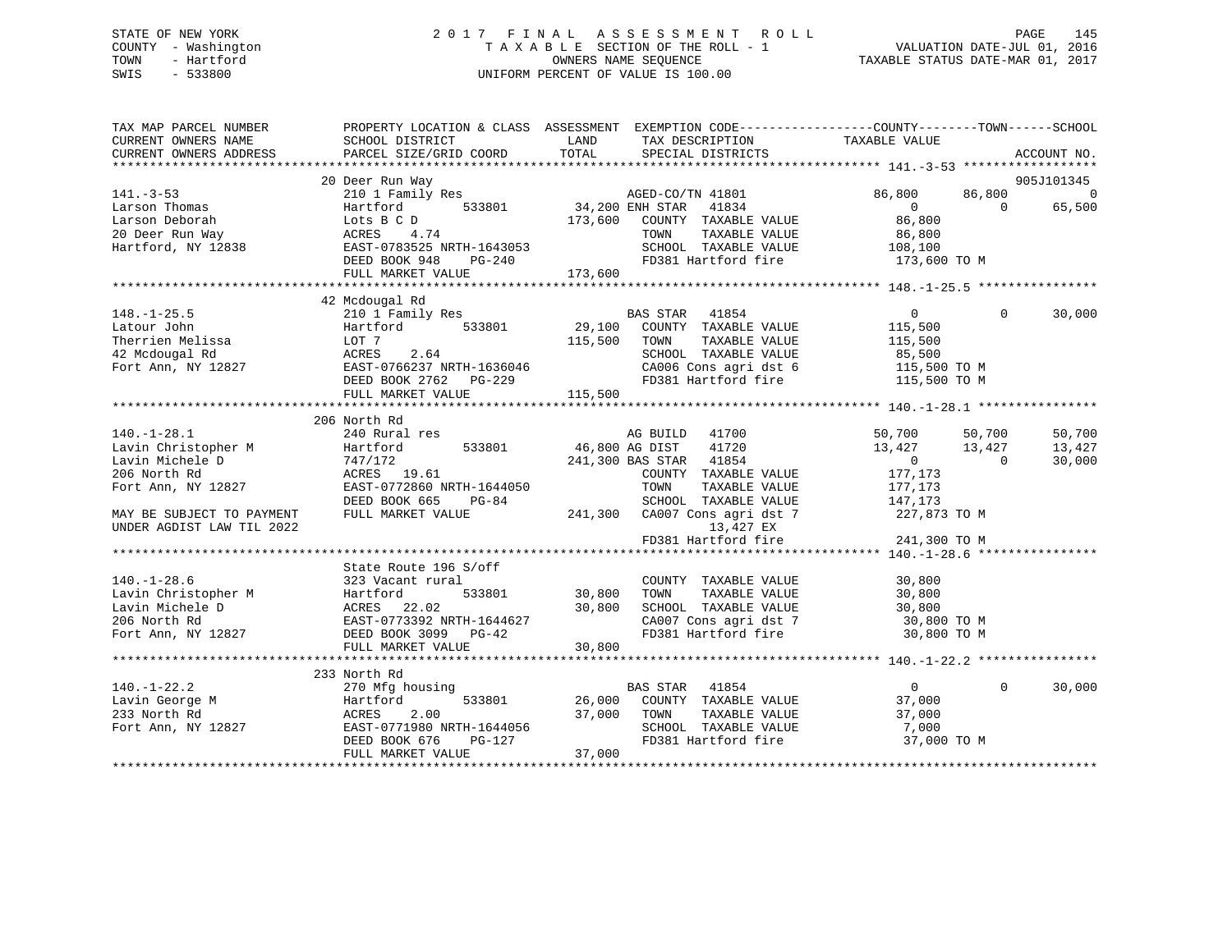# STATE OF NEW YORK 2 0 1 7 F I N A L A S S E S S M E N T R O L L PAGE 145 COUNTY - Washington T A X A B L E SECTION OF THE ROLL - 1 VALUATION DATE-JUL 01, 2016 TOWN - Hartford OWNERS NAME SEQUENCE TAXABLE STATUS DATE-MAR 01, 2017 SWIS - 533800 UNIFORM PERCENT OF VALUE IS 100.00

| TAX MAP PARCEL NUMBER<br>CURRENT OWNERS NAME<br>CURRENT OWNERS ADDRESS | SCHOOL DISTRICT<br>PARCEL SIZE/GRID COORD            | PROPERTY LOCATION & CLASS ASSESSMENT EXEMPTION CODE---------------COUNTY-------TOWN-----SCHOOL<br>LAND<br>TAX DESCRIPTION TAXABLE VALUE<br>TOTAL<br>SPECIAL DISTRICTS |                                                                   | ACCOUNT NO. |
|------------------------------------------------------------------------|------------------------------------------------------|-----------------------------------------------------------------------------------------------------------------------------------------------------------------------|-------------------------------------------------------------------|-------------|
|                                                                        | 20 Deer Run Way                                      |                                                                                                                                                                       |                                                                   | 905J101345  |
| $141. - 3 - 53$                                                        | 210 1 Family Res                                     | AGED-CO/TN 41801                                                                                                                                                      | 86,800<br>86,800                                                  | $\Omega$    |
| Larson Thomas                                                          | 533801<br>Hartford                                   | 34,200 ENH STAR<br>41834                                                                                                                                              | $\overline{0}$<br>$\Omega$                                        | 65,500      |
| Larson Deborah                                                         | Lots B C D                                           | 173,600 COUNTY TAXABLE VALUE                                                                                                                                          | 86,800                                                            |             |
| 20 Deer Run Way                                                        | ACRES<br>4.74                                        | TOWN<br>TAXABLE VALUE                                                                                                                                                 | 86,800                                                            |             |
| Hartford, NY 12838                                                     | EAST-0783525 NRTH-1643053                            | SCHOOL TAXABLE VALUE                                                                                                                                                  |                                                                   |             |
|                                                                        | DEED BOOK 948<br>$PG-240$                            | FD381 Hartford fire                                                                                                                                                   | 108, 100<br>173,600 TO M                                          |             |
|                                                                        |                                                      | 173,600                                                                                                                                                               |                                                                   |             |
|                                                                        | FULL MARKET VALUE                                    |                                                                                                                                                                       |                                                                   |             |
|                                                                        | 42 Mcdougal Rd                                       |                                                                                                                                                                       |                                                                   |             |
| $148. - 1 - 25.5$                                                      | 210 1 Family Res                                     | BAS STAR 41854                                                                                                                                                        | $\overline{0}$<br>$\Omega$                                        | 30,000      |
| Latour John                                                            | Hartford 533801                                      | 29,100 COUNTY TAXABLE VALUE                                                                                                                                           | 115,500                                                           |             |
| Therrien Melissa                                                       | LOT 7                                                | TAXABLE VALUE<br>115,500<br>TOWN                                                                                                                                      | 115,500                                                           |             |
| 42 Mcdougal Rd                                                         | ACRES<br>2.64                                        | SCHOOL TAXABLE VALUE                                                                                                                                                  | 85,500                                                            |             |
| Fort Ann, NY 12827                                                     | EAST-0766237 NRTH-1636046                            |                                                                                                                                                                       |                                                                   |             |
|                                                                        | DEED BOOK 2762 PG-229                                | CA006 Cons agri dst 6 115,500 TO M<br>FD381 Hartford fire 115,500 TO M                                                                                                |                                                                   |             |
|                                                                        | FULL MARKET VALUE                                    | 115,500                                                                                                                                                               |                                                                   |             |
|                                                                        |                                                      |                                                                                                                                                                       |                                                                   |             |
|                                                                        | 206 North Rd                                         |                                                                                                                                                                       |                                                                   |             |
| $140. - 1 - 28.1$                                                      | 240 Rural res                                        | AG BUILD 41700                                                                                                                                                        | 50,700 50,700                                                     | 50,700      |
| Lavin Christopher M                                                    | 533801<br>Hartford                                   | 46,800 AG DIST<br>41720                                                                                                                                               | 13,427<br>13,427                                                  | 13,427      |
| Lavin Michele D                                                        | 747/172                                              | 241,300 BAS STAR 41854                                                                                                                                                | $\overline{0}$<br>$\bigcap$                                       | 30,000      |
| 206 North Rd                                                           | ACRES 19.61                                          | COUNTY TAXABLE VALUE                                                                                                                                                  | 177,173                                                           |             |
|                                                                        | EAST-0772860 NRTH-1644050                            | TOWN<br>TAXABLE VALUE                                                                                                                                                 |                                                                   |             |
| Fort Ann, NY 12827                                                     | $PG-84$                                              |                                                                                                                                                                       | 177,173                                                           |             |
|                                                                        | DEED BOOK 665                                        | SCHOOL TAXABLE VALUE                                                                                                                                                  | 147,173                                                           |             |
| MAY BE SUBJECT TO PAYMENT                                              | FULL MARKET VALUE                                    | 241,300 CA007 Cons agri dst 7                                                                                                                                         | 227,873 TO M                                                      |             |
| UNDER AGDIST LAW TIL 2022                                              |                                                      | 13,427 EX                                                                                                                                                             |                                                                   |             |
|                                                                        |                                                      | FD381 Hartford fire                                                                                                                                                   | 241,300 TO M<br>$********************************+140.-1-28.6***$ |             |
|                                                                        | State Route 196 S/off                                |                                                                                                                                                                       |                                                                   |             |
| $140. - 1 - 28.6$                                                      | 323 Vacant rural                                     | COUNTY TAXABLE VALUE                                                                                                                                                  | 30,800                                                            |             |
| Lavin Christopher M                                                    | Hartford<br>533801                                   | 30,800<br>TAXABLE VALUE<br>TOWN                                                                                                                                       | 30,800                                                            |             |
| Lavin Michele D                                                        | ACRES 22.02                                          | 30,800<br>SCHOOL TAXABLE VALUE                                                                                                                                        | 30,800                                                            |             |
| 206 North Rd                                                           | EAST-0773392 NRTH-1644627                            |                                                                                                                                                                       | 30,800 TO M                                                       |             |
| Fort Ann, NY 12827                                                     | DEED BOOK 3099 PG-42                                 | CA007 Cons agri dst 7<br>FD381 Hartford fire                                                                                                                          | 30,800 TO M                                                       |             |
|                                                                        | FULL MARKET VALUE                                    | 30,800                                                                                                                                                                |                                                                   |             |
|                                                                        |                                                      |                                                                                                                                                                       |                                                                   |             |
|                                                                        | 233 North Rd                                         |                                                                                                                                                                       |                                                                   |             |
| $140. - 1 - 22.2$                                                      | 270 Mfg housing                                      | BAS STAR 41854                                                                                                                                                        | $\overline{0}$<br>$\mathbf{0}$                                    | 30,000      |
| Lavin George M                                                         | 533801<br>Hartford                                   | 26,000<br>COUNTY TAXABLE VALUE                                                                                                                                        | 37,000                                                            |             |
| 233 North Rd                                                           | 2.00<br>ACRES                                        | 37,000<br>TOWN<br>TAXABLE VALUE                                                                                                                                       | 37,000                                                            |             |
|                                                                        |                                                      | SCHOOL TAXABLE VALUE                                                                                                                                                  |                                                                   |             |
| Fort Ann, NY 12827                                                     | EAST-0771980 NRTH-1644056<br>DEED BOOK 676<br>PG-127 | FD381 Hartford fire                                                                                                                                                   | 7,000<br>37,000 TO M                                              |             |
|                                                                        | FULL MARKET VALUE                                    | 37,000                                                                                                                                                                |                                                                   |             |
|                                                                        |                                                      |                                                                                                                                                                       |                                                                   |             |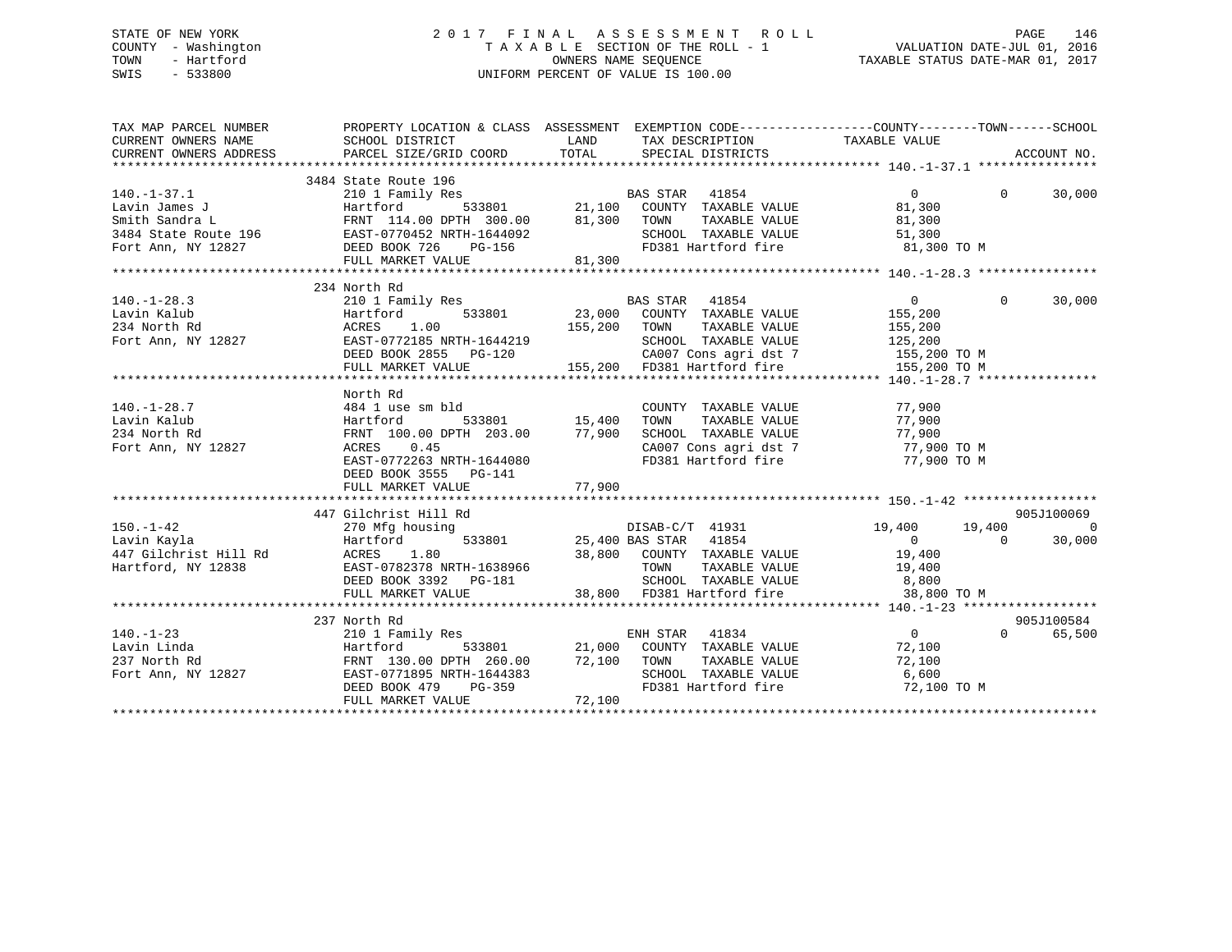# STATE OF NEW YORK 2 0 1 7 F I N A L A S S E S S M E N T R O L L PAGE 146 COUNTY - Washington T A X A B L E SECTION OF THE ROLL - 1 VALUATION DATE-JUL 01, 2016 TOWN - Hartford **TAXABLE STATUS DATE-MAR 01, 2017** SWIS - 533800 UNIFORM PERCENT OF VALUE IS 100.00

| TAX MAP PARCEL NUMBER THE PROPERTY LOCATION & CLASS ASSESSMENT EXEMPTION CODE---------------COUNTY-------TOWN------SCHOOL<br>CURRENT OWNERS NAME SCHOOL DISTRICT LAND TAX DESCRIPTION TAXABLE VALUE                                                                                                                                                                                                                                                    |                                                                                                                                                                                                                        |        |                                                          |          |            |
|--------------------------------------------------------------------------------------------------------------------------------------------------------------------------------------------------------------------------------------------------------------------------------------------------------------------------------------------------------------------------------------------------------------------------------------------------------|------------------------------------------------------------------------------------------------------------------------------------------------------------------------------------------------------------------------|--------|----------------------------------------------------------|----------|------------|
|                                                                                                                                                                                                                                                                                                                                                                                                                                                        |                                                                                                                                                                                                                        |        |                                                          |          |            |
|                                                                                                                                                                                                                                                                                                                                                                                                                                                        |                                                                                                                                                                                                                        |        |                                                          |          |            |
|                                                                                                                                                                                                                                                                                                                                                                                                                                                        |                                                                                                                                                                                                                        |        |                                                          |          |            |
| $\begin{array}{lllllllllllllllllllll} \end{array} & \begin{array}{lllllllllllll} 3484 \text{ State Route } 196 & \text{BAS STAR } 41854 \\ 2101 \text{ Family Res} & \text{BAS STAR } 41854 \\ \text{Bwin James J} & \text{Hartford} & 533801 & 21,100 & \text{COUNTY TAXABLE VALUE} \\ \text{Smith Sandra L} & \text{FRNT } 114.00 \text{ DPTH } 300.00 & 81,300 & \text{TOWN } TAXABLE VALUE \\ \text{B484 State Route } 196 & \text{EAST-0770452 N$ | 3484 State Route 196                                                                                                                                                                                                   |        | $\overline{0}$                                           | $\Omega$ |            |
|                                                                                                                                                                                                                                                                                                                                                                                                                                                        |                                                                                                                                                                                                                        |        | 81,300                                                   |          | 30,000     |
|                                                                                                                                                                                                                                                                                                                                                                                                                                                        |                                                                                                                                                                                                                        |        | 81,300                                                   |          |            |
|                                                                                                                                                                                                                                                                                                                                                                                                                                                        |                                                                                                                                                                                                                        |        | SCHOOL TAXABLE VALUE 51,300                              |          |            |
|                                                                                                                                                                                                                                                                                                                                                                                                                                                        |                                                                                                                                                                                                                        |        | FD381 Hartford fire 31,300 TO M                          |          |            |
|                                                                                                                                                                                                                                                                                                                                                                                                                                                        |                                                                                                                                                                                                                        |        |                                                          |          |            |
|                                                                                                                                                                                                                                                                                                                                                                                                                                                        |                                                                                                                                                                                                                        |        |                                                          |          |            |
|                                                                                                                                                                                                                                                                                                                                                                                                                                                        | 234 North Rd                                                                                                                                                                                                           |        |                                                          |          |            |
| $140. - 1 - 28.3$                                                                                                                                                                                                                                                                                                                                                                                                                                      | 210 1 Family Res<br>Hartford 533801 23,000 COUNTY TAXABLE VALUE 155,200                                                                                                                                                |        |                                                          | $\Omega$ | 30,000     |
|                                                                                                                                                                                                                                                                                                                                                                                                                                                        |                                                                                                                                                                                                                        |        |                                                          |          |            |
|                                                                                                                                                                                                                                                                                                                                                                                                                                                        |                                                                                                                                                                                                                        |        |                                                          |          |            |
|                                                                                                                                                                                                                                                                                                                                                                                                                                                        |                                                                                                                                                                                                                        |        |                                                          |          |            |
|                                                                                                                                                                                                                                                                                                                                                                                                                                                        |                                                                                                                                                                                                                        |        | CA007 Cons agri dst 7 155,200 TO M                       |          |            |
| $\begin{array}{cccccccc} 140.-1-28.3 & 210 & 23,000 & \texttt{COUNTY} & \texttt{TAXABLE VALUE} & 1.00 \\ \texttt{David } \texttt{Ralub} & \texttt{ACRS} & 1.00 & 155,200 & \texttt{TQWATE} & \texttt{TAXABLE VALUE} & 155,200 \\ \texttt{Fort Ann, NY 12827} & \texttt{EAST-0772185 NRTH-1644219} & 155,200 & \texttt{CNOIC TAXABLE VALUE} & 125,200 \\ \texttt{DEED BOOK 2855} & \texttt{PG-$                                                         |                                                                                                                                                                                                                        |        | 155,200 TO M                                             |          |            |
|                                                                                                                                                                                                                                                                                                                                                                                                                                                        |                                                                                                                                                                                                                        |        |                                                          |          |            |
|                                                                                                                                                                                                                                                                                                                                                                                                                                                        | North Rd                                                                                                                                                                                                               |        |                                                          |          |            |
|                                                                                                                                                                                                                                                                                                                                                                                                                                                        |                                                                                                                                                                                                                        |        |                                                          |          |            |
|                                                                                                                                                                                                                                                                                                                                                                                                                                                        |                                                                                                                                                                                                                        |        | COUNTY TAXABLE VALUE 77,900<br>TOWN TAXABLE VALUE 77,900 |          |            |
| 140.-1-28.7<br>Lavin Kalub<br>234 North Rd<br>Fort Ann, NY 12827                                                                                                                                                                                                                                                                                                                                                                                       | 484 1 use sur Diu<br>Hartford 533801 15,400 TOWN TAXABLE VALUE $\begin{array}{ccc} 15.400 & 0.00 \\ 77.900 & 0.45 \end{array}$ 57,900 ECHOOL TAXABLE VALUE 77,900 TO M<br>ACRES 0.45 CA007 Cons agri dst 7 77,900 TO M |        |                                                          |          |            |
|                                                                                                                                                                                                                                                                                                                                                                                                                                                        |                                                                                                                                                                                                                        |        |                                                          |          |            |
|                                                                                                                                                                                                                                                                                                                                                                                                                                                        |                                                                                                                                                                                                                        |        |                                                          |          |            |
|                                                                                                                                                                                                                                                                                                                                                                                                                                                        | DEED BOOK 3555 PG-141                                                                                                                                                                                                  |        |                                                          |          |            |
|                                                                                                                                                                                                                                                                                                                                                                                                                                                        | FULL MARKET VALUE                                                                                                                                                                                                      | 77,900 |                                                          |          |            |
|                                                                                                                                                                                                                                                                                                                                                                                                                                                        |                                                                                                                                                                                                                        |        |                                                          |          |            |
| 447 Gilchrist Hill Rd<br>270 Mfg housing<br>Lavin Kayla<br>447 Gilchrist Hill Rd<br>447 Gilchrist Hill Rd<br>447 Gilchrist Hill Rd<br>447 Gilchrist Hill Rd<br>447 Gilchrist Hill Rd<br>447 Gilchrist Hill Rd<br>447 Gilchrist Hill Rd<br>447 Gilc                                                                                                                                                                                                     |                                                                                                                                                                                                                        |        |                                                          |          |            |
|                                                                                                                                                                                                                                                                                                                                                                                                                                                        |                                                                                                                                                                                                                        |        |                                                          |          |            |
|                                                                                                                                                                                                                                                                                                                                                                                                                                                        |                                                                                                                                                                                                                        |        |                                                          |          |            |
|                                                                                                                                                                                                                                                                                                                                                                                                                                                        |                                                                                                                                                                                                                        |        |                                                          |          |            |
|                                                                                                                                                                                                                                                                                                                                                                                                                                                        |                                                                                                                                                                                                                        |        |                                                          |          |            |
|                                                                                                                                                                                                                                                                                                                                                                                                                                                        |                                                                                                                                                                                                                        |        |                                                          |          |            |
|                                                                                                                                                                                                                                                                                                                                                                                                                                                        |                                                                                                                                                                                                                        |        |                                                          |          |            |
|                                                                                                                                                                                                                                                                                                                                                                                                                                                        |                                                                                                                                                                                                                        |        |                                                          |          |            |
|                                                                                                                                                                                                                                                                                                                                                                                                                                                        | 237 North Rd                                                                                                                                                                                                           |        |                                                          |          | 905J100584 |
|                                                                                                                                                                                                                                                                                                                                                                                                                                                        |                                                                                                                                                                                                                        |        | $\overline{0}$                                           | $\Omega$ | 65,500     |
|                                                                                                                                                                                                                                                                                                                                                                                                                                                        |                                                                                                                                                                                                                        |        |                                                          |          |            |
|                                                                                                                                                                                                                                                                                                                                                                                                                                                        |                                                                                                                                                                                                                        |        |                                                          |          |            |
|                                                                                                                                                                                                                                                                                                                                                                                                                                                        |                                                                                                                                                                                                                        |        |                                                          |          |            |
|                                                                                                                                                                                                                                                                                                                                                                                                                                                        |                                                                                                                                                                                                                        |        | FD381 Hartford fire 72,100 TO M                          |          |            |
| $\begin{array}{cccccccc} 140.-1-23 & 237& \text{North Rd} & 210& \text{ENH STAR} & 41834 & 0 \\ & & 210& 1 & \text{Finally Res} & \text{ENH STAR} & 41834 & 0 \\ \text{Lavin Linda} & & \text{Hartford} & 533801 & 21,000 & \text{COUNTY TAXABLE VALUE} & 72,100 \\ & & \text{FRNT} & 130.00 & \text{DPTH} & 260.00 & 72,100 & \text{TOWN} & \text{TXABLE VALUE} & 72,100 \\ & & & \text{ERST}-077$                                                    |                                                                                                                                                                                                                        |        |                                                          |          |            |
|                                                                                                                                                                                                                                                                                                                                                                                                                                                        |                                                                                                                                                                                                                        |        |                                                          |          |            |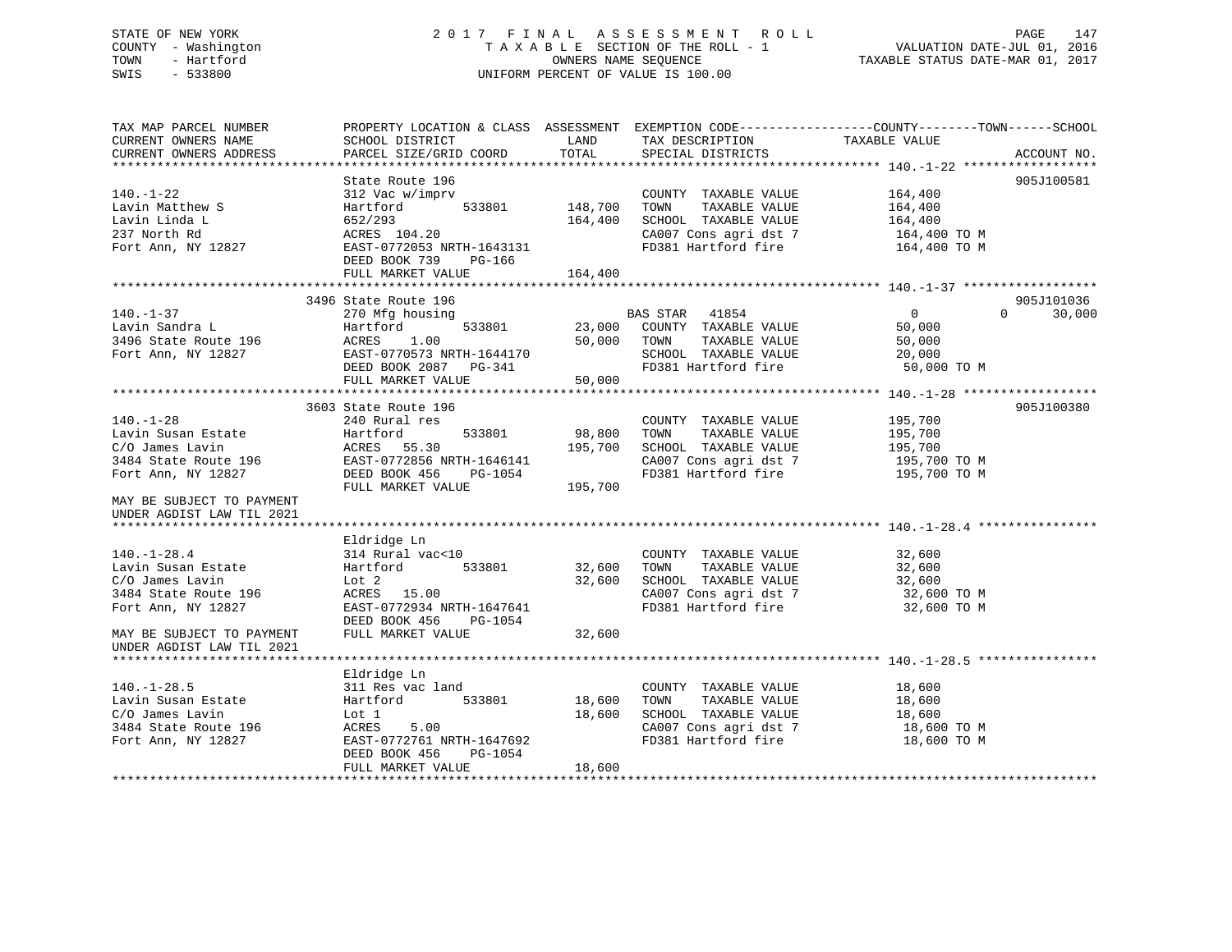# STATE OF NEW YORK 2 0 1 7 F I N A L A S S E S S M E N T R O L L PAGE 147 COUNTY - Washington T A X A B L E SECTION OF THE ROLL - 1 VALUATION DATE-JUL 01, 2016 TOWN - Hartford OWNERS NAME SEQUENCE TAXABLE STATUS DATE-MAR 01, 2017 SWIS - 533800 UNIFORM PERCENT OF VALUE IS 100.00UNIFORM PERCENT OF VALUE IS 100.00

| TAX MAP PARCEL NUMBER<br>CURRENT OWNERS NAME<br>CURRENT OWNERS ADDRESS                                                                                           | PROPERTY LOCATION & CLASS ASSESSMENT EXEMPTION CODE----------------COUNTY-------TOWN------SCHOOL<br>SCHOOL DISTRICT<br>PARCEL SIZE/GRID COORD                    | LAND<br>TOTAL                 | TAX DESCRIPTION TAXABLE VALUE<br>SPECIAL DISTRICTS                                                                    |                                                               | ACCOUNT NO.        |
|------------------------------------------------------------------------------------------------------------------------------------------------------------------|------------------------------------------------------------------------------------------------------------------------------------------------------------------|-------------------------------|-----------------------------------------------------------------------------------------------------------------------|---------------------------------------------------------------|--------------------|
| $140. - 1 - 22$<br>Lavin Matthew S<br>Lavin Linda L<br>237 North Rd<br>Fort Ann, NY 12827                                                                        | State Route 196<br>312 Vac w/imprv<br>533801<br>Hartford<br>652/293<br>ACRES 104.20<br>EAST-0772053 NRTH-1643131<br>DEED BOOK 739<br>PG-166<br>FULL MARKET VALUE | 148,700<br>164,400<br>164,400 | COUNTY TAXABLE VALUE<br>TAXABLE VALUE<br>TOWN<br>SCHOOL TAXABLE VALUE<br>CA007 Cons agri dst 7<br>FD381 Hartford fire | 164,400<br>164,400<br>164,400<br>164,400 TO M<br>164,400 TO M | 905J100581         |
|                                                                                                                                                                  | 3496 State Route 196                                                                                                                                             |                               |                                                                                                                       |                                                               | 905J101036         |
| $140. - 1 - 37$<br>Lavin Sandra L<br>3496 State Route 196<br>Fort Ann, NY 12827                                                                                  | 270 Mfg housing<br>533801<br>Hartford<br>ACRES<br>1.00<br>EAST-0770573 NRTH-1644170<br>DEED BOOK 2087 PG-341<br>FULL MARKET VALUE                                | 50,000 TOWN<br>50,000         | BAS STAR 41854<br>23,000 COUNTY TAXABLE VALUE<br>TAXABLE VALUE<br>SCHOOL TAXABLE VALUE<br>FD381 Hartford fire         | $\overline{0}$<br>50,000<br>50,000<br>20,000<br>50,000 TO M   | $\Omega$<br>30,000 |
|                                                                                                                                                                  |                                                                                                                                                                  |                               |                                                                                                                       |                                                               |                    |
| $140. - 1 - 28$<br>Lavin Susan Estate<br>C/O James Lavin<br>3484 State Route 196<br>Fort Ann, NY 12827<br>MAY BE SUBJECT TO PAYMENT<br>UNDER AGDIST LAW TIL 2021 | 3603 State Route 196<br>240 Rural res<br>533801<br>Hartford<br>ACRES<br>55.30<br>EAST-0772856 NRTH-1646141<br>DEED BOOK 456<br>PG-1054<br>FULL MARKET VALUE      | 98,800<br>195,700<br>195,700  | COUNTY TAXABLE VALUE<br>TOWN<br>TAXABLE VALUE<br>SCHOOL TAXABLE VALUE<br>CA007 Cons agri dst 7<br>FD381 Hartford fire | 195,700<br>195,700<br>195,700<br>195,700 TO M<br>195,700 TO M | 905J100380         |
|                                                                                                                                                                  | Eldridge Ln                                                                                                                                                      |                               |                                                                                                                       |                                                               |                    |
| $140. - 1 - 28.4$<br>Lavin Susan Estate<br>C/O James Lavin<br>3484 State Route 196<br>Fort Ann, NY 12827                                                         | 314 Rural vac<10<br>Hartford 533801<br>Lot 2<br>ACRES 15.00<br>EAST-0772934 NRTH-1647641<br>DEED BOOK 456 PG-1054                                                | 32,600<br>32,600              | COUNTY TAXABLE VALUE<br>TAXABLE VALUE<br>TOWN<br>SCHOOL TAXABLE VALUE<br>CA007 Cons agri dst 7<br>FD381 Hartford fire | 32,600<br>32,600<br>32,600<br>32,600 TO M<br>32,600 TO M      |                    |
| MAY BE SUBJECT TO PAYMENT<br>UNDER AGDIST LAW TIL 2021                                                                                                           | FULL MARKET VALUE                                                                                                                                                | 32,600                        |                                                                                                                       |                                                               |                    |
| $140. - 1 - 28.5$                                                                                                                                                | Eldridge Ln<br>311 Res vac land                                                                                                                                  |                               | COUNTY TAXABLE VALUE                                                                                                  | 18,600                                                        |                    |
| Lavin Susan Estate<br>C/O James Lavin<br>3484 State Route 196<br>Fort Ann, NY 12827                                                                              | Hartford 533801<br>Lot 1<br>ACRES<br>5.00<br>EAST-0772761 NRTH-1647692<br>DEED BOOK 456<br>PG-1054<br>FULL MARKET VALUE                                          | 18,600<br>18,600<br>18,600    | TOWN<br>TAXABLE VALUE<br>SCHOOL TAXABLE VALUE<br>CA007 Cons agri dst 7<br>FD381 Hartford fire                         | 18,600<br>18,600<br>18,600 TO M<br>18,600 TO M                |                    |
|                                                                                                                                                                  |                                                                                                                                                                  |                               |                                                                                                                       |                                                               |                    |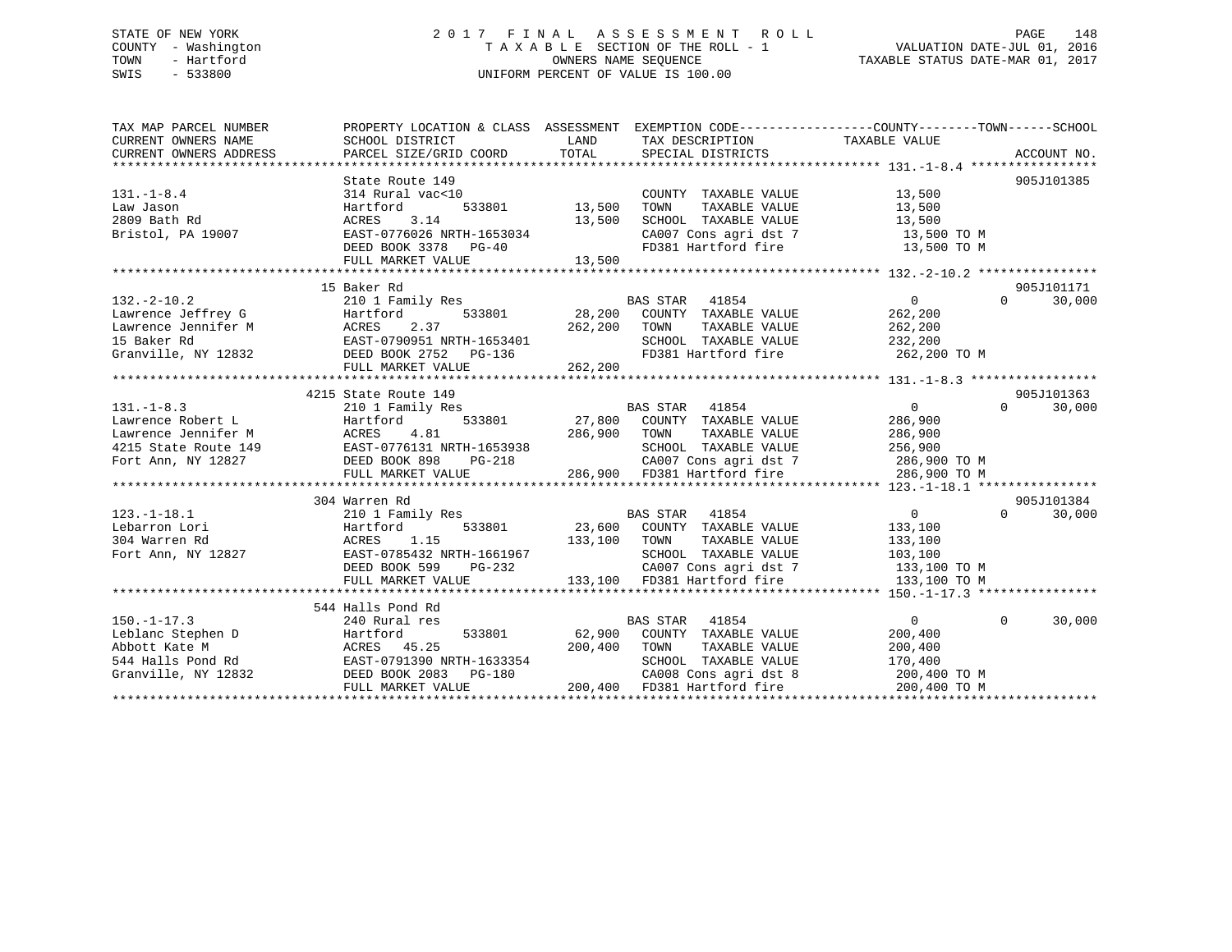# STATE OF NEW YORK 2 0 1 7 F I N A L A S S E S S M E N T R O L L PAGE 148 COUNTY - Washington T A X A B L E SECTION OF THE ROLL - 1 VALUATION DATE-JUL 01, 2016 TOWN - Hartford **TAXABLE STATUS DATE-MAR 01, 2017** SWIS - 533800 UNIFORM PERCENT OF VALUE IS 100.00

| TAX MAP PARCEL NUMBER<br>CURRENT OWNERS NAME | PROPERTY LOCATION & CLASS ASSESSMENT<br>SCHOOL DISTRICT                                                                                                                                                                                 | LAND          | TAX DESCRIPTION                                                               | EXEMPTION CODE-----------------COUNTY-------TOWN------SCHOOL<br>TAXABLE VALUE |                    |
|----------------------------------------------|-----------------------------------------------------------------------------------------------------------------------------------------------------------------------------------------------------------------------------------------|---------------|-------------------------------------------------------------------------------|-------------------------------------------------------------------------------|--------------------|
| CURRENT OWNERS ADDRESS                       | PARCEL SIZE/GRID COORD                                                                                                                                                                                                                  | TOTAL         | SPECIAL DISTRICTS                                                             |                                                                               | ACCOUNT NO.        |
|                                              | State Route 149                                                                                                                                                                                                                         |               |                                                                               |                                                                               | 905J101385         |
| $131. - 1 - 8.4$                             | 314 Rural vac<10                                                                                                                                                                                                                        |               | COUNTY TAXABLE VALUE                                                          | 13,500                                                                        |                    |
| Law Jason                                    | Hartford                                                                                                                                                                                                                                | 533801 13,500 | TOWN<br>TAXABLE VALUE                                                         | 13,500                                                                        |                    |
| 2809 Bath Rd                                 | ACRES<br>3.14                                                                                                                                                                                                                           | 13,500        | SCHOOL TAXABLE VALUE                                                          |                                                                               |                    |
| Bristol, PA 19007                            | EAST-0776026 NRTH-1653034                                                                                                                                                                                                               |               |                                                                               | 13,500<br>13,500 TO M                                                         |                    |
|                                              | DEED BOOK 3378 PG-40                                                                                                                                                                                                                    |               | CA007 Cons agri dst 7<br>FD381 Hartford fire                                  | 13,500 TO M                                                                   |                    |
|                                              | FULL MARKET VALUE                                                                                                                                                                                                                       | 13,500        |                                                                               |                                                                               |                    |
|                                              |                                                                                                                                                                                                                                         |               |                                                                               |                                                                               |                    |
|                                              | 15 Baker Rd                                                                                                                                                                                                                             |               |                                                                               |                                                                               | 905J101171         |
| $132 - 2 - 10.2$                             | 210 1 Family Res                                                                                                                                                                                                                        |               | BAS STAR 41854                                                                | $\overline{0}$                                                                | $\Omega$<br>30,000 |
|                                              |                                                                                                                                                                                                                                         |               | 533801 28,200 COUNTY TAXABLE VALUE                                            | 262,200                                                                       |                    |
|                                              |                                                                                                                                                                                                                                         | 262,200       | TOWN<br>TAXABLE VALUE                                                         | 262,200                                                                       |                    |
|                                              |                                                                                                                                                                                                                                         |               | SCHOOL TAXABLE VALUE 232,200                                                  |                                                                               |                    |
| Granville, NY 12832                          | DEED BOOK 2752 PG-136                                                                                                                                                                                                                   |               | FD381 Hartford fire 262,200 TO M                                              |                                                                               |                    |
|                                              | FULL MARKET VALUE                                                                                                                                                                                                                       | 262,200       |                                                                               |                                                                               |                    |
|                                              | 4215 State Route 149                                                                                                                                                                                                                    |               |                                                                               |                                                                               | 905J101363         |
| $131. - 1 - 8.3$                             | s<br>533801<br>210 1 Family Res                                                                                                                                                                                                         |               | BAS STAR 41854                                                                | $\overline{0}$                                                                | 30,000<br>$\Omega$ |
| Lawrence Robert L                            | Hartford                                                                                                                                                                                                                                |               | 27,800 COUNTY TAXABLE VALUE                                                   | 286,900                                                                       |                    |
| Lawrence Jennifer M                          | 4.81<br>ACRES                                                                                                                                                                                                                           | 286,900       | TAXABLE VALUE<br>TOWN                                                         | 286,900                                                                       |                    |
| 4215 State Route 149                         |                                                                                                                                                                                                                                         |               | SCHOOL TAXABLE VALUE                                                          | 256,900                                                                       |                    |
| Fort Ann, NY 12827                           | 9 EAST-0776131 NRTH-1653938 BEED BOOK 898 LEGED BOOK BOSSILIST PG-218 BOOK BOSSILIST PG-218 BOOK BOSSILIST PG-218 BOOK BOSSILIST PG-218 BOOK BOSSILIST PG-218 BOOK BOSSILIST PG-218 BOOK BOSSILIST PG-218 BOOK<br>RTH-1653938<br>PG-218 |               |                                                                               | 286,900 TO M                                                                  |                    |
|                                              | FULL MARKET VALUE                                                                                                                                                                                                                       |               | CA007 Cons agri dst 7<br>286,900 FD381 Hartford fire                          | 286,900 TO M                                                                  |                    |
|                                              |                                                                                                                                                                                                                                         |               |                                                                               |                                                                               |                    |
|                                              | 304 Warren Rd                                                                                                                                                                                                                           |               |                                                                               |                                                                               | 905J101384         |
| $123. - 1 - 18.1$                            | 210 1 Family Res                                                                                                                                                                                                                        |               | BAS STAR 41854                                                                | $\overline{0}$                                                                | $\Omega$<br>30,000 |
| Lebarron Lori                                | Hartford                                                                                                                                                                                                                                |               | 533801 23,600 COUNTY TAXABLE VALUE                                            | 133,100                                                                       |                    |
| 304 Warren Rd                                | ACRES 1.15                                                                                                                                                                                                                              | 133,100 TOWN  | TAXABLE VALUE                                                                 | 133,100                                                                       |                    |
| Fort Ann, NY 12827                           | EAST-0785432 NRTH-1661967                                                                                                                                                                                                               |               | SCHOOL TAXABLE VALUE                                                          | 103,100                                                                       |                    |
|                                              | DEED BOOK 599 PG-232                                                                                                                                                                                                                    |               | CA007 Cons agri dst 7 133,100 TO M                                            |                                                                               |                    |
|                                              | FULL MARKET VALUE                                                                                                                                                                                                                       |               | 133,100 FD381 Hartford fire                                                   | 133,100 TO M                                                                  |                    |
|                                              |                                                                                                                                                                                                                                         |               |                                                                               |                                                                               |                    |
|                                              | 544 Halls Pond Rd                                                                                                                                                                                                                       |               |                                                                               |                                                                               |                    |
| $150. - 1 - 17.3$                            | 240 Rural res                                                                                                                                                                                                                           |               | <b>BAS STAR</b><br>41854                                                      | $\overline{0}$                                                                | $\Omega$<br>30,000 |
|                                              |                                                                                                                                                                                                                                         |               | 62,900 COUNTY TAXABLE VALUE                                                   | 200,400                                                                       |                    |
|                                              | Leblanc Stephen D<br>Abbott Kate M<br>544 Halls Pond Rd<br>544 Halls Pond Rd<br>EAST-0791390 NRTH-1633354                                                                                                                               | 200,400       | TAXABLE VALUE<br>TOWN                                                         | 200,400                                                                       |                    |
|                                              |                                                                                                                                                                                                                                         |               | SCHOOL TAXABLE VALUE                                                          | 170,400                                                                       |                    |
| Granville, NY 12832                          | DEED BOOK 2083<br>PG-180<br>FULL MARKET VALUE                                                                                                                                                                                           |               | CA008 Cons agri dst 8<br>200,400 FD381 Hartford fire<br>CA008 Cons agri dst 8 | 200,400 TO M<br>200,400 TO M                                                  |                    |
|                                              |                                                                                                                                                                                                                                         |               |                                                                               |                                                                               |                    |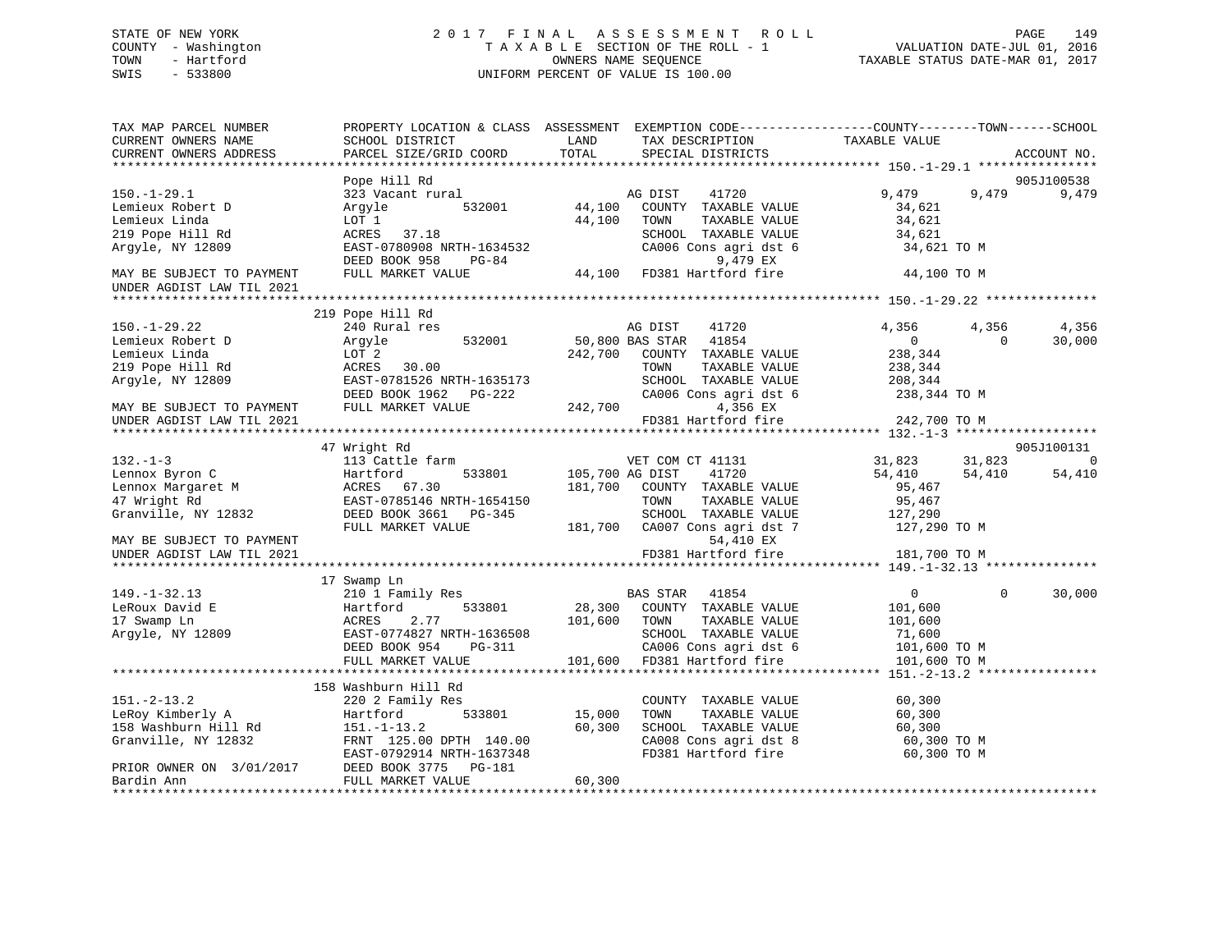# STATE OF NEW YORK 2 0 1 7 F I N A L A S S E S S M E N T R O L L PAGE 149 COUNTY - Washington T A X A B L E SECTION OF THE ROLL - 1 VALUATION DATE-JUL 01, 2016 TOWN - Hartford **TAXABLE STATUS DATE-MAR 01, 2017** SWIS - 533800 UNIFORM PERCENT OF VALUE IS 100.00

| TAX MAP PARCEL NUMBER<br>CURRENT OWNERS NAME<br>CURRENT OWNERS ADDRESS | SCHOOL DISTRICT<br>PARCEL SIZE/GRID COORD                          | PROPERTY LOCATION & CLASS ASSESSMENT EXEMPTION CODE----------------COUNTY-------TOWN-----SCHOOL<br>LAND<br>TAX DESCRIPTION<br>TOTAL<br>SPECIAL DISTRICTS | TAXABLE VALUE<br>ACCOUNT NO.                                    |
|------------------------------------------------------------------------|--------------------------------------------------------------------|----------------------------------------------------------------------------------------------------------------------------------------------------------|-----------------------------------------------------------------|
|                                                                        |                                                                    |                                                                                                                                                          |                                                                 |
|                                                                        | Pope Hill Rd                                                       |                                                                                                                                                          | 905J100538                                                      |
| $150. - 1 - 29.1$<br>Lemieux Robert D<br>Lemieux Linda                 | 323 Vacant rural<br>532001<br>Arqyle<br>LOT 1                      | AG DIST<br>41720<br>44,100<br>COUNTY TAXABLE VALUE<br>44,100<br>TAXABLE VALUE<br>TOWN                                                                    | 9,479<br>9,479<br>9,479<br>34,621<br>34,621                     |
| 219 Pope Hill Rd<br>Argyle, NY 12809                                   | ACRES 37.18<br>EAST-0780908 NRTH-1634532<br>DEED BOOK 958<br>PG-84 | SCHOOL TAXABLE VALUE<br>CA006 Cons agri dst 6<br>9,479 EX                                                                                                | 34,621<br>34,621 TO M                                           |
| MAY BE SUBJECT TO PAYMENT<br>UNDER AGDIST LAW TIL 2021                 | FULL MARKET VALUE                                                  | 9,479 EX<br>44,100 FD381 Hartford fire                                                                                                                   | 44,100 TO M                                                     |
|                                                                        | 219 Pope Hill Rd                                                   |                                                                                                                                                          |                                                                 |
| $150. - 1 - 29.22$<br>Lemieux Robert D                                 | 240 Rural res<br>532001<br>Argyle                                  | AG DIST<br>41720<br>50,800 BAS STAR<br>41854                                                                                                             | 4,356<br>4,356<br>4,356<br>$\overline{0}$<br>30,000<br>$\Omega$ |
| Lemieux Linda<br>219 Pope Hill Rd<br>Argyle, NY 12809                  | LOT 2<br>ACRES<br>30.00<br>EAST-0781526 NRTH-1635173               | 242,700<br>COUNTY TAXABLE VALUE<br>TOWN<br>TAXABLE VALUE<br>SCHOOL TAXABLE VALUE                                                                         | 238,344<br>238,344<br>208,344                                   |
|                                                                        | DEED BOOK 1962    PG-222                                           | CA006 Cons agri dst 6                                                                                                                                    | 238,344 TO M                                                    |
| MAY BE SUBJECT TO PAYMENT<br>UNDER AGDIST LAW TIL 2021                 | FULL MARKET VALUE                                                  | 242,700<br>4,356 EX<br>FD381 Hartford fire                                                                                                               | 242,700 TO M                                                    |
|                                                                        |                                                                    |                                                                                                                                                          |                                                                 |
| $132. - 1 - 3$                                                         | 47 Wright Rd<br>113 Cattle farm                                    | VET COM CT 41131                                                                                                                                         | 905J100131<br>$\overline{0}$<br>31,823<br>31,823                |
| Lennox Byron C                                                         | 533801<br>Hartford                                                 | 105,700 AG DIST<br>41720                                                                                                                                 | 54,410<br>54,410<br>54,410                                      |
| Lennox Margaret M                                                      | ACRES 67.30                                                        | 181,700<br>COUNTY TAXABLE VALUE                                                                                                                          | 95,467                                                          |
| 47 Wright Rd                                                           | EAST-0785146 NRTH-1654150                                          | TOWN<br>TAXABLE VALUE                                                                                                                                    | 95,467                                                          |
| Granville, NY 12832                                                    | DEED BOOK 3661 PG-345<br>FULL MARKET VALUE                         | SCHOOL TAXABLE VALUE<br>CA007 Cons agri dst 7<br>181,700                                                                                                 | 127,290<br>127,290 TO M                                         |
| MAY BE SUBJECT TO PAYMENT                                              |                                                                    | 54,410 EX                                                                                                                                                |                                                                 |
| UNDER AGDIST LAW TIL 2021                                              |                                                                    | FD381 Hartford fire                                                                                                                                      | 181,700 TO M                                                    |
|                                                                        | 17 Swamp Ln                                                        |                                                                                                                                                          |                                                                 |
| $149. - 1 - 32.13$                                                     | 210 1 Family Res                                                   | BAS STAR 41854                                                                                                                                           | 30,000<br>$\overline{0}$<br>$\Omega$                            |
| LeRoux David E                                                         | 533801<br>Hartford                                                 | 28,300 COUNTY TAXABLE VALUE                                                                                                                              | 101,600                                                         |
| 17 Swamp Ln                                                            | ACRES<br>2.77                                                      | 101,600<br>TOWN<br>TAXABLE VALUE                                                                                                                         | 101,600                                                         |
| Argyle, NY 12809                                                       | EAST-0774827 NRTH-1636508                                          | SCHOOL TAXABLE VALUE                                                                                                                                     | 71,600                                                          |
|                                                                        | DEED BOOK 954<br>PG-311                                            | CA006 Cons agri dst 6                                                                                                                                    | 101,600 TO M                                                    |
|                                                                        | FULL MARKET VALUE                                                  | 101,600<br>FD381 Hartford fire                                                                                                                           | 101,600 TO M                                                    |
|                                                                        |                                                                    |                                                                                                                                                          |                                                                 |
|                                                                        | 158 Washburn Hill Rd                                               |                                                                                                                                                          |                                                                 |
| $151. - 2 - 13.2$                                                      | 220 2 Family Res                                                   | COUNTY TAXABLE VALUE                                                                                                                                     | 60,300                                                          |
| LeRoy Kimberly A                                                       | 533801<br>Hartford                                                 | 15,000<br>TOWN<br>TAXABLE VALUE                                                                                                                          | 60,300                                                          |
| 158 Washburn Hill Rd                                                   | $151. - 1 - 13.2$                                                  | 60,300<br>SCHOOL TAXABLE VALUE                                                                                                                           | 60,300                                                          |
| Granville, NY 12832                                                    | FRNT 125.00 DPTH 140.00<br>EAST-0792914 NRTH-1637348               | CA008 Cons agri dst 8<br>FD381 Hartford fire                                                                                                             | 60,300 TO M<br>60,300 TO M                                      |
| PRIOR OWNER ON 3/01/2017<br>Bardin Ann                                 | DEED BOOK 3775<br>PG-181<br>FULL MARKET VALUE                      | 60,300                                                                                                                                                   |                                                                 |
|                                                                        |                                                                    |                                                                                                                                                          |                                                                 |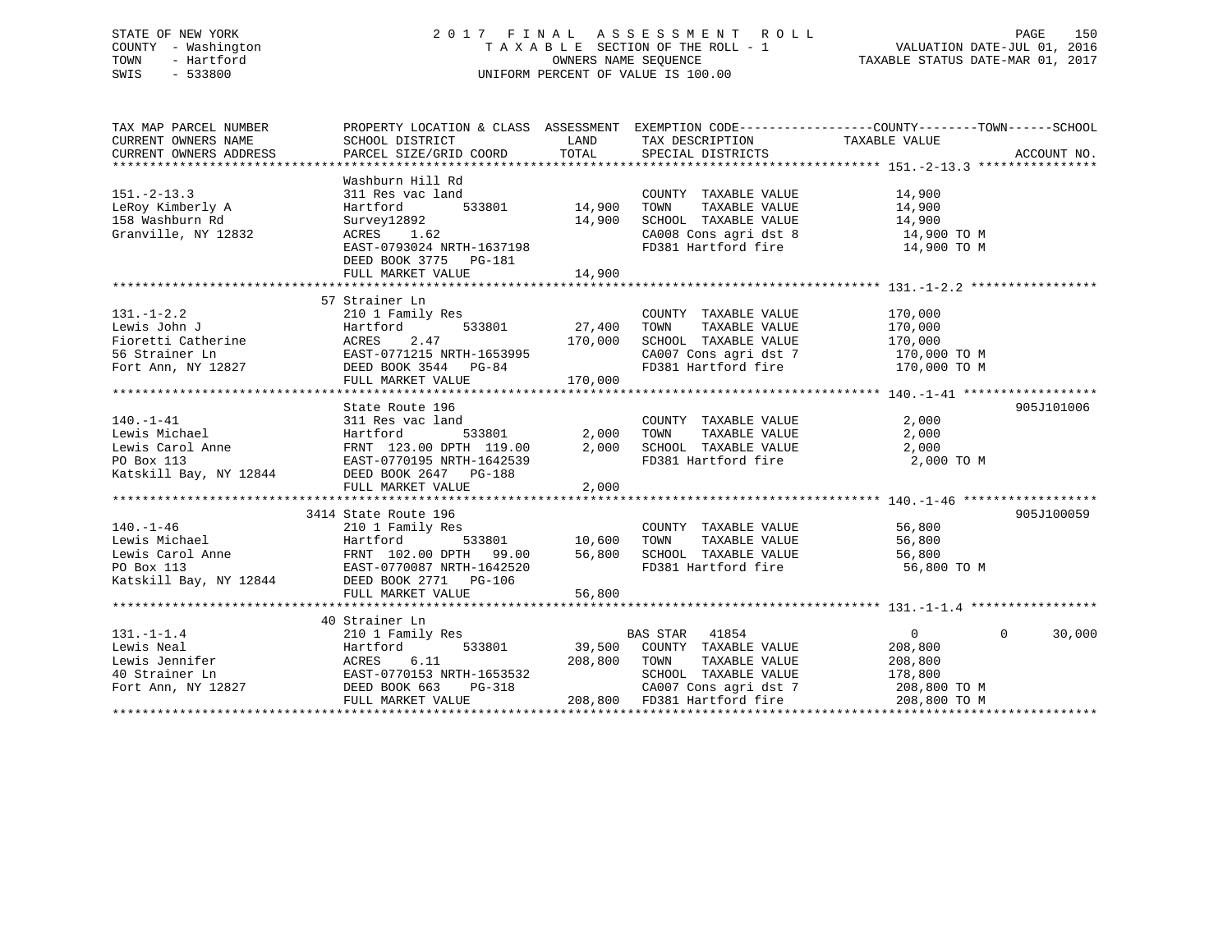# STATE OF NEW YORK 2 0 1 7 F I N A L A S S E S S M E N T R O L L PAGE 150 COUNTY - Washington T A X A B L E SECTION OF THE ROLL - 1 VALUATION DATE-JUL 01, 2016 TOWN - Hartford **TAXABLE STATUS DATE-MAR 01, 2017** SWIS - 533800 UNIFORM PERCENT OF VALUE IS 100.00

| TAX MAP PARCEL NUMBER                                                                                                                                                                                                                                                                                                                                                                                                                        | PROPERTY LOCATION & CLASS ASSESSMENT EXEMPTION CODE----------------COUNTY-------TOWN-----SCHOOL                                                                                               |                  |                                                                                                                                                                 |                |                    |
|----------------------------------------------------------------------------------------------------------------------------------------------------------------------------------------------------------------------------------------------------------------------------------------------------------------------------------------------------------------------------------------------------------------------------------------------|-----------------------------------------------------------------------------------------------------------------------------------------------------------------------------------------------|------------------|-----------------------------------------------------------------------------------------------------------------------------------------------------------------|----------------|--------------------|
| $151 - 2 - 13.3$<br>LeRoy Kimberly A<br>158 Washburn Rd<br>Granville, NY 12832                                                                                                                                                                                                                                                                                                                                                               | Washburn Hill Rd<br>311 Res vac land<br>533801 14,900<br>Hartford<br>Survey12892<br>ACRES       1.62<br>ACRES 1.62<br>EAST-0793024 NRTH-1637198<br>DEED BOOK 3775 PG-181<br>FULL MARKET VALUE | 14,900<br>14,900 | COUNTY TAXABLE VALUE 14,900<br>TOWN TAXABLE VALUE 14,900<br>SCHOOL TAXABLE VALUE 14,900<br>CA008 Cons agri dst 8 14,900 TO M<br>FD381 Hartford fire 14,900 TO M |                |                    |
|                                                                                                                                                                                                                                                                                                                                                                                                                                              |                                                                                                                                                                                               |                  |                                                                                                                                                                 |                |                    |
| $\begin{tabular}{lllllllllllllllllllll} \textbf{131. -1-2.2} & \textbf{57. STa1mer in} & \textbf{210.1 Fami1y Res} & \textbf{COUNTY TAXABLE VALUE} & \textbf{170,000} \\ \textbf{Lewis John J} & \textbf{Rartford} & \textbf{533801} & \textbf{27,400 TOWN TAXABLE VALUE} & \textbf{170,000} \\ \textbf{Fioretti Catherine} & \textbf{ACRES} & \textbf{2.47} & \textbf{170,000} & \textbf{SCHOOL TAXABLE VALUE} & \textbf{170,000} \\ \text$ | 57 Strainer Ln                                                                                                                                                                                |                  |                                                                                                                                                                 |                |                    |
|                                                                                                                                                                                                                                                                                                                                                                                                                                              | State Route 196                                                                                                                                                                               |                  |                                                                                                                                                                 |                | 905J101006         |
| State Route 196<br>140.-1-41 311 Res vac land<br>Lewis Michael Hartford 533801 2,000 TOWN TAXABLE VALUE 2,000<br>Lewis Carol Anne FRNT 123.00 DPTH 119.00 2,000 SCHOOL TAXABLE VALUE 2,000<br>PO Box 113 EAST-0770195 NRTH-1642539<br>Ka                                                                                                                                                                                                     | e 196<br>c land<br>533801 2,000 TOWN<br>2,000 TOWN<br>FULL MARKET VALUE                                                                                                                       | 2,000            |                                                                                                                                                                 | 2,000 TO M     |                    |
|                                                                                                                                                                                                                                                                                                                                                                                                                                              |                                                                                                                                                                                               |                  |                                                                                                                                                                 |                |                    |
| 140.-1-46<br>140.-1-46<br>Lewis Michael 210 1 Family Res<br>Lewis Carol Anne<br>Exst-0770087 NRTH-1642520<br>Exst-0770087 NRTH-1642520<br>Exst-0770087 NRTH-1642520<br>Exst-0770087 NRTH-1642520<br>FD381 Hartford fire<br>FD381 Hartford fire<br>                                                                                                                                                                                           |                                                                                                                                                                                               |                  |                                                                                                                                                                 | 56,800 TO M    | 905J100059         |
|                                                                                                                                                                                                                                                                                                                                                                                                                                              |                                                                                                                                                                                               |                  |                                                                                                                                                                 |                |                    |
|                                                                                                                                                                                                                                                                                                                                                                                                                                              |                                                                                                                                                                                               |                  |                                                                                                                                                                 |                |                    |
|                                                                                                                                                                                                                                                                                                                                                                                                                                              | 40 Strainer Ln                                                                                                                                                                                |                  | CA007 Cons agri dst 7 and 208,800 TO M<br>FD381 Hartford fire 208,800 TO M                                                                                      | $\overline{0}$ | $\Omega$<br>30,000 |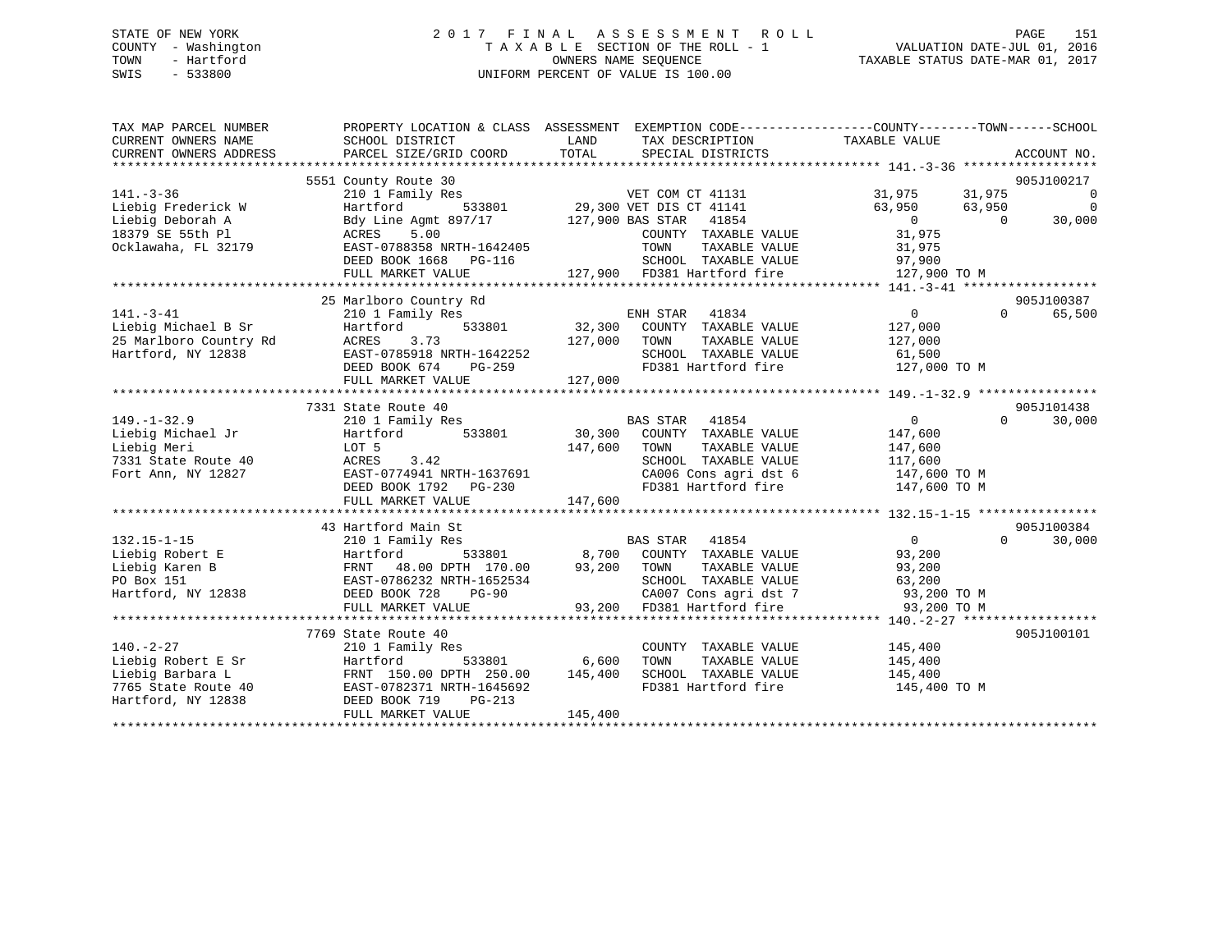# STATE OF NEW YORK 2 0 1 7 F I N A L A S S E S S M E N T R O L L PAGE 151 COUNTY - Washington T A X A B L E SECTION OF THE ROLL - 1 VALUATION DATE-JUL 01, 2016 TOWN - Hartford OWNERS NAME SEQUENCE TAXABLE STATUS DATE-MAR 01, 2017 SWIS - 533800 UNIFORM PERCENT OF VALUE IS 100.00

| TAX MAP PARCEL NUMBER<br>CURRENT OWNERS NAME<br>CURRENT OWNERS ADDRESS | SCHOOL DISTRICT<br>PARCEL SIZE/GRID COORD                                                 | PROPERTY LOCATION & CLASS ASSESSMENT EXEMPTION CODE---------------COUNTY-------TOWN-----SCHOOL<br>LAND<br>TAX DESCRIPTION TAXABLE VALUE<br>TOTAL<br>SPECIAL DISTRICTS                                                                                                                      | ACCOUNT NO.                                                    |
|------------------------------------------------------------------------|-------------------------------------------------------------------------------------------|--------------------------------------------------------------------------------------------------------------------------------------------------------------------------------------------------------------------------------------------------------------------------------------------|----------------------------------------------------------------|
|                                                                        |                                                                                           |                                                                                                                                                                                                                                                                                            |                                                                |
|                                                                        | 5551 County Route 30                                                                      |                                                                                                                                                                                                                                                                                            | 905J100217                                                     |
| $141. - 3 - 36$                                                        | 210 1 Family Res                                                                          | VET COM CT 41131                                                                                                                                                                                                                                                                           | 31,975 31,975<br>$\overline{\phantom{0}}$<br>$\overline{0}$    |
| Liebig Frederick W                                                     |                                                                                           |                                                                                                                                                                                                                                                                                            | 63,950<br>63,950<br>$\overline{0}$<br>30,000<br>$\overline{0}$ |
| Liebig Deborah A<br>18379 SE 55th Pl                                   |                                                                                           | Hartford 533801 29,300 VET DIS CT 41141<br>Bdy Line Agmt 897/17 127,900 BAS STAR 41854<br>ACRES 5.00 COUNTY TAXABLE VALUE                                                                                                                                                                  | 31,975                                                         |
| Ocklawaha, FL 32179                                                    |                                                                                           | COUNTY TAXABLE VALUE                                                                                                                                                                                                                                                                       |                                                                |
|                                                                        | EAST-0788358 NRTH-1642405<br>DEED BOOK 1668 PG-116                                        |                                                                                                                                                                                                                                                                                            |                                                                |
|                                                                        |                                                                                           |                                                                                                                                                                                                                                                                                            |                                                                |
|                                                                        |                                                                                           |                                                                                                                                                                                                                                                                                            |                                                                |
|                                                                        | 25 Marlboro Country Rd                                                                    |                                                                                                                                                                                                                                                                                            | 905J100387                                                     |
| $141. - 3 - 41$                                                        | 210 1 Family Res                                                                          | 41834                                                                                                                                                                                                                                                                                      | $\overline{0}$<br>$\Omega$<br>65,500                           |
| Liebig Michael B Sr                                                    | Alu I Fun<br>Hartford<br>533801                                                           | ENH STAR 41834<br>32,300 COUNTY TAXABLE VALUE                                                                                                                                                                                                                                              | 127,000                                                        |
| 25 Marlboro Country Rd ACRES                                           | 3.73                                                                                      | 127,000 TOWN                                                                                                                                                                                                                                                                               | TAXABLE VALUE 127,000                                          |
| Hartford, NY 12838                                                     | EAST-0785918 NRTH-1642252                                                                 | SCHOOL TAXABLE VALUE                                                                                                                                                                                                                                                                       |                                                                |
|                                                                        | DEED BOOK 674<br>PG-259                                                                   | SCHOOL TAXABLE VALUE<br>FD381 Hartford fire<br>$52 - 2$                                                                                                                                                                                                                                    | 61,500<br>127,000 TO M                                         |
|                                                                        | FULL MARKET VALUE                                                                         | 127,000                                                                                                                                                                                                                                                                                    |                                                                |
|                                                                        |                                                                                           |                                                                                                                                                                                                                                                                                            |                                                                |
|                                                                        | 7331 State Route 40                                                                       |                                                                                                                                                                                                                                                                                            | 905J101438                                                     |
| $149. - 1 - 32.9$                                                      | 210 1 Family Res                                                                          |                                                                                                                                                                                                                                                                                            | $\overline{0}$<br>30,000<br>$\Omega$                           |
| Liebig Michael Jr                                                      | Hartford                                                                                  |                                                                                                                                                                                                                                                                                            | 147,600                                                        |
| Liebig Meri                                                            | LOT 5                                                                                     | 147,600 TOWN<br>TAXABLE VALUE                                                                                                                                                                                                                                                              | 147,600                                                        |
| 7331 State Route 40                                                    |                                                                                           | SCHOOL TAXABLE VALUE                                                                                                                                                                                                                                                                       | 117,600                                                        |
| Fort Ann, NY 12827                                                     | ACRES 3.42<br>EAST-0774941 NRTH-1637691                                                   |                                                                                                                                                                                                                                                                                            |                                                                |
|                                                                        | DEED BOOK 1792 PG-230                                                                     | CA006 Cons agri dst 6 147,600 TO M<br>FD381 Hartford fire 147,600 TO M                                                                                                                                                                                                                     |                                                                |
|                                                                        |                                                                                           |                                                                                                                                                                                                                                                                                            |                                                                |
|                                                                        |                                                                                           |                                                                                                                                                                                                                                                                                            |                                                                |
|                                                                        | 43 Hartford Main St                                                                       |                                                                                                                                                                                                                                                                                            | 905J100384                                                     |
| $132.15 - 1 - 15$                                                      |                                                                                           | BAS STAR 41854                                                                                                                                                                                                                                                                             | $\overline{0}$<br>$\Omega$<br>30,000                           |
| Liebig Robert E                                                        |                                                                                           | $\frac{212}{2111}$ $\frac{211}{2111}$ $\frac{211}{2111}$ $\frac{211}{2111}$ $\frac{211}{2111}$ $\frac{211}{2111}$ $\frac{211}{2111}$ $\frac{211}{2111}$ $\frac{211}{2111}$ $\frac{211}{2111}$ $\frac{211}{2111}$ $\frac{211}{2111}$ $\frac{211}{2111}$ $\frac{211}{2111}$ $\frac{211}{211$ | 93,200                                                         |
| Liebig Karen B                                                         | 210 1 Family Res<br>Hartford 533801<br>FRNT 48.00 DPTH 170.00<br>EAST-0786232 NPTH 170.00 | 93,200 TOWN<br>TAXABLE VALUE                                                                                                                                                                                                                                                               | 93,200                                                         |
| PO Box 151                                                             |                                                                                           | SCHOOL TAXABLE VALUE                                                                                                                                                                                                                                                                       | 63,200                                                         |
| Hartford, NY 12838                                                     | DEED BOOK 728<br>PG-90                                                                    |                                                                                                                                                                                                                                                                                            |                                                                |
|                                                                        | FULL MARKET VALUE                                                                         | 93,200 FD381 Hartford fire                                                                                                                                                                                                                                                                 | 93,200 TO M                                                    |
|                                                                        |                                                                                           |                                                                                                                                                                                                                                                                                            |                                                                |
|                                                                        | 7769 State Route 40                                                                       |                                                                                                                                                                                                                                                                                            | 905J100101                                                     |
| $140. - 2 - 27$                                                        | 210 1 Family Res                                                                          | COUNTY TAXABLE VALUE                                                                                                                                                                                                                                                                       |                                                                |
| Liebig Robert E Sr                                                     | Hartford                                                                                  | 533801 6,600<br>TAXABLE VALUE<br>TOWN                                                                                                                                                                                                                                                      | 145,400<br>145,400                                             |
| Liebig Barbara L                                                       | FRNT 150.00 DPTH 250.00 145,400                                                           | SCHOOL TAXABLE VALUE 145,400                                                                                                                                                                                                                                                               |                                                                |
| 7765 State Route 40                                                    | EAST-0782371 NRTH-1645692                                                                 | FD381 Hartford fire                                                                                                                                                                                                                                                                        | 145,400 TO M                                                   |
| Hartford, NY 12838                                                     | FRNT 150.00 L<br>40 EAST-0782371 N<br>38 DEED BOOK 719<br>$PG-213$                        |                                                                                                                                                                                                                                                                                            |                                                                |
|                                                                        | FULL MARKET VALUE                                                                         | 145,400                                                                                                                                                                                                                                                                                    |                                                                |
|                                                                        |                                                                                           |                                                                                                                                                                                                                                                                                            |                                                                |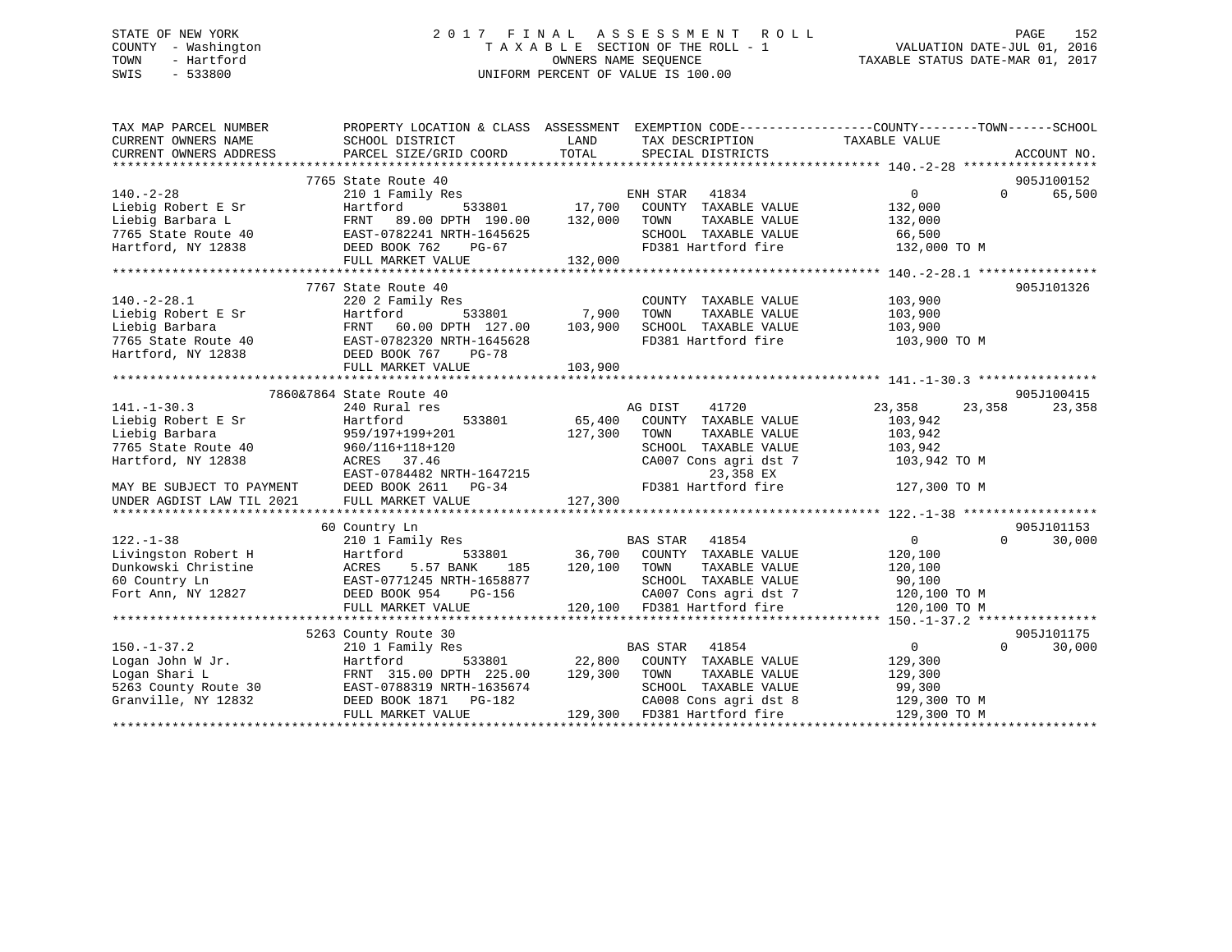# STATE OF NEW YORK 2 0 1 7 F I N A L A S S E S S M E N T R O L L PAGE 152 COUNTY - Washington T A X A B L E SECTION OF THE ROLL - 1 VALUATION DATE-JUL 01, 2016 TOWN - Hartford **TAXABLE STATUS DATE-MAR 01, 2017** SWIS - 533800 UNIFORM PERCENT OF VALUE IS 100.00

| TAX MAP PARCEL NUMBER<br>CURRENT OWNERS NAME<br>CURRENT OWNERS ADDRESS | PROPERTY LOCATION & CLASS ASSESSMENT EXEMPTION CODE-----------------COUNTY-------TOWN------SCHOOL<br>SCHOOL DISTRICT<br>PARCEL SIZE/GRID COORD TOTAL | LAND         | TAX DESCRIPTION TAXABLE VALUE<br>SPECIAL DISTRICTS                         |                  | ACCOUNT NO.                 |
|------------------------------------------------------------------------|------------------------------------------------------------------------------------------------------------------------------------------------------|--------------|----------------------------------------------------------------------------|------------------|-----------------------------|
|                                                                        |                                                                                                                                                      |              |                                                                            |                  |                             |
|                                                                        | 7765 State Route 40                                                                                                                                  |              |                                                                            |                  | 905J100152                  |
| $140. - 2 - 28$                                                        | 210 1 Family Res                                                                                                                                     |              | ENH STAR<br>41834                                                          | $\overline{0}$   | $0 \qquad \qquad$<br>65,500 |
| Liebig Robert E Sr                                                     | Hartford                                                                                                                                             |              | 533801 17,700 COUNTY TAXABLE VALUE<br>TH 190.00 132,000 TOWN TAXABLE VALUE | 132,000          |                             |
| Liebig Barbara L                                                       | Hartford 533801<br>FRNT 89.00 DPTH 190.00<br>EAST-0782241 NRTH-1645625                                                                               |              |                                                                            | 132,000          |                             |
| 7765 State Route 40                                                    |                                                                                                                                                      |              | SCHOOL TAXABLE VALUE                                                       | 66,500           |                             |
| Hartford, NY 12838 DEED BOOK 762                                       | PG-67                                                                                                                                                |              | FD381 Hartford fire                                                        | 132,000 TO M     |                             |
|                                                                        | FULL MARKET VALUE                                                                                                                                    | 132,000      |                                                                            |                  |                             |
|                                                                        |                                                                                                                                                      |              |                                                                            |                  |                             |
|                                                                        | 7767 State Route 40                                                                                                                                  |              |                                                                            |                  | 905J101326                  |
| $140.-2-28.1$                                                          | 220 2 Family Res                                                                                                                                     |              | COUNTY TAXABLE VALUE                                                       | 103,900          |                             |
| Liebig Robert E Sr                                                     |                                                                                                                                                      |              |                                                                            | 103,900          |                             |
| Liebig Barbara                                                         | Hartford 533801 7,900 TOWN TAXABLE VALUE<br>FRNT 60.00 DPTH 127.00 103,900 SCHOOL TAXABLE VALUE                                                      |              |                                                                            | 103,900          |                             |
| 7765 State Route 40                                                    | EAST-0782320 NRTH-1645628                                                                                                                            |              | FD381 Hartford fire 103,900 TO M                                           |                  |                             |
| Hartford, NY 12838                                                     | DEED BOOK 767<br>PG-78                                                                                                                               |              |                                                                            |                  |                             |
|                                                                        | FULL MARKET VALUE                                                                                                                                    | 103,900      |                                                                            |                  |                             |
|                                                                        |                                                                                                                                                      |              |                                                                            |                  |                             |
|                                                                        | 7860&7864 State Route 40                                                                                                                             |              |                                                                            |                  | 905J100415                  |
| $141. - 1 - 30.3$                                                      | 240 Rural res                                                                                                                                        |              | AG DIST<br>41720                                                           | 23,358<br>23,358 | 23,358                      |
| Liebig Robert E Sr                                                     | 533801<br>Hartford                                                                                                                                   | 65,400       | COUNTY TAXABLE VALUE                                                       | 103,942          |                             |
| Liebig Barbara                                                         | 959/197+199+201                                                                                                                                      | 127,300      | TOWN<br>TAXABLE VALUE                                                      | 103,942          |                             |
| 7765 State Route 40                                                    | 960/116+118+120                                                                                                                                      |              | SCHOOL TAXABLE VALUE                                                       | 103,942          |                             |
| Hartford, NY 12838                                                     | ACRES 37.46                                                                                                                                          |              | CA007 Cons agri dst 7                                                      | 103,942 TO M     |                             |
|                                                                        |                                                                                                                                                      |              | 23,358 EX                                                                  |                  |                             |
| MAY BE SUBJECT TO PAYMENT                                              | EAST-0784482 NRTH-1647215<br>DEED BOOK 2611 PG-34                                                                                                    |              | FD381 Hartford fire                                                        | 127,300 TO M     |                             |
| UNDER AGDIST LAW TIL 2021                                              | FULL MARKET VALUE                                                                                                                                    | 127,300      |                                                                            |                  |                             |
|                                                                        |                                                                                                                                                      |              |                                                                            |                  |                             |
|                                                                        | 60 Country Ln                                                                                                                                        |              |                                                                            |                  | 905J101153                  |
| $122. - 1 - 38$                                                        | 210 1 Family Res                                                                                                                                     |              | <b>BAS STAR</b><br>41854                                                   | $\overline{0}$   | $\Omega$<br>30,000          |
| Livingston Robert H                                                    | Hartford                                                                                                                                             |              | 533801 36,700 COUNTY TAXABLE VALUE                                         | 120,100          |                             |
| Dunkowski Christine                                                    | 5.57 BANK<br>ACRES<br>185                                                                                                                            | 120,100 TOWN | TAXABLE VALUE                                                              | 120,100          |                             |
| 60 Country Ln                                                          | EAST-0771245 NRTH-1658877                                                                                                                            |              | SCHOOL TAXABLE VALUE                                                       | 90,100           |                             |
| Fort Ann, NY 12827                                                     | DEED BOOK 954<br>PG-156                                                                                                                              |              | CA007 Cons agri dst 7                                                      | 120,100 TO M     |                             |
|                                                                        | FULL MARKET VALUE                                                                                                                                    |              | 120,100 FD381 Hartford fire                                                | 120,100 TO M     |                             |
|                                                                        |                                                                                                                                                      |              |                                                                            |                  |                             |
|                                                                        | 5263 County Route 30                                                                                                                                 |              |                                                                            |                  | 905J101175                  |
| $150. - 1 - 37.2$                                                      | 210 1 Family Res                                                                                                                                     |              | <b>BAS STAR</b> 41854                                                      | $\overline{0}$   | $\Omega$<br>30,000          |
| Logan John W Jr.                                                       | Hartford                                                                                                                                             |              | 533801 22,800 COUNTY TAXABLE VALUE                                         | 129,300          |                             |
|                                                                        | FRNT 315.00 DPTH 225.00 129,300 TOWN                                                                                                                 |              | TAXABLE VALUE                                                              | 129,300          |                             |
| Logan Shari L<br>5263 County Route 30                                  | EAST-0788319 NRTH-1635674                                                                                                                            |              | SCHOOL TAXABLE VALUE                                                       | 99,300           |                             |
| Granville, NY 12832                                                    | DEED BOOK 1871    PG-182                                                                                                                             |              | CA008 Cons agri dst 8                                                      | 129,300 TO M     |                             |
|                                                                        | FULL MARKET VALUE                                                                                                                                    |              | 129,300 FD381 Hartford fire                                                | 129,300 TO M     |                             |
|                                                                        |                                                                                                                                                      |              |                                                                            |                  |                             |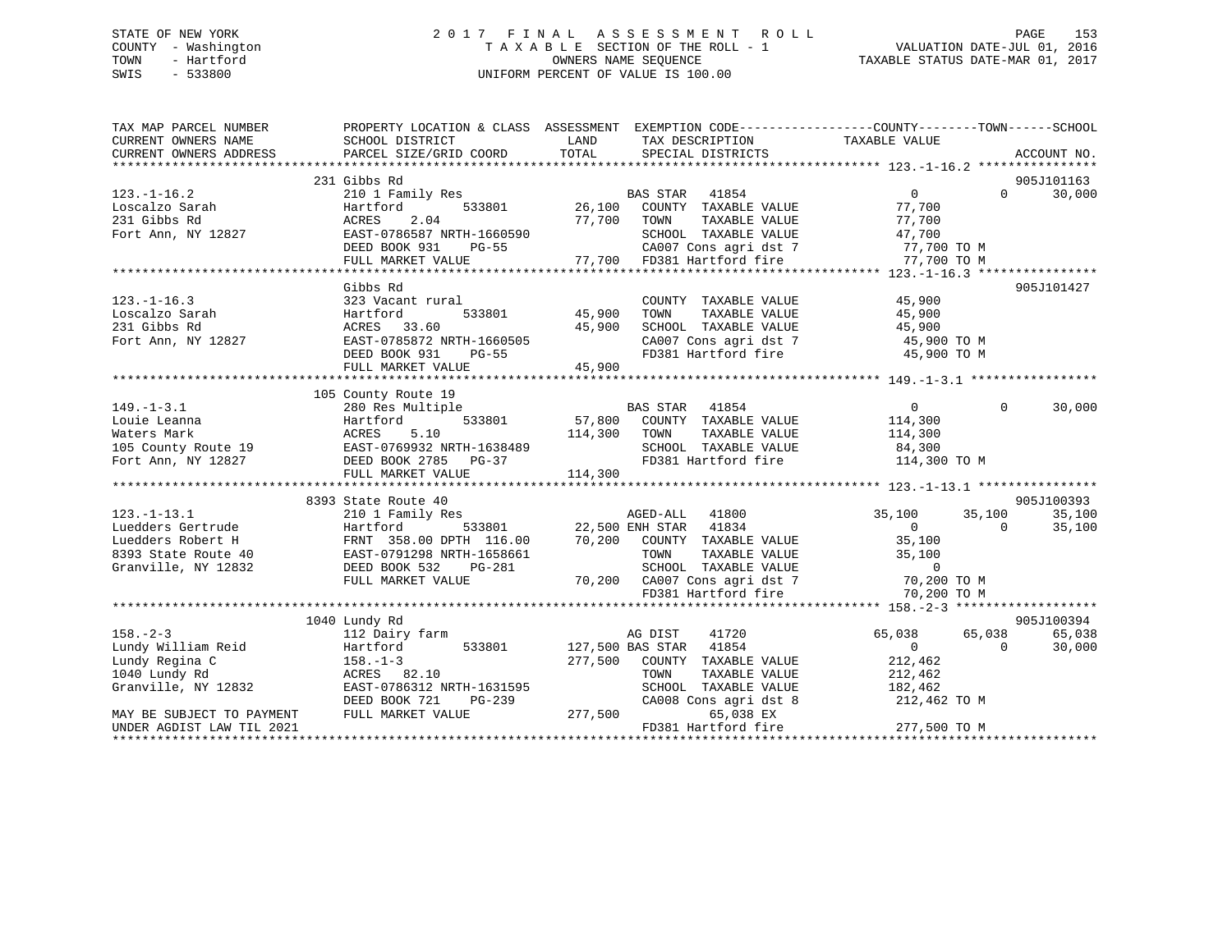# STATE OF NEW YORK 2 0 1 7 F I N A L A S S E S S M E N T R O L L PAGE 153 COUNTY - Washington T A X A B L E SECTION OF THE ROLL - 1 VALUATION DATE-JUL 01, 2016 TOWN - Hartford **TAXABLE STATUS DATE-MAR 01, 2017** SWIS - 533800 UNIFORM PERCENT OF VALUE IS 100.00

| TAX MAP PARCEL NUMBER<br>CURRENT OWNERS NAME<br>CURRENT OWNERS ADDRESS | SCHOOL DISTRICT<br>PARCEL SIZE/GRID COORD                                                           | LAND<br>TOTAL                                                                                                                                                                                                             | PROPERTY LOCATION & CLASS ASSESSMENT EXEMPTION CODE-----------------COUNTY-------TOWN------SCHOOL<br>ACCOUNT NO. |
|------------------------------------------------------------------------|-----------------------------------------------------------------------------------------------------|---------------------------------------------------------------------------------------------------------------------------------------------------------------------------------------------------------------------------|------------------------------------------------------------------------------------------------------------------|
|                                                                        |                                                                                                     |                                                                                                                                                                                                                           |                                                                                                                  |
|                                                                        | 231 Gibbs Rd                                                                                        |                                                                                                                                                                                                                           | 905J101163                                                                                                       |
| $123. - 1 - 16.2$                                                      | 210 1 Family Res                                                                                    | ily Res 633801 BAS STAR 41854<br>533801 26,100 COUNTY TAXABLE VALUE                                                                                                                                                       | $\overline{0}$<br>30,000<br>$\Omega$                                                                             |
| Les<br>Loscalzo Sarah<br>^^1 cibbs Rd                                  | Hartford                                                                                            |                                                                                                                                                                                                                           | 77,700                                                                                                           |
|                                                                        |                                                                                                     |                                                                                                                                                                                                                           |                                                                                                                  |
| Fort Ann, NY 12827                                                     |                                                                                                     |                                                                                                                                                                                                                           |                                                                                                                  |
|                                                                        |                                                                                                     |                                                                                                                                                                                                                           |                                                                                                                  |
|                                                                        |                                                                                                     | ACRES 2.04 77,700 TOWN TAXABLE VALUE 77,700<br>EAST-0786587 NRTH-1660590 SCHOOL TAXABLE VALUE 47,700<br>DEED BOOK 931 PG-55 CA007 Cons agri dst 7 77,700 TO M<br>FULL MARKET VALUE 77,700 FD381 Hartford fire 77,700 TO M |                                                                                                                  |
|                                                                        |                                                                                                     |                                                                                                                                                                                                                           |                                                                                                                  |
|                                                                        | Gibbs Rd                                                                                            |                                                                                                                                                                                                                           | 905J101427                                                                                                       |
| $123. - 1 - 16.3$                                                      | 323 Vacant rural                                                                                    | COUNTY TAXABLE VALUE                                                                                                                                                                                                      | 45,900                                                                                                           |
|                                                                        |                                                                                                     | 1<br>533801                    45,900<br>TOWN<br>TAXABLE VALUE                                                                                                                                                            | 45,900                                                                                                           |
|                                                                        | ACRES 33.60                                                                                         | 45,900                                                                                                                                                                                                                    |                                                                                                                  |
|                                                                        | EAST-0785872 NRTH-1660505                                                                           | SCHOOL TAXABLE VALUE 45,900<br>CA007 Cons agri dst 7 (45,900 TO M)                                                                                                                                                        |                                                                                                                  |
|                                                                        | DEED BOOK 931<br>PG-55                                                                              | FD381 Hartford fire 45,900 TO M                                                                                                                                                                                           |                                                                                                                  |
|                                                                        | FULL MARKET VALUE                                                                                   | 45,900                                                                                                                                                                                                                    |                                                                                                                  |
|                                                                        |                                                                                                     |                                                                                                                                                                                                                           |                                                                                                                  |
|                                                                        | 105 County Route 19                                                                                 |                                                                                                                                                                                                                           |                                                                                                                  |
| $149. - 1 - 3.1$                                                       |                                                                                                     |                                                                                                                                                                                                                           | $\Omega$<br>30,000                                                                                               |
|                                                                        |                                                                                                     |                                                                                                                                                                                                                           |                                                                                                                  |
|                                                                        |                                                                                                     |                                                                                                                                                                                                                           |                                                                                                                  |
|                                                                        |                                                                                                     |                                                                                                                                                                                                                           |                                                                                                                  |
|                                                                        |                                                                                                     |                                                                                                                                                                                                                           |                                                                                                                  |
|                                                                        |                                                                                                     |                                                                                                                                                                                                                           |                                                                                                                  |
|                                                                        |                                                                                                     |                                                                                                                                                                                                                           |                                                                                                                  |
|                                                                        | 8393 State Route 40                                                                                 |                                                                                                                                                                                                                           | 905J100393                                                                                                       |
|                                                                        |                                                                                                     |                                                                                                                                                                                                                           | 35,100<br>35,100<br>35,100                                                                                       |
|                                                                        |                                                                                                     |                                                                                                                                                                                                                           | 35,100<br>$\overline{0}$                                                                                         |
|                                                                        |                                                                                                     |                                                                                                                                                                                                                           | $\begin{array}{c} 0 \\ 35,100 \end{array}$                                                                       |
|                                                                        |                                                                                                     |                                                                                                                                                                                                                           | TAXABLE VALUE 35,100                                                                                             |
| Granville, NY 12832                                                    | DEED BOOK 532                                                                                       |                                                                                                                                                                                                                           |                                                                                                                  |
|                                                                        |                                                                                                     | DEED BOOK 532 PG-281 SCHOOL TAXABLE VALUE<br>FULL MARKET VALUE 70,200 CA007 Cons agri dst 7 70,200 TO M                                                                                                                   |                                                                                                                  |
|                                                                        |                                                                                                     | FD381 Hartford fire                                                                                                                                                                                                       |                                                                                                                  |
|                                                                        |                                                                                                     |                                                                                                                                                                                                                           | 70,200 TO M                                                                                                      |
|                                                                        |                                                                                                     |                                                                                                                                                                                                                           | 905J100394                                                                                                       |
| $158. - 2 - 3$                                                         | 1040 Lundy Rd<br>112 Dairy farm                                                                     |                                                                                                                                                                                                                           | 65,038<br>65,038                                                                                                 |
|                                                                        |                                                                                                     | AG DIST<br>41720                                                                                                                                                                                                          | 65,038                                                                                                           |
|                                                                        | 190.-2-3<br>Lundy William Reid<br>Lundy Regina C<br>1940 Lundy Rd<br>1940 Lundy Rd<br>1940 Lundy Rd | 127,500 BAS STAR 41854                                                                                                                                                                                                    | $\overline{0}$<br>$\overline{0}$<br>30,000<br>212,462                                                            |
|                                                                        |                                                                                                     | 277,500 COUNTY TAXABLE VALUE                                                                                                                                                                                              |                                                                                                                  |
| 1040 Lundy Rd                                                          | ACRES 82.10                                                                                         | TOWN<br>TAXABLE VALUE                                                                                                                                                                                                     | 212,462                                                                                                          |
| Granville, NY 12832                                                    | EAST-0786312 NRTH-1631595                                                                           | SCHOOL TAXABLE VALUE                                                                                                                                                                                                      | 182,462                                                                                                          |
|                                                                        | DEED BOOK 721<br>PG-239                                                                             | $G-239$ CA008                                                                                                                                                                                                             | CA008 Cons agri dst 8 212,462 TO M                                                                               |
| MAY BE SUBJECT TO PAYMENT                                              | FULL MARKET VALUE                                                                                   | 65,038 EX                                                                                                                                                                                                                 |                                                                                                                  |
| UNDER AGDIST LAW TIL 2021                                              |                                                                                                     | FD381 Hartford fire                                                                                                                                                                                                       | 277,500 TO M                                                                                                     |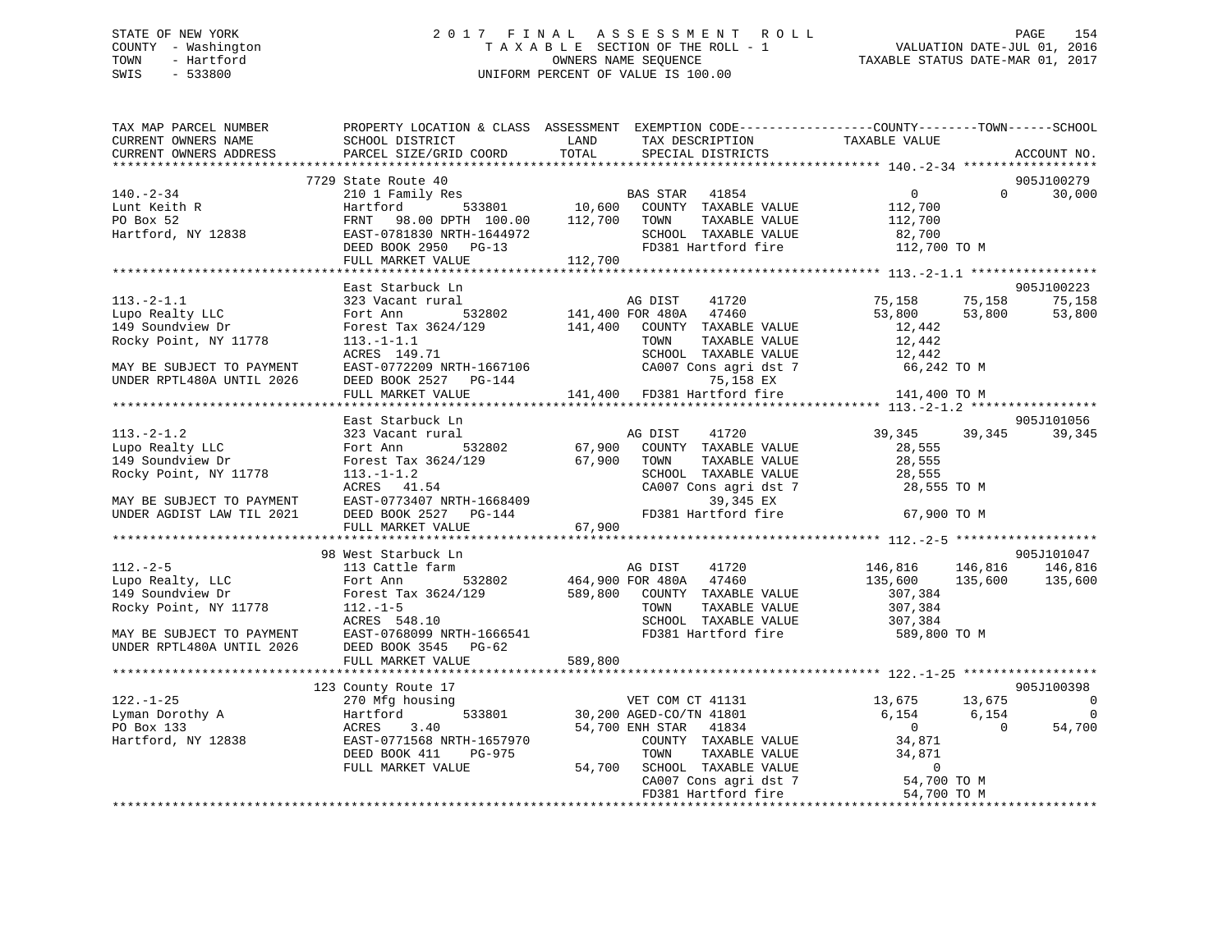#### STATE OF NEW YORK 2 0 1 7 F I N A L A S S E S S M E N T R O L L PAGE 154COUNTY - Washington  $T A X A B L E$  SECTION OF THE ROLL - 1<br>TOWN - Hartford OWNERS NAME SEQUENCE TAXABLE STATUS DATE-MAR 01, 2017 SWIS - 533800 UNIFORM PERCENT OF VALUE IS 100.00

| TAX MAP PARCEL NUMBER                                        | PROPERTY LOCATION & CLASS ASSESSMENT EXEMPTION CODE-----------------COUNTY-------TOWN------SCHOOL                                                                                                                                                                                                                                                                                                 |             |                                                                                                              |                                                     |                |                             |
|--------------------------------------------------------------|---------------------------------------------------------------------------------------------------------------------------------------------------------------------------------------------------------------------------------------------------------------------------------------------------------------------------------------------------------------------------------------------------|-------------|--------------------------------------------------------------------------------------------------------------|-----------------------------------------------------|----------------|-----------------------------|
| CURRENT OWNERS NAME                                          | SCHOOL DISTRICT                                                                                                                                                                                                                                                                                                                                                                                   | LAND        |                                                                                                              |                                                     |                |                             |
|                                                              | CURRENT OWNERS ADDRESS PARCEL SIZE/GRID COORD TOTAL                                                                                                                                                                                                                                                                                                                                               |             |                                                                                                              |                                                     |                | ACCOUNT NO.                 |
|                                                              |                                                                                                                                                                                                                                                                                                                                                                                                   |             |                                                                                                              |                                                     |                |                             |
|                                                              | 7729 State Route 40                                                                                                                                                                                                                                                                                                                                                                               |             |                                                                                                              |                                                     |                | 905J100279                  |
| $140. - 2 - 34$                                              |                                                                                                                                                                                                                                                                                                                                                                                                   |             |                                                                                                              |                                                     |                | $0 \qquad \qquad$<br>30,000 |
|                                                              |                                                                                                                                                                                                                                                                                                                                                                                                   |             |                                                                                                              |                                                     |                |                             |
|                                                              | 2000 - 2000 - 2000 - 2000 - 2000 - 2000 - 2000 - 2000 - 2000 - 2000 - 2000 - 2000 - 2000 - 2000 - 2000 - 2000<br>2000 - 2000 - 2000 - 2000 - 2000 - 2000 - 2000 - 2000 - 2000 - 2000 - 2000 - 2000 - 2000 - 2000 - 2000 - 2000<br>20                                                                                                                                                              |             |                                                                                                              |                                                     |                |                             |
|                                                              |                                                                                                                                                                                                                                                                                                                                                                                                   |             |                                                                                                              |                                                     |                |                             |
| 140.-2-34<br>Lunt Keith R<br>PO Box 52<br>Hartford, NY 12838 |                                                                                                                                                                                                                                                                                                                                                                                                   |             | SCHOOL TAXABLE VALUE 82,700<br>FD381 Hartford fire 112,700 TO M                                              |                                                     |                |                             |
|                                                              | EAST-0781830 NRTH-1644972<br>DEED BOOK 2950 PG-13<br>FULL MARKET VALUE 112,700                                                                                                                                                                                                                                                                                                                    |             |                                                                                                              |                                                     |                |                             |
|                                                              |                                                                                                                                                                                                                                                                                                                                                                                                   |             |                                                                                                              |                                                     |                |                             |
|                                                              | East Starbuck Ln                                                                                                                                                                                                                                                                                                                                                                                  |             |                                                                                                              |                                                     |                | 905J100223                  |
|                                                              | $\begin{array}{lllllllllllllll} 113.-2-1.1 & 323\text{ Vacant rural} & \text{AG DIST} & 41720 \\ \text{Lupo Really LLC} & \text{Fort Ann} & 532802 & 141,400\text{ FOR }480\text{A} & 47460 \\ 149\text{ Soundview Dr} & \text{Forest Tax }3624/129 & 141,400\text{ COUNTY} & \text{TAXABLE VALUE} \\ \text{Rocky Point, NY }11778 & 113.-1-1.1 & \text{TOWN} & \text{TAXABLE VALUE} \end{array}$ |             |                                                                                                              |                                                     |                | 75,158                      |
|                                                              |                                                                                                                                                                                                                                                                                                                                                                                                   |             |                                                                                                              | 75,158            75,158<br>53,800           53,800 |                | 53,800                      |
|                                                              |                                                                                                                                                                                                                                                                                                                                                                                                   |             |                                                                                                              |                                                     |                |                             |
|                                                              |                                                                                                                                                                                                                                                                                                                                                                                                   |             |                                                                                                              | 12,442<br>12,442                                    |                |                             |
|                                                              |                                                                                                                                                                                                                                                                                                                                                                                                   |             |                                                                                                              |                                                     |                |                             |
|                                                              |                                                                                                                                                                                                                                                                                                                                                                                                   |             |                                                                                                              |                                                     |                |                             |
| UNDER RPTL480A UNTIL 2026                                    | DEED BOOK 2527 PG-144                                                                                                                                                                                                                                                                                                                                                                             |             |                                                                                                              |                                                     |                |                             |
|                                                              | FULL MARKET VALUE                                                                                                                                                                                                                                                                                                                                                                                 |             | SCHOOL TAXABLE VALUE 12,442<br>CA007 Cons agri dst 7 66,242 TO M<br>141,400 FD381 Hartford fire 141,400 TO M |                                                     |                |                             |
|                                                              |                                                                                                                                                                                                                                                                                                                                                                                                   |             |                                                                                                              |                                                     |                |                             |
|                                                              | East Starbuck Ln                                                                                                                                                                                                                                                                                                                                                                                  |             |                                                                                                              |                                                     |                | 905J101056                  |
| $113.-2-1.2$                                                 | 323 Vacant rural                                                                                                                                                                                                                                                                                                                                                                                  |             | 41720                                                                                                        | 39, 345 39, 345                                     |                | 39,345                      |
|                                                              |                                                                                                                                                                                                                                                                                                                                                                                                   |             |                                                                                                              | 28,555                                              |                |                             |
| Lupo Realty LLC<br>149 Soundview Dr<br>149 Soundview Dr      | --<br>Fort Ann 532802<br>Forest Tax 3624/129                                                                                                                                                                                                                                                                                                                                                      | 67,900 TOWN | TAXABLE VALUE                                                                                                | 28,555                                              |                |                             |
| Rocky Point, NY 11778 113.-1-1.2                             |                                                                                                                                                                                                                                                                                                                                                                                                   |             |                                                                                                              |                                                     |                |                             |
|                                                              | 28,555<br>113.-1-1.2<br>ACRES 41.54<br>EAST-0773407 NRTH-1668409<br>DEED BOOK 2527 PG-144<br>CAO07 Cons agri dst 7<br>28,555 TO M<br>28,555 TO M<br>39,345 EX<br>FD381 Hartford fire 67,900 TO M                                                                                                                                                                                                  |             | SCHOOL TAXABLE VALUE 28,555<br>CA007 Cons agri dst 7 28,555 TO M                                             |                                                     |                |                             |
|                                                              |                                                                                                                                                                                                                                                                                                                                                                                                   |             |                                                                                                              |                                                     |                |                             |
| MAY BE SUBJECT TO PAYMENT<br>UNDER AGDIST LAW TIL 2021       |                                                                                                                                                                                                                                                                                                                                                                                                   |             |                                                                                                              |                                                     |                |                             |
|                                                              | FULL MARKET VALUE                                                                                                                                                                                                                                                                                                                                                                                 | 67,900      |                                                                                                              |                                                     |                |                             |
|                                                              |                                                                                                                                                                                                                                                                                                                                                                                                   |             |                                                                                                              |                                                     |                |                             |
|                                                              | 98 West Starbuck Ln                                                                                                                                                                                                                                                                                                                                                                               |             |                                                                                                              |                                                     |                | 905J101047                  |
|                                                              | 98 West Starbuck Line<br>112.-2-5 113 Cattle farm and May 19 MB 113 Cattle farm and May 12120<br>149 Soundview Dr. 2000 POR 2000 MB 149 Soundview Dr. 2000 POR 180A 17460<br>149 Soundview Dr. 2000 POR 189,800 COUNTY TAXABLE VALUE                                                                                                                                                              |             |                                                                                                              |                                                     |                |                             |
|                                                              |                                                                                                                                                                                                                                                                                                                                                                                                   |             |                                                                                                              |                                                     |                |                             |
|                                                              |                                                                                                                                                                                                                                                                                                                                                                                                   |             |                                                                                                              | 307,384                                             |                |                             |
| Rocky Point, NY 11778                                        | $112.-1-5$                                                                                                                                                                                                                                                                                                                                                                                        |             | TAXABLE VALUE<br>TOWN                                                                                        | 307,384                                             |                |                             |
|                                                              |                                                                                                                                                                                                                                                                                                                                                                                                   |             | SCHOOL TAXABLE VALUE 307,384                                                                                 |                                                     |                |                             |
|                                                              | $R$ ישית $R$ ייני $R$                                                                                                                                                                                                                                                                                                                                                                             |             | FD381 Hartford fire                                                                                          |                                                     |                |                             |
|                                                              |                                                                                                                                                                                                                                                                                                                                                                                                   |             |                                                                                                              | 589,800 TO M                                        |                |                             |
|                                                              | ACRES 548.10<br>MAY BE SUBJECT TO PAYMENT<br>UNDER RPTL480A UNTIL 2026 DEED BOOK 3545 PG-62<br>FULL MARKET VALUE                                                                                                                                                                                                                                                                                  | 589,800     |                                                                                                              |                                                     |                |                             |
|                                                              |                                                                                                                                                                                                                                                                                                                                                                                                   |             |                                                                                                              |                                                     |                |                             |
|                                                              |                                                                                                                                                                                                                                                                                                                                                                                                   |             |                                                                                                              |                                                     |                | 905J100398                  |
| $122. - 1 - 25$                                              | 123 County Route 17                                                                                                                                                                                                                                                                                                                                                                               |             |                                                                                                              |                                                     |                | $\overline{\phantom{0}}$    |
|                                                              | 270 Mfg housing                                                                                                                                                                                                                                                                                                                                                                                   |             |                                                                                                              | 13,675 13,675<br>6,154 6,154                        |                |                             |
|                                                              |                                                                                                                                                                                                                                                                                                                                                                                                   |             | VET COM CT 41131<br>533801 30,200 AGED-CO/TN 41801<br>54,700 ENH STAR 41834                                  | $\overline{0}$                                      | $\overline{0}$ | 0                           |
|                                                              |                                                                                                                                                                                                                                                                                                                                                                                                   |             | COUNTY TAXABLE VALUE 34,871                                                                                  |                                                     |                | 54,700                      |
|                                                              |                                                                                                                                                                                                                                                                                                                                                                                                   |             |                                                                                                              |                                                     |                |                             |
|                                                              | DEED BOOK 411<br>PG-975<br>$-975$                                                                                                                                                                                                                                                                                                                                                                 |             | TOWN TAXABLE VALUE 34,871<br>54,700 SCHOOL TAXABLE VALUE 0<br>CA007 Cons agri dst 7 54,700 TO M              |                                                     |                |                             |
|                                                              | FULL MARKET VALUE                                                                                                                                                                                                                                                                                                                                                                                 |             |                                                                                                              |                                                     |                |                             |
|                                                              |                                                                                                                                                                                                                                                                                                                                                                                                   |             | FD381 Hartford fire 54,700 TO M                                                                              |                                                     |                |                             |
|                                                              |                                                                                                                                                                                                                                                                                                                                                                                                   |             |                                                                                                              |                                                     |                |                             |
|                                                              |                                                                                                                                                                                                                                                                                                                                                                                                   |             |                                                                                                              |                                                     |                |                             |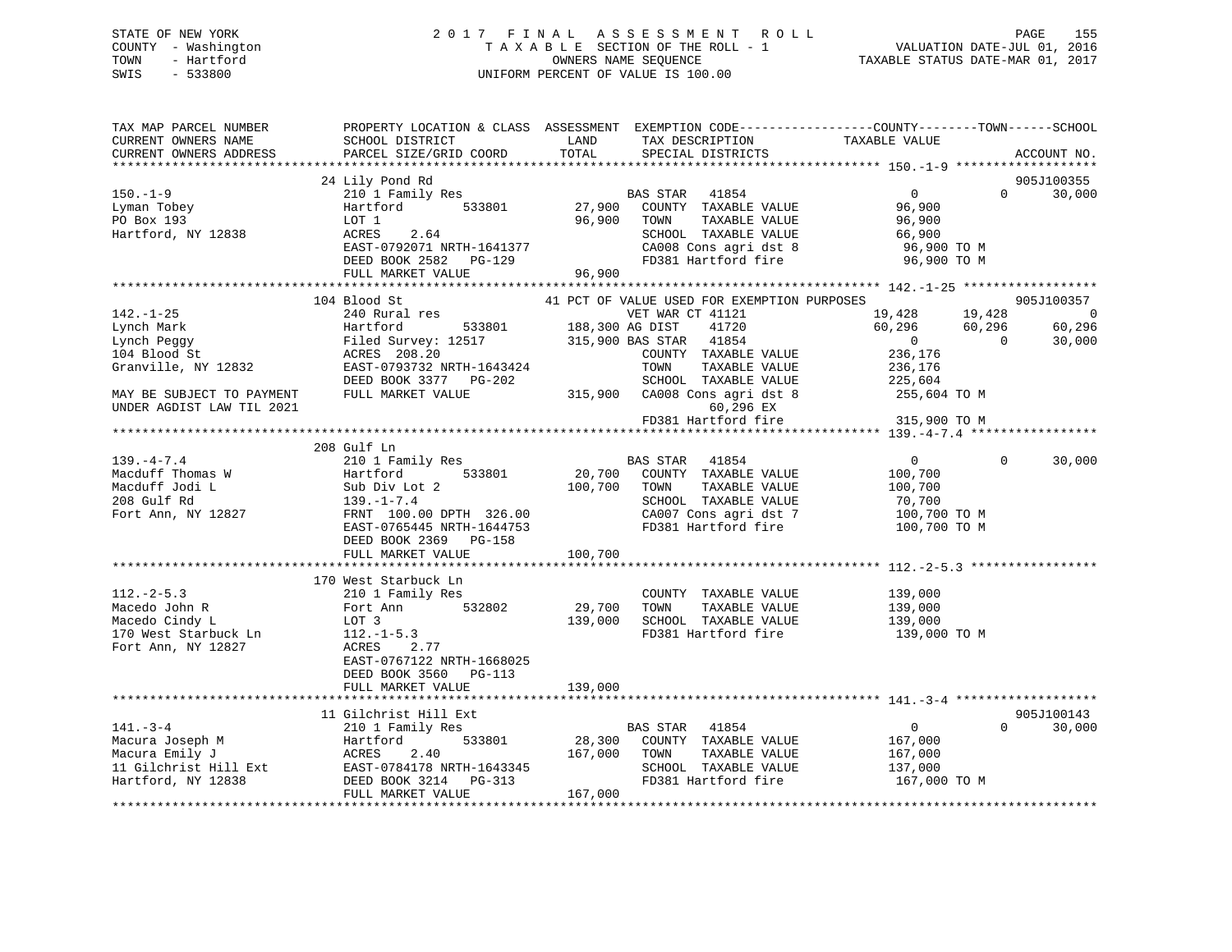# STATE OF NEW YORK 2 0 1 7 F I N A L A S S E S S M E N T R O L L PAGE 155 COUNTY - Washington T A X A B L E SECTION OF THE ROLL - 1 VALUATION DATE-JUL 01, 2016 TOWN - Hartford OWNERS NAME SEQUENCE TAXABLE STATUS DATE-MAR 01, 2017 SWIS - 533800 UNIFORM PERCENT OF VALUE IS 100.00

| TAX MAP PARCEL NUMBER<br>CURRENT OWNERS NAME<br>CURRENT OWNERS ADDRESS                                                                                                                                                                      | PROPERTY LOCATION & CLASS ASSESSMENT EXEMPTION CODE----------------COUNTY-------TOWN-----SCHOOL<br>SCHOOL DISTRICT<br>PARCEL SIZE/GRID COORD                                                                                                                                                                                                   | LAND<br>TOTAL                | TAX DESCRIPTION<br>SPECIAL DISTRICTS                                                                                                                                                                                                                                                                                                                      | TAXABLE VALUE                                                                                                                                            |                                                | ACCOUNT NO.                                                |
|---------------------------------------------------------------------------------------------------------------------------------------------------------------------------------------------------------------------------------------------|------------------------------------------------------------------------------------------------------------------------------------------------------------------------------------------------------------------------------------------------------------------------------------------------------------------------------------------------|------------------------------|-----------------------------------------------------------------------------------------------------------------------------------------------------------------------------------------------------------------------------------------------------------------------------------------------------------------------------------------------------------|----------------------------------------------------------------------------------------------------------------------------------------------------------|------------------------------------------------|------------------------------------------------------------|
|                                                                                                                                                                                                                                             |                                                                                                                                                                                                                                                                                                                                                |                              |                                                                                                                                                                                                                                                                                                                                                           |                                                                                                                                                          |                                                |                                                            |
| $150. - 1 - 9$<br>Lyman Tobey<br>PO Box 193<br>Hartford, NY 12838                                                                                                                                                                           | 24 Lily Pond Rd<br>210 1 Family Res<br>Hartford 533801<br>LOT 1<br>2.64<br>ACRES<br>EAST-0792071 NRTH-1641377<br>DEED BOOK 2582 PG-129                                                                                                                                                                                                         | 96,900                       | BAS STAR 41854<br>27,900 COUNTY TAXABLE VALUE<br>TOWN<br>TAXABLE VALUE<br>SCHOOL TAXABLE VALUE<br>CA008 Cons agri dst 8<br>FD381 Hartford fire                                                                                                                                                                                                            | $0 \qquad \qquad$<br>96,900<br>96,900<br>66,900<br>96,900 TO M<br>96,900 TO M                                                                            | $\Omega$                                       | 905J100355<br>30,000                                       |
|                                                                                                                                                                                                                                             | FULL MARKET VALUE                                                                                                                                                                                                                                                                                                                              | 96,900                       |                                                                                                                                                                                                                                                                                                                                                           |                                                                                                                                                          |                                                |                                                            |
| $142. - 1 - 25$<br>Lynch Mark<br>Lynch Peggy<br>104 Blood St<br>Granville, NY 12832<br>MAY BE SUBJECT TO PAYMENT<br>UNDER AGDIST LAW TIL 2021<br>$139. -4 - 7.4$<br>Macduff Thomas W<br>Macduff Jodi L<br>208 Gulf Rd<br>Fort Ann, NY 12827 | 104 Blood St<br>240 Rural res<br>533801 188,300 AG DIST<br>Hartford<br>Filed Survey: 12517 315,900 BAS STAR 41854<br>ACRES 208.20<br>EAST-0793732 NRTH-1643424<br>DEED BOOK 3377 PG-202<br>FULL MARKET VALUE<br>208 Gulf Ln<br>210 1 Family Res<br>Hartford<br>533801<br>Sub Div Lot<br>139.-1-7.4<br>Sub Div Lot 2<br>FRNT 100.00 DPTH 326.00 |                              | 41 PCT OF VALUE USED FOR EXEMPTION PURPOSES<br>VET WAR CT 41121<br>41720<br>COUNTY TAXABLE VALUE<br>TOWN<br>TAXABLE VALUE<br>SCHOOL TAXABLE VALUE<br>315,900 CA008 Cons agri dst 8<br>60,296 EX<br>FD381 Hartford fire<br>BAS STAR 41854<br>20,700 COUNTY TAXABLE VALUE<br>100,700 TOWN<br>TAXABLE VALUE<br>SCHOOL TAXABLE VALUE<br>CA007 Cons agri dst 7 | 19,428<br>60,296<br>$\overline{0}$<br>236,176<br>236,176<br>225,604<br>255,604 TO M<br>315,900 TO M<br>0<br>100,700<br>100,700<br>70,700<br>100,700 TO M | 19,428<br>60,296<br>$\overline{0}$<br>$\Omega$ | 905J100357<br>$\overline{0}$<br>60,296<br>30,000<br>30,000 |
|                                                                                                                                                                                                                                             | EAST-0765445 NRTH-1644753<br>DEED BOOK 2369 PG-158<br>FULL MARKET VALUE                                                                                                                                                                                                                                                                        | 100,700                      | FD381 Hartford fire                                                                                                                                                                                                                                                                                                                                       | 100,700 TO M                                                                                                                                             |                                                |                                                            |
| $112.-2-5.3$                                                                                                                                                                                                                                | 170 West Starbuck Ln<br>210 1 Family Res                                                                                                                                                                                                                                                                                                       |                              | COUNTY TAXABLE VALUE                                                                                                                                                                                                                                                                                                                                      | 139,000                                                                                                                                                  |                                                |                                                            |
| Macedo John R<br>Macedo Cindy L<br>170 West Starbuck Ln<br>Fort Ann, NY 12827                                                                                                                                                               | Fort Ann 532802<br>LOT 3<br>$112. - 1 - 5.3$<br>2.77<br>ACRES<br>EAST-0767122 NRTH-1668025<br>DEED BOOK 3560 PG-113                                                                                                                                                                                                                            | 29,700<br>139,000            | TAXABLE VALUE<br>TOWN<br>SCHOOL TAXABLE VALUE<br>FD381 Hartford fire                                                                                                                                                                                                                                                                                      | 139,000<br>139,000<br>139,000 TO M                                                                                                                       |                                                |                                                            |
|                                                                                                                                                                                                                                             | FULL MARKET VALUE                                                                                                                                                                                                                                                                                                                              | 139,000                      |                                                                                                                                                                                                                                                                                                                                                           |                                                                                                                                                          |                                                |                                                            |
|                                                                                                                                                                                                                                             | 11 Gilchrist Hill Ext                                                                                                                                                                                                                                                                                                                          |                              |                                                                                                                                                                                                                                                                                                                                                           |                                                                                                                                                          |                                                | 905J100143                                                 |
| $141. - 3 - 4$<br>Macura Joseph M<br>Macura Emily J<br>Macura Emily J<br>11 Gilchrist Hill Ext<br>Hartford, NY 12838<br>DEED BOOK 3214 PG-313                                                                                               | 210 1 Family Res<br>FULL MARKET VALUE                                                                                                                                                                                                                                                                                                          | 28,300<br>167,000<br>167,000 | BAS STAR 41854<br>COUNTY TAXABLE VALUE<br>TOWN<br>TAXABLE VALUE<br>SCHOOL TAXABLE VALUE<br>FD381 Hartford fire                                                                                                                                                                                                                                            | $\overline{0}$<br>167,000<br>167,000<br>137,000<br>167,000 TO M                                                                                          | $\Omega$                                       | 30,000                                                     |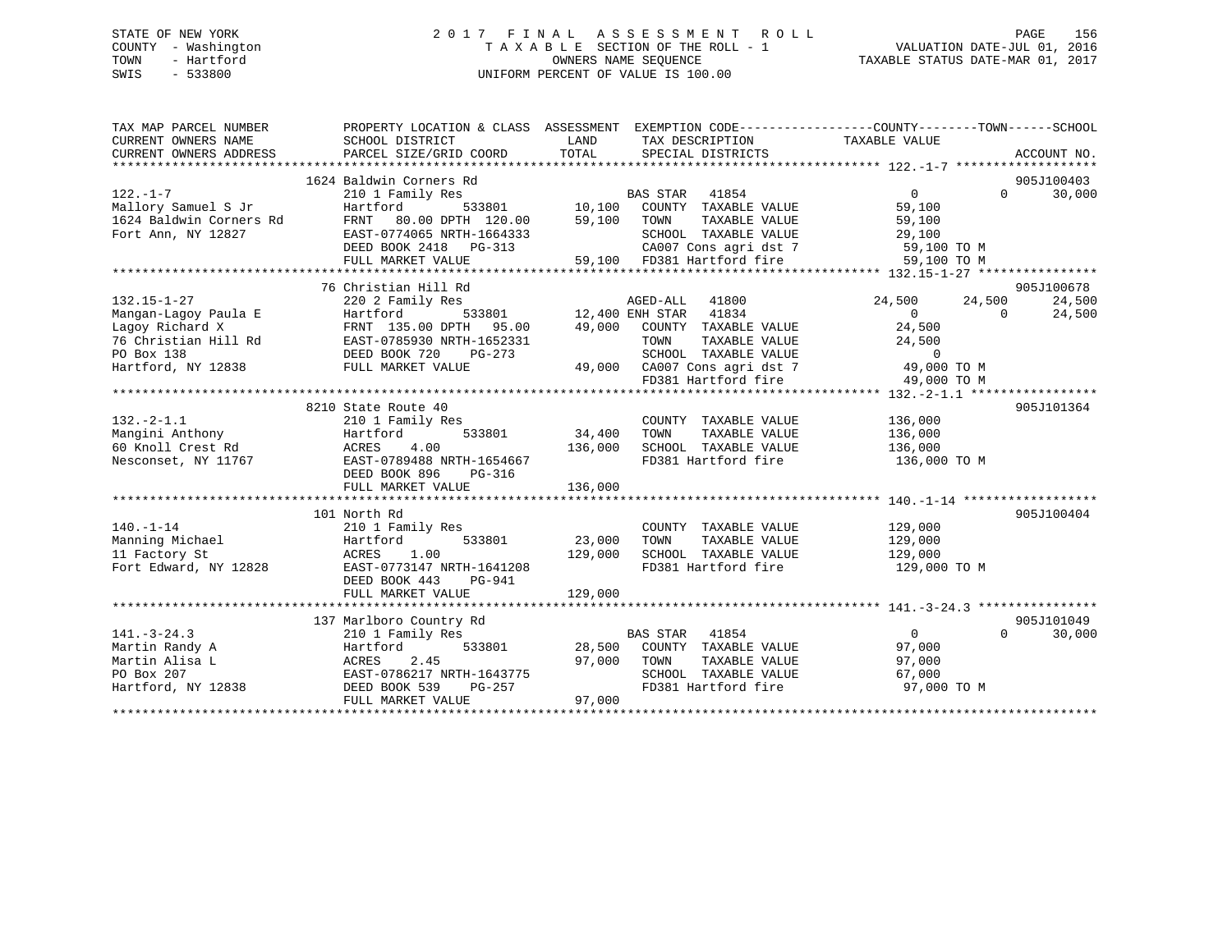# STATE OF NEW YORK 2 0 1 7 F I N A L A S S E S S M E N T R O L L PAGE 156 COUNTY - Washington T A X A B L E SECTION OF THE ROLL - 1 VALUATION DATE-JUL 01, 2016 TOWN - Hartford **TAXABLE STATUS DATE-MAR 01, 2017** SWIS - 533800 UNIFORM PERCENT OF VALUE IS 100.00

| TAX MAP PARCEL NUMBER<br>CURRENT OWNERS NAME<br>CURRENT OWNERS ADDRESS                                                   | PROPERTY LOCATION & CLASS ASSESSMENT EXEMPTION CODE----------------COUNTY-------TOWN-----SCHOOL<br>SCHOOL DISTRICT<br>PARCEL SIZE/GRID COORD                                                                                                                             | LAND<br>TOTAL      | TAX DESCRIPTION TAXABLE VALUE<br>SPECIAL DISTRICTS                                                                                                                                                |                                                                             | ACCOUNT NO.                                      |
|--------------------------------------------------------------------------------------------------------------------------|--------------------------------------------------------------------------------------------------------------------------------------------------------------------------------------------------------------------------------------------------------------------------|--------------------|---------------------------------------------------------------------------------------------------------------------------------------------------------------------------------------------------|-----------------------------------------------------------------------------|--------------------------------------------------|
| $122. - 1 - 7$<br>Mallory Samuel S Jr<br>1624 Baldwin Corners Rd<br>Fort Ann, NY 12827                                   | 1624 Baldwin Corners Rd<br>$\begin{array}{ccc}\n 5 & \text{B1} \\  533801 & \text{I0,100} \\  7\text{H} & 120,00 & -7\n\end{array}$<br>210 1 Family Res<br>Hartford<br>FRNT 80.00 DPTH 120.00<br>EAST-0774065 NRTH-1664333<br>DEED BOOK 2418 PG-313<br>FULL MARKET VALUE | 59,100             | BAS STAR 41854<br>COUNTY TAXABLE VALUE<br>TOWN<br>TAXABLE VALUE<br>SCHOOL TAXABLE VALUE<br>CA007 Cons agri dst 7 59,100 TO M<br>59,100 FD381 Hartford fire                                        | $\Omega$<br>59,100<br>59,100<br>29,100<br>59,100 TO M                       | 905J100403<br>30,000<br>$\Omega$                 |
|                                                                                                                          |                                                                                                                                                                                                                                                                          |                    |                                                                                                                                                                                                   |                                                                             |                                                  |
| $132.15 - 1 - 27$<br>Mangan-Lagoy Paula E<br>Lagoy Richard X<br>76 Christian Hill Rd<br>PO Box 138<br>Hartford, NY 12838 | 76 Christian Hill Rd<br>220 2 Family Res<br>Hartford<br>FRNT 135.00 DPTH 95.00<br>EAST-0785930 NRTH-1652331<br>DEED BOOK 720<br>PG-273<br>FULL MARKET VALUE                                                                                                              |                    | AGED-ALL 41800<br>533801 12,400 ENH STAR 41834<br>49,000 COUNTY TAXABLE VALUE<br>TOWN<br>TAXABLE VALUE<br>SCHOOL TAXABLE VALUE<br>49,000 CA007 Cons agri dst 7 49,000 TO M<br>FD381 Hartford fire | 24,500<br>24,500<br>$\Omega$<br>24,500<br>24,500<br>$\Omega$<br>49,000 TO M | 905J100678<br>24,500<br>$\overline{0}$<br>24,500 |
|                                                                                                                          |                                                                                                                                                                                                                                                                          |                    |                                                                                                                                                                                                   |                                                                             |                                                  |
| $132 - 2 - 1.1$<br>Mangini Anthony<br>60 Knoll Crest Rd<br>Nesconset, NY 11767                                           | 8210 State Route 40<br>210 1 Family Res<br>533801 34,400<br>Hartford<br>ACRES<br>4.00<br>EAST-0789488 NRTH-1654667<br>DEED BOOK 896<br>$PG-316$<br>FULL MARKET VALUE                                                                                                     | 136,000<br>136,000 | COUNTY TAXABLE VALUE<br>TAXABLE VALUE<br>TOWN<br>SCHOOL TAXABLE VALUE<br>FD381 Hartford fire                                                                                                      | 136,000<br>136,000<br>136,000<br>136,000 TO M                               | 905J101364                                       |
|                                                                                                                          |                                                                                                                                                                                                                                                                          |                    |                                                                                                                                                                                                   |                                                                             |                                                  |
| $140. - 1 - 14$<br>Manning Michael<br>11 Factory St<br>Fort Edward, NY 12828                                             | 101 North Rd<br>210 1 Family Res<br>533801<br>Hartford<br>ACRES<br>1.00<br>EAST-0773147 NRTH-1641208<br>DEED BOOK 443<br>PG-941                                                                                                                                          | 23,000<br>129,000  | COUNTY TAXABLE VALUE<br>TAXABLE VALUE<br>TOWN<br>SCHOOL TAXABLE VALUE<br>FD381 Hartford fire                                                                                                      | 129,000<br>129,000<br>129,000<br>129,000 TO M                               | 905J100404                                       |
|                                                                                                                          | FULL MARKET VALUE                                                                                                                                                                                                                                                        | 129,000            |                                                                                                                                                                                                   |                                                                             |                                                  |
|                                                                                                                          |                                                                                                                                                                                                                                                                          |                    |                                                                                                                                                                                                   |                                                                             |                                                  |
| $141. - 3 - 24.3$<br>Martin Randy A<br>Martin Alisa L<br>PO Box 207<br>Hartford, NY 12838                                | 137 Marlboro Country Rd<br>210 1 Family Res<br>Hartford<br>ACRES<br>2.45<br>EAST-0786217 NRTH-1643775<br>DEED BOOK 539<br>PG-257<br>FULL MARKET VALUE                                                                                                                    | 97,000<br>97,000   | BAS STAR 41854<br>533801 28,500 COUNTY TAXABLE VALUE<br>TOWN<br>TAXABLE VALUE<br>SCHOOL TAXABLE VALUE<br>FD381 Hartford fire                                                                      | $\overline{0}$<br>97,000<br>97,000<br>67,000<br>97,000 TO M                 | 905J101049<br>30,000<br>$\Omega$                 |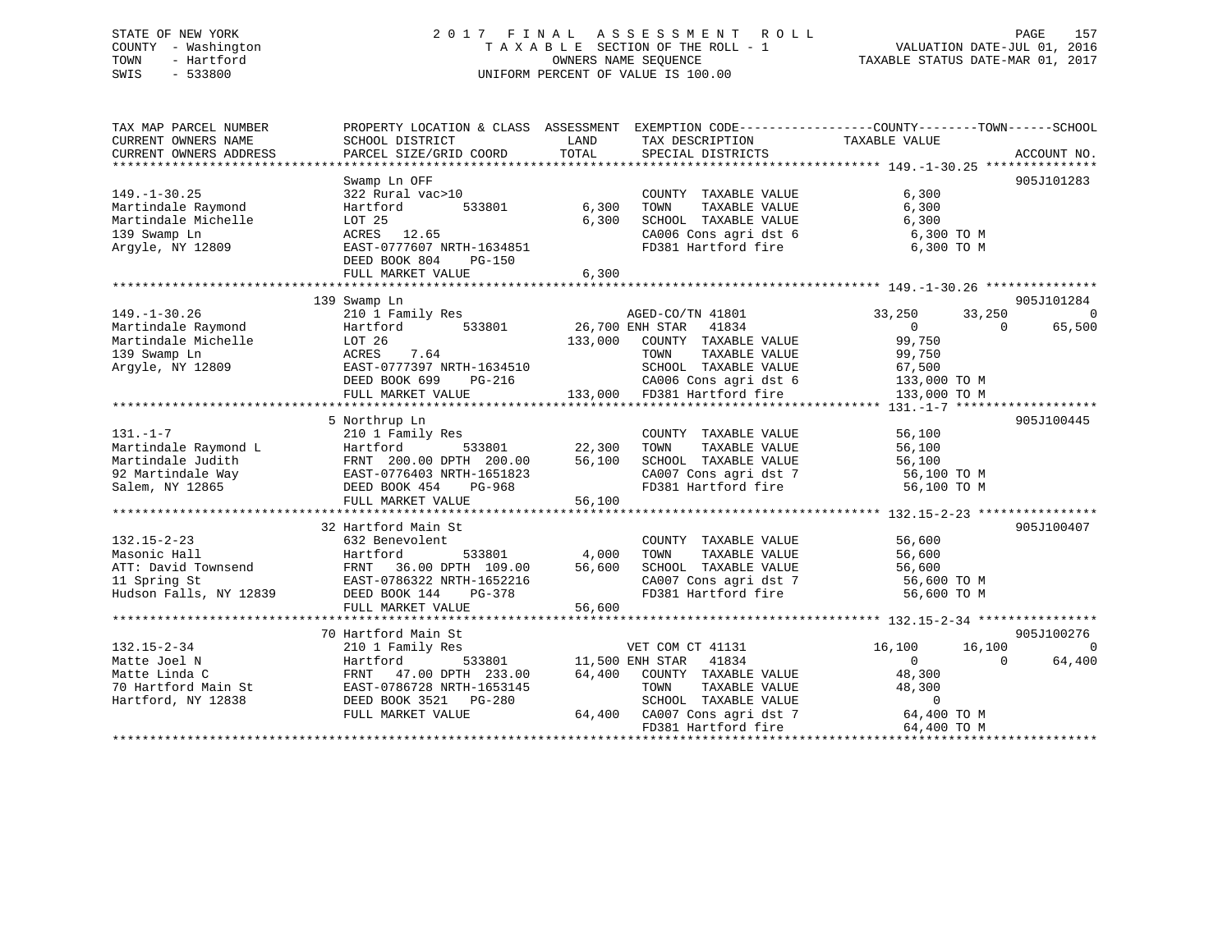# STATE OF NEW YORK 2 0 1 7 F I N A L A S S E S S M E N T R O L L PAGE 157 COUNTY - Washington T A X A B L E SECTION OF THE ROLL - 1 VALUATION DATE-JUL 01, 2016 TOWN - Hartford **TAXABLE STATUS DATE-MAR 01, 2017** SWIS - 533800 UNIFORM PERCENT OF VALUE IS 100.00

| TAX MAP PARCEL NUMBER<br>CURRENT OWNERS NAME | PROPERTY LOCATION & CLASS ASSESSMENT<br>SCHOOL DISTRICT | LAND            | TAX DESCRIPTION                                               | EXEMPTION CODE-----------------COUNTY-------TOWN------SCHOOL<br>TAXABLE VALUE |                |
|----------------------------------------------|---------------------------------------------------------|-----------------|---------------------------------------------------------------|-------------------------------------------------------------------------------|----------------|
| CURRENT OWNERS ADDRESS                       | PARCEL SIZE/GRID COORD                                  | TOTAL           | SPECIAL DISTRICTS                                             |                                                                               | ACCOUNT NO.    |
|                                              | Swamp Ln OFF                                            |                 |                                                               |                                                                               | 905J101283     |
| $149. - 1 - 30.25$                           | 322 Rural vac>10                                        |                 | COUNTY TAXABLE VALUE                                          | 6,300                                                                         |                |
| Martindale Raymond                           | 533801<br>Hartford                                      | 6,300           | TAXABLE VALUE<br>TOWN                                         | 6,300                                                                         |                |
| Martindale Michelle                          | LOT 25                                                  | 6,300           | SCHOOL TAXABLE VALUE                                          | 6,300                                                                         |                |
| 139 Swamp Ln                                 | ACRES<br>12.65                                          |                 | CA006 Cons agri dst 6                                         | 6,300 TO M                                                                    |                |
| Argyle, NY 12809                             | EAST-0777607 NRTH-1634851                               |                 | FD381 Hartford fire                                           | 6,300 TO M                                                                    |                |
|                                              | DEED BOOK 804<br>$PG-150$                               |                 |                                                               |                                                                               |                |
|                                              | FULL MARKET VALUE                                       | 6,300           |                                                               |                                                                               |                |
|                                              |                                                         |                 |                                                               |                                                                               |                |
|                                              | 139 Swamp Ln                                            |                 |                                                               |                                                                               | 905J101284     |
| $149. - 1 - 30.26$                           | 210 1 Family Res                                        |                 | AGED-CO/TN 41801                                              | 33,250<br>33,250                                                              | $\overline{0}$ |
| Martindale Raymond                           | 533801<br>Hartford                                      | 26,700 ENH STAR | 41834                                                         | $\overline{0}$<br>$\Omega$                                                    | 65,500         |
| Martindale Michelle                          | LOT 26                                                  | 133,000         | COUNTY TAXABLE VALUE                                          | 99,750                                                                        |                |
| 139 Swamp Ln                                 | ACRES<br>7.64                                           |                 | TOWN<br>TAXABLE VALUE                                         | 99,750                                                                        |                |
| Argyle, NY 12809                             | EAST-0777397 NRTH-1634510                               |                 | SCHOOL TAXABLE VALUE                                          | 67,500                                                                        |                |
|                                              | DEED BOOK 699 PG-216                                    |                 | CA006 Cons agri dst 6                                         | 133,000 TO M                                                                  |                |
|                                              | FULL MARKET VALUE                                       |                 | 133,000 FD381 Hartford fire                                   | 133,000 TO M                                                                  |                |
|                                              |                                                         |                 |                                                               |                                                                               |                |
|                                              | 5 Northrup Ln                                           |                 |                                                               |                                                                               | 905J100445     |
| $131. - 1 - 7$                               | 210 1 Family Res                                        |                 | COUNTY TAXABLE VALUE                                          | 56,100                                                                        |                |
| Martindale Raymond L                         | Hartford<br>533801                                      | 22,300          | TAXABLE VALUE<br>TOWN                                         | 56,100                                                                        |                |
| Martindale Judith                            | FRNT 200.00 DPTH 200.00<br>EAST-0776403 NRTH-1651823    | 56,100          | SCHOOL TAXABLE VALUE                                          | 56,100                                                                        |                |
| 92 Martindale Way                            |                                                         |                 | CA007 Cons agri dst 7                                         | 56,100 TO M                                                                   |                |
| Salem, NY 12865                              | DEED BOOK 454<br>PG-968                                 |                 | FD381 Hartford fire                                           | 56,100 TO M                                                                   |                |
|                                              | FULL MARKET VALUE                                       | 56,100          |                                                               |                                                                               |                |
|                                              |                                                         |                 |                                                               |                                                                               |                |
|                                              | 32 Hartford Main St                                     |                 |                                                               |                                                                               | 905J100407     |
| $132.15 - 2 - 23$                            | 632 Benevolent                                          |                 | COUNTY TAXABLE VALUE                                          | 56,600                                                                        |                |
| Masonic Hall                                 | Hartford<br>533801                                      | 4,000           | TOWN<br>TAXABLE VALUE                                         | 56,600                                                                        |                |
| ATT: David Townsend                          | FRNT 36.00 DPTH 109.00                                  | 56,600          | SCHOOL TAXABLE VALUE<br>CA007 Cons agri dst 7<br>FD381 User 1 | 56,600                                                                        |                |
| 11 Spring St                                 | EAST-0786322 NRTH-1652216                               |                 |                                                               | 56,600 TO M                                                                   |                |
| Hudson Falls, NY 12839                       | DEED BOOK 144<br>PG-378                                 |                 | FD381 Hartford fire                                           | 56,600 TO M                                                                   |                |
|                                              | FULL MARKET VALUE                                       | 56,600          |                                                               |                                                                               |                |
|                                              | 70 Hartford Main St                                     |                 |                                                               |                                                                               | 905J100276     |
| $132.15 - 2 - 34$                            | 210 1 Family Res                                        |                 | VET COM CT 41131                                              | 16,100<br>16,100                                                              | $\overline{0}$ |
| Matte Joel N                                 | 533801<br>Hartford                                      | 11,500 ENH STAR | 41834                                                         | $\Omega$<br>$\overline{0}$                                                    | 64,400         |
| Matte Linda C                                | FRNT<br>47.00 DPTH 233.00                               | 64,400          | COUNTY TAXABLE VALUE                                          | 48,300                                                                        |                |
| 70 Hartford Main St                          | EAST-0786728 NRTH-1653145                               |                 | TOWN<br>TAXABLE VALUE                                         | 48,300                                                                        |                |
| Hartford, NY 12838                           | DEED BOOK 3521 PG-280                                   |                 | SCHOOL TAXABLE VALUE                                          | $\overline{0}$                                                                |                |
|                                              | FULL MARKET VALUE                                       |                 | 64,400 CA007 Cons agri dst 7                                  | 64,400 TO M                                                                   |                |
|                                              |                                                         |                 | FD381 Hartford fire                                           | 64,400 TO M                                                                   |                |
|                                              |                                                         |                 |                                                               |                                                                               |                |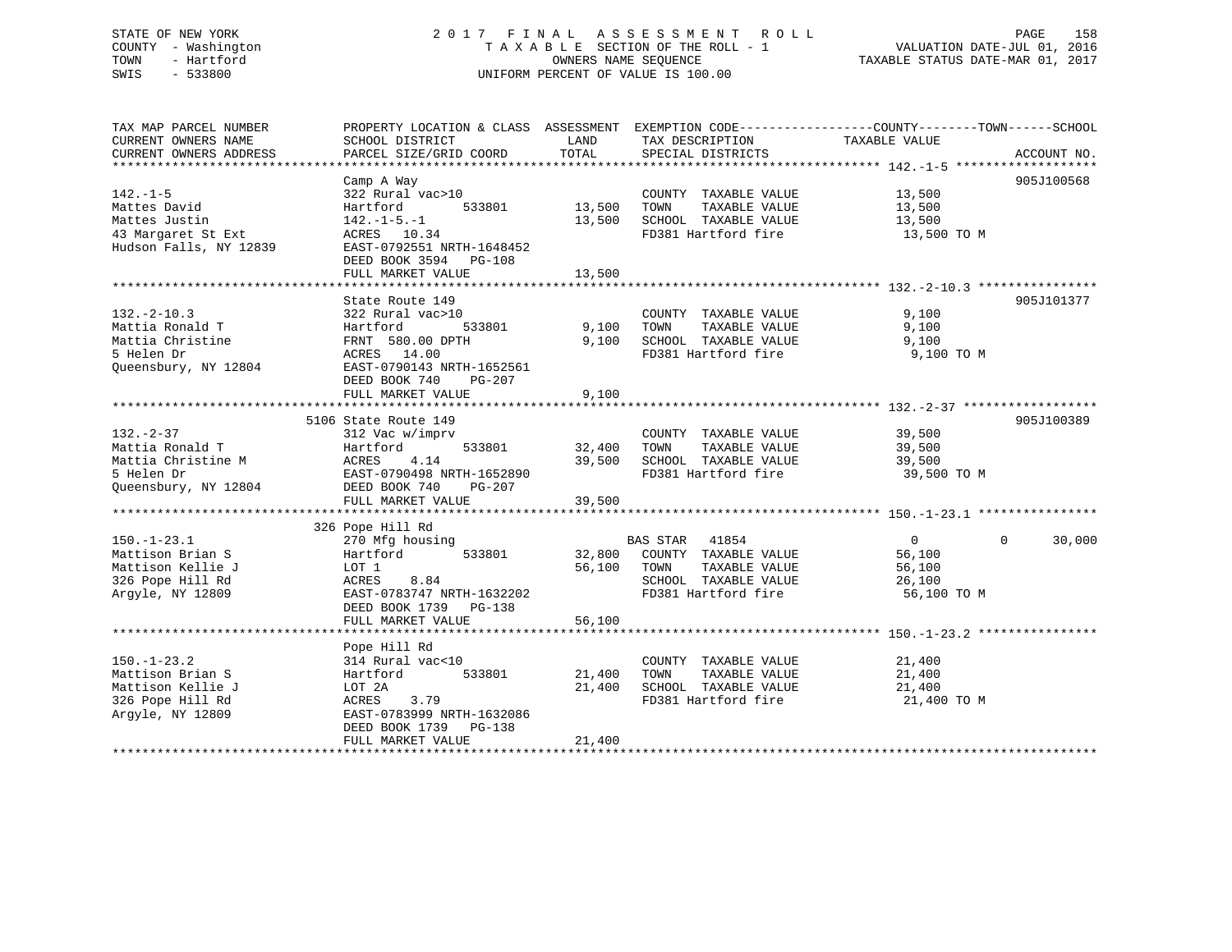# STATE OF NEW YORK 2 0 1 7 F I N A L A S S E S S M E N T R O L L PAGE 158 COUNTY - Washington T A X A B L E SECTION OF THE ROLL - 1 VALUATION DATE-JUL 01, 2016 TOWN - Hartford **TAXABLE STATUS DATE-MAR 01, 2017** SWIS - 533800 UNIFORM PERCENT OF VALUE IS 100.00

| TAX MAP PARCEL NUMBER<br>CURRENT OWNERS NAME<br>CURRENT OWNERS ADDRESS                             | PROPERTY LOCATION & CLASS ASSESSMENT EXEMPTION CODE----------------COUNTY-------TOWN------SCHOOL<br>SCHOOL DISTRICT<br>PARCEL SIZE/GRID COORD                             | LAND<br>TOTAL              | TAX DESCRIPTION<br>SPECIAL DISTRICTS                                                                                     | TAXABLE VALUE                                               | ACCOUNT NO.           |
|----------------------------------------------------------------------------------------------------|---------------------------------------------------------------------------------------------------------------------------------------------------------------------------|----------------------------|--------------------------------------------------------------------------------------------------------------------------|-------------------------------------------------------------|-----------------------|
| $142. - 1 - 5$<br>Mattes David<br>Mattes Justin<br>43 Margaret St Ext<br>Hudson Falls, NY 12839    | Camp A Way<br>322 Rural vac>10<br>533801<br>Hartford<br>$142. - 1 - 5. - 1$<br>ACRES 10.34<br>EAST-0792551 NRTH-1648452<br>DEED BOOK 3594 PG-108<br>FULL MARKET VALUE     | 13,500<br>13,500<br>13,500 | COUNTY TAXABLE VALUE<br>TOWN<br>TAXABLE VALUE<br>SCHOOL TAXABLE VALUE<br>FD381 Hartford fire                             | 13,500<br>13,500<br>13,500<br>13,500 TO M                   | 905J100568            |
| $132. - 2 - 10.3$<br>Mattia Ronald T<br>Mattia Christine<br>5 Helen Dr<br>Oueensbury, NY 12804     | State Route 149<br>322 Rural vac>10<br>533801<br>Hartford<br>FRNT 580.00 DPTH<br>ACRES 14.00<br>EAST-0790143 NRTH-1652561<br>DEED BOOK 740<br>PG-207<br>FULL MARKET VALUE | 9,100<br>9,100<br>9,100    | COUNTY TAXABLE VALUE<br>TOWN<br>TAXABLE VALUE<br>SCHOOL TAXABLE VALUE<br>FD381 Hartford fire                             | 9,100<br>9,100<br>9,100<br>9,100 TO M                       | 905J101377            |
| $132. - 2 - 37$<br>Mattia Ronald T<br>Mattia Christine M<br>5 Helen Dr<br>Queensbury, NY 12804     | 5106 State Route 149<br>312 Vac w/imprv<br>533801<br>Hartford<br>4.14<br>ACRES<br>EAST-0790498 NRTH-1652890<br>DEED BOOK 740<br>PG-207<br>FULL MARKET VALUE               | 32,400<br>39,500<br>39,500 | COUNTY TAXABLE VALUE<br>TAXABLE VALUE<br>TOWN<br>SCHOOL TAXABLE VALUE<br>FD381 Hartford fire                             | 39,500<br>39,500<br>39,500<br>39,500 TO M                   | 905J100389            |
| $150. - 1 - 23.1$<br>Mattison Brian S<br>Mattison Kellie J<br>326 Pope Hill Rd<br>Argyle, NY 12809 | 326 Pope Hill Rd<br>270 Mfg housing<br>533801<br>Hartford<br>LOT 1<br>8.84<br>ACRES<br>EAST-0783747 NRTH-1632202<br>DEED BOOK 1739 PG-138<br>FULL MARKET VALUE            | 56,100<br>56,100           | BAS STAR<br>41854<br>32,800 COUNTY TAXABLE VALUE<br>TOWN<br>TAXABLE VALUE<br>SCHOOL TAXABLE VALUE<br>FD381 Hartford fire | $\overline{0}$<br>56,100<br>56,100<br>26,100<br>56,100 TO M | $\mathbf 0$<br>30,000 |
| $150. - 1 - 23.2$<br>Mattison Brian S<br>Mattison Kellie J<br>326 Pope Hill Rd<br>Argyle, NY 12809 | Pope Hill Rd<br>314 Rural vac<10<br>Hartford<br>533801<br>LOT 2A<br>ACRES<br>3.79<br>EAST-0783999 NRTH-1632086<br>DEED BOOK 1739 PG-138<br>FULL MARKET VALUE              | 21,400<br>21,400<br>21,400 | COUNTY TAXABLE VALUE<br>TAXABLE VALUE<br>TOWN<br>SCHOOL TAXABLE VALUE<br>FD381 Hartford fire                             | 21,400<br>21,400<br>21,400<br>21,400 TO M                   |                       |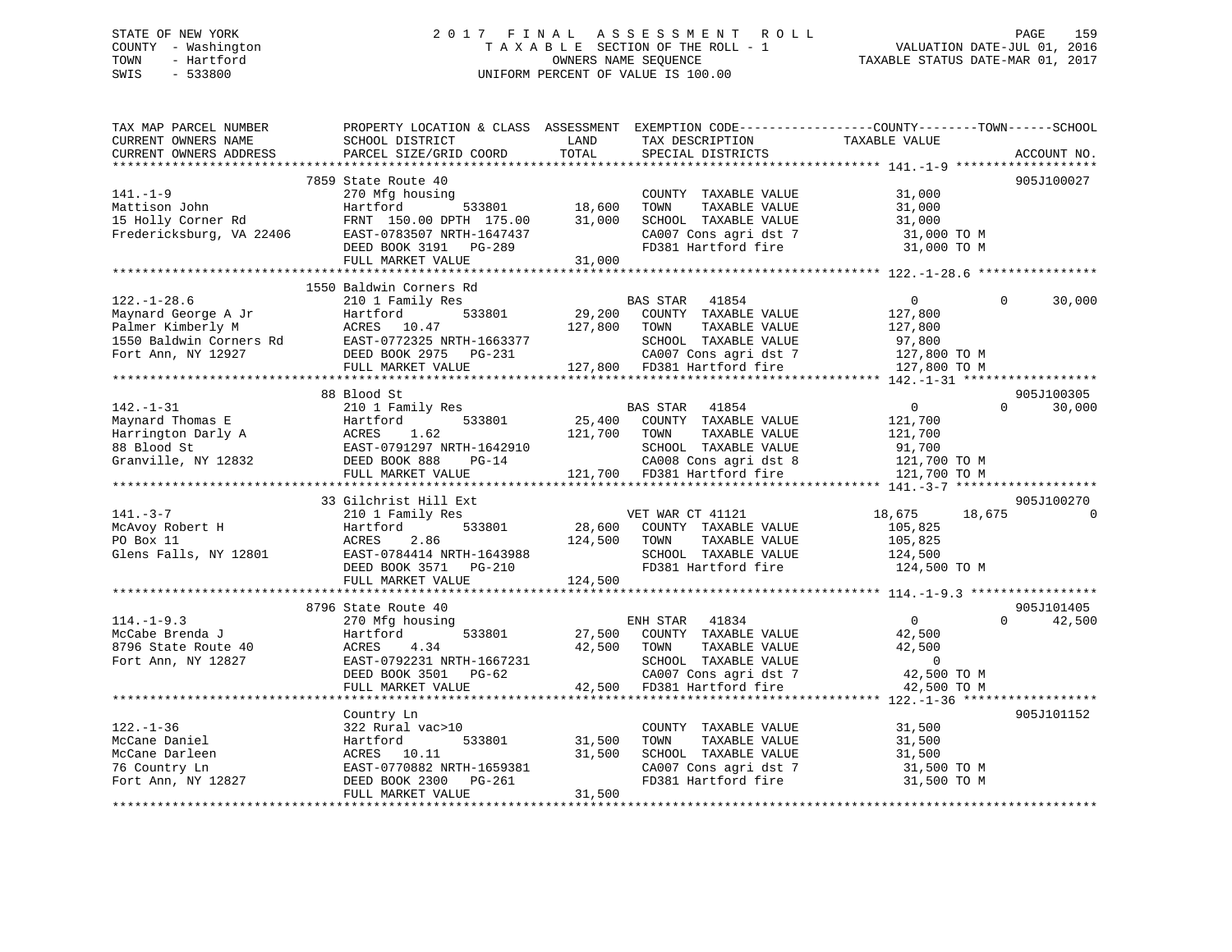# STATE OF NEW YORK 2 0 1 7 F I N A L A S S E S S M E N T R O L L PAGE 159 COUNTY - Washington T A X A B L E SECTION OF THE ROLL - 1 VALUATION DATE-JUL 01, 2016 TOWN - Hartford **TAXABLE STATUS DATE-MAR 01, 2017** SWIS - 533800 UNIFORM PERCENT OF VALUE IS 100.00

| TAX MAP PARCEL NUMBER<br>CURRENT OWNERS NAME<br>CURRENT OWNERS ADDRESS                                         | SCHOOL DISTRICT<br>PARCEL SIZE/GRID COORD                                                                                                         | LAND<br>TOTAL                | TAX DESCRIPTION<br>SPECIAL DISTRICTS                                                                                                               | PROPERTY LOCATION & CLASS ASSESSMENT EXEMPTION CODE----------------COUNTY-------TOWN------SCHOOL<br>TAXABLE VALUE | ACCOUNT NO.          |
|----------------------------------------------------------------------------------------------------------------|---------------------------------------------------------------------------------------------------------------------------------------------------|------------------------------|----------------------------------------------------------------------------------------------------------------------------------------------------|-------------------------------------------------------------------------------------------------------------------|----------------------|
|                                                                                                                |                                                                                                                                                   |                              |                                                                                                                                                    |                                                                                                                   |                      |
| $141. - 1 - 9$<br>Mattison John<br>15 Holly Corner Rd<br>Fredericksburg, VA 22406                              | 7859 State Route 40<br>270 Mfg housing<br>533801<br>Hartford<br>FRNT 150.00 DPTH 175.00<br>EAST-0783507 NRTH-1647437                              | 18,600<br>31,000             | COUNTY TAXABLE VALUE<br>TOWN<br>TAXABLE VALUE<br>SCHOOL TAXABLE VALUE<br>CA007 Cons agri dst 7                                                     | 31,000<br>31,000<br>31,000<br>31,000 TO M                                                                         | 905J100027           |
|                                                                                                                | DEED BOOK 3191<br>PG-289<br>FULL MARKET VALUE                                                                                                     | 31,000                       | FD381 Hartford fire                                                                                                                                | 31,000 TO M                                                                                                       |                      |
|                                                                                                                |                                                                                                                                                   |                              |                                                                                                                                                    |                                                                                                                   |                      |
|                                                                                                                | 1550 Baldwin Corners Rd                                                                                                                           |                              |                                                                                                                                                    |                                                                                                                   |                      |
| $122. - 1 - 28.6$<br>Maynard George A Jr<br>Palmer Kimberly M<br>1550 Baldwin Corners Rd<br>Fort Ann, NY 12927 | 210 1 Family Res<br>Hartford<br>533801<br>ACRES<br>10.47<br>EAST-0772325 NRTH-1663377<br>DEED BOOK 2975 PG-231<br>FULL MARKET VALUE               | 29,200<br>127,800            | BAS STAR<br>41854<br>COUNTY TAXABLE VALUE<br>TOWN<br>TAXABLE VALUE<br>SCHOOL TAXABLE VALUE<br>CA007 Cons agri dst 7<br>127,800 FD381 Hartford fire | $\mathbf{0}$<br>$\Omega$<br>127,800<br>127,800<br>97,800<br>127,800 TO M<br>127,800 TO M                          | 30,000               |
|                                                                                                                |                                                                                                                                                   |                              |                                                                                                                                                    |                                                                                                                   |                      |
| $142. - 1 - 31$<br>Maynard Thomas E<br>Harrington Darly A<br>88 Blood St<br>Granville, NY 12832                | 88 Blood St<br>210 1 Family Res<br>533801<br>Hartford<br>ACRES<br>1.62<br>EAST-0791297 NRTH-1642910<br>DEED BOOK 888<br>$PG-14$                   | 25,400<br>121,700            | BAS STAR<br>41854<br>COUNTY TAXABLE VALUE<br>TOWN<br>TAXABLE VALUE<br>SCHOOL TAXABLE VALUE<br>CA008 Cons agri dst 8                                | $\overline{0}$<br>$\Omega$<br>121,700<br>121,700<br>91,700<br>121,700 TO M                                        | 905J100305<br>30,000 |
|                                                                                                                | FULL MARKET VALUE                                                                                                                                 |                              | 121,700 FD381 Hartford fire                                                                                                                        | 121,700 TO M                                                                                                      |                      |
|                                                                                                                | 33 Gilchrist Hill Ext                                                                                                                             |                              |                                                                                                                                                    |                                                                                                                   | 905J100270           |
| $141. - 3 - 7$<br>McAvoy Robert H<br>PO Box 11<br>Glens Falls, NY 12801                                        | 210 1 Family Res<br>Hartford<br>533801<br>ACRES<br>2.86<br>EAST-0784414 NRTH-1643988<br>DEED BOOK 3571 PG-210<br>FULL MARKET VALUE                | 28,600<br>124,500<br>124,500 | VET WAR CT 41121<br>COUNTY TAXABLE VALUE<br>TOWN<br>TAXABLE VALUE<br>SCHOOL TAXABLE VALUE<br>FD381 Hartford fire                                   | 18,675<br>18,675<br>105,825<br>105,825<br>124,500<br>124,500 TO M                                                 |                      |
|                                                                                                                | 8796 State Route 40                                                                                                                               |                              |                                                                                                                                                    |                                                                                                                   | 905J101405           |
| $114. -1 - 9.3$<br>McCabe Brenda J<br>8796 State Route 40<br>Fort Ann, NY 12827                                | 270 Mfg housing<br>533801<br>Hartford<br>ACRES<br>4.34<br>EAST-0792231 NRTH-1667231<br>DEED BOOK 3501<br>$PG-62$<br>FULL MARKET VALUE             | 27,500<br>42,500<br>42,500   | 41834<br>ENH STAR<br>COUNTY TAXABLE VALUE<br>TOWN<br>TAXABLE VALUE<br>SCHOOL TAXABLE VALUE<br>CA007 Cons agri dst 7<br>FD381 Hartford fire         | $\overline{0}$<br>$\Omega$<br>42,500<br>42,500<br>$\overline{0}$<br>42,500 TO M<br>42,500 TO M                    | 42,500               |
|                                                                                                                |                                                                                                                                                   |                              |                                                                                                                                                    |                                                                                                                   |                      |
| $122. - 1 - 36$<br>McCane Daniel<br>McCane Darleen<br>76 Country Ln<br>Fort Ann, NY 12827                      | Country Ln<br>322 Rural vac>10<br>533801<br>Hartford<br>ACRES 10.11<br>EAST-0770882 NRTH-1659381<br>DEED BOOK 2300<br>PG-261<br>FULL MARKET VALUE | 31,500<br>31,500<br>31,500   | COUNTY TAXABLE VALUE<br>TOWN<br>TAXABLE VALUE<br>SCHOOL TAXABLE VALUE<br>CA007 Cons agri dst 7<br>FD381 Hartford fire                              | 31,500<br>31,500<br>31,500<br>31,500 TO M<br>31,500 TO M                                                          | 905J101152           |
|                                                                                                                |                                                                                                                                                   |                              |                                                                                                                                                    |                                                                                                                   |                      |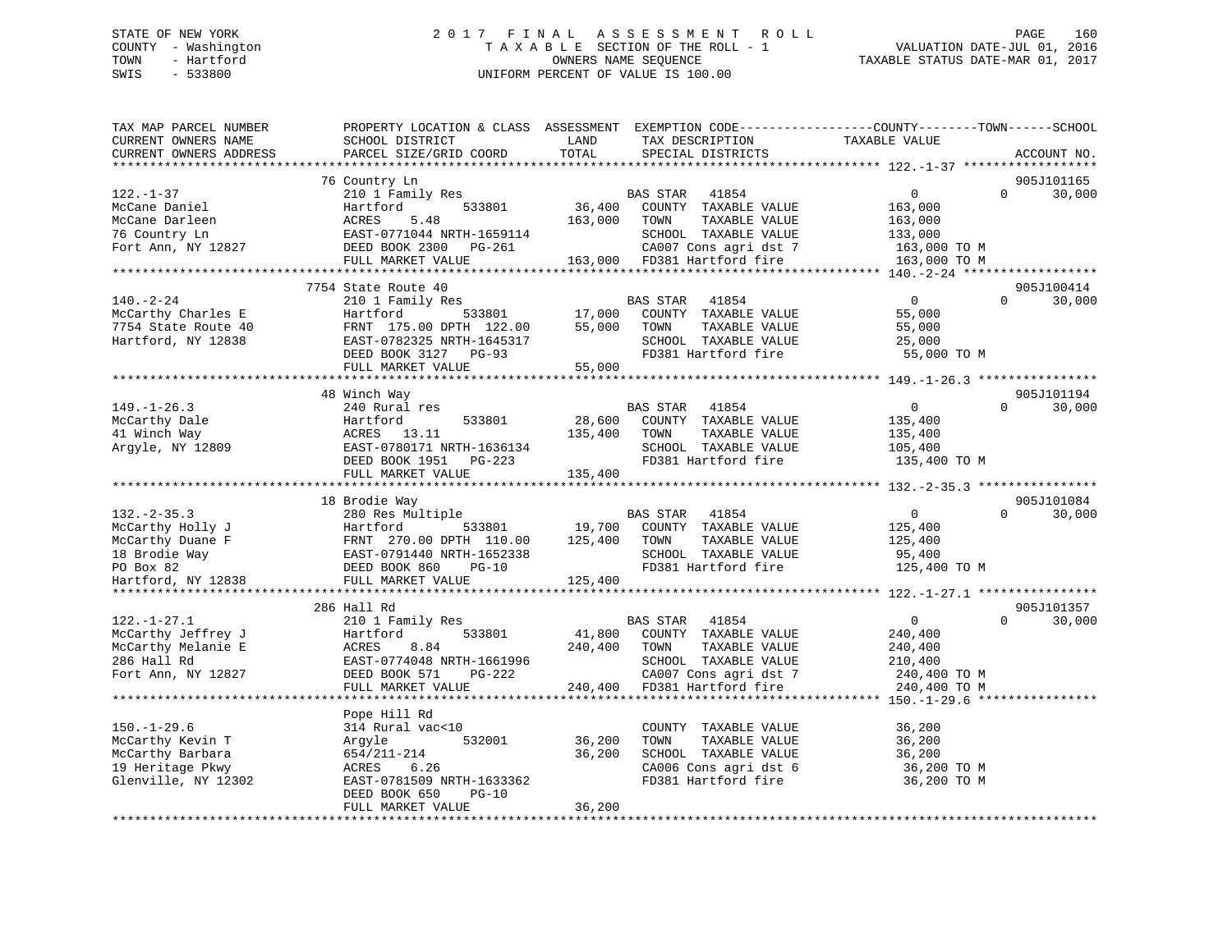# STATE OF NEW YORK 2 0 1 7 F I N A L A S S E S S M E N T R O L L PAGE 160 COUNTY - Washington T A X A B L E SECTION OF THE ROLL - 1 VALUATION DATE-JUL 01, 2016 TOWN - Hartford **TAXABLE STATUS DATE-MAR 01, 2017** SWIS - 533800 UNIFORM PERCENT OF VALUE IS 100.00

| TAX MAP PARCEL NUMBER<br>CURRENT OWNERS NAME<br>CURRENT OWNERS ADDRESS                             | PROPERTY LOCATION & CLASS ASSESSMENT EXEMPTION CODE---------------COUNTY-------TOWN------SCHOOL<br>SCHOOL DISTRICT<br>PARCEL SIZE/GRID COORD                       | LAND<br>TOTAL                    | TAX DESCRIPTION<br>SPECIAL DISTRICTS                                                                                                                   | TAXABLE VALUE                                                                   | ACCOUNT NO.                      |
|----------------------------------------------------------------------------------------------------|--------------------------------------------------------------------------------------------------------------------------------------------------------------------|----------------------------------|--------------------------------------------------------------------------------------------------------------------------------------------------------|---------------------------------------------------------------------------------|----------------------------------|
|                                                                                                    |                                                                                                                                                                    |                                  |                                                                                                                                                        |                                                                                 |                                  |
| $122. - 1 - 37$<br>McCane Daniel<br>McCane Darleen<br>76 Country Ln<br>Fort Ann, NY 12827          | 76 Country Ln<br>210 1 Family Res<br>Hartford<br>533801<br>ACRES<br>5.48<br>EAST-0771044 NRTH-1659114<br>DEED BOOK 2300 PG-261<br>FULL MARKET VALUE                | 36,400<br>163,000                | BAS STAR<br>41854<br>COUNTY TAXABLE VALUE<br>TAXABLE VALUE<br>TOWN<br>SCHOOL TAXABLE VALUE<br>CA007 Cons agri dst 7<br>163,000 FD381 Hartford fire     | $\overline{0}$<br>163,000<br>163,000<br>133,000<br>163,000 TO M<br>163,000 TO M | 905J101165<br>$\Omega$<br>30,000 |
|                                                                                                    |                                                                                                                                                                    |                                  |                                                                                                                                                        |                                                                                 |                                  |
| $140. - 2 - 24$<br>McCarthy Charles E<br>7754 State Route 40<br>Hartford, NY 12838                 | 7754 State Route 40<br>210 1 Family Res<br>533801<br>Hartford<br>FRNT 175.00 DPTH 122.00<br>EAST-0782325 NRTH-1645317<br>DEED BOOK 3127 PG-93<br>FULL MARKET VALUE | 17,000<br>55,000<br>$55^{\circ}$ | BAS STAR 41854<br>COUNTY TAXABLE VALUE<br>TAXABLE VALUE<br>TOWN<br>SCHOOL TAXABLE VALUE<br>FD381 Hartford fire                                         | $\overline{0}$<br>55,000<br>55,000<br>25,000<br>55,000 TO M                     | 905J100414<br>$\Omega$<br>30,000 |
|                                                                                                    |                                                                                                                                                                    |                                  |                                                                                                                                                        |                                                                                 |                                  |
| $149. - 1 - 26.3$                                                                                  | 48 Winch Way<br>240 Rural res                                                                                                                                      |                                  | BAS STAR 41854                                                                                                                                         | $\overline{0}$                                                                  | 905J101194<br>30,000<br>$\Omega$ |
| McCarthy Dale<br>41 Winch Way<br>Argyle, NY 12809                                                  | 533801<br>Hartford<br>ACRES 13.11<br>EAST-0780171 NRTH-1636134<br>DEED BOOK 1951 PG-223<br>FULL MARKET VALUE                                                       | 28,600<br>135,400<br>135,400     | COUNTY TAXABLE VALUE<br>TAXABLE VALUE<br>TOWN<br>SCHOOL TAXABLE VALUE<br>FD381 Hartford fire                                                           | 135,400<br>135,400<br>105,400<br>135,400 TO M                                   |                                  |
|                                                                                                    |                                                                                                                                                                    |                                  |                                                                                                                                                        |                                                                                 |                                  |
| $132 - 2 - 35.3$<br>McCarthy Holly J<br>McCarthy Duane F<br>18 Brodie Way<br>PO Box 82             | 18 Brodie Way<br>280 Res Multiple<br>533801<br>Hartford<br>FRNT 270.00 DPTH 110.00<br>EAST-0791440 NRTH-1652338<br>DEED BOOK 860<br>$PG-10$                        | 125,400                          | <b>BAS STAR</b><br>41854<br>19,700 COUNTY TAXABLE VALUE<br>TAXABLE VALUE<br>TOWN<br>SCHOOL TAXABLE VALUE<br>FD381 Hartford fire                        | $\overline{0}$<br>125,400<br>125,400<br>95,400<br>125,400 TO M                  | 905J101084<br>30,000<br>$\Omega$ |
| Hartford, NY 12838                                                                                 | FULL MARKET VALUE                                                                                                                                                  | 125,400                          |                                                                                                                                                        |                                                                                 |                                  |
|                                                                                                    |                                                                                                                                                                    |                                  |                                                                                                                                                        |                                                                                 |                                  |
|                                                                                                    | 286 Hall Rd                                                                                                                                                        |                                  |                                                                                                                                                        |                                                                                 | 905J101357                       |
| $122. - 1 - 27.1$<br>McCarthy Jeffrey J<br>McCarthy Melanie E<br>286 Hall Rd<br>Fort Ann, NY 12827 | 210 1 Family Res<br>533801<br>Hartford<br>8.84<br>ACRES<br>EAST-0774048 NRTH-1661996<br>DEED BOOK 571<br>PG-222<br>FULL MARKET VALUE                               | 240,400                          | BAS STAR 41854<br>41,800 COUNTY TAXABLE VALUE<br>TAXABLE VALUE<br>TOWN<br>SCHOOL TAXABLE VALUE<br>CA007 Cons agri dst 7<br>240,400 FD381 Hartford fire | $\overline{0}$<br>240,400<br>240,400<br>210,400<br>240,400 TO M<br>240,400 TO M | 30,000<br>$\Omega$               |
|                                                                                                    |                                                                                                                                                                    |                                  |                                                                                                                                                        |                                                                                 |                                  |
| $150.-1-29.6$<br>McCarthy Kevin T<br>McCarthy Barbara<br>19 Heritage Pkwy<br>Glenville, NY 12302   | Pope Hill Rd<br>314 Rural vac<10<br>532001<br>Argyle<br>654/211-214<br>ACRES<br>6.26<br>EAST-0781509 NRTH-1633362                                                  | 36,200<br>36,200                 | COUNTY TAXABLE VALUE<br>TAXABLE VALUE<br>TOWN<br>SCHOOL TAXABLE VALUE<br>CA006 Cons agri dst 6<br>FD381 Hartford fire                                  | 36,200<br>36,200<br>36,200<br>36,200 TO M<br>36,200 TO M                        |                                  |
|                                                                                                    | DEED BOOK 650<br>$PG-10$<br>FULL MARKET VALUE                                                                                                                      | 36,200                           |                                                                                                                                                        |                                                                                 |                                  |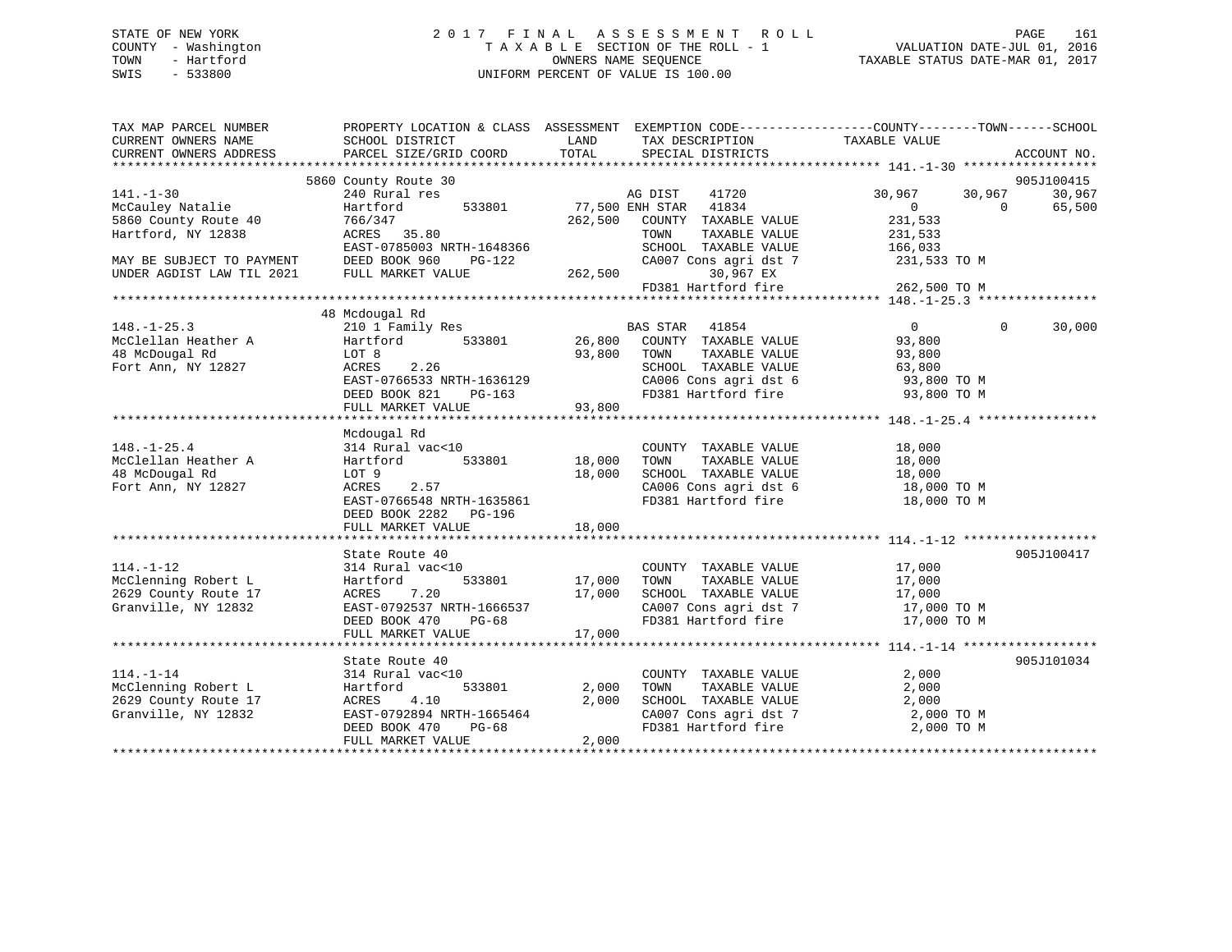# STATE OF NEW YORK 2 0 1 7 F I N A L A S S E S S M E N T R O L L PAGE 161 COUNTY - Washington T A X A B L E SECTION OF THE ROLL - 1 VALUATION DATE-JUL 01, 2016 TOWN - Hartford **TAXABLE STATUS DATE-MAR 01, 2017** SWIS - 533800 UNIFORM PERCENT OF VALUE IS 100.00

| TAX MAP PARCEL NUMBER<br>CURRENT OWNERS NAME<br>CURRENT OWNERS ADDRESS | PROPERTY LOCATION & CLASS ASSESSMENT EXEMPTION CODE----------------COUNTY-------TOWN-----SCHOOL<br>SCHOOL DISTRICT<br>PARCEL SIZE/GRID COORD | LAND<br>TOTAL | TAX DESCRIPTION TAXABLE VALUE<br>SPECIAL DISTRICTS |                                                                  | ACCOUNT NO.        |
|------------------------------------------------------------------------|----------------------------------------------------------------------------------------------------------------------------------------------|---------------|----------------------------------------------------|------------------------------------------------------------------|--------------------|
|                                                                        |                                                                                                                                              |               |                                                    |                                                                  |                    |
|                                                                        | 5860 County Route 30                                                                                                                         |               |                                                    |                                                                  | 905J100415         |
| $141. - 1 - 30$                                                        | 240 Rural res                                                                                                                                |               | AG DIST<br>41720                                   | 30,967<br>30,967                                                 | 30,967             |
| McCauley Natalie                                                       | 533801<br>Hartford                                                                                                                           |               | 77,500 ENH STAR 41834                              | $\overline{0}$<br>$\overline{0}$                                 | 65,500             |
| 5860 County Route 40                                                   | 766/347                                                                                                                                      |               | 262,500 COUNTY TAXABLE VALUE                       | 231,533                                                          |                    |
| Hartford, NY 12838                                                     | ACRES 35.80                                                                                                                                  |               | TAXABLE VALUE<br>TOWN                              | 231,533                                                          |                    |
|                                                                        | EAST-0785003 NRTH-1648366                                                                                                                    |               | SCHOOL TAXABLE VALUE                               | 166,033                                                          |                    |
| MAY BE SUBJECT TO PAYMENT                                              | DEED BOOK 960<br>PG-122                                                                                                                      |               | CA007 Cons agri dst 7                              | 231,533 TO M                                                     |                    |
| UNDER AGDIST LAW TIL 2021                                              | FULL MARKET VALUE                                                                                                                            |               | 30,967 EX<br>262,500                               |                                                                  |                    |
|                                                                        |                                                                                                                                              |               | FD381 Hartford fire                                | 262,500 TO M                                                     |                    |
|                                                                        |                                                                                                                                              |               |                                                    |                                                                  |                    |
|                                                                        | 48 Mcdougal Rd                                                                                                                               |               |                                                    |                                                                  |                    |
| $148. - 1 - 25.3$                                                      | 210 1 Family Res BAS STAR 41854                                                                                                              |               |                                                    | $\overline{0}$                                                   | $\Omega$<br>30,000 |
| McClellan Heather A                                                    | Hartford                                                                                                                                     |               | 533801 26,800 COUNTY TAXABLE VALUE                 | 93,800                                                           |                    |
| 48 McDougal Rd                                                         | LOT 8                                                                                                                                        | 93,800 TOWN   | TAXABLE VALUE                                      | 93,800                                                           |                    |
| Fort Ann, NY 12827                                                     | 2.26<br>ACRES                                                                                                                                |               | SCHOOL TAXABLE VALUE                               | 63,800                                                           |                    |
|                                                                        | EAST-0766533 NRTH-1636129                                                                                                                    |               |                                                    | 93,800 TO M                                                      |                    |
|                                                                        | DEED BOOK 821<br>PG-163                                                                                                                      |               | CA006 Cons agri dst 6<br>FD381 Hartford fire       | 93,800 TO M                                                      |                    |
|                                                                        |                                                                                                                                              | 93,800        |                                                    |                                                                  |                    |
|                                                                        | FULL MARKET VALUE                                                                                                                            |               |                                                    |                                                                  |                    |
|                                                                        | Mcdougal Rd                                                                                                                                  |               |                                                    |                                                                  |                    |
| $148. - 1 - 25.4$                                                      | 314 Rural vac<10                                                                                                                             |               | COUNTY TAXABLE VALUE                               | 18,000                                                           |                    |
| McClellan Heather A                                                    | 533801<br>Hartford                                                                                                                           | 18,000        | TOWN<br>TAXABLE VALUE                              | 18,000                                                           |                    |
| 48 McDougal Rd                                                         | LOT 9                                                                                                                                        | 18,000        |                                                    |                                                                  |                    |
| Fort Ann, NY 12827                                                     | ACRES<br>2.57                                                                                                                                |               |                                                    | SCHOOL TAXABLE VALUE 18,000<br>CA006 Cons agri dst 6 18,000 TO M |                    |
|                                                                        | EAST-0766548 NRTH-1635861                                                                                                                    |               |                                                    | FD381 Hartford fire 18,000 TO M                                  |                    |
|                                                                        |                                                                                                                                              |               |                                                    |                                                                  |                    |
|                                                                        | DEED BOOK 2282 PG-196                                                                                                                        |               |                                                    |                                                                  |                    |
|                                                                        | FULL MARKET VALUE                                                                                                                            | 18,000        |                                                    |                                                                  |                    |
|                                                                        |                                                                                                                                              |               |                                                    |                                                                  | 905J100417         |
| $114. - 1 - 12$                                                        | State Route 40<br>314 Rural vac<10                                                                                                           |               | COUNTY TAXABLE VALUE                               | 17,000                                                           |                    |
|                                                                        |                                                                                                                                              |               | TOWN                                               |                                                                  |                    |
| McClenning Robert L                                                    | 533801<br>Hartford                                                                                                                           | 17,000        | TAXABLE VALUE                                      | 17,000                                                           |                    |
| 2629 County Route 17                                                   | ACRES 7.20                                                                                                                                   | 17,000        |                                                    | SCHOOL TAXABLE VALUE 17,000<br>CA007 Cons agri dst 7 17,000 TO M |                    |
| Granville, NY 12832                                                    | EAST-0792537 NRTH-1666537                                                                                                                    |               |                                                    |                                                                  |                    |
|                                                                        | DEED BOOK 470<br>PG-68                                                                                                                       |               |                                                    | FD381 Hartford fire 17,000 TO M                                  |                    |
|                                                                        |                                                                                                                                              |               |                                                    |                                                                  |                    |
|                                                                        |                                                                                                                                              |               |                                                    |                                                                  |                    |
|                                                                        | State Route 40                                                                                                                               |               |                                                    |                                                                  | 905J101034         |
| $114. - 1 - 14$                                                        | 314 Rural vac<10                                                                                                                             |               | COUNTY TAXABLE VALUE                               | 2,000                                                            |                    |
| McClenning Robert L                                                    | Hartford<br>533801                                                                                                                           | 2,000         | TAXABLE VALUE<br>TOWN                              | 2,000                                                            |                    |
| 2629 County Route 17                                                   | ACRES<br>4.10                                                                                                                                | 2,000         | SCHOOL TAXABLE VALUE                               | 2,000                                                            |                    |
| Granville, NY 12832                                                    | EAST-0792894 NRTH-1665464                                                                                                                    |               | CA007 Cons agri dst 7                              | 2,000 TO M                                                       |                    |
|                                                                        | DEED BOOK 470<br>PG-68                                                                                                                       |               | FD381 Hartford fire                                | 2,000 TO M                                                       |                    |
|                                                                        | FULL MARKET VALUE                                                                                                                            | 2,000         |                                                    |                                                                  |                    |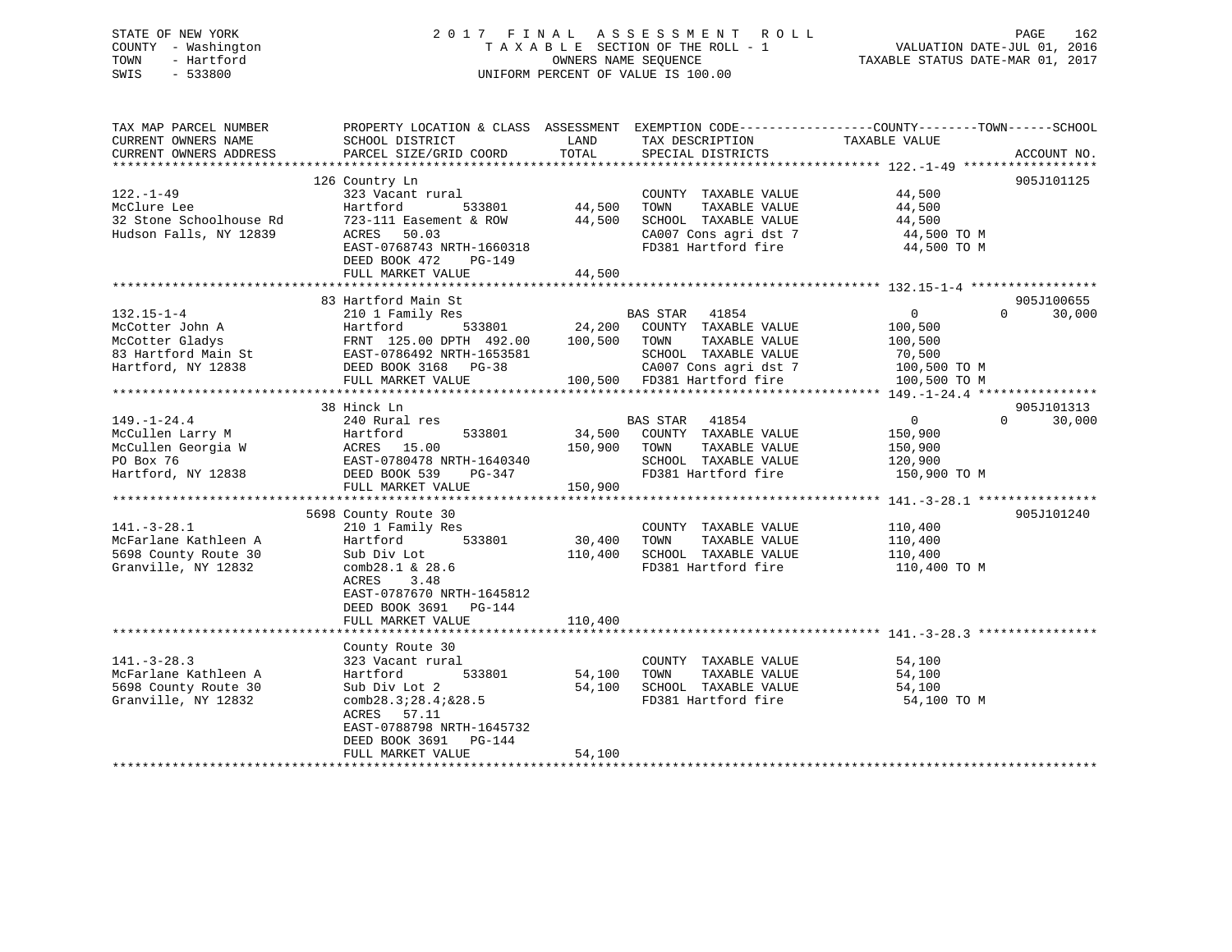| COUNTY - Washington<br>TOWN<br>- Hartford<br>SWIS<br>$-533800$ | TAXABLE SECTION OF THE ROLL - 1<br>OWNERS NAME SEQUENCE<br>UNIFORM PERCENT OF VALUE IS 100.00   |                   |                                             | VALUATION DATE-JUL 01, 2016<br>TAXABLE STATUS DATE-MAR 01, 2017 |                      |
|----------------------------------------------------------------|-------------------------------------------------------------------------------------------------|-------------------|---------------------------------------------|-----------------------------------------------------------------|----------------------|
| TAX MAP PARCEL NUMBER                                          | PROPERTY LOCATION & CLASS ASSESSMENT EXEMPTION CODE----------------COUNTY-------TOWN-----SCHOOL |                   |                                             |                                                                 |                      |
| CURRENT OWNERS NAME                                            | SCHOOL DISTRICT                                                                                 | LAND              | TAX DESCRIPTION                             | TAXABLE VALUE                                                   |                      |
| CURRENT OWNERS ADDRESS<br>************************             | PARCEL SIZE/GRID COORD                                                                          | TOTAL             | SPECIAL DISTRICTS                           |                                                                 | ACCOUNT NO.          |
|                                                                |                                                                                                 |                   |                                             |                                                                 | 905J101125           |
| $122. - 1 - 49$                                                | 126 Country Ln<br>323 Vacant rural                                                              |                   | COUNTY TAXABLE VALUE                        | 44,500                                                          |                      |
| McClure Lee                                                    | Hartford<br>533801                                                                              | 44,500            | TAXABLE VALUE<br>TOWN                       | 44,500                                                          |                      |
| 32 Stone Schoolhouse Rd                                        | 723-111 Easement & ROW                                                                          | 44,500            | SCHOOL TAXABLE VALUE                        | 44,500                                                          |                      |
| Hudson Falls, NY 12839                                         | 50.03<br>ACRES                                                                                  |                   | CA007 Cons agri dst 7                       | 44,500 TO M                                                     |                      |
|                                                                | EAST-0768743 NRTH-1660318                                                                       |                   | FD381 Hartford fire                         | 44,500 TO M                                                     |                      |
|                                                                | DEED BOOK 472<br>PG-149                                                                         |                   |                                             |                                                                 |                      |
|                                                                | FULL MARKET VALUE                                                                               | 44,500            |                                             |                                                                 |                      |
|                                                                |                                                                                                 |                   |                                             |                                                                 |                      |
| $132.15 - 1 - 4$                                               | 83 Hartford Main St                                                                             |                   | <b>BAS STAR</b>                             | $\Omega$<br>$\Omega$                                            | 905J100655<br>30,000 |
| McCotter John A                                                | 210 1 Family Res<br>Hartford<br>533801                                                          | 24,200            | 41854<br>COUNTY TAXABLE VALUE               | 100,500                                                         |                      |
| McCotter Gladys                                                | FRNT 125.00 DPTH 492.00                                                                         | 100,500           | TOWN<br>TAXABLE VALUE                       | 100,500                                                         |                      |
| 83 Hartford Main St                                            | EAST-0786492 NRTH-1653581                                                                       |                   | SCHOOL TAXABLE VALUE                        | 70,500                                                          |                      |
| Hartford, NY 12838                                             | DEED BOOK 3168 PG-38                                                                            |                   | CA007 Cons agri dst 7                       | 100,500 TO M                                                    |                      |
|                                                                | FULL MARKET VALUE                                                                               |                   | 100,500 FD381 Hartford fire                 | 100,500 TO M                                                    |                      |
|                                                                |                                                                                                 |                   |                                             |                                                                 |                      |
|                                                                | 38 Hinck Ln                                                                                     |                   |                                             |                                                                 | 905J101313           |
| $149. - 1 - 24.4$                                              | 240 Rural res                                                                                   |                   | 41854<br><b>BAS STAR</b>                    | $\Omega$<br>$\Omega$                                            | 30,000               |
| McCullen Larry M                                               | Hartford<br>533801<br>ACRES 15.00                                                               | 34,500<br>150,900 | COUNTY TAXABLE VALUE<br>TAXABLE VALUE       | 150,900                                                         |                      |
| McCullen Georgia W<br>PO Box 76                                | EAST-0780478 NRTH-1640340                                                                       |                   | TOWN<br>SCHOOL TAXABLE VALUE                | 150,900<br>120,900                                              |                      |
| Hartford, NY 12838                                             | DEED BOOK 539<br>$PG-347$                                                                       |                   | FD381 Hartford fire                         | 150,900 TO M                                                    |                      |
|                                                                | FULL MARKET VALUE                                                                               | 150,900           |                                             |                                                                 |                      |
|                                                                |                                                                                                 |                   |                                             |                                                                 |                      |
|                                                                | 5698 County Route 30                                                                            |                   |                                             |                                                                 | 905J101240           |
| $141. - 3 - 28.1$                                              | 210 1 Family Res                                                                                |                   | COUNTY TAXABLE VALUE                        | 110,400                                                         |                      |
| McFarlane Kathleen A                                           | Hartford<br>533801                                                                              | 30,400            | TOWN<br>TAXABLE VALUE                       | 110,400                                                         |                      |
| 5698 County Route 30<br>Granville, NY 12832                    | Sub Div Lot<br>comb28.1 $\&$ 28.6                                                               | 110,400           | SCHOOL TAXABLE VALUE<br>FD381 Hartford fire | 110,400<br>110,400 TO M                                         |                      |
|                                                                | 3.48<br>ACRES                                                                                   |                   |                                             |                                                                 |                      |
|                                                                | EAST-0787670 NRTH-1645812                                                                       |                   |                                             |                                                                 |                      |
|                                                                | DEED BOOK 3691<br>$PG-144$                                                                      |                   |                                             |                                                                 |                      |
|                                                                | FULL MARKET VALUE                                                                               | 110,400           |                                             |                                                                 |                      |
|                                                                |                                                                                                 |                   |                                             |                                                                 |                      |
|                                                                | County Route 30                                                                                 |                   |                                             |                                                                 |                      |
| $141. - 3 - 28.3$                                              | 323 Vacant rural                                                                                |                   | COUNTY TAXABLE VALUE                        | 54,100                                                          |                      |
| McFarlane Kathleen A                                           | Hartford<br>533801                                                                              | 54,100            | TOWN<br>TAXABLE VALUE                       | 54,100                                                          |                      |
| 5698 County Route 30                                           | Sub Div Lot 2<br>comb28.3728.47&28.5                                                            | 54,100            | SCHOOL TAXABLE VALUE<br>FD381 Hartford fire | 54,100<br>54,100 TO M                                           |                      |
| Granville, NY 12832                                            | ACRES<br>57.11                                                                                  |                   |                                             |                                                                 |                      |
|                                                                | EAST-0788798 NRTH-1645732                                                                       |                   |                                             |                                                                 |                      |
|                                                                | DEED BOOK 3691<br>$PG-144$                                                                      |                   |                                             |                                                                 |                      |
|                                                                | FULL MARKET VALUE                                                                               | 54,100            |                                             |                                                                 |                      |
|                                                                |                                                                                                 |                   |                                             |                                                                 |                      |

STATE OF NEW YORK 2 0 1 7 F I N A L A S S E S S M E N T R O L L PAGE 162

162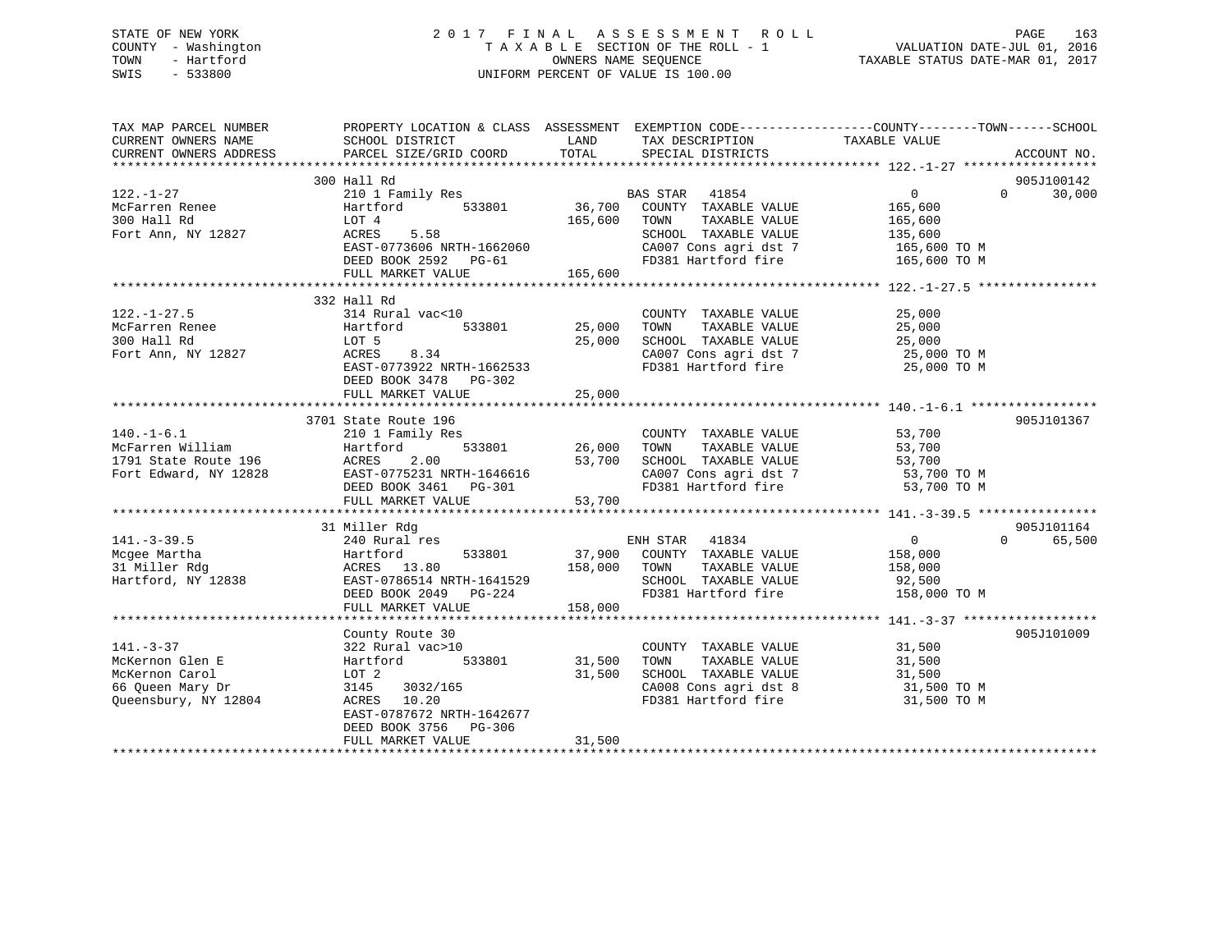# STATE OF NEW YORK 2 0 1 7 F I N A L A S S E S S M E N T R O L L PAGE 163 COUNTY - Washington T A X A B L E SECTION OF THE ROLL - 1 VALUATION DATE-JUL 01, 2016 TOWN - Hartford **TAXABLE STATUS DATE-MAR 01, 2017** SWIS - 533800 UNIFORM PERCENT OF VALUE IS 100.00

| TAX MAP PARCEL NUMBER<br>CURRENT OWNERS NAME | SCHOOL DISTRICT                                    | LAND          | TAX DESCRIPTION                                                                  | PROPERTY LOCATION & CLASS ASSESSMENT EXEMPTION CODE---------------COUNTY-------TOWN-----SCHOOL<br>TAXABLE VALUE |             |
|----------------------------------------------|----------------------------------------------------|---------------|----------------------------------------------------------------------------------|-----------------------------------------------------------------------------------------------------------------|-------------|
| CURRENT OWNERS ADDRESS                       | PARCEL SIZE/GRID COORD                             | TOTAL         | SPECIAL DISTRICTS                                                                |                                                                                                                 | ACCOUNT NO. |
|                                              | 300 Hall Rd                                        |               |                                                                                  |                                                                                                                 | 905J100142  |
| $122. - 1 - 27$                              | 210 1 Family Res                                   |               | BAS STAR 41854                                                                   | $\overline{0}$<br>$\Omega$                                                                                      | 30,000      |
| McFarren Renee                               | 533801<br>Hartford                                 | 36,700        | COUNTY TAXABLE VALUE                                                             | 165,600                                                                                                         |             |
| 300 Hall Rd                                  | LOT 4                                              | 165,600 TOWN  | TAXABLE VALUE                                                                    |                                                                                                                 |             |
| Fort Ann, NY 12827                           | 5.58<br>ACRES                                      |               | SCHOOL TAXABLE VALUE                                                             | 165,600<br>135,600                                                                                              |             |
|                                              | EAST-0773606 NRTH-1662060                          |               | CA007 Cons agri dst 7 165,600 TO M                                               |                                                                                                                 |             |
|                                              | DEED BOOK 2592 PG-61                               |               | FD381 Hartford fire                                                              | 165,600 TO M                                                                                                    |             |
|                                              | FULL MARKET VALUE                                  | 165,600       |                                                                                  |                                                                                                                 |             |
|                                              |                                                    |               |                                                                                  |                                                                                                                 |             |
|                                              | 332 Hall Rd                                        |               |                                                                                  |                                                                                                                 |             |
| $122. - 1 - 27.5$                            | 314 Rural vac<10                                   |               | COUNTY TAXABLE VALUE                                                             | 25,000                                                                                                          |             |
| McFarren Renee                               | Hartford                                           | 533801 25,000 | TOWN<br>TAXABLE VALUE                                                            | 25,000                                                                                                          |             |
| 300 Hall Rd                                  | LOT 5                                              | 25,000        | SCHOOL TAXABLE VALUE                                                             | 25,000                                                                                                          |             |
| Fort Ann, NY 12827                           | 8.34<br>ACRES                                      |               | CA007 Cons agri dst 7                                                            | 25,000 TO M                                                                                                     |             |
|                                              | EAST-0773922 NRTH-1662533                          |               | FD381 Hartford fire 25,000 TO M                                                  |                                                                                                                 |             |
|                                              | DEED BOOK 3478 PG-302                              |               |                                                                                  |                                                                                                                 |             |
|                                              | FULL MARKET VALUE                                  | 25,000        |                                                                                  |                                                                                                                 |             |
|                                              |                                                    |               |                                                                                  |                                                                                                                 |             |
|                                              | 3701 State Route 196                               |               |                                                                                  |                                                                                                                 | 905J101367  |
| $140.-1-6.1$                                 | 210 1 Family Res                                   |               | COUNTY TAXABLE VALUE                                                             | 53,700                                                                                                          |             |
| McFarren William                             | $533801$ 26,000<br>Hartford                        |               | TAXABLE VALUE<br>TOWN                                                            | 53,700                                                                                                          |             |
| 1791 State Route 196                         | ACRES<br>2.00                                      | 53,700        | SCHOOL TAXABLE VALUE                                                             | 53,700                                                                                                          |             |
| Fort Edward, NY 12828                        | EAST-0775231 NRTH-1646616<br>DEED BOOK 3461 PG-301 |               | CA007 Cons agri dst 7<br>FD381 Hartford fire                                     | 53,700 TO M                                                                                                     |             |
|                                              |                                                    |               |                                                                                  | 53,700 TO M                                                                                                     |             |
|                                              | FULL MARKET VALUE                                  | 53,700        |                                                                                  |                                                                                                                 |             |
|                                              | 31 Miller Rdg                                      |               |                                                                                  |                                                                                                                 | 905J101164  |
| $141. - 3 - 39.5$                            | 240 Rural res                                      |               | ENH STAR 41834                                                                   | $\overline{0}$<br>$\Omega$                                                                                      | 65,500      |
| Mcgee Martha                                 | Hartford                                           |               | 533801 37,900 COUNTY TAXABLE VALUE 158,000                                       |                                                                                                                 |             |
| 31 Miller Rdg                                | ACRES 13.80                                        | 158,000       | TOWN<br>TAXABLE VALUE                                                            | 158,000                                                                                                         |             |
|                                              | Hartford, NY 12838 EAST-0786514 NRTH-1641529       |               | SCHOOL TAXABLE VALUE 92,500                                                      |                                                                                                                 |             |
|                                              | DEED BOOK 2049 PG-224                              |               | FD381 Hartford fire                                                              | 158,000 TO M                                                                                                    |             |
|                                              | FULL MARKET VALUE                                  | 158,000       |                                                                                  |                                                                                                                 |             |
|                                              |                                                    |               |                                                                                  |                                                                                                                 |             |
|                                              | County Route 30                                    |               |                                                                                  |                                                                                                                 | 905J101009  |
| $141. - 3 - 37$                              | 322 Rural vac>10                                   |               | COUNTY TAXABLE VALUE                                                             | 31,500                                                                                                          |             |
| McKernon Glen E                              | 533801<br>Hartford                                 | 31,500        | TOWN<br>TAXABLE VALUE                                                            | 31,500                                                                                                          |             |
| McKernon Carol                               | LOT 2                                              | 31,500        |                                                                                  |                                                                                                                 |             |
| 66 Queen Mary Dr                             | 3145 3032/165                                      |               | SCHOOL TAXABLE VALUE<br>CAOOL TAXABLE VALUE<br>CAOOR Cons agri dst 8 31,500 TO M |                                                                                                                 |             |
| Queensbury, NY 12804                         | ACRES 10.20                                        |               | CA008 Cons agri dst 8 31,500 TO M<br>FD381 Hartford fire 31,500 TO M             |                                                                                                                 |             |
|                                              | EAST-0787672 NRTH-1642677                          |               |                                                                                  |                                                                                                                 |             |
|                                              | DEED BOOK 3756 PG-306                              |               |                                                                                  |                                                                                                                 |             |
|                                              | FULL MARKET VALUE                                  | 31,500        |                                                                                  |                                                                                                                 |             |
|                                              |                                                    |               |                                                                                  |                                                                                                                 |             |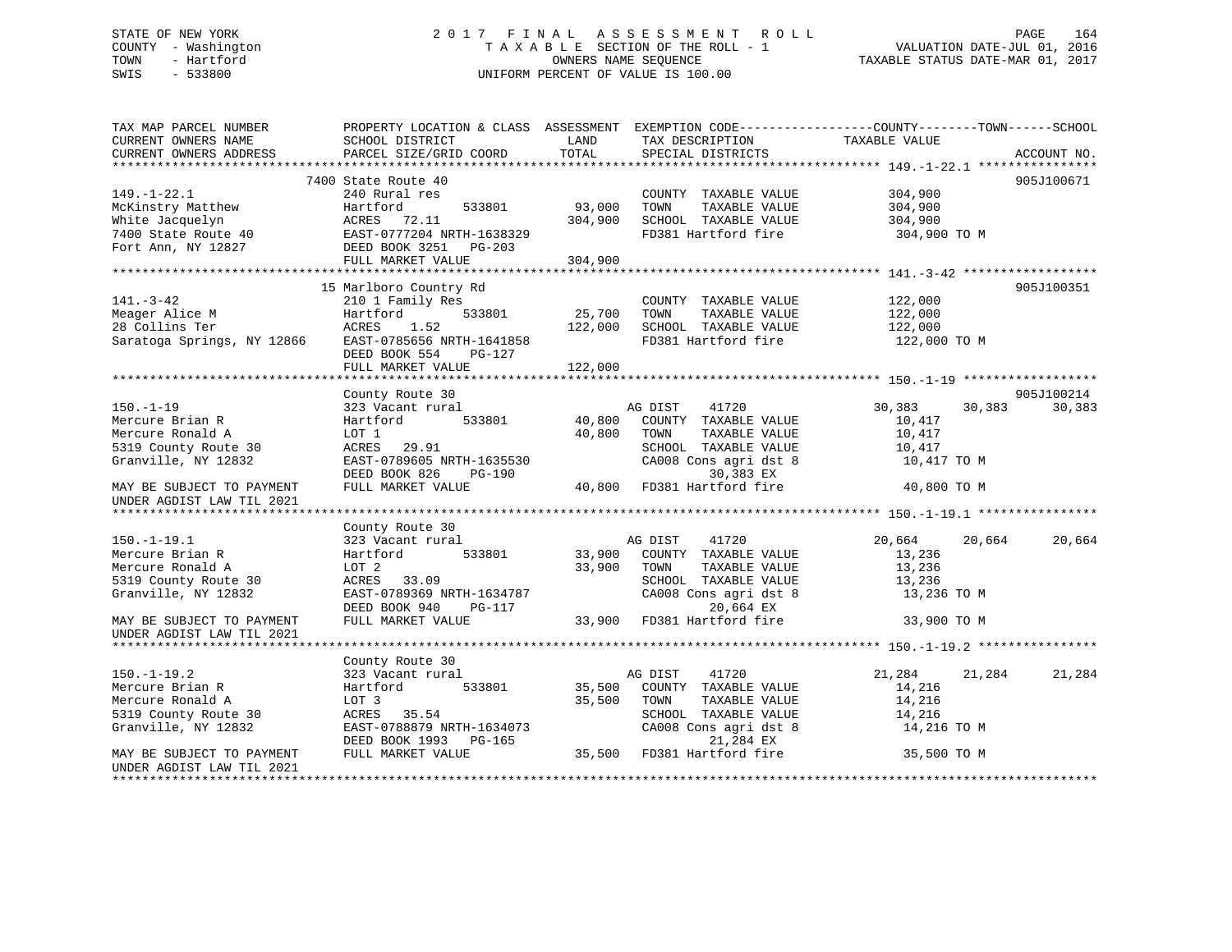# STATE OF NEW YORK 2 0 1 7 F I N A L A S S E S S M E N T R O L L PAGE 164 COUNTY - Washington T A X A B L E SECTION OF THE ROLL - 1 VALUATION DATE-JUL 01, 2016 TOWN - Hartford **TAXABLE STATUS DATE-MAR 01, 2017** SWIS - 533800 UNIFORM PERCENT OF VALUE IS 100.00

| TAX MAP PARCEL NUMBER<br>CURRENT OWNERS NAME<br>CURRENT OWNERS ADDRESS                                                     | PROPERTY LOCATION & CLASS ASSESSMENT EXEMPTION CODE----------------COUNTY-------TOWN------SCHOOL<br>SCHOOL DISTRICT<br>PARCEL SIZE/GRID COORD | LAND<br>TOTAL              | TAX DESCRIPTION TAXABLE VALUE<br>SPECIAL DISTRICTS                 |                                                         | ACCOUNT NO. |
|----------------------------------------------------------------------------------------------------------------------------|-----------------------------------------------------------------------------------------------------------------------------------------------|----------------------------|--------------------------------------------------------------------|---------------------------------------------------------|-------------|
|                                                                                                                            | 7400 State Route 40                                                                                                                           |                            |                                                                    |                                                         | 905J100671  |
| $149. - 1 - 22.1$                                                                                                          | 240 Rural res                                                                                                                                 |                            | COUNTY TAXABLE VALUE 304,900                                       |                                                         |             |
|                                                                                                                            |                                                                                                                                               | 533801 93,000              | TAXABLE VALUE<br>TOWN                                              | 304,900                                                 |             |
|                                                                                                                            |                                                                                                                                               | 304,900                    | SCHOOL TAXABLE VALUE                                               | 304,900                                                 |             |
|                                                                                                                            |                                                                                                                                               |                            |                                                                    | FD381 Hartford fire 304,900 TO M                        |             |
|                                                                                                                            |                                                                                                                                               |                            |                                                                    |                                                         |             |
| Ackinstry Matthew<br>Mite Jacquelyn<br>7400 State Route 40<br>Fort Ann, NY 12827<br>FULL MARKET VALUE<br>FULL MARKET VALUE | FULL MARKET VALUE                                                                                                                             | 304,900                    |                                                                    |                                                         |             |
|                                                                                                                            |                                                                                                                                               |                            |                                                                    |                                                         |             |
|                                                                                                                            | 15 Marlboro Country Rd                                                                                                                        |                            |                                                                    |                                                         | 905J100351  |
| $141. - 3 - 42$                                                                                                            | 210 1 Family Res                                                                                                                              | 7 Rd<br>;<br>533801 25,700 | COUNTY TAXABLE VALUE                                               | 122,000                                                 |             |
|                                                                                                                            |                                                                                                                                               |                            | TOWN<br>TAXABLE VALUE                                              | 122,000                                                 |             |
|                                                                                                                            |                                                                                                                                               |                            | 122,000 SCHOOL TAXABLE VALUE                                       | 122,000                                                 |             |
| Neager Alice M Martford 533801<br>28 Collins Ter RCRES 1.52<br>Saratoga Springs, NY 12866 EAST-0785656 NRTH-1641858        |                                                                                                                                               |                            |                                                                    | FD381 Hartford fire 122,000 TO M                        |             |
|                                                                                                                            | DEED BOOK 554 PG-127                                                                                                                          |                            |                                                                    |                                                         |             |
|                                                                                                                            | FULL MARKET VALUE                                                                                                                             | 122,000                    |                                                                    |                                                         |             |
|                                                                                                                            |                                                                                                                                               |                            |                                                                    |                                                         |             |
|                                                                                                                            | County Route 30<br>323 Vacant rural 1990 MG DIST 41720<br>Hartford 533801 10,800 COUNTY TAXABLE VALUE                                         |                            |                                                                    |                                                         | 905J100214  |
| $150. - 1 - 19$                                                                                                            |                                                                                                                                               |                            |                                                                    | 30,383<br>30,383                                        | 30,383      |
| Mercure Brian R                                                                                                            |                                                                                                                                               |                            |                                                                    | 10,417                                                  |             |
| Mercure Ronald A                                                                                                           |                                                                                                                                               | 40,800 TOWN                | TAXABLE VALUE                                                      | 10,417                                                  |             |
| 5319 County Route 30                                                                                                       | ACRES 29.91                                                                                                                                   |                            |                                                                    |                                                         |             |
| Granville, NY 12832                                                                                                        | EAST-0789605 NRTH-1635530                                                                                                                     |                            | CA008 Cons agri dst 8                                              | SCHOOL TAXABLE VALUE<br>CAOOL TAXABLE VALUE 10,417 TO M |             |
|                                                                                                                            | DEED BOOK 826<br><b>PG-190</b>                                                                                                                |                            |                                                                    |                                                         |             |
| MAY BE SUBJECT TO PAYMENT<br>UNDER AGDIST LAW TIL 2021                                                                     | FULL MARKET VALUE                                                                                                                             |                            | $-190$<br>$-190$<br>$-40,800$ FD381 Hartford fire                  | 40,800 TO M                                             |             |
|                                                                                                                            |                                                                                                                                               |                            |                                                                    |                                                         |             |
|                                                                                                                            | County Route 30                                                                                                                               |                            |                                                                    |                                                         |             |
| $150.-1-19.1$                                                                                                              | 323 Vacant rural                                                                                                                              |                            |                                                                    | 20,664<br>20,664                                        | 20,664      |
| Mercure Brian R                                                                                                            | Hartford                                                                                                                                      |                            | 1 MG DIST 41720<br>533801 33,900 COUNTY TAXABLE VALUE              | 13,236                                                  |             |
| Mercure Ronald A                                                                                                           | LOT 2                                                                                                                                         | 33,900 TOWN                | TAXABLE VALUE                                                      | 13,236                                                  |             |
| 5319 County Route 30                                                                                                       | ACRES 33.09                                                                                                                                   |                            | SCHOOL TAXABLE VALUE 13,236                                        |                                                         |             |
| Granville, NY 12832                                                                                                        | EAST-0789369 NRTH-1634787                                                                                                                     |                            | CA008 Cons agri dst 8                                              | 13,236 TO M                                             |             |
|                                                                                                                            | DEED BOOK 940<br>PG-117                                                                                                                       |                            |                                                                    |                                                         |             |
| MAY BE SUBJECT TO PAYMENT                                                                                                  | FULL MARKET VALUE                                                                                                                             |                            | $-117$<br>33,900 FD381 Hartford fire<br>33,900 FD381 Hartford fire | 33,900 TO M                                             |             |
| UNDER AGDIST LAW TIL 2021                                                                                                  |                                                                                                                                               |                            |                                                                    |                                                         |             |
|                                                                                                                            |                                                                                                                                               |                            |                                                                    |                                                         |             |
|                                                                                                                            | County Route 30                                                                                                                               |                            |                                                                    |                                                         |             |
| $150. - 1 - 19.2$                                                                                                          | 323 Vacant rural                                                                                                                              |                            | AG DIST<br>41720                                                   | 21,284<br>21,284                                        | 21,284      |
| Mercure Brian R                                                                                                            | Hartford                                                                                                                                      |                            | 533801 35,500 COUNTY TAXABLE VALUE                                 | 14,216                                                  |             |
| Mercure Ronald A                                                                                                           | LOT 3                                                                                                                                         | 35,500 TOWN                | TAXABLE VALUE                                                      | 14,216                                                  |             |
| 5319 County Route 30                                                                                                       | ACRES 35.54                                                                                                                                   |                            | SCHOOL TAXABLE VALUE 14, 216                                       |                                                         |             |
| Granville, NY 12832                                                                                                        |                                                                                                                                               |                            |                                                                    | 14,216 TO M                                             |             |
|                                                                                                                            |                                                                                                                                               |                            |                                                                    |                                                         |             |
| MAY BE SUBJECT TO PAYMENT                                                                                                  | EAST-0788879 NRTH-1634073<br>DEED BOOK 1993 PG-165<br>FULL MARKET VALUE 35,500 FD381 Hartford fire                                            |                            |                                                                    | 35,500 TO M                                             |             |
| UNDER AGDIST LAW TIL 2021                                                                                                  |                                                                                                                                               |                            |                                                                    |                                                         |             |
|                                                                                                                            |                                                                                                                                               |                            |                                                                    |                                                         |             |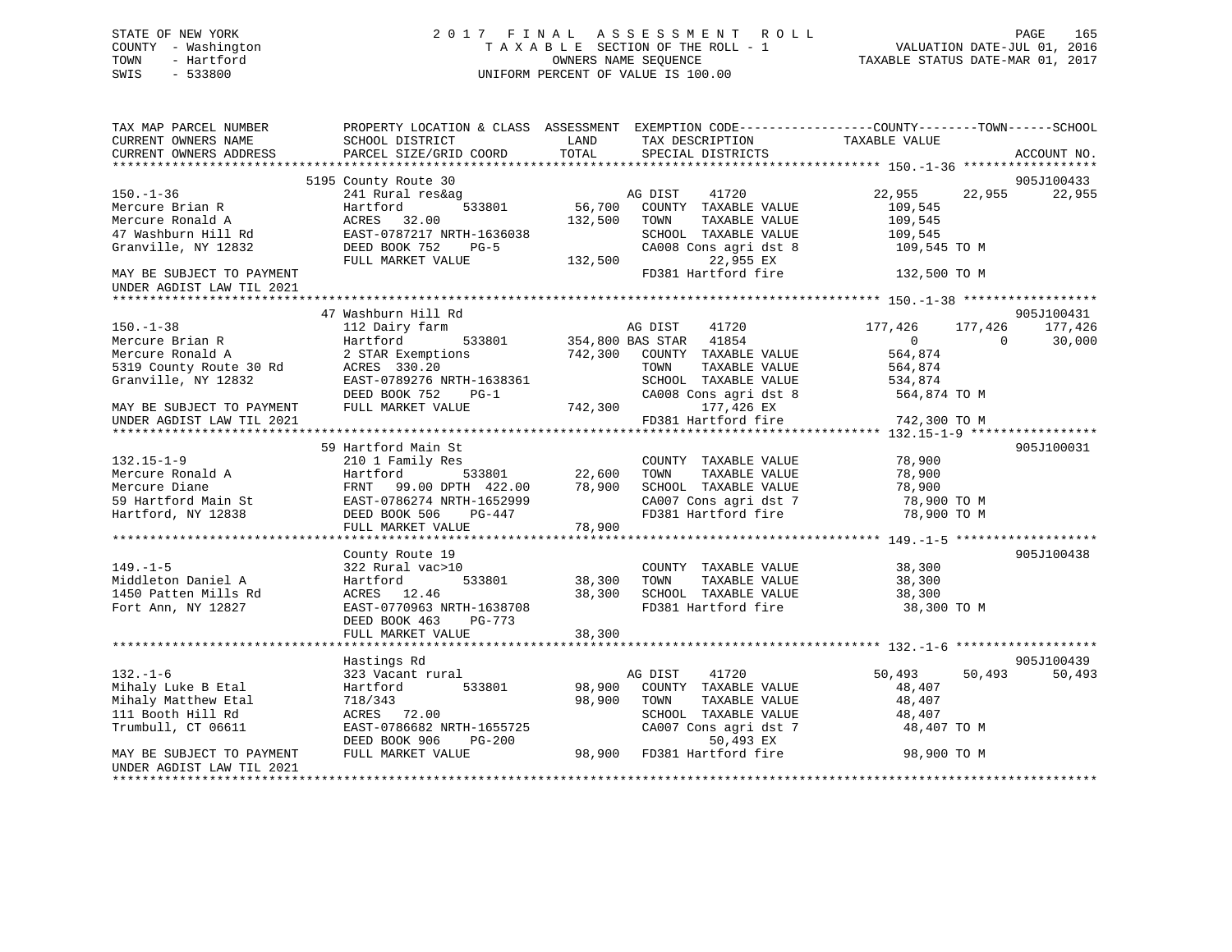# STATE OF NEW YORK 2 0 1 7 F I N A L A S S E S S M E N T R O L L PAGE 165 COUNTY - Washington T A X A B L E SECTION OF THE ROLL - 1 VALUATION DATE-JUL 01, 2016 TOWN - Hartford **TAXABLE STATUS DATE-MAR 01, 2017** SWIS - 533800 UNIFORM PERCENT OF VALUE IS 100.00

| TAX MAP PARCEL NUMBER<br>CURRENT OWNERS NAME<br>CURRENT OWNERS ADDRESS                                   | PROPERTY LOCATION & CLASS ASSESSMENT EXEMPTION CODE----------------COUNTY-------TOWN------SCHOOL<br>SCHOOL DISTRICT<br>PARCEL SIZE/GRID COORD | LAND<br>TOTAL                     | TAX DESCRIPTION TAXABLE VALUE<br>SPECIAL DISTRICTS         |                                    | ACCOUNT NO.              |
|----------------------------------------------------------------------------------------------------------|-----------------------------------------------------------------------------------------------------------------------------------------------|-----------------------------------|------------------------------------------------------------|------------------------------------|--------------------------|
|                                                                                                          |                                                                                                                                               |                                   |                                                            |                                    |                          |
|                                                                                                          | 5195 County Route 30                                                                                                                          |                                   |                                                            |                                    | 905J100433               |
| $150. - 1 - 36$                                                                                          | 241 Rural res&ag                                                                                                                              |                                   | AG DIST 41720                                              | 22,955 22,955                      | 22,955                   |
| Mercure Brian R                                                                                          | 533801<br>Hartford                                                                                                                            | 56,700                            | COUNTY TAXABLE VALUE                                       | 109,545                            |                          |
| Mercure Ronald A                                                                                         | ACRES 32.00                                                                                                                                   | 132,500                           | TOWN<br>TAXABLE VALUE                                      | 109,545                            |                          |
| 47 Washburn Hill Rd                                                                                      | EAST-0787217 NRTH-1636038                                                                                                                     |                                   | SCHOOL TAXABLE VALUE                                       | 109,545                            |                          |
| Granville, NY 12832                                                                                      | DEED BOOK 752<br>$PG-5$                                                                                                                       |                                   | CA008 Cons agri dst 8                                      | 109,545 TO M                       |                          |
|                                                                                                          | FULL MARKET VALUE                                                                                                                             | 132,500                           | 22,955 EX                                                  |                                    |                          |
| MAY BE SUBJECT TO PAYMENT                                                                                |                                                                                                                                               |                                   | FD381 Hartford fire                                        | 132,500 TO M                       |                          |
| UNDER AGDIST LAW TIL 2021                                                                                |                                                                                                                                               |                                   |                                                            |                                    |                          |
|                                                                                                          |                                                                                                                                               |                                   |                                                            |                                    |                          |
|                                                                                                          | 47 Washburn Hill Rd                                                                                                                           |                                   |                                                            |                                    | 905J100431               |
| $150. - 1 - 38$                                                                                          | 112 Dairy farm                                                                                                                                |                                   | AG DIST 41720                                              | 177,426<br>177,426                 | 177,426                  |
| Mercure Brian R                                                                                          | Hartford                                                                                                                                      |                                   | 533801 354,800 BAS STAR 41854                              | $\overline{0}$                     | $\overline{0}$<br>30,000 |
| Mercure Ronald A                                                                                         | 2 STAR Exemptions                                                                                                                             |                                   | 742,300 COUNTY TAXABLE VALUE                               | 564,874                            |                          |
| 5319 County Route 30 Rd                                                                                  | ACRES 330.20                                                                                                                                  |                                   | TAXABLE VALUE<br>TOWN                                      | 564,874                            |                          |
| Granville, NY 12832                                                                                      | EAST-0789276 NRTH-1638361                                                                                                                     |                                   | SCHOOL TAXABLE VALUE                                       | 534,874                            |                          |
|                                                                                                          | DEED BOOK 752<br>$PG-1$                                                                                                                       |                                   |                                                            | CA008 Cons agri dst 8 564,874 TO M |                          |
| MAY BE SUBJECT TO PAYMENT                                                                                | FULL MARKET VALUE                                                                                                                             | 742,300                           | 177,426 EX                                                 |                                    |                          |
| UNDER AGDIST LAW TIL 2021                                                                                |                                                                                                                                               |                                   | FD381 Hartford fire                                        | 742,300 TO M                       |                          |
|                                                                                                          |                                                                                                                                               |                                   |                                                            |                                    |                          |
|                                                                                                          | 59 Hartford Main St                                                                                                                           |                                   |                                                            |                                    | 905J100031               |
| $132.15 - 1 - 9$                                                                                         | 210 1 Family Res                                                                                                                              |                                   | COUNTY TAXABLE VALUE                                       | 78,900                             |                          |
| Mercure Ronald A                                                                                         | Hartford                                                                                                                                      | 533801 22,600<br>TH 422.00 78,900 | TOWN<br>TAXABLE VALUE                                      | 78,900                             |                          |
| Mercure Diane<br>59 Hartford Main St<br>Hartford, NY 12838<br>Hartford, NY 12838<br>DEED BOOK 506 PG-447 | FRNT 99.00 DPTH 422.00                                                                                                                        |                                   | SCHOOL TAXABLE VALUE                                       | 78,900                             |                          |
|                                                                                                          |                                                                                                                                               |                                   | CA007 Cons agri dst 7                                      | 78,900 TO M                        |                          |
| Hartford, NY 12838                                                                                       | DEED BOOK 506 PG-447                                                                                                                          |                                   | FD381 Hartford fire                                        | 78,900 TO M                        |                          |
|                                                                                                          | FULL MARKET VALUE                                                                                                                             | 78,900                            |                                                            |                                    |                          |
|                                                                                                          |                                                                                                                                               |                                   |                                                            |                                    |                          |
|                                                                                                          | County Route 19                                                                                                                               |                                   |                                                            |                                    | 905J100438               |
| $149. - 1 - 5$                                                                                           | 322 Rural vac>10                                                                                                                              |                                   | COUNTY TAXABLE VALUE                                       | 38,300                             |                          |
| Middleton Daniel A                                                                                       | 533801<br>Hartford                                                                                                                            | 38,300                            | TOWN<br>TAXABLE VALUE                                      | 38,300                             |                          |
| 1450 Patten Mills Rd                                                                                     | ACRES 12.46                                                                                                                                   | 38,300                            | SCHOOL TAXABLE VALUE                                       | 38,300                             |                          |
| Fort Ann, NY 12827                                                                                       | EAST-0770963 NRTH-1638708                                                                                                                     |                                   | FD381 Hartford fire                                        | 38,300 TO M                        |                          |
|                                                                                                          | DEED BOOK 463<br>PG-773                                                                                                                       |                                   |                                                            |                                    |                          |
|                                                                                                          | FULL MARKET VALUE                                                                                                                             | 38,300                            |                                                            |                                    |                          |
|                                                                                                          |                                                                                                                                               |                                   |                                                            |                                    |                          |
|                                                                                                          | Hastings Rd                                                                                                                                   |                                   |                                                            |                                    | 905J100439               |
| $132. - 1 - 6$                                                                                           | 323 Vacant rural                                                                                                                              |                                   | AG DIST 41720                                              | 50,493<br>50,493                   | 50,493                   |
| Mihaly Luke B Etal                                                                                       | Hartford<br>533801                                                                                                                            | 98,900                            | COUNTY TAXABLE VALUE                                       | 48,407                             |                          |
| Mihaly Matthew Etal                                                                                      | 718/343                                                                                                                                       | 98,900                            | TOWN<br>TAXABLE VALUE                                      | 48,407                             |                          |
| 111 Booth Hill Rd                                                                                        | ACRES 72.00                                                                                                                                   |                                   |                                                            | 48,407                             |                          |
| Trumbull, CT 06611                                                                                       | EAST-0786682 NRTH-1655725                                                                                                                     |                                   | SCHOOL TAXABLE VALUE<br>CA007 Cons agri dst 7<br>50 493 FX | 48,407 TO M                        |                          |
|                                                                                                          | DEED BOOK 906<br>PG-200                                                                                                                       |                                   | 50,493 EX                                                  |                                    |                          |
| MAY BE SUBJECT TO PAYMENT                                                                                | FULL MARKET VALUE                                                                                                                             |                                   | 98,900 FD381 Hartford fire                                 | 98,900 TO M                        |                          |
| UNDER AGDIST LAW TIL 2021                                                                                |                                                                                                                                               |                                   |                                                            |                                    |                          |
|                                                                                                          |                                                                                                                                               |                                   |                                                            |                                    |                          |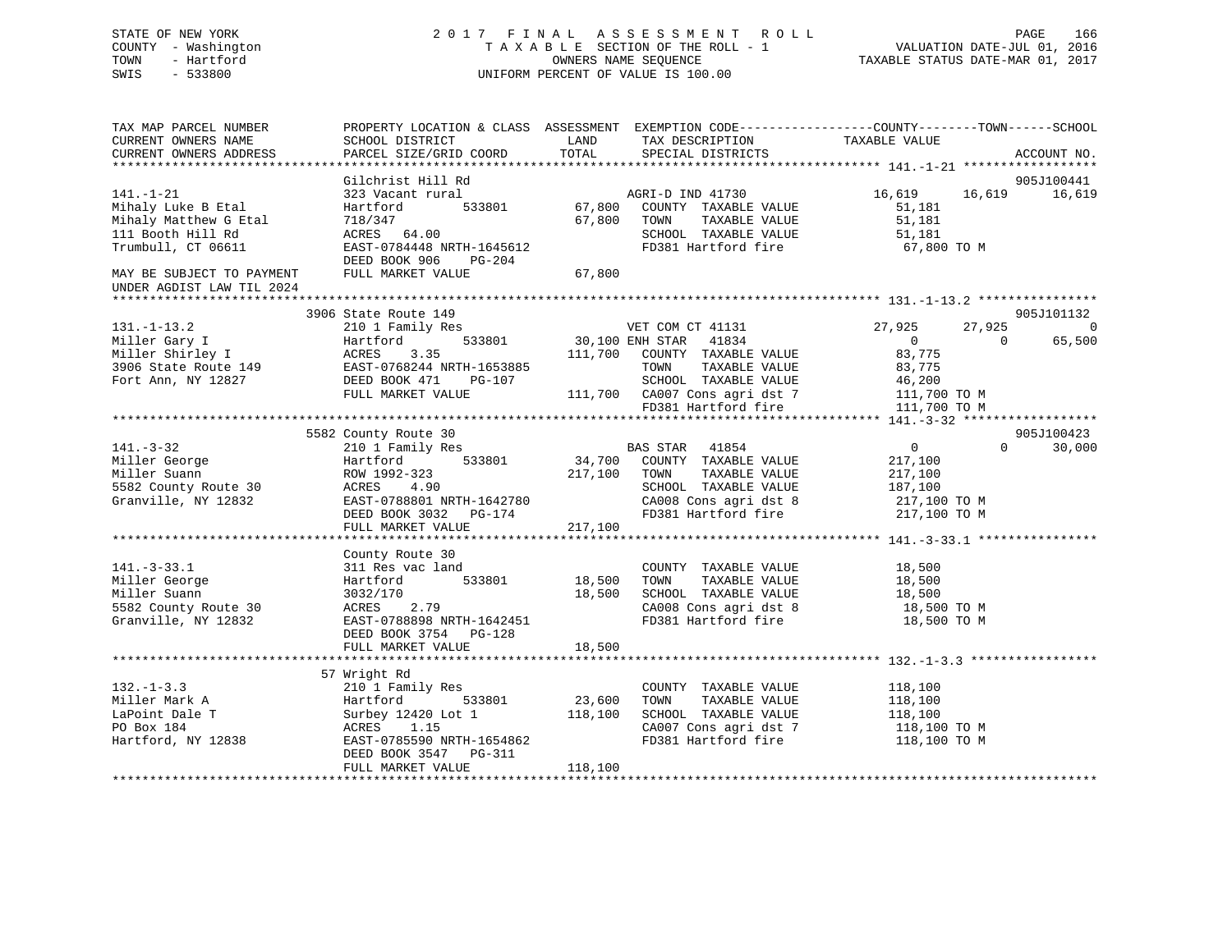# STATE OF NEW YORK 2 0 1 7 F I N A L A S S E S S M E N T R O L L PAGE 166 COUNTY - Washington T A X A B L E SECTION OF THE ROLL - 1 VALUATION DATE-JUL 01, 2016 TOWN - Hartford **TAXABLE STATUS DATE-MAR 01, 2017** SWIS - 533800 UNIFORM PERCENT OF VALUE IS 100.00

| TAX MAP PARCEL NUMBER<br>CURRENT OWNERS NAME<br>CURRENT OWNERS ADDRESS                                    | PROPERTY LOCATION & CLASS ASSESSMENT EXEMPTION CODE----------------COUNTY-------TOWN------SCHOOL<br>SCHOOL DISTRICT<br>PARCEL SIZE/GRID COORD                                 | LAND<br>TOTAL                | TAX DESCRIPTION<br>SPECIAL DISTRICTS                                                                                                                                       | TAXABLE VALUE                                                                                                | ACCOUNT NO.                            |
|-----------------------------------------------------------------------------------------------------------|-------------------------------------------------------------------------------------------------------------------------------------------------------------------------------|------------------------------|----------------------------------------------------------------------------------------------------------------------------------------------------------------------------|--------------------------------------------------------------------------------------------------------------|----------------------------------------|
|                                                                                                           |                                                                                                                                                                               |                              |                                                                                                                                                                            |                                                                                                              |                                        |
| $141. - 1 - 21$<br>Mihaly Luke B Etal<br>Mihaly Matthew G Etal<br>111 Booth Hill Rd<br>Trumbull, CT 06611 | Gilchrist Hill Rd<br>323 Vacant rural<br>533801<br>Hartford<br>718/347<br>ACRES 64.00<br>EAST-0784448 NRTH-1645612<br>DEED BOOK 906<br>PG-204                                 | 67,800<br>67,800             | AGRI-D IND 41730<br>COUNTY TAXABLE VALUE<br>TOWN<br>TAXABLE VALUE<br>SCHOOL TAXABLE VALUE<br>FD381 Hartford fire                                                           | 16,619<br>16,619<br>51,181<br>51,181<br>51,181<br>67,800 TO M                                                | 905J100441<br>16,619                   |
| MAY BE SUBJECT TO PAYMENT<br>UNDER AGDIST LAW TIL 2024                                                    | FULL MARKET VALUE                                                                                                                                                             | 67,800                       |                                                                                                                                                                            |                                                                                                              |                                        |
|                                                                                                           |                                                                                                                                                                               |                              |                                                                                                                                                                            |                                                                                                              |                                        |
| $131. - 1 - 13.2$<br>Miller Gary I<br>Miller Shirley I<br>3906 State Route 149<br>Fort Ann, NY 12827      | 3906 State Route 149<br>210 1 Family Res<br>533801<br>Hartford<br>ACRES<br>3.35<br>EAST-0768244 NRTH-1653885<br>DEED BOOK 471<br>PG-107<br>FULL MARKET VALUE                  | 111,700                      | VET COM CT 41131<br>30,100 ENH STAR 41834<br>COUNTY TAXABLE VALUE<br>TOWN<br>TAXABLE VALUE<br>SCHOOL TAXABLE VALUE<br>111,700 CA007 Cons agri dst 7<br>FD381 Hartford fire | 27,925<br>27,925<br>$\overline{0}$<br>$\Omega$<br>83,775<br>83,775<br>46,200<br>111,700 TO M<br>111,700 TO M | 905J101132<br>$\overline{0}$<br>65,500 |
|                                                                                                           |                                                                                                                                                                               |                              |                                                                                                                                                                            |                                                                                                              |                                        |
| $141. - 3 - 32$<br>Miller George<br>Miller Suann<br>5582 County Route 30<br>Granville, NY 12832           | 5582 County Route 30<br>210 1 Family Res<br>Hartford<br>533801<br>ROW 1992-323<br>ACRES<br>4.90<br>EAST-0788801 NRTH-1642780<br>DEED BOOK 3032<br>PG-174<br>FULL MARKET VALUE | 34,700<br>217,100<br>217,100 | BAS STAR 41854<br>COUNTY TAXABLE VALUE<br>TOWN<br>TAXABLE VALUE<br>SCHOOL TAXABLE VALUE<br>CA008 Cons agri dst 8<br>FD381 Hartford fire                                    | $0 \qquad \qquad$<br>$\Omega$<br>217,100<br>217,100<br>187,100<br>217,100 TO M<br>217,100 TO M               | 905J100423<br>30,000                   |
| $141. - 3 - 33.1$<br>Miller George<br>Miller Suann<br>5582 County Route 30<br>Granville, NY 12832         | County Route 30<br>311 Res vac land<br>533801<br>Hartford<br>3032/170<br>ACRES 2.79<br>EAST-0788898 NRTH-1642451<br>DEED BOOK 3754 PG-128<br>FULL MARKET VALUE                | 18,500<br>18,500<br>18,500   | COUNTY TAXABLE VALUE<br>TAXABLE VALUE<br>TOWN<br>SCHOOL TAXABLE VALUE<br>CA008 Cons agri dst 8<br>FD381 Hartford fire                                                      | 18,500<br>18,500<br>18,500<br>18,500 TO M<br>18,500 TO M                                                     |                                        |
|                                                                                                           |                                                                                                                                                                               |                              |                                                                                                                                                                            |                                                                                                              |                                        |
| $132 - 1 - 3.3$<br>Miller Mark A<br>LaPoint Dale T<br>PO Box 184<br>Hartford, NY 12838                    | 57 Wright Rd<br>210 1 Family Res<br>533801<br>Hartford<br>Surbey 12420 Lot 1<br>1.15<br>ACRES<br>EAST-0785590 NRTH-1654862<br>DEED BOOK 3547<br>PG-311                        | 23,600<br>118,100            | COUNTY TAXABLE VALUE<br>TOWN<br>TAXABLE VALUE<br>SCHOOL TAXABLE VALUE<br>CA007 Cons agri dst 7<br>FD381 Hartford fire                                                      | 118,100<br>118,100<br>118,100<br>118,100 TO M<br>118,100 TO M                                                |                                        |
|                                                                                                           | FULL MARKET VALUE                                                                                                                                                             | 118,100                      |                                                                                                                                                                            |                                                                                                              |                                        |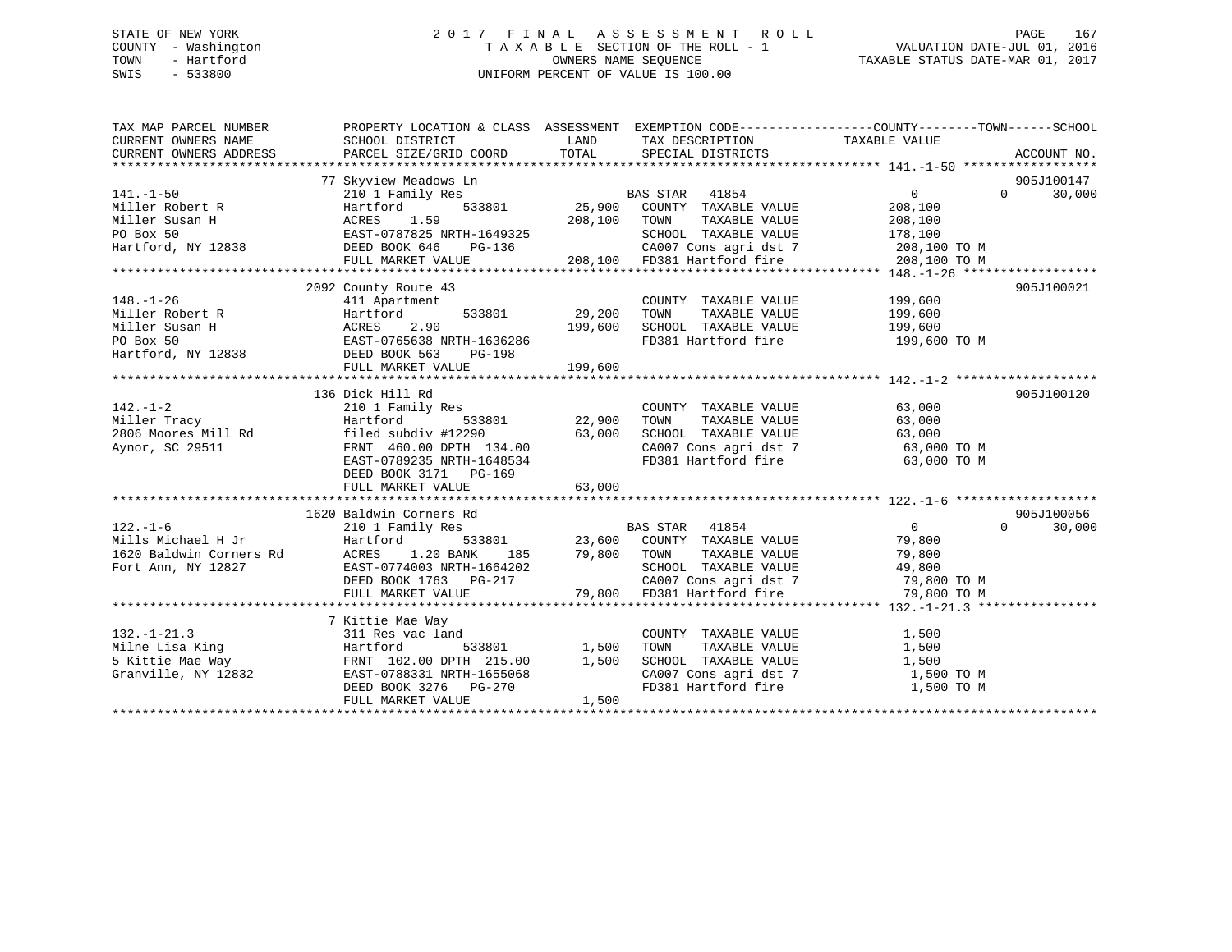# STATE OF NEW YORK 2 0 1 7 F I N A L A S S E S S M E N T R O L L PAGE 167 COUNTY - Washington T A X A B L E SECTION OF THE ROLL - 1 VALUATION DATE-JUL 01, 2016 TOWN - Hartford **TAXABLE STATUS DATE-MAR 01, 2017** SWIS - 533800 UNIFORM PERCENT OF VALUE IS 100.00

| TAX MAP PARCEL NUMBER<br>CURRENT OWNERS NAME | PROPERTY LOCATION & CLASS ASSESSMENT EXEMPTION CODE---------------COUNTY-------TOWN------SCHOOL<br>SCHOOL DISTRICT                                                                                                                                                                                                                                                                                                 | <b>LAND</b> | TAX DESCRIPTION TAXABLE VALUE                                                                                                                                                                                                                                                           |                                       |                                  |
|----------------------------------------------|--------------------------------------------------------------------------------------------------------------------------------------------------------------------------------------------------------------------------------------------------------------------------------------------------------------------------------------------------------------------------------------------------------------------|-------------|-----------------------------------------------------------------------------------------------------------------------------------------------------------------------------------------------------------------------------------------------------------------------------------------|---------------------------------------|----------------------------------|
| $141. - 1 - 50$                              | 77 Skyview Meadows Ln<br>210 1 Family Res<br>141.-1-50 $\text{Miller Robert R}$ $\text{Miller System H}$<br>$\text{Miller Susan H}$ $\text{ACRES}$ 1.59 $\text{EAST}-0787825 \text{ NATH}-1649325$<br>$\text{EAST}-0787825 \text{ NATH}-1649325$<br>$\text{DEED BOOK 646}$ $\text{PG}-136$ 208,100 $\text{TDSED}$ 208,100 $\text{DRED}$ 2000 $\text{MATE}$ 208,100 $\text{MSE}$ 208,100 $\$                        |             | <b>BAS STAR</b> 41854                                                                                                                                                                                                                                                                   | $\overline{0}$                        | 905J100147<br>30,000<br>$\Omega$ |
|                                              |                                                                                                                                                                                                                                                                                                                                                                                                                    |             |                                                                                                                                                                                                                                                                                         |                                       |                                  |
| $148. - 1 - 26$                              | 2092 County Route 43<br>miller Robert R<br>Miller Susan H<br>Miller Susan H<br>PO Box 50<br>Hartford 533801 29,200<br>PO Box 50<br>Hartford, NY 12838<br>DEED BOOK 563<br>DEED BOOK 563<br>PO PO Box 50<br>PO Box 50<br>Hartford, NY 12838<br>DEED BOOK 563<br>PO PO PO PO PO PO                                                                                                                                   |             | COUNTY TAXABLE VALUE 199,600<br>TOWN<br>SCHOOL TAXABLE VALUE 199,600<br>FD381 Hartford fire                                                                                                                                                                                             | TAXABLE VALUE 199,600<br>199,600 TO M | 905J100021                       |
|                                              | 136 Dick Hill Rd<br>142.-1-2<br>Miller Tracy<br>210 1 Family Res<br>22,900 TOWN<br>22,900 TOWN<br>22,900 TOWN<br>22,900 TOWN<br>22,900 TOWN<br>22,900 TOWN<br>2306 Moores Mill Rd<br>2306 Moores Mill Rd<br>2306 G3,000 SCHOOL<br>23,000 SCHOOL<br>23,000 SCHOOL<br>23,000 SCH<br>filed subdiv #12290 63,000<br>FRNT 460.00 DPTH 134.00<br>EAST-0789235 NRTH-1648534<br>DEED BOOK 3171 PG-169<br>FULL MARKET VALUE | 63,000      | COUNTY TAXABLE VALUE 63,000<br>TOWN TAXABLE VALUE 63,000<br>SCHOOL TAXABLE VALUE<br>CA007 Cons agri dst 7 63,000 TO M<br>FD381 Hartford fire 63,000 TO M                                                                                                                                |                                       | 905J100120                       |
|                                              |                                                                                                                                                                                                                                                                                                                                                                                                                    |             |                                                                                                                                                                                                                                                                                         |                                       |                                  |
|                                              | 1620 Baldwin Corners Rd<br>EAST-0774003 NRTH-1664202<br>DEED BOOK 1763 PG-217<br>FULL MARKET VALUE                                                                                                                                                                                                                                                                                                                 |             | Rd<br>533801 23,600 COUNTY TAXABLE VALUE 79,800<br>3.000 10000 10000 10000 10000 10000 10000 10000 10000 10000 10000 10000 10000 10000 10000 10000 10000 10000 10<br>1664202 1664202 16000 16000 16000 16000 16000 16000 16000 16000 16000 16000 16000 16000 17000 17000 17000 170<br>1 | $\overline{0}$                        | 905J100056<br>30,000<br>$\Omega$ |
|                                              | 7 Kittie Mae Way                                                                                                                                                                                                                                                                                                                                                                                                   |             |                                                                                                                                                                                                                                                                                         |                                       |                                  |
|                                              | 132.-1-21.3<br>Milne Lisa King<br>5 Kittie Mae Way<br>5 Kittie Mae Way<br>6 Granville, NY 12832<br>7 Granville, NY 12832<br>7 Granville, NY 12832<br>8 Granville, NY 12832<br>8 Granville, NY 12832<br>8 Granville, NY 12832<br>8 Granville, NY 12<br>DEED BOOK 3276 PG-270<br>FULL MARKET VALUE                                                                                                                   | 1,500       | COUNTY TAXABLE VALUE<br>TOWN       TAXABLE  VALUE<br>SCHOOL    TAXABLE  VALUE<br>CA007 Cons agri dst 7 1,500 TO M<br>FD381 Hartford fire                                                                                                                                                | 1,500<br>1,500<br>1,500<br>1,500 TO M |                                  |
|                                              |                                                                                                                                                                                                                                                                                                                                                                                                                    |             |                                                                                                                                                                                                                                                                                         |                                       |                                  |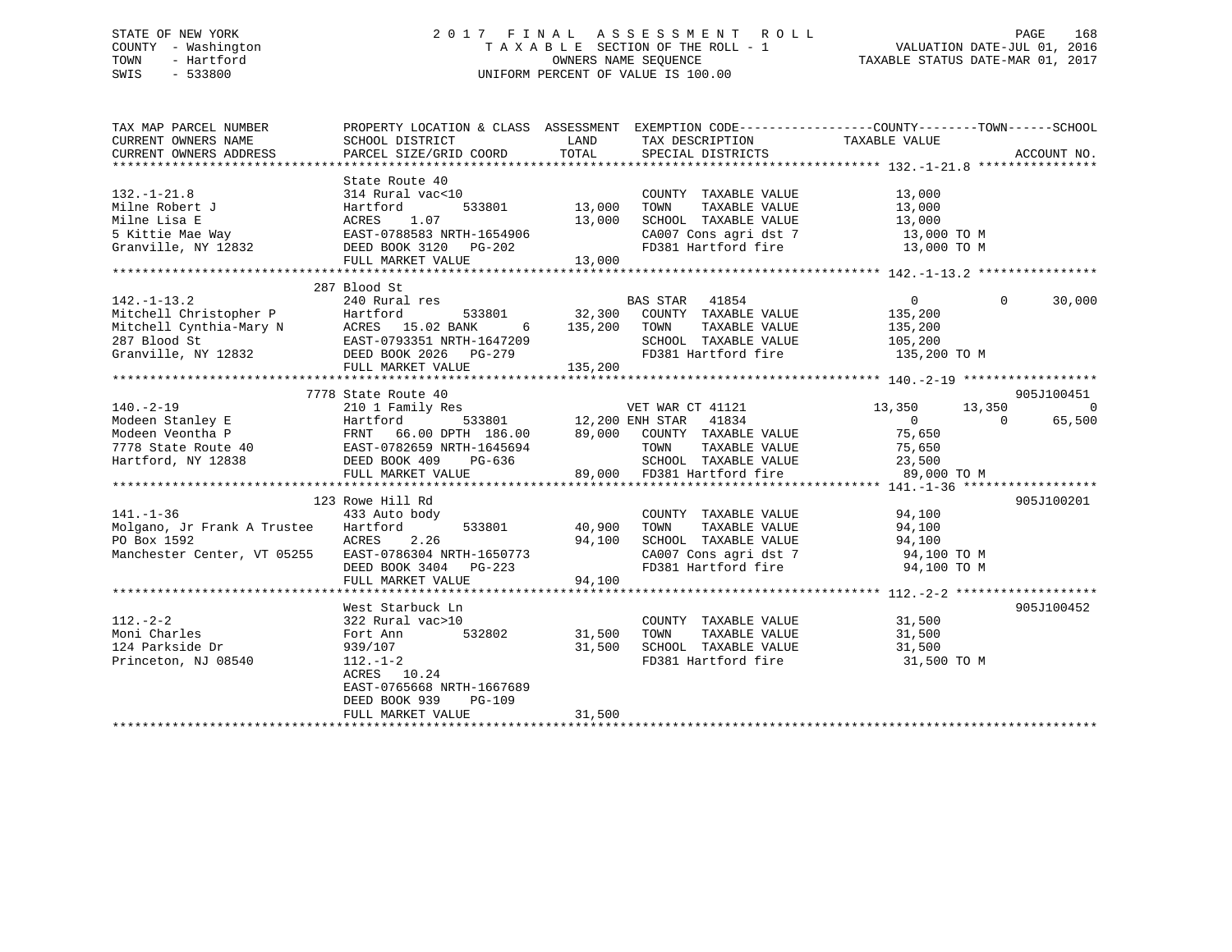# STATE OF NEW YORK 2 0 1 7 F I N A L A S S E S S M E N T R O L L PAGE 168 COUNTY - Washington T A X A B L E SECTION OF THE ROLL - 1 VALUATION DATE-JUL 01, 2016 TOWN - Hartford **TAXABLE STATUS DATE-MAR 01, 2017** SWIS - 533800 UNIFORM PERCENT OF VALUE IS 100.00

| TAX MAP PARCEL NUMBER                                                                                                                                                                                                                                                                                                                                                                                                               | PROPERTY LOCATION & CLASS ASSESSMENT EXEMPTION CODE---------------COUNTY-------TOWN-----SCHOOL |        |                                                                                  |                                           |                |
|-------------------------------------------------------------------------------------------------------------------------------------------------------------------------------------------------------------------------------------------------------------------------------------------------------------------------------------------------------------------------------------------------------------------------------------|------------------------------------------------------------------------------------------------|--------|----------------------------------------------------------------------------------|-------------------------------------------|----------------|
|                                                                                                                                                                                                                                                                                                                                                                                                                                     |                                                                                                |        |                                                                                  |                                           |                |
| $132. - 1 - 21.8$<br>132.-1-21.8<br>Milne Robert J<br>Milne Lisa E<br>5 Kittie Mae Way<br>Granville, NY 12832<br>TULL MARKET VALUE<br>TULL MARKET VALUE<br>CONGERED BOOK 3120<br>PG-202<br>TULL MARKET VALUE<br>CONGERED BOOK 3120<br>CONGERED BOOK 3120<br>CONGERED BOOK 3                                                                                                                                                         | State Route 40<br>314 Rural vac<10                                                             |        | COUNTY TAXABLE VALUE<br>TOWN TAXABLE VALUE 13,000<br>SCHOOL TAXABLE VALUE 13,000 | 13,000                                    |                |
|                                                                                                                                                                                                                                                                                                                                                                                                                                     |                                                                                                |        |                                                                                  |                                           |                |
|                                                                                                                                                                                                                                                                                                                                                                                                                                     |                                                                                                |        | CA007 Cons agri dst 7 $13,000$ TO M                                              |                                           |                |
|                                                                                                                                                                                                                                                                                                                                                                                                                                     |                                                                                                |        | FD381 Hartford fire 13,000 TO M                                                  |                                           |                |
|                                                                                                                                                                                                                                                                                                                                                                                                                                     |                                                                                                |        |                                                                                  |                                           |                |
|                                                                                                                                                                                                                                                                                                                                                                                                                                     | 287 Blood St                                                                                   |        |                                                                                  |                                           |                |
|                                                                                                                                                                                                                                                                                                                                                                                                                                     |                                                                                                |        |                                                                                  |                                           |                |
|                                                                                                                                                                                                                                                                                                                                                                                                                                     |                                                                                                |        |                                                                                  |                                           |                |
|                                                                                                                                                                                                                                                                                                                                                                                                                                     |                                                                                                |        |                                                                                  |                                           |                |
|                                                                                                                                                                                                                                                                                                                                                                                                                                     |                                                                                                |        |                                                                                  |                                           |                |
|                                                                                                                                                                                                                                                                                                                                                                                                                                     |                                                                                                |        |                                                                                  |                                           |                |
|                                                                                                                                                                                                                                                                                                                                                                                                                                     |                                                                                                |        |                                                                                  |                                           |                |
| 38/ BAS STAR 41854 0<br>Mitchell Christopher P Hartford 533801 32,300 COUNTY TAXABLE VALUE 135,200<br>Mitchell Cynthia-Mary N ACRES 15.02 BANK<br>287 Blood St EAST-0793351 INTH-1647209 SCHOOL TAXABLE VALUE 135,200<br>327 Blood St                                                                                                                                                                                               |                                                                                                |        |                                                                                  |                                           |                |
| $\begin{tabular}{lllllllllllllllllllll} \hline & 140.-2-19 & 7778 \text{ State Route }40 & \text{VET WAR CT }41121 & 13,350 & 13,350 \\ \hline \text{Modern Stanley E} & Hartford & 533801 & 12,200 \text{ ENH STAR }41834 & 0 \\ \text{Modern Ventha P} & F\text{RNT} & 66.00 \text{ DPTH } 186.00 & 89,000 & \text{COUNTY TAXABLE VALUE} & 75,650 \\ \text{7778 State Route }40 & \text{EAST-0782659 NRTH-164$                    |                                                                                                |        |                                                                                  |                                           | 905J100451     |
|                                                                                                                                                                                                                                                                                                                                                                                                                                     |                                                                                                |        | VET WAR CT 41121 13,350 13,350                                                   |                                           | $\overline{0}$ |
|                                                                                                                                                                                                                                                                                                                                                                                                                                     |                                                                                                |        |                                                                                  |                                           | 65,500         |
|                                                                                                                                                                                                                                                                                                                                                                                                                                     |                                                                                                |        |                                                                                  | $\begin{matrix}0&&&&0\end{matrix}$ 75,650 |                |
|                                                                                                                                                                                                                                                                                                                                                                                                                                     |                                                                                                |        |                                                                                  |                                           |                |
|                                                                                                                                                                                                                                                                                                                                                                                                                                     |                                                                                                |        |                                                                                  |                                           |                |
|                                                                                                                                                                                                                                                                                                                                                                                                                                     |                                                                                                |        |                                                                                  |                                           |                |
|                                                                                                                                                                                                                                                                                                                                                                                                                                     |                                                                                                |        |                                                                                  |                                           |                |
|                                                                                                                                                                                                                                                                                                                                                                                                                                     | 123 Rowe Hill Rd                                                                               |        |                                                                                  |                                           | 905J100201     |
|                                                                                                                                                                                                                                                                                                                                                                                                                                     |                                                                                                |        |                                                                                  |                                           |                |
|                                                                                                                                                                                                                                                                                                                                                                                                                                     |                                                                                                |        |                                                                                  |                                           |                |
|                                                                                                                                                                                                                                                                                                                                                                                                                                     |                                                                                                |        |                                                                                  |                                           |                |
| 141.-1-36<br>$\begin{array}{ccccccccc}\n & & & & & & 123 & \text{Kowe Hill KA} & & & & & & \text{COUNTYY TAXABLE VALUE} & & & & 94,100 & & & & & \text{Molgano, Jr Frank A Trustee} & & & & & & 433 & \text{Auto body} & & & & & & & \text{A.} & & & \text{A.} & & \text{B.} & & \text{B.} & & \text{B.} & & \text{B.} & & \text{C.} & & \text{D.} & & \text{D.} & & \text{D.} & & \text{D.} & & \text{D.} & & \text{D.} & & \text$ |                                                                                                |        |                                                                                  |                                           |                |
|                                                                                                                                                                                                                                                                                                                                                                                                                                     |                                                                                                |        |                                                                                  |                                           |                |
|                                                                                                                                                                                                                                                                                                                                                                                                                                     |                                                                                                |        |                                                                                  |                                           |                |
|                                                                                                                                                                                                                                                                                                                                                                                                                                     |                                                                                                |        |                                                                                  |                                           |                |
|                                                                                                                                                                                                                                                                                                                                                                                                                                     | West Starbuck Ln                                                                               |        |                                                                                  |                                           | 905J100452     |
| $112. - 2 - 2$                                                                                                                                                                                                                                                                                                                                                                                                                      | 322 Rural vac>10                                                                               |        | COUNTY TAXABLE VALUE 31,500                                                      |                                           |                |
| Moni Charles                                                                                                                                                                                                                                                                                                                                                                                                                        | 532802 31,500                                                                                  |        | TOWN                                                                             |                                           |                |
| $322$ Rural<br>$322$ Rural<br>$80r$<br>$939/107$<br>124 Parkside Dr                                                                                                                                                                                                                                                                                                                                                                 | 939/107                                                                                        |        | TAXABLE VALUE 31,500<br>TAXABLE VALUE 31,500                                     |                                           |                |
| Princeton, NJ 08540                                                                                                                                                                                                                                                                                                                                                                                                                 | $112. - 1 - 2$                                                                                 | 31,500 |                                                                                  |                                           |                |
|                                                                                                                                                                                                                                                                                                                                                                                                                                     | ACRES 10.24                                                                                    |        |                                                                                  |                                           |                |
|                                                                                                                                                                                                                                                                                                                                                                                                                                     | EAST-0765668 NRTH-1667689                                                                      |        |                                                                                  |                                           |                |
|                                                                                                                                                                                                                                                                                                                                                                                                                                     | DEED BOOK 939<br>PG-109                                                                        |        |                                                                                  |                                           |                |
|                                                                                                                                                                                                                                                                                                                                                                                                                                     | FULL MARKET VALUE                                                                              | 31,500 |                                                                                  |                                           |                |
|                                                                                                                                                                                                                                                                                                                                                                                                                                     |                                                                                                |        |                                                                                  |                                           |                |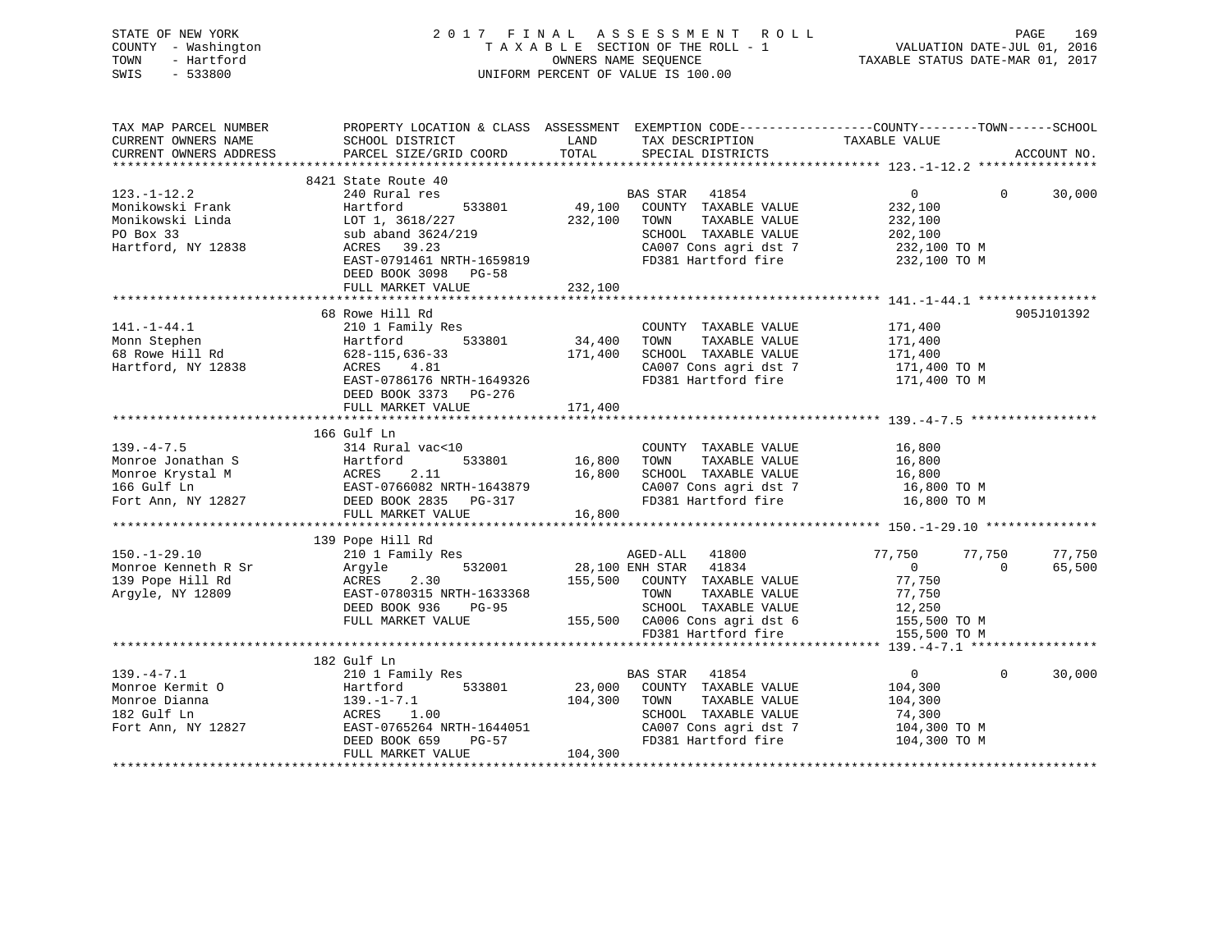| STATE OF NEW YORK<br>COUNTY - Washington<br>- Hartford<br>TOWN<br>$-533800$<br>SWIS          | 2017 FINAL<br>A S S E S S M E N T R O L L<br>TAXABLE SECTION OF THE ROLL - 1<br>OWNERS NAME SEQUENCE - 1<br>OWNERS NAME SECTION OF THE ROLL - 1<br>TAXABLE STATUS DATE-MAR 01, 2017<br>UNIFORM PERCENT OF VALUE IS 100.00                                        |                                   |                                                                                                                                                 |                              | 169<br>PAGE              |
|----------------------------------------------------------------------------------------------|------------------------------------------------------------------------------------------------------------------------------------------------------------------------------------------------------------------------------------------------------------------|-----------------------------------|-------------------------------------------------------------------------------------------------------------------------------------------------|------------------------------|--------------------------|
| CURRENT OWNERS NAME SCHOOL DISTRICT                                                          | TAX MAP PARCEL NUMBER THE PROPERTY LOCATION & CLASS ASSESSMENT EXEMPTION CODE---------------COUNTY-------TOWN-----SCHOOL<br>CURRENT OWNERS ADDRESS PARCEL SIZE/GRID COORD TOTAL SPECIAL DISTRICTS                                                                |                                   | LAND TAX DESCRIPTION TAXABLE VALUE                                                                                                              |                              | ACCOUNT NO.              |
| $123. - 1 - 12.2$<br>Monikowski Frank<br>Monikowski Linda<br>PO Box 33<br>Hartford, NY 12838 | 8421 State Route 40<br>240 Rural res<br>Hartford<br>LOT 1, 3618/227 232,100 TOWN<br>sub aband 3624/219<br>ACRES 39.23<br>EAST-0791461 NRTH-1659819<br>EAST-0791461 NRTH-1659819<br>FD381 Hartford fire 232,100 TO M<br>DEED BOOK 3098 PG-58<br>FULL MARKET VALUE | 232,100                           | es<br>533801 69,100 COUNTY TAXABLE VALUE<br>TAXABLE VALUE 232,100<br>SCHOOL TAXABLE VALUE 202,100                                               | $\overline{0}$<br>232,100    | $\overline{0}$<br>30,000 |
| $141. - 1 - 44.1$<br>Monn Stephen<br>68 Rowe Hill Rd<br>Hartford, NY 12838                   | 68 Rowe Hill Rd<br>210 1 Family Res<br>Hartford 533801 34,400 TOWN<br>628-115,636-33<br>ACRES 4.81<br>EAST-0786176 NRTH-1649326<br>DEED BOOK 3373 PG-276<br>FULL MARKET VALUE                                                                                    | 171,400                           | COUNTY TAXABLE VALUE 171,400<br>TAXABLE VALUE 171,400<br>171,400 SCHOOL TAXABLE VALUE 171,400<br>CA007 Cons agri dst 7<br>FD381 Hartford fire   | 171,400 TO M<br>171,400 TO M | 905J101392               |
| $139. -4 - 7.5$<br>Monroe Jonathan S<br>166 Gulf Ln<br>Fort Ann, NY 12827                    | 166 Gulf Ln<br>314 Rural vac<10<br>Hartford<br>Monroe Krystal M MCRES 2.11<br>EAST-0766082 NRTH-1643879<br>DEED BOOK 2835 PG-317<br>FULL MARKET VALUE                                                                                                            | 533801 16,800<br>16,800<br>16,800 | COUNTY TAXABLE VALUE 16,800<br>TOWN<br>TAXABLE VALUE<br>SCHOOL TAXABLE VALUE 16,800<br>CA007 Cons agri dst 7<br>FD381 Hartford fire 16,800 TO M | 16,800<br>16,800 TO M        |                          |

|                     | FULL MARALI VALUE         | TO 'OOO                            |                  |                    |
|---------------------|---------------------------|------------------------------------|------------------|--------------------|
|                     |                           |                                    |                  |                    |
|                     | 139 Pope Hill Rd          |                                    |                  |                    |
| $150.-1-29.10$      | 210 1 Family Res          | 41800<br>AGED-ALL                  | 77,750<br>77,750 | 77,750             |
| Monroe Kenneth R Sr | 532001<br>Arqyle          | 28,100 ENH STAR<br>41834           |                  | 65,500<br>$\Omega$ |
| 139 Pope Hill Rd    | 2.30<br>ACRES             | 155,500<br>COUNTY<br>TAXABLE VALUE | 77,750           |                    |
| Arqyle, NY 12809    | EAST-0780315 NRTH-1633368 | TOWN<br>TAXABLE VALUE              | 77.750           |                    |
|                     | DEED BOOK 936<br>PG-95    | SCHOOL<br>TAXABLE VALUE            | 12,250           |                    |
|                     | FULL MARKET VALUE         | 155,500<br>CA006 Cons agri dst 6   | 155,500 TO M     |                    |
|                     |                           | FD381 Hartford fire                | 155,500 TO M     |                    |
|                     |                           |                                    |                  |                    |
|                     | 182 Gulf Ln               |                                    |                  |                    |
| $139. -4 - 7.1$     | 210 1 Family Res          | 41854<br>BAS STAR                  |                  | 30,000<br>$\Omega$ |
| Monroe Kermit O     | 533801<br>Hartford        | 23,000<br>COUNTY<br>TAXABLE VALUE  | 104,300          |                    |
| Monroe Dianna       | 139.-1-7.1                | 104,300<br>TAXABLE VALUE<br>TOWN   | 104,300          |                    |
| 182 Gulf Ln         | 1.00<br>ACRES             | TAXABLE VALUE<br>SCHOOL            | 74,300           |                    |
| Fort Ann, NY 12827  | EAST-0765264 NRTH-1644051 | CA007 Cons agri dst 7              | 104,300 TO M     |                    |
|                     | DEED BOOK 659<br>PG-57    | FD381 Hartford fire                | 104,300 TO M     |                    |

\*\*\*\*\*\*\*\*\*\*\*\*\*\*\*\*\*\*\*\*\*\*\*\*\*\*\*\*\*\*\*\*\*\*\*\*\*\*\*\*\*\*\*\*\*\*\*\*\*\*\*\*\*\*\*\*\*\*\*\*\*\*\*\*\*\*\*\*\*\*\*\*\*\*\*\*\*\*\*\*\*\*\*\*\*\*\*\*\*\*\*\*\*\*\*\*\*\*\*\*\*\*\*\*\*\*\*\*\*\*\*\*\*\*\*\*\*\*\*\*\*\*\*\*\*\*\*\*\*\*\*\*

DEED BOOK 659 PG-57<br>FULL MARKET VALUE 104,300

FULL MARKET VALUE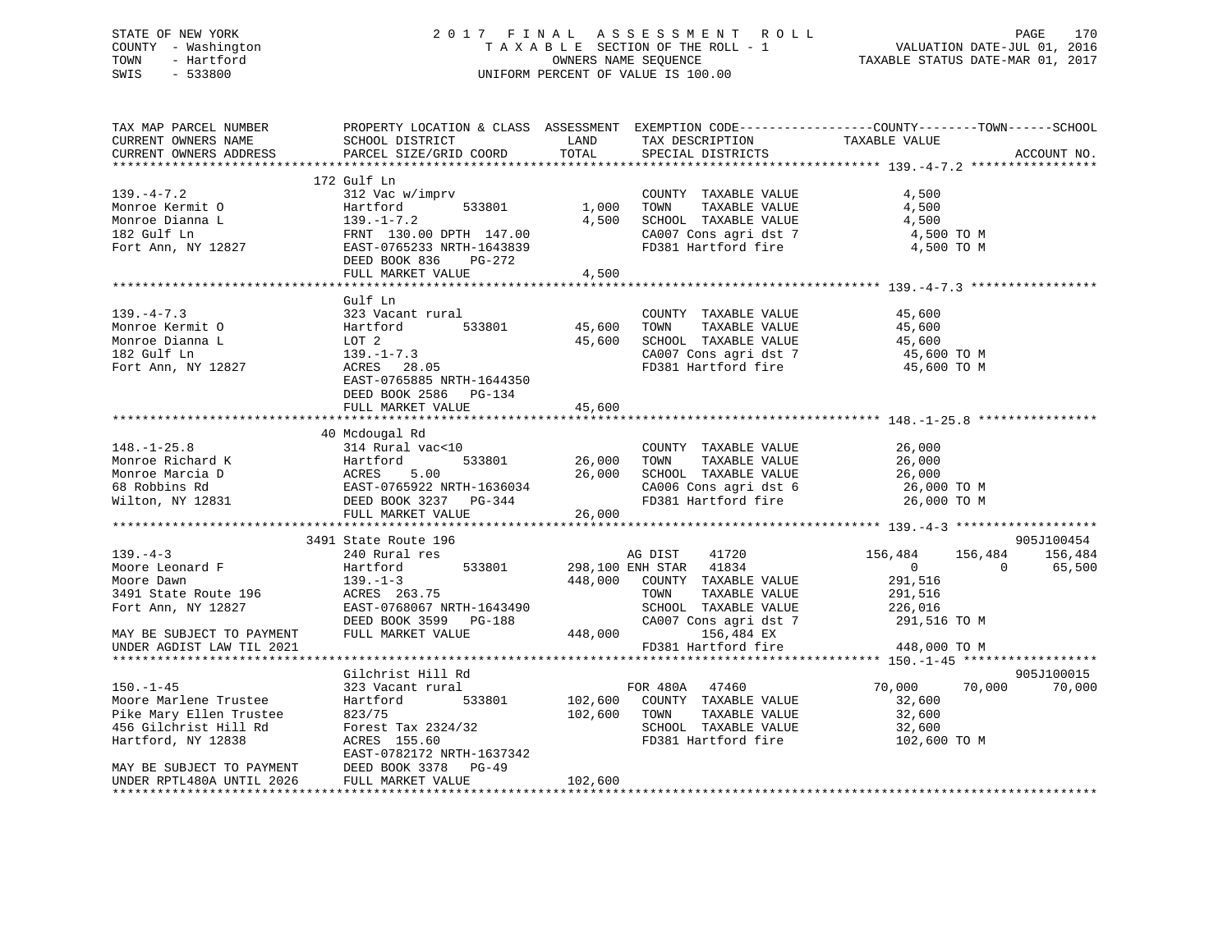# STATE OF NEW YORK 2 0 1 7 F I N A L A S S E S S M E N T R O L L PAGE 170 COUNTY - Washington T A X A B L E SECTION OF THE ROLL - 1 VALUATION DATE-JUL 01, 2016 TOWN - Hartford **TAXABLE STATUS DATE-MAR 01, 2017** SWIS - 533800 UNIFORM PERCENT OF VALUE IS 100.00

| TAX MAP PARCEL NUMBER     |                                                                    |         |                        | PROPERTY LOCATION & CLASS ASSESSMENT EXEMPTION CODE---------------COUNTY-------TOWN------SCHOOL |             |
|---------------------------|--------------------------------------------------------------------|---------|------------------------|-------------------------------------------------------------------------------------------------|-------------|
| CURRENT OWNERS NAME       | SCHOOL DISTRICT                                                    | LAND    | TAX DESCRIPTION        | TAXABLE VALUE                                                                                   |             |
| CURRENT OWNERS ADDRESS    | PARCEL SIZE/GRID COORD                                             | TOTAL   | SPECIAL DISTRICTS      |                                                                                                 | ACCOUNT NO. |
|                           |                                                                    |         |                        |                                                                                                 |             |
|                           | 172 Gulf Ln                                                        |         |                        |                                                                                                 |             |
| $139. -4 - 7.2$           | 312 Vac w/imprv                                                    |         | COUNTY TAXABLE VALUE   | 4,500                                                                                           |             |
| Monroe Kermit O           | 533801<br>Hartford                                                 | 1,000   | TAXABLE VALUE<br>TOWN  | 4,500                                                                                           |             |
| Monroe Dianna L           |                                                                    | 4,500   | SCHOOL TAXABLE VALUE   | 4,500                                                                                           |             |
| 182 Gulf Ln               |                                                                    |         | CA007 Cons agri dst 7  | 4,500 TO M                                                                                      |             |
| Fort Ann, NY 12827        | 139.-1-7.2<br>FRNT 130.00 DPTH 147.00<br>EAST-0765233 NRTH-1643839 |         | FD381 Hartford fire    | 4,500 TO M                                                                                      |             |
|                           | DEED BOOK 836<br>PG-272                                            |         |                        |                                                                                                 |             |
|                           | FULL MARKET VALUE                                                  | 4,500   |                        |                                                                                                 |             |
|                           |                                                                    |         |                        |                                                                                                 |             |
|                           | Gulf Ln                                                            |         |                        |                                                                                                 |             |
| $139. -4 - 7.3$           | 323 Vacant rural                                                   |         | COUNTY TAXABLE VALUE   | 45,600                                                                                          |             |
| Monroe Kermit O           | Hartford<br>533801                                                 | 45,600  | TOWN<br>TAXABLE VALUE  | 45,600                                                                                          |             |
| Monroe Dianna L           | LOT 2                                                              | 45,600  | SCHOOL TAXABLE VALUE   | 45,600                                                                                          |             |
| 182 Gulf Ln               | $139. - 1 - 7.3$                                                   |         | CA007 Cons agri dst 7  | 45,600 TO M                                                                                     |             |
| Fort Ann, NY 12827        | ACRES 28.05                                                        |         | FD381 Hartford fire    | 45,600 TO M                                                                                     |             |
|                           | EAST-0765885 NRTH-1644350                                          |         |                        |                                                                                                 |             |
|                           | DEED BOOK 2586 PG-134                                              |         |                        |                                                                                                 |             |
|                           | FULL MARKET VALUE                                                  | 45,600  |                        |                                                                                                 |             |
|                           |                                                                    |         |                        |                                                                                                 |             |
|                           | 40 Mcdougal Rd                                                     |         |                        |                                                                                                 |             |
| $148. - 1 - 25.8$         | 314 Rural vac<10                                                   |         | COUNTY TAXABLE VALUE   | 26,000                                                                                          |             |
| Monroe Richard K          | 533801<br>Hartford                                                 | 26,000  | TOWN<br>TAXABLE VALUE  | 26,000                                                                                          |             |
| Monroe Marcia D           | Hartfo<br>ACRES<br>EAST-0<br>5.00                                  | 26,000  | SCHOOL TAXABLE VALUE   | 26,000                                                                                          |             |
| 68 Robbins Rd             | EAST-0765922 NRTH-1636034                                          |         | CA006 Cons agri dst 6  | 26,000 TO M                                                                                     |             |
| Wilton, NY 12831          | DEED BOOK 3237 PG-344                                              |         | FD381 Hartford fire    | 26,000 TO M                                                                                     |             |
|                           | FULL MARKET VALUE                                                  | 26,000  |                        |                                                                                                 |             |
|                           |                                                                    |         |                        |                                                                                                 |             |
|                           | 3491 State Route 196                                               |         |                        |                                                                                                 | 905J100454  |
| $139. -4 - 3$             | 240 Rural res                                                      |         | AG DIST<br>41720       | 156,484<br>156,484                                                                              | 156,484     |
| Moore Leonard F           | Hartford<br>533801                                                 |         | 298,100 ENH STAR 41834 | $\overline{0}$<br>$\Omega$                                                                      | 65,500      |
| Moore Dawn                | $139. - 1 - 3$                                                     | 448,000 | COUNTY TAXABLE VALUE   | 291,516                                                                                         |             |
| 3491 State Route 196      | ACRES 263.75                                                       |         | TOWN<br>TAXABLE VALUE  | 291,516                                                                                         |             |
| Fort Ann, NY 12827        | EAST-0768067 NRTH-1643490                                          |         | SCHOOL TAXABLE VALUE   | 226,016                                                                                         |             |
|                           | DEED BOOK 3599 PG-188                                              |         | CA007 Cons agri dst 7  | 291,516 TO M                                                                                    |             |
| MAY BE SUBJECT TO PAYMENT | FULL MARKET VALUE                                                  | 448,000 | 156,484 EX             |                                                                                                 |             |
| UNDER AGDIST LAW TIL 2021 |                                                                    |         | FD381 Hartford fire    | 448,000 TO M                                                                                    |             |
|                           |                                                                    |         |                        |                                                                                                 |             |
|                           | Gilchrist Hill Rd                                                  |         |                        |                                                                                                 | 905J100015  |
| $150. - 1 - 45$           | 323 Vacant rural                                                   |         | FOR 480A 47460         | 70,000<br>70,000                                                                                | 70,000      |
| Moore Marlene Trustee     | Hartford<br>533801                                                 | 102,600 | COUNTY TAXABLE VALUE   | 32,600                                                                                          |             |
| Pike Mary Ellen Trustee   | 823/75                                                             | 102,600 | TOWN<br>TAXABLE VALUE  | 32,600                                                                                          |             |
| 456 Gilchrist Hill Rd     | Forest Tax 2324/32                                                 |         | SCHOOL TAXABLE VALUE   | 32,600                                                                                          |             |
| Hartford, NY 12838        | ACRES 155.60                                                       |         | FD381 Hartford fire    | 102,600 TO M                                                                                    |             |
|                           | EAST-0782172 NRTH-1637342                                          |         |                        |                                                                                                 |             |
| MAY BE SUBJECT TO PAYMENT | DEED BOOK 3378<br>$PG-49$                                          |         |                        |                                                                                                 |             |
| UNDER RPTL480A UNTIL 2026 | FULL MARKET VALUE                                                  | 102,600 |                        |                                                                                                 |             |
|                           |                                                                    |         |                        |                                                                                                 |             |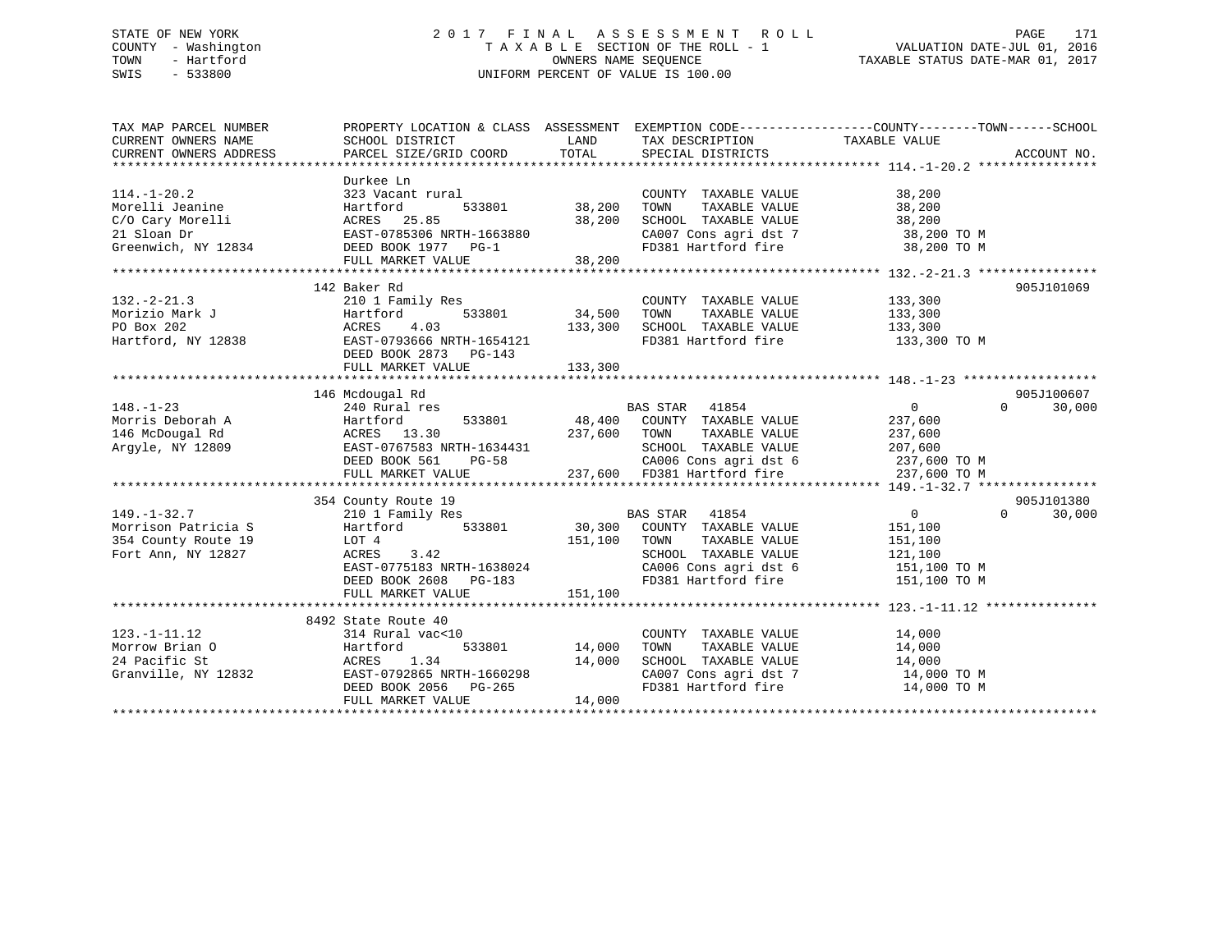# STATE OF NEW YORK 2 0 1 7 F I N A L A S S E S S M E N T R O L L PAGE 171 COUNTY - Washington T A X A B L E SECTION OF THE ROLL - 1 VALUATION DATE-JUL 01, 2016 TOWN - Hartford **TAXABLE STATUS DATE-MAR 01, 2017** SWIS - 533800 UNIFORM PERCENT OF VALUE IS 100.00

| TAX MAP PARCEL NUMBER<br>CURRENT OWNERS NAME<br>CURRENT OWNERS ADDRESS                         | PROPERTY LOCATION & CLASS ASSESSMENT EXEMPTION CODE----------------COUNTY-------TOWN-----SCHOOL<br>SCHOOL DISTRICT<br>PARCEL SIZE/GRID COORD           | LAND<br>TOTAL                     | TAX DESCRIPTION TAXABLE VALUE<br>SPECIAL DISTRICTS                                                                                                          |                                                                 | ACCOUNT NO.        |
|------------------------------------------------------------------------------------------------|--------------------------------------------------------------------------------------------------------------------------------------------------------|-----------------------------------|-------------------------------------------------------------------------------------------------------------------------------------------------------------|-----------------------------------------------------------------|--------------------|
| $114. - 1 - 20.2$<br>Morelli Jeanine<br>C/O Cary Morelli<br>21 Sloan Dr<br>Greenwich, NY 12834 | Durkee Ln<br>323 Vacant rural<br>Hartford<br>ACRES 25.85<br>EAST-0785306 NRTH-1663880<br>DEED BOOK 1977 PG-1<br>FULL MARKET VALUE                      | 533801 38,200<br>38,200<br>38,200 | COUNTY TAXABLE VALUE<br>TOWN<br>TAXABLE VALUE<br>SCHOOL TAXABLE VALUE<br>FD381 Hartford fire 38,200 TO M                                                    | 38,200<br>38,200<br>38,200                                      |                    |
| $132 - 2 - 21.3$<br>Morizio Mark J<br>PO Box 202<br>Hartford, NY 12838                         | 142 Baker Rd<br>210 1 Family Res<br>533801<br>Hartford<br>4.03<br>ACRES<br>EAST-0793666 NRTH-1654121<br>DEED BOOK 2873 PG-143<br>FULL MARKET VALUE     | 34,500<br>133,300<br>133,300      | COUNTY TAXABLE VALUE 133,300<br>TOWN<br>TAXABLE VALUE<br>SCHOOL TAXABLE VALUE 133,300<br>FD381 Hartford fire                                                | 133,300<br>133,300 TO M                                         | 905J101069         |
|                                                                                                | 146 Mcdougal Rd                                                                                                                                        |                                   |                                                                                                                                                             |                                                                 | 905J100607         |
| $148. - 1 - 23$<br>Morris Deborah A<br>146 McDougal Rd<br>Argyle, NY 12809                     | 240 Rural res<br>533801<br>Hartford<br>ACRES 13.30<br>EAST-0767583 NRTH-1634431<br>DEED BOOK 561<br>$PG-58$<br>FULL MARKET VALUE                       | 237,600 TOWN                      | BAS STAR 41854<br>BAS STAR    41854<br>48,400    COUNTY   TAXABLE VALUE<br>TAXABLE VALUE<br>SCHOOL TAXABLE VALUE                                            | $\overline{0}$<br>237,600<br>237,600<br>207,600<br>237,600 TO M | $\Omega$<br>30,000 |
|                                                                                                | 354 County Route 19                                                                                                                                    |                                   |                                                                                                                                                             |                                                                 | 905J101380         |
| $149. - 1 - 32.7$<br>Morrison Patricia S<br>354 County Route 19<br>Fort Ann, NY 12827          | 210 1 Family Res<br>533801<br>Hartford<br>LOT 4<br>3.42<br>ACRES<br>EAST-0775183 NRTH-1638024<br>DEED BOOK 2608 PG-183<br>FULL MARKET VALUE            | 151,100<br>151,100                | BAS STAR 41854<br>30,300 COUNTY TAXABLE VALUE<br>TAXABLE VALUE<br>TOWN<br>SCHOOL TAXABLE VALUE<br>CA006 Cons agri dst 6 151,100 TO M<br>FD381 Hartford fire | $\overline{0}$<br>151,100<br>151,100<br>121,100<br>151,100 TO M | $\Omega$<br>30,000 |
|                                                                                                |                                                                                                                                                        |                                   |                                                                                                                                                             |                                                                 |                    |
| $123. - 1 - 11.12$<br>Morrow Brian O<br>24 Pacific St<br>Granville, NY 12832                   | 8492 State Route 40<br>314 Rural vac<10<br>533801<br>Hartford<br>ACRES 1.34<br>EAST-0792865 NRTH-1660298<br>DEED BOOK 2056 PG-265<br>FULL MARKET VALUE | 14,000<br>14,000<br>14,000        | COUNTY TAXABLE VALUE<br>TAXABLE VALUE<br>TOWN<br>SCHOOL TAXABLE VALUE<br>CA007 Cons agri dst 7 14,000 TO M<br>FD381 Hartford fire                           | 14,000<br>$14,000$<br>$14,000$<br>14,000 TO M                   |                    |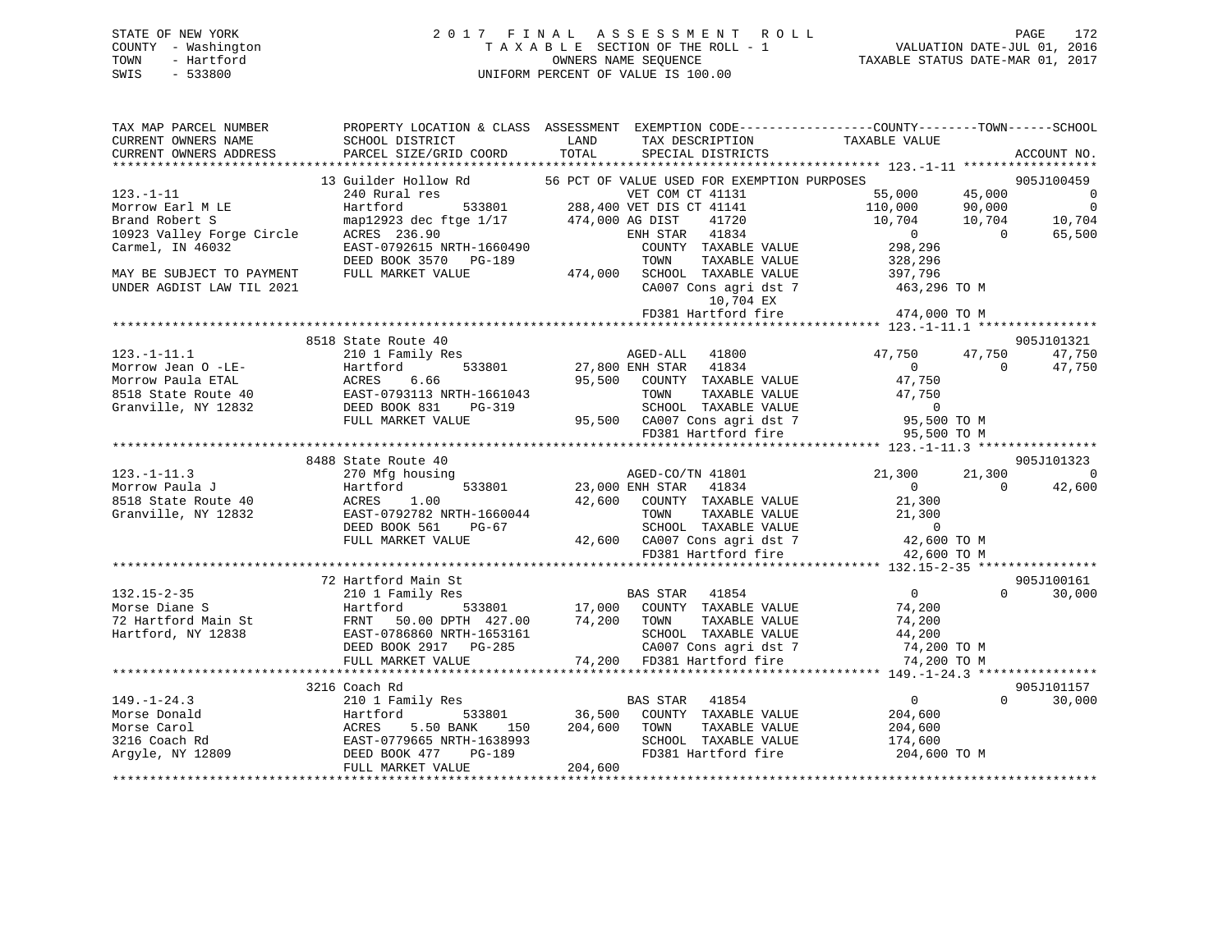# STATE OF NEW YORK 2017 FINAL ASSESSMENT ROLL PAGE 172 COUNTY - Washington  $T A X A B L E$  SECTION OF THE ROLL - 1<br>TOWN - Hartford SWIS - 533800 UNIFORM PERCENT OF VALUE IS 100.00

VALUATION DATE-JUL 01, 2016

TAXABLE STATUS DATE-MAR 01, 2017

| TAX MAP PARCEL NUMBER | PROPERTY LOCATION & CLASS ASSESSMENT EXEMPTION CODE---------------COUNTY-------TOWN------SCHOOL                                                                                                                                                                                                                                                                 |                  |                                                                                                                                                                                                                                                                                                                                                                                                                                                                                                        |                |                |             |
|-----------------------|-----------------------------------------------------------------------------------------------------------------------------------------------------------------------------------------------------------------------------------------------------------------------------------------------------------------------------------------------------------------|------------------|--------------------------------------------------------------------------------------------------------------------------------------------------------------------------------------------------------------------------------------------------------------------------------------------------------------------------------------------------------------------------------------------------------------------------------------------------------------------------------------------------------|----------------|----------------|-------------|
| CURRENT OWNERS NAME   | SCHOOL DISTRICT                                                                                                                                                                                                                                                                                                                                                 | LAND             | TAX DESCRIPTION                                                                                                                                                                                                                                                                                                                                                                                                                                                                                        | TAXABLE VALUE  |                |             |
|                       | CURRENT OWNERS ADDRESS PARCEL SIZE/GRID COORD TOTAL                                                                                                                                                                                                                                                                                                             |                  | SPECIAL DISTRICTS                                                                                                                                                                                                                                                                                                                                                                                                                                                                                      |                |                | ACCOUNT NO. |
|                       |                                                                                                                                                                                                                                                                                                                                                                 |                  |                                                                                                                                                                                                                                                                                                                                                                                                                                                                                                        |                |                |             |
|                       | 13 Guilder Hollow Rd                                                                                                                                                                                                                                                                                                                                            |                  | 56 PCT OF VALUE USED FOR EXEMPTION PURPOSES                                                                                                                                                                                                                                                                                                                                                                                                                                                            |                |                | 905J100459  |
|                       |                                                                                                                                                                                                                                                                                                                                                                 |                  |                                                                                                                                                                                                                                                                                                                                                                                                                                                                                                        |                |                |             |
|                       |                                                                                                                                                                                                                                                                                                                                                                 |                  |                                                                                                                                                                                                                                                                                                                                                                                                                                                                                                        |                |                |             |
|                       |                                                                                                                                                                                                                                                                                                                                                                 |                  |                                                                                                                                                                                                                                                                                                                                                                                                                                                                                                        |                |                |             |
|                       |                                                                                                                                                                                                                                                                                                                                                                 |                  |                                                                                                                                                                                                                                                                                                                                                                                                                                                                                                        |                |                |             |
|                       |                                                                                                                                                                                                                                                                                                                                                                 |                  |                                                                                                                                                                                                                                                                                                                                                                                                                                                                                                        |                |                |             |
|                       |                                                                                                                                                                                                                                                                                                                                                                 |                  |                                                                                                                                                                                                                                                                                                                                                                                                                                                                                                        |                |                |             |
|                       |                                                                                                                                                                                                                                                                                                                                                                 |                  |                                                                                                                                                                                                                                                                                                                                                                                                                                                                                                        |                |                |             |
|                       |                                                                                                                                                                                                                                                                                                                                                                 |                  |                                                                                                                                                                                                                                                                                                                                                                                                                                                                                                        |                |                |             |
|                       |                                                                                                                                                                                                                                                                                                                                                                 |                  | 10,704 EX                                                                                                                                                                                                                                                                                                                                                                                                                                                                                              |                |                |             |
|                       |                                                                                                                                                                                                                                                                                                                                                                 |                  | FD381 Hartford fire 474,000 TO M                                                                                                                                                                                                                                                                                                                                                                                                                                                                       |                |                |             |
|                       |                                                                                                                                                                                                                                                                                                                                                                 |                  |                                                                                                                                                                                                                                                                                                                                                                                                                                                                                                        |                |                |             |
|                       | 8518 State Route 40                                                                                                                                                                                                                                                                                                                                             |                  |                                                                                                                                                                                                                                                                                                                                                                                                                                                                                                        |                |                | 905J101321  |
| $123. - 1 - 11.1$     |                                                                                                                                                                                                                                                                                                                                                                 |                  |                                                                                                                                                                                                                                                                                                                                                                                                                                                                                                        | 47,750         | 47,750         | 47,750      |
|                       |                                                                                                                                                                                                                                                                                                                                                                 |                  |                                                                                                                                                                                                                                                                                                                                                                                                                                                                                                        | $\overline{0}$ | $\overline{0}$ | 47,750      |
|                       |                                                                                                                                                                                                                                                                                                                                                                 |                  | 95,500 COUNTY TAXABLE VALUE 47,750                                                                                                                                                                                                                                                                                                                                                                                                                                                                     |                |                |             |
|                       |                                                                                                                                                                                                                                                                                                                                                                 |                  |                                                                                                                                                                                                                                                                                                                                                                                                                                                                                                        |                |                |             |
|                       | 123.-1-11.1<br>Morrow Jean 0 -LE-<br>Morrow Paula ETAL Hartford 533801<br>Morrow Paula ETAL ACRES 6.66<br>8518 State Route 40 EAST-0793113 NRTH-1661043<br>Granville, NY 12832 DEED BOOK 831 PG-319<br>PG-319                                                                                                                                                   |                  | TOWN TAXABLE VALUE 47,750<br>SCHOOL TAXABLE VALUE 0<br>95,500 CA007 Cons agri dst 7 95,500 TO M<br>FD381 Hartford fire 95,500 TO M                                                                                                                                                                                                                                                                                                                                                                     |                |                |             |
|                       | FULL MARKET VALUE                                                                                                                                                                                                                                                                                                                                               |                  |                                                                                                                                                                                                                                                                                                                                                                                                                                                                                                        |                |                |             |
|                       |                                                                                                                                                                                                                                                                                                                                                                 |                  |                                                                                                                                                                                                                                                                                                                                                                                                                                                                                                        |                |                |             |
|                       |                                                                                                                                                                                                                                                                                                                                                                 |                  |                                                                                                                                                                                                                                                                                                                                                                                                                                                                                                        |                |                |             |
|                       | 8488 State Route 40                                                                                                                                                                                                                                                                                                                                             |                  |                                                                                                                                                                                                                                                                                                                                                                                                                                                                                                        |                |                | 905J101323  |
| $123. - 1 - 11.3$     | 270 Mfg housing                                                                                                                                                                                                                                                                                                                                                 |                  | 1801 AGED-CO/TN 41801<br>533801 23,000 ENH STAR 41834                                                                                                                                                                                                                                                                                                                                                                                                                                                  | 21,300         | 21,300         | $\Omega$    |
| Morrow Paula J        | Morrow Paula J<br>Morrow Paula J<br>8518 State Route 40 (Granville, NY 12832 (EAST-0792782 NRTH-1660044                                                                                                                                                                                                                                                         |                  |                                                                                                                                                                                                                                                                                                                                                                                                                                                                                                        | $\overline{0}$ | $\overline{0}$ | 42,600      |
|                       |                                                                                                                                                                                                                                                                                                                                                                 |                  |                                                                                                                                                                                                                                                                                                                                                                                                                                                                                                        |                |                |             |
|                       |                                                                                                                                                                                                                                                                                                                                                                 |                  |                                                                                                                                                                                                                                                                                                                                                                                                                                                                                                        |                |                |             |
|                       | DEED BOOK 561<br>PG-67                                                                                                                                                                                                                                                                                                                                          |                  |                                                                                                                                                                                                                                                                                                                                                                                                                                                                                                        |                |                |             |
|                       | FULL MARKET VALUE                                                                                                                                                                                                                                                                                                                                               |                  |                                                                                                                                                                                                                                                                                                                                                                                                                                                                                                        |                |                |             |
|                       |                                                                                                                                                                                                                                                                                                                                                                 |                  |                                                                                                                                                                                                                                                                                                                                                                                                                                                                                                        |                |                |             |
|                       |                                                                                                                                                                                                                                                                                                                                                                 |                  | $\begin{tabular}{cccc} \multicolumn{2}{c}{\multicolumn{2}{c}{\textbf{1}}}\begin{tabular}{ll} \multicolumn{2}{c}{\multicolumn{2}{c}{\textbf{1}}}\begin{tabular}{ll} \multicolumn{2}{c}{\multicolumn{2}{c}{\textbf{1}}}\begin{tabular}{ll} \multicolumn{2}{c}{\textbf{1}}}\begin{tabular}{ll} \multicolumn{2}{c}{\textbf{1}}\begin{tabular}{ll} \multicolumn{2}{c}{\textbf{1}}\begin{tabular}{ll} \multicolumn{2}{c}{\textbf{1}}\begin{tabular}{ll} \multicolumn{2}{c}{\textbf{1}}\begin{tabular}{ll} \$ |                |                |             |
|                       | 72 Hartford Main St                                                                                                                                                                                                                                                                                                                                             |                  |                                                                                                                                                                                                                                                                                                                                                                                                                                                                                                        |                |                | 905J100161  |
|                       |                                                                                                                                                                                                                                                                                                                                                                 |                  |                                                                                                                                                                                                                                                                                                                                                                                                                                                                                                        |                |                |             |
|                       |                                                                                                                                                                                                                                                                                                                                                                 |                  |                                                                                                                                                                                                                                                                                                                                                                                                                                                                                                        |                |                |             |
|                       |                                                                                                                                                                                                                                                                                                                                                                 |                  |                                                                                                                                                                                                                                                                                                                                                                                                                                                                                                        |                |                |             |
|                       |                                                                                                                                                                                                                                                                                                                                                                 |                  |                                                                                                                                                                                                                                                                                                                                                                                                                                                                                                        |                |                |             |
|                       |                                                                                                                                                                                                                                                                                                                                                                 |                  |                                                                                                                                                                                                                                                                                                                                                                                                                                                                                                        |                |                |             |
|                       |                                                                                                                                                                                                                                                                                                                                                                 |                  |                                                                                                                                                                                                                                                                                                                                                                                                                                                                                                        |                |                |             |
|                       | $\begin{array}{cccccccc} \text{132.15--2-35} & \text{121.18--2-35} & \text{132.15--2-35} & \text{210 11 ramily Res} & \text{BAS STAR} & 41854 & 0 & 30,000\\ \text{Morse Diane S} & \text{BARTford Min S} & \text{BASTAR} & 41854 & 0 & 30,000\\ \text{132.15--2-35} & \text{132.15--2-35} & \text{132.15--2-35} & \text{142.200} & \text{152.200} & \text{162$ |                  |                                                                                                                                                                                                                                                                                                                                                                                                                                                                                                        |                |                |             |
|                       | 3216 Coach Rd                                                                                                                                                                                                                                                                                                                                                   |                  |                                                                                                                                                                                                                                                                                                                                                                                                                                                                                                        |                |                | 905J101157  |
| $149. - 1 - 24.3$     | $\begin{tabular}{lcccccc} 210 & 1 & Family Res & & & & & \text{BAS STAR} & 41854 & & & & \text{0} \\ \text{Hartford} & & 533801 & & 36,500 & COUNTY & TAXABLE VALUE & & & & \text{204,600} \\ \end{tabular}$                                                                                                                                                    |                  |                                                                                                                                                                                                                                                                                                                                                                                                                                                                                                        |                | $\Omega$       | 30,000      |
|                       |                                                                                                                                                                                                                                                                                                                                                                 |                  |                                                                                                                                                                                                                                                                                                                                                                                                                                                                                                        |                |                |             |
|                       |                                                                                                                                                                                                                                                                                                                                                                 | 150 204,600 TOWN | TAXABLE VALUE                                                                                                                                                                                                                                                                                                                                                                                                                                                                                          | 204,600        |                |             |
|                       |                                                                                                                                                                                                                                                                                                                                                                 |                  | SCHOOL TAXABLE VALUE 174,600                                                                                                                                                                                                                                                                                                                                                                                                                                                                           |                |                |             |
|                       | 149.-1-24.3<br>Morse Donald<br>Morse Carol (Morse Carol ACRES 5.50 BANK 150 204,600<br>3216 Coach Rd EAST-0779665 NRTH-1638993<br>Argyle, NY 12809 DEED BOOK 477 PG-189<br>FULL MARKET VALUE<br>PULL MARKET VALUE<br>PULL MARKET VALUE                                                                                                                          |                  | FD381 Hartford fire                                                                                                                                                                                                                                                                                                                                                                                                                                                                                    | 204,600 TO M   |                |             |
|                       |                                                                                                                                                                                                                                                                                                                                                                 | 204,600          |                                                                                                                                                                                                                                                                                                                                                                                                                                                                                                        |                |                |             |
|                       |                                                                                                                                                                                                                                                                                                                                                                 |                  |                                                                                                                                                                                                                                                                                                                                                                                                                                                                                                        |                |                |             |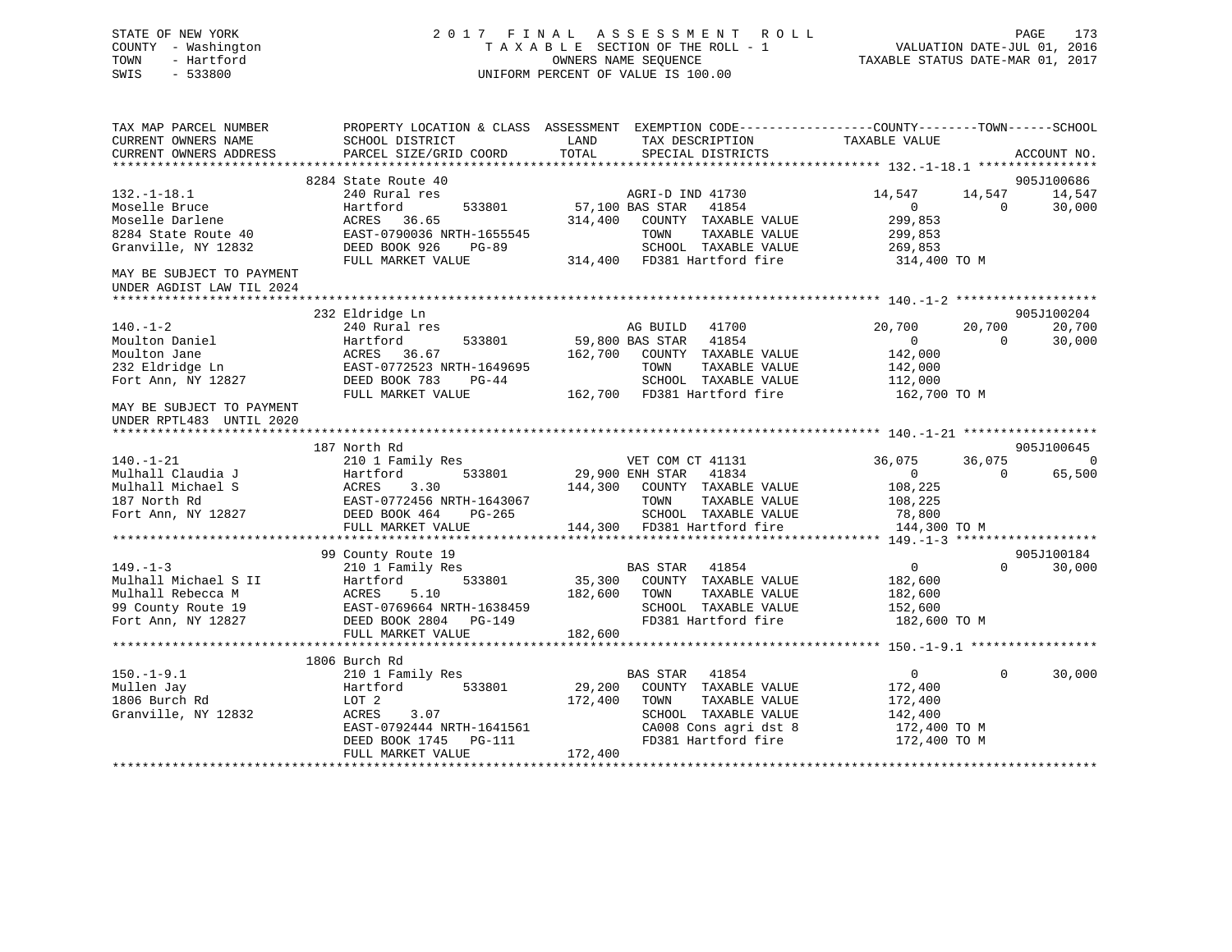# STATE OF NEW YORK 2 0 1 7 F I N A L A S S E S S M E N T R O L L PAGE 173 COUNTY - Washington T A X A B L E SECTION OF THE ROLL - 1 VALUATION DATE-JUL 01, 2016 TOWN - Hartford OWNERS NAME SEQUENCE TAXABLE STATUS DATE-MAR 01, 2017 SWIS - 533800 UNIFORM PERCENT OF VALUE IS 100.00

| TAX MAP PARCEL NUMBER<br>CURRENT OWNERS NAME<br>CURRENT OWNERS ADDRESS                                               | PROPERTY LOCATION & CLASS ASSESSMENT EXEMPTION CODE---------------COUNTY-------TOWN-----SCHOOL<br>SCHOOL DISTRICT<br>PARCEL SIZE/GRID COORD | LAND<br>TOTAL   | TAX DESCRIPTION<br>SPECIAL DISTRICTS                | TAXABLE VALUE          |                    | ACCOUNT NO.                  |
|----------------------------------------------------------------------------------------------------------------------|---------------------------------------------------------------------------------------------------------------------------------------------|-----------------|-----------------------------------------------------|------------------------|--------------------|------------------------------|
|                                                                                                                      |                                                                                                                                             |                 |                                                     |                        |                    |                              |
|                                                                                                                      | 8284 State Route 40                                                                                                                         |                 |                                                     |                        |                    | 905J100686                   |
| $132.-1-18.1$                                                                                                        | 240 Rural res                                                                                                                               |                 | AGRI-D IND 41730                                    | 14,547                 | 14,547             | 14,547                       |
| Moselle Bruce                                                                                                        | 533801<br>Hartford                                                                                                                          | 57,100 BAS STAR | 41854                                               | $\overline{0}$         | $\Omega$           | 30,000                       |
| Moselle Darlene                                                                                                      | ACRES 36.65                                                                                                                                 |                 | 314,400 COUNTY TAXABLE VALUE                        | 299,853                |                    |                              |
| 8284 State Route 40                                                                                                  | EAST-0790036 NRTH-1655545                                                                                                                   |                 | TAXABLE VALUE<br>TOWN                               | 299,853                |                    |                              |
| Granville, NY 12832                                                                                                  | DEED BOOK 926<br><b>PG-89</b>                                                                                                               |                 | SCHOOL TAXABLE VALUE                                | 269,853                |                    |                              |
|                                                                                                                      | FULL MARKET VALUE                                                                                                                           |                 | 314,400 FD381 Hartford fire                         | 314,400 TO M           |                    |                              |
| MAY BE SUBJECT TO PAYMENT                                                                                            |                                                                                                                                             |                 |                                                     |                        |                    |                              |
| UNDER AGDIST LAW TIL 2024                                                                                            |                                                                                                                                             |                 |                                                     |                        |                    |                              |
|                                                                                                                      |                                                                                                                                             |                 |                                                     |                        |                    |                              |
|                                                                                                                      | 232 Eldridge Ln                                                                                                                             |                 |                                                     |                        |                    | 905J100204                   |
| $140. - 1 - 2$                                                                                                       | 240 Rural res                                                                                                                               |                 | AG BUILD 41700                                      | 20,700                 | 20,700             | 20,700                       |
| Moulton Daniel                                                                                                       | Hartford<br>533801                                                                                                                          |                 | 59,800 BAS STAR 41854                               | $\overline{0}$         | $\Omega$           | 30,000                       |
| Moulton Jane                                                                                                         | ACRES<br>36.67                                                                                                                              |                 | 162,700 COUNTY TAXABLE VALUE                        | 142,000                |                    |                              |
| 232 Eldridge Ln                                                                                                      | EAST-0772523 NRTH-1649695                                                                                                                   |                 | TAXABLE VALUE<br>TOWN                               | 142,000                |                    |                              |
| Fort Ann, NY 12827                                                                                                   | DEED BOOK 783<br>$PG-44$                                                                                                                    |                 | SCHOOL TAXABLE VALUE                                | 112,000                |                    |                              |
|                                                                                                                      | FULL MARKET VALUE                                                                                                                           |                 | 162,700 FD381 Hartford fire                         | 162,700 TO M           |                    |                              |
| MAY BE SUBJECT TO PAYMENT                                                                                            |                                                                                                                                             |                 |                                                     |                        |                    |                              |
| UNDER RPTL483 UNTIL 2020                                                                                             |                                                                                                                                             |                 |                                                     |                        |                    |                              |
|                                                                                                                      |                                                                                                                                             |                 |                                                     |                        |                    |                              |
|                                                                                                                      | 187 North Rd                                                                                                                                |                 |                                                     |                        |                    | 905J100645<br>$\overline{0}$ |
| $140. - 1 - 21$                                                                                                      | 210 1 Family Res                                                                                                                            |                 | VET COM CT 41131<br>29,900 ENH STAR 41834           | 36,075                 | 36,075<br>$\Omega$ |                              |
| Mulhall Claudia J                                                                                                    | 533801<br>Hartford                                                                                                                          |                 |                                                     | $\circ$                |                    | 65,500                       |
| Mulhall Michael S                                                                                                    | 3.30<br>ACRES                                                                                                                               | 144,300         | COUNTY TAXABLE VALUE<br>TOWN                        | 108,225                |                    |                              |
| 187 North Rd                                                                                                         | MEAST-0772456<br>DEED BOOK 464<br>EAST-0772456 NRTH-1643067                                                                                 |                 | TAXABLE VALUE                                       | 108,225                |                    |                              |
| Fort Ann, NY 12827                                                                                                   | PG-265                                                                                                                                      |                 | SCHOOL TAXABLE VALUE<br>144,300 FD381 Hartford fire | 78,800<br>144,300 TO M |                    |                              |
|                                                                                                                      | FULL MARKET VALUE                                                                                                                           |                 |                                                     |                        |                    |                              |
|                                                                                                                      | 99 County Route 19                                                                                                                          |                 |                                                     |                        |                    | 905J100184                   |
| $149. - 1 - 3$                                                                                                       | 210 1 Family Res                                                                                                                            |                 | BAS STAR 41854                                      | $\overline{0}$         | $\Omega$           | 30,000                       |
|                                                                                                                      |                                                                                                                                             | 35,300          | COUNTY TAXABLE VALUE                                | 182,600                |                    |                              |
|                                                                                                                      |                                                                                                                                             | 182,600         | TOWN<br>TAXABLE VALUE                               | 182,600                |                    |                              |
| Mulhall Michael S II Hartford 533801<br>Mulhall Rebecca M ACRES 5.10<br>99 County Route 19 EAST-0769664 NRTH-1638459 |                                                                                                                                             |                 | SCHOOL TAXABLE VALUE                                | 152,600                |                    |                              |
| Fort Ann, NY 12827                                                                                                   | DEED BOOK 2804 PG-149                                                                                                                       |                 | FD381 Hartford fire                                 | 182,600 TO M           |                    |                              |
|                                                                                                                      | FULL MARKET VALUE                                                                                                                           | 182,600         |                                                     |                        |                    |                              |
|                                                                                                                      |                                                                                                                                             |                 |                                                     |                        |                    |                              |
|                                                                                                                      | 1806 Burch Rd                                                                                                                               |                 |                                                     |                        |                    |                              |
| $150.-1-9.1$                                                                                                         | 210 1 Family Res                                                                                                                            |                 | BAS STAR<br>41854                                   | $\overline{0}$         | $\Omega$           | 30,000                       |
| Mullen Jay                                                                                                           | 533801<br>Hartford                                                                                                                          | 29,200          | COUNTY TAXABLE VALUE                                | 172,400                |                    |                              |
| 1806 Burch Rd                                                                                                        | LOT 2                                                                                                                                       | 172,400         | TAXABLE VALUE<br>TOWN                               | 172,400                |                    |                              |
| Granville, NY 12832                                                                                                  | ACRES<br>3.07                                                                                                                               |                 | SCHOOL TAXABLE VALUE                                | 142,400                |                    |                              |
|                                                                                                                      | EAST-0792444 NRTH-1641561                                                                                                                   |                 | CA008 Cons agri dst 8                               | 172,400 TO M           |                    |                              |
|                                                                                                                      | DEED BOOK 1745<br>PG-111                                                                                                                    |                 | FD381 Hartford fire                                 | 172,400 TO M           |                    |                              |
|                                                                                                                      | FULL MARKET VALUE                                                                                                                           | 172,400         |                                                     |                        |                    |                              |
|                                                                                                                      |                                                                                                                                             |                 |                                                     |                        |                    |                              |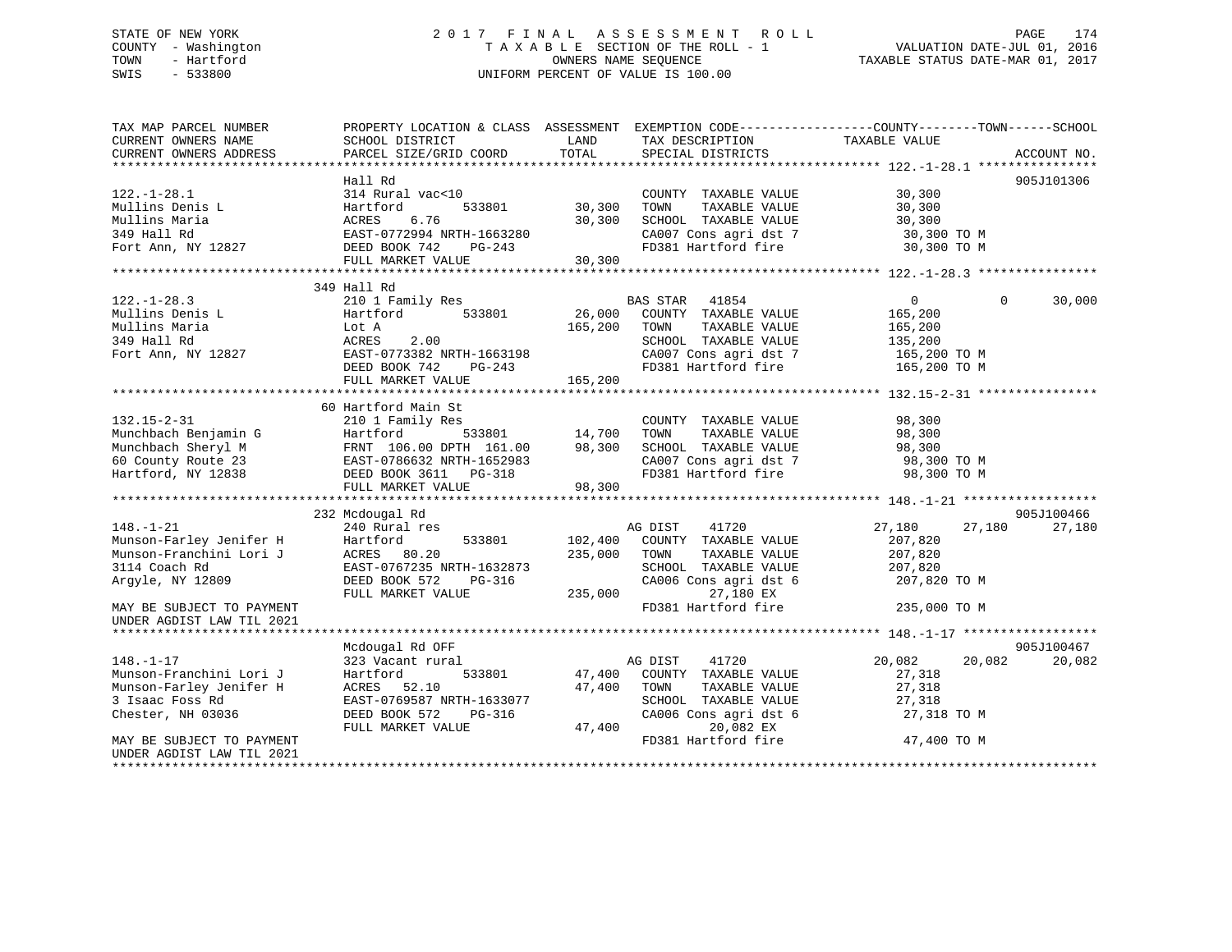# STATE OF NEW YORK 2 0 1 7 F I N A L A S S E S S M E N T R O L L PAGE 174 COUNTY - Washington T A X A B L E SECTION OF THE ROLL - 1 VALUATION DATE-JUL 01, 2016 TOWN - Hartford **TAXABLE STATUS DATE-MAR 01, 2017** SWIS - 533800 UNIFORM PERCENT OF VALUE IS 100.00

| TAX MAP PARCEL NUMBER<br>CURRENT OWNERS NAME<br>CURRENT OWNERS ADDRESS                                                                                                  | SCHOOL DISTRICT<br>PARCEL SIZE/GRID COORD                                                                                                                                                                             | LAND<br>TOTAL                     | TAX DESCRIPTION<br>SPECIAL DISTRICTS                                                                                                                          | PROPERTY LOCATION & CLASS ASSESSMENT EXEMPTION CODE----------------COUNTY-------TOWN------SCHOOL<br>TAXABLE VALUE | ACCOUNT NO.          |
|-------------------------------------------------------------------------------------------------------------------------------------------------------------------------|-----------------------------------------------------------------------------------------------------------------------------------------------------------------------------------------------------------------------|-----------------------------------|---------------------------------------------------------------------------------------------------------------------------------------------------------------|-------------------------------------------------------------------------------------------------------------------|----------------------|
| $122. - 1 - 28.1$<br>Mullins Denis L<br>Mullins Maria<br>349 Hall Rd<br>Fort Ann, NY 12827                                                                              | Hall Rd<br>314 Rural vac<10<br>Hartford<br>ACRES 6.76<br>EAST-0772994 NRTH-1663280<br>DEED BOOK 742<br>PG-243<br>FULL MARKET VALUE                                                                                    | 533801 30,300<br>30,300<br>30,300 | COUNTY TAXABLE VALUE<br>TOWN<br>TAXABLE VALUE<br>SCHOOL TAXABLE VALUE<br>SCHOOL TAXABLE VALUE<br>CA007 Cons agri dst 7<br>FD381 Hartford fire                 | 30,300<br>30,300<br>30,300<br>30,300 TO M<br>30,300 TO M                                                          | 905J101306           |
| $122. - 1 - 28.3$<br>Mullins Denis L<br>Mullins Maria<br>349 Hall Rd<br>Fort Ann, NY 12827                                                                              | 349 Hall Rd<br>210 1 Family Res<br>Hartford<br>533801<br>Lot A<br>ACRES<br>2.00<br>EAST-0773382 NRTH-1663198<br>DEED BOOK 742<br>PG-243<br>FULL MARKET VALUE                                                          | 26,000<br>165,200<br>165,200      | <b>BAS STAR</b><br>41854<br>COUNTY TAXABLE VALUE<br>TOWN<br>TAXABLE VALUE<br>SCHOOL TAXABLE VALUE<br>CA007 Cons agri dst 7<br>FD381 Hartford fire             | $\overline{0}$<br>$\Omega$<br>165,200<br>165,200<br>135,200<br>165,200 TO M<br>165,200 TO M                       | 30,000               |
| $132.15 - 2 - 31$<br>Hartford, NY 12838                                                                                                                                 | 60 Hartford Main St<br>210 1 Family Res<br>Munchbach Benjamin G<br>Munchbach Sheryl M<br>FRNT 106.00 DPTH 161.00 98,300<br>60 County Route 23 EAST-0786632 NRTH-1652983<br>DEED BOOK 3611 PG-318<br>FULL MARKET VALUE | 533801 14,700<br>98,300           | COUNTY TAXABLE VALUE<br>TOWN<br>TAXABLE VALUE<br>SCHOOL TAXABLE VALUE<br>CA007 Cons agri dst 7<br>FD381 Hartford 6:<br>FD381 Hartford fire                    | 98,300<br>98,300<br>98,300<br>98,300 TO M<br>98,300 TO M                                                          |                      |
| $148. - 1 - 21$<br>Munson-Farley Jenifer H<br>Munson-Franchini Lori J<br>3114 Coach Rd<br>Argyle, NY 12809<br>MAY BE SUBJECT TO PAYMENT                                 | 232 Mcdougal Rd<br>240 Rural res<br>533801<br>Hartford<br>ACRES 80.20<br>EAST-0767235 NRTH-1632873<br>DEED BOOK 572<br>PG-316<br>FULL MARKET VALUE                                                                    | 102,400<br>235,000<br>235,000     | AG DIST<br>41720<br>COUNTY TAXABLE VALUE<br>TAXABLE VALUE<br>TOWN<br>SCHOOL TAXABLE VALUE<br>CA006 Cons agri dst 6<br>27,180 EX<br>FD381 Hartford fire        | 27,180<br>27,180<br>207,820<br>207,820<br>207,820<br>207,820 TO M<br>235,000 TO M                                 | 905J100466<br>27,180 |
| UNDER AGDIST LAW TIL 2021<br>$148. - 1 - 17$<br>Munson-Franchini Lori J<br>Munson-Farley Jenifer H<br>3 Isaac Foss Rd<br>Chester, NH 03036<br>MAY BE SUBJECT TO PAYMENT | Mcdougal Rd OFF<br>323 Vacant rural<br>533801<br>Hartford<br>ACRES 52.10<br>EAST-0769587 NRTH-1633077<br>DEED BOOK 572<br>PG-316<br>FULL MARKET VALUE                                                                 | 47,400<br>47,400                  | AG DIST<br>41720<br>47,400 COUNTY TAXABLE VALUE<br>TOWN<br>TAXABLE VALUE<br>SCHOOL TAXABLE VALUE<br>CA006 Cons agri dst 6<br>20,082 EX<br>FD381 Hartford fire | 20,082<br>20,082<br>27,318<br>27,318<br>27,318<br>27,318 TO M<br>47,400 TO M                                      | 905J100467<br>20,082 |
| UNDER AGDIST LAW TIL 2021                                                                                                                                               |                                                                                                                                                                                                                       |                                   |                                                                                                                                                               |                                                                                                                   |                      |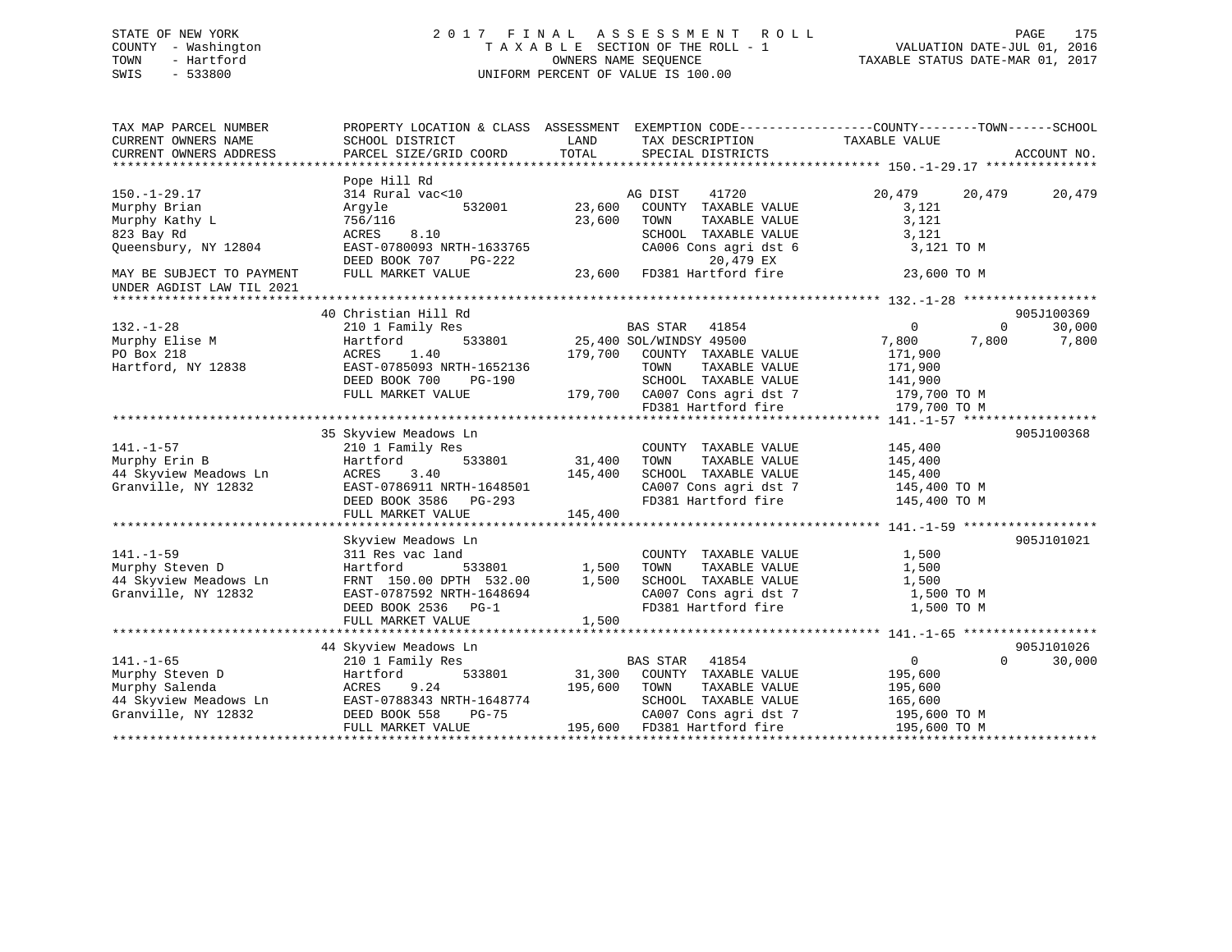# STATE OF NEW YORK 2 0 1 7 F I N A L A S S E S S M E N T R O L L PAGE 175 COUNTY - Washington T A X A B L E SECTION OF THE ROLL - 1 VALUATION DATE-JUL 01, 2016 TOWN - Hartford OWNERS NAME SEQUENCE TAXABLE STATUS DATE-MAR 01, 2017 SWIS - 533800 UNIFORM PERCENT OF VALUE IS 100.00

| TAX MAP PARCEL NUMBER<br>CURRENT OWNERS NAME<br>CURRENT OWNERS ADDRESS                                                  | SCHOOL DISTRICT<br>PARCEL SIZE/GRID COORD                                                                                                                        | LAND<br>TAX DESCRIPTION TAXABLE VALUE<br>TOTAL<br>SPECIAL DISTRICTS                                                                                                                      | PROPERTY LOCATION & CLASS ASSESSMENT EXEMPTION CODE---------------COUNTY-------TOWN-----SCHOOL<br>ACCOUNT NO.                                  |
|-------------------------------------------------------------------------------------------------------------------------|------------------------------------------------------------------------------------------------------------------------------------------------------------------|------------------------------------------------------------------------------------------------------------------------------------------------------------------------------------------|------------------------------------------------------------------------------------------------------------------------------------------------|
| $150. - 1 - 29.17$<br>Murphy Brian<br>Murphy Kathy L<br>823 Bay Rd<br>Queensbury, NY 12804<br>MAY BE SUBJECT TO PAYMENT | Pope Hill Rd<br>314 Rural vac<10<br>Arqyle<br>532001<br>756/116<br>8.10<br>ACRES<br>EAST-0780093 NRTH-1633765<br>DEED BOOK 707<br>PG-222<br>FULL MARKET VALUE    | AG DIST<br>41720<br>23,600<br>COUNTY TAXABLE VALUE<br>23,600<br>TOWN<br>TAXABLE VALUE<br>SCHOOL TAXABLE VALUE<br>CA006 Cons agri dst 6<br>20,479 EX<br>23,600 FD381 Hartford fire        | 20,479<br>20,479<br>20,479<br>3,121<br>3,121<br>3,121<br>3,121 TO M<br>23,600 TO M                                                             |
| UNDER AGDIST LAW TIL 2021                                                                                               |                                                                                                                                                                  |                                                                                                                                                                                          |                                                                                                                                                |
| $132. - 1 - 28$<br>Murphy Elise M<br>PO Box 218<br>Hartford, NY 12838                                                   | 40 Christian Hill Rd<br>210 1 Family Res<br>533801<br>Hartford<br>ACRES<br>1.40<br>EAST-0785093 NRTH-1652136<br>DEED BOOK 700<br>PG-190<br>FULL MARKET VALUE     | BAS STAR<br>41854<br>25,400 SOL/WINDSY 49500<br>179,700<br>COUNTY TAXABLE VALUE<br>TOWN<br>TAXABLE VALUE<br>SCHOOL TAXABLE VALUE<br>179,700 CA007 Cons agri dst 7<br>FD381 Hartford fire | 905J100369<br>$\overline{0}$<br>$\Omega$<br>30,000<br>7,800<br>7,800<br>7,800<br>171,900<br>171,900<br>141,900<br>179,700 TO M<br>179,700 TO M |
| $141. - 1 - 57$<br>Murphy Erin B<br>44 Skyview Meadows Ln<br>Granville, NY 12832                                        | 35 Skyview Meadows Ln<br>210 1 Family Res<br>533801<br>Hartford<br>ACRES<br>3.40<br>EAST-0786911 NRTH-1648501<br>DEED BOOK 3586 PG-293<br>FULL MARKET VALUE      | COUNTY TAXABLE VALUE<br>31,400<br>TOWN<br>TAXABLE VALUE<br>145,400<br>SCHOOL TAXABLE VALUE<br>CA007 Cons agri dst 7<br>FD381 Hartford fire<br>145,400                                    | 905J100368<br>145,400<br>145,400<br>145,400<br>145,400 TO M<br>145,400 TO M                                                                    |
| $141. - 1 - 59$<br>Murphy Steven D<br>44 Skyview Meadows Ln<br>Granville, NY 12832                                      | Skyview Meadows Ln<br>311 Res vac land<br>Hartford<br>533801<br>FRNT 150.00 DPTH 532.00<br>EAST-0787592 NRTH-1648694<br>DEED BOOK 2536 PG-1<br>FULL MARKET VALUE | COUNTY TAXABLE VALUE<br>1,500<br>TOWN<br>TAXABLE VALUE<br>1,500<br>SCHOOL TAXABLE VALUE<br>CA007 Cons agri dst 7<br>FD381 Hartford fire<br>1,500                                         | 905J101021<br>1,500<br>1,500<br>1,500<br>1,500 TO M<br>1,500 TO M                                                                              |
|                                                                                                                         | 44 Skyview Meadows Ln                                                                                                                                            |                                                                                                                                                                                          | 905J101026                                                                                                                                     |
| $141. - 1 - 65$<br>Murphy Steven D<br>Murphy Salenda<br>44 Skyview Meadows Ln<br>Granville, NY 12832                    | 210 1 Family Res<br>Hartford<br>533801<br>ACRES<br>9.24<br>EAST-0788343 NRTH-1648774<br>PG-75<br>DEED BOOK 558<br>FULL MARKET VALUE                              | <b>BAS STAR</b><br>41854<br>31,300<br>COUNTY TAXABLE VALUE<br>195,600<br>TOWN<br>TAXABLE VALUE<br>SCHOOL TAXABLE VALUE<br>CA007 Cons agri dst 7<br>FD381 Hartford fire<br>195,600        | $\overline{0}$<br>$\Omega$<br>30,000<br>195,600<br>195,600<br>165,600<br>195,600 ТО М<br>195,600 TO M                                          |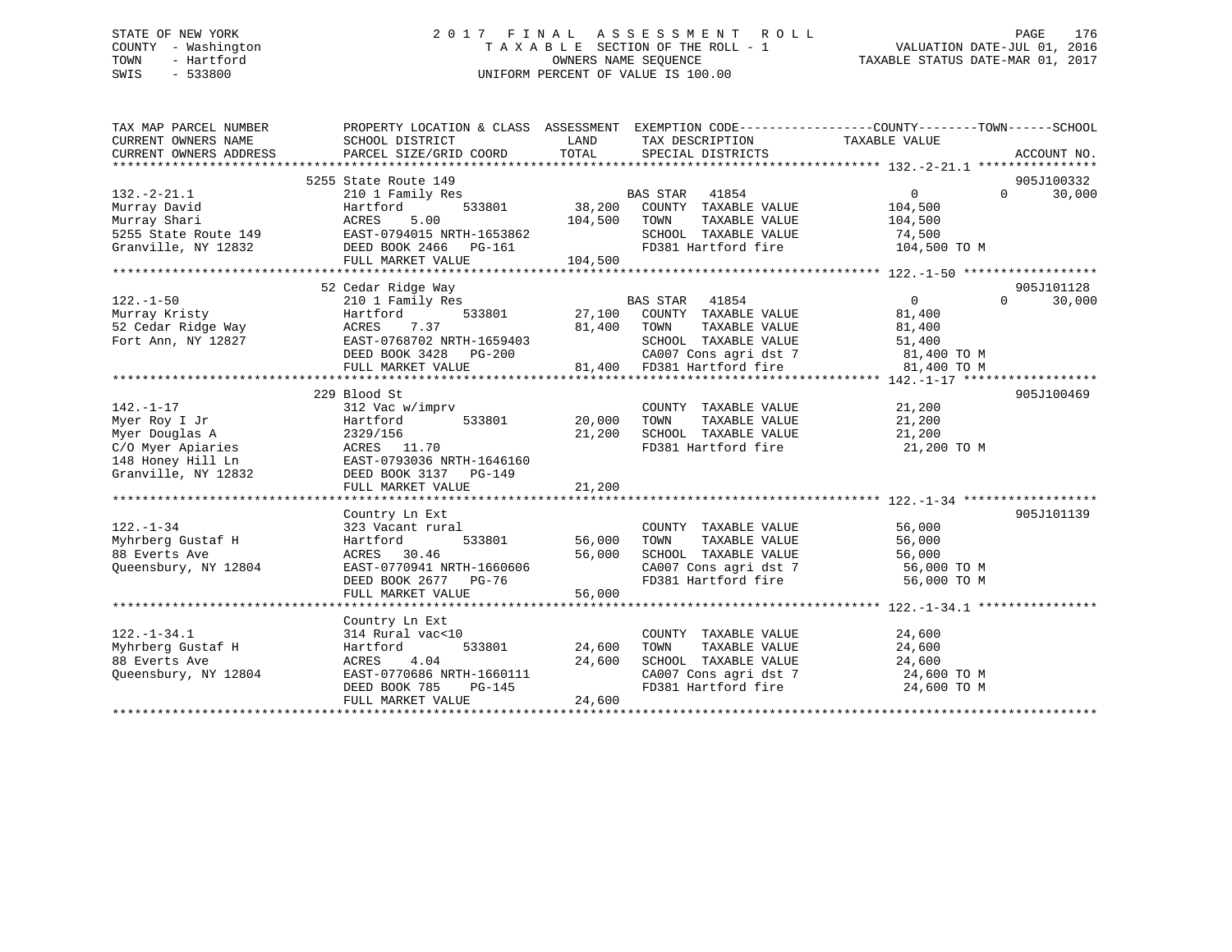# STATE OF NEW YORK 2 0 1 7 F I N A L A S S E S S M E N T R O L L PAGE 176 COUNTY - Washington T A X A B L E SECTION OF THE ROLL - 1 VALUATION DATE-JUL 01, 2016 TOWN - Hartford **TAXABLE STATUS DATE-MAR 01, 2017** SWIS - 533800 UNIFORM PERCENT OF VALUE IS 100.00

| TAX MAP PARCEL NUMBER<br>CURRENT OWNERS NAME<br>CURRENT OWNERS ADDRESS | PROPERTY LOCATION & CLASS ASSESSMENT EXEMPTION CODE----------------COUNTY-------TOWN-----SCHOOL<br>SCHOOL DISTRICT<br>PARCEL SIZE/GRID COORD | LAND         |                       | TAX DESCRIPTION TAXABLE VALUE<br>TOTAL SPECIAL DISTRICTS                                           |                                                                      |          | ACCOUNT NO.          |
|------------------------------------------------------------------------|----------------------------------------------------------------------------------------------------------------------------------------------|--------------|-----------------------|----------------------------------------------------------------------------------------------------|----------------------------------------------------------------------|----------|----------------------|
| $132. -2 - 21.1$                                                       | 5255 State Route 149<br>210 1 Family Res                                                                                                     |              | <b>BAS STAR</b> 41854 |                                                                                                    | $\overline{0}$                                                       | $\Omega$ | 905J100332<br>30,000 |
|                                                                        |                                                                                                                                              |              |                       | $533801 \qquad \qquad 38,200 \qquad \text{COUNTY} \quad \text{TXABLE VALUE} \qquad \qquad 104,500$ |                                                                      |          |                      |
|                                                                        |                                                                                                                                              | 104,500 TOWN |                       | TAXABLE VALUE                                                                                      | 104,500                                                              |          |                      |
|                                                                        |                                                                                                                                              |              |                       | SCHOOL TAXABLE VALUE 74,500                                                                        |                                                                      |          |                      |
| Granville, NY 12832 DEED BOOK 2466 PG-161                              |                                                                                                                                              |              |                       |                                                                                                    | FD381 Hartford fire 104,500 TO M                                     |          |                      |
|                                                                        | FULL MARKET VALUE                                                                                                                            | 104,500      |                       |                                                                                                    |                                                                      |          |                      |
|                                                                        |                                                                                                                                              |              |                       |                                                                                                    |                                                                      |          |                      |
|                                                                        | 52 Cedar Ridge Way                                                                                                                           |              |                       |                                                                                                    |                                                                      |          | 905J101128           |
| $122. - 1 - 50$                                                        |                                                                                                                                              |              |                       |                                                                                                    | $\overline{0}$                                                       | $\Omega$ | 30,000               |
|                                                                        |                                                                                                                                              |              |                       |                                                                                                    | 81,400                                                               |          |                      |
|                                                                        |                                                                                                                                              |              |                       |                                                                                                    |                                                                      |          |                      |
|                                                                        |                                                                                                                                              |              |                       | TAXABLE VALUE 81,400<br>TAXABLE VALUE 51,400<br>SCHOOL TAXABLE VALUE                               | 51,400                                                               |          |                      |
|                                                                        |                                                                                                                                              |              |                       |                                                                                                    | CA007 Cons agri dst 7 81,400 TO M                                    |          |                      |
|                                                                        | FULL MARKET VALUE 81,400 FD381 Hartford fire                                                                                                 |              |                       |                                                                                                    | 81,400 TO M                                                          |          |                      |
|                                                                        |                                                                                                                                              |              |                       |                                                                                                    |                                                                      |          |                      |
|                                                                        | 229 Blood St                                                                                                                                 |              |                       |                                                                                                    |                                                                      |          | 905J100469           |
| $142. - 1 - 17$                                                        |                                                                                                                                              |              |                       | COUNTY TAXABLE VALUE 21,200                                                                        |                                                                      |          |                      |
|                                                                        |                                                                                                                                              |              | TOWN                  | TAXABLE VALUE                                                                                      | 21,200                                                               |          |                      |
|                                                                        |                                                                                                                                              | 21,200       |                       | SCHOOL TAXABLE VALUE 21,200                                                                        |                                                                      |          |                      |
|                                                                        |                                                                                                                                              |              |                       |                                                                                                    | FD381 Hartford fire 21,200 TO M                                      |          |                      |
|                                                                        |                                                                                                                                              |              |                       |                                                                                                    |                                                                      |          |                      |
|                                                                        |                                                                                                                                              |              |                       |                                                                                                    |                                                                      |          |                      |
|                                                                        | FULL MARKET VALUE                                                                                                                            | 21,200       |                       |                                                                                                    |                                                                      |          |                      |
|                                                                        |                                                                                                                                              |              |                       |                                                                                                    |                                                                      |          |                      |
|                                                                        | Country Ln Ext                                                                                                                               |              |                       |                                                                                                    |                                                                      |          | 905J101139           |
| $122. - 1 - 34$                                                        | 323 Vacant rural                                                                                                                             |              |                       | COUNTY TAXABLE VALUE                                                                               | 56,000<br>56,000                                                     |          |                      |
| Myhrberg Gustaf H                                                      | 533801<br>Hartford                                                                                                                           | 56,000       | TOWN                  | TAXABLE VALUE                                                                                      | 56,000                                                               |          |                      |
| 88 Everts Ave                                                          |                                                                                                                                              |              |                       | SCHOOL TAXABLE VALUE                                                                               | 56,000                                                               |          |                      |
| Queensbury, NY 12804                                                   | ACRES 30.46 56,000<br>EAST-0770941 NRTH-1660606 56,000<br>DEED BOOK 2677 PG-76                                                               |              |                       |                                                                                                    | CA007 Cons agri dst 7 56,000 TO M<br>FD381 Hartford fire 56,000 TO M |          |                      |
|                                                                        | DEED BOOK 2677 PG-76                                                                                                                         |              |                       |                                                                                                    |                                                                      |          |                      |
|                                                                        | FULL MARKET VALUE                                                                                                                            | 56,000       |                       |                                                                                                    |                                                                      |          |                      |
|                                                                        |                                                                                                                                              |              |                       |                                                                                                    |                                                                      |          |                      |
|                                                                        | Country Ln Ext                                                                                                                               |              |                       |                                                                                                    |                                                                      |          |                      |
| $122. - 1 - 34.1$                                                      | 314 Rural vac<10                                                                                                                             |              |                       | COUNTY TAXABLE VALUE 24,600                                                                        |                                                                      |          |                      |
| Myhrberg Gustaf H<br>88 Everts Ave                                     | 533801<br>Hartford                                                                                                                           | 24,600       |                       | TOWN TAXABLE VALUE 24,600<br>SCHOOL TAXABLE VALUE 24,600                                           |                                                                      |          |                      |
| 88 Everts Ave                                                          | ACRES 4.04                                                                                                                                   | 24,600       |                       |                                                                                                    |                                                                      |          |                      |
| Queensbury, NY 12804                                                   | EAST-0770686 NRTH-1660111                                                                                                                    |              |                       |                                                                                                    | CA007 Cons agri dst 7 24,600 TO M                                    |          |                      |
|                                                                        | DEED BOOK 785<br>PG-145                                                                                                                      |              |                       |                                                                                                    | FD381 Hartford fire 24,600 TO M                                      |          |                      |
|                                                                        | FULL MARKET VALUE                                                                                                                            | 24,600       |                       |                                                                                                    |                                                                      |          |                      |
|                                                                        |                                                                                                                                              |              |                       |                                                                                                    |                                                                      |          |                      |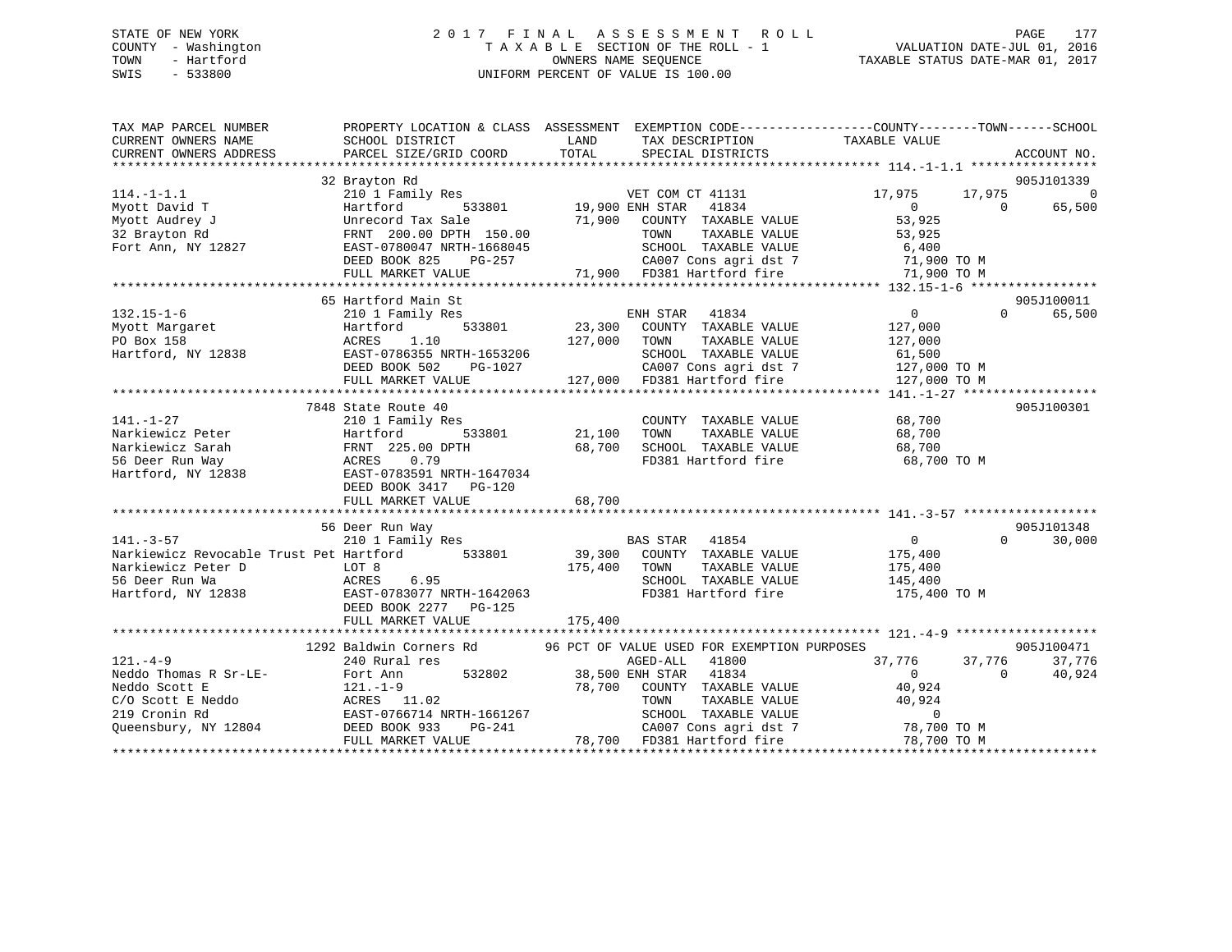#### STATE OF NEW YORK 2 0 1 7 F I N A L A S S E S S M E N T R O L L PAGE 177COUNTY - Washington  $\begin{array}{ccc}\n\text{T A X A B L E} & \text{SECTION OF THE ROLL - 1} \\
\text{T} & \text{M N E SQUENCE}\n\end{array}$ OWNERS NAME SEQUENCE TAXABLE STATUS DATE-MAR 01, 2017 SWIS - 533800 UNIFORM PERCENT OF VALUE IS 100.00

| TAX MAP PARCEL NUMBER                                                                                                                                                                                                                                                                                                                                                         | PROPERTY LOCATION & CLASS ASSESSMENT EXEMPTION CODE----------------COUNTY-------TOWN------SCHOOL                                                                                     |          |                                                                                                                                                                           |                                             |                                 |
|-------------------------------------------------------------------------------------------------------------------------------------------------------------------------------------------------------------------------------------------------------------------------------------------------------------------------------------------------------------------------------|--------------------------------------------------------------------------------------------------------------------------------------------------------------------------------------|----------|---------------------------------------------------------------------------------------------------------------------------------------------------------------------------|---------------------------------------------|---------------------------------|
| CURRENT OWNERS NAME                                                                                                                                                                                                                                                                                                                                                           | SCHOOL DISTRICT                                                                                                                                                                      | LAND     | TAX DESCRIPTION                                                                                                                                                           | TAXABLE VALUE                               |                                 |
| CURRENT OWNERS ADDRESS                                                                                                                                                                                                                                                                                                                                                        | PARCEL SIZE/GRID COORD                                                                                                                                                               | TOTAL    | SPECIAL DISTRICTS                                                                                                                                                         |                                             | ACCOUNT NO.                     |
|                                                                                                                                                                                                                                                                                                                                                                               |                                                                                                                                                                                      |          |                                                                                                                                                                           |                                             |                                 |
|                                                                                                                                                                                                                                                                                                                                                                               | 32 Brayton Rd<br>210 1 Family Res                                                                                                                                                    |          |                                                                                                                                                                           |                                             | 905J101339                      |
| $114. - 1 - 1.1$                                                                                                                                                                                                                                                                                                                                                              |                                                                                                                                                                                      |          | VET COM CT 41131 17,975                                                                                                                                                   | $\overline{0}$                              | 17,975 0<br>65,500              |
| Myott David T<br>Myott Audrey J                                                                                                                                                                                                                                                                                                                                               | $19,900$ ENH STAR<br>533801 19,900 ENH STAR<br>Hartford                                                                                                                              |          | 41834                                                                                                                                                                     | $\overline{0}$<br>53,925                    |                                 |
| 32 Brayton Rd                                                                                                                                                                                                                                                                                                                                                                 |                                                                                                                                                                                      |          |                                                                                                                                                                           |                                             |                                 |
| Fort Ann, NY 12827                                                                                                                                                                                                                                                                                                                                                            | Unrecord Tax Sale<br>FRNT 200.00 DPTH 150.00 71,900 COUNTY TAXABLE VALUE<br>FAST-0780047 NPEH 150.00<br>FRNT 200.00 DPTH 150.00<br>EAST-0780047 NRTH-1668045<br>DEED BOOK 825 PG-257 |          |                                                                                                                                                                           |                                             |                                 |
|                                                                                                                                                                                                                                                                                                                                                                               |                                                                                                                                                                                      | $PG-257$ |                                                                                                                                                                           |                                             |                                 |
|                                                                                                                                                                                                                                                                                                                                                                               | FULL MARKET VALUE                                                                                                                                                                    |          |                                                                                                                                                                           |                                             |                                 |
|                                                                                                                                                                                                                                                                                                                                                                               |                                                                                                                                                                                      |          | 1AABLE VALUE<br>SCHOOL TAXABLE VALUE<br>SCHOOL TAXABLE VALUE<br>CA007 Cons agri dst 7 (1,900 TD381 Hartford fire<br>71,900 TD381 Hartford fire (71,900 TO M<br>1,900 TO M |                                             |                                 |
|                                                                                                                                                                                                                                                                                                                                                                               | 65 Hartford Main St                                                                                                                                                                  |          |                                                                                                                                                                           |                                             | 905J100011                      |
| $132.15 - 1 - 6$                                                                                                                                                                                                                                                                                                                                                              | 210 1 Family Res                                                                                                                                                                     |          |                                                                                                                                                                           | $\overline{0}$                              | $\Omega$<br>65,500              |
| Myott Margaret<br>PO Box 158                                                                                                                                                                                                                                                                                                                                                  | Hartford                                                                                                                                                                             |          | ENH STAR 41034<br>533801 23,300 COUNTY TAXABLE VALUE 127,000<br>127,000 TOWN TAXABLE VALUE 127,000                                                                        |                                             |                                 |
|                                                                                                                                                                                                                                                                                                                                                                               |                                                                                                                                                                                      |          |                                                                                                                                                                           |                                             |                                 |
|                                                                                                                                                                                                                                                                                                                                                                               |                                                                                                                                                                                      |          |                                                                                                                                                                           |                                             |                                 |
|                                                                                                                                                                                                                                                                                                                                                                               |                                                                                                                                                                                      |          |                                                                                                                                                                           |                                             |                                 |
| PO Box 158<br>Hartford, NY 12838 61,500<br>EAST-0786355 NRTH-1653206<br>DEED BOOK 502 PG-1027 61,500<br>FULL MARKET VALUE 127,000 FD381 Hartford fire 127,000 TO M<br>FULL MARKET VALUE 127,000 FD381 Hartford fire 127,000 TO M<br>FULL M                                                                                                                                    |                                                                                                                                                                                      |          |                                                                                                                                                                           |                                             |                                 |
|                                                                                                                                                                                                                                                                                                                                                                               |                                                                                                                                                                                      |          |                                                                                                                                                                           |                                             |                                 |
|                                                                                                                                                                                                                                                                                                                                                                               | 7848 State Route 40                                                                                                                                                                  |          |                                                                                                                                                                           |                                             | 905J100301                      |
| $141. - 1 - 27$                                                                                                                                                                                                                                                                                                                                                               | 210 1 Family Res                                                                                                                                                                     |          | COUNTY TAXABLE VALUE                                                                                                                                                      | 68,700                                      |                                 |
|                                                                                                                                                                                                                                                                                                                                                                               |                                                                                                                                                                                      |          | TOWN<br>TAXABLE VALUE                                                                                                                                                     | 68,700                                      |                                 |
|                                                                                                                                                                                                                                                                                                                                                                               |                                                                                                                                                                                      |          | SCHOOL TAXABLE VALUE 68,700                                                                                                                                               |                                             |                                 |
| Firiting the Hartford 533801 21,100<br>Narkiewicz Sarah FRNT 225.00 DPTH 68,700<br>56 Deer Run Way ACRES 0.79<br>Hartford, NY 12838 EAST-0783591 NRTH-1647034                                                                                                                                                                                                                 |                                                                                                                                                                                      |          | FD381 Hartford fire                                                                                                                                                       | 68,700 TO M                                 |                                 |
|                                                                                                                                                                                                                                                                                                                                                                               |                                                                                                                                                                                      |          |                                                                                                                                                                           |                                             |                                 |
|                                                                                                                                                                                                                                                                                                                                                                               | DEED BOOK 3417 PG-120                                                                                                                                                                |          |                                                                                                                                                                           |                                             |                                 |
|                                                                                                                                                                                                                                                                                                                                                                               |                                                                                                                                                                                      |          |                                                                                                                                                                           |                                             |                                 |
|                                                                                                                                                                                                                                                                                                                                                                               |                                                                                                                                                                                      |          |                                                                                                                                                                           |                                             |                                 |
|                                                                                                                                                                                                                                                                                                                                                                               | 56 Deer Run Way                                                                                                                                                                      |          |                                                                                                                                                                           |                                             | 905J101348                      |
|                                                                                                                                                                                                                                                                                                                                                                               |                                                                                                                                                                                      |          |                                                                                                                                                                           | $\begin{array}{c} 0 \\ 175,400 \end{array}$ | $\Omega$ and $\Omega$<br>30,000 |
|                                                                                                                                                                                                                                                                                                                                                                               |                                                                                                                                                                                      |          | TOWN                                                                                                                                                                      | TAXABLE VALUE 175,400                       |                                 |
|                                                                                                                                                                                                                                                                                                                                                                               |                                                                                                                                                                                      |          |                                                                                                                                                                           |                                             |                                 |
|                                                                                                                                                                                                                                                                                                                                                                               |                                                                                                                                                                                      |          | SCHOOL TAXABLE VALUE<br>FD381 Hartford fire                                                                                                                               | 145,400<br>175,400 TO M                     |                                 |
|                                                                                                                                                                                                                                                                                                                                                                               | DEED BOOK 2277 PG-125                                                                                                                                                                |          |                                                                                                                                                                           |                                             |                                 |
|                                                                                                                                                                                                                                                                                                                                                                               | FULL MARKET VALUE                                                                                                                                                                    | 175,400  |                                                                                                                                                                           |                                             |                                 |
|                                                                                                                                                                                                                                                                                                                                                                               |                                                                                                                                                                                      |          |                                                                                                                                                                           |                                             |                                 |
|                                                                                                                                                                                                                                                                                                                                                                               | 1292 Baldwin Corners Rd 96 PCT OF VALUE USED FOR EXEMPTION PURPOSES                                                                                                                  |          |                                                                                                                                                                           |                                             | 905J100471                      |
| $121. -4 - 9$                                                                                                                                                                                                                                                                                                                                                                 | 240 Rural res                                                                                                                                                                        |          | AGED-ALL<br>41800                                                                                                                                                         | 37,776                                      | 37,776 37,776                   |
| 121.-4-9<br>Neddo Thomas R Sr-LE-<br>121.-1-9<br>121.-1-9                                                                                                                                                                                                                                                                                                                     |                                                                                                                                                                                      |          | 532802 38,500 ENH STAR 41834                                                                                                                                              | $\overline{0}$<br>$\overline{0}$            | 40,924                          |
|                                                                                                                                                                                                                                                                                                                                                                               |                                                                                                                                                                                      |          | 78,700 COUNTY TAXABLE VALUE 40,924                                                                                                                                        |                                             |                                 |
|                                                                                                                                                                                                                                                                                                                                                                               |                                                                                                                                                                                      |          |                                                                                                                                                                           |                                             |                                 |
|                                                                                                                                                                                                                                                                                                                                                                               |                                                                                                                                                                                      |          | TOWN TAXABLE VALUE 40,924<br>SCHOOL TAXABLE VALUE 6                                                                                                                       |                                             |                                 |
| CONSCRIBE Neddo<br>219 Cronin Rd 219 Cronin Rd 219 Cronin Rd 219 Cronin Rd 219 Cronin Rd 219 Cronin Rd 219 Cronin Rd 219 Cronin Rd 219 Cronin Rd 219 Cronin Rd 219 Cronin Rd 219 Cronin Rd 219 Cronin Rd 219 Cronin Rd 219 Croni                                                                                                                                              |                                                                                                                                                                                      |          |                                                                                                                                                                           |                                             |                                 |
| $\footnotesize \begin{array}{ccccccc} \text{L13} & \text{L141} & \text{L15} & \text{L161} & \text{L161} & \text{L17} & \text{L181} & \text{L191} & \text{L101} & \text{L101} & \text{L11} & \text{L11} & \text{L12} & \text{L131} & \text{L141} & \text{L151} & \text{L161} & \text{L161} & \text{L171} & \text{L181} & \text{L191} & \text{L191} & \text{L101} & \text{L101$ |                                                                                                                                                                                      |          |                                                                                                                                                                           |                                             |                                 |
|                                                                                                                                                                                                                                                                                                                                                                               |                                                                                                                                                                                      |          |                                                                                                                                                                           |                                             |                                 |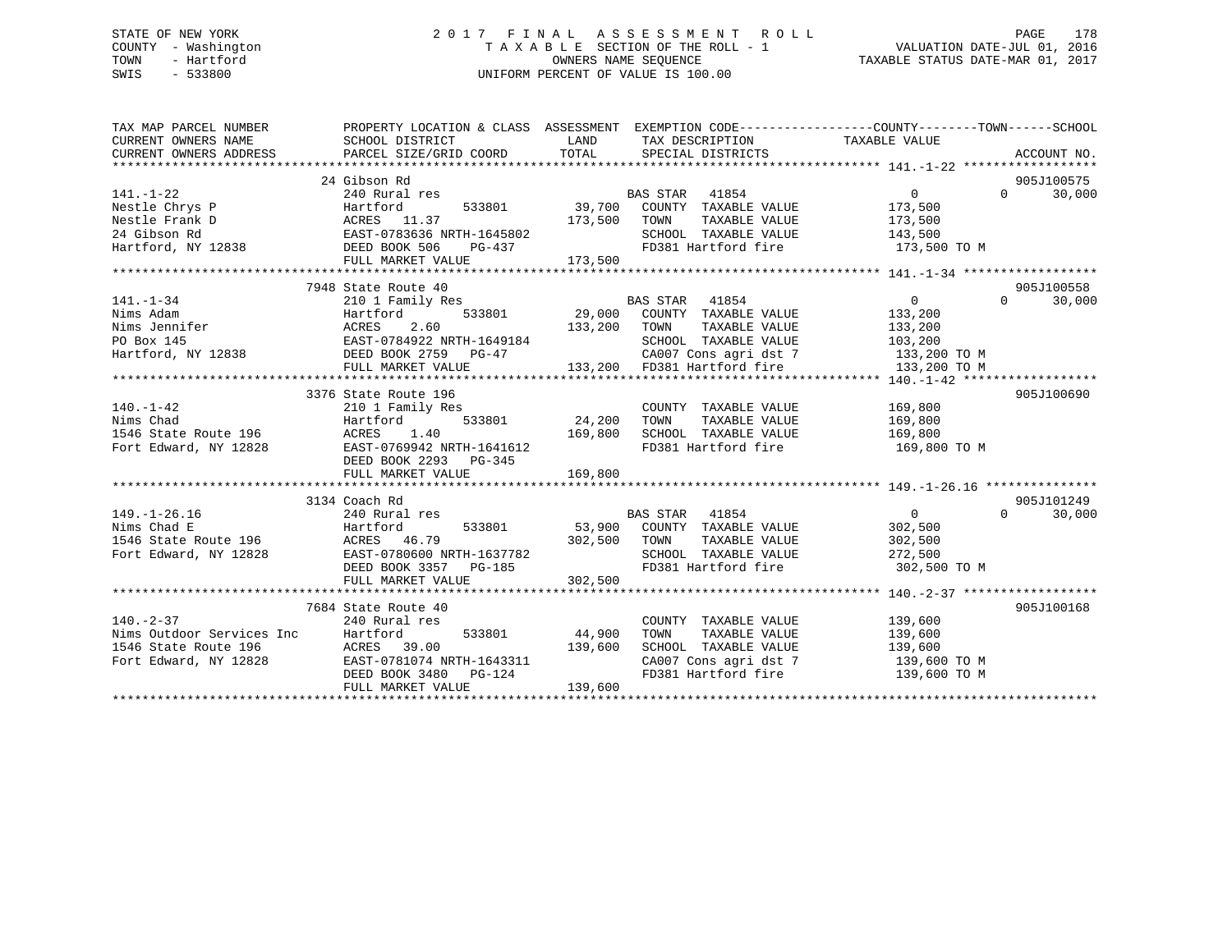#### STATE OF NEW YORK 2 0 1 7 F I N A L A S S E S S M E N T R O L L PAGE 178COUNTY - Washington  $T A X A B L E$  SECTION OF THE ROLL - 1<br>TOWN - Hartford OWNERS NAME SEQUENCE TAXABLE STATUS DATE-MAR 01, 2017 SWIS - 533800 UNIFORM PERCENT OF VALUE IS 100.00

| TAX MAP PARCEL NUMBER<br>CURRENT OWNERS NAME                                                    | PROPERTY LOCATION & CLASS ASSESSMENT EXEMPTION CODE----------------COUNTY-------TOWN------SCHOOL<br>SCHOOL DISTRICT | LAND          | TAX DESCRIPTION TAXABLE VALUE    |                |          |             |
|-------------------------------------------------------------------------------------------------|---------------------------------------------------------------------------------------------------------------------|---------------|----------------------------------|----------------|----------|-------------|
| CURRENT OWNERS ADDRESS PARCEL SIZE/GRID COORD                                                   |                                                                                                                     | TOTAL         | SPECIAL DISTRICTS                |                |          | ACCOUNT NO. |
|                                                                                                 |                                                                                                                     |               |                                  |                |          |             |
|                                                                                                 | 24 Gibson Rd                                                                                                        |               |                                  |                |          | 905J100575  |
| $141. - 1 - 22$                                                                                 | 240 Rural res                                                                                                       |               | <b>BAS STAR</b><br>41854         | $\overline{0}$ | $\Omega$ | 30,000      |
| Nestle Chrys P                                                                                  |                                                                                                                     |               | 39,700 COUNTY TAXABLE VALUE      | 173,500        |          |             |
| Nestle Frank D                                                                                  |                                                                                                                     | 173,500       | TOWN<br>TAXABLE VALUE            | 173,500        |          |             |
| 24 Gibson Rd                                                                                    |                                                                                                                     |               | SCHOOL TAXABLE VALUE             | 143,500        |          |             |
| Hartford, NY 12838                                                                              | HATLIUL<br>ACRES 11.37<br>EAST-0783636 NRTH-1645802<br>DEED BOOK 506 PG-437<br>PITT MARKET VALUE                    |               | FD381 Hartford fire              | 173,500 TO M   |          |             |
|                                                                                                 |                                                                                                                     | 173,500       |                                  |                |          |             |
|                                                                                                 | 7948 State Route 40                                                                                                 |               |                                  |                |          | 905J100558  |
| $141. - 1 - 34$                                                                                 | 210 1 Family Res                                                                                                    |               | BAS STAR 41854                   | $\overline{0}$ | $\Omega$ | 30,000      |
| Nims Adam                                                                                       | Hartford                                                                                                            | 533801 29,000 | COUNTY TAXABLE VALUE             | 133,200        |          |             |
|                                                                                                 |                                                                                                                     | 133,200       | TOWN<br>TAXABLE VALUE            | 133,200        |          |             |
|                                                                                                 |                                                                                                                     |               | SCHOOL TAXABLE VALUE             | 103,200        |          |             |
| Nims Jennifer<br>PO Box 145<br>Hartford, NY 12838<br>Hartford, NY 12838<br>DEED BOOK 2759 PG-47 |                                                                                                                     |               | CA007 Cons agri dst 7            | 133,200 TO M   |          |             |
|                                                                                                 | FULL MARKET VALUE                                                                                                   |               | 133,200 FD381 Hartford fire      | 133,200 TO M   |          |             |
|                                                                                                 |                                                                                                                     |               |                                  |                |          |             |
|                                                                                                 | 3376 State Route 196                                                                                                |               |                                  |                |          | 905J100690  |
| $140. - 1 - 42$                                                                                 | 210 1 Family Res                                                                                                    |               | COUNTY TAXABLE VALUE             | 169,800        |          |             |
| Nims Chad                                                                                       | 533801<br>Hartford                                                                                                  | 24,200        | TAXABLE VALUE<br>TOWN            | 169,800        |          |             |
| 1546 State Route 196                                                                            | ACRES<br>1.40                                                                                                       | 169,800       | SCHOOL TAXABLE VALUE             | 169,800        |          |             |
| Fort Edward, NY 12828                                                                           | EAST-0769942 NRTH-1641612                                                                                           |               | FD381 Hartford fire              | 169,800 TO M   |          |             |
|                                                                                                 | DEED BOOK 2293 PG-345                                                                                               |               |                                  |                |          |             |
|                                                                                                 | FULL MARKET VALUE                                                                                                   | 169,800       |                                  |                |          |             |
|                                                                                                 |                                                                                                                     |               |                                  |                |          |             |
|                                                                                                 | 3134 Coach Rd                                                                                                       |               |                                  |                |          | 905J101249  |
| $149. - 1 - 26.16$                                                                              | 240 Rural res                                                                                                       |               | BAS STAR 41854                   | $\overline{0}$ | $\Omega$ | 30,000      |
| Hartford<br>Nims Chad E                                                                         | 533801                                                                                                              | 53,900        | COUNTY TAXABLE VALUE             | 302,500        |          |             |
| 1546 State Route 196                                                                            |                                                                                                                     | 302,500       | TOWN<br>TAXABLE VALUE            | 302,500        |          |             |
| Fort Edward, NY 12828                                                                           | ACRES 46.79<br>EAST-0780600 NRTH-1637782                                                                            |               | SCHOOL TAXABLE VALUE             | 272,500        |          |             |
|                                                                                                 | DEED BOOK 3357 PG-185                                                                                               |               | FD381 Hartford fire 302,500 TO M |                |          |             |
|                                                                                                 | FULL MARKET VALUE                                                                                                   | 302,500       |                                  |                |          |             |
|                                                                                                 |                                                                                                                     |               |                                  |                |          |             |
|                                                                                                 | 7684 State Route 40                                                                                                 |               |                                  |                |          | 905J100168  |
| $140. - 2 - 37$                                                                                 | 240 Rural res                                                                                                       |               | COUNTY TAXABLE VALUE             | 139,600        |          |             |
|                                                                                                 | 533801                                                                                                              | 44,900        | TOWN<br>TAXABLE VALUE            | 139,600        |          |             |
|                                                                                                 | 39.00                                                                                                               | 139,600       | SCHOOL TAXABLE VALUE             | 139,600        |          |             |
| Fort Edward, NY 12828                                                                           | EAST-0781074 NRTH-1643311                                                                                           |               | CA007 Cons agri dst 7            | 139,600 TO M   |          |             |
|                                                                                                 | DEED BOOK 3480<br>PG-124                                                                                            |               | FD381 Hartford fire              | 139,600 TO M   |          |             |
|                                                                                                 | FULL MARKET VALUE                                                                                                   | 139,600       |                                  |                |          |             |
|                                                                                                 |                                                                                                                     |               |                                  |                |          |             |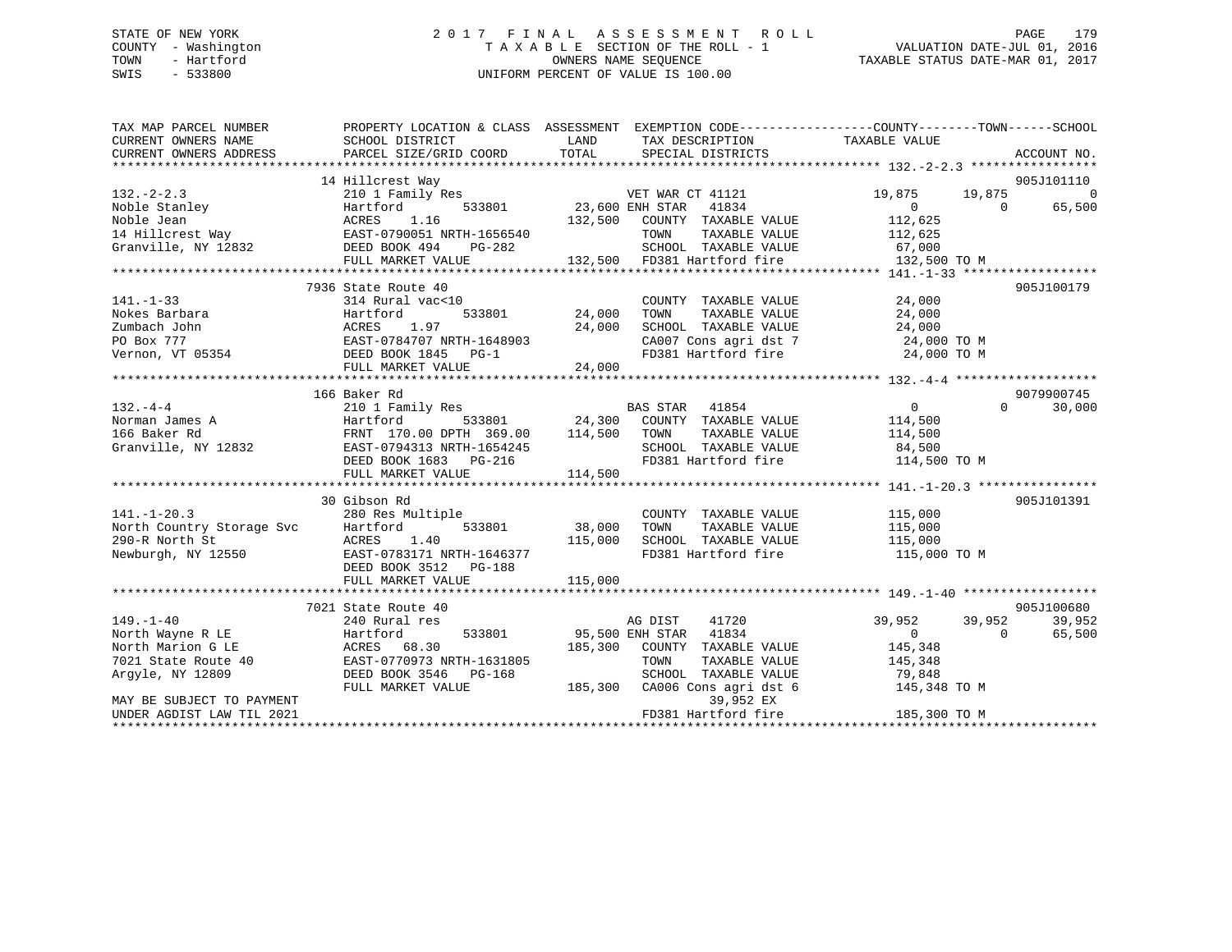# STATE OF NEW YORK 2 0 1 7 F I N A L A S S E S S M E N T R O L L PAGE 179 COUNTY - Washington T A X A B L E SECTION OF THE ROLL - 1 VALUATION DATE-JUL 01, 2016 TOWN - Hartford **TAXABLE STATUS DATE-MAR 01, 2017** SWIS - 533800 UNIFORM PERCENT OF VALUE IS 100.00

| TAX MAP PARCEL NUMBER<br>CURRENT OWNERS NAME<br>CURRENT OWNERS ADDRESS | PROPERTY LOCATION & CLASS ASSESSMENT EXEMPTION CODE----------------COUNTY-------TOWN------SCHOOL<br>SCHOOL DISTRICT<br>PARCEL SIZE/GRID COORD | LAND<br>TOTAL          | TAX DESCRIPTION TAXABLE VALUE<br>SPECIAL DISTRICTS |                | ACCOUNT NO.           |
|------------------------------------------------------------------------|-----------------------------------------------------------------------------------------------------------------------------------------------|------------------------|----------------------------------------------------|----------------|-----------------------|
|                                                                        |                                                                                                                                               |                        |                                                    |                |                       |
|                                                                        | 14 Hillcrest Way                                                                                                                              |                        |                                                    |                | 905J101110            |
| $132. - 2 - 2.3$                                                       | 210 1 Family Res                                                                                                                              |                        | VET WAR CT 41121                                   | 19,875         | $\mathbf 0$<br>19,875 |
| Noble Stanley                                                          | Hartford                                                                                                                                      | 533801 23,600 ENH STAR | 41834                                              | $\overline{0}$ | $\Omega$<br>65,500    |
| Noble Jean                                                             | 1.16<br>ACRES                                                                                                                                 | 132,500                | COUNTY TAXABLE VALUE                               | 112,625        |                       |
| 14 Hillcrest Way 62.57-0790051 NRTH-1656540                            |                                                                                                                                               |                        | TOWN<br>TAXABLE VALUE                              | 112,625        |                       |
| Granville, NY 12832                                                    | DEED BOOK 494<br>PG-282                                                                                                                       |                        | SCHOOL TAXABLE VALUE                               | 67,000         |                       |
|                                                                        | FULL MARKET VALUE                                                                                                                             |                        | 132,500 FD381 Hartford fire                        | 132,500 TO M   |                       |
|                                                                        |                                                                                                                                               |                        |                                                    |                |                       |
|                                                                        | 7936 State Route 40                                                                                                                           |                        |                                                    |                | 905J100179            |
| $141. - 1 - 33$                                                        | 314 Rural vac<10                                                                                                                              |                        | COUNTY TAXABLE VALUE                               | 24,000         |                       |
| Nokes Barbara                                                          | 533801<br>Hartford                                                                                                                            | 24,000                 | TOWN<br>TAXABLE VALUE                              | 24,000         |                       |
| Zumbach John                                                           | ACRES<br>1.97                                                                                                                                 | 24,000                 | SCHOOL TAXABLE VALUE                               | 24,000         |                       |
|                                                                        | EAST-0784707 NRTH-1648903                                                                                                                     |                        | CA007 Cons agri dst 7 24,000 TO M                  |                |                       |
| Zumbach John<br>PO Box 777<br>Vernon, VT 05354                         | DEED BOOK 1845 PG-1                                                                                                                           |                        | FD381 Hartford fire                                | 24,000 TO M    |                       |
|                                                                        |                                                                                                                                               |                        |                                                    |                |                       |
|                                                                        |                                                                                                                                               |                        |                                                    |                |                       |
|                                                                        | 166 Baker Rd                                                                                                                                  |                        |                                                    |                | 9079900745            |
| $132 - 4 - 4$                                                          | 210 1 Family Res                                                                                                                              |                        | <b>BAS STAR</b><br>41854                           | $\overline{0}$ | 30,000<br>$\Omega$    |
| Norman James A                                                         | Hartford                                                                                                                                      |                        | 533801 24,300 COUNTY TAXABLE VALUE                 | 114,500        |                       |
| 166 Baker Rd                                                           | FRNT 170.00 DPTH 369.00                                                                                                                       | 114,500                | TAXABLE VALUE<br>TOWN                              | 114,500        |                       |
| Granville, NY 12832 EAST-0794313 NRTH-1654245                          |                                                                                                                                               |                        | SCHOOL TAXABLE VALUE                               | 84,500         |                       |
|                                                                        | DEED BOOK 1683 PG-216                                                                                                                         |                        | FD381 Hartford fire 114,500 TO M                   |                |                       |
|                                                                        | FULL MARKET VALUE                                                                                                                             | 114,500                |                                                    |                |                       |
|                                                                        |                                                                                                                                               |                        |                                                    |                |                       |
|                                                                        | 30 Gibson Rd                                                                                                                                  |                        |                                                    |                | 905J101391            |
| $141. - 1 - 20.3$                                                      | 280 Res Multiple                                                                                                                              |                        | COUNTY TAXABLE VALUE                               | 115,000        |                       |
| North Country Storage Svc                                              | 533801<br>Hartford                                                                                                                            | 38,000                 | TOWN<br>TAXABLE VALUE                              | 115,000        |                       |
| 290-R North St                                                         | 1.40<br>ACRES                                                                                                                                 | 115,000                | SCHOOL TAXABLE VALUE                               | 115,000        |                       |
| Newburgh, NY 12550                                                     | EAST-0783171 NRTH-1646377                                                                                                                     |                        | FD381 Hartford fire                                | 115,000 TO M   |                       |
|                                                                        | DEED BOOK 3512 PG-188                                                                                                                         |                        |                                                    |                |                       |
|                                                                        | FULL MARKET VALUE                                                                                                                             | 115,000                |                                                    |                |                       |
|                                                                        |                                                                                                                                               |                        |                                                    |                |                       |
|                                                                        | 7021 State Route 40                                                                                                                           |                        |                                                    |                | 905J100680            |
| $149. - 1 - 40$                                                        | 240 Rural res                                                                                                                                 |                        | AG DIST<br>41720                                   | 39,952         | 39,952<br>39,952      |
| North Wayne R LE                                                       | Hartford<br>533801                                                                                                                            | 95,500 ENH STAR        | 41834                                              | $\Omega$       | 65,500<br>$\Omega$    |
| North Marion G LE                                                      | ACRES 68.30                                                                                                                                   | 185,300                | COUNTY TAXABLE VALUE                               | 145,348        |                       |
| 7021 State Route 40                                                    | EAST-0770973 NRTH-1631805                                                                                                                     |                        | TOWN<br>TAXABLE VALUE                              | 145,348        |                       |
| Argyle, NY 12809                                                       | DEED BOOK 3546<br>PG-168                                                                                                                      |                        | SCHOOL TAXABLE VALUE                               | 79,848         |                       |
|                                                                        | FULL MARKET VALUE                                                                                                                             | 185,300                | CA006 Cons agri dst 6                              | 145,348 TO M   |                       |
| MAY BE SUBJECT TO PAYMENT                                              |                                                                                                                                               |                        | 39,952 EX                                          |                |                       |
| UNDER AGDIST LAW TIL 2021                                              |                                                                                                                                               |                        | FD381 Hartford fire                                | 185,300 TO M   |                       |
|                                                                        |                                                                                                                                               |                        |                                                    |                |                       |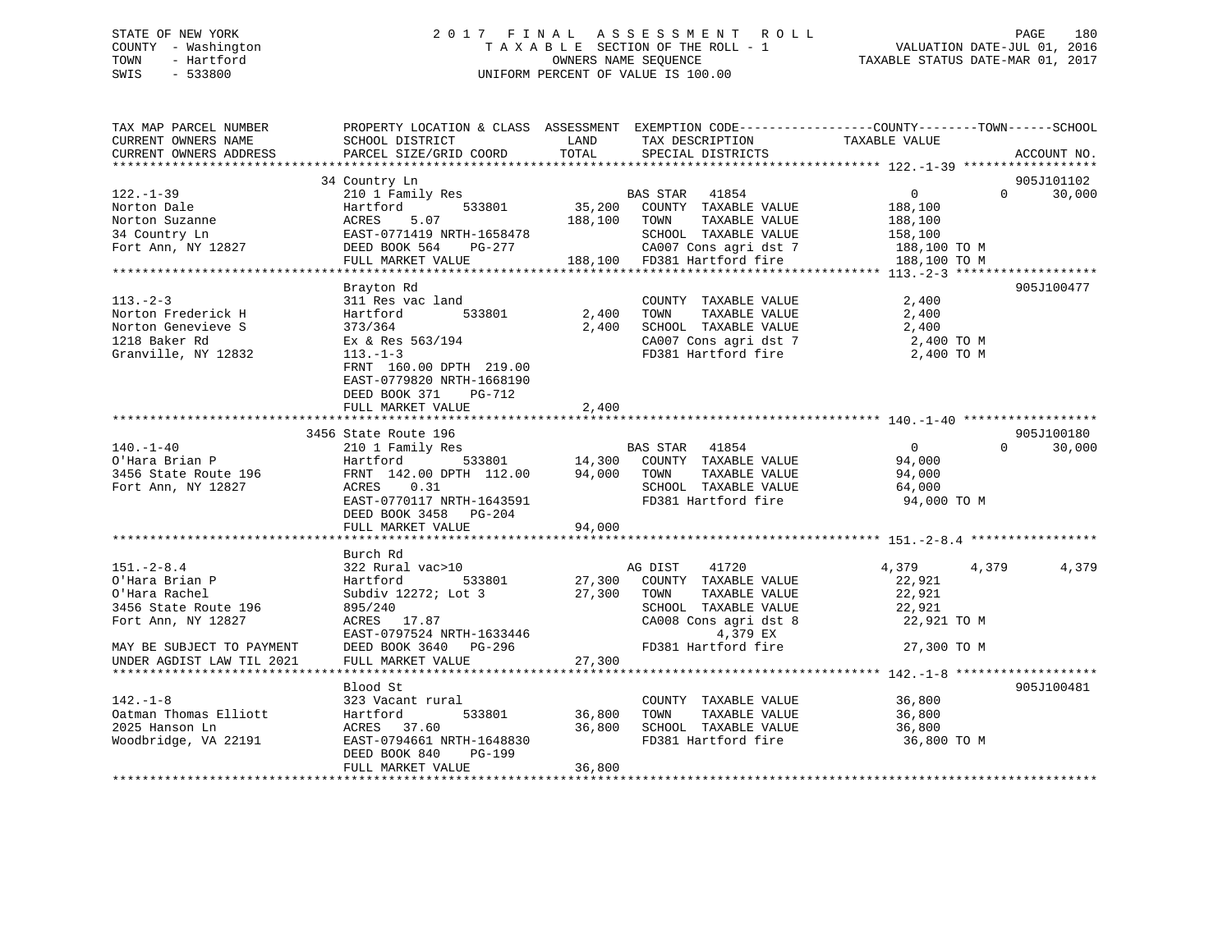# STATE OF NEW YORK 2 0 1 7 F I N A L A S S E S S M E N T R O L L PAGE 180 COUNTY - Washington T A X A B L E SECTION OF THE ROLL - 1 VALUATION DATE-JUL 01, 2016 TOWN - Hartford **TAXABLE STATUS DATE-MAR 01, 2017** SWIS - 533800 UNIFORM PERCENT OF VALUE IS 100.00

| TAX MAP PARCEL NUMBER<br>CURRENT OWNERS NAME<br>CURRENT OWNERS ADDRESS | PROPERTY LOCATION & CLASS ASSESSMENT EXEMPTION CODE----------------COUNTY-------TOWN------SCHOOL<br>SCHOOL DISTRICT<br>PARCEL SIZE/GRID COORD | LAND<br>TOTAL | TAX DESCRIPTION<br>SPECIAL DISTRICTS          | TAXABLE VALUE              | ACCOUNT NO. |
|------------------------------------------------------------------------|-----------------------------------------------------------------------------------------------------------------------------------------------|---------------|-----------------------------------------------|----------------------------|-------------|
|                                                                        |                                                                                                                                               |               |                                               |                            |             |
|                                                                        | 34 Country Ln                                                                                                                                 |               |                                               |                            | 905J101102  |
| $122. - 1 - 39$                                                        | 210 1 Family Res                                                                                                                              |               | BAS STAR 41854                                | $\overline{0}$<br>$\Omega$ | 30,000      |
| Norton Dale                                                            | 533801<br>Hartford                                                                                                                            |               | 35,200 COUNTY TAXABLE VALUE                   | 188,100                    |             |
| Norton Suzanne                                                         | 5.07<br>ACRES                                                                                                                                 | 188,100       | TAXABLE VALUE<br>TOWN                         | 188,100                    |             |
| 34 Country Ln                                                          | EAST-0771419 NRTH-1658478                                                                                                                     |               | SCHOOL TAXABLE VALUE                          | 158,100                    |             |
| Fort Ann, NY 12827                                                     | DEED BOOK 564<br>PG-277                                                                                                                       |               | CA007 Cons agri dst 7                         | 188,100 TO M               |             |
|                                                                        | FULL MARKET VALUE                                                                                                                             |               | 188,100 FD381 Hartford fire                   | 188,100 TO M               |             |
|                                                                        |                                                                                                                                               |               |                                               |                            | 905J100477  |
| $113. - 2 - 3$                                                         | Brayton Rd                                                                                                                                    |               |                                               |                            |             |
| Norton Frederick H                                                     | 311 Res vac land<br>533801<br>Hartford                                                                                                        | 2,400         | COUNTY TAXABLE VALUE<br>TAXABLE VALUE<br>TOWN | 2,400                      |             |
| Norton Genevieve S                                                     | 373/364                                                                                                                                       | 2,400         | SCHOOL TAXABLE VALUE                          | 2,400<br>2,400             |             |
| 1218 Baker Rd                                                          | Ex & Res 563/194                                                                                                                              |               | CA007 Cons agri dst 7                         | 2,400 TO M                 |             |
| Granville, NY 12832                                                    | $113. - 1 - 3$                                                                                                                                |               | FD381 Hartford fire                           | 2,400 TO M                 |             |
|                                                                        | FRNT 160.00 DPTH 219.00                                                                                                                       |               |                                               |                            |             |
|                                                                        | EAST-0779820 NRTH-1668190                                                                                                                     |               |                                               |                            |             |
|                                                                        | DEED BOOK 371<br>PG-712                                                                                                                       |               |                                               |                            |             |
|                                                                        | FULL MARKET VALUE                                                                                                                             | 2,400         |                                               |                            |             |
|                                                                        |                                                                                                                                               |               |                                               |                            |             |
|                                                                        | 3456 State Route 196                                                                                                                          |               |                                               |                            | 905J100180  |
| $140. - 1 - 40$                                                        | 210 1 Family Res                                                                                                                              |               | BAS STAR 41854                                | $\overline{0}$<br>$\Omega$ | 30,000      |
| O'Hara Brian P                                                         | 533801<br>Hartford                                                                                                                            |               | 14,300 COUNTY TAXABLE VALUE                   | 94,000                     |             |
| 3456 State Route 196                                                   | FRNT 142.00 DPTH 112.00                                                                                                                       |               | 94,000 TOWN<br>TAXABLE VALUE                  | 94,000                     |             |
| Fort Ann, NY 12827                                                     | 0.31<br>ACRES                                                                                                                                 |               | SCHOOL TAXABLE VALUE                          | 64,000                     |             |
|                                                                        | EAST-0770117 NRTH-1643591                                                                                                                     |               | FD381 Hartford fire                           | 94,000 TO M                |             |
|                                                                        | DEED BOOK 3458 PG-204                                                                                                                         |               |                                               |                            |             |
|                                                                        | FULL MARKET VALUE                                                                                                                             | 94,000        |                                               |                            |             |
|                                                                        |                                                                                                                                               |               |                                               |                            |             |
|                                                                        | Burch Rd                                                                                                                                      |               |                                               |                            |             |
| $151. - 2 - 8.4$                                                       | 322 Rural vac>10                                                                                                                              |               | 41720<br>AG DIST                              | 4,379<br>4,379             | 4,379       |
| O'Hara Brian P                                                         | 533801<br>Hartford                                                                                                                            |               | 27,300 COUNTY TAXABLE VALUE                   | 22,921                     |             |
| O'Hara Rachel                                                          | Subdiv 12272; Lot 3                                                                                                                           | 27,300        | TOWN<br>TAXABLE VALUE                         | 22,921                     |             |
| 3456 State Route 196                                                   | 895/240                                                                                                                                       |               | SCHOOL TAXABLE VALUE                          | 22,921                     |             |
| Fort Ann, NY 12827                                                     | ACRES 17.87                                                                                                                                   |               | CA008 Cons agri dst 8                         | 22,921 TO M                |             |
|                                                                        | EAST-0797524 NRTH-1633446                                                                                                                     |               | 4,379 EX                                      |                            |             |
| MAY BE SUBJECT TO PAYMENT                                              | DEED BOOK 3640 PG-296                                                                                                                         |               | FD381 Hartford fire                           | 27,300 TO M                |             |
| UNDER AGDIST LAW TIL 2021                                              | FULL MARKET VALUE                                                                                                                             | 27,300        |                                               |                            |             |
|                                                                        |                                                                                                                                               |               |                                               |                            |             |
|                                                                        | Blood St                                                                                                                                      |               |                                               |                            | 905J100481  |
| $142. - 1 - 8$                                                         | 323 Vacant rural                                                                                                                              |               | COUNTY TAXABLE VALUE                          | 36,800                     |             |
| Oatman Thomas Elliott                                                  | 533801<br>Hartford                                                                                                                            | 36,800        | TOWN<br>TAXABLE VALUE                         | 36,800                     |             |
| 2025 Hanson Ln                                                         | ACRES 37.60                                                                                                                                   | 36,800        | SCHOOL TAXABLE VALUE                          | 36,800                     |             |
| Woodbridge, VA 22191                                                   | EAST-0794661 NRTH-1648830                                                                                                                     |               | FD381 Hartford fire                           | 36,800 TO M                |             |
|                                                                        | DEED BOOK 840<br>PG-199                                                                                                                       |               |                                               |                            |             |
|                                                                        | FULL MARKET VALUE                                                                                                                             | 36,800        |                                               |                            |             |
|                                                                        |                                                                                                                                               |               |                                               |                            |             |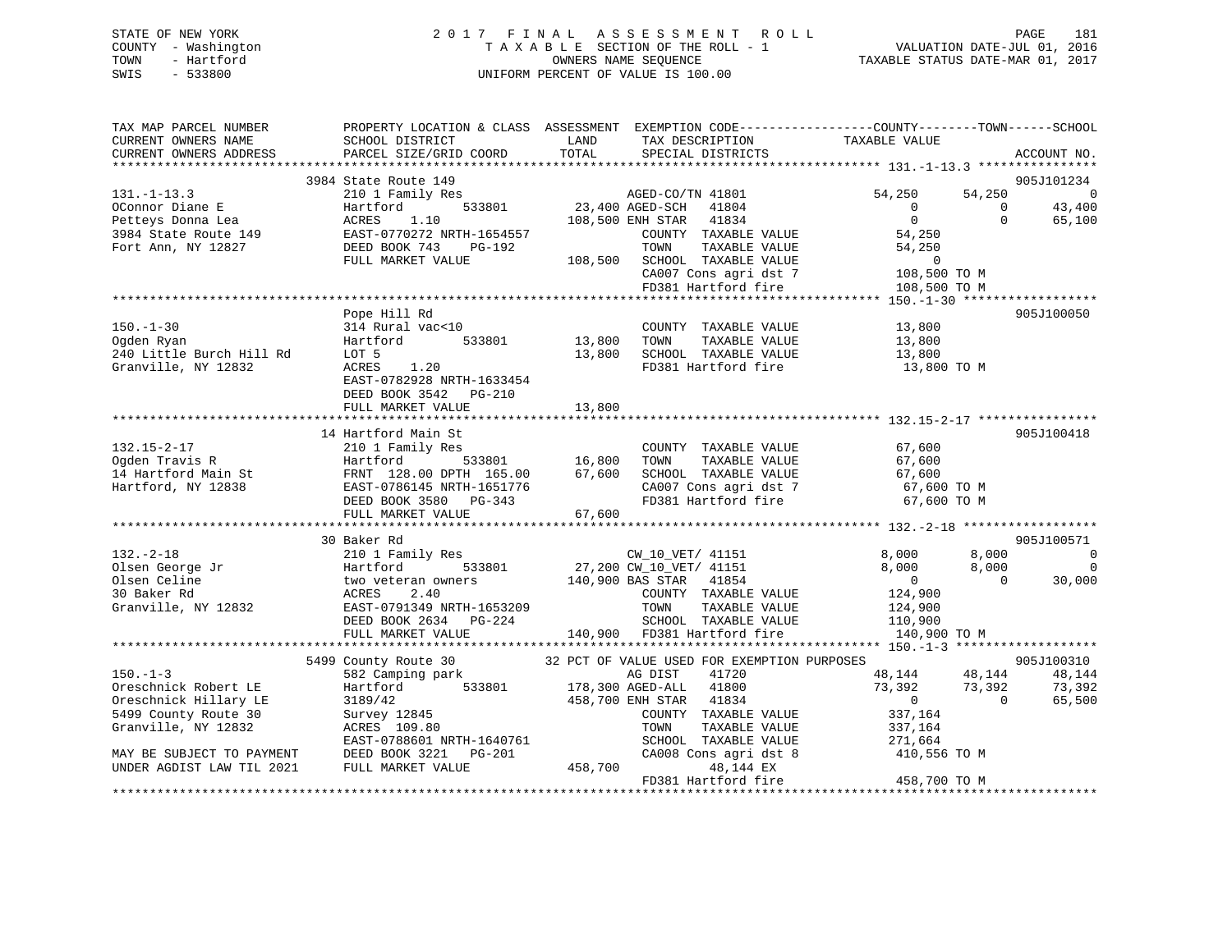# STATE OF NEW YORK 2 0 1 7 F I N A L A S S E S S M E N T R O L L PAGE 181 COUNTY - Washington T A X A B L E SECTION OF THE ROLL - 1 VALUATION DATE-JUL 01, 2016 TOWN - Hartford **TAXABLE STATUS DATE-MAR 01, 2017** SWIS - 533800 UNIFORM PERCENT OF VALUE IS 100.00

| TAX MAP PARCEL NUMBER                         |                                                                        |               | PROPERTY LOCATION & CLASS ASSESSMENT EXEMPTION CODE---------------COUNTY-------TOWN-----SCHOOL |                                  |                    |                  |
|-----------------------------------------------|------------------------------------------------------------------------|---------------|------------------------------------------------------------------------------------------------|----------------------------------|--------------------|------------------|
| CURRENT OWNERS NAME<br>CURRENT OWNERS ADDRESS | SCHOOL DISTRICT<br>PARCEL SIZE/GRID COORD                              | LAND<br>TOTAL | TAX DESCRIPTION<br>SPECIAL DISTRICTS                                                           | TAXABLE VALUE                    |                    | ACCOUNT NO.      |
|                                               |                                                                        |               |                                                                                                |                                  |                    |                  |
|                                               | 3984 State Route 149                                                   |               |                                                                                                |                                  |                    | 905J101234       |
| $131. - 1 - 13.3$                             | 210 1 Family Res                                                       |               | AGED-CO/TN 41801<br>23,400 AGED-SCH 41804                                                      | 54,250                           | 54,250<br>$\Omega$ | $\overline{0}$   |
| OConnor Diane E<br>Petteys Donna Lea          | Hartford<br>533801<br>ACRES                                            |               | 41834                                                                                          | $\Omega$<br>$\overline{0}$       | $\Omega$           | 43,400           |
| 3984 State Route 149                          | 1.10<br>EAST-0770272 NRTH-1654557                                      |               | 108,500 ENH STAR<br>COUNTY TAXABLE VALUE                                                       | 54,250                           |                    | 65,100           |
| Fort Ann, NY 12827                            | DEED BOOK 743<br>PG-192                                                |               | TOWN<br>TAXABLE VALUE                                                                          | 54,250                           |                    |                  |
|                                               | FULL MARKET VALUE                                                      |               | 108,500 SCHOOL TAXABLE VALUE                                                                   | $\overline{0}$                   |                    |                  |
|                                               |                                                                        |               |                                                                                                | 108,500 TO M                     |                    |                  |
|                                               |                                                                        |               | CA007 Cons agri dst 7<br>FD381 Hartford fire                                                   | 108,500 TO M                     |                    |                  |
|                                               |                                                                        |               |                                                                                                |                                  |                    |                  |
|                                               | Pope Hill Rd                                                           |               |                                                                                                |                                  |                    | 905J100050       |
| $150. - 1 - 30$                               | 314 Rural vac<10                                                       |               | COUNTY TAXABLE VALUE                                                                           | 13,800                           |                    |                  |
| Ogden Ryan                                    | Hartford<br>533801                                                     | 13,800        | TOWN<br>TAXABLE VALUE                                                                          | 13,800                           |                    |                  |
| 240 Little Burch Hill Rd                      | LOT 5                                                                  | 13,800        | SCHOOL TAXABLE VALUE<br>FD381 Hartford fire                                                    | 13,800                           |                    |                  |
| Granville, NY 12832                           | 1.20<br>ACRES                                                          |               |                                                                                                | 13,800 TO M                      |                    |                  |
|                                               | EAST-0782928 NRTH-1633454                                              |               |                                                                                                |                                  |                    |                  |
|                                               | DEED BOOK 3542 PG-210                                                  |               |                                                                                                |                                  |                    |                  |
|                                               | FULL MARKET VALUE                                                      | 13,800        |                                                                                                |                                  |                    |                  |
|                                               |                                                                        |               |                                                                                                |                                  |                    |                  |
|                                               | 14 Hartford Main St                                                    |               |                                                                                                |                                  |                    | 905J100418       |
| $132.15 - 2 - 17$<br>Ogden Travis R           | 210 1 Family Res<br>533801<br>Hartford                                 | 16,800        | COUNTY TAXABLE VALUE<br>TOWN<br>TAXABLE VALUE                                                  | 67,600<br>67,600                 |                    |                  |
|                                               | FRNT 128.00 DPTH 165.00                                                | 67,600        | SCHOOL TAXABLE VALUE                                                                           | 67,600<br>67,600 TO M<br>20 TO M |                    |                  |
| 14 Hartford Main St<br>Hartford, NY 12838     | EAST-0786145 NRTH-1651776                                              |               | CA007 Cons agri dst 7                                                                          |                                  |                    |                  |
|                                               | DEED BOOK 3580 PG-343                                                  |               | FD381 Hartford fire                                                                            | 67,600 TO M                      |                    |                  |
|                                               | FULL MARKET VALUE                                                      | 67,600        |                                                                                                |                                  |                    |                  |
|                                               |                                                                        |               |                                                                                                |                                  |                    |                  |
|                                               | 30 Baker Rd                                                            |               |                                                                                                |                                  |                    | 905J100571       |
| $132 - 2 - 18$                                | 210 1 Family Res                                                       |               | CW 10 VET/ 41151                                                                               | 8,000                            | 8,000              | $\overline{0}$   |
| Olsen George Jr                               | Hartford<br>533801                                                     |               | 27,200 CW_10_VET/ 41151                                                                        | 8,000                            | 8,000              | $\mathbf 0$      |
| Olsen Celine                                  | two veteran owners                                                     |               | 140,900 BAS STAR 41854                                                                         | $\overline{0}$                   | $\overline{0}$     | 30,000           |
| 30 Baker Rd                                   | 2.40<br>ACRES                                                          |               | COUNTY TAXABLE VALUE                                                                           | 124,900                          |                    |                  |
| Granville, NY 12832                           | EAST-0791349 NRTH-1653209                                              |               | TOWN<br>TAXABLE VALUE                                                                          | 124,900                          |                    |                  |
|                                               | DEED BOOK 2634 PG-224<br>FULL MARKET VALUE 140,900 FD381 Hartford fire |               |                                                                                                | 110,900                          |                    |                  |
|                                               |                                                                        |               |                                                                                                | 140,900 TO M                     |                    |                  |
|                                               |                                                                        |               |                                                                                                |                                  |                    |                  |
| $150 - 1 - 3$                                 | 5499 County Route 30                                                   |               | 32 PCT OF VALUE USED FOR EXEMPTION PURPOSES                                                    |                                  |                    | 905J100310       |
| Oreschnick Robert LE                          | 582 Camping park<br>533801<br>Hartford                                 |               | AG DIST<br>41720<br>178,300 AGED-ALL 41800                                                     | 48,144<br>73,392                 | 48,144<br>73,392   | 48,144<br>73,392 |
| Oreschnick Hillary LE                         | 3189/42                                                                |               | 458,700 ENH STAR 41834                                                                         | $\overline{0}$                   | $\overline{0}$     | 65,500           |
| 5499 County Route 30                          | 3189/42<br>Survey 12845                                                |               | COUNTY TAXABLE VALUE                                                                           | 337,164                          |                    |                  |
| Granville, NY 12832                           | ACRES 109.80                                                           |               | TOWN<br>TAXABLE VALUE                                                                          | 337,164                          |                    |                  |
|                                               | EAST-0788601 NRTH-1640761                                              |               | SCHOOL TAXABLE VALUE                                                                           | 271,664                          |                    |                  |
| MAY BE SUBJECT TO PAYMENT                     | DEED BOOK 3221<br>PG-201                                               |               | CA008 Cons agri dst 8                                                                          | 410,556 TO M                     |                    |                  |
| UNDER AGDIST LAW TIL 2021                     | FULL MARKET VALUE                                                      | 458,700       | 48,144 EX                                                                                      |                                  |                    |                  |
|                                               |                                                                        |               | FD381 Hartford fire                                                                            | 458,700 TO M                     |                    |                  |
|                                               |                                                                        |               |                                                                                                |                                  |                    |                  |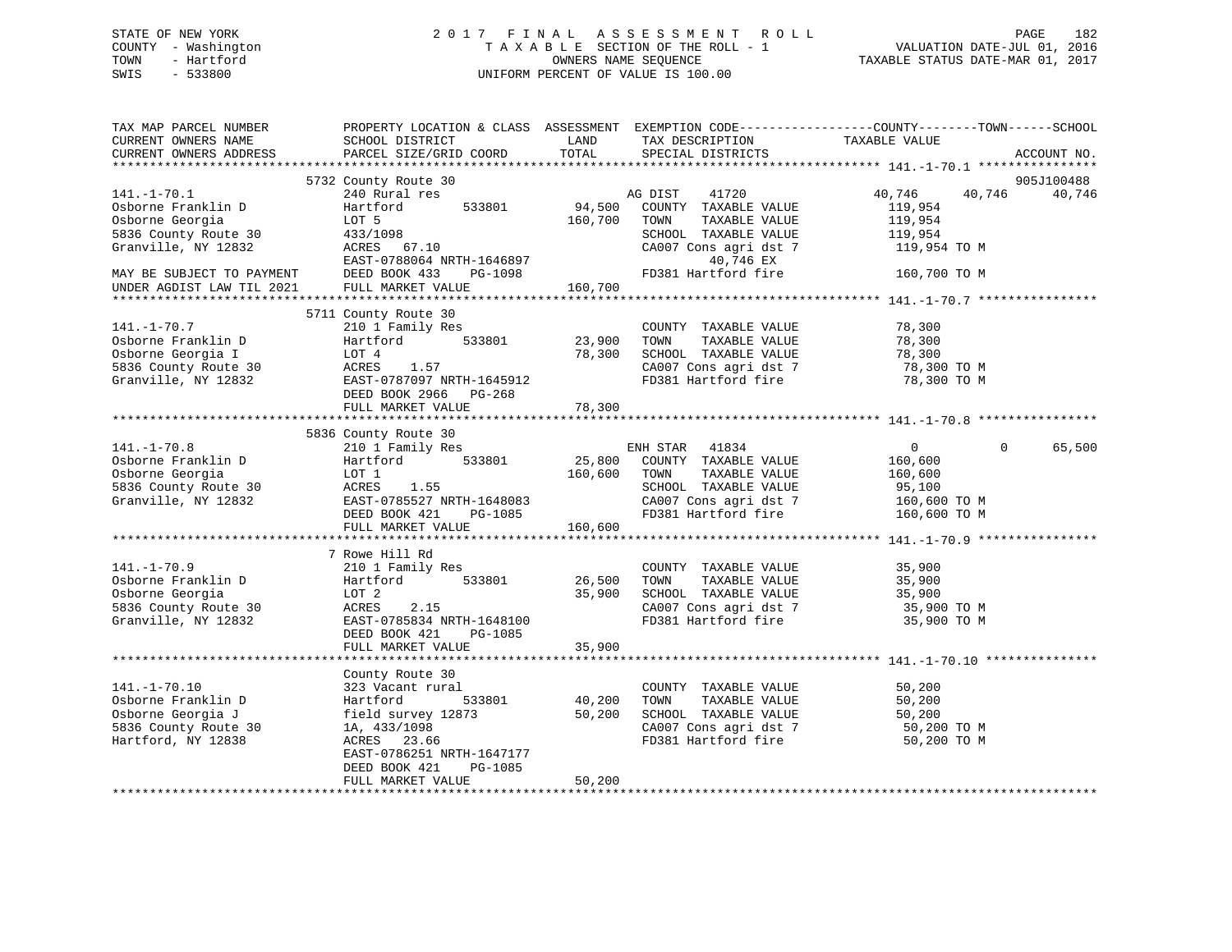# STATE OF NEW YORK 2 0 1 7 F I N A L A S S E S S M E N T R O L L PAGE 182 COUNTY - Washington T A X A B L E SECTION OF THE ROLL - 1 VALUATION DATE-JUL 01, 2016 TOWN - Hartford OWNERS NAME SEQUENCE TAXABLE STATUS DATE-MAR 01, 2017 SWIS - 533800 UNIFORM PERCENT OF VALUE IS 100.00

| TAX MAP PARCEL NUMBER<br>CURRENT OWNERS NAME<br>CURRENT OWNERS ADDRESS | PROPERTY LOCATION & CLASS ASSESSMENT<br>SCHOOL DISTRICT<br>PARCEL SIZE/GRID COORD | LAND<br>TOTAL | EXEMPTION CODE-----------------COUNTY-------TOWN------SCHOOL<br>TAX DESCRIPTION<br>SPECIAL DISTRICTS | TAXABLE VALUE    | ACCOUNT NO.        |
|------------------------------------------------------------------------|-----------------------------------------------------------------------------------|---------------|------------------------------------------------------------------------------------------------------|------------------|--------------------|
|                                                                        |                                                                                   |               |                                                                                                      |                  |                    |
|                                                                        | 5732 County Route 30                                                              |               |                                                                                                      |                  | 905J100488         |
| $141. - 1 - 70.1$                                                      | 240 Rural res                                                                     |               | 41720<br>AG DIST                                                                                     | 40,746<br>40,746 | 40,746             |
| Osborne Franklin D                                                     | 533801<br>Hartford                                                                | 94,500        | COUNTY TAXABLE VALUE                                                                                 | 119,954          |                    |
| Osborne Georgia                                                        | LOT 5                                                                             | 160,700       | TAXABLE VALUE<br>TOWN                                                                                | 119,954          |                    |
| 5836 County Route 30                                                   | 433/1098                                                                          |               | SCHOOL TAXABLE VALUE                                                                                 | 119,954          |                    |
| Granville, NY 12832                                                    | ACRES 67.10                                                                       |               | CA007 Cons agri dst 7                                                                                | 119,954 TO M     |                    |
|                                                                        | EAST-0788064 NRTH-1646897                                                         |               | 40,746 EX                                                                                            |                  |                    |
| MAY BE SUBJECT TO PAYMENT                                              | DEED BOOK 433<br>PG-1098                                                          |               | FD381 Hartford fire                                                                                  | 160,700 TO M     |                    |
| UNDER AGDIST LAW TIL 2021                                              | FULL MARKET VALUE                                                                 | 160,700       |                                                                                                      |                  |                    |
|                                                                        | 5711 County Route 30                                                              |               |                                                                                                      |                  |                    |
| $141. - 1 - 70.7$                                                      | 210 1 Family Res                                                                  |               | COUNTY TAXABLE VALUE                                                                                 | 78,300           |                    |
| Osborne Franklin D                                                     | Hartford<br>533801                                                                | 23,900        | TOWN<br>TAXABLE VALUE                                                                                | 78,300           |                    |
| Osborne Georgia I                                                      | LOT 4                                                                             | 78,300        | SCHOOL TAXABLE VALUE                                                                                 | 78,300           |                    |
| 5836 County Route 30                                                   | ACRES<br>1.57                                                                     |               | CA007 Cons agri dst 7                                                                                | 78,300 TO M      |                    |
| Granville, NY 12832                                                    | EAST-0787097 NRTH-1645912                                                         |               | FD381 Hartford fire                                                                                  | 78,300 TO M      |                    |
|                                                                        | DEED BOOK 2966 PG-268                                                             |               |                                                                                                      |                  |                    |
|                                                                        | FULL MARKET VALUE                                                                 | 78,300        |                                                                                                      |                  |                    |
|                                                                        |                                                                                   |               |                                                                                                      |                  |                    |
|                                                                        | 5836 County Route 30                                                              |               |                                                                                                      |                  |                    |
| $141. - 1 - 70.8$                                                      | 210 1 Family Res                                                                  |               | ENH STAR 41834                                                                                       | $\overline{0}$   | 65,500<br>$\Omega$ |
| Osborne Franklin D                                                     | 533801<br>Hartford                                                                | 25,800        | COUNTY TAXABLE VALUE                                                                                 | 160,600          |                    |
| Osborne Georgia                                                        | LOT 1                                                                             | 160,600       | TAXABLE VALUE<br>TOWN                                                                                | 160,600          |                    |
| 5836 County Route 30                                                   | ACRES<br>1.55                                                                     |               | SCHOOL TAXABLE VALUE                                                                                 | 95,100           |                    |
| Granville, NY 12832                                                    | EAST-0785527 NRTH-1648083                                                         |               | CA007 Cons agri dst 7                                                                                | 160,600 TO M     |                    |
|                                                                        | DEED BOOK 421<br>PG-1085                                                          |               | FD381 Hartford fire                                                                                  | 160,600 TO M     |                    |
|                                                                        | FULL MARKET VALUE                                                                 | 160,600       |                                                                                                      |                  |                    |
|                                                                        | 7 Rowe Hill Rd                                                                    |               |                                                                                                      |                  |                    |
| $141. - 1 - 70.9$                                                      | 210 1 Family Res                                                                  |               | COUNTY TAXABLE VALUE                                                                                 | 35,900           |                    |
| Osborne Franklin D                                                     | Hartford<br>533801                                                                | 26,500        | TAXABLE VALUE<br>TOWN                                                                                | 35,900           |                    |
| Osborne Georgia                                                        | LOT 2                                                                             | 35,900        | SCHOOL TAXABLE VALUE                                                                                 | 35,900           |                    |
| 5836 County Route 30                                                   | ACRES<br>2.15                                                                     |               | CA007 Cons agri dst 7                                                                                | 35,900 TO M      |                    |
| Granville, NY 12832                                                    | EAST-0785834 NRTH-1648100                                                         |               | FD381 Hartford fire                                                                                  | 35,900 TO M      |                    |
|                                                                        | DEED BOOK 421<br>PG-1085                                                          |               |                                                                                                      |                  |                    |
|                                                                        | FULL MARKET VALUE                                                                 | 35,900        |                                                                                                      |                  |                    |
|                                                                        |                                                                                   |               |                                                                                                      |                  |                    |
|                                                                        | County Route 30                                                                   |               |                                                                                                      |                  |                    |
| $141. - 1 - 70.10$                                                     | 323 Vacant rural                                                                  |               | COUNTY TAXABLE VALUE                                                                                 | 50,200           |                    |
| Osborne Franklin D                                                     | Hartford<br>533801                                                                | 40,200        | TAXABLE VALUE<br>TOWN                                                                                | 50,200           |                    |
| Osborne Georgia J                                                      | field survey 12873                                                                | 50,200        | SCHOOL TAXABLE VALUE                                                                                 | 50,200           |                    |
| 5836 County Route 30                                                   | 1A, 433/1098                                                                      |               | CA007 Cons agri dst 7                                                                                | 50,200 TO M      |                    |
| Hartford, NY 12838                                                     | ACRES 23.66                                                                       |               | FD381 Hartford fire                                                                                  | 50,200 TO M      |                    |
|                                                                        | EAST-0786251 NRTH-1647177                                                         |               |                                                                                                      |                  |                    |
|                                                                        | DEED BOOK 421<br>PG-1085                                                          |               |                                                                                                      |                  |                    |
|                                                                        | FULL MARKET VALUE                                                                 | 50,200        |                                                                                                      |                  |                    |
|                                                                        |                                                                                   |               |                                                                                                      |                  |                    |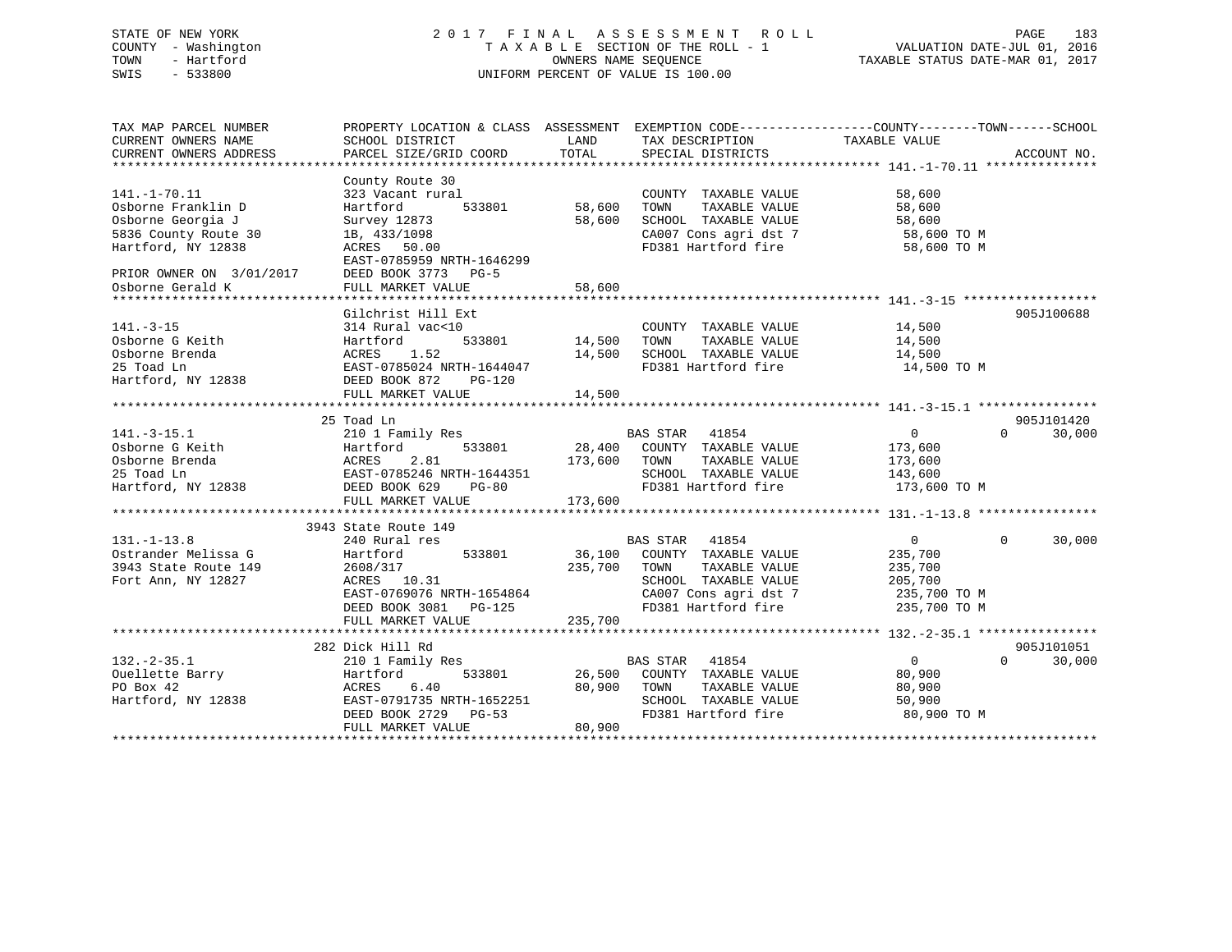# STATE OF NEW YORK 2 0 1 7 F I N A L A S S E S S M E N T R O L L PAGE 183 COUNTY - Washington T A X A B L E SECTION OF THE ROLL - 1 VALUATION DATE-JUL 01, 2016 TOWN - Hartford OWNERS NAME SEQUENCE TAXABLE STATUS DATE-MAR 01, 2017 SWIS - 533800 UNIFORM PERCENT OF VALUE IS 100.00

| TAX MAP PARCEL NUMBER<br>CURRENT OWNERS NAME<br>CURRENT OWNERS ADDRESS                                                                  | PROPERTY LOCATION & CLASS ASSESSMENT EXEMPTION CODE---------------COUNTY-------TOWN-----SCHOOL<br>SCHOOL DISTRICT<br>PARCEL SIZE/GRID COORD                  | LAND<br>TOTAL              | TAX DESCRIPTION TAXABLE VALUE<br>SPECIAL DISTRICTS                                                                                     |                                                                                    | ACCOUNT NO.                      |
|-----------------------------------------------------------------------------------------------------------------------------------------|--------------------------------------------------------------------------------------------------------------------------------------------------------------|----------------------------|----------------------------------------------------------------------------------------------------------------------------------------|------------------------------------------------------------------------------------|----------------------------------|
| $141. - 1 - 70.11$<br>Osborne Franklin D<br>Osborne Georgia J<br>5836 County Route 30<br>Hartford, NY 12838<br>PRIOR OWNER ON 3/01/2017 | County Route 30<br>323 Vacant rural<br>Hartford<br>533801<br>Survey 12873<br>1B, 433/1098<br>ACRES 50.00<br>EAST-0785959 NRTH-1646299<br>DEED BOOK 3773 PG-5 | 58,600<br>58,600           | COUNTY TAXABLE VALUE<br>TAXABLE VALUE<br>TOWN<br>SCHOOL TAXABLE VALUE<br>CA007 Cons agri dst 7<br>FD381 Hartford fire                  | 58,600<br>58,600<br>58,600<br>58,600 TO M<br>58,600 TO M                           |                                  |
| Osborne Gerald K                                                                                                                        | FULL MARKET VALUE                                                                                                                                            | 58,600                     |                                                                                                                                        |                                                                                    |                                  |
| $141. - 3 - 15$<br>Osborne G Keith<br>Osborne Brenda<br>25 Toad Ln<br>Hartford, NY 12838                                                | Gilchrist Hill Ext<br>314 Rural vac<10<br>Hartford<br>533801<br>1.52<br>ACRES<br>EAST-0785024 NRTH-1644047<br>DEED BOOK 872<br>PG-120<br>FULL MARKET VALUE   | 14,500<br>14,500<br>14,500 | COUNTY TAXABLE VALUE<br>TAXABLE VALUE<br>TOWN<br>SCHOOL TAXABLE VALUE<br>FD381 Hartford fire                                           | 14,500<br>14,500<br>14,500<br>14,500 TO M                                          | 905J100688                       |
|                                                                                                                                         | 25 Toad Ln                                                                                                                                                   |                            |                                                                                                                                        |                                                                                    | 905J101420                       |
| $141. - 3 - 15.1$<br>Osborne G Keith<br>Osborne Brenda<br>25 Toad Ln<br>Hartford, NY 12838                                              | 210 1 Family Res<br>533801<br>Hartford<br>ACRES<br>2.81<br>EAST-0785246 NRTH-1644351<br>DEED BOOK 629<br>$PG-80$<br>FULL MARKET VALUE                        | 173,600<br>173,600         | <b>BAS STAR</b> 41854<br>28,400 COUNTY TAXABLE VALUE<br>TOWN<br>TAXABLE VALUE<br>SCHOOL TAXABLE VALUE<br>FD381 Hartford fire           | $\overline{0}$<br>173,600<br>173,600<br>143,600<br>173,600 TO M                    | $\Omega$<br>30,000               |
|                                                                                                                                         | 3943 State Route 149                                                                                                                                         |                            |                                                                                                                                        |                                                                                    |                                  |
| $131. - 1 - 13.8$<br>Ostrander Melissa G<br>3943 State Route 149<br>Fort Ann, NY 12827                                                  | 240 Rural res<br>533801<br>Hartford<br>2608/317<br>ACRES 10.31<br>EAST-0769076 NRTH-1654864<br>DEED BOOK 3081 PG-125<br>FULL MARKET VALUE                    | 235,700 TOWN<br>235,700    | BAS STAR 41854<br>36,100 COUNTY TAXABLE VALUE<br>TAXABLE VALUE<br>SCHOOL TAXABLE VALUE<br>CA007 Cons agri dst 7<br>FD381 Hartford fire | $0 \qquad \qquad$<br>235,700<br>235,700<br>205,700<br>235,700 TO M<br>235,700 TO M | $\Omega$<br>30,000               |
|                                                                                                                                         |                                                                                                                                                              |                            |                                                                                                                                        |                                                                                    |                                  |
| $132 - 2 - 35.1$<br>Ouellette Barry<br>PO Box 42<br>Hartford, NY 12838                                                                  | 282 Dick Hill Rd<br>210 1 Family Res<br>Hartford<br>533801<br>6.40<br>ACRES<br>EAST-0791735 NRTH-1652251<br>DEED BOOK 2729 PG-53<br>FULL MARKET VALUE        | 80,900<br>80,900           | BAS STAR 41854<br>26,500 COUNTY TAXABLE VALUE<br>TAXABLE VALUE<br>TOWN<br>SCHOOL TAXABLE VALUE<br>FD381 Hartford fire                  | $\overline{0}$<br>80,900<br>80,900<br>50,900<br>80,900 TO M                        | 905J101051<br>$\Omega$<br>30,000 |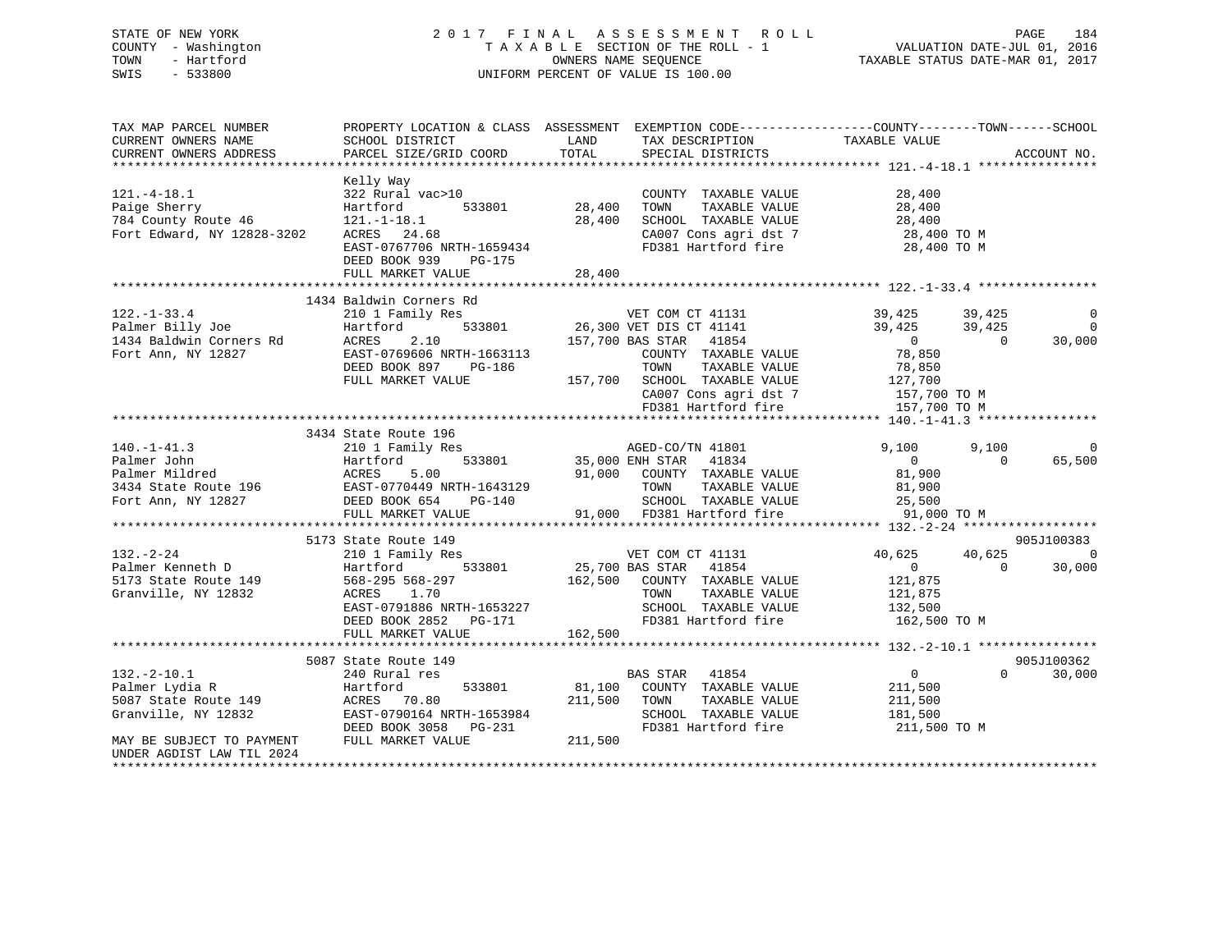# STATE OF NEW YORK 2 0 1 7 F I N A L A S S E S S M E N T R O L L PAGE 184 COUNTY - Washington T A X A B L E SECTION OF THE ROLL - 1 VALUATION DATE-JUL 01, 2016 TOWN - Hartford OWNERS NAME SEQUENCE TAXABLE STATUS DATE-MAR 01, 2017 SWIS - 533800 UNIFORM PERCENT OF VALUE IS 100.00

| TAX MAP PARCEL NUMBER                                                                                                                                                                             | PROPERTY LOCATION & CLASS ASSESSMENT EXEMPTION CODE----------------COUNTY-------TOWN------SCHOOL                                                                                     |                                   |                                                                                                                                                        |                                                                 |                    |                                            |
|---------------------------------------------------------------------------------------------------------------------------------------------------------------------------------------------------|--------------------------------------------------------------------------------------------------------------------------------------------------------------------------------------|-----------------------------------|--------------------------------------------------------------------------------------------------------------------------------------------------------|-----------------------------------------------------------------|--------------------|--------------------------------------------|
| $121. - 4 - 18.1$<br>Paige Sherry<br>784 County Route 46<br>Fort Edward, NY 12828-3202                                                                                                            | Kelly Way<br>322 Rural vac>10<br>Hartford<br>$121. - 1 - 18.1$<br>ACRES 24.68<br>EAST-0767706 NRTH-1659434<br>DEED BOOK 939<br>PG-175<br>FULL MARKET VALUE                           | 533801 28,400<br>28,400<br>28,400 | COUNTY TAXABLE VALUE<br>TAXABLE VALUE<br>TOWN<br>SCHOOL TAXABLE VALUE $28,400$<br>CA007 Cons agri dst 7 28,400 TO M<br>FD381 Hartford fire 28,400 TO M | 28,400<br>28,400                                                |                    |                                            |
|                                                                                                                                                                                                   | 1434 Baldwin Corners Rd                                                                                                                                                              |                                   |                                                                                                                                                        |                                                                 |                    |                                            |
| $122. - 1 - 33.4$                                                                                                                                                                                 | 210 1 Family Res<br>Hartford<br>ACKES 2.10<br>EAST-0769606 NRTH-1663113<br>DEED BOOK 897 PG-186<br>RILL MADVES VIC-186 TOWN TAXABLE<br>FILL MADVES VIC-186 TOWN TAXABLE              |                                   | Rd<br>533801 26,300 VET DIS CT 41141<br>533801 26,300 VET DIS CT 41141<br>COUNTY TAXABLE VALUE 78,850<br>TAXABLE VALUE                                 | 39, 425 39, 425<br>39, 425 39, 425<br>$\overline{0}$<br>78,850  | $\sim$ 0           | $\overline{0}$<br>$\overline{0}$<br>30,000 |
|                                                                                                                                                                                                   | FULL MARKET VALUE                                                                                                                                                                    |                                   | 157,700 SCHOOL TAXABLE VALUE 127,700<br>CA007 Cons agri dst 7<br>CA007 Cons agri dst 7<br>FD381 Hartford fire                                          | 157,700 TO M<br>157,700 TO M                                    |                    |                                            |
|                                                                                                                                                                                                   | 3434 State Route 196                                                                                                                                                                 |                                   |                                                                                                                                                        |                                                                 |                    |                                            |
| 140.-1-41.3<br>Palmer John Hartford 533801<br>Palmer Mildred ACRES 5.00<br>3434 State Route 196 EAST-0770449 NRTH-1643129<br>Fort Ann, NY 12827 DEED BOOK 654 PG-140<br>FULLE PRINCE RANGER VALUE |                                                                                                                                                                                      |                                   | 3<br>533801 35,000 ENH STAR 41834<br>91,000 COUNTY TAXABLE VALUE                                                                                       | 9,100<br>$\overline{0}$<br>81,900<br>81,900                     | 9,100<br>$\Omega$  | $\overline{0}$<br>65,500                   |
|                                                                                                                                                                                                   |                                                                                                                                                                                      |                                   |                                                                                                                                                        |                                                                 |                    |                                            |
|                                                                                                                                                                                                   | 5173 State Route 149                                                                                                                                                                 |                                   |                                                                                                                                                        |                                                                 |                    | 905J100383                                 |
| 132.-2-24<br>Palmer Kenneth D<br>5173 State Route 149<br>67173 State Route 149<br>568-295 568-297<br>672 ACRES<br>FR CTL 01886 NRT                                                                | 210 1 Family Res<br>Hartford 533801 25,700 BAS STAR 41854<br>568-295 568-297 162,500 COUNTY TAXABLE VALUE<br>EAST-0791886 NRTH-1653227<br>DEED BOOK 2852 PG-171<br>FULL MARKET VALUE | 162,500                           | TAXABLE VALUE<br>TOWN<br>SCHOOL TAXABLE VALUE 132,500<br>FD381 Hartford fire                                                                           | 40,625<br>$\overline{0}$<br>121,875<br>121,875<br>162,500 TO M  | 40,625<br>$\Omega$ | $\Omega$<br>30,000                         |
|                                                                                                                                                                                                   |                                                                                                                                                                                      |                                   |                                                                                                                                                        |                                                                 |                    |                                            |
|                                                                                                                                                                                                   | 5087 State Route 149                                                                                                                                                                 |                                   |                                                                                                                                                        |                                                                 |                    | 905J100362                                 |
| $132. - 2 - 10.1$<br>Palmer Lydia R<br>5087 State Route 149<br>Granville, NY 12832                                                                                                                | 240 Rural res<br>533801<br>Hartford<br>ACRES 70.80<br>EAST-0790164 NRTH-1653984<br>DEED BOOK 3058 PG-231                                                                             | $81,100$ <sup>BP</sup><br>211,500 | BAS STAR 41854<br>COUNTY TAXABLE VALUE<br>TAXABLE VALUE<br>TOWN<br>SCHOOL TAXABLE VALUE<br>FD381 Hartford fire                                         | $\overline{0}$<br>211,500<br>211,500<br>181,500<br>211,500 TO M | $\Omega$           | 30,000                                     |
| MAY BE SUBJECT TO PAYMENT<br>UNDER AGDIST LAW TIL 2024                                                                                                                                            | FULL MARKET VALUE                                                                                                                                                                    | 211,500                           |                                                                                                                                                        |                                                                 |                    |                                            |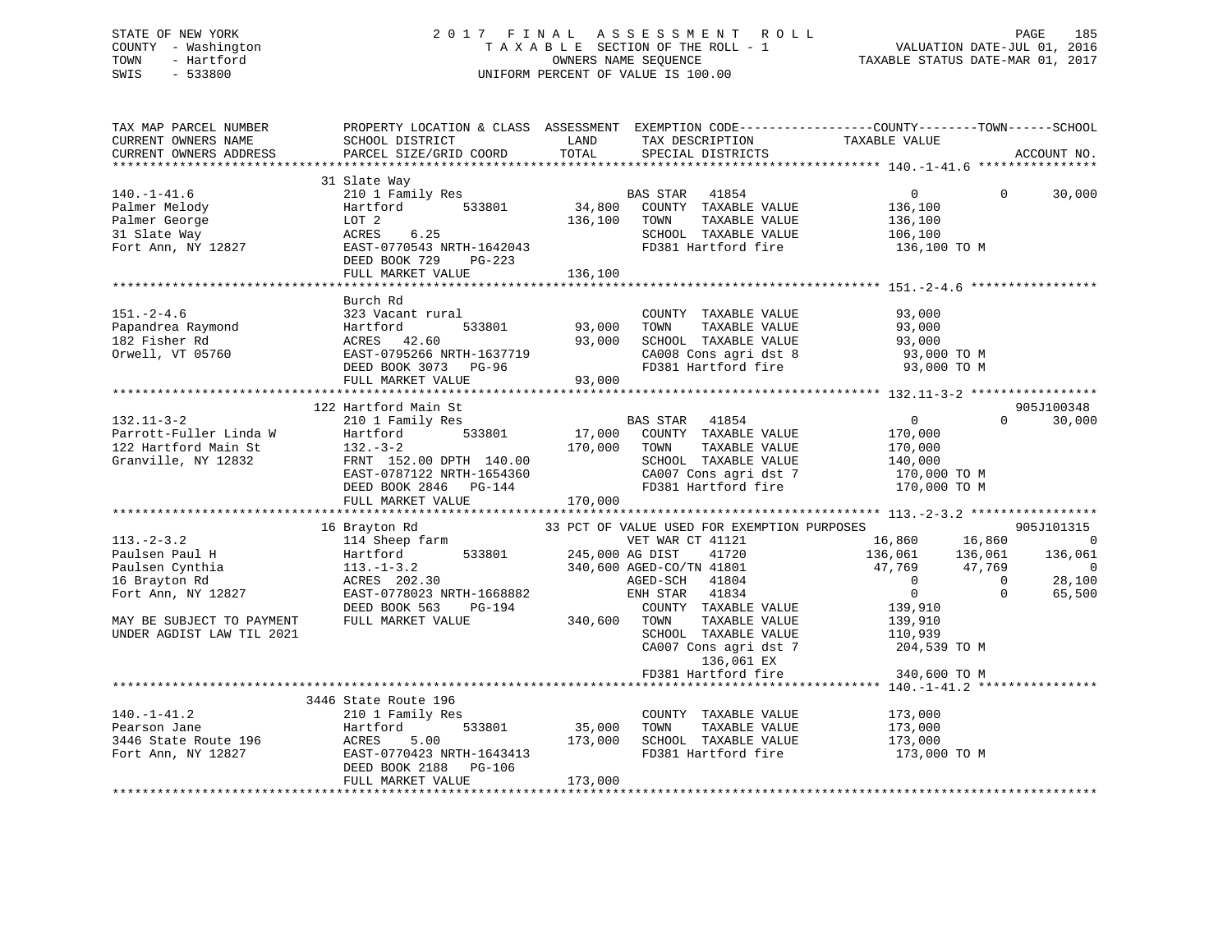# STATE OF NEW YORK 2 0 1 7 F I N A L A S S E S S M E N T R O L L PAGE 185 COUNTY - Washington T A X A B L E SECTION OF THE ROLL - 1 VALUATION DATE-JUL 01, 2016 TOWN - Hartford **TAXABLE STATUS DATE-MAR 01, 2017** SWIS - 533800 UNIFORM PERCENT OF VALUE IS 100.00

| TAX MAP PARCEL NUMBER<br>CURRENT OWNERS NAME<br>CURRENT OWNERS ADDRESS                                                                             | SCHOOL DISTRICT<br>PARCEL SIZE/GRID COORD                                                                                                                                                                                                                     | LAND<br>TOTAL                     | TAX DESCRIPTION<br>SPECIAL DISTRICTS                                                                                                                                                                                                                                   | PROPERTY LOCATION & CLASS ASSESSMENT EXEMPTION CODE----------------COUNTY-------TOWN-----SCHOOL<br>TAXABLE VALUE                           | ACCOUNT NO.                                                                                   |
|----------------------------------------------------------------------------------------------------------------------------------------------------|---------------------------------------------------------------------------------------------------------------------------------------------------------------------------------------------------------------------------------------------------------------|-----------------------------------|------------------------------------------------------------------------------------------------------------------------------------------------------------------------------------------------------------------------------------------------------------------------|--------------------------------------------------------------------------------------------------------------------------------------------|-----------------------------------------------------------------------------------------------|
|                                                                                                                                                    |                                                                                                                                                                                                                                                               |                                   |                                                                                                                                                                                                                                                                        |                                                                                                                                            |                                                                                               |
| $140. - 1 - 41.6$<br>Palmer Melody<br>Palmer George<br>31 Slate Way<br>Fort Ann, NY 12827                                                          | 31 Slate Way<br>210 1 Family Res<br>Hartford 533801<br>LOT 2<br>6.25<br>ACRES<br>EAST-0770543 NRTH-1642043<br>DEED BOOK 729<br>PG-223                                                                                                                         | 136,100                           | BAS STAR 41854<br>34,800 COUNTY TAXABLE VALUE<br>TAXABLE VALUE<br>TOWN<br>SCHOOL TAXABLE VALUE<br>FD381 Hartford fire                                                                                                                                                  | $\overline{0}$<br>$\Omega$<br>136,100<br>136,100<br>106,100<br>136,100 TO M                                                                | 30,000                                                                                        |
|                                                                                                                                                    | FULL MARKET VALUE                                                                                                                                                                                                                                             | 136,100                           |                                                                                                                                                                                                                                                                        |                                                                                                                                            |                                                                                               |
| $151. - 2 - 4.6$<br>Papandrea Raymond<br>182 Fisher Rd<br>Orwell, VT 05760                                                                         | Burch Rd<br>323 Vacant rural<br>Hartford<br>ACRES 42.60<br>EAST-0795266 NRTH-1637719<br>COLORATION DOLAS<br>DEED BOOK 3073 PG-96<br>FULL MARKET VALUE                                                                                                         | 533801 93,000<br>93,000<br>93,000 | COUNTY TAXABLE VALUE<br>TOWN<br>TAXABLE VALUE<br>SCHOOL TAXABLE VALUE<br>CA008 Cons agri dst 8<br>FD381 Hartford fire                                                                                                                                                  | 93,000<br>93,000<br>93,000<br>93,000 TO M<br>93,000 TO M                                                                                   |                                                                                               |
|                                                                                                                                                    |                                                                                                                                                                                                                                                               |                                   |                                                                                                                                                                                                                                                                        |                                                                                                                                            |                                                                                               |
| $132.11 - 3 - 2$<br>Parrott-Fuller Linda W<br>122 Hartford Main St<br>Granville, NY 12832<br>$113. - 2 - 3.2$<br>Paulsen Paul H<br>Paulsen Cynthia | 122 Hartford Main St<br>210 1 Family Res<br>533801<br>Hartford<br>132.-3-2<br>FRNT 152.00 DPTH 140.00<br>---- 0797122 NRTH-1654360<br>DEED BOOK 2846 PG-144<br>FULL MARKET VALUE<br>16 Brayton Rd<br>114 Sheep farm<br>533801<br>Hartford<br>$113. - 1 - 3.2$ | 170,000<br>170,000                | BAS STAR 41854<br>17,000 COUNTY TAXABLE VALUE<br>TOWN<br>TAXABLE VALUE<br>SCHOOL TAXABLE VALUE<br>CA007 Cons agri dst 7<br>FD381 Hartford fire<br>33 PCT OF VALUE USED FOR EXEMPTION PURPOSES<br>VET WAR CT 41121<br>245,000 AG DIST 41720<br>340,600 AGED-CO/TN 41801 | $\overline{0}$<br>170,000<br>170,000<br>140,000<br>170,000 ТО М<br>170,000 TO M<br>16,860 16,860<br>136,061<br>136,061<br>47,769<br>47,769 | 905J100348<br>$\Omega$<br>30,000<br>905J101315<br>$\overline{0}$<br>136,061<br>$\overline{0}$ |
| 16 Brayton Rd<br>Fort Ann, NY 12827<br>MAY BE SUBJECT TO PAYMENT<br>UNDER AGDIST LAW TIL 2021                                                      | ACRES 202.30<br>EAST-0778023 NRTH-1668882<br>DEED BOOK 563<br>PG-194<br>FULL MARKET VALUE                                                                                                                                                                     | 340,600 TOWN                      | AGED-SCH 41804<br>ENH STAR 41834<br>COUNTY TAXABLE VALUE<br>TAXABLE VALUE<br>SCHOOL TAXABLE VALUE<br>CA007 Cons agri dst 7<br>136,061 EX<br>FD381 Hartford fire                                                                                                        | $\overline{0}$<br>$\overline{0}$<br>$\overline{0}$<br>$\mathbf 0$<br>139,910<br>139,910<br>110,939<br>204,539 TO M<br>340,600 TO M         | 28,100<br>65,500                                                                              |
|                                                                                                                                                    |                                                                                                                                                                                                                                                               |                                   |                                                                                                                                                                                                                                                                        |                                                                                                                                            |                                                                                               |
| $140. - 1 - 41.2$<br>Pearson Jane<br>3446 State Route 196<br>Fort Ann, NY 12827                                                                    | 3446 State Route 196<br>210 1 Family Res<br>533801<br>Hartford<br>Hartic<br>ACRES<br>5.00<br>EAST-0770423 NRTH-1643413<br>DEED BOOK 2188<br>PG-106<br>FULL MARKET VALUE                                                                                       | 35,000<br>173,000<br>173,000      | COUNTY TAXABLE VALUE<br>TOWN<br>TAXABLE VALUE<br>SCHOOL TAXABLE VALUE<br>FD381 Hartford fire                                                                                                                                                                           | 173,000<br>173,000<br>173,000<br>173,000 TO M                                                                                              |                                                                                               |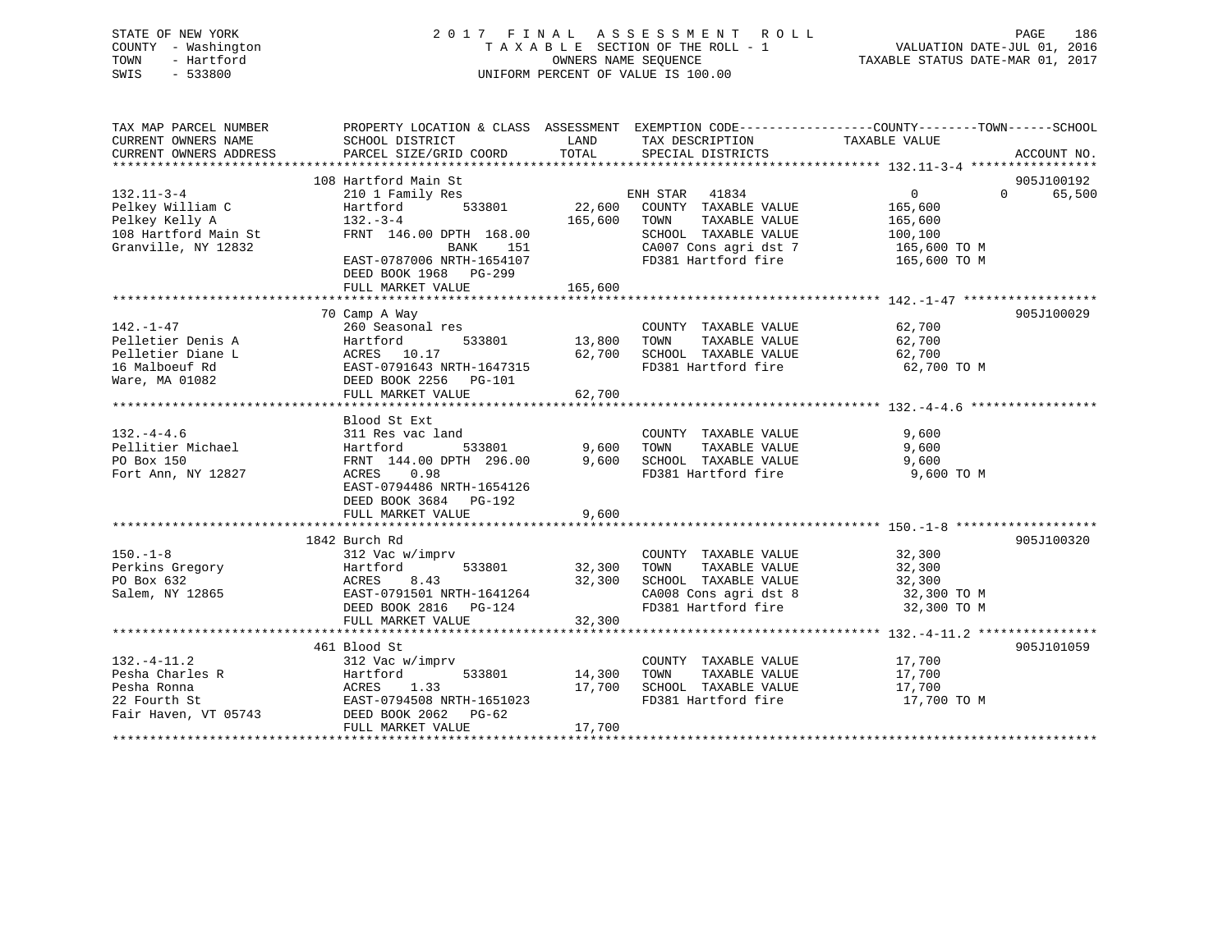# STATE OF NEW YORK 2 0 1 7 F I N A L A S S E S S M E N T R O L L PAGE 186 COUNTY - Washington T A X A B L E SECTION OF THE ROLL - 1 VALUATION DATE-JUL 01, 2016 TOWN - Hartford **TAXABLE STATUS DATE-MAR 01, 2017** SWIS - 533800 UNIFORM PERCENT OF VALUE IS 100.00

| TAX MAP PARCEL NUMBER<br>CURRENT OWNERS NAME | PROPERTY LOCATION & CLASS ASSESSMENT EXEMPTION CODE----------------COUNTY-------TOWN------SCHOOL<br>SCHOOL DISTRICT | LAND                       | TAX DESCRIPTION                                                        | TAXABLE VALUE         |                    |
|----------------------------------------------|---------------------------------------------------------------------------------------------------------------------|----------------------------|------------------------------------------------------------------------|-----------------------|--------------------|
| CURRENT OWNERS ADDRESS                       | PARCEL SIZE/GRID COORD                                                                                              | TOTAL                      | SPECIAL DISTRICTS                                                      |                       | ACCOUNT NO.        |
|                                              | 108 Hartford Main St                                                                                                |                            |                                                                        |                       | 905J100192         |
| $132.11 - 3 - 4$                             | 210 1 Family Res                                                                                                    |                            |                                                                        | $0 \qquad \qquad$     | 65,500<br>$\Omega$ |
| Pelkey William C                             | 533801<br>Hartford                                                                                                  |                            | ENH STAR 41834<br>22,600 COUNTY TAXABLE VALUE                          | 165,600               |                    |
| Pelkey Kelly A                               | $132 - 3 - 4$                                                                                                       | 165,600 TOWN               | TAXABLE VALUE                                                          | 165,600               |                    |
| 108 Hartford Main St                         | FRNT 146.00 DPTH 168.00                                                                                             |                            | SCHOOL TAXABLE VALUE                                                   | 100,100               |                    |
| Granville, NY 12832                          | BANK<br>151                                                                                                         |                            | CA007 Cons agri dst 7 165,600 TO M                                     |                       |                    |
|                                              | EAST-0787006 NRTH-1654107<br>DEED BOOK 1968 PG-299                                                                  |                            | FD381 Hartford fire                                                    | 165,600 TO M          |                    |
|                                              | FULL MARKET VALUE                                                                                                   | 165,600                    |                                                                        |                       |                    |
|                                              |                                                                                                                     |                            |                                                                        |                       |                    |
|                                              | 70 Camp A Way                                                                                                       |                            |                                                                        |                       | 905J100029         |
| 142.-1-47                                    | 260 Seasonal res                                                                                                    |                            | COUNTY TAXABLE VALUE                                                   | 62,700                |                    |
| Pelletier Denis A                            | 533801<br>Hartford                                                                                                  | 13,800                     | TAXABLE VALUE<br>TOWN                                                  | 62,700                |                    |
| Pelletier Diane L                            | ACRES 10.17                                                                                                         | 62,700                     | SCHOOL TAXABLE VALUE                                                   | 62,700                |                    |
| 16 Malboeuf Rd                               | EAST-0791643 NRTH-1647315                                                                                           |                            | FD381 Hartford fire                                                    | 62,700 TO M           |                    |
| Ware, MA 01082                               | DEED BOOK 2256 PG-101                                                                                               |                            |                                                                        |                       |                    |
|                                              | FULL MARKET VALUE                                                                                                   | 62,700                     |                                                                        |                       |                    |
|                                              |                                                                                                                     |                            |                                                                        |                       |                    |
|                                              | Blood St Ext                                                                                                        |                            |                                                                        |                       |                    |
| $132. - 4 - 4.6$                             | 311 Res vac land                                                                                                    |                            | COUNTY TAXABLE VALUE                                                   | 9,600                 |                    |
| Pellitier Michael                            | 533801<br>Hartford                                                                                                  | 9,600                      | TOWN<br>TAXABLE VALUE                                                  | 9,600                 |                    |
| PO Box 150                                   | FRNT 144.00 DPTH 296.00                                                                                             | 9,600                      | SCHOOL TAXABLE VALUE                                                   | 9,600                 |                    |
| Fort Ann, NY 12827                           | 0.98<br>ACRES                                                                                                       |                            | FD381 Hartford fire                                                    | 9,600 TO M            |                    |
|                                              | EAST-0794486 NRTH-1654126                                                                                           |                            |                                                                        |                       |                    |
|                                              | DEED BOOK 3684 PG-192                                                                                               |                            |                                                                        |                       |                    |
|                                              | FULL MARKET VALUE                                                                                                   | 9,600                      |                                                                        |                       |                    |
|                                              |                                                                                                                     |                            |                                                                        |                       |                    |
|                                              | 1842 Burch Rd                                                                                                       |                            |                                                                        |                       | 905J100320         |
| $150. - 1 - 8$                               | 312 Vac w/imprv                                                                                                     | COUNT<br>32,300       TOWN | COUNTY TAXABLE VALUE                                                   | 32,300                |                    |
| Perkins Gregory<br>PO Box 632                | 533801<br>Hartford<br>8.43                                                                                          | 32,300                     | TAXABLE VALUE                                                          | 32,300                |                    |
| Salem, NY 12865                              | ACRES<br>EAST-0791501 NRTH-1641264                                                                                  |                            | SCHOOL TAXABLE VALUE<br>CA008 Cons agri dst 8<br>CA008 Cons agri dst 8 | 32,300<br>32,300 TO M |                    |
|                                              | DEED BOOK 2816 PG-124                                                                                               |                            |                                                                        | 32,300 TO M           |                    |
|                                              | FULL MARKET VALUE                                                                                                   | 32,300                     |                                                                        |                       |                    |
|                                              |                                                                                                                     |                            |                                                                        |                       |                    |
|                                              | 461 Blood St                                                                                                        |                            |                                                                        |                       | 905J101059         |
| $132. - 4 - 11.2$                            | 312 Vac w/imprv                                                                                                     |                            | COUNTY TAXABLE VALUE                                                   | 17,700                |                    |
| Pesha Charles R                              | 533801<br>Hartford                                                                                                  | 14,300                     | TAXABLE VALUE<br>TOWN                                                  | 17,700                |                    |
| Pesha Ronna                                  | ACRES 1.33                                                                                                          | 17,700                     | SCHOOL TAXABLE VALUE                                                   | 17,700                |                    |
| 22 Fourth St                                 | EAST-0794508 NRTH-1651023                                                                                           |                            | FD381 Hartford fire                                                    | 17,700 TO M           |                    |
| Fair Haven, VT 05743                         | DEED BOOK 2062 PG-62                                                                                                |                            |                                                                        |                       |                    |
|                                              | FULL MARKET VALUE                                                                                                   | 17,700                     |                                                                        |                       |                    |
|                                              |                                                                                                                     |                            |                                                                        |                       |                    |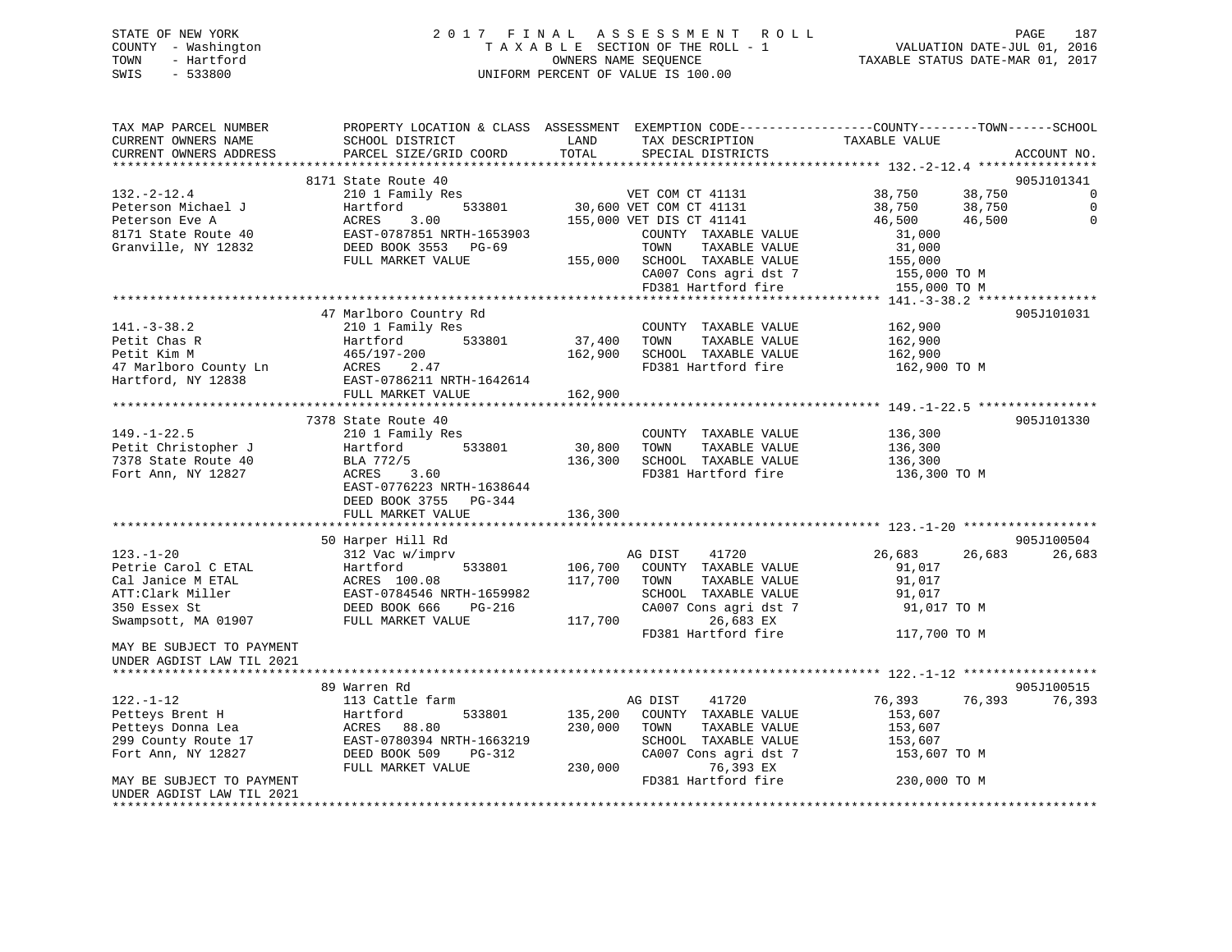# STATE OF NEW YORK 2 0 1 7 F I N A L A S S E S S M E N T R O L L PAGE 187 COUNTY - Washington T A X A B L E SECTION OF THE ROLL - 1 VALUATION DATE-JUL 01, 2016 TOWN - Hartford **TAXABLE STATUS DATE-MAR 01, 2017** SWIS - 533800 UNIFORM PERCENT OF VALUE IS 100.00

| TAX MAP PARCEL NUMBER<br>CURRENT OWNERS NAME<br>CURRENT OWNERS ADDRESS                                                 | PROPERTY LOCATION & CLASS ASSESSMENT EXEMPTION CODE----------------COUNTY-------TOWN------SCHOOL<br>SCHOOL DISTRICT<br>PARCEL SIZE/GRID COORD           | LAND<br>TOTAL                 | TAX DESCRIPTION<br>SPECIAL DISTRICTS                                                                                                                   | TAXABLE VALUE                                                                 | ACCOUNT NO.                         |
|------------------------------------------------------------------------------------------------------------------------|---------------------------------------------------------------------------------------------------------------------------------------------------------|-------------------------------|--------------------------------------------------------------------------------------------------------------------------------------------------------|-------------------------------------------------------------------------------|-------------------------------------|
| ************************                                                                                               |                                                                                                                                                         |                               |                                                                                                                                                        |                                                                               |                                     |
| $132. - 2 - 12.4$<br>Peterson Michael J<br>Peterson Eve A<br>8171 State Route 40<br>Granville, NY 12832                | 8171 State Route 40<br>210 1 Family Res<br>533801<br>Hartford<br>ACRES<br>3.00<br>EAST-0787851 NRTH-1653903<br>DEED BOOK 3553 PG-69                     |                               | VET COM CT 41131<br>30,600 VET COM CT 41131<br>155,000 VET DIS CT 41141<br>COUNTY TAXABLE VALUE<br>TOWN<br>TAXABLE VALUE                               | 38,750<br>38,750<br>38,750<br>38,750<br>46,500<br>46,500<br>31,000<br>31,000  | 905J101341<br>0<br>0<br>$\mathbf 0$ |
|                                                                                                                        | FULL MARKET VALUE                                                                                                                                       | 155,000                       | SCHOOL TAXABLE VALUE<br>CA007 Cons agri dst 7<br>FD381 Hartford fire                                                                                   | 155,000<br>155,000 TO M<br>155,000 TO M                                       |                                     |
|                                                                                                                        |                                                                                                                                                         |                               |                                                                                                                                                        |                                                                               |                                     |
| $141. - 3 - 38.2$<br>Petit Chas R<br>Petit Kim M<br>47 Marlboro County Ln<br>Hartford, NY 12838                        | 47 Marlboro Country Rd<br>210 1 Family Res<br>533801<br>Hartford<br>465/197-200<br>ACRES 2.47<br>EAST-0786211 NRTH-1642614                              | 37,400<br>162,900             | COUNTY TAXABLE VALUE<br>TOWN<br>TAXABLE VALUE<br>SCHOOL TAXABLE VALUE<br>FD381 Hartford fire                                                           | 162,900<br>162,900<br>162,900<br>162,900 TO M                                 | 905J101031                          |
|                                                                                                                        | FULL MARKET VALUE                                                                                                                                       | 162,900                       |                                                                                                                                                        |                                                                               |                                     |
|                                                                                                                        | 7378 State Route 40                                                                                                                                     |                               |                                                                                                                                                        |                                                                               | 905J101330                          |
| $149. - 1 - 22.5$<br>Petit Christopher J<br>7378 State Route 40<br>Fort Ann, NY 12827                                  | 210 1 Family Res<br>Hartford<br>533801<br>BLA 772/5<br>ACRES<br>3.60<br>EAST-0776223 NRTH-1638644<br>DEED BOOK 3755 PG-344<br>FULL MARKET VALUE         | 30,800<br>136,300<br>136,300  | COUNTY TAXABLE VALUE<br>TOWN<br>TAXABLE VALUE<br>SCHOOL TAXABLE VALUE<br>FD381 Hartford fire                                                           | 136,300<br>136,300<br>136,300<br>136,300 TO M                                 |                                     |
|                                                                                                                        |                                                                                                                                                         |                               |                                                                                                                                                        |                                                                               |                                     |
| $123. - 1 - 20$<br>Petrie Carol C ETAL<br>Cal Janice M ETAL<br>ATT:Clark Miller<br>350 Essex St<br>Swampsott, MA 01907 | 50 Harper Hill Rd<br>312 Vac w/imprv<br>Hartford<br>533801<br>ACRES 100.08<br>EAST-0784546 NRTH-1659982<br>DEED BOOK 666<br>PG-216<br>FULL MARKET VALUE | 106,700<br>117,700<br>117,700 | AG DIST<br>41720<br>COUNTY TAXABLE VALUE<br>TOWN<br>TAXABLE VALUE<br>SCHOOL TAXABLE VALUE<br>CA007 Cons agri dst 7<br>26,683 EX<br>FD381 Hartford fire | 26,683<br>26,683<br>91,017<br>91,017<br>91,017<br>91,017 TO M<br>117,700 TO M | 905J100504<br>26,683                |
| MAY BE SUBJECT TO PAYMENT<br>UNDER AGDIST LAW TIL 2021                                                                 |                                                                                                                                                         |                               |                                                                                                                                                        |                                                                               |                                     |
|                                                                                                                        | 89 Warren Rd                                                                                                                                            |                               |                                                                                                                                                        |                                                                               | 905J100515                          |
| $122. - 1 - 12$<br>Petteys Brent H<br>Petteys Donna Lea<br>299 County Route 17<br>Fort Ann, NY 12827                   | 113 Cattle farm<br>533801<br>Hartford<br>ACRES 88.80<br>EAST-0780394 NRTH-1663219<br>DEED BOOK 509<br>PG-312<br>FULL MARKET VALUE                       | 135,200<br>230,000<br>230,000 | AG DIST<br>41720<br>COUNTY TAXABLE VALUE<br>TAXABLE VALUE<br>TOWN<br>SCHOOL TAXABLE VALUE<br>CA007 Cons agri dst 7<br>76,393 EX                        | 76,393<br>76,393<br>153,607<br>153,607<br>153,607<br>153,607 TO M             | 76,393                              |
| MAY BE SUBJECT TO PAYMENT<br>UNDER AGDIST LAW TIL 2021                                                                 |                                                                                                                                                         |                               | FD381 Hartford fire                                                                                                                                    | 230,000 TO M                                                                  |                                     |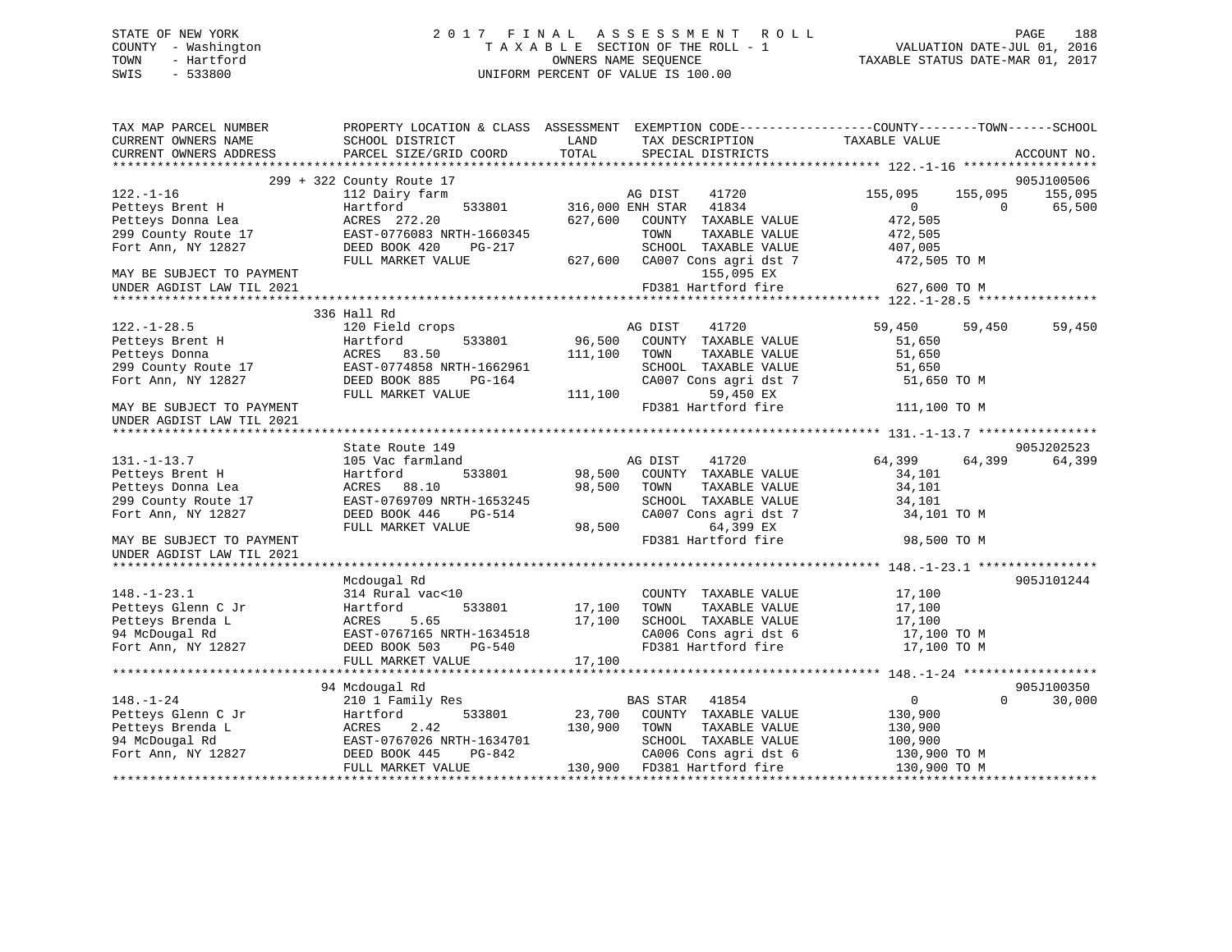# STATE OF NEW YORK 2 0 1 7 F I N A L A S S E S S M E N T R O L L PAGE 188 COUNTY - Washington T A X A B L E SECTION OF THE ROLL - 1 VALUATION DATE-JUL 01, 2016 TOWN - Hartford **TAXABLE STATUS DATE-MAR 01, 2017** SWIS - 533800 UNIFORM PERCENT OF VALUE IS 100.00

| TAX MAP PARCEL NUMBER<br>CURRENT OWNERS NAME<br>CURRENT OWNERS ADDRESS                                                                                                                                                   | PROPERTY LOCATION & CLASS ASSESSMENT EXEMPTION CODE----------------COUNTY-------TOWN------SCHOOL<br>SCHOOL DISTRICT<br><b>EXAMPLE THE STATE OF STATE OF STATE</b><br>PARCEL SIZE/GRID COORD | TOTAL         | TAX DESCRIPTION TAXABLE VALUE SPECIAL DISTRICTS                            |                                              | ACCOUNT NO. |
|--------------------------------------------------------------------------------------------------------------------------------------------------------------------------------------------------------------------------|---------------------------------------------------------------------------------------------------------------------------------------------------------------------------------------------|---------------|----------------------------------------------------------------------------|----------------------------------------------|-------------|
|                                                                                                                                                                                                                          |                                                                                                                                                                                             |               |                                                                            |                                              |             |
|                                                                                                                                                                                                                          | 299 + 322 County Route 17                                                                                                                                                                   |               |                                                                            |                                              | 905J100506  |
| $122. - 1 - 16$                                                                                                                                                                                                          | 112 Dairy farm                                                                                                                                                                              |               | e 17<br>arm 533801 316,000 ENH STAR 41834<br>533801 316,000 ENH STAR 41834 | 155,095<br>155,095                           | 155,095     |
| Petteys Brent H Martford<br>Petteys Donna Lea MCRES 272.20                                                                                                                                                               |                                                                                                                                                                                             |               |                                                                            | $\Omega$<br>$\Omega$                         | 65,500      |
|                                                                                                                                                                                                                          |                                                                                                                                                                                             |               |                                                                            | $0$<br>472,505                               |             |
|                                                                                                                                                                                                                          |                                                                                                                                                                                             |               |                                                                            |                                              |             |
|                                                                                                                                                                                                                          |                                                                                                                                                                                             |               |                                                                            |                                              |             |
| Petteys Brench and ACRES 272.20<br>299 County Route 17 EAST-0776083 NRTH-1660345<br>Fort Ann, NY 12827 DEED BOOK 420 PG-217 SCHOOL TAXABLE VALUE 407,005<br>FULL MARKET VALUE 627,600 CA007 Cons agri dst 7 472,505 TO M |                                                                                                                                                                                             |               |                                                                            |                                              |             |
|                                                                                                                                                                                                                          |                                                                                                                                                                                             |               |                                                                            |                                              |             |
| UNDER AGDIST LAW TIL 2021                                                                                                                                                                                                |                                                                                                                                                                                             |               | FD381 Hartford fire                                                        | 627,600 TO M                                 |             |
|                                                                                                                                                                                                                          |                                                                                                                                                                                             |               |                                                                            |                                              |             |
|                                                                                                                                                                                                                          | 336 Hall Rd                                                                                                                                                                                 |               |                                                                            |                                              |             |
| $122. - 1 - 28.5$                                                                                                                                                                                                        | 120 Field crops                                                                                                                                                                             |               | AG DIST 41720                                                              | 59,450<br>59,450                             | 59,450      |
| Petteys Brent H<br>Petteys Donna<br>Petteys Donna<br>299 County Route 17<br>Fort Ann, NY 12827<br>PEED BOOK 885<br>PEED BOOK 885<br>PEED BOOK 885<br>PEED BOOK 885                                                       |                                                                                                                                                                                             |               | 533801 96,500 COUNTY TAXABLE VALUE                                         | 51,650                                       |             |
|                                                                                                                                                                                                                          |                                                                                                                                                                                             | 111,100 TOWN  | TAXABLE VALUE                                                              | 51,650                                       |             |
|                                                                                                                                                                                                                          | RTH-1662961<br>PG-164                                                                                                                                                                       |               | SCHOOL TAXABLE VALUE                                                       | 51,650                                       |             |
|                                                                                                                                                                                                                          |                                                                                                                                                                                             |               | CA007 Cons agri dst 7                                                      | 51,650 TO M                                  |             |
|                                                                                                                                                                                                                          | FULL MARKET VALUE                                                                                                                                                                           | 111,100       | 59,450 EX                                                                  |                                              |             |
| MAY BE SUBJECT TO PAYMENT                                                                                                                                                                                                |                                                                                                                                                                                             |               | FD381 Hartford fire 111,100 TO M                                           |                                              |             |
| UNDER AGDIST LAW TIL 2021                                                                                                                                                                                                |                                                                                                                                                                                             |               |                                                                            |                                              |             |
|                                                                                                                                                                                                                          | State Route 149                                                                                                                                                                             |               |                                                                            |                                              | 905J202523  |
| $131. - 1 - 13.7$                                                                                                                                                                                                        | 105 Vac farmland                                                                                                                                                                            |               | AG DIST 41720                                                              | 64,399 64,399                                | 64,399      |
| Petteys Brent H                                                                                                                                                                                                          | Hartford                                                                                                                                                                                    |               | 533801 98,500 COUNTY TAXABLE VALUE                                         | 34,101                                       |             |
| Petteys Donna Lea                                                                                                                                                                                                        | ACRES 88.10                                                                                                                                                                                 | 98,500 TOWN   | TAXABLE VALUE                                                              | 34,101                                       |             |
| 299 County Route 17                                                                                                                                                                                                      |                                                                                                                                                                                             |               |                                                                            |                                              |             |
| Fort Ann, NY 12827                                                                                                                                                                                                       |                                                                                                                                                                                             |               | SCHOOL TAXABLE VALUE $34,101$<br>CA007 Cons agri dst 7 $34,101$            | 34,101 TO M                                  |             |
|                                                                                                                                                                                                                          | ACRES 88.10<br>EAST-0769709 NRTH-1653245 SCHOOL<br>DEED BOOK 446 PG-514 CA007 Co<br>FIILL MARKET VALUE 98,500 FD381 Ha                                                                      |               | 64,399 EX                                                                  |                                              |             |
| MAY BE SUBJECT TO PAYMENT                                                                                                                                                                                                |                                                                                                                                                                                             |               | FD381 Hartford fire                                                        | 98,500 TO M                                  |             |
| UNDER AGDIST LAW TIL 2021                                                                                                                                                                                                |                                                                                                                                                                                             |               |                                                                            |                                              |             |
|                                                                                                                                                                                                                          |                                                                                                                                                                                             |               |                                                                            |                                              |             |
|                                                                                                                                                                                                                          | Mcdougal Rd                                                                                                                                                                                 |               |                                                                            |                                              | 905J101244  |
| $148. - 1 - 23.1$                                                                                                                                                                                                        | 314 Rural vac<10                                                                                                                                                                            |               | COUNTY TAXABLE VALUE 17,100                                                |                                              |             |
|                                                                                                                                                                                                                          |                                                                                                                                                                                             | 533801 17,100 | TOWN                                                                       | TAXABLE VALUE 17,100<br>TAXABLE VALUE 17,100 |             |
|                                                                                                                                                                                                                          |                                                                                                                                                                                             |               |                                                                            |                                              |             |
| Petteys Glenn C Jr Hartford 533801 17,100<br>Petteys Brenda L ACRES 5.65 17,100<br>94 McDougal Rd EAST-0767165 NRTH-1634518 Fort Ann, NY 12827 DEED BOOK 503 PG-540                                                      |                                                                                                                                                                                             |               | SCHOOL TAXABLE VALUE 17,100<br>CA006 Cons agri dst 6 17,100 TO M           |                                              |             |
| Fort Ann, NY 12827                                                                                                                                                                                                       |                                                                                                                                                                                             |               | FD381 Hartford fire                                                        | 17,100 TO M                                  |             |
|                                                                                                                                                                                                                          | FULL MARKET VALUE                                                                                                                                                                           | 17,100        |                                                                            |                                              |             |
|                                                                                                                                                                                                                          |                                                                                                                                                                                             |               |                                                                            |                                              |             |
|                                                                                                                                                                                                                          | 94 Mcdougal Rd                                                                                                                                                                              |               |                                                                            |                                              | 905J100350  |
| $148. - 1 - 24$                                                                                                                                                                                                          | 210 1 Family Res                                                                                                                                                                            |               | BAS STAR 41854                                                             | $\overline{0}$<br>$\Omega$                   | 30,000      |
| Petteys Glenn C Jr<br>Petteys Brenda L<br>Petteys Brenda L<br>2.42<br>94 McDougal Rd<br>Fort Ann, NY 12827<br>Peters C BAST-0767026 NRTH-1634701<br>Fort Ann, NY 12827<br>DEED BOOK 445<br>PG-842                        |                                                                                                                                                                                             |               | 533801 23,700 COUNTY TAXABLE VALUE 130,900                                 |                                              |             |
|                                                                                                                                                                                                                          |                                                                                                                                                                                             | 130,900       | TOWN<br>TAXABLE VALUE                                                      | 130,900                                      |             |
|                                                                                                                                                                                                                          | RTH-1634701<br>PG-842                                                                                                                                                                       |               | SCHOOL TAXABLE VALUE                                                       | 100,900                                      |             |
| Fort Ann, NY 12827                                                                                                                                                                                                       | FULL MARKET VALUE                                                                                                                                                                           |               | CA006 Cons agri dst 6<br>130,900 FD381 Hartford fire 130,900 TO M          | 130,900 TO M                                 |             |
|                                                                                                                                                                                                                          |                                                                                                                                                                                             |               |                                                                            |                                              |             |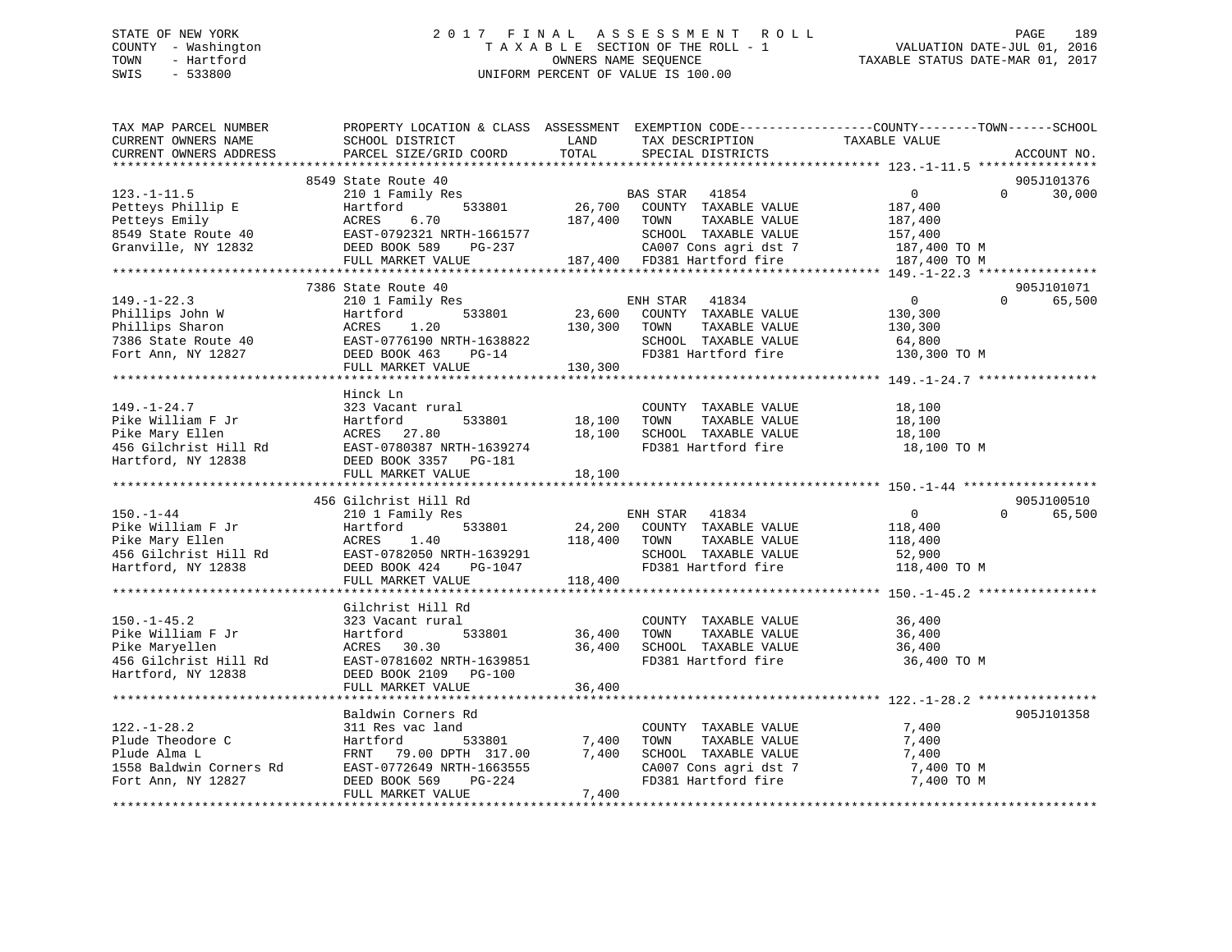# STATE OF NEW YORK 2 0 1 7 F I N A L A S S E S S M E N T R O L L PAGE 189 COUNTY - Washington T A X A B L E SECTION OF THE ROLL - 1 VALUATION DATE-JUL 01, 2016 TOWN - Hartford **TAXABLE STATUS DATE-MAR 01, 2017** SWIS - 533800 UNIFORM PERCENT OF VALUE IS 100.00

| TAX MAP PARCEL NUMBER<br>CURRENT OWNERS NAME<br>CURRENT OWNERS ADDRESS                                                                                                                                                                   | PROPERTY LOCATION & CLASS ASSESSMENT EXEMPTION CODE----------------COUNTY-------TOWN-----SCHOOL<br>SCHOOL DISTRICT<br>PARCEL SIZE/GRID COORD                | LAND<br>TOTAL                   | TAX DESCRIPTION<br>SPECIAL DISTRICTS                                                                                                          | TAXABLE VALUE                                                                   |          | ACCOUNT NO.          |
|------------------------------------------------------------------------------------------------------------------------------------------------------------------------------------------------------------------------------------------|-------------------------------------------------------------------------------------------------------------------------------------------------------------|---------------------------------|-----------------------------------------------------------------------------------------------------------------------------------------------|---------------------------------------------------------------------------------|----------|----------------------|
|                                                                                                                                                                                                                                          |                                                                                                                                                             |                                 |                                                                                                                                               |                                                                                 |          |                      |
| $123. - 1 - 11.5$<br>Petteys Phillip E<br>Petteys Emily<br>8549 State Route 40<br>Granville, NY 12832                                                                                                                                    | 8549 State Route 40<br>210 1 Family Res<br>533801<br>Hartford<br>ACRES<br>6.70<br>EAST-0792321 NRTH-1661577<br>DEED BOOK 589<br>PG-237<br>FULL MARKET VALUE | 187,400 TOWN                    | BAS STAR 41854<br>26,700 COUNTY TAXABLE VALUE<br>TAXABLE VALUE<br>SCHOOL TAXABLE VALUE<br>CA007 Cons agri dst 7                               | $\overline{0}$<br>187,400<br>187,400<br>157,400<br>187,400 TO M<br>187,400 TO M | $\Omega$ | 905J101376<br>30,000 |
|                                                                                                                                                                                                                                          |                                                                                                                                                             |                                 |                                                                                                                                               |                                                                                 |          |                      |
| $149. - 1 - 22.3$<br>Phillips John W<br>Phillips Sharon<br>7386 State Route 40<br>Fort Ann, NY 12827                                                                                                                                     | 7386 State Route 40<br>210 1 Family Res<br>Hartford<br>ACRES<br>1.20<br>EAST-0776190 NRTH-1638822<br>DEED BOOK 463 PG-14<br>FULL MARKET VALUE               | 130,300<br>130,300              | ENH STAR 41834<br>533801 23,600 COUNTY TAXABLE VALUE<br>TOWN<br>TAXABLE VALUE<br>SCHOOL TAXABLE VALUE<br>FD381 Hartford fire                  | $\mathbf{0}$<br>130,300<br>130,300<br>64,800<br>130,300 TO M                    | $\Omega$ | 905J101071<br>65,500 |
|                                                                                                                                                                                                                                          |                                                                                                                                                             |                                 |                                                                                                                                               |                                                                                 |          |                      |
| $149. - 1 - 24.7$<br>Pike William F Jr<br>Pike Mary Ellen<br>456 Gilchrist Hill Rd<br>456 Gilchrist Hill Rd<br>4756 Gilchrist Hill Rd<br>476 EAST-0780387 NRTH-1639274<br>476 EAST-0780387 NRTH-1639274<br>476 EAST-0780387 NRTH-1639274 | Hinck Ln<br>323 Vacant rural<br>FULL MARKET VALUE                                                                                                           | 18,100 TOWN<br>18,100<br>18,100 | COUNTY TAXABLE VALUE<br>TAXABLE VALUE<br>SCHOOL TAXABLE VALUE<br>FD381 Hartford fire                                                          | 18,100<br>18,100<br>18,100<br>18,100 TO M                                       |          |                      |
|                                                                                                                                                                                                                                          |                                                                                                                                                             |                                 |                                                                                                                                               |                                                                                 |          |                      |
| $150. - 1 - 44$<br>Pike William F Jr<br>Pike Mary Ellen<br>456 Gilchrist Hill Rd EAST-0782050 NRTH-1639291<br>Hartford, NY 12838                                                                                                         | 456 Gilchrist Hill Rd<br>210 1 Family Res<br>533801<br>Hartford<br>ACRES 1.40<br>DEED BOOK 424 PG-1047<br>FULL MARKET VALUE                                 | 118,400 TOWN<br>118,400         | ENH STAR 41834<br>24,200 COUNTY TAXABLE VALUE<br>TAXABLE VALUE<br>SCHOOL TAXABLE VALUE<br>FD381 Hartford fire                                 | $\overline{0}$<br>118,400<br>118,400<br>52,900<br>118,400 TO M                  | $\Omega$ | 905J100510<br>65,500 |
|                                                                                                                                                                                                                                          | Gilchrist Hill Rd                                                                                                                                           |                                 |                                                                                                                                               |                                                                                 |          |                      |
| $150. - 1 - 45.2$<br>Pike William F Jr<br>Pike Maryellen<br>456 Gilchrist Hill Rd<br>Hartford, NY 12838                                                                                                                                  | 323 Vacant rural<br>533801<br>Hartford<br>ACRES 30.30<br>EAST-0781602 NRTH-1639851<br>DEED BOOK 2109 PG-100                                                 | 36,400                          | COUNTY TAXABLE VALUE 36,400<br>TOWN<br>TAXABLE VALUE<br>36,400 SCHOOL TAXABLE VALUE<br>FD381 Hartford fire                                    | 36,400<br>36,400<br>36,400 TO M                                                 |          |                      |
|                                                                                                                                                                                                                                          | FULL MARKET VALUE                                                                                                                                           | 36,400                          |                                                                                                                                               |                                                                                 |          |                      |
|                                                                                                                                                                                                                                          |                                                                                                                                                             |                                 |                                                                                                                                               |                                                                                 |          |                      |
| $122. - 1 - 28.2$<br>Plude Theodore C<br>Plude Alma L<br>1558 Baldwin Corners Rd<br>Fort Ann, NY 12827                                                                                                                                   | Baldwin Corners Rd<br>311 Res vac land<br>533801<br>Hartford<br>FRNT 79.00 DPTH 317.00<br>EAST-0772649 NRTH-1663555<br>DEED BOOK 569<br>PG-224              | 7,400<br>7,400                  | COUNTY TAXABLE VALUE<br>TAXABLE VALUE<br>TOWN<br>SCHOOL TAXABLE VALUE<br>SCHOOL TAXABLE VALUE<br>CA007 Cons agri dst 7<br>FD381 Hartford fire | 7,400<br>7,400<br>7,400<br>7,400 TO M<br>7,400 TO M                             |          | 905J101358           |
|                                                                                                                                                                                                                                          | FULL MARKET VALUE                                                                                                                                           | 7,400                           |                                                                                                                                               |                                                                                 |          |                      |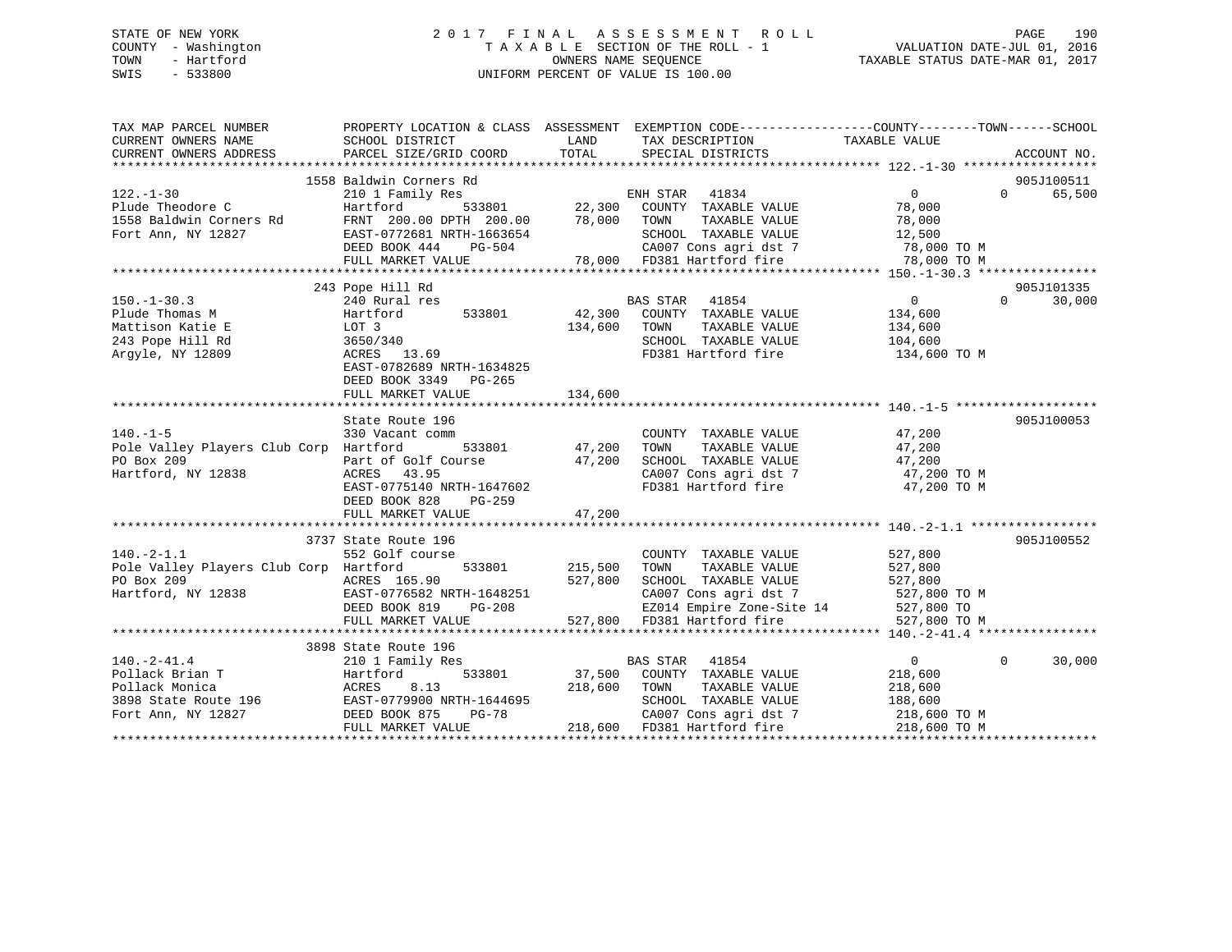# STATE OF NEW YORK 2 0 1 7 F I N A L A S S E S S M E N T R O L L PAGE 190 COUNTY - Washington T A X A B L E SECTION OF THE ROLL - 1 VALUATION DATE-JUL 01, 2016 TOWN - Hartford **TAXABLE STATUS DATE-MAR 01, 2017** SWIS - 533800 UNIFORM PERCENT OF VALUE IS 100.00

| TAX MAP PARCEL NUMBER<br>CURRENT OWNERS NAME<br>CURRENT OWNERS ADDRESS                                                                                                                                                                                 | PROPERTY LOCATION & CLASS ASSESSMENT EXEMPTION CODE---------------COUNTY-------TOWN-----SCHOOL<br>SCHOOL DISTRICT<br>PARCEL SIZE/GRID COORD                                 | LAND<br>TOTAL  | TAX DESCRIPTION TAXABLE VALUE<br>SPECIAL DISTRICTS                                                                                                                                    |                | ACCOUNT NO.                     |
|--------------------------------------------------------------------------------------------------------------------------------------------------------------------------------------------------------------------------------------------------------|-----------------------------------------------------------------------------------------------------------------------------------------------------------------------------|----------------|---------------------------------------------------------------------------------------------------------------------------------------------------------------------------------------|----------------|---------------------------------|
|                                                                                                                                                                                                                                                        |                                                                                                                                                                             |                |                                                                                                                                                                                       |                |                                 |
|                                                                                                                                                                                                                                                        | 1558 Baldwin Corners Rd                                                                                                                                                     |                |                                                                                                                                                                                       |                | 905J100511                      |
| $122. - 1 - 30$                                                                                                                                                                                                                                        |                                                                                                                                                                             |                |                                                                                                                                                                                       | $\overline{0}$ | $\Omega$ and $\Omega$<br>65,500 |
| Plude Theodore C                                                                                                                                                                                                                                       | 2358 Baldwin Corners Rd<br>210 1 Family Res<br>Hartford 533801 22,300 COUNTY TAXABLE VALUE<br>FRNT 200.00 DPTH 200.00 78,000 TOWN TAXABLE VALUE                             |                |                                                                                                                                                                                       | 78,000         |                                 |
| 1558 Baldwin Corners Rd                                                                                                                                                                                                                                |                                                                                                                                                                             |                | TAXABLE VALUE                                                                                                                                                                         | 78,000         |                                 |
| Fort Ann, NY 12827                                                                                                                                                                                                                                     |                                                                                                                                                                             |                |                                                                                                                                                                                       |                |                                 |
|                                                                                                                                                                                                                                                        |                                                                                                                                                                             |                |                                                                                                                                                                                       |                |                                 |
|                                                                                                                                                                                                                                                        | EAST-0772681 NRTH-1663654 SCHOOL TAXABLE VALUE 12,500<br>DEED BOOK 444 PG-504 CA007 Cons agri dst 7 78,000 TO M<br>FULL MARKET VALUE 78,000 FD381 Hartford fire 78,000 TO M |                |                                                                                                                                                                                       |                |                                 |
|                                                                                                                                                                                                                                                        |                                                                                                                                                                             |                |                                                                                                                                                                                       |                |                                 |
|                                                                                                                                                                                                                                                        | 243 Pope Hill Rd                                                                                                                                                            |                |                                                                                                                                                                                       |                | 905J101335                      |
|                                                                                                                                                                                                                                                        | 240 Rural res                                                                                                                                                               |                | BAS STAR 41854                                                                                                                                                                        | $\overline{0}$ | $\Omega$<br>30,000              |
|                                                                                                                                                                                                                                                        |                                                                                                                                                                             |                |                                                                                                                                                                                       |                |                                 |
| LOT $3$<br>$3650/7$<br>Mattison Katie E                                                                                                                                                                                                                |                                                                                                                                                                             | 134,600 TOWN   | TAXABLE VALUE 134,600<br>TAXABLE VALUE 104,600                                                                                                                                        |                |                                 |
| 243 Pope Hill Rd                                                                                                                                                                                                                                       | 3650/340                                                                                                                                                                    |                | SCHOOL TAXABLE VALUE                                                                                                                                                                  |                |                                 |
| Argyle, NY 12809                                                                                                                                                                                                                                       | ACRES 13.69                                                                                                                                                                 |                | FD381 Hartford fire 134,600 TO M                                                                                                                                                      |                |                                 |
|                                                                                                                                                                                                                                                        | EAST-0782689 NRTH-1634825                                                                                                                                                   |                |                                                                                                                                                                                       |                |                                 |
|                                                                                                                                                                                                                                                        | DEED BOOK 3349 PG-265                                                                                                                                                       |                |                                                                                                                                                                                       |                |                                 |
|                                                                                                                                                                                                                                                        | FULL MARKET VALUE                                                                                                                                                           | 134,600        |                                                                                                                                                                                       |                |                                 |
|                                                                                                                                                                                                                                                        |                                                                                                                                                                             |                |                                                                                                                                                                                       |                |                                 |
|                                                                                                                                                                                                                                                        | State Route 196                                                                                                                                                             |                |                                                                                                                                                                                       |                | 905J100053                      |
| $140. -1 - 5$                                                                                                                                                                                                                                          | 330 Vacant comm                                                                                                                                                             |                |                                                                                                                                                                                       |                |                                 |
| Pole Valley Players Club Corp Hartford                                                                                                                                                                                                                 | $533801$ 47,200                                                                                                                                                             |                | $\begin{tabular}{lllllllll} \multicolumn{2}{c}{\text{COUNTY}} & \text{TXABLE VALUE} & & & 47,200 \\ \multicolumn{2}{c}{\text{TOWN}} & \text{TXABLE VALUE} & & & 47,200 \end{tabular}$ |                |                                 |
| PO Box 209                                                                                                                                                                                                                                             | Part of Golf Course $47,200$<br>ACRES $43.95$                                                                                                                               |                |                                                                                                                                                                                       |                |                                 |
| Hartford, NY 12838                                                                                                                                                                                                                                     | ACRES 43.95                                                                                                                                                                 |                |                                                                                                                                                                                       |                |                                 |
|                                                                                                                                                                                                                                                        | EAST-0775140 NRTH-1647602                                                                                                                                                   |                | SCHOOL TAXABLE VALUE $47,200$<br>CA007 Cons agri dst 7 $47,200$ TO M<br>FD381 Hartford fire $47,200$ TO M                                                                             |                |                                 |
|                                                                                                                                                                                                                                                        | DEED BOOK 828<br>PG-259                                                                                                                                                     |                |                                                                                                                                                                                       |                |                                 |
|                                                                                                                                                                                                                                                        | FULL MARKET VALUE                                                                                                                                                           | 47,200         |                                                                                                                                                                                       |                |                                 |
|                                                                                                                                                                                                                                                        |                                                                                                                                                                             |                |                                                                                                                                                                                       |                |                                 |
|                                                                                                                                                                                                                                                        | 3737 State Route 196                                                                                                                                                        |                |                                                                                                                                                                                       |                | 905J100552                      |
| $140. -2 - 1.1$                                                                                                                                                                                                                                        | 552 Golf course                                                                                                                                                             |                | COUNTY TAXABLE VALUE 527,800                                                                                                                                                          |                |                                 |
| Pole Valley Players Club Corp Hartford                                                                                                                                                                                                                 |                                                                                                                                                                             | 533801 215,500 |                                                                                                                                                                                       |                |                                 |
|                                                                                                                                                                                                                                                        |                                                                                                                                                                             | 527,800        |                                                                                                                                                                                       |                |                                 |
| PO Box 209 12838<br>Hartford, NY 12838 EAST-0776582 NRTH-1648251<br>DEED BOOK 819 PG-208                                                                                                                                                               |                                                                                                                                                                             |                |                                                                                                                                                                                       |                |                                 |
|                                                                                                                                                                                                                                                        |                                                                                                                                                                             |                |                                                                                                                                                                                       |                |                                 |
|                                                                                                                                                                                                                                                        | FULL MARKET VALUE                                                                                                                                                           |                | 648251 CA007 Cons agri dst 7 527,800 TO M<br>-208 EZ014 Empire Zone-Site 14 527,800 TO M<br>527,800 FD381 Hartford fire 527,800 TO M                                                  |                |                                 |
|                                                                                                                                                                                                                                                        |                                                                                                                                                                             |                |                                                                                                                                                                                       |                |                                 |
|                                                                                                                                                                                                                                                        | 3898 State Route 196                                                                                                                                                        |                |                                                                                                                                                                                       |                |                                 |
|                                                                                                                                                                                                                                                        |                                                                                                                                                                             |                | BAS STAR 41854                                                                                                                                                                        | $\sim$ 0       | $\Omega$<br>30,000              |
|                                                                                                                                                                                                                                                        |                                                                                                                                                                             |                | 533801 37,500 COUNTY TAXABLE VALUE                                                                                                                                                    | 218,600        |                                 |
|                                                                                                                                                                                                                                                        |                                                                                                                                                                             | 218,600 TOWN   | TAXABLE VALUE 218,600                                                                                                                                                                 |                |                                 |
|                                                                                                                                                                                                                                                        |                                                                                                                                                                             |                |                                                                                                                                                                                       |                |                                 |
| 140.-2-41.4<br>Pollack Brian T<br>Pollack Monica<br>3898 State Route 196<br>Fort Ann, NY 12827<br>Pollack Monica<br>3898 State Route 196<br>Fort Ann, NY 12827<br>Pollack Monica<br>2008 875<br>2008 BRST-0779900 NRTH-1644695<br>Pollack Monica<br>20 | ктн-⊥644695<br>PG-78                                                                                                                                                        |                | SCHOOL TAXABLE VALUE 188,600<br>CA007 Cons agri dst 7 188,600 TO M                                                                                                                    |                |                                 |
|                                                                                                                                                                                                                                                        | FULL MARKET VALUE                                                                                                                                                           |                | 218,600 FD381 Hartford fire 318,600 TO M                                                                                                                                              |                |                                 |
|                                                                                                                                                                                                                                                        |                                                                                                                                                                             |                |                                                                                                                                                                                       |                |                                 |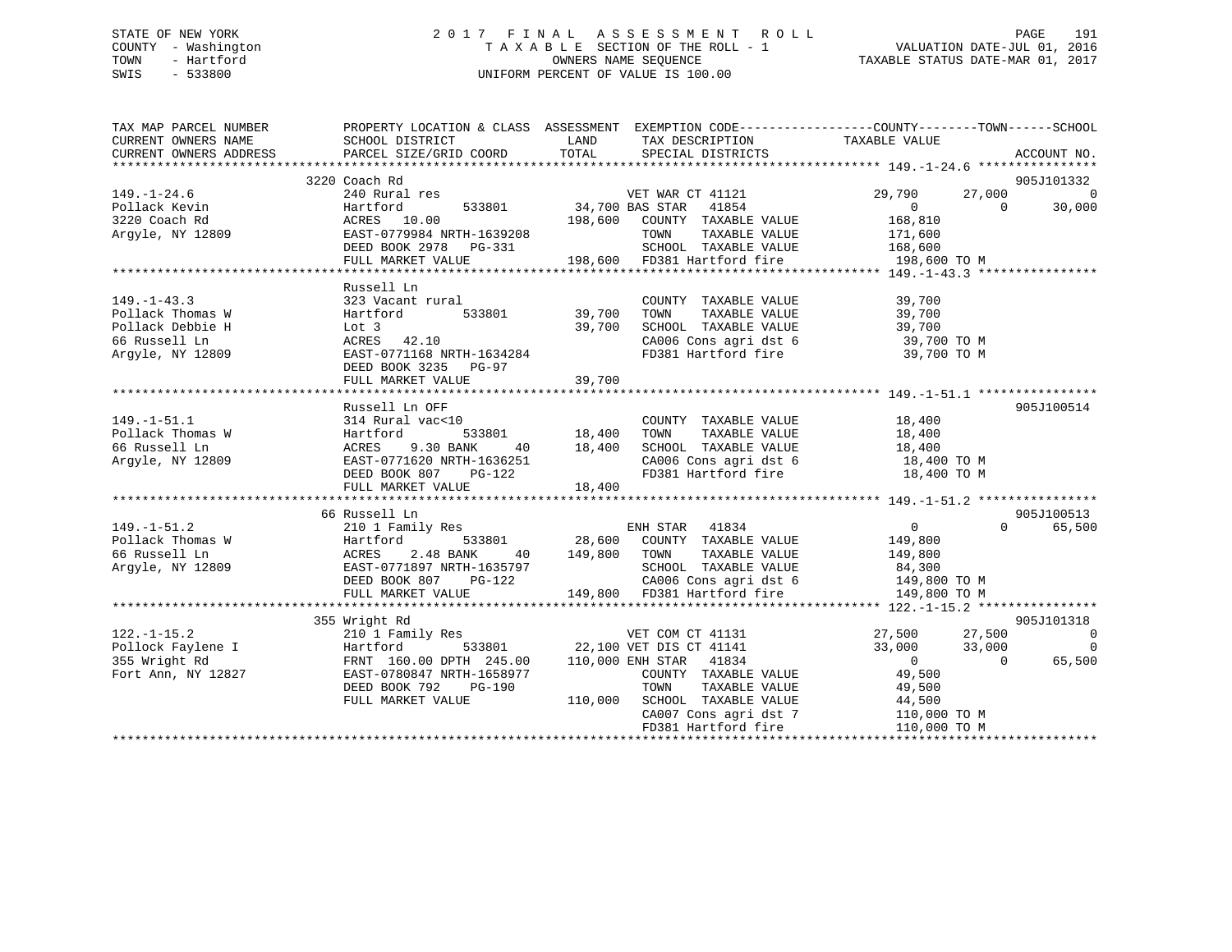# STATE OF NEW YORK 2 0 1 7 F I N A L A S S E S S M E N T R O L L PAGE 191 COUNTY - Washington T A X A B L E SECTION OF THE ROLL - 1 VALUATION DATE-JUL 01, 2016 TOWN - Hartford **TAXABLE STATUS DATE-MAR 01, 2017** SWIS - 533800 UNIFORM PERCENT OF VALUE IS 100.00

| TAX MAP PARCEL NUMBER                                    | PROPERTY LOCATION & CLASS ASSESSMENT EXEMPTION CODE-----------------COUNTY-------TOWN------SCHOOL                                                                                                                                        |        |                                                                                                                                |                                              |                          |
|----------------------------------------------------------|------------------------------------------------------------------------------------------------------------------------------------------------------------------------------------------------------------------------------------------|--------|--------------------------------------------------------------------------------------------------------------------------------|----------------------------------------------|--------------------------|
|                                                          |                                                                                                                                                                                                                                          |        |                                                                                                                                |                                              |                          |
|                                                          | 3220 Coach Rd                                                                                                                                                                                                                            |        |                                                                                                                                |                                              | 905J101332               |
| $149. - 1 - 24.6$                                        | Coach Rd<br>240 Rural res<br>Hartford 533801 54,700 BAS STAR 41854 0<br>ACRES 10.00 198,600 COUNTY TAXABLE VALUE 168,810<br>TOWER TAXABLE VALUE 168,810<br>TOWER TAXABLE VALUE 168,810<br>TOWER TAXABLE VALUE 171,600                    |        |                                                                                                                                | 27,000                                       | - 0                      |
| Pollack Kevin                                            |                                                                                                                                                                                                                                          |        |                                                                                                                                |                                              | $\overline{0}$<br>30,000 |
| 3220 Coach Rd                                            |                                                                                                                                                                                                                                          |        |                                                                                                                                |                                              |                          |
| Argyle, NY 12809                                         | EAST-0779984 NRTH-1639208                                                                                                                                                                                                                |        |                                                                                                                                |                                              |                          |
|                                                          | DEED BOOK 2978 PG-331<br>FIILL MADVET *******                                                                                                                                                                                            |        |                                                                                                                                |                                              |                          |
|                                                          | FULL MARKET VALUE 198,600 FD381 Hartford fire 198,600 TO M                                                                                                                                                                               |        |                                                                                                                                |                                              |                          |
|                                                          |                                                                                                                                                                                                                                          |        |                                                                                                                                |                                              |                          |
|                                                          | Russell Ln                                                                                                                                                                                                                               |        |                                                                                                                                |                                              |                          |
| $149. - 1 - 43.3$                                        |                                                                                                                                                                                                                                          |        | COUNTY TAXABLE VALUE                                                                                                           | TAXABLE VALUE 39,700<br>TAXABLE VALUE 39,700 |                          |
| Pollack Thomas W                                         |                                                                                                                                                                                                                                          |        |                                                                                                                                |                                              |                          |
| Pollack Debbie H                                         |                                                                                                                                                                                                                                          |        |                                                                                                                                |                                              |                          |
| 66 Russell Ln                                            | Lot 3 39,700<br>ACRES 42.10 39,700                                                                                                                                                                                                       |        |                                                                                                                                |                                              |                          |
| Argyle, NY 12809                                         | EAST-0771168 NRTH-1634284                                                                                                                                                                                                                |        | SCHOOL TAXABLE VALUE $39,700$<br>CA006 Cons agri dst 6 $39,700$ TO M<br>FD381 Hartford fire $39,700$ TO M                      |                                              |                          |
|                                                          | DEED BOOK 3235 PG-97                                                                                                                                                                                                                     |        |                                                                                                                                |                                              |                          |
|                                                          | FULL MARKET VALUE                                                                                                                                                                                                                        | 39,700 |                                                                                                                                |                                              |                          |
|                                                          |                                                                                                                                                                                                                                          |        |                                                                                                                                |                                              |                          |
|                                                          | Russell Ln OFF                                                                                                                                                                                                                           |        |                                                                                                                                |                                              | 905J100514               |
| $149. - 1 - 51.1$                                        |                                                                                                                                                                                                                                          |        |                                                                                                                                |                                              |                          |
|                                                          |                                                                                                                                                                                                                                          |        |                                                                                                                                |                                              |                          |
| Pollack Thomas W<br>66 Russell Ln<br>Argyle, NY 12809    |                                                                                                                                                                                                                                          |        |                                                                                                                                |                                              |                          |
|                                                          | EAST-0771620 NRTH-1636251<br>DEED BOOK 807 PG-122                                                                                                                                                                                        |        | CA006 Cons agri dst 6 18,400 TO M<br>FD381 Hartford fire 18,400 TO M                                                           |                                              |                          |
|                                                          |                                                                                                                                                                                                                                          |        |                                                                                                                                |                                              |                          |
|                                                          | FULL MARKET VALUE                                                                                                                                                                                                                        | 18,400 |                                                                                                                                |                                              |                          |
|                                                          |                                                                                                                                                                                                                                          |        |                                                                                                                                |                                              |                          |
|                                                          | 66 Russell Ln                                                                                                                                                                                                                            |        |                                                                                                                                |                                              | 905J100513               |
| $149. - 1 - 51.2$                                        |                                                                                                                                                                                                                                          |        |                                                                                                                                |                                              | 65,500<br>$\Omega$       |
| Pollack Thomas W                                         |                                                                                                                                                                                                                                          |        |                                                                                                                                |                                              |                          |
| 66 Russell Ln                                            |                                                                                                                                                                                                                                          |        |                                                                                                                                |                                              |                          |
| Argyle, NY 12809                                         |                                                                                                                                                                                                                                          |        |                                                                                                                                |                                              |                          |
|                                                          |                                                                                                                                                                                                                                          |        |                                                                                                                                |                                              |                          |
|                                                          | 66 Russell Ln<br>210 1 Family Res<br>M Hartford 533801 28,600 COUNTY TAXABLE VALUE<br>ACRES 2.48 BANK 40 149,800 TOWN TAXABLE VALUE<br>BAST-0771897 NRTH-1635797 SCHOOL TAXABLE VALUE<br>DEED BOOK 807 PG-122 149,800 CA006 Cons agri ds |        |                                                                                                                                |                                              |                          |
|                                                          |                                                                                                                                                                                                                                          |        |                                                                                                                                |                                              | 905J101318               |
| $122. - 1 - 15.2$                                        | 355 Wright Rd<br>210 1 Family Res                                                                                                                                                                                                        |        |                                                                                                                                | 27,500 27,500                                | $\sim$ 0                 |
|                                                          | Hartford                                                                                                                                                                                                                                 |        |                                                                                                                                | $33,000$ $33,000$                            | $\overline{0}$           |
| Pollock Faylene I<br>355 Wright Rd<br>Fort Ann, NY 12827 | FRNT 160.00 DPTH 245.00 110,000 ENH STAR 41834                                                                                                                                                                                           |        |                                                                                                                                | $\overline{0}$                               | , 000<br>0<br>65,500     |
|                                                          | EAST-0780847 NRTH-1658977                                                                                                                                                                                                                |        | COUNTY TAXABLE VALUE                                                                                                           | 49,500                                       |                          |
|                                                          | DEED BOOK 792 PG-190                                                                                                                                                                                                                     |        |                                                                                                                                |                                              |                          |
|                                                          | FULL MARKET VALUE                                                                                                                                                                                                                        |        | TOWN TAXABLE VALUE 49,500<br>SCHOOL TAXABLE VALUE 44,500<br>CA007 Cons agri dst 7 110,000 TO M<br>110,000 SCHOOL TAXABLE VALUE |                                              |                          |
|                                                          |                                                                                                                                                                                                                                          |        |                                                                                                                                |                                              |                          |
|                                                          |                                                                                                                                                                                                                                          |        | FD381 Hartford fire                                                                                                            | 110,000 TO M                                 |                          |
|                                                          |                                                                                                                                                                                                                                          |        |                                                                                                                                |                                              |                          |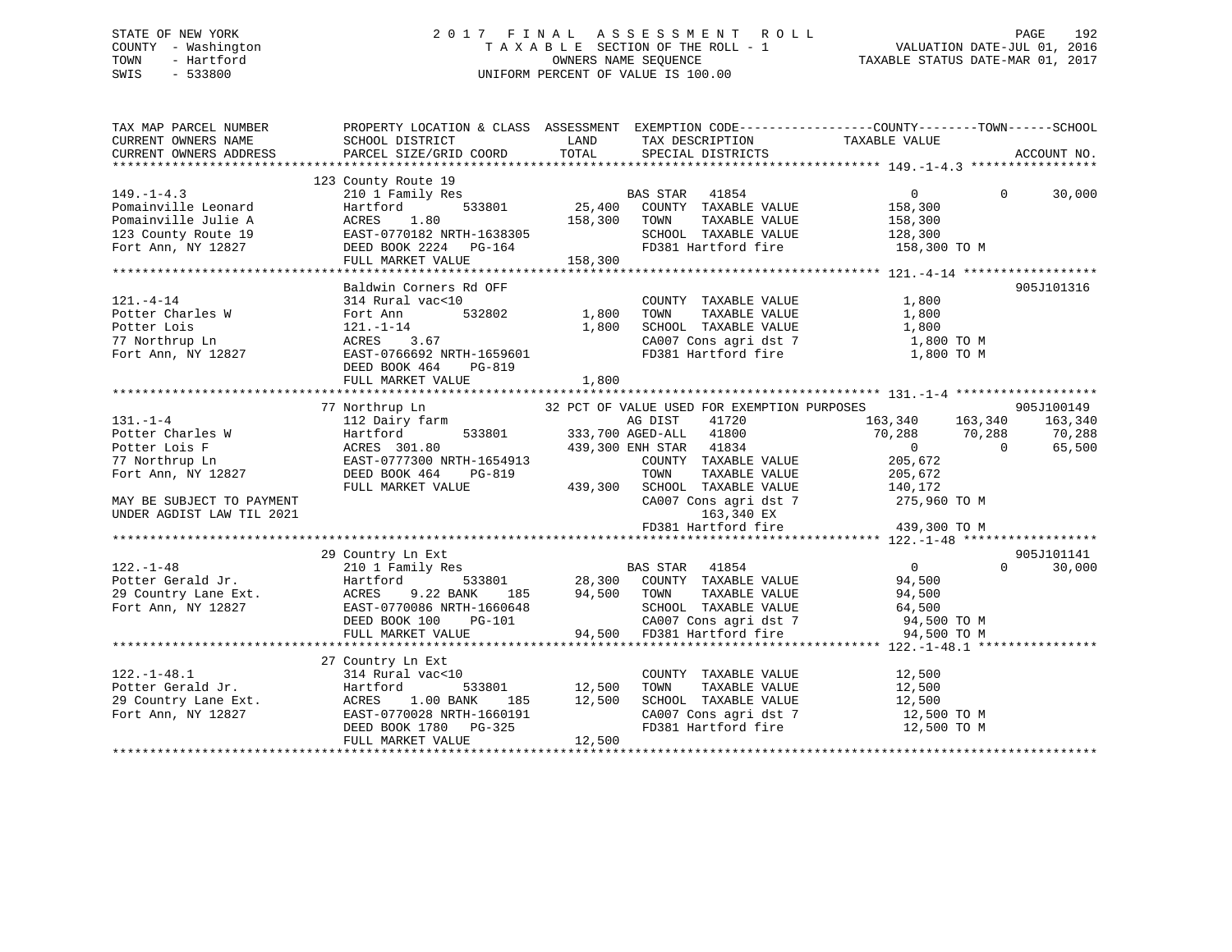# STATE OF NEW YORK 2 0 1 7 F I N A L A S S E S S M E N T R O L L PAGE 192 COUNTY - Washington T A X A B L E SECTION OF THE ROLL - 1 VALUATION DATE-JUL 01, 2016 TOWN - Hartford **TAXABLE STATUS DATE-MAR 01, 2017** SWIS - 533800 UNIFORM PERCENT OF VALUE IS 100.00

| TAX MAP PARCEL NUMBER                                                                                                                                                                                                                            | PROPERTY LOCATION & CLASS ASSESSMENT EXEMPTION CODE----------------COUNTY-------TOWN------SCHOOL                                                                                              |                             |                                                                                   |                                                                            |                    |
|--------------------------------------------------------------------------------------------------------------------------------------------------------------------------------------------------------------------------------------------------|-----------------------------------------------------------------------------------------------------------------------------------------------------------------------------------------------|-----------------------------|-----------------------------------------------------------------------------------|----------------------------------------------------------------------------|--------------------|
| CURRENT OWNERS NAME                                                                                                                                                                                                                              | SCHOOL DISTRICT                                                                                                                                                                               | LAND                        | TAX DESCRIPTION TAXABLE VALUE                                                     |                                                                            |                    |
| CURRENT OWNERS ADDRESS                                                                                                                                                                                                                           | PARCEL SIZE/GRID COORD                                                                                                                                                                        | TOTAL                       | SPECIAL DISTRICTS                                                                 |                                                                            | ACCOUNT NO.        |
|                                                                                                                                                                                                                                                  |                                                                                                                                                                                               |                             |                                                                                   |                                                                            |                    |
|                                                                                                                                                                                                                                                  | 123 County Route 19<br>County Route 19<br>210 1 Family Res BAS STAR 41854 UNITY TAXABLE VALUE 158,300<br>Hartford 533801 25,400 COUNTY TAXABLE VALUE 158,300<br>158,300<br>158,300<br>158,300 |                             |                                                                                   |                                                                            |                    |
| $149. - 1 - 4.3$                                                                                                                                                                                                                                 |                                                                                                                                                                                               |                             |                                                                                   | $\begin{matrix} 0 & 0 \\ 0 & 0 \end{matrix}$                               | 30,000             |
| Pomainville Leonard                                                                                                                                                                                                                              |                                                                                                                                                                                               |                             |                                                                                   |                                                                            |                    |
|                                                                                                                                                                                                                                                  |                                                                                                                                                                                               |                             |                                                                                   |                                                                            |                    |
|                                                                                                                                                                                                                                                  |                                                                                                                                                                                               |                             | SCHOOL TAXABLE VALUE 128,300                                                      |                                                                            |                    |
| Pomainville Julie A ACRES 1.80 158,300 TOWN<br>123 County Route 19 EAST-0770182 NRTH-1638305 SCHOOL<br>Fort Ann, NY 12827 DEED BOOK 2224 PG-164 FD381 Ha                                                                                         |                                                                                                                                                                                               |                             | FD381 Hartford fire 158,300 TO M                                                  |                                                                            |                    |
|                                                                                                                                                                                                                                                  |                                                                                                                                                                                               |                             |                                                                                   |                                                                            |                    |
|                                                                                                                                                                                                                                                  | Baldwin Corners Rd OFF                                                                                                                                                                        |                             |                                                                                   |                                                                            | 905J101316         |
| $121. - 4 - 14$                                                                                                                                                                                                                                  | 314 Rural vac<10                                                                                                                                                                              |                             | COUNTY TAXABLE VALUE                                                              | 1,800                                                                      |                    |
|                                                                                                                                                                                                                                                  |                                                                                                                                                                                               |                             |                                                                                   |                                                                            |                    |
| Potter Charles W Fort Ann 532802 1,800<br>Potter Lois 121.-1-14 1,800<br>77 Northrup Ln ACRES 3.67<br>Fort Ann, NY 12827 EAST-0766692 NRTH-1659601                                                                                               |                                                                                                                                                                                               | $532802$ $1,800$<br>$1,800$ |                                                                                   |                                                                            |                    |
|                                                                                                                                                                                                                                                  |                                                                                                                                                                                               |                             |                                                                                   |                                                                            |                    |
|                                                                                                                                                                                                                                                  |                                                                                                                                                                                               |                             |                                                                                   |                                                                            |                    |
|                                                                                                                                                                                                                                                  | DEED BOOK 464<br>PG-819                                                                                                                                                                       |                             |                                                                                   |                                                                            |                    |
|                                                                                                                                                                                                                                                  |                                                                                                                                                                                               |                             |                                                                                   |                                                                            |                    |
|                                                                                                                                                                                                                                                  |                                                                                                                                                                                               |                             |                                                                                   |                                                                            |                    |
|                                                                                                                                                                                                                                                  | 77 Northrup Ln                                                                                                                                                                                |                             | 32 PCT OF VALUE USED FOR EXEMPTION PURPOSES                                       |                                                                            | 905J100149         |
| $131. - 1 - 4$                                                                                                                                                                                                                                   | 112 Dairy farm                                                                                                                                                                                |                             | AG DIST<br>41720                                                                  | 163,340 163,340 163,340                                                    |                    |
| Potter Charles W<br>Potter Lois F                                                                                                                                                                                                                |                                                                                                                                                                                               |                             | 533801 333,700 AGED-ALL 41800<br>333,700 AGED-ALL 41800<br>300 300 FNH STAR 41834 | 70,288 70,288                                                              | 70,288             |
| Potter Lois F                                                                                                                                                                                                                                    | Hartford<br>ACRES 301.80                                                                                                                                                                      |                             |                                                                                   | $\sim$ 0<br>$\overline{0}$                                                 | 65,500             |
| 77 Northrup Ln                                                                                                                                                                                                                                   |                                                                                                                                                                                               |                             | COUNTY TAXABLE VALUE 205,672                                                      |                                                                            |                    |
| Fort Ann, NY 12827                                                                                                                                                                                                                               |                                                                                                                                                                                               |                             | TOWN<br>TAXABLE VALUE                                                             | 205,672                                                                    |                    |
|                                                                                                                                                                                                                                                  | FULL MARKET VALUE                                                                                                                                                                             |                             | 439,300 SCHOOL TAXABLE VALUE 140,172                                              |                                                                            |                    |
| MAY BE SUBJECT TO PAYMENT                                                                                                                                                                                                                        |                                                                                                                                                                                               |                             | CA007 Cons agri dst 7                                                             | 275,960 TO M                                                               |                    |
| UNDER AGDIST LAW TIL 2021                                                                                                                                                                                                                        |                                                                                                                                                                                               |                             | 163,340 EX                                                                        |                                                                            |                    |
|                                                                                                                                                                                                                                                  |                                                                                                                                                                                               |                             | FD381 Hartford fire                                                               | 439,300 TO M                                                               |                    |
|                                                                                                                                                                                                                                                  |                                                                                                                                                                                               |                             |                                                                                   |                                                                            |                    |
|                                                                                                                                                                                                                                                  | 29 Country Ln Ext                                                                                                                                                                             |                             |                                                                                   |                                                                            | 905J101141         |
| $122. - 1 - 48$                                                                                                                                                                                                                                  | 210 1 Family Res                                                                                                                                                                              |                             | <b>BAS STAR</b> 41854                                                             | $\overline{0}$                                                             | 30,000<br>$\Omega$ |
|                                                                                                                                                                                                                                                  |                                                                                                                                                                                               |                             |                                                                                   |                                                                            |                    |
|                                                                                                                                                                                                                                                  |                                                                                                                                                                                               |                             |                                                                                   |                                                                            |                    |
|                                                                                                                                                                                                                                                  |                                                                                                                                                                                               |                             |                                                                                   |                                                                            |                    |
|                                                                                                                                                                                                                                                  |                                                                                                                                                                                               |                             |                                                                                   |                                                                            |                    |
| 28,300 COUNTY TAXABLE VALUE<br>29 Country Lane Ext.<br>29 Country Lane Ext.<br>29 Country Lane Ext.<br>29 Country Lane Ext.<br>29 Country Lane Ext.<br>29 Country Lane Ext.<br>29 Country Lane Ext.<br>29 Country Lane Ext.<br>29 Country Lane E |                                                                                                                                                                                               |                             |                                                                                   |                                                                            |                    |
|                                                                                                                                                                                                                                                  |                                                                                                                                                                                               |                             |                                                                                   |                                                                            |                    |
|                                                                                                                                                                                                                                                  | 27 Country Ln Ext                                                                                                                                                                             |                             |                                                                                   |                                                                            |                    |
| $122. - 1 - 48.1$                                                                                                                                                                                                                                | 314 Rural vac<10                                                                                                                                                                              | 533801 12,500               | COUNTY TAXABLE VALUE                                                              | 12,500                                                                     |                    |
|                                                                                                                                                                                                                                                  | Hartford                                                                                                                                                                                      | 12,500                      | TOWN TAXABLE VALUE 12,500<br>SCHOOL TAXABLE VALUE 12,500                          |                                                                            |                    |
|                                                                                                                                                                                                                                                  | 1.00 BANK<br>185                                                                                                                                                                              |                             |                                                                                   |                                                                            |                    |
| Fort Ann, NY 12827                                                                                                                                                                                                                               | EAST-0770028 NRTH-1660191                                                                                                                                                                     |                             |                                                                                   | $CA007$ Cons agri dst 7 $12,500$ TO M<br>FD381 Hartford fire $12,500$ TO M |                    |
|                                                                                                                                                                                                                                                  | DEED BOOK 1780 PG-325                                                                                                                                                                         | 12,500                      |                                                                                   |                                                                            |                    |
|                                                                                                                                                                                                                                                  | FULL MARKET VALUE                                                                                                                                                                             |                             |                                                                                   |                                                                            |                    |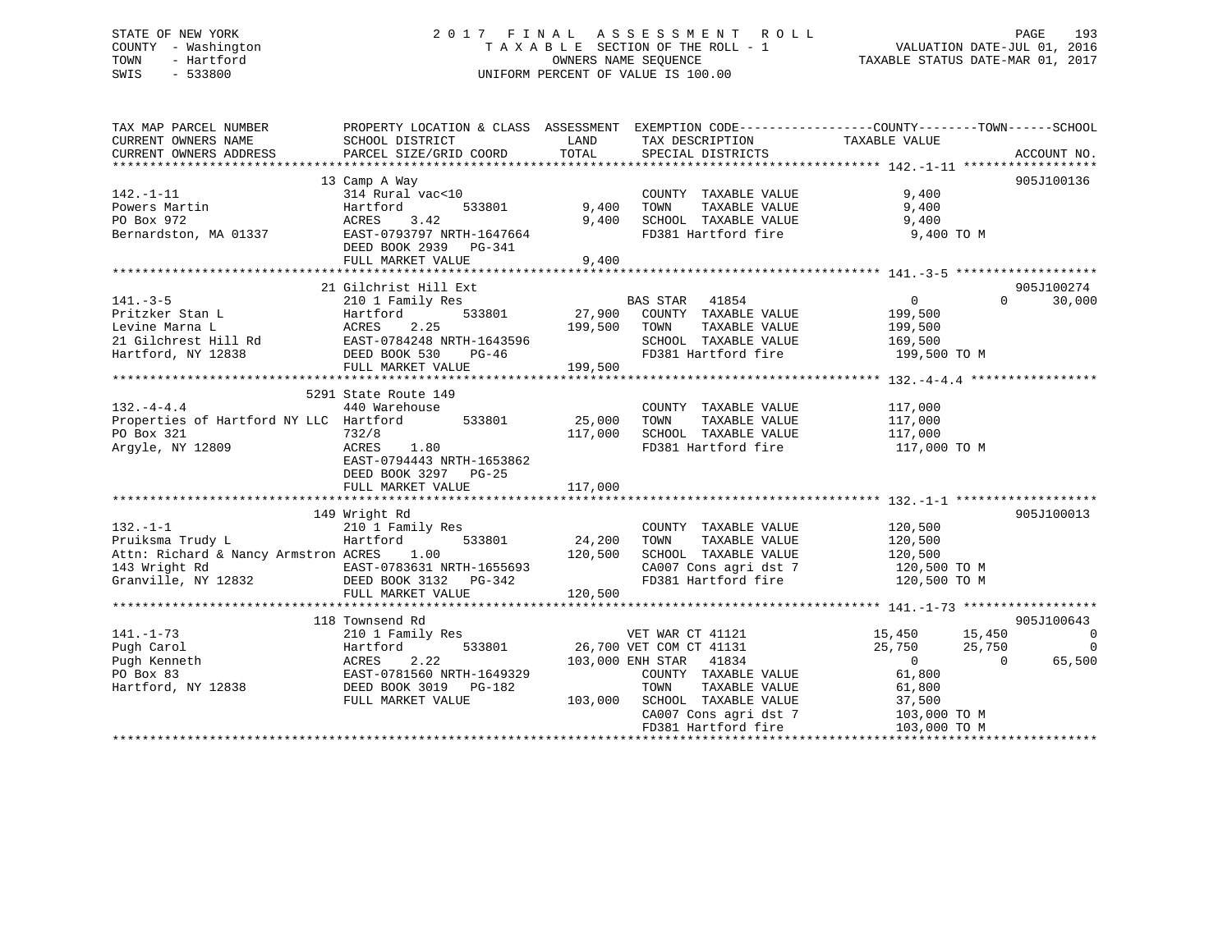# STATE OF NEW YORK 2 0 1 7 F I N A L A S S E S S M E N T R O L L PAGE 193 COUNTY - Washington T A X A B L E SECTION OF THE ROLL - 1 VALUATION DATE-JUL 01, 2016 TOWN - Hartford **TAXABLE STATUS DATE-MAR 01, 2017** SWIS - 533800 UNIFORM PERCENT OF VALUE IS 100.00

| TAX MAP PARCEL NUMBER                                                                                                                                                                                                                    | PROPERTY LOCATION & CLASS ASSESSMENT EXEMPTION CODE---------------COUNTY-------TOWN------SCHOOL |               |                                                                    |                                  |                    |
|------------------------------------------------------------------------------------------------------------------------------------------------------------------------------------------------------------------------------------------|-------------------------------------------------------------------------------------------------|---------------|--------------------------------------------------------------------|----------------------------------|--------------------|
| CURRENT OWNERS NAME                                                                                                                                                                                                                      | SCHOOL DISTRICT                                                                                 | LAND          | TAX DESCRIPTION                                                    | TAXABLE VALUE                    |                    |
| CURRENT OWNERS ADDRESS                                                                                                                                                                                                                   | PARCEL SIZE/GRID COORD                                                                          | TOTAL         | SPECIAL DISTRICTS                                                  |                                  | ACCOUNT NO.        |
|                                                                                                                                                                                                                                          |                                                                                                 |               |                                                                    |                                  |                    |
|                                                                                                                                                                                                                                          | 13 Camp A Way                                                                                   |               |                                                                    |                                  | 905J100136         |
| $142. - 1 - 11$                                                                                                                                                                                                                          | 314 Rural vac<10                                                                                |               | COUNTY TAXABLE VALUE                                               | 9,400                            |                    |
| Powers Martin                                                                                                                                                                                                                            | Hartford<br>533801                                                                              | 9,400         | TOWN<br>TAXABLE VALUE                                              | 9,400                            |                    |
| PO Box 972                                                                                                                                                                                                                               | ACRES 3.42                                                                                      | 9,400         | SCHOOL TAXABLE VALUE 9,400                                         |                                  |                    |
| Bernardston, MA 01337                                                                                                                                                                                                                    | EAST-0793797 NRTH-1647664                                                                       |               | FD381 Hartford fire                                                | 9,400 TO M                       |                    |
|                                                                                                                                                                                                                                          | DEED BOOK 2939 PG-341                                                                           |               |                                                                    |                                  |                    |
|                                                                                                                                                                                                                                          | FULL MARKET VALUE                                                                               | 9,400         |                                                                    |                                  |                    |
|                                                                                                                                                                                                                                          |                                                                                                 |               |                                                                    |                                  |                    |
|                                                                                                                                                                                                                                          | 21 Gilchrist Hill Ext                                                                           |               |                                                                    |                                  | 905J100274         |
| $141. - 3 - 5$                                                                                                                                                                                                                           | 210 1 Family Res                                                                                |               | BAS STAR 41854                                                     | $\overline{0}$                   | 30,000<br>$\Omega$ |
| Pritzker Stan L                                                                                                                                                                                                                          | Hartford                                                                                        | 533801 27,900 | COUNTY TAXABLE VALUE 199,500                                       |                                  |                    |
| Levine Marna L                                                                                                                                                                                                                           | ACRES<br>2.25                                                                                   | 199,500       | TOWN<br>TAXABLE VALUE                                              | 199,500                          |                    |
| 21 Gilchrest Hill Rd EAST-0784248 NRTH-1643596                                                                                                                                                                                           |                                                                                                 |               | SCHOOL TAXABLE VALUE                                               | 169,500                          |                    |
| Hartford, NY 12838                                                                                                                                                                                                                       | DEED BOOK 530<br>PG-46                                                                          |               | FD381 Hartford fire                                                | 199,500 TO M                     |                    |
|                                                                                                                                                                                                                                          | FULL MARKET VALUE                                                                               | 199,500       |                                                                    |                                  |                    |
|                                                                                                                                                                                                                                          |                                                                                                 |               |                                                                    |                                  |                    |
|                                                                                                                                                                                                                                          | 5291 State Route 149                                                                            |               |                                                                    |                                  |                    |
| $132. -4 - 4.4$                                                                                                                                                                                                                          | 440 Warehouse                                                                                   |               | COUNTY TAXABLE VALUE 117,000                                       |                                  |                    |
| Properties of Hartford NY LLC Hartford 533801                                                                                                                                                                                            |                                                                                                 | 25,000        | TAXABLE VALUE<br>TOWN                                              | 117,000                          |                    |
| PO Box 321                                                                                                                                                                                                                               | 732/8                                                                                           | 117,000       | SCHOOL TAXABLE VALUE                                               | 117,000                          |                    |
| Argyle, NY 12809                                                                                                                                                                                                                         | ACRES<br>1.80                                                                                   |               | FD381 Hartford fire                                                | 117,000 TO M                     |                    |
|                                                                                                                                                                                                                                          | EAST-0794443 NRTH-1653862                                                                       |               |                                                                    |                                  |                    |
|                                                                                                                                                                                                                                          | DEED BOOK 3297<br>$PG-25$                                                                       |               |                                                                    |                                  |                    |
|                                                                                                                                                                                                                                          | FULL MARKET VALUE                                                                               | 117,000       |                                                                    |                                  |                    |
|                                                                                                                                                                                                                                          |                                                                                                 |               |                                                                    |                                  |                    |
|                                                                                                                                                                                                                                          | 149 Wright Rd                                                                                   |               |                                                                    |                                  | 905J100013         |
| $132. - 1 - 1$                                                                                                                                                                                                                           | 210 1 Family Res                                                                                |               | COUNTY TAXABLE VALUE                                               | 120,500                          |                    |
| Pruiksma Trudy L                                                                                                                                                                                                                         | Hartford<br>533801                                                                              | 24,200        | TAXABLE VALUE<br>TOWN                                              | 120,500                          |                    |
| Attn: Richard & Nancy Armstron ACRES 1.00                                                                                                                                                                                                | 120,500                                                                                         |               |                                                                    |                                  |                    |
|                                                                                                                                                                                                                                          |                                                                                                 |               | SCHOOL TAXABLE VALUE 120,500<br>CA007 Cons agri dst 7 120,500 TO M |                                  |                    |
|                                                                                                                                                                                                                                          |                                                                                                 |               |                                                                    |                                  |                    |
|                                                                                                                                                                                                                                          |                                                                                                 |               |                                                                    |                                  |                    |
| 143 Wright Rd<br>Chanville, NY 12832 EXST-0783631 NRTH-1655693 CA007 Cons agri dst 7 120,500 TO M<br>EXST-0783631 NRTH-1655693 FD381 Hartford fire 120,500 TO M<br>FULL MARKET VALUE 120,500<br>TULL MARKET VALUE 120,500<br>TULL MARKET |                                                                                                 |               |                                                                    |                                  |                    |
|                                                                                                                                                                                                                                          | 118 Townsend Rd                                                                                 |               |                                                                    |                                  | 905J100643         |
| $141. - 1 - 73$                                                                                                                                                                                                                          |                                                                                                 |               |                                                                    |                                  | $\sim$ 0           |
|                                                                                                                                                                                                                                          | 210 1 Family Res                                                                                |               | VET WAR CT 41121                                                   | 15,450 15,450                    |                    |
| Pugh Carol                                                                                                                                                                                                                               | Hartford                                                                                        |               | 533801 26,700 VET COM CT 41131                                     | 25,750<br>25,750                 | $\overline{0}$     |
| Pugh Kenneth                                                                                                                                                                                                                             | 2.22<br>ACRES                                                                                   |               | 103,000 ENH STAR 41834                                             | $\overline{0}$<br>$\overline{0}$ | 65,500             |
| PO Box 83                                                                                                                                                                                                                                | EAST-0781560 NRTH-1649329                                                                       |               | COUNTY TAXABLE VALUE                                               | 61,800                           |                    |
| Hartford, NY 12838                                                                                                                                                                                                                       | DEED BOOK 3019 PG-182                                                                           |               | TOWN TAXABLE VALUE<br>103,000 SCHOOL TAXABLE VALUE                 | 61,800                           |                    |
|                                                                                                                                                                                                                                          | FULL MARKET VALUE                                                                               |               |                                                                    | 37,500                           |                    |
|                                                                                                                                                                                                                                          |                                                                                                 |               | CA007 Cons agri dst 7                                              | 103,000 TO M                     |                    |
|                                                                                                                                                                                                                                          |                                                                                                 |               | FD381 Hartford fire                                                | 103,000 TO M                     |                    |
|                                                                                                                                                                                                                                          |                                                                                                 |               |                                                                    |                                  |                    |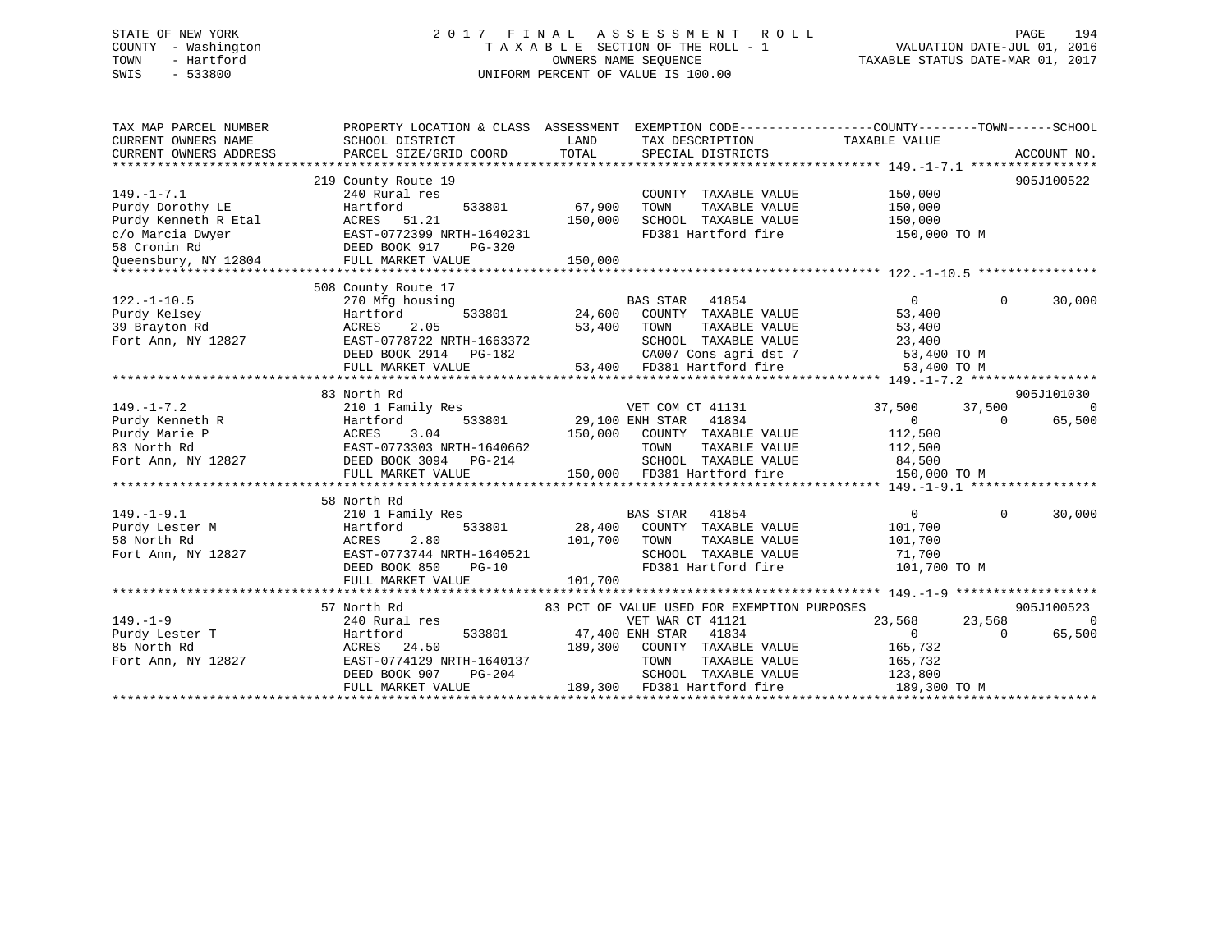# STATE OF NEW YORK 2 0 1 7 F I N A L A S S E S S M E N T R O L L PAGE 194 COUNTY - Washington T A X A B L E SECTION OF THE ROLL - 1 VALUATION DATE-JUL 01, 2016 TOWN - Hartford **TAXABLE STATUS DATE-MAR 01, 2017** SWIS - 533800 UNIFORM PERCENT OF VALUE IS 100.00

| TAX MAP PARCEL NUMBER<br>CURRENT OWNERS NAME<br>CURRENT OWNERS ADDRESS                                                   | PROPERTY LOCATION & CLASS ASSESSMENT<br>SCHOOL DISTRICT<br>PARCEL SIZE/GRID COORD                                                                           | LAND<br>TOTAL                | EXEMPTION CODE----------------COUNTY-------TOWN-----SCHOOL<br>TAX DESCRIPTION<br>SPECIAL DISTRICTS                                                       | TAXABLE VALUE                                                             | ACCOUNT NO.                                       |
|--------------------------------------------------------------------------------------------------------------------------|-------------------------------------------------------------------------------------------------------------------------------------------------------------|------------------------------|----------------------------------------------------------------------------------------------------------------------------------------------------------|---------------------------------------------------------------------------|---------------------------------------------------|
| $149. - 1 - 7.1$<br>Purdy Dorothy LE<br>Purdy Kenneth R Etal<br>c/o Marcia Dwyer<br>58 Cronin Rd<br>Oueensbury, NY 12804 | 219 County Route 19<br>240 Rural res<br>533801<br>Hartford<br>ACRES<br>51.21<br>EAST-0772399 NRTH-1640231<br>DEED BOOK 917<br>PG-320<br>FULL MARKET VALUE   | 67,900<br>150,000<br>150,000 | COUNTY TAXABLE VALUE<br>TOWN<br>TAXABLE VALUE<br>SCHOOL TAXABLE VALUE<br>FD381 Hartford fire                                                             | 150,000<br>150,000<br>150,000<br>150,000 TO M                             | 905J100522                                        |
| $122. - 1 - 10.5$<br>Purdy Kelsey<br>39 Brayton Rd<br>Fort Ann, NY 12827                                                 | 508 County Route 17<br>270 Mfg housing<br>533801<br>Hartford<br>ACRES<br>2.05<br>EAST-0778722 NRTH-1663372<br>DEED BOOK 2914<br>PG-182<br>FULL MARKET VALUE | 24,600<br>53,400             | <b>BAS STAR</b><br>41854<br>COUNTY TAXABLE VALUE<br>TAXABLE VALUE<br>TOWN<br>SCHOOL TAXABLE VALUE<br>CA007 Cons agri dst 7<br>53,400 FD381 Hartford fire | $\Omega$<br>53,400<br>53,400<br>23,400<br>53,400 TO M<br>53,400 TO M      | 30,000<br>$\Omega$                                |
| $149. - 1 - 7.2$<br>Purdy Kenneth R<br>Purdy Marie P<br>83 North Rd<br>Fort Ann, NY 12827                                | 83 North Rd<br>210 1 Family Res<br>533801<br>Hartford<br><b>ACRES</b><br>3.04<br>EAST-0773303 NRTH-1640662<br>DEED BOOK 3094 PG-214<br>FULL MARKET VALUE    | 150,000                      | VET COM CT 41131<br>29,100 ENH STAR<br>41834<br>COUNTY TAXABLE VALUE<br>TAXABLE VALUE<br>TOWN<br>SCHOOL TAXABLE VALUE<br>150,000 FD381 Hartford fire     | 37,500<br>$\Omega$<br>112,500<br>112,500<br>84,500<br>150,000 TO M        | 905J101030<br>37,500<br>- 0<br>65,500<br>$\Omega$ |
| $149. - 1 - 9.1$<br>Purdy Lester M<br>58 North Rd<br>Fort Ann, NY 12827                                                  | 58 North Rd<br>210 1 Family Res<br>Hartford<br>533801<br>2.80<br>ACRES<br>EAST-0773744 NRTH-1640521<br>DEED BOOK 850<br>$PG-10$<br>FULL MARKET VALUE        | 28,400<br>101,700<br>101,700 | <b>BAS STAR</b><br>41854<br>COUNTY TAXABLE VALUE<br>TOWN<br>TAXABLE VALUE<br>SCHOOL TAXABLE VALUE<br>FD381 Hartford fire                                 | $\Omega$<br>101,700<br>101,700<br>71,700<br>101,700 TO M                  | 30,000<br>$\Omega$                                |
|                                                                                                                          | 57 North Rd                                                                                                                                                 |                              | 83 PCT OF VALUE USED FOR EXEMPTION PURPOSES                                                                                                              |                                                                           | 905J100523                                        |
| $149. - 1 - 9$<br>Purdy Lester T<br>85 North Rd<br>Fort Ann, NY 12827                                                    | 240 Rural res<br>533801<br>Hartford<br>24.50<br>ACRES<br>EAST-0774129 NRTH-1640137<br>DEED BOOK 907<br>PG-204<br>FULL MARKET VALUE                          | 47,400 ENH STAR<br>189,300   | VET WAR CT 41121<br>41834<br>COUNTY TAXABLE VALUE<br>TOWN<br>TAXABLE VALUE<br>SCHOOL TAXABLE VALUE<br>189,300 FD381 Hartford fire                        | 23,568<br>$\overline{0}$<br>165,732<br>165,732<br>123,800<br>189,300 TO M | 23,568<br>$\Omega$<br>65,500<br>$\Omega$          |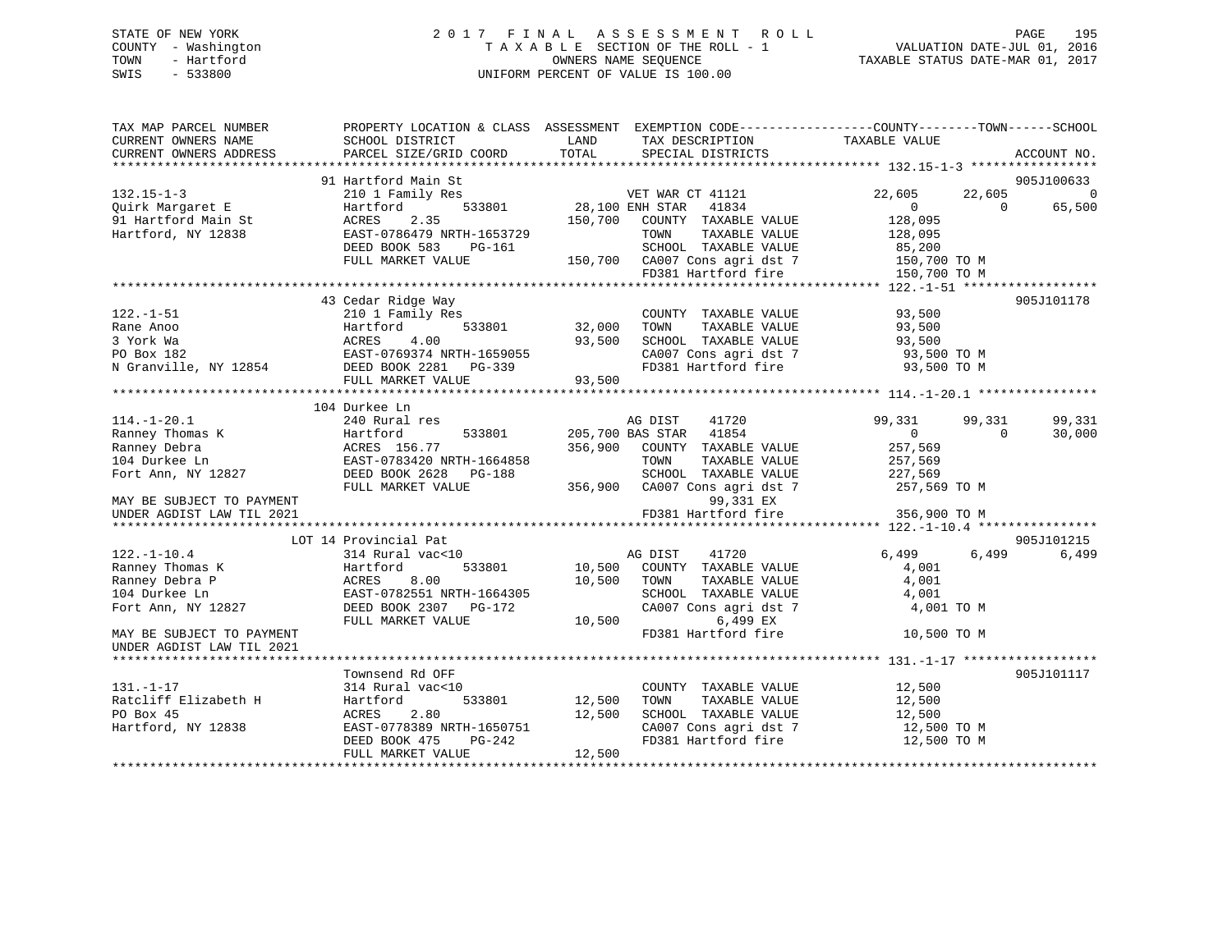# STATE OF NEW YORK 2 0 1 7 F I N A L A S S E S S M E N T R O L L PAGE 195 COUNTY - Washington T A X A B L E SECTION OF THE ROLL - 1 VALUATION DATE-JUL 01, 2016 TOWN - Hartford **TAXABLE STATUS DATE-MAR 01, 2017** SWIS - 533800 UNIFORM PERCENT OF VALUE IS 100.00

| TAX MAP PARCEL NUMBER<br>CURRENT OWNERS NAME                  | SCHOOL DISTRICT           | LAND                   | PROPERTY LOCATION & CLASS ASSESSMENT EXEMPTION CODE----------------COUNTY-------TOWN------SCHOOL<br>TAX DESCRIPTION | TAXABLE VALUE  |          |                |
|---------------------------------------------------------------|---------------------------|------------------------|---------------------------------------------------------------------------------------------------------------------|----------------|----------|----------------|
| CURRENT OWNERS ADDRESS                                        | PARCEL SIZE/GRID COORD    | TOTAL                  | SPECIAL DISTRICTS                                                                                                   |                |          | ACCOUNT NO.    |
|                                                               | 91 Hartford Main St       |                        |                                                                                                                     |                |          | 905J100633     |
| $132.15 - 1 - 3$                                              | 210 1 Family Res          |                        | VET WAR CT 41121                                                                                                    | 22,605         | 22,605   | $\overline{0}$ |
| Quirk Margaret E                                              | Hartford                  | 533801 28,100 ENH STAR | 41834                                                                                                               | $\overline{0}$ | $\Omega$ | 65,500         |
| 91 Hartford Main St                                           | 2.35<br>ACRES             |                        | 150,700 COUNTY TAXABLE VALUE                                                                                        | 128,095        |          |                |
| Hartford, NY 12838                                            | EAST-0786479 NRTH-1653729 |                        | TOWN<br>TAXABLE VALUE                                                                                               | 128,095        |          |                |
|                                                               | DEED BOOK 583<br>PG-161   |                        | SCHOOL TAXABLE VALUE                                                                                                | 85,200         |          |                |
|                                                               | FULL MARKET VALUE         |                        | 150,700 CA007 Cons agri dst 7                                                                                       | 150,700 TO M   |          |                |
|                                                               |                           |                        | FD381 Hartford fire                                                                                                 | 150,700 TO M   |          |                |
|                                                               |                           |                        |                                                                                                                     |                |          |                |
|                                                               | 43 Cedar Ridge Way        |                        |                                                                                                                     |                |          | 905J101178     |
| $122. - 1 - 51$                                               | 210 1 Family Res          |                        | COUNTY TAXABLE VALUE                                                                                                | 93,500         |          |                |
| Rane Anoo                                                     | 533801<br>Hartford        | 32,000                 | TAXABLE VALUE<br>TOWN                                                                                               | 93,500         |          |                |
|                                                               | ACRES<br>4.00             | 93,500                 | SCHOOL TAXABLE VALUE                                                                                                | 93,500         |          |                |
|                                                               | EAST-0769374 NRTH-1659055 |                        | CA007 Cons agri dst 7                                                                                               | 93,500 TO M    |          |                |
| xaxo navo<br>3 York Wa<br>PO Box 182<br>N Granville, NY 12854 | DEED BOOK 2281 PG-339     |                        | FD381 Hartford fire                                                                                                 | 93,500 TO M    |          |                |
|                                                               | FULL MARKET VALUE         | 93,500                 |                                                                                                                     |                |          |                |
|                                                               |                           |                        |                                                                                                                     |                |          |                |
|                                                               | 104 Durkee Ln             |                        |                                                                                                                     |                |          |                |
| $114.-1-20.1$                                                 | 240 Rural res             |                        | AG DIST<br>41720                                                                                                    | 99,331         | 99,331   | 99,331         |
| Ranney Thomas K                                               | Hartford<br>533801        |                        | 205,700 BAS STAR 41854                                                                                              | $\Omega$       | $\Omega$ | 30,000         |
| Ranney Debra                                                  | ACRES 156.77              |                        | 356,900 COUNTY TAXABLE VALUE                                                                                        | 257,569        |          |                |
| 104 Durkee Ln                                                 | EAST-0783420 NRTH-1664858 |                        | TOWN<br>TAXABLE VALUE                                                                                               | 257,569        |          |                |
| Fort Ann, NY 12827                                            | DEED BOOK 2628 PG-188     |                        | SCHOOL TAXABLE VALUE                                                                                                | 227,569        |          |                |
|                                                               | FULL MARKET VALUE         |                        | 356,900 CA007 Cons agri dst 7                                                                                       | 257,569 TO M   |          |                |
| MAY BE SUBJECT TO PAYMENT                                     |                           |                        | 99,331 EX                                                                                                           |                |          |                |
| UNDER AGDIST LAW TIL 2021                                     |                           |                        | FD381 Hartford fire                                                                                                 | 356,900 TO M   |          |                |
|                                                               |                           |                        |                                                                                                                     |                |          |                |
|                                                               | LOT 14 Provincial Pat     |                        |                                                                                                                     |                |          | 905J101215     |
| $122. - 1 - 10.4$                                             | 314 Rural vac<10          |                        | AG DIST<br>41720                                                                                                    | 6,499          | 6,499    | 6,499          |
| Ranney Thomas K                                               | Hartford<br>533801        | 10,500                 | COUNTY TAXABLE VALUE                                                                                                | 4,001          |          |                |
| Ranney Debra P                                                | 8.00<br>ACRES             | 10,500                 | TOWN<br>TAXABLE VALUE                                                                                               | 4,001          |          |                |
| 104 Durkee Ln                                                 | EAST-0782551 NRTH-1664305 |                        | SCHOOL TAXABLE VALUE                                                                                                | 4,001          |          |                |
| Fort Ann, NY 12827                                            | DEED BOOK 2307 PG-172     |                        | CA007 Cons agri dst 7                                                                                               | 4,001 TO M     |          |                |
|                                                               | FULL MARKET VALUE         | 10,500                 | 6,499 EX                                                                                                            |                |          |                |
| MAY BE SUBJECT TO PAYMENT                                     |                           |                        | FD381 Hartford fire                                                                                                 | 10,500 TO M    |          |                |
| UNDER AGDIST LAW TIL 2021                                     |                           |                        |                                                                                                                     |                |          |                |
|                                                               | Townsend Rd OFF           |                        |                                                                                                                     |                |          | 905J101117     |
| $131. - 1 - 17$                                               | 314 Rural vac<10          |                        | COUNTY TAXABLE VALUE                                                                                                | 12,500         |          |                |
| Ratcliff Elizabeth H                                          | Hartford<br>533801        | 12,500                 | TAXABLE VALUE<br>TOWN                                                                                               | 12,500         |          |                |
| PO Box 45                                                     | 2.80<br>ACRES             | 12,500                 | SCHOOL TAXABLE VALUE                                                                                                | 12,500         |          |                |
| Hartford, NY 12838                                            | EAST-0778389 NRTH-1650751 |                        |                                                                                                                     | 12,500 TO M    |          |                |
|                                                               | DEED BOOK 475<br>PG-242   |                        | SCHOOL Income<br>CA007 Cons agri dst 7<br>FD381 Hartford fire                                                       | 12,500 TO M    |          |                |
|                                                               | FULL MARKET VALUE         | 12,500                 |                                                                                                                     |                |          |                |
|                                                               |                           |                        |                                                                                                                     |                |          |                |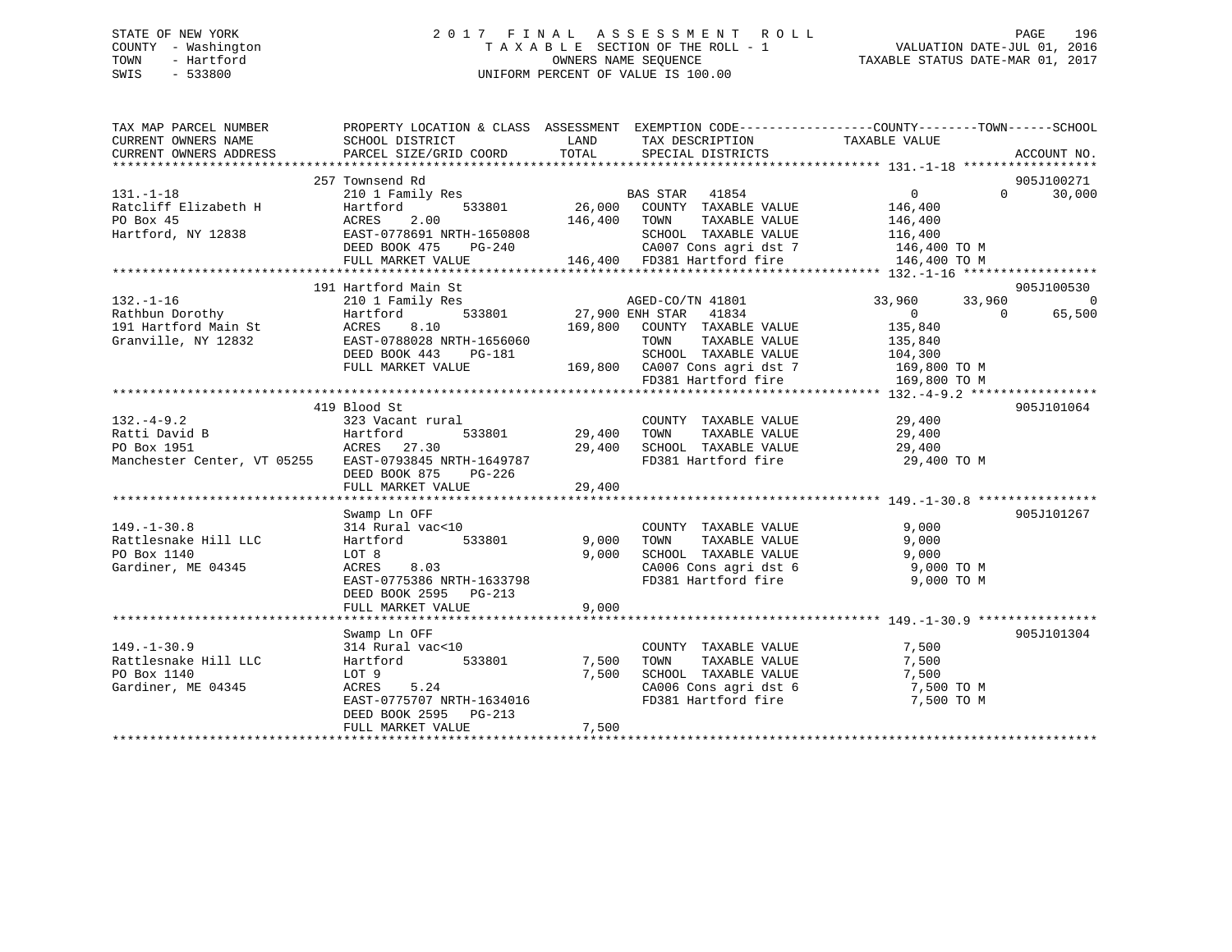# STATE OF NEW YORK 2 0 1 7 F I N A L A S S E S S M E N T R O L L PAGE 196 COUNTY - Washington T A X A B L E SECTION OF THE ROLL - 1 VALUATION DATE-JUL 01, 2016 TOWN - Hartford **TAXABLE STATUS DATE-MAR 01, 2017** SWIS - 533800 UNIFORM PERCENT OF VALUE IS 100.00

| TAX MAP PARCEL NUMBER<br>CURRENT OWNERS NAME                                                                                     | PROPERTY LOCATION & CLASS ASSESSMENT EXEMPTION CODE---------------COUNTY-------TOWN-----SCHOOL<br>SCHOOL DISTRICT                                              | <b>EXAMPLE THE STATE OF STATE OF STATE</b> | TAX DESCRIPTION TAXABLE VALUE SPECIAL DISTRICTS                                                                                                                                                  |                              |                    |
|----------------------------------------------------------------------------------------------------------------------------------|----------------------------------------------------------------------------------------------------------------------------------------------------------------|--------------------------------------------|--------------------------------------------------------------------------------------------------------------------------------------------------------------------------------------------------|------------------------------|--------------------|
| CURRENT OWNERS ADDRESS                                                                                                           | PARCEL SIZE/GRID COORD                                                                                                                                         |                                            | TOTAL SPECIAL DISTRICTS                                                                                                                                                                          |                              | ACCOUNT NO.        |
|                                                                                                                                  | 257 Townsend Rd                                                                                                                                                |                                            |                                                                                                                                                                                                  |                              | 905J100271         |
| $131. - 1 - 18$                                                                                                                  |                                                                                                                                                                |                                            |                                                                                                                                                                                                  | $\overline{0}$               | $\Omega$<br>30,000 |
|                                                                                                                                  | 210 1 Family Res<br>Hartford 533801 26,000 COUNTY TAXABLE VALUE<br>ACRES 2.00 2001 146,400 TOWN TAXABLE VALUE                                                  |                                            |                                                                                                                                                                                                  | 146,400                      |                    |
| Ratcliff Elizabeth H<br>PO Box 45<br>Hartford, NY 12838                                                                          | ACRES                                                                                                                                                          |                                            |                                                                                                                                                                                                  | TAXABLE VALUE 146,400        |                    |
|                                                                                                                                  | EAST-0778691 NRTH-1650808                                                                                                                                      |                                            |                                                                                                                                                                                                  |                              |                    |
|                                                                                                                                  |                                                                                                                                                                |                                            | SCHOOL TAXABLE VALUE 116,400<br>CA007 Cons agri dst 7 146,400 TO M                                                                                                                               |                              |                    |
|                                                                                                                                  | FULL MARKET VALUE 146,400 FD381 Hartford fire                                                                                                                  |                                            |                                                                                                                                                                                                  | 146,400 TO M                 |                    |
|                                                                                                                                  |                                                                                                                                                                |                                            |                                                                                                                                                                                                  |                              |                    |
|                                                                                                                                  | 191 Hartford Main St                                                                                                                                           |                                            |                                                                                                                                                                                                  |                              | 905J100530         |
| $132. - 1 - 16$                                                                                                                  | 210 1 Family Res                                                                                                                                               |                                            | AGED-CO/TN 41801                                                                                                                                                                                 | 33,960 33,960                | $\overline{0}$     |
| 192.-1-10<br>Rathbun Dorothy<br>191 Hartford Main St<br>191 Hartford Main St<br>Granville, NY 12832<br>EAST-0788028 NRTH-1656060 |                                                                                                                                                                |                                            | 533801 27,900 ENH STAR 41834                                                                                                                                                                     | $\overline{0}$<br>$\bigcirc$ | 65,500             |
|                                                                                                                                  |                                                                                                                                                                |                                            | 169,800 COUNTY TAXABLE VALUE                                                                                                                                                                     | 135,840<br>135,840           |                    |
|                                                                                                                                  |                                                                                                                                                                |                                            | TOWN<br>TAXABLE VALUE                                                                                                                                                                            |                              |                    |
|                                                                                                                                  |                                                                                                                                                                |                                            | SCHOOL TAXABLE VALUE 104,300                                                                                                                                                                     |                              |                    |
|                                                                                                                                  |                                                                                                                                                                |                                            |                                                                                                                                                                                                  | 169,800 TO M                 |                    |
|                                                                                                                                  | EAST-0780020 MM. -1.181<br>DEED BOOK 443 PG-181 SCHOOL IMANDER STEED BOOK 443 PG-181<br>FULL MARKET VALUE 169,800 CA007 Cons agri dst 7<br>FD381 Hartford fire |                                            |                                                                                                                                                                                                  | 169,800 ТО М                 |                    |
|                                                                                                                                  |                                                                                                                                                                |                                            |                                                                                                                                                                                                  |                              |                    |
|                                                                                                                                  | 419 Blood St                                                                                                                                                   |                                            |                                                                                                                                                                                                  |                              | 905J101064         |
| $132 - 4 - 9.2$                                                                                                                  | 323 Vacant rural                                                                                                                                               |                                            | COUNTY TAXABLE VALUE 29,400                                                                                                                                                                      |                              |                    |
|                                                                                                                                  |                                                                                                                                                                |                                            | TAXABLE VALUE                                                                                                                                                                                    | 29,400                       |                    |
|                                                                                                                                  |                                                                                                                                                                |                                            | 29,400 SCHOOL TAXABLE VALUE 29,400                                                                                                                                                               |                              |                    |
| Manchester Center, VT 05255 EAST-0793845 NRTH-1649787                                                                            |                                                                                                                                                                |                                            | FD381 Hartford fire                                                                                                                                                                              | 29,400 TO M                  |                    |
|                                                                                                                                  | DEED BOOK 875<br>PG-226                                                                                                                                        |                                            |                                                                                                                                                                                                  |                              |                    |
|                                                                                                                                  | FULL MARKET VALUE                                                                                                                                              | 29,400                                     |                                                                                                                                                                                                  |                              |                    |
|                                                                                                                                  |                                                                                                                                                                |                                            |                                                                                                                                                                                                  |                              |                    |
|                                                                                                                                  | Swamp Ln OFF<br>$314$ Rural vac<10                                                                                                                             |                                            |                                                                                                                                                                                                  |                              | 905J101267         |
| $149. - 1 - 30.8$                                                                                                                |                                                                                                                                                                |                                            | $\begin{tabular}{lllllllllllll} \multicolumn{2}{c}{\text{COUNTY}} & \text{TAXABLE VALUE} & & & & 9,000 \\ \multicolumn{2}{c}{\text{TOWN}} & \text{TAXABLE VALUE} & & & & 9,000 \\ \end{tabular}$ | 9,000                        |                    |
| Rattlesnake Hill LLC                                                                                                             | Hartford 533801                                                                                                                                                | 9,000                                      |                                                                                                                                                                                                  |                              |                    |
| PO Box 1140<br>Gardiner, ME 04345                                                                                                | LOT 8<br>ACRES 8.03                                                                                                                                            | 9,000                                      | SCHOOL TAXABLE VALUE                                                                                                                                                                             | 9,000<br>9,000 TO M          |                    |
|                                                                                                                                  | EAST-0775386 NRTH-1633798                                                                                                                                      |                                            | CA006 Cons agri dst 6 9,000 TO M<br>FD381 Hartford fire 9,000 TO M                                                                                                                               |                              |                    |
|                                                                                                                                  | DEED BOOK 2595 PG-213                                                                                                                                          |                                            |                                                                                                                                                                                                  |                              |                    |
|                                                                                                                                  | FULL MARKET VALUE                                                                                                                                              | 9,000                                      |                                                                                                                                                                                                  |                              |                    |
|                                                                                                                                  |                                                                                                                                                                |                                            |                                                                                                                                                                                                  |                              |                    |
|                                                                                                                                  | Swamp Ln OFF                                                                                                                                                   |                                            |                                                                                                                                                                                                  |                              | 905J101304         |
| $149. - 1 - 30.9$                                                                                                                | 314 Rural vac<10                                                                                                                                               |                                            | COUNTY TAXABLE VALUE                                                                                                                                                                             | 7,500                        |                    |
| Rattlesnake Hill LLC                                                                                                             | 533801<br>Hartford                                                                                                                                             | 7,500                                      | TAXABLE VALUE<br>TOWN                                                                                                                                                                            | 7,500                        |                    |
| PO Box 1140                                                                                                                      | LOT 9                                                                                                                                                          | 7,500                                      | SCHOOL TAXABLE VALUE 7,500                                                                                                                                                                       |                              |                    |
| Gardiner, ME 04345                                                                                                               | ACRES 5.24                                                                                                                                                     |                                            |                                                                                                                                                                                                  |                              |                    |
|                                                                                                                                  | EAST-0775707 NRTH-1634016                                                                                                                                      |                                            | CA006 Cons agri dst 6 7,500 TO M<br>FD381 Hartford fire 7,500 TO M                                                                                                                               |                              |                    |
|                                                                                                                                  | DEED BOOK 2595 PG-213                                                                                                                                          |                                            |                                                                                                                                                                                                  |                              |                    |
|                                                                                                                                  | FULL MARKET VALUE                                                                                                                                              | 7,500                                      |                                                                                                                                                                                                  |                              |                    |
|                                                                                                                                  |                                                                                                                                                                |                                            |                                                                                                                                                                                                  |                              |                    |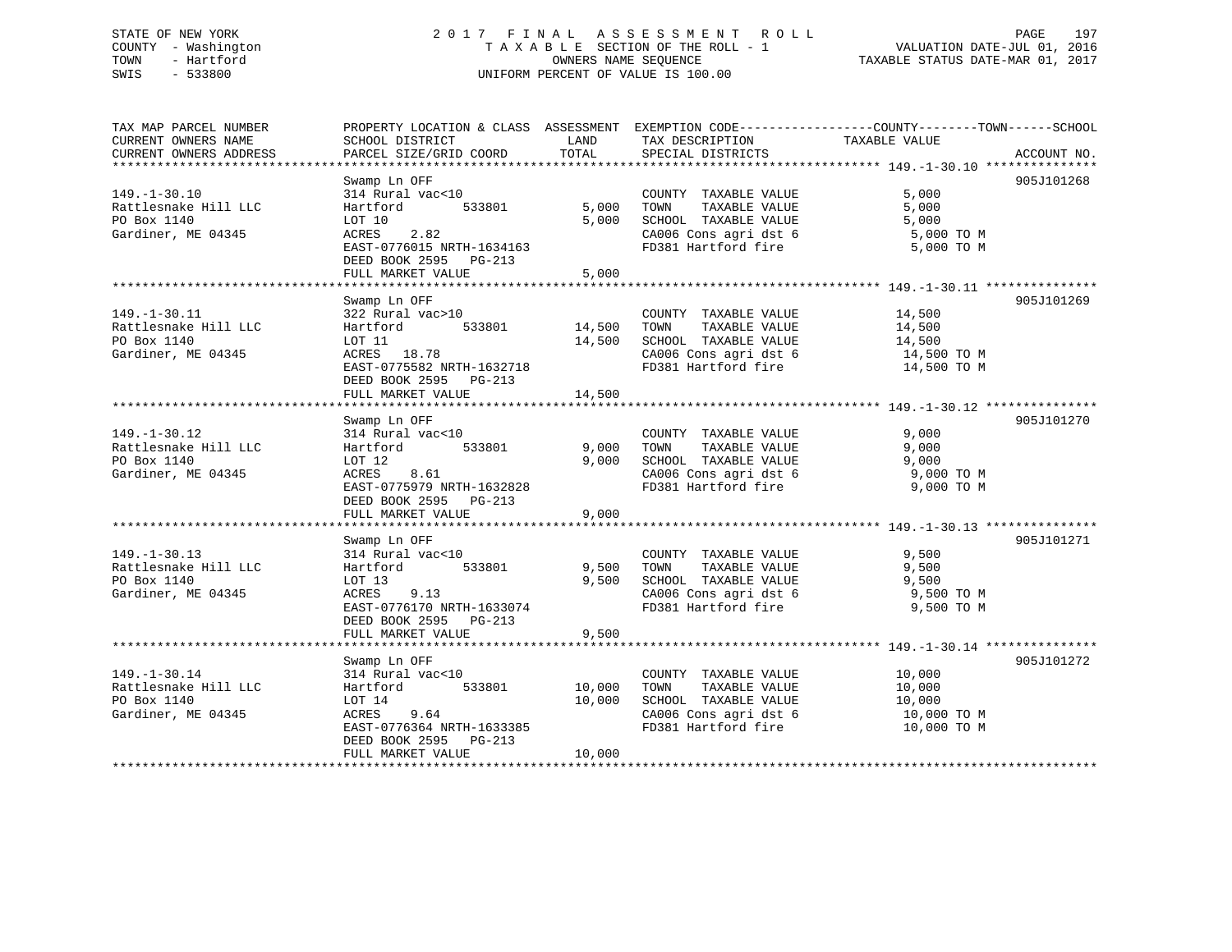# STATE OF NEW YORK 2 0 1 7 F I N A L A S S E S S M E N T R O L L PAGE 197 COUNTY - Washington T A X A B L E SECTION OF THE ROLL - 1 VALUATION DATE-JUL 01, 2016 TOWN - Hartford **TAXABLE STATUS DATE-MAR 01, 2017** SWIS - 533800 UNIFORM PERCENT OF VALUE IS 100.00

| TAX MAP PARCEL NUMBER  | PROPERTY LOCATION & CLASS ASSESSMENT EXEMPTION CODE----------------COUNTY-------TOWN------SCHOOL |        |                       |               |             |
|------------------------|--------------------------------------------------------------------------------------------------|--------|-----------------------|---------------|-------------|
| CURRENT OWNERS NAME    | SCHOOL DISTRICT                                                                                  | LAND   | TAX DESCRIPTION       | TAXABLE VALUE |             |
| CURRENT OWNERS ADDRESS | PARCEL SIZE/GRID COORD                                                                           | TOTAL  | SPECIAL DISTRICTS     |               | ACCOUNT NO. |
|                        |                                                                                                  |        |                       |               |             |
|                        | Swamp Ln OFF                                                                                     |        |                       |               | 905J101268  |
| $149. - 1 - 30.10$     | 314 Rural vac<10                                                                                 |        | COUNTY TAXABLE VALUE  | 5,000         |             |
| Rattlesnake Hill LLC   | 533801<br>Hartford                                                                               | 5,000  | TOWN<br>TAXABLE VALUE | 5,000         |             |
| PO Box 1140            | LOT 10                                                                                           | 5,000  | SCHOOL TAXABLE VALUE  | 5,000         |             |
| Gardiner, ME 04345     | 2.82<br>ACRES                                                                                    |        | CA006 Cons agri dst 6 | 5,000 TO M    |             |
|                        | EAST-0776015 NRTH-1634163                                                                        |        | FD381 Hartford fire   | 5,000 TO M    |             |
|                        | DEED BOOK 2595 PG-213                                                                            |        |                       |               |             |
|                        | FULL MARKET VALUE                                                                                | 5,000  |                       |               |             |
|                        |                                                                                                  |        |                       |               |             |
|                        | Swamp Ln OFF                                                                                     |        |                       |               | 905J101269  |
| $149. - 1 - 30.11$     | 322 Rural vac>10                                                                                 |        | COUNTY TAXABLE VALUE  | 14,500        |             |
| Rattlesnake Hill LLC   | Hartford 533801                                                                                  | 14,500 | TOWN TAXABLE VALUE    | 14,500        |             |
| PO Box 1140            | LOT 11                                                                                           | 14,500 | SCHOOL TAXABLE VALUE  | 14,500        |             |
| Gardiner, ME 04345     | ACRES 18.78                                                                                      |        | CA006 Cons agri dst 6 | 14,500 TO M   |             |
|                        | EAST-0775582 NRTH-1632718                                                                        |        | FD381 Hartford fire   | 14,500 TO M   |             |
|                        | DEED BOOK 2595 PG-213                                                                            |        |                       |               |             |
|                        | FULL MARKET VALUE                                                                                | 14,500 |                       |               |             |
|                        |                                                                                                  |        |                       |               |             |
|                        | Swamp Ln OFF                                                                                     |        |                       |               | 905J101270  |
| $149. - 1 - 30.12$     | 314 Rural vac<10                                                                                 |        | COUNTY TAXABLE VALUE  | 9,000         |             |
| Rattlesnake Hill LLC   | 533801<br>Hartford                                                                               | 9,000  | TOWN<br>TAXABLE VALUE | 9,000         |             |
| PO Box 1140            | LOT 12                                                                                           | 9,000  | SCHOOL TAXABLE VALUE  | 9,000         |             |
| Gardiner, ME 04345     | ACRES<br>8.61                                                                                    |        | CA006 Cons agri dst 6 | $9,000$ TO M  |             |
|                        | EAST-0775979 NRTH-1632828                                                                        |        | FD381 Hartford fire   | 9,000 TO M    |             |
|                        | DEED BOOK 2595 PG-213                                                                            |        |                       |               |             |
|                        | FULL MARKET VALUE                                                                                | 9,000  |                       |               |             |
|                        |                                                                                                  |        |                       |               |             |
|                        | Swamp Ln OFF                                                                                     |        |                       |               | 905J101271  |
| $149. - 1 - 30.13$     | 314 Rural vac<10                                                                                 |        | COUNTY TAXABLE VALUE  | 9,500         |             |
| Rattlesnake Hill LLC   | 533801<br>Hartford                                                                               | 9,500  | TOWN<br>TAXABLE VALUE | 9,500         |             |
| PO Box 1140            | LOT 13                                                                                           | 9,500  | SCHOOL TAXABLE VALUE  | 9,500         |             |
| Gardiner, ME 04345     | ACRES<br>9.13                                                                                    |        | CA006 Cons agri dst 6 | 9,500 TO M    |             |
|                        | EAST-0776170 NRTH-1633074                                                                        |        | FD381 Hartford fire   | 9,500 TO M    |             |
|                        | DEED BOOK 2595 PG-213                                                                            |        |                       |               |             |
|                        | FULL MARKET VALUE                                                                                | 9,500  |                       |               |             |
|                        |                                                                                                  |        |                       |               |             |
|                        | Swamp Ln OFF                                                                                     |        |                       |               | 905J101272  |
| $149. - 1 - 30.14$     | 314 Rural vac<10                                                                                 |        | COUNTY TAXABLE VALUE  | 10,000        |             |
| Rattlesnake Hill LLC   | 533801<br>Hartford                                                                               | 10,000 | TAXABLE VALUE<br>TOWN | 10,000        |             |
| PO Box 1140            | LOT 14                                                                                           | 10,000 | SCHOOL TAXABLE VALUE  | 10,000        |             |
| Gardiner, ME 04345     | ACRES 9.64                                                                                       |        | CA006 Cons agri dst 6 | 10,000 TO M   |             |
|                        | EAST-0776364 NRTH-1633385                                                                        |        | FD381 Hartford fire   | 10,000 TO M   |             |
|                        | DEED BOOK 2595 PG-213                                                                            |        |                       |               |             |
|                        | FULL MARKET VALUE                                                                                | 10,000 |                       |               |             |
|                        | ****************************                                                                     |        |                       |               |             |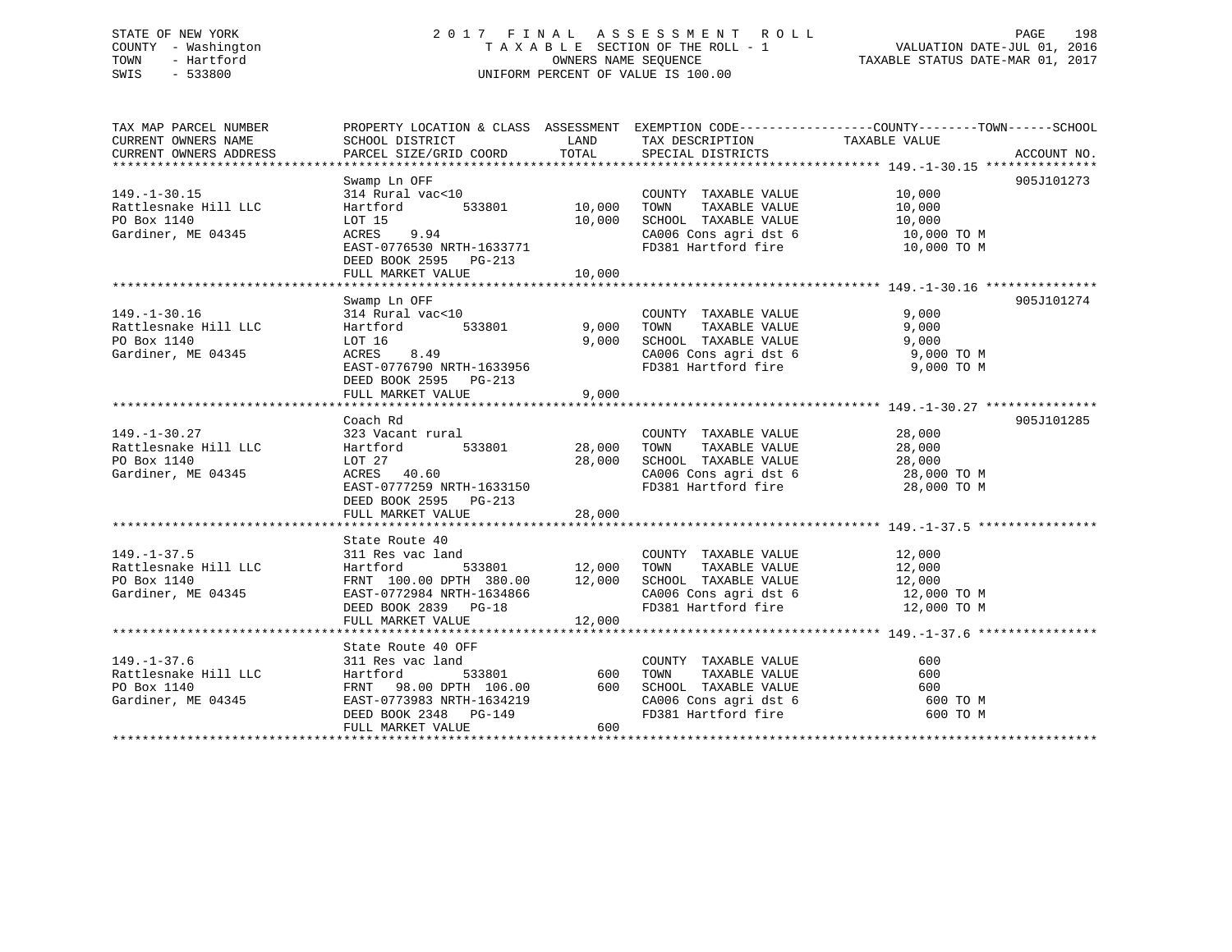# STATE OF NEW YORK 2 0 1 7 F I N A L A S S E S S M E N T R O L L PAGE 198 COUNTY - Washington T A X A B L E SECTION OF THE ROLL - 1 VALUATION DATE-JUL 01, 2016 TOWN - Hartford **TAXABLE STATUS DATE-MAR 01, 2017** SWIS - 533800 UNIFORM PERCENT OF VALUE IS 100.00

| TAX MAP PARCEL NUMBER  |                                                         |               |                                               | PROPERTY LOCATION & CLASS ASSESSMENT EXEMPTION CODE----------------COUNTY-------TOWN------SCHOOL |
|------------------------|---------------------------------------------------------|---------------|-----------------------------------------------|--------------------------------------------------------------------------------------------------|
| CURRENT OWNERS NAME    | SCHOOL DISTRICT                                         | LAND          | TAX DESCRIPTION                               | TAXABLE VALUE                                                                                    |
| CURRENT OWNERS ADDRESS | PARCEL SIZE/GRID COORD                                  | TOTAL         | SPECIAL DISTRICTS                             | ACCOUNT NO.                                                                                      |
|                        |                                                         |               |                                               |                                                                                                  |
| $149. - 1 - 30.15$     | Swamp Ln OFF<br>314 Rural vac<10                        |               | COUNTY TAXABLE VALUE                          | 905J101273<br>10,000                                                                             |
|                        |                                                         |               |                                               | 10,000                                                                                           |
| Rattlesnake Hill LLC   | 533801<br>Hartford                                      | 10,000        | TOWN<br>TAXABLE VALUE<br>SCHOOL TAXABLE VALUE |                                                                                                  |
| PO Box 1140            | LOT 15                                                  | 10,000        |                                               | 10,000                                                                                           |
| Gardiner, ME 04345     | ACRES<br>9.94                                           |               | CA006 Cons agri dst 6                         | 10,000 TO M                                                                                      |
|                        | EAST-0776530 NRTH-1633771                               |               |                                               | FD381 Hartford fire 10,000 TO M                                                                  |
|                        | DEED BOOK 2595 PG-213                                   |               |                                               |                                                                                                  |
|                        | FULL MARKET VALUE                                       | 10,000        |                                               |                                                                                                  |
|                        | Swamp Ln OFF                                            |               |                                               | 905J101274                                                                                       |
| $149. - 1 - 30.16$     |                                                         |               |                                               | 9,000                                                                                            |
| Rattlesnake Hill LLC   | 314 Rural vac<10<br>533801                              |               | COUNTY TAXABLE VALUE<br>TAXABLE VALUE         | 9,000                                                                                            |
|                        | Hartford                                                | 9,000         | TOWN                                          |                                                                                                  |
| PO Box 1140            | LOT 16                                                  | 9,000         | SCHOOL TAXABLE VALUE                          | 9,000                                                                                            |
| Gardiner, ME 04345     | 8.49<br>ACRES                                           |               | CA006 Cons agri dst 6                         | 9,000 TO M                                                                                       |
|                        | EAST-0776790 NRTH-1633956                               |               | FD381 Hartford fire                           | 9,000 TO M                                                                                       |
|                        | DEED BOOK 2595 PG-213                                   |               |                                               |                                                                                                  |
|                        | FULL MARKET VALUE                                       | 9,000         |                                               |                                                                                                  |
|                        |                                                         |               |                                               |                                                                                                  |
|                        | Coach Rd                                                |               |                                               | 905J101285                                                                                       |
| $149. - 1 - 30.27$     | 323 Vacant rural                                        |               | COUNTY TAXABLE VALUE                          | 28,000                                                                                           |
| Rattlesnake Hill LLC   | 533801 28,000<br>Hartford                               |               | TOWN<br>TAXABLE VALUE                         | 28,000                                                                                           |
| PO Box 1140            | LOT 27                                                  | 28,000        | SCHOOL TAXABLE VALUE                          | 28,000<br>CA006 Cons agri dst 6 28,000 TO M                                                      |
| Gardiner, ME 04345     | ACRES 40.60                                             |               |                                               |                                                                                                  |
|                        | EAST-0777259 NRTH-1633150                               |               | FD381 Hartford fire                           | 28,000 TO M                                                                                      |
|                        | DEED BOOK 2595 PG-213                                   |               |                                               |                                                                                                  |
|                        | FULL MARKET VALUE                                       | 28,000        |                                               |                                                                                                  |
|                        |                                                         |               |                                               |                                                                                                  |
| $149. - 1 - 37.5$      | State Route 40                                          |               | COUNTY TAXABLE VALUE                          |                                                                                                  |
|                        | 311 Res vac land                                        | 533801 12,000 |                                               | 12,000<br>12,000                                                                                 |
| Rattlesnake Hill LLC   | Hartford                                                |               | TAXABLE VALUE<br>TOWN                         |                                                                                                  |
| PO Box 1140            | FRNT 100.00 DPTH 380.00 12,000                          |               | SCHOOL TAXABLE VALUE                          | 12,000<br>12,000 TO M                                                                            |
| Gardiner, ME 04345     | EAST-0772984 NRTH-1634866                               |               | CA006 Cons agri dst 6<br>FD381 Hartford fire  |                                                                                                  |
|                        | DEED BOOK 2839 PG-18                                    |               |                                               | 12,000 TO M                                                                                      |
|                        | FULL MARKET VALUE                                       | 12,000        |                                               |                                                                                                  |
|                        | State Route 40 OFF                                      |               |                                               |                                                                                                  |
| $149. - 1 - 37.6$      | 311 Res vac land                                        |               | COUNTY TAXABLE VALUE                          | 600                                                                                              |
| Rattlesnake Hill LLC   | Hartford                                                | 533801 600    | TOWN<br>TAXABLE VALUE                         | 600                                                                                              |
| PO Box 1140            |                                                         |               | SCHOOL TAXABLE VALUE                          | 600                                                                                              |
| Gardiner, ME 04345     | FRNT 98.00 DPTH 106.00 600<br>EAST-0773983 NRTH-1634219 |               | SCHOOL TAXABLE VALUE<br>CA006 Cons agri dst 6 | 600 TO M                                                                                         |
|                        | DEED BOOK 2348 PG-149                                   |               | FD381 Hartford fire                           | 600 TO M                                                                                         |
|                        | FULL MARKET VALUE                                       | 600           |                                               |                                                                                                  |
|                        |                                                         |               |                                               |                                                                                                  |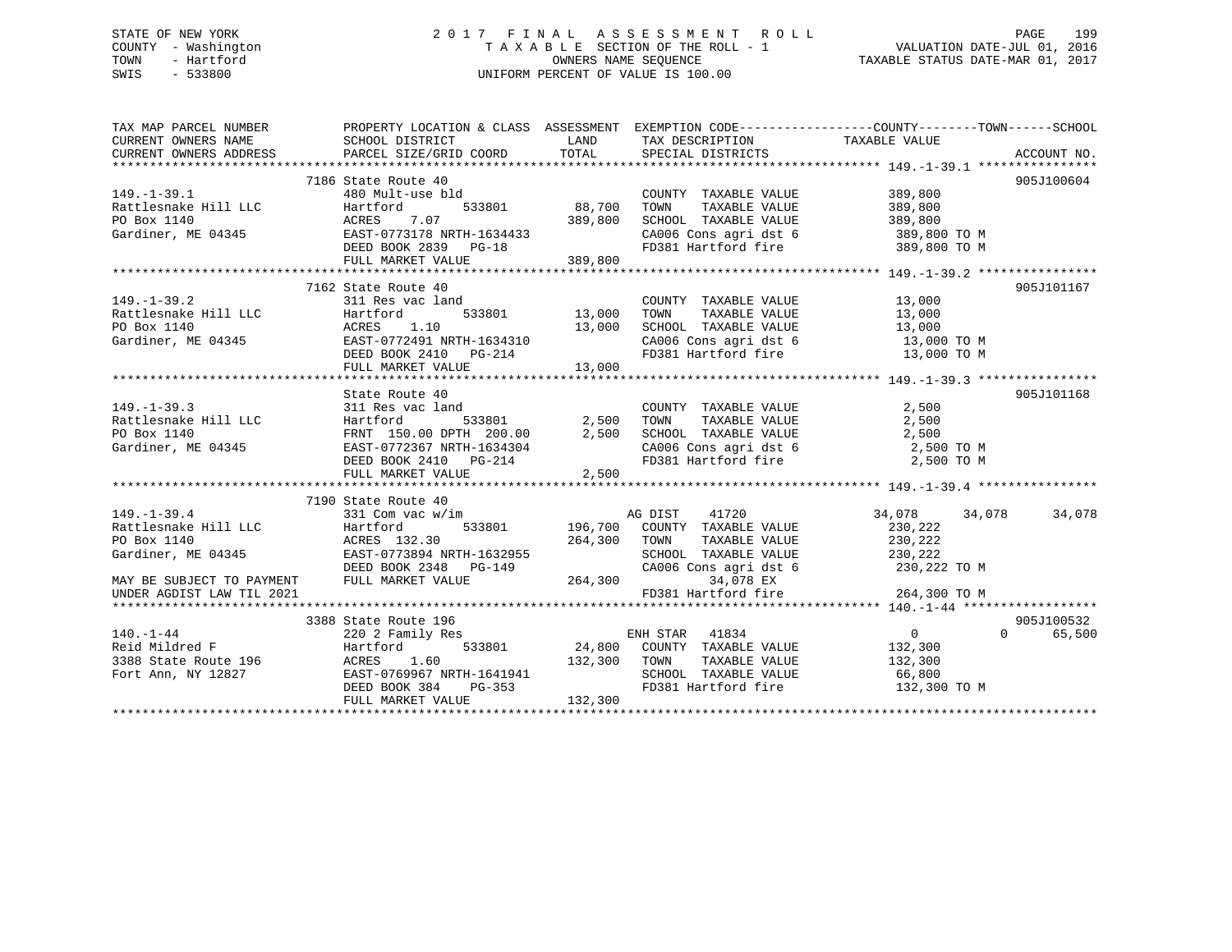# STATE OF NEW YORK 2 0 1 7 F I N A L A S S E S S M E N T R O L L PAGE 199 COUNTY - Washington T A X A B L E SECTION OF THE ROLL - 1 VALUATION DATE-JUL 01, 2016 TOWN - Hartford **TAXABLE STATUS DATE-MAR 01, 2017** SWIS - 533800 UNIFORM PERCENT OF VALUE IS 100.00

| TAX MAP PARCEL NUMBER          | PROPERTY LOCATION & CLASS ASSESSMENT EXEMPTION CODE----------------COUNTY-------TOWN-----SCHOOL                                                                                                                                                     |         |                                                                                            |                                    |            |
|--------------------------------|-----------------------------------------------------------------------------------------------------------------------------------------------------------------------------------------------------------------------------------------------------|---------|--------------------------------------------------------------------------------------------|------------------------------------|------------|
|                                |                                                                                                                                                                                                                                                     |         |                                                                                            |                                    |            |
|                                |                                                                                                                                                                                                                                                     |         |                                                                                            |                                    |            |
|                                |                                                                                                                                                                                                                                                     |         |                                                                                            |                                    |            |
|                                | 7186 State Route 40                                                                                                                                                                                                                                 |         |                                                                                            |                                    | 905J100604 |
|                                |                                                                                                                                                                                                                                                     |         |                                                                                            |                                    |            |
|                                |                                                                                                                                                                                                                                                     |         |                                                                                            |                                    |            |
|                                |                                                                                                                                                                                                                                                     |         | COUNTY TAXABLE VALUE 389,800<br>TOWN TAXABLE VALUE 389,800<br>SCHOOL TAXABLE VALUE 389,800 |                                    |            |
|                                |                                                                                                                                                                                                                                                     |         |                                                                                            | CA006 Cons agri dst 6 389,800 TO M |            |
|                                |                                                                                                                                                                                                                                                     |         | FD381 Hartford fire                                                                        | 389,800 TO M                       |            |
|                                | 149.-1-39.1<br>Rattlesnake Hill LLC 180 Mult-use bld<br>PO Box 1140 180 Martford 533801 88,700<br>Gardiner, ME 04345 EAST-0773178 NRTH-1634433<br>DEED BOOK 2839 PG-18<br>FULL MARKET VALUE<br>189,800<br>TULL MARKET VALUE                         |         |                                                                                            |                                    |            |
|                                |                                                                                                                                                                                                                                                     |         |                                                                                            |                                    |            |
|                                | 7162 State Route 40                                                                                                                                                                                                                                 |         |                                                                                            |                                    | 905J101167 |
|                                | 149.-1-39.2 311 Res vac land                                                                                                                                                                                                                        |         | COUNTY TAXABLE VALUE 13,000                                                                |                                    |            |
|                                |                                                                                                                                                                                                                                                     |         |                                                                                            |                                    |            |
|                                |                                                                                                                                                                                                                                                     |         |                                                                                            |                                    |            |
|                                |                                                                                                                                                                                                                                                     |         |                                                                                            |                                    |            |
|                                |                                                                                                                                                                                                                                                     |         |                                                                                            |                                    |            |
|                                |                                                                                                                                                                                                                                                     |         |                                                                                            |                                    |            |
|                                | 149.-1-39.2<br>Rattlesnake Hill LLC Hartford 533801 13,000 TOWN TAXABLE VALUE<br>PO Box 1140 13,000 TOM RCRES 1.10 13,000 TOM TAXABLE VALUE<br>Gardiner, ME 04345 EAST-0772491 NRTH-1634310 2A006 Cons agri dst 6 13,000 TOM<br>FULL M              |         |                                                                                            |                                    |            |
|                                | State Route 40                                                                                                                                                                                                                                      |         |                                                                                            |                                    | 905J101168 |
|                                |                                                                                                                                                                                                                                                     |         |                                                                                            |                                    |            |
|                                |                                                                                                                                                                                                                                                     |         |                                                                                            |                                    |            |
|                                |                                                                                                                                                                                                                                                     |         |                                                                                            |                                    |            |
|                                |                                                                                                                                                                                                                                                     |         | CA006 Cons agri dst 6 2,500 TO M<br>FD381 Hartford fire 2,500 TO M                         |                                    |            |
|                                |                                                                                                                                                                                                                                                     |         |                                                                                            |                                    |            |
|                                | 149.-1-39.3<br>Rattlesnake Hill LLC Hartford 533801 2,500 TOWN TAXABLE VALUE 2,500<br>PO Box 1140 FRNT 150.00 DPTH 200.00 2,500 SCHOOL TAXABLE VALUE 2,500<br>Gardiner, ME 04345 EAST-0772367 NRTH-1634304 CA006 Cons agri dst 6 2,5                |         |                                                                                            |                                    |            |
|                                |                                                                                                                                                                                                                                                     |         |                                                                                            |                                    |            |
|                                | 7190 State Route 40                                                                                                                                                                                                                                 |         |                                                                                            |                                    |            |
| $149.-1-39.4$ 331 Com vac w/im |                                                                                                                                                                                                                                                     |         |                                                                                            | 34,078 34,078 34,078               |            |
|                                |                                                                                                                                                                                                                                                     |         | w/im<br>533801 196,700 COUNTY TAXABLE VALUE                                                |                                    |            |
|                                |                                                                                                                                                                                                                                                     |         |                                                                                            |                                    |            |
|                                |                                                                                                                                                                                                                                                     |         |                                                                                            |                                    |            |
|                                |                                                                                                                                                                                                                                                     |         |                                                                                            |                                    |            |
|                                |                                                                                                                                                                                                                                                     |         |                                                                                            |                                    |            |
|                                |                                                                                                                                                                                                                                                     |         |                                                                                            |                                    |            |
|                                |                                                                                                                                                                                                                                                     |         |                                                                                            |                                    |            |
| $140. - 1 - 44$                | 3388 State Route 196                                                                                                                                                                                                                                |         |                                                                                            |                                    | 905J100532 |
|                                |                                                                                                                                                                                                                                                     |         |                                                                                            | $\begin{matrix}0&0\end{matrix}$    | 65,500     |
|                                |                                                                                                                                                                                                                                                     |         |                                                                                            |                                    |            |
|                                |                                                                                                                                                                                                                                                     |         |                                                                                            |                                    |            |
|                                |                                                                                                                                                                                                                                                     |         |                                                                                            |                                    |            |
|                                | 140.-1-44<br>22002 Faulty Res<br>24,800 COUNTY TAXABLE VALUE<br>388 State Route 196 (ACRES 1.60 132,300 TOWN TAXABLE VALUE 132,300<br>Fort Ann, NY 12827 (EAST-0769967 NRTH-1641941 SCHOOL TAXABLE VALUE 66,800<br>DEED BOOK 384 PG-353<br>$PG-353$ |         |                                                                                            | FD381 Hartford fire 132,300 TO M   |            |
|                                | FULL MARKET VALUE                                                                                                                                                                                                                                   | 132,300 |                                                                                            |                                    |            |
|                                |                                                                                                                                                                                                                                                     |         |                                                                                            |                                    |            |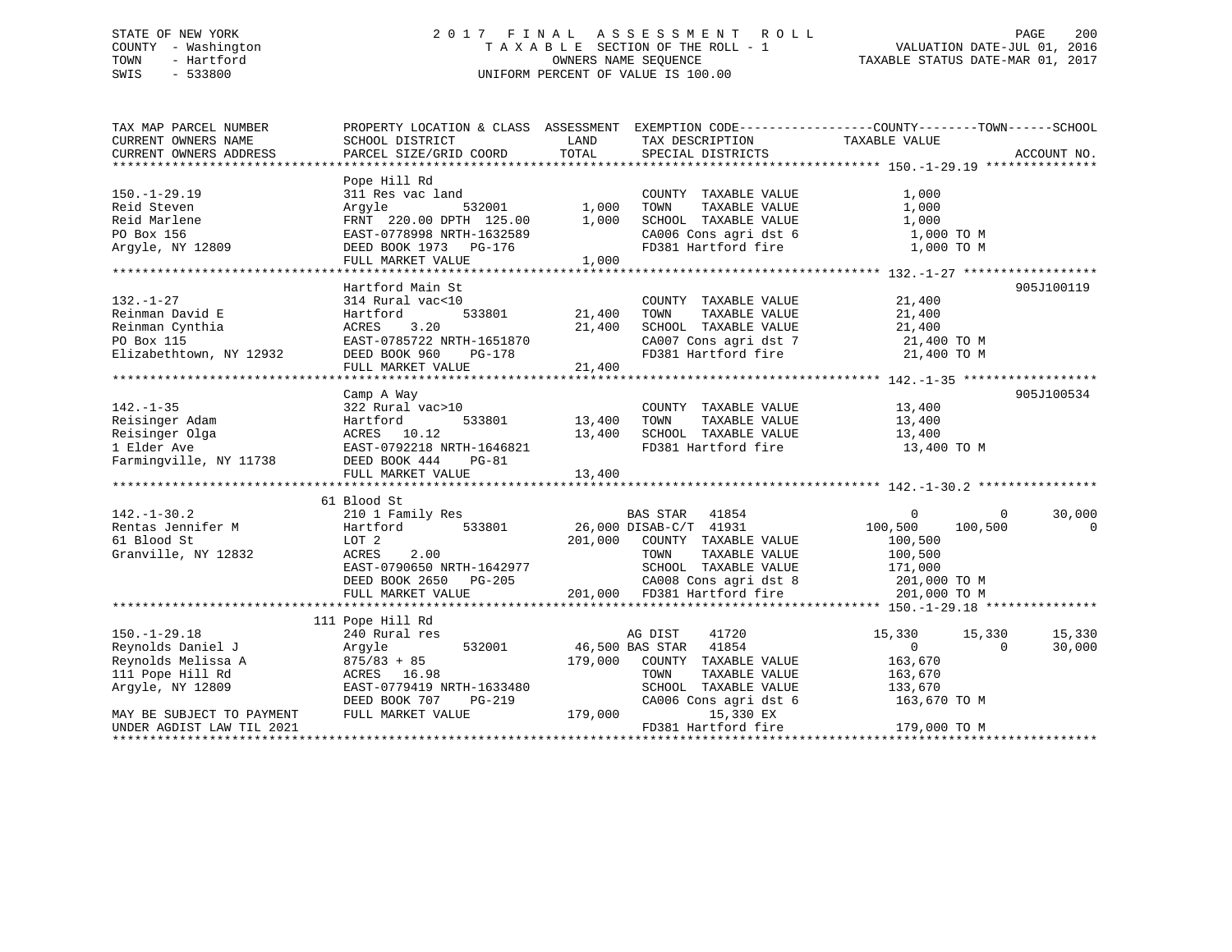# STATE OF NEW YORK 2 0 1 7 F I N A L A S S E S S M E N T R O L L PAGE 200 COUNTY - Washington T A X A B L E SECTION OF THE ROLL - 1 VALUATION DATE-JUL 01, 2016 TOWN - Hartford OWNERS NAME SEQUENCE TAXABLE STATUS DATE-MAR 01, 2017 SWIS - 533800 UNIFORM PERCENT OF VALUE IS 100.00

| TAX MAP PARCEL NUMBER                                                                                                         |                                                                                                                                                                                                                                                      |                             |                              | PROPERTY LOCATION & CLASS ASSESSMENT EXEMPTION CODE----------------COUNTY-------TOWN------SCHOOL |                |
|-------------------------------------------------------------------------------------------------------------------------------|------------------------------------------------------------------------------------------------------------------------------------------------------------------------------------------------------------------------------------------------------|-----------------------------|------------------------------|--------------------------------------------------------------------------------------------------|----------------|
| CURRENT OWNERS NAME                                                                                                           | SCHOOL DISTRICT                                                                                                                                                                                                                                      | LAND                        | TAX DESCRIPTION              | TAXABLE VALUE                                                                                    |                |
| CURRENT OWNERS ADDRESS                                                                                                        | PARCEL SIZE/GRID COORD                                                                                                                                                                                                                               | TOTAL                       | SPECIAL DISTRICTS            |                                                                                                  | ACCOUNT NO.    |
|                                                                                                                               |                                                                                                                                                                                                                                                      |                             |                              |                                                                                                  |                |
|                                                                                                                               | Pope Hill Rd                                                                                                                                                                                                                                         |                             |                              |                                                                                                  |                |
| $150. - 1 - 29.19$                                                                                                            | 311 Res vac land                                                                                                                                                                                                                                     |                             | COUNTY TAXABLE VALUE         | 1,000                                                                                            |                |
| Reid Steven                                                                                                                   | Arqyle                                                                                                                                                                                                                                               | $532001$ 1,000              | TOWN<br>TAXABLE VALUE        | 1,000                                                                                            |                |
| Reid Marlene                                                                                                                  | FRNT 220.00 DPTH 125.00 1,000                                                                                                                                                                                                                        |                             |                              |                                                                                                  |                |
| PO Box 156                                                                                                                    | FRNT 220.00 DPTH 125.00<br>EAST-0778998 NRTH-1632589                                                                                                                                                                                                 |                             |                              |                                                                                                  |                |
| Argyle, NY 12809                                                                                                              | DEED BOOK 1973 PG-176                                                                                                                                                                                                                                |                             |                              | SCHOOL TAXABLE VALUE 1,000<br>CA006 Cons agri dst 6 1,000 TO M<br>FD381 Hartford fire 1,000 TO M |                |
|                                                                                                                               | FULL MARKET VALUE                                                                                                                                                                                                                                    | $1632589$<br>G-176<br>1,000 |                              |                                                                                                  |                |
|                                                                                                                               |                                                                                                                                                                                                                                                      |                             |                              |                                                                                                  |                |
|                                                                                                                               | Hartford Main St                                                                                                                                                                                                                                     |                             |                              |                                                                                                  | 905J100119     |
| $132. - 1 - 27$                                                                                                               | 314 Rural vac<10                                                                                                                                                                                                                                     |                             | COUNTY TAXABLE VALUE 21,400  |                                                                                                  |                |
|                                                                                                                               |                                                                                                                                                                                                                                                      |                             | TOWN                         |                                                                                                  |                |
|                                                                                                                               |                                                                                                                                                                                                                                                      |                             | SCHOOL TAXABLE VALUE         | TAXABLE VALUE 21,400<br>21,400                                                                   |                |
|                                                                                                                               |                                                                                                                                                                                                                                                      |                             |                              | CA007 Cons agri dst 7 21,400 TO M                                                                |                |
|                                                                                                                               |                                                                                                                                                                                                                                                      |                             |                              |                                                                                                  |                |
|                                                                                                                               | Feinman David E<br>Reinman Cynthia<br>Reinman Cynthia<br>PO Box 115<br>Elizabethtown, NY 12932<br>DELIZAbethtown, NY 12932<br>DELIZAbethtown, NY 12932<br>DELIZABET-0785722<br>DELIZABET-0785722<br>DELIZABET-0785722<br>DELIZABET-0785722<br>DELIZA |                             |                              | FD381 Hartford fire 21,400 TO M                                                                  |                |
|                                                                                                                               | FULL MARKET VALUE                                                                                                                                                                                                                                    | 21,400                      |                              |                                                                                                  |                |
|                                                                                                                               |                                                                                                                                                                                                                                                      |                             |                              |                                                                                                  |                |
|                                                                                                                               | Camp A Way                                                                                                                                                                                                                                           |                             |                              |                                                                                                  | 905J100534     |
| $142. - 1 - 35$                                                                                                               | 322 Rural vac>10                                                                                                                                                                                                                                     |                             | COUNTY TAXABLE VALUE 13,400  |                                                                                                  |                |
|                                                                                                                               | 533801                                                                                                                                                                                                                                               | 13,400                      | TOWN<br>TAXABLE VALUE        | 13,400<br>13,400                                                                                 |                |
|                                                                                                                               |                                                                                                                                                                                                                                                      | 13,400                      | SCHOOL TAXABLE VALUE         |                                                                                                  |                |
|                                                                                                                               |                                                                                                                                                                                                                                                      |                             |                              | FD381 Hartford fire 13,400 TO M                                                                  |                |
|                                                                                                                               | Reisinger Adam Martford 533801<br>Reisinger Olga (ACRES 10.12<br>1 Elder Ave (EAST-0792218 NRTH-1646821<br>Farmingville, NY 11738 (DEED BOOK 444 PG-81                                                                                               |                             |                              |                                                                                                  |                |
|                                                                                                                               | FULL MARKET VALUE                                                                                                                                                                                                                                    | 13,400                      |                              |                                                                                                  |                |
|                                                                                                                               |                                                                                                                                                                                                                                                      |                             |                              |                                                                                                  |                |
|                                                                                                                               | 61 Blood St                                                                                                                                                                                                                                          |                             |                              |                                                                                                  |                |
| $142. - 1 - 30.2$                                                                                                             |                                                                                                                                                                                                                                                      |                             |                              | $\Omega$<br>$\overline{0}$                                                                       | 30,000         |
| Rentas Jennifer M                                                                                                             |                                                                                                                                                                                                                                                      |                             |                              | 100, 500<br>100,500                                                                              | $\overline{0}$ |
| 61 Blood St                                                                                                                   |                                                                                                                                                                                                                                                      |                             | 201,000 COUNTY TAXABLE VALUE | 100,500                                                                                          |                |
| Granville, NY 12832                                                                                                           | LOT 2<br>ACPFS<br>ACRES<br>2.00                                                                                                                                                                                                                      |                             | TOWN<br>TAXABLE VALUE        | 100,500                                                                                          |                |
|                                                                                                                               | EAST-0790650 NRTH-1642977                                                                                                                                                                                                                            |                             | SCHOOL TAXABLE VALUE 171,000 |                                                                                                  |                |
|                                                                                                                               |                                                                                                                                                                                                                                                      |                             |                              |                                                                                                  |                |
|                                                                                                                               |                                                                                                                                                                                                                                                      |                             |                              |                                                                                                  |                |
|                                                                                                                               |                                                                                                                                                                                                                                                      |                             |                              |                                                                                                  |                |
|                                                                                                                               |                                                                                                                                                                                                                                                      |                             |                              |                                                                                                  |                |
|                                                                                                                               | 111 Pope Hill Rd                                                                                                                                                                                                                                     |                             |                              |                                                                                                  |                |
| $150. - 1 - 29.18$                                                                                                            | 240 Rural res                                                                                                                                                                                                                                        |                             | 41720<br>AG DIST             | 15,330<br>15,330                                                                                 | 15,330         |
|                                                                                                                               | 532001                                                                                                                                                                                                                                               |                             | 46,500 BAS STAR 41854        | $\overline{0}$<br>$\overline{0}$                                                                 | 30,000         |
|                                                                                                                               |                                                                                                                                                                                                                                                      |                             | 179,000 COUNTY TAXABLE VALUE | 163,670                                                                                          |                |
| Reynolds Daniel J<br>Reynolds Melissa A 875/83 + 85<br>111 Pope Hill Rd<br>Arayle, NY 12809<br>RextPort Parage EAST-0779419 N |                                                                                                                                                                                                                                                      |                             | TOWN<br>TAXABLE VALUE        | 163,670                                                                                          |                |
|                                                                                                                               | EAST-0779419 NRTH-1633480                                                                                                                                                                                                                            |                             | SCHOOL TAXABLE VALUE         | 133,670                                                                                          |                |
|                                                                                                                               | DEED BOOK 707<br>PG-219                                                                                                                                                                                                                              |                             |                              | CA006 Cons agri dst 6 163,670 TO M                                                               |                |
| MAY BE SUBJECT TO PAYMENT                                                                                                     | FULL MARKET VALUE                                                                                                                                                                                                                                    | 179,000                     | 15,330 EX                    |                                                                                                  |                |
| UNDER AGDIST LAW TIL 2021                                                                                                     |                                                                                                                                                                                                                                                      |                             | FD381 Hartford fire          | 179,000 TO M                                                                                     |                |
|                                                                                                                               |                                                                                                                                                                                                                                                      |                             |                              |                                                                                                  |                |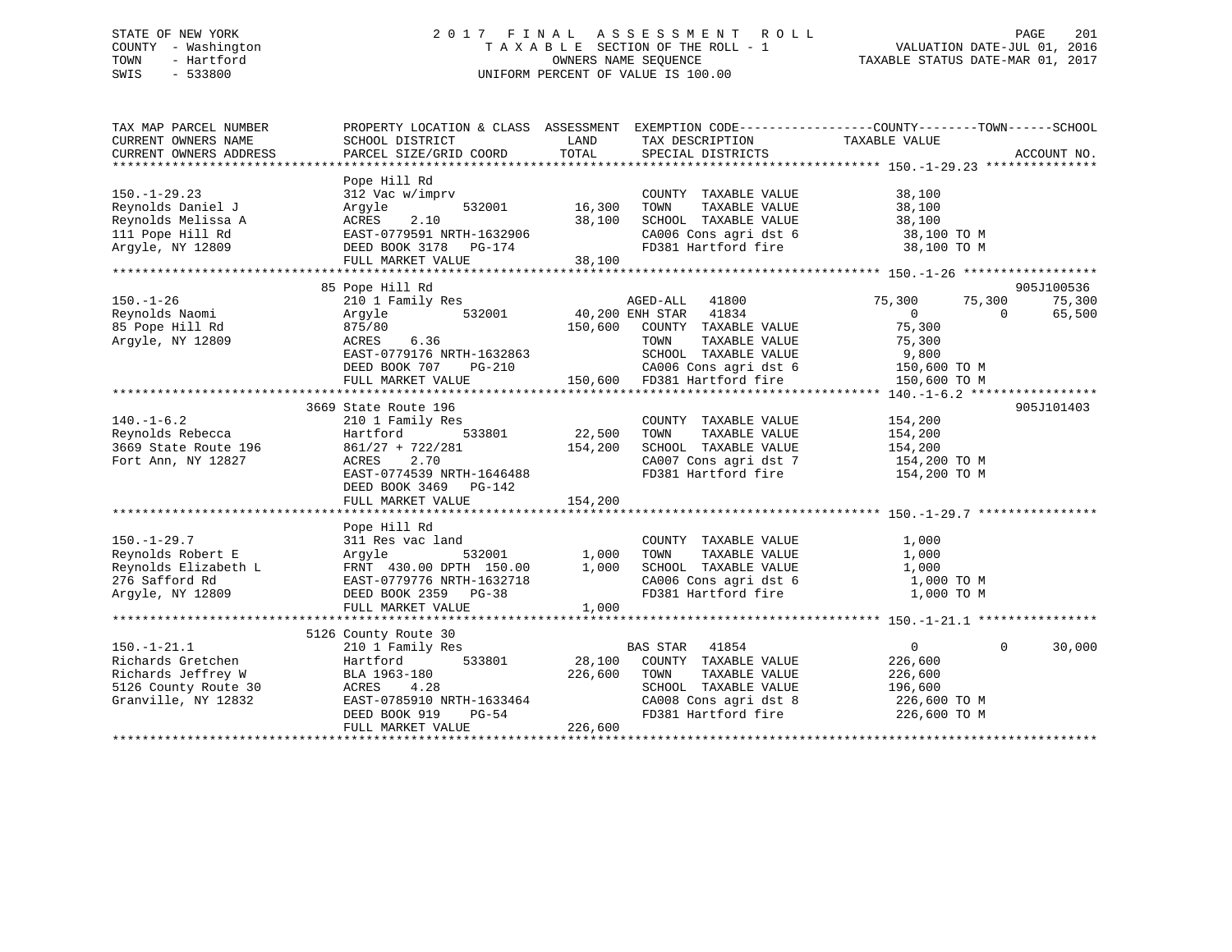# STATE OF NEW YORK 2 0 1 7 F I N A L A S S E S S M E N T R O L L PAGE 201 COUNTY - Washington T A X A B L E SECTION OF THE ROLL - 1 VALUATION DATE-JUL 01, 2016 TOWN - Hartford **TAXABLE STATUS DATE-MAR 01, 2017** SWIS - 533800 UNIFORM PERCENT OF VALUE IS 100.00

| TAX MAP PARCEL NUMBER<br>CURRENT OWNERS NAME<br>CURRENT OWNERS ADDRESS | PROPERTY LOCATION & CLASS ASSESSMENT EXEMPTION CODE----------------COUNTY-------TOWN------SCHOOL<br>SCHOOL DISTRICT<br>PARCEL SIZE/GRID COORD | LAND<br>TOTAL     | TAX DESCRIPTION TAXABLE VALUE SPECIAL DISTRICTS<br>SPECIAL DISTRICTS           |                            | ACCOUNT NO. |
|------------------------------------------------------------------------|-----------------------------------------------------------------------------------------------------------------------------------------------|-------------------|--------------------------------------------------------------------------------|----------------------------|-------------|
|                                                                        |                                                                                                                                               |                   |                                                                                |                            |             |
|                                                                        | Pope Hill Rd                                                                                                                                  |                   |                                                                                |                            |             |
| $150. - 1 - 29.23$                                                     | 312 Vac w/imprv                                                                                                                               |                   | COUNTY TAXABLE VALUE                                                           | 38,100                     |             |
| Reynolds Daniel J                                                      | Argyle<br>532001                                                                                                                              | 16,300            | TOWN<br>TAXABLE VALUE                                                          | 38,100                     |             |
| Reynolds Melissa A                                                     | 2.10<br>ACRES                                                                                                                                 | 38,100            | SCHOOL TAXABLE VALUE                                                           | 38,100                     |             |
| 111 Pope Hill Rd                                                       | EAST-0779591 NRTH-1632906                                                                                                                     |                   | CA006 Cons agri dst 6 38,100 TO M                                              |                            |             |
| Argyle, NY 12809                                                       | DEED BOOK 3178 PG-174                                                                                                                         |                   | FD381 Hartford fire                                                            | 38,100 TO M                |             |
|                                                                        | FULL MARKET VALUE                                                                                                                             | 38,100            |                                                                                |                            |             |
|                                                                        |                                                                                                                                               |                   |                                                                                |                            |             |
|                                                                        | 85 Pope Hill Rd                                                                                                                               |                   |                                                                                |                            | 905J100536  |
| $150. - 1 - 26$                                                        | 210 1 Family Res                                                                                                                              |                   | AGED-ALL 41800                                                                 | 75,300<br>75,300           | 75,300      |
| Reynolds Naomi                                                         | 532001<br>Arqyle                                                                                                                              |                   | AGED-ALL 41800<br>40,200 ENH STAR 41834                                        | $\Omega$<br>$\bigcap$      | 65,500      |
| 85 Pope Hill Rd                                                        | 875/80                                                                                                                                        | 150,600           | COUNTY TAXABLE VALUE                                                           | 75,300                     |             |
| Argyle, NY 12809                                                       | 6.36<br>ACRES                                                                                                                                 |                   | TAXABLE VALUE<br>TOWN                                                          | 75,300                     |             |
|                                                                        | EAST-0779176 NRTH-1632863                                                                                                                     |                   | SCHOOL TAXABLE VALUE                                                           | 9,800                      |             |
|                                                                        | DEED BOOK 707<br>PG-210                                                                                                                       |                   | CA006 Cons agri dst 6 150,600 TO M<br>150,600 FD381 Hartford fire 150,600 TO M |                            |             |
|                                                                        | FULL MARKET VALUE                                                                                                                             |                   |                                                                                |                            |             |
|                                                                        |                                                                                                                                               |                   |                                                                                |                            |             |
|                                                                        | 3669 State Route 196                                                                                                                          |                   |                                                                                |                            | 905J101403  |
| $140. - 1 - 6.2$                                                       | 210 1 Family Res                                                                                                                              |                   | COUNTY TAXABLE VALUE                                                           | 154,200                    |             |
| Reynolds Rebecca<br>3669 State Route 196                               | 533801<br>Hartford                                                                                                                            | 22,500<br>154,200 | TOWN<br>TAXABLE VALUE                                                          | 154,200                    |             |
|                                                                        | $861/27 + 722/281$                                                                                                                            |                   | SCHOOL TAXABLE VALUE                                                           | 154,200                    |             |
| Fort Ann, NY 12827                                                     | 2.70<br>ACRES                                                                                                                                 |                   | CA007 Cons agri dst 7 154,200 TO M                                             |                            |             |
|                                                                        | EAST-0774539 NRTH-1646488                                                                                                                     |                   | FD381 Hartford fire                                                            | 154,200 TO M               |             |
|                                                                        | DEED BOOK 3469 PG-142                                                                                                                         |                   |                                                                                |                            |             |
|                                                                        | FULL MARKET VALUE                                                                                                                             | 154,200           |                                                                                |                            |             |
|                                                                        |                                                                                                                                               |                   |                                                                                |                            |             |
|                                                                        | Pope Hill Rd                                                                                                                                  |                   |                                                                                |                            |             |
| $150. - 1 - 29.7$<br>Reynolds Robert E                                 | 311 Res vac land                                                                                                                              |                   | COUNTY TAXABLE VALUE<br>TOWN<br>TAXABLE VALUE                                  | 1,000<br>1,000             |             |
| Reynolds Elizabeth L                                                   |                                                                                                                                               |                   | SCHOOL TAXABLE VALUE                                                           | 1,000                      |             |
| 276 Safford Rd                                                         | Argyle 532001 1,000<br>FRNT 430.00 DPTH 150.00 1,000<br>EAST-0779776 NRTH-1632718<br>DEED BOOK 2359 PG-38                                     |                   | SCHOOL TAXABLE VALUE 1,000<br>CA006 Cons agri dst 6 1,000 TO M                 |                            |             |
| Arqyle, NY 12809                                                       |                                                                                                                                               |                   | FD381 Hartford fire 1,000 TO M                                                 |                            |             |
|                                                                        | FULL MARKET VALUE                                                                                                                             | 1,000             |                                                                                |                            |             |
|                                                                        |                                                                                                                                               |                   |                                                                                |                            |             |
|                                                                        | 5126 County Route 30                                                                                                                          |                   |                                                                                |                            |             |
| $150. - 1 - 21.1$                                                      | 210 1 Family Res                                                                                                                              |                   | BAS STAR 41854                                                                 | $\overline{0}$<br>$\Omega$ | 30,000      |
| Richards Gretchen                                                      | 533801<br>Hartford                                                                                                                            | 28,100            | COUNTY TAXABLE VALUE                                                           | 226,600                    |             |
| Richards Jeffrey W                                                     | BLA 1963-180                                                                                                                                  | 226,600           | TAXABLE VALUE<br>TOWN                                                          | 226,600                    |             |
| 5126 County Route 30                                                   | ACRES<br>4.28                                                                                                                                 |                   | SCHOOL TAXABLE VALUE                                                           | 196,600                    |             |
| Granville, NY 12832                                                    | EAST-0785910 NRTH-1633464                                                                                                                     |                   |                                                                                |                            |             |
|                                                                        | PG-54<br>DEED BOOK 919                                                                                                                        |                   | CA008 Cons agri dst 8 226,600 TO M<br>FD381 Hartford fire 226,600 TO M         |                            |             |
|                                                                        | FULL MARKET VALUE                                                                                                                             | 226,600           |                                                                                |                            |             |
|                                                                        |                                                                                                                                               |                   |                                                                                |                            |             |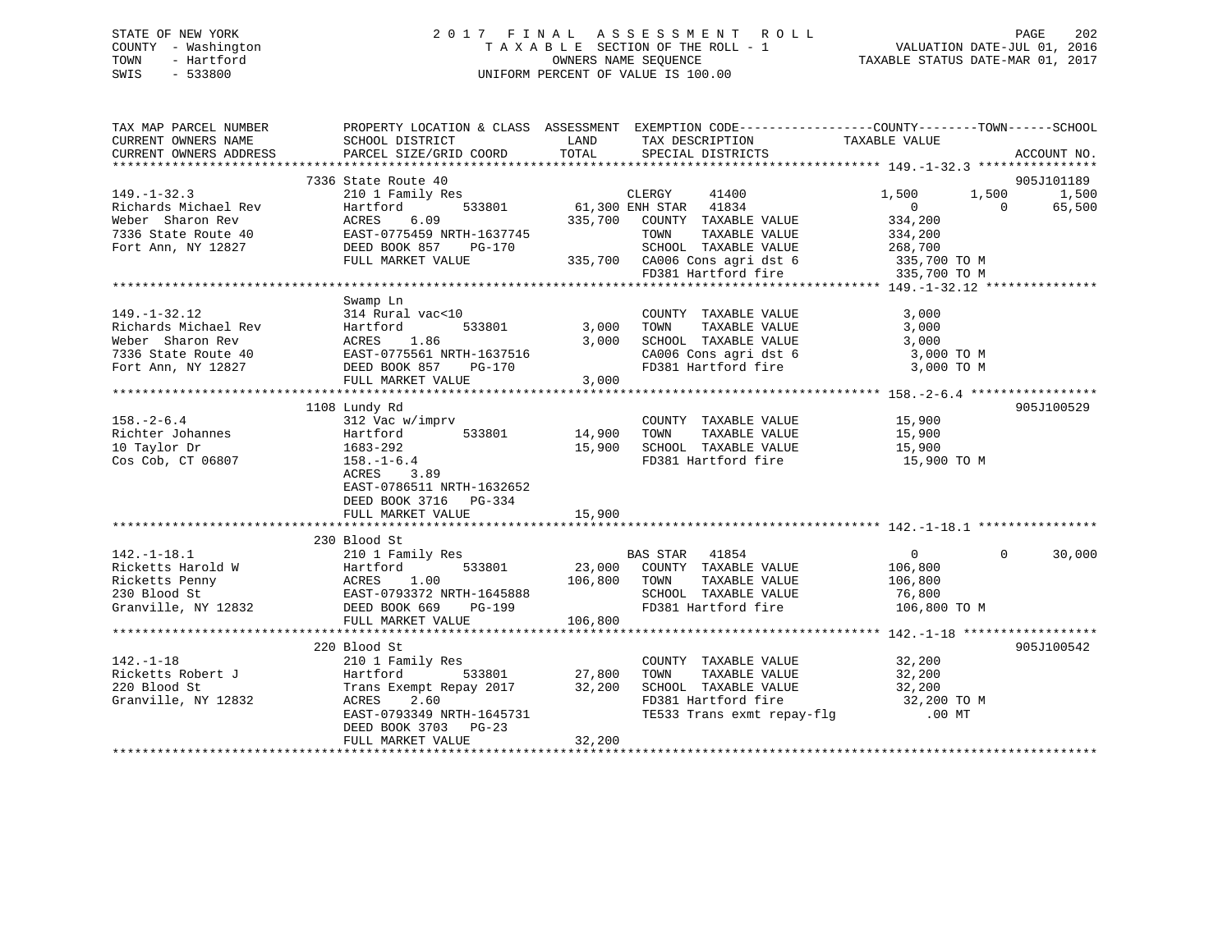# STATE OF NEW YORK 2 0 1 7 F I N A L A S S E S S M E N T R O L L PAGE 202 COUNTY - Washington T A X A B L E SECTION OF THE ROLL - 1 VALUATION DATE-JUL 01, 2016 TOWN - Hartford **TAXABLE STATUS DATE-MAR 01, 2017** SWIS - 533800 UNIFORM PERCENT OF VALUE IS 100.00

| TAX MAP PARCEL NUMBER<br>CURRENT OWNERS NAME             |                                                                                                                                                                                                                                                      |        | PROPERTY LOCATION & CLASS ASSESSMENT EXEMPTION CODE---------------COUNTY-------TOWN-----SCHOOL<br>$\begin{tabular}{lllll} \multicolumn{2}{c}{\textbf{PARCEL SIZE/GRID COORD}} & $\quad$ & \multicolumn{2}{c}{\textbf{LAND}} & \multicolumn{2}{c}{\textbf{TAX DESCRIPTION}} & \multicolumn{2}{c}{\textbf{TAXABLE VALUE}}\\ \multicolumn{2}{c}{\textbf{PARCEL SIZE/GRID COORD}} & $\quad$ & \multicolumn{2}{c}{\textbf{TAYABLE VALUE}}\\ \multicolumn{2}{c}{\textbf{PACCAL DISTRICTS}} & & & \multicolumn{2}{c}{\textbf{TAXABLE VALUE}}\\ \multicolumn{2}{c}{\textbf{PACCAL DISTRICTS}} & & & \multicolumn{2$ |                    |                          |
|----------------------------------------------------------|------------------------------------------------------------------------------------------------------------------------------------------------------------------------------------------------------------------------------------------------------|--------|-------------------------------------------------------------------------------------------------------------------------------------------------------------------------------------------------------------------------------------------------------------------------------------------------------------------------------------------------------------------------------------------------------------------------------------------------------------------------------------------------------------------------------------------------------------------------------------------------------------|--------------------|--------------------------|
| CURRENT OWNERS ADDRESS                                   |                                                                                                                                                                                                                                                      |        |                                                                                                                                                                                                                                                                                                                                                                                                                                                                                                                                                                                                             |                    | ACCOUNT NO.              |
|                                                          | 7336 State Route 40                                                                                                                                                                                                                                  |        |                                                                                                                                                                                                                                                                                                                                                                                                                                                                                                                                                                                                             |                    | 905J101189               |
| $149. - 1 - 32.3$                                        | 210 1 Family Res                                                                                                                                                                                                                                     |        | s<br>533801 61,300 ENH STAR 41834                                                                                                                                                                                                                                                                                                                                                                                                                                                                                                                                                                           | 1,500<br>1,500     | 1,500                    |
|                                                          |                                                                                                                                                                                                                                                      |        |                                                                                                                                                                                                                                                                                                                                                                                                                                                                                                                                                                                                             | $\overline{0}$     | $\overline{0}$<br>65,500 |
|                                                          | Exchange Michael Rev<br>Richards Michael Rev<br>Weber Sharon Rev<br>Taxable Value<br>Tort Ann, NY 12827<br>Port Ann, NY 12827<br>Port Ann, NY 12827<br>Port Ann, NY 12827<br>Port Ann, NY 12827<br>Port MINITE VALUE<br>Port Ann, NY 12827<br>Port M |        |                                                                                                                                                                                                                                                                                                                                                                                                                                                                                                                                                                                                             |                    |                          |
|                                                          |                                                                                                                                                                                                                                                      |        |                                                                                                                                                                                                                                                                                                                                                                                                                                                                                                                                                                                                             | 334,200<br>334,200 |                          |
|                                                          |                                                                                                                                                                                                                                                      |        |                                                                                                                                                                                                                                                                                                                                                                                                                                                                                                                                                                                                             |                    |                          |
|                                                          | FULL MARKET VALUE                                                                                                                                                                                                                                    |        |                                                                                                                                                                                                                                                                                                                                                                                                                                                                                                                                                                                                             |                    |                          |
|                                                          |                                                                                                                                                                                                                                                      |        | SCHOOL TAXABLE VALUE 268,700<br>335,700 CA006 Cons agri dst 6 335,700 TO M<br>FD381 Hartford fire 335,700 TO M                                                                                                                                                                                                                                                                                                                                                                                                                                                                                              |                    |                          |
|                                                          |                                                                                                                                                                                                                                                      |        |                                                                                                                                                                                                                                                                                                                                                                                                                                                                                                                                                                                                             |                    |                          |
|                                                          | Swamp Ln                                                                                                                                                                                                                                             |        |                                                                                                                                                                                                                                                                                                                                                                                                                                                                                                                                                                                                             |                    |                          |
| $149. - 1 - 32.12$                                       | Unit and the count<br>314 Rural vac<10 (COUNT<br>Hartford 533801 3,000 TOWN                                                                                                                                                                          |        | COUNTY TAXABLE VALUE                                                                                                                                                                                                                                                                                                                                                                                                                                                                                                                                                                                        | 3,000              |                          |
|                                                          |                                                                                                                                                                                                                                                      |        | TAXABLE VALUE                                                                                                                                                                                                                                                                                                                                                                                                                                                                                                                                                                                               | 3,000              |                          |
|                                                          |                                                                                                                                                                                                                                                      |        |                                                                                                                                                                                                                                                                                                                                                                                                                                                                                                                                                                                                             |                    |                          |
|                                                          | 149.-1-32.12 314 Rural vac<10<br>Richards Michael Rev Hartford 533801 3,000<br>Weber Sharon Rev ACRES 1.86 3,000<br>7336 State Route 40 EAST-0775561 NRTH-1637516<br>Fort Ann, NY 12827 DEED BOOK 857 PG-170                                         |        | 3,000 TOWN TAAN THE VALUE 3,000 TO M<br>3,000 SCHOOL TAXABLE VALUE 3,000 TO M                                                                                                                                                                                                                                                                                                                                                                                                                                                                                                                               |                    |                          |
|                                                          |                                                                                                                                                                                                                                                      |        | CA006 Cons agri dst 6 3,000 TO M<br>FD381 Hartford fire 3,000 TO M                                                                                                                                                                                                                                                                                                                                                                                                                                                                                                                                          |                    |                          |
|                                                          | FULL MARKET VALUE 3,000                                                                                                                                                                                                                              |        |                                                                                                                                                                                                                                                                                                                                                                                                                                                                                                                                                                                                             |                    |                          |
|                                                          |                                                                                                                                                                                                                                                      |        |                                                                                                                                                                                                                                                                                                                                                                                                                                                                                                                                                                                                             |                    |                          |
|                                                          | 1108 Lundy Rd                                                                                                                                                                                                                                        |        |                                                                                                                                                                                                                                                                                                                                                                                                                                                                                                                                                                                                             |                    | 905J100529               |
| $158. - 2 - 6.4$                                         | 312 Vac w/imprv                                                                                                                                                                                                                                      |        | COUNTY TAXABLE VALUE 15,900                                                                                                                                                                                                                                                                                                                                                                                                                                                                                                                                                                                 |                    |                          |
|                                                          | 533801 14,900                                                                                                                                                                                                                                        |        | TOWN                                                                                                                                                                                                                                                                                                                                                                                                                                                                                                                                                                                                        |                    |                          |
| Richter Johannes<br>10 Taylor Dr<br>1683-292             |                                                                                                                                                                                                                                                      |        | TAXABLE VALUE 15,900<br>TAXABLE VALUE 15,900<br>15,900 SCHOOL TAXABLE VALUE                                                                                                                                                                                                                                                                                                                                                                                                                                                                                                                                 |                    |                          |
| Cos Cob, CT 06807 158.-1-6.4                             |                                                                                                                                                                                                                                                      |        | FD381 Hartford fire 15,900 TO M                                                                                                                                                                                                                                                                                                                                                                                                                                                                                                                                                                             |                    |                          |
|                                                          | ACRES 3.89                                                                                                                                                                                                                                           |        |                                                                                                                                                                                                                                                                                                                                                                                                                                                                                                                                                                                                             |                    |                          |
|                                                          | EAST-0786511 NRTH-1632652                                                                                                                                                                                                                            |        |                                                                                                                                                                                                                                                                                                                                                                                                                                                                                                                                                                                                             |                    |                          |
|                                                          | DEED BOOK 3716 PG-334                                                                                                                                                                                                                                |        |                                                                                                                                                                                                                                                                                                                                                                                                                                                                                                                                                                                                             |                    |                          |
|                                                          | FULL MARKET VALUE                                                                                                                                                                                                                                    | 15,900 |                                                                                                                                                                                                                                                                                                                                                                                                                                                                                                                                                                                                             |                    |                          |
|                                                          |                                                                                                                                                                                                                                                      |        |                                                                                                                                                                                                                                                                                                                                                                                                                                                                                                                                                                                                             |                    |                          |
|                                                          | 230 Blood St                                                                                                                                                                                                                                         |        |                                                                                                                                                                                                                                                                                                                                                                                                                                                                                                                                                                                                             |                    |                          |
|                                                          | 142.-1-18.1<br>Ricketts Harold W and Hamily Res<br>Ricketts Penny Hartford 533801 23,000 COUNTY TAXABLE VALUE<br>Ricketts Penny ACRES 1.00 106,800 TOWN TAXABLE VALUE<br>230 Blood St EAST-0793372 NRTH-1645888 SCHOOL TAXABLE VALUE<br>             |        |                                                                                                                                                                                                                                                                                                                                                                                                                                                                                                                                                                                                             | $\overline{0}$     | $\Omega$<br>30,000       |
|                                                          |                                                                                                                                                                                                                                                      |        |                                                                                                                                                                                                                                                                                                                                                                                                                                                                                                                                                                                                             | 106,800            |                          |
|                                                          |                                                                                                                                                                                                                                                      |        |                                                                                                                                                                                                                                                                                                                                                                                                                                                                                                                                                                                                             | 106,800            |                          |
|                                                          |                                                                                                                                                                                                                                                      |        |                                                                                                                                                                                                                                                                                                                                                                                                                                                                                                                                                                                                             |                    |                          |
|                                                          |                                                                                                                                                                                                                                                      |        |                                                                                                                                                                                                                                                                                                                                                                                                                                                                                                                                                                                                             |                    |                          |
|                                                          | FULL MARKET VALUE 106,800                                                                                                                                                                                                                            |        |                                                                                                                                                                                                                                                                                                                                                                                                                                                                                                                                                                                                             |                    |                          |
|                                                          |                                                                                                                                                                                                                                                      |        |                                                                                                                                                                                                                                                                                                                                                                                                                                                                                                                                                                                                             |                    |                          |
|                                                          | 220 Blood St                                                                                                                                                                                                                                         |        |                                                                                                                                                                                                                                                                                                                                                                                                                                                                                                                                                                                                             |                    | 905J100542               |
| $142. - 1 - 18$                                          | 210 1 Family Res                                                                                                                                                                                                                                     |        | COUNTY TAXABLE VALUE                                                                                                                                                                                                                                                                                                                                                                                                                                                                                                                                                                                        | 32,200             |                          |
| Ricketts Robert J<br>220 Blood St<br>Granville, NY 12832 | Hartford                                                                                                                                                                                                                                             |        | TOWN<br>TAXABLE VALUE 32,200                                                                                                                                                                                                                                                                                                                                                                                                                                                                                                                                                                                |                    |                          |
|                                                          | Trans Exempt Repay 2017 32,200                                                                                                                                                                                                                       |        |                                                                                                                                                                                                                                                                                                                                                                                                                                                                                                                                                                                                             |                    |                          |
|                                                          | 2.60<br>ACRES                                                                                                                                                                                                                                        |        |                                                                                                                                                                                                                                                                                                                                                                                                                                                                                                                                                                                                             |                    |                          |
|                                                          | EAST-0793349 NRTH-1645731                                                                                                                                                                                                                            |        | TE533 Trans exmt repay-flg                                                                                                                                                                                                                                                                                                                                                                                                                                                                                                                                                                                  | .00 MT             |                          |
|                                                          | DEED BOOK 3703 PG-23                                                                                                                                                                                                                                 |        |                                                                                                                                                                                                                                                                                                                                                                                                                                                                                                                                                                                                             |                    |                          |
|                                                          | FULL MARKET VALUE                                                                                                                                                                                                                                    | 32,200 |                                                                                                                                                                                                                                                                                                                                                                                                                                                                                                                                                                                                             |                    |                          |
|                                                          |                                                                                                                                                                                                                                                      |        |                                                                                                                                                                                                                                                                                                                                                                                                                                                                                                                                                                                                             |                    |                          |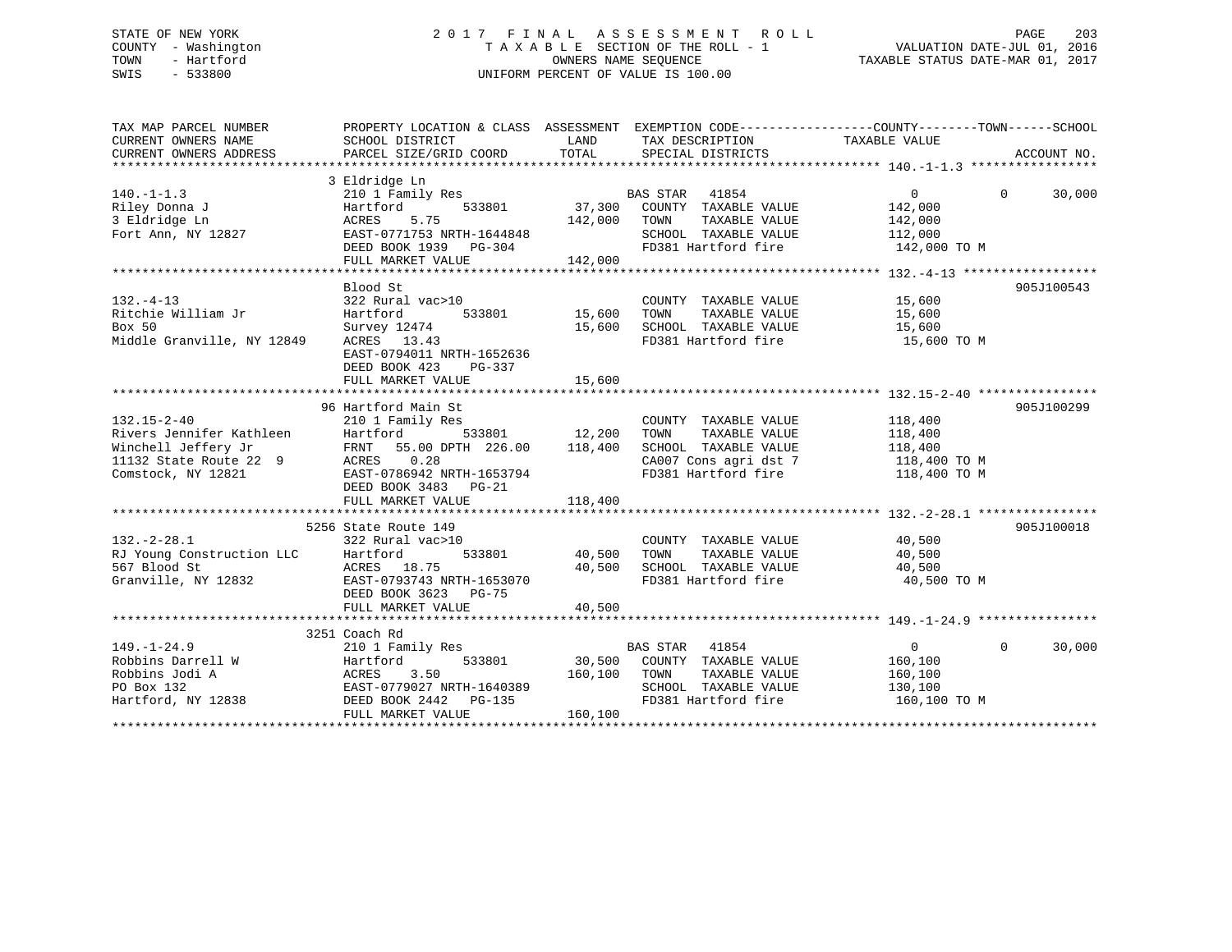# STATE OF NEW YORK 2 0 1 7 F I N A L A S S E S S M E N T R O L L PAGE 203 COUNTY - Washington T A X A B L E SECTION OF THE ROLL - 1 VALUATION DATE-JUL 01, 2016 TOWN - Hartford **TAXABLE STATUS DATE-MAR 01, 2017** SWIS - 533800 UNIFORM PERCENT OF VALUE IS 100.00

| TAX MAP PARCEL NUMBER<br>CURRENT OWNERS NAME  | PROPERTY LOCATION & CLASS ASSESSMENT EXEMPTION CODE---------------COUNTY-------TOWN------SCHOOL<br>SCHOOL DISTRICT | LAND             | TAX DESCRIPTION                             | TAXABLE VALUE         |                    |
|-----------------------------------------------|--------------------------------------------------------------------------------------------------------------------|------------------|---------------------------------------------|-----------------------|--------------------|
| CURRENT OWNERS ADDRESS                        | PARCEL SIZE/GRID COORD                                                                                             | TOTAL            | SPECIAL DISTRICTS                           |                       | ACCOUNT NO.        |
|                                               | 3 Eldridge Ln                                                                                                      |                  |                                             |                       |                    |
| $140. - 1 - 1.3$                              | 210 1 Family Res                                                                                                   |                  | BAS STAR 41854                              | $\Omega$              | $\Omega$<br>30,000 |
| Riley Donna J                                 | 533801<br>Hartford                                                                                                 | 37,300           | COUNTY TAXABLE VALUE                        | 142,000               |                    |
| 3 Eldridge Ln                                 | 5.75<br>ACRES                                                                                                      | 142,000          | TAXABLE VALUE<br>TOWN                       | 142,000               |                    |
| Fort Ann, NY 12827                            | EAST-0771753 NRTH-1644848                                                                                          |                  | SCHOOL TAXABLE VALUE                        | 112,000               |                    |
|                                               | DEED BOOK 1939 PG-304                                                                                              |                  | FD381 Hartford fire                         | 142,000 TO M          |                    |
|                                               | FULL MARKET VALUE                                                                                                  | 142,000          |                                             |                       |                    |
|                                               |                                                                                                                    |                  |                                             |                       |                    |
|                                               | Blood St                                                                                                           |                  |                                             |                       | 905J100543         |
| $132. - 4 - 13$                               | 322 Rural vac>10                                                                                                   |                  | COUNTY TAXABLE VALUE                        | 15,600                |                    |
| Ritchie William Jr                            | 533801<br>Hartford                                                                                                 | 15,600           | TOWN<br>TAXABLE VALUE                       | 15,600                |                    |
| Box 50                                        | Survey 12474                                                                                                       | 15,600           | SCHOOL TAXABLE VALUE                        | 15,600                |                    |
| Middle Granville, NY 12849                    | ACRES 13.43                                                                                                        |                  | FD381 Hartford fire                         | 15,600 TO M           |                    |
|                                               | EAST-0794011 NRTH-1652636                                                                                          |                  |                                             |                       |                    |
|                                               | DEED BOOK 423<br>PG-337                                                                                            |                  |                                             |                       |                    |
|                                               | FULL MARKET VALUE                                                                                                  | 15,600           |                                             |                       |                    |
|                                               |                                                                                                                    |                  |                                             |                       |                    |
|                                               | 96 Hartford Main St                                                                                                |                  |                                             |                       | 905J100299         |
| $132.15 - 2 - 40$                             | 210 1 Family Res                                                                                                   |                  | COUNTY TAXABLE VALUE                        | 118,400               |                    |
| Rivers Jennifer Kathleen                      | Hartford<br>533801                                                                                                 | 12,200           | TAXABLE VALUE<br>TOWN                       | 118,400               |                    |
| Winchell Jeffery Jr                           | FRNT 55.00 DPTH 226.00                                                                                             | 118,400          | SCHOOL TAXABLE VALUE                        | 118,400               |                    |
| 11132 State Route 22 9                        | ACRES 0.28                                                                                                         |                  | CA007 Cons agri dst 7                       | 118,400 TO M          |                    |
| Comstock, NY 12821                            | EAST-0786942 NRTH-1653794                                                                                          |                  | FD381 Hartford fire                         | 118,400 TO M          |                    |
|                                               | DEED BOOK 3483 PG-21                                                                                               |                  |                                             |                       |                    |
|                                               | FULL MARKET VALUE                                                                                                  | 118,400          |                                             |                       |                    |
|                                               |                                                                                                                    |                  |                                             |                       |                    |
|                                               | 5256 State Route 149                                                                                               |                  |                                             |                       | 905J100018         |
| $132 - 2 - 28.1$<br>RJ Young Construction LLC | 322 Rural vac>10                                                                                                   |                  | COUNTY TAXABLE VALUE                        | 40,500                |                    |
| 567 Blood St                                  | 533801<br>Hartford                                                                                                 | 40,500<br>40,500 | TOWN<br>TAXABLE VALUE                       | 40,500                |                    |
|                                               | ACRES 18.75                                                                                                        |                  | SCHOOL TAXABLE VALUE<br>FD381 Hartford fire | 40,500<br>40,500 TO M |                    |
| Granville, NY 12832                           | EAST-0793743 NRTH-1653070                                                                                          |                  |                                             |                       |                    |
|                                               | DEED BOOK 3623 PG-75                                                                                               | 40,500           |                                             |                       |                    |
|                                               | FULL MARKET VALUE                                                                                                  |                  |                                             |                       |                    |
|                                               | 3251 Coach Rd                                                                                                      |                  |                                             |                       |                    |
| $149. - 1 - 24.9$                             | 210 1 Family Res                                                                                                   |                  | BAS STAR 41854                              | $\Omega$              | $\Omega$<br>30,000 |
| Robbins Darrell W                             | 533801<br>Hartford                                                                                                 | 30,500           | COUNTY TAXABLE VALUE                        | 160,100               |                    |
| Robbins Jodi A                                | ACRES<br>3.50                                                                                                      | 160,100          | TOWN<br>TAXABLE VALUE                       | 160,100               |                    |
| PO Box 132                                    | EAST-0779027 NRTH-1640389                                                                                          |                  | SCHOOL TAXABLE VALUE                        | 130,100               |                    |
| Hartford, NY 12838                            | DEED BOOK 2442<br>$PG-135$                                                                                         |                  | FD381 Hartford fire                         | 160,100 TO M          |                    |
|                                               | FULL MARKET VALUE                                                                                                  | 160,100          |                                             |                       |                    |
|                                               |                                                                                                                    |                  |                                             |                       |                    |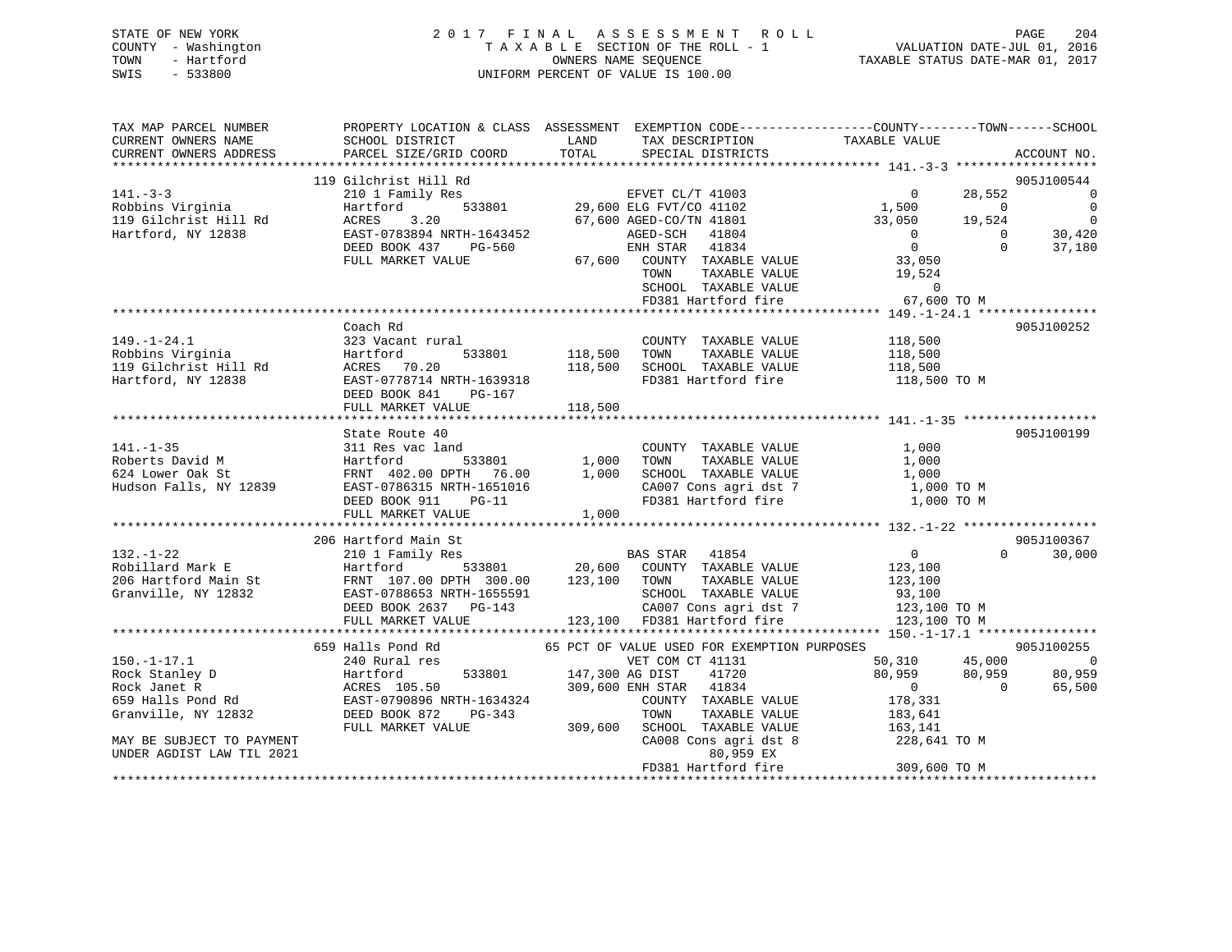| STATE OF NEW YORK   | 2017 FINAL ASSESSMENT ROLL         | 204<br>PAGE                      |
|---------------------|------------------------------------|----------------------------------|
| COUNTY - Washington | TAXABLE SECTION OF THE ROLL - 1    | VALUATION DATE-JUL 01, 2016      |
| TOWN<br>- Hartford  | OWNERS NAME SEOUENCE               | TAXABLE STATUS DATE-MAR 01, 2017 |
| SWIS<br>- 533800    | UNIFORM PERCENT OF VALUE IS 100.00 |                                  |

| TAX MAP PARCEL NUMBER                                                      | PROPERTY LOCATION & CLASS ASSESSMENT EXEMPTION CODE---------------COUNTY-------TOWN------SCHOOL                                                                                                                                        |                     |                                                                               |                                         |                   |                          |
|----------------------------------------------------------------------------|----------------------------------------------------------------------------------------------------------------------------------------------------------------------------------------------------------------------------------------|---------------------|-------------------------------------------------------------------------------|-----------------------------------------|-------------------|--------------------------|
| CURRENT OWNERS NAME                                                        | SCHOOL DISTRICT                                                                                                                                                                                                                        | LAND                | TAX DESCRIPTION                                                               | TAXABLE VALUE                           |                   |                          |
| CURRENT OWNERS ADDRESS                                                     | PARCEL SIZE/GRID COORD                                                                                                                                                                                                                 | TOTAL               | SPECIAL DISTRICTS                                                             |                                         |                   | ACCOUNT NO.              |
|                                                                            |                                                                                                                                                                                                                                        |                     |                                                                               |                                         |                   |                          |
|                                                                            | 119 Gilchrist Hill Rd                                                                                                                                                                                                                  |                     |                                                                               |                                         |                   | 905J100544               |
| $141. - 3 - 3$                                                             | 210 1 Family Res                                                                                                                                                                                                                       |                     | EFVET CL/T 41003<br>533801 29,600 ELG FVT/CO 41102<br>67,600 AGED-CO/TN 41801 | $\mathbf 0$                             | 28,552            | - 0                      |
| Robbins Virginia                                                           | Hartford                                                                                                                                                                                                                               |                     |                                                                               | 1,500                                   | $\overline{0}$    | $\overline{0}$           |
| 119 Gilchrist Hill Rd<br>Hartford, NY 12838                                | ACRES<br>3.20                                                                                                                                                                                                                          |                     |                                                                               | 33,050                                  | 19,524            | $\overline{\phantom{0}}$ |
| Hartford, NY 12838                                                         | EAST-0783894 NRTH-1643452                                                                                                                                                                                                              |                     | AGED-SCH 41804                                                                | $\overline{0}$                          | $\overline{0}$    | 30,420                   |
|                                                                            | DEED BOOK 437<br>PG-560                                                                                                                                                                                                                |                     | ENH STAR 41834<br>67,600 COUNTY TAXABLE VALUE                                 | $\overline{0}$                          | $\Omega$          | 37,180                   |
|                                                                            | FULL MARKET VALUE                                                                                                                                                                                                                      |                     |                                                                               | 33,050                                  |                   |                          |
|                                                                            |                                                                                                                                                                                                                                        |                     | TOWN                                                                          | TAXABLE VALUE 19,524<br>TAXABLE VALUE 0 |                   |                          |
|                                                                            |                                                                                                                                                                                                                                        |                     | SCHOOL TAXABLE VALUE 0<br>FD381 Hartford fire 67,600 TO M                     |                                         |                   |                          |
|                                                                            |                                                                                                                                                                                                                                        |                     |                                                                               |                                         |                   |                          |
|                                                                            |                                                                                                                                                                                                                                        |                     |                                                                               |                                         |                   |                          |
|                                                                            | Coach Rd                                                                                                                                                                                                                               |                     |                                                                               |                                         |                   | 905J100252               |
| $149. - 1 - 24.1$                                                          | 323 Vacant rural                                                                                                                                                                                                                       |                     | COUNTY TAXABLE VALUE 118,500                                                  |                                         |                   |                          |
| 179.-1-2<br>Robins Virginia<br>119 Gilchrist Hill Rd<br>Hartford. NY 12838 | Hartford                                                                                                                                                                                                                               | 533801 118,500 TOWN |                                                                               | TAXABLE VALUE 118,500                   |                   |                          |
|                                                                            | ACRES 70.20                                                                                                                                                                                                                            |                     | 118,500 SCHOOL TAXABLE VALUE                                                  | 118,500                                 |                   |                          |
|                                                                            | EAST-0778714 NRTH-1639318                                                                                                                                                                                                              |                     | FD381 Hartford fire 118,500 TO M                                              |                                         |                   |                          |
|                                                                            | DEED BOOK 841 PG-167                                                                                                                                                                                                                   |                     |                                                                               |                                         |                   |                          |
|                                                                            | FULL MARKET VALUE                                                                                                                                                                                                                      | 118,500             |                                                                               |                                         |                   |                          |
|                                                                            |                                                                                                                                                                                                                                        |                     |                                                                               |                                         |                   |                          |
|                                                                            | State Route 40                                                                                                                                                                                                                         |                     |                                                                               |                                         |                   | 905J100199               |
| $141. - 1 - 35$                                                            | 311 Res vac land                                                                                                                                                                                                                       |                     | COUNTY TAXABLE VALUE                                                          | 1,000                                   |                   |                          |
|                                                                            | Foberts David M<br>Fartford 533801 1,000 TOWN TAXABLE VALUE<br>624 Lower Oak St FRNT 402.00 DPTH 76.00 1,000 SCHOOL TAXABLE VALUE<br>Hudson Falls, NY 12839 EAST-0786315 NRTH-1651016 CA007 Cons agri dst 7                            |                     |                                                                               | 1,000                                   |                   |                          |
|                                                                            |                                                                                                                                                                                                                                        |                     |                                                                               | 1,000                                   |                   |                          |
|                                                                            |                                                                                                                                                                                                                                        |                     |                                                                               | 1,000 TO M                              |                   |                          |
|                                                                            | DEED BOOK 911 PG-11                                                                                                                                                                                                                    |                     | FD381 Hartford fire                                                           | 1,000 TO M                              |                   |                          |
|                                                                            | FULL MARKET VALUE                                                                                                                                                                                                                      | 1,000               |                                                                               |                                         |                   |                          |
|                                                                            |                                                                                                                                                                                                                                        |                     |                                                                               |                                         |                   |                          |
|                                                                            | 206 Hartford Main St                                                                                                                                                                                                                   |                     |                                                                               |                                         |                   | 905J100367               |
| $132. - 1 - 22$                                                            | 210 1 Family Res                                                                                                                                                                                                                       |                     | BAS STAR 41854                                                                | $\overline{0}$                          | $0 \qquad \qquad$ | 30,000                   |
| Robillard Mark E                                                           | Hartford                                                                                                                                                                                                                               |                     | $533801$ 20,600 COUNTY TAXABLE VALUE                                          | 123,100                                 |                   |                          |
|                                                                            |                                                                                                                                                                                                                                        |                     |                                                                               |                                         |                   |                          |
|                                                                            | ROBILIATO MARK B.<br>206 Hartford Main St. FRNT 107.00 DPTH 300.00 123,100 TOWN TAXABLE VALUE 123,100<br>33,100 SCHOOL TAXABLE VALUE 93,100 TOM<br>DEED BOOK 2637 PG-143 CA007 Cons agri dst 7 123,100 TOM<br>FULL MARKET VALUE 123,10 |                     |                                                                               |                                         |                   |                          |
|                                                                            |                                                                                                                                                                                                                                        |                     |                                                                               |                                         |                   |                          |
|                                                                            |                                                                                                                                                                                                                                        |                     |                                                                               |                                         |                   |                          |
|                                                                            |                                                                                                                                                                                                                                        |                     |                                                                               |                                         |                   |                          |
|                                                                            | 659 Halls Pond Rd                                                                                                                                                                                                                      |                     | 65 PCT OF VALUE USED FOR EXEMPTION PURPOSES                                   |                                         |                   | 905J100255               |
| $150. - 1 - 17.1$                                                          | 240 Rural res                                                                                                                                                                                                                          |                     | VET COM CT 41131                                                              | 50,310 45,000                           |                   | $\overline{\phantom{0}}$ |
|                                                                            | 533801 147,300 AG DIST                                                                                                                                                                                                                 |                     | 41720                                                                         | 80,959                                  | 80,959            | 80,959                   |
|                                                                            | Fock Stanley D<br>Rock Janet R<br>Rock Janet R<br>659 Halls Pond Rd<br>659 Halls Pond Rd<br>Rock Janet R<br>RAST-0790896 NRTH-1634324                                                                                                  |                     | 309,600 ENH STAR 41834                                                        | $\overline{0}$                          | $\overline{0}$    | 65,500                   |
|                                                                            |                                                                                                                                                                                                                                        |                     | COUNTY TAXABLE VALUE                                                          | 178,331                                 |                   |                          |
| Granville, NY 12832                                                        | DEED BOOK 872<br>PG-343                                                                                                                                                                                                                |                     | TOWN<br>TAXABLE VALUE                                                         | 183,641                                 |                   |                          |
|                                                                            | FULL MARKET VALUE                                                                                                                                                                                                                      |                     | 309,600 SCHOOL TAXABLE VALUE                                                  | 163,141                                 |                   |                          |
| MAY BE SUBJECT TO PAYMENT                                                  |                                                                                                                                                                                                                                        |                     | CA008 Cons agri dst 8                                                         | 228,641 TO M                            |                   |                          |
| UNDER AGDIST LAW TIL 2021                                                  |                                                                                                                                                                                                                                        |                     | 80,959 EX                                                                     |                                         |                   |                          |
|                                                                            |                                                                                                                                                                                                                                        |                     | FD381 Hartford fire                                                           | 309,600 TO M                            |                   |                          |
|                                                                            |                                                                                                                                                                                                                                        |                     |                                                                               |                                         |                   |                          |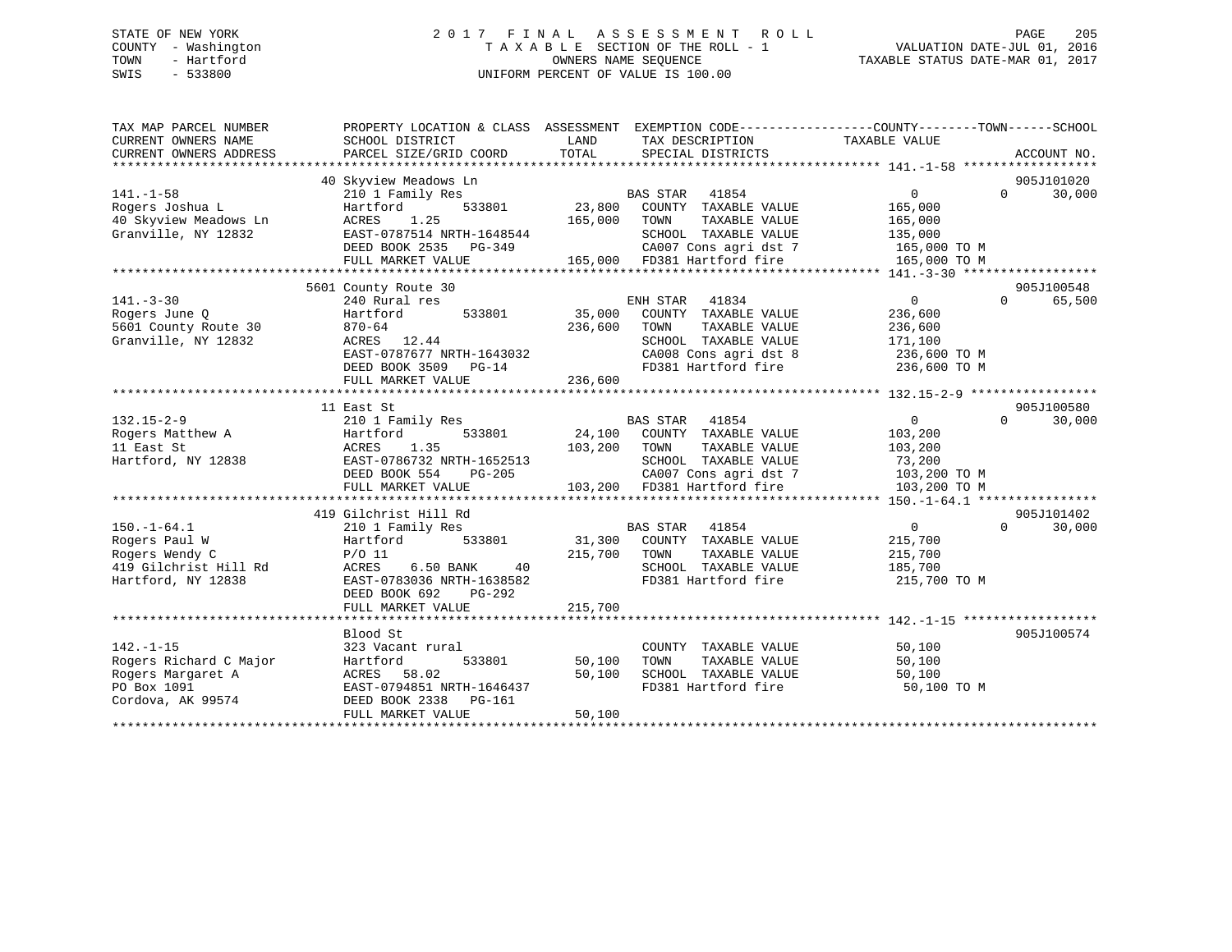# STATE OF NEW YORK 2 0 1 7 F I N A L A S S E S S M E N T R O L L PAGE 205 COUNTY - Washington T A X A B L E SECTION OF THE ROLL - 1 VALUATION DATE-JUL 01, 2016 TOWN - Hartford **TAXABLE STATUS DATE-MAR 01, 2017** SWIS - 533800 UNIFORM PERCENT OF VALUE IS 100.00

| TAX MAP PARCEL NUMBER<br>CURRENT OWNERS NAME<br>CURRENT OWNERS ADDRESS | PROPERTY LOCATION & CLASS ASSESSMENT EXEMPTION CODE---------------COUNTY-------TOWN------SCHOOL<br>SCHOOL DISTRICT<br>PARCEL SIZE/GRID COORD | LAND<br>TOTAL | TAX DESCRIPTION TAXABLE VALUE<br>SPECIAL DISTRICTS                    |                | ACCOUNT NO.        |
|------------------------------------------------------------------------|----------------------------------------------------------------------------------------------------------------------------------------------|---------------|-----------------------------------------------------------------------|----------------|--------------------|
|                                                                        |                                                                                                                                              |               |                                                                       |                |                    |
|                                                                        | 40 Skyview Meadows Ln                                                                                                                        |               |                                                                       |                | 905J101020         |
| $141. - 1 - 58$                                                        | 210 1 Family Res                                                                                                                             |               | BAS STAR 41854                                                        | $\overline{0}$ | 30,000<br>$\Omega$ |
| Rogers Joshua L                                                        | 533801<br>Hartford                                                                                                                           |               | 23,800 COUNTY TAXABLE VALUE                                           | 165,000        |                    |
| 40 Skyview Meadows Ln                                                  | ACRES<br>1.25                                                                                                                                | 165,000       | TAXABLE VALUE<br>TOWN                                                 | 165,000        |                    |
| Granville, NY 12832                                                    | EAST-0787514 NRTH-1648544                                                                                                                    |               | SCHOOL TAXABLE VALUE                                                  | 135,000        |                    |
|                                                                        | DEED BOOK 2535 PG-349                                                                                                                        |               | CA007 Cons agri dst 7<br>165,000 FD381 Hartford fire                  | 165,000 TO M   |                    |
|                                                                        | FULL MARKET VALUE                                                                                                                            |               |                                                                       | 165,000 TO M   |                    |
|                                                                        |                                                                                                                                              |               |                                                                       |                |                    |
|                                                                        | 5601 County Route 30                                                                                                                         |               |                                                                       |                | 905J100548         |
| $141. - 3 - 30$                                                        | 240 Rural res                                                                                                                                |               | ENH STAR<br>41834                                                     | $\overline{0}$ | 65,500<br>$\Omega$ |
| Rogers June 0                                                          | 533801<br>Hartford                                                                                                                           | 35,000        | COUNTY TAXABLE VALUE                                                  | 236,600        |                    |
| 5601 County Route 30                                                   | 870-64<br>$\begin{array}{lll}\n\text{O} & \text{O} & \text{O} & \text{O} \\ \text{ACRES} & & 12.44\n\end{array}$                             | 236,600       | TAXABLE VALUE<br>TOWN                                                 | 236,600        |                    |
| Granville, NY 12832                                                    |                                                                                                                                              |               | SCHOOL TAXABLE VALUE                                                  | 171,100        |                    |
|                                                                        | EAST-0787677 NRTH-1643032                                                                                                                    |               | CA008 Cons agri dst 8<br>CA008 Cons agri dst 8<br>FD381 Hartford fire | 236,600 TO M   |                    |
|                                                                        | DEED BOOK 3509 PG-14                                                                                                                         |               |                                                                       | 236,600 TO M   |                    |
|                                                                        | FULL MARKET VALUE                                                                                                                            | 236,600       |                                                                       |                |                    |
|                                                                        |                                                                                                                                              |               |                                                                       |                |                    |
|                                                                        | 11 East St                                                                                                                                   |               |                                                                       |                | 905J100580         |
| $132.15 - 2 - 9$                                                       | 210 1 Family Res                                                                                                                             |               | BAS STAR 41854                                                        | 0              | $\Omega$<br>30,000 |
| Rogers Matthew A                                                       | Hartford<br>533801                                                                                                                           |               | 24,100 COUNTY TAXABLE VALUE                                           | 103,200        |                    |
| 11 East St                                                             | 1.35<br>ACRES                                                                                                                                | 103,200 TOWN  | TAXABLE VALUE                                                         | 103,200        |                    |
| Hartford, NY 12838                                                     | EAST-0786732 NRTH-1652513                                                                                                                    |               | SCHOOL TAXABLE VALUE                                                  | 73,200         |                    |
|                                                                        | DEED BOOK 554 PG-205                                                                                                                         |               | CA007 Cons agri dst 7                                                 | 103,200 TO M   |                    |
|                                                                        | FULL MARKET VALUE                                                                                                                            |               | 103,200 FD381 Hartford fire                                           | 103,200 TO M   |                    |
|                                                                        |                                                                                                                                              |               |                                                                       |                |                    |
|                                                                        | 419 Gilchrist Hill Rd                                                                                                                        |               |                                                                       |                | 905J101402         |
| $150.-1-64.1$                                                          | 210 1 Family Res                                                                                                                             |               | <b>BAS STAR</b><br>41854                                              | $\overline{0}$ | $\Omega$<br>30,000 |
| Rogers Paul W                                                          | 533801<br>Hartford                                                                                                                           |               | 31,300 COUNTY TAXABLE VALUE                                           | 215,700        |                    |
| Rogers Wendy C                                                         | $P/O$ 11                                                                                                                                     | 215,700 TOWN  | TAXABLE VALUE                                                         | 215,700        |                    |
| 419 Gilchrist Hill Rd                                                  | ACRES<br>6.50 BANK<br>40                                                                                                                     |               | SCHOOL TAXABLE VALUE<br>FD381 Hartford fire                           | 185,700        |                    |
| Hartford, NY 12838                                                     | EAST-0783036 NRTH-1638582<br>DEED BOOK 692<br>PG-292                                                                                         |               |                                                                       | 215,700 TO M   |                    |
|                                                                        | FULL MARKET VALUE                                                                                                                            | 215,700       |                                                                       |                |                    |
|                                                                        |                                                                                                                                              |               |                                                                       |                |                    |
|                                                                        | Blood St                                                                                                                                     |               |                                                                       |                | 905J100574         |
| $142. - 1 - 15$                                                        | 323 Vacant rural                                                                                                                             |               | COUNTY TAXABLE VALUE                                                  | 50,100         |                    |
| Rogers Richard C Major                                                 | 533801<br>Hartford                                                                                                                           | 50,100        | TAXABLE VALUE<br>TOWN                                                 | 50,100         |                    |
| Rogers Margaret A                                                      | ACRES 58.02                                                                                                                                  | 50,100        | SCHOOL TAXABLE VALUE                                                  | 50,100         |                    |
| PO Box 1091                                                            | EAST-0794851 NRTH-1646437                                                                                                                    |               | FD381 Hartford fire                                                   | 50,100 TO M    |                    |
| Cordova, AK 99574                                                      | DEED BOOK 2338 PG-161                                                                                                                        |               |                                                                       |                |                    |
|                                                                        | FULL MARKET VALUE                                                                                                                            | 50,100        |                                                                       |                |                    |
|                                                                        |                                                                                                                                              |               |                                                                       |                |                    |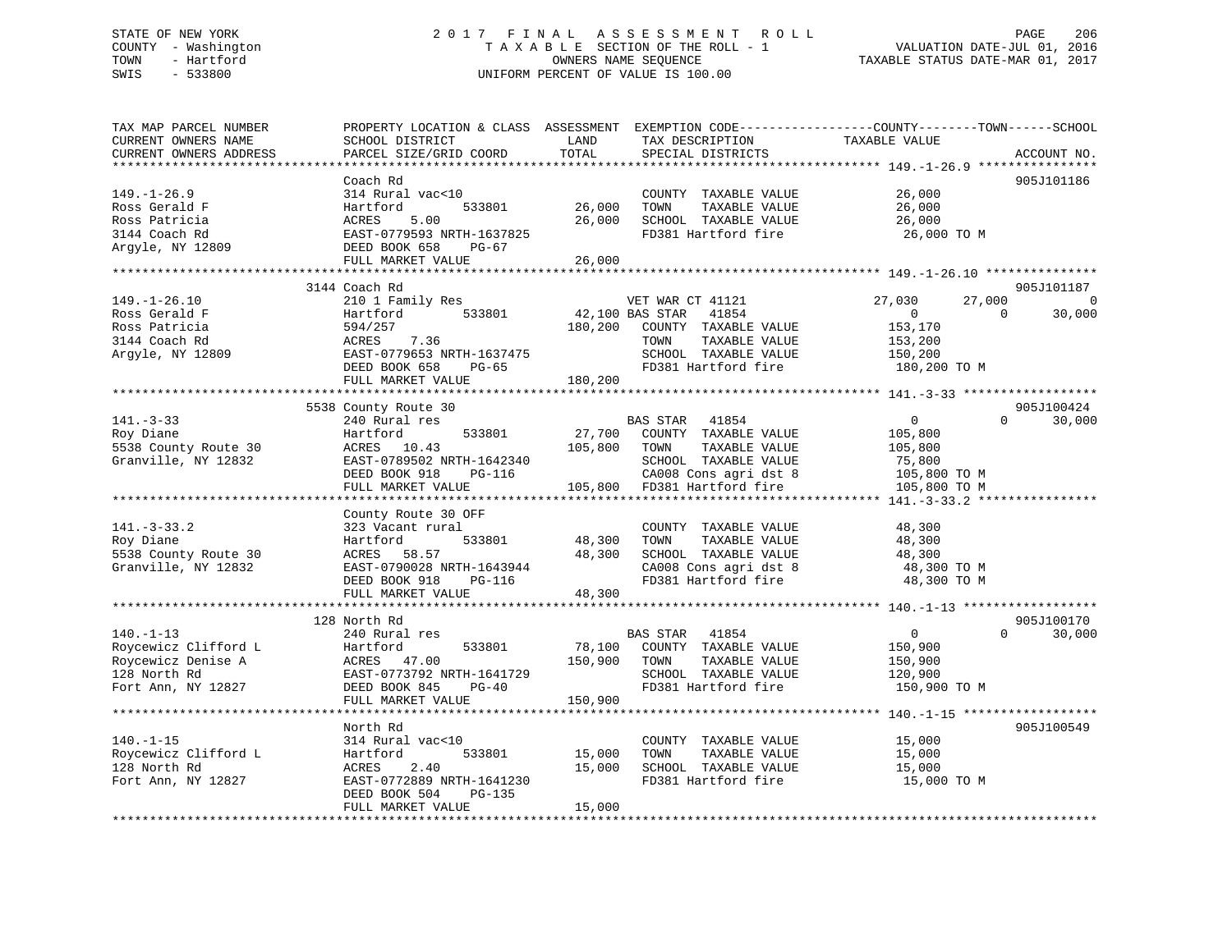# STATE OF NEW YORK 2 0 1 7 F I N A L A S S E S S M E N T R O L L PAGE 206 COUNTY - Washington T A X A B L E SECTION OF THE ROLL - 1 VALUATION DATE-JUL 01, 2016 TOWN - Hartford **TAXABLE STATUS DATE-MAR 01, 2017** SWIS - 533800 UNIFORM PERCENT OF VALUE IS 100.00

| TAX MAP PARCEL NUMBER  | PROPERTY LOCATION & CLASS ASSESSMENT                 |         | EXEMPTION CODE-----------------COUNTY-------TOWN------SCHOOL |                        |                        |
|------------------------|------------------------------------------------------|---------|--------------------------------------------------------------|------------------------|------------------------|
| CURRENT OWNERS NAME    | SCHOOL DISTRICT                                      | LAND    | TAX DESCRIPTION                                              | TAXABLE VALUE          |                        |
| CURRENT OWNERS ADDRESS | PARCEL SIZE/GRID COORD                               | TOTAL   | SPECIAL DISTRICTS                                            |                        | ACCOUNT NO.            |
|                        |                                                      |         |                                                              |                        |                        |
|                        | Coach Rd                                             |         |                                                              |                        | 905J101186             |
| $149. - 1 - 26.9$      | 314 Rural vac<10                                     |         | COUNTY TAXABLE VALUE                                         | 26,000                 |                        |
| Ross Gerald F          | 533801<br>Hartford                                   | 26,000  | TOWN<br>TAXABLE VALUE                                        | 26,000                 |                        |
| Ross Patricia          | 5.00<br>ACRES                                        | 26,000  | SCHOOL TAXABLE VALUE                                         | 26,000                 |                        |
| 3144 Coach Rd          | EAST-0779593 NRTH-1637825                            |         | FD381 Hartford fire                                          | 26,000 TO M            |                        |
| Argyle, NY 12809       | DEED BOOK 658<br>PG-67                               |         |                                                              |                        |                        |
|                        | FULL MARKET VALUE                                    | 26,000  |                                                              |                        |                        |
|                        |                                                      |         |                                                              |                        |                        |
|                        | 3144 Coach Rd                                        |         |                                                              |                        | 905J101187             |
| $149. - 1 - 26.10$     | 210 1 Family Res                                     |         | VET WAR CT 41121                                             | 27,030<br>27,000       | $\overline{0}$         |
| Ross Gerald F          | 533801<br>Hartford                                   |         | 42,100 BAS STAR<br>41854                                     | $\Omega$               | $\Omega$<br>30,000     |
| Ross Patricia          | 594/257                                              | 180,200 | COUNTY TAXABLE VALUE                                         | 153,170                |                        |
| 3144 Coach Rd          | 7.36<br>ACRES                                        |         | TAXABLE VALUE<br>TOWN                                        | 153,200                |                        |
| Argyle, NY 12809       | EAST-0779653 NRTH-1637475                            |         | SCHOOL TAXABLE VALUE                                         | 150,200                |                        |
|                        | DEED BOOK 658<br>PG-65                               |         | FD381 Hartford fire                                          | 180,200 TO M           |                        |
|                        | FULL MARKET VALUE                                    | 180,200 |                                                              |                        |                        |
|                        |                                                      |         |                                                              |                        |                        |
|                        | 5538 County Route 30                                 |         |                                                              |                        | 905J100424<br>$\Omega$ |
| $141. - 3 - 33$        | 240 Rural res                                        |         | BAS STAR 41854                                               | $\mathsf{O}$           | 30,000                 |
| Roy Diane              | 533801<br>Hartford                                   | 27,700  | COUNTY TAXABLE VALUE                                         | 105,800                |                        |
| 5538 County Route 30   | ACRES<br>10.43                                       | 105,800 | TOWN<br>TAXABLE VALUE                                        | 105,800                |                        |
| Granville, NY 12832    | EAST-0789502 NRTH-1642340<br>DEED BOOK 918<br>PG-116 |         | SCHOOL TAXABLE VALUE                                         | 75,800<br>105,800 TO M |                        |
|                        |                                                      |         | CA008 Cons agri dst 8                                        |                        |                        |
|                        | FULL MARKET VALUE                                    |         | 105,800 FD381 Hartford fire                                  | 105,800 TO M           |                        |
|                        | County Route 30 OFF                                  |         |                                                              |                        |                        |
| $141. - 3 - 33.2$      | 323 Vacant rural                                     |         | COUNTY TAXABLE VALUE                                         | 48,300                 |                        |
| Roy Diane              | 533801<br>Hartford                                   | 48,300  | TAXABLE VALUE<br>TOWN                                        | 48,300                 |                        |
| 5538 County Route 30   | ACRES 58.57                                          | 48,300  | SCHOOL TAXABLE VALUE                                         | 48,300                 |                        |
| Granville, NY 12832    | EAST-0790028 NRTH-1643944                            |         | CA008 Cons agri dst 8                                        | 48,300 TO M            |                        |
|                        | DEED BOOK 918<br>PG-116                              |         | FD381 Hartford fire                                          | 48,300 TO M            |                        |
|                        | FULL MARKET VALUE                                    | 48,300  |                                                              |                        |                        |
|                        |                                                      |         |                                                              |                        |                        |
|                        | 128 North Rd                                         |         |                                                              |                        | 905J100170             |
| $140. - 1 - 13$        | 240 Rural res                                        |         | BAS STAR 41854                                               | $\overline{0}$         | $\Omega$<br>30,000     |
| Roycewicz Clifford L   | Hartford<br>533801                                   | 78,100  | COUNTY TAXABLE VALUE                                         | 150,900                |                        |
| Roycewicz Denise A     | ACRES 47.00                                          | 150,900 | TAXABLE VALUE<br>TOWN                                        | 150,900                |                        |
| 128 North Rd           | EAST-0773792 NRTH-1641729                            |         | SCHOOL TAXABLE VALUE                                         | 120,900                |                        |
| Fort Ann, NY 12827     | DEED BOOK 845<br>$PG-40$                             |         | FD381 Hartford fire                                          | 150,900 TO M           |                        |
|                        | FULL MARKET VALUE                                    | 150,900 |                                                              |                        |                        |
|                        |                                                      |         |                                                              |                        |                        |
|                        | North Rd                                             |         |                                                              |                        | 905J100549             |
| $140. - 1 - 15$        | 314 Rural vac<10                                     |         | COUNTY TAXABLE VALUE                                         | 15,000                 |                        |
| Roycewicz Clifford L   | Hartford<br>533801                                   | 15,000  | TAXABLE VALUE<br>TOWN                                        | 15,000                 |                        |
| 128 North Rd           | 2.40<br>ACRES                                        | 15,000  | SCHOOL TAXABLE VALUE                                         | 15,000                 |                        |
| Fort Ann, NY 12827     | EAST-0772889 NRTH-1641230                            |         | FD381 Hartford fire                                          | 15,000 TO M            |                        |
|                        | DEED BOOK 504<br>PG-135                              |         |                                                              |                        |                        |
|                        | FULL MARKET VALUE                                    | 15,000  |                                                              |                        |                        |
|                        |                                                      |         |                                                              |                        |                        |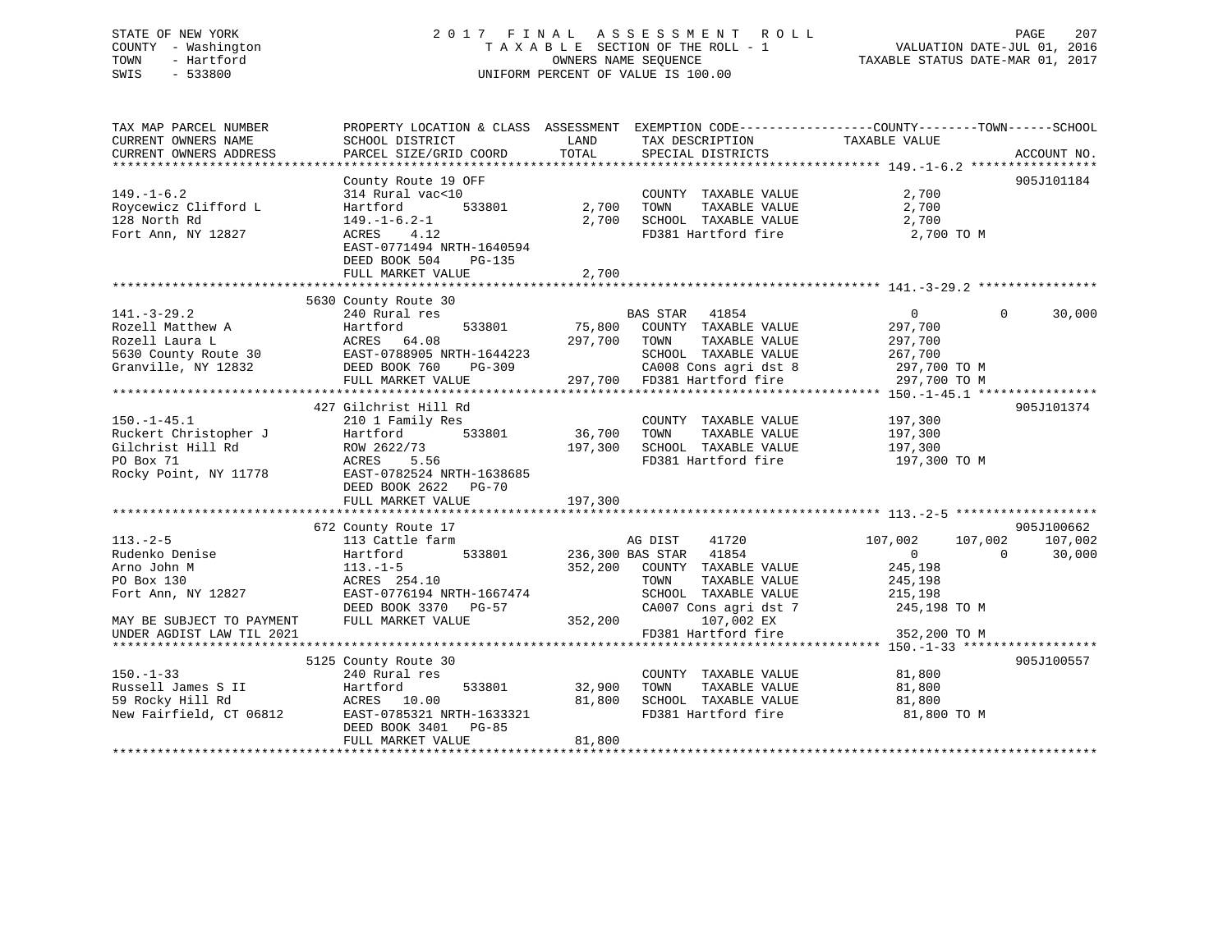# STATE OF NEW YORK 2 0 1 7 F I N A L A S S E S S M E N T R O L L PAGE 207 COUNTY - Washington T A X A B L E SECTION OF THE ROLL - 1 VALUATION DATE-JUL 01, 2016 TOWN - Hartford **TAXABLE STATUS DATE-MAR 01, 2017** SWIS - 533800 UNIFORM PERCENT OF VALUE IS 100.00

| TAX MAP PARCEL NUMBER<br>CURRENT OWNERS NAME<br>CURRENT OWNERS ADDRESS                                                                        | SCHOOL DISTRICT<br>PARCEL SIZE/GRID COORD                                                                                                                                    | LAND<br>TAX DESCRIPTION<br>TOTAL<br>SPECIAL DISTRICTS                                                                                                                                                       | PROPERTY LOCATION & CLASS ASSESSMENT EXEMPTION CODE---------------COUNTY-------TOWN-----SCHOOL<br>TAXABLE VALUE<br>ACCOUNT NO.                       |
|-----------------------------------------------------------------------------------------------------------------------------------------------|------------------------------------------------------------------------------------------------------------------------------------------------------------------------------|-------------------------------------------------------------------------------------------------------------------------------------------------------------------------------------------------------------|------------------------------------------------------------------------------------------------------------------------------------------------------|
| $149. - 1 - 6.2$<br>Roycewicz Clifford L<br>128 North Rd<br>Fort Ann, NY 12827                                                                | County Route 19 OFF<br>314 Rural vac<10<br>Hartford<br>$149. - 1 - 6.2 - 1$<br>4.12<br>ACRES<br>EAST-0771494 NRTH-1640594<br>DEED BOOK 504<br>PG-135<br>FULL MARKET VALUE    | COUNTY TAXABLE VALUE<br>533801 2,700<br>TOWN<br>TAXABLE VALUE<br>2,700 SCHOOL TAXABLE VALUE 2,700<br>FD381 Hartford fire 2,700 TO M<br>2,700                                                                | 905J101184<br>2,700<br>2,700                                                                                                                         |
| $141. - 3 - 29.2$<br>Rozell Matthew A<br>Rozell Laura L<br>Granville, NY 12832                                                                | 5630 County Route 30<br>240 Rural res<br>533801<br>Hartford<br>ACRES 64.08<br>5630 County Route 30 EAST-0788905 NRTH-1644223<br>DEED BOOK 760<br>PG-309<br>FULL MARKET VALUE | BAS STAR 41854<br>75,800 COUNTY TAXABLE VALUE<br>297,700 TOWN<br>TAXABLE VALUE<br>SCHOOL TAXABLE VALUE<br>CA008 Cons agri dst 8 297,700 TO M<br>297,700 FD381 Hartford fire 297,700 TO M                    | $\overline{0}$<br>$\Omega$<br>30,000<br>297,700<br>297,700<br>267,700                                                                                |
| $150. - 1 - 45.1$<br>Ruckert Christopher J<br>Gilchrist Hill Rd<br>PO Box 71<br>Rocky Point, NY 11778                                         | 427 Gilchrist Hill Rd<br>210 1 Family Res<br>Hartford<br>533801<br>ROW 2622/73<br>ACRES<br>5.56<br>EAST-0782524 NRTH-1638685<br>DEED BOOK 2622 PG-70                         | COUNTY TAXABLE VALUE<br>36,700<br>TAXABLE VALUE<br>TOWN<br>197,300<br>SCHOOL TAXABLE VALUE<br>FD381 Hartford fire                                                                                           | 905J101374<br>197,300<br>197,300<br>197,300<br>197,300 TO M                                                                                          |
| $113. - 2 - 5$<br>Rudenko Denise<br>Arno John M<br>PO Box 130<br>Fort Ann, NY 12827<br>MAY BE SUBJECT TO PAYMENT<br>UNDER AGDIST LAW TIL 2021 | 672 County Route 17<br>113 Cattle farm<br>Hartford<br>$113. - 1 - 5$<br>ACRES 254.10<br>EAST-0776194 NRTH-1667474<br>DEED BOOK 3370 PG-57<br>FULL MARKET VALUE               | 41720<br>AG DIST<br>533801 236,300 BAS STAR 41854<br>352,200 COUNTY TAXABLE VALUE<br>TOWN<br>TAXABLE VALUE<br>SCHOOL TAXABLE VALUE<br>CA007 Cons agri dst 7<br>352,200<br>107,002 EX<br>FD381 Hartford fire | 905J100662<br>107,002<br>107,002<br>107,002<br>$\Omega$<br>30,000<br>$\overline{0}$<br>245,198<br>245,198<br>215,198<br>245,198 TO M<br>352,200 TO M |
| $150. - 1 - 33$<br>Russell James S II<br>59 Rocky Hill Rd<br>New Fairfield, CT 06812                                                          | 5125 County Route 30<br>240 Rural res<br>Hartford<br>ACRES 10.00<br>EAST-0785321 NRTH-1633321<br>DEED BOOK 3401<br>PG-85<br>FULL MARKET VALUE                                | COUNTY TAXABLE VALUE<br>533801 32,900<br>TOWN<br>TAXABLE VALUE<br>SCHOOL TAXABLE VALUE<br>81,800<br>FD381 Hartford fire<br>81,800                                                                           | 905J100557<br>81,800<br>81,800<br>81,800<br>81,800 TO M                                                                                              |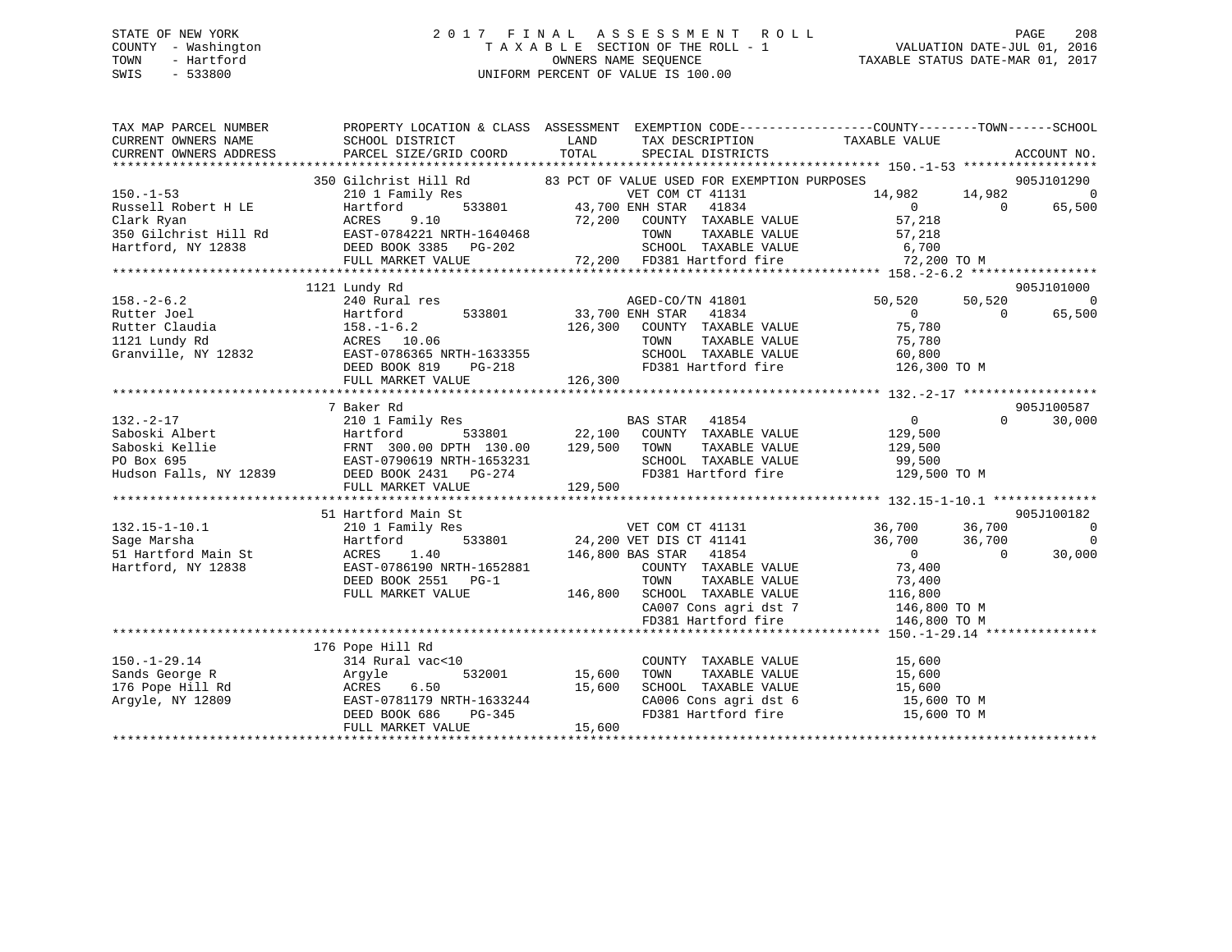# STATE OF NEW YORK 2 0 1 7 F I N A L A S S E S S M E N T R O L L PAGE 208 COUNTY - Washington T A X A B L E SECTION OF THE ROLL - 1 VALUATION DATE-JUL 01, 2016 TOWN - Hartford OWNERS NAME SEQUENCE TAXABLE STATUS DATE-MAR 01, 2017 SWIS - 533800 UNIFORM PERCENT OF VALUE IS 100.00

| TAX MAP PARCEL NUMBER                                                     |                                                                                                                                                                               |                                                                                                                                                    | PROPERTY LOCATION & CLASS ASSESSMENT EXEMPTION CODE----------------COUNTY-------TOWN------SCHOOL                                                                                                                                     |
|---------------------------------------------------------------------------|-------------------------------------------------------------------------------------------------------------------------------------------------------------------------------|----------------------------------------------------------------------------------------------------------------------------------------------------|--------------------------------------------------------------------------------------------------------------------------------------------------------------------------------------------------------------------------------------|
| CURRENT OWNERS NAME                                                       | SCHOOL DISTRICT                                                                                                                                                               | TAX DESCRIPTION TAXABLE VALUE<br>LAND                                                                                                              |                                                                                                                                                                                                                                      |
| CURRENT OWNERS ADDRESS                                                    | PARCEL SIZE/GRID COORD                                                                                                                                                        | TOTAL<br>SPECIAL DISTRICTS                                                                                                                         | ACCOUNT NO.                                                                                                                                                                                                                          |
|                                                                           |                                                                                                                                                                               |                                                                                                                                                    |                                                                                                                                                                                                                                      |
|                                                                           |                                                                                                                                                                               | 350 Gilchrist Hill Rd 83 PCT OF VALUE USED FOR EXEMPTION PURPOSES                                                                                  | $55$<br>3ES<br>314,982<br>314,982<br>314,982<br>3051101220<br>55,500                                                                                                                                                                 |
| $150. - 1 - 53$                                                           | $\begin{tabular}{lllllllll} \bf 210 & 1 & Family\;\; Res & & VET\;\;COM & \\ \bf Hartford & \tt 533801 & \tt 43,700\;\; ENH\;\; STR \\ \end{tabular}$                         | VET COM CT 41131                                                                                                                                   |                                                                                                                                                                                                                                      |
|                                                                           |                                                                                                                                                                               |                                                                                                                                                    |                                                                                                                                                                                                                                      |
|                                                                           |                                                                                                                                                                               |                                                                                                                                                    |                                                                                                                                                                                                                                      |
|                                                                           |                                                                                                                                                                               |                                                                                                                                                    |                                                                                                                                                                                                                                      |
|                                                                           |                                                                                                                                                                               |                                                                                                                                                    |                                                                                                                                                                                                                                      |
|                                                                           |                                                                                                                                                                               |                                                                                                                                                    |                                                                                                                                                                                                                                      |
|                                                                           |                                                                                                                                                                               |                                                                                                                                                    | 150.-1-53<br>Russell Robert H LE Hartford 533801 AGRES 9.10 72,200 COUNTY TAXABLE VALUE<br>TO SO GILChrist Hill Rd EAST-0784221 NRTH-1640468 72,200 COUNTY TAXABLE VALUE 57,218<br>Hartford, NY 12838 DEED BOOK 3385 PG-202 72,200 F |
|                                                                           | 1121 Lundy Rd                                                                                                                                                                 |                                                                                                                                                    | 905J101000                                                                                                                                                                                                                           |
|                                                                           |                                                                                                                                                                               | AGED-CO/TN 41801                                                                                                                                   | $\sim$ 0<br>50,520<br>50,520                                                                                                                                                                                                         |
|                                                                           |                                                                                                                                                                               | 533801 33,700 ENH STAR 41834                                                                                                                       | 0<br>75,780<br>$\bigcirc$<br>65,500                                                                                                                                                                                                  |
|                                                                           |                                                                                                                                                                               | 126,300 COUNTY TAXABLE VALUE                                                                                                                       |                                                                                                                                                                                                                                      |
|                                                                           |                                                                                                                                                                               | TOWN                                                                                                                                               | TAXABLE VALUE 75,780                                                                                                                                                                                                                 |
|                                                                           |                                                                                                                                                                               |                                                                                                                                                    |                                                                                                                                                                                                                                      |
|                                                                           |                                                                                                                                                                               |                                                                                                                                                    |                                                                                                                                                                                                                                      |
|                                                                           | 158.-2-6.2<br>Rutter Joel Hartford 533801<br>Rutter Claudia 158.-1-6.2<br>121 Lundy Rd ACRES 10.06<br>Granville, NY 12832<br>DEED BOOK 819 PG-218<br>THE MAPKET VALUE 126,300 |                                                                                                                                                    |                                                                                                                                                                                                                                      |
|                                                                           |                                                                                                                                                                               |                                                                                                                                                    |                                                                                                                                                                                                                                      |
|                                                                           | 7 Baker Rd                                                                                                                                                                    |                                                                                                                                                    | 905J100587                                                                                                                                                                                                                           |
|                                                                           |                                                                                                                                                                               | $210$ 1 Family Res<br>Hartford 533801 22,100 COUNTY TAXABLE VALUE 129,500                                                                          | $\Omega$<br>30,000                                                                                                                                                                                                                   |
|                                                                           |                                                                                                                                                                               |                                                                                                                                                    |                                                                                                                                                                                                                                      |
|                                                                           |                                                                                                                                                                               |                                                                                                                                                    |                                                                                                                                                                                                                                      |
|                                                                           |                                                                                                                                                                               |                                                                                                                                                    |                                                                                                                                                                                                                                      |
|                                                                           |                                                                                                                                                                               |                                                                                                                                                    |                                                                                                                                                                                                                                      |
|                                                                           | FULL MARKET VALUE                                                                                                                                                             | 129,500                                                                                                                                            |                                                                                                                                                                                                                                      |
|                                                                           |                                                                                                                                                                               |                                                                                                                                                    |                                                                                                                                                                                                                                      |
|                                                                           | 51 Hartford Main St                                                                                                                                                           | %<br>33801<br>24,200 VET DIS CT 41131<br>146,800 BAS STAR 41854<br>COUNTY TAXABLE VALUE                                                            | 905J100182                                                                                                                                                                                                                           |
| $132.15 - 1 - 10.1$                                                       | 210 1 Family Res                                                                                                                                                              |                                                                                                                                                    | 36,700              36,700<br>36,700                36,700<br>$\overline{\phantom{0}}$                                                                                                                                               |
|                                                                           | Hartford                                                                                                                                                                      |                                                                                                                                                    | $\overline{0}$                                                                                                                                                                                                                       |
| 132.15-1-10.1<br>Sage Marsha<br>51 Hartford Main St<br>Hartford, NY 12838 | ACRES<br>1.40                                                                                                                                                                 |                                                                                                                                                    | $\begin{array}{c} 0 \\ 73,400 \end{array}$<br>30,000<br>$\sim$ 0                                                                                                                                                                     |
|                                                                           | EAST-0786190 NRTH-1652881                                                                                                                                                     |                                                                                                                                                    |                                                                                                                                                                                                                                      |
|                                                                           | DEED BOOK 2551 PG-1                                                                                                                                                           | TOWN                                                                                                                                               | TAXABLE VALUE 73,400                                                                                                                                                                                                                 |
|                                                                           | FULL MARKET VALUE                                                                                                                                                             |                                                                                                                                                    |                                                                                                                                                                                                                                      |
|                                                                           |                                                                                                                                                                               |                                                                                                                                                    |                                                                                                                                                                                                                                      |
|                                                                           |                                                                                                                                                                               | 146,800 SCHOOL TAXABLE VALUE 116,800<br>CA007 Cons agri dst 7 146,800 TO M<br>FD381 Hartford fire 146,800 TO M<br>FD381 Hartford fire 146,800 TO M |                                                                                                                                                                                                                                      |
|                                                                           |                                                                                                                                                                               |                                                                                                                                                    |                                                                                                                                                                                                                                      |
|                                                                           | 176 Pope Hill Rd                                                                                                                                                              |                                                                                                                                                    |                                                                                                                                                                                                                                      |
| $150. - 1 - 29.14$                                                        | 314 Rural vac<10                                                                                                                                                              |                                                                                                                                                    |                                                                                                                                                                                                                                      |
| Sands George R                                                            | 314 Rural<br>Argyle<br>d<br>ACRES<br>9<br>BAST-0700                                                                                                                           | COUNTY TAXABLE VALUE 15,600<br>TOWN TAXABLE VALUE 15,600<br>532001 15,600                                                                          |                                                                                                                                                                                                                                      |
| 176 Pope Hill Rd                                                          |                                                                                                                                                                               | SCHOOL TAXABLE VALUE 15,600                                                                                                                        |                                                                                                                                                                                                                                      |
| Arqyle, NY 12809                                                          |                                                                                                                                                                               |                                                                                                                                                    | 15,600 TO M                                                                                                                                                                                                                          |
|                                                                           |                                                                                                                                                                               | CA006 Cons agri dst 6<br>FD381 Hartford fire                                                                                                       | 15,600 TO M                                                                                                                                                                                                                          |
|                                                                           | 12,000<br>EAST-0781179 NRTH-1633244<br>DEED BOOK 686 PG-345<br>FULL MARKET VALUE                                                                                              |                                                                                                                                                    |                                                                                                                                                                                                                                      |
|                                                                           |                                                                                                                                                                               |                                                                                                                                                    |                                                                                                                                                                                                                                      |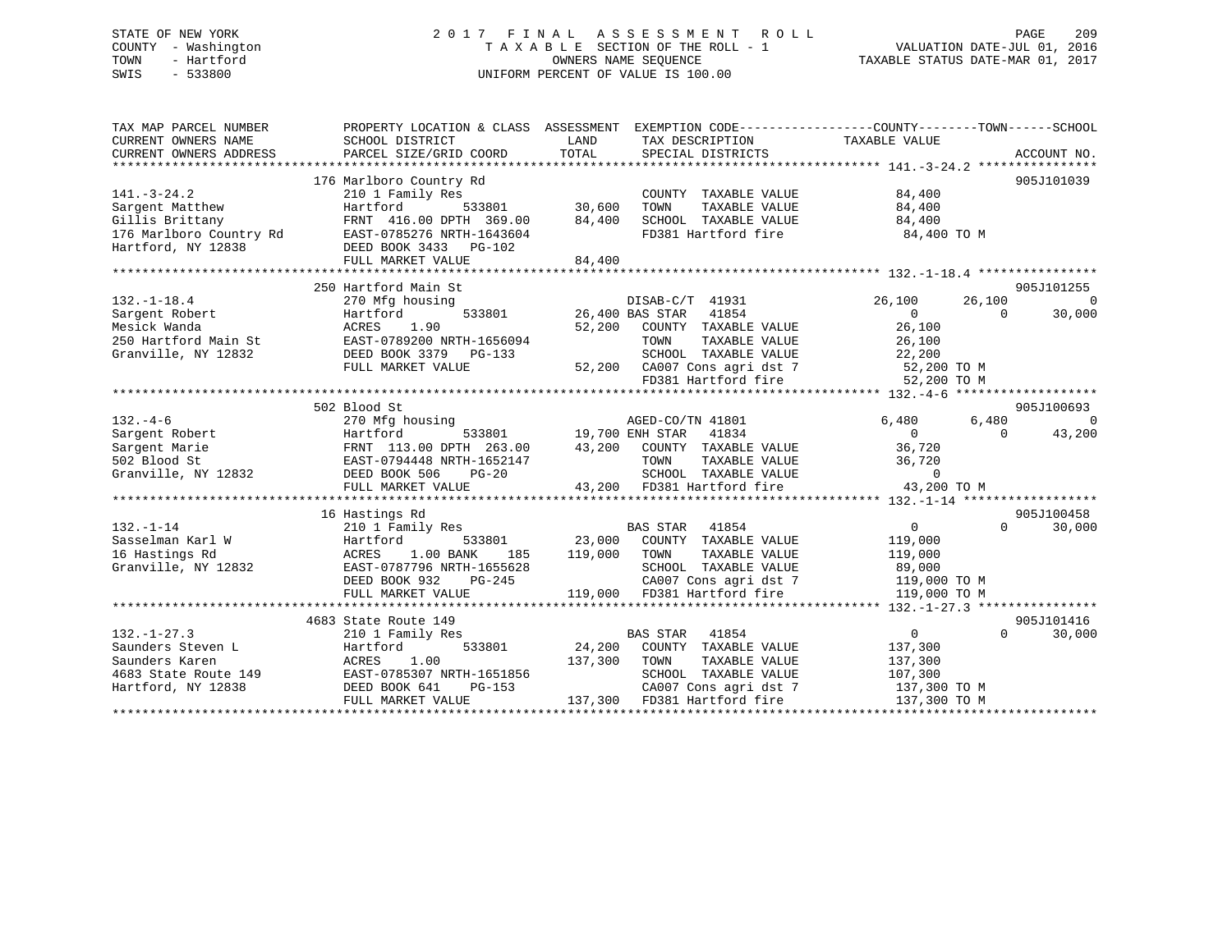# STATE OF NEW YORK 2 0 1 7 F I N A L A S S E S S M E N T R O L L PAGE 209 COUNTY - Washington T A X A B L E SECTION OF THE ROLL - 1 VALUATION DATE-JUL 01, 2016 TOWN - Hartford **TAXABLE STATUS DATE-MAR 01, 2017** SWIS - 533800 UNIFORM PERCENT OF VALUE IS 100.00

| TAX MAP PARCEL NUMBER<br>CURRENT OWNERS NAME<br>CURRENT OWNERS ADDRESS                                   | PROPERTY LOCATION & CLASS ASSESSMENT<br>SCHOOL DISTRICT<br>PARCEL SIZE/GRID COORD                                                                             | LAND<br>TAX DESCRIPTION<br>TOTAL<br>SPECIAL DISTRICTS                                                                                                                                                                                  | EXEMPTION CODE-----------------COUNTY-------TOWN------SCHOOL<br>TAXABLE VALUE<br>ACCOUNT NO.                        |
|----------------------------------------------------------------------------------------------------------|---------------------------------------------------------------------------------------------------------------------------------------------------------------|----------------------------------------------------------------------------------------------------------------------------------------------------------------------------------------------------------------------------------------|---------------------------------------------------------------------------------------------------------------------|
| $141. - 3 - 24.2$<br>Sargent Matthew<br>Gillis Brittany<br>176 Marlboro Country Rd<br>Hartford, NY 12838 | 176 Marlboro Country Rd<br>210 1 Family Res<br>Hartford<br>FRNT 416.00 DPTH 369.00<br>EAST-0785276 NRTH-1643604<br>DEED BOOK 3433 PG-102<br>FULL MARKET VALUE | COUNTY TAXABLE VALUE<br>533801 30,600<br>TOWN<br>TAXABLE VALUE<br>84,400<br>SCHOOL TAXABLE VALUE<br>FD381 Hartford fire<br>84,400                                                                                                      | 905J101039<br>84,400<br>84,400<br>84,400<br>84,400 TO M                                                             |
|                                                                                                          | 250 Hartford Main St                                                                                                                                          |                                                                                                                                                                                                                                        | 905J101255                                                                                                          |
| $132. - 1 - 18.4$<br>Sargent Robert<br>Mesick Wanda<br>250 Hartford Main St<br>Granville, NY 12832       | 270 Mfg housing<br>533801<br>Hartford<br>1.90<br>ACRES<br>EAST-0789200 NRTH-1656094<br>DEED BOOK 3379 PG-133<br>FULL MARKET VALUE                             | DISAB-C/T 41931<br>26,400 BAS STAR<br>41854<br>52,200<br>COUNTY TAXABLE VALUE<br>TOWN<br>TAXABLE VALUE<br>SCHOOL TAXABLE VALUE<br>52,200 CA007 Cons agri dst 7<br>CA007 Cons agri dst 7 52,200 TO M<br>FD381 Hartford fire 52,200 TO M | $\overline{0}$<br>26,100<br>26,100<br>$\Omega$<br>30,000<br>$\Omega$<br>26,100<br>26,100<br>22,200                  |
|                                                                                                          |                                                                                                                                                               |                                                                                                                                                                                                                                        |                                                                                                                     |
| $132. - 4 - 6$                                                                                           | 502 Blood St<br>270 Mfg housing                                                                                                                               | AGED-CO/TN 41801                                                                                                                                                                                                                       | 905J100693<br>$\overline{0}$<br>6,480<br>6,480                                                                      |
| Sargent Robert<br>Sargent Marie<br>502 Blood St<br>Granville, NY 12832                                   | Hartford<br>FRNT 113.00 DPTH 263.00<br>EAST-0794448 NRTH-1652147<br>DEED BOOK 506<br>$PG-20$<br>FULL MARKET VALUE                                             | 533801 19,700 ENH STAR<br>41834<br>43,200<br>COUNTY TAXABLE VALUE<br>TOWN<br>TAXABLE VALUE<br>SCHOOL TAXABLE VALUE<br>43,200 FD381 Hartford fire                                                                                       | $\overline{0}$<br>43,200<br>$\Omega$<br>36,720<br>36,720<br>$\overline{0}$<br>43,200 TO M                           |
|                                                                                                          | 16 Hastings Rd                                                                                                                                                |                                                                                                                                                                                                                                        | 905J100458                                                                                                          |
| $132. - 1 - 14$<br>Sasselman Karl W<br>16 Hastings Rd<br>Granville, NY 12832                             | 210 1 Family Res<br>Hartford<br>533801<br>1.00 BANK<br>ACRES<br>185<br>EAST-0787796 NRTH-1655628<br>DEED BOOK 932<br>PG-245<br>FULL MARKET VALUE              | BAS STAR<br>41854<br>23,000<br>COUNTY TAXABLE VALUE<br>119,000<br>TAXABLE VALUE<br>TOWN<br>SCHOOL TAXABLE VALUE<br>CA007 Cons agri dst 7<br>119,000<br>FD381 Hartford fire                                                             | 30,000<br>$0 \qquad \qquad$<br>$\Omega$<br>119,000<br>119,000<br>89,000<br>119,000 TO M<br>119,000 TO M             |
|                                                                                                          |                                                                                                                                                               |                                                                                                                                                                                                                                        |                                                                                                                     |
| $132. - 1 - 27.3$<br>Saunders Steven L<br>Saunders Karen<br>4683 State Route 149<br>Hartford, NY 12838   | 4683 State Route 149<br>210 1 Family Res<br>533801<br>Hartford<br>ACRES<br>1.00<br>EAST-0785307 NRTH-1651856<br>DEED BOOK 641<br>PG-153<br>FULL MARKET VALUE  | <b>BAS STAR</b><br>41854<br>24,200<br>COUNTY TAXABLE VALUE<br>137,300<br>TOWN<br>TAXABLE VALUE<br>SCHOOL<br>TAXABLE VALUE<br>CA007 Cons agri dst 7<br>137,300<br>FD381 Hartford fire                                                   | 905J101416<br>$\overline{0}$<br>$\Omega$<br>30,000<br>137,300<br>137,300<br>107,300<br>137,300 TO M<br>137,300 TO M |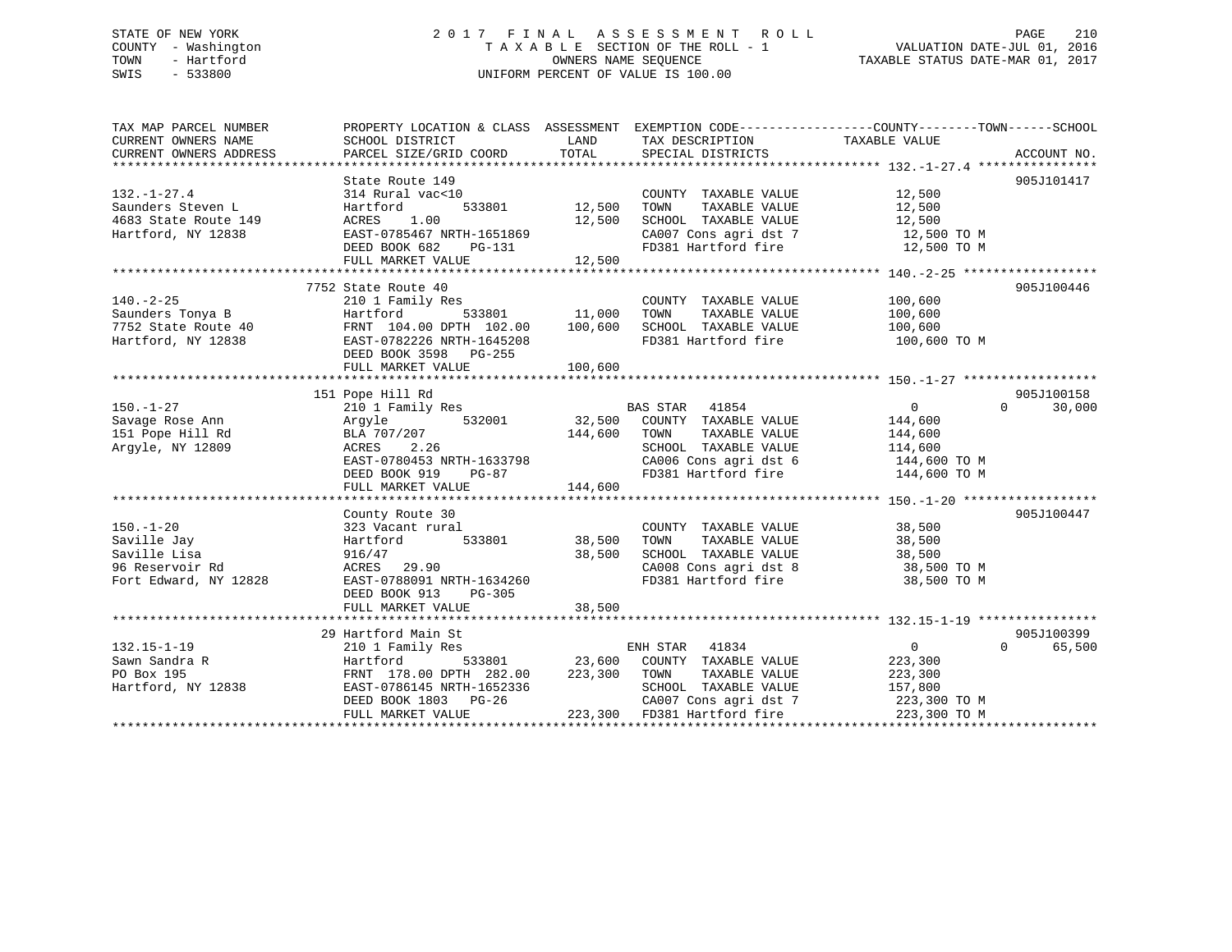# STATE OF NEW YORK 2 0 1 7 F I N A L A S S E S S M E N T R O L L PAGE 210 COUNTY - Washington T A X A B L E SECTION OF THE ROLL - 1 VALUATION DATE-JUL 01, 2016 TOWN - Hartford **TAXABLE STATUS DATE-MAR 01, 2017** SWIS - 533800 UNIFORM PERCENT OF VALUE IS 100.00

| TAX MAP PARCEL NUMBER<br>CURRENT OWNERS NAME<br>CURRENT OWNERS ADDRESS | PROPERTY LOCATION & CLASS ASSESSMENT EXEMPTION CODE---------------COUNTY-------TOWN-----SCHOOL<br>SCHOOL DISTRICT<br>PARCEL SIZE/GRID COORD | LAND<br>TOTAL | TAX DESCRIPTION TAXABLE VALUE<br>SPECIAL DISTRICTS |                   | ACCOUNT NO.        |
|------------------------------------------------------------------------|---------------------------------------------------------------------------------------------------------------------------------------------|---------------|----------------------------------------------------|-------------------|--------------------|
|                                                                        |                                                                                                                                             |               |                                                    |                   |                    |
|                                                                        | State Route 149                                                                                                                             |               |                                                    |                   | 905J101417         |
| $132. - 1 - 27.4$                                                      | 314 Rural vac<10                                                                                                                            |               | COUNTY TAXABLE VALUE                               | 12,500            |                    |
| Saunders Steven L                                                      | 533801<br>Hartford                                                                                                                          | 12,500        | TAXABLE VALUE<br>TOWN                              | 12,500            |                    |
| 4683 State Route 149                                                   | 1.00<br>ACRES                                                                                                                               | 12,500        | SCHOOL TAXABLE VALUE                               | 12,500            |                    |
| Hartford, NY 12838                                                     | EAST-0785467 NRTH-1651869                                                                                                                   |               | CA007 Cons agri dst 7                              | 12,500 TO M       |                    |
|                                                                        | DEED BOOK 682<br>PG-131                                                                                                                     |               | FD381 Hartford fire                                | 12,500 TO M       |                    |
|                                                                        | FULL MARKET VALUE                                                                                                                           | 12,500        |                                                    |                   |                    |
|                                                                        |                                                                                                                                             |               |                                                    |                   |                    |
|                                                                        | 7752 State Route 40                                                                                                                         |               |                                                    |                   | 905J100446         |
| $140. - 2 - 25$                                                        | 210 1 Family Res                                                                                                                            |               | COUNTY TAXABLE VALUE                               | 100,600           |                    |
| Saunders Tonya B                                                       | Hartford                                                                                                                                    | 533801 11,000 | TOWN<br>TAXABLE VALUE                              | 100,600           |                    |
| 7752 State Route 40                                                    | FRNT 104.00 DPTH 102.00                                                                                                                     | 100,600       | SCHOOL TAXABLE VALUE                               | 100,600           |                    |
| Hartford, NY 12838                                                     | EAST-0782226 NRTH-1645208                                                                                                                   |               | FD381 Hartford fire                                | 100,600 TO M      |                    |
|                                                                        | DEED BOOK 3598 PG-255                                                                                                                       |               |                                                    |                   |                    |
|                                                                        |                                                                                                                                             |               |                                                    |                   |                    |
|                                                                        |                                                                                                                                             |               |                                                    |                   |                    |
|                                                                        | 151 Pope Hill Rd                                                                                                                            |               |                                                    |                   | 905J100158         |
| $150. - 1 - 27$                                                        | 210 1 Family Res                                                                                                                            |               | BAS STAR 41854                                     | $\overline{0}$    | $\Omega$<br>30,000 |
| Savage Rose Ann                                                        | Argyle                                                                                                                                      | 532001 32,500 | COUNTY TAXABLE VALUE                               | 144,600           |                    |
| 151 Pope Hill Rd                                                       | BLA 707/207                                                                                                                                 | 144,600       | TAXABLE VALUE<br>TOWN                              | 144,600           |                    |
| Argyle, NY 12809                                                       | 2.26<br>ACRES                                                                                                                               |               | SCHOOL TAXABLE VALUE                               | 114,600           |                    |
|                                                                        | EAST-0780453 NRTH-1633798                                                                                                                   |               | CA006 Cons agri dst 6                              | 144,600 TO M      |                    |
|                                                                        | DEED BOOK 919<br>$PG-87$                                                                                                                    |               | FD381 Hartford fire                                | 144,600 TO M      |                    |
|                                                                        | FULL MARKET VALUE                                                                                                                           | 144,600       |                                                    |                   |                    |
|                                                                        |                                                                                                                                             |               |                                                    |                   |                    |
|                                                                        | County Route 30                                                                                                                             |               |                                                    |                   | 905J100447         |
| $150. - 1 - 20$                                                        | 323 Vacant rural                                                                                                                            |               | COUNTY TAXABLE VALUE                               | 38,500            |                    |
| Saville Jay                                                            | Hartford<br>533801                                                                                                                          | 38,500        | TAXABLE VALUE<br>TOWN                              | 38,500            |                    |
| Saville Lisa                                                           | 916/47                                                                                                                                      | 38,500        | SCHOOL TAXABLE VALUE                               | 38,500            |                    |
| 96 Reservoir Rd                                                        | ACRES 29.90                                                                                                                                 |               | CA008 Cons agri dst 8                              | 38,500 TO M       |                    |
| Fort Edward, NY 12828                                                  | EAST-0788091 NRTH-1634260                                                                                                                   |               | FD381 Hartford fire                                | 38,500 TO M       |                    |
|                                                                        | DEED BOOK 913<br>PG-305                                                                                                                     |               |                                                    |                   |                    |
|                                                                        | FULL MARKET VALUE                                                                                                                           | 38,500        |                                                    |                   |                    |
|                                                                        |                                                                                                                                             |               |                                                    |                   |                    |
|                                                                        | 29 Hartford Main St                                                                                                                         |               |                                                    |                   | 905J100399         |
| $132.15 - 1 - 19$                                                      | 210 1 Family Res                                                                                                                            |               | ENH STAR 41834                                     | $0 \qquad \qquad$ | 65,500<br>$\Omega$ |
| Sawn Sandra R                                                          | Hartford                                                                                                                                    |               | 533801 23,600 COUNTY TAXABLE VALUE                 | 223,300           |                    |
| PO Box 195                                                             | FRNT 178.00 DPTH 282.00                                                                                                                     | 223,300 TOWN  | TAXABLE VALUE                                      | 223,300           |                    |
| Hartford, NY 12838                                                     | EAST-0786145 NRTH-1652336                                                                                                                   |               | SCHOOL TAXABLE VALUE                               | 157,800           |                    |
|                                                                        | DEED BOOK 1803 PG-26                                                                                                                        |               | CA007 Cons agri dst 7                              | 223,300 TO M      |                    |
|                                                                        | FULL MARKET VALUE                                                                                                                           |               | 223,300 FD381 Hartford fire                        | 223,300 TO M      |                    |
|                                                                        |                                                                                                                                             |               |                                                    |                   |                    |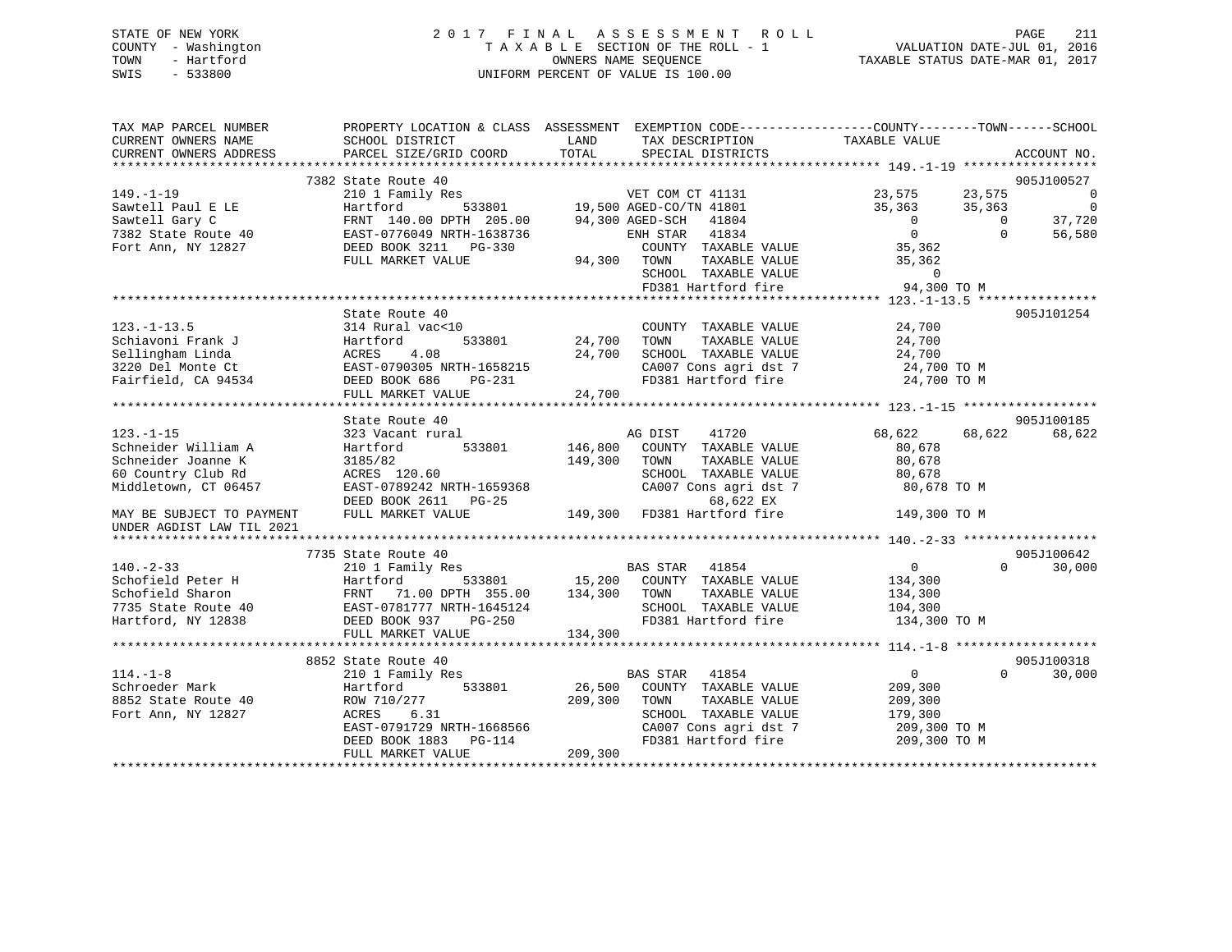# STATE OF NEW YORK 2 0 1 7 F I N A L A S S E S S M E N T R O L L PAGE 211 COUNTY - Washington T A X A B L E SECTION OF THE ROLL - 1 VALUATION DATE-JUL 01, 2016 TOWN - Hartford **TAXABLE STATUS DATE-MAR 01, 2017** SWIS - 533800 UNIFORM PERCENT OF VALUE IS 100.00

| TAX MAP PARCEL NUMBER                                                                                                                                                  | PROPERTY LOCATION & CLASS ASSESSMENT EXEMPTION CODE----------------COUNTY-------TOWN------SCHOOL              |               |                                     |                              |                             |
|------------------------------------------------------------------------------------------------------------------------------------------------------------------------|---------------------------------------------------------------------------------------------------------------|---------------|-------------------------------------|------------------------------|-----------------------------|
| CURRENT OWNERS NAME                                                                                                                                                    | SCHOOL DISTRICT                                                                                               | LAND          | TAX DESCRIPTION                     | TAXABLE VALUE                |                             |
| CURRENT OWNERS ADDRESS                                                                                                                                                 | PARCEL SIZE/GRID COORD                                                                                        | TOTAL         | SPECIAL DISTRICTS                   |                              | ACCOUNT NO.                 |
|                                                                                                                                                                        |                                                                                                               |               |                                     |                              |                             |
|                                                                                                                                                                        | 7382 State Route 40                                                                                           |               |                                     |                              | 905J100527                  |
|                                                                                                                                                                        |                                                                                                               |               | s<br>533801 19,500 AGED-CO/TN 41801 | $23,575$ $23,575$ 0          |                             |
|                                                                                                                                                                        |                                                                                                               |               |                                     | 35,363<br>35,363             | $\sim$ 0                    |
|                                                                                                                                                                        |                                                                                                               |               | 94,300 AGED-SCH 41804               | $\overline{0}$               | 37,720<br>$\overline{0}$    |
|                                                                                                                                                                        |                                                                                                               |               | ENH STAR 41834                      | $\overline{0}$               | $\Omega$<br>56,580          |
|                                                                                                                                                                        |                                                                                                               |               | COUNTY TAXABLE VALUE                | 35,362                       |                             |
|                                                                                                                                                                        |                                                                                                               | 94,300 TOWN   | TAXABLE VALUE                       | 35,362                       |                             |
|                                                                                                                                                                        |                                                                                                               |               | SCHOOL TAXABLE VALUE                | $\overline{0}$               |                             |
|                                                                                                                                                                        |                                                                                                               |               | FD381 Hartford fire                 | 94,300 TO M                  |                             |
|                                                                                                                                                                        |                                                                                                               |               |                                     |                              |                             |
|                                                                                                                                                                        | State Route 40                                                                                                |               |                                     |                              | 905J101254                  |
| $123. - 1 - 13.5$                                                                                                                                                      | 314 Rural vac<10                                                                                              |               | COUNTY TAXABLE VALUE                | 24,700                       |                             |
| Schiavoni Frank J<br>Sellingham Linda<br>3220 Del Monte Ct<br>Fairfield, CA 94534<br>DEED BOOK 686<br>TH-1658215<br>DEED BOOK 686<br>PG-231<br>DEED BOOK 686<br>PG-231 |                                                                                                               | 533801 24,700 | TAXABLE VALUE<br>TOWN               | 24,700                       |                             |
|                                                                                                                                                                        |                                                                                                               | 24,700        | SCHOOL TAXABLE VALUE                | 24,700                       |                             |
|                                                                                                                                                                        |                                                                                                               |               | CA007 Cons agri dst 7               | 24,700 TO M                  |                             |
|                                                                                                                                                                        |                                                                                                               |               | FD381 Hartford fire                 | 24,700 TO M                  |                             |
|                                                                                                                                                                        | FULL MARKET VALUE                                                                                             | 24,700        |                                     |                              |                             |
|                                                                                                                                                                        |                                                                                                               |               |                                     |                              |                             |
|                                                                                                                                                                        | State Route 40                                                                                                |               |                                     |                              | 905J100185                  |
| $123. - 1 - 15$                                                                                                                                                        | 323 Vacant rural                                                                                              |               | AG DIST<br>41720                    | 68,622                       | 68,622<br>68,622            |
| Schneider William A                                                                                                                                                    | Hartford<br>533801                                                                                            | 146,800       | COUNTY TAXABLE VALUE                | 80,678                       |                             |
| Schneider Joanne K                                                                                                                                                     | 3185/82<br>3185/82<br>ACRES 120.60                                                                            | 149,300       | TOWN<br>TAXABLE VALUE               | 80,678                       |                             |
| 60 Country Club Rd                                                                                                                                                     |                                                                                                               |               | SCHOOL TAXABLE VALUE                | 80,678                       |                             |
| Middletown, CT 06457                                                                                                                                                   | EAST-0789242 NRTH-1659368                                                                                     |               | CA007 Cons agri dst 7               | 80,678 TO M                  |                             |
|                                                                                                                                                                        |                                                                                                               |               |                                     |                              |                             |
| MAY BE SUBJECT TO PAYMENT                                                                                                                                              |                                                                                                               |               |                                     | 149,300 TO M                 |                             |
| UNDER AGDIST LAW TIL 2021                                                                                                                                              |                                                                                                               |               |                                     |                              |                             |
|                                                                                                                                                                        |                                                                                                               |               |                                     |                              |                             |
|                                                                                                                                                                        | 7735 State Route 40                                                                                           |               |                                     |                              | 905J100642                  |
| $140. - 2 - 33$                                                                                                                                                        | 210 1 Family Res                                                                                              |               | BAS STAR 41854                      | $\overline{0}$               | $0 \qquad \qquad$<br>30,000 |
| Schofield Peter H                                                                                                                                                      |                                                                                                               |               | 533801 15,200 COUNTY TAXABLE VALUE  | 134,300                      |                             |
| Schofield Sharon                                                                                                                                                       | Hartford 533801 15,200<br>FRNT 71.00 DPTH 355.00 134,300<br>EAST-0781777 NRTH-1645124<br>DEED BOOK 937 PG-250 |               | TOWN<br>TAXABLE VALUE               | 134,300                      |                             |
| 7735 State Route 40                                                                                                                                                    |                                                                                                               |               | SCHOOL TAXABLE VALUE                | 104,300                      |                             |
| Hartford, NY 12838                                                                                                                                                     |                                                                                                               |               | FD381 Hartford fire                 | 134,300 TO M                 |                             |
|                                                                                                                                                                        | FULL MARKET VALUE                                                                                             | 134,300       |                                     |                              |                             |
|                                                                                                                                                                        |                                                                                                               |               |                                     |                              | 905J100318                  |
| $114. - 1 - 8$                                                                                                                                                         | 8852 State Route 40<br>210 1 Family Res                                                                       |               | BAS STAR 41854                      | $\overline{0}$               | $\Omega$<br>30,000          |
| Schroeder Mark                                                                                                                                                         | 533801                                                                                                        | 26,500        | COUNTY TAXABLE VALUE                | 209,300                      |                             |
| 8852 State Route 40                                                                                                                                                    | Hartford<br>ROW 710/277                                                                                       | 209,300       | TOWN<br>TAXABLE VALUE               | 209,300                      |                             |
| Fort Ann, NY 12827                                                                                                                                                     | ACRES<br>6.31                                                                                                 |               | SCHOOL TAXABLE VALUE                |                              |                             |
|                                                                                                                                                                        | EAST-0791729 NRTH-1668566                                                                                     |               | CA007 Cons agri dst 7               | 179,300                      |                             |
|                                                                                                                                                                        |                                                                                                               |               | FD381 Hartford fire                 | 209,300 TO M<br>209,300 TO M |                             |
|                                                                                                                                                                        | $PG-114$<br>DEED BOOK 1883<br>FULL MARKET VALUE                                                               | 209,300       |                                     |                              |                             |
|                                                                                                                                                                        |                                                                                                               |               |                                     |                              |                             |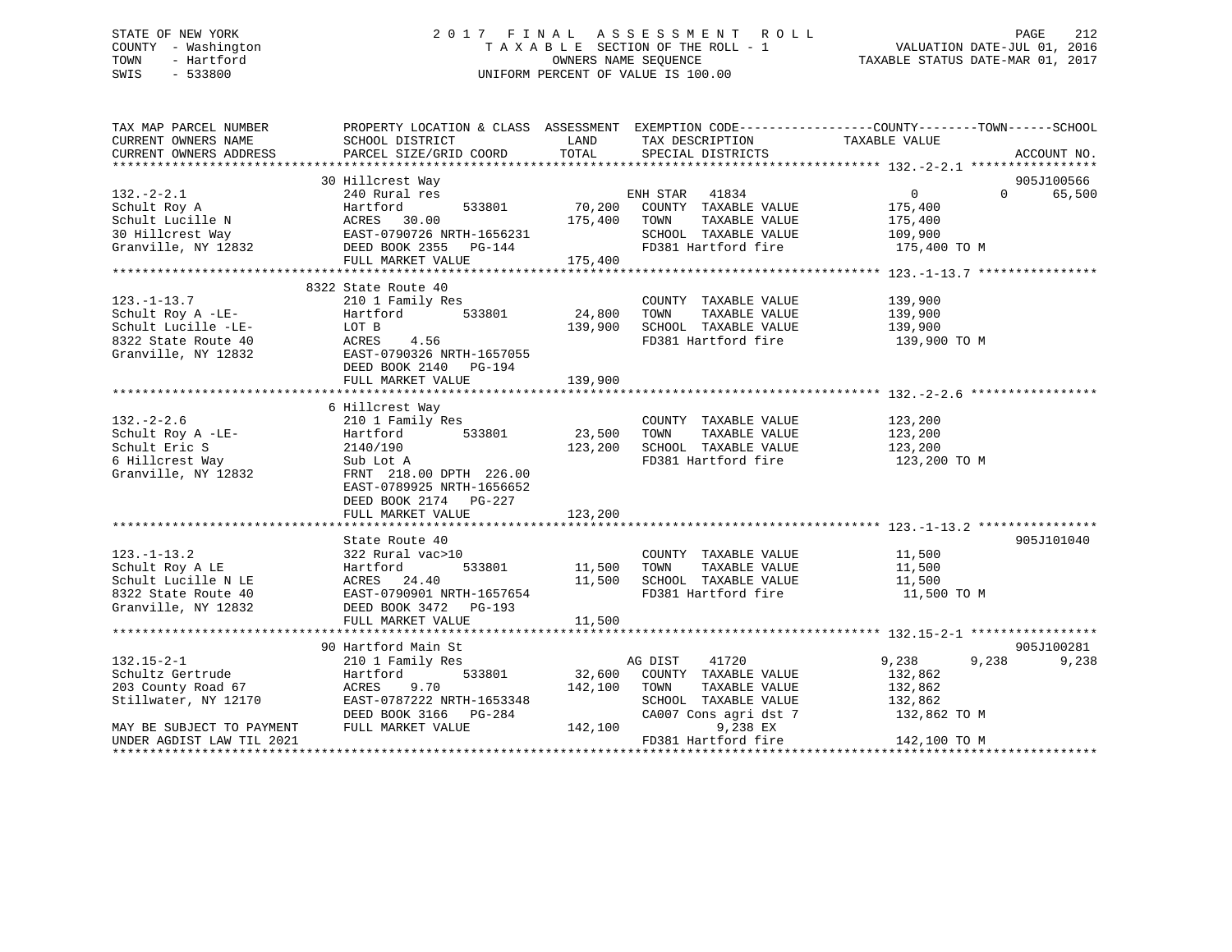# STATE OF NEW YORK 2 0 1 7 F I N A L A S S E S S M E N T R O L L PAGE 212 COUNTY - Washington T A X A B L E SECTION OF THE ROLL - 1 VALUATION DATE-JUL 01, 2016 TOWN - Hartford **TAXABLE STATUS DATE-MAR 01, 2017** SWIS - 533800 UNIFORM PERCENT OF VALUE IS 100.00

| TAX MAP PARCEL NUMBER<br>CURRENT OWNERS NAME | PROPERTY LOCATION & CLASS ASSESSMENT EXEMPTION CODE----------------COUNTY-------TOWN------SCHOOL<br>SCHOOL DISTRICT | LAND    | TAX DESCRIPTION       | TAXABLE VALUE     |                    |
|----------------------------------------------|---------------------------------------------------------------------------------------------------------------------|---------|-----------------------|-------------------|--------------------|
| CURRENT OWNERS ADDRESS                       | PARCEL SIZE/GRID COORD                                                                                              | TOTAL   | SPECIAL DISTRICTS     |                   | ACCOUNT NO.        |
|                                              |                                                                                                                     |         |                       |                   |                    |
|                                              | 30 Hillcrest Way                                                                                                    |         |                       |                   | 905J100566         |
| $132. - 2 - 2.1$                             | 240 Rural res                                                                                                       |         | ENH STAR 41834        | $0 \qquad \qquad$ | 65,500<br>$\Omega$ |
| Schult Roy A                                 | Hartford<br>533801                                                                                                  | 70,200  | COUNTY TAXABLE VALUE  | 175,400           |                    |
| Schult Lucille N                             | ACRES 30.00                                                                                                         | 175,400 | TAXABLE VALUE<br>TOWN | 175,400           |                    |
| 30 Hillcrest Way                             | ACRES 30.00<br>EAST-0790726 NRTH-1656231                                                                            |         | SCHOOL TAXABLE VALUE  | 109,900           |                    |
|                                              | Granville, NY 12832 DEED BOOK 2355 PG-144                                                                           |         | FD381 Hartford fire   | 175,400 TO M      |                    |
|                                              | FULL MARKET VALUE                                                                                                   |         |                       |                   |                    |
|                                              |                                                                                                                     | 175,400 |                       |                   |                    |
|                                              |                                                                                                                     |         |                       |                   |                    |
|                                              | 8322 State Route 40                                                                                                 |         |                       |                   |                    |
| $123. - 1 - 13.7$                            | 210 1 Family Res                                                                                                    |         | COUNTY TAXABLE VALUE  | 139,900           |                    |
| Schult Roy A -LE-                            | 533801<br>Hartford                                                                                                  | 24,800  | TOWN<br>TAXABLE VALUE | 139,900           |                    |
| Schult Lucille -LE-                          | LOT B                                                                                                               | 139,900 | SCHOOL TAXABLE VALUE  | 139,900           |                    |
| 8322 State Route 40                          | ACRES<br>4.56                                                                                                       |         | FD381 Hartford fire   | 139,900 TO M      |                    |
| Granville, NY 12832                          | EAST-0790326 NRTH-1657055                                                                                           |         |                       |                   |                    |
|                                              | DEED BOOK 2140 PG-194                                                                                               |         |                       |                   |                    |
|                                              | FULL MARKET VALUE                                                                                                   | 139,900 |                       |                   |                    |
|                                              |                                                                                                                     |         |                       |                   |                    |
|                                              | 6 Hillcrest Way                                                                                                     |         |                       |                   |                    |
| $132 - 2 - 2.6$                              | 210 1 Family Res                                                                                                    |         | COUNTY TAXABLE VALUE  | 123,200           |                    |
| Schult Roy A -LE-                            | Hartford<br>533801                                                                                                  | 23,500  | TAXABLE VALUE<br>TOWN | 123,200           |                    |
| Schult Eric S                                | 2140/190                                                                                                            | 123,200 | SCHOOL TAXABLE VALUE  | 123,200           |                    |
| 6 Hillcrest Way                              | Sub Lot A                                                                                                           |         | FD381 Hartford fire   | 123,200 TO M      |                    |
| Granville, NY 12832                          | FRNT 218.00 DPTH 226.00                                                                                             |         |                       |                   |                    |
|                                              | EAST-0789925 NRTH-1656652                                                                                           |         |                       |                   |                    |
|                                              | DEED BOOK 2174 PG-227                                                                                               |         |                       |                   |                    |
|                                              | FULL MARKET VALUE                                                                                                   | 123,200 |                       |                   |                    |
|                                              |                                                                                                                     |         |                       |                   |                    |
|                                              |                                                                                                                     |         |                       |                   |                    |
|                                              | State Route 40                                                                                                      |         |                       |                   | 905J101040         |
| $123. - 1 - 13.2$                            | 322 Rural vac>10                                                                                                    |         | COUNTY TAXABLE VALUE  | 11,500            |                    |
| Schult Roy A LE                              | 533801<br>Hartford                                                                                                  | 11,500  | TAXABLE VALUE<br>TOWN | 11,500            |                    |
| Schult Lucille N LE                          | ACRES 24.40                                                                                                         | 11,500  | SCHOOL TAXABLE VALUE  | 11,500            |                    |
| 8322 State Route 40                          | EAST-0790901 NRTH-1657654                                                                                           |         | FD381 Hartford fire   | 11,500 TO M       |                    |
| Granville, NY 12832                          | DEED BOOK 3472 PG-193                                                                                               |         |                       |                   |                    |
|                                              | FULL MARKET VALUE                                                                                                   | 11,500  |                       |                   |                    |
|                                              |                                                                                                                     |         |                       |                   |                    |
|                                              | 90 Hartford Main St                                                                                                 |         |                       |                   | 905J100281         |
| $132.15 - 2 - 1$                             | 210 1 Family Res                                                                                                    |         | AG DIST<br>41720      | 9,238<br>9,238    | 9,238              |
| Schultz Gertrude                             | Hartford<br>533801                                                                                                  | 32,600  | COUNTY TAXABLE VALUE  | 132,862           |                    |
| 203 County Road 67                           | ACRES<br>9.70                                                                                                       | 142,100 | TAXABLE VALUE<br>TOWN | 132,862           |                    |
| Stillwater, NY 12170                         | EAST-0787222 NRTH-1653348                                                                                           |         | SCHOOL TAXABLE VALUE  | 132,862           |                    |
|                                              | DEED BOOK 3166 PG-284                                                                                               |         | CA007 Cons agri dst 7 | 132,862 TO M      |                    |
| MAY BE SUBJECT TO PAYMENT                    | FULL MARKET VALUE                                                                                                   | 142,100 | 9,238 EX              |                   |                    |
| UNDER AGDIST LAW TIL 2021                    |                                                                                                                     |         | FD381 Hartford fire   | 142,100 TO M      |                    |
|                                              |                                                                                                                     |         |                       |                   |                    |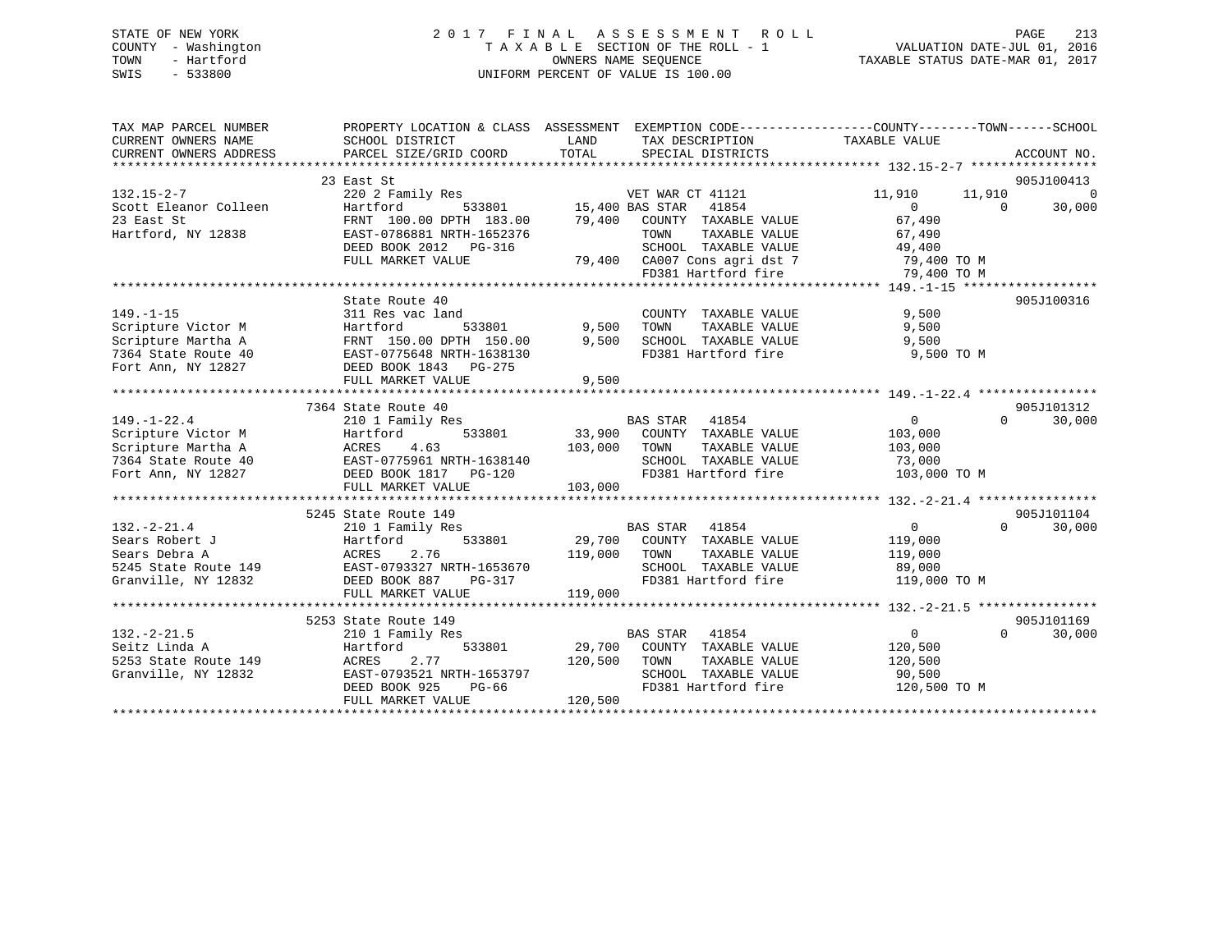# STATE OF NEW YORK 2 0 1 7 F I N A L A S S E S S M E N T R O L L PAGE 213 COUNTY - Washington T A X A B L E SECTION OF THE ROLL - 1 VALUATION DATE-JUL 01, 2016 TOWN - Hartford **TAXABLE STATUS DATE-MAR 01, 2017** SWIS - 533800 UNIFORM PERCENT OF VALUE IS 100.00

| TAX MAP PARCEL NUMBER                                     | PROPERTY LOCATION & CLASS ASSESSMENT                               |                        |                                             | EXEMPTION CODE-----------------COUNTY-------TOWN------SCHOOL |                |
|-----------------------------------------------------------|--------------------------------------------------------------------|------------------------|---------------------------------------------|--------------------------------------------------------------|----------------|
| CURRENT OWNERS NAME                                       | SCHOOL DISTRICT                                                    | LAND                   | TAX DESCRIPTION                             | TAXABLE VALUE                                                |                |
| CURRENT OWNERS ADDRESS                                    | PARCEL SIZE/GRID COORD                                             | TOTAL                  | SPECIAL DISTRICTS                           | ACCOUNT NO.                                                  |                |
|                                                           |                                                                    |                        |                                             |                                                              |                |
|                                                           | 23 East St                                                         |                        |                                             | 905J100413                                                   |                |
| $132.15 - 2 - 7$                                          | 220 2 Family Res                                                   |                        | VET WAR CT 41121                            | 11,910<br>11,910                                             | $\overline{0}$ |
| Scott Eleanor Colleen                                     | Hartford                                                           | 533801 15,400 BAS STAR | 41854                                       | $\overline{0}$<br>$\overline{0}$                             | 30,000         |
| 23 East St                                                | 100.00 DPTH<br>FRNT 100.00 DPTH 183.00<br>EAST-0786881 NDTH 165655 |                        | 79,400 COUNTY TAXABLE VALUE                 | 67,490                                                       |                |
| Hartford, NY 12838                                        | EAST-0786881 NRTH-1652376                                          |                        | TOWN<br>TAXABLE VALUE                       |                                                              |                |
|                                                           | DEED BOOK 2012 PG-316                                              |                        |                                             |                                                              |                |
|                                                           | FULL MARKET VALUE                                                  |                        | 79,400 CA007 Cons agri dst 7 79,400 TO M    |                                                              |                |
|                                                           |                                                                    |                        | FD381 Hartford fire                         | 79,400 TO M                                                  |                |
|                                                           |                                                                    |                        |                                             |                                                              |                |
|                                                           | State Route 40                                                     |                        |                                             | 905J100316                                                   |                |
| $149. - 1 - 15$                                           | 311 Res vac land                                                   |                        | COUNTY TAXABLE VALUE                        | 9,500                                                        |                |
| Scripture Victor M                                        | ---<br>Hartford<br>533801                                          | 9,500                  | TOWN<br>TAXABLE VALUE                       | 9,500                                                        |                |
| Scripture Martha A                                        | FRNT 150.00 DPTH 150.00                                            | 9,500                  | SCHOOL TAXABLE VALUE                        | 9,500                                                        |                |
| 7364 State Route 40                                       | EAST-0775648 NRTH-1638130<br>DEED BOOK 1843 PG-275                 |                        | FD381 Hartford fire                         | 9,500 TO M                                                   |                |
| Fort Ann, NY 12827                                        |                                                                    |                        |                                             |                                                              |                |
|                                                           | FULL MARKET VALUE                                                  | 9,500                  |                                             |                                                              |                |
|                                                           |                                                                    |                        |                                             |                                                              |                |
|                                                           | 7364 State Route 40                                                |                        |                                             | 905J101312                                                   |                |
| $149. - 1 - 22.4$                                         | 210 1 Family Res                                                   |                        | BAS STAR 41854                              | $\Omega$<br>$\overline{0}$<br>30,000                         |                |
| Scripture Victor M                                        | Hartford 533801<br>ACRES 4.63<br>EAST-0775961 NRTH-1638140         | 33,900                 | COUNTY TAXABLE VALUE                        | 103,000                                                      |                |
| Scripture Martha A                                        |                                                                    | 103,000                | TOWN<br>TAXABLE VALUE                       | 103,000                                                      |                |
| 7364 State Route 40                                       |                                                                    |                        | SCHOOL TAXABLE VALUE                        | 73,000                                                       |                |
| Fort Ann, NY 12827                                        | DEED BOOK 1817 PG-120                                              |                        | FD381 Hartford fire                         | 103,000 TO M                                                 |                |
|                                                           | FULL MARKET VALUE                                                  | 103,000                |                                             |                                                              |                |
|                                                           |                                                                    |                        |                                             |                                                              |                |
|                                                           | 5245 State Route 149                                               |                        |                                             | 905J101104                                                   |                |
| $132. - 2 - 21.4$                                         | 210 1 Family Res<br>Hartford                                       |                        | BAS STAR 41854                              | $\overline{0}$<br>$\Omega$ and $\Omega$<br>30,000            |                |
| Sears Robert J                                            | 533801                                                             |                        | 29,700 COUNTY TAXABLE VALUE                 | 119,000                                                      |                |
| Sears Debra A                                             | ACRES 2.76<br>149 EAST-0793327 NRTH-1653670                        | 119,000                | TOWN<br>TAXABLE VALUE                       | 119,000                                                      |                |
| 5245 State Route 149<br>Granville, NY 12832 DEED BOOK 887 |                                                                    |                        | SCHOOL TAXABLE VALUE<br>FD381 Hartford fire | 89,000                                                       |                |
|                                                           | PG-317                                                             | 119,000                |                                             | 119,000 TO M                                                 |                |
|                                                           | FULL MARKET VALUE                                                  |                        |                                             |                                                              |                |
|                                                           | 5253 State Route 149                                               |                        |                                             | 905J101169                                                   |                |
| $132 - 2 - 21.5$                                          | 210 1 Family Res                                                   |                        | BAS STAR<br>41854                           | $\Omega$<br>$\overline{0}$<br>30,000                         |                |
|                                                           | 533801                                                             |                        | 29,700 COUNTY TAXABLE VALUE                 | 120,500                                                      |                |
|                                                           | 2.77                                                               | 120,500                | TOWN<br>TAXABLE VALUE                       | 120,500                                                      |                |
| Granville, NY 12832                                       | EAST-0793521 NRTH-1653797                                          |                        | SCHOOL TAXABLE VALUE                        | 90,500                                                       |                |
|                                                           | DEED BOOK 925<br>PG-66                                             |                        | FD381 Hartford fire                         | 120,500 TO M                                                 |                |
|                                                           | FULL MARKET VALUE                                                  | 120,500                |                                             |                                                              |                |
|                                                           |                                                                    |                        |                                             |                                                              |                |
|                                                           |                                                                    |                        |                                             |                                                              |                |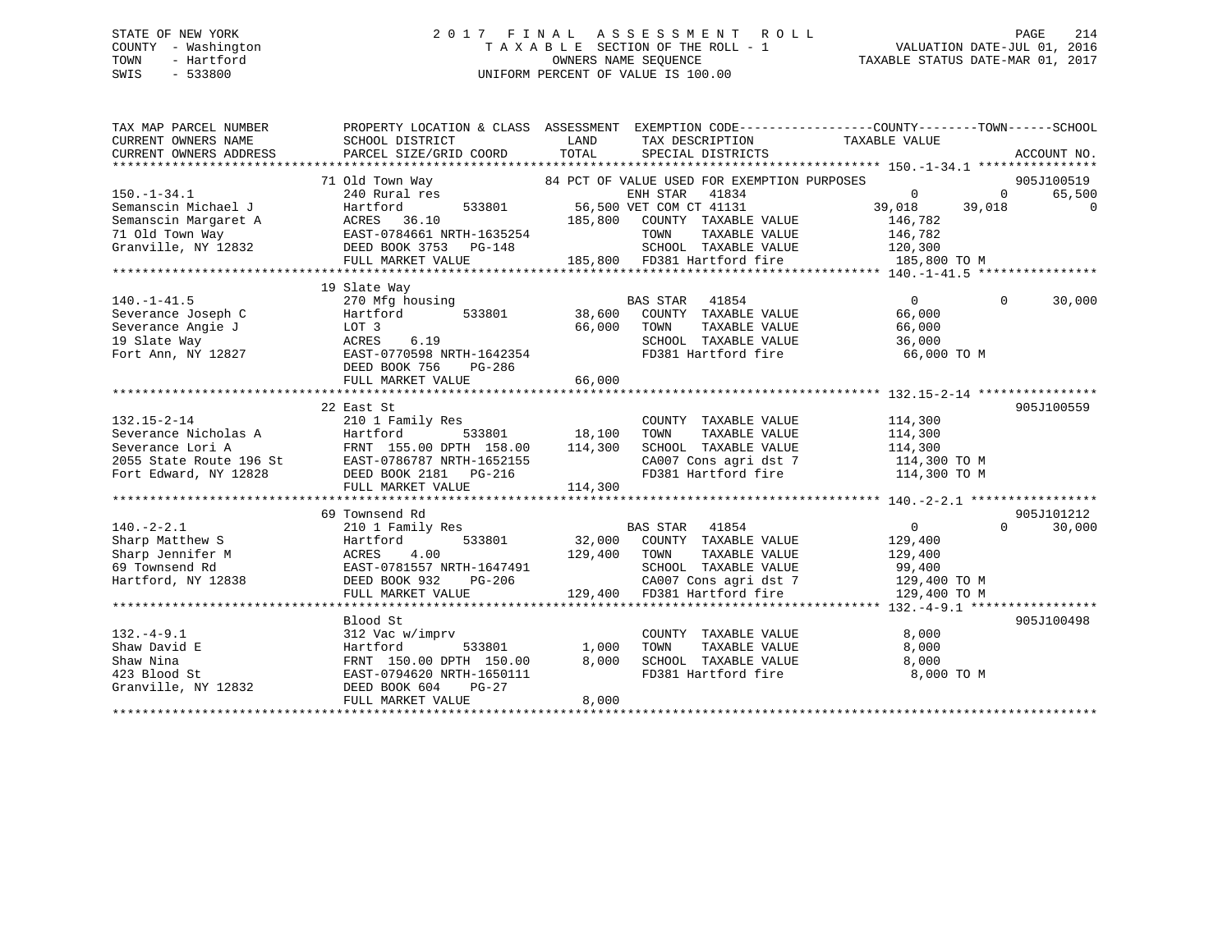# STATE OF NEW YORK 2 0 1 7 F I N A L A S S E S S M E N T R O L L PAGE 214 COUNTY - Washington T A X A B L E SECTION OF THE ROLL - 1 VALUATION DATE-JUL 01, 2016 TOWN - Hartford **TAXABLE STATUS DATE-MAR 01, 2017** SWIS - 533800 UNIFORM PERCENT OF VALUE IS 100.00

| 84 PCT OF VALUE USED FOR EXEMPTION PURPOSES<br>905J100519<br>71 Old Town Way<br>ENH STAR 41834<br>$\Omega$<br>$150. - 1 - 34.1$<br>240 Rural res<br>$\Omega$<br>65,500<br>Semanscin Michael J<br>Hartford<br>533801<br>56,500 VET COM CT 41131<br>39,018<br>39,018<br>$\Omega$<br>Semanscin Margaret A<br>ACRES 36.10<br>185,800<br>COUNTY TAXABLE VALUE<br>146,782<br>71 Old Town Way<br>EAST-0784661 NRTH-1635254<br>TOWN<br>TAXABLE VALUE<br>146,782<br>Granville, NY 12832<br>SCHOOL TAXABLE VALUE<br>DEED BOOK 3753<br>PG-148<br>120,300<br>185,800 FD381 Hartford fire<br>185,800 TO M<br>FULL MARKET VALUE<br>19 Slate Way<br>0<br>$140. - 1 - 41.5$<br>270 Mfg housing<br><b>BAS STAR</b><br>41854<br>$\Omega$<br>30,000<br>533801<br>38,600<br>COUNTY TAXABLE VALUE<br>66,000<br>Severance Joseph C<br>Hartford<br>66,000<br>Severance Angie J<br>LOT 3<br>TOWN<br>TAXABLE VALUE<br>66,000<br>19 Slate Way<br>ACRES<br>6.19<br>SCHOOL TAXABLE VALUE<br>36,000<br>EAST-0770598 NRTH-1642354<br>FD381 Hartford fire<br>66,000 TO M<br>Fort Ann, NY 12827<br>DEED BOOK 756<br>PG-286<br>66,000<br>FULL MARKET VALUE<br>22 East St<br>905J100559<br>$132.15 - 2 - 14$<br>114,300<br>210 1 Family Res<br>COUNTY TAXABLE VALUE<br>18,100<br>Hartford<br>533801<br>TOWN<br>TAXABLE VALUE<br>114,300<br>Severance Nicholas A<br>Severance Lori A<br>114,300<br>114,300<br>FRNT 155.00 DPTH 158.00<br>SCHOOL TAXABLE VALUE<br>CA007 Cons agri dst 7<br>2055 State Route 196 St<br>EAST-0786787 NRTH-1652155<br>114,300 TO M<br>FD381 Hartford fire<br>Fort Edward, NY 12828<br>DEED BOOK 2181    PG-216<br>114,300 TO M<br>FULL MARKET VALUE<br>114,300<br>69 Townsend Rd<br>905J101212<br>$140. -2 - 2.1$<br><b>BAS STAR</b><br>$\mathbf{0}$<br>$\Omega$<br>30,000<br>210 1 Family Res<br>41854<br>Sharp Matthew S<br>Hartford<br>32,000<br>COUNTY TAXABLE VALUE<br>129,400<br>533801<br>Sharp Jennifer M<br>ACRES<br>4.00<br>129,400<br>TAXABLE VALUE<br>129,400<br>TOWN<br>69 Townsend Rd<br>EAST-0781557 NRTH-1647491<br>SCHOOL TAXABLE VALUE<br>99,400<br>Hartford, NY 12838<br>DEED BOOK 932<br>CA007 Cons agri dst 7<br>129,400 TO M<br>PG-206<br>129,400 FD381 Hartford fire<br>FULL MARKET VALUE<br>129,400 TO M<br>905J100498<br>Blood St<br>$132. -4 - 9.1$<br>8,000<br>312 Vac w/imprv<br>COUNTY TAXABLE VALUE<br>Shaw David E<br>1,000<br>TOWN<br>8,000<br>Hartford<br>533801<br>TAXABLE VALUE<br>8,000<br>Shaw Nina<br>FRNT 150.00 DPTH 150.00<br>SCHOOL TAXABLE VALUE<br>8,000<br>8,000 TO M<br>423 Blood St<br>EAST-0794620 NRTH-1650111<br>FD381 Hartford fire<br>Granville, NY 12832<br>DEED BOOK 604<br>PG-27<br>FULL MARKET VALUE<br>8,000 | TAX MAP PARCEL NUMBER<br>CURRENT OWNERS NAME<br>CURRENT OWNERS ADDRESS | PROPERTY LOCATION & CLASS ASSESSMENT<br>SCHOOL DISTRICT<br>PARCEL SIZE/GRID COORD | LAND<br>TOTAL | TAX DESCRIPTION TAXABLE VALUE<br>SPECIAL DISTRICTS | EXEMPTION CODE----------------COUNTY-------TOWN-----SCHOOL | ACCOUNT NO. |
|----------------------------------------------------------------------------------------------------------------------------------------------------------------------------------------------------------------------------------------------------------------------------------------------------------------------------------------------------------------------------------------------------------------------------------------------------------------------------------------------------------------------------------------------------------------------------------------------------------------------------------------------------------------------------------------------------------------------------------------------------------------------------------------------------------------------------------------------------------------------------------------------------------------------------------------------------------------------------------------------------------------------------------------------------------------------------------------------------------------------------------------------------------------------------------------------------------------------------------------------------------------------------------------------------------------------------------------------------------------------------------------------------------------------------------------------------------------------------------------------------------------------------------------------------------------------------------------------------------------------------------------------------------------------------------------------------------------------------------------------------------------------------------------------------------------------------------------------------------------------------------------------------------------------------------------------------------------------------------------------------------------------------------------------------------------------------------------------------------------------------------------------------------------------------------------------------------------------------------------------------------------------------------------------------------------------------------------------------------------------------------------------------------------------------------------------------------------------------------------------------------------------------------------------------------------------------------------------------------------------------------------------------------------|------------------------------------------------------------------------|-----------------------------------------------------------------------------------|---------------|----------------------------------------------------|------------------------------------------------------------|-------------|
|                                                                                                                                                                                                                                                                                                                                                                                                                                                                                                                                                                                                                                                                                                                                                                                                                                                                                                                                                                                                                                                                                                                                                                                                                                                                                                                                                                                                                                                                                                                                                                                                                                                                                                                                                                                                                                                                                                                                                                                                                                                                                                                                                                                                                                                                                                                                                                                                                                                                                                                                                                                                                                                                |                                                                        |                                                                                   |               |                                                    |                                                            |             |
|                                                                                                                                                                                                                                                                                                                                                                                                                                                                                                                                                                                                                                                                                                                                                                                                                                                                                                                                                                                                                                                                                                                                                                                                                                                                                                                                                                                                                                                                                                                                                                                                                                                                                                                                                                                                                                                                                                                                                                                                                                                                                                                                                                                                                                                                                                                                                                                                                                                                                                                                                                                                                                                                |                                                                        |                                                                                   |               |                                                    |                                                            |             |
|                                                                                                                                                                                                                                                                                                                                                                                                                                                                                                                                                                                                                                                                                                                                                                                                                                                                                                                                                                                                                                                                                                                                                                                                                                                                                                                                                                                                                                                                                                                                                                                                                                                                                                                                                                                                                                                                                                                                                                                                                                                                                                                                                                                                                                                                                                                                                                                                                                                                                                                                                                                                                                                                |                                                                        |                                                                                   |               |                                                    |                                                            |             |
|                                                                                                                                                                                                                                                                                                                                                                                                                                                                                                                                                                                                                                                                                                                                                                                                                                                                                                                                                                                                                                                                                                                                                                                                                                                                                                                                                                                                                                                                                                                                                                                                                                                                                                                                                                                                                                                                                                                                                                                                                                                                                                                                                                                                                                                                                                                                                                                                                                                                                                                                                                                                                                                                |                                                                        |                                                                                   |               |                                                    |                                                            |             |
|                                                                                                                                                                                                                                                                                                                                                                                                                                                                                                                                                                                                                                                                                                                                                                                                                                                                                                                                                                                                                                                                                                                                                                                                                                                                                                                                                                                                                                                                                                                                                                                                                                                                                                                                                                                                                                                                                                                                                                                                                                                                                                                                                                                                                                                                                                                                                                                                                                                                                                                                                                                                                                                                |                                                                        |                                                                                   |               |                                                    |                                                            |             |
|                                                                                                                                                                                                                                                                                                                                                                                                                                                                                                                                                                                                                                                                                                                                                                                                                                                                                                                                                                                                                                                                                                                                                                                                                                                                                                                                                                                                                                                                                                                                                                                                                                                                                                                                                                                                                                                                                                                                                                                                                                                                                                                                                                                                                                                                                                                                                                                                                                                                                                                                                                                                                                                                |                                                                        |                                                                                   |               |                                                    |                                                            |             |
|                                                                                                                                                                                                                                                                                                                                                                                                                                                                                                                                                                                                                                                                                                                                                                                                                                                                                                                                                                                                                                                                                                                                                                                                                                                                                                                                                                                                                                                                                                                                                                                                                                                                                                                                                                                                                                                                                                                                                                                                                                                                                                                                                                                                                                                                                                                                                                                                                                                                                                                                                                                                                                                                |                                                                        |                                                                                   |               |                                                    |                                                            |             |
|                                                                                                                                                                                                                                                                                                                                                                                                                                                                                                                                                                                                                                                                                                                                                                                                                                                                                                                                                                                                                                                                                                                                                                                                                                                                                                                                                                                                                                                                                                                                                                                                                                                                                                                                                                                                                                                                                                                                                                                                                                                                                                                                                                                                                                                                                                                                                                                                                                                                                                                                                                                                                                                                |                                                                        |                                                                                   |               |                                                    |                                                            |             |
|                                                                                                                                                                                                                                                                                                                                                                                                                                                                                                                                                                                                                                                                                                                                                                                                                                                                                                                                                                                                                                                                                                                                                                                                                                                                                                                                                                                                                                                                                                                                                                                                                                                                                                                                                                                                                                                                                                                                                                                                                                                                                                                                                                                                                                                                                                                                                                                                                                                                                                                                                                                                                                                                |                                                                        |                                                                                   |               |                                                    |                                                            |             |
|                                                                                                                                                                                                                                                                                                                                                                                                                                                                                                                                                                                                                                                                                                                                                                                                                                                                                                                                                                                                                                                                                                                                                                                                                                                                                                                                                                                                                                                                                                                                                                                                                                                                                                                                                                                                                                                                                                                                                                                                                                                                                                                                                                                                                                                                                                                                                                                                                                                                                                                                                                                                                                                                |                                                                        |                                                                                   |               |                                                    |                                                            |             |
|                                                                                                                                                                                                                                                                                                                                                                                                                                                                                                                                                                                                                                                                                                                                                                                                                                                                                                                                                                                                                                                                                                                                                                                                                                                                                                                                                                                                                                                                                                                                                                                                                                                                                                                                                                                                                                                                                                                                                                                                                                                                                                                                                                                                                                                                                                                                                                                                                                                                                                                                                                                                                                                                |                                                                        |                                                                                   |               |                                                    |                                                            |             |
|                                                                                                                                                                                                                                                                                                                                                                                                                                                                                                                                                                                                                                                                                                                                                                                                                                                                                                                                                                                                                                                                                                                                                                                                                                                                                                                                                                                                                                                                                                                                                                                                                                                                                                                                                                                                                                                                                                                                                                                                                                                                                                                                                                                                                                                                                                                                                                                                                                                                                                                                                                                                                                                                |                                                                        |                                                                                   |               |                                                    |                                                            |             |
|                                                                                                                                                                                                                                                                                                                                                                                                                                                                                                                                                                                                                                                                                                                                                                                                                                                                                                                                                                                                                                                                                                                                                                                                                                                                                                                                                                                                                                                                                                                                                                                                                                                                                                                                                                                                                                                                                                                                                                                                                                                                                                                                                                                                                                                                                                                                                                                                                                                                                                                                                                                                                                                                |                                                                        |                                                                                   |               |                                                    |                                                            |             |
|                                                                                                                                                                                                                                                                                                                                                                                                                                                                                                                                                                                                                                                                                                                                                                                                                                                                                                                                                                                                                                                                                                                                                                                                                                                                                                                                                                                                                                                                                                                                                                                                                                                                                                                                                                                                                                                                                                                                                                                                                                                                                                                                                                                                                                                                                                                                                                                                                                                                                                                                                                                                                                                                |                                                                        |                                                                                   |               |                                                    |                                                            |             |
|                                                                                                                                                                                                                                                                                                                                                                                                                                                                                                                                                                                                                                                                                                                                                                                                                                                                                                                                                                                                                                                                                                                                                                                                                                                                                                                                                                                                                                                                                                                                                                                                                                                                                                                                                                                                                                                                                                                                                                                                                                                                                                                                                                                                                                                                                                                                                                                                                                                                                                                                                                                                                                                                |                                                                        |                                                                                   |               |                                                    |                                                            |             |
|                                                                                                                                                                                                                                                                                                                                                                                                                                                                                                                                                                                                                                                                                                                                                                                                                                                                                                                                                                                                                                                                                                                                                                                                                                                                                                                                                                                                                                                                                                                                                                                                                                                                                                                                                                                                                                                                                                                                                                                                                                                                                                                                                                                                                                                                                                                                                                                                                                                                                                                                                                                                                                                                |                                                                        |                                                                                   |               |                                                    |                                                            |             |
|                                                                                                                                                                                                                                                                                                                                                                                                                                                                                                                                                                                                                                                                                                                                                                                                                                                                                                                                                                                                                                                                                                                                                                                                                                                                                                                                                                                                                                                                                                                                                                                                                                                                                                                                                                                                                                                                                                                                                                                                                                                                                                                                                                                                                                                                                                                                                                                                                                                                                                                                                                                                                                                                |                                                                        |                                                                                   |               |                                                    |                                                            |             |
|                                                                                                                                                                                                                                                                                                                                                                                                                                                                                                                                                                                                                                                                                                                                                                                                                                                                                                                                                                                                                                                                                                                                                                                                                                                                                                                                                                                                                                                                                                                                                                                                                                                                                                                                                                                                                                                                                                                                                                                                                                                                                                                                                                                                                                                                                                                                                                                                                                                                                                                                                                                                                                                                |                                                                        |                                                                                   |               |                                                    |                                                            |             |
|                                                                                                                                                                                                                                                                                                                                                                                                                                                                                                                                                                                                                                                                                                                                                                                                                                                                                                                                                                                                                                                                                                                                                                                                                                                                                                                                                                                                                                                                                                                                                                                                                                                                                                                                                                                                                                                                                                                                                                                                                                                                                                                                                                                                                                                                                                                                                                                                                                                                                                                                                                                                                                                                |                                                                        |                                                                                   |               |                                                    |                                                            |             |
|                                                                                                                                                                                                                                                                                                                                                                                                                                                                                                                                                                                                                                                                                                                                                                                                                                                                                                                                                                                                                                                                                                                                                                                                                                                                                                                                                                                                                                                                                                                                                                                                                                                                                                                                                                                                                                                                                                                                                                                                                                                                                                                                                                                                                                                                                                                                                                                                                                                                                                                                                                                                                                                                |                                                                        |                                                                                   |               |                                                    |                                                            |             |
|                                                                                                                                                                                                                                                                                                                                                                                                                                                                                                                                                                                                                                                                                                                                                                                                                                                                                                                                                                                                                                                                                                                                                                                                                                                                                                                                                                                                                                                                                                                                                                                                                                                                                                                                                                                                                                                                                                                                                                                                                                                                                                                                                                                                                                                                                                                                                                                                                                                                                                                                                                                                                                                                |                                                                        |                                                                                   |               |                                                    |                                                            |             |
|                                                                                                                                                                                                                                                                                                                                                                                                                                                                                                                                                                                                                                                                                                                                                                                                                                                                                                                                                                                                                                                                                                                                                                                                                                                                                                                                                                                                                                                                                                                                                                                                                                                                                                                                                                                                                                                                                                                                                                                                                                                                                                                                                                                                                                                                                                                                                                                                                                                                                                                                                                                                                                                                |                                                                        |                                                                                   |               |                                                    |                                                            |             |
|                                                                                                                                                                                                                                                                                                                                                                                                                                                                                                                                                                                                                                                                                                                                                                                                                                                                                                                                                                                                                                                                                                                                                                                                                                                                                                                                                                                                                                                                                                                                                                                                                                                                                                                                                                                                                                                                                                                                                                                                                                                                                                                                                                                                                                                                                                                                                                                                                                                                                                                                                                                                                                                                |                                                                        |                                                                                   |               |                                                    |                                                            |             |
|                                                                                                                                                                                                                                                                                                                                                                                                                                                                                                                                                                                                                                                                                                                                                                                                                                                                                                                                                                                                                                                                                                                                                                                                                                                                                                                                                                                                                                                                                                                                                                                                                                                                                                                                                                                                                                                                                                                                                                                                                                                                                                                                                                                                                                                                                                                                                                                                                                                                                                                                                                                                                                                                |                                                                        |                                                                                   |               |                                                    |                                                            |             |
|                                                                                                                                                                                                                                                                                                                                                                                                                                                                                                                                                                                                                                                                                                                                                                                                                                                                                                                                                                                                                                                                                                                                                                                                                                                                                                                                                                                                                                                                                                                                                                                                                                                                                                                                                                                                                                                                                                                                                                                                                                                                                                                                                                                                                                                                                                                                                                                                                                                                                                                                                                                                                                                                |                                                                        |                                                                                   |               |                                                    |                                                            |             |
|                                                                                                                                                                                                                                                                                                                                                                                                                                                                                                                                                                                                                                                                                                                                                                                                                                                                                                                                                                                                                                                                                                                                                                                                                                                                                                                                                                                                                                                                                                                                                                                                                                                                                                                                                                                                                                                                                                                                                                                                                                                                                                                                                                                                                                                                                                                                                                                                                                                                                                                                                                                                                                                                |                                                                        |                                                                                   |               |                                                    |                                                            |             |
|                                                                                                                                                                                                                                                                                                                                                                                                                                                                                                                                                                                                                                                                                                                                                                                                                                                                                                                                                                                                                                                                                                                                                                                                                                                                                                                                                                                                                                                                                                                                                                                                                                                                                                                                                                                                                                                                                                                                                                                                                                                                                                                                                                                                                                                                                                                                                                                                                                                                                                                                                                                                                                                                |                                                                        |                                                                                   |               |                                                    |                                                            |             |
|                                                                                                                                                                                                                                                                                                                                                                                                                                                                                                                                                                                                                                                                                                                                                                                                                                                                                                                                                                                                                                                                                                                                                                                                                                                                                                                                                                                                                                                                                                                                                                                                                                                                                                                                                                                                                                                                                                                                                                                                                                                                                                                                                                                                                                                                                                                                                                                                                                                                                                                                                                                                                                                                |                                                                        |                                                                                   |               |                                                    |                                                            |             |
|                                                                                                                                                                                                                                                                                                                                                                                                                                                                                                                                                                                                                                                                                                                                                                                                                                                                                                                                                                                                                                                                                                                                                                                                                                                                                                                                                                                                                                                                                                                                                                                                                                                                                                                                                                                                                                                                                                                                                                                                                                                                                                                                                                                                                                                                                                                                                                                                                                                                                                                                                                                                                                                                |                                                                        |                                                                                   |               |                                                    |                                                            |             |
|                                                                                                                                                                                                                                                                                                                                                                                                                                                                                                                                                                                                                                                                                                                                                                                                                                                                                                                                                                                                                                                                                                                                                                                                                                                                                                                                                                                                                                                                                                                                                                                                                                                                                                                                                                                                                                                                                                                                                                                                                                                                                                                                                                                                                                                                                                                                                                                                                                                                                                                                                                                                                                                                |                                                                        |                                                                                   |               |                                                    |                                                            |             |
|                                                                                                                                                                                                                                                                                                                                                                                                                                                                                                                                                                                                                                                                                                                                                                                                                                                                                                                                                                                                                                                                                                                                                                                                                                                                                                                                                                                                                                                                                                                                                                                                                                                                                                                                                                                                                                                                                                                                                                                                                                                                                                                                                                                                                                                                                                                                                                                                                                                                                                                                                                                                                                                                |                                                                        |                                                                                   |               |                                                    |                                                            |             |
|                                                                                                                                                                                                                                                                                                                                                                                                                                                                                                                                                                                                                                                                                                                                                                                                                                                                                                                                                                                                                                                                                                                                                                                                                                                                                                                                                                                                                                                                                                                                                                                                                                                                                                                                                                                                                                                                                                                                                                                                                                                                                                                                                                                                                                                                                                                                                                                                                                                                                                                                                                                                                                                                |                                                                        |                                                                                   |               |                                                    |                                                            |             |
|                                                                                                                                                                                                                                                                                                                                                                                                                                                                                                                                                                                                                                                                                                                                                                                                                                                                                                                                                                                                                                                                                                                                                                                                                                                                                                                                                                                                                                                                                                                                                                                                                                                                                                                                                                                                                                                                                                                                                                                                                                                                                                                                                                                                                                                                                                                                                                                                                                                                                                                                                                                                                                                                |                                                                        |                                                                                   |               |                                                    |                                                            |             |
|                                                                                                                                                                                                                                                                                                                                                                                                                                                                                                                                                                                                                                                                                                                                                                                                                                                                                                                                                                                                                                                                                                                                                                                                                                                                                                                                                                                                                                                                                                                                                                                                                                                                                                                                                                                                                                                                                                                                                                                                                                                                                                                                                                                                                                                                                                                                                                                                                                                                                                                                                                                                                                                                |                                                                        |                                                                                   |               |                                                    |                                                            |             |
|                                                                                                                                                                                                                                                                                                                                                                                                                                                                                                                                                                                                                                                                                                                                                                                                                                                                                                                                                                                                                                                                                                                                                                                                                                                                                                                                                                                                                                                                                                                                                                                                                                                                                                                                                                                                                                                                                                                                                                                                                                                                                                                                                                                                                                                                                                                                                                                                                                                                                                                                                                                                                                                                |                                                                        |                                                                                   |               |                                                    |                                                            |             |
|                                                                                                                                                                                                                                                                                                                                                                                                                                                                                                                                                                                                                                                                                                                                                                                                                                                                                                                                                                                                                                                                                                                                                                                                                                                                                                                                                                                                                                                                                                                                                                                                                                                                                                                                                                                                                                                                                                                                                                                                                                                                                                                                                                                                                                                                                                                                                                                                                                                                                                                                                                                                                                                                |                                                                        |                                                                                   |               |                                                    |                                                            |             |
|                                                                                                                                                                                                                                                                                                                                                                                                                                                                                                                                                                                                                                                                                                                                                                                                                                                                                                                                                                                                                                                                                                                                                                                                                                                                                                                                                                                                                                                                                                                                                                                                                                                                                                                                                                                                                                                                                                                                                                                                                                                                                                                                                                                                                                                                                                                                                                                                                                                                                                                                                                                                                                                                |                                                                        |                                                                                   |               |                                                    |                                                            |             |
|                                                                                                                                                                                                                                                                                                                                                                                                                                                                                                                                                                                                                                                                                                                                                                                                                                                                                                                                                                                                                                                                                                                                                                                                                                                                                                                                                                                                                                                                                                                                                                                                                                                                                                                                                                                                                                                                                                                                                                                                                                                                                                                                                                                                                                                                                                                                                                                                                                                                                                                                                                                                                                                                |                                                                        |                                                                                   |               |                                                    |                                                            |             |
|                                                                                                                                                                                                                                                                                                                                                                                                                                                                                                                                                                                                                                                                                                                                                                                                                                                                                                                                                                                                                                                                                                                                                                                                                                                                                                                                                                                                                                                                                                                                                                                                                                                                                                                                                                                                                                                                                                                                                                                                                                                                                                                                                                                                                                                                                                                                                                                                                                                                                                                                                                                                                                                                |                                                                        |                                                                                   |               |                                                    |                                                            |             |
|                                                                                                                                                                                                                                                                                                                                                                                                                                                                                                                                                                                                                                                                                                                                                                                                                                                                                                                                                                                                                                                                                                                                                                                                                                                                                                                                                                                                                                                                                                                                                                                                                                                                                                                                                                                                                                                                                                                                                                                                                                                                                                                                                                                                                                                                                                                                                                                                                                                                                                                                                                                                                                                                |                                                                        |                                                                                   |               |                                                    |                                                            |             |
|                                                                                                                                                                                                                                                                                                                                                                                                                                                                                                                                                                                                                                                                                                                                                                                                                                                                                                                                                                                                                                                                                                                                                                                                                                                                                                                                                                                                                                                                                                                                                                                                                                                                                                                                                                                                                                                                                                                                                                                                                                                                                                                                                                                                                                                                                                                                                                                                                                                                                                                                                                                                                                                                |                                                                        |                                                                                   |               |                                                    |                                                            |             |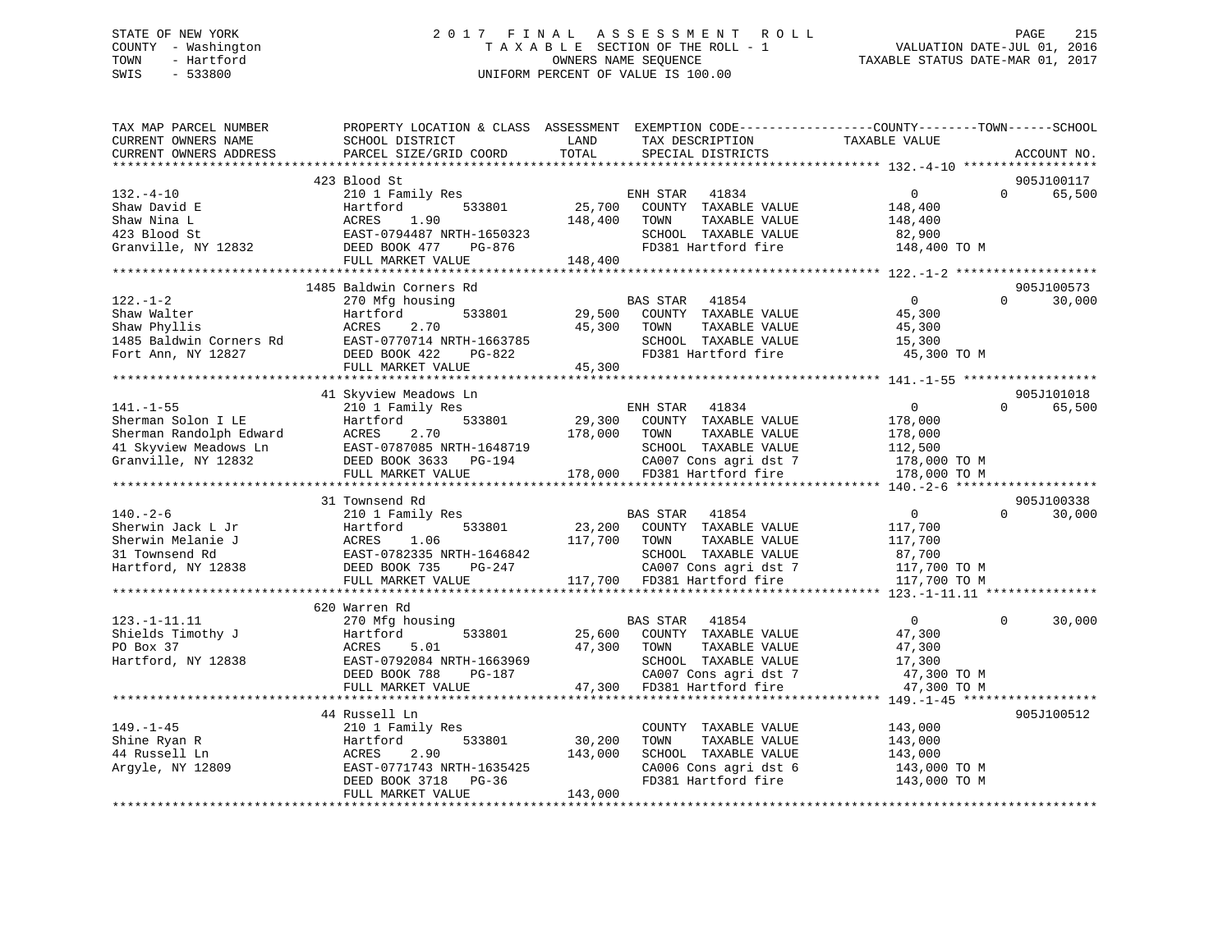# STATE OF NEW YORK 2 0 1 7 F I N A L A S S E S S M E N T R O L L PAGE 215 COUNTY - Washington T A X A B L E SECTION OF THE ROLL - 1 VALUATION DATE-JUL 01, 2016 TOWN - Hartford **TAXABLE STATUS DATE-MAR 01, 2017** SWIS - 533800 UNIFORM PERCENT OF VALUE IS 100.00

| TAX MAP PARCEL NUMBER<br>CURRENT OWNERS NAME<br>CURRENT OWNERS ADDRESS                                           | PROPERTY LOCATION & CLASS ASSESSMENT EXEMPTION CODE----------------COUNTY-------TOWN------SCHOOL<br>SCHOOL DISTRICT<br>PARCEL SIZE/GRID COORD                  | LAND<br>TOTAL                | TAX DESCRIPTION<br>SPECIAL DISTRICTS                                                                                                               | TAXABLE VALUE                                                                  | ACCOUNT NO.                      |
|------------------------------------------------------------------------------------------------------------------|----------------------------------------------------------------------------------------------------------------------------------------------------------------|------------------------------|----------------------------------------------------------------------------------------------------------------------------------------------------|--------------------------------------------------------------------------------|----------------------------------|
|                                                                                                                  |                                                                                                                                                                |                              |                                                                                                                                                    |                                                                                |                                  |
| $132. -4 - 10$<br>Shaw David E<br>Shaw Nina L<br>423 Blood St<br>Granville, NY 12832                             | 423 Blood St<br>210 1 Family Res<br>Hartford<br>533801<br>ACRES<br>1.90<br>EAST-0794487 NRTH-1650323<br>DEED BOOK 477<br>PG-876<br>FULL MARKET VALUE           | 25,700<br>148,400<br>148,400 | ENH STAR<br>41834<br>COUNTY TAXABLE VALUE<br>TOWN<br>TAXABLE VALUE<br>SCHOOL TAXABLE VALUE<br>FD381 Hartford fire                                  | $\mathbf{0}$<br>148,400<br>148,400<br>82,900<br>148,400 TO M                   | 905J100117<br>$\Omega$<br>65,500 |
|                                                                                                                  |                                                                                                                                                                |                              |                                                                                                                                                    |                                                                                |                                  |
| $122. - 1 - 2$<br>Shaw Walter<br>Shaw Phyllis<br>1485 Baldwin Corners Rd<br>Fort Ann, NY 12827                   | 1485 Baldwin Corners Rd<br>270 Mfg housing<br>Hartford<br>533801<br>2.70<br>ACRES<br>EAST-0770714 NRTH-1663785<br>DEED BOOK 422<br>PG-822<br>FULL MARKET VALUE | 29,500<br>45,300<br>45,300   | <b>BAS STAR</b><br>41854<br>COUNTY TAXABLE VALUE<br>TOWN<br>TAXABLE VALUE<br>SCHOOL TAXABLE VALUE<br>FD381 Hartford fire                           | $\Omega$<br>45,300<br>45,300<br>15,300<br>45,300 TO M                          | 905J100573<br>30,000<br>$\Omega$ |
|                                                                                                                  |                                                                                                                                                                |                              |                                                                                                                                                    |                                                                                |                                  |
|                                                                                                                  | 41 Skyview Meadows Ln                                                                                                                                          |                              |                                                                                                                                                    |                                                                                | 905J101018                       |
| $141. - 1 - 55$<br>Sherman Solon I LE<br>Sherman Randolph Edward<br>41 Skyview Meadows Ln<br>Granville, NY 12832 | 210 1 Family Res<br>533801<br>Hartford<br>ACRES<br>2.70<br>EAST-0787085 NRTH-1648719<br>DEED BOOK 3633 PG-194<br>FULL MARKET VALUE                             | 29,300<br>178,000            | ENH STAR<br>41834<br>COUNTY TAXABLE VALUE<br>TOWN<br>TAXABLE VALUE<br>SCHOOL TAXABLE VALUE<br>CA007 Cons agri dst 7<br>178,000 FD381 Hartford fire | $\mathbf{0}$<br>178,000<br>178,000<br>112,500<br>178,000 TO M<br>178,000 TO M  | $\Omega$<br>65,500               |
|                                                                                                                  |                                                                                                                                                                |                              |                                                                                                                                                    |                                                                                |                                  |
| $140. - 2 - 6$<br>Sherwin Jack L Jr<br>Sherwin Melanie J<br>31 Townsend Rd<br>Hartford, NY 12838                 | 31 Townsend Rd<br>210 1 Family Res<br>Hartford<br>533801<br>ACRES<br>1.06<br>EAST-0782335 NRTH-1646842<br>DEED BOOK 735<br>PG-247<br>FULL MARKET VALUE         | 117,700 TOWN                 | BAS STAR<br>41854<br>23,200 COUNTY TAXABLE VALUE<br>TAXABLE VALUE<br>SCHOOL TAXABLE VALUE<br>CA007 Cons agri dst 7<br>117,700 FD381 Hartford fire  | $\overline{0}$<br>117,700<br>117,700<br>87,700<br>117,700 TO M<br>117,700 TO M | 905J100338<br>30,000<br>$\Omega$ |
|                                                                                                                  | 620 Warren Rd                                                                                                                                                  |                              |                                                                                                                                                    |                                                                                |                                  |
| $123. - 1 - 11.11$<br>Shields Timothy J<br>PO Box 37<br>Hartford, NY 12838                                       | 270 Mfg housing<br>Hartford<br>533801<br>5.01<br>ACRES<br>EAST-0792084 NRTH-1663969<br>DEED BOOK 788<br>PG-187<br>FULL MARKET VALUE                            | 47,300<br>47,300             | 41854<br>BAS STAR<br>25,600 COUNTY TAXABLE VALUE<br>TAXABLE VALUE<br>TOWN<br>SCHOOL TAXABLE VALUE<br>CA007 Cons agri dst 7<br>FD381 Hartford fire  | $\overline{0}$<br>47,300<br>47,300<br>17,300<br>47,300 TO M<br>47,300 TO M     | $\Omega$<br>30,000               |
|                                                                                                                  |                                                                                                                                                                |                              |                                                                                                                                                    |                                                                                |                                  |
| $149. - 1 - 45$<br>Shine Ryan R<br>44 Russell Ln<br>Argyle, NY 12809                                             | 44 Russell Ln<br>210 1 Family Res<br>Hartford<br>533801<br>ACRES<br>2.90<br>EAST-0771743 NRTH-1635425<br>DEED BOOK 3718<br>PG-36<br>FULL MARKET VALUE          | 30,200<br>143,000<br>143,000 | COUNTY TAXABLE VALUE<br>TAXABLE VALUE<br>TOWN<br>SCHOOL TAXABLE VALUE<br>CA006 Cons agri dst 6<br>FD381 Hartford fire                              | 143,000<br>143,000<br>143,000<br>143,000 TO M<br>143,000 TO M                  | 905J100512                       |
|                                                                                                                  |                                                                                                                                                                |                              |                                                                                                                                                    |                                                                                |                                  |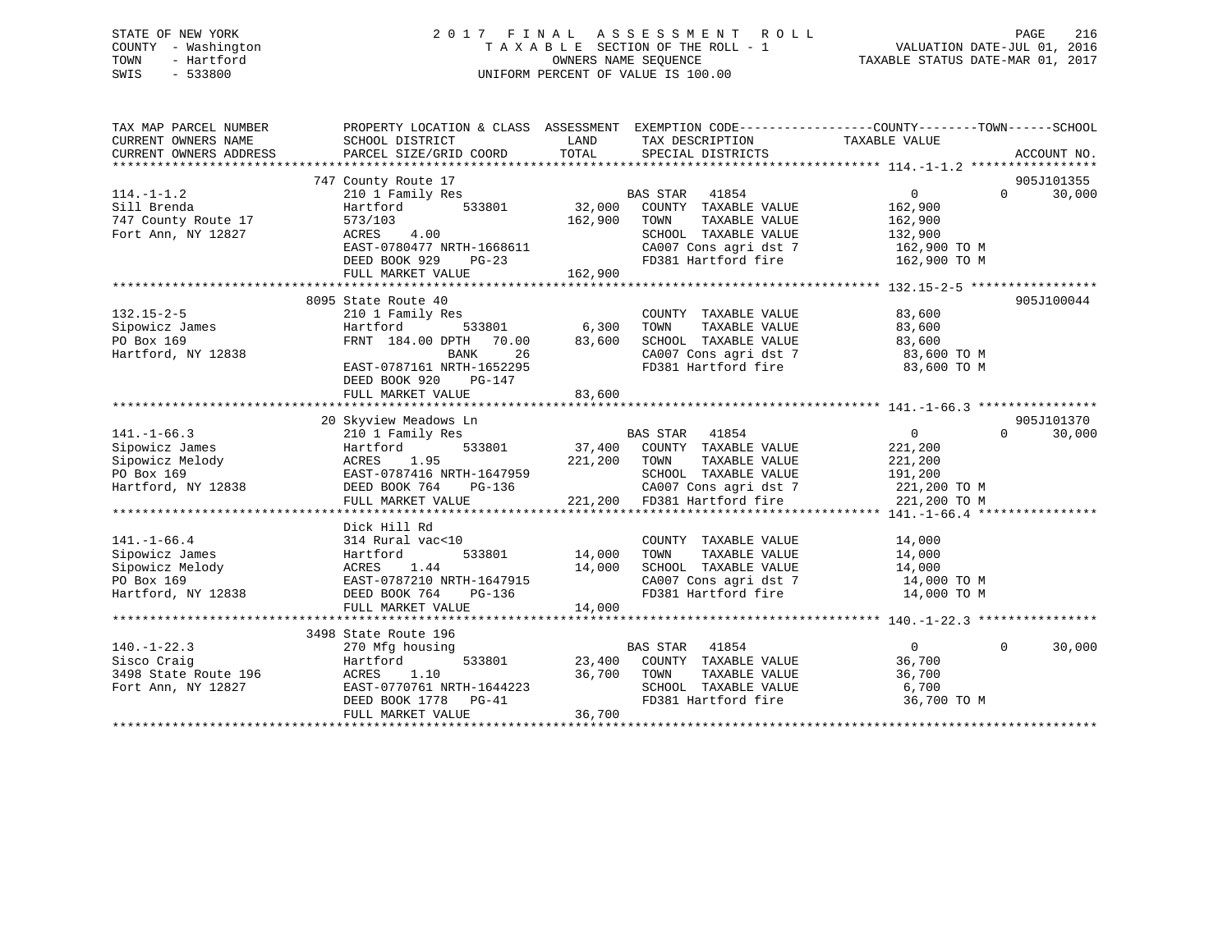# STATE OF NEW YORK 2 0 1 7 F I N A L A S S E S S M E N T R O L L PAGE 216 COUNTY - Washington T A X A B L E SECTION OF THE ROLL - 1 VALUATION DATE-JUL 01, 2016 TOWN - Hartford **TAXABLE STATUS DATE-MAR 01, 2017** SWIS - 533800 UNIFORM PERCENT OF VALUE IS 100.00

| TAX MAP PARCEL NUMBER<br>CURRENT OWNERS NAME<br>CURRENT OWNERS ADDRESS | PROPERTY LOCATION & CLASS ASSESSMENT EXEMPTION CODE----------------COUNTY-------TOWN------SCHOOL<br>SCHOOL DISTRICT<br>PARCEL SIZE/GRID COORD | LAND<br>TOTAL            | TAX DESCRIPTION TAXABLE VALUE<br>SPECIAL DISTRICTS               |                        | ACCOUNT NO.            |
|------------------------------------------------------------------------|-----------------------------------------------------------------------------------------------------------------------------------------------|--------------------------|------------------------------------------------------------------|------------------------|------------------------|
|                                                                        |                                                                                                                                               |                          |                                                                  |                        |                        |
|                                                                        | 747 County Route 17                                                                                                                           |                          |                                                                  | $\overline{0}$         | 905J101355<br>$\Omega$ |
| $114. - 1 - 1.2$                                                       | 210 1 Family Res                                                                                                                              |                          | BAS STAR 41854                                                   |                        | 30,000                 |
| Sill Brenda                                                            | Hartford                                                                                                                                      | 533801 32,000<br>162,900 | COUNTY TAXABLE VALUE                                             | 162,900                |                        |
| 747 County Route 17                                                    | 573/103<br>ACRES 4.00                                                                                                                         |                          | TOWN<br>TAXABLE VALUE<br>SCHOOL TAXABLE VALUE                    | 162,900                |                        |
| Fort Ann, NY 12827                                                     |                                                                                                                                               |                          |                                                                  | 132,900                |                        |
|                                                                        | EAST-0780477 NRTH-1668611<br>DEED BOOK 929 PG-23                                                                                              |                          | CA007 Cons agri dst 7<br>FD381 Hartford fire                     | 162,900 TO M           |                        |
|                                                                        |                                                                                                                                               | 162,900                  |                                                                  | 162,900 TO M           |                        |
|                                                                        | FULL MARKET VALUE                                                                                                                             |                          |                                                                  |                        |                        |
|                                                                        |                                                                                                                                               |                          |                                                                  |                        |                        |
|                                                                        | 8095 State Route 40                                                                                                                           |                          |                                                                  |                        | 905J100044             |
| $132.15 - 2 - 5$                                                       | 210 1 Family Res<br>Hartford                                                                                                                  | 。<br>533801      6,300   | COUNTY TAXABLE VALUE<br>TAXABLE VALUE<br>TOWN                    | 83,600                 |                        |
|                                                                        | FRNT 184.00 DPTH 70.00                                                                                                                        |                          | SCHOOL TAXABLE VALUE 83,600                                      | 83,600                 |                        |
| Sipowicz James<br>PO Box 169<br>Hartford, NY 12838                     | BANK<br>26                                                                                                                                    | 83,600                   |                                                                  |                        |                        |
|                                                                        |                                                                                                                                               |                          | CA007 Cons agri dst 7<br>FD381 Hartford fire                     | 83,600 TO M            |                        |
|                                                                        | EAST-0787161 NRTH-1652295                                                                                                                     |                          |                                                                  | 83,600 TO M            |                        |
|                                                                        | DEED BOOK 920<br>PG-147                                                                                                                       |                          |                                                                  |                        |                        |
|                                                                        | FULL MARKET VALUE                                                                                                                             | 83,600                   |                                                                  |                        |                        |
|                                                                        |                                                                                                                                               |                          |                                                                  |                        | 905J101370             |
| $141. - 1 - 66.3$                                                      | 20 Skyview Meadows Ln<br>210 1 Family Res                                                                                                     |                          | BAS STAR 41854                                                   | $\overline{0}$         | 30,000<br>$\Omega$     |
| Sipowicz James                                                         | Hartford                                                                                                                                      |                          | 533801 37,400 COUNTY TAXABLE VALUE                               | 221,200                |                        |
| Sipowicz Melody                                                        |                                                                                                                                               |                          |                                                                  |                        |                        |
|                                                                        | ACRES 1.95 221,200 TOWN TAXABLE VALUE<br>EAST-0787416 NRTH-1647959 221,200 SCHOOL TAXABLE VALUE                                               |                          | SCHOOL TAXABLE VALUE                                             | $\frac{22}{191}$ , 200 |                        |
| PO Box 169<br>Hartford, NY 12838                                       | $PG-136$                                                                                                                                      |                          |                                                                  |                        |                        |
|                                                                        | DEED BOOK 764                                                                                                                                 |                          | CA007 Cons agri dst 7 221,200 TO M                               |                        |                        |
|                                                                        | FULL MARKET VALUE                                                                                                                             |                          | 221,200 FD381 Hartford fire                                      | 221,200 TO M           |                        |
|                                                                        |                                                                                                                                               |                          |                                                                  |                        |                        |
| $141. - 1 - 66.4$                                                      | Dick Hill Rd                                                                                                                                  |                          |                                                                  |                        |                        |
|                                                                        | 314 Rural vac<10<br>314 Rural<br>Hartford                                                                                                     | 533801 14,000            | COUNTY TAXABLE VALUE<br>TAXABLE VALUE                            | 14,000                 |                        |
| Sipowicz James                                                         |                                                                                                                                               |                          | TOWN                                                             | 14,000                 |                        |
| Sipowicz Melody                                                        | ACRES 1.44<br>EAST-0787210 NRTH-1647915                                                                                                       | 14,000                   | SCHOOL TAXABLE VALUE 14,000<br>CA007 Cons agri dst 7 14,000 TO M |                        |                        |
| PO Box 169<br>Hartford, NY 12838                                       |                                                                                                                                               |                          | FD381 Hartford fire 14,000 TO M                                  |                        |                        |
|                                                                        | DEED BOOK 764<br>PG-136                                                                                                                       |                          |                                                                  |                        |                        |
|                                                                        | FULL MARKET VALUE                                                                                                                             | 14,000                   |                                                                  |                        |                        |
|                                                                        |                                                                                                                                               |                          |                                                                  |                        |                        |
|                                                                        | 3498 State Route 196                                                                                                                          |                          |                                                                  | $0 \qquad \qquad$      | $\Omega$               |
| $140. - 1 - 22.3$<br>Sisco Craig                                       | 270 Mfg housing                                                                                                                               |                          | BAS STAR 41854<br>533801 23,400 COUNTY TAXABLE VALUE             | 36,700                 | 30,000                 |
|                                                                        | Hartford                                                                                                                                      |                          |                                                                  |                        |                        |
| 3498 State Route 196<br>Fort Ann, NY 12827                             |                                                                                                                                               |                          |                                                                  | 36,700<br>6,700        |                        |
|                                                                        | ACRES 1.10 36,700 TOWN TAXABLE VALUE<br>EAST-0770761 NRTH-1644223 SCHOOL TAXABLE VALUE<br>DEED BOOK 1778 PG-41 FD381 Hartford fire            |                          | SCHOOL TAXABLE VALUE<br>FD381 Hartford fire                      | 36,700 TO M            |                        |
|                                                                        |                                                                                                                                               | 36,700                   |                                                                  |                        |                        |
|                                                                        | FULL MARKET VALUE                                                                                                                             |                          |                                                                  |                        |                        |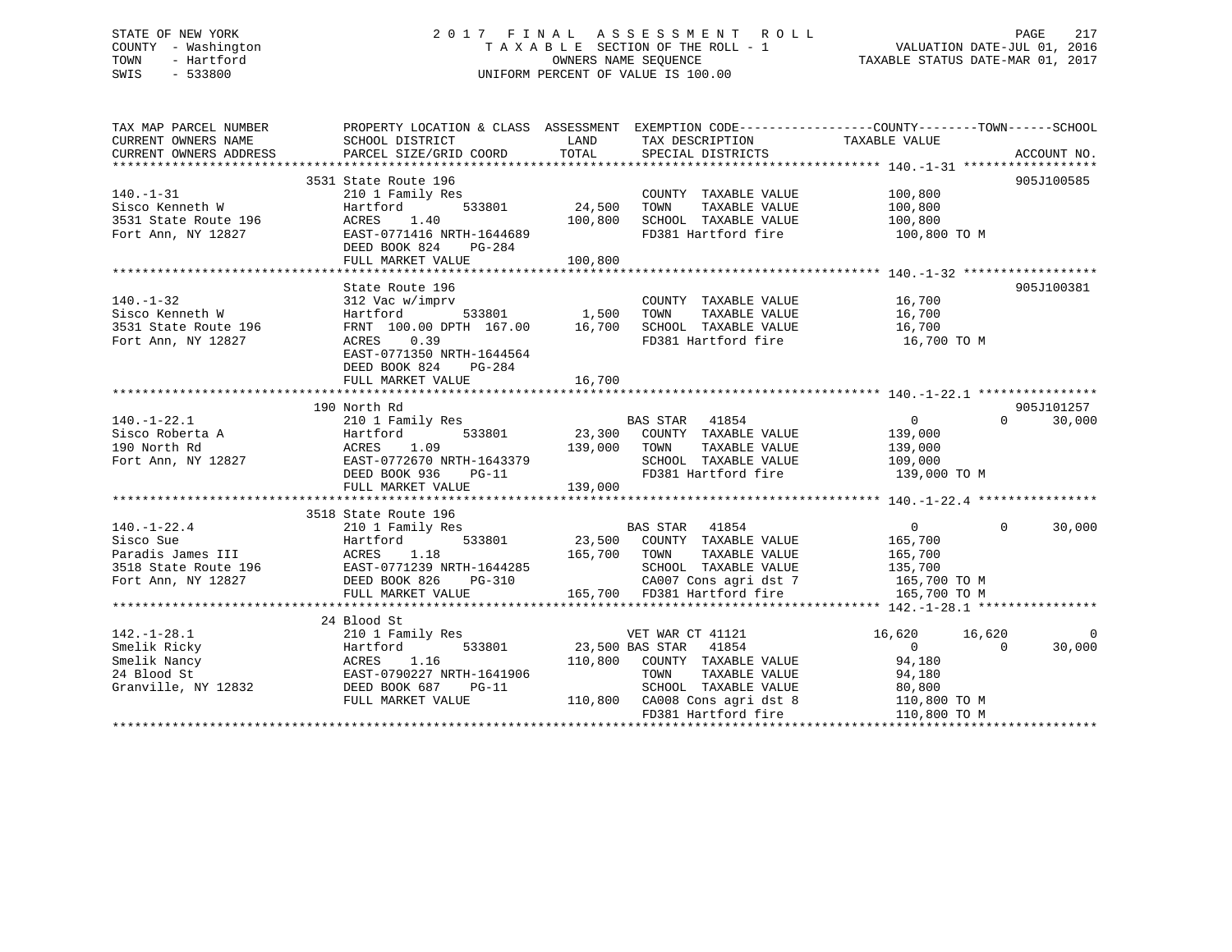# STATE OF NEW YORK 2 0 1 7 F I N A L A S S E S S M E N T R O L L PAGE 217 COUNTY - Washington T A X A B L E SECTION OF THE ROLL - 1 VALUATION DATE-JUL 01, 2016 TOWN - Hartford **TAXABLE STATUS DATE-MAR 01, 2017** SWIS - 533800 UNIFORM PERCENT OF VALUE IS 100.00

| TAX MAP PARCEL NUMBER<br>CURRENT OWNERS NAME<br>CURRENT OWNERS ADDRESS                                | PROPERTY LOCATION & CLASS ASSESSMENT EXEMPTION CODE---------------COUNTY-------TOWN-----SCHOOL<br>SCHOOL DISTRICT<br>PARCEL SIZE/GRID COORD                                         | LAND<br>TOTAL                  | TAX DESCRIPTION TAXABLE VALUE<br>SPECIAL DISTRICTS                                                                                                                         |                                                                                                        | ACCOUNT NO.        |
|-------------------------------------------------------------------------------------------------------|-------------------------------------------------------------------------------------------------------------------------------------------------------------------------------------|--------------------------------|----------------------------------------------------------------------------------------------------------------------------------------------------------------------------|--------------------------------------------------------------------------------------------------------|--------------------|
| $140. - 1 - 31$<br>Sisco Kenneth W<br>3531 State Route 196<br>Fort Ann, NY 12827                      | 3531 State Route 196<br>210 1 Family Res<br>533801<br>Hartford<br>1.40<br>ACRES<br>EAST-0771416 NRTH-1644689<br>DEED BOOK 824<br>PG-284<br>FULL MARKET VALUE                        | 24,500<br>100,800<br>100,800   | COUNTY TAXABLE VALUE<br>TOWN<br>TAXABLE VALUE<br>SCHOOL TAXABLE VALUE<br>FD381 Hartford fire                                                                               | 100,800<br>100,800<br>100,800<br>100,800 TO M                                                          | 905J100585         |
|                                                                                                       |                                                                                                                                                                                     |                                |                                                                                                                                                                            |                                                                                                        |                    |
| $140. - 1 - 32$<br>Sisco Kenneth W<br>3531 State Route 196<br>Fort Ann, NY 12827                      | State Route 196<br>312 Vac w/imprv<br>Hartford<br>FRNT 100.00 DPTH 167.00 16,700<br>0.39<br>ACRES<br>EAST-0771350 NRTH-1644564<br>DEED BOOK 824<br>PG-284<br>FULL MARKET VALUE      | 533801 1,500<br>16,700         | COUNTY TAXABLE VALUE 16,700<br>TOWN<br>TAXABLE VALUE<br>SCHOOL TAXABLE VALUE<br>FD381 Hartford fire                                                                        | 16,700<br>16,700<br>16,700 TO M                                                                        | 905J100381         |
|                                                                                                       |                                                                                                                                                                                     |                                |                                                                                                                                                                            |                                                                                                        | 905J101257         |
| $140. - 1 - 22.1$<br>Sisco Roberta A<br>190 North Rd<br>Fort Ann, NY 12827                            | 190 North Rd<br>210 1 Family Res<br>533801<br>Hartford<br>ACRES<br>EAST-0<br>1.09<br>139,000<br>ACRES 1.00<br>EAST-0772670 NRTH-1643379<br>---- -007 026 DG-11<br>FULL MARKET VALUE | 23,300<br>139,000              | BAS STAR 41854<br>COUNTY TAXABLE VALUE<br>TAXABLE VALUE<br>TOWN<br>SCHOOL TAXABLE VALUE                                                                                    | $\Omega$<br>$\Omega$<br>139,000<br>139,000<br>109,000<br>FD381 Hartford fire 139,000 TO M              | 30,000             |
|                                                                                                       | 3518 State Route 196                                                                                                                                                                |                                |                                                                                                                                                                            |                                                                                                        |                    |
| $140. - 1 - 22.4$<br>Sisco Sue                                                                        | 210 1 Family Res<br>533801<br>Hartford<br>EAST-0771239 NRTH-1644285<br>FULL MARKET VALUE                                                                                            | 165,700<br>H-1644285<br>PG-310 | BAS STAR 41854<br>23,500 COUNTY TAXABLE VALUE<br>TAXABLE VALUE<br>TOWN<br>SCHOOL TAXABLE VALUE<br>CA007 Cons agri dst 7 165,700 TO M<br>165,700 FD381 Hartford fire        | $\overline{0}$<br>$\Omega$<br>165,700<br>165,700<br>135,700<br>165,700 TO M                            | 30,000             |
|                                                                                                       | 24 Blood St                                                                                                                                                                         |                                |                                                                                                                                                                            |                                                                                                        |                    |
| $142. - 1 - 28.1$<br>Smelik Ricky<br>Smelik Nancy<br>24 Blood St<br>Granville, NY 12832 DEED BOOK 687 | 210 1 Family Res<br>533801<br>Hartford<br>ACRES 1.16<br>EAST-0790227 NRTH-1641906<br>$PG-11$<br>FULL MARKET VALUE                                                                   | 110,800                        | VET WAR CT 41121<br>23,500 BAS STAR 41854<br>COUNTY TAXABLE VALUE<br>TOWN<br>TAXABLE VALUE<br>SCHOOL TAXABLE VALUE<br>110,800 CA008 Cons agri dst 8<br>FD381 Hartford fire | 16,620<br>16,620<br>$\Omega$<br>$\Omega$<br>94,180<br>94,180<br>80,800<br>110,800 TO M<br>110,800 TO M | $\Omega$<br>30,000 |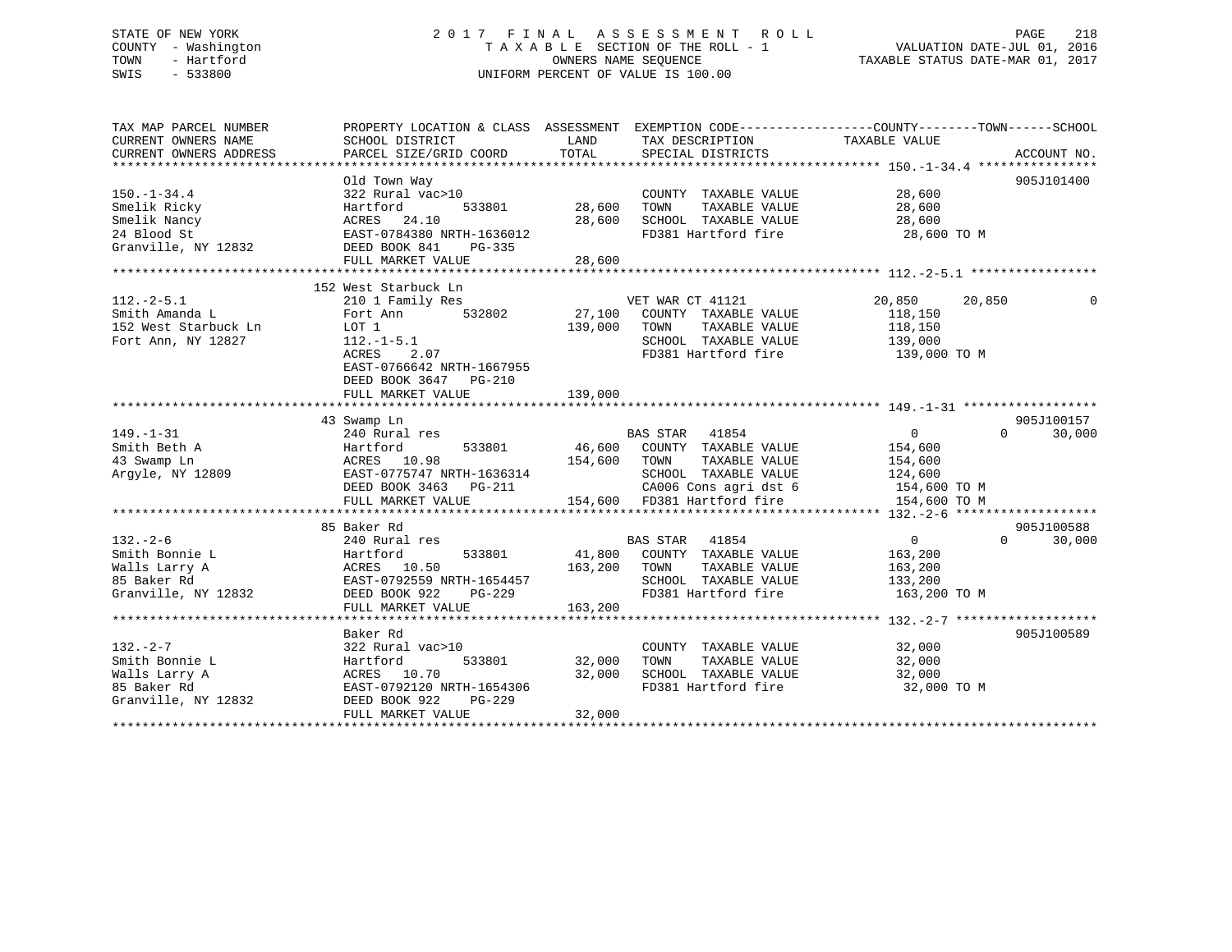# STATE OF NEW YORK 2 0 1 7 F I N A L A S S E S S M E N T R O L L PAGE 218 COUNTY - Washington T A X A B L E SECTION OF THE ROLL - 1 VALUATION DATE-JUL 01, 2016 TOWN - Hartford **TAXABLE STATUS DATE-MAR 01, 2017** SWIS - 533800 UNIFORM PERCENT OF VALUE IS 100.00

| TAX MAP PARCEL NUMBER                  | PROPERTY LOCATION & CLASS ASSESSMENT EXEMPTION CODE----------------COUNTY-------TOWN-----SCHOOL |              |                                                                                |                    |                    |
|----------------------------------------|-------------------------------------------------------------------------------------------------|--------------|--------------------------------------------------------------------------------|--------------------|--------------------|
| CURRENT OWNERS NAME                    | SCHOOL DISTRICT                                                                                 | LAND         | TAX DESCRIPTION                                                                | TAXABLE VALUE      |                    |
| CURRENT OWNERS ADDRESS                 | PARCEL SIZE/GRID COORD                                                                          | TOTAL        | SPECIAL DISTRICTS                                                              |                    | ACCOUNT NO.        |
|                                        |                                                                                                 |              |                                                                                |                    |                    |
|                                        | Old Town Way                                                                                    |              |                                                                                |                    | 905J101400         |
| $150. - 1 - 34.4$                      | 322 Rural vac>10                                                                                |              | COUNTY TAXABLE VALUE                                                           | 28,600             |                    |
| Smelik Ricky                           | Hartford<br>533801                                                                              | 28,600       | TOWN<br>TAXABLE VALUE                                                          | 28,600             |                    |
| Smelik Nancy                           | ACRES 24.10                                                                                     | 28,600       | SCHOOL TAXABLE VALUE                                                           | 28,600             |                    |
| 24 Blood St                            | EAST-0784380 NRTH-1636012                                                                       |              | FD381 Hartford fire                                                            | 28,600 TO M        |                    |
| Granville, NY 12832                    | DEED BOOK 841<br>PG-335                                                                         |              |                                                                                |                    |                    |
|                                        | FULL MARKET VALUE                                                                               | 28,600       |                                                                                |                    |                    |
|                                        |                                                                                                 |              |                                                                                |                    |                    |
|                                        | 152 West Starbuck Ln                                                                            |              |                                                                                |                    |                    |
| $112.-2-5.1$                           | 210 1 Family Res<br>532802                                                                      |              | VET WAR CT 41121                                                               | 20,850<br>20,850   |                    |
| Smith Amanda L<br>152 West Starbuck Ln | Fort Ann<br>LOT 1                                                                               | 139,000      | 27,100 COUNTY TAXABLE VALUE<br>TAXABLE VALUE<br>TOWN                           | 118,150<br>118,150 |                    |
| Fort Ann, NY 12827                     |                                                                                                 |              | SCHOOL TAXABLE VALUE                                                           |                    |                    |
|                                        | $112.-1-5.1$<br>$\frac{1}{2.07}$<br>ACRES                                                       |              | FD381 Hartford fire                                                            | 139,000            |                    |
|                                        | EAST-0766642 NRTH-1667955                                                                       |              |                                                                                | 139,000 TO M       |                    |
|                                        |                                                                                                 |              |                                                                                |                    |                    |
|                                        | DEED BOOK 3647 PG-210<br>FULL MARKET VALUE                                                      | 139,000      |                                                                                |                    |                    |
|                                        |                                                                                                 |              |                                                                                |                    |                    |
|                                        | 43 Swamp Ln                                                                                     |              |                                                                                |                    | 905J100157         |
| $149. - 1 - 31$                        | 240 Rural res                                                                                   |              | BAS STAR 41854                                                                 | $\overline{0}$     | $\Omega$<br>30,000 |
| Smith Beth A                           | 533801<br>Hartford                                                                              |              | 46,600 COUNTY TAXABLE VALUE                                                    | 154,600            |                    |
| 43 Swamp Ln                            | ACRES 10.98                                                                                     | 154,600 TOWN | TAXABLE VALUE                                                                  | 154,600            |                    |
| 43 Swamp Ln<br>Argyle, NY 12809        | EAST-0775747 NRTH-1636314                                                                       |              | SCHOOL TAXABLE VALUE 124,600                                                   |                    |                    |
|                                        | DEED BOOK 3463 PG-211                                                                           |              |                                                                                |                    |                    |
|                                        | FULL MARKET VALUE                                                                               |              | CA006 Cons agri dst 6 154,600 TO M<br>154,600 FD381 Hartford fire 154,600 TO M |                    |                    |
|                                        |                                                                                                 |              |                                                                                |                    |                    |
|                                        | 85 Baker Rd                                                                                     |              |                                                                                |                    | 905J100588         |
| $132 - 2 - 6$                          | 240 Rural res                                                                                   |              | BAS STAR 41854                                                                 | $\overline{0}$     | $\Omega$<br>30,000 |
| Smith Bonnie L                         |                                                                                                 |              | 41,800 COUNTY TAXABLE VALUE                                                    | 163,200            |                    |
| Walls Larry A                          |                                                                                                 | 163,200      | TAXABLE VALUE<br>TOWN                                                          | 163,200            |                    |
| 85 Baker Rd                            | Hartford 533801<br>ACRES 10.50<br>EAST-0792559 NRTH-1654457                                     |              | SCHOOL TAXABLE VALUE 133,200                                                   |                    |                    |
| Granville, NY 12832                    | DEED BOOK 922<br>PG-229                                                                         |              | FD381 Hartford fire                                                            | 163,200 TO M       |                    |
|                                        | FULL MARKET VALUE                                                                               | 163,200      |                                                                                |                    |                    |
|                                        |                                                                                                 |              |                                                                                |                    |                    |
|                                        | Baker Rd                                                                                        |              |                                                                                |                    | 905J100589         |
| $132 - 2 - 7$                          | 322 Rural vac>10                                                                                |              | COUNTY TAXABLE VALUE 32,000                                                    |                    |                    |
| Smith Bonnie L                         | 533801<br>Hartford                                                                              | 32,000       | TOWN<br>TAXABLE VALUE                                                          | 32,000             |                    |
| Walls Larry A                          | ACRES 10.70                                                                                     | 32,000       | SCHOOL TAXABLE VALUE                                                           | 32,000             |                    |
| 85 Baker Rd                            | EAST-0792120 NRTH-1654306                                                                       |              | FD381 Hartford fire                                                            | 32,000 TO M        |                    |
| Granville, NY 12832                    | DEED BOOK 922<br>PG-229                                                                         |              |                                                                                |                    |                    |
|                                        | FULL MARKET VALUE                                                                               | 32,000       |                                                                                |                    |                    |
|                                        |                                                                                                 |              |                                                                                |                    |                    |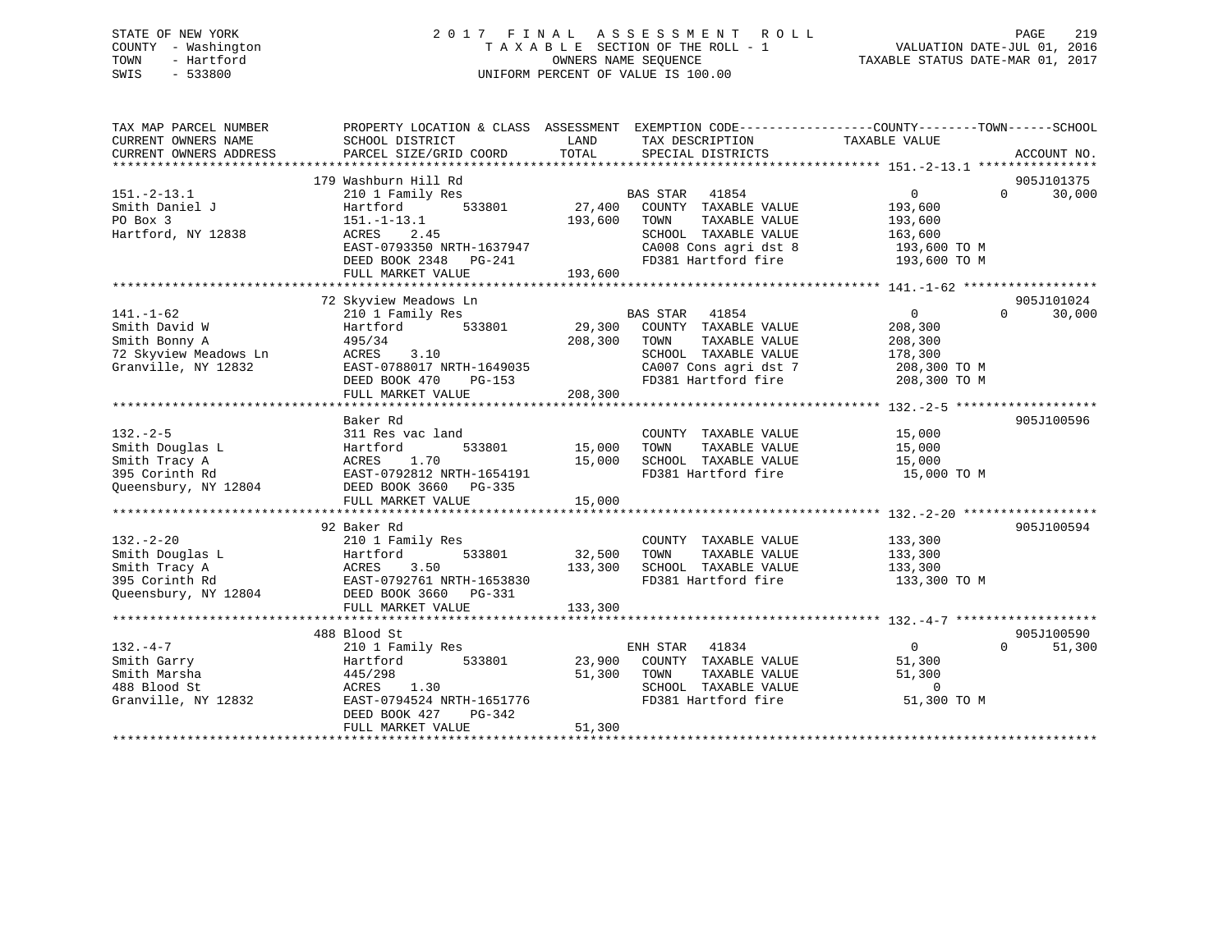# STATE OF NEW YORK 2 0 1 7 F I N A L A S S E S S M E N T R O L L PAGE 219 COUNTY - Washington T A X A B L E SECTION OF THE ROLL - 1 VALUATION DATE-JUL 01, 2016 TOWN - Hartford **TAXABLE STATUS DATE-MAR 01, 2017** SWIS - 533800 UNIFORM PERCENT OF VALUE IS 100.00

| EXEMPTION CODE----------------COUNTY-------TOWN-----SCHOOL<br>TAX MAP PARCEL NUMBER<br>PROPERTY LOCATION & CLASS ASSESSMENT<br>SCHOOL DISTRICT<br>LAND<br>TAXABLE VALUE<br>CURRENT OWNERS NAME<br>TAX DESCRIPTION<br>TOTAL<br>CURRENT OWNERS ADDRESS<br>PARCEL SIZE/GRID COORD<br>SPECIAL DISTRICTS | ACCOUNT NO.        |  |
|-----------------------------------------------------------------------------------------------------------------------------------------------------------------------------------------------------------------------------------------------------------------------------------------------------|--------------------|--|
| 179 Washburn Hill Rd                                                                                                                                                                                                                                                                                | 905J101375         |  |
| <b>BAS STAR</b><br>$151. - 2 - 13.1$<br>210 1 Family Res<br>41854<br>$\mathbf{0}$                                                                                                                                                                                                                   | $\Omega$<br>30,000 |  |
| 27,400<br>COUNTY TAXABLE VALUE<br>Smith Daniel J<br>Hartford<br>533801<br>193,600                                                                                                                                                                                                                   |                    |  |
| 193,600<br>TAXABLE VALUE<br>PO Box 3<br>$151.-1-13.1$<br>TOWN<br>193,600                                                                                                                                                                                                                            |                    |  |
| Hartford, NY 12838<br>SCHOOL TAXABLE VALUE<br>ACRES<br>2.45<br>163,600                                                                                                                                                                                                                              |                    |  |
| EAST-0793350 NRTH-1637947<br>CA008 Cons agri dst 8<br>193,600 TO M                                                                                                                                                                                                                                  |                    |  |
| FD381 Hartford fire<br>DEED BOOK 2348 PG-241<br>193,600 TO M<br>FULL MARKET VALUE<br>193,600                                                                                                                                                                                                        |                    |  |
|                                                                                                                                                                                                                                                                                                     |                    |  |
| 72 Skyview Meadows Ln                                                                                                                                                                                                                                                                               | 905J101024         |  |
| $141. - 1 - 62$<br>210 1 Family Res<br>BAS STAR 41854<br>$\overline{0}$                                                                                                                                                                                                                             | $\Omega$<br>30,000 |  |
| Smith David W<br>533801<br>29,300<br>COUNTY TAXABLE VALUE<br>Hartford<br>208,300                                                                                                                                                                                                                    |                    |  |
| Smith Bonny A<br>208,300<br>TAXABLE VALUE<br>208,300<br>495/34<br>TOWN                                                                                                                                                                                                                              |                    |  |
| 72 Skyview Meadows Ln<br>ACRES<br>3.10<br>SCHOOL TAXABLE VALUE<br>178,300                                                                                                                                                                                                                           |                    |  |
| Granville, NY 12832<br>EAST-0788017 NRTH-1649035<br>CA007 Cons agri dst 7<br>208,300 TO M                                                                                                                                                                                                           |                    |  |
| FD381 Hartford fire<br>208,300 TO M<br>DEED BOOK 470<br>PG-153                                                                                                                                                                                                                                      |                    |  |
| 208,300<br>FULL MARKET VALUE                                                                                                                                                                                                                                                                        |                    |  |
|                                                                                                                                                                                                                                                                                                     |                    |  |
| Baker Rd                                                                                                                                                                                                                                                                                            | 905J100596         |  |
| $132 - 2 - 5$<br>311 Res vac land<br>COUNTY TAXABLE VALUE<br>15,000                                                                                                                                                                                                                                 |                    |  |
| 15,000<br>TAXABLE VALUE<br>Smith Douglas L<br>Hartford<br>533801<br>TOWN<br>15,000                                                                                                                                                                                                                  |                    |  |
| Smith Tracy A<br>1.70<br>15,000<br>SCHOOL TAXABLE VALUE<br>ACRES<br>15,000                                                                                                                                                                                                                          |                    |  |
| 395 Corinth Rd<br>EAST-0792812 NRTH-1654191<br>FD381 Hartford fire<br>15,000 TO M<br>Queensbury, NY 12804                                                                                                                                                                                           |                    |  |
| DEED BOOK 3660 PG-335<br>15,000                                                                                                                                                                                                                                                                     |                    |  |
| FULL MARKET VALUE                                                                                                                                                                                                                                                                                   |                    |  |
| 92 Baker Rd                                                                                                                                                                                                                                                                                         | 905J100594         |  |
| $132 - 2 - 20$<br>210 1 Family Res<br>COUNTY TAXABLE VALUE<br>133,300                                                                                                                                                                                                                               |                    |  |
| Smith Douglas L<br>533801<br>32,500<br>TOWN<br>TAXABLE VALUE<br>133,300<br>Hartford                                                                                                                                                                                                                 |                    |  |
| 133,300<br>Smith Tracy A<br>ACRES<br>3.50<br>SCHOOL TAXABLE VALUE<br>133,300                                                                                                                                                                                                                        |                    |  |
| 395 Corinth Rd<br>EAST-0792761 NRTH-1653830<br>FD381 Hartford fire<br>133,300 TO M                                                                                                                                                                                                                  |                    |  |
| Queensbury, NY 12804<br>DEED BOOK 3660 PG-331                                                                                                                                                                                                                                                       |                    |  |
| FULL MARKET VALUE<br>133,300                                                                                                                                                                                                                                                                        |                    |  |
|                                                                                                                                                                                                                                                                                                     |                    |  |
| 488 Blood St                                                                                                                                                                                                                                                                                        | 905J100590         |  |
| $132 - 4 - 7$<br>ENH STAR<br>41834<br>$\Omega$<br>210 1 Family Res                                                                                                                                                                                                                                  | $\Omega$<br>51,300 |  |
| Smith Garry<br>533801<br>23,900<br>COUNTY TAXABLE VALUE<br>51,300<br>Hartford                                                                                                                                                                                                                       |                    |  |
| Smith Marsha<br>445/298<br>51,300<br>TOWN<br>TAXABLE VALUE<br>51,300                                                                                                                                                                                                                                |                    |  |
| 488 Blood St<br>1.30<br>SCHOOL TAXABLE VALUE<br>$\mathbf 0$<br>ACRES                                                                                                                                                                                                                                |                    |  |
| FD381 Hartford fire<br>51,300 TO M<br>Granville, NY 12832<br>EAST-0794524 NRTH-1651776                                                                                                                                                                                                              |                    |  |
| DEED BOOK 427<br>$PG-342$                                                                                                                                                                                                                                                                           |                    |  |
| 51,300<br>FULL MARKET VALUE                                                                                                                                                                                                                                                                         |                    |  |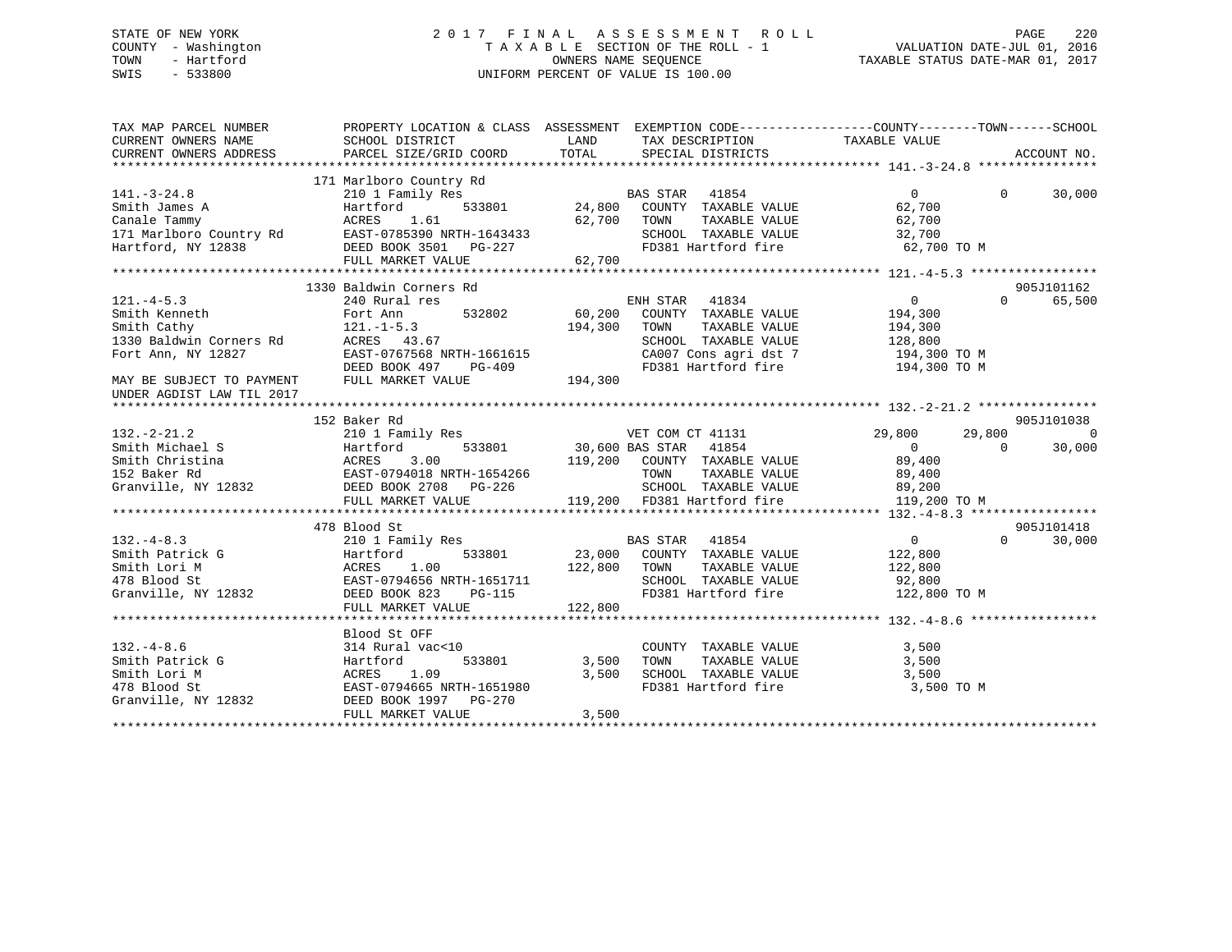# STATE OF NEW YORK 2 0 1 7 F I N A L A S S E S S M E N T R O L L PAGE 220 COUNTY - Washington T A X A B L E SECTION OF THE ROLL - 1 VALUATION DATE-JUL 01, 2016 TOWN - Hartford **TAXABLE STATUS DATE-MAR 01, 2017** SWIS - 533800 UNIFORM PERCENT OF VALUE IS 100.00

| TAX MAP PARCEL NUMBER                                                                                                                                                                                                                             |                                                                                                                                                                     |                                         |                                                                                                                                                                                   | PROPERTY LOCATION & CLASS ASSESSMENT EXEMPTION CODE----------------COUNTY-------TOWN------SCHOOL                           |                      |
|---------------------------------------------------------------------------------------------------------------------------------------------------------------------------------------------------------------------------------------------------|---------------------------------------------------------------------------------------------------------------------------------------------------------------------|-----------------------------------------|-----------------------------------------------------------------------------------------------------------------------------------------------------------------------------------|----------------------------------------------------------------------------------------------------------------------------|----------------------|
| $141. - 3 - 24.8$<br>Firition James A Fartford 533801 24,800<br>Canale Tammy ACRES 1.61 62,700<br>171 Marlboro Country Rd EAST-0785390 NRTH-1643433<br>Hartford, NY 12838 DEED BOOK 3501 PG-227<br>FULL MARKET VALUE 62,700                       | 171 Marlboro Country Rd<br>210 1 Family Res<br>FULL MARKET VALUE                                                                                                    | 62,700                                  | % yuntry Rd<br>1y Res 533801 24,800 COUNTY TAXABLE VALUE<br>533801 24,800 COUNTY TAXABLE VALUE<br>62,700 TOWN TAXABLE VALUE<br>SCHOOL TAXABLE VALUE 32,700<br>FD381 Hartford fire | $\Omega$<br>$\Omega$<br>62,700<br>62,700<br>62,700 TO M                                                                    | 30,000               |
|                                                                                                                                                                                                                                                   |                                                                                                                                                                     |                                         |                                                                                                                                                                                   |                                                                                                                            |                      |
| $121. -4 - 5.3$<br>Smith Kenneth<br>Smith Cathy<br>1330 Baldwin Corners Rd<br>Fort Ann, NY 12827                                                                                                                                                  | 1330 Baldwin Corners Rd<br>240 Rural res<br>532802<br>Fort Ann<br>$121. - 1 - 5.3$<br>ACRES 43.67<br>EAST-0767568 NRTH-1661615<br>DEED BOOK 497                     | 194,300<br>$PG-409$                     | ENH STAR 41834<br>$60,200$ COUNTY TAXABLE VALUE<br>TAXABLE VALUE<br>TOWN<br>SCHOOL TAXABLE VALUE 128,800                                                                          | $\overline{a}$<br>$\Omega$<br>194,300<br>194,300<br>CA007 Cons agri dst 7 194,300 TO M<br>FD381 Hartford fire 194,300 TO M | 905J101162<br>65,500 |
| MAY BE SUBJECT TO PAYMENT<br>UNDER AGDIST LAW TIL 2017                                                                                                                                                                                            | FULL MARKET VALUE                                                                                                                                                   | 194,300                                 |                                                                                                                                                                                   |                                                                                                                            |                      |
|                                                                                                                                                                                                                                                   | 152 Baker Rd                                                                                                                                                        |                                         |                                                                                                                                                                                   |                                                                                                                            | 905J101038           |
| $132. - 2 - 21.2$<br>Smith Michael S<br>Smith Michael S<br>Smith Christina (MCRES 3.00 19,200 COUNTY TAXABLE VALUE<br>152 Baker Rd EAST-0794018 NRTH-1654266 TOWN TAXABLE VALUE<br>Granville, NY 12832 DEED BOOK 2708 PG-226 SCHOOL TAXABLE VALUE |                                                                                                                                                                     |                                         | SCHOOL TAXABLE VALUE 89,200                                                                                                                                                       | 29,800<br>$\Omega$<br>89,400<br>89,400                                                                                     | $\Omega$<br>30,000   |
|                                                                                                                                                                                                                                                   |                                                                                                                                                                     |                                         |                                                                                                                                                                                   |                                                                                                                            |                      |
|                                                                                                                                                                                                                                                   | 478 Blood St                                                                                                                                                        |                                         |                                                                                                                                                                                   |                                                                                                                            | 905J101418           |
| 132.-4-8.3<br>Smith Patrick G<br>Smith Lori M<br>478 Blood St<br>Granville, NY 12832<br>2008 BLOOD EAST-0794656 NRTH-1651711<br>2008 BLOOD EAST-0794656 NRTH-1651711<br>2008 BLOOD BOOK 823<br>2015                                               | FULL MARKET VALUE                                                                                                                                                   | 122,800 TOWN<br>$\mathbf{1}$<br>122,800 | <b>BAS STAR</b> 41854<br>533801 23,000 COUNTY TAXABLE VALUE 122,800                                                                                                               | $\overline{0}$<br>$\Omega$<br>TAXABLE VALUE 122,800<br>SCHOOL TAXABLE VALUE 92,800<br>FD381 Hartford fire 122,800 TO M     | 30,000               |
|                                                                                                                                                                                                                                                   |                                                                                                                                                                     |                                         |                                                                                                                                                                                   |                                                                                                                            |                      |
| 132.-4-8.6<br>Smith Patrick G<br>Smith Lori M<br>478 Blood St<br>Granville, NY 12832                                                                                                                                                              | Blood St OFF<br>314 Rural vac<10<br>533801<br>Hartford<br>ACRES<br>1.09<br>ACRES 1.09<br>EAST-0794665 NRTH-1651980<br>DEED BOOK 1997    PG-270<br>FULL MARKET VALUE | 3,500<br>3,500<br>3,500                 | COUNTY TAXABLE VALUE<br>TAXABLE VALUE<br>TAXABLE VALUE<br>TOWN<br>SCHOOL TAXABLE VALUE 3,500<br>FD381 Hartford fire                                                               | 3,500<br>3,500<br>3,500 TO M                                                                                               |                      |
|                                                                                                                                                                                                                                                   |                                                                                                                                                                     |                                         |                                                                                                                                                                                   |                                                                                                                            |                      |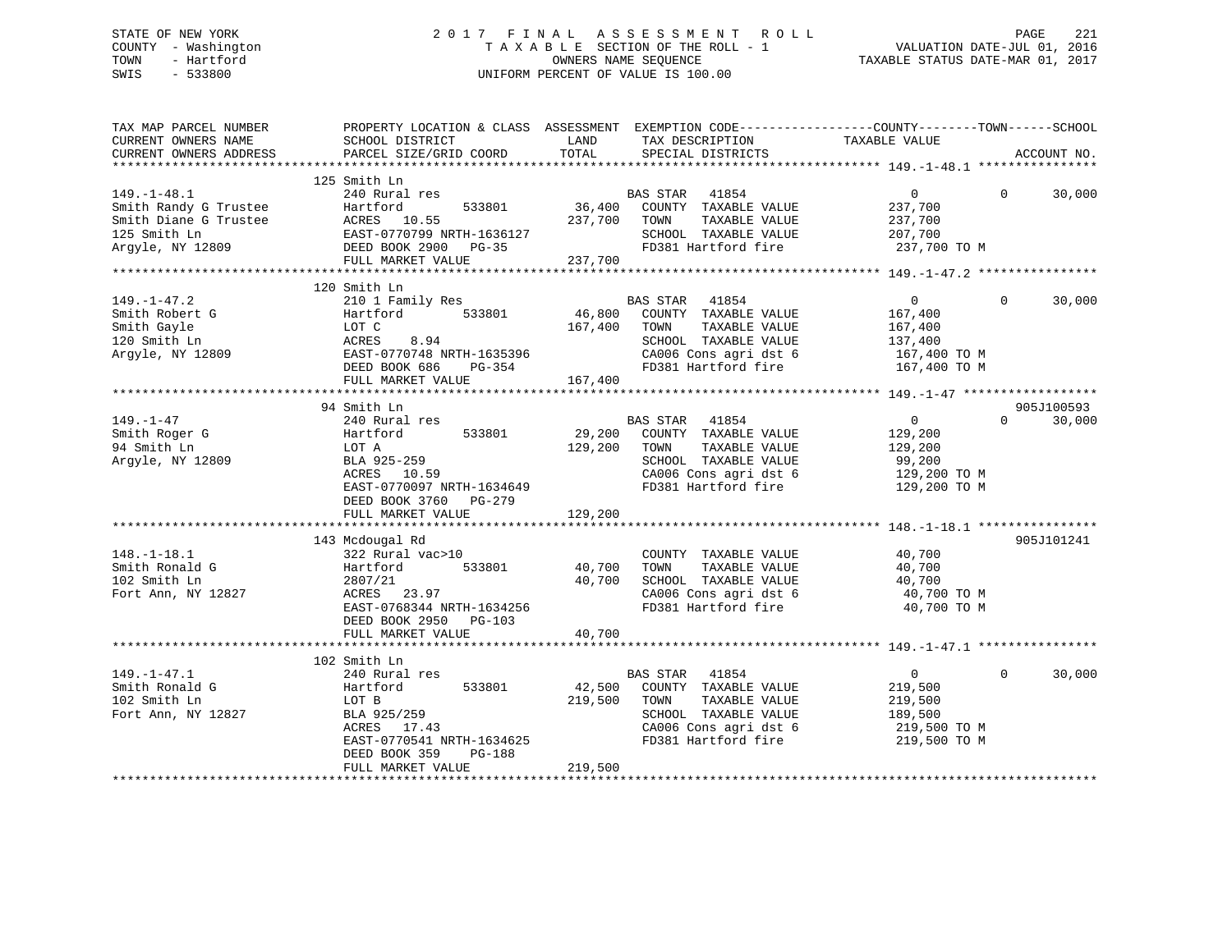# STATE OF NEW YORK 2 0 1 7 F I N A L A S S E S S M E N T R O L L PAGE 221 COUNTY - Washington T A X A B L E SECTION OF THE ROLL - 1 VALUATION DATE-JUL 01, 2016 TOWN - Hartford **TAXABLE STATUS DATE-MAR 01, 2017** SWIS - 533800 UNIFORM PERCENT OF VALUE IS 100.00

| TAX MAP PARCEL NUMBER<br>CURRENT OWNERS NAME<br>CURRENT OWNERS ADDRESS                                  | PROPERTY LOCATION & CLASS ASSESSMENT EXEMPTION CODE----------------COUNTY-------TOWN-----SCHOOL<br>SCHOOL DISTRICT<br>PARCEL SIZE/GRID COORD                                   | LAND<br>TOTAL                | TAX DESCRIPTION<br>SPECIAL DISTRICTS                                                                                                       | TAXABLE VALUE                                                                   | ACCOUNT NO.            |        |
|---------------------------------------------------------------------------------------------------------|--------------------------------------------------------------------------------------------------------------------------------------------------------------------------------|------------------------------|--------------------------------------------------------------------------------------------------------------------------------------------|---------------------------------------------------------------------------------|------------------------|--------|
|                                                                                                         |                                                                                                                                                                                |                              |                                                                                                                                            |                                                                                 |                        |        |
| $149. - 1 - 48.1$<br>Smith Randy G Trustee<br>Smith Diane G Trustee<br>125 Smith Ln<br>Argyle, NY 12809 | 125 Smith Ln<br>240 Rural res<br>533801<br>Hartford<br>ACRES<br>10.55<br>EAST-0770799 NRTH-1636127<br>DEED BOOK 2900<br>$PG-35$<br>FULL MARKET VALUE                           | 36,400<br>237,700<br>237,700 | BAS STAR 41854<br>COUNTY TAXABLE VALUE<br>TOWN<br>TAXABLE VALUE<br>SCHOOL TAXABLE VALUE<br>FD381 Hartford fire                             | $\overline{0}$<br>237,700<br>237,700<br>207,700<br>237,700 TO M                 | $\Omega$               | 30,000 |
|                                                                                                         |                                                                                                                                                                                |                              |                                                                                                                                            |                                                                                 |                        |        |
| $149. - 1 - 47.2$<br>Smith Robert G<br>Smith Gayle<br>120 Smith Ln<br>Argyle, NY 12809                  | 120 Smith Ln<br>210 1 Family Res<br>533801<br>Hartford<br>LOT C<br>8.94<br>ACRES<br>EAST-0770748 NRTH-1635396<br>DEED BOOK 686<br>$PG-354$<br>FULL MARKET VALUE                | 46,800<br>167,400<br>167,400 | BAS STAR<br>41854<br>COUNTY TAXABLE VALUE<br>TAXABLE VALUE<br>TOWN<br>SCHOOL TAXABLE VALUE<br>CA006 Cons agri dst 6<br>FD381 Hartford fire | $\overline{0}$<br>167,400<br>167,400<br>137,400<br>167,400 TO M<br>167,400 TO M | $\Omega$               | 30,000 |
|                                                                                                         |                                                                                                                                                                                |                              |                                                                                                                                            |                                                                                 |                        |        |
| $149. - 1 - 47$<br>Smith Roger G<br>94 Smith Ln<br>Argyle, NY 12809                                     | 94 Smith Ln<br>240 Rural res<br>533801<br>Hartford<br>LOT A<br>BLA 925-259<br>ACRES 10.59<br>EAST-0770097 NRTH-1634649<br>DEED BOOK 3760<br>$PG-279$<br>FULL MARKET VALUE      | 29,200<br>129,200<br>129,200 | BAS STAR<br>41854<br>COUNTY TAXABLE VALUE<br>TAXABLE VALUE<br>TOWN<br>SCHOOL TAXABLE VALUE<br>CA006 Cons agri dst 6<br>FD381 Hartford fire | $\overline{0}$<br>129,200<br>129,200<br>99,200<br>129,200 TO M<br>129,200 TO M  | 905J100593<br>$\Omega$ | 30,000 |
| $148. - 1 - 18.1$<br>Smith Ronald G<br>102 Smith Ln<br>Fort Ann, NY 12827                               | 143 Mcdougal Rd<br>322 Rural vac>10<br>533801<br>Hartford<br>2807/21<br>23.97<br>ACRES<br>EAST-0768344 NRTH-1634256<br>DEED BOOK 2950<br>PG-103                                | 40,700<br>40,700             | COUNTY TAXABLE VALUE<br>TOWN<br>TAXABLE VALUE<br>SCHOOL TAXABLE VALUE<br>CA006 Cons agri dst 6<br>FD381 Hartford fire                      | 40,700<br>40,700<br>40,700<br>40,700 TO M<br>40,700 TO M                        | 905J101241             |        |
|                                                                                                         | FULL MARKET VALUE                                                                                                                                                              | 40,700                       |                                                                                                                                            |                                                                                 |                        |        |
|                                                                                                         |                                                                                                                                                                                |                              |                                                                                                                                            |                                                                                 |                        |        |
| $149. - 1 - 47.1$<br>Smith Ronald G<br>102 Smith Ln<br>Fort Ann, NY 12827                               | 102 Smith Ln<br>240 Rural res<br>533801<br>Hartford<br>LOT B<br>BLA 925/259<br>ACRES 17.43<br>EAST-0770541 NRTH-1634625<br>DEED BOOK 359<br><b>PG-188</b><br>FULL MARKET VALUE | 42,500<br>219,500<br>219,500 | BAS STAR<br>41854<br>COUNTY TAXABLE VALUE<br>TOWN<br>TAXABLE VALUE<br>SCHOOL TAXABLE VALUE<br>CA006 Cons agri dst 6<br>FD381 Hartford fire | $\overline{0}$<br>219,500<br>219,500<br>189,500<br>219,500 TO M<br>219,500 TO M | $\Omega$               | 30,000 |
|                                                                                                         |                                                                                                                                                                                |                              |                                                                                                                                            |                                                                                 |                        |        |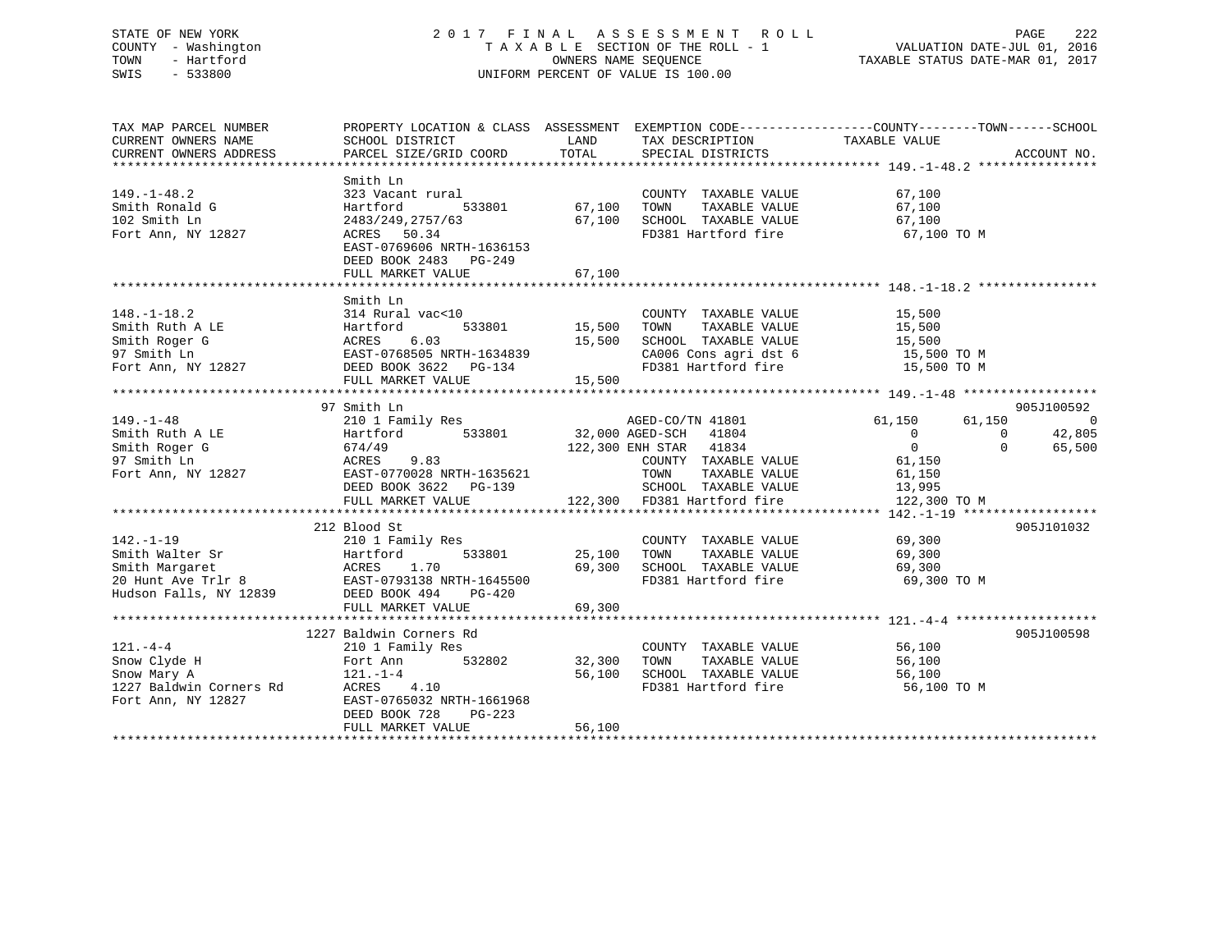# STATE OF NEW YORK 2 0 1 7 F I N A L A S S E S S M E N T R O L L PAGE 222 COUNTY - Washington T A X A B L E SECTION OF THE ROLL - 1 VALUATION DATE-JUL 01, 2016 TOWN - Hartford OWNERS NAME SEQUENCE TAXABLE STATUS DATE-MAR 01, 2017 SWIS - 533800 UNIFORM PERCENT OF VALUE IS 100.00

| TAX MAP PARCEL NUMBER<br>CURRENT OWNERS NAME<br>CURRENT OWNERS ADDRESS                                                         | PROPERTY LOCATION & CLASS ASSESSMENT EXEMPTION CODE---------------COUNTY-------TOWN-----SCHOOL<br>SCHOOL DISTRICT<br>PARCEL SIZE/GRID COORD                                                     | <b>LAND</b><br>TOTAL | TAX DESCRIPTION<br>SPECIAL DISTRICTS                                                                                                                                                                                                  | TAXABLE VALUE                                                                                      | ACCOUNT NO.                                                                                  |
|--------------------------------------------------------------------------------------------------------------------------------|-------------------------------------------------------------------------------------------------------------------------------------------------------------------------------------------------|----------------------|---------------------------------------------------------------------------------------------------------------------------------------------------------------------------------------------------------------------------------------|----------------------------------------------------------------------------------------------------|----------------------------------------------------------------------------------------------|
|                                                                                                                                |                                                                                                                                                                                                 |                      |                                                                                                                                                                                                                                       |                                                                                                    |                                                                                              |
| $149. - 1 - 48.2$<br>Smith Ronald G<br>102 Smith Ln<br>Fort Ann, NY 12827                                                      | Smith Ln<br>323 Vacant rural<br>533801<br>Hartford<br>2483/249,2757/63<br>ACRES 50.34<br>EAST-0769606 NRTH-1636153<br>DEED BOOK 2483 PG-249                                                     | 67,100<br>67,100     | COUNTY TAXABLE VALUE<br>TAXABLE VALUE<br>TOWN<br>SCHOOL TAXABLE VALUE<br>FD381 Hartford fire                                                                                                                                          | 67,100<br>67,100<br>67,100<br>67,100 TO M                                                          |                                                                                              |
|                                                                                                                                |                                                                                                                                                                                                 |                      |                                                                                                                                                                                                                                       |                                                                                                    |                                                                                              |
|                                                                                                                                |                                                                                                                                                                                                 |                      |                                                                                                                                                                                                                                       |                                                                                                    |                                                                                              |
| $148. - 1 - 18.2$                                                                                                              | Smith Ln<br>314 Rural vac<10<br>533801 15,500                                                                                                                                                   | 15,500<br>15,500     | COUNTY TAXABLE VALUE<br>TOWN<br>TAXABLE VALUE<br>SCHOOL TAXABLE VALUE<br>CA006 Cons agri dst 6 15,500 TO M<br>FD381 Hartford fire                                                                                                     | 15,500<br>15,500<br>15,500 TO M                                                                    |                                                                                              |
|                                                                                                                                |                                                                                                                                                                                                 |                      |                                                                                                                                                                                                                                       |                                                                                                    |                                                                                              |
| $149. - 1 - 48$<br>Smith Ruth A LE<br>Smith Roger G<br>97 Smith Ln<br>Fort Ann, NY 12827<br>$142. - 1 - 19$<br>Smith Walter Sr | 97 Smith Ln<br>210 1 Family Res<br>533801<br>Hartford<br>674/49<br>9.83<br>ACRES<br>EAST-0770028 NRTH-1635621<br>DEED BOOK 3622 PG-139<br>FULL MARKET VALUE<br>212 Blood St<br>210 1 Family Res | 25,100               | AGED-CO/TN 41801 61,150<br>AGED-CO/11 1-1804<br>32,000 AGED-SCH 41804<br>COUNTY TAXABLE VALUE<br>TAXABLE VALUE<br>TOWN<br>SCHOOL TAXABLE VALUE<br>122,300 FD381 Hartford fire<br>COUNTY TAXABLE VALUE 69,300<br>TOWN<br>TAXABLE VALUE | 61,150<br>$\overline{0}$<br>$\overline{0}$<br>61,150<br>61,150<br>13,995<br>122,300 TO M<br>69,300 | 905J100592<br>$\overline{0}$<br>42,805<br>$\overline{0}$<br>$\Omega$<br>65,500<br>905J101032 |
| Smith Margaret<br>20 Hunt Ave Trlr 8<br>Hudson Falls, NY 12839 DEED BOOK 494                                                   | Hartford 533801 25,100<br>ACRES 1.70 69,300<br>BAST-0793138 NRTH-1645500<br>PG-420                                                                                                              | 69,300               | SCHOOL TAXABLE VALUE<br>FD381 Hartford fire                                                                                                                                                                                           | 69,300<br>69,300 TO M                                                                              |                                                                                              |
|                                                                                                                                |                                                                                                                                                                                                 |                      |                                                                                                                                                                                                                                       |                                                                                                    |                                                                                              |
| $121. -4 -4$<br>Snow Clyde H<br>Snow Mary A<br>1227 Baldwin Corners Rd<br>Fort Ann, NY 12827                                   | 1227 Baldwin Corners Rd<br>210 1 Family Res<br>532802<br>Fort Ann<br>$121. - 1 - 4$<br>ACRES 4.10<br>EAST-0765032 NRTH-1661968<br>DEED BOOK 728<br>$PG-223$                                     | 32,300<br>56,100     | COUNTY TAXABLE VALUE<br>TOWN<br>TAXABLE VALUE<br>SCHOOL TAXABLE VALUE<br>FD381 Hartford fire                                                                                                                                          | 56,100<br>56,100<br>56,100<br>56,100 TO M                                                          | 905J100598                                                                                   |
|                                                                                                                                | FULL MARKET VALUE                                                                                                                                                                               | 56,100               |                                                                                                                                                                                                                                       |                                                                                                    |                                                                                              |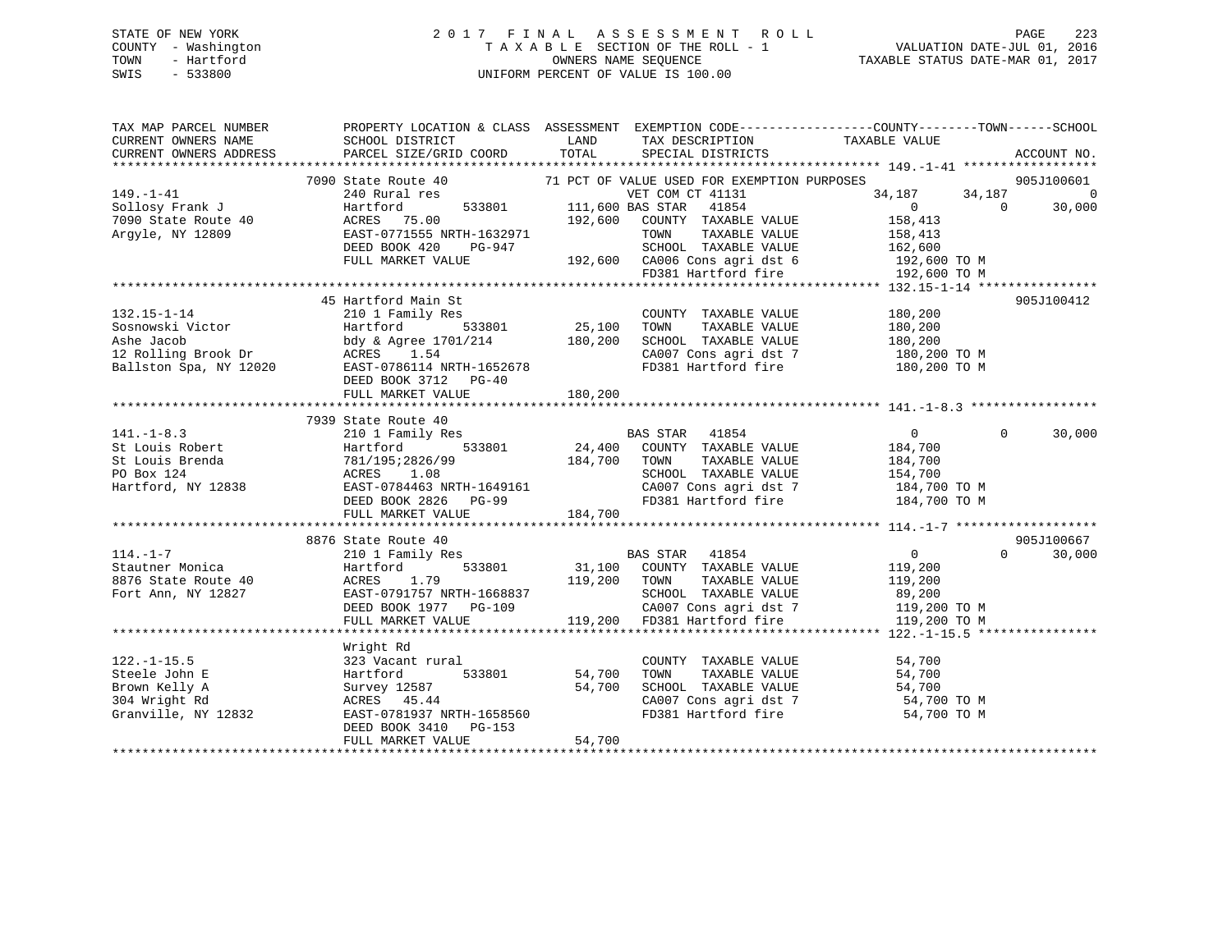# STATE OF NEW YORK 2 0 1 7 F I N A L A S S E S S M E N T R O L L PAGE 223 COUNTY - Washington T A X A B L E SECTION OF THE ROLL - 1 VALUATION DATE-JUL 01, 2016 TOWN - Hartford **TAXABLE STATUS DATE-MAR 01, 2017** SWIS - 533800 UNIFORM PERCENT OF VALUE IS 100.00

| TAX MAP PARCEL NUMBER          |                                                         |                                                                                                     | PROPERTY LOCATION & CLASS ASSESSMENT EXEMPTION CODE-----------------COUNTY-------TOWN------SCHOOL |
|--------------------------------|---------------------------------------------------------|-----------------------------------------------------------------------------------------------------|---------------------------------------------------------------------------------------------------|
| CURRENT OWNERS NAME            | SCHOOL DISTRICT                                         | TAX DESCRIPTION TAXABLE VALUE<br>LAND                                                               |                                                                                                   |
| CURRENT OWNERS ADDRESS         | PARCEL SIZE/GRID COORD                                  | TOTAL<br>SPECIAL DISTRICTS                                                                          | ACCOUNT NO.                                                                                       |
|                                |                                                         |                                                                                                     |                                                                                                   |
|                                |                                                         | 7090 State Route 40 71 PCT OF VALUE USED FOR EXEMPTION PURPOSES                                     | 905J100601                                                                                        |
| $149. - 1 - 41$                | 240 Rural res                                           | VET COM CT 41131                                                                                    | 34,187<br>34,187<br>$\overline{0}$                                                                |
| Sollosy Frank J                | Hartford                                                |                                                                                                     | $\overline{0}$<br>$\Omega$<br>30,000                                                              |
| 7090 State Route 40            | ACRES 75.00                                             | 533801 111,600 BAS STAR 41854<br>192,600 COUNTY TAXABLE<br>TRIVENTY TRIVENT<br>COUNTY TAXABLE VALUE | 158,413                                                                                           |
| Argyle, NY 12809               | EAST-0771555 NRTH-1632971                               | TOWN<br>TAXABLE VALUE                                                                               | 158,413                                                                                           |
|                                | PG-947<br>DEED BOOK 420                                 | SCHOOL TAXABLE VALUE 162,600                                                                        |                                                                                                   |
|                                | FULL MARKET VALUE                                       |                                                                                                     |                                                                                                   |
|                                |                                                         | 192,600 CA006 Cons agri dst 6 192,600 TO M<br>FD381 Hartford fire 192,600 TO M                      |                                                                                                   |
|                                |                                                         |                                                                                                     |                                                                                                   |
|                                | 45 Hartford Main St                                     |                                                                                                     | 905J100412                                                                                        |
| $132.15 - 1 - 14$              | 210 1 Family Res                                        | 25,100<br>COUNTY TAXABLE VALUE                                                                      | 180,200                                                                                           |
| Sosnowski Victor<br>Ashe Jacob | 533801<br>Hartford                                      | TAXABLE VALUE<br>TOWN                                                                               | 180,200                                                                                           |
| Ashe Jacob                     | bdy & Agree 1701/214 180,200                            | SCHOOL TAXABLE VALUE                                                                                | 180,200                                                                                           |
| 12 Rolling Brook Dr            | ACRES 1.54                                              |                                                                                                     | 180,200 TO M                                                                                      |
| Ballston Spa, NY 12020         | EAST-0786114 NRTH-1652678                               | CA007 Cons agri dst 7<br>FD381 Hartford fire                                                        | 180,200 TO M                                                                                      |
|                                | DEED BOOK 3712 PG-40                                    |                                                                                                     |                                                                                                   |
|                                | FULL MARKET VALUE                                       | 180,200                                                                                             |                                                                                                   |
|                                |                                                         |                                                                                                     |                                                                                                   |
|                                | 7939 State Route 40                                     |                                                                                                     |                                                                                                   |
| $141. - 1 - 8.3$               | 210 1 Family Res                                        |                                                                                                     | $\overline{0}$<br>$\Omega$<br>30,000                                                              |
| St Louis Robert                | 533801<br>Hartford                                      |                                                                                                     | 184,700                                                                                           |
| St Louis Brenda                |                                                         | BAS STAR 41854<br>24,400 COUNTY TAXABLE VALUE<br>184,700 TOWN TAXABLE VALUE                         | 184,700                                                                                           |
| PO Box 124                     | 781/195;2826/99<br>ACRES 1.08                           | SCHOOL TAXABLE VALUE                                                                                | 154,700                                                                                           |
| Hartford, NY 12838             | ACRES 1.08<br>EAST-0784463 NRTH-1649161                 |                                                                                                     | $\frac{1}{2}$ CA007 Cons agri dst 7 184,700 TO M                                                  |
|                                | DEED BOOK 2826 PG-99                                    |                                                                                                     | FD381 Hartford fire 184,700 TO M                                                                  |
|                                | FULL MARKET VALUE                                       | 184,700                                                                                             |                                                                                                   |
|                                |                                                         |                                                                                                     |                                                                                                   |
|                                | 8876 State Route 40                                     |                                                                                                     | 905J100667                                                                                        |
| $114. - 1 - 7$                 | 210 1 Family Res                                        |                                                                                                     | $0 \qquad \qquad$<br>$\Omega$<br>30,000                                                           |
| Stautner Monica                | $-2$ $122$ $533801$<br>Hartford                         | BAS STAR 41854<br>31,100 COUNTY TAXABLE VALUE                                                       | 119,200                                                                                           |
| 8876 State Route 40            | ACRES<br>1.79                                           | 119,200 TOWN<br>TAXABLE VALUE                                                                       | 119,200                                                                                           |
|                                |                                                         |                                                                                                     |                                                                                                   |
| Fort Ann, NY 12827             | EAST-0791757 NRTH-1668837                               | SCHOOL TAXABLE VALUE                                                                                | 89,200<br>CA007 Cons agri dst 7 119,200 TO M                                                      |
|                                | DEED BOOK 1977 PG-109<br>FIII.I. MADVER *******         |                                                                                                     |                                                                                                   |
|                                | FULL MARKET VALUE                                       | 119,200 FD381 Hartford fire                                                                         | 119,200 TO M                                                                                      |
|                                |                                                         |                                                                                                     |                                                                                                   |
|                                | Wright Rd                                               |                                                                                                     |                                                                                                   |
| $122. - 1 - 15.5$              | 323 Vacant rural                                        | COUNTY TAXABLE VALUE                                                                                | 54,700                                                                                            |
| Steele John E                  | 533801<br>Hartford                                      | 54,700<br>TAXABLE VALUE<br>TOWN                                                                     | 54,700                                                                                            |
| Brown Kelly A                  | Survey 12587                                            | 54,700<br>SCHOOL TAXABLE VALUE                                                                      | 54,700                                                                                            |
| 304 Wright Rd                  | ACRES 45.44                                             | CA007 Cons agri dst 7                                                                               | 54,700 TO M                                                                                       |
| Granville, NY 12832            | EAST-0781937 NRTH-1658560<br>DEED BOOK 3410 - 2410 - 25 | FD381 Hartford fire                                                                                 | 54,700 TO M                                                                                       |
|                                | DEED BOOK 3410 PG-153                                   |                                                                                                     |                                                                                                   |
|                                | FULL MARKET VALUE                                       | 54,700                                                                                              |                                                                                                   |
|                                |                                                         |                                                                                                     |                                                                                                   |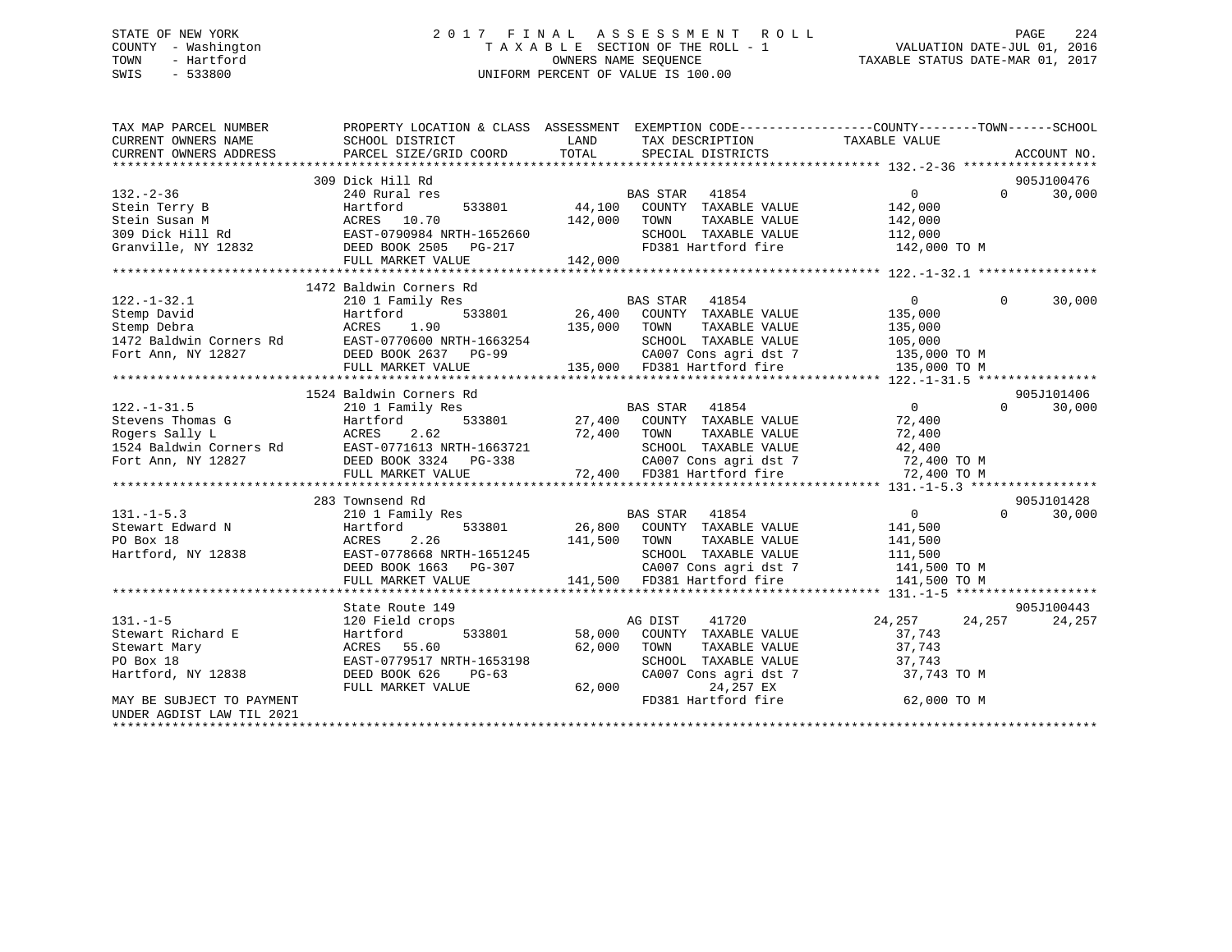# STATE OF NEW YORK 2 0 1 7 F I N A L A S S E S S M E N T R O L L PAGE 224 COUNTY - Washington T A X A B L E SECTION OF THE ROLL - 1 VALUATION DATE-JUL 01, 2016 TOWN - Hartford **TAXABLE STATUS DATE-MAR 01, 2017** SWIS - 533800 UNIFORM PERCENT OF VALUE IS 100.00

| TAX MAP PARCEL NUMBER<br>CURRENT OWNERS NAME | SCHOOL DISTRICT                                                                                                                                                                                       | LAND<br>TAX DESCRIPTION                                                     | PROPERTY LOCATION & CLASS ASSESSMENT EXEMPTION CODE---------------COUNTY-------TOWN-----SCHOOL<br>TAXABLE VALUE                                                                                                                            |
|----------------------------------------------|-------------------------------------------------------------------------------------------------------------------------------------------------------------------------------------------------------|-----------------------------------------------------------------------------|--------------------------------------------------------------------------------------------------------------------------------------------------------------------------------------------------------------------------------------------|
| CURRENT OWNERS ADDRESS                       | PARCEL SIZE/GRID COORD                                                                                                                                                                                | TOTAL<br>SPECIAL DISTRICTS                                                  | ACCOUNT NO.                                                                                                                                                                                                                                |
|                                              |                                                                                                                                                                                                       |                                                                             |                                                                                                                                                                                                                                            |
|                                              | 309 Dick Hill Rd<br>132.-2-36<br>Stein Terry B<br>Stein Susan M<br>309 Dick Hill Rd<br>Terry 12832<br>Terry 12832<br>Stein NY 12832<br>Terry Market VALUE<br>Terry Market VALUE<br>Terry Market VALUE |                                                                             | 905J100476                                                                                                                                                                                                                                 |
|                                              |                                                                                                                                                                                                       | BAS STAR<br>41854                                                           | $\overline{0}$<br>30,000<br>$\Omega$                                                                                                                                                                                                       |
|                                              |                                                                                                                                                                                                       | 533801 44,100<br>COUNTY TAXABLE VALUE<br>TAXABLE VALUE                      | 142,000<br>142,000                                                                                                                                                                                                                         |
|                                              |                                                                                                                                                                                                       | 142,000<br>TOWN                                                             |                                                                                                                                                                                                                                            |
|                                              |                                                                                                                                                                                                       | SCHOOL TAXABLE VALUE 112,000                                                |                                                                                                                                                                                                                                            |
|                                              |                                                                                                                                                                                                       | FD381 Hartford fire                                                         | 142,000 TO M                                                                                                                                                                                                                               |
|                                              |                                                                                                                                                                                                       | 142,000                                                                     |                                                                                                                                                                                                                                            |
|                                              |                                                                                                                                                                                                       |                                                                             |                                                                                                                                                                                                                                            |
|                                              | 1472 Baldwin Corners Rd                                                                                                                                                                               |                                                                             |                                                                                                                                                                                                                                            |
| $122. - 1 - 32.1$                            | 210 1 Family Res                                                                                                                                                                                      | <b>BAS STAR</b><br>41854                                                    | $\overline{0}$<br>$\Omega$<br>30,000                                                                                                                                                                                                       |
| Stemp David                                  | 533801<br>Hartford                                                                                                                                                                                    | 26,400 COUNTY TAXABLE VALUE<br>135,000 TOWN TAXABLE VALUE                   | 135,000                                                                                                                                                                                                                                    |
| Stemp Debra                                  | ACRES<br>1.90                                                                                                                                                                                         |                                                                             | 135,000                                                                                                                                                                                                                                    |
|                                              |                                                                                                                                                                                                       |                                                                             |                                                                                                                                                                                                                                            |
|                                              |                                                                                                                                                                                                       |                                                                             |                                                                                                                                                                                                                                            |
|                                              |                                                                                                                                                                                                       |                                                                             | 1472 Baldwin Corners Rd 2007 Cons agri det 7<br>Fort Ann, NY 12827<br>Fort Ann, NY 12827<br>FULL MARKET VALUE 2000 METH-1663254<br>FULL MARKET VALUE 2007 Cons agri det 7 135,000 TO M<br>20.007 Cons agri det 7 135,000 TO M<br>20.007 Co |
|                                              |                                                                                                                                                                                                       |                                                                             |                                                                                                                                                                                                                                            |
|                                              | 1524 Baldwin Corners Rd                                                                                                                                                                               |                                                                             | 905J101406                                                                                                                                                                                                                                 |
| $122. - 1 - 31.5$                            | 210 1 Family Res                                                                                                                                                                                      | BAS STAR 41854                                                              | $\overline{0}$<br>$\Omega$<br>30,000                                                                                                                                                                                                       |
|                                              |                                                                                                                                                                                                       | 533801 27,400 COUNTY TAXABLE VALUE                                          | 72,400                                                                                                                                                                                                                                     |
|                                              | Stevens Thomas G<br>Rogers Sally L<br>1524 Baldwin Corners Rd<br>1524 Baldwin Corners Rd<br>1524 Baldwin Corners Rd<br>1683721<br>1683721                                                             | 72,400<br>TOWN<br>TAXABLE VALUE                                             | 72,400                                                                                                                                                                                                                                     |
|                                              |                                                                                                                                                                                                       | SCHOOL TAXABLE VALUE                                                        | 42,400                                                                                                                                                                                                                                     |
|                                              | Fort Ann, NY 12827 DEED BOOK 3324 PG-338                                                                                                                                                              | CA007 Cons agri dst 7<br>72,400 TO M 72,400 FD381 Hartford fire 72,400 TO M |                                                                                                                                                                                                                                            |
|                                              | FULL MARKET VALUE                                                                                                                                                                                     |                                                                             |                                                                                                                                                                                                                                            |
|                                              |                                                                                                                                                                                                       |                                                                             |                                                                                                                                                                                                                                            |
|                                              | 283 Townsend Rd                                                                                                                                                                                       |                                                                             | 905J101428                                                                                                                                                                                                                                 |
| $131. -1 - 5.3$                              | 210 1 Family Res                                                                                                                                                                                      | BAS STAR 41854                                                              | $\overline{0}$<br>$\Omega$<br>30,000                                                                                                                                                                                                       |
| Stewart Edward N                             | Hartford<br>533801                                                                                                                                                                                    | 26,800 COUNTY TAXABLE VALUE                                                 | 141,500                                                                                                                                                                                                                                    |
|                                              |                                                                                                                                                                                                       |                                                                             |                                                                                                                                                                                                                                            |
|                                              |                                                                                                                                                                                                       |                                                                             |                                                                                                                                                                                                                                            |
|                                              |                                                                                                                                                                                                       |                                                                             |                                                                                                                                                                                                                                            |
|                                              |                                                                                                                                                                                                       |                                                                             |                                                                                                                                                                                                                                            |
|                                              |                                                                                                                                                                                                       |                                                                             |                                                                                                                                                                                                                                            |
|                                              | State Route 149                                                                                                                                                                                       |                                                                             | 905J100443                                                                                                                                                                                                                                 |
| $131. -1 - 5$                                | 120 Field crops                                                                                                                                                                                       | 41720<br>AG DIST                                                            | 24, 257 24, 257<br>24,257                                                                                                                                                                                                                  |
| Stewart Richard E                            | Hartford                                                                                                                                                                                              | 533801 58,000<br>COUNTY TAXABLE VALUE                                       | 37,743                                                                                                                                                                                                                                     |
| Stewart Mary                                 | ACRES 55.60                                                                                                                                                                                           | 62,000<br>TOWN<br>TAXABLE VALUE                                             | 37,743                                                                                                                                                                                                                                     |
| PO Box 18                                    | EAST-0779517 NRTH-1653198                                                                                                                                                                             | SCHOOL TAXABLE VALUE                                                        | 37,743                                                                                                                                                                                                                                     |
| Hartford, NY 12838                           | DEED BOOK 626<br>PG-63                                                                                                                                                                                | CA007 Cons agri dst 7                                                       | 37,743 TO M                                                                                                                                                                                                                                |
|                                              | FULL MARKET VALUE                                                                                                                                                                                     | 62,000<br>24,257 EX                                                         |                                                                                                                                                                                                                                            |
| MAY BE SUBJECT TO PAYMENT                    |                                                                                                                                                                                                       | FD381 Hartford fire                                                         | 62,000 TO M                                                                                                                                                                                                                                |
| UNDER AGDIST LAW TIL 2021                    |                                                                                                                                                                                                       |                                                                             |                                                                                                                                                                                                                                            |
|                                              |                                                                                                                                                                                                       |                                                                             |                                                                                                                                                                                                                                            |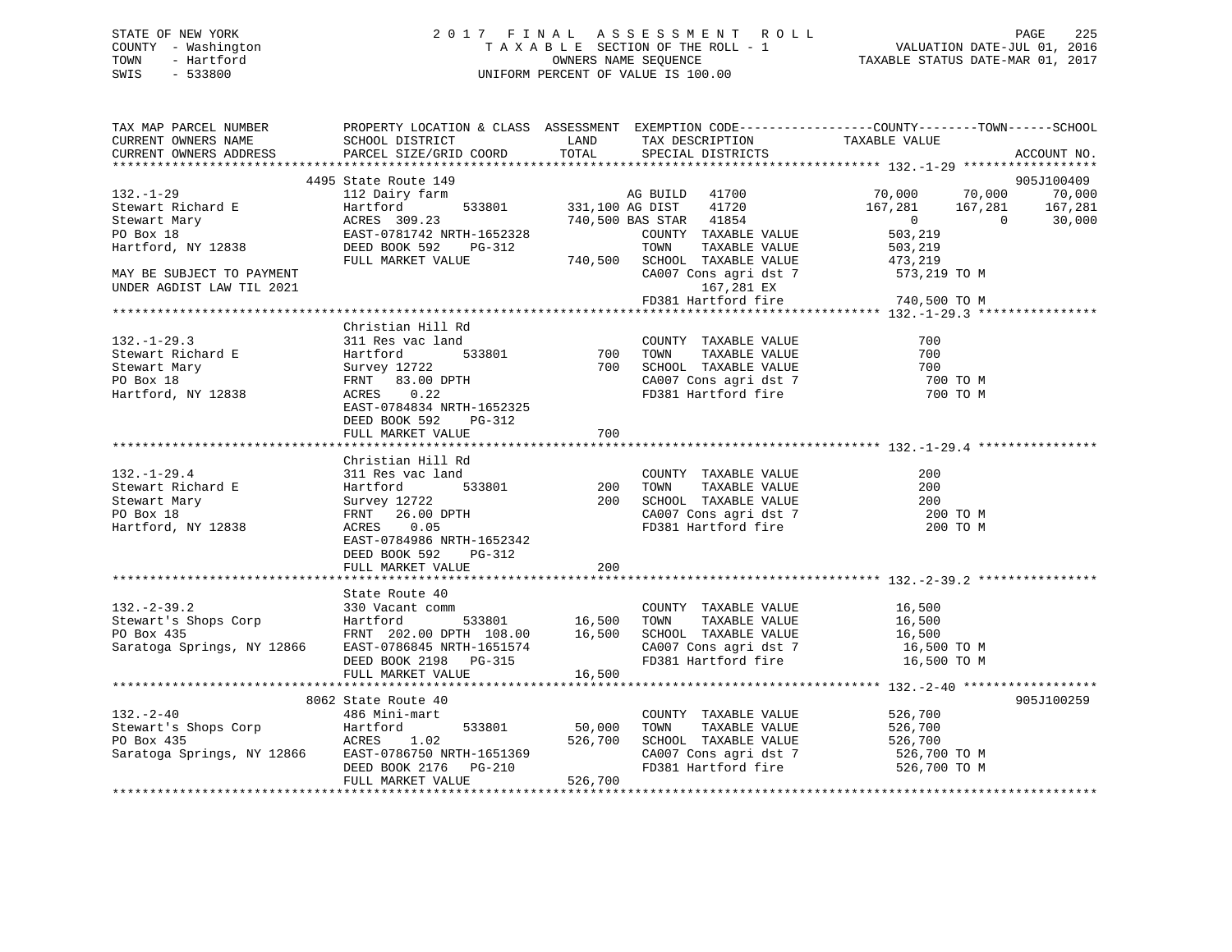# STATE OF NEW YORK 2 0 1 7 F I N A L A S S E S S M E N T R O L L PAGE 225 COUNTY - Washington T A X A B L E SECTION OF THE ROLL - 1 VALUATION DATE-JUL 01, 2016 TOWN - Hartford **TAXABLE STATUS DATE-MAR 01, 2017** SWIS - 533800 UNIFORM PERCENT OF VALUE IS 100.00

| TAX MAP PARCEL NUMBER<br>CURRENT OWNERS NAME<br>CURRENT OWNERS ADDRESS                       | SCHOOL DISTRICT<br>PARCEL SIZE/GRID COORD                                                       | LAND<br>TOTAL          | TAX DESCRIPTION<br>SPECIAL DISTRICTS                                                           | PROPERTY LOCATION & CLASS ASSESSMENT EXEMPTION CODE----------------COUNTY-------TOWN-----SCHOOL<br>TAXABLE VALUE | ACCOUNT NO.          |
|----------------------------------------------------------------------------------------------|-------------------------------------------------------------------------------------------------|------------------------|------------------------------------------------------------------------------------------------|------------------------------------------------------------------------------------------------------------------|----------------------|
|                                                                                              |                                                                                                 |                        |                                                                                                |                                                                                                                  |                      |
| $132. - 1 - 29$                                                                              | 4495 State Route 149<br>112 Dairy farm                                                          |                        |                                                                                                | AG BUILD 41700 70,000 70,000                                                                                     | 905J100409<br>70,000 |
| 132. 1 22<br>Stewart Richard E<br>Thouart Mary                                               | Hartford<br>ACRES 309.23                                                                        | 533801 331,100 AG DIST | 41720<br>740,500 BAS STAR 41854                                                                | $167,281$ $167,281$ $167,281$<br>0 0 30,000                                                                      |                      |
| PO Box 18<br>Hartford, NY 12838                                                              | EAST-0781742 NRTH-1652328<br>DEED BOOK 592<br>FULL MARKET VALUE                                 |                        | COUNTY TAXABLE VALUE<br>PG-312<br>PG-312<br>NLUE 740,500 SCHOOL TAXABLE VALUE<br>TAXABLE VALUE | 503,219<br>503,219<br>473,219                                                                                    |                      |
| MAY BE SUBJECT TO PAYMENT<br>UNDER AGDIST LAW TIL 2021                                       |                                                                                                 |                        | 167,281 EX                                                                                     | CA007 Cons agri dst 7 573,219 TO M<br>FD381 Hartford fire 740,500 TO M                                           |                      |
|                                                                                              |                                                                                                 |                        |                                                                                                |                                                                                                                  |                      |
| $132. - 1 - 29.3$                                                                            | Christian Hill Rd<br>311 Res vac land                                                           |                        | COUNTY TAXABLE VALUE                                                                           | 700                                                                                                              |                      |
| Stewart Richard E<br>Stewart Mary<br>PO Box 18                                               | 533801<br>Hartford<br>Survey 12722<br>FRNT 83.00 DPTH                                           |                        | 700 TOWN TAXABLE VALUE<br>700 SCHOOL TAXABLE VALUE                                             | 700<br>700<br>700 TO M                                                                                           |                      |
| Hartford, NY 12838                                                                           | ACRES 0.22<br>EAST-0784834 NRTH-1652325<br>DEED BOOK 592<br>PG-312<br>FULL MARKET VALUE         | 700                    | CA007 Cons agri dst 7<br>FD381 Hartford fire                                                   | 700 TO M                                                                                                         |                      |
|                                                                                              |                                                                                                 |                        |                                                                                                |                                                                                                                  |                      |
|                                                                                              | Christian Hill Rd                                                                               |                        |                                                                                                |                                                                                                                  |                      |
| $132. - 1 - 29.4$                                                                            | 311 Res vac land                                                                                |                        | COUNTY TAXABLE VALUE                                                                           | 200                                                                                                              |                      |
| Stewart Richard E<br>Stewart Mary                                                            | 533801<br>22<br>Hartford<br>Survey 12722                                                        | 200<br>200             | TOWN<br>TAXABLE VALUE<br>SCHOOL TAXABLE VALUE                                                  | 200<br>200                                                                                                       |                      |
| PO Box 18                                                                                    | FRNT 26.00 DPTH                                                                                 |                        |                                                                                                | 200 TO M                                                                                                         |                      |
| Hartford, NY 12838                                                                           | 0.05<br>ACRES<br>EAST-0784986 NRTH-1652342<br>DEED BOOK 592<br>PG-312                           |                        | CA007 Cons agri dst 7<br>FD381 Hartford fire                                                   | 200 TO M                                                                                                         |                      |
|                                                                                              | FULL MARKET VALUE                                                                               | $200 -$                |                                                                                                |                                                                                                                  |                      |
|                                                                                              | State Route 40                                                                                  |                        |                                                                                                |                                                                                                                  |                      |
| $132. - 2 - 39.2$<br>Stewart's Shops Corp                                                    | 330 Vacant comm<br>Hartford<br>FRNT 202.00 DPTH 108.00 16,500<br>FRNT 202.00 DPTH 108.00 16,500 | 533801 16,500 TOWN     | COUNTY TAXABLE VALUE<br>TOWN TAXABLE VALUE                                                     | 16,500<br>16,500                                                                                                 |                      |
| PO Box 435<br>Saratoga Springs, NY 12866 EAST-0786845 NRTH-1651574                           | DEED BOOK 2198 PG-315                                                                           |                        | SCHOOL TAXABLE VALUE<br>CA007 Cons agri dst 7<br>FD381 Hartford fire                           | 16,500<br>16,500 TO M<br>16,500 TO M                                                                             |                      |
|                                                                                              | FULL MARKET VALUE                                                                               | 16,500                 |                                                                                                |                                                                                                                  |                      |
|                                                                                              |                                                                                                 |                        |                                                                                                |                                                                                                                  |                      |
|                                                                                              | 8062 State Route 40                                                                             |                        |                                                                                                |                                                                                                                  | 905J100259           |
| $132 - 2 - 40$                                                                               | 486 Mini-mart                                                                                   |                        | COUNTY TAXABLE VALUE                                                                           | 526,700                                                                                                          |                      |
| Stewart's Shops Corp<br>PO Box 435                                                           | Hartford<br>ACRES       1.02<br>533801 50,000                                                   | 526,700                | TAXABLE VALUE<br>TOWN<br>SCHOOL TAXABLE VALUE                                                  | 526,700<br>526,700                                                                                               |                      |
| PO Box 435<br>Saratoga Springs, NY 12866 EAST-0786750 NRTH-1651369<br>---- 2007 0136 PM 0136 |                                                                                                 |                        |                                                                                                |                                                                                                                  |                      |
|                                                                                              | DEED BOOK 2176 PG-210<br>FULL MARKET VALUE                                                      | 526,700                | FD381 Hartford fire                                                                            | CA007 Cons agri dst 7 526,700 TO M<br>526,700 TO M                                                               |                      |
|                                                                                              |                                                                                                 |                        |                                                                                                |                                                                                                                  |                      |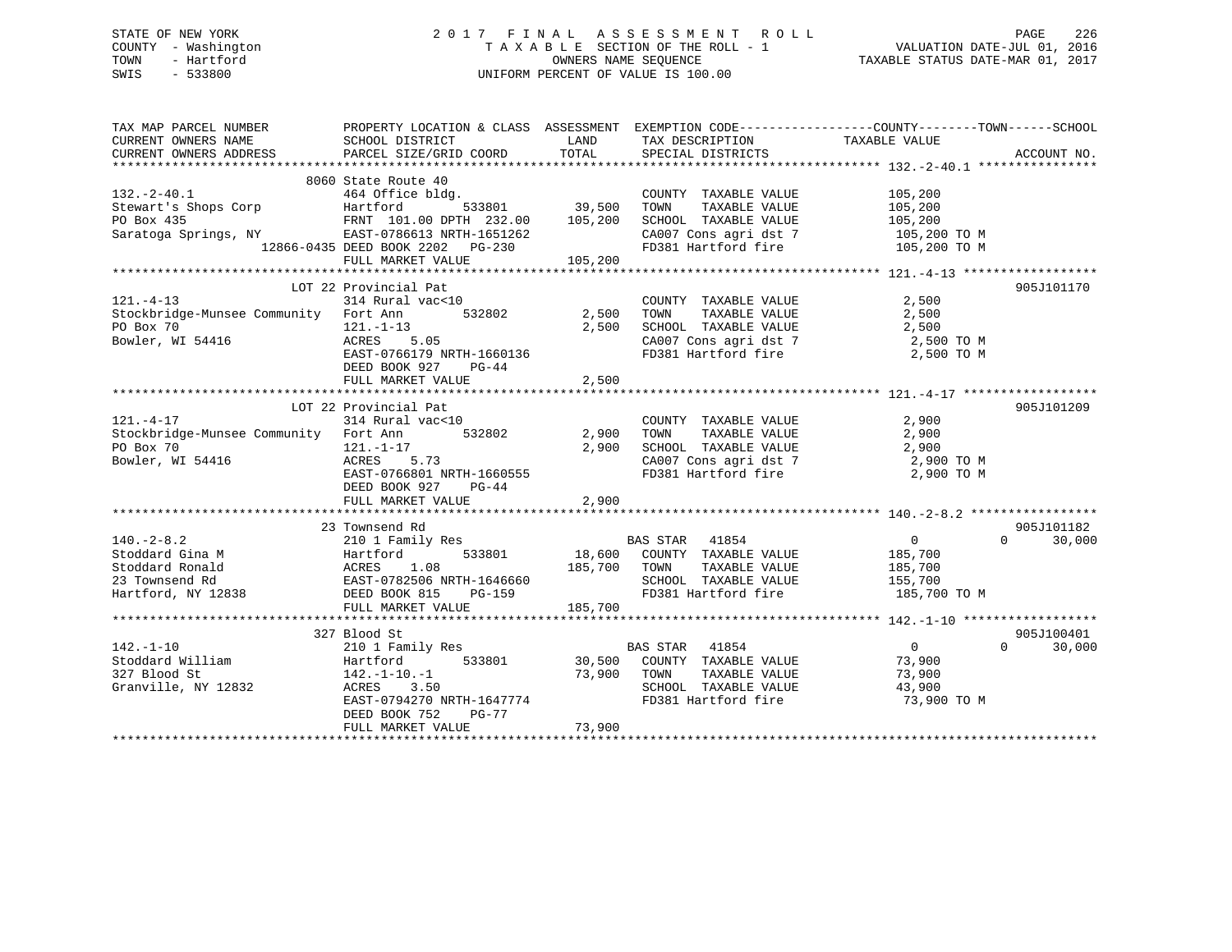# STATE OF NEW YORK 2 0 1 7 F I N A L A S S E S S M E N T R O L L PAGE 226 COUNTY - Washington T A X A B L E SECTION OF THE ROLL - 1 VALUATION DATE-JUL 01, 2016 TOWN - Hartford **TAXABLE STATUS DATE-MAR 01, 2017** SWIS - 533800 UNIFORM PERCENT OF VALUE IS 100.00

| TAX MAP PARCEL NUMBER                                                                                                                                                                                                                                    |                                                                                                                                                        |                                            |                                                                                                                                                                                                                                                                                                                                |                                                                                               |                                  |
|----------------------------------------------------------------------------------------------------------------------------------------------------------------------------------------------------------------------------------------------------------|--------------------------------------------------------------------------------------------------------------------------------------------------------|--------------------------------------------|--------------------------------------------------------------------------------------------------------------------------------------------------------------------------------------------------------------------------------------------------------------------------------------------------------------------------------|-----------------------------------------------------------------------------------------------|----------------------------------|
| 8060 State Route 40<br>32.-2-40.1 464 Office bldg. COUNTY<br>Stewart's Shops Corp Hartford 533801 39,500 TOWN<br>PO Box 435 FRNT 101.00 DPTH 232.00 105,200 SCHOOL<br>Saratoga Springs, NY EAST-0786613 NRTH-1651262 CA007 Co<br>12866-0                 | 8060 State Route 40                                                                                                                                    |                                            | COUNTY TAXABLE VALUE<br>TAXABLE VALUE<br>SCHOOL TAXABLE VALUE 105,200<br>CA007 Cons agri dst 7 105,200 TO M<br>FD381 Hartford fire 105,200 TO M                                                                                                                                                                                | 105,200<br>105,200                                                                            |                                  |
| $121. - 4 - 13$<br>Stockbridge-Munsee Community Fort Ann<br>PO Box 70<br>Bowler, WI 54416 121.-1-13<br>ACRES 5.05                                                                                                                                        | LOT 22 Provincial Pat<br>314 Rural vac<10<br>EAST-0766179 NRTH-1660136<br>DEED BOOK 927 PG-44<br>FULL MARKET VALUE                                     | )<br>532802      2 , 500<br>2,500<br>2,500 | $\begin{tabular}{lllllllllll} \multicolumn{2}{c}{\text{COUNTY}} & \text{TAXABLE} & \text{VALUE} & & \text{2 , 500} \\ \multicolumn{2}{c}{\text{TOWN}} & \text{TAXABLE} & \text{VALUE} & & \text{2 , 500} \\ \end{tabular}$<br>SCHOOL TAXABLE VALUE 2,500<br>CA007 Cons agri dst 7 2,500 TO M<br>FD381 Hartford fire 2,500 TO M |                                                                                               | 905J101170                       |
| PO Box 70<br>Bowler, WI 54416                                                                                                                                                                                                                            | LOT 22 Provincial Pat<br>$121. - 1 - 17$<br>ACRES 5.73<br>EAST-0766801 NRTH-1660555<br>DEED BOOK 927 PG-44<br>FULL MARKET VALUE                        | 2,900                                      | COUNTY TAXABLE VALUE 2,900<br>2,900 TOWN TAXABLE VALUE 2,900<br>2,900 SCHOOL TAXABLE VALUE 2,900<br>2,900 CA007 Care a multiple 1<br>CA007 Cons agri dst 7<br>FD381 Hartford fire                                                                                                                                              | 2,900 TO M<br>2,900 TO M                                                                      | 905J101209                       |
| 140.-2-8.2<br>3.10 1 Family Res<br>3.10 1 Family Res<br>3.3801<br>3.10 1 Family Res<br>5.33801<br>3.5 700 COUNTY TAXABLE VALUE<br>3.700 TOWN TAXABLE VALUE<br>185,700<br>2.3 Townsend Rd<br>2.3 Townsend Rd<br>2.3 Townsend Rd<br>2.3 Townsend Rd<br>2.3 |                                                                                                                                                        | 185,700                                    | FD381 Hartford fire 185,700 TO M                                                                                                                                                                                                                                                                                               |                                                                                               | 905J101182<br>30,000<br>$\Omega$ |
| $142. - 1 - 10$<br>142.-1-10 210 1 Family I<br>Stoddard William Hartford<br>327 Blood St 142.-1-10.-1<br>Granville, NY 12832 ACRES 3.50                                                                                                                  | 327 Blood St<br>210 1 Family Res<br>142.-1-10.-1<br>ACRES 3.50<br>EAST-0794270 NRTH-1647774<br>FD381 Hz<br>DEED BOOK 752<br>PG-77<br>FULL MARKET VALUE | 73,900                                     | ly Res<br>533801 30,500 COUNTY TAXABLE VALUE<br>SCHOOL TAXABLE VALUE 43,900<br>FD381 Hartford fire 73,900                                                                                                                                                                                                                      | $\begin{array}{c}\n0 \\ 73.000\n\end{array}$<br>73,900<br>TAXABLE VALUE 73,900<br>73,900 TO M | 905J100401<br>$\Omega$<br>30,000 |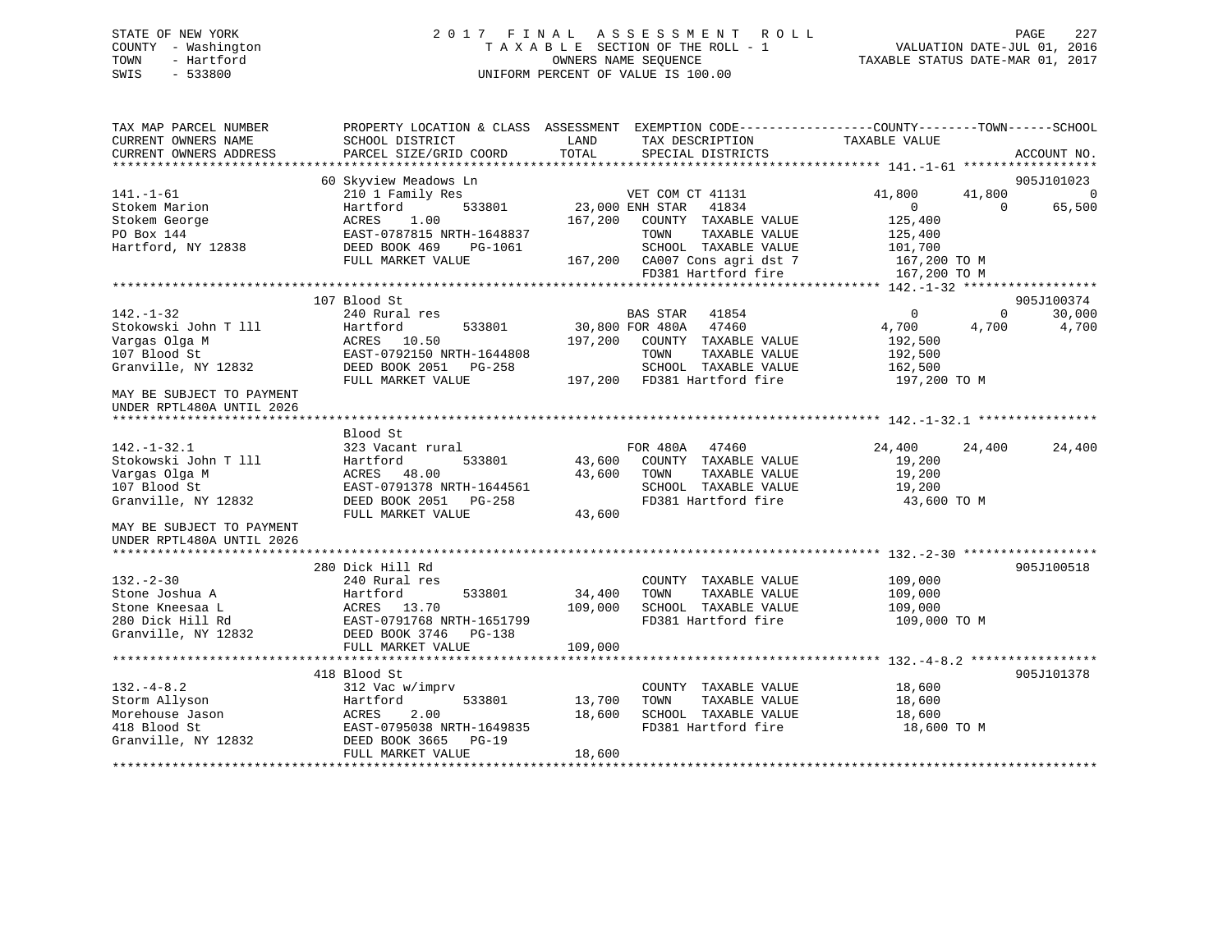# STATE OF NEW YORK 2 0 1 7 F I N A L A S S E S S M E N T R O L L PAGE 227 COUNTY - Washington T A X A B L E SECTION OF THE ROLL - 1 VALUATION DATE-JUL 01, 2016 TOWN - Hartford OWNERS NAME SEQUENCE TAXABLE STATUS DATE-MAR 01, 2017 SWIS - 533800 UNIFORM PERCENT OF VALUE IS 100.00

| TAX MAP PARCEL NUMBER<br>CURRENT OWNERS NAME<br>CURRENT OWNERS ADDRESS | PROPERTY LOCATION & CLASS ASSESSMENT<br>SCHOOL DISTRICT<br>PARCEL SIZE/GRID COORD | LAND<br>TAX DESCRIPTION<br>TOTAL<br>SPECIAL DISTRICTS   | EXEMPTION CODE-----------------COUNTY-------TOWN------SCHOOL<br>TAXABLE VALUE | ACCOUNT NO.                  |
|------------------------------------------------------------------------|-----------------------------------------------------------------------------------|---------------------------------------------------------|-------------------------------------------------------------------------------|------------------------------|
| $141. - 1 - 61$                                                        | 60 Skyview Meadows Ln<br>210 1 Family Res                                         | VET COM CT 41131                                        | 41,800<br>41,800                                                              | 905J101023<br>$\overline{0}$ |
| Stokem Marion                                                          | Hartford<br>533801                                                                | 23,000 ENH STAR<br>41834                                | $\overline{0}$<br>$\Omega$                                                    | 65,500                       |
| Stokem George                                                          | ACRES<br>1.00                                                                     | 167,200<br>COUNTY TAXABLE VALUE                         | 125,400                                                                       |                              |
| PO Box 144                                                             | EAST-0787815 NRTH-1648837                                                         | TAXABLE VALUE<br>TOWN                                   | 125,400                                                                       |                              |
| Hartford, NY 12838                                                     | DEED BOOK 469<br>PG-1061                                                          | SCHOOL TAXABLE VALUE                                    | 101,700                                                                       |                              |
|                                                                        | FULL MARKET VALUE                                                                 | 167,200 CA007 Cons agri dst 7                           | 167,200 ТО М                                                                  |                              |
|                                                                        |                                                                                   | FD381 Hartford fire                                     | 167,200 TO M                                                                  |                              |
|                                                                        | 107 Blood St                                                                      |                                                         |                                                                               | 905J100374                   |
| $142. - 1 - 32$                                                        | 240 Rural res                                                                     | BAS STAR<br>41854                                       | $\mathbf{0}$<br>$\mathbf{0}$                                                  | 30,000                       |
| Stokowski John T 111                                                   | Hartford<br>533801                                                                | 30,800 FOR 480A<br>47460                                | 4,700<br>4,700                                                                | 4,700                        |
| Vargas Olga M                                                          | ACRES 10.50                                                                       | 197,200<br>COUNTY TAXABLE VALUE                         | 192,500                                                                       |                              |
| 107 Blood St                                                           | EAST-0792150 NRTH-1644808                                                         | TOWN<br>TAXABLE VALUE                                   | 192,500                                                                       |                              |
| Granville, NY 12832                                                    | DEED BOOK 2051 PG-258                                                             | SCHOOL TAXABLE VALUE                                    | 162,500                                                                       |                              |
|                                                                        | FULL MARKET VALUE                                                                 | 197,200 FD381 Hartford fire                             | 197,200 TO M                                                                  |                              |
| MAY BE SUBJECT TO PAYMENT<br>UNDER RPTL480A UNTIL 2026                 |                                                                                   |                                                         |                                                                               |                              |
|                                                                        |                                                                                   |                                                         |                                                                               |                              |
| $142. - 1 - 32.1$                                                      | Blood St<br>323 Vacant rural                                                      | FOR 480A<br>47460                                       | 24,400<br>24,400                                                              | 24,400                       |
| Stokowski John T 111                                                   | Hartford<br>533801                                                                | 43,600<br>COUNTY TAXABLE VALUE                          | 19,200                                                                        |                              |
| Vargas Olga M                                                          | ACRES 48.00                                                                       | TAXABLE VALUE<br>43,600<br>TOWN                         | 19,200                                                                        |                              |
| 107 Blood St                                                           | EAST-0791378 NRTH-1644561                                                         | SCHOOL TAXABLE VALUE                                    | 19,200                                                                        |                              |
| Granville, NY 12832                                                    | DEED BOOK 2051 PG-258                                                             | FD381 Hartford fire                                     | 43,600 TO M                                                                   |                              |
|                                                                        | FULL MARKET VALUE                                                                 | 43,600                                                  |                                                                               |                              |
| MAY BE SUBJECT TO PAYMENT<br>UNDER RPTL480A UNTIL 2026                 |                                                                                   |                                                         |                                                                               |                              |
|                                                                        |                                                                                   |                                                         |                                                                               |                              |
| $132 - 2 - 30$                                                         | 280 Dick Hill Rd                                                                  |                                                         |                                                                               | 905J100518                   |
| Stone Joshua A                                                         | 240 Rural res<br>Hartford<br>533801                                               | COUNTY TAXABLE VALUE<br>34,400<br>TAXABLE VALUE<br>TOWN | 109,000<br>109,000                                                            |                              |
| Stone Kneesaa L                                                        | 13.70<br>ACRES                                                                    | 109,000<br>SCHOOL TAXABLE VALUE                         | 109,000                                                                       |                              |
| 280 Dick Hill Rd                                                       | EAST-0791768 NRTH-1651799                                                         | FD381 Hartford fire                                     | 109,000 TO M                                                                  |                              |
| Granville, NY 12832                                                    | DEED BOOK 3746 PG-138                                                             |                                                         |                                                                               |                              |
|                                                                        | FULL MARKET VALUE                                                                 | 109,000                                                 |                                                                               |                              |
|                                                                        |                                                                                   |                                                         |                                                                               |                              |
|                                                                        | 418 Blood St                                                                      |                                                         |                                                                               | 905J101378                   |
| $132. -4 - 8.2$                                                        | 312 Vac w/imprv                                                                   | COUNTY TAXABLE VALUE                                    | 18,600                                                                        |                              |
| Storm Allyson                                                          | 533801<br>Hartford                                                                | 13,700<br>TAXABLE VALUE<br>TOWN                         | 18,600                                                                        |                              |
| Morehouse Jason                                                        | 2.00<br>ACRES                                                                     | 18,600<br>SCHOOL TAXABLE VALUE                          | 18,600                                                                        |                              |
| 418 Blood St                                                           | EAST-0795038 NRTH-1649835                                                         | FD381 Hartford fire                                     | 18,600 TO M                                                                   |                              |
| Granville, NY 12832                                                    | DEED BOOK 3665<br>$PG-19$                                                         |                                                         |                                                                               |                              |
|                                                                        | FULL MARKET VALUE                                                                 | 18,600                                                  |                                                                               |                              |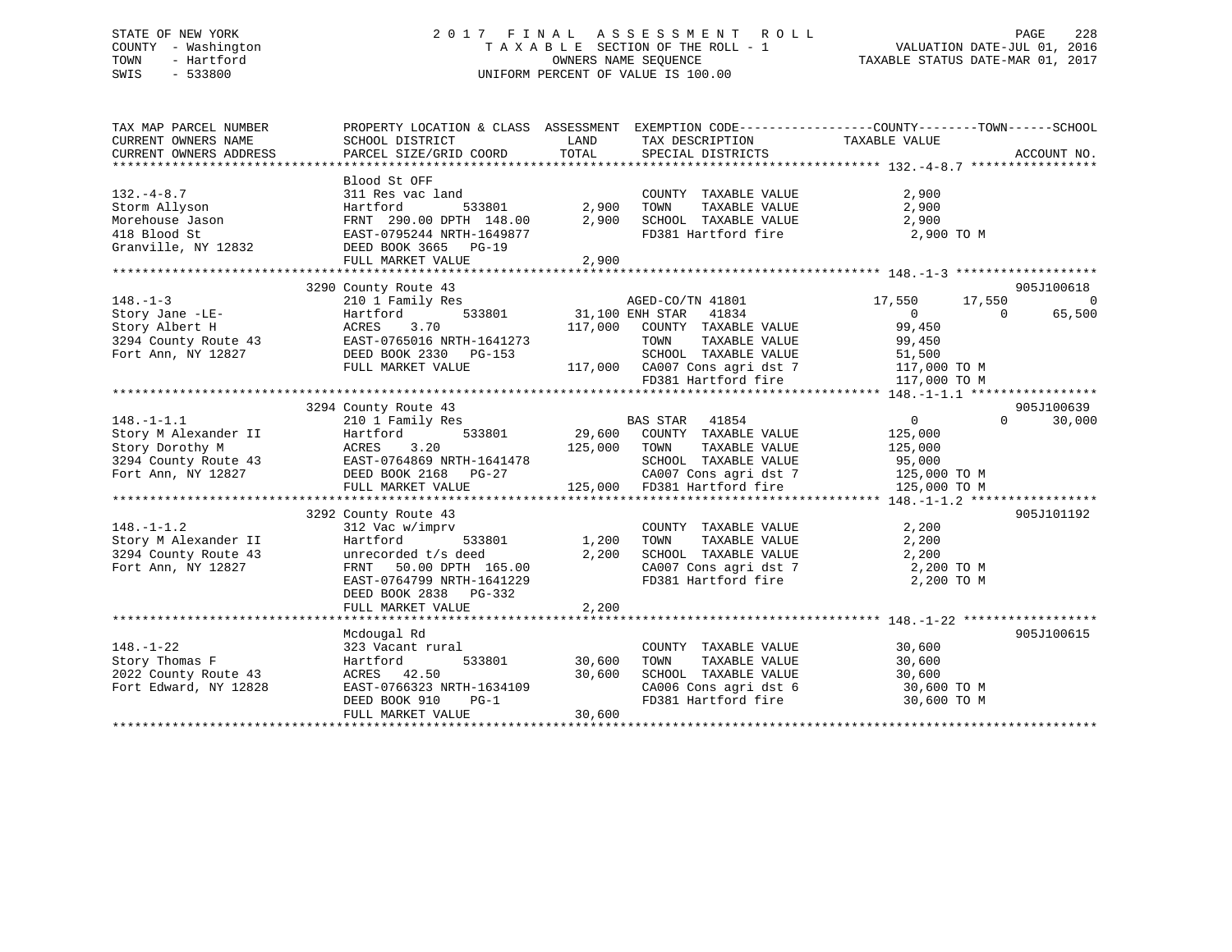# STATE OF NEW YORK 2 0 1 7 F I N A L A S S E S S M E N T R O L L PAGE 228 COUNTY - Washington T A X A B L E SECTION OF THE ROLL - 1 VALUATION DATE-JUL 01, 2016 TOWN - Hartford **TAXABLE STATUS DATE-MAR 01, 2017** SWIS - 533800 UNIFORM PERCENT OF VALUE IS 100.00

| TAX MAP PARCEL NUMBER<br>CURRENT OWNERS NAME<br>CURRENT OWNERS ADDRESS             | PROPERTY LOCATION & CLASS ASSESSMENT EXEMPTION CODE---------------COUNTY-------TOWN-----SCHOOL<br>SCHOOL DISTRICT<br>PARCEL SIZE/GRID COORD                                                                                                                                                                                                                                                                                                                                                                                                                                                                                                                                         | LAND<br>TOTAL           | TAX DESCRIPTION<br>SPECIAL DISTRICTS                                                                                                          | TAXABLE VALUE                                                                    | ACCOUNT NO.                                    |
|------------------------------------------------------------------------------------|-------------------------------------------------------------------------------------------------------------------------------------------------------------------------------------------------------------------------------------------------------------------------------------------------------------------------------------------------------------------------------------------------------------------------------------------------------------------------------------------------------------------------------------------------------------------------------------------------------------------------------------------------------------------------------------|-------------------------|-----------------------------------------------------------------------------------------------------------------------------------------------|----------------------------------------------------------------------------------|------------------------------------------------|
|                                                                                    |                                                                                                                                                                                                                                                                                                                                                                                                                                                                                                                                                                                                                                                                                     |                         |                                                                                                                                               |                                                                                  |                                                |
| $132. -4 - 8.7$                                                                    | Blood St OFF<br>311 Res vac land                                                                                                                                                                                                                                                                                                                                                                                                                                                                                                                                                                                                                                                    |                         | COUNTY TAXABLE VALUE<br>FD381 Hartford fire 2,900 TO M                                                                                        | 2,900                                                                            |                                                |
|                                                                                    | FULL MARKET VALUE                                                                                                                                                                                                                                                                                                                                                                                                                                                                                                                                                                                                                                                                   | 2,900                   |                                                                                                                                               |                                                                                  |                                                |
|                                                                                    |                                                                                                                                                                                                                                                                                                                                                                                                                                                                                                                                                                                                                                                                                     |                         |                                                                                                                                               |                                                                                  |                                                |
| $148. - 1 - 3$                                                                     | 3290 County Route 43<br>210 1 Family Res                                                                                                                                                                                                                                                                                                                                                                                                                                                                                                                                                                                                                                            |                         | 8<br>533801 17,550<br>533801 31,100 ENH STAR 41834<br>117,000 COUNTY TAXABLE VALUE<br>99,450                                                  |                                                                                  | 905J100618<br>0<br>65,500<br>$\overline{0}$    |
|                                                                                    |                                                                                                                                                                                                                                                                                                                                                                                                                                                                                                                                                                                                                                                                                     |                         |                                                                                                                                               |                                                                                  |                                                |
| $148. - 1 - 1.2$<br>Story M Alexander II                                           | $\begin{tabular}{lllllllllllll} \multicolumn{3}{c }{\begin{tabular}{l} \multicolumn{3}{c}{\begin{tabular}{l} \multicolumn{3}{c}{\begin{tabular}{l} \multicolumn{3}{c}{\begin{tabular}{l} \multicolumn{3}{c}{\begin{tabular}{l} \multicolumn{3}{c}{\begin{tabular}{l} \multicolumn{3}{c}{\begin{tabular}{l} \multicolumn{3}{c}{\begin{tabular}{l} \multicolumn{3}{c}{\begin{tabular}{l} \multicolumn{3}{c}{\begin{tabular}{l} \multicolumn{3}{c}{\begin{tabular}{l} \multicolumn{3}{c}{\begin{tabular}{l} \$<br>3292 County Route 43<br>$\begin{array}{llllll} 312 \text{ Vac } \text{w}/\text{imprv} & \text{COUNTY} \\ \text{Hartford} & 533801 & 1,200 & \text{TOWN} \end{array}$ |                         | TAXABLE VALUE<br>$\frac{1}{25,000}$ Toms agri dst 7 125,000 TO M<br>125,000 FD381 Hartford fire<br>COUNTY TAXABLE VALUE<br>TOWN TAXABLE VALUE | $\overline{0}$<br>125,000<br>125,000<br>95,000<br>125,000 TO M<br>2,200<br>2,200 | 905J100639<br>30,000<br>$\Omega$<br>905J101192 |
| 3294 County Route 43<br>Fort Ann, NY 12827                                         | unrecorded $t/s$ deed 2,200<br>FRNT 50.00 DPTH 165.00<br>EAST-0764799 NRTH-1641229<br>DEED BOOK 2838 PG-332<br>FULL MARKET VALUE                                                                                                                                                                                                                                                                                                                                                                                                                                                                                                                                                    | 2,200                   | SCHOOL TAXABLE VALUE 2,200<br>CA007 Cons agri dst 7<br>FD381 Hartford fire                                                                    | 2,200 TO M<br>2,200 TO M                                                         |                                                |
|                                                                                    |                                                                                                                                                                                                                                                                                                                                                                                                                                                                                                                                                                                                                                                                                     |                         |                                                                                                                                               |                                                                                  |                                                |
| $148. - 1 - 22$<br>Story Thomas F<br>2022 County Route 43<br>Fort Edward, NY 12828 | Mcdougal Rd<br>323 Vacant rural<br>Hartford<br>ACRES 42.50<br>ACRES 42.50 30,600<br>EAST-0766323 NRTH-1634109<br>DEED BOOK 910 PG-1<br>FULL MARKET VALUE 30,600                                                                                                                                                                                                                                                                                                                                                                                                                                                                                                                     | 533801 30,600<br>30,600 | COUNTY TAXABLE VALUE 30,600<br>TOWN<br>SCHOOL TAXABLE VALUE 30,600<br>CA006 Cons agri dst 6 30,600 TO M<br>FD381 Hartford fire 30,600 TO M    | TAXABLE VALUE 30,600                                                             | 905J100615                                     |
|                                                                                    |                                                                                                                                                                                                                                                                                                                                                                                                                                                                                                                                                                                                                                                                                     |                         |                                                                                                                                               |                                                                                  |                                                |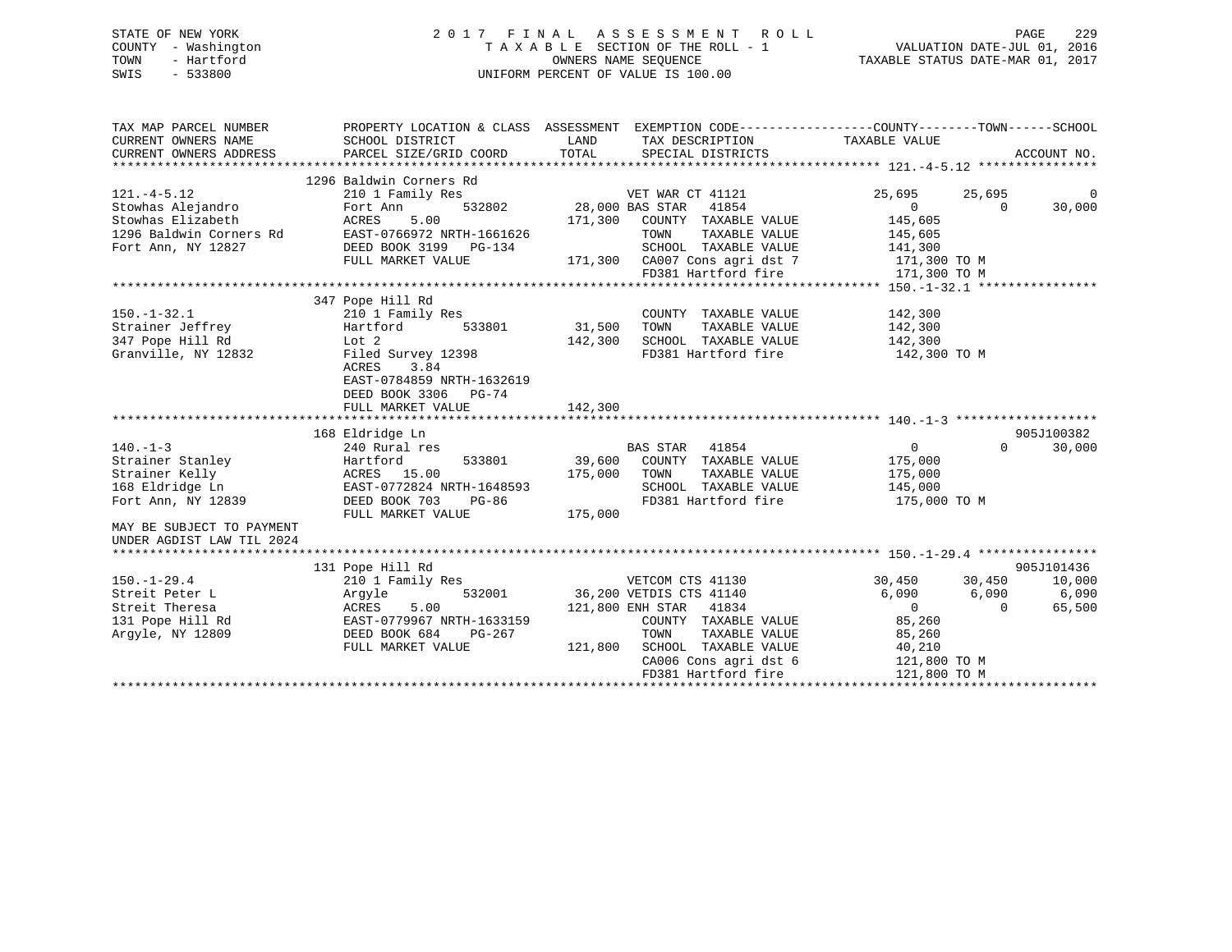# STATE OF NEW YORK 2 0 1 7 F I N A L A S S E S S M E N T R O L L PAGE 229 COUNTY - Washington T A X A B L E SECTION OF THE ROLL - 1 VALUATION DATE-JUL 01, 2016 TOWN - Hartford **TAXABLE STATUS DATE-MAR 01, 2017** SWIS - 533800 UNIFORM PERCENT OF VALUE IS 100.00

| TAX MAP PARCEL NUMBER<br>CURRENT OWNERS NAME<br>CURRENT OWNERS ADDRESS                                                                                 | SCHOOL DISTRICT<br>PARCEL SIZE/GRID COORD                                                                                                                                                   | PROPERTY LOCATION & CLASS ASSESSMENT EXEMPTION CODE---------------COUNTY-------TOWN------SCHOOL<br>LAND<br>TAX DESCRIPTION<br>TOTAL<br>SPECIAL DISTRICTS                                                  | TAXABLE VALUE<br>ACCOUNT NO.                                                                                                                                        |
|--------------------------------------------------------------------------------------------------------------------------------------------------------|---------------------------------------------------------------------------------------------------------------------------------------------------------------------------------------------|-----------------------------------------------------------------------------------------------------------------------------------------------------------------------------------------------------------|---------------------------------------------------------------------------------------------------------------------------------------------------------------------|
| $121. -4 - 5.12$<br>Stowhas Alejandro<br>Stowhas Elizabeth<br>1296 Baldwin Corners Rd<br>Fort Ann, NY 12827                                            | 1296 Baldwin Corners Rd<br>210 1 Family Res<br>Fort Ann<br>532802<br>5.00<br>ACRES<br>EAST-0766972 NRTH-1661626<br>DEED BOOK 3199 PG-134<br>FULL MARKET VALUE                               | VET WAR CT 41121<br>28,000 BAS STAR 41854<br>171,300<br>COUNTY TAXABLE VALUE<br>TOWN<br>TAXABLE VALUE<br>SCHOOL TAXABLE VALUE<br>171,300 CA007 Cons agri dst 7<br>FD381 Hartford fire                     | 25,695<br>25,695<br>$\Omega$<br>$\Omega$<br>30,000<br>$\Omega$<br>145,605<br>145,605<br>141,300<br>171,300 TO M<br>171,300 TO M                                     |
| $150. - 1 - 32.1$<br>Strainer Jeffrey<br>347 Pope Hill Rd<br>Granville, NY 12832                                                                       | 347 Pope Hill Rd<br>210 1 Family Res<br>Hartford<br>533801<br>Lot 2<br>Filed Survey 12398<br><b>ACRES</b><br>3.84<br>EAST-0784859 NRTH-1632619<br>DEED BOOK 3306 PG-74<br>FULL MARKET VALUE | COUNTY TAXABLE VALUE<br>31,500<br>TOWN<br>TAXABLE VALUE<br>SCHOOL TAXABLE VALUE<br>142,300<br>FD381 Hartford fire<br>142,300                                                                              | 142,300<br>142,300<br>142,300<br>142,300 TO M                                                                                                                       |
| $140. -1 - 3$<br>Strainer Stanley<br>Strainer Kelly<br>168 Eldridge Ln<br>Fort Ann, NY 12839<br>MAY BE SUBJECT TO PAYMENT<br>UNDER AGDIST LAW TIL 2024 | 168 Eldridge Ln<br>240 Rural res<br>Hartford<br>533801<br>ACRES 15.00<br>EAST-0772824 NRTH-1648593<br>DEED BOOK 703<br>PG-86<br>FULL MARKET VALUE                                           | BAS STAR 41854<br>39,600<br>COUNTY TAXABLE VALUE<br>175,000<br>TOWN<br>TAXABLE VALUE<br>SCHOOL TAXABLE VALUE<br>FD381 Hartford fire<br>175,000                                                            | 905J100382<br>0<br>$\Omega$<br>30,000<br>175,000<br>175,000<br>145,000<br>175,000 TO M                                                                              |
| $150. - 1 - 29.4$<br>Streit Peter L<br>Streit Theresa<br>131 Pope Hill Rd<br>Argyle, NY 12809                                                          | 131 Pope Hill Rd<br>210 1 Family Res<br>532001<br>Argyle<br>ACRES<br>5.00<br>EAST-0779967 NRTH-1633159<br>DEED BOOK 684<br>PG-267<br>FULL MARKET VALUE                                      | VETCOM CTS 41130<br>36,200 VETDIS CTS 41140<br>121,800 ENH STAR 41834<br>COUNTY TAXABLE VALUE<br>TAXABLE VALUE<br>TOWN<br>SCHOOL TAXABLE VALUE<br>121,800<br>CA006 Cons agri dst 6<br>FD381 Hartford fire | 905J101436<br>30,450<br>30,450<br>10,000<br>6,090<br>6,090<br>6,090<br>$\Omega$<br>65,500<br>$\Omega$<br>85,260<br>85,260<br>40,210<br>121,800 TO M<br>121,800 TO M |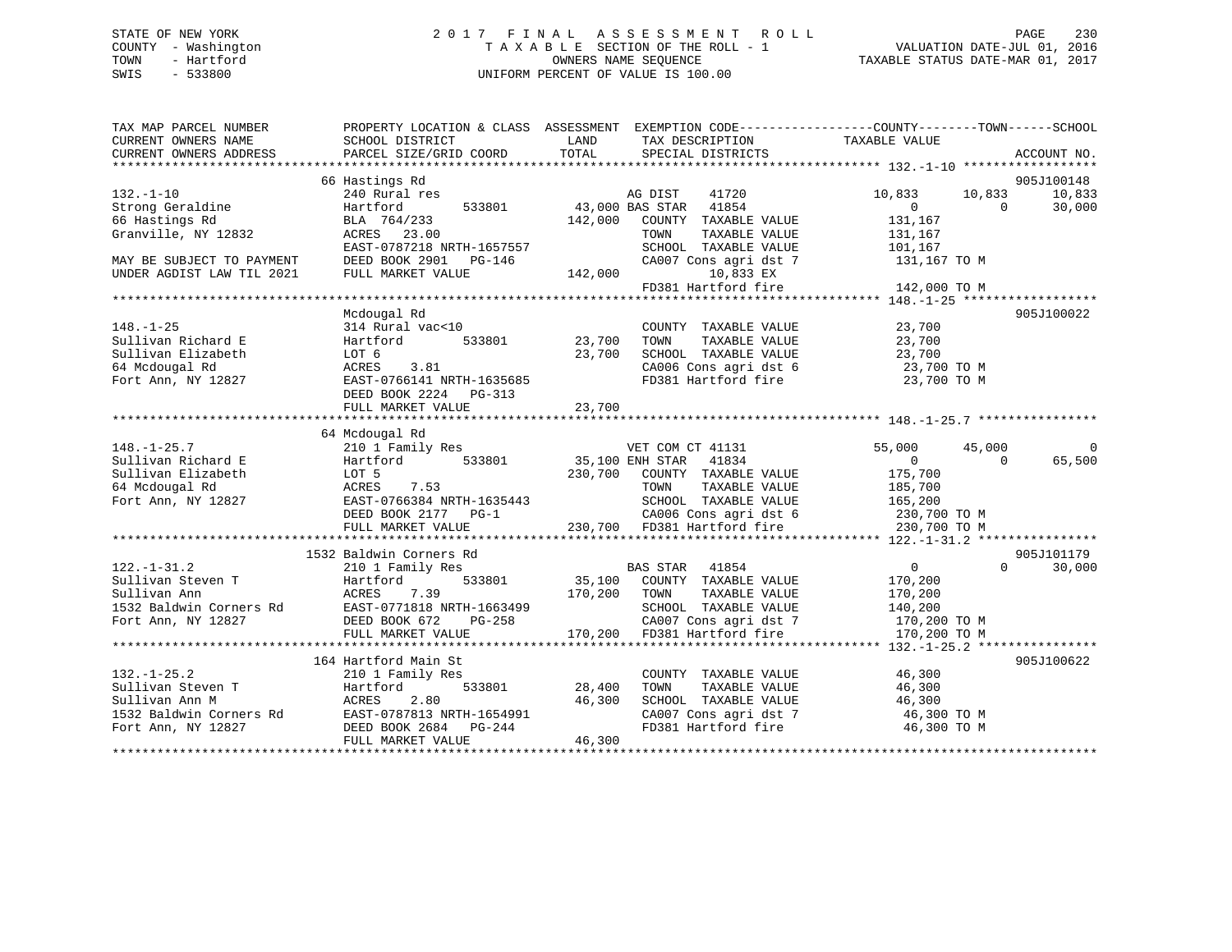# STATE OF NEW YORK 2 0 1 7 F I N A L A S S E S S M E N T R O L L PAGE 230 COUNTY - Washington T A X A B L E SECTION OF THE ROLL - 1 VALUATION DATE-JUL 01, 2016 TOWN - Hartford **TAXABLE STATUS DATE-MAR 01, 2017** SWIS - 533800 UNIFORM PERCENT OF VALUE IS 100.00

| TAX MAP PARCEL NUMBER<br>CURRENT OWNERS NAME | SCHOOL DISTRICT                            | PROPERTY LOCATION & CLASS ASSESSMENT EXEMPTION CODE----------------COUNTY-------TOWN------SCHOOL<br>LAND<br>TAX DESCRIPTION | TAXABLE VALUE                        |
|----------------------------------------------|--------------------------------------------|-----------------------------------------------------------------------------------------------------------------------------|--------------------------------------|
| CURRENT OWNERS ADDRESS                       | PARCEL SIZE/GRID COORD                     | TOTAL<br>SPECIAL DISTRICTS                                                                                                  | ACCOUNT NO.                          |
|                                              |                                            |                                                                                                                             |                                      |
|                                              | 66 Hastings Rd                             |                                                                                                                             | 905J100148                           |
| $132. - 1 - 10$                              | 240 Rural res                              | 41720<br>AG DIST                                                                                                            | 10,833<br>10,833<br>10,833           |
| Strong Geraldine                             | 533801<br>Hartford                         | 43,000 BAS STAR<br>41854                                                                                                    | $\Omega$<br>30,000<br>$\Omega$       |
| 66 Hastings Rd                               | BLA 764/233                                | 142,000<br>COUNTY TAXABLE VALUE                                                                                             | 131,167                              |
| Granville, NY 12832                          | ACRES 23.00                                | TOWN<br>TAXABLE VALUE                                                                                                       | 131,167                              |
|                                              | EAST-0787218 NRTH-1657557                  | SCHOOL TAXABLE VALUE                                                                                                        | 101,167                              |
| MAY BE SUBJECT TO PAYMENT                    | DEED BOOK 2901 PG-146                      | CA007 Cons agri dst 7                                                                                                       | 131,167 TO M                         |
| UNDER AGDIST LAW TIL 2021                    | FULL MARKET VALUE                          | 142,000<br>10,833 EX                                                                                                        |                                      |
|                                              |                                            | FD381 Hartford fire                                                                                                         | 142,000 TO M                         |
|                                              |                                            |                                                                                                                             |                                      |
|                                              | Mcdougal Rd                                |                                                                                                                             | 905J100022                           |
| $148. - 1 - 25$                              | 314 Rural vac<10                           | COUNTY TAXABLE VALUE                                                                                                        | 23,700                               |
| Sullivan Richard E                           | 533801<br>Hartford                         | 23,700<br>TAXABLE VALUE<br>TOWN                                                                                             | 23,700                               |
| Sullivan Elizabeth                           | LOT 6                                      | 23,700<br>SCHOOL TAXABLE VALUE                                                                                              | 23,700                               |
| 64 Mcdougal Rd                               | ACRES<br>3.81                              | CA006 Cons agri dst 6                                                                                                       | 23,700 TO M                          |
| Fort Ann, NY 12827                           | EAST-0766141 NRTH-1635685                  | FD381 Hartford fire                                                                                                         | 23,700 TO M                          |
|                                              | DEED BOOK 2224<br>PG-313                   |                                                                                                                             |                                      |
|                                              | FULL MARKET VALUE                          | 23,700                                                                                                                      |                                      |
|                                              |                                            |                                                                                                                             |                                      |
|                                              | 64 Mcdougal Rd                             |                                                                                                                             |                                      |
| $148. - 1 - 25.7$                            | 210 1 Family Res                           | VET COM CT 41131                                                                                                            | 55,000<br>$\mathbf 0$<br>45,000      |
| Sullivan Richard E                           | Hartford<br>533801                         | 35,100 ENH STAR<br>41834                                                                                                    | $\overline{0}$<br>65,500<br>$\Omega$ |
| Sullivan Elizabeth                           | LOT 5                                      | 230,700 COUNTY TAXABLE VALUE                                                                                                | 175,700                              |
| 64 Mcdougal Rd                               | ACRES<br>7.53                              | TAXABLE VALUE<br>TOWN                                                                                                       | 185,700                              |
| Fort Ann, NY 12827                           | EAST-0766384 NRTH-1635443                  | SCHOOL TAXABLE VALUE                                                                                                        | 165,200                              |
|                                              | DEED BOOK 2177 PG-1                        | CA006 Cons agri dst 6                                                                                                       | 230,700 TO M                         |
|                                              | FULL MARKET VALUE                          | 230,700 FD381 Hartford fire                                                                                                 | 230,700 TO M                         |
|                                              |                                            |                                                                                                                             |                                      |
|                                              | 1532 Baldwin Corners Rd                    |                                                                                                                             | 905J101179                           |
| $122. - 1 - 31.2$                            | 210 1 Family Res                           | BAS STAR 41854                                                                                                              | $\overline{0}$<br>$\Omega$<br>30,000 |
| Sullivan Steven T                            | 533801<br>Hartford                         | 35,100 COUNTY TAXABLE VALUE                                                                                                 | 170,200                              |
| Sullivan Ann                                 | ACRES 7.39                                 | 170,200 TOWN<br>TAXABLE VALUE                                                                                               | 170,200                              |
| 1532 Baldwin Corners Rd                      | EAST-0771818 NRTH-1663499                  | SCHOOL TAXABLE VALUE                                                                                                        | 140,200                              |
| Fort Ann, NY 12827                           | DEED BOOK 672<br>PG-258                    | CA007 Cons agri dst 7                                                                                                       | 170,200 TO M                         |
|                                              | FULL MARKET VALUE                          | 170,200 FD381 Hartford fire                                                                                                 | 170,200 TO M                         |
|                                              |                                            |                                                                                                                             |                                      |
|                                              | 164 Hartford Main St                       |                                                                                                                             | 905J100622                           |
| $132. - 1 - 25.2$                            | 210 1 Family Res                           | COUNTY TAXABLE VALUE                                                                                                        | 46,300                               |
| Sullivan Steven T                            | 533801<br>Hartford                         | 28,400<br>TAXABLE VALUE<br>TOWN                                                                                             | 46,300                               |
| Sullivan Ann M                               | 2.80<br>ACRES                              | 46,300<br>SCHOOL TAXABLE VALUE                                                                                              | 46,300                               |
| 1532 Baldwin Corners Rd                      | EAST-0787813 NRTH-1654991                  | CA007 Cons agri dst 7                                                                                                       | 46,300 TO M                          |
| Fort Ann, NY 12827                           |                                            |                                                                                                                             |                                      |
|                                              |                                            |                                                                                                                             |                                      |
|                                              | DEED BOOK 2684 PG-244<br>FULL MARKET VALUE | FD381 Hartford fire<br>46,300                                                                                               | 46,300 TO M                          |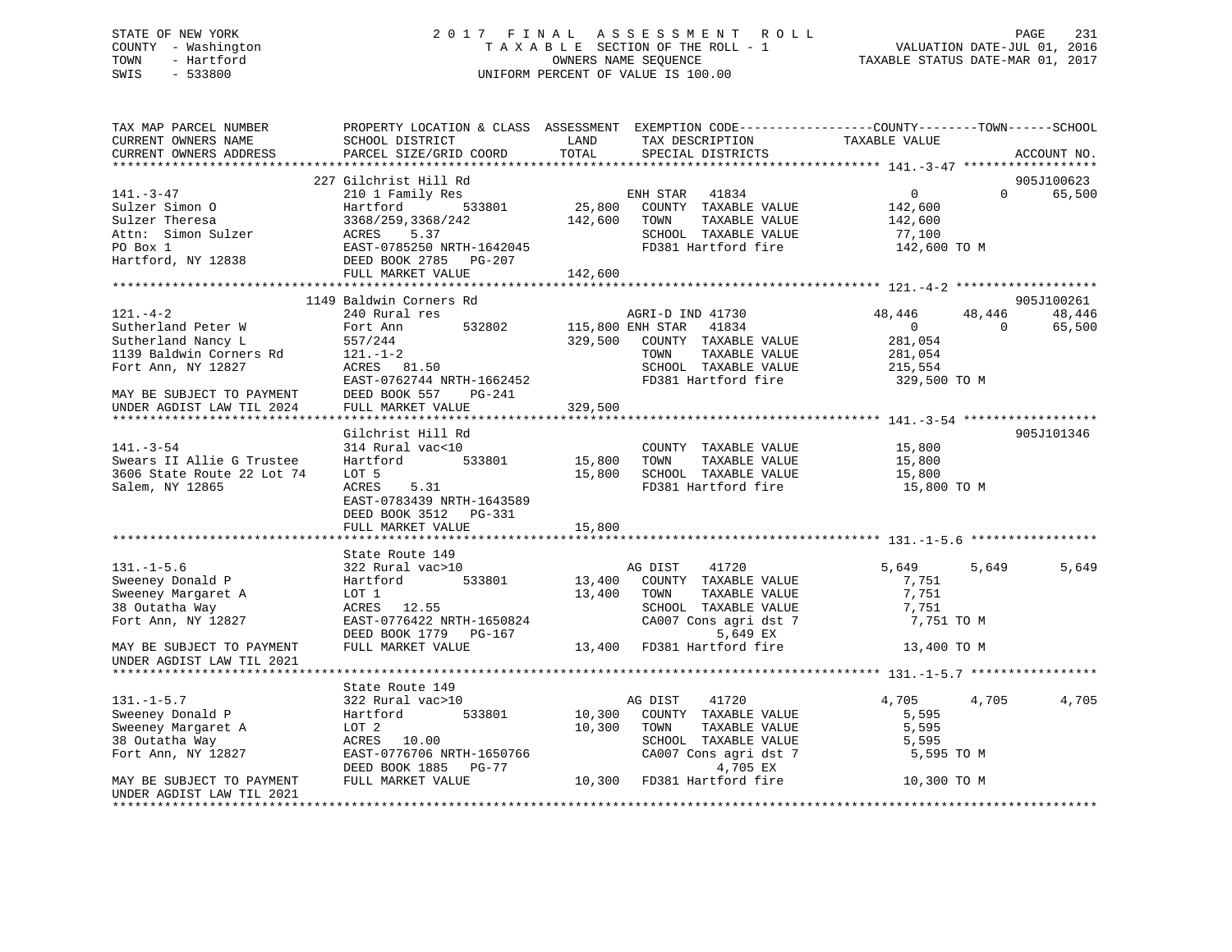# STATE OF NEW YORK 2 0 1 7 F I N A L A S S E S S M E N T R O L L PAGE 231 COUNTY - Washington T A X A B L E SECTION OF THE ROLL - 1 VALUATION DATE-JUL 01, 2016 TOWN - Hartford OWNERS NAME SEQUENCE TAXABLE STATUS DATE-MAR 01, 2017 SWIS - 533800 UNIFORM PERCENT OF VALUE IS 100.00UNIFORM PERCENT OF VALUE IS 100.00

| TAX MAP PARCEL NUMBER<br>CURRENT OWNERS NAME<br>CURRENT OWNERS ADDRESS                                                                                                | PROPERTY LOCATION & CLASS ASSESSMENT EXEMPTION CODE----------------COUNTY-------TOWN------SCHOOL<br>SCHOOL DISTRICT<br>PARCEL SIZE/GRID COORD                                                         | LAND<br>TOTAL              | TAX DESCRIPTION<br>SPECIAL DISTRICTS                                                                                                               | TAXABLE VALUE                                                             |                          | ACCOUNT NO.          |
|-----------------------------------------------------------------------------------------------------------------------------------------------------------------------|-------------------------------------------------------------------------------------------------------------------------------------------------------------------------------------------------------|----------------------------|----------------------------------------------------------------------------------------------------------------------------------------------------|---------------------------------------------------------------------------|--------------------------|----------------------|
|                                                                                                                                                                       |                                                                                                                                                                                                       |                            |                                                                                                                                                    |                                                                           |                          |                      |
| $141. - 3 - 47$<br>Sulzer Simon O<br>Sulzer Theresa<br>Attn: Simon Sulzer<br>PO Box 1<br>Hartford, NY 12838                                                           | 227 Gilchrist Hill Rd<br>210 1 Family Res<br>210 1 Family Res<br>Hartford 533801 25,800 COUNTY TAXABLE VALUE<br>3368/259,3368/242<br>ACRES 5.37<br>EAST-0785250 NRTH-1642045<br>DEED BOOK 2785 PG-207 | 142,600 TOWN               | TAXABLE VALUE<br>SCHOOL TAXABLE VALUE<br>FD381 Hartford fire                                                                                       | $\overline{0}$<br>142,600<br>142,600<br>77,100<br>142,600 TO M            | $\Omega$                 | 905J100623<br>65,500 |
|                                                                                                                                                                       | FULL MARKET VALUE                                                                                                                                                                                     | 142,600                    |                                                                                                                                                    |                                                                           |                          |                      |
|                                                                                                                                                                       |                                                                                                                                                                                                       |                            |                                                                                                                                                    |                                                                           |                          |                      |
|                                                                                                                                                                       | 1149 Baldwin Corners Rd                                                                                                                                                                               |                            |                                                                                                                                                    |                                                                           |                          | 905J100261           |
| $121. - 4 - 2$<br>Sutherland Peter W<br>Sutherland Nancy L<br>1139 Baldwin Corners Rd<br>Fort Ann, NY 12827<br>MAY BE SUBJECT TO PAYMENT<br>UNDER AGDIST LAW TIL 2024 | 240 Rural res<br>532802<br>Fort Ann<br>$Rd = \frac{557/244}{121. -1-2}$<br>121.-1-2<br>ACRES 81.50<br>EAST-0762744 NRTH-1662452<br>DEED BOOK 557 PG-241<br>FULL MARKET VALUE                          | 329,500                    | AGRI-D IND 41730<br>115,800 ENH STAR 41834<br>329,500 COUNTY TAXABLE VALUE<br>TOWN<br>TAXABLE VALUE<br>SCHOOL TAXABLE VALUE<br>FD381 Hartford fire | 48,446<br>$\overline{0}$<br>281,054<br>281,054<br>215,554<br>329,500 TO M | 48,446<br>$\overline{0}$ | 48,446<br>65,500     |
|                                                                                                                                                                       |                                                                                                                                                                                                       |                            |                                                                                                                                                    |                                                                           |                          |                      |
| $141. - 3 - 54$<br>Swears II Allie G Trustee<br>3606 State Route 22 Lot 74<br>Salem, NY 12865                                                                         | Gilchrist Hill Rd<br>314 Rural vac<10<br>Hartford<br>533801<br>LOT 5<br>ACRES 5.31<br>EAST-0783439 NRTH-1643589<br>DEED BOOK 3512 PG-331<br>FULL MARKET VALUE                                         | 15,800<br>15,800<br>15,800 | COUNTY TAXABLE VALUE<br>TOWN<br>TAXABLE VALUE<br>SCHOOL TAXABLE VALUE<br>FD381 Hartford fire                                                       | 15,800<br>15,800<br>15,800<br>15,800 TO M                                 |                          | 905J101346           |
|                                                                                                                                                                       | State Route 149                                                                                                                                                                                       |                            |                                                                                                                                                    |                                                                           |                          |                      |
| $131. - 1 - 5.6$<br>Sweeney Donald P<br>Sweeney Margaret A<br>38 Outatha Way<br>Fort Ann, NY 12827                                                                    | 322 Rural vac>10<br>533801<br>Hartford<br>LOT 1<br>ACRES 12.55<br>EAST-0776422 NRTH-1650824<br>DEED BOOK 1779 PG-167                                                                                  | 13,400 TOWN                | AG DIST 41720<br>13,400 COUNTY TAXABLE VALUE<br>TAXABLE VALUE<br>SCHOOL TAXABLE VALUE<br>CA007 Cons agri dst 7<br>5,649 EX                         | 5,649<br>7,751<br>7,751<br>7,751<br>7,751 TO M                            | 5,649                    | 5,649                |
| MAY BE SUBJECT TO PAYMENT<br>UNDER AGDIST LAW TIL 2021                                                                                                                | FULL MARKET VALUE                                                                                                                                                                                     |                            | 5,649 EX<br>13,400 FD381 Hartford fire                                                                                                             | 13,400 TO M                                                               |                          |                      |
|                                                                                                                                                                       | State Route 149                                                                                                                                                                                       |                            |                                                                                                                                                    |                                                                           |                          |                      |
| $131. -1 - 5.7$<br>Sweeney Donald P<br>Sweeney Margaret A<br>38 Outatha Way<br>Fort Ann, NY 12827                                                                     | 322 Rural vac>10<br>533801<br>Hartford<br>LOT 2<br>ACRES 10.00<br>EAST-0776706 NRTH-1650766<br>DEED BOOK 1885 PG-77                                                                                   | 10,300 TOWN                | AG DIST<br>41720<br>10,300 COUNTY TAXABLE VALUE<br>TAXABLE VALUE<br>SCHOOL TAXABLE VALUE<br>CA007 Cons agri dst 7<br>4,705 EX                      | 4,705<br>5,595<br>5,595<br>5,595<br>5,595 TO M                            | 4,705                    | 4,705                |
| MAY BE SUBJECT TO PAYMENT<br>UNDER AGDIST LAW TIL 2021                                                                                                                | FULL MARKET VALUE                                                                                                                                                                                     |                            | 10,300 FD381 Hartford fire                                                                                                                         | 10,300 TO M                                                               |                          |                      |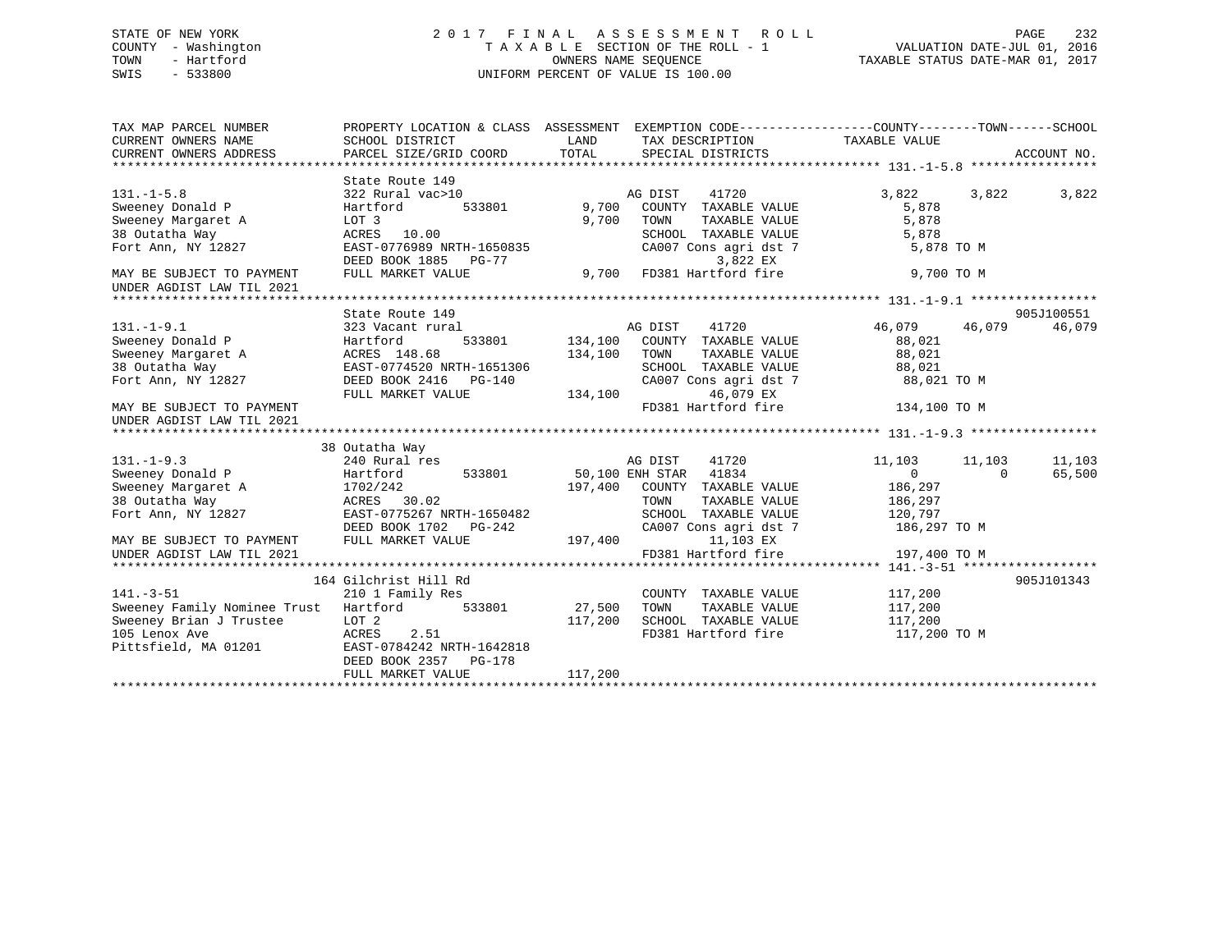# STATE OF NEW YORK 2 0 1 7 F I N A L A S S E S S M E N T R O L L PAGE 232 COUNTY - Washington T A X A B L E SECTION OF THE ROLL - 1 VALUATION DATE-JUL 01, 2016 TOWN - Hartford **TAXABLE STATUS DATE-MAR 01, 2017** SWIS - 533800 UNIFORM PERCENT OF VALUE IS 100.00

| TAX MAP PARCEL NUMBER<br>CURRENT OWNERS NAME<br>CURRENT OWNERS ADDRESS                                                                                      | PROPERTY LOCATION & CLASS ASSESSMENT EXEMPTION CODE---------------COUNTY-------TOWN------SCHOOL<br>SCHOOL DISTRICT<br>PARCEL SIZE/GRID COORD                   | LAND<br>TOTAL             | TAX DESCRIPTION<br>SPECIAL DISTRICTS                                                                                                                  | TAXABLE VALUE                                                             |                    | ACCOUNT NO.          |
|-------------------------------------------------------------------------------------------------------------------------------------------------------------|----------------------------------------------------------------------------------------------------------------------------------------------------------------|---------------------------|-------------------------------------------------------------------------------------------------------------------------------------------------------|---------------------------------------------------------------------------|--------------------|----------------------|
| $131. -1 - 5.8$<br>Sweeney Donald P<br>Sweeney Margaret A<br>38 Outatha Way<br>Fort Ann, NY 12827<br>MAY BE SUBJECT TO PAYMENT<br>UNDER AGDIST LAW TIL 2021 | State Route 149<br>322 Rural vac>10<br>Hartford<br>533801<br>LOT 3<br>ACRES<br>10.00<br>EAST-0776989 NRTH-1650835<br>DEED BOOK 1885 PG-77<br>FULL MARKET VALUE | 9,700<br>9,700<br>9,700   | 41720<br>AG DIST<br>COUNTY TAXABLE VALUE<br>TOWN<br>TAXABLE VALUE<br>SCHOOL TAXABLE VALUE<br>CA007 Cons agri dst 7<br>3,822 EX<br>FD381 Hartford fire | 3,822<br>5,878<br>5,878<br>5,878<br>5,878 TO M<br>9,700 TO M              | 3,822              | 3,822                |
|                                                                                                                                                             |                                                                                                                                                                |                           |                                                                                                                                                       |                                                                           |                    |                      |
| $131. - 1 - 9.1$<br>Sweeney Donald P<br>Sweeney Margaret A<br>38 Outatha Way<br>Fort Ann, NY 12827                                                          | State Route 149<br>323 Vacant rural<br>Hartford<br>ACRES 148.68<br>EAST-0774520 NRTH-1651306<br>DEED BOOK 2416<br>PG-140                                       | 533801 134,100<br>134,100 | AG DIST<br>41720<br>COUNTY TAXABLE VALUE<br>TOWN<br>TAXABLE VALUE<br>SCHOOL TAXABLE VALUE<br>CA007 Cons agri dst 7                                    | 46,079<br>88,021<br>88,021<br>88,021<br>88,021 TO M                       | 46,079             | 905J100551<br>46,079 |
| MAY BE SUBJECT TO PAYMENT<br>UNDER AGDIST LAW TIL 2021                                                                                                      | FULL MARKET VALUE                                                                                                                                              | 134,100                   | 46,079 EX<br>FD381 Hartford fire                                                                                                                      | 134,100 TO M                                                              |                    |                      |
|                                                                                                                                                             | 38 Outatha Way                                                                                                                                                 |                           |                                                                                                                                                       |                                                                           |                    |                      |
| $131. - 1 - 9.3$<br>Sweeney Donald P<br>Sweeney Margaret A<br>38 Outatha Way<br>Fort Ann, NY 12827                                                          | 240 Rural res<br>Hartford<br>533801<br>1702/242<br>ACRES 30.02<br>EAST-0775267 NRTH-1650482<br>DEED BOOK 1702<br>PG-242                                        | 197,400                   | AG DIST<br>41720<br>50,100 ENH STAR 41834<br>COUNTY TAXABLE VALUE<br>TOWN<br>TAXABLE VALUE<br>SCHOOL TAXABLE VALUE<br>CA007 Cons agri dst 7           | 11,103<br>$\overline{0}$<br>186,297<br>186,297<br>120,797<br>186,297 TO M | 11,103<br>$\Omega$ | 11,103<br>65,500     |
| MAY BE SUBJECT TO PAYMENT<br>UNDER AGDIST LAW TIL 2021                                                                                                      | FULL MARKET VALUE                                                                                                                                              | 197,400                   | 11,103 EX<br>FD381 Hartford fire                                                                                                                      | 197,400 TO M                                                              |                    |                      |
|                                                                                                                                                             |                                                                                                                                                                |                           |                                                                                                                                                       |                                                                           |                    |                      |
| $141. - 3 - 51$<br>Sweeney Family Nominee Trust<br>Sweeney Brian J Trustee<br>105 Lenox Ave<br>Pittsfield, MA 01201                                         | 164 Gilchrist Hill Rd<br>210 1 Family Res<br>Hartford<br>533801<br>LOT 2<br>ACRES<br>2.51<br>EAST-0784242 NRTH-1642818<br>DEED BOOK 2357<br>PG-178             | 27,500<br>117,200         | COUNTY TAXABLE VALUE<br>TOWN<br>TAXABLE VALUE<br>SCHOOL TAXABLE VALUE<br>FD381 Hartford fire                                                          | 117,200<br>117,200<br>117,200<br>117,200 TO M                             |                    | 905J101343           |
|                                                                                                                                                             | FULL MARKET VALUE                                                                                                                                              | 117,200                   |                                                                                                                                                       |                                                                           |                    |                      |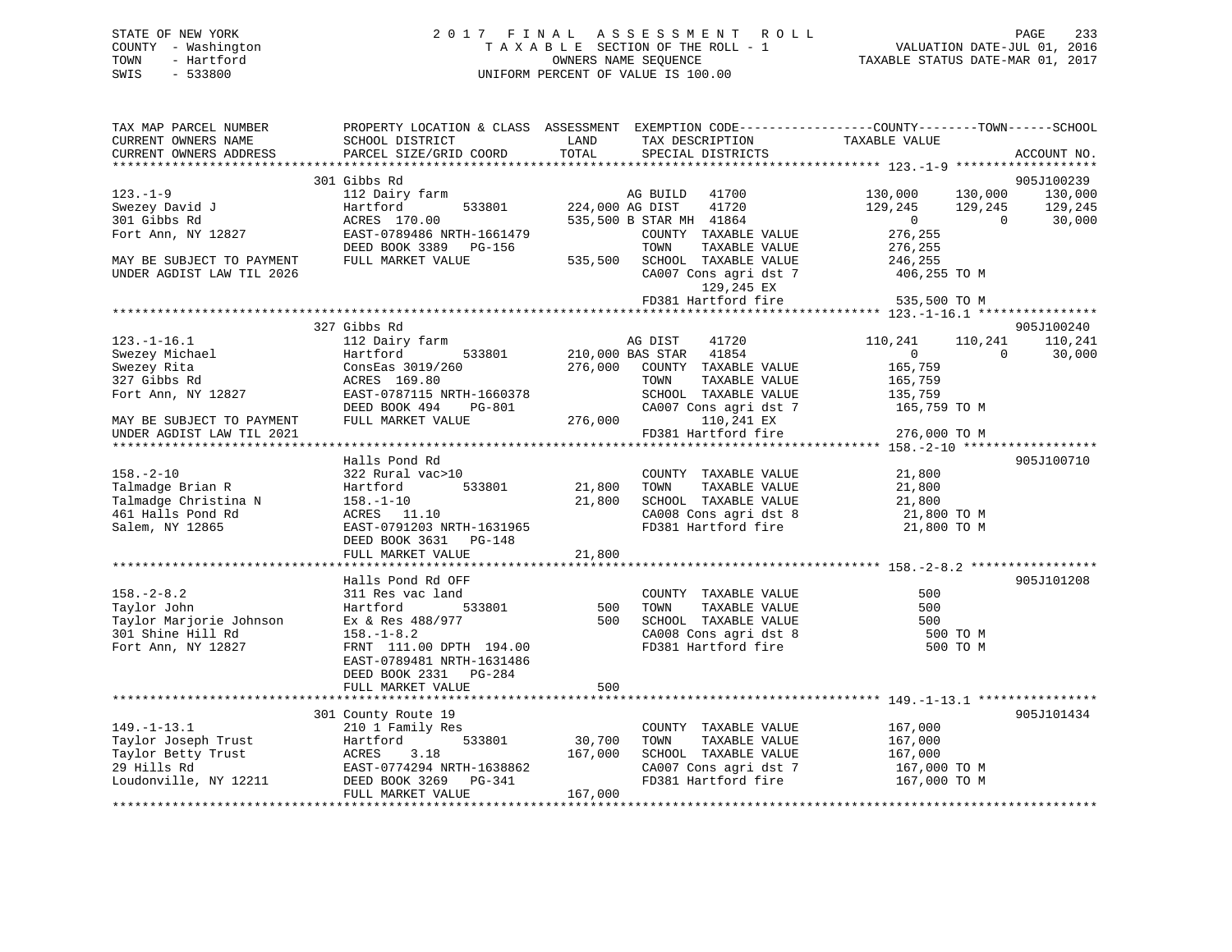# STATE OF NEW YORK 2 0 1 7 F I N A L A S S E S S M E N T R O L L PAGE 233 COUNTY - Washington T A X A B L E SECTION OF THE ROLL - 1 VALUATION DATE-JUL 01, 2016 TOWN - Hartford OWNERS NAME SEQUENCE TAXABLE STATUS DATE-MAR 01, 2017 SWIS - 533800 UNIFORM PERCENT OF VALUE IS 100.00UNIFORM PERCENT OF VALUE IS 100.00

| TAX MAP PARCEL NUMBER<br>CURRENT OWNERS NAME<br>CURRENT OWNERS ADDRESS | PROPERTY LOCATION & CLASS ASSESSMENT EXEMPTION CODE----------------COUNTY-------TOWN-----SCHOOL<br>SCHOOL DISTRICT<br>PARCEL SIZE/GRID COORD | LAND<br>TOTAL | TAX DESCRIPTION<br>SPECIAL DISTRICTS                                     | TAXABLE VALUE                                          | ACCOUNT NO.        |
|------------------------------------------------------------------------|----------------------------------------------------------------------------------------------------------------------------------------------|---------------|--------------------------------------------------------------------------|--------------------------------------------------------|--------------------|
|                                                                        |                                                                                                                                              |               |                                                                          |                                                        |                    |
|                                                                        | 301 Gibbs Rd                                                                                                                                 |               |                                                                          |                                                        | 905J100239         |
| $123. - 1 - 9$<br>Swezey David J                                       | 112 Dairy farm<br>533801<br>Hartford                                                                                                         |               | AG BUILD 41700<br>224,000 AG DIST<br>41720                               | 130,000<br>130,000<br>129,245<br>129,245               | 130,000<br>129,245 |
| 301 Gibbs Rd<br>Fort Ann, NY 12827                                     | ACRES 170.00<br>EAST-0789486 NRTH-1661479<br>DEED BOOK 3389 PG-156                                                                           |               | 535,500 B STAR MH 41864<br>COUNTY TAXABLE VALUE<br>TOWN<br>TAXABLE VALUE | $\overline{0}$<br>$\overline{0}$<br>276,255<br>276,255 | 30,000             |
| MAY BE SUBJECT TO PAYMENT<br>UNDER AGDIST LAW TIL 2026                 | FULL MARKET VALUE                                                                                                                            |               | 535,500 SCHOOL TAXABLE VALUE<br>CA007 Cons agri dst 7<br>129,245 EX      | 246,255<br>406,255 TO M                                |                    |
|                                                                        |                                                                                                                                              |               | FD381 Hartford fire                                                      | 535,500 TO M                                           |                    |
|                                                                        |                                                                                                                                              |               |                                                                          |                                                        |                    |
|                                                                        | 327 Gibbs Rd                                                                                                                                 |               |                                                                          |                                                        | 905J100240         |
| $123. - 1 - 16.1$                                                      | 112 Dairy farm                                                                                                                               |               | AG DIST<br>41720                                                         | 110,241<br>110,241                                     | 110,241            |
| Swezey Michael                                                         | 533801<br>Hartford                                                                                                                           |               | 210,000 BAS STAR 41854                                                   | $\overline{0}$                                         | $\Omega$<br>30,000 |
| Swezey Rita                                                            | ConsEas 3019/260                                                                                                                             | 276,000       | COUNTY TAXABLE VALUE                                                     | 165,759                                                |                    |
| 327 Gibbs Rd                                                           | ACRES 169.80                                                                                                                                 |               | TOWN<br>TAXABLE VALUE                                                    | 165,759                                                |                    |
| Fort Ann, NY 12827                                                     | EAST-0787115 NRTH-1660378                                                                                                                    |               | SCHOOL TAXABLE VALUE                                                     | 135,759                                                |                    |
|                                                                        | DEED BOOK 494<br>PG-801                                                                                                                      | 276,000       | CA007 Cons agri dst 7                                                    | 165,759 TO M                                           |                    |
| MAY BE SUBJECT TO PAYMENT<br>UNDER AGDIST LAW TIL 2021                 | FULL MARKET VALUE                                                                                                                            |               | 110,241 EX<br>FD381 Hartford fire                                        | 276,000 TO M                                           |                    |
|                                                                        |                                                                                                                                              |               |                                                                          |                                                        |                    |
|                                                                        | Halls Pond Rd                                                                                                                                |               |                                                                          |                                                        | 905J100710         |
| $158. - 2 - 10$                                                        | 322 Rural vac>10                                                                                                                             |               | COUNTY TAXABLE VALUE                                                     | 21,800                                                 |                    |
| Talmadge Brian R                                                       | 533801<br>Hartford                                                                                                                           | 21,800        | TOWN<br>TAXABLE VALUE                                                    | 21,800                                                 |                    |
| Talmadge Christina N                                                   | $158. - 1 - 10$                                                                                                                              | 21,800        | SCHOOL TAXABLE VALUE                                                     | 21,800                                                 |                    |
| 461 Halls Pond Rd                                                      | ACRES 11.10                                                                                                                                  |               |                                                                          | 21,800 TO M                                            |                    |
| Salem, NY 12865                                                        | EAST-0791203 NRTH-1631965<br>DEED BOOK 3631 PG-148<br>FULL MARKET VALUE                                                                      | 21,800        | CA008 Cons agri dst 8<br>CA008 Cons agri dst 8<br>FD381 Hartford fire    | 21,800 TO M                                            |                    |
|                                                                        |                                                                                                                                              |               |                                                                          |                                                        |                    |
|                                                                        | Halls Pond Rd OFF                                                                                                                            |               |                                                                          |                                                        | 905J101208         |
| $158. - 2 - 8.2$                                                       | 311 Res vac land                                                                                                                             |               | COUNTY TAXABLE VALUE                                                     | 500                                                    |                    |
| Taylor John                                                            | 533801<br>Hartford                                                                                                                           | 500           | TAXABLE VALUE<br>TOWN                                                    | 500                                                    |                    |
| Taylor Marjorie Johnson                                                | Ex & Res 488/977                                                                                                                             | 500           | SCHOOL TAXABLE VALUE                                                     | 500                                                    |                    |
| 301 Shine Hill Rd                                                      | $158. - 1 - 8.2$                                                                                                                             |               | CA008 Cons agri dst 8                                                    | 500 TO M                                               |                    |
| Fort Ann, NY 12827                                                     | FRNT 111.00 DPTH 194.00                                                                                                                      |               | FD381 Hartford fire                                                      | 500 TO M                                               |                    |
|                                                                        | EAST-0789481 NRTH-1631486                                                                                                                    |               |                                                                          |                                                        |                    |
|                                                                        | DEED BOOK 2331 PG-284                                                                                                                        |               |                                                                          |                                                        |                    |
|                                                                        | FULL MARKET VALUE                                                                                                                            | 500           |                                                                          |                                                        |                    |
|                                                                        |                                                                                                                                              |               |                                                                          |                                                        |                    |
|                                                                        | 301 County Route 19                                                                                                                          |               |                                                                          |                                                        | 905J101434         |
| $149. - 1 - 13.1$                                                      | 210 1 Family Res                                                                                                                             |               | COUNTY TAXABLE VALUE                                                     | 167,000                                                |                    |
|                                                                        | Taylor Joseph Trust<br>Taylor Betty Trust<br>29 Hills Rd<br>Loudonville, NY 12211<br>DEED BOOK 3269 PG-341                                   | 30,700        | TOWN<br>TAXABLE VALUE                                                    | 167,000                                                |                    |
|                                                                        |                                                                                                                                              | 167,000       | SCHOOL TAXABLE VALUE<br>CA007 Cons agri dst 7                            | 167,000                                                |                    |
|                                                                        |                                                                                                                                              |               | FD381 Hartford fire                                                      | 167,000 TO M<br>167,000 TO M                           |                    |
|                                                                        | FULL MARKET VALUE                                                                                                                            | 167,000       |                                                                          |                                                        |                    |
|                                                                        |                                                                                                                                              |               |                                                                          |                                                        |                    |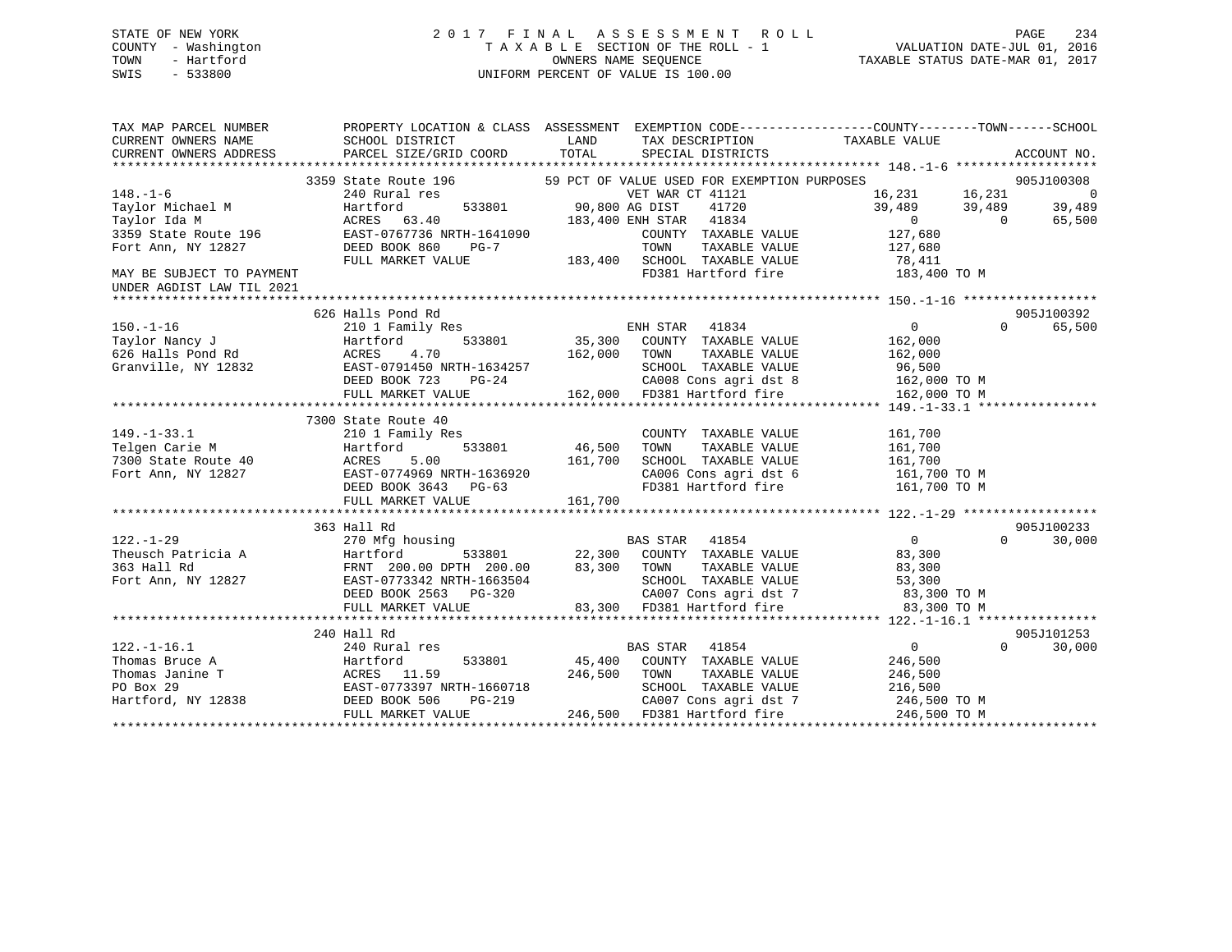# STATE OF NEW YORK 2 0 1 7 F I N A L A S S E S S M E N T R O L L PAGE 234 COUNTY - Washington T A X A B L E SECTION OF THE ROLL - 1 VALUATION DATE-JUL 01, 2016 TOWN - Hartford **TAXABLE STATUS DATE-MAR 01, 2017** SWIS - 533800 UNIFORM PERCENT OF VALUE IS 100.00

| TAX MAP PARCEL NUMBER     |                                                                                                                                                                                                                                         |                                                                                                                                                                                                                                                             | PROPERTY LOCATION & CLASS ASSESSMENT EXEMPTION CODE----------------COUNTY--------TOWN------SCHOOL |
|---------------------------|-----------------------------------------------------------------------------------------------------------------------------------------------------------------------------------------------------------------------------------------|-------------------------------------------------------------------------------------------------------------------------------------------------------------------------------------------------------------------------------------------------------------|---------------------------------------------------------------------------------------------------|
| CURRENT OWNERS NAME       | SCHOOL DISTRICT                                                                                                                                                                                                                         | TAX DESCRIPTION<br><b>LAND</b>                                                                                                                                                                                                                              | TAXABLE VALUE                                                                                     |
| CURRENT OWNERS ADDRESS    | PARCEL SIZE/GRID COORD                                                                                                                                                                                                                  | TOTAL<br>SPECIAL DISTRICTS                                                                                                                                                                                                                                  | ACCOUNT NO.                                                                                       |
|                           |                                                                                                                                                                                                                                         |                                                                                                                                                                                                                                                             |                                                                                                   |
|                           | 3359 State Route 196                                                                                                                                                                                                                    | 59 PCT OF VALUE USED FOR EXEMPTION PURPOSES                                                                                                                                                                                                                 | 905J100308                                                                                        |
| $148. - 1 - 6$            |                                                                                                                                                                                                                                         |                                                                                                                                                                                                                                                             | $16, 231$<br>39,489 39,489<br>$\overline{\phantom{0}}$                                            |
| Taylor Michael M          | Hartford                                                                                                                                                                                                                                |                                                                                                                                                                                                                                                             | 39,489                                                                                            |
|                           |                                                                                                                                                                                                                                         | Taylor Michael M acres 63.40<br>Taylor Ida M ACRES 63.40<br>3359 State Route 196 EAST-0767736 NRTH-1641090 COUNTY TAXABLE VALUE<br>Fort Ann, NY 12827 DEED BOOK 860 PG-7 TOWN TAXABLE VALUE 127,680<br>FULL MARKET VALUE 183,400 SCHOO                      | $\begin{array}{c}0 \ 0 \ 0\ \end{array}$ $\begin{array}{c} 0 \ 0 \end{array}$<br>65,500           |
|                           |                                                                                                                                                                                                                                         |                                                                                                                                                                                                                                                             |                                                                                                   |
|                           |                                                                                                                                                                                                                                         |                                                                                                                                                                                                                                                             |                                                                                                   |
|                           |                                                                                                                                                                                                                                         |                                                                                                                                                                                                                                                             |                                                                                                   |
|                           |                                                                                                                                                                                                                                         |                                                                                                                                                                                                                                                             |                                                                                                   |
| UNDER AGDIST LAW TIL 2021 |                                                                                                                                                                                                                                         |                                                                                                                                                                                                                                                             |                                                                                                   |
|                           |                                                                                                                                                                                                                                         |                                                                                                                                                                                                                                                             |                                                                                                   |
|                           | 626 Halls Pond Rd                                                                                                                                                                                                                       |                                                                                                                                                                                                                                                             | 905J100392                                                                                        |
|                           |                                                                                                                                                                                                                                         | 150.-1-16<br>Taylor Nancy J<br>EXECUTE: Taylor Nancy J<br>EXECUTE: Taylor Nancy J<br>EXECUTE: 1.70<br>ACRES 1.70<br>ACRES 1.70<br>TOWN TAXABLE VALUE<br>162,000 TOWN TAXABLE VALUE<br>TAXABLE VALUE<br>TAXABLE VALUE<br>TAXABLE VALUE                       | $\overline{0}$<br>$\Omega$<br>65,500                                                              |
|                           |                                                                                                                                                                                                                                         |                                                                                                                                                                                                                                                             | 162,000                                                                                           |
|                           |                                                                                                                                                                                                                                         |                                                                                                                                                                                                                                                             | TAXABLE VALUE 162,000                                                                             |
|                           |                                                                                                                                                                                                                                         |                                                                                                                                                                                                                                                             |                                                                                                   |
|                           |                                                                                                                                                                                                                                         |                                                                                                                                                                                                                                                             |                                                                                                   |
|                           |                                                                                                                                                                                                                                         | 626 Halls Pond Rd<br>Granville, NY 12832 EAST-0791450 NRTH-1634257 SCHOOL TAXABLE VALUE 96,500<br>DEED BOOK 723 PG-24 CA008 Cons agri dst 8 162,000 TO M<br>FULL MARKET VALUE 162,000 FD381 Hartford fire 160,000 TO M                                      |                                                                                                   |
|                           |                                                                                                                                                                                                                                         |                                                                                                                                                                                                                                                             |                                                                                                   |
|                           |                                                                                                                                                                                                                                         |                                                                                                                                                                                                                                                             |                                                                                                   |
|                           |                                                                                                                                                                                                                                         | COUNTY TAXABLE VALUE 161,700                                                                                                                                                                                                                                |                                                                                                   |
|                           |                                                                                                                                                                                                                                         |                                                                                                                                                                                                                                                             |                                                                                                   |
|                           |                                                                                                                                                                                                                                         |                                                                                                                                                                                                                                                             |                                                                                                   |
|                           |                                                                                                                                                                                                                                         |                                                                                                                                                                                                                                                             | CA006 Cons agri dst 6 161,700 TO M                                                                |
|                           |                                                                                                                                                                                                                                         | FD381 Hartford fire                                                                                                                                                                                                                                         | 161,700 TO M                                                                                      |
|                           |                                                                                                                                                                                                                                         |                                                                                                                                                                                                                                                             |                                                                                                   |
|                           |                                                                                                                                                                                                                                         |                                                                                                                                                                                                                                                             |                                                                                                   |
|                           | 363 Hall Rd                                                                                                                                                                                                                             |                                                                                                                                                                                                                                                             | 905J100233                                                                                        |
|                           |                                                                                                                                                                                                                                         |                                                                                                                                                                                                                                                             | $\Omega$                                                                                          |
|                           |                                                                                                                                                                                                                                         |                                                                                                                                                                                                                                                             | 30,000                                                                                            |
|                           |                                                                                                                                                                                                                                         |                                                                                                                                                                                                                                                             |                                                                                                   |
|                           |                                                                                                                                                                                                                                         | SCHOOL TAXABLE VALUE 53,300                                                                                                                                                                                                                                 |                                                                                                   |
|                           |                                                                                                                                                                                                                                         |                                                                                                                                                                                                                                                             |                                                                                                   |
|                           |                                                                                                                                                                                                                                         | CA007 Cons agri dst 7 83,300 TO M<br>83,300 FD381 Hartford fire 83,300 TO M                                                                                                                                                                                 |                                                                                                   |
|                           | 122.-1-29<br>Theusch Patricia A (10 minution) 123,3801 (22,300 COOM)<br>363 Hall Rd FRNT 200.00 DPTH 200.00 (83,300 TOWN<br>Fort Ann, NY 12827 (2000) DEED BOOK 2563 PG-320 (20007<br>DEED BOOK 2563 PG-320 (20007)<br>THULL MARKET VAL |                                                                                                                                                                                                                                                             |                                                                                                   |
|                           |                                                                                                                                                                                                                                         |                                                                                                                                                                                                                                                             |                                                                                                   |
|                           | 240 Hall Rd                                                                                                                                                                                                                             |                                                                                                                                                                                                                                                             | 905J101253                                                                                        |
| $122. - 1 - 16.1$         | 240 Rural res                                                                                                                                                                                                                           | BAS STAR 41854                                                                                                                                                                                                                                              | $\overline{0}$<br>$\Omega$<br>30,000                                                              |
|                           |                                                                                                                                                                                                                                         |                                                                                                                                                                                                                                                             |                                                                                                   |
|                           |                                                                                                                                                                                                                                         |                                                                                                                                                                                                                                                             |                                                                                                   |
|                           |                                                                                                                                                                                                                                         |                                                                                                                                                                                                                                                             |                                                                                                   |
|                           |                                                                                                                                                                                                                                         |                                                                                                                                                                                                                                                             | CA007 Cons agri dst 7 246,500 TO M                                                                |
|                           |                                                                                                                                                                                                                                         | $[122. -1-16.1$ Thomas Bruce A<br>Thomas Janine T<br>Thomas Janine T<br>PO Box 29<br>Hartford, NY 12838<br>Hartford, NY 12838<br>PO Box 29<br>EAST-0773397 NRTH-1660718<br>DEED BOOK 506<br>PG-219<br>FULL MARKET VALUE<br>PG-219<br>246,500<br>246,500<br> | 246,500 TO M                                                                                      |
|                           |                                                                                                                                                                                                                                         |                                                                                                                                                                                                                                                             |                                                                                                   |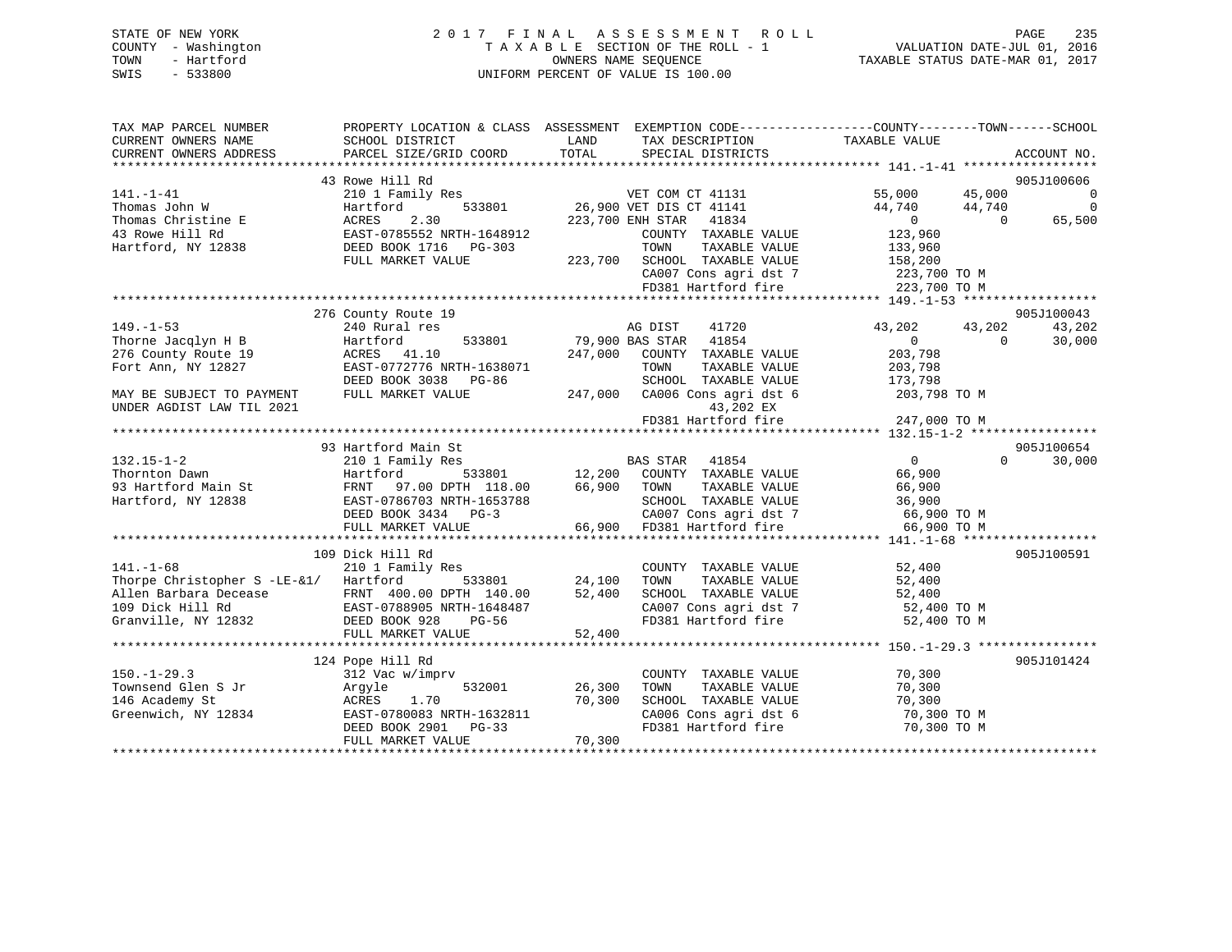# STATE OF NEW YORK 2 0 1 7 F I N A L A S S E S S M E N T R O L L PAGE 235 COUNTY - Washington T A X A B L E SECTION OF THE ROLL - 1 VALUATION DATE-JUL 01, 2016 TOWN - Hartford OWNERS NAME SEQUENCE TAXABLE STATUS DATE-MAR 01, 2017 SWIS - 533800 UNIFORM PERCENT OF VALUE IS 100.00

| TAX MAP PARCEL NUMBER                         |                                                                                                     |                                                                            | PROPERTY LOCATION & CLASS ASSESSMENT EXEMPTION CODE---------------COUNTY-------TOWN------SCHOOL |
|-----------------------------------------------|-----------------------------------------------------------------------------------------------------|----------------------------------------------------------------------------|-------------------------------------------------------------------------------------------------|
| CURRENT OWNERS NAME<br>CURRENT OWNERS ADDRESS | SCHOOL DISTRICT<br>PARCEL SIZE/GRID COORD                                                           | LAND<br>TAX DESCRIPTION<br>TOTAL<br>SPECIAL DISTRICTS                      | TAXABLE VALUE<br>ACCOUNT NO.                                                                    |
|                                               |                                                                                                     |                                                                            |                                                                                                 |
|                                               | 43 Rowe Hill Rd                                                                                     |                                                                            | 905J100606                                                                                      |
| $141. - 1 - 41$                               | 210 1 Family Res                                                                                    | VET COM CT 41131                                                           | 55,000 45,000<br>$\Omega$                                                                       |
| Thomas John W                                 | 533801<br>Hartford                                                                                  | 26,900 VET DIS CT 41141                                                    | 44,740<br>$\overline{0}$<br>44,740                                                              |
| Thomas Christine E                            | 2.30<br>ACRES                                                                                       | 223,700 ENH STAR 41834                                                     | 65,500<br>$\overline{0}$<br>$\Omega$                                                            |
| 43 Rowe Hill Rd                               | EAST-0785552 NRTH-1648912                                                                           | COUNTY TAXABLE VALUE                                                       | 123,960                                                                                         |
| Hartford, NY 12838 DEED BOOK 1716 PG-303      |                                                                                                     | TAXABLE VALUE<br>TOWN                                                      | 133,960                                                                                         |
|                                               | FULL MARKET VALUE                                                                                   | 223,700 SCHOOL TAXABLE VALUE                                               | 158,200                                                                                         |
|                                               |                                                                                                     | CA007 Cons agri dst 7 223,700 TO M                                         |                                                                                                 |
|                                               |                                                                                                     | FD381 Hartford fire                                                        | 223,700 TO M                                                                                    |
|                                               |                                                                                                     |                                                                            |                                                                                                 |
|                                               | 276 County Route 19                                                                                 |                                                                            | 905J100043                                                                                      |
| $149. - 1 - 53$                               | 240 Rural res<br>533801                                                                             | 41720<br>AG DIST<br>79,900 BAS STAR 41854                                  | 43,202<br>43,202<br>43,202<br>$\overline{0}$<br>$\Omega$                                        |
| Thorne Jacqlyn H B                            | Hartford<br>ACRES 41.10                                                                             | 247,000                                                                    | 30,000<br>203,798                                                                               |
| 276 County Route 19<br>Fort Ann, NY 12827     | EAST-0772776 NRTH-1638071                                                                           | COUNTY TAXABLE VALUE<br>TAXABLE VALUE                                      |                                                                                                 |
|                                               | DEED BOOK 3038 PG-86                                                                                | TOWN<br>SCHOOL TAXABLE VALUE                                               | 203,798<br>173,798                                                                              |
|                                               | FULL MARKET VALUE                                                                                   | 247,000 CA006 Cons agri dst 6                                              | 203,798 TO M                                                                                    |
| MAY BE SUBJECT TO PAYMENT                     |                                                                                                     |                                                                            |                                                                                                 |
| UNDER AGDIST LAW TIL 2021                     |                                                                                                     | 43,202 EX<br>FD381 Hartford fire                                           | 247,000 TO M                                                                                    |
|                                               |                                                                                                     |                                                                            |                                                                                                 |
|                                               | 93 Hartford Main St                                                                                 |                                                                            | 905J100654                                                                                      |
| $132.15 - 1 - 2$                              | 210 1 Family Res                                                                                    | BAS STAR<br>41854                                                          | $\overline{0}$<br>$\Omega$<br>30,000                                                            |
| Thornton Dawn                                 | Hartford<br>533801                                                                                  | 12,200 COUNTY TAXABLE VALUE                                                | 66,900                                                                                          |
|                                               | 93 Hartford Main St<br>Hartford, NY 12838<br>EAST-0786703 NRTH-1653788<br>EAST-0786703 NRTH-1653788 | 66,900<br>TAXABLE VALUE<br>TOWN                                            | 66,900                                                                                          |
|                                               |                                                                                                     | SCHOOL TAXABLE VALUE                                                       | 36,900                                                                                          |
|                                               | DEED BOOK 3434 PG-3                                                                                 |                                                                            |                                                                                                 |
|                                               | FULL MARKET VALUE                                                                                   |                                                                            |                                                                                                 |
|                                               |                                                                                                     |                                                                            |                                                                                                 |
|                                               | 109 Dick Hill Rd                                                                                    |                                                                            | 905J100591                                                                                      |
| $141. - 1 - 68$                               | 210 1 Family Res                                                                                    | COUNTY TAXABLE VALUE                                                       | 52,400                                                                                          |
| Thorpe Christopher S -LE-&1/ Hartford         | 533801                                                                                              | 24,100<br>TAXABLE VALUE<br>TOWN                                            | 52,400                                                                                          |
|                                               | Allen Barbara Decease 6 FRNT 400.00 DPTH 140.00<br>109 Dick Hill Rd 6 EAST-0788905 NRTH-1648487     | 52,400<br>SCHOOL TAXABLE VALUE 52,400<br>CA007 Cons agri dst 7 52,400 TO M |                                                                                                 |
|                                               |                                                                                                     |                                                                            |                                                                                                 |
| Granville, NY 12832 DEED BOOK 928             | PG-56                                                                                               | FD381 Hartford fire                                                        | 52,400 TO M                                                                                     |
|                                               | FULL MARKET VALUE                                                                                   | 52,400                                                                     |                                                                                                 |
|                                               |                                                                                                     |                                                                            |                                                                                                 |
|                                               | 124 Pope Hill Rd                                                                                    |                                                                            | 905J101424                                                                                      |
| $150. - 1 - 29.3$                             | 312 Vac w/imprv                                                                                     | COUNTY TAXABLE VALUE                                                       | 70,300                                                                                          |
| Townsend Glen S Jr                            | 532001<br>Argyle                                                                                    | TAXABLE VALUE<br>26,300<br>TOWN                                            | 70,300                                                                                          |
| 146 Academy St                                | 1.70<br>ACRES                                                                                       | 70,300<br>SCHOOL TAXABLE VALUE                                             | 70,300                                                                                          |
| Greenwich, NY 12834                           | EAST-0780083 NRTH-1632811                                                                           | CA006 Cons agri dst 6                                                      | 70,300 TO M                                                                                     |
|                                               | DEED BOOK 2901<br>$PG-33$                                                                           | FD381 Hartford fire                                                        | 70,300 TO M                                                                                     |
|                                               | FULL MARKET VALUE                                                                                   | 70,300                                                                     |                                                                                                 |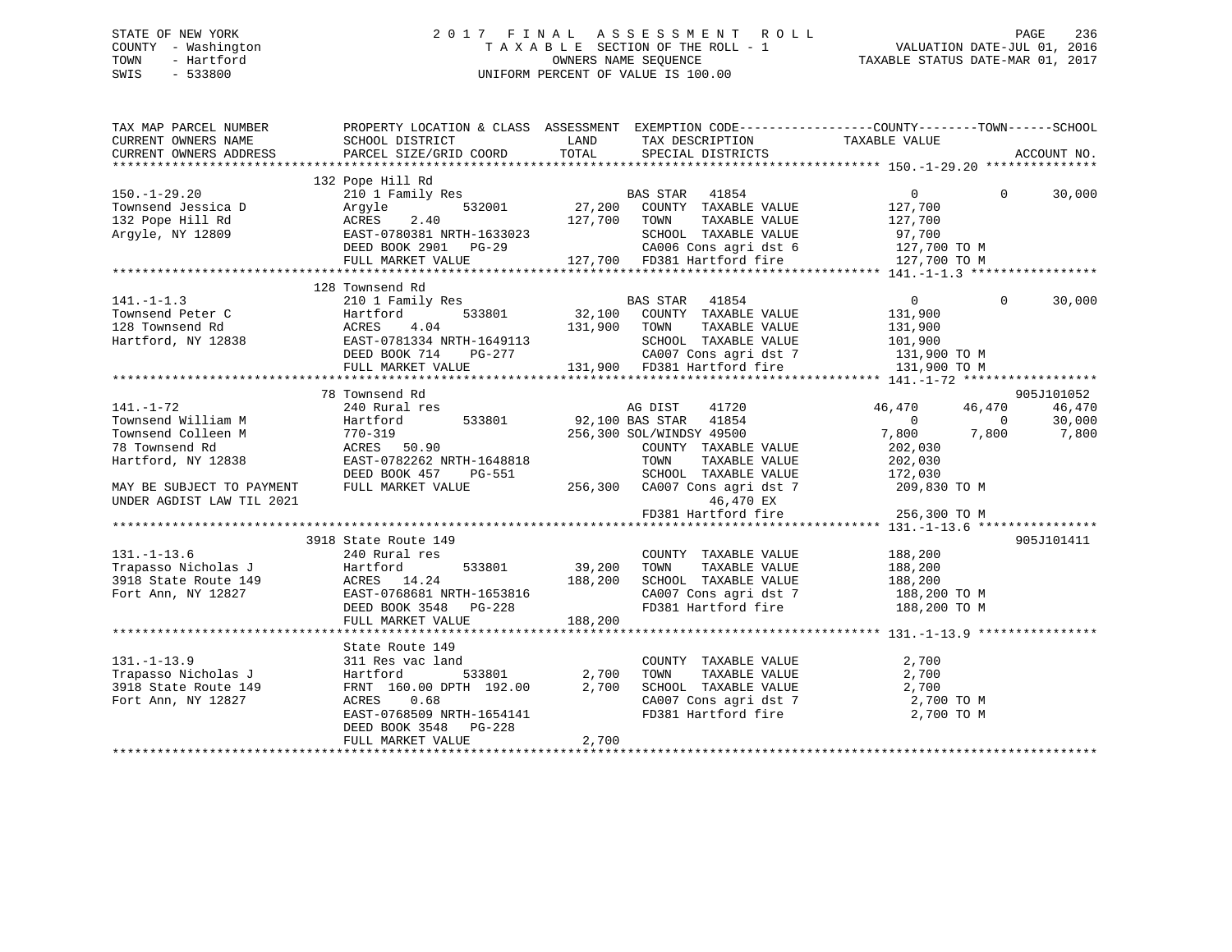# STATE OF NEW YORK 2 0 1 7 F I N A L A S S E S S M E N T R O L L PAGE 236COUNTY - Washington  $T A X A B L E$  SECTION OF THE ROLL - 1<br>TOWN - Hartford SWIS - 533800 UNIFORM PERCENT OF VALUE IS 100.00

| TAX MAP PARCEL NUMBER     | PROPERTY LOCATION & CLASS ASSESSMENT EXEMPTION CODE---------------COUNTY-------TOWN------SCHOOL                                                                                                                                                                        |              |                                                                                                                           |                                  |             |
|---------------------------|------------------------------------------------------------------------------------------------------------------------------------------------------------------------------------------------------------------------------------------------------------------------|--------------|---------------------------------------------------------------------------------------------------------------------------|----------------------------------|-------------|
| CURRENT OWNERS NAME       | SCHOOL DISTRICT                                                                                                                                                                                                                                                        | LAND         | TAX DESCRIPTION TAXABLE VALUE<br>TAX DESCALL ___<br>SPECIAL DISTRICTS<br>-----****************                            |                                  |             |
| CURRENT OWNERS ADDRESS    | PARCEL SIZE/GRID COORD                                                                                                                                                                                                                                                 | TOTAL        |                                                                                                                           |                                  | ACCOUNT NO. |
|                           |                                                                                                                                                                                                                                                                        |              |                                                                                                                           |                                  |             |
|                           | 132 Pope Hill Rd                                                                                                                                                                                                                                                       |              |                                                                                                                           |                                  |             |
| $150. - 1 - 29.20$        | 210 1 Family Res<br>210 1 Family Res<br>32001 27,200 COUNTY TAXABLE VALUE<br>27,700 COUNTY TAXABLE VALUE<br>2.40 127,700 TOWN TAXABLE VALUE<br>2.40 127,700 TOWN TAXABLE VALUE<br>2.40 127,700 COUNTY TAXABLE VALUE<br>2.40 127,700 COUNTY T                           |              |                                                                                                                           | $\Omega$                         | 30,000      |
|                           |                                                                                                                                                                                                                                                                        |              |                                                                                                                           |                                  |             |
|                           | Townsend Jessica D<br>132 Pope Hill Rd<br>132 Pope Hill Rd<br>127,700<br>Argyle, NY 12809<br>23802 DEED BOOK 2901 PG-29                                                                                                                                                |              |                                                                                                                           |                                  |             |
|                           |                                                                                                                                                                                                                                                                        |              |                                                                                                                           |                                  |             |
|                           |                                                                                                                                                                                                                                                                        |              | 633023 SCHOOL TAXABLE VALUE 97,700<br>3-29 CA006 Cons agri dst 6 127,700 TO M<br>127,700 FD381 Hartford fire 127,700 TO M |                                  |             |
|                           |                                                                                                                                                                                                                                                                        |              |                                                                                                                           |                                  |             |
|                           | FULL MARKET VALUE                                                                                                                                                                                                                                                      |              |                                                                                                                           |                                  |             |
|                           |                                                                                                                                                                                                                                                                        |              |                                                                                                                           |                                  |             |
|                           | 128 Townsend Rd                                                                                                                                                                                                                                                        |              |                                                                                                                           |                                  |             |
| $141. -1 - 1.3$           | 210 1 Family Res<br>Hartford 533801 32,100 COUNTY TAXABLE VALUE                                                                                                                                                                                                        |              |                                                                                                                           | $\overline{0}$<br>$\overline{0}$ | 30,000      |
|                           |                                                                                                                                                                                                                                                                        |              |                                                                                                                           |                                  |             |
|                           |                                                                                                                                                                                                                                                                        |              |                                                                                                                           |                                  |             |
|                           |                                                                                                                                                                                                                                                                        |              |                                                                                                                           |                                  |             |
|                           |                                                                                                                                                                                                                                                                        |              |                                                                                                                           |                                  |             |
|                           |                                                                                                                                                                                                                                                                        |              |                                                                                                                           |                                  |             |
|                           |                                                                                                                                                                                                                                                                        |              |                                                                                                                           |                                  |             |
|                           | 78 Townsend Rd                                                                                                                                                                                                                                                         |              |                                                                                                                           |                                  | 905J101052  |
|                           | -wns<br>240 Ru.<br>Hartford<br>770-319<br>ACRES F<br>EACT                                                                                                                                                                                                              |              |                                                                                                                           |                                  |             |
| $141. - 1 - 72$           | 240 Rural res                                                                                                                                                                                                                                                          |              | 41720<br>AG DIST                                                                                                          | 46,470<br>46,470                 | 46,470      |
| Townsend William M        |                                                                                                                                                                                                                                                                        |              | 533801 92,100 BAS STAR 41854                                                                                              | $\overline{0}$<br>$\bigcirc$     | 30,000      |
| Townsend Colleen M        |                                                                                                                                                                                                                                                                        |              | 256,300 SOL/WINDSY 49500                                                                                                  | 7,800<br>7,800                   | 7,800       |
| 78 Townsend Rd            | ACRES 50.90                                                                                                                                                                                                                                                            |              | COUNTY TAXABLE VALUE                                                                                                      | 202,030                          |             |
| Hartford, NY 12838        | EAST-0782262 NRTH-1648818                                                                                                                                                                                                                                              |              | TOWN<br>TAXABLE VALUE                                                                                                     | 202,030                          |             |
|                           | DEED BOOK 457                                                                                                                                                                                                                                                          |              | SCHOOL TAXABLE VALUE 172,030                                                                                              |                                  |             |
| MAY BE SUBJECT TO PAYMENT | FULL MARKET VALUE                                                                                                                                                                                                                                                      |              | PG-551 SCHOOL TAXABLE VALUE<br>LUE 256,300 CA007 Consequent 356 7                                                         | 209,830 TO M                     |             |
| UNDER AGDIST LAW TIL 2021 |                                                                                                                                                                                                                                                                        |              | 46,470 EX                                                                                                                 |                                  |             |
|                           |                                                                                                                                                                                                                                                                        |              | FD381 Hartford fire                                                                                                       | 256,300 TO M                     |             |
|                           |                                                                                                                                                                                                                                                                        |              |                                                                                                                           |                                  |             |
|                           | 3918 State Route 149                                                                                                                                                                                                                                                   |              |                                                                                                                           |                                  | 905J101411  |
| $131. - 1 - 13.6$         | 240 Rural res                                                                                                                                                                                                                                                          |              | COUNTY TAXABLE VALUE 188,200                                                                                              |                                  |             |
|                           |                                                                                                                                                                                                                                                                        |              |                                                                                                                           |                                  |             |
|                           |                                                                                                                                                                                                                                                                        |              | TOWN                                                                                                                      | TAXABLE VALUE 188,200            |             |
|                           |                                                                                                                                                                                                                                                                        |              | SCHOOL TAXABLE VALUE                                                                                                      | 188,200                          |             |
|                           |                                                                                                                                                                                                                                                                        |              | CA007 Cons agri dst 7 188,200 TO M                                                                                        |                                  |             |
|                           | 131.-1-15.0<br>Trapasso Nicholas J<br>39,200<br>39,200<br>39,200<br>39,200<br>533801<br>533801<br>533801<br>533801<br>533801<br>5348<br>188,200<br>Fort Ann, NY 12827<br>EAST-0768681 NRTH-1653816<br>DEED BOOK 3548<br>29,200<br>29,200<br>29,200<br>29,200<br>29,200 |              | FD381 Hartford fire 188,200 TO M                                                                                          |                                  |             |
|                           | FULL MARKET VALUE                                                                                                                                                                                                                                                      | 188,200      |                                                                                                                           |                                  |             |
|                           |                                                                                                                                                                                                                                                                        |              |                                                                                                                           |                                  |             |
|                           | State Route 149                                                                                                                                                                                                                                                        |              |                                                                                                                           |                                  |             |
| $131. - 1 - 13.9$         | 311 Res vac land                                                                                                                                                                                                                                                       |              | COUNTY TAXABLE VALUE                                                                                                      | 2,700                            |             |
|                           |                                                                                                                                                                                                                                                                        | 533801 2,700 | TAXABLE VALUE<br>TOWN                                                                                                     | 2,700                            |             |
|                           |                                                                                                                                                                                                                                                                        |              | SCHOOL TAXABLE VALUE 2,700                                                                                                |                                  |             |
| Fort Ann, NY 12827        | ACRES 0.68                                                                                                                                                                                                                                                             |              | SCHOOL TAAADDE WORDT CAOOT Cons agri dst 7<br>CAOOT Cons agri dst 7                                                       | 2,700 TO M                       |             |
|                           | EAST-0768509 NRTH-1654141                                                                                                                                                                                                                                              |              |                                                                                                                           | 2,700 TO M                       |             |
|                           |                                                                                                                                                                                                                                                                        |              |                                                                                                                           |                                  |             |
|                           | DEED BOOK 3548 PG-228                                                                                                                                                                                                                                                  |              |                                                                                                                           |                                  |             |
|                           | FULL MARKET VALUE                                                                                                                                                                                                                                                      | 2,700        |                                                                                                                           |                                  |             |
|                           |                                                                                                                                                                                                                                                                        |              |                                                                                                                           |                                  |             |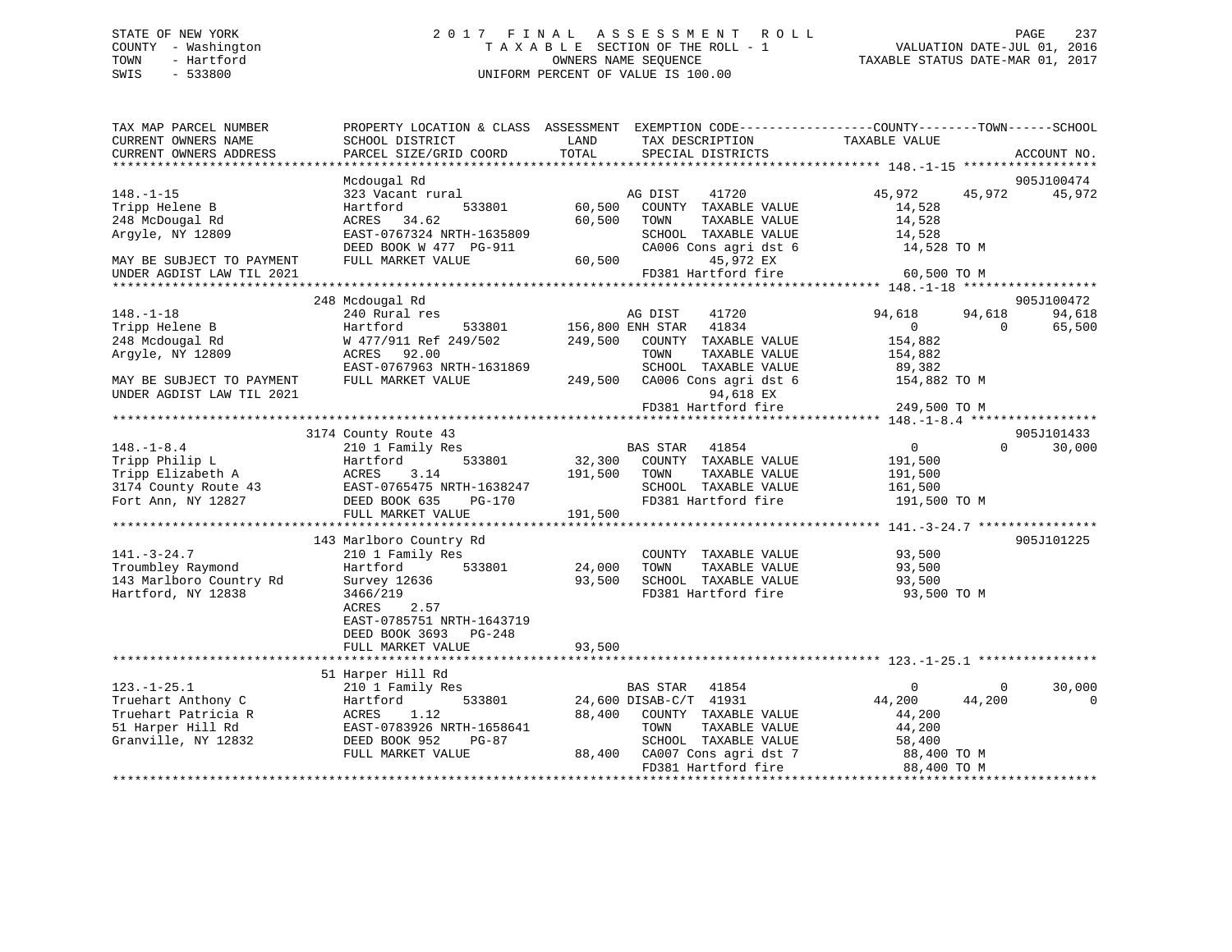# STATE OF NEW YORK 2 0 1 7 F I N A L A S S E S S M E N T R O L L PAGE 237 COUNTY - Washington T A X A B L E SECTION OF THE ROLL - 1 VALUATION DATE-JUL 01, 2016 TOWN - Hartford **TAXABLE STATUS DATE-MAR 01, 2017** SWIS - 533800 UNIFORM PERCENT OF VALUE IS 100.00

| TAX MAP PARCEL NUMBER<br>CURRENT OWNERS NAME<br>CURRENT OWNERS ADDRESS | PROPERTY LOCATION & CLASS ASSESSMENT<br>SCHOOL DISTRICT<br>PARCEL SIZE/GRID COORD | LAND<br>TAX DESCRIPTION<br>TOTAL<br>SPECIAL DISTRICTS | EXEMPTION CODE-----------------COUNTY-------TOWN------SCHOOL<br>TAXABLE VALUE<br>ACCOUNT NO. |
|------------------------------------------------------------------------|-----------------------------------------------------------------------------------|-------------------------------------------------------|----------------------------------------------------------------------------------------------|
|                                                                        |                                                                                   |                                                       |                                                                                              |
|                                                                        | Mcdougal Rd                                                                       |                                                       | 905J100474                                                                                   |
| $148. - 1 - 15$                                                        | 323 Vacant rural                                                                  | 41720<br>AG DIST                                      | 45,972<br>45,972<br>45,972                                                                   |
| Tripp Helene B                                                         | 533801<br>Hartford                                                                | 60,500<br>COUNTY TAXABLE VALUE                        | 14,528                                                                                       |
| 248 McDougal Rd                                                        | 34.62<br>ACRES                                                                    | 60,500<br>TOWN<br>TAXABLE VALUE                       | 14,528                                                                                       |
| Arqyle, NY 12809                                                       | EAST-0767324 NRTH-1635809                                                         | SCHOOL TAXABLE VALUE                                  | 14,528                                                                                       |
| MAY BE SUBJECT TO PAYMENT                                              | DEED BOOK W 477 PG-911<br>FULL MARKET VALUE                                       | CA006 Cons agri dst 6<br>60,500<br>45,972 EX          | 14,528 TO M                                                                                  |
| UNDER AGDIST LAW TIL 2021                                              |                                                                                   | FD381 Hartford fire                                   | 60,500 TO M                                                                                  |
|                                                                        |                                                                                   |                                                       |                                                                                              |
|                                                                        | 248 Mcdougal Rd                                                                   |                                                       | 905J100472                                                                                   |
| $148. - 1 - 18$                                                        | 240 Rural res                                                                     | AG DIST<br>41720                                      | 94,618<br>94,618<br>94,618                                                                   |
| Tripp Helene B                                                         | 533801<br>Hartford                                                                | 156,800 ENH STAR<br>41834                             | $\mathbf{0}$<br>$\Omega$<br>65,500                                                           |
| 248 Mcdougal Rd                                                        | W 477/911 Ref 249/502                                                             | 249,500<br>COUNTY TAXABLE VALUE                       | 154,882                                                                                      |
| Arqyle, NY 12809                                                       | ACRES 92.00                                                                       | TOWN<br>TAXABLE VALUE                                 | 154,882                                                                                      |
|                                                                        | EAST-0767963 NRTH-1631869                                                         | SCHOOL TAXABLE VALUE                                  | 89,382                                                                                       |
| MAY BE SUBJECT TO PAYMENT                                              | FULL MARKET VALUE                                                                 | CA006 Cons agri dst 6<br>249,500                      | 154,882 TO M                                                                                 |
| UNDER AGDIST LAW TIL 2021                                              |                                                                                   | 94,618 EX                                             |                                                                                              |
|                                                                        |                                                                                   | FD381 Hartford fire                                   | 249,500 TO M                                                                                 |
|                                                                        |                                                                                   |                                                       |                                                                                              |
|                                                                        | 3174 County Route 43                                                              |                                                       | 905J101433                                                                                   |
| $148. - 1 - 8.4$                                                       | 210 1 Family Res                                                                  | BAS STAR<br>41854                                     | 30,000<br>$\overline{0}$<br>$\Omega$                                                         |
| Tripp Philip L                                                         | Hartford<br>533801                                                                | 32,300<br>COUNTY TAXABLE VALUE                        | 191,500                                                                                      |
| Tripp Elizabeth A                                                      | 3.14<br>ACRES                                                                     | 191,500<br>TAXABLE VALUE<br>TOWN                      | 191,500                                                                                      |
| 3174 County Route 43                                                   | EAST-0765475 NRTH-1638247                                                         | SCHOOL TAXABLE VALUE                                  | 161,500                                                                                      |
| Fort Ann, NY 12827                                                     | DEED BOOK 635<br>$PG-170$                                                         | FD381 Hartford fire                                   | 191,500 TO M                                                                                 |
|                                                                        | FULL MARKET VALUE                                                                 | 191,500                                               |                                                                                              |
|                                                                        |                                                                                   |                                                       |                                                                                              |
| $141. - 3 - 24.7$                                                      | 143 Marlboro Country Rd                                                           |                                                       | 905J101225                                                                                   |
| Troumbley Raymond                                                      | 210 1 Family Res<br>533801                                                        | COUNTY TAXABLE VALUE<br>TAXABLE VALUE<br>TOWN         | 93,500                                                                                       |
| 143 Marlboro Country Rd                                                | Hartford                                                                          | 24,000<br>93,500<br>SCHOOL TAXABLE VALUE              | 93,500<br>93,500                                                                             |
| Hartford, NY 12838                                                     | Survey 12636<br>3466/219                                                          | FD381 Hartford fire                                   | 93,500 TO M                                                                                  |
|                                                                        | 2.57<br>ACRES                                                                     |                                                       |                                                                                              |
|                                                                        | EAST-0785751 NRTH-1643719                                                         |                                                       |                                                                                              |
|                                                                        | DEED BOOK 3693 PG-248                                                             |                                                       |                                                                                              |
|                                                                        | FULL MARKET VALUE                                                                 | 93,500                                                |                                                                                              |
|                                                                        |                                                                                   |                                                       |                                                                                              |
|                                                                        | 51 Harper Hill Rd                                                                 |                                                       |                                                                                              |
| $123. - 1 - 25.1$                                                      | 210 1 Family Res                                                                  | BAS STAR<br>41854                                     | 30,000<br>$\mathbf{0}$<br>$\mathbf{0}$                                                       |
| Truehart Anthony C                                                     | Hartford<br>533801                                                                | 24,600 DISAB-C/T 41931                                | 44,200<br>44,200<br>$\mathbf 0$                                                              |
| Truehart Patricia R                                                    | ACRES<br>1.12                                                                     | 88,400<br>COUNTY TAXABLE VALUE                        | 44,200                                                                                       |
| 51 Harper Hill Rd                                                      | EAST-0783926 NRTH-1658641                                                         | TOWN<br>TAXABLE VALUE                                 | 44,200                                                                                       |
| Granville, NY 12832                                                    | DEED BOOK 952<br>PG-87                                                            | SCHOOL TAXABLE VALUE                                  | 58,400                                                                                       |
|                                                                        | FULL MARKET VALUE                                                                 | 88,400<br>CA007 Cons agri dst 7                       | 88,400 TO M                                                                                  |
|                                                                        |                                                                                   | FD381 Hartford fire                                   | 88,400 TO M                                                                                  |
|                                                                        |                                                                                   |                                                       |                                                                                              |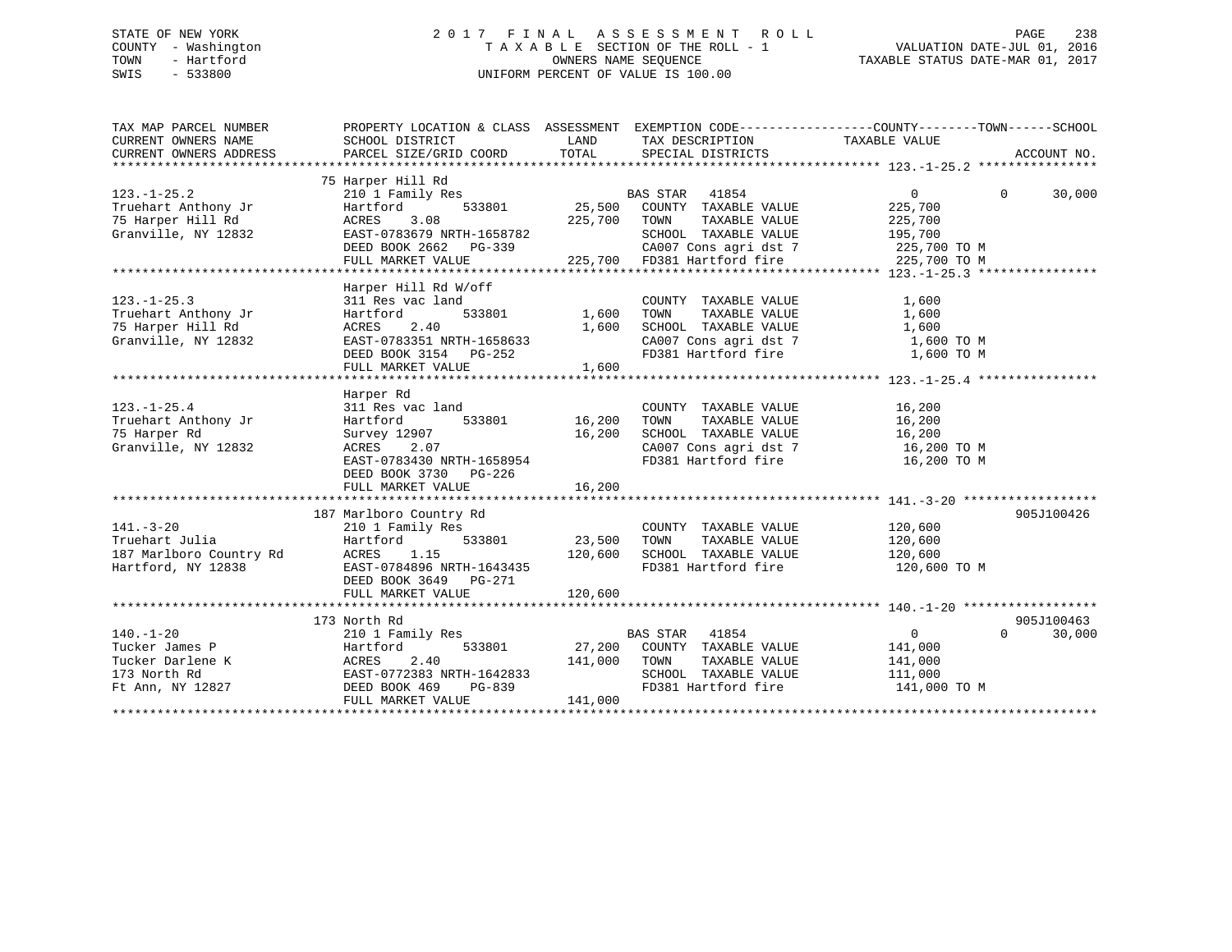# STATE OF NEW YORK 2 0 1 7 F I N A L A S S E S S M E N T R O L L PAGE 238 COUNTY - Washington T A X A B L E SECTION OF THE ROLL - 1 VALUATION DATE-JUL 01, 2016 TOWN - Hartford **TAXABLE STATUS DATE-MAR 01, 2017** SWIS - 533800 UNIFORM PERCENT OF VALUE IS 100.00

| TAX MAP PARCEL NUMBER<br>CURRENT OWNERS NAME<br>CURRENT OWNERS ADDRESS                    | SCHOOL DISTRICT<br>PARCEL SIZE/GRID COORD                                                                                                                       | LAND<br>TOTAL                       | PROPERTY LOCATION & CLASS ASSESSMENT EXEMPTION CODE----------------COUNTY-------TOWN------SCHOOL<br>TAX DESCRIPTION TAXABLE VALUE<br>SPECIAL DISTRICTS       |                                                                    | ACCOUNT NO.                      |
|-------------------------------------------------------------------------------------------|-----------------------------------------------------------------------------------------------------------------------------------------------------------------|-------------------------------------|--------------------------------------------------------------------------------------------------------------------------------------------------------------|--------------------------------------------------------------------|----------------------------------|
| $123. - 1 - 25.2$<br>Truehart Anthony Jr<br>75 Harper Hill Rd<br>Granville, NY 12832      | 75 Harper Hill Rd<br>210 1 Family Res<br>Hartford<br>ACRES<br>3.08<br>EAST-0783679 NRTH-1658782<br>DEED BOOK 2662<br>PG-339<br>FULL MARKET VALUE                | 533801 25,500<br>225,700            | BAS STAR 41854<br>COUNTY TAXABLE VALUE<br>TOWN<br>TAXABLE VALUE<br>SCHOOL TAXABLE VALUE<br>CA007 Cons agri dst 7 225,700 TO M<br>225,700 FD381 Hartford fire | $\Omega$<br>225,700<br>225,700<br>195,700<br>225,700 TO M          | $\Omega$<br>30,000               |
| $123. - 1 - 25.3$<br>Truehart Anthony Jr<br>75 Harper Hill Rd<br>Granville, NY 12832      | Harper Hill Rd W/off<br>311 Res vac land<br>533801<br>Hartford<br>2.40<br>ACRES<br>EAST-0783351 NRTH-1658633<br>DEED BOOK 3154 PG-252<br>FULL MARKET VALUE      | 1,600<br>1,600<br>1,600             | COUNTY TAXABLE VALUE<br>TAXABLE VALUE<br>TOWN<br>SCHOOL TAXABLE VALUE<br>CA007 Cons agri dst 7<br>FD381 Hartford fire                                        | 1,600<br>1,600<br>1,600<br>1,600 TO M<br>1,600 TO M                |                                  |
| $123. - 1 - 25.4$<br>Truehart Anthony Jr<br>75 Harper Rd<br>Granville, NY 12832           | Harper Rd<br>311 Res vac land<br>533801<br>Hartford<br>Survey 12907<br>ACRES<br>2.07<br>EAST-0783430 NRTH-1658954<br>DEED BOOK 3730 PG-226<br>FULL MARKET VALUE | 16,200<br>16,200<br>16,200          | COUNTY TAXABLE VALUE<br>TOWN      TAXABLE  VALUE<br>SCHOOL    TAXABLE  VALUE<br>CA007 Cons agri dst 7 16,200 TO M<br>FD381 Hartford fire                     | 16,200<br>16,200<br>16,200<br>16,200 TO M                          |                                  |
| $141. - 3 - 20$<br>Truehart Julia<br>187 Marlboro Country Rd<br>Hartford, NY 12838        | 187 Marlboro Country Rd<br>210 1 Family Res<br>Hartford<br>ACRES<br>1.15<br>EAST-0784896 NRTH-1643435<br>DEED BOOK 3649 PG-271<br>FULL MARKET VALUE             | 533801 23,500<br>120,600<br>120,600 | COUNTY TAXABLE VALUE<br>TAXABLE VALUE<br>TOWN<br>SCHOOL TAXABLE VALUE<br>FD381 Hartford fire 120,600 TO M                                                    | 120,600<br>120,600<br>120,600                                      | 905J100426                       |
| $140. - 1 - 20$<br>Tucker James P<br>Tucker Darlene K<br>173 North Rd<br>Ft Ann, NY 12827 | 173 North Rd<br>210 1 Family Res<br>533801<br>Hartford<br>ACRES<br>2.40<br>EAST-0772383 NRTH-1642833<br>DEED BOOK 469<br>PG-839<br>FULL MARKET VALUE            | 141,000<br>141,000                  | BAS STAR 41854<br>27,200 COUNTY TAXABLE VALUE<br>TOWN<br>TAXABLE VALUE<br>SCHOOL TAXABLE VALUE<br>FD381 Hartford fire                                        | $0 \qquad \qquad$<br>141,000<br>141,000<br>111,000<br>141,000 TO M | 905J100463<br>$\Omega$<br>30,000 |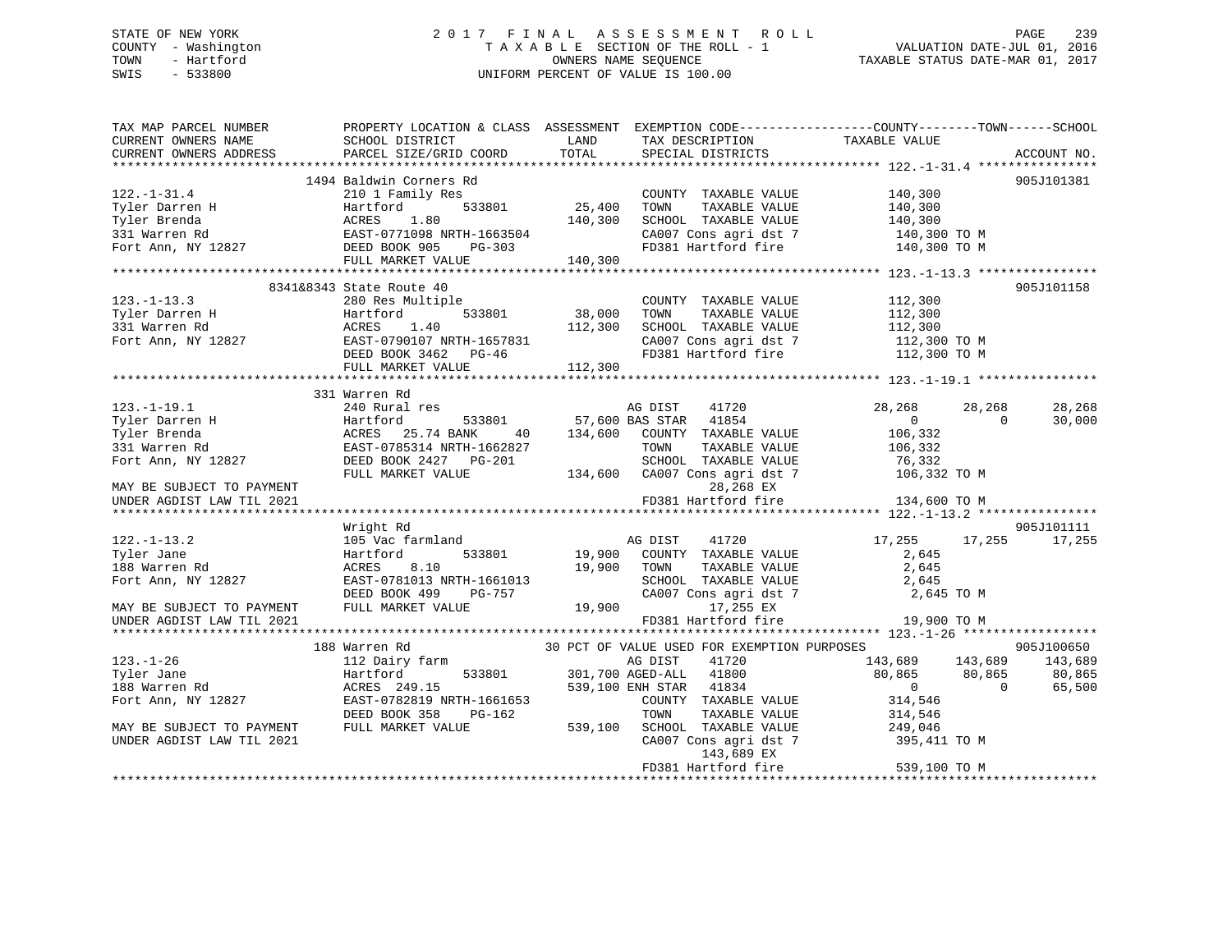# STATE OF NEW YORK 2 0 1 7 F I N A L A S S E S S M E N T R O L L PAGE 239 COUNTY - Washington T A X A B L E SECTION OF THE ROLL - 1 VALUATION DATE-JUL 01, 2016 TOWN - Hartford **TAXABLE STATUS DATE-MAR 01, 2017** SWIS - 533800 UNIFORM PERCENT OF VALUE IS 100.00

| TAX MAP PARCEL NUMBER<br>CURRENT OWNERS NAME | SCHOOL DISTRICT           | LAND    | TAX DESCRIPTION                                   | PROPERTY LOCATION & CLASS ASSESSMENT EXEMPTION CODE----------------COUNTY-------TOWN------SCHOOL<br>TAXABLE VALUE |             |
|----------------------------------------------|---------------------------|---------|---------------------------------------------------|-------------------------------------------------------------------------------------------------------------------|-------------|
| CURRENT OWNERS ADDRESS                       | PARCEL SIZE/GRID COORD    | TOTAL   | SPECIAL DISTRICTS                                 |                                                                                                                   | ACCOUNT NO. |
|                                              | 1494 Baldwin Corners Rd   |         |                                                   |                                                                                                                   | 905J101381  |
| $122. - 1 - 31.4$                            | 210 1 Family Res          |         | COUNTY TAXABLE VALUE                              | 140,300                                                                                                           |             |
| Tyler Darren H                               | 533801<br>Hartford        | 25,400  | TOWN<br>TAXABLE VALUE                             | 140,300                                                                                                           |             |
| Tyler Brenda                                 | ACRES<br>1.80             | 140,300 | SCHOOL TAXABLE VALUE                              | 140,300                                                                                                           |             |
| 331 Warren Rd                                | EAST-0771098 NRTH-1663504 |         | CA007 Cons agri dst 7                             | 140,300 TO M                                                                                                      |             |
| Fort Ann, NY 12827                           | DEED BOOK 905<br>PG-303   |         | FD381 Hartford fire                               | 140,300 TO M                                                                                                      |             |
|                                              | FULL MARKET VALUE         | 140,300 |                                                   |                                                                                                                   |             |
|                                              |                           |         |                                                   |                                                                                                                   |             |
|                                              | 8341&8343 State Route 40  |         |                                                   |                                                                                                                   | 905J101158  |
| $123. - 1 - 13.3$                            | 280 Res Multiple          |         | COUNTY TAXABLE VALUE                              | 112,300                                                                                                           |             |
| Tyler Darren H                               | Hartford<br>533801        | 38,000  | TOWN<br>TAXABLE VALUE                             | 112,300                                                                                                           |             |
| 331 Warren Rd                                | 1.40<br>ACRES             | 112,300 | SCHOOL TAXABLE VALUE                              | 112,300                                                                                                           |             |
| Fort Ann, NY 12827                           | EAST-0790107 NRTH-1657831 |         | CA007 Cons agri dst 7                             | 112,300 TO M                                                                                                      |             |
|                                              | DEED BOOK 3462 PG-46      |         | FD381 Hartford fire                               | 112,300 TO M                                                                                                      |             |
|                                              | FULL MARKET VALUE         | 112,300 |                                                   |                                                                                                                   |             |
|                                              |                           |         |                                                   |                                                                                                                   |             |
|                                              | 331 Warren Rd             |         |                                                   |                                                                                                                   |             |
| $123. - 1 - 19.1$                            | 240 Rural res             |         | AG DIST<br>41720                                  | 28,268<br>28,268                                                                                                  | 28,268      |
| Tyler Darren H                               | Hartford<br>533801        |         | 57,600 BAS STAR<br>41854                          | $\overline{0}$<br>$\Omega$                                                                                        | 30,000      |
| Tyler Brenda                                 | ACRES<br>25.74 BANK<br>40 | 134,600 | COUNTY TAXABLE VALUE                              | 106,332                                                                                                           |             |
| 331 Warren Rd                                | EAST-0785314 NRTH-1662827 |         | TOWN<br>TAXABLE VALUE                             | 106,332                                                                                                           |             |
| Fort Ann, NY 12827                           | DEED BOOK 2427 PG-201     |         | SCHOOL TAXABLE VALUE                              | 76,332                                                                                                            |             |
|                                              | FULL MARKET VALUE         | 134,600 | CA007 Cons agri dst 7                             | 106,332 TO M                                                                                                      |             |
| MAY BE SUBJECT TO PAYMENT                    |                           |         | 28,268 EX                                         |                                                                                                                   |             |
| UNDER AGDIST LAW TIL 2021                    |                           |         | FD381 Hartford fire                               | 134,600 TO M                                                                                                      |             |
|                                              |                           |         |                                                   | ***************** 122.-1-13.2 ****************                                                                    |             |
|                                              | Wright Rd                 |         |                                                   |                                                                                                                   | 905J101111  |
| $122. - 1 - 13.2$                            | 105 Vac farmland          |         | AG DIST<br>41720                                  | 17,255<br>17,255                                                                                                  | 17,255      |
| Tyler Jane                                   | Hartford<br>533801        | 19,900  | COUNTY TAXABLE VALUE                              | 2,645                                                                                                             |             |
| 188 Warren Rd                                | 8.10<br>ACRES             | 19,900  | TOWN<br>TAXABLE VALUE                             | 2,645                                                                                                             |             |
| Fort Ann, NY 12827                           | EAST-0781013 NRTH-1661013 |         | SCHOOL TAXABLE VALUE                              | 2,645                                                                                                             |             |
|                                              | DEED BOOK 499<br>PG-757   |         | CA007 Cons agri dst 7                             | 2,645 TO M                                                                                                        |             |
| MAY BE SUBJECT TO PAYMENT                    | FULL MARKET VALUE         | 19,900  | 17,255 EX                                         |                                                                                                                   |             |
| UNDER AGDIST LAW TIL 2021                    |                           |         | FD381 Hartford fire<br>************************** | 19,900 TO M<br>******* 123.-1-26 ************                                                                     |             |
|                                              | 188 Warren Rd             |         | 30 PCT OF VALUE USED FOR EXEMPTION PURPOSES       |                                                                                                                   | 905J100650  |
| $123. - 1 - 26$                              | 112 Dairy farm            |         | AG DIST<br>41720                                  | 143,689<br>143,689                                                                                                | 143,689     |
| Tyler Jane                                   | Hartford<br>533801        |         | 301,700 AGED-ALL<br>41800                         | 80,865<br>80,865                                                                                                  | 80,865      |
| 188 Warren Rd                                | ACRES 249.15              |         | 539,100 ENH STAR<br>41834                         | $\overline{0}$<br>$\Omega$                                                                                        | 65,500      |
| Fort Ann, NY 12827                           | EAST-0782819 NRTH-1661653 |         | COUNTY TAXABLE VALUE                              | 314,546                                                                                                           |             |
|                                              | DEED BOOK 358<br>PG-162   |         | TOWN<br>TAXABLE VALUE                             | 314,546                                                                                                           |             |
| MAY BE SUBJECT TO PAYMENT                    | FULL MARKET VALUE         | 539,100 | SCHOOL TAXABLE VALUE                              | 249,046                                                                                                           |             |
| UNDER AGDIST LAW TIL 2021                    |                           |         | CA007 Cons agri dst 7                             | 395,411 TO M                                                                                                      |             |
|                                              |                           |         | 143,689 EX                                        |                                                                                                                   |             |
|                                              |                           |         | FD381 Hartford fire                               | 539,100 TO M                                                                                                      |             |
|                                              |                           |         |                                                   |                                                                                                                   |             |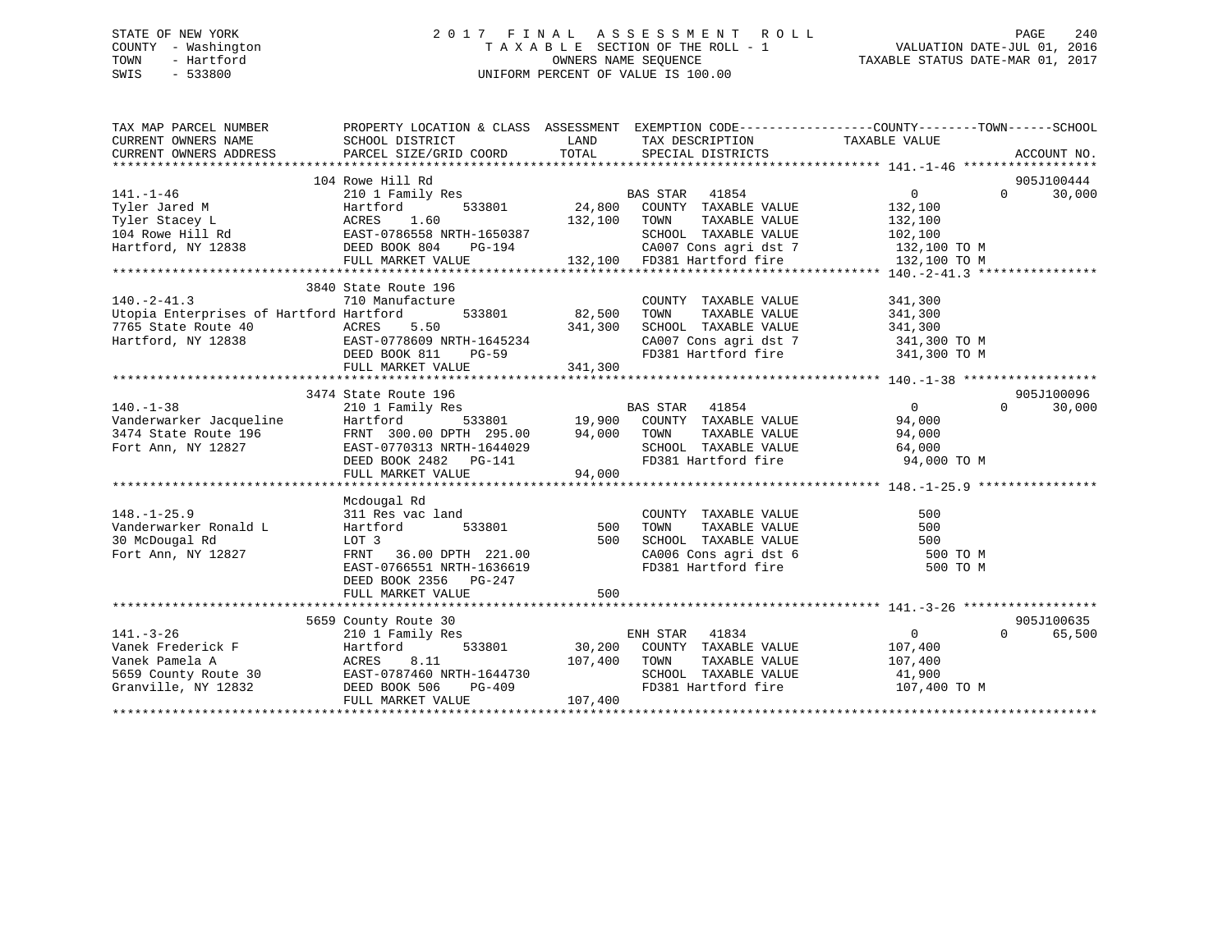# STATE OF NEW YORK 2 0 1 7 F I N A L A S S E S S M E N T R O L L PAGE 240 COUNTY - Washington T A X A B L E SECTION OF THE ROLL - 1 VALUATION DATE-JUL 01, 2016 TOWN - Hartford **TAXABLE STATUS DATE-MAR 01, 2017** SWIS - 533800 UNIFORM PERCENT OF VALUE IS 100.00

| TAX MAP PARCEL NUMBER                                                                                                                                                                                                                 | PROPERTY LOCATION & CLASS ASSESSMENT EXEMPTION CODE---------------COUNTY-------TOWN-----SCHOOL |              |                                                                      |                       |                    |
|---------------------------------------------------------------------------------------------------------------------------------------------------------------------------------------------------------------------------------------|------------------------------------------------------------------------------------------------|--------------|----------------------------------------------------------------------|-----------------------|--------------------|
| CURRENT OWNERS NAME                                                                                                                                                                                                                   | SCHOOL DISTRICT                                                                                |              | LAND TAX DESCRIPTION                                                 | TAXABLE VALUE         |                    |
| CURRENT OWNERS ADDRESS                                                                                                                                                                                                                | PARCEL SIZE/GRID COORD                                                                         |              | TOTAL SPECIAL DISTRICTS                                              |                       | ACCOUNT NO.        |
|                                                                                                                                                                                                                                       |                                                                                                |              |                                                                      |                       |                    |
|                                                                                                                                                                                                                                       | 104 Rowe Hill Rd                                                                               |              | BAS STAR 41854<br>33801 24,800 COUNTY TAXABLE VALUE                  |                       | 905J100444         |
| $141. - 1 - 46$                                                                                                                                                                                                                       | 210 1 Family Res                                                                               |              |                                                                      | $\overline{0}$        | 30,000<br>$\Omega$ |
|                                                                                                                                                                                                                                       |                                                                                                | 132,100 TOWN | TAXABLE VALUE                                                        | 132,100<br>132,100    |                    |
| Tyler Jared M Martford 533801<br>Tyler Stacey L ACRES 1.60<br>104 Rowe Hill Rd EAST-0786558 NRTH-1650387<br>Hartford, NY 12838 DEED BOOK 804 PG-194                                                                                   |                                                                                                |              |                                                                      |                       |                    |
| Hartford, NY 12838                                                                                                                                                                                                                    |                                                                                                |              | SCHOOL TAXABLE VALUE 102,100                                         |                       |                    |
|                                                                                                                                                                                                                                       | FULL MARKET VALUE                                                                              |              |                                                                      |                       |                    |
|                                                                                                                                                                                                                                       |                                                                                                |              |                                                                      |                       |                    |
|                                                                                                                                                                                                                                       | 3840 State Route 196                                                                           |              |                                                                      |                       |                    |
| $140.-2-41.3$                                                                                                                                                                                                                         | 710 Manufacture                                                                                |              | COUNTY TAXABLE VALUE 341,300                                         |                       |                    |
| Utopia Enterprises of Hartford Hartford                                                                                                                                                                                               | 533801 82,500                                                                                  |              | TOWN                                                                 | TAXABLE VALUE 341,300 |                    |
|                                                                                                                                                                                                                                       |                                                                                                |              |                                                                      |                       |                    |
| 7765 State Route 40 MCRES 5.50 341,300<br>Hartford, NY 12838 EAST-0778609 NRTH-1645234 DEED BOOK 811 PG-59                                                                                                                            |                                                                                                |              | SCHOOL TAXABLE VALUE 341,300<br>CA007 Cons agri dst 7 341,300 TO M   |                       |                    |
|                                                                                                                                                                                                                                       |                                                                                                |              | FD381 Hartford fire 341,300 TO M                                     |                       |                    |
|                                                                                                                                                                                                                                       |                                                                                                |              |                                                                      |                       |                    |
|                                                                                                                                                                                                                                       |                                                                                                |              |                                                                      |                       |                    |
|                                                                                                                                                                                                                                       | 3474 State Route 196                                                                           |              |                                                                      |                       | 905J100096         |
|                                                                                                                                                                                                                                       |                                                                                                |              | 3<br>BAS STAR 41854 (0)<br>533801 19,900 COUNTY TAXABLE VALUE 94,000 |                       | 30,000<br>$\Omega$ |
|                                                                                                                                                                                                                                       |                                                                                                |              |                                                                      |                       |                    |
|                                                                                                                                                                                                                                       |                                                                                                |              |                                                                      | TAXABLE VALUE 94,000  |                    |
|                                                                                                                                                                                                                                       |                                                                                                |              |                                                                      |                       |                    |
|                                                                                                                                                                                                                                       |                                                                                                |              |                                                                      |                       |                    |
| 140.-1-38 210 1 Family kes<br>Vanderwarker Jacqueline Hartford 533801 19,900 COUNT:<br>3474 State Route 196 FRNT 300.00 DPTH 295.00 94,000 TOWN<br>Fort Ann, NY 12827 EAST-0770313 NRTH-1644029 SCHOO DEED BOOK 2482 PG-141 FD381<br> |                                                                                                |              |                                                                      |                       |                    |
|                                                                                                                                                                                                                                       |                                                                                                |              |                                                                      |                       |                    |
|                                                                                                                                                                                                                                       | Mcdougal Rd                                                                                    |              |                                                                      |                       |                    |
| $148. - 1 - 25.9$                                                                                                                                                                                                                     | 311 Res vac land                                                                               |              | COUNTY TAXABLE VALUE                                                 | 500                   |                    |
| Vanderwarker Ronald L                                                                                                                                                                                                                 | 533801<br>Hartford                                                                             | 500          | TAXABLE VALUE<br>TOWN                                                | 500                   |                    |
| 30 McDougal Rd                                                                                                                                                                                                                        | LOT 3                                                                                          | 500          | SCHOOL TAXABLE VALUE                                                 | 500                   |                    |
| Fort Ann, NY 12827                                                                                                                                                                                                                    | FRNT 36.00 DPTH 221.00                                                                         |              | CA006 Cons agri dst 6 500 TO M                                       |                       |                    |
|                                                                                                                                                                                                                                       | EAST-0766551 NRTH-1636619                                                                      |              | FD381 Hartford fire                                                  | 500 TO M              |                    |
|                                                                                                                                                                                                                                       | DEED BOOK 2356 PG-247                                                                          | 500          |                                                                      |                       |                    |
|                                                                                                                                                                                                                                       | FULL MARKET VALUE                                                                              |              |                                                                      |                       |                    |
|                                                                                                                                                                                                                                       | 5659 County Route 30                                                                           |              |                                                                      |                       | 905J100635         |
| $141. - 3 - 26$                                                                                                                                                                                                                       | 210 1 Family Res                                                                               |              | ENH STAR 41834                                                       | $\overline{0}$        | $\Omega$<br>65,500 |
|                                                                                                                                                                                                                                       | 533801                                                                                         |              | 30,200 COUNTY TAXABLE VALUE                                          | 107,400               |                    |
| Vanek Frederick F<br>Vanek Pamela A<br>ACRES<br>ACRES                                                                                                                                                                                 | 8.11                                                                                           | 107,400 TOWN |                                                                      | TAXABLE VALUE 107,400 |                    |
| 5659 County Route 30 EAST-0787460 NRTH-1644730                                                                                                                                                                                        |                                                                                                |              | SCHOOL TAXABLE VALUE 41,900                                          |                       |                    |
| Granville, NY 12832 DEED BOOK 506                                                                                                                                                                                                     | IRTH-1644730<br>PG-409                                                                         |              | FD381 Hartford fire                                                  | 107,400 TO M          |                    |
|                                                                                                                                                                                                                                       | FULL MARKET VALUE                                                                              | 107,400      |                                                                      |                       |                    |
|                                                                                                                                                                                                                                       |                                                                                                |              |                                                                      |                       |                    |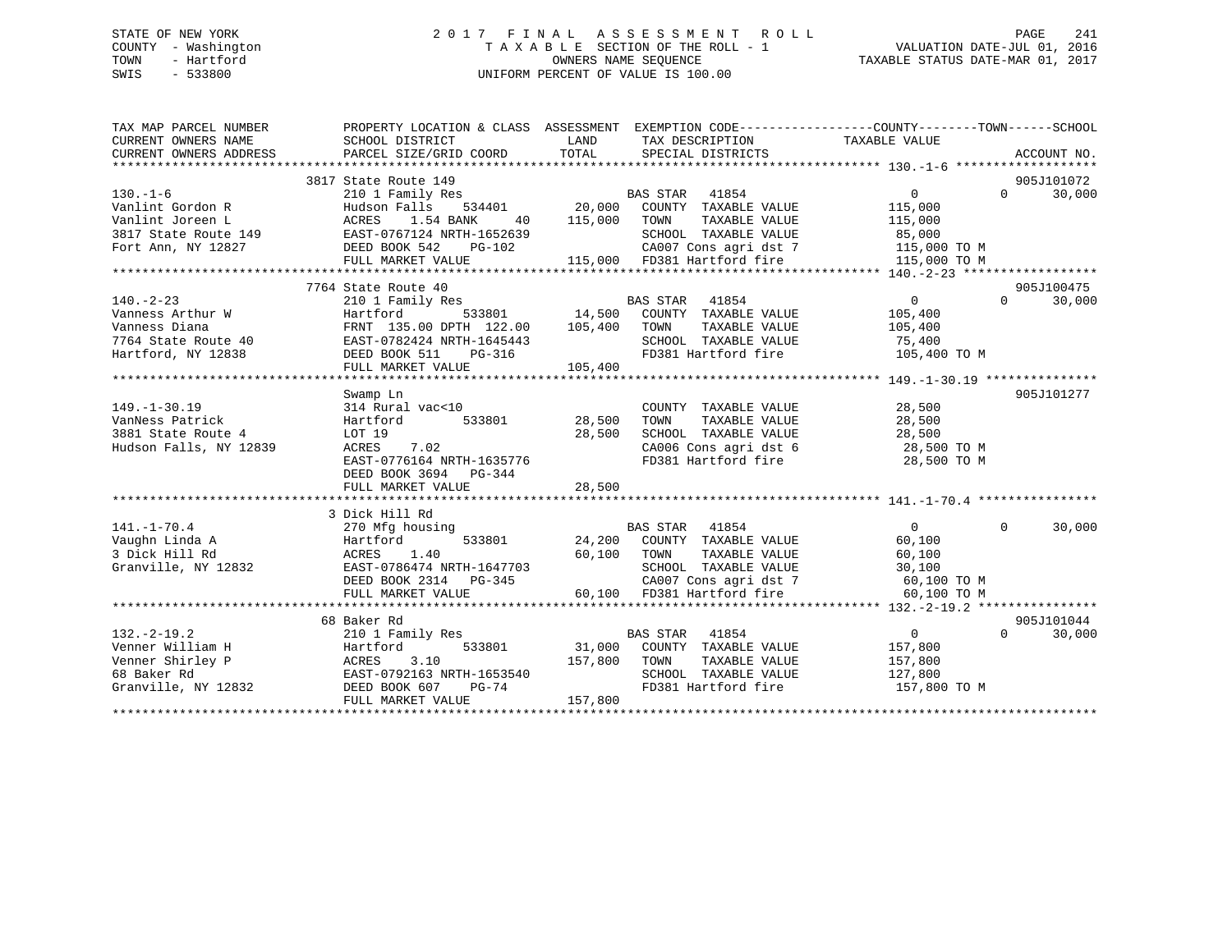# STATE OF NEW YORK 2 0 1 7 F I N A L A S S E S S M E N T R O L L PAGE 241 COUNTY - Washington T A X A B L E SECTION OF THE ROLL - 1 VALUATION DATE-JUL 01, 2016 TOWN - Hartford **TAXABLE STATUS DATE-MAR 01, 2017** SWIS - 533800 UNIFORM PERCENT OF VALUE IS 100.00

| TAX MAP PARCEL NUMBER                        | PROPERTY LOCATION & CLASS ASSESSMENT EXEMPTION CODE----------------COUNTY-------TOWN------SCHOOL                                                                                                                                                        |                 |                                                                                                                                                 |                |                    |  |
|----------------------------------------------|---------------------------------------------------------------------------------------------------------------------------------------------------------------------------------------------------------------------------------------------------------|-----------------|-------------------------------------------------------------------------------------------------------------------------------------------------|----------------|--------------------|--|
| CURRENT OWNERS NAME                          | SCHOOL DISTRICT                                                                                                                                                                                                                                         | <b>LAND</b>     | TAX DESCRIPTION                                                                                                                                 | TAXABLE VALUE  |                    |  |
| CURRENT OWNERS ADDRESS                       | PARCEL SIZE/GRID COORD                                                                                                                                                                                                                                  |                 | TOTAL SPECIAL DISTRICTS                                                                                                                         |                | ACCOUNT NO.        |  |
|                                              |                                                                                                                                                                                                                                                         |                 |                                                                                                                                                 |                |                    |  |
|                                              | 3817 State Route 149                                                                                                                                                                                                                                    |                 |                                                                                                                                                 |                | 905J101072         |  |
| $130. -1 - 6$                                |                                                                                                                                                                                                                                                         |                 |                                                                                                                                                 | $\overline{0}$ | 30,000<br>$\Omega$ |  |
|                                              | Vanlint Gordon R<br>Vanlint Joreen L<br>3817 State Route 149<br>Fort Ann, NY 12827<br>Fort Ann, NY 12827<br>Fort Ann, NY 12827<br>Fort Ann, NY 12827<br>Fort Ann, NY 12827<br>Fort Ann, NY 12827<br>Fort Ann, NY 12827<br>Fort Ann, NY 12827<br>Fort    |                 |                                                                                                                                                 | 115,000        |                    |  |
|                                              |                                                                                                                                                                                                                                                         | 40 115,000 TOWN | TAXABLE VALUE 115,000                                                                                                                           |                |                    |  |
|                                              |                                                                                                                                                                                                                                                         |                 | 32639 SCHOOL TAXABLE VALUE 85,000<br>102 CA007 Cons agri dst 7 115,000 TO M<br>115,000 FD381 Hartford fire 115,000 TO M                         |                |                    |  |
|                                              |                                                                                                                                                                                                                                                         |                 |                                                                                                                                                 |                |                    |  |
|                                              | FULL MARKET VALUE                                                                                                                                                                                                                                       |                 |                                                                                                                                                 |                |                    |  |
|                                              | 7764 State Route 40                                                                                                                                                                                                                                     |                 |                                                                                                                                                 |                | 905J100475         |  |
|                                              |                                                                                                                                                                                                                                                         |                 |                                                                                                                                                 |                |                    |  |
|                                              |                                                                                                                                                                                                                                                         |                 |                                                                                                                                                 |                |                    |  |
|                                              |                                                                                                                                                                                                                                                         |                 |                                                                                                                                                 |                |                    |  |
|                                              |                                                                                                                                                                                                                                                         |                 |                                                                                                                                                 |                |                    |  |
|                                              |                                                                                                                                                                                                                                                         |                 |                                                                                                                                                 |                |                    |  |
|                                              |                                                                                                                                                                                                                                                         |                 |                                                                                                                                                 |                |                    |  |
|                                              | $(10 + 2 - 23$ $(10 + 2 + 23)$ Vanness Arthur W<br>Vanness Arthur W<br>Vanness Diana<br>Vanness Diana<br>Vanness Diana<br>Vanness Diana<br>Sanger-0782424 NRTH-122.00<br>TAXABLE VALUE<br>TAXABLE VALUE<br>TAXABLE VALUE<br>TAXABLE VALUE<br>TAXABLE VA |                 |                                                                                                                                                 |                |                    |  |
|                                              | Swamp Ln                                                                                                                                                                                                                                                |                 |                                                                                                                                                 |                | 905J101277         |  |
| $149. - 1 - 30.19$                           |                                                                                                                                                                                                                                                         |                 | COUNTY TAXABLE VALUE                                                                                                                            | 28,500         |                    |  |
| 149.-1-30.19<br>VanNess Patrick              | 314 Rural vac<10 COUNT<br>Hartford 533801 28,500 TOWN                                                                                                                                                                                                   |                 | TAXABLE VALUE 28,500                                                                                                                            |                |                    |  |
| 3881 State Route 4<br>Hudson Falls, NY 12839 | LOT 19                                                                                                                                                                                                                                                  | 28,500          |                                                                                                                                                 |                |                    |  |
| Hudson Falls, NY 12839                       | ACRES 7.02                                                                                                                                                                                                                                              |                 | CA006 Cons agri dst 6<br>FD381 Hartford fire                                                                                                    |                |                    |  |
|                                              | EAST-0776164 NRTH-1635776                                                                                                                                                                                                                               |                 |                                                                                                                                                 | 28,500 TO M    |                    |  |
|                                              | DEED BOOK 3694 PG-344                                                                                                                                                                                                                                   |                 |                                                                                                                                                 |                |                    |  |
|                                              | FULL MARKET VALUE                                                                                                                                                                                                                                       | 28,500          |                                                                                                                                                 |                |                    |  |
|                                              |                                                                                                                                                                                                                                                         |                 |                                                                                                                                                 |                |                    |  |
|                                              | 3 Dick Hill Rd                                                                                                                                                                                                                                          |                 |                                                                                                                                                 |                |                    |  |
| $141. - 1 - 70.4$                            | $270$ Mfg housing                                                                                                                                                                                                                                       |                 | BAS STAR 41854                                                                                                                                  | $\overline{0}$ | $\Omega$<br>30,000 |  |
| Vaughn Linda A                               |                                                                                                                                                                                                                                                         |                 |                                                                                                                                                 | 60,100         |                    |  |
| 3 Dick Hill Rd                               |                                                                                                                                                                                                                                                         |                 |                                                                                                                                                 |                |                    |  |
| Granville, NY 12832                          | ACRES 1.40 60,100 TOWN TAXABLE VALUE 60,100<br>EAST-0786474 NRTH-1647703 60,100 SCHOOL TAXABLE VALUE 30,100<br>DEED BOOK 2314 PG-345 CA007 Cons agri dst 7 60,100 TO M                                                                                  |                 |                                                                                                                                                 |                |                    |  |
|                                              | FULL MARKET VALUE 60,100 FD381 Hartford fire                                                                                                                                                                                                            |                 |                                                                                                                                                 | 60,100 TO M    |                    |  |
|                                              |                                                                                                                                                                                                                                                         |                 |                                                                                                                                                 |                |                    |  |
|                                              | 68 Baker Rd                                                                                                                                                                                                                                             |                 |                                                                                                                                                 |                | 905J101044         |  |
| $132 - 2 - 19.2$                             | 210 1 Family Res                                                                                                                                                                                                                                        |                 |                                                                                                                                                 |                | $\Omega$<br>30,000 |  |
|                                              |                                                                                                                                                                                                                                                         |                 |                                                                                                                                                 |                |                    |  |
|                                              |                                                                                                                                                                                                                                                         |                 |                                                                                                                                                 |                |                    |  |
|                                              |                                                                                                                                                                                                                                                         |                 | BAS STAR 41854<br>31,000 COUNTY TAXABLE VALUE 157,800<br>157,800 TOWN TAXABLE VALUE 157,800<br>127,800 --------<br>SCHOOL TAXABLE VALUE 127,800 |                |                    |  |
|                                              | 132.-2-19.2<br>Venner William H<br>Venner Shirley P<br>68 Baker Rd<br>Granville, NY 12832<br>FRIST-0792163 NRTH-1653540<br>FILL MARKET VALUE<br>FILL MARKET VALUE<br>PILL MARKET VALUE                                                                  | 157,800         | FD381 Hartford fire                                                                                                                             | 157,800 TO M   |                    |  |
|                                              | FULL MARKET VALUE                                                                                                                                                                                                                                       | 157,800         |                                                                                                                                                 |                |                    |  |
|                                              |                                                                                                                                                                                                                                                         |                 |                                                                                                                                                 |                |                    |  |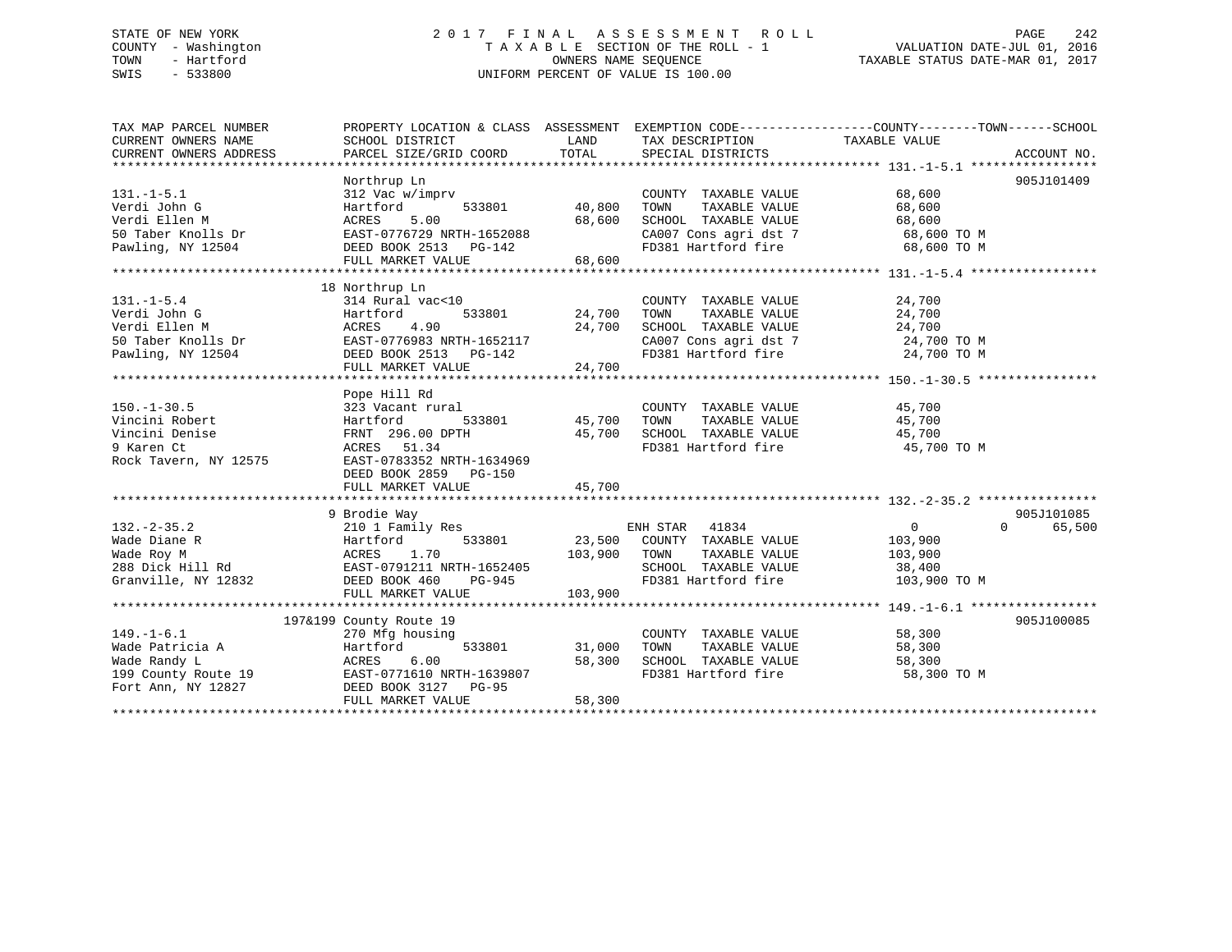# STATE OF NEW YORK 2 0 1 7 F I N A L A S S E S S M E N T R O L L PAGE 242 COUNTY - Washington T A X A B L E SECTION OF THE ROLL - 1 VALUATION DATE-JUL 01, 2016 TOWN - Hartford **TAXABLE STATUS DATE-MAR 01, 2017** SWIS - 533800 UNIFORM PERCENT OF VALUE IS 100.00

| TAX MAP PARCEL NUMBER<br>CURRENT OWNERS NAME<br>CURRENT OWNERS ADDRESS                                                                                                                                                                                 | PROPERTY LOCATION & CLASS ASSESSMENT EXEMPTION CODE----------------COUNTY-------TOWN-----SCHOOL<br>SCHOOL DISTRICT<br>PARCEL SIZE/GRID COORD | LAND<br>TOTAL | TAX DESCRIPTION TAXABLE VALUE<br>SPECIAL DISTRICTS                                                        |               | ACCOUNT NO. |
|--------------------------------------------------------------------------------------------------------------------------------------------------------------------------------------------------------------------------------------------------------|----------------------------------------------------------------------------------------------------------------------------------------------|---------------|-----------------------------------------------------------------------------------------------------------|---------------|-------------|
|                                                                                                                                                                                                                                                        |                                                                                                                                              |               |                                                                                                           |               |             |
|                                                                                                                                                                                                                                                        | Northrup Ln                                                                                                                                  |               |                                                                                                           |               | 905J101409  |
| $131. -1 - 5.1$                                                                                                                                                                                                                                        | 312 Vac w/imprv                                                                                                                              |               | COUNTY TAXABLE VALUE                                                                                      | 68,600        |             |
| Verdi John G                                                                                                                                                                                                                                           | Hartford                                                                                                                                     | 533801 40,800 | TAXABLE VALUE<br>TOWN                                                                                     | 68,600        |             |
| Verdi Ellen M                                                                                                                                                                                                                                          | ACRES<br>5.00                                                                                                                                | 68,600        |                                                                                                           |               |             |
| 50 Taber Knolls Dr                                                                                                                                                                                                                                     | EAST-0776729 NRTH-1652088                                                                                                                    |               | SCHOOL TAXABLE VALUE 68,600<br>CA007 Cons agri dst 7 68,600 TO M                                          |               |             |
| Pawling, NY 12504 DEED BOOK 2513 PG-142                                                                                                                                                                                                                |                                                                                                                                              |               | FD381 Hartford fire                                                                                       | 68,600 TO M   |             |
|                                                                                                                                                                                                                                                        | FULL MARKET VALUE                                                                                                                            | 68,600        |                                                                                                           |               |             |
|                                                                                                                                                                                                                                                        |                                                                                                                                              |               |                                                                                                           |               |             |
|                                                                                                                                                                                                                                                        | 18 Northrup Ln                                                                                                                               |               |                                                                                                           |               |             |
| $131. - 1 - 5.4$                                                                                                                                                                                                                                       | 314 Rural vac<10                                                                                                                             |               | COUNTY TAXABLE VALUE                                                                                      | 24,700        |             |
|                                                                                                                                                                                                                                                        |                                                                                                                                              | 533801 24,700 | TAXABLE VALUE<br>TOWN                                                                                     | 24,700        |             |
|                                                                                                                                                                                                                                                        |                                                                                                                                              |               |                                                                                                           |               |             |
|                                                                                                                                                                                                                                                        |                                                                                                                                              |               |                                                                                                           |               |             |
| Verdi John G<br>Verdi John G<br>Verdi Ellen M<br>So Taber Knolls Dr<br>EAST-0776983 NRTH-1652117<br>Pawling, NY 12504<br>DEED BOOK 2513<br>PG-142                                                                                                      |                                                                                                                                              |               | SCHOOL TAXABLE VALUE $24,700$<br>CA007 Cons agri dst 7 $24,700$ TO M<br>FD381 Hartford fire $24,700$ TO M |               |             |
|                                                                                                                                                                                                                                                        | FULL MARKET VALUE                                                                                                                            | 24,700        |                                                                                                           |               |             |
|                                                                                                                                                                                                                                                        |                                                                                                                                              |               |                                                                                                           |               |             |
|                                                                                                                                                                                                                                                        | Pope Hill Rd                                                                                                                                 |               |                                                                                                           |               |             |
| $150. - 1 - 30.5$                                                                                                                                                                                                                                      | 323 Vacant rural                                                                                                                             |               | COUNTY TAXABLE VALUE 45,700                                                                               |               |             |
| Vincini Robert                                                                                                                                                                                                                                         | 7 country:<br>533801 country<br>533801 45,700 TOWN                                                                                           |               |                                                                                                           |               |             |
| Vincini Denise                                                                                                                                                                                                                                         |                                                                                                                                              |               |                                                                                                           |               |             |
| 9 Karen Ct                                                                                                                                                                                                                                             |                                                                                                                                              |               | FD381 Hartford fire 50 45,700 TO M                                                                        |               |             |
| Rock Tavern, NY 12575                                                                                                                                                                                                                                  | EAST-0783352 NRTH-1634969                                                                                                                    |               |                                                                                                           |               |             |
|                                                                                                                                                                                                                                                        | DEED BOOK 2859 PG-150                                                                                                                        |               |                                                                                                           |               |             |
|                                                                                                                                                                                                                                                        | FULL MARKET VALUE                                                                                                                            | 45,700        |                                                                                                           |               |             |
|                                                                                                                                                                                                                                                        |                                                                                                                                              |               |                                                                                                           |               |             |
|                                                                                                                                                                                                                                                        | 9 Brodie Way                                                                                                                                 |               |                                                                                                           |               | 905J101085  |
| $132. - 2 - 35.2$                                                                                                                                                                                                                                      |                                                                                                                                              |               |                                                                                                           | 0<br>$\Omega$ | 65,500      |
|                                                                                                                                                                                                                                                        |                                                                                                                                              |               |                                                                                                           | 103,900       |             |
|                                                                                                                                                                                                                                                        |                                                                                                                                              |               | TAXABLE VALUE                                                                                             | 103,900       |             |
|                                                                                                                                                                                                                                                        |                                                                                                                                              |               | SCHOOL TAXABLE VALUE 38,400                                                                               |               |             |
| 132.-2-35.2<br>Wade Diane R<br>Wade Roy M<br>288 Dick Hill Rd<br>Granville, NY 12832<br>288 Dick Hill Rd<br>387-0791211 NRTH-1652405<br>288 Dick Hill Rd<br>387-0791211 NRTH-1652405<br>288 Dick Hill Rd<br>39801<br>288 Dick Hill Rd<br>3080000000000 |                                                                                                                                              |               | FD381 Hartford fire                                                                                       | 103,900 TO M  |             |
|                                                                                                                                                                                                                                                        | FULL MARKET VALUE                                                                                                                            | 103,900       |                                                                                                           |               |             |
|                                                                                                                                                                                                                                                        |                                                                                                                                              |               |                                                                                                           |               |             |
|                                                                                                                                                                                                                                                        | 197&199 County Route 19                                                                                                                      |               |                                                                                                           |               | 905J100085  |
| $149. - 1 - 6.1$                                                                                                                                                                                                                                       | 270 Mfg housing                                                                                                                              |               | COUNTY TAXABLE VALUE 58,300                                                                               |               |             |
| Wade Patricia A                                                                                                                                                                                                                                        | 533801                                                                                                                                       | 31,000        |                                                                                                           |               |             |
|                                                                                                                                                                                                                                                        |                                                                                                                                              | 58,300        |                                                                                                           |               |             |
|                                                                                                                                                                                                                                                        |                                                                                                                                              |               | FD381 Hartford fire                                                                                       | 58,300 TO M   |             |
| Fort Ann, NY 12827 DEED BOOK 3127 PG-95                                                                                                                                                                                                                |                                                                                                                                              |               |                                                                                                           |               |             |
|                                                                                                                                                                                                                                                        | FULL MARKET VALUE                                                                                                                            | 58,300        |                                                                                                           |               |             |
|                                                                                                                                                                                                                                                        |                                                                                                                                              |               |                                                                                                           |               |             |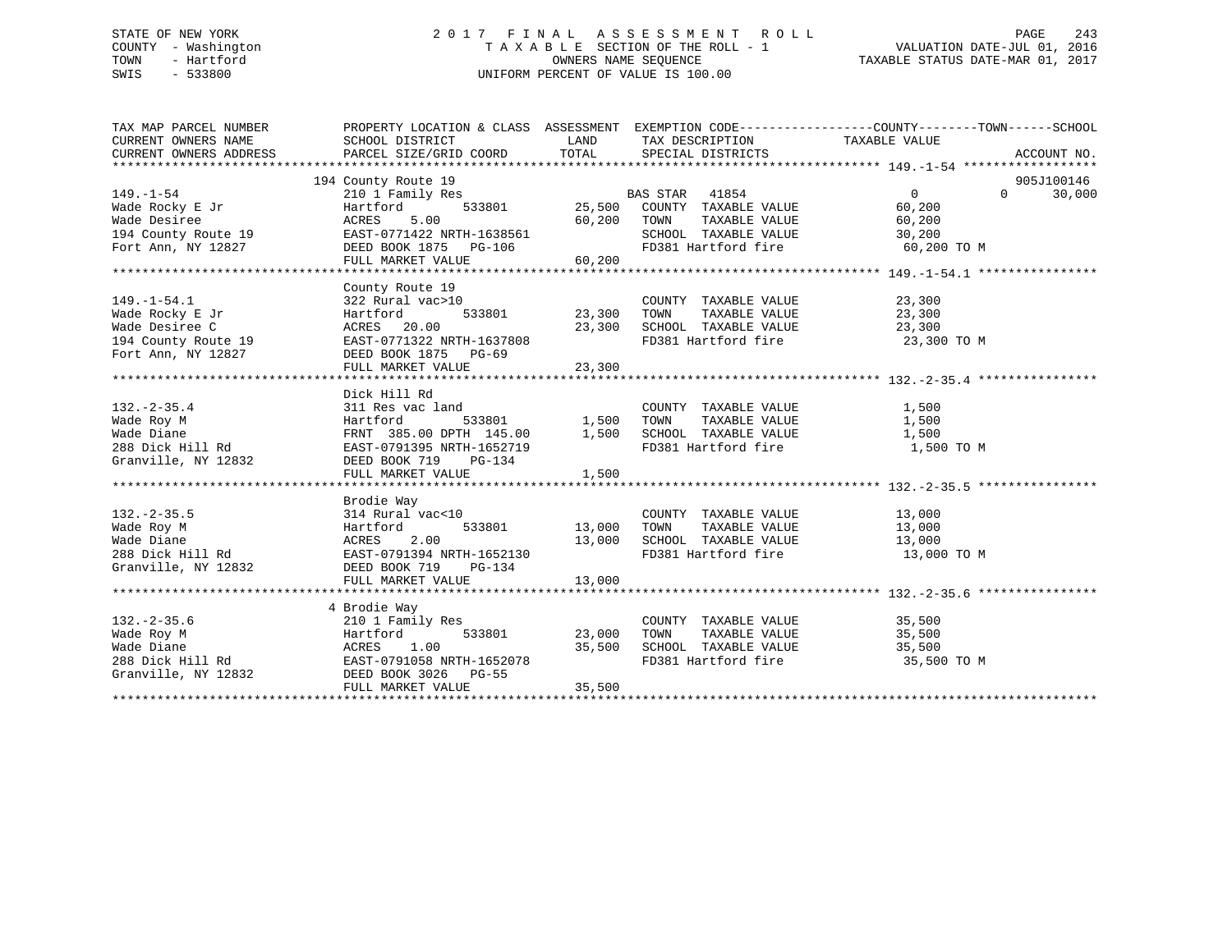# STATE OF NEW YORK 2 0 1 7 F I N A L A S S E S S M E N T R O L L PAGE 243 COUNTY - Washington T A X A B L E SECTION OF THE ROLL - 1 VALUATION DATE-JUL 01, 2016 TOWN - Hartford **TAXABLE STATUS DATE-MAR 01, 2017** SWIS - 533800 UNIFORM PERCENT OF VALUE IS 100.00

| TAX MAP PARCEL NUMBER<br>CURRENT OWNERS NAME<br>CURRENT OWNERS ADDRESS FORCEL SIZE/GRID COORD TOTAL SPECIAL DISTRICTS THE CONDUCT NO.<br>TORRENT OWNERS ADDRESS PARCEL SIZE/GRID COORD TOTAL SPECIAL DISTRICTS ACCOUNT NO.                           | PROPERTY LOCATION & CLASS ASSESSMENT EXEMPTION CODE---------------COUNTY-------TOWN-----SCHOOL<br>SCHOOL DISTRICT | <b>LAND</b> | TAX DESCRIPTION TAXABLE VALUE                                                                                                                |             |                    |
|------------------------------------------------------------------------------------------------------------------------------------------------------------------------------------------------------------------------------------------------------|-------------------------------------------------------------------------------------------------------------------|-------------|----------------------------------------------------------------------------------------------------------------------------------------------|-------------|--------------------|
|                                                                                                                                                                                                                                                      |                                                                                                                   |             |                                                                                                                                              |             |                    |
|                                                                                                                                                                                                                                                      | 194 County Route 19                                                                                               |             |                                                                                                                                              |             | 905J100146         |
| $149. - 1 - 54$                                                                                                                                                                                                                                      |                                                                                                                   |             |                                                                                                                                              |             | 30,000<br>$\Omega$ |
| Wade Rocky E Jr                                                                                                                                                                                                                                      |                                                                                                                   |             |                                                                                                                                              |             |                    |
|                                                                                                                                                                                                                                                      |                                                                                                                   |             |                                                                                                                                              |             |                    |
|                                                                                                                                                                                                                                                      |                                                                                                                   |             | TOWN TAXABLE VALUE<br>SCHOOL TAXABLE VALUE                                                                                                   | 30,200      |                    |
| Wade Desiree 60,200<br>194 County Route 19 EAST-0771422 NRTH-1638561<br>Fort Ann, NY 12827 DEED BOOK 1875 PG-106                                                                                                                                     | FULL MARKET VALUE                                                                                                 | 60, 200     | FD381 Hartford fire                                                                                                                          | 60,200 TO M |                    |
|                                                                                                                                                                                                                                                      |                                                                                                                   |             |                                                                                                                                              |             |                    |
|                                                                                                                                                                                                                                                      | County Route 19<br>te 19<br>vac>10<br>533801 23,300 TOWN<br>23,300 SCHOO<br>$23,300$ SCHOO                        |             |                                                                                                                                              |             |                    |
|                                                                                                                                                                                                                                                      | 322 Rural vac>10                                                                                                  |             | COUNTY TAXABLE VALUE 23,300                                                                                                                  |             |                    |
| 149.-1-54.1<br>Wade Rocky E Jr<br>Wade Desiree C                                                                                                                                                                                                     | Hartford                                                                                                          |             |                                                                                                                                              |             |                    |
|                                                                                                                                                                                                                                                      | ACRES 20.00                                                                                                       |             | $\begin{tabular}{lllllllllll} 23,300 & TOWN & TAXABLE VALUE & & & & 23,300 \\ 23,300 & SCHOOD & TAXABLE VALUE & & & 23,300 \\ \end{tabular}$ |             |                    |
| 194 County Route 19 EAST-0771322 NRTH-1637808                                                                                                                                                                                                        |                                                                                                                   |             | FD381 Hartford fire 23,300 TO M                                                                                                              |             |                    |
| Fort Ann, NY 12827                                                                                                                                                                                                                                   | DEED BOOK 1875 PG-69                                                                                              |             |                                                                                                                                              |             |                    |
|                                                                                                                                                                                                                                                      |                                                                                                                   |             |                                                                                                                                              |             |                    |
|                                                                                                                                                                                                                                                      |                                                                                                                   |             |                                                                                                                                              |             |                    |
|                                                                                                                                                                                                                                                      | Dick Hill Rd                                                                                                      |             |                                                                                                                                              |             |                    |
| $132 - 2 - 35.4$                                                                                                                                                                                                                                     | 311 Res vac land                                                                                                  |             | COUNTY TAXABLE VALUE 1,500                                                                                                                   |             |                    |
| VALUE VALUE<br>Wade Roy M<br>Wade Diane Bianchi Hammed B33801 1,500 TOWN TAXABLE VALUE 1,500<br>Wade Diane FRNT 385.00 DPTH 145.00 1,500 SCHOOL TAXABLE VALUE 1,500<br>288 Dick Hill Rd EAST-0791395 NRTH-1652719 FD381 Hartford fire                |                                                                                                                   |             |                                                                                                                                              |             |                    |
|                                                                                                                                                                                                                                                      |                                                                                                                   |             |                                                                                                                                              |             |                    |
|                                                                                                                                                                                                                                                      |                                                                                                                   |             |                                                                                                                                              | 1,500 TO M  |                    |
|                                                                                                                                                                                                                                                      |                                                                                                                   |             |                                                                                                                                              |             |                    |
|                                                                                                                                                                                                                                                      | FULL MARKET VALUE                                                                                                 | 1,500       |                                                                                                                                              |             |                    |
|                                                                                                                                                                                                                                                      |                                                                                                                   |             |                                                                                                                                              |             |                    |
|                                                                                                                                                                                                                                                      | Brodie Way                                                                                                        |             |                                                                                                                                              |             |                    |
| $132. -2 - 35.5$                                                                                                                                                                                                                                     | 314 Rural vac<10                                                                                                  |             | COUNTY TAXABLE VALUE 13,000                                                                                                                  |             |                    |
|                                                                                                                                                                                                                                                      |                                                                                                                   |             |                                                                                                                                              |             |                    |
|                                                                                                                                                                                                                                                      |                                                                                                                   |             | 533801 13,000 TOWN TAXABLE VALUE 13,000<br>13,000 SCHOOL TAXABLE VALUE 13,000<br>TH-1652130 FD381 Hartford fire 13,000 TO M                  |             |                    |
|                                                                                                                                                                                                                                                      |                                                                                                                   |             |                                                                                                                                              |             |                    |
| Granville, NY 12832 DEED BOOK 719 PG-134                                                                                                                                                                                                             |                                                                                                                   |             |                                                                                                                                              |             |                    |
|                                                                                                                                                                                                                                                      |                                                                                                                   |             |                                                                                                                                              |             |                    |
|                                                                                                                                                                                                                                                      | 4 Brodie Way                                                                                                      |             |                                                                                                                                              |             |                    |
|                                                                                                                                                                                                                                                      |                                                                                                                   |             |                                                                                                                                              | 35,500      |                    |
|                                                                                                                                                                                                                                                      |                                                                                                                   |             | COUNTY TAXABLE VALUE<br>TOWN       TAXABLE  VALUE                                                                                            | 35,500      |                    |
|                                                                                                                                                                                                                                                      |                                                                                                                   | 35,500      | SCHOOL TAXABLE VALUE                                                                                                                         | 35,500      |                    |
|                                                                                                                                                                                                                                                      |                                                                                                                   |             | FD381 Hartford fire                                                                                                                          | 35,500 TO M |                    |
|                                                                                                                                                                                                                                                      |                                                                                                                   |             |                                                                                                                                              |             |                    |
| 132.-2-35.6<br>Wade Roy M<br>Wade Diane<br>288 Dick Hill Rd<br>288 Dick Hill Rd<br>287-0791058 NRTH-1652078<br>287-0791058 NRTH-1652078<br>287-0791058 NRTH-1652078<br>287-0791058 NRTH-1652078<br>288 Dick Hill Rd<br>287-0791058 NRTH-1652078<br>2 |                                                                                                                   | 35,500      |                                                                                                                                              |             |                    |
|                                                                                                                                                                                                                                                      |                                                                                                                   |             |                                                                                                                                              |             |                    |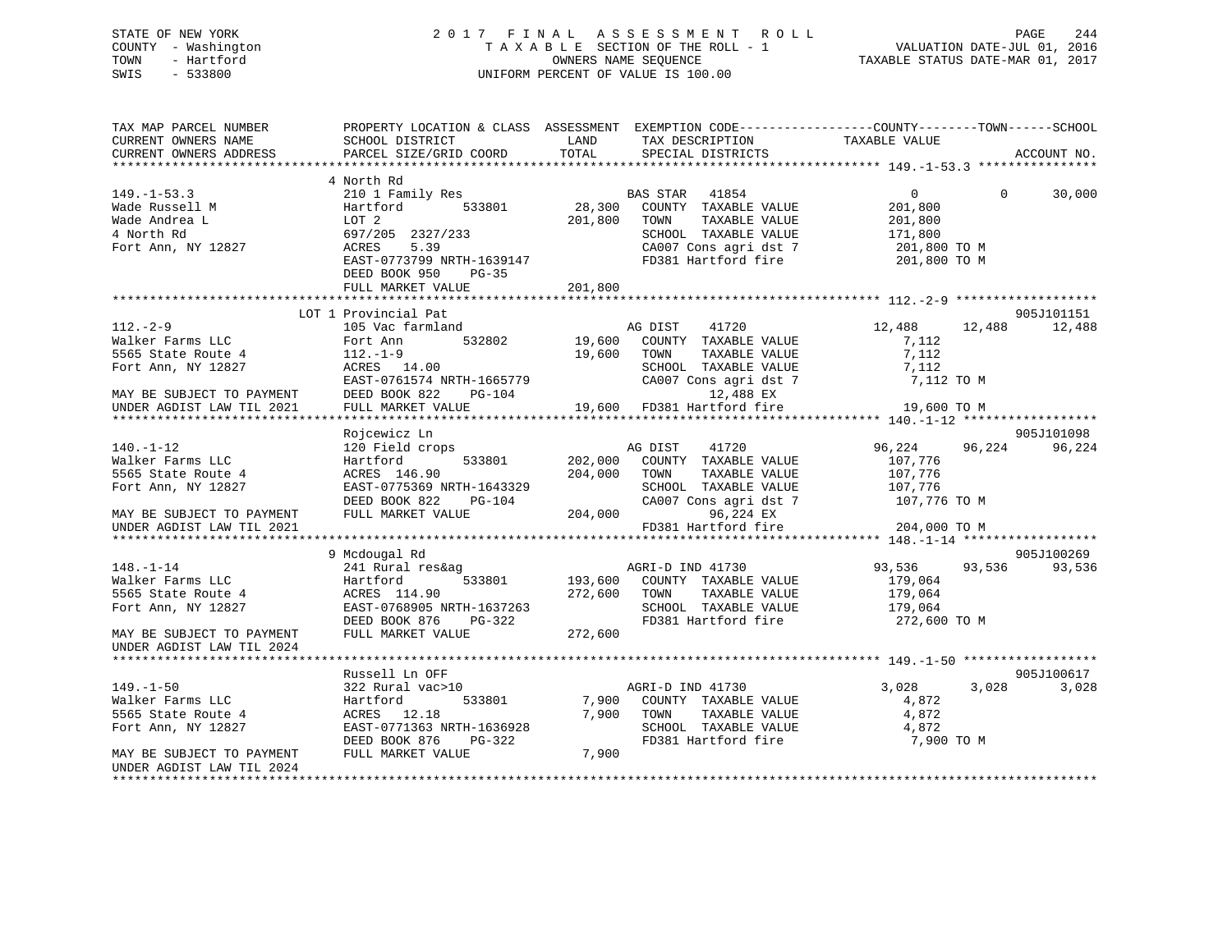# STATE OF NEW YORK 2 0 1 7 F I N A L A S S E S S M E N T R O L L PAGE 244 COUNTY - Washington T A X A B L E SECTION OF THE ROLL - 1 VALUATION DATE-JUL 01, 2016 TOWN - Hartford **TAXABLE STATUS DATE-MAR 01, 2017** SWIS - 533800 UNIFORM PERCENT OF VALUE IS 100.00

| TAX MAP PARCEL NUMBER<br>CURRENT OWNERS NAME<br>CURRENT OWNERS ADDRESS | PROPERTY LOCATION & CLASS ASSESSMENT EXEMPTION CODE----------------COUNTY-------TOWN-----SCHOOL<br>SCHOOL DISTRICT<br><b>EXAMPLE THE STATE OF STATE OF STATE</b><br>PARCEL SIZE/GRID COORD | TOTAL                    | TAX DESCRIPTION<br>SPECIAL DISTRICTS<br>SPECIAL DISTRICTS |                     | ACCOUNT NO.        |
|------------------------------------------------------------------------|--------------------------------------------------------------------------------------------------------------------------------------------------------------------------------------------|--------------------------|-----------------------------------------------------------|---------------------|--------------------|
|                                                                        |                                                                                                                                                                                            |                          |                                                           |                     |                    |
| $149. - 1 - 53.3$                                                      | 4 North Rd<br>210 1 Family Res                                                                                                                                                             |                          | BAS STAR 41854                                            | $0 \qquad \qquad$   | $\Omega$<br>30,000 |
| Wade Russell M<br>Wade Andrea L                                        | Hartford<br>LOT 2                                                                                                                                                                          | 533801 28,300<br>201,800 | COUNTY TAXABLE VALUE<br>TOWN<br>TAXABLE VALUE             | 201,800<br>201,800  |                    |
| 4 North Rd                                                             | 697/205 2327/233                                                                                                                                                                           |                          | SCHOOL TAXABLE VALUE                                      | 171,800             |                    |
| Fort Ann, NY 12827                                                     | 5.39<br>ACRES<br>EAST-0773799 NRTH-1639147<br>DEED BOOK 950<br>$PG-35$                                                                                                                     |                          | CA007 Cons agri dst 7<br>FD381 Hartford fire 201,800 TO M | 201,800 TO M        |                    |
|                                                                        | FULL MARKET VALUE                                                                                                                                                                          | 201,800                  |                                                           |                     |                    |
|                                                                        |                                                                                                                                                                                            |                          |                                                           |                     |                    |
|                                                                        | LOT 1 Provincial Pat                                                                                                                                                                       |                          |                                                           |                     | 905J101151         |
| $112. - 2 - 9$                                                         | 105 Vac farmland                                                                                                                                                                           |                          | AG DIST 41720                                             | 12,488              | 12,488<br>12,488   |
| Walker Farms LLC                                                       | Fort Ann<br>532802                                                                                                                                                                         | 19,600                   | COUNTY TAXABLE VALUE                                      | 7,112               |                    |
| 5565 State Route 4                                                     | $112,-1-9$                                                                                                                                                                                 | 19,600                   | TOWN<br>TAXABLE VALUE                                     | 7,112               |                    |
| Fort Ann, NY 12827                                                     | ACRES 14.00                                                                                                                                                                                |                          | SCHOOL TAXABLE VALUE                                      | 7,112               |                    |
|                                                                        |                                                                                                                                                                                            |                          | CA007 Cons agri dst 7                                     | 7,112 TO M          |                    |
| MAY BE SUBJECT TO PAYMENT                                              | DEED BOOK 822 I<br>FULL MARKET VALUE                                                                                                                                                       |                          |                                                           |                     |                    |
| UNDER AGDIST LAW TIL 2021                                              | ACRES 14.00<br>EAST-0761574 NRTH-1665779 CA007 Cons agri dst<br>DEED BOOK 822 PG-104 12,488 EX<br>FULL MARKET VALUE 19,600 FD381 Hartford fire                                             |                          |                                                           | 19,600 TO M         |                    |
|                                                                        |                                                                                                                                                                                            |                          |                                                           |                     |                    |
|                                                                        | Rojcewicz Ln                                                                                                                                                                               |                          |                                                           |                     | 905J101098         |
| $140. - 1 - 12$                                                        | 120 Field crops                                                                                                                                                                            |                          | AG DIST<br>41720                                          | 96,224 96,224       | 96,224             |
| Walker Farms LLC                                                       | Hartford<br>533801                                                                                                                                                                         | 202,000                  | COUNTY TAXABLE VALUE                                      | 107,776             |                    |
| 5565 State Route 4                                                     | ACRES 146.90                                                                                                                                                                               | 204,000                  | TAXABLE VALUE<br>TOWN                                     | 107,776             |                    |
| Fort Ann, NY 12827                                                     | EAST-0775369 NRTH-1643329                                                                                                                                                                  |                          | SCHOOL TAXABLE VALUE                                      | 107,776             |                    |
|                                                                        | DEED BOOK 822<br>PG-104                                                                                                                                                                    | 204,000                  | CA007 Cons agri dst 7 107,776 TO M                        |                     |                    |
| MAY BE SUBJECT TO PAYMENT                                              | FULL MARKET VALUE                                                                                                                                                                          |                          | 96,224 EX<br>FD381 Hartford fire                          |                     |                    |
| UNDER AGDIST LAW TIL 2021                                              |                                                                                                                                                                                            |                          |                                                           | 204,000 TO M        |                    |
|                                                                        | 9 Mcdougal Rd                                                                                                                                                                              |                          |                                                           |                     | 905J100269         |
| $148. - 1 - 14$                                                        | 241 Rural res&ag                                                                                                                                                                           |                          | AGRI-D IND 41730                                          | 93,536 93,536       | 93,536             |
| Walker Farms LLC                                                       | Hartford                                                                                                                                                                                   |                          | 533801 193,600 COUNTY TAXABLE VALUE                       | 179,064             |                    |
| 5565 State Route 4                                                     | ACRES 114.90                                                                                                                                                                               |                          | 272,600 TOWN<br>TAXABLE VALUE                             | 179,064             |                    |
| Fort Ann, NY 12827                                                     |                                                                                                                                                                                            |                          | SCHOOL TAXABLE VALUE 179,064                              |                     |                    |
|                                                                        | EAST-0768905 NRTH-1637263<br>DEED BOOK 876 PG-322                                                                                                                                          |                          | FD381 Hartford fire                                       | 272,600 ТО М        |                    |
| MAY BE SUBJECT TO PAYMENT<br>UNDER AGDIST LAW TIL 2024                 | FULL MARKET VALUE                                                                                                                                                                          | 272,600                  |                                                           |                     |                    |
|                                                                        |                                                                                                                                                                                            |                          |                                                           |                     |                    |
|                                                                        | Russell Ln OFF                                                                                                                                                                             |                          |                                                           |                     | 905J100617         |
| $149. - 1 - 50$                                                        | 322 Rural vac>10                                                                                                                                                                           |                          | AGRI-D IND 41730                                          | 3,028               | 3,028<br>3,028     |
| Walker Farms LLC                                                       | Hartford<br>533801                                                                                                                                                                         | 7,900                    | COUNTY TAXABLE VALUE                                      | 4,872               |                    |
| 5565 State Route 4                                                     | ACRES 12.18                                                                                                                                                                                | 7,900                    | TOWN                                                      | TAXABLE VALUE 4,872 |                    |
| Fort Ann, NY 12827                                                     | EAST-0771363 NRTH-1636928                                                                                                                                                                  |                          | SCHOOL TAXABLE VALUE                                      | 4,872               |                    |
|                                                                        | DEED BOOK 876<br>PG-322                                                                                                                                                                    |                          | FD381 Hartford fire                                       | 7,900 TO M          |                    |
| MAY BE SUBJECT TO PAYMENT                                              | FULL MARKET VALUE                                                                                                                                                                          | 7,900                    |                                                           |                     |                    |
| UNDER AGDIST LAW TIL 2024                                              |                                                                                                                                                                                            |                          |                                                           |                     |                    |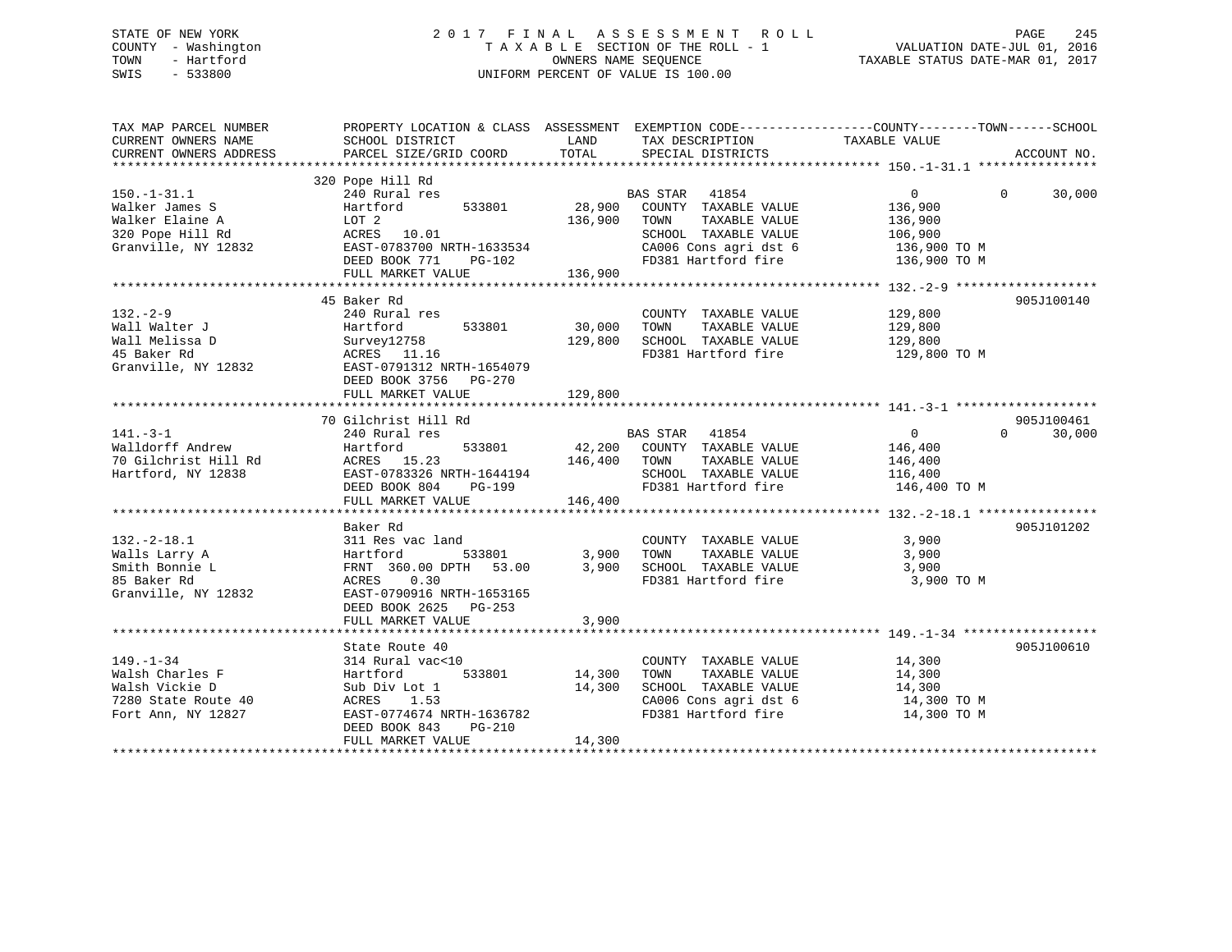# STATE OF NEW YORK 2 0 1 7 F I N A L A S S E S S M E N T R O L L PAGE 245 COUNTY - Washington T A X A B L E SECTION OF THE ROLL - 1 VALUATION DATE-JUL 01, 2016 TOWN - Hartford **TAXABLE STATUS DATE-MAR 01, 2017** SWIS - 533800 UNIFORM PERCENT OF VALUE IS 100.00

| CURRENT OWNERS NAME<br>SCHOOL DISTRICT<br>LAND<br>TAX DESCRIPTION TAXABLE VALUE<br>TOTAL<br>PARCEL SIZE/GRID COORD<br>SPECIAL DISTRICTS<br>CURRENT OWNERS ADDRESS<br>ACCOUNT NO.<br>320 Pope Hill Rd<br><b>BAS STAR</b><br>240 Rural res<br>41854<br>$\overline{0}$<br>$\Omega$<br>30,000<br>Walker James S<br>28,900<br>COUNTY TAXABLE VALUE<br>136,900<br>Hartford<br>533801<br>Walker Elaine A<br>LOT 2<br>136,900<br>TOWN<br>TAXABLE VALUE<br>136,900<br>SCHOOL TAXABLE VALUE<br>320 Pope Hill Rd<br>ACRES 10.01<br>106,900<br>Granville, NY 12832<br>CA006 Cons agri dst 6<br>EAST-0783700 NRTH-1633534<br>136,900 TO M<br>DEED BOOK 771<br>FD381 Hartford fire<br>PG-102<br>136,900 TO M<br>136,900<br>FULL MARKET VALUE<br>45 Baker Rd<br>905J100140<br>$132 - 2 - 9$<br>129,800<br>240 Rural res<br>COUNTY TAXABLE VALUE<br>Wall Walter J<br>533801<br>30,000<br>TAXABLE VALUE<br>129,800<br>Hartford<br>TOWN<br>Wall Melissa D<br>129,800<br>SCHOOL TAXABLE VALUE<br>129,800<br>Survey12758<br>FD381 Hartford fire<br>ACRES 11.16<br>129,800 TO M<br>EAST-0791312 NRTH-1654079<br>DEED BOOK 3756 PG-270<br>129,800<br>FULL MARKET VALUE<br>70 Gilchrist Hill Rd<br>905J100461<br>$141. - 3 - 1$<br><b>BAS STAR</b><br>41854<br>30,000<br>240 Rural res<br>$\overline{0}$<br>$\Omega$<br>Walldorff Andrew<br>42,200 COUNTY TAXABLE VALUE<br>Hartford<br>533801<br>146,400<br>70 Gilchrist Hill Rd<br>ACRES 15.23<br>146,400<br>TAXABLE VALUE<br>TOWN<br>146,400<br>Hartford, NY 12838<br>EAST-0783326 NRTH-1644194<br>SCHOOL TAXABLE VALUE<br>116,400<br>FD381 Hartford fire<br>DEED BOOK 804<br>PG-199<br>146,400 TO M<br>FULL MARKET VALUE<br>146,400<br>Baker Rd<br>905J101202<br>$132 - 2 - 18.1$<br>311 Res vac land<br>COUNTY TAXABLE VALUE<br>3,900<br>533801<br>3,900<br>TOWN<br>TAXABLE VALUE<br>3,900<br>Walls Larry A<br>Hartford<br>Smith Bonnie L<br>FRNT 360.00 DPTH 53.00<br>3,900<br>SCHOOL TAXABLE VALUE<br>3,900<br>0.30<br>FD381 Hartford fire<br>3,900 TO M<br>ACRES<br>EAST-0790916 NRTH-1653165<br>DEED BOOK 2625<br>PG-253<br>3,900<br>FULL MARKET VALUE<br>State Route 40<br>905J100610<br>$149. - 1 - 34$<br>314 Rural vac<10<br>COUNTY TAXABLE VALUE<br>14,300<br>Walsh Charles F<br>TAXABLE VALUE<br>Hartford<br>533801<br>14,300<br>TOWN<br>14,300<br>Walsh Vickie D<br>14,300<br>SCHOOL TAXABLE VALUE<br>Sub Div Lot 1<br>14,300<br>CA006 Cons agri dst 6<br>7280 State Route 40<br>1.53<br>14,300 TO M<br>ACRES<br>FD381 Hartford fire<br>Fort Ann, NY 12827<br>EAST-0774674 NRTH-1636782<br>14,300 TO M<br>DEED BOOK 843<br>$PG-210$<br>14,300<br>FULL MARKET VALUE | TAX MAP PARCEL NUMBER | PROPERTY LOCATION & CLASS ASSESSMENT EXEMPTION CODE----------------COUNTY-------TOWN------SCHOOL |  |  |
|------------------------------------------------------------------------------------------------------------------------------------------------------------------------------------------------------------------------------------------------------------------------------------------------------------------------------------------------------------------------------------------------------------------------------------------------------------------------------------------------------------------------------------------------------------------------------------------------------------------------------------------------------------------------------------------------------------------------------------------------------------------------------------------------------------------------------------------------------------------------------------------------------------------------------------------------------------------------------------------------------------------------------------------------------------------------------------------------------------------------------------------------------------------------------------------------------------------------------------------------------------------------------------------------------------------------------------------------------------------------------------------------------------------------------------------------------------------------------------------------------------------------------------------------------------------------------------------------------------------------------------------------------------------------------------------------------------------------------------------------------------------------------------------------------------------------------------------------------------------------------------------------------------------------------------------------------------------------------------------------------------------------------------------------------------------------------------------------------------------------------------------------------------------------------------------------------------------------------------------------------------------------------------------------------------------------------------------------------------------------------------------------------------------------------------------------------------------------------------------------------------------------------------------------------------------------------------------------------------|-----------------------|--------------------------------------------------------------------------------------------------|--|--|
|                                                                                                                                                                                                                                                                                                                                                                                                                                                                                                                                                                                                                                                                                                                                                                                                                                                                                                                                                                                                                                                                                                                                                                                                                                                                                                                                                                                                                                                                                                                                                                                                                                                                                                                                                                                                                                                                                                                                                                                                                                                                                                                                                                                                                                                                                                                                                                                                                                                                                                                                                                                                            |                       |                                                                                                  |  |  |
|                                                                                                                                                                                                                                                                                                                                                                                                                                                                                                                                                                                                                                                                                                                                                                                                                                                                                                                                                                                                                                                                                                                                                                                                                                                                                                                                                                                                                                                                                                                                                                                                                                                                                                                                                                                                                                                                                                                                                                                                                                                                                                                                                                                                                                                                                                                                                                                                                                                                                                                                                                                                            |                       |                                                                                                  |  |  |
|                                                                                                                                                                                                                                                                                                                                                                                                                                                                                                                                                                                                                                                                                                                                                                                                                                                                                                                                                                                                                                                                                                                                                                                                                                                                                                                                                                                                                                                                                                                                                                                                                                                                                                                                                                                                                                                                                                                                                                                                                                                                                                                                                                                                                                                                                                                                                                                                                                                                                                                                                                                                            |                       |                                                                                                  |  |  |
|                                                                                                                                                                                                                                                                                                                                                                                                                                                                                                                                                                                                                                                                                                                                                                                                                                                                                                                                                                                                                                                                                                                                                                                                                                                                                                                                                                                                                                                                                                                                                                                                                                                                                                                                                                                                                                                                                                                                                                                                                                                                                                                                                                                                                                                                                                                                                                                                                                                                                                                                                                                                            |                       |                                                                                                  |  |  |
|                                                                                                                                                                                                                                                                                                                                                                                                                                                                                                                                                                                                                                                                                                                                                                                                                                                                                                                                                                                                                                                                                                                                                                                                                                                                                                                                                                                                                                                                                                                                                                                                                                                                                                                                                                                                                                                                                                                                                                                                                                                                                                                                                                                                                                                                                                                                                                                                                                                                                                                                                                                                            | $150. - 1 - 31.1$     |                                                                                                  |  |  |
|                                                                                                                                                                                                                                                                                                                                                                                                                                                                                                                                                                                                                                                                                                                                                                                                                                                                                                                                                                                                                                                                                                                                                                                                                                                                                                                                                                                                                                                                                                                                                                                                                                                                                                                                                                                                                                                                                                                                                                                                                                                                                                                                                                                                                                                                                                                                                                                                                                                                                                                                                                                                            |                       |                                                                                                  |  |  |
|                                                                                                                                                                                                                                                                                                                                                                                                                                                                                                                                                                                                                                                                                                                                                                                                                                                                                                                                                                                                                                                                                                                                                                                                                                                                                                                                                                                                                                                                                                                                                                                                                                                                                                                                                                                                                                                                                                                                                                                                                                                                                                                                                                                                                                                                                                                                                                                                                                                                                                                                                                                                            |                       |                                                                                                  |  |  |
|                                                                                                                                                                                                                                                                                                                                                                                                                                                                                                                                                                                                                                                                                                                                                                                                                                                                                                                                                                                                                                                                                                                                                                                                                                                                                                                                                                                                                                                                                                                                                                                                                                                                                                                                                                                                                                                                                                                                                                                                                                                                                                                                                                                                                                                                                                                                                                                                                                                                                                                                                                                                            |                       |                                                                                                  |  |  |
|                                                                                                                                                                                                                                                                                                                                                                                                                                                                                                                                                                                                                                                                                                                                                                                                                                                                                                                                                                                                                                                                                                                                                                                                                                                                                                                                                                                                                                                                                                                                                                                                                                                                                                                                                                                                                                                                                                                                                                                                                                                                                                                                                                                                                                                                                                                                                                                                                                                                                                                                                                                                            |                       |                                                                                                  |  |  |
|                                                                                                                                                                                                                                                                                                                                                                                                                                                                                                                                                                                                                                                                                                                                                                                                                                                                                                                                                                                                                                                                                                                                                                                                                                                                                                                                                                                                                                                                                                                                                                                                                                                                                                                                                                                                                                                                                                                                                                                                                                                                                                                                                                                                                                                                                                                                                                                                                                                                                                                                                                                                            |                       |                                                                                                  |  |  |
|                                                                                                                                                                                                                                                                                                                                                                                                                                                                                                                                                                                                                                                                                                                                                                                                                                                                                                                                                                                                                                                                                                                                                                                                                                                                                                                                                                                                                                                                                                                                                                                                                                                                                                                                                                                                                                                                                                                                                                                                                                                                                                                                                                                                                                                                                                                                                                                                                                                                                                                                                                                                            |                       |                                                                                                  |  |  |
|                                                                                                                                                                                                                                                                                                                                                                                                                                                                                                                                                                                                                                                                                                                                                                                                                                                                                                                                                                                                                                                                                                                                                                                                                                                                                                                                                                                                                                                                                                                                                                                                                                                                                                                                                                                                                                                                                                                                                                                                                                                                                                                                                                                                                                                                                                                                                                                                                                                                                                                                                                                                            |                       |                                                                                                  |  |  |
|                                                                                                                                                                                                                                                                                                                                                                                                                                                                                                                                                                                                                                                                                                                                                                                                                                                                                                                                                                                                                                                                                                                                                                                                                                                                                                                                                                                                                                                                                                                                                                                                                                                                                                                                                                                                                                                                                                                                                                                                                                                                                                                                                                                                                                                                                                                                                                                                                                                                                                                                                                                                            |                       |                                                                                                  |  |  |
|                                                                                                                                                                                                                                                                                                                                                                                                                                                                                                                                                                                                                                                                                                                                                                                                                                                                                                                                                                                                                                                                                                                                                                                                                                                                                                                                                                                                                                                                                                                                                                                                                                                                                                                                                                                                                                                                                                                                                                                                                                                                                                                                                                                                                                                                                                                                                                                                                                                                                                                                                                                                            |                       |                                                                                                  |  |  |
|                                                                                                                                                                                                                                                                                                                                                                                                                                                                                                                                                                                                                                                                                                                                                                                                                                                                                                                                                                                                                                                                                                                                                                                                                                                                                                                                                                                                                                                                                                                                                                                                                                                                                                                                                                                                                                                                                                                                                                                                                                                                                                                                                                                                                                                                                                                                                                                                                                                                                                                                                                                                            |                       |                                                                                                  |  |  |
|                                                                                                                                                                                                                                                                                                                                                                                                                                                                                                                                                                                                                                                                                                                                                                                                                                                                                                                                                                                                                                                                                                                                                                                                                                                                                                                                                                                                                                                                                                                                                                                                                                                                                                                                                                                                                                                                                                                                                                                                                                                                                                                                                                                                                                                                                                                                                                                                                                                                                                                                                                                                            |                       |                                                                                                  |  |  |
|                                                                                                                                                                                                                                                                                                                                                                                                                                                                                                                                                                                                                                                                                                                                                                                                                                                                                                                                                                                                                                                                                                                                                                                                                                                                                                                                                                                                                                                                                                                                                                                                                                                                                                                                                                                                                                                                                                                                                                                                                                                                                                                                                                                                                                                                                                                                                                                                                                                                                                                                                                                                            |                       |                                                                                                  |  |  |
|                                                                                                                                                                                                                                                                                                                                                                                                                                                                                                                                                                                                                                                                                                                                                                                                                                                                                                                                                                                                                                                                                                                                                                                                                                                                                                                                                                                                                                                                                                                                                                                                                                                                                                                                                                                                                                                                                                                                                                                                                                                                                                                                                                                                                                                                                                                                                                                                                                                                                                                                                                                                            | 45 Baker Rd           |                                                                                                  |  |  |
|                                                                                                                                                                                                                                                                                                                                                                                                                                                                                                                                                                                                                                                                                                                                                                                                                                                                                                                                                                                                                                                                                                                                                                                                                                                                                                                                                                                                                                                                                                                                                                                                                                                                                                                                                                                                                                                                                                                                                                                                                                                                                                                                                                                                                                                                                                                                                                                                                                                                                                                                                                                                            | Granville, NY 12832   |                                                                                                  |  |  |
|                                                                                                                                                                                                                                                                                                                                                                                                                                                                                                                                                                                                                                                                                                                                                                                                                                                                                                                                                                                                                                                                                                                                                                                                                                                                                                                                                                                                                                                                                                                                                                                                                                                                                                                                                                                                                                                                                                                                                                                                                                                                                                                                                                                                                                                                                                                                                                                                                                                                                                                                                                                                            |                       |                                                                                                  |  |  |
|                                                                                                                                                                                                                                                                                                                                                                                                                                                                                                                                                                                                                                                                                                                                                                                                                                                                                                                                                                                                                                                                                                                                                                                                                                                                                                                                                                                                                                                                                                                                                                                                                                                                                                                                                                                                                                                                                                                                                                                                                                                                                                                                                                                                                                                                                                                                                                                                                                                                                                                                                                                                            |                       |                                                                                                  |  |  |
|                                                                                                                                                                                                                                                                                                                                                                                                                                                                                                                                                                                                                                                                                                                                                                                                                                                                                                                                                                                                                                                                                                                                                                                                                                                                                                                                                                                                                                                                                                                                                                                                                                                                                                                                                                                                                                                                                                                                                                                                                                                                                                                                                                                                                                                                                                                                                                                                                                                                                                                                                                                                            |                       |                                                                                                  |  |  |
|                                                                                                                                                                                                                                                                                                                                                                                                                                                                                                                                                                                                                                                                                                                                                                                                                                                                                                                                                                                                                                                                                                                                                                                                                                                                                                                                                                                                                                                                                                                                                                                                                                                                                                                                                                                                                                                                                                                                                                                                                                                                                                                                                                                                                                                                                                                                                                                                                                                                                                                                                                                                            |                       |                                                                                                  |  |  |
|                                                                                                                                                                                                                                                                                                                                                                                                                                                                                                                                                                                                                                                                                                                                                                                                                                                                                                                                                                                                                                                                                                                                                                                                                                                                                                                                                                                                                                                                                                                                                                                                                                                                                                                                                                                                                                                                                                                                                                                                                                                                                                                                                                                                                                                                                                                                                                                                                                                                                                                                                                                                            |                       |                                                                                                  |  |  |
|                                                                                                                                                                                                                                                                                                                                                                                                                                                                                                                                                                                                                                                                                                                                                                                                                                                                                                                                                                                                                                                                                                                                                                                                                                                                                                                                                                                                                                                                                                                                                                                                                                                                                                                                                                                                                                                                                                                                                                                                                                                                                                                                                                                                                                                                                                                                                                                                                                                                                                                                                                                                            |                       |                                                                                                  |  |  |
|                                                                                                                                                                                                                                                                                                                                                                                                                                                                                                                                                                                                                                                                                                                                                                                                                                                                                                                                                                                                                                                                                                                                                                                                                                                                                                                                                                                                                                                                                                                                                                                                                                                                                                                                                                                                                                                                                                                                                                                                                                                                                                                                                                                                                                                                                                                                                                                                                                                                                                                                                                                                            |                       |                                                                                                  |  |  |
|                                                                                                                                                                                                                                                                                                                                                                                                                                                                                                                                                                                                                                                                                                                                                                                                                                                                                                                                                                                                                                                                                                                                                                                                                                                                                                                                                                                                                                                                                                                                                                                                                                                                                                                                                                                                                                                                                                                                                                                                                                                                                                                                                                                                                                                                                                                                                                                                                                                                                                                                                                                                            |                       |                                                                                                  |  |  |
|                                                                                                                                                                                                                                                                                                                                                                                                                                                                                                                                                                                                                                                                                                                                                                                                                                                                                                                                                                                                                                                                                                                                                                                                                                                                                                                                                                                                                                                                                                                                                                                                                                                                                                                                                                                                                                                                                                                                                                                                                                                                                                                                                                                                                                                                                                                                                                                                                                                                                                                                                                                                            |                       |                                                                                                  |  |  |
|                                                                                                                                                                                                                                                                                                                                                                                                                                                                                                                                                                                                                                                                                                                                                                                                                                                                                                                                                                                                                                                                                                                                                                                                                                                                                                                                                                                                                                                                                                                                                                                                                                                                                                                                                                                                                                                                                                                                                                                                                                                                                                                                                                                                                                                                                                                                                                                                                                                                                                                                                                                                            |                       |                                                                                                  |  |  |
|                                                                                                                                                                                                                                                                                                                                                                                                                                                                                                                                                                                                                                                                                                                                                                                                                                                                                                                                                                                                                                                                                                                                                                                                                                                                                                                                                                                                                                                                                                                                                                                                                                                                                                                                                                                                                                                                                                                                                                                                                                                                                                                                                                                                                                                                                                                                                                                                                                                                                                                                                                                                            |                       |                                                                                                  |  |  |
|                                                                                                                                                                                                                                                                                                                                                                                                                                                                                                                                                                                                                                                                                                                                                                                                                                                                                                                                                                                                                                                                                                                                                                                                                                                                                                                                                                                                                                                                                                                                                                                                                                                                                                                                                                                                                                                                                                                                                                                                                                                                                                                                                                                                                                                                                                                                                                                                                                                                                                                                                                                                            |                       |                                                                                                  |  |  |
|                                                                                                                                                                                                                                                                                                                                                                                                                                                                                                                                                                                                                                                                                                                                                                                                                                                                                                                                                                                                                                                                                                                                                                                                                                                                                                                                                                                                                                                                                                                                                                                                                                                                                                                                                                                                                                                                                                                                                                                                                                                                                                                                                                                                                                                                                                                                                                                                                                                                                                                                                                                                            |                       |                                                                                                  |  |  |
|                                                                                                                                                                                                                                                                                                                                                                                                                                                                                                                                                                                                                                                                                                                                                                                                                                                                                                                                                                                                                                                                                                                                                                                                                                                                                                                                                                                                                                                                                                                                                                                                                                                                                                                                                                                                                                                                                                                                                                                                                                                                                                                                                                                                                                                                                                                                                                                                                                                                                                                                                                                                            |                       |                                                                                                  |  |  |
|                                                                                                                                                                                                                                                                                                                                                                                                                                                                                                                                                                                                                                                                                                                                                                                                                                                                                                                                                                                                                                                                                                                                                                                                                                                                                                                                                                                                                                                                                                                                                                                                                                                                                                                                                                                                                                                                                                                                                                                                                                                                                                                                                                                                                                                                                                                                                                                                                                                                                                                                                                                                            |                       |                                                                                                  |  |  |
|                                                                                                                                                                                                                                                                                                                                                                                                                                                                                                                                                                                                                                                                                                                                                                                                                                                                                                                                                                                                                                                                                                                                                                                                                                                                                                                                                                                                                                                                                                                                                                                                                                                                                                                                                                                                                                                                                                                                                                                                                                                                                                                                                                                                                                                                                                                                                                                                                                                                                                                                                                                                            |                       |                                                                                                  |  |  |
|                                                                                                                                                                                                                                                                                                                                                                                                                                                                                                                                                                                                                                                                                                                                                                                                                                                                                                                                                                                                                                                                                                                                                                                                                                                                                                                                                                                                                                                                                                                                                                                                                                                                                                                                                                                                                                                                                                                                                                                                                                                                                                                                                                                                                                                                                                                                                                                                                                                                                                                                                                                                            | 85 Baker Rd           |                                                                                                  |  |  |
|                                                                                                                                                                                                                                                                                                                                                                                                                                                                                                                                                                                                                                                                                                                                                                                                                                                                                                                                                                                                                                                                                                                                                                                                                                                                                                                                                                                                                                                                                                                                                                                                                                                                                                                                                                                                                                                                                                                                                                                                                                                                                                                                                                                                                                                                                                                                                                                                                                                                                                                                                                                                            | Granville, NY 12832   |                                                                                                  |  |  |
|                                                                                                                                                                                                                                                                                                                                                                                                                                                                                                                                                                                                                                                                                                                                                                                                                                                                                                                                                                                                                                                                                                                                                                                                                                                                                                                                                                                                                                                                                                                                                                                                                                                                                                                                                                                                                                                                                                                                                                                                                                                                                                                                                                                                                                                                                                                                                                                                                                                                                                                                                                                                            |                       |                                                                                                  |  |  |
|                                                                                                                                                                                                                                                                                                                                                                                                                                                                                                                                                                                                                                                                                                                                                                                                                                                                                                                                                                                                                                                                                                                                                                                                                                                                                                                                                                                                                                                                                                                                                                                                                                                                                                                                                                                                                                                                                                                                                                                                                                                                                                                                                                                                                                                                                                                                                                                                                                                                                                                                                                                                            |                       |                                                                                                  |  |  |
|                                                                                                                                                                                                                                                                                                                                                                                                                                                                                                                                                                                                                                                                                                                                                                                                                                                                                                                                                                                                                                                                                                                                                                                                                                                                                                                                                                                                                                                                                                                                                                                                                                                                                                                                                                                                                                                                                                                                                                                                                                                                                                                                                                                                                                                                                                                                                                                                                                                                                                                                                                                                            |                       |                                                                                                  |  |  |
|                                                                                                                                                                                                                                                                                                                                                                                                                                                                                                                                                                                                                                                                                                                                                                                                                                                                                                                                                                                                                                                                                                                                                                                                                                                                                                                                                                                                                                                                                                                                                                                                                                                                                                                                                                                                                                                                                                                                                                                                                                                                                                                                                                                                                                                                                                                                                                                                                                                                                                                                                                                                            |                       |                                                                                                  |  |  |
|                                                                                                                                                                                                                                                                                                                                                                                                                                                                                                                                                                                                                                                                                                                                                                                                                                                                                                                                                                                                                                                                                                                                                                                                                                                                                                                                                                                                                                                                                                                                                                                                                                                                                                                                                                                                                                                                                                                                                                                                                                                                                                                                                                                                                                                                                                                                                                                                                                                                                                                                                                                                            |                       |                                                                                                  |  |  |
|                                                                                                                                                                                                                                                                                                                                                                                                                                                                                                                                                                                                                                                                                                                                                                                                                                                                                                                                                                                                                                                                                                                                                                                                                                                                                                                                                                                                                                                                                                                                                                                                                                                                                                                                                                                                                                                                                                                                                                                                                                                                                                                                                                                                                                                                                                                                                                                                                                                                                                                                                                                                            |                       |                                                                                                  |  |  |
|                                                                                                                                                                                                                                                                                                                                                                                                                                                                                                                                                                                                                                                                                                                                                                                                                                                                                                                                                                                                                                                                                                                                                                                                                                                                                                                                                                                                                                                                                                                                                                                                                                                                                                                                                                                                                                                                                                                                                                                                                                                                                                                                                                                                                                                                                                                                                                                                                                                                                                                                                                                                            |                       |                                                                                                  |  |  |
|                                                                                                                                                                                                                                                                                                                                                                                                                                                                                                                                                                                                                                                                                                                                                                                                                                                                                                                                                                                                                                                                                                                                                                                                                                                                                                                                                                                                                                                                                                                                                                                                                                                                                                                                                                                                                                                                                                                                                                                                                                                                                                                                                                                                                                                                                                                                                                                                                                                                                                                                                                                                            |                       |                                                                                                  |  |  |
|                                                                                                                                                                                                                                                                                                                                                                                                                                                                                                                                                                                                                                                                                                                                                                                                                                                                                                                                                                                                                                                                                                                                                                                                                                                                                                                                                                                                                                                                                                                                                                                                                                                                                                                                                                                                                                                                                                                                                                                                                                                                                                                                                                                                                                                                                                                                                                                                                                                                                                                                                                                                            |                       |                                                                                                  |  |  |
|                                                                                                                                                                                                                                                                                                                                                                                                                                                                                                                                                                                                                                                                                                                                                                                                                                                                                                                                                                                                                                                                                                                                                                                                                                                                                                                                                                                                                                                                                                                                                                                                                                                                                                                                                                                                                                                                                                                                                                                                                                                                                                                                                                                                                                                                                                                                                                                                                                                                                                                                                                                                            |                       |                                                                                                  |  |  |
|                                                                                                                                                                                                                                                                                                                                                                                                                                                                                                                                                                                                                                                                                                                                                                                                                                                                                                                                                                                                                                                                                                                                                                                                                                                                                                                                                                                                                                                                                                                                                                                                                                                                                                                                                                                                                                                                                                                                                                                                                                                                                                                                                                                                                                                                                                                                                                                                                                                                                                                                                                                                            |                       |                                                                                                  |  |  |
|                                                                                                                                                                                                                                                                                                                                                                                                                                                                                                                                                                                                                                                                                                                                                                                                                                                                                                                                                                                                                                                                                                                                                                                                                                                                                                                                                                                                                                                                                                                                                                                                                                                                                                                                                                                                                                                                                                                                                                                                                                                                                                                                                                                                                                                                                                                                                                                                                                                                                                                                                                                                            |                       |                                                                                                  |  |  |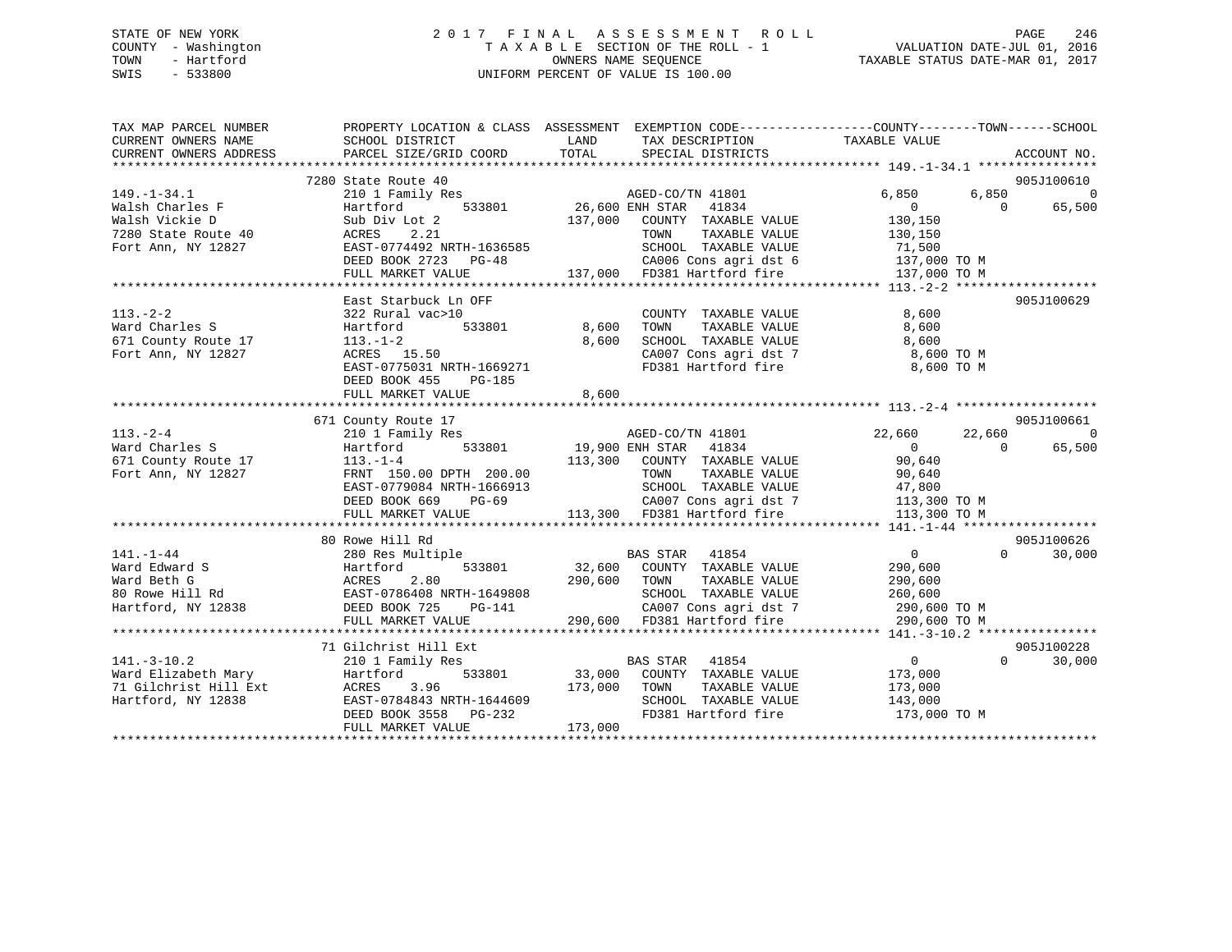# STATE OF NEW YORK 2 0 1 7 F I N A L A S S E S S M E N T R O L L PAGE 246 COUNTY - Washington T A X A B L E SECTION OF THE ROLL - 1 VALUATION DATE-JUL 01, 2016 TOWN - Hartford **TAXABLE STATUS DATE-MAR 01, 2017** SWIS - 533800 UNIFORM PERCENT OF VALUE IS 100.00

| TAX MAP PARCEL NUMBER<br>CURRENT OWNERS NAME<br>CURRENT OWNERS ADDRESS                                                                                                                                                                                                 | PROPERTY LOCATION & CLASS ASSESSMENT EXEMPTION CODE---------------COUNTY-------TOWN-----SCHOOL<br>SCHOOL DISTRICT<br>PARCEL SIZE/GRID COORD | LAND                | TAX DESCRIPTION TAXABLE VALUE SPECIAL DISTRICTS<br>TOTAL SPECIAL DISTRICTS                                                                                                                                                                                                                                                                                                                                                                                   |                                  | ACCOUNT NO.        |
|------------------------------------------------------------------------------------------------------------------------------------------------------------------------------------------------------------------------------------------------------------------------|---------------------------------------------------------------------------------------------------------------------------------------------|---------------------|--------------------------------------------------------------------------------------------------------------------------------------------------------------------------------------------------------------------------------------------------------------------------------------------------------------------------------------------------------------------------------------------------------------------------------------------------------------|----------------------------------|--------------------|
|                                                                                                                                                                                                                                                                        |                                                                                                                                             |                     |                                                                                                                                                                                                                                                                                                                                                                                                                                                              |                                  |                    |
|                                                                                                                                                                                                                                                                        | 7280 State Route 40                                                                                                                         |                     |                                                                                                                                                                                                                                                                                                                                                                                                                                                              |                                  | 905J100610         |
| $149. - 1 - 34.1$                                                                                                                                                                                                                                                      | 210 1 Family Res                                                                                                                            |                     |                                                                                                                                                                                                                                                                                                                                                                                                                                                              | 6,850                            | $\overline{0}$     |
| 149.-1-34.1<br>Walsh Charles F<br>Walsh Vickie D<br>7280 State Route 40<br>And Array MY 12827                                                                                                                                                                          | Hartford                                                                                                                                    |                     |                                                                                                                                                                                                                                                                                                                                                                                                                                                              | $\overline{0}$                   | 65,500             |
|                                                                                                                                                                                                                                                                        | Sub Div Lot 2                                                                                                                               |                     |                                                                                                                                                                                                                                                                                                                                                                                                                                                              |                                  |                    |
|                                                                                                                                                                                                                                                                        |                                                                                                                                             |                     |                                                                                                                                                                                                                                                                                                                                                                                                                                                              |                                  |                    |
| 7280 State Route 40<br>Fort Ann, NY 12827 EAST-0774492 NRTH-1636585<br>Fort Ann, NY 12827 EAST-0774492 NRTH-1636585<br>EED BOOK 2723 PG-48 CA006 Cons agri dst 6 137,000 TO M<br>FULL MARKET VALUE 137,000 FD381 Hartford fire 137,000                                 |                                                                                                                                             |                     |                                                                                                                                                                                                                                                                                                                                                                                                                                                              |                                  |                    |
|                                                                                                                                                                                                                                                                        |                                                                                                                                             |                     |                                                                                                                                                                                                                                                                                                                                                                                                                                                              |                                  |                    |
|                                                                                                                                                                                                                                                                        |                                                                                                                                             |                     |                                                                                                                                                                                                                                                                                                                                                                                                                                                              |                                  |                    |
|                                                                                                                                                                                                                                                                        |                                                                                                                                             |                     |                                                                                                                                                                                                                                                                                                                                                                                                                                                              |                                  |                    |
|                                                                                                                                                                                                                                                                        | East Starbuck Ln OFF                                                                                                                        |                     |                                                                                                                                                                                                                                                                                                                                                                                                                                                              |                                  | 905J100629         |
| $113. - 2 - 2$                                                                                                                                                                                                                                                         | 322 Rural vac>10                                                                                                                            |                     | COUNTY TAXABLE VALUE                                                                                                                                                                                                                                                                                                                                                                                                                                         | 8,600                            |                    |
|                                                                                                                                                                                                                                                                        | 533801 8,600                                                                                                                                |                     |                                                                                                                                                                                                                                                                                                                                                                                                                                                              | 8,600                            |                    |
|                                                                                                                                                                                                                                                                        |                                                                                                                                             | 8,600               | TOWN      TAXABLE VALUE<br>SCHOOL   TAXABLE VALUE                                                                                                                                                                                                                                                                                                                                                                                                            | 8,600                            |                    |
| Fort Ann, NY 12827                                                                                                                                                                                                                                                     |                                                                                                                                             |                     |                                                                                                                                                                                                                                                                                                                                                                                                                                                              | CA007 Cons agri dst 7 8,600 TO M |                    |
|                                                                                                                                                                                                                                                                        | $113. -1-2$<br>ACRES 15.50<br>EAST-0775031 NRTH-1669271                                                                                     |                     | FD381 Hartford fire                                                                                                                                                                                                                                                                                                                                                                                                                                          | 8,600 TO M                       |                    |
|                                                                                                                                                                                                                                                                        | DEED BOOK 455 PG-185                                                                                                                        |                     |                                                                                                                                                                                                                                                                                                                                                                                                                                                              |                                  |                    |
|                                                                                                                                                                                                                                                                        | FULL MARKET VALUE                                                                                                                           | 8,600               |                                                                                                                                                                                                                                                                                                                                                                                                                                                              |                                  |                    |
|                                                                                                                                                                                                                                                                        |                                                                                                                                             |                     |                                                                                                                                                                                                                                                                                                                                                                                                                                                              |                                  |                    |
|                                                                                                                                                                                                                                                                        | 671 County Route 17                                                                                                                         |                     |                                                                                                                                                                                                                                                                                                                                                                                                                                                              |                                  | 905J100661         |
| $113. - 2 - 4$                                                                                                                                                                                                                                                         | 210 1 Family Res                                                                                                                            |                     |                                                                                                                                                                                                                                                                                                                                                                                                                                                              | 22,660<br>22,660                 | $\Omega$           |
| 113.-2-4<br>Ward Charles S<br>671 County Route 17<br>Fort Ann, NY 12827<br>FRNT 150.00 DPTH 200.00                                                                                                                                                                     |                                                                                                                                             |                     | AGED-CO/TN 41801<br>FNH STAR 41834<br>3<br>533801 19,900 ENH STAR 41834                                                                                                                                                                                                                                                                                                                                                                                      | $\overline{0}$<br>$\bigcirc$     |                    |
|                                                                                                                                                                                                                                                                        |                                                                                                                                             |                     |                                                                                                                                                                                                                                                                                                                                                                                                                                                              |                                  | 65,500             |
|                                                                                                                                                                                                                                                                        |                                                                                                                                             |                     |                                                                                                                                                                                                                                                                                                                                                                                                                                                              |                                  |                    |
|                                                                                                                                                                                                                                                                        |                                                                                                                                             |                     |                                                                                                                                                                                                                                                                                                                                                                                                                                                              |                                  |                    |
|                                                                                                                                                                                                                                                                        |                                                                                                                                             |                     |                                                                                                                                                                                                                                                                                                                                                                                                                                                              |                                  |                    |
|                                                                                                                                                                                                                                                                        |                                                                                                                                             |                     |                                                                                                                                                                                                                                                                                                                                                                                                                                                              |                                  |                    |
|                                                                                                                                                                                                                                                                        |                                                                                                                                             |                     |                                                                                                                                                                                                                                                                                                                                                                                                                                                              |                                  |                    |
|                                                                                                                                                                                                                                                                        |                                                                                                                                             |                     |                                                                                                                                                                                                                                                                                                                                                                                                                                                              |                                  |                    |
|                                                                                                                                                                                                                                                                        | 80 Rowe Hill Rd                                                                                                                             |                     |                                                                                                                                                                                                                                                                                                                                                                                                                                                              |                                  | 905J100626         |
|                                                                                                                                                                                                                                                                        |                                                                                                                                             |                     | $\begin{tabular}{lllllllll} \multicolumn{2}{c}{\texttt{BAS STAR}} & \multicolumn{2}{c}{\texttt{41854}}\\ \multicolumn{2}{c}{\texttt{BAS STAR}} & \multicolumn{2}{c}{\texttt{41854}}\\ \multicolumn{2}{c}{\texttt{533801}} & \multicolumn{2}{c}{\texttt{32,600}} & \multicolumn{2}{c}{\texttt{COUNTY}} & \multicolumn{2}{c}{\texttt{TAXABLE VALUE}}\\ \multicolumn{2}{c}{\texttt{533801}} & \multicolumn{2}{c}{\texttt{32,600}} & \multicolumn{2}{c}{\texttt$ | $\overline{0}$<br>$\Omega$       | 30,000             |
| 141.-1-44<br>280 Res Multiple<br>Ward Edward S<br>280 Res Multiple<br>333801<br>280 Res Multiple<br>533801<br>280 Res Multiple<br>533801<br>280 Res Multiple<br>533801<br>280 Res Multiple<br>533801<br>280 ROKES<br>2.80<br>2.80<br>2.80<br>2.80<br>2.80<br>2.80<br>2 |                                                                                                                                             |                     |                                                                                                                                                                                                                                                                                                                                                                                                                                                              | 290,600                          |                    |
|                                                                                                                                                                                                                                                                        |                                                                                                                                             | 290,600 TOWN        | TAXABLE VALUE                                                                                                                                                                                                                                                                                                                                                                                                                                                | 290,600                          |                    |
|                                                                                                                                                                                                                                                                        |                                                                                                                                             |                     |                                                                                                                                                                                                                                                                                                                                                                                                                                                              |                                  |                    |
|                                                                                                                                                                                                                                                                        |                                                                                                                                             | H-1649808<br>PG-141 |                                                                                                                                                                                                                                                                                                                                                                                                                                                              |                                  |                    |
|                                                                                                                                                                                                                                                                        | FULL MARKET VALUE                                                                                                                           |                     | 649808 SCHOOL TAXABLE VALUE 260,600<br>-141 CA007 Cons agri dst 7 290,600 TO M<br>290,600 FD381 Hartford fire 290,600 TO M                                                                                                                                                                                                                                                                                                                                   |                                  |                    |
|                                                                                                                                                                                                                                                                        |                                                                                                                                             |                     |                                                                                                                                                                                                                                                                                                                                                                                                                                                              |                                  |                    |
|                                                                                                                                                                                                                                                                        | 71 Gilchrist Hill Ext                                                                                                                       |                     |                                                                                                                                                                                                                                                                                                                                                                                                                                                              |                                  | 905J100228         |
|                                                                                                                                                                                                                                                                        |                                                                                                                                             |                     | <b>BAS STAR</b> 41854                                                                                                                                                                                                                                                                                                                                                                                                                                        | $\sim$ 0 $\sim$ 0                | $\Omega$<br>30,000 |
|                                                                                                                                                                                                                                                                        |                                                                                                                                             |                     | 533801 33,000 COUNTY TAXABLE VALUE 173,000                                                                                                                                                                                                                                                                                                                                                                                                                   |                                  |                    |
|                                                                                                                                                                                                                                                                        |                                                                                                                                             |                     |                                                                                                                                                                                                                                                                                                                                                                                                                                                              |                                  |                    |
|                                                                                                                                                                                                                                                                        |                                                                                                                                             |                     |                                                                                                                                                                                                                                                                                                                                                                                                                                                              |                                  |                    |
|                                                                                                                                                                                                                                                                        |                                                                                                                                             |                     |                                                                                                                                                                                                                                                                                                                                                                                                                                                              | FD381 Hartford fire 173,000 TO M |                    |
| 141.-3-10.2<br>Ward Elizabeth Mary Hartford 533801 33,000 COONSINGLES 173,000 TOWN<br>71 Gilchrist Hill Ext ACRES 3.96 173,000 TOWN SCHOOL<br>Hartford, NY 12838 EAST-0784843 NRTH-1644609 SCHOOL<br>DEED BOOK 3558 PG-232 173,000 FD                                  |                                                                                                                                             |                     |                                                                                                                                                                                                                                                                                                                                                                                                                                                              |                                  |                    |
|                                                                                                                                                                                                                                                                        |                                                                                                                                             |                     |                                                                                                                                                                                                                                                                                                                                                                                                                                                              |                                  |                    |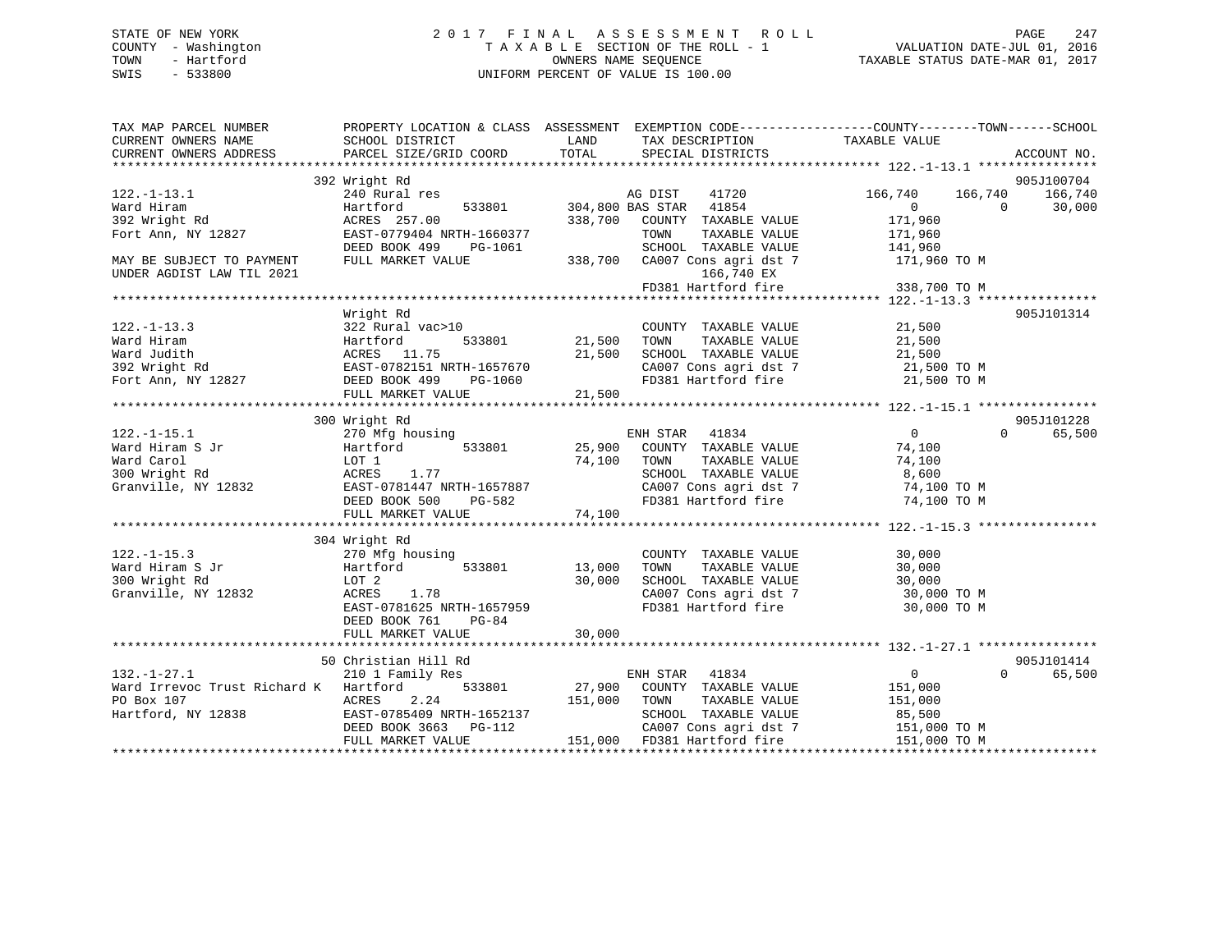# STATE OF NEW YORK 2 0 1 7 F I N A L A S S E S S M E N T R O L L PAGE 247 COUNTY - Washington T A X A B L E SECTION OF THE ROLL - 1 VALUATION DATE-JUL 01, 2016 TOWN - Hartford **TAXABLE STATUS DATE-MAR 01, 2017** SWIS - 533800 UNIFORM PERCENT OF VALUE IS 100.00

| TAX MAP PARCEL NUMBER                                                                                                                                              |                                                              |              | PROPERTY LOCATION & CLASS ASSESSMENT EXEMPTION CODE-----------------COUNTY-------TOWN------SCHOOL |                                                            |                    |
|--------------------------------------------------------------------------------------------------------------------------------------------------------------------|--------------------------------------------------------------|--------------|---------------------------------------------------------------------------------------------------|------------------------------------------------------------|--------------------|
| CURRENT OWNERS NAME                                                                                                                                                | SCHOOL DISTRICT                                              | LAND         | TAX DESCRIPTION TAXABLE VALUE                                                                     |                                                            |                    |
| CURRENT OWNERS ADDRESS                                                                                                                                             | PARCEL SIZE/GRID COORD                                       | TOTAL        | SPECIAL DISTRICTS                                                                                 |                                                            | ACCOUNT NO.        |
|                                                                                                                                                                    |                                                              |              |                                                                                                   |                                                            |                    |
|                                                                                                                                                                    | 392 Wright Rd                                                |              |                                                                                                   |                                                            | 905J100704         |
| 122.-1-13.1                                                                                                                                                        | 240 Rural res                                                |              | AG DIST 41720                                                                                     | 166,740 166,740<br>$\begin{array}{c}\n0 \\ 0\n\end{array}$ | 166,740            |
| Ward Hiram                                                                                                                                                         | Hartford                                                     |              | 533801 304,800 BAS STAR 41854                                                                     |                                                            | 30,000<br>$\Omega$ |
| 392 Wright Rd                                                                                                                                                      | ACRES 257.00                                                 |              | 338,700 COUNTY TAXABLE VALUE                                                                      |                                                            |                    |
| Fort Ann, NY 12827 EAST-0779404 NRTH-1660377                                                                                                                       |                                                              |              | TAXABLE VALUE<br>TOWN                                                                             | 171,960                                                    |                    |
|                                                                                                                                                                    | DEED BOOK 499<br>PG-1061                                     |              |                                                                                                   | 141,960<br>171,960 TO M                                    |                    |
| MAY BE SUBJECT TO PAYMENT<br>UNDER AGDIST LAW TIL 2021                                                                                                             | FULL MARKET VALUE                                            |              | SURVILLE TRAABLE VALUE<br>338,700 CA007 Cons agri dst 7<br>166,740 EX                             |                                                            |                    |
|                                                                                                                                                                    |                                                              |              | FD381 Hartford fire                                                                               | 338,700 TO M                                               |                    |
|                                                                                                                                                                    |                                                              |              |                                                                                                   |                                                            |                    |
|                                                                                                                                                                    | Wright Rd                                                    |              |                                                                                                   |                                                            | 905J101314         |
|                                                                                                                                                                    | 322 Rural vac>10                                             |              | COUNTY TAXABLE VALUE 21,500                                                                       |                                                            |                    |
|                                                                                                                                                                    |                                                              | 21,500 TOWN  |                                                                                                   |                                                            |                    |
|                                                                                                                                                                    |                                                              |              |                                                                                                   |                                                            |                    |
|                                                                                                                                                                    |                                                              |              |                                                                                                   |                                                            |                    |
|                                                                                                                                                                    |                                                              |              | CA007 Cons agri dst 7 21,500 TO M<br>FD381 Hartford fire 21,500 TO M                              |                                                            |                    |
|                                                                                                                                                                    |                                                              |              |                                                                                                   |                                                            |                    |
|                                                                                                                                                                    |                                                              |              |                                                                                                   |                                                            |                    |
|                                                                                                                                                                    | 300 Wright Rd                                                |              |                                                                                                   |                                                            | 905J101228         |
| $122. - 1 - 15.1$                                                                                                                                                  | 270 Mfg housing                                              |              | ENH STAR 41834                                                                                    | $\overline{0}$                                             | 65,500<br>$\Omega$ |
|                                                                                                                                                                    |                                                              |              | 533801 25,900 COUNTY TAXABLE VALUE 74,100                                                         |                                                            |                    |
|                                                                                                                                                                    |                                                              | 74,100 TOWN  | TAXABLE VALUE 74,100<br>TAXABLE VALUE 8,600                                                       |                                                            |                    |
|                                                                                                                                                                    |                                                              |              | SCHOOL TAXABLE VALUE                                                                              |                                                            |                    |
|                                                                                                                                                                    |                                                              |              | CA007 Cons agri dst 7 74,100 TO M                                                                 |                                                            |                    |
| % Mard Hiram S Jr<br>% Mard Carol Mard Carol (4,100)<br>300 Wright Rd (4,100) ACRES 1.77<br>Granville, NY 12832 (583T-0781447 NRTH-1657887<br>DEED BOOK 500 PG-582 |                                                              |              | FD381 Hartford fire                                                                               | 74,100 TO M                                                |                    |
|                                                                                                                                                                    | FULL MARKET VALUE                                            | 74,100       |                                                                                                   |                                                            |                    |
|                                                                                                                                                                    | wright Rd<br>270 Mfg housing<br>Hartford 5.<br>LOT 2<br>ACPP |              |                                                                                                   |                                                            |                    |
|                                                                                                                                                                    |                                                              |              |                                                                                                   |                                                            |                    |
|                                                                                                                                                                    |                                                              |              | COUNTY TAXABLE VALUE<br>TAXABLE VALUE<br>TAXABLE VALUE                                            | 30,000                                                     |                    |
|                                                                                                                                                                    | 533801 13,000                                                |              | TOWN                                                                                              | 30,000                                                     |                    |
| 122.-1-15.3<br>Ward Hiram S Jr<br>^^^ Wricht Rd                                                                                                                    |                                                              | 30,000       | SCHOOL TAXABLE VALUE                                                                              | 30,000                                                     |                    |
| Granville, NY 12832                                                                                                                                                |                                                              |              | CA007 Cons agri dst 7<br>FD381 Hartford fire                                                      | 30,000 TO M                                                |                    |
|                                                                                                                                                                    | EAST-0781625 NRTH-1657959                                    |              |                                                                                                   | 30,000 TO M                                                |                    |
|                                                                                                                                                                    | DEED BOOK 761<br>PG-84                                       |              |                                                                                                   |                                                            |                    |
|                                                                                                                                                                    | FULL MARKET VALUE                                            | 30,000       |                                                                                                   |                                                            |                    |
|                                                                                                                                                                    |                                                              |              |                                                                                                   |                                                            |                    |
|                                                                                                                                                                    | 50 Christian Hill Rd                                         |              |                                                                                                   |                                                            | 905J101414         |
| $132. - 1 - 27.1$                                                                                                                                                  | 210 1 Family Res                                             |              | ENH STAR<br>41834                                                                                 | $\overline{0}$                                             | $\Omega$<br>65,500 |
| Ward Irrevoc Trust Richard K Hartford                                                                                                                              |                                                              |              | 533801 27,900 COUNTY TAXABLE VALUE                                                                | 151,000                                                    |                    |
|                                                                                                                                                                    |                                                              | 151,000 TOWN | TAXABLE VALUE 151,000                                                                             |                                                            |                    |
|                                                                                                                                                                    |                                                              |              | SCHOOL TAXABLE VALUE 85,500<br>CA007 Cons agri dst 7 151,000 TO M                                 |                                                            |                    |
|                                                                                                                                                                    | DEED BOOK 3663 PG-112<br>FIILL MADVES VALUE                  |              |                                                                                                   |                                                            |                    |
|                                                                                                                                                                    | FULL MARKET VALUE                                            |              | 151,000 FD381 Hartford fire                                                                       | 151,000 TO M                                               |                    |
|                                                                                                                                                                    |                                                              |              |                                                                                                   |                                                            |                    |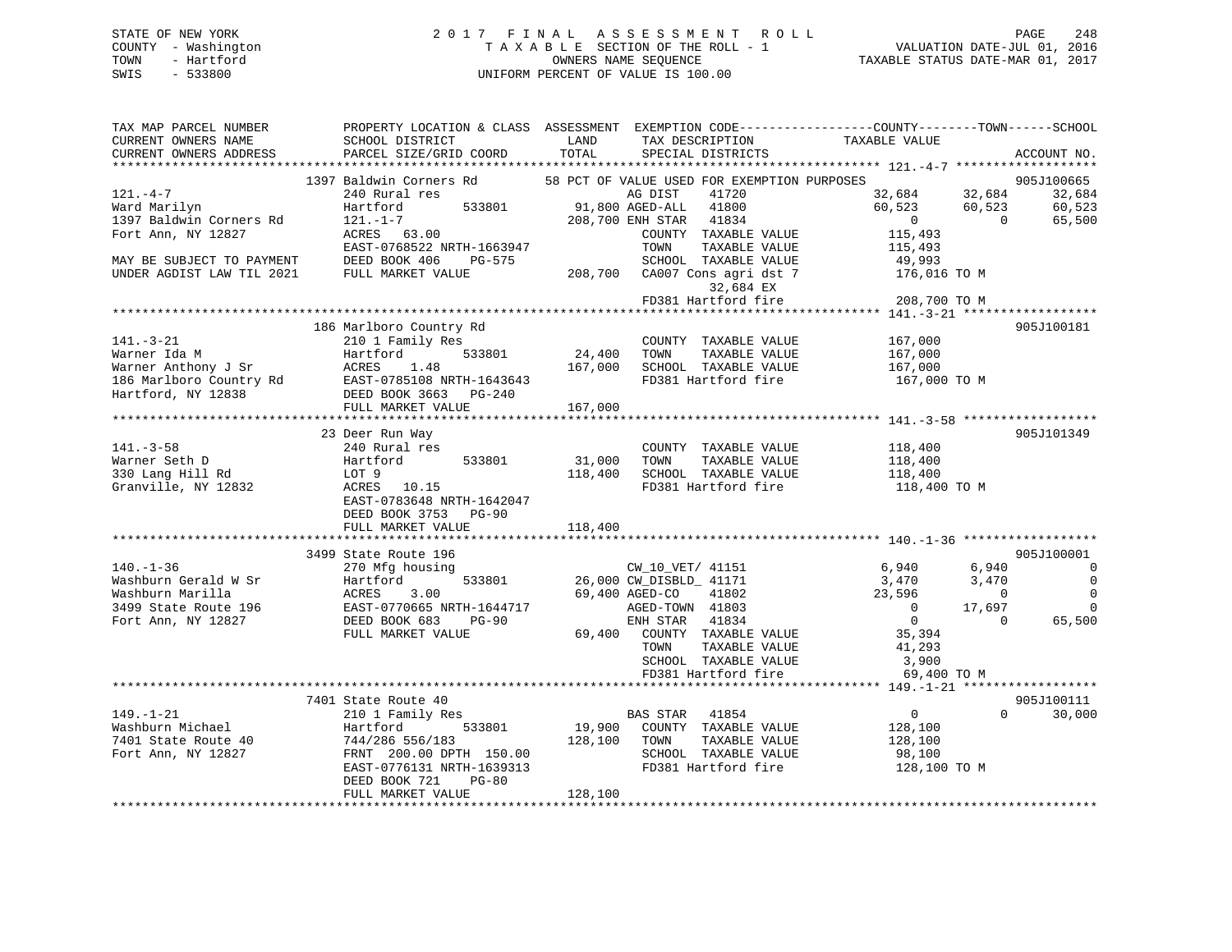# STATE OF NEW YORK 2 0 1 7 F I N A L A S S E S S M E N T R O L L PAGE 248 COUNTY - Washington T A X A B L E SECTION OF THE ROLL - 1 VALUATION DATE-JUL 01, 2016 TOWN - Hartford **TAXABLE STATUS DATE-MAR 01, 2017** SWIS - 533800 UNIFORM PERCENT OF VALUE IS 100.00

| TAX MAP PARCEL NUMBER<br>CURRENT OWNERS NAME                                                                                                                                                                                                                           | SCHOOL DISTRICT                                                                                                                                                                                           | LAND          | TAX DESCRIPTION                                              | PROPERTY LOCATION & CLASS ASSESSMENT EXEMPTION CODE---------------COUNTY-------TOWN------SCHOOL<br>TAXABLE VALUE |                          |
|------------------------------------------------------------------------------------------------------------------------------------------------------------------------------------------------------------------------------------------------------------------------|-----------------------------------------------------------------------------------------------------------------------------------------------------------------------------------------------------------|---------------|--------------------------------------------------------------|------------------------------------------------------------------------------------------------------------------|--------------------------|
| CURRENT OWNERS ADDRESS                                                                                                                                                                                                                                                 | PARCEL SIZE/GRID COORD                                                                                                                                                                                    | TOTAL         | SPECIAL DISTRICTS                                            |                                                                                                                  | ACCOUNT NO.              |
|                                                                                                                                                                                                                                                                        |                                                                                                                                                                                                           |               |                                                              |                                                                                                                  |                          |
|                                                                                                                                                                                                                                                                        |                                                                                                                                                                                                           |               |                                                              |                                                                                                                  |                          |
| $121. -4-7$                                                                                                                                                                                                                                                            | 1397 208,700 EXEMPTION PURPOSES<br>240 Rural res Rd 58 PCT OF VALUE USED FOR EXEMPTION PURPOSES<br>240 Rural res and 533801<br>208,700 EXH STAR 41834<br>208,700 EXH STAR 41834<br>208,700 EXH STAR 41834 |               |                                                              |                                                                                                                  |                          |
| Ward Marilyn                                                                                                                                                                                                                                                           |                                                                                                                                                                                                           |               |                                                              |                                                                                                                  |                          |
| 1397 Baldwin Corners Rd                                                                                                                                                                                                                                                |                                                                                                                                                                                                           |               |                                                              |                                                                                                                  |                          |
| Fort Ann, NY 12827                                                                                                                                                                                                                                                     | ACRES 63.00                                                                                                                                                                                               |               | COUNTY TAXABLE VALUE                                         | 115,493                                                                                                          |                          |
|                                                                                                                                                                                                                                                                        | EAST-0768522 NRTH-1663947                                                                                                                                                                                 |               | TAXABLE VALUE<br>TOWN                                        | 115,493                                                                                                          |                          |
| MAY BE SUBJECT TO PAYMENT                                                                                                                                                                                                                                              | DEED BOOK 406<br>PG-575                                                                                                                                                                                   |               |                                                              |                                                                                                                  |                          |
| UNDER AGDIST LAW TIL 2021                                                                                                                                                                                                                                              | FULL MARKET VALUE                                                                                                                                                                                         |               | 9G-575 SCHOOL TAXABLE VALUE<br>208,700 CA007 Cons agri dst 7 | 49,993<br>176,016 TO M                                                                                           |                          |
|                                                                                                                                                                                                                                                                        |                                                                                                                                                                                                           |               | 32,684 EX                                                    |                                                                                                                  |                          |
|                                                                                                                                                                                                                                                                        |                                                                                                                                                                                                           |               | FD381 Hartford fire                                          | 208,700 TO M                                                                                                     |                          |
|                                                                                                                                                                                                                                                                        |                                                                                                                                                                                                           |               |                                                              |                                                                                                                  |                          |
|                                                                                                                                                                                                                                                                        | 186 Marlboro Country Rd                                                                                                                                                                                   |               |                                                              |                                                                                                                  | 905J100181               |
| $141. - 3 - 21$                                                                                                                                                                                                                                                        | 210 1 Family Res                                                                                                                                                                                          |               | COUNTY TAXABLE VALUE                                         | 167,000                                                                                                          |                          |
|                                                                                                                                                                                                                                                                        |                                                                                                                                                                                                           | 533801 24,400 | TOWN<br>TAXABLE VALUE                                        | 167,000                                                                                                          |                          |
|                                                                                                                                                                                                                                                                        |                                                                                                                                                                                                           |               | SCHOOL TAXABLE VALUE                                         | 167,000                                                                                                          |                          |
|                                                                                                                                                                                                                                                                        |                                                                                                                                                                                                           |               |                                                              | FD381 Hartford fire 167,000 TO M                                                                                 |                          |
| Warner Ida M<br>Warner Anthony J Sr<br>Marre Anthony J Sr<br>167,000<br>186 Marlboro Country Rd<br>167,000<br>186 Martford, NY 12838<br>167,000<br>167,000<br>167,000<br>167,000<br>167,000<br>167,000<br>2010<br>2010<br>2010<br>2010<br>2010<br>2010<br>2010<br>2010 |                                                                                                                                                                                                           |               |                                                              |                                                                                                                  |                          |
|                                                                                                                                                                                                                                                                        |                                                                                                                                                                                                           |               |                                                              |                                                                                                                  |                          |
|                                                                                                                                                                                                                                                                        |                                                                                                                                                                                                           |               |                                                              |                                                                                                                  |                          |
|                                                                                                                                                                                                                                                                        | 23 Deer Run Way                                                                                                                                                                                           |               |                                                              |                                                                                                                  | 905J101349               |
|                                                                                                                                                                                                                                                                        | 240 Rural res                                                                                                                                                                                             |               | COUNTY TAXABLE VALUE                                         | 118,400                                                                                                          |                          |
| 141.-3-58<br>Warner Seth D                                                                                                                                                                                                                                             | Hartford 533801                                                                                                                                                                                           | 31,000        | TAXABLE VALUE<br>TOWN                                        | 118,400                                                                                                          |                          |
| 330 Lang Hill Rd                                                                                                                                                                                                                                                       |                                                                                                                                                                                                           |               | 118,400 SCHOOL TAXABLE VALUE 118,400                         |                                                                                                                  |                          |
| Granville, NY 12832                                                                                                                                                                                                                                                    | LOT 9<br>ACRES<br>ACRES 10.15                                                                                                                                                                             |               | FD381 Hartford fire                                          | 118,400 TO M                                                                                                     |                          |
|                                                                                                                                                                                                                                                                        | EAST-0783648 NRTH-1642047                                                                                                                                                                                 |               |                                                              |                                                                                                                  |                          |
|                                                                                                                                                                                                                                                                        | DEED BOOK 3753<br>$PG-90$                                                                                                                                                                                 |               |                                                              |                                                                                                                  |                          |
|                                                                                                                                                                                                                                                                        | FULL MARKET VALUE                                                                                                                                                                                         | 118,400       |                                                              |                                                                                                                  |                          |
|                                                                                                                                                                                                                                                                        |                                                                                                                                                                                                           |               |                                                              |                                                                                                                  |                          |
|                                                                                                                                                                                                                                                                        | 3499 State Route 196                                                                                                                                                                                      |               |                                                              |                                                                                                                  | 905J100001               |
| $140. - 1 - 36$                                                                                                                                                                                                                                                        | 270 Mfg housing<br>26,000 CW_DISBLD_ 41171 6,940<br>26,000 CW_DISBLD_ 41171 3,470<br>270 Mfg housing<br>3.3801 26,000 CW_DISBLD_ 41171 3,470<br>23,596<br>23,596                                          |               |                                                              | 6,940                                                                                                            | $\sim$ 0                 |
| Washburn Gerald W Sr                                                                                                                                                                                                                                                   |                                                                                                                                                                                                           |               |                                                              | 3,470<br>3,470                                                                                                   | $\overline{\phantom{0}}$ |
| Washburn Marilla                                                                                                                                                                                                                                                       |                                                                                                                                                                                                           |               |                                                              |                                                                                                                  | $\overline{0}$           |
| 3499 State Route 196                                                                                                                                                                                                                                                   | 270 Mrg nousing<br>Hartford 533801<br>ACRES 3.00<br>EAST-0770665 NRTH-1644717                                                                                                                             |               | AGED-TOWN 41803<br>ENH STAR 41834                            | $23,596$ 0<br>0 17,697                                                                                           | $\overline{0}$           |
| Fort Ann, NY 12827                                                                                                                                                                                                                                                     | DEED BOOK 683 PG-90                                                                                                                                                                                       |               |                                                              | $\overline{0}$<br>$\sim$ 0                                                                                       | 65,500                   |
|                                                                                                                                                                                                                                                                        | FULL MARKET VALUE                                                                                                                                                                                         |               | 69,400 COUNTY TAXABLE VALUE                                  | 35,394                                                                                                           |                          |
|                                                                                                                                                                                                                                                                        |                                                                                                                                                                                                           |               | TOWN<br>TAXABLE VALUE                                        | 41,293                                                                                                           |                          |
|                                                                                                                                                                                                                                                                        |                                                                                                                                                                                                           |               | SCHOOL TAXABLE VALUE                                         | 3,900                                                                                                            |                          |
|                                                                                                                                                                                                                                                                        |                                                                                                                                                                                                           |               | FD381 Hartford fire                                          | 69,400 TO M                                                                                                      |                          |
|                                                                                                                                                                                                                                                                        |                                                                                                                                                                                                           |               |                                                              |                                                                                                                  |                          |
|                                                                                                                                                                                                                                                                        | 7401 State Route 40                                                                                                                                                                                       |               |                                                              |                                                                                                                  | 905J100111               |
| $149. - 1 - 21$                                                                                                                                                                                                                                                        | 210 1 Family Res                                                                                                                                                                                          |               | BAS STAR 41854<br>19,900 COUNTY TAXABLE VALUE                | $\overline{0}$<br>$\Omega$                                                                                       | 30,000                   |
|                                                                                                                                                                                                                                                                        |                                                                                                                                                                                                           |               |                                                              | 128,100                                                                                                          |                          |
|                                                                                                                                                                                                                                                                        |                                                                                                                                                                                                           | 128,100 TOWN  | TAXABLE VALUE                                                |                                                                                                                  |                          |
| 149.-1-21<br>Washburn Michael Hartford 533801 19,900<br>7401 State Route 40 744/286 556/183 128,100<br>Fort Ann, NY 12827 FRNT 200.00 DPTH 150.00<br>EAST-0776131 NRTH-1639313                                                                                         |                                                                                                                                                                                                           |               | SCHOOL TAXABLE VALUE                                         | 128,100<br>98,100                                                                                                |                          |
|                                                                                                                                                                                                                                                                        |                                                                                                                                                                                                           |               | FD381 Hartford fire                                          | 128,100 TO M                                                                                                     |                          |
|                                                                                                                                                                                                                                                                        | DEED BOOK 721<br>PG-80                                                                                                                                                                                    |               |                                                              |                                                                                                                  |                          |
|                                                                                                                                                                                                                                                                        | FULL MARKET VALUE                                                                                                                                                                                         | 128,100       |                                                              |                                                                                                                  |                          |
|                                                                                                                                                                                                                                                                        |                                                                                                                                                                                                           |               |                                                              |                                                                                                                  |                          |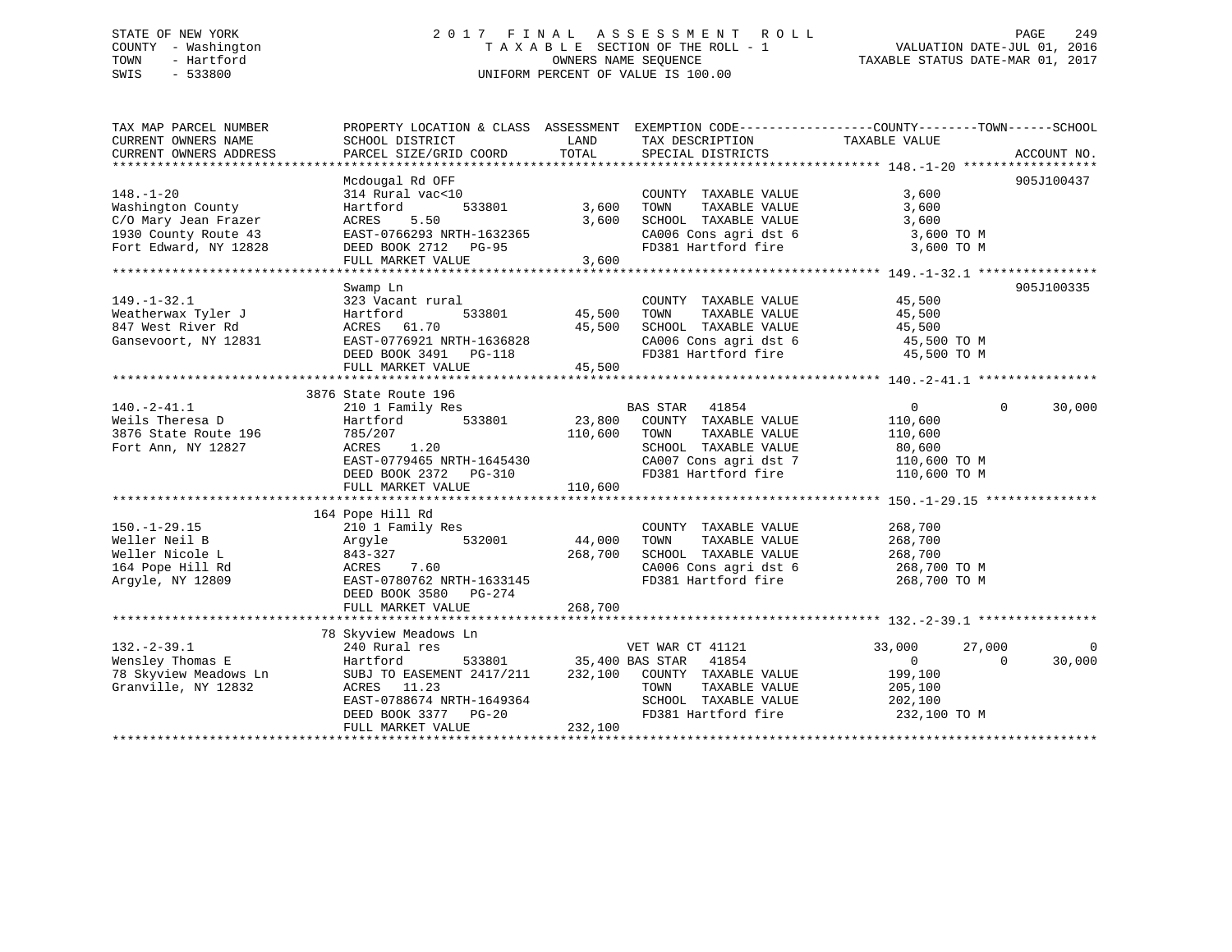# STATE OF NEW YORK 2 0 1 7 F I N A L A S S E S S M E N T R O L L PAGE 249 COUNTY - Washington T A X A B L E SECTION OF THE ROLL - 1 VALUATION DATE-JUL 01, 2016 TOWN - Hartford **TAXABLE STATUS DATE-MAR 01, 2017** SWIS - 533800 UNIFORM PERCENT OF VALUE IS 100.00

| TAX MAP PARCEL NUMBER                                                                           | PROPERTY LOCATION & CLASS ASSESSMENT EXEMPTION CODE----------------COUNTY-------TOWN------SCHOOL |               |                                                                                        |                        |                    |
|-------------------------------------------------------------------------------------------------|--------------------------------------------------------------------------------------------------|---------------|----------------------------------------------------------------------------------------|------------------------|--------------------|
| CURRENT OWNERS NAME                                                                             | SCHOOL DISTRICT                                                                                  | LAND          | TAX DESCRIPTION                                                                        | TAXABLE VALUE          |                    |
| CURRENT OWNERS ADDRESS                                                                          | PARCEL SIZE/GRID COORD                                                                           | TOTAL         | SPECIAL DISTRICTS                                                                      |                        | ACCOUNT NO.        |
|                                                                                                 |                                                                                                  |               |                                                                                        |                        |                    |
|                                                                                                 | Mcdougal Rd OFF                                                                                  |               |                                                                                        |                        | 905J100437         |
| $148. - 1 - 20$                                                                                 | 314 Rural vac<10                                                                                 |               | COUNTY TAXABLE VALUE                                                                   | 3,600                  |                    |
| Washington County                                                                               | 533801<br>Hartford                                                                               | 3,600         | TOWN<br>TAXABLE VALUE                                                                  | 3,600                  |                    |
| C/O Mary Jean Frazer                                                                            | ACRES<br>5.50                                                                                    | 3,600         | SCHOOL TAXABLE VALUE<br>SCHOOL TAXABLE VALUE 3,600<br>CA006 Cons agri dst 6 3,600 TO M | 3,600                  |                    |
| 1930 County Route 43                                                                            | EAST-0766293 NRTH-1632365                                                                        |               |                                                                                        |                        |                    |
| Fort Edward, NY 12828                                                                           | DEED BOOK 2712 PG-95                                                                             |               | FD381 Hartford fire 3,600 TO M                                                         |                        |                    |
|                                                                                                 | FULL MARKET VALUE                                                                                | 3,600         |                                                                                        |                        |                    |
|                                                                                                 |                                                                                                  |               |                                                                                        |                        |                    |
|                                                                                                 | Swamp Ln                                                                                         |               |                                                                                        |                        | 905J100335         |
| $149. - 1 - 32.1$                                                                               | 323 Vacant rural                                                                                 |               | COUNTY TAXABLE VALUE                                                                   | 45,500                 |                    |
| Weatherwax Tyler J<br>847 West River Rd                                                         | Hartford                                                                                         | 533801 45,500 | TAXABLE VALUE<br>TOWN                                                                  | 45,500                 |                    |
| 847 West River Rd                                                                               | ACRES 61.70                                                                                      | 45,500        | SCHOOL TAXABLE VALUE                                                                   | 45,500                 |                    |
| Gansevoort, NY 12831                                                                            | EAST-0776921 NRTH-1636828                                                                        |               | CA006 Cons agri dst 6 45,500 TO M                                                      |                        |                    |
|                                                                                                 | DEED BOOK 3491    PG-118                                                                         |               | FD381 Hartford fire                                                                    | 45,500 TO M            |                    |
|                                                                                                 | FULL MARKET VALUE                                                                                | 45,500        |                                                                                        |                        |                    |
|                                                                                                 |                                                                                                  |               |                                                                                        |                        |                    |
|                                                                                                 | 3876 State Route 196                                                                             |               |                                                                                        |                        |                    |
| $140.-2-41.1$                                                                                   | 210 1 Family Res                                                                                 |               | <b>BAS STAR</b><br>41854                                                               | $\overline{0}$         | $\Omega$<br>30,000 |
|                                                                                                 | 533801<br>Hartford                                                                               |               | 23,800 COUNTY TAXABLE VALUE                                                            | 110,600                |                    |
| $\begin{array}{cc}\n 3876 \text{ State Route 196} \\  \text{Font } 1 \text{--} \\  \end{array}$ | 785/207                                                                                          | 110,600       | TOWN<br>TAXABLE VALUE                                                                  | 110,600                |                    |
| Fort Ann, NY 12827                                                                              | 1.20<br>ACRES                                                                                    |               | SCHOOL TAXABLE VALUE                                                                   |                        |                    |
|                                                                                                 | EAST-0779465 NRTH-1645430                                                                        |               | CA007 Cons agri dst 7                                                                  | 80,600<br>110,600 TO M |                    |
|                                                                                                 | DEED BOOK 2372 PG-310                                                                            |               | FD381 Hartford fire                                                                    | 110,600 TO M           |                    |
|                                                                                                 | FULL MARKET VALUE                                                                                | 110,600       |                                                                                        |                        |                    |
|                                                                                                 |                                                                                                  |               |                                                                                        |                        |                    |
|                                                                                                 | 164 Pope Hill Rd                                                                                 |               |                                                                                        |                        |                    |
| $150. - 1 - 29.15$                                                                              | 210 1 Family Res                                                                                 |               | COUNTY TAXABLE VALUE                                                                   | 268,700                |                    |
| Weller Neil B                                                                                   | 532001 44,000<br>Argyle                                                                          |               | TOWN<br>TAXABLE VALUE                                                                  | 268,700                |                    |
| Weller Nicole L                                                                                 | 843-327                                                                                          | 268,700       |                                                                                        |                        |                    |
| 164 Pope Hill Rd                                                                                | 7.60<br>ACRES                                                                                    |               | SCHOOL TAXABLE VALUE 268,700<br>CA006 Cons agri dst 6 268,700 TO M                     |                        |                    |
| Argyle, NY 12809                                                                                | EAST-0780762 NRTH-1633145                                                                        |               | FD381 Hartford fire                                                                    | 268,700 TO M           |                    |
|                                                                                                 | DEED BOOK 3580 PG-274                                                                            |               |                                                                                        |                        |                    |
|                                                                                                 | FULL MARKET VALUE                                                                                | 268,700       |                                                                                        |                        |                    |
|                                                                                                 |                                                                                                  |               |                                                                                        |                        |                    |
|                                                                                                 | 78 Skyview Meadows Ln                                                                            |               |                                                                                        |                        |                    |
| $132. - 2 - 39.1$                                                                               | 240 Rural res                                                                                    |               | VET WAR CT 41121                                                                       | 33,000<br>27,000       |                    |
| Wensley Thomas E                                                                                | Hartford                                                                                         |               | 533801 35,400 BAS STAR 41854                                                           | $\overline{0}$         | 30,000<br>$\Omega$ |
| 78 Skyview Meadows Ln                                                                           | SUBJ TO EASEMENT 2417/211 232,100 COUNTY TAXABLE VALUE 199,100                                   |               |                                                                                        |                        |                    |
| Granville, NY 12832                                                                             | ACRES 11.23                                                                                      |               | TOWN<br>TAXABLE VALUE                                                                  | 205,100                |                    |
|                                                                                                 | EAST-0788674 NRTH-1649364                                                                        |               | SCHOOL TAXABLE VALUE 202,100                                                           |                        |                    |
|                                                                                                 |                                                                                                  |               |                                                                                        |                        |                    |
|                                                                                                 | DEED BOOK 3377 PG-20                                                                             | 232,100       | FD381 Hartford fire 232,100 TO M                                                       |                        |                    |
|                                                                                                 | FULL MARKET VALUE                                                                                |               |                                                                                        |                        |                    |
|                                                                                                 |                                                                                                  |               |                                                                                        |                        |                    |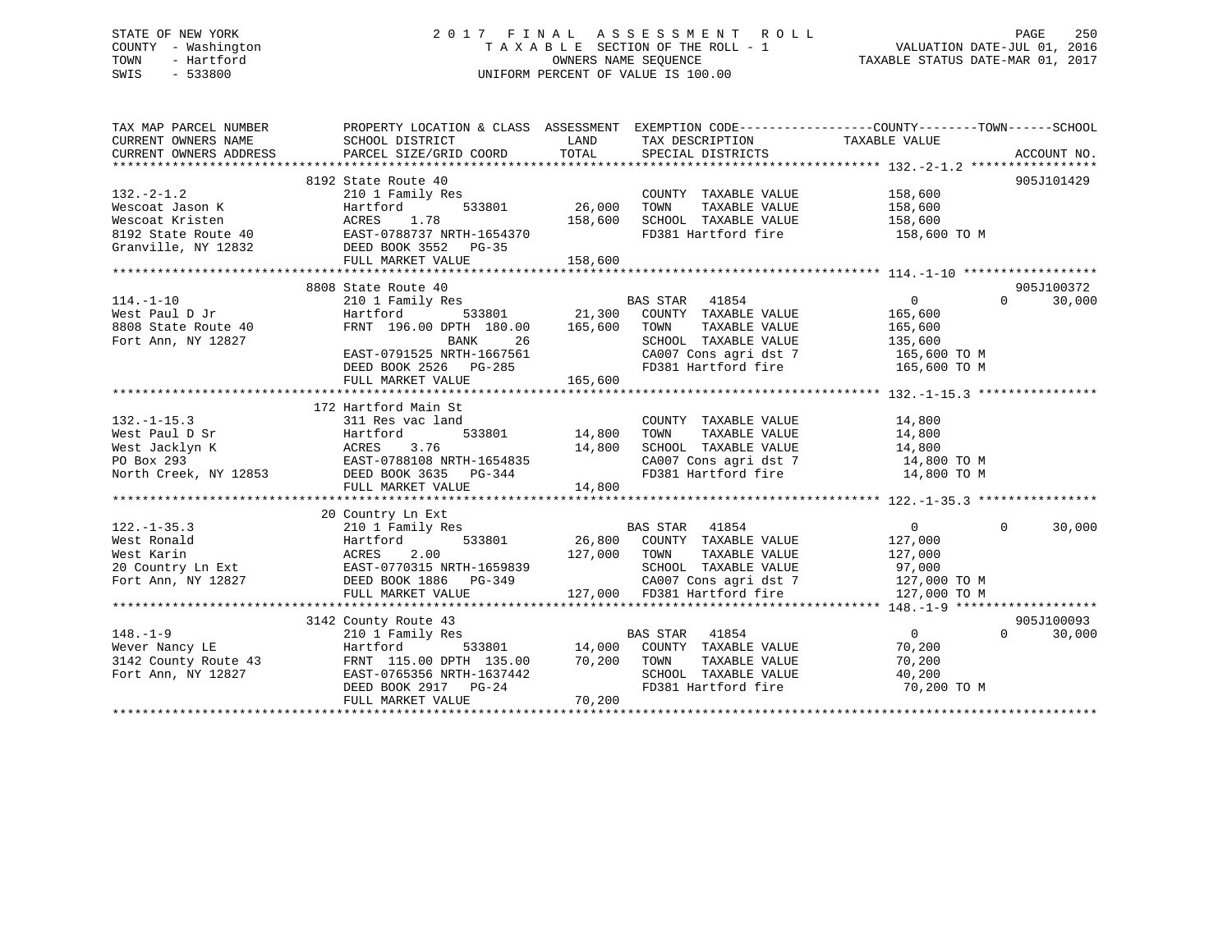# STATE OF NEW YORK 2 0 1 7 F I N A L A S S E S S M E N T R O L L PAGE 250 COUNTY - Washington T A X A B L E SECTION OF THE ROLL - 1 VALUATION DATE-JUL 01, 2016 TOWN - Hartford **TAXABLE STATUS DATE-MAR 01, 2017** SWIS - 533800 UNIFORM PERCENT OF VALUE IS 100.00

| TAX MAP PARCEL NUMBER                                                                                                                                                                              | PROPERTY LOCATION & CLASS ASSESSMENT EXEMPTION CODE----------------COUNTY-------TOWN------SCHOOL                                      |               |                                                                                                           |                |                    |
|----------------------------------------------------------------------------------------------------------------------------------------------------------------------------------------------------|---------------------------------------------------------------------------------------------------------------------------------------|---------------|-----------------------------------------------------------------------------------------------------------|----------------|--------------------|
|                                                                                                                                                                                                    | 8192 State Route 40                                                                                                                   |               |                                                                                                           |                | 905J101429         |
| $132 - 2 - 1.2$                                                                                                                                                                                    | 210 1 Family Res                                                                                                                      |               | COUNTY TAXABLE VALUE 158,600                                                                              |                |                    |
|                                                                                                                                                                                                    |                                                                                                                                       | 533801 26,000 | TOWN<br>TAXABLE VALUE                                                                                     | 158,600        |                    |
|                                                                                                                                                                                                    |                                                                                                                                       | 158,600       | SCHOOL TAXABLE VALUE                                                                                      | 158,600        |                    |
| Nescoat Jason K<br>Wescoat Jason K<br>Mescoat Kristen<br>8192 State Route 40<br>Granville, NY 12832<br>DEED BOOK 3552 PG-35                                                                        |                                                                                                                                       |               | FD381 Hartford fire 158,600 TO M                                                                          |                |                    |
|                                                                                                                                                                                                    |                                                                                                                                       |               |                                                                                                           |                |                    |
|                                                                                                                                                                                                    | FULL MARKET VALUE                                                                                                                     | 158,600       |                                                                                                           |                |                    |
|                                                                                                                                                                                                    |                                                                                                                                       |               |                                                                                                           |                |                    |
|                                                                                                                                                                                                    | 8808 State Route 40                                                                                                                   |               |                                                                                                           |                | 905J100372         |
| $114. - 1 - 10$                                                                                                                                                                                    |                                                                                                                                       |               |                                                                                                           | $\overline{0}$ | 30,000<br>$\Omega$ |
| West Paul D Jr                                                                                                                                                                                     |                                                                                                                                       |               |                                                                                                           | 165,600        |                    |
|                                                                                                                                                                                                    | FRNT 196.00 DPTH 180.00 165,600 TOWN                                                                                                  |               |                                                                                                           |                |                    |
| 8808 State Route 40<br>Fort Ann, NY 12827                                                                                                                                                          |                                                                                                                                       |               | TAXABLE VALUE 165,600                                                                                     | 135,600        |                    |
|                                                                                                                                                                                                    | BANK 26<br>EAST-0791525 NRTH-1667561                                                                                                  |               | SCHOOL TAXABLE VALUE<br>CA007 Cons agri dst 7 165,600 TO M                                                |                |                    |
|                                                                                                                                                                                                    |                                                                                                                                       |               |                                                                                                           |                |                    |
|                                                                                                                                                                                                    | DEED BOOK 2526 PG-285<br>FULL MARKET VALUE 165,600                                                                                    |               | FD381 Hartford fire 165,600 TO M                                                                          |                |                    |
|                                                                                                                                                                                                    |                                                                                                                                       |               |                                                                                                           |                |                    |
|                                                                                                                                                                                                    |                                                                                                                                       |               |                                                                                                           |                |                    |
|                                                                                                                                                                                                    | 172 Hartford Main St                                                                                                                  |               |                                                                                                           |                |                    |
| $132. - 1 - 15.3$                                                                                                                                                                                  | $\frac{1}{2}$ 1 and 533801 14,800<br>311 Res vac land                                                                                 |               | COUNTY TAXABLE VALUE 14,800                                                                               |                |                    |
| Vest Paul D Sr<br>West Paul D Sr<br>West Jacklyn K<br>PO Box 293<br>North Creek, NY 12853<br>North Creek, NY 12853<br>DEED BOOK 3635<br>DEED BOOK 3635<br>PO Box 293<br>DEED BOOK 3635<br>PO B-344 |                                                                                                                                       |               | TAXABLE VALUE 14,800<br>TOWN                                                                              |                |                    |
|                                                                                                                                                                                                    |                                                                                                                                       |               | SCHOOL TAXABLE VALUE $14,800$<br>CA007 Cons agri dst 7 $14,800$ TO M<br>FD381 Hartford fire $14,800$ TO M |                |                    |
|                                                                                                                                                                                                    |                                                                                                                                       |               |                                                                                                           |                |                    |
|                                                                                                                                                                                                    |                                                                                                                                       |               |                                                                                                           |                |                    |
|                                                                                                                                                                                                    | FULL MARKET VALUE                                                                                                                     | 14,800        |                                                                                                           |                |                    |
|                                                                                                                                                                                                    |                                                                                                                                       |               |                                                                                                           |                |                    |
|                                                                                                                                                                                                    | 20 Country Ln Ext<br>Country Ln Ext<br>210 1 Family Res<br>Hartford 533801 26,800 COUNTY TAXABLE VALUE<br>22,800 COUNTY TAXABLE VALUE |               |                                                                                                           |                |                    |
| $122. - 1 - 35.3$                                                                                                                                                                                  |                                                                                                                                       |               |                                                                                                           | $\overline{0}$ | $\Omega$<br>30,000 |
|                                                                                                                                                                                                    |                                                                                                                                       |               |                                                                                                           | 127,000        |                    |
| 122.-1-35.3<br>West Ronald Mest Hartford 533801 26,800<br>West Rarin ACRES 2.00 127,000<br>20 Country Ln Ext EAST-0770315 NRTH-1659839<br>Fort Ann, NY 12827 DEED BOOK 1886 PG-349                 | 127,000 TOWN                                                                                                                          |               | TAXABLE VALUE 127,000                                                                                     |                |                    |
|                                                                                                                                                                                                    |                                                                                                                                       |               | SCHOOL TAXABLE VALUE 97,000<br>CA007 Cons agri dst 7 127,000 TO M                                         |                |                    |
|                                                                                                                                                                                                    |                                                                                                                                       |               |                                                                                                           |                |                    |
|                                                                                                                                                                                                    | FULL MARKET VALUE                                                                                                                     |               | 127,000 FD381 Hartford fire                                                                               | 127,000 TO M   |                    |
|                                                                                                                                                                                                    |                                                                                                                                       |               |                                                                                                           |                |                    |
|                                                                                                                                                                                                    | 3142 County Route 43                                                                                                                  |               |                                                                                                           |                | 905J100093         |
|                                                                                                                                                                                                    |                                                                                                                                       |               |                                                                                                           | $\overline{0}$ | $\Omega$<br>30,000 |
| 148.-1-9<br>Wever Nancy LE 210 1 Family Res<br>Mever Nancy LE Hartford 533801 14,000 COUNTY TAXABLE VALUE<br>3142 County Route 43 FRNT 115.00 DPTH 135.00 70,200 TOWN TAXABLE VALUE                |                                                                                                                                       |               |                                                                                                           | 70,200         |                    |
|                                                                                                                                                                                                    |                                                                                                                                       |               |                                                                                                           | 70,200         |                    |
| Fort Ann, NY 12827                                                                                                                                                                                 | EAST-0765356 NRTH-1637442                                                                                                             |               |                                                                                                           |                |                    |
|                                                                                                                                                                                                    | DEED BOOK 2917 PG-24                                                                                                                  |               | SCHOOL TAXABLE VALUE 40,200<br>FD381 Hartford fire 70,200 TO M                                            |                |                    |
|                                                                                                                                                                                                    | FULL MARKET VALUE                                                                                                                     | 70,200        |                                                                                                           |                |                    |
|                                                                                                                                                                                                    |                                                                                                                                       |               |                                                                                                           |                |                    |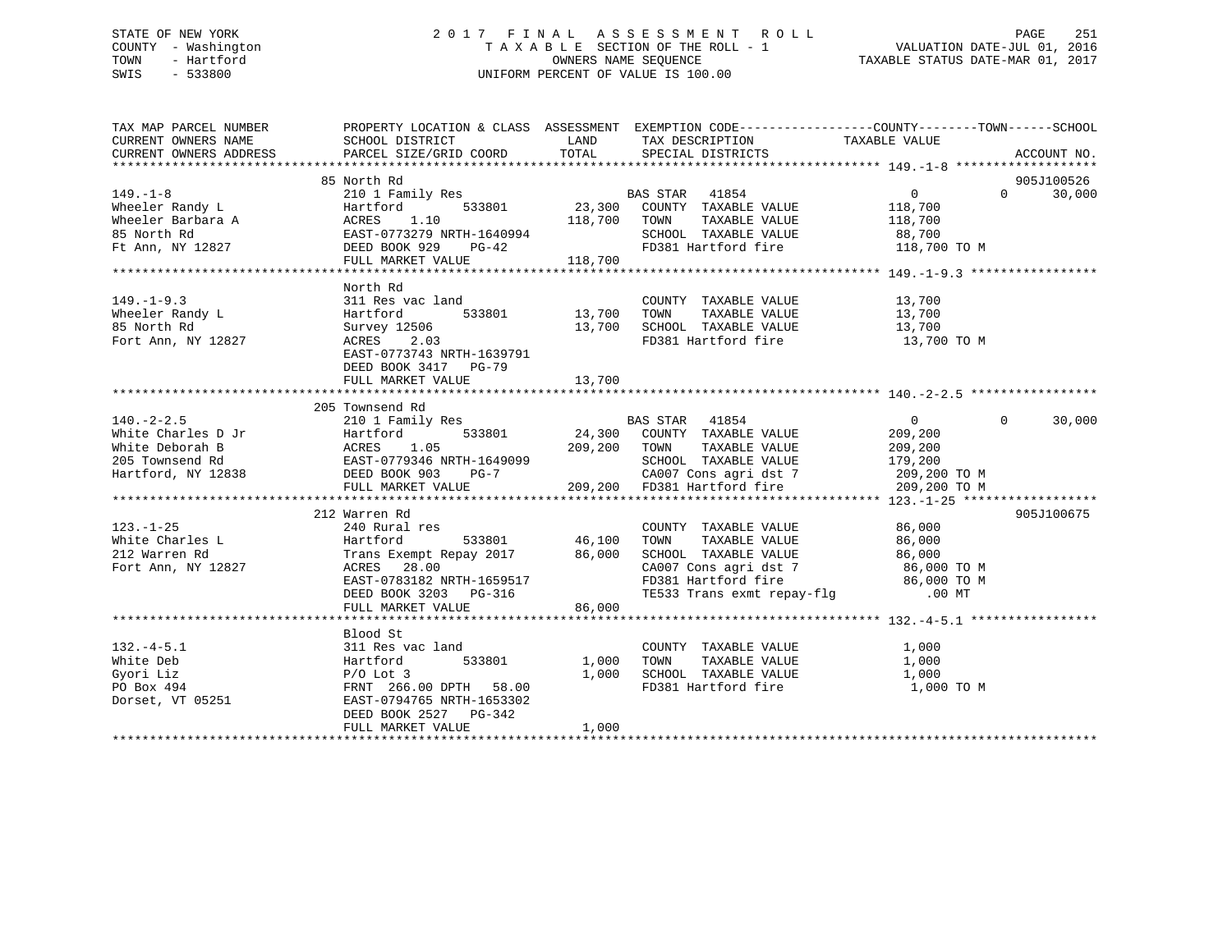# STATE OF NEW YORK 2 0 1 7 F I N A L A S S E S S M E N T R O L L PAGE 251 COUNTY - Washington T A X A B L E SECTION OF THE ROLL - 1 VALUATION DATE-JUL 01, 2016 TOWN - Hartford **TAXABLE STATUS DATE-MAR 01, 2017** SWIS - 533800 UNIFORM PERCENT OF VALUE IS 100.00

| TAX MAP PARCEL NUMBER                                                                                                                                                                                                                                                                                                                                                                                   |                                                                                                                                             |        | PROPERTY LOCATION & CLASS ASSESSMENT EXEMPTION CODE----------------COUNTY-------TOWN------SCHOOL |                |                    |
|---------------------------------------------------------------------------------------------------------------------------------------------------------------------------------------------------------------------------------------------------------------------------------------------------------------------------------------------------------------------------------------------------------|---------------------------------------------------------------------------------------------------------------------------------------------|--------|--------------------------------------------------------------------------------------------------|----------------|--------------------|
| CURRENT OWNERS NAME SCHOOL DISTRICT TAND LAND TAX DESCRIPTION TAXABLE VALUE                                                                                                                                                                                                                                                                                                                             |                                                                                                                                             |        |                                                                                                  |                |                    |
| CURRENT OWNERS ADDRESS                                                                                                                                                                                                                                                                                                                                                                                  | PARCEL SIZE/GRID COORD TOTAL SPECIAL DISTRICTS                                                                                              |        |                                                                                                  |                | ACCOUNT NO.        |
|                                                                                                                                                                                                                                                                                                                                                                                                         |                                                                                                                                             |        |                                                                                                  |                |                    |
|                                                                                                                                                                                                                                                                                                                                                                                                         | 85 North Rd                                                                                                                                 |        |                                                                                                  |                | 905J100526         |
|                                                                                                                                                                                                                                                                                                                                                                                                         |                                                                                                                                             |        |                                                                                                  |                |                    |
|                                                                                                                                                                                                                                                                                                                                                                                                         |                                                                                                                                             |        |                                                                                                  |                |                    |
|                                                                                                                                                                                                                                                                                                                                                                                                         |                                                                                                                                             |        |                                                                                                  |                |                    |
|                                                                                                                                                                                                                                                                                                                                                                                                         |                                                                                                                                             |        |                                                                                                  |                |                    |
|                                                                                                                                                                                                                                                                                                                                                                                                         |                                                                                                                                             |        |                                                                                                  |                |                    |
|                                                                                                                                                                                                                                                                                                                                                                                                         |                                                                                                                                             |        |                                                                                                  |                |                    |
| $\begin{tabular}{lllllllllllll} 149.-1-8 & 85&\mbox{North Rd} & 210&1 Family Res & \mbox{BAS STAR} & 41854 & 0 & 905J100526 \\ & 210&1 Family Res & 533801 & 23,300 & \mbox{COUNTY TAXABLE VALUE} & 118,700 & 30,000 \\ & 30,000 & 30,000 & 30,000 & 118,700 & \mbox{TWXABLE VALUE} & 118,700 \\ & 85 &\mbox{North Rd} & 23,300 & \mbox{COUNTY TAXABLE VALUE} & 11$                                     |                                                                                                                                             |        |                                                                                                  |                |                    |
|                                                                                                                                                                                                                                                                                                                                                                                                         | North Rd                                                                                                                                    |        |                                                                                                  |                |                    |
|                                                                                                                                                                                                                                                                                                                                                                                                         | 311 Res vac land                                                                                                                            |        | COUNTY TAXABLE VALUE 13,700                                                                      |                |                    |
|                                                                                                                                                                                                                                                                                                                                                                                                         |                                                                                                                                             |        | TAXABLE VALUE 13,700<br>TAXABLE VALUE 13,700                                                     |                |                    |
|                                                                                                                                                                                                                                                                                                                                                                                                         |                                                                                                                                             |        |                                                                                                  |                |                    |
| 149.-1-9.3<br>Wheeler Randy L<br>85 North Rd<br>Fort Ann, NY 12827<br>2.03<br>2.03<br>2.03                                                                                                                                                                                                                                                                                                              | All Res vac Tanu<br>Hartford 533801 13,700 TOWN TAXABLE VALUE<br>Survey 12506 13,700 SCHOOL TAXABLE VALUE<br>ACRES 2.03 FD381 Hartford fire |        | FD381 Hartford fire 13,700 TO M                                                                  |                |                    |
|                                                                                                                                                                                                                                                                                                                                                                                                         | EAST-0773743 NRTH-1639791                                                                                                                   |        |                                                                                                  |                |                    |
|                                                                                                                                                                                                                                                                                                                                                                                                         | DEED BOOK 3417 PG-79                                                                                                                        |        |                                                                                                  |                |                    |
|                                                                                                                                                                                                                                                                                                                                                                                                         |                                                                                                                                             |        |                                                                                                  |                |                    |
|                                                                                                                                                                                                                                                                                                                                                                                                         |                                                                                                                                             |        |                                                                                                  |                |                    |
| $\begin{tabular}{lllllllllllllllllll} \hline & 205 & \hbox{Townsend Rd} & \hbox{BAS STAR} & 41854 & 0 \\ & 210 & 1 & \hbox{Family Res} & \hbox{BAS STAR} & 41854 & 0 \\ & 210 & 1 & \hbox{Family Res} & 24,300 & \hbox{COUNTY} & \hbox{TXABLE VALUE} & 209,200 \\ & 205 & \hbox{Tomsend Rd} & \hbox{ACRES} & 1.05 & 209,200 & \hbox{TownN} & \hbox{TXABLE VALUE} & 209,200 \\ & 205 & \hbox{Tomsend Rd$ | 205 Townsend Rd                                                                                                                             |        |                                                                                                  |                |                    |
|                                                                                                                                                                                                                                                                                                                                                                                                         |                                                                                                                                             |        |                                                                                                  | $\overline{0}$ | $\Omega$<br>30,000 |
|                                                                                                                                                                                                                                                                                                                                                                                                         |                                                                                                                                             |        |                                                                                                  |                |                    |
|                                                                                                                                                                                                                                                                                                                                                                                                         |                                                                                                                                             |        |                                                                                                  |                |                    |
|                                                                                                                                                                                                                                                                                                                                                                                                         |                                                                                                                                             |        |                                                                                                  |                |                    |
|                                                                                                                                                                                                                                                                                                                                                                                                         |                                                                                                                                             |        |                                                                                                  |                |                    |
|                                                                                                                                                                                                                                                                                                                                                                                                         |                                                                                                                                             |        |                                                                                                  |                |                    |
|                                                                                                                                                                                                                                                                                                                                                                                                         |                                                                                                                                             |        |                                                                                                  |                |                    |
| 212 Warren Rd 212 Warren Rd 212 Warren Rd 212 Warren Rd 212 Warren Rd 212 Warren Rd 212 Warren Rd 212 Warren Rd 212 Warren Rd 212 Warren Rd 212 Warren Rd 212 Warren Rd 212 Warren Rd 212 Warren Rd 212 Warren Rd 212 Warren R                                                                                                                                                                          | 212 Warren Rd                                                                                                                               |        |                                                                                                  |                | 905J100675         |
|                                                                                                                                                                                                                                                                                                                                                                                                         |                                                                                                                                             |        |                                                                                                  |                |                    |
|                                                                                                                                                                                                                                                                                                                                                                                                         |                                                                                                                                             |        |                                                                                                  |                |                    |
|                                                                                                                                                                                                                                                                                                                                                                                                         |                                                                                                                                             |        |                                                                                                  |                |                    |
|                                                                                                                                                                                                                                                                                                                                                                                                         |                                                                                                                                             |        |                                                                                                  |                |                    |
|                                                                                                                                                                                                                                                                                                                                                                                                         |                                                                                                                                             |        |                                                                                                  |                |                    |
|                                                                                                                                                                                                                                                                                                                                                                                                         |                                                                                                                                             |        |                                                                                                  |                |                    |
|                                                                                                                                                                                                                                                                                                                                                                                                         | FULL MARKET VALUE                                                                                                                           | 86,000 |                                                                                                  |                |                    |
|                                                                                                                                                                                                                                                                                                                                                                                                         |                                                                                                                                             |        |                                                                                                  |                |                    |
|                                                                                                                                                                                                                                                                                                                                                                                                         | Blood St                                                                                                                                    |        |                                                                                                  |                |                    |
|                                                                                                                                                                                                                                                                                                                                                                                                         | 311 Res vac land                                                                                                                            |        |                                                                                                  |                |                    |
|                                                                                                                                                                                                                                                                                                                                                                                                         |                                                                                                                                             |        |                                                                                                  |                |                    |
|                                                                                                                                                                                                                                                                                                                                                                                                         |                                                                                                                                             |        |                                                                                                  |                |                    |
| 132.-4-5.1<br>White Deb Hartford 533801<br>Gyori Liz P/O Lot 3 P/O Lot 3 P/O Lot 3 P/O Lot 3 P/O Lot 3 P/O Lot 3 P/O Lot 3 P/O Lot 3 P/O Lot 3 P/O Lot 3 P/O Lot 3 P/O Box 494 PRNT 266.00 DPTH 58.00 PTH 58.00 PTB 2653302 PO B                                                                                                                                                                        |                                                                                                                                             |        |                                                                                                  | 1,000 TO M     |                    |
|                                                                                                                                                                                                                                                                                                                                                                                                         |                                                                                                                                             |        |                                                                                                  |                |                    |
|                                                                                                                                                                                                                                                                                                                                                                                                         | DEED BOOK 2527 PG-342                                                                                                                       |        |                                                                                                  |                |                    |
|                                                                                                                                                                                                                                                                                                                                                                                                         | FULL MARKET VALUE                                                                                                                           | 1,000  |                                                                                                  |                |                    |
|                                                                                                                                                                                                                                                                                                                                                                                                         |                                                                                                                                             |        |                                                                                                  |                |                    |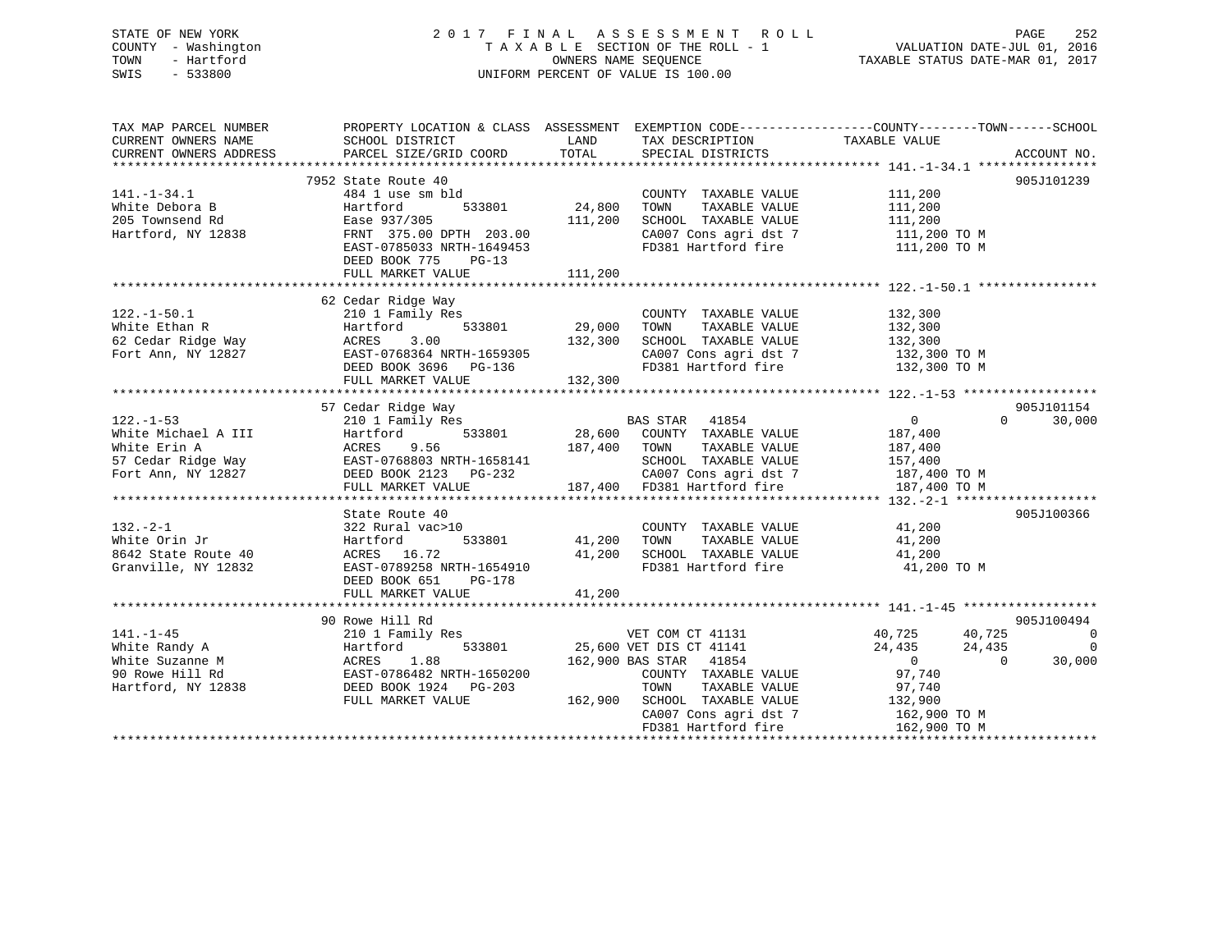# STATE OF NEW YORK 2 0 1 7 F I N A L A S S E S S M E N T R O L L PAGE 252 COUNTY - Washington T A X A B L E SECTION OF THE ROLL - 1 VALUATION DATE-JUL 01, 2016 TOWN - Hartford **TAXABLE STATUS DATE-MAR 01, 2017** SWIS - 533800 UNIFORM PERCENT OF VALUE IS 100.00

| TAX MAP PARCEL NUMBER<br>CURRENT OWNERS NAME<br>CURRENT OWNERS ADDRESS                                                                                                                 | PROPERTY LOCATION & CLASS ASSESSMENT EXEMPTION CODE---------------COUNTY-------TOWN-----SCHOOL<br>SCHOOL DISTRICT<br>PARCEL SIZE/GRID COORD | LAND<br>TOTAL | TAX DESCRIPTION<br>SPECIAL DISTRICTS                                                                    | TAXABLE VALUE                    | ACCOUNT NO.        |
|----------------------------------------------------------------------------------------------------------------------------------------------------------------------------------------|---------------------------------------------------------------------------------------------------------------------------------------------|---------------|---------------------------------------------------------------------------------------------------------|----------------------------------|--------------------|
|                                                                                                                                                                                        |                                                                                                                                             |               |                                                                                                         |                                  |                    |
|                                                                                                                                                                                        | 7952 State Route 40                                                                                                                         |               |                                                                                                         |                                  | 905J101239         |
| $141. - 1 - 34.1$                                                                                                                                                                      | 484 1 use sm bld                                                                                                                            |               | COUNTY TAXABLE VALUE                                                                                    | $\frac{111}{111}$ , 200          |                    |
| White Debora B                                                                                                                                                                         | 533801<br>Hartford                                                                                                                          | 24,800        | TOWN<br>TAXABLE VALUE                                                                                   | 111,200                          |                    |
| 205 Townsend Rd                                                                                                                                                                        | Ease 937/305                                                                                                                                | 111,200       | SCHOOL TAXABLE VALUE                                                                                    | 111,200                          |                    |
| Hartford, NY 12838                                                                                                                                                                     | FRNT 375.00 DPTH 203.00                                                                                                                     |               |                                                                                                         |                                  |                    |
|                                                                                                                                                                                        | EAST-0785033 NRTH-1649453<br>DEED BOOK 775 PG-13                                                                                            |               | $\texttt{CA007}$ Cons agri dst 7 $\texttt{111,200}$ TO M<br>FD381 Hartford fire $\texttt{111,200}$ TO M |                                  |                    |
|                                                                                                                                                                                        |                                                                                                                                             |               |                                                                                                         |                                  |                    |
|                                                                                                                                                                                        |                                                                                                                                             |               |                                                                                                         |                                  |                    |
|                                                                                                                                                                                        | 62 Cedar Ridge Way                                                                                                                          |               |                                                                                                         |                                  |                    |
| $122.-1-50.1$                                                                                                                                                                          | 210 1 Family Res                                                                                                                            |               | COUNTY TAXABLE VALUE                                                                                    | 132,300                          |                    |
|                                                                                                                                                                                        | $533801$ $29,000$<br>Hartford                                                                                                               |               | TOWN<br>TAXABLE VALUE                                                                                   | 132,300                          |                    |
|                                                                                                                                                                                        | 3.00                                                                                                                                        | 132,300       | SCHOOL TAXABLE VALUE                                                                                    | 132,300                          |                    |
| Fort Ann, NY 12827                                                                                                                                                                     | EAST-0768364 NRTH-1659305                                                                                                                   |               | CA007 Cons agri dst 7 132,300 TO M                                                                      |                                  |                    |
|                                                                                                                                                                                        |                                                                                                                                             |               | FD381 Hartford fire                                                                                     | 132,300 TO M                     |                    |
|                                                                                                                                                                                        | DEED BOOK 3696 PG-136<br>PEED BOOK 3696 PG-136<br>FULL MARKET VALUE                                                                         | 132,300       |                                                                                                         |                                  |                    |
|                                                                                                                                                                                        |                                                                                                                                             |               |                                                                                                         |                                  |                    |
|                                                                                                                                                                                        | 57 Cedar Ridge Way                                                                                                                          |               |                                                                                                         |                                  | 905J101154         |
| $122. - 1 - 53$                                                                                                                                                                        | 210 1 Family Res                                                                                                                            |               |                                                                                                         | $\overline{0}$                   | $\Omega$<br>30,000 |
| 122.-1-53<br>White Michael A III Hartford 533801 28,600<br>White Erin A ACRES 9.56 187,400<br>57 Cedar Ridge Way EAST-0768803 NRTH-1658141<br>Fort Ann, NY 12827 DEED BOOK 2123 PG-232 |                                                                                                                                             |               | BAS STAR 41854<br>28,600 COUNTY TAXABLE VALUE                                                           | 187,400                          |                    |
|                                                                                                                                                                                        |                                                                                                                                             | 187,400 TOWN  | TAXABLE VALUE                                                                                           | 187,400                          |                    |
|                                                                                                                                                                                        |                                                                                                                                             |               | SCHOOL TAXABLE VALUE                                                                                    | 157,400                          |                    |
|                                                                                                                                                                                        |                                                                                                                                             |               | $\frac{1}{2}$ CA007 Cons agri dst 7 187,400 TO M                                                        |                                  |                    |
|                                                                                                                                                                                        | FULL MARKET VALUE                                                                                                                           |               | 187,400 FD381 Hartford fire                                                                             |                                  |                    |
|                                                                                                                                                                                        |                                                                                                                                             |               |                                                                                                         | 187,400 TO M                     |                    |
|                                                                                                                                                                                        |                                                                                                                                             |               |                                                                                                         |                                  | 905J100366         |
|                                                                                                                                                                                        | State Route 40                                                                                                                              |               |                                                                                                         |                                  |                    |
| $132 - 2 - 1$                                                                                                                                                                          | 322 Rural vac>10                                                                                                                            |               | COUNTY TAXABLE VALUE 41,200                                                                             |                                  |                    |
| White Orin Jr                                                                                                                                                                          | Hartford<br>533801                                                                                                                          | 41,200        | TAXABLE VALUE<br>TOWN                                                                                   | 41,200                           |                    |
| 8642 State Route 40                                                                                                                                                                    | ACRES 16.72                                                                                                                                 | 41,200        | SCHOOL TAXABLE VALUE 41,200                                                                             |                                  |                    |
| Granville, NY 12832                                                                                                                                                                    | EAST-0789258 NRTH-1654910                                                                                                                   |               | FD381 Hartford fire                                                                                     | 41,200 TO M                      |                    |
|                                                                                                                                                                                        | DEED BOOK 651<br>PG-178                                                                                                                     |               |                                                                                                         |                                  |                    |
|                                                                                                                                                                                        | FULL MARKET VALUE 41,200                                                                                                                    |               |                                                                                                         |                                  |                    |
|                                                                                                                                                                                        |                                                                                                                                             |               |                                                                                                         |                                  |                    |
|                                                                                                                                                                                        | 90 Rowe Hill Rd                                                                                                                             |               |                                                                                                         |                                  | 905J100494         |
| $141. - 1 - 45$                                                                                                                                                                        | 210 1 Family Res                                                                                                                            |               | VET COM CT 41131                                                                                        | 40,725<br>40,725                 | $\overline{0}$     |
| White Randy A                                                                                                                                                                          | Hartford                                                                                                                                    |               | 533801 25,600 VET DIS CT 41141                                                                          | 24,435<br>24,435                 | $\Omega$           |
| White Suzanne M                                                                                                                                                                        | 1.88<br>AURES 1.00<br>EAST-0786482 NRTH-1650200<br>COMPASS DOLD03                                                                           |               | 162,900 BAS STAR 41854                                                                                  | $\overline{0}$<br>$\overline{0}$ | 30,000             |
| 90 Rowe Hill Rd                                                                                                                                                                        |                                                                                                                                             |               | COUNTY TAXABLE VALUE                                                                                    | 97,740                           |                    |
| Hartford, NY 12838                                                                                                                                                                     | DEED BOOK 1924 PG-203                                                                                                                       |               | TOWN TAXABLE VALUE 97,740<br>162,900 SCHOOL TAXABLE VALUE 132,900                                       |                                  |                    |
|                                                                                                                                                                                        | FULL MARKET VALUE                                                                                                                           |               |                                                                                                         |                                  |                    |
|                                                                                                                                                                                        |                                                                                                                                             |               | CA007 Cons agri dst 7                                                                                   | 162,900 TO M                     |                    |
|                                                                                                                                                                                        |                                                                                                                                             |               | FD381 Hartford fire                                                                                     | 162,900 ТО М                     |                    |
|                                                                                                                                                                                        |                                                                                                                                             |               |                                                                                                         |                                  |                    |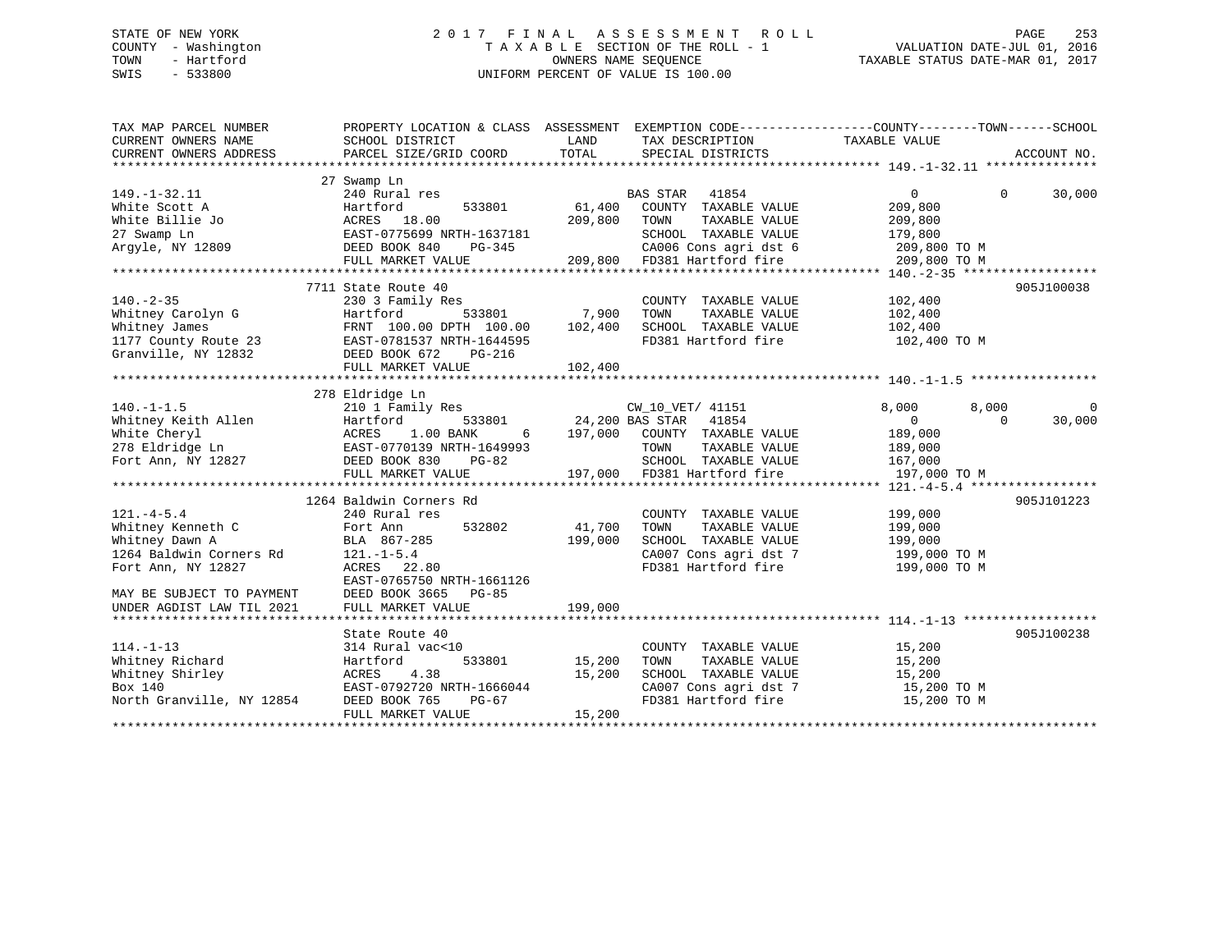# STATE OF NEW YORK 2 0 1 7 F I N A L A S S E S S M E N T R O L L PAGE 253 COUNTY - Washington T A X A B L E SECTION OF THE ROLL - 1 VALUATION DATE-JUL 01, 2016 TOWN - Hartford OWNERS NAME SEQUENCE TAXABLE STATUS DATE-MAR 01, 2017 SWIS - 533800 UNIFORM PERCENT OF VALUE IS 100.00

| TAX MAP PARCEL NUMBER<br>CURRENT OWNERS NAME | PROPERTY LOCATION & CLASS ASSESSMENT EXEMPTION CODE---------------COUNTY-------TOWN-----SCHOOL<br>SCHOOL DISTRICT | LAND    | TAX DESCRIPTION                              | TAXABLE VALUE |                    |
|----------------------------------------------|-------------------------------------------------------------------------------------------------------------------|---------|----------------------------------------------|---------------|--------------------|
| CURRENT OWNERS ADDRESS                       | PARCEL SIZE/GRID COORD                                                                                            | TOTAL   | SPECIAL DISTRICTS                            |               | ACCOUNT NO.        |
|                                              |                                                                                                                   |         |                                              |               |                    |
|                                              | 27 Swamp Ln                                                                                                       |         |                                              |               |                    |
| $149. - 1 - 32.11$                           | 240 Rural res                                                                                                     |         | <b>BAS STAR</b><br>41854                     | $\Omega$      | 30,000<br>$\Omega$ |
| White Scott A                                | Hartford<br>533801                                                                                                | 61,400  | COUNTY TAXABLE VALUE                         | 209,800       |                    |
| White Billie Jo                              | ACRES<br>18.00                                                                                                    | 209,800 | TOWN<br>TAXABLE VALUE                        | 209,800       |                    |
| 27 Swamp Ln                                  | EAST-0775699 NRTH-1637181                                                                                         |         | SCHOOL TAXABLE VALUE                         | 179,800       |                    |
| Argyle, NY 12809                             | DEED BOOK 840<br>PG-345                                                                                           |         | CA006 Cons agri dst 6                        | 209,800 TO M  |                    |
|                                              | FULL MARKET VALUE                                                                                                 | 209,800 | CAUU6 Cons agri dst 6<br>FD381 Hartford fire | 209,800 TO M  |                    |
|                                              |                                                                                                                   |         |                                              |               |                    |
|                                              | 7711 State Route 40                                                                                               |         |                                              |               | 905J100038         |
| $140. - 2 - 35$                              | 230 3 Family Res                                                                                                  |         | COUNTY TAXABLE VALUE                         | 102,400       |                    |
| Whitney Carolyn G                            | 533801<br>Hartford                                                                                                | 7,900   | TOWN<br>TAXABLE VALUE                        | 102,400       |                    |
| Whitney James                                | FRNT 100.00 DPTH 100.00                                                                                           | 102,400 | SCHOOL TAXABLE VALUE                         | 102,400       |                    |
| 1177 County Route 23                         | EAST-0781537 NRTH-1644595                                                                                         |         | FD381 Hartford fire                          | 102,400 TO M  |                    |
| Granville, NY 12832                          | DEED BOOK 672<br>PG-216                                                                                           |         |                                              |               |                    |
|                                              | FULL MARKET VALUE                                                                                                 | 102,400 |                                              |               |                    |
|                                              |                                                                                                                   |         |                                              |               |                    |
|                                              | 278 Eldridge Ln                                                                                                   |         |                                              |               |                    |
| $140. - 1 - 1.5$                             | 210 1 Family Res                                                                                                  |         | CW_10_VET/ 41151                             | 8,000         | 8,000<br>0         |
| Whitney Keith Allen                          | 533801<br>Hartford                                                                                                |         | 24,200 BAS STAR 41854                        | $\Omega$      | 30,000<br>$\Omega$ |
| White Cheryl                                 | ACRES<br>1.00 BANK<br>6                                                                                           | 197,000 | COUNTY TAXABLE VALUE                         | 189,000       |                    |
| 278 Eldridge Ln                              | EAST-0770139 NRTH-1649993                                                                                         |         | TOWN<br>TAXABLE VALUE                        | 189,000       |                    |
| Fort Ann, NY 12827                           | DEED BOOK 830<br>PG-82                                                                                            |         | SCHOOL TAXABLE VALUE                         | 167,000       |                    |
|                                              | FULL MARKET VALUE                                                                                                 |         | 197,000 FD381 Hartford fire                  | 197,000 TO M  |                    |
|                                              |                                                                                                                   |         |                                              |               |                    |
|                                              | 1264 Baldwin Corners Rd                                                                                           |         |                                              |               | 905J101223         |
| $121. -4 - 5.4$                              | 240 Rural res                                                                                                     |         | COUNTY TAXABLE VALUE                         | 199,000       |                    |
| Whitney Kenneth C                            | 532802<br>Fort Ann                                                                                                | 41,700  | TOWN<br>TAXABLE VALUE                        | 199,000       |                    |
| Whitney Dawn A                               | BLA 867-285                                                                                                       | 199,000 | SCHOOL TAXABLE VALUE                         | 199,000       |                    |
| 1264 Baldwin Corners Rd                      | $121. - 1 - 5.4$                                                                                                  |         | CA007 Cons agri dst 7                        | 199,000 TO M  |                    |
| Fort Ann, NY 12827                           | ACRES 22.80                                                                                                       |         | FD381 Hartford fire                          | 199,000 TO M  |                    |
|                                              | EAST-0765750 NRTH-1661126                                                                                         |         |                                              |               |                    |
| MAY BE SUBJECT TO PAYMENT                    | DEED BOOK 3665<br>PG-85                                                                                           |         |                                              |               |                    |
| UNDER AGDIST LAW TIL 2021                    | FULL MARKET VALUE                                                                                                 | 199,000 |                                              |               |                    |
|                                              |                                                                                                                   |         |                                              |               |                    |
|                                              | State Route 40                                                                                                    |         |                                              |               | 905J100238         |
| $114. - 1 - 13$                              | 314 Rural vac<10                                                                                                  |         | COUNTY TAXABLE VALUE                         | 15,200        |                    |
| Whitney Richard                              | 533801<br>Hartford                                                                                                | 15,200  | TAXABLE VALUE<br>TOWN                        | 15,200        |                    |
| Whitney Shirley                              | ACRES<br>4.38                                                                                                     | 15,200  | SCHOOL TAXABLE VALUE                         | 15,200        |                    |
| Box 140                                      | EAST-0792720 NRTH-1666044                                                                                         |         | CA007 Cons agri dst 7                        | 15,200 TO M   |                    |
| North Granville, NY 12854                    | DEED BOOK 765<br>PG-67                                                                                            |         | FD381 Hartford fire                          | 15,200 TO M   |                    |
|                                              | FULL MARKET VALUE                                                                                                 | 15,200  |                                              |               |                    |
|                                              |                                                                                                                   |         |                                              |               |                    |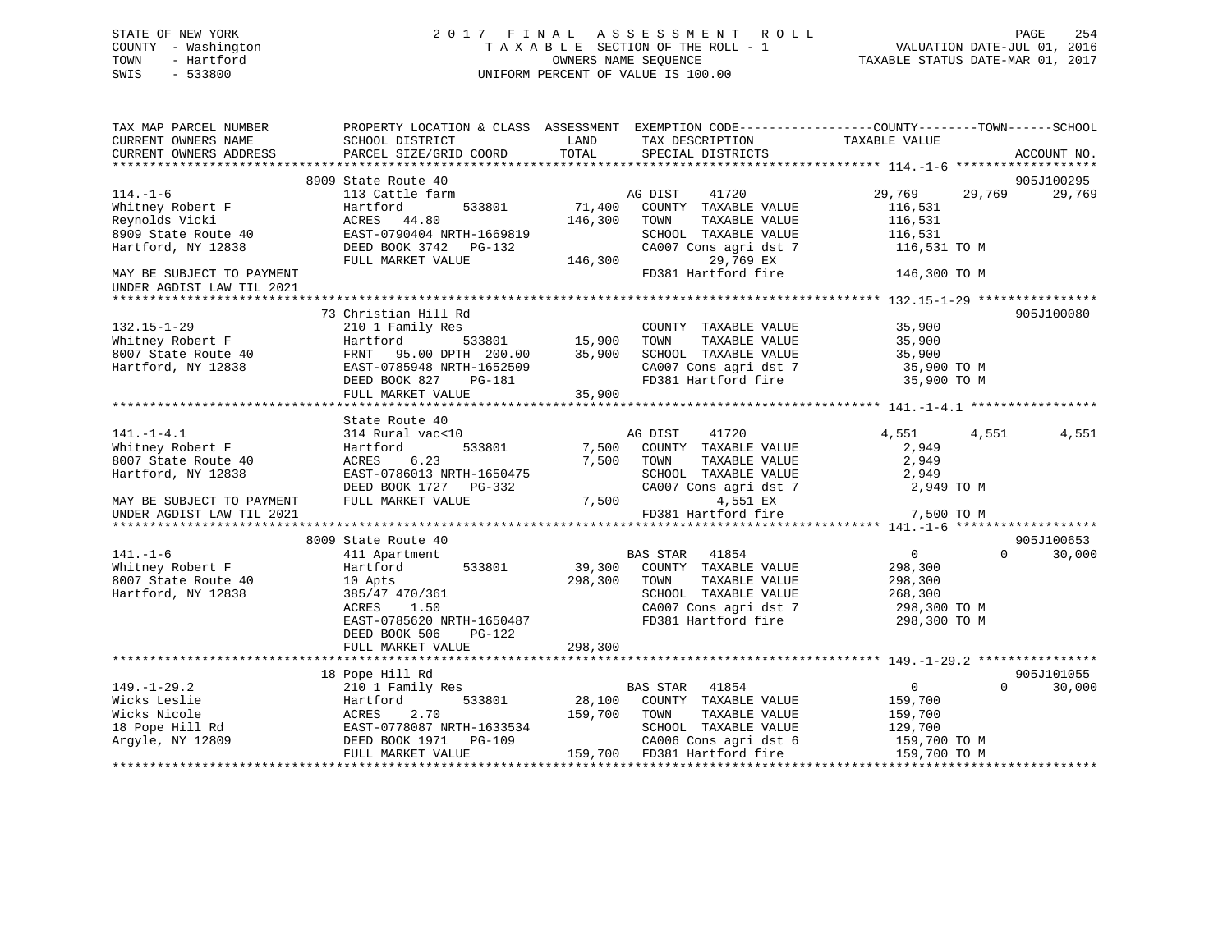# STATE OF NEW YORK 2 0 1 7 F I N A L A S S E S S M E N T R O L L PAGE 254 COUNTY - Washington T A X A B L E SECTION OF THE ROLL - 1 VALUATION DATE-JUL 01, 2016 TOWN - Hartford **TAXABLE STATUS DATE-MAR 01, 2017** SWIS - 533800 UNIFORM PERCENT OF VALUE IS 100.00

| TAX MAP PARCEL NUMBER<br>CURRENT OWNERS NAME           | PROPERTY LOCATION & CLASS ASSESSMENT EXEMPTION CODE---------------COUNTY-------TOWN-----SCHOOL<br>SCHOOL DISTRICT | LAND    | TAX DESCRIPTION             | TAXABLE VALUE                 |             |
|--------------------------------------------------------|-------------------------------------------------------------------------------------------------------------------|---------|-----------------------------|-------------------------------|-------------|
| CURRENT OWNERS ADDRESS                                 | PARCEL SIZE/GRID COORD                                                                                            | TOTAL   | SPECIAL DISTRICTS           |                               | ACCOUNT NO. |
|                                                        |                                                                                                                   |         |                             |                               |             |
|                                                        | 8909 State Route 40                                                                                               |         |                             |                               | 905J100295  |
| $114. - 1 - 6$                                         | 113 Cattle farm                                                                                                   |         | AG DIST<br>41720            | 29,769<br>29,769              | 29,769      |
| Whitney Robert F                                       | 533801<br>Hartford                                                                                                | 71,400  | COUNTY TAXABLE VALUE        | 116,531                       |             |
| Reynolds Vicki                                         | ACRES 44.80                                                                                                       | 146,300 | TOWN<br>TAXABLE VALUE       | 116,531                       |             |
| 8909 State Route 40                                    | EAST-0790404 NRTH-1669819                                                                                         |         | SCHOOL TAXABLE VALUE        | 116,531                       |             |
| Hartford, NY 12838                                     | DEED BOOK 3742 PG-132                                                                                             |         | CA007 Cons agri dst 7       | 116,531 TO M                  |             |
|                                                        | FULL MARKET VALUE                                                                                                 | 146,300 | 29,769 EX                   |                               |             |
| MAY BE SUBJECT TO PAYMENT<br>UNDER AGDIST LAW TIL 2021 |                                                                                                                   |         | FD381 Hartford fire         | 146,300 TO M                  |             |
|                                                        |                                                                                                                   |         |                             |                               |             |
|                                                        | 73 Christian Hill Rd                                                                                              |         |                             |                               | 905J100080  |
| $132.15 - 1 - 29$                                      | 210 1 Family Res                                                                                                  |         | COUNTY TAXABLE VALUE        | 35,900                        |             |
| Whitney Robert F                                       | 533801<br>Hartford                                                                                                | 15,900  | TOWN<br>TAXABLE VALUE       | 35,900                        |             |
| 8007 State Route 40                                    | FRNT 95.00 DPTH 200.00                                                                                            | 35,900  | SCHOOL TAXABLE VALUE        | 35,900                        |             |
| Hartford, NY 12838                                     | EAST-0785948 NRTH-1652509                                                                                         |         | CA007 Cons agri dst 7       | $35,900$ TO M                 |             |
|                                                        | DEED BOOK 827<br>PG-181                                                                                           |         | FD381 Hartford fire         | 35,900 TO M                   |             |
|                                                        | FULL MARKET VALUE                                                                                                 | 35,900  |                             |                               |             |
|                                                        |                                                                                                                   |         |                             |                               |             |
|                                                        | State Route 40                                                                                                    |         |                             |                               |             |
| $141. - 1 - 4.1$                                       | 314 Rural vac<10                                                                                                  |         | AG DIST<br>41720            | 4,551<br>4,551                | 4,551       |
| Whitney Robert F                                       | 533801<br>Hartford                                                                                                |         | 7,500 COUNTY TAXABLE VALUE  | 2,949                         |             |
| 8007 State Route 40                                    | 6.23<br>ACRES                                                                                                     | 7,500   | TOWN<br>TAXABLE VALUE       | 2,949                         |             |
| Hartford, NY 12838                                     | EAST-0786013 NRTH-1650475                                                                                         |         | SCHOOL TAXABLE VALUE        | 2,949                         |             |
|                                                        | DEED BOOK 1727 PG-332                                                                                             |         | CA007 Cons agri dst 7       | 2,949 TO M                    |             |
| MAY BE SUBJECT TO PAYMENT                              | FULL MARKET VALUE                                                                                                 | 7,500   | 4,551 EX                    |                               |             |
| UNDER AGDIST LAW TIL 2021                              |                                                                                                                   |         | FD381 Hartford fire         | 7,500 TO M                    |             |
|                                                        |                                                                                                                   |         |                             |                               |             |
|                                                        | 8009 State Route 40                                                                                               |         |                             |                               | 905J100653  |
| $141. - 1 - 6$                                         | 411 Apartment                                                                                                     |         | <b>BAS STAR</b><br>41854    | $0 \qquad \qquad$<br>$\Omega$ | 30,000      |
| Whitney Robert F                                       | 533801<br>Hartford                                                                                                |         | 39,300 COUNTY TAXABLE VALUE | 298,300                       |             |
| 8007 State Route 40                                    | 10 Apts                                                                                                           | 298,300 | TOWN<br>TAXABLE VALUE       | 298,300                       |             |
| Hartford, NY 12838                                     | 385/47 470/361                                                                                                    |         | SCHOOL TAXABLE VALUE        | 268,300                       |             |
|                                                        | ACRES<br>1.50                                                                                                     |         | CA007 Cons agri dst 7       | 298,300 TO M                  |             |
|                                                        | EAST-0785620 NRTH-1650487                                                                                         |         | FD381 Hartford fire         | 298,300 TO M                  |             |
|                                                        | DEED BOOK 506<br>$PG-122$                                                                                         |         |                             |                               |             |
|                                                        | FULL MARKET VALUE                                                                                                 | 298,300 |                             |                               |             |
|                                                        |                                                                                                                   |         |                             |                               |             |
|                                                        | 18 Pope Hill Rd                                                                                                   |         |                             |                               | 905J101055  |
| $149. - 1 - 29.2$                                      | 210 1 Family Res                                                                                                  |         | <b>BAS STAR</b><br>41854    | $\overline{0}$<br>$\Omega$    | 30,000      |
| Wicks Leslie                                           | 533801<br>Hartford                                                                                                |         | 28,100 COUNTY TAXABLE VALUE | 159,700                       |             |
| Wicks Nicole                                           | ACRES<br>2.70                                                                                                     | 159,700 | TOWN<br>TAXABLE VALUE       | 159,700                       |             |
| 18 Pope Hill Rd                                        | EAST-0778087 NRTH-1633534                                                                                         |         | SCHOOL TAXABLE VALUE        | 129,700                       |             |
| Argyle, NY 12809                                       |                                                                                                                   |         | CA006 Cons agri dst 6       | 159,700 TO M                  |             |
|                                                        | FULL MARKET VALUE                                                                                                 |         | 159,700 FD381 Hartford fire | 159,700 TO M                  |             |
|                                                        |                                                                                                                   |         |                             |                               |             |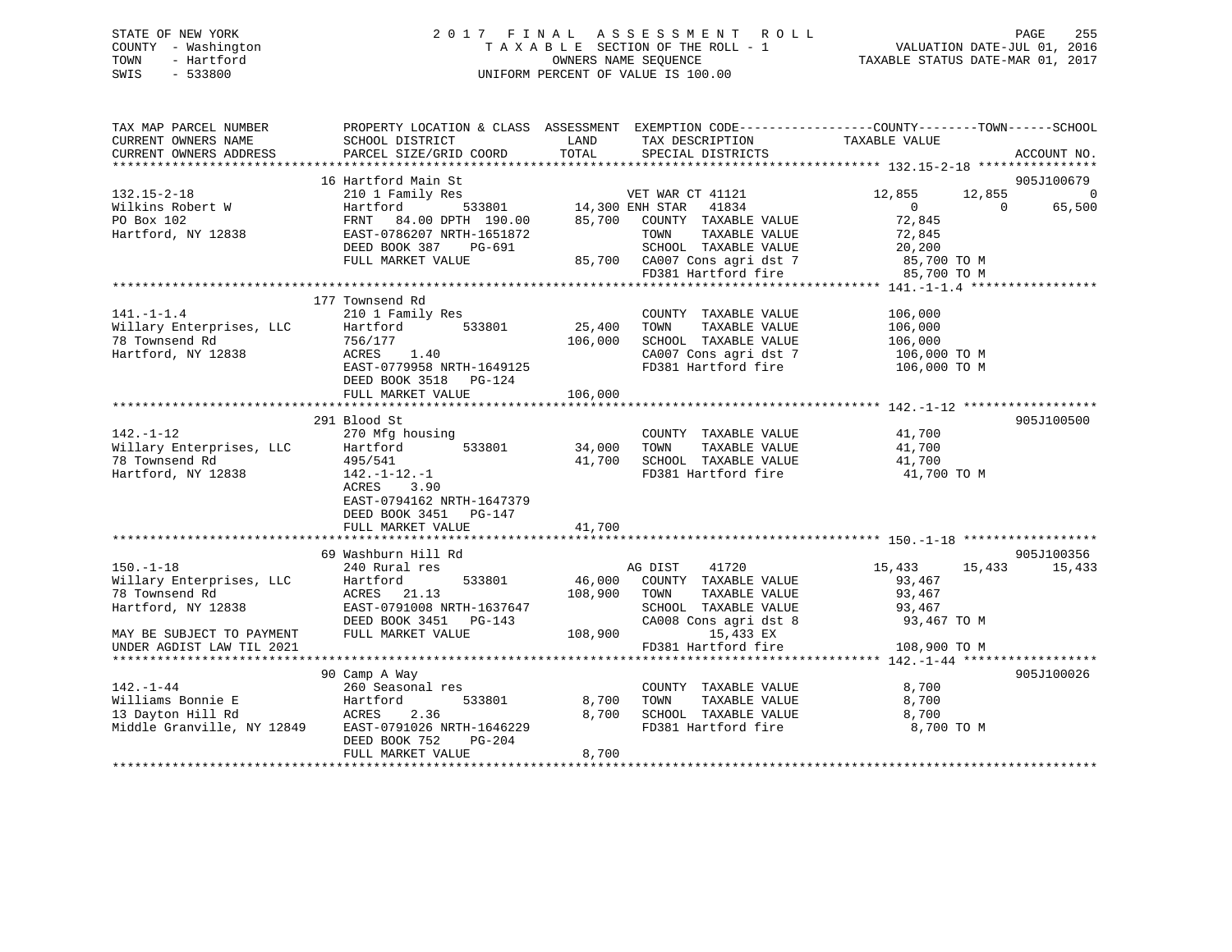# STATE OF NEW YORK 2 0 1 7 F I N A L A S S E S S M E N T R O L L PAGE 255 COUNTY - Washington T A X A B L E SECTION OF THE ROLL - 1 VALUATION DATE-JUL 01, 2016 TOWN - Hartford OWNERS NAME SEQUENCE TAXABLE STATUS DATE-MAR 01, 2017 SWIS - 533800 UNIFORM PERCENT OF VALUE IS 100.00

| TAX MAP PARCEL NUMBER<br>CURRENT OWNERS NAME<br>CURRENT OWNERS ADDRESS                  | SCHOOL DISTRICT<br>PARCEL SIZE/GRID COORD                                                                           | LAND<br>TOTAL                    | TAX DESCRIPTION TAXABLE VALUE<br>SPECIAL DISTRICTS                                                                    | PROPERTY LOCATION & CLASS ASSESSMENT EXEMPTION CODE----------------COUNTY-------TOWN-----SCHOOL | ACCOUNT NO.                      |
|-----------------------------------------------------------------------------------------|---------------------------------------------------------------------------------------------------------------------|----------------------------------|-----------------------------------------------------------------------------------------------------------------------|-------------------------------------------------------------------------------------------------|----------------------------------|
|                                                                                         |                                                                                                                     |                                  |                                                                                                                       |                                                                                                 |                                  |
| $132.15 - 2 - 18$<br>Wilkins Robert W<br>PO Box 102                                     | 16 Hartford Main St<br>210 1 Family Res<br>Hartford<br>84.00 DPTH 190.00<br>FRNT                                    | 533801 14,300 ENH STAR<br>85,700 | VET WAR CT 41121<br>41834<br>COUNTY TAXABLE VALUE                                                                     | 12,855<br>12,855<br>$\overline{0}$<br>$\Omega$<br>72,845                                        | 905J100679<br>$\Omega$<br>65,500 |
| Hartford, NY 12838                                                                      | EAST-0786207 NRTH-1651872<br>DEED BOOK 387<br>PG-691<br>FULL MARKET VALUE                                           |                                  | TOWN<br>TAXABLE VALUE<br>SCHOOL TAXABLE VALUE<br>85,700 CA007 Cons agri dst 7                                         | 72,845<br>20,200<br>85,700 TO M                                                                 |                                  |
|                                                                                         |                                                                                                                     |                                  | FD381 Hartford fire                                                                                                   | 85,700 TO M                                                                                     |                                  |
|                                                                                         | 177 Townsend Rd                                                                                                     |                                  |                                                                                                                       |                                                                                                 |                                  |
| $141. - 1 - 1.4$<br>Willary Enterprises, LLC<br>78 Townsend Rd<br>Hartford, NY 12838    | 210 1 Family Res<br>Hartford<br>533801<br>756/177<br>ACRES<br>1.40<br>EAST-0779958 NRTH-1649125                     | 25,400<br>106,000                | COUNTY TAXABLE VALUE<br>TOWN<br>TAXABLE VALUE<br>SCHOOL TAXABLE VALUE<br>CA007 Cons agri dst 7<br>FD381 Hartford fire | 106,000<br>106,000<br>106,000<br>106,000 TO M<br>106,000 TO M                                   |                                  |
|                                                                                         | DEED BOOK 3518<br>PG-124                                                                                            |                                  |                                                                                                                       |                                                                                                 |                                  |
|                                                                                         | FULL MARKET VALUE                                                                                                   | 106,000                          |                                                                                                                       |                                                                                                 |                                  |
|                                                                                         |                                                                                                                     |                                  |                                                                                                                       |                                                                                                 |                                  |
| $142. - 1 - 12$<br>Willary Enterprises, LLC<br>78 Townsend Rd                           | 291 Blood St<br>270 Mfg housing<br>533801<br>Hartford<br>495/541                                                    | 34,000<br>41,700                 | COUNTY TAXABLE VALUE<br>TAXABLE VALUE<br>TOWN<br>SCHOOL TAXABLE VALUE                                                 | 41,700<br>41,700<br>41,700                                                                      | 905J100500                       |
| Hartford, NY 12838                                                                      | $142. - 1 - 12. - 1$<br>ACRES<br>3.90<br>EAST-0794162 NRTH-1647379<br>DEED BOOK 3451<br>PG-147<br>FULL MARKET VALUE | 41,700                           | FD381 Hartford fire                                                                                                   | 41,700 TO M                                                                                     |                                  |
|                                                                                         |                                                                                                                     |                                  |                                                                                                                       |                                                                                                 |                                  |
|                                                                                         | 69 Washburn Hill Rd                                                                                                 |                                  |                                                                                                                       |                                                                                                 | 905J100356                       |
| $150. - 1 - 18$<br>Willary Enterprises, LLC<br>78 Townsend Rd<br>Hartford, NY 12838     | 240 Rural res<br>Hartford<br>533801<br>ACRES<br>21.13<br>EAST-0791008 NRTH-1637647                                  | 46,000<br>108,900                | 41720<br>AG DIST<br>COUNTY TAXABLE VALUE<br>TOWN<br>TAXABLE VALUE<br>SCHOOL TAXABLE VALUE                             | 15,433<br>15,433<br>93,467<br>93,467<br>93,467                                                  | 15,433                           |
| MAY BE SUBJECT TO PAYMENT<br>UNDER AGDIST LAW TIL 2021                                  | DEED BOOK 3451 PG-143<br>FULL MARKET VALUE                                                                          | 108,900                          | CA008 Cons agri dst 8<br>15,433 EX<br>FD381 Hartford fire                                                             | 93,467 TO M<br>108,900 TO M                                                                     |                                  |
|                                                                                         |                                                                                                                     |                                  |                                                                                                                       |                                                                                                 |                                  |
|                                                                                         | 90 Camp A Way                                                                                                       |                                  |                                                                                                                       |                                                                                                 | 905J100026                       |
| $142. - 1 - 44$<br>Williams Bonnie E<br>13 Dayton Hill Rd<br>Middle Granville, NY 12849 | 260 Seasonal res<br>Hartford<br>533801<br>2.36<br>ACRES<br>EAST-0791026 NRTH-1646229                                | 8,700<br>8,700                   | COUNTY TAXABLE VALUE<br>TAXABLE VALUE<br>TOWN<br>SCHOOL TAXABLE VALUE<br>FD381 Hartford fire                          | 8,700<br>8,700<br>8,700<br>8,700 TO M                                                           |                                  |
|                                                                                         | DEED BOOK 752<br>$PG-204$<br>FULL MARKET VALUE                                                                      | 8,700                            |                                                                                                                       |                                                                                                 |                                  |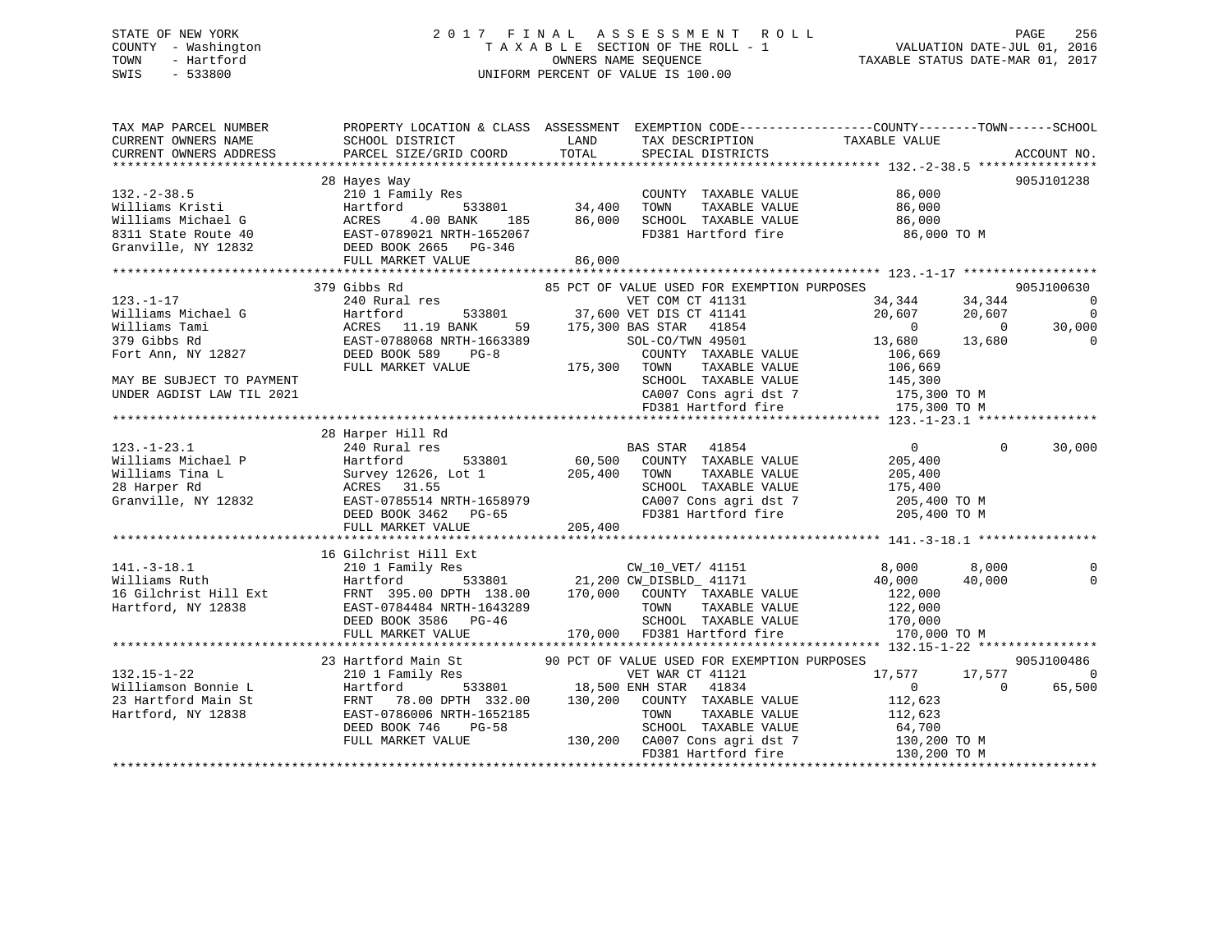# STATE OF NEW YORK 2 0 1 7 F I N A L A S S E S S M E N T R O L L PAGE 256 COUNTY - Washington T A X A B L E SECTION OF THE ROLL - 1 VALUATION DATE-JUL 01, 2016 TOWN - Hartford **TAXABLE STATUS DATE-MAR 01, 2017** SWIS - 533800 UNIFORM PERCENT OF VALUE IS 100.00

| TAX MAP PARCEL NUMBER<br>CURRENT OWNERS NAME<br>CURRENT OWNERS ADDRESS                                                                                 | SCHOOL DISTRICT<br>PARCEL SIZE/GRID COORD                                                                                                                                                                        | PROPERTY LOCATION & CLASS ASSESSMENT EXEMPTION CODE----------------COUNTY-------TOWN-----SCHOOL<br>LAND<br>TAX DESCRIPTION<br>TOTAL<br>SPECIAL DISTRICTS                                                                                                                                                                                                                     | TAXABLE VALUE                                                                                                                                                                                                                | ACCOUNT NO.                                                             |
|--------------------------------------------------------------------------------------------------------------------------------------------------------|------------------------------------------------------------------------------------------------------------------------------------------------------------------------------------------------------------------|------------------------------------------------------------------------------------------------------------------------------------------------------------------------------------------------------------------------------------------------------------------------------------------------------------------------------------------------------------------------------|------------------------------------------------------------------------------------------------------------------------------------------------------------------------------------------------------------------------------|-------------------------------------------------------------------------|
| $132 - 2 - 38.5$<br>Williams Kristi<br>Williams Michael G<br>8311 State Route 40<br>Granville, NY 12832                                                | 28 Hayes Way<br>210 1 Family Res<br>$533801$ $34,400$<br>Hartford 533801<br>ACRES 4.00 BANK 185<br>EAST-0789021 NRTH-1652067<br>DEED BOOK 2665 PG-346<br>FULL MARKET VALUE<br>FULL MARKET VALUE                  | COUNTY TAXABLE VALUE 86,000<br>TOWN<br>TAXABLE VALUE<br>86,000<br>86,000                                                                                                                                                                                                                                                                                                     | 86,000<br>86,000<br>SCHOOL TAXABLE VALUE                     86,000<br>FD381 Hartford fire                     86,000 TO M                                                                                                   | 905J101238                                                              |
| $123. - 1 - 17$<br>Williams Michael G<br>Williams Tami<br>379 Gibbs Rd<br>Fort Ann, NY 12827<br>MAY BE SUBJECT TO PAYMENT<br>UNDER AGDIST LAW TIL 2021 | 379 Gibbs Rd<br>240 Rural res<br>Hartford<br>ACRES 11.19 BANK<br>$\begin{tabular}{lcccc} EAST-0788068 NRTH-1663389 & SOL-CO/\\ DEED BOOK 589 & PG-8 & COUNT \\ FULL MARKET VALUE & 175,300 & TOWN \end{tabular}$ | 85 PCT OF VALUE USED FOR EXEMPTION PURPOSES<br>VET COM CT 41131<br>533801 37,600 VET DIS CT 41141<br>59 175,300 BAS STAR 41854<br>663389 SOL-CO/TWN 49501<br>SOL-CO/TWN 49501<br>COUNTY TAXABLE VALUE<br>TAXABLE VALUE                                                                                                                                                       | 34,344<br>34,344<br>20,607<br>20,607<br>$\overline{0}$<br>$\overline{0}$<br>13,680<br>13,680<br>106,669<br>106,669<br>SCHOOL TAXABLE VALUE 145,300<br>CA007 Cons agri dst 7 175,300 TO M<br>FD381 Hartford fire 175,300 TO M | 905J100630<br>$\overline{0}$<br>$\overline{0}$<br>30,000<br>$\mathbf 0$ |
| $123.-1-23.1$                                                                                                                                          | 28 Harper Hill Rd<br>240 Rural res                                                                                                                                                                               | BAS STAR 41854<br>123.-1-23.1<br>Williams Michael P Hartford 533801<br>Williams Tina L Survey 12626, Lot 1 205,400 TOWN TAXABLE VALUE 205,400<br>28 Harper Rd ACRES 31.55<br>28 Harper Rd ACRES 31.55<br>205,400 CA007 Cons agri dst 7 205,400 TO M PD                                                                                                                       | $\Omega$<br>$\sim$ 0                                                                                                                                                                                                         | 30,000                                                                  |
| $141.-3-18.1$<br>Williams Ruth<br>16 Gilchrist Hill Ext<br>Hartford, NY 12838                                                                          | 16 Gilchrist Hill Ext<br>210 1 Family Res<br>Hartford<br>FRNT 395.00 DPTH 138.00<br>2001-0704464 NKTH-1643289<br>DEED BOOK 3586 PG-46<br>EHIJ MARICE<br>FULL MARKET VALUE                                        | 11 Ext<br>7 Res<br>533801 21,200 CW_DISBLD_ 41171<br>7 DPTH 138.00 170,000 COUNTY TAXABLE VALUE<br>7 TAXABLE VALUE<br>TOWN TAXABLE VALUE 122,000<br>SCHOOL TAXABLE VALUE 170,000<br>170,000 FD381 Hartford fire                                                                                                                                                              | 8,000<br>8,000<br>40,000<br>40,000<br>122,000<br>170,000 TO M                                                                                                                                                                | $\Omega$                                                                |
| $132.15 - 1 - 22$<br>Williamson Bonnie L<br>23 Hartford Main St<br>Hartford, NY 12838                                                                  | 23 Hartford Main St<br>EAST-0786006 NRTH-1652185<br><b>PG-58</b><br>DEED BOOK 746<br>FULL MARKET VALUE                                                                                                           | Hartford Main St 90 PCT OF VALUE USED FOR EXEMPTION PURPOSES<br>210 1 Family Res VET WAR CT 41121 17,577 1<br>Hartford 533801 18,500 ENH STAR 41834 0<br>FRNT 78.00 DPTH 332.00 130,200 COUNTY TAXABLE VALUE 112,623<br>552185<br>58 SCHOOL TAXABLE VALUE<br>58 SCHOOL TAXABLE VALUE<br>130,200 TO M<br>FD381 Hartford fire 130,200 TO M<br>FD381 Hartford fire 130,200 TO M | 17,577 17,577<br>$\overline{0}$                                                                                                                                                                                              | 905J100486<br>$\Omega$<br>65,500                                        |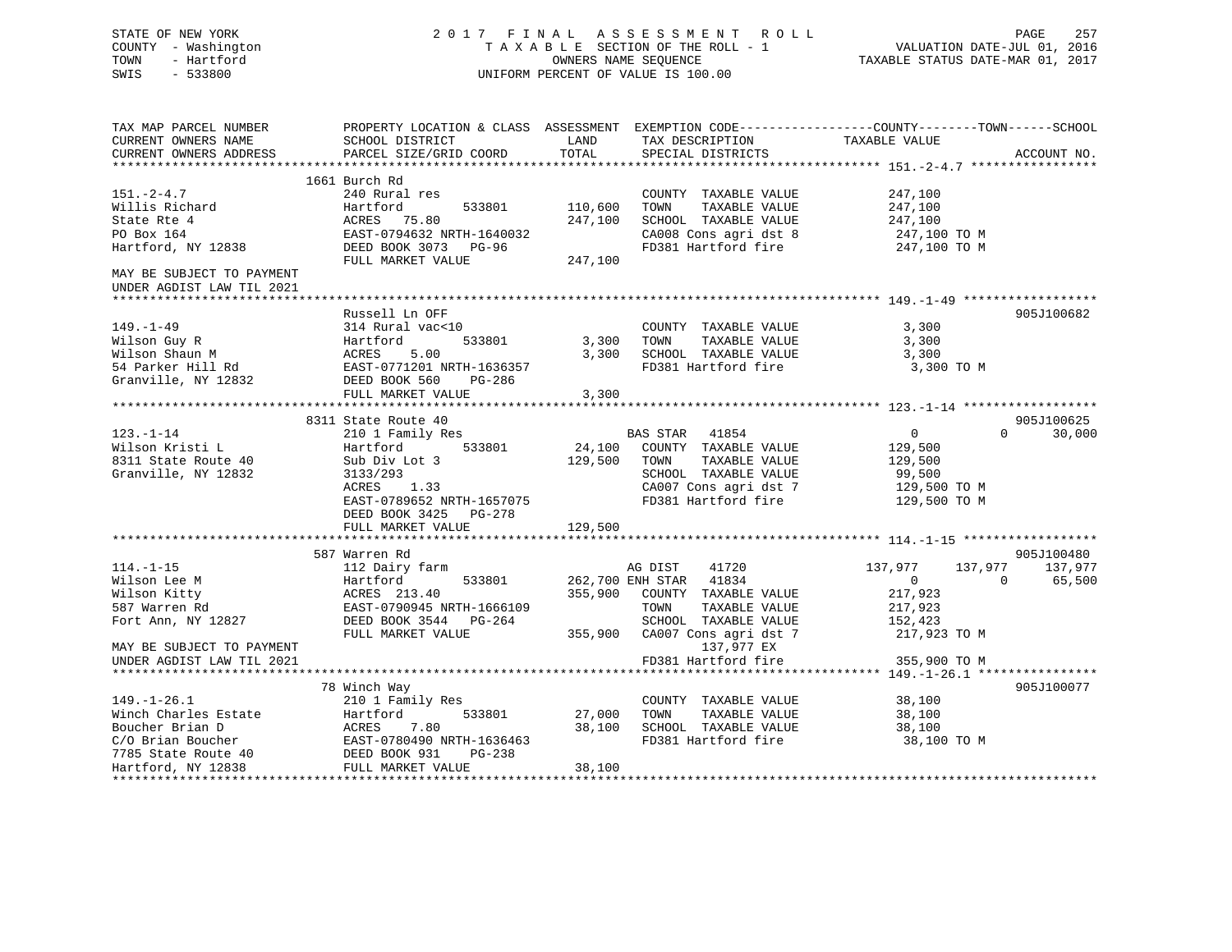STATE OF NEW YORK 2 0 1 7 F I N A L A S S E S S M E N T R O L L PAGE 257 COUNTY - Washington T A X A B L E SECTION OF THE ROLL - 1 VALUATION DATE-JUL 01, 2016 TOWN - Hartford OWNERS NAME SEQUENCE TAXABLE STATUS DATE-MAR 01, 2017 SWIS - 533800 UNIFORM PERCENT OF VALUE IS 100.00

| TAX MAP PARCEL NUMBER                                                                         | PROPERTY LOCATION & CLASS ASSESSMENT EXEMPTION CODE----------------COUNTY-------TOWN------SCHOOL |         |                               |                |          |             |
|-----------------------------------------------------------------------------------------------|--------------------------------------------------------------------------------------------------|---------|-------------------------------|----------------|----------|-------------|
| CURRENT OWNERS NAME                                                                           | SCHOOL DISTRICT                                                                                  | LAND    | TAX DESCRIPTION               | TAXABLE VALUE  |          |             |
| CURRENT OWNERS ADDRESS                                                                        | PARCEL SIZE/GRID COORD                                                                           | TOTAL   | SPECIAL DISTRICTS             |                |          | ACCOUNT NO. |
|                                                                                               |                                                                                                  |         |                               |                |          |             |
|                                                                                               | 1661 Burch Rd                                                                                    |         |                               |                |          |             |
| $151. - 2 - 4.7$                                                                              | 240 Rural res                                                                                    |         | COUNTY TAXABLE VALUE          | 247,100        |          |             |
|                                                                                               |                                                                                                  |         |                               |                |          |             |
| Willis Richard                                                                                | Hartford<br>533801                                                                               | 110,600 | TAXABLE VALUE<br>TOWN         | 247,100        |          |             |
| State Rte 4                                                                                   | ACRES 75.80                                                                                      | 247,100 | SCHOOL TAXABLE VALUE          | 247,100        |          |             |
| PO Box 164                                                                                    | EAST-0794632 NRTH-1640032                                                                        |         | CA008 Cons agri dst 8         | 247,100 TO M   |          |             |
| Hartford, NY 12838                                                                            | DEED BOOK 3073 PG-96                                                                             |         | FD381 Hartford fire           | 247,100 TO M   |          |             |
|                                                                                               | FULL MARKET VALUE                                                                                | 247,100 |                               |                |          |             |
| MAY BE SUBJECT TO PAYMENT                                                                     |                                                                                                  |         |                               |                |          |             |
| UNDER AGDIST LAW TIL 2021                                                                     |                                                                                                  |         |                               |                |          |             |
|                                                                                               |                                                                                                  |         |                               |                |          |             |
|                                                                                               | Russell Ln OFF                                                                                   |         |                               |                |          | 905J100682  |
| $149. - 1 - 49$                                                                               | 314 Rural vac<10                                                                                 |         | COUNTY TAXABLE VALUE          | 3,300          |          |             |
| Wilson Guy R                                                                                  | 533801<br>Hartford                                                                               | 3,300   | TOWN<br>TAXABLE VALUE         | 3,300          |          |             |
| Wilson Shaun M                                                                                |                                                                                                  | 3,300   | SCHOOL TAXABLE VALUE          | 3,300          |          |             |
|                                                                                               |                                                                                                  |         |                               |                |          |             |
| 54 Parker Hill Rd                                                                             |                                                                                                  |         | FD381 Hartford fire           | 3,300 TO M     |          |             |
| Granville, NY 12832                                                                           | DEED BOOK 560<br>PG-286                                                                          |         |                               |                |          |             |
|                                                                                               | FULL MARKET VALUE                                                                                | 3,300   |                               |                |          |             |
|                                                                                               |                                                                                                  |         |                               |                |          |             |
|                                                                                               | 8311 State Route 40                                                                              |         |                               |                |          | 905J100625  |
| $123. - 1 - 14$                                                                               | 210 1 Family Res                                                                                 |         | BAS STAR 41854                | $\overline{0}$ | $\Omega$ | 30,000      |
| Wilson Kristi L                                                                               | 533801<br>Hartford                                                                               | 24,100  | COUNTY TAXABLE VALUE          | 129,500        |          |             |
| 8311 State Route 40                                                                           | Sub Div Lot 3                                                                                    | 129,500 | TAXABLE VALUE<br>TOWN         | 129,500        |          |             |
| Granville, NY 12832                                                                           | 3133/293                                                                                         |         | SCHOOL TAXABLE VALUE          | 99,500         |          |             |
|                                                                                               | <b>ACRES</b><br>1.33                                                                             |         | CA007 Cons agri dst 7         | 129,500 TO M   |          |             |
|                                                                                               | EAST-0789652 NRTH-1657075                                                                        |         | FD381 Hartford fire           | 129,500 TO M   |          |             |
|                                                                                               | DEED BOOK 3425 PG-278                                                                            |         |                               |                |          |             |
|                                                                                               |                                                                                                  |         |                               |                |          |             |
|                                                                                               | FULL MARKET VALUE                                                                                | 129,500 |                               |                |          |             |
|                                                                                               |                                                                                                  |         |                               |                |          |             |
|                                                                                               | 587 Warren Rd                                                                                    |         |                               |                |          | 905J100480  |
| $114. - 1 - 15$                                                                               | 112 Dairy farm                                                                                   |         | 41720<br>AG DIST              | 137,977        | 137,977  | 137,977     |
| Wilson Lee M                                                                                  | Hartford<br>533801                                                                               |         | 262,700 ENH STAR 41834        | $\overline{0}$ | $\Omega$ | 65,500      |
| Wilson Kitty                                                                                  | ACRES 213.40                                                                                     |         | 355,900 COUNTY TAXABLE VALUE  | 217,923        |          |             |
| 587 Warren Rd                                                                                 | EAST-0790945 NRTH-1666109                                                                        |         | TAXABLE VALUE<br>TOWN         | 217,923        |          |             |
| Fort Ann, NY 12827                                                                            | DEED BOOK 3544 PG-264                                                                            |         | SCHOOL TAXABLE VALUE          | 152,423        |          |             |
|                                                                                               | FULL MARKET VALUE                                                                                |         | 355,900 CA007 Cons agri dst 7 | 217,923 TO M   |          |             |
| MAY BE SUBJECT TO PAYMENT                                                                     |                                                                                                  |         | 137,977 EX                    |                |          |             |
| UNDER AGDIST LAW TIL 2021                                                                     |                                                                                                  |         | FD381 Hartford fire           | 355,900 TO M   |          |             |
|                                                                                               |                                                                                                  |         |                               |                |          |             |
|                                                                                               |                                                                                                  |         |                               |                |          | 905J100077  |
|                                                                                               | 78 Winch Way                                                                                     |         |                               |                |          |             |
| $149. - 1 - 26.1$                                                                             | 210 1 Family Res                                                                                 |         | COUNTY TAXABLE VALUE          | 38,100         |          |             |
| Winch Charles Estate                                                                          | 533801<br>Hartford                                                                               | 27,000  | TAXABLE VALUE<br>TOWN         | 38,100         |          |             |
| Boucher Brian D                                                                               | ACRES<br>7.80                                                                                    | 38,100  | SCHOOL TAXABLE VALUE          | 38,100         |          |             |
| CO Brian Boucher<br>The EAST-0780490 NRTH-1636463<br>T785 State Route 40 DEED BOOK 931 PG-238 |                                                                                                  |         | FD381 Hartford fire           | 38,100 TO M    |          |             |
|                                                                                               |                                                                                                  |         |                               |                |          |             |
| Hartford, NY 12838                                                                            | FULL MARKET VALUE                                                                                | 38,100  |                               |                |          |             |
|                                                                                               |                                                                                                  |         |                               |                |          |             |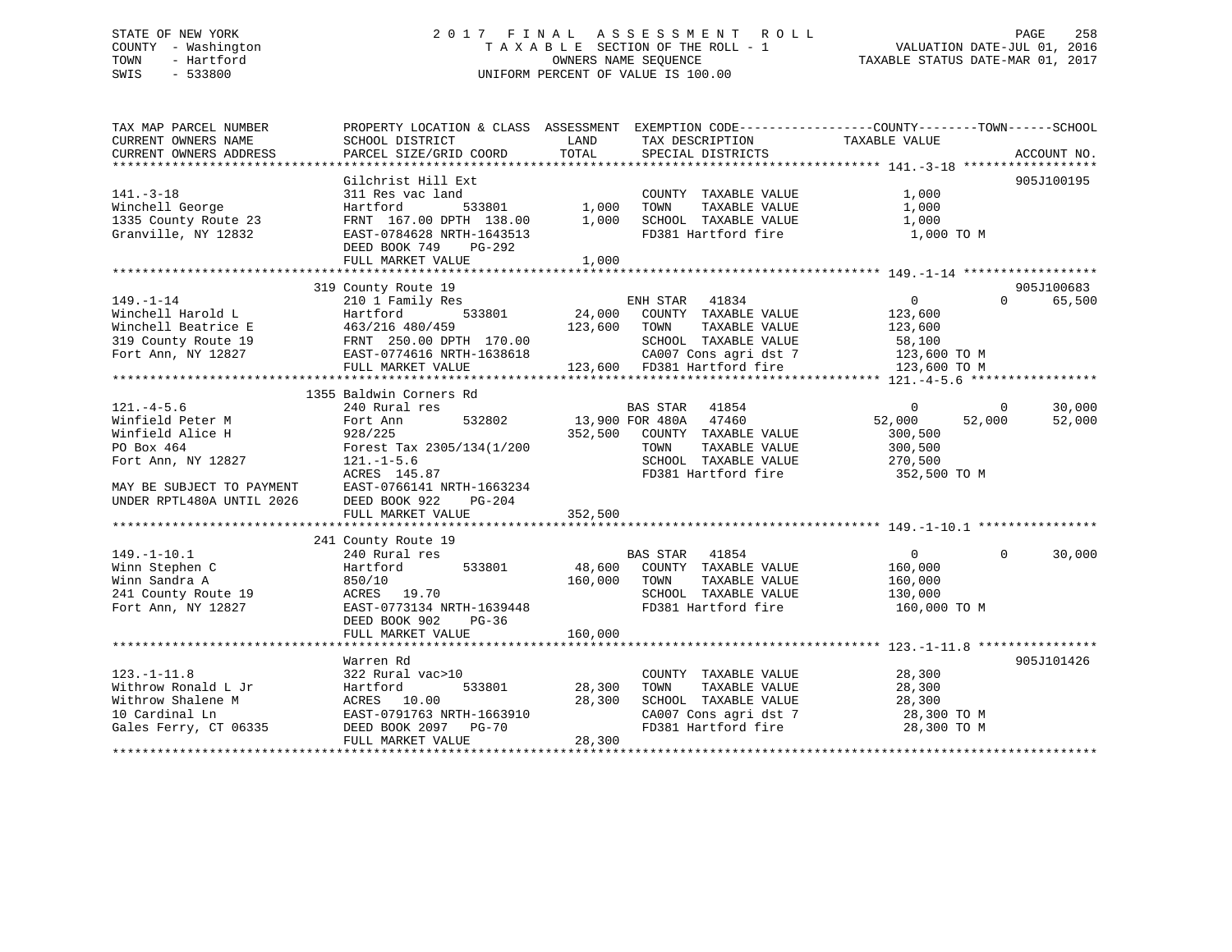# STATE OF NEW YORK 2 0 1 7 F I N A L A S S E S S M E N T R O L L PAGE 258 COUNTY - Washington T A X A B L E SECTION OF THE ROLL - 1 VALUATION DATE-JUL 01, 2016 TOWN - Hartford **TAXABLE STATUS DATE-MAR 01, 2017** SWIS - 533800 UNIFORM PERCENT OF VALUE IS 100.00

| TAX MAP PARCEL NUMBER<br>CURRENT OWNERS NAME | SCHOOL DISTRICT                                                                                         | PROPERTY LOCATION & CLASS ASSESSMENT EXEMPTION CODE---------------COUNTY-------TOWN------SCHOOL<br>LAND<br>TAX DESCRIPTION | TAXABLE VALUE                        |
|----------------------------------------------|---------------------------------------------------------------------------------------------------------|----------------------------------------------------------------------------------------------------------------------------|--------------------------------------|
| CURRENT OWNERS ADDRESS                       | PARCEL SIZE/GRID COORD                                                                                  | TOTAL<br>SPECIAL DISTRICTS                                                                                                 | ACCOUNT NO.                          |
|                                              | Gilchrist Hill Ext                                                                                      |                                                                                                                            | 905J100195                           |
| $141. - 3 - 18$                              | 311 Res vac land                                                                                        | COUNTY TAXABLE VALUE                                                                                                       | 1,000                                |
| Winchell George                              | Hartford<br>533801                                                                                      | 1,000<br>TOWN<br>TAXABLE VALUE                                                                                             | 1,000                                |
| 1335 County Route 23                         |                                                                                                         | SCHOOL TAXABLE VALUE                                                                                                       | 1,000                                |
| Granville, NY 12832                          | FRNT 167.00 DPTH 138.00 1,000<br>EAST-0784628 NRTH-1643513                                              | FD381 Hartford fire                                                                                                        | 1,000 TO M                           |
|                                              | DEED BOOK 749<br>PG-292                                                                                 |                                                                                                                            |                                      |
|                                              | FULL MARKET VALUE                                                                                       | 1,000                                                                                                                      |                                      |
|                                              |                                                                                                         |                                                                                                                            |                                      |
|                                              | 319 County Route 19                                                                                     |                                                                                                                            | 905J100683                           |
| $149. - 1 - 14$                              | 210 1 Family Res                                                                                        | 41834<br>ENH STAR                                                                                                          | $\overline{0}$<br>65,500<br>$\Omega$ |
| Winchell Harold L                            | 533801                                                                                                  | 24,000<br>COUNTY TAXABLE VALUE                                                                                             | 123,600                              |
| Winchell Beatrice E                          |                                                                                                         | 123,600<br>TOWN<br>TAXABLE VALUE                                                                                           | 123,600                              |
| 319 County Route 19                          |                                                                                                         | SCHOOL TAXABLE VALUE                                                                                                       | 58,100                               |
| Fort Ann, NY 12827                           |                                                                                                         | CA007 Cons agri dst 7                                                                                                      | 123,600 TO M                         |
|                                              |                                                                                                         | 123,600 FD381 Hartford fire                                                                                                | 123,600 TO M                         |
|                                              | Hartler<br>463/216 480/459<br>FRNT 250.00 DPTH 170.00<br>EAST-0774616 NRTH-1638618<br>THIL MARKET VALUE |                                                                                                                            |                                      |
|                                              | 1355 Baldwin Corners Rd                                                                                 |                                                                                                                            |                                      |
| $121. -4 - 5.6$                              | 240 Rural res                                                                                           | BAS STAR<br>41854                                                                                                          | 30,000<br>$\Omega$<br>$\Omega$       |
| Winfield Peter M                             | 532802<br>Fort Ann                                                                                      | 13,900 FOR 480A<br>47460                                                                                                   | 52,000<br>52,000<br>52,000           |
| Winfield Alice H                             | 928/225                                                                                                 | 352,500<br>COUNTY TAXABLE VALUE                                                                                            | 300,500                              |
| PO Box 464                                   | Forest Tax 2305/134(1/200                                                                               | TAXABLE VALUE<br>TOWN                                                                                                      | 300,500                              |
| Fort Ann, NY 12827                           | $121. - 1 - 5.6$                                                                                        | SCHOOL TAXABLE VALUE                                                                                                       | 270,500                              |
|                                              | ACRES 145.87                                                                                            | FD381 Hartford fire                                                                                                        | 352,500 TO M                         |
| MAY BE SUBJECT TO PAYMENT                    | EAST-0766141 NRTH-1663234                                                                               |                                                                                                                            |                                      |
| UNDER RPTL480A UNTIL 2026                    | DEED BOOK 922<br>PG-204                                                                                 |                                                                                                                            |                                      |
|                                              | FULL MARKET VALUE                                                                                       | 352,500                                                                                                                    |                                      |
|                                              |                                                                                                         |                                                                                                                            |                                      |
|                                              | 241 County Route 19                                                                                     |                                                                                                                            |                                      |
| $149. - 1 - 10.1$                            | 240 Rural res                                                                                           | <b>BAS STAR</b><br>41854                                                                                                   | 30,000<br>$\overline{0}$<br>$\Omega$ |
| Winn Stephen C                               | Hartford<br>533801                                                                                      | 48,600<br>COUNTY TAXABLE VALUE                                                                                             | 160,000                              |
| Winn Sandra A                                | 850/10                                                                                                  | 160,000<br>TAXABLE VALUE<br>TOWN                                                                                           | 160,000                              |
| 241 County Route 19                          | ACRES 19.70                                                                                             | SCHOOL TAXABLE VALUE                                                                                                       | 130,000                              |
| Fort Ann, NY 12827                           | EAST-0773134 NRTH-1639448                                                                               | FD381 Hartford fire                                                                                                        | 160,000 TO M                         |
|                                              | DEED BOOK 902<br>PG-36                                                                                  |                                                                                                                            |                                      |
|                                              | FULL MARKET VALUE                                                                                       | 160,000                                                                                                                    |                                      |
|                                              |                                                                                                         |                                                                                                                            |                                      |
|                                              | Warren Rd                                                                                               |                                                                                                                            | 905J101426                           |
| $123. - 1 - 11.8$                            | 322 Rural vac>10                                                                                        | COUNTY TAXABLE VALUE                                                                                                       | 28,300                               |
| Withrow Ronald L Jr                          | Hartford<br>533801                                                                                      | 28,300<br>TAXABLE VALUE<br>TOWN                                                                                            | 28,300                               |
| Withrow Shalene M                            | ACRES 10.00                                                                                             | 28,300<br>SCHOOL TAXABLE VALUE                                                                                             | 28,300                               |
| 10 Cardinal Ln                               | EAST-0791763 NRTH-1663910                                                                               | CA007 Cons agri dst 7                                                                                                      | 28,300 TO M                          |
| Gales Ferry, CT 06335                        | DEED BOOK 2097 PG-70                                                                                    | FD381 Hartford fire                                                                                                        | 28,300 TO M                          |
|                                              | FULL MARKET VALUE                                                                                       | 28,300                                                                                                                     |                                      |
|                                              |                                                                                                         |                                                                                                                            |                                      |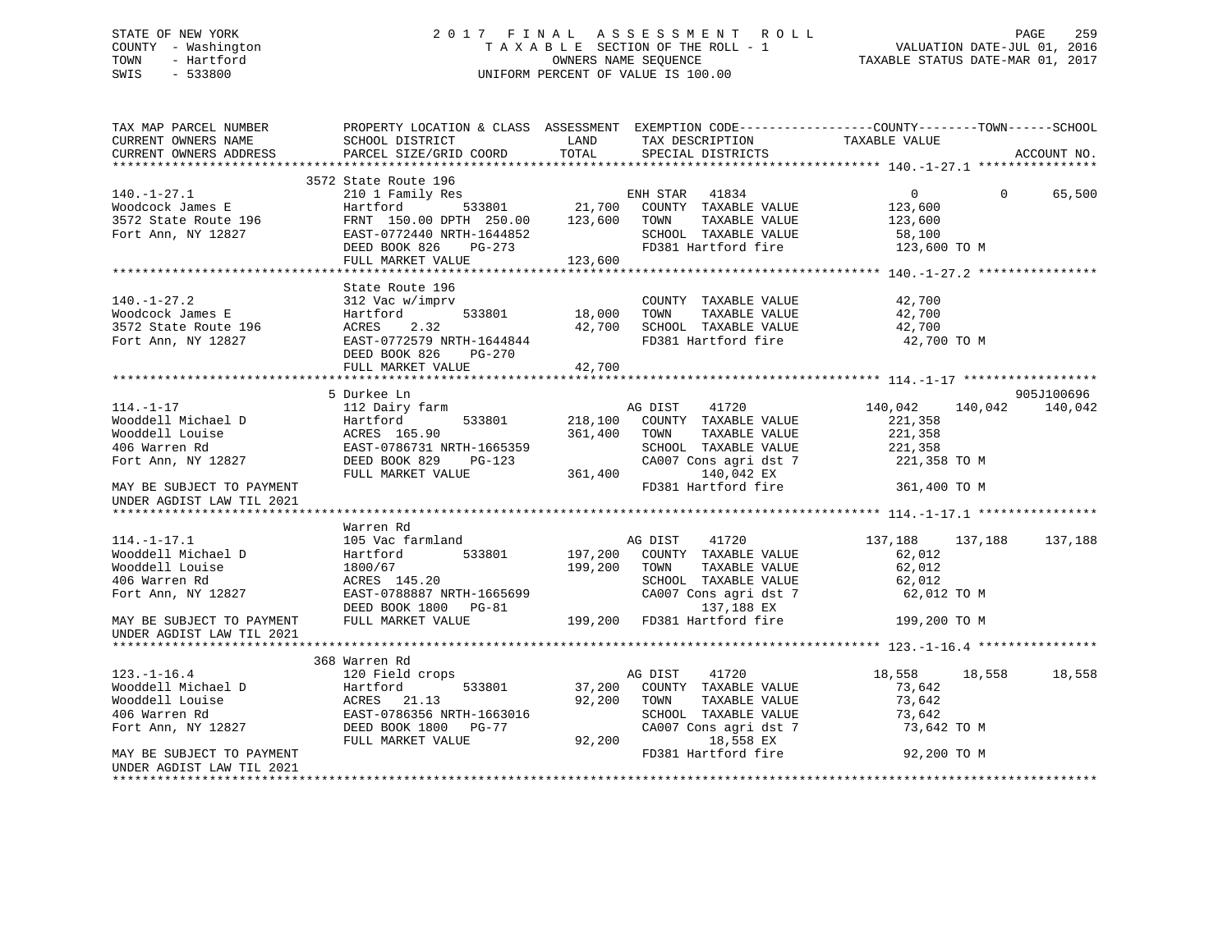# STATE OF NEW YORK 2 0 1 7 F I N A L A S S E S S M E N T R O L L PAGE 259 COUNTY - Washington T A X A B L E SECTION OF THE ROLL - 1 VALUATION DATE-JUL 01, 2016 TOWN - Hartford OWNERS NAME SEQUENCE TAXABLE STATUS DATE-MAR 01, 2017 SWIS - 533800 UNIFORM PERCENT OF VALUE IS 100.00

| TAX MAP PARCEL NUMBER<br>CURRENT OWNERS NAME<br>CURRENT OWNERS ADDRESS                            | SCHOOL DISTRICT<br>PARCEL SIZE/GRID COORD                                                                                                                    | LAND<br>TOTAL              | TAX DESCRIPTION<br>SPECIAL DISTRICTS                                                                                             | PROPERTY LOCATION & CLASS ASSESSMENT EXEMPTION CODE-----------------COUNTY-------TOWN------SCHOOL<br>TAXABLE VALUE | ACCOUNT NO. |
|---------------------------------------------------------------------------------------------------|--------------------------------------------------------------------------------------------------------------------------------------------------------------|----------------------------|----------------------------------------------------------------------------------------------------------------------------------|--------------------------------------------------------------------------------------------------------------------|-------------|
|                                                                                                   |                                                                                                                                                              |                            |                                                                                                                                  |                                                                                                                    |             |
| $140. - 1 - 27.1$<br>Woodcock James E<br>3572 State Route 196<br>Fort Ann, NY 12827               | 3572 State Route 196<br>210 1 Family Res<br>Hartford<br>FRNT 150.00 DPTH 250.00<br>EAST-0772440 NRTH-1644852<br>DEED BOOK 826<br>PG-273<br>FULL MARKET VALUE | 123,600 TOWN<br>123,600    | 3<br>533801 21,700 COUNTY TAXABLE VALUE<br>TAXABLE VALUE<br>SCHOOL TAXABLE VALUE<br>FD381 Hartford fire                          | $\overline{0}$<br>$\Omega$<br>123,600<br>123,600<br>58,100<br>123,600 TO M                                         | 65,500      |
|                                                                                                   |                                                                                                                                                              |                            |                                                                                                                                  |                                                                                                                    |             |
| $140. - 1 - 27.2$<br>Woodcock James E<br>3572 State Route 196<br>Fort Ann, NY 12827               | State Route 196<br>312 Vac w/imprv<br>533801<br>Hartford<br>2.32<br>ACRES<br>EAST-0772579 NRTH-1644844<br>DEED BOOK 826<br>PG-270                            | 18,000<br>42,700<br>42,700 | COUNTY TAXABLE VALUE<br>TOWN<br>TAXABLE VALUE<br>SCHOOL TAXABLE VALUE<br>FD381 Hartford fire                                     | 42,700<br>42,700<br>42,700<br>42,700 TO M                                                                          |             |
|                                                                                                   | FULL MARKET VALUE                                                                                                                                            |                            |                                                                                                                                  |                                                                                                                    |             |
|                                                                                                   | 5 Durkee Ln                                                                                                                                                  |                            |                                                                                                                                  |                                                                                                                    | 905J100696  |
| $114. - 1 - 17$<br>Wooddell Michael D<br>Wooddell Louise<br>406 Warren Rd<br>Fort Ann, NY 12827   | 112 Dairy farm<br>533801<br>Hartford<br>ACRES 165.90<br>EAST-0786731 NRTH-1665359<br>DEED BOOK 829<br>PG-123                                                 | 361,400                    | AG DIST 41720<br>218,100 COUNTY TAXABLE VALUE<br>TOWN<br>TAXABLE VALUE<br>SCHOOL TAXABLE VALUE<br>CA007 Cons agri dst 7          | 140,042<br>140,042<br>221,358<br>221,358<br>221,358<br>221,358 TO M                                                | 140,042     |
| MAY BE SUBJECT TO PAYMENT<br>UNDER AGDIST LAW TIL 2021                                            | FULL MARKET VALUE                                                                                                                                            | 361,400                    | 140,042 EX<br>FD381 Hartford fire                                                                                                | 361,400 TO M                                                                                                       |             |
|                                                                                                   | Warren Rd                                                                                                                                                    |                            |                                                                                                                                  |                                                                                                                    |             |
| $114. - 1 - 17.1$<br>Wooddell Michael D<br>Wooddell Louise<br>406 Warren Rd<br>Fort Ann, NY 12827 | 105 Vac farmland<br>533801<br>Hartford<br>1800/67<br>ACRES 145.20<br>EAST-0788887 NRTH-1665699<br>DEED BOOK 1800 PG-81                                       | 197,200<br>199,200         | AG DIST<br>41720<br>COUNTY TAXABLE VALUE<br>TAXABLE VALUE<br>TOWN<br>SCHOOL TAXABLE VALUE<br>CA007 Cons agri dst 7<br>137,188 EX | 137,188<br>137,188<br>62,012<br>62,012<br>62,012<br>62,012 TO M                                                    | 137,188     |
| MAY BE SUBJECT TO PAYMENT<br>UNDER AGDIST LAW TIL 2021                                            | FULL MARKET VALUE                                                                                                                                            |                            | 199,200 FD381 Hartford fire                                                                                                      | 199,200 TO M                                                                                                       |             |
|                                                                                                   |                                                                                                                                                              |                            |                                                                                                                                  |                                                                                                                    |             |
| $123. - 1 - 16.4$<br>Wooddell Michael D<br>Wooddell Louise<br>406 Warren Rd<br>Fort Ann, NY 12827 | 368 Warren Rd<br>120 Field crops<br>Hartford<br>533801<br>ACRES 21.13<br>EAST-0786356 NRTH-1663016<br>DEED BOOK 1800 PG-77<br>FULL MARKET VALUE              | 37,200<br>92,200<br>92,200 | AG DIST<br>41720<br>COUNTY TAXABLE VALUE<br>TOWN<br>TAXABLE VALUE<br>SCHOOL TAXABLE VALUE<br>CA007 Cons agri dst 7<br>18,558 EX  | 18,558 18,558<br>73,642<br>73,642<br>73,642<br>73,642 TO M                                                         | 18,558      |
| MAY BE SUBJECT TO PAYMENT<br>UNDER AGDIST LAW TIL 2021                                            |                                                                                                                                                              |                            | FD381 Hartford fire                                                                                                              | 92,200 TO M                                                                                                        |             |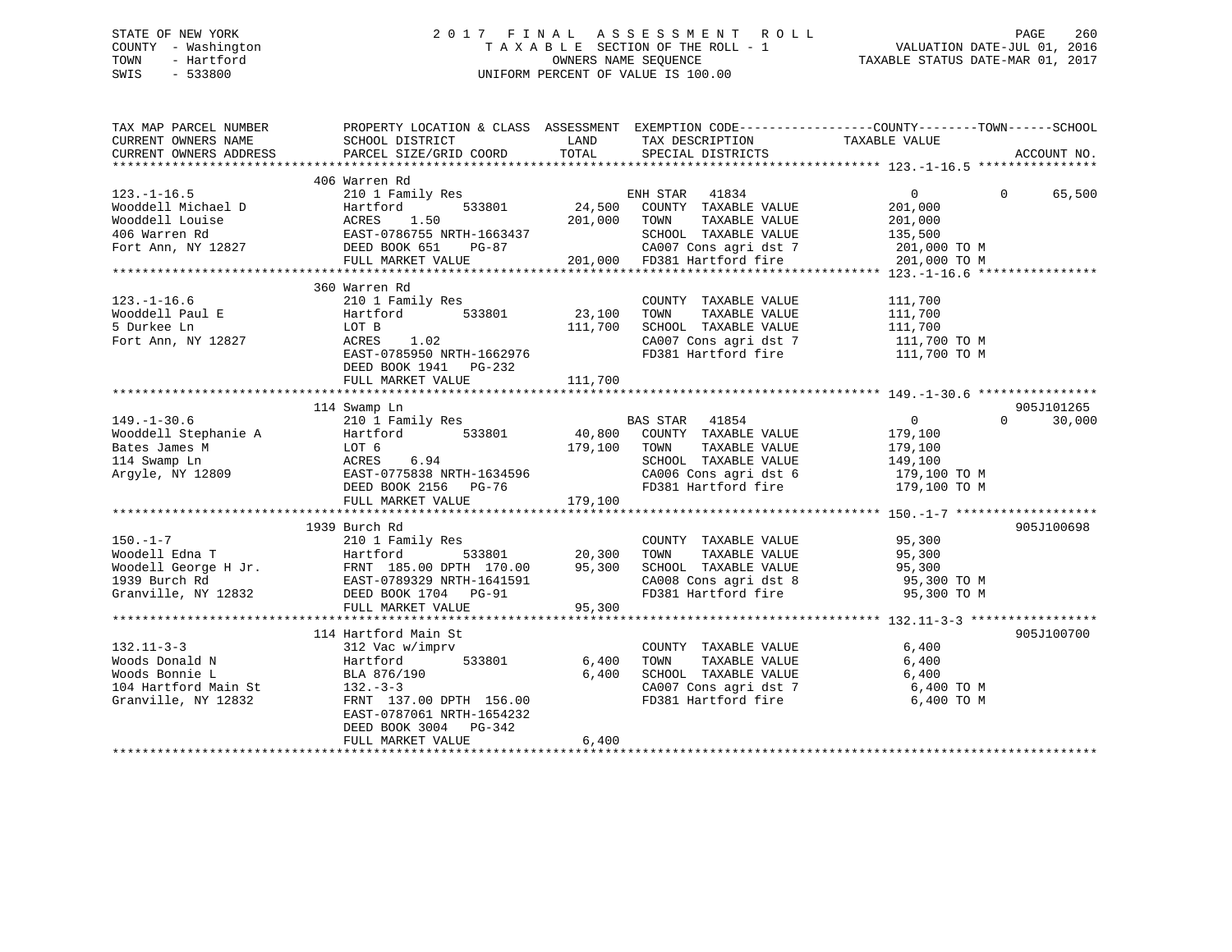# STATE OF NEW YORK 2 0 1 7 F I N A L A S S E S S M E N T R O L L PAGE 260 COUNTY - Washington T A X A B L E SECTION OF THE ROLL - 1 VALUATION DATE-JUL 01, 2016 TOWN - Hartford **TAXABLE STATUS DATE-MAR 01, 2017** SWIS - 533800 UNIFORM PERCENT OF VALUE IS 100.00

| TAX MAP PARCEL NUMBER<br>CURRENT OWNERS NAME                                                                                                                                                                                            | PROPERTY LOCATION & CLASS ASSESSMENT EXEMPTION CODE---------------COUNTY-------TOWN-----SCHOOL<br>SCHOOL DISTRICT | <b>LAND</b> | TAX DESCRIPTION TAXABLE VALUE SPECIAL DISTRICTS |                                                                                                                                                                                                                                                       |                    |
|-----------------------------------------------------------------------------------------------------------------------------------------------------------------------------------------------------------------------------------------|-------------------------------------------------------------------------------------------------------------------|-------------|-------------------------------------------------|-------------------------------------------------------------------------------------------------------------------------------------------------------------------------------------------------------------------------------------------------------|--------------------|
| CURRENT OWNERS ADDRESS                                                                                                                                                                                                                  | PARCEL SIZE/GRID COORD                                                                                            | TOTAL       |                                                 |                                                                                                                                                                                                                                                       | ACCOUNT NO.        |
|                                                                                                                                                                                                                                         |                                                                                                                   |             |                                                 |                                                                                                                                                                                                                                                       |                    |
|                                                                                                                                                                                                                                         | 406 Warren Rd                                                                                                     |             |                                                 |                                                                                                                                                                                                                                                       | 65,500<br>$\Omega$ |
|                                                                                                                                                                                                                                         |                                                                                                                   |             |                                                 |                                                                                                                                                                                                                                                       |                    |
|                                                                                                                                                                                                                                         |                                                                                                                   |             |                                                 |                                                                                                                                                                                                                                                       |                    |
|                                                                                                                                                                                                                                         |                                                                                                                   |             |                                                 |                                                                                                                                                                                                                                                       |                    |
|                                                                                                                                                                                                                                         |                                                                                                                   |             |                                                 |                                                                                                                                                                                                                                                       |                    |
|                                                                                                                                                                                                                                         |                                                                                                                   |             |                                                 |                                                                                                                                                                                                                                                       |                    |
|                                                                                                                                                                                                                                         |                                                                                                                   |             |                                                 |                                                                                                                                                                                                                                                       |                    |
|                                                                                                                                                                                                                                         |                                                                                                                   |             |                                                 |                                                                                                                                                                                                                                                       |                    |
| $123. - 1 - 16.6$                                                                                                                                                                                                                       | 210 1 Family Res                                                                                                  |             | COUNTY TAXABLE VALUE                            | 111,700                                                                                                                                                                                                                                               |                    |
| Wooddell Paul E<br>5 Durkee Ln                                                                                                                                                                                                          | Hartford 533801 23,100                                                                                            |             | TAXABLE VALUE<br>TOWN                           | 111,700<br>111,700                                                                                                                                                                                                                                    |                    |
|                                                                                                                                                                                                                                         | LOT B                                                                                                             | 111,700     | SCHOOL TAXABLE VALUE                            |                                                                                                                                                                                                                                                       |                    |
| Fort Ann, NY 12827                                                                                                                                                                                                                      |                                                                                                                   |             |                                                 | CA007 Cons agri dst 7 111,700 TO M<br>FD381 Hartford fire 111,700 TO M                                                                                                                                                                                |                    |
|                                                                                                                                                                                                                                         | ACAAS 1.02<br>EAST-0785950 NRTH-1662976<br>PERS POST 1011                                                         |             |                                                 |                                                                                                                                                                                                                                                       |                    |
|                                                                                                                                                                                                                                         | DEED BOOK 1941 PG-232                                                                                             |             |                                                 |                                                                                                                                                                                                                                                       |                    |
|                                                                                                                                                                                                                                         |                                                                                                                   |             |                                                 |                                                                                                                                                                                                                                                       |                    |
|                                                                                                                                                                                                                                         |                                                                                                                   |             |                                                 |                                                                                                                                                                                                                                                       |                    |
|                                                                                                                                                                                                                                         | 114 Swamp Ln                                                                                                      |             |                                                 |                                                                                                                                                                                                                                                       | 905J101265         |
|                                                                                                                                                                                                                                         |                                                                                                                   |             |                                                 |                                                                                                                                                                                                                                                       | 30,000<br>$\Omega$ |
|                                                                                                                                                                                                                                         |                                                                                                                   |             |                                                 |                                                                                                                                                                                                                                                       |                    |
|                                                                                                                                                                                                                                         |                                                                                                                   |             |                                                 |                                                                                                                                                                                                                                                       |                    |
|                                                                                                                                                                                                                                         |                                                                                                                   |             |                                                 |                                                                                                                                                                                                                                                       |                    |
|                                                                                                                                                                                                                                         |                                                                                                                   |             |                                                 |                                                                                                                                                                                                                                                       |                    |
| 149.-1-30.6<br>Mooddell Stephanie A Hartford 533801<br>Mooddell Stephanie A Hartford 533801<br>LOT 6 179,100 TOWN TAXABLE VALUE 179,100<br>114 Swamp Ln Argyle, NY 12809<br>Argyle, NY 12809<br>DEED BOOK 2156 PG-76 179.100<br>DEED BO |                                                                                                                   |             |                                                 | CA006 Cons agri dst 6 179,100 TO M<br>FD381 Hartford fire 179,100 TO M                                                                                                                                                                                |                    |
|                                                                                                                                                                                                                                         | FULL MARKET VALUE                                                                                                 | 179,100     |                                                 |                                                                                                                                                                                                                                                       |                    |
|                                                                                                                                                                                                                                         |                                                                                                                   |             |                                                 |                                                                                                                                                                                                                                                       |                    |
|                                                                                                                                                                                                                                         | 1939 Burch Rd                                                                                                     |             |                                                 |                                                                                                                                                                                                                                                       | 905J100698         |
|                                                                                                                                                                                                                                         | ry kes<br>533801 20,300<br>10 DPTH 170.00                                                                         |             | COUNTY TAXABLE VALUE                            | 95,300                                                                                                                                                                                                                                                |                    |
|                                                                                                                                                                                                                                         |                                                                                                                   |             | TOWN                                            |                                                                                                                                                                                                                                                       |                    |
|                                                                                                                                                                                                                                         |                                                                                                                   |             |                                                 | TAXABLE VALUE 95,300<br>TAXABLE VALUE 95,300                                                                                                                                                                                                          |                    |
|                                                                                                                                                                                                                                         |                                                                                                                   |             |                                                 | SCHOOL TAXABLE VALUE 95,300<br>CA008 Cons agri dst 8 95,300 TO M                                                                                                                                                                                      |                    |
| 150.-1-7<br>Woodell Edna T<br>Woodell George H Jr. FRNT 185.00 DPTH 170.00 95,300<br>1939 Burch Rd EAST-0789329 NRTH-1641591<br>Granville, NY 12832 DEED BOOK 1704 PG-91<br>FINT MARKET VALUE PG-91<br>FINT MARKET VALUE 95.300         |                                                                                                                   |             | FD381 Hartford fire                             | 95,300 TO M                                                                                                                                                                                                                                           |                    |
|                                                                                                                                                                                                                                         | FULL MARKET VALUE                                                                                                 | 95,300      |                                                 |                                                                                                                                                                                                                                                       |                    |
|                                                                                                                                                                                                                                         |                                                                                                                   |             |                                                 |                                                                                                                                                                                                                                                       |                    |
|                                                                                                                                                                                                                                         | 114 Hartford Main St                                                                                              |             |                                                 |                                                                                                                                                                                                                                                       | 905J100700         |
|                                                                                                                                                                                                                                         | 312 Vac w/imprv                                                                                                   |             | COUNTY TAXABLE VALUE                            | 6,400                                                                                                                                                                                                                                                 |                    |
|                                                                                                                                                                                                                                         | 533801<br>Hartford                                                                                                | 6,400       | TOWN<br>TAXABLE VALUE                           | 6,400                                                                                                                                                                                                                                                 |                    |
| Woods Donald N<br>Woods Bonnie L<br>104 Hartford Main St<br>110 NY 12832                                                                                                                                                                | BLA 876/190                                                                                                       | 6,400       | SCHOOL TAXABLE VALUE 6,400                      |                                                                                                                                                                                                                                                       |                    |
|                                                                                                                                                                                                                                         | $132 - 3 - 3$                                                                                                     |             |                                                 |                                                                                                                                                                                                                                                       |                    |
|                                                                                                                                                                                                                                         | FRNT 137.00 DPTH 156.00                                                                                           |             |                                                 | $\begin{array}{lllllll} \texttt{CA007} & \texttt{Cons}\ \texttt{agri}\ \texttt{dst}\ \texttt{7} & \texttt{6,400}\ \texttt{TO}\ \texttt{M} & \texttt{FD381}\ \texttt{Hartford}\ \texttt{fire} & \texttt{6,400}\ \texttt{TO}\ \texttt{M} & \end{array}$ |                    |
|                                                                                                                                                                                                                                         | EAST-0787061 NRTH-1654232                                                                                         |             |                                                 |                                                                                                                                                                                                                                                       |                    |
|                                                                                                                                                                                                                                         | DEED BOOK 3004 PG-342                                                                                             |             |                                                 |                                                                                                                                                                                                                                                       |                    |
|                                                                                                                                                                                                                                         | FULL MARKET VALUE                                                                                                 | 6,400       |                                                 |                                                                                                                                                                                                                                                       |                    |
|                                                                                                                                                                                                                                         |                                                                                                                   |             |                                                 |                                                                                                                                                                                                                                                       |                    |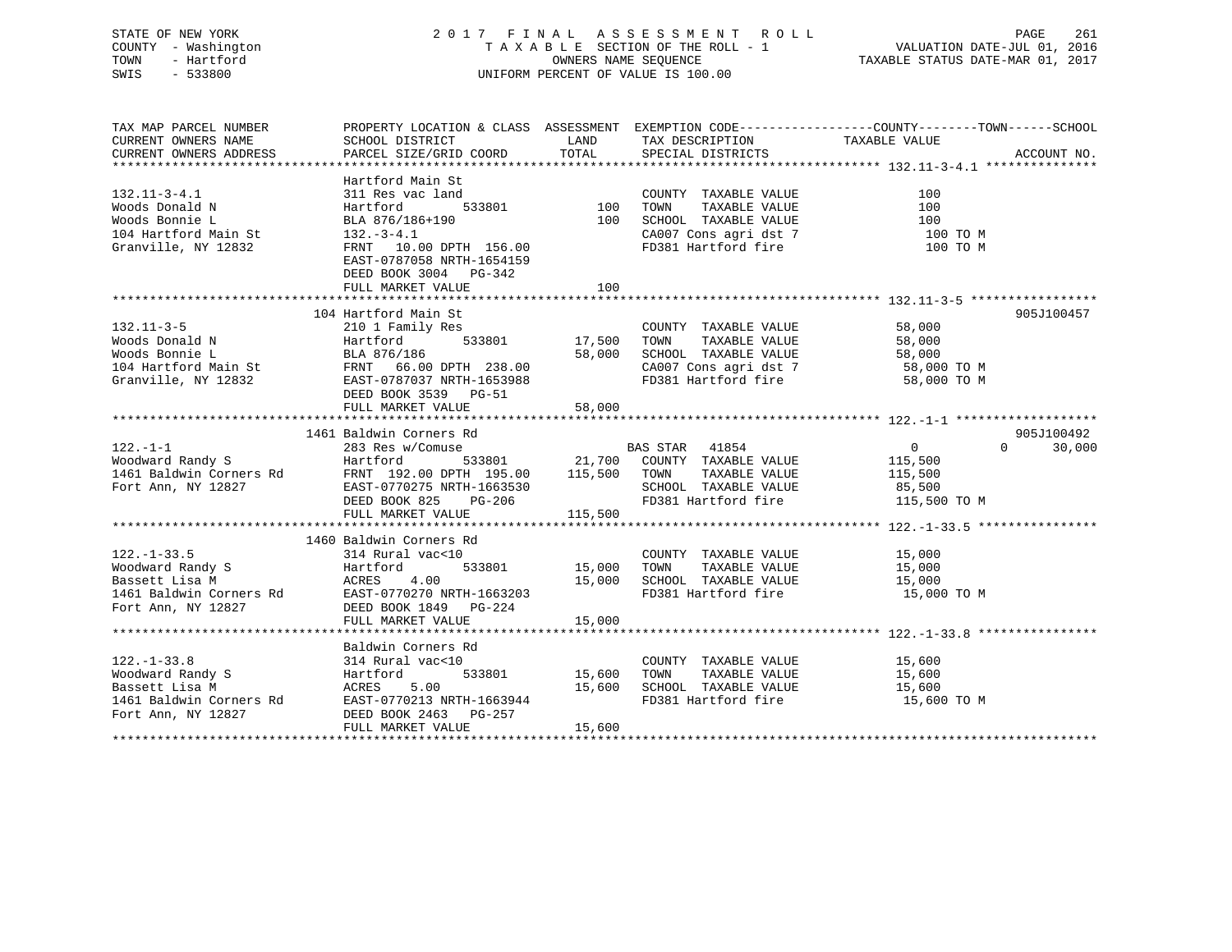# STATE OF NEW YORK 2 0 1 7 F I N A L A S S E S S M E N T R O L L PAGE 261 COUNTY - Washington T A X A B L E SECTION OF THE ROLL - 1 VALUATION DATE-JUL 01, 2016 TOWN - Hartford **TAXABLE STATUS DATE-MAR 01, 2017** SWIS - 533800 UNIFORM PERCENT OF VALUE IS 100.00

| TAX MAP PARCEL NUMBER  |                                                                                                                                                                                                                                                            |        |                                                                                                                                                                                                                                                                  | PROPERTY LOCATION & CLASS ASSESSMENT EXEMPTION CODE----------------COUNTY-------TOWN------SCHOOL |        |
|------------------------|------------------------------------------------------------------------------------------------------------------------------------------------------------------------------------------------------------------------------------------------------------|--------|------------------------------------------------------------------------------------------------------------------------------------------------------------------------------------------------------------------------------------------------------------------|--------------------------------------------------------------------------------------------------|--------|
| CURRENT OWNERS NAME    | SCHOOL DISTRICT                                                                                                                                                                                                                                            |        | LAND TAX DESCRIPTION TAXABLE VALUE                                                                                                                                                                                                                               |                                                                                                  |        |
| CURRENT OWNERS ADDRESS | PARCEL SIZE/GRID COORD                                                                                                                                                                                                                                     |        | TOTAL SPECIAL DISTRICTS                                                                                                                                                                                                                                          | ACCOUNT NO.                                                                                      |        |
|                        |                                                                                                                                                                                                                                                            |        |                                                                                                                                                                                                                                                                  |                                                                                                  |        |
|                        | Hartford Main St                                                                                                                                                                                                                                           |        | A<br>A<br>A<br>A<br>COUNTY TAXABLE VALUE<br>533801<br>100 TOWN TAXABLE VALUE<br>100 SCHOOL TAXABLE VALUE<br>2007 CONS agri dst 7<br>100 TOWN CA007 Cons agri dst 7<br>100 TO M<br>100 TO M<br>100 TO M<br>100 TO M<br>100 TO M<br>100 TO M<br>100 TO M<br>100 TO |                                                                                                  |        |
| $132.11 - 3 - 4.1$     | 311 Res vac land                                                                                                                                                                                                                                           |        |                                                                                                                                                                                                                                                                  |                                                                                                  |        |
|                        |                                                                                                                                                                                                                                                            |        |                                                                                                                                                                                                                                                                  |                                                                                                  |        |
|                        |                                                                                                                                                                                                                                                            |        |                                                                                                                                                                                                                                                                  |                                                                                                  |        |
|                        | Voods Donald N<br>Woods Bonnie L<br>Woods Bonnie L<br>BLA 876/186+190<br>104 Hartford Main St<br>132.-3-4.1                                                                                                                                                |        |                                                                                                                                                                                                                                                                  |                                                                                                  |        |
|                        | Granville, NY 12832 FRNT 10.00 DPTH 156.00                                                                                                                                                                                                                 |        |                                                                                                                                                                                                                                                                  |                                                                                                  |        |
|                        | EAST-0787058 NRTH-1654159                                                                                                                                                                                                                                  |        |                                                                                                                                                                                                                                                                  |                                                                                                  |        |
|                        | DEED BOOK 3004 PG-342                                                                                                                                                                                                                                      |        |                                                                                                                                                                                                                                                                  |                                                                                                  |        |
|                        | FULL MARKET VALUE                                                                                                                                                                                                                                          | 100    |                                                                                                                                                                                                                                                                  |                                                                                                  |        |
|                        |                                                                                                                                                                                                                                                            |        |                                                                                                                                                                                                                                                                  |                                                                                                  |        |
|                        | 132.11-3-5<br>Woods Donald N<br>Woods Bonnie L<br>Woods Bonnie L<br>14 Hartford Main St<br>210 1 Family Res<br>58,000<br>Hartford 533801<br>233.00<br>210 1 Family Res<br>58,000<br>210 1 Family Res<br>233801<br>27,500 TOWN TAXABLE VALUE<br>27,500 TOWN |        |                                                                                                                                                                                                                                                                  | 905J100457                                                                                       |        |
|                        |                                                                                                                                                                                                                                                            |        |                                                                                                                                                                                                                                                                  |                                                                                                  |        |
|                        |                                                                                                                                                                                                                                                            |        |                                                                                                                                                                                                                                                                  |                                                                                                  |        |
|                        |                                                                                                                                                                                                                                                            |        |                                                                                                                                                                                                                                                                  |                                                                                                  |        |
|                        |                                                                                                                                                                                                                                                            |        |                                                                                                                                                                                                                                                                  |                                                                                                  |        |
|                        |                                                                                                                                                                                                                                                            |        |                                                                                                                                                                                                                                                                  |                                                                                                  |        |
|                        | DEED BOOK 3539 PG-51                                                                                                                                                                                                                                       |        |                                                                                                                                                                                                                                                                  |                                                                                                  |        |
|                        | FULL MARKET VALUE 58,000                                                                                                                                                                                                                                   |        |                                                                                                                                                                                                                                                                  |                                                                                                  |        |
|                        |                                                                                                                                                                                                                                                            |        |                                                                                                                                                                                                                                                                  |                                                                                                  |        |
|                        | 122.-1-1<br>122.-1-1<br>283 Res w/Comuse<br>283 Res w/Comuse<br>21,700 COUNTY TAXABLE VALUE<br>21,700 COUNTY TAXABLE VALUE<br>21,700 COUNTY TAXABLE VALUE<br>21,700 COUNTY TAXABLE VALUE<br>21,700 COUNTY TAXABLE VALUE<br>21,700 COUNTY TAXABLE           |        |                                                                                                                                                                                                                                                                  | 905J100492                                                                                       |        |
|                        |                                                                                                                                                                                                                                                            |        |                                                                                                                                                                                                                                                                  | $\Omega$ and $\Omega$                                                                            | 30,000 |
|                        |                                                                                                                                                                                                                                                            |        |                                                                                                                                                                                                                                                                  |                                                                                                  |        |
|                        |                                                                                                                                                                                                                                                            |        |                                                                                                                                                                                                                                                                  |                                                                                                  |        |
|                        |                                                                                                                                                                                                                                                            |        |                                                                                                                                                                                                                                                                  |                                                                                                  |        |
|                        |                                                                                                                                                                                                                                                            |        |                                                                                                                                                                                                                                                                  |                                                                                                  |        |
|                        |                                                                                                                                                                                                                                                            |        |                                                                                                                                                                                                                                                                  |                                                                                                  |        |
|                        |                                                                                                                                                                                                                                                            |        |                                                                                                                                                                                                                                                                  |                                                                                                  |        |
|                        | 1460 Baldwin Corners Rd                                                                                                                                                                                                                                    |        |                                                                                                                                                                                                                                                                  |                                                                                                  |        |
|                        |                                                                                                                                                                                                                                                            |        |                                                                                                                                                                                                                                                                  |                                                                                                  |        |
|                        |                                                                                                                                                                                                                                                            |        |                                                                                                                                                                                                                                                                  |                                                                                                  |        |
|                        |                                                                                                                                                                                                                                                            |        | 15,000 SCHOOL TAXABLE VALUE 15,000<br>FD381 Hartford fire 15,000 TO M                                                                                                                                                                                            |                                                                                                  |        |
|                        | 122.-1-33.5<br>Woodward Randy S<br>Moodward Randy S<br>Bassett Lisa M<br>15,000<br>1461 Baldwin Corners Rd<br>25,000<br>1461 Baldwin Corners Rd<br>2600<br>2600<br>27 DEED DOOK 180 15,000<br>27 DEED DOOK<br>27 DEED DOOK<br>27 DEED DOOK<br>27 DEED DOO  |        |                                                                                                                                                                                                                                                                  |                                                                                                  |        |
|                        |                                                                                                                                                                                                                                                            |        |                                                                                                                                                                                                                                                                  |                                                                                                  |        |
|                        | FULL MARKET VALUE                                                                                                                                                                                                                                          | 15,000 |                                                                                                                                                                                                                                                                  |                                                                                                  |        |
|                        |                                                                                                                                                                                                                                                            |        |                                                                                                                                                                                                                                                                  |                                                                                                  |        |
|                        | Baldwin Corners Rd                                                                                                                                                                                                                                         |        |                                                                                                                                                                                                                                                                  |                                                                                                  |        |
| $122. - 1 - 33.8$      | 314 Rural vac<10                                                                                                                                                                                                                                           |        | COUNTY TAXABLE VALUE 15,600                                                                                                                                                                                                                                      |                                                                                                  |        |
|                        |                                                                                                                                                                                                                                                            |        |                                                                                                                                                                                                                                                                  |                                                                                                  |        |
|                        |                                                                                                                                                                                                                                                            |        |                                                                                                                                                                                                                                                                  |                                                                                                  |        |
|                        |                                                                                                                                                                                                                                                            |        |                                                                                                                                                                                                                                                                  |                                                                                                  |        |
|                        | Voodward Randy S<br>Woodward Randy S<br>Bassett Lisa M<br>26.00 EAST-0770213 NRTH-1663944<br>Fort Ann, NY 12827 DEED BOOK 2463 POSTS 15,600 FOR PD381 Hartford fire<br>Fort Ann, NY 12827 DEED BOOK 2463 PG-257<br>THE MONET MORTH MANUS P                 |        |                                                                                                                                                                                                                                                                  |                                                                                                  |        |
|                        | FULL MARKET VALUE                                                                                                                                                                                                                                          | 15,600 |                                                                                                                                                                                                                                                                  |                                                                                                  |        |
|                        |                                                                                                                                                                                                                                                            |        |                                                                                                                                                                                                                                                                  |                                                                                                  |        |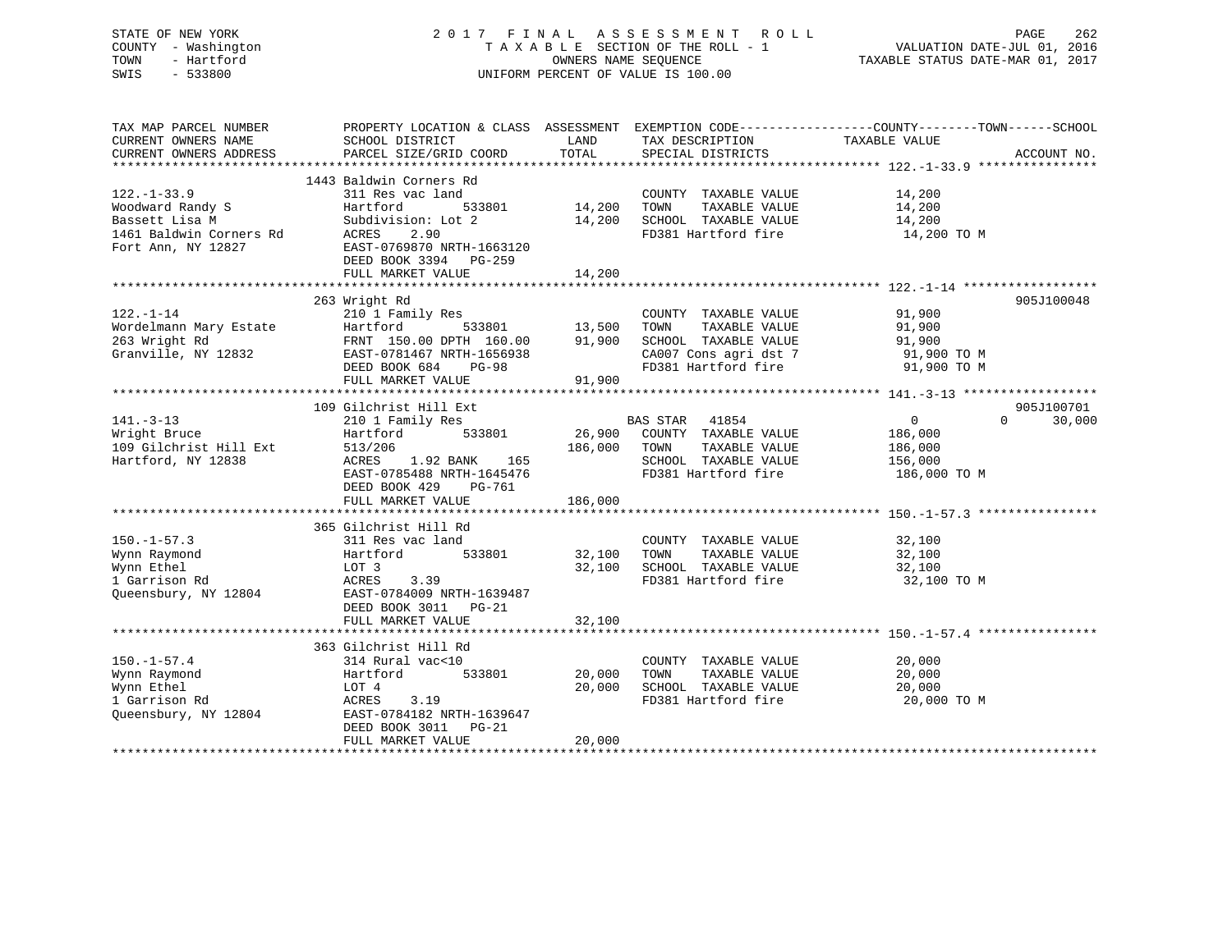STATE OF NEW YORK 2 0 1 7 F I N A L A S S E S S M E N T R O L L PAGE 262 COUNTY - Washington T A X A B L E SECTION OF THE ROLL - 1 VALUATION DATE-JUL 01, 2016 TOWN - Hartford OWNERS NAME SEQUENCE TAXABLE STATUS DATE-MAR 01, 2017 SWIS - 533800 UNIFORM PERCENT OF VALUE IS 100.00

TAX MAP PARCEL NUMBER PROPERTY LOCATION & CLASS ASSESSMENT EXEMPTION CODE------------------COUNTY--------TOWN------SCHOOL CURRENT OWNERS NAME SCHOOL DISTRICT LAND TAX DESCRIPTION TAXABLE VALUE CURRENT OWNERS ADDRESS PARCEL SIZE/GRID COORD TOTAL SPECIAL DISTRICTS ACCOUNT NO. \*\*\*\*\*\*\*\*\*\*\*\*\*\*\*\*\*\*\*\*\*\*\*\*\*\*\*\*\*\*\*\*\*\*\*\*\*\*\*\*\*\*\*\*\*\*\*\*\*\*\*\*\*\*\*\*\*\*\*\*\*\*\*\*\*\*\*\*\*\*\*\*\*\*\*\*\*\*\*\*\*\*\*\*\*\*\*\*\*\*\*\*\*\*\*\*\*\*\*\*\*\*\* 122.-1-33.9 \*\*\*\*\*\*\*\*\*\*\*\*\*\*\*\* 1443 Baldwin Corners Rd 122.-1-33.9 311 Res vac land COUNTY TAXABLE VALUE 14,200 Woodward Randy S Hartford 533801 14,200 TOWN TAXABLE VALUE 14,200 Bassett Lisa M Subdivision: Lot 2 14,200 SCHOOL TAXABLE VALUE 14,200 1461 Baldwin Corners Rd ACRES 2.90 FD381 Hartford fire 14,200 TO M Fort Ann, NY 12827 EAST-0769870 NRTH-1663120 DEED BOOK 3394 PG-259 FULL MARKET VALUE 14,200 \*\*\*\*\*\*\*\*\*\*\*\*\*\*\*\*\*\*\*\*\*\*\*\*\*\*\*\*\*\*\*\*\*\*\*\*\*\*\*\*\*\*\*\*\*\*\*\*\*\*\*\*\*\*\*\*\*\*\*\*\*\*\*\*\*\*\*\*\*\*\*\*\*\*\*\*\*\*\*\*\*\*\*\*\*\*\*\*\*\*\*\*\*\*\*\*\*\*\*\*\*\*\* 122.-1-14 \*\*\*\*\*\*\*\*\*\*\*\*\*\*\*\*\*\* 263 Wright Rd 905J100048 122.-1-14 210 1 Family Res COUNTY TAXABLE VALUE 91,900 Wordelmann Mary Estate Hartford 533801 13,500 TOWN TAXABLE VALUE 91,900 263 Wright Rd FRNT 150.00 DPTH 160.00 91,900 SCHOOL TAXABLE VALUE 91,900 Granville, NY 12832 EAST-0781467 NRTH-1656938 CA007 Cons agri dst 7 91,900 TO M DEED BOOK 684 PG-98 FD381 Hartford fire 91,900 TO M FULL MARKET VALUE 91,900 \*\*\*\*\*\*\*\*\*\*\*\*\*\*\*\*\*\*\*\*\*\*\*\*\*\*\*\*\*\*\*\*\*\*\*\*\*\*\*\*\*\*\*\*\*\*\*\*\*\*\*\*\*\*\*\*\*\*\*\*\*\*\*\*\*\*\*\*\*\*\*\*\*\*\*\*\*\*\*\*\*\*\*\*\*\*\*\*\*\*\*\*\*\*\*\*\*\*\*\*\*\*\* 141.-3-13 \*\*\*\*\*\*\*\*\*\*\*\*\*\*\*\*\*\* 109 Gilchrist Hill Ext 905J100701 $0 \t 30,000$ 141.-3-13 210 1 Family Res BAS STAR 41854 0 0 30,000 Wright Bruce Hartford 533801 26,900 COUNTY TAXABLE VALUE 186,000 109 Gilchrist Hill Ext 513/206 186,000 TOWN TAXABLE VALUE 186,000 Hartford, NY 12838 ACRES 1.92 BANK 165 SCHOOL TAXABLE VALUE 156,000 EAST-0785488 NRTH-1645476 FD381 Hartford fire 186,000 TO M DEED BOOK 429 PG-761FULL MARKET VALUE 186,000 \*\*\*\*\*\*\*\*\*\*\*\*\*\*\*\*\*\*\*\*\*\*\*\*\*\*\*\*\*\*\*\*\*\*\*\*\*\*\*\*\*\*\*\*\*\*\*\*\*\*\*\*\*\*\*\*\*\*\*\*\*\*\*\*\*\*\*\*\*\*\*\*\*\*\*\*\*\*\*\*\*\*\*\*\*\*\*\*\*\*\*\*\*\*\*\*\*\*\*\*\*\*\* 150.-1-57.3 \*\*\*\*\*\*\*\*\*\*\*\*\*\*\*\* 365 Gilchrist Hill Rd 150.-1-57.3 311 Res vac land COUNTY TAXABLE VALUE 32,100 Wynn Raymond Hartford 533801 32,100 TOWN TAXABLE VALUE 32,100 Wynn Ethel LOT 3 32,100 SCHOOL TAXABLE VALUE 32,100 1 Garrison Rd ACRES 3.39 FD381 Hartford fire 32,100 TO M Queensbury, NY 12804 EAST-0784009 NRTH-1639487 DEED BOOK 3011 PG-21 FULL MARKET VALUE 32,100 \*\*\*\*\*\*\*\*\*\*\*\*\*\*\*\*\*\*\*\*\*\*\*\*\*\*\*\*\*\*\*\*\*\*\*\*\*\*\*\*\*\*\*\*\*\*\*\*\*\*\*\*\*\*\*\*\*\*\*\*\*\*\*\*\*\*\*\*\*\*\*\*\*\*\*\*\*\*\*\*\*\*\*\*\*\*\*\*\*\*\*\*\*\*\*\*\*\*\*\*\*\*\* 150.-1-57.4 \*\*\*\*\*\*\*\*\*\*\*\*\*\*\*\* 363 Gilchrist Hill Rd 150.-1-57.4 314 Rural vac<10 COUNTY TAXABLE VALUE 20,000 Wynn Raymond Hartford 533801 20,000 TOWN TAXABLE VALUE 20,000 Wynn Ethel LOT 4 20,000 SCHOOL TAXABLE VALUE 20,000

1 Garrison Rd ACRES 3.19 FD381 Hartford fire 20,000 TO M Queensbury, NY 12804 EAST-0784182 NRTH-1639647 DEED BOOK 3011 PG-21 FULL MARKET VALUE 20,000

\*\*\*\*\*\*\*\*\*\*\*\*\*\*\*\*\*\*\*\*\*\*\*\*\*\*\*\*\*\*\*\*\*\*\*\*\*\*\*\*\*\*\*\*\*\*\*\*\*\*\*\*\*\*\*\*\*\*\*\*\*\*\*\*\*\*\*\*\*\*\*\*\*\*\*\*\*\*\*\*\*\*\*\*\*\*\*\*\*\*\*\*\*\*\*\*\*\*\*\*\*\*\*\*\*\*\*\*\*\*\*\*\*\*\*\*\*\*\*\*\*\*\*\*\*\*\*\*\*\*\*\*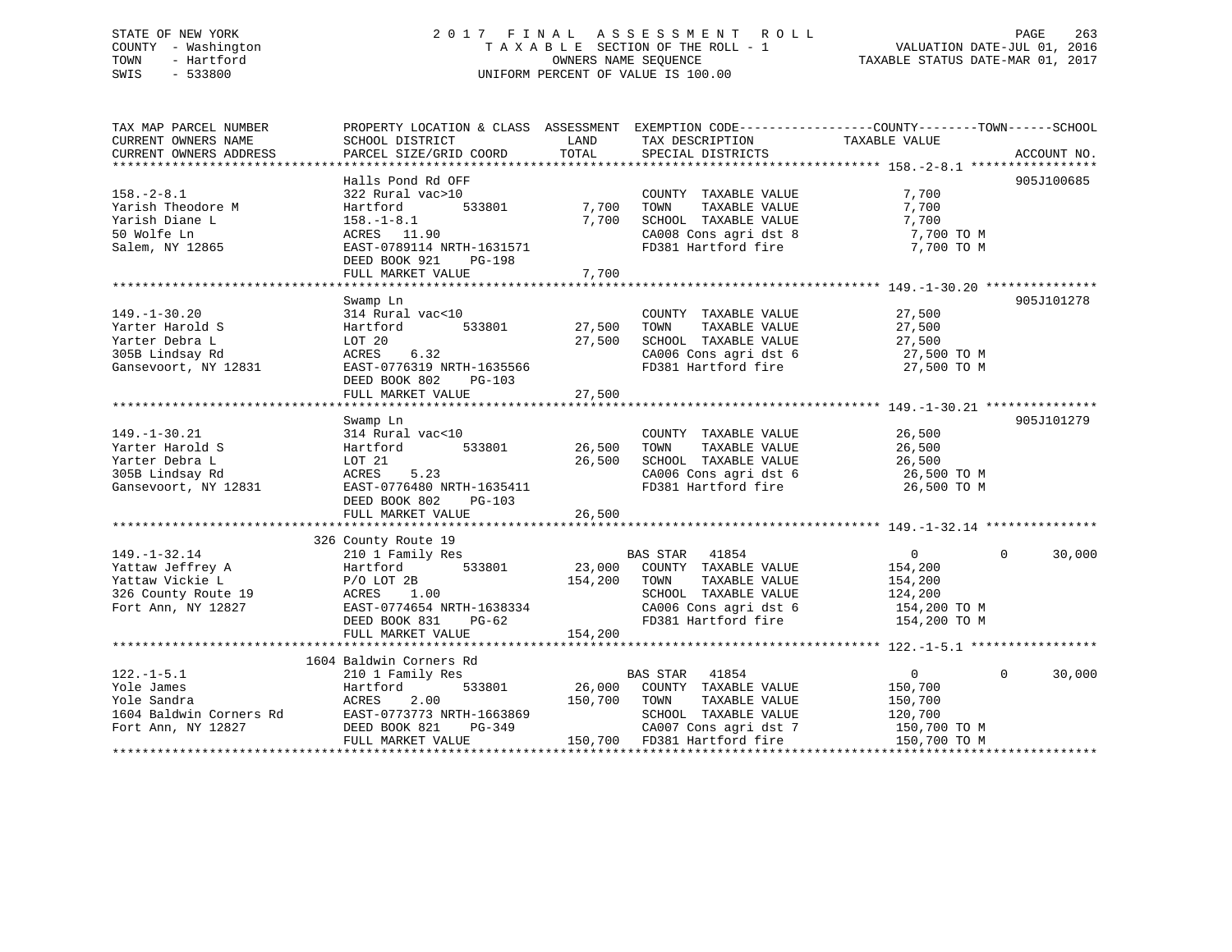# STATE OF NEW YORK 2 0 1 7 F I N A L A S S E S S M E N T R O L L PAGE 263 COUNTY - Washington T A X A B L E SECTION OF THE ROLL - 1 VALUATION DATE-JUL 01, 2016 TOWN - Hartford **TAXABLE STATUS DATE-MAR 01, 2017** SWIS - 533800 UNIFORM PERCENT OF VALUE IS 100.00

| TAX MAP PARCEL NUMBER<br>CURRENT OWNERS NAME<br>CURRENT OWNERS ADDRESS                                 | PROPERTY LOCATION & CLASS ASSESSMENT EXEMPTION CODE---------------COUNTY-------TOWN-----SCHOOL<br>SCHOOL DISTRICT<br>PARCEL SIZE/GRID COORD                                                                                                                            | LAND<br>TOTAL                     | TAX DESCRIPTION<br>SPECIAL DISTRICTS                                                                                                                  | TAXABLE VALUE                                                                      | ACCOUNT NO.              |
|--------------------------------------------------------------------------------------------------------|------------------------------------------------------------------------------------------------------------------------------------------------------------------------------------------------------------------------------------------------------------------------|-----------------------------------|-------------------------------------------------------------------------------------------------------------------------------------------------------|------------------------------------------------------------------------------------|--------------------------|
| $158. - 2 - 8.1$<br>Yarish Theodore M<br>Yarish Diane L<br>50 Wolfe Ln<br>Salem, NY 12865              | Halls Pond Rd OFF<br>322 Rural vac>10<br>533801<br>Hartford<br>$158. - 1 - 8.1$<br>ACRES 11.90<br>EAST-0789114 NRTH-1631571<br>DEED BOOK 921<br>PG-198<br>FULL MARKET VALUE                                                                                            | 7,700<br>7,700<br>7,700           | COUNTY TAXABLE VALUE<br>TOWN<br>TAXABLE VALUE<br>SCHOOL TAXABLE VALUE<br>CA008 Cons agri dst 8 7,700 TO M<br>FD381 Hartford fire                      | 7,700<br>7,700<br>7,700<br>7,700 TO M                                              | 905J100685               |
| $149. - 1 - 30.20$<br>Yarter Harold S<br>Yarter Debra L<br>305B Lindsay Rd<br>Gansevoort, NY 12831     | Swamp Ln<br>314 Rural vac<10<br>Hartford<br>LOT 20<br>6.32<br>ACRES<br>EAST-0776319 NRTH-1635566<br>DEED BOOK 802<br>PG-103<br>FULL MARKET VALUE                                                                                                                       | 533801 27,500<br>27,500<br>27,500 | COUNTY TAXABLE VALUE<br>TOWN<br>TAXABLE VALUE<br>SCHOOL TAXABLE VALUE<br>CA006 Cons agri dst 6<br>FD381 Hartford fire 27,500 TO M                     | 27,500<br>27,500<br>27,500 TO M<br>27,500 TO M                                     | 905J101278               |
| $149. - 1 - 30.21$<br>Yarter Harold S<br>Yarter Debra L<br>305B Lindsay Rd<br>Gansevoort, NY 12831     | Swamp Ln<br>314 Rural vac<10<br>Hartford<br>LOT 21<br>5.23<br>ACRES<br>EAST-0776480 NRTH-1635411<br>DEED BOOK 802<br>$PG-103$<br>FULL MARKET VALUE                                                                                                                     | 533801 26,500<br>26,500<br>26,500 | COUNTY TAXABLE VALUE<br>TOWN<br>TAXABLE VALUE<br>SCHOOL TAXABLE VALUE<br>CA006 Cons agri dst 6<br>FD381 Hartford fire 26,500 TO M                     | 26,500<br>26,500<br>26,500<br>26,500 TO M                                          | 905J101279               |
| $149. - 1 - 32.14$<br>Yattaw Jeffrey A<br>Yattaw Vickie L<br>326 County Route 19<br>Fort Ann, NY 12827 | 326 County Route 19<br>210 1 Family Res<br>Hartford 533801 23,000 COUNTY TAXABLE VALUE<br>$\begin{array}{cccc}\n & & \text{P/O } \text{LOT } 2\text{B} \\ \text{ACRES} & & 1.00\n\end{array}$<br>EAST-0774654 NRTH-1638334<br>DEED BOOK 831 PG-62<br>FULL MARKET VALUE | 154,200 TOWN<br>154,200           | BAS STAR 41854<br>TAXABLE VALUE<br>SCHOOL TAXABLE VALUE<br>CA006 Cons agri dst 6 154,200 TO M<br>FD381 Hartford fire                                  | $\overline{0}$<br>154,200<br>154,200<br>124,200<br>154,200 TO M                    | 30,000<br>$\Omega$       |
| $122. - 1 - 5.1$<br>Yole James<br>Yole Sandra<br>1604 Baldwin Corners Rd<br>Fort Ann, NY 12827         | 1604 Baldwin Corners Rd<br>210 1 Family Res<br>Hartford<br>2.00<br>ACRES<br>$PG-349$<br>FULL MARKET VALUE                                                                                                                                                              | 150,700 TOWN                      | BAS STAR 41854<br>533801 26,000 COUNTY TAXABLE VALUE<br>TAXABLE VALUE<br>SCHOOL TAXABLE VALUE<br>CA007 Cons agri dst 7<br>150,700 FD381 Hartford fire | $0 \qquad \qquad$<br>150,700<br>150,700<br>120,700<br>150,700 TO M<br>150,700 TO M | $\overline{0}$<br>30,000 |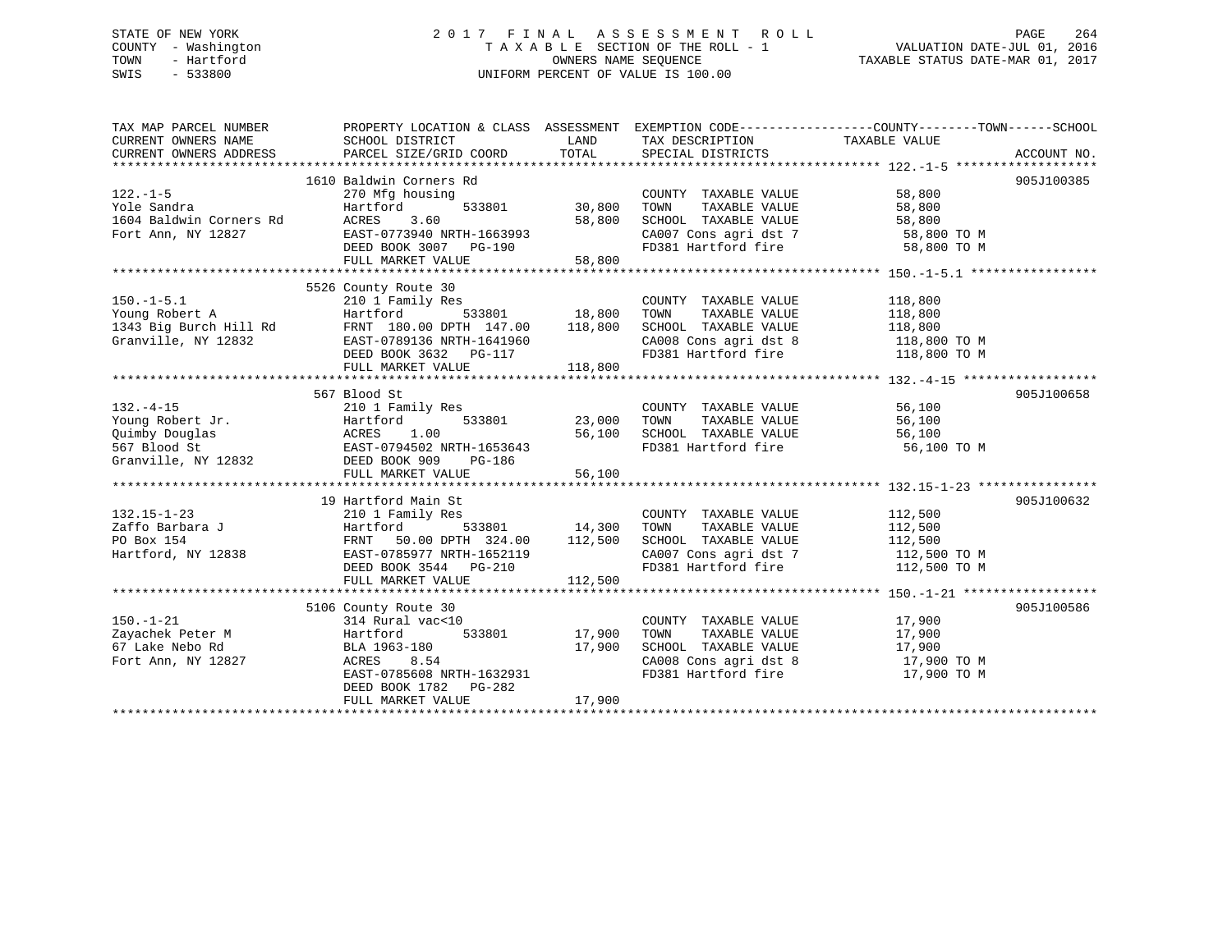# STATE OF NEW YORK 2 0 1 7 F I N A L A S S E S S M E N T R O L L PAGE 264 COUNTY - Washington T A X A B L E SECTION OF THE ROLL - 1 VALUATION DATE-JUL 01, 2016 TOWN - Hartford **TAXABLE STATUS DATE-MAR 01, 2017** SWIS - 533800 UNIFORM PERCENT OF VALUE IS 100.00

| TAX MAP PARCEL NUMBER<br>CURRENT OWNERS NAME<br>CURRENT OWNERS ADDRESS                                             | PROPERTY LOCATION & CLASS ASSESSMENT EXEMPTION CODE----------------COUNTY-------TOWN------SCHOOL<br>SCHOOL DISTRICT<br>PARCEL SIZE/GRID COORD                       | LAND<br>TOTAL                       | TAX DESCRIPTION TAXABLE VALUE<br>SPECIAL DISTRICTS                                                                                                                                                                                                                                                                     |                                               | ACCOUNT NO. |
|--------------------------------------------------------------------------------------------------------------------|---------------------------------------------------------------------------------------------------------------------------------------------------------------------|-------------------------------------|------------------------------------------------------------------------------------------------------------------------------------------------------------------------------------------------------------------------------------------------------------------------------------------------------------------------|-----------------------------------------------|-------------|
| $122. - 1 - 5$<br>Yole Sandra<br>1604 Baldwin Corners Rd<br>Fort Ann, NY 12827                                     | 1610 Baldwin Corners Rd<br>270 Mfg housing<br>Hartford<br>ACRES<br>3.60<br>EAST-0773940 NRTH-1663993<br>DEED BOOK 3007 PG-190<br>FULL MARKET VALUE                  | 533801 30,800<br>58,800<br>58,800   | COUNTY TAXABLE VALUE<br>TOWN<br>TAXABLE VALUE<br>SCHOOL TAXABLE VALUE<br>CA007 Cons agri dst 7 58,800 TO M<br>FD381 Hartford fire                                                                                                                                                                                      | 58,800<br>58,800<br>58,800<br>58,800 TO M     | 905J100385  |
| $150.-1-5.1$<br>Young Robert A<br>1343 Big Burch Hill Rd<br>FRNT 180.00 DPTH 147.00 118,800<br>Granville, NY 12832 | 5526 County Route 30<br>210 1 Family Res<br>Hartford<br>EAST-0789136 NRTH-1641960<br>DEED BOOK 3632 PG-117<br>FULL MARKET VALUE                                     | 533801 18,800<br>118,800            | COUNTY TAXABLE VALUE<br>TOWN<br>TAXABLE VALUE<br>SCHOOL TAXABLE VALUE<br>$\begin{array}{llllll} \texttt{CA008} & \texttt{Cons}\ \texttt{agri}\ \texttt{dst}\ 8 & & & 118,800\ \texttt{TO} & \texttt{M} & & \texttt{FD381}\ \texttt{Hartford}\ \texttt{fire} & & & 118,800\ \texttt{TO} & \texttt{M} & & & \end{array}$ | 118,800<br>118,800<br>118,800                 |             |
|                                                                                                                    | 567 Blood St<br>FULL MARKET VALUE                                                                                                                                   | 23,000<br>56,100<br>56,100          | COUNTY TAXABLE VALUE<br>TOWN<br>TAXABLE VALUE<br>SCHOOL TAXABLE VALUE 56,100<br>FD381 Hartford fire                                                                                                                                                                                                                    | 56,100<br>56,100<br>56,100 TO M               | 905J100658  |
| $132.15 - 1 - 23$<br>Zaffo Barbara J<br>De Deur 154<br>Hartford, NY 12838                                          | 19 Hartford Main St<br>210 1 Family Res<br>Hartford<br>FRNT 50.00 DPTH 324.00<br>COSCOLET NETH-1652119<br>DEED BOOK 3544 PG-210<br>FULL MARKET VALUE                | 533801 14,300<br>112,500<br>112,500 | COUNTY TAXABLE VALUE<br>TAXABLE VALUE<br>TOWN<br>SCHOOL TAXABLE VALUE<br>CA007 Cons agri dst 7 112,500 TO M<br>FD381 Hartford fire                                                                                                                                                                                     | 112,500<br>112,500<br>112,500<br>112,500 TO M | 905J100632  |
| $150. - 1 - 21$<br>Zayachek Peter M<br>67 Lake Nebo Rd<br>Fort Ann, NY 12827                                       | 5106 County Route 30<br>314 Rural vac<10<br>Hartford<br>BLA 1963-180<br>8.54<br>ACRES<br>EAST-0785608 NRTH-1632931<br>DEED BOOK 1782    PG-282<br>FULL MARKET VALUE | 533801 17,900<br>17,900<br>17,900   | COUNTY TAXABLE VALUE 17,900<br>TOWN<br>TAXABLE VALUE 17,900<br>SCHOOL TAXABLE VALUE 17,900<br>CA008 Cons agri dst 8 17,900 TO M<br>FD381 Hartford fire                                                                                                                                                                 | 17,900 TO M                                   | 905J100586  |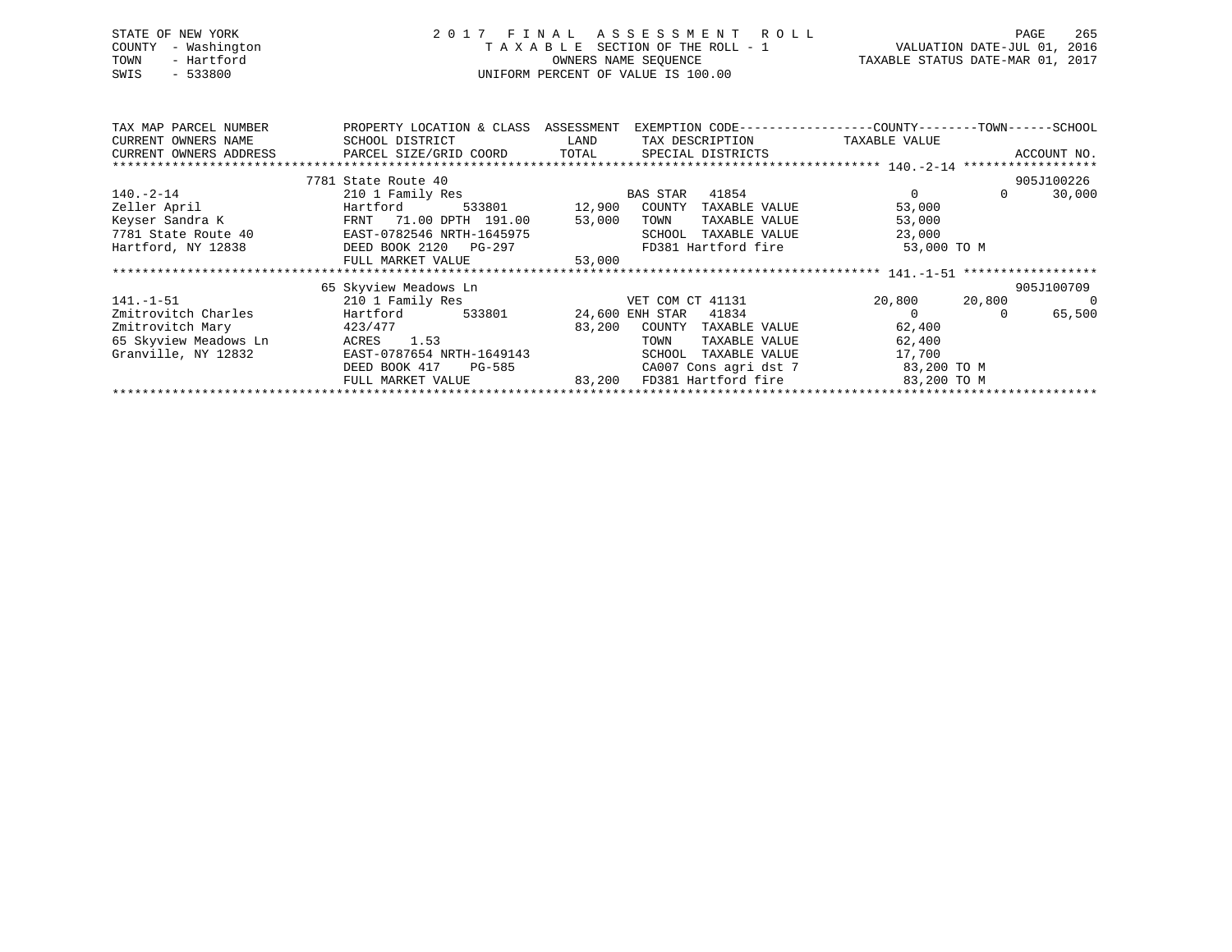| STATE OF NEW YORK   | 2017 FINAL ASSESSMENT ROLL         | - 265<br>PAGE                    |
|---------------------|------------------------------------|----------------------------------|
| COUNTY - Washington | TAXABLE SECTION OF THE ROLL - 1    | VALUATION DATE-JUL 01, 2016      |
| TOWN<br>- Hartford  | OWNERS NAME SEOUENCE               | TAXABLE STATUS DATE-MAR 01, 2017 |
| $-533800$<br>SWIS   | UNIFORM PERCENT OF VALUE IS 100.00 |                                  |
|                     |                                    |                                  |

| TAX MAP PARCEL NUMBER                                                             | PROPERTY LOCATION & CLASS ASSESSMENT |                                                                                                                        | EXEMPTION CODE-----------------COUNTY-------TOWN------SCHOOL |               |          |             |
|-----------------------------------------------------------------------------------|--------------------------------------|------------------------------------------------------------------------------------------------------------------------|--------------------------------------------------------------|---------------|----------|-------------|
| CURRENT OWNERS NAME                                                               | SCHOOL DISTRICT                      | <b>EXAMPLE SERVICE SERVICE SERVICE SERVICE SERVICE SERVICE SERVICE SERVICE SERVICE SERVICE SERVICE SERVICE SERVICE</b> | TAX DESCRIPTION TAXABLE VALUE                                |               |          |             |
| CURRENT OWNERS ADDRESS     PARCEL SIZE/GRID COORD     TOTAL     SPECIAL DISTRICTS |                                      |                                                                                                                        |                                                              |               |          | ACCOUNT NO. |
|                                                                                   |                                      |                                                                                                                        |                                                              |               |          |             |
|                                                                                   | 7781 State Route 40                  |                                                                                                                        |                                                              |               |          | 905J100226  |
| $140.-2-14$                                                                       | 210 1 Family Res                     | <b>EXAMPLE STAR</b>                                                                                                    | 41854                                                        |               | $\Omega$ | 30,000      |
| Zeller April                                                                      | Hartford                             | 533801 12,900 COUNTY                                                                                                   | TAXABLE VALUE                                                | 53,000        |          |             |
| Keyser Sandra K Mark FRNT 71.00 DPTH 191.00                                       |                                      | 53,000                                                                                                                 | TOWN<br>TAXABLE VALUE                                        | 53,000        |          |             |
| 7781 State Route 40                                                               | EAST-0782546 NRTH-1645975            |                                                                                                                        | SCHOOL<br>TAXABLE VALUE                                      | 23,000        |          |             |
| Hartford, NY 12838                                                                | DEED BOOK 2120 PG-297                |                                                                                                                        | FD381 Hartford fire                                          | 53,000 TO M   |          |             |
|                                                                                   | FULL MARKET VALUE                    | 53,000                                                                                                                 |                                                              |               |          |             |
|                                                                                   |                                      |                                                                                                                        |                                                              |               |          |             |
|                                                                                   | 65 Skyview Meadows Ln                |                                                                                                                        |                                                              |               |          | 905J100709  |
| $141. -1 - 51$                                                                    | 210 1 Family Res                     |                                                                                                                        | VET COM CT 41131                                             | 20,800 20,800 |          | $\sim$ 0    |
| Zmitrovitch Charles                                                               | Hartford                             |                                                                                                                        | 533801 24,600 ENH STAR 41834                                 |               | $\Omega$ | 65,500      |
| Zmitrovitch Mary                                                                  | 423/477                              | 83,200                                                                                                                 | COUNTY<br>TAXABLE VALUE                                      | 62,400        |          |             |
| 65 Skyview Meadows Ln                                                             | ACRES 1.53                           |                                                                                                                        | TOWN<br>TAXABLE VALUE                                        | 62,400        |          |             |
| Granville, NY 12832                                                               | EAST-0787654 NRTH-1649143            |                                                                                                                        | TAXABLE VALUE<br>SCHOOL                                      | 17,700        |          |             |
|                                                                                   | DEED BOOK 417<br>PG-585              |                                                                                                                        | CA007 Cons agri dst 7 83,200 TO M                            |               |          |             |
|                                                                                   |                                      |                                                                                                                        | FULL MARKET VALUE 63,200 FD381 Hartford fire                 | 83,200 TO M   |          |             |
|                                                                                   |                                      |                                                                                                                        |                                                              |               |          |             |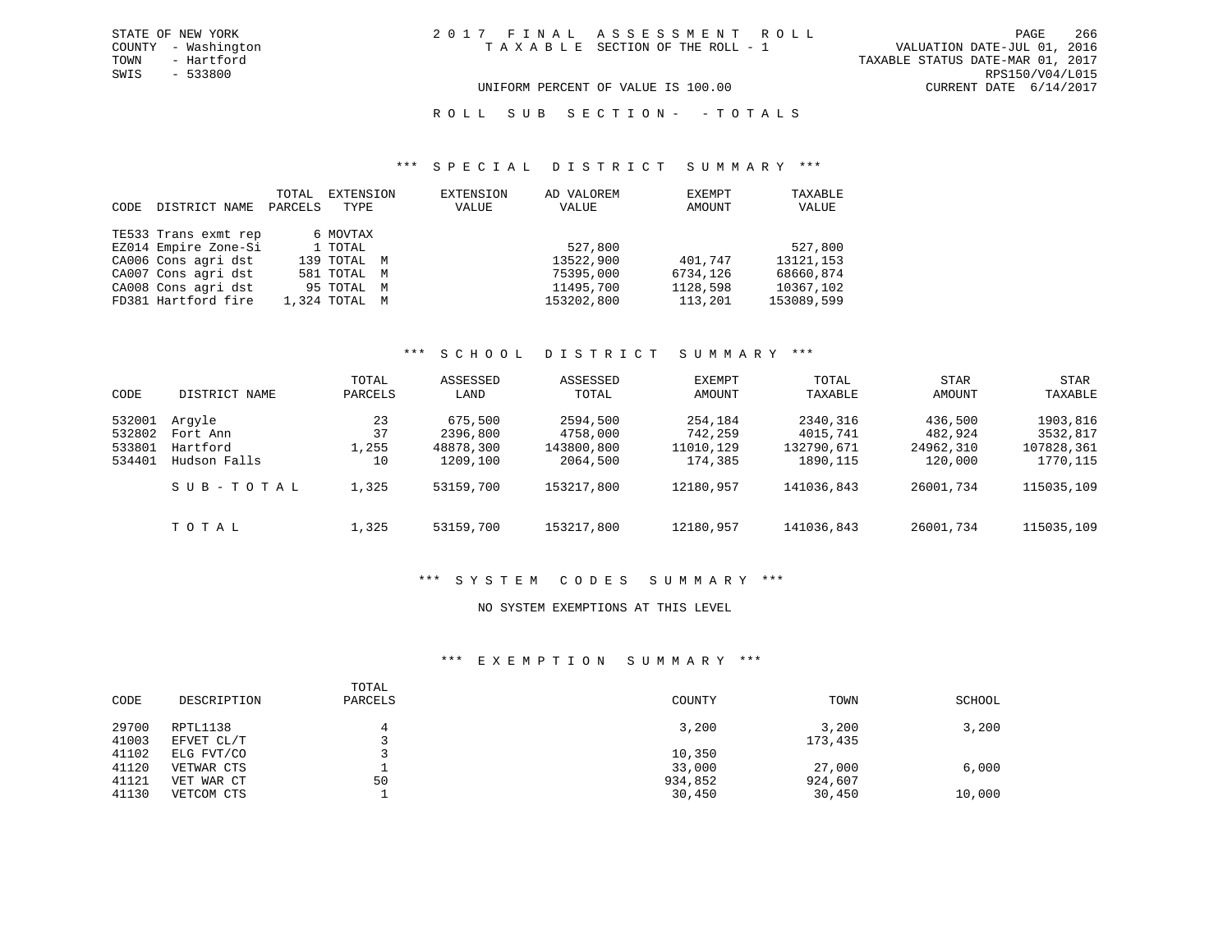TOWN - Hartford TAXABLE STATUS DATE-MAR 01, 2017 SWIS - 533800 RPS150/V04/L015 UNIFORM PERCENT OF VALUE IS 100.00 CURRENT DATE 6/14/2017

R O L L S U B S E C T I O N - - T O T A L S

#### \*\*\* S P E C I A L D I S T R I C T S U M M A R Y \*\*\*

| CODE | DISTRICT NAME        | TOTAL<br>PARCELS | EXTENSION<br>TYPE | EXTENSION<br>VALUE | AD VALOREM<br>VALUE | EXEMPT<br>AMOUNT | TAXABLE<br>VALUE |
|------|----------------------|------------------|-------------------|--------------------|---------------------|------------------|------------------|
|      | TE533 Trans exmt rep |                  | 6 MOVTAX          |                    |                     |                  |                  |
|      | EZ014 Empire Zone-Si |                  | 1 TOTAL           |                    | 527,800             |                  | 527,800          |
|      | CA006 Cons agri dst  |                  | 139 TOTAL M       |                    | 13522,900           | 401,747          | 13121, 153       |
|      | CA007 Cons agri dst  |                  | 581 TOTAL M       |                    | 75395,000           | 6734,126         | 68660,874        |
|      | CA008 Cons agri dst  |                  | 95 TOTAL M        |                    | 11495,700           | 1128,598         | 10367,102        |
|      | FD381 Hartford fire  |                  | 1,324 TOTAL M     |                    | 153202,800          | 113,201          | 153089,599       |

# \*\*\* S C H O O L D I S T R I C T S U M M A R Y \*\*\*

| CODE             | DISTRICT NAME            | TOTAL<br>PARCELS | ASSESSED<br>LAND      | ASSESSED<br>TOTAL      | EXEMPT<br>AMOUNT     | TOTAL<br>TAXABLE        | <b>STAR</b><br>AMOUNT | STAR<br>TAXABLE        |
|------------------|--------------------------|------------------|-----------------------|------------------------|----------------------|-------------------------|-----------------------|------------------------|
| 532001<br>532802 | Arqyle<br>Fort Ann       | 23<br>37         | 675,500<br>2396,800   | 2594,500<br>4758,000   | 254,184<br>742,259   | 2340,316<br>4015,741    | 436,500<br>482,924    | 1903,816<br>3532,817   |
| 533801<br>534401 | Hartford<br>Hudson Falls | 1,255<br>10      | 48878,300<br>1209,100 | 143800,800<br>2064,500 | 11010,129<br>174,385 | 132790,671<br>1890, 115 | 24962,310<br>120,000  | 107828,361<br>1770,115 |
|                  | SUB-TOTAL                | 1,325            | 53159,700             | 153217,800             | 12180,957            | 141036,843              | 26001,734             | 115035,109             |
|                  | TOTAL                    | 1,325            | 53159,700             | 153217,800             | 12180,957            | 141036,843              | 26001,734             | 115035,109             |

#### \*\*\* S Y S T E M C O D E S S U M M A R Y \*\*\*

# NO SYSTEM EXEMPTIONS AT THIS LEVEL

# \*\*\* E X E M P T I O N S U M M A R Y \*\*\*

| CODE  | DESCRIPTION | TOTAL<br>PARCELS | COUNTY  | TOWN    | SCHOOL |
|-------|-------------|------------------|---------|---------|--------|
| 29700 | RPTL1138    |                  | 3,200   | 3,200   | 3,200  |
| 41003 | EFVET CL/T  |                  |         | 173,435 |        |
| 41102 | ELG FVT/CO  |                  | 10,350  |         |        |
| 41120 | VETWAR CTS  |                  | 33,000  | 27,000  | 6,000  |
| 41121 | VET WAR CT  | 50               | 934,852 | 924,607 |        |
| 41130 | VETCOM CTS  |                  | 30,450  | 30,450  | 10,000 |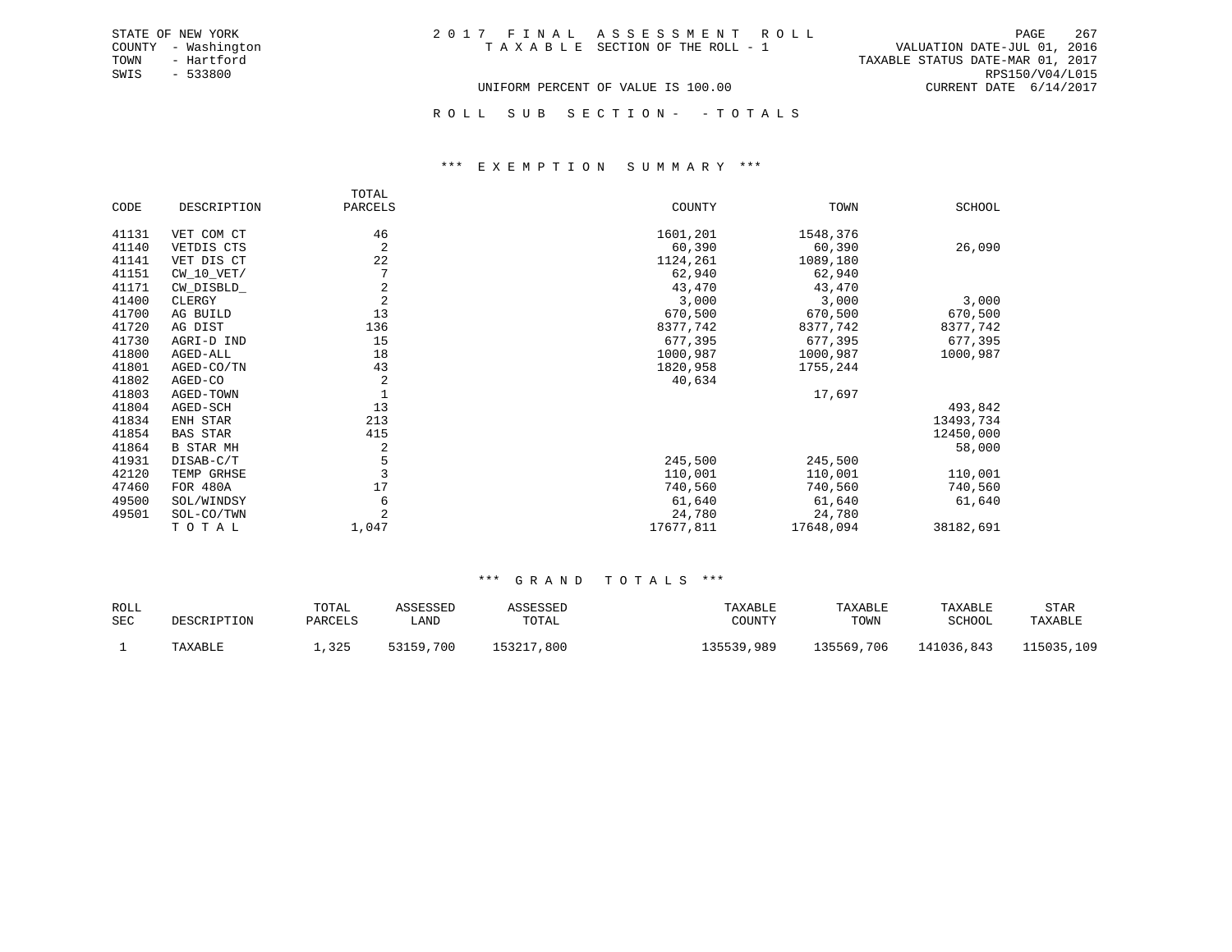ROLL SUB SECTION - - TOTALS

#### \*\*\* E X E M P T I O N S U M M A R Y \*\*\*

|       |                  | TOTAL          |           |           |               |
|-------|------------------|----------------|-----------|-----------|---------------|
| CODE  | DESCRIPTION      | PARCELS        | COUNTY    | TOWN      | <b>SCHOOL</b> |
| 41131 | VET COM CT       | 46             | 1601,201  | 1548,376  |               |
| 41140 | VETDIS CTS       | 2              | 60,390    | 60,390    | 26,090        |
| 41141 | VET DIS CT       | 22             | 1124,261  | 1089,180  |               |
| 41151 | $CW_10_VET/$     |                | 62,940    | 62,940    |               |
| 41171 | CW DISBLD        | 2              | 43,470    | 43,470    |               |
| 41400 | CLERGY           | $\overline{2}$ | 3,000     | 3,000     | 3,000         |
| 41700 | AG BUILD         | 13             | 670,500   | 670,500   | 670,500       |
| 41720 | AG DIST          | 136            | 8377,742  | 8377,742  | 8377,742      |
| 41730 | AGRI-D IND       | 15             | 677,395   | 677,395   | 677,395       |
| 41800 | AGED-ALL         | 18             | 1000,987  | 1000,987  | 1000,987      |
| 41801 | AGED-CO/TN       | 43             | 1820,958  | 1755,244  |               |
| 41802 | AGED-CO          | 2              | 40,634    |           |               |
| 41803 | AGED-TOWN        |                |           | 17,697    |               |
| 41804 | AGED-SCH         | 13             |           |           | 493,842       |
| 41834 | ENH STAR         | 213            |           |           | 13493,734     |
| 41854 | <b>BAS STAR</b>  | 415            |           |           | 12450,000     |
| 41864 | <b>B STAR MH</b> | 2              |           |           | 58,000        |
| 41931 | DISAB-C/T        | 5              | 245,500   | 245,500   |               |
| 42120 | TEMP GRHSE       | $\overline{3}$ | 110,001   | 110,001   | 110,001       |
| 47460 | <b>FOR 480A</b>  | 17             | 740,560   | 740,560   | 740,560       |
| 49500 | SOL/WINDSY       | 6              | 61,640    | 61,640    | 61,640        |
| 49501 | SOL-CO/TWN       |                | 24,780    | 24,780    |               |
|       | TOTAL            | 1,047          | 17677,811 | 17648,094 | 38182,691     |

| ROLL<br>SEC | DESCRIPTION | TOTAL<br>PARCELS | ASSESSED<br>LAND | ASSESSED<br>TOTAL | TAXABLE<br>COUNTY | TAXABLE<br>TOWN | TAXABLE<br>SCHOOL | STAR<br>TAXABLE |
|-------------|-------------|------------------|------------------|-------------------|-------------------|-----------------|-------------------|-----------------|
|             | TAXABLE     | $\pm 0.325$      | 53159,700        | 153217,800        | 135539,989        | 135569,706      | 141036,843        | 115035,109      |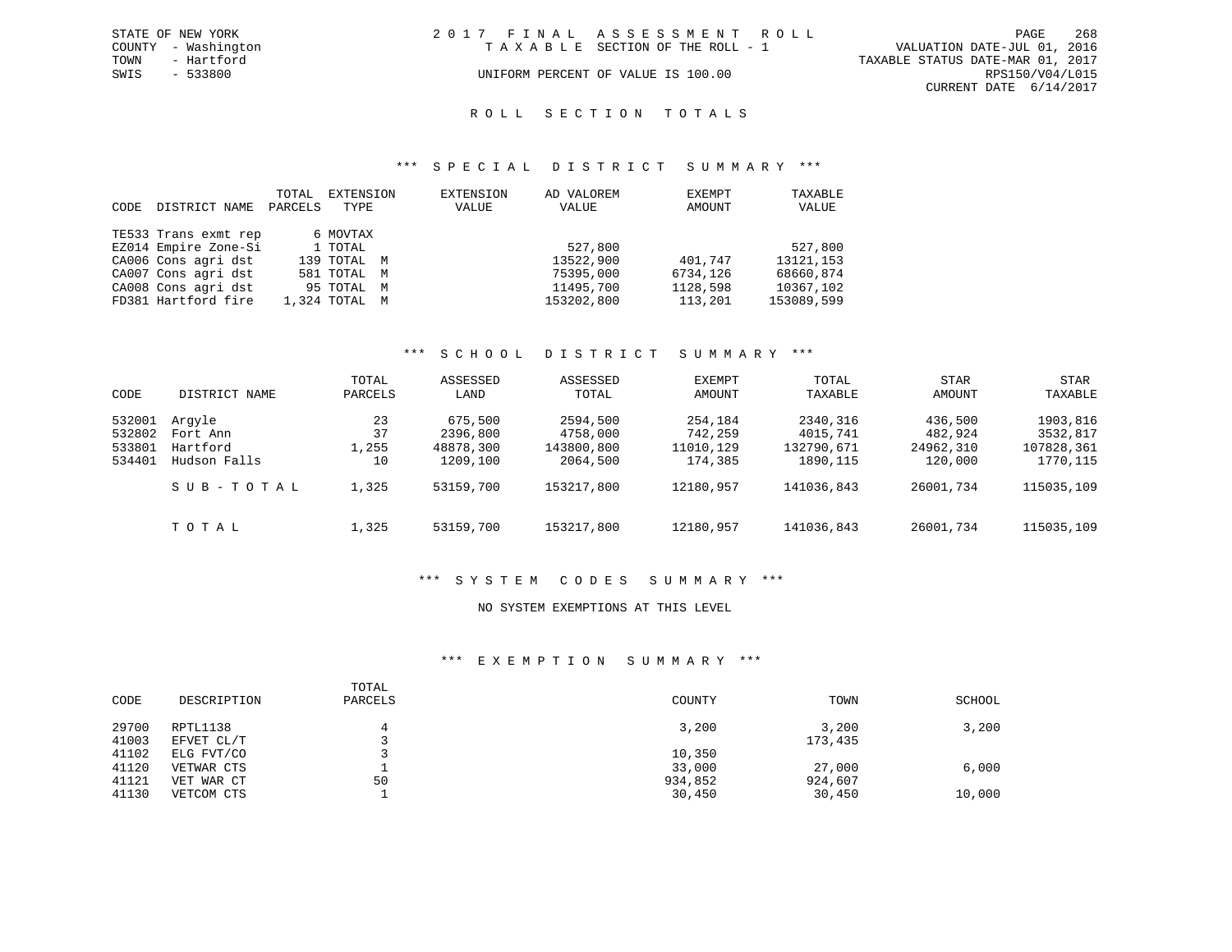|      | STATE OF NEW YORK   | 2017 FINAL ASSESSMENT ROLL |                                    |                                  |                        | PAGE | 268 |
|------|---------------------|----------------------------|------------------------------------|----------------------------------|------------------------|------|-----|
|      | COUNTY - Washington |                            | TAXABLE SECTION OF THE ROLL - 1    | VALUATION DATE-JUL 01, 2016      |                        |      |     |
| TOWN | - Hartford          |                            |                                    | TAXABLE STATUS DATE-MAR 01, 2017 |                        |      |     |
| SWIS | $-533800$           |                            | UNIFORM PERCENT OF VALUE IS 100.00 |                                  | RPS150/V04/L015        |      |     |
|      |                     |                            |                                    |                                  | CURRENT DATE 6/14/2017 |      |     |

# ROLL SECTION TOTALS

#### \*\*\* S P E C I A L D I S T R I C T S U M M A R Y \*\*\*

|      |                      | TOTAL   | EXTENSION     | EXTENSION | AD VALOREM | EXEMPT   | TAXABLE    |
|------|----------------------|---------|---------------|-----------|------------|----------|------------|
| CODE | DISTRICT NAME        | PARCELS | TYPE          | VALUE     | VALUE      | AMOUNT   | VALUE      |
|      |                      |         |               |           |            |          |            |
|      | TE533 Trans exmt rep |         | 6 MOVTAX      |           |            |          |            |
|      | EZ014 Empire Zone-Si |         | 1 TOTAL       |           | 527,800    |          | 527,800    |
|      | CA006 Cons agri dst  |         | 139 TOTAL M   |           | 13522,900  | 401,747  | 13121, 153 |
|      | CA007 Cons agri dst  |         | 581 TOTAL M   |           | 75395,000  | 6734,126 | 68660,874  |
|      | CA008 Cons agri dst  |         | 95 TOTAL M    |           | 11495,700  | 1128,598 | 10367,102  |
|      | FD381 Hartford fire  |         | 1,324 TOTAL M |           | 153202,800 | 113,201  | 153089,599 |

# \*\*\* S C H O O L D I S T R I C T S U M M A R Y \*\*\*

| CODE   | DISTRICT NAME | TOTAL<br>PARCELS | ASSESSED<br>LAND | ASSESSED<br>TOTAL | EXEMPT<br>AMOUNT | TOTAL<br>TAXABLE | <b>STAR</b><br>AMOUNT | STAR<br>TAXABLE |
|--------|---------------|------------------|------------------|-------------------|------------------|------------------|-----------------------|-----------------|
| 532001 | Arqyle        | 23               | 675,500          | 2594,500          | 254,184          | 2340,316         | 436,500               | 1903,816        |
| 532802 | Fort Ann      | 37               | 2396,800         | 4758,000          | 742,259          | 4015,741         | 482,924               | 3532,817        |
| 533801 | Hartford      | 1,255            | 48878,300        | 143800,800        | 11010,129        | 132790,671       | 24962,310             | 107828,361      |
| 534401 | Hudson Falls  | 10               | 1209,100         | 2064,500          | 174,385          | 1890, 115        | 120,000               | 1770,115        |
|        | SUB-TOTAL     | 1,325            | 53159,700        | 153217,800        | 12180,957        | 141036,843       | 26001,734             | 115035,109      |
|        | TOTAL         | 1,325            | 53159,700        | 153217,800        | 12180.957        | 141036,843       | 26001,734             | 115035,109      |

#### \*\*\* S Y S T E M C O D E S S U M M A R Y \*\*\*

## NO SYSTEM EXEMPTIONS AT THIS LEVEL

## \*\*\* E X E M P T I O N S U M M A R Y \*\*\*

| CODE  | DESCRIPTION | TOTAL<br>PARCELS | COUNTY  | TOWN    | SCHOOL |
|-------|-------------|------------------|---------|---------|--------|
| 29700 | RPTL1138    | 4                | 3,200   | 3,200   | 3,200  |
| 41003 | EFVET CL/T  |                  |         | 173,435 |        |
| 41102 | ELG FVT/CO  |                  | 10,350  |         |        |
| 41120 | VETWAR CTS  |                  | 33,000  | 27,000  | 6,000  |
| 41121 | VET WAR CT  | 50               | 934,852 | 924,607 |        |
| 41130 | VETCOM CTS  |                  | 30,450  | 30,450  | 10,000 |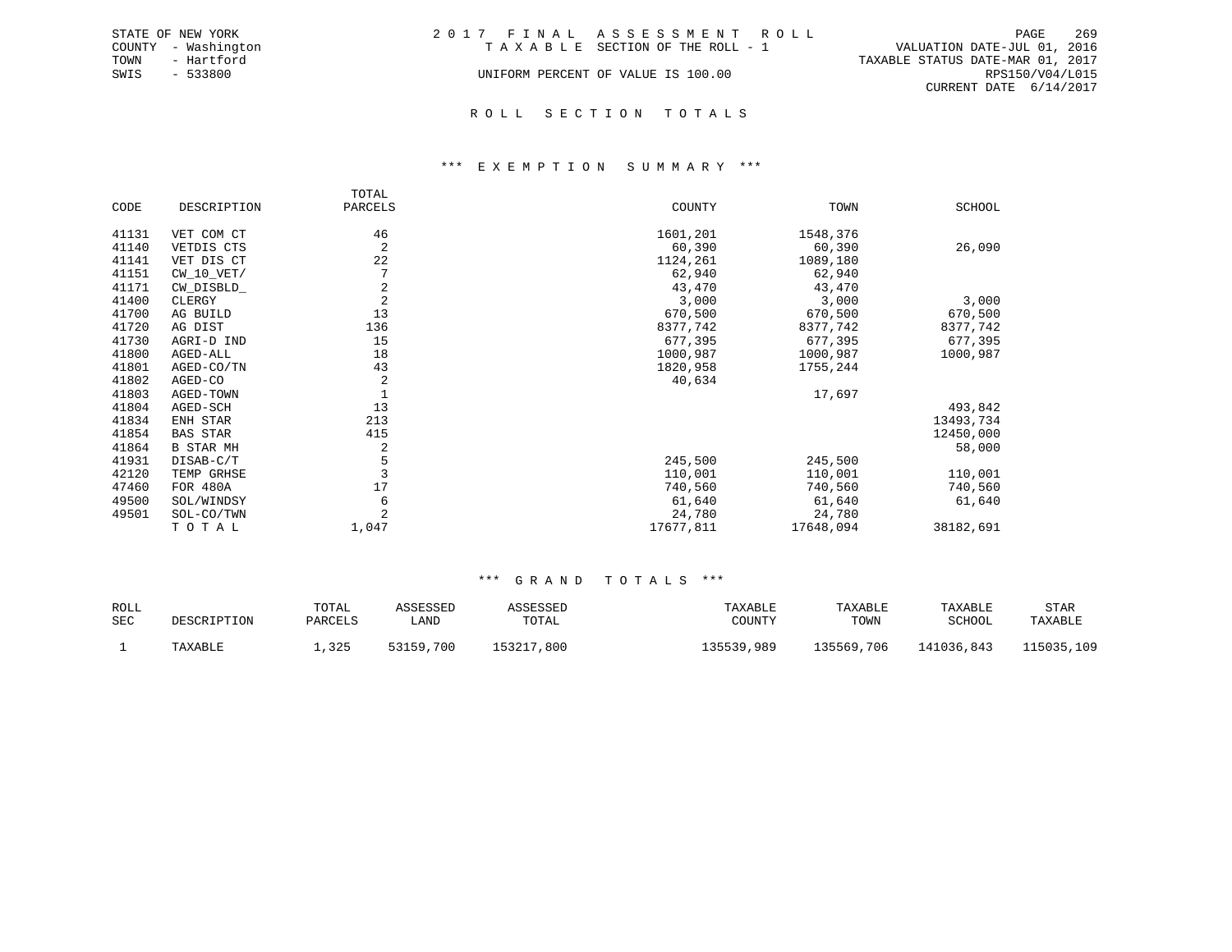|      | STATE OF NEW YORK   | 2017 FINAL ASSESSMENT ROLL         |                                  | PAGE            | 269 |
|------|---------------------|------------------------------------|----------------------------------|-----------------|-----|
|      | COUNTY - Washington | TAXABLE SECTION OF THE ROLL - 1    | VALUATION DATE-JUL 01, 2016      |                 |     |
| TOWN | - Hartford          |                                    | TAXABLE STATUS DATE-MAR 01, 2017 |                 |     |
| SWIS | - 533800            | UNIFORM PERCENT OF VALUE IS 100.00 |                                  | RPS150/V04/L015 |     |
|      |                     |                                    | CURRENT DATE $6/14/2017$         |                 |     |
|      |                     |                                    |                                  |                 |     |

#### R O L L S E C T I O N T O T A L S

#### \*\*\* E X E M P T I O N S U M M A R Y \*\*\*

|       |                  | TOTAL          |           |           |               |
|-------|------------------|----------------|-----------|-----------|---------------|
| CODE  | DESCRIPTION      | PARCELS        | COUNTY    | TOWN      | <b>SCHOOL</b> |
| 41131 | VET COM CT       | 46             | 1601,201  | 1548,376  |               |
| 41140 | VETDIS CTS       | $\overline{2}$ | 60,390    | 60,390    | 26,090        |
| 41141 | VET DIS CT       | 22             | 1124,261  | 1089,180  |               |
| 41151 | $CW_10_VET/$     | 7              | 62,940    | 62,940    |               |
| 41171 | CW DISBLD        | 2              | 43,470    | 43,470    |               |
| 41400 | CLERGY           | $\overline{a}$ | 3,000     | 3,000     | 3,000         |
| 41700 | AG BUILD         | 13             | 670,500   | 670,500   | 670,500       |
| 41720 | AG DIST          | 136            | 8377,742  | 8377,742  | 8377,742      |
| 41730 | AGRI-D IND       | 15             | 677,395   | 677,395   | 677,395       |
| 41800 | AGED-ALL         | 18             | 1000,987  | 1000,987  | 1000,987      |
| 41801 | AGED-CO/TN       | 43             | 1820,958  | 1755,244  |               |
| 41802 | AGED-CO          | $\overline{2}$ | 40,634    |           |               |
| 41803 | AGED-TOWN        |                |           | 17,697    |               |
| 41804 | AGED-SCH         | 13             |           |           | 493,842       |
| 41834 | ENH STAR         | 213            |           |           | 13493,734     |
| 41854 | <b>BAS STAR</b>  | 415            |           |           | 12450,000     |
| 41864 | <b>B STAR MH</b> | 2              |           |           | 58,000        |
| 41931 | DISAB-C/T        | 5              | 245,500   | 245,500   |               |
| 42120 | TEMP GRHSE       | 3              | 110,001   | 110,001   | 110,001       |
| 47460 | <b>FOR 480A</b>  | 17             | 740,560   | 740,560   | 740,560       |
| 49500 | SOL/WINDSY       | 6              | 61,640    | 61,640    | 61,640        |
| 49501 | SOL-CO/TWN       |                | 24,780    | 24,780    |               |
|       | TOTAL            | 1,047          | 17677,811 | 17648,094 | 38182,691     |

| ROLL<br>SEC | DESCRIPTION | TOTAL<br>PARCELS | ASSESSED<br>LAND | ASSESSED<br>TOTAL | TAXABLE<br>COUNTY | TAXABLE<br>TOWN | TAXABLE<br>SCHOOL | <b>STAR</b><br>TAXABLE |
|-------------|-------------|------------------|------------------|-------------------|-------------------|-----------------|-------------------|------------------------|
|             | TAXABLE     | ,325             | 53159,700        | 153217,800        | 135539,989        | 135569,706      | 141036,843        | 115035,109             |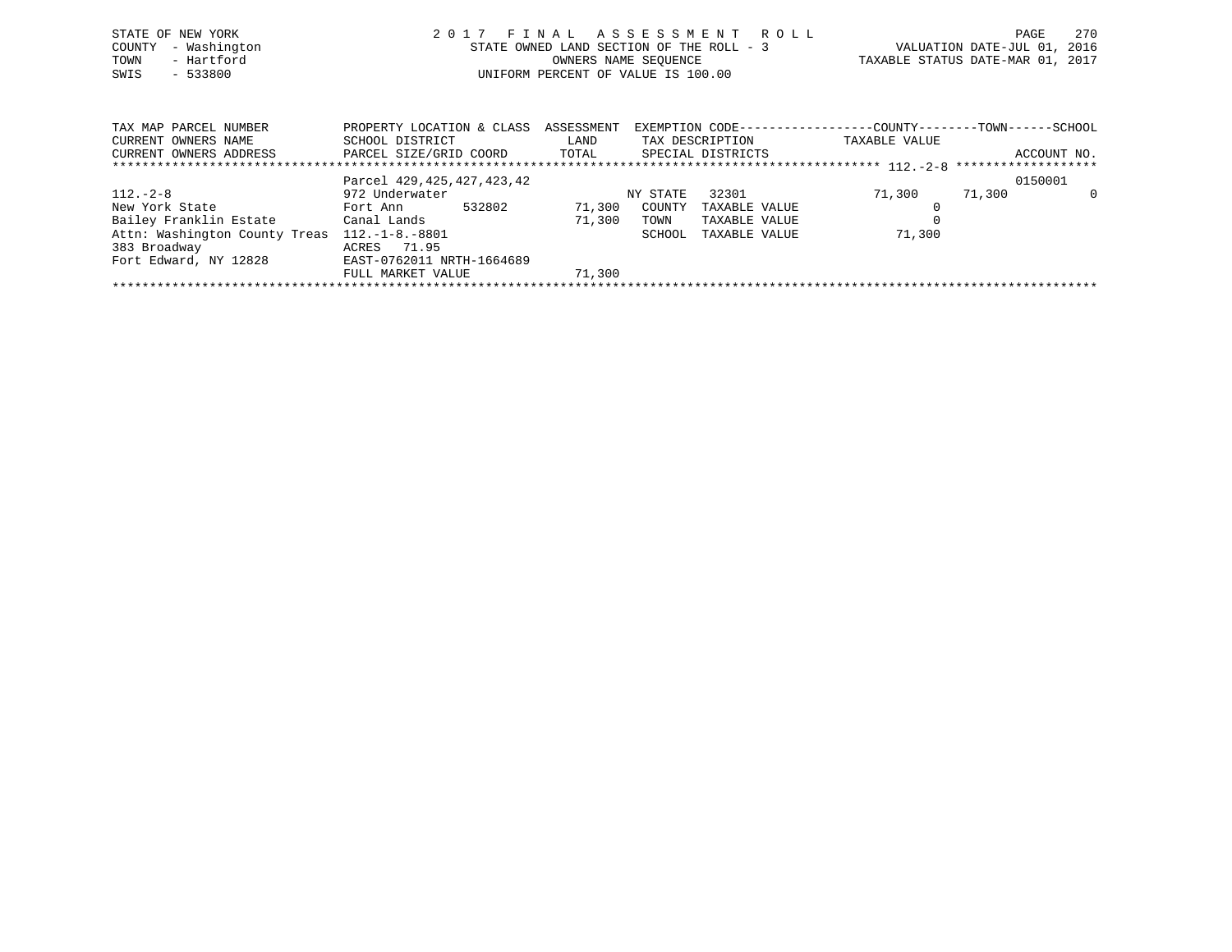| STATE OF NEW YORK<br>- Washington<br>COUNTY<br>- Hartford<br>TOWN<br>$-533800$<br>SWIS | 2017                                           | STATE OWNED LAND SECTION OF THE ROLL - 3<br>OWNERS NAME SEQUENCE<br>UNIFORM PERCENT OF VALUE IS 100.00 |                 | FINAL ASSESSMENT ROLL | VALUATION DATE-JUL 01, 2016<br>TAXABLE STATUS DATE-MAR 01, 2017 | PAGE   | 270         |
|----------------------------------------------------------------------------------------|------------------------------------------------|--------------------------------------------------------------------------------------------------------|-----------------|-----------------------|-----------------------------------------------------------------|--------|-------------|
| TAX MAP PARCEL NUMBER                                                                  | PROPERTY LOCATION & CLASS ASSESSMENT           |                                                                                                        |                 |                       | EXEMPTION CODE-----------------COUNTY-------TOWN------SCHOOL    |        |             |
| CURRENT OWNERS NAME                                                                    | SCHOOL DISTRICT                                | LAND                                                                                                   | TAX DESCRIPTION |                       | TAXABLE VALUE                                                   |        |             |
| CURRENT OWNERS ADDRESS                                                                 | PARCEL SIZE/GRID COORD TOTAL SPECIAL DISTRICTS |                                                                                                        |                 |                       |                                                                 |        | ACCOUNT NO. |
|                                                                                        |                                                |                                                                                                        |                 |                       |                                                                 |        |             |
|                                                                                        | Parcel 429, 425, 427, 423, 42                  |                                                                                                        |                 |                       |                                                                 |        | 0150001     |
| $112. - 2 - 8$                                                                         | 972 Underwater                                 |                                                                                                        | NY STATE        | 32301                 | 71,300                                                          | 71,300 | 0           |
| New York State                                                                         | 532802<br>Fort Ann                             | 71,300                                                                                                 | COUNTY          | TAXABLE VALUE         |                                                                 |        |             |
| Bailey Franklin Estate           Canal Lands                                           |                                                | 71,300                                                                                                 | TOWN            | TAXABLE VALUE         |                                                                 |        |             |
| Attn: Washington County Treas                                                          | $112. - 1 - 8. - 8801$                         |                                                                                                        | SCHOOL          | TAXABLE VALUE         | 71,300                                                          |        |             |
| 383 Broadway                                                                           | ACRES 71.95                                    |                                                                                                        |                 |                       |                                                                 |        |             |
| Fort Edward, NY 12828 EAST-0762011 NRTH-1664689                                        |                                                |                                                                                                        |                 |                       |                                                                 |        |             |

\*\*\*\*\*\*\*\*\*\*\*\*\*\*\*\*\*\*\*\*\*\*\*\*\*\*\*\*\*\*\*\*\*\*\*\*\*\*\*\*\*\*\*\*\*\*\*\*\*\*\*\*\*\*\*\*\*\*\*\*\*\*\*\*\*\*\*\*\*\*\*\*\*\*\*\*\*\*\*\*\*\*\*\*\*\*\*\*\*\*\*\*\*\*\*\*\*\*\*\*\*\*\*\*\*\*\*\*\*\*\*\*\*\*\*\*\*\*\*\*\*\*\*\*\*\*\*\*\*\*\*\*

FULL MARKET VALUE 71,300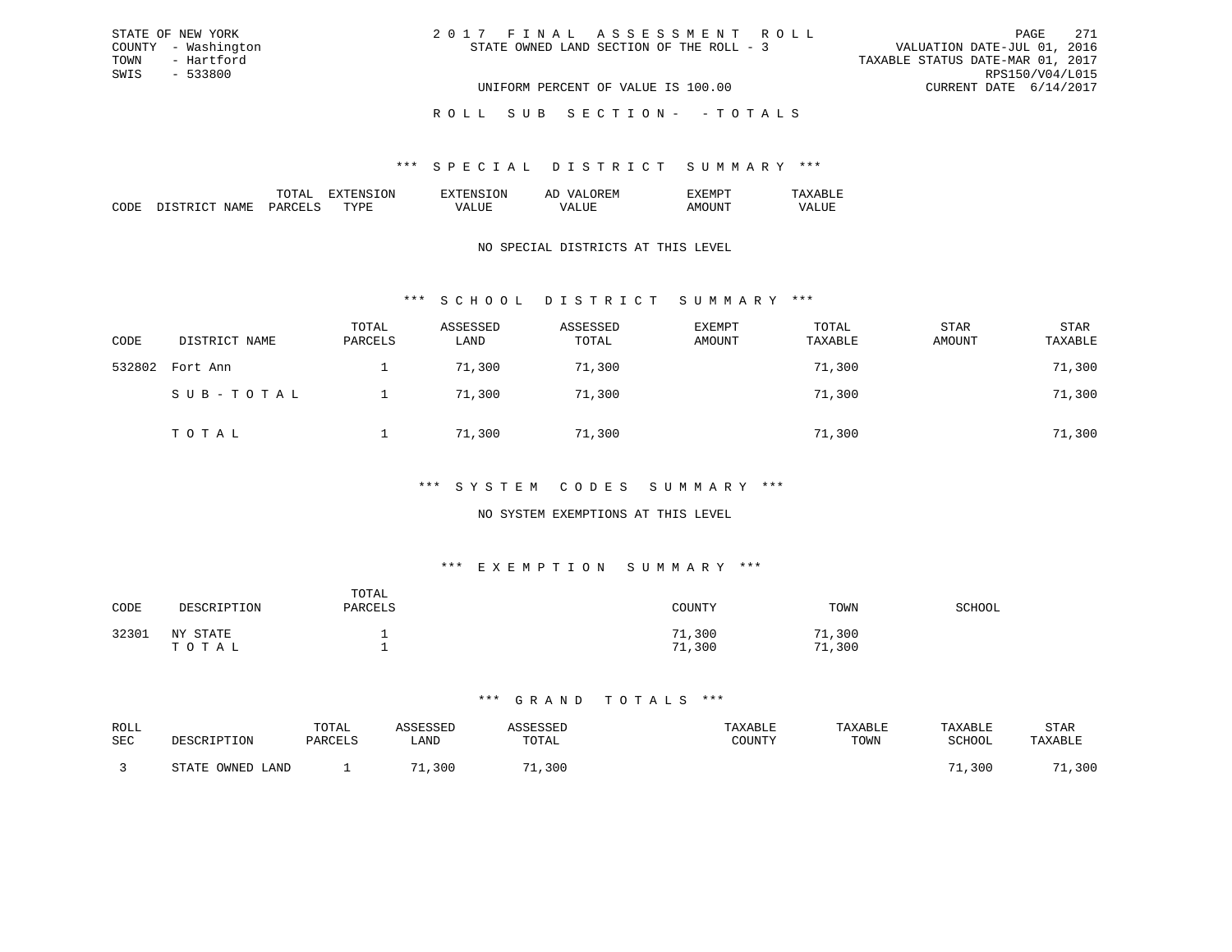| 2017 FINAL ASSESSMENT ROLL               |                                  | PAGE            | 2.71 |
|------------------------------------------|----------------------------------|-----------------|------|
| STATE OWNED LAND SECTION OF THE ROLL - 3 | VALUATION DATE-JUL 01, 2016      |                 |      |
|                                          | TAXABLE STATUS DATE-MAR 01, 2017 |                 |      |
|                                          |                                  | RPS150/V04/L015 |      |
| UNIFORM PERCENT OF VALUE IS 100.00       | CURRENT DATE 6/14/2017           |                 |      |

ROLL SUB SECTION - - TOTALS

#### \*\*\* S P E C I A L D I S T R I C T S U M M A R Y \*\*\*

|                    |    | זור<br>вv. | $\cdots$<br>-- |  |
|--------------------|----|------------|----------------|--|
| חר<br>,,,,,,<br>ľМ | m. |            |                |  |

STATE OF NEW YORK COUNTY - Washington TOWN - Hartford SWIS - 533800

# NO SPECIAL DISTRICTS AT THIS LEVEL

# \*\*\* S C H O O L D I S T R I C T S U M M A R Y \*\*\*

| CODE   | DISTRICT NAME | TOTAL<br>PARCELS | ASSESSED<br>LAND | ASSESSED<br>TOTAL | <b>EXEMPT</b><br>AMOUNT | TOTAL<br>TAXABLE | <b>STAR</b><br>AMOUNT | STAR<br>TAXABLE |
|--------|---------------|------------------|------------------|-------------------|-------------------------|------------------|-----------------------|-----------------|
| 532802 | Fort Ann      |                  | 71,300           | 71,300            |                         | 71,300           |                       | 71,300          |
|        | SUB-TOTAL     |                  | 71,300           | 71,300            |                         | 71,300           |                       | 71,300          |
|        | TOTAL         |                  | 71,300           | 71,300            |                         | 71,300           |                       | 71,300          |

# \*\*\* S Y S T E M C O D E S S U M M A R Y \*\*\*

# NO SYSTEM EXEMPTIONS AT THIS LEVEL

# \*\*\* E X E M P T I O N S U M M A R Y \*\*\*

| CODE  | DESCRIPTION          | TOTAL<br>PARCELS | <b>COUNTY</b>         | TOWN             | SCHOOL |
|-------|----------------------|------------------|-----------------------|------------------|--------|
| 32301 | NY<br>STATE<br>TOTAL |                  | 71,300<br>, 300<br>71 | 71,300<br>71,300 |        |

| ROLL |                  | TOTAL   | <i><b>\SSESSED</b></i> | ASSESSED    | TAXABLE | TAXABLE | TAXABLE       | <b>STAR</b> |
|------|------------------|---------|------------------------|-------------|---------|---------|---------------|-------------|
| SEC  | DESCRIPTION      | PARCELS | "JAND                  | TOTAL       | TOUNTY  | TOWN    | <b>SCHOOL</b> | TAXABLE     |
|      | STATE OWNED LAND |         | 71<br>,300             | 71<br>1,300 |         |         | 71<br>1,300   | 1,300       |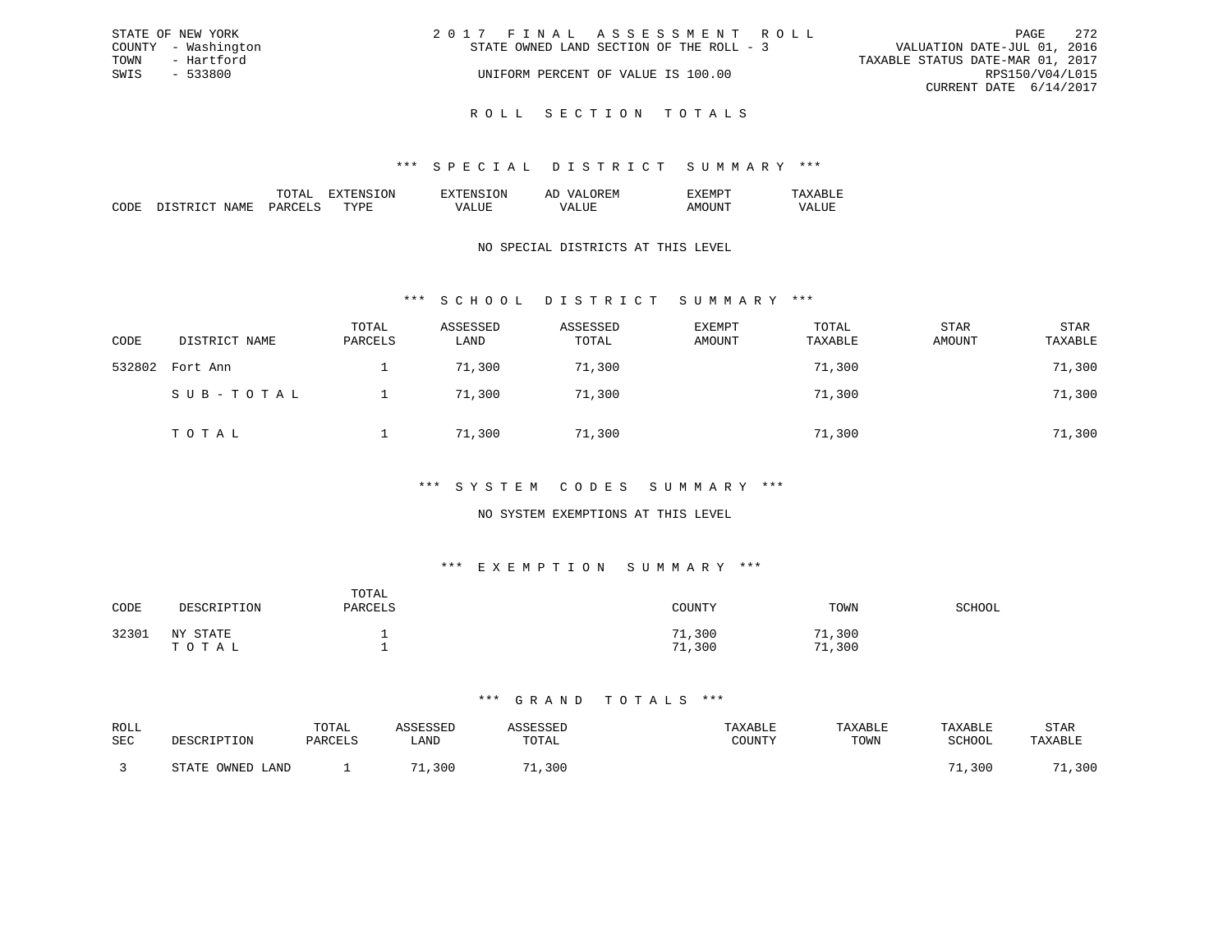| STATE OF NEW YORK   | 2017 FINAL ASSESSMENT ROLL               | - 272<br>PAGE                    |
|---------------------|------------------------------------------|----------------------------------|
| COUNTY - Washington | STATE OWNED LAND SECTION OF THE ROLL - 3 | VALUATION DATE-JUL 01, 2016      |
| - Hartford<br>TOWN  |                                          | TAXABLE STATUS DATE-MAR 01, 2017 |
| SWIS<br>- 533800    | UNIFORM PERCENT OF VALUE IS 100.00       | RPS150/V04/L015                  |
|                     |                                          | CURRENT DATE 6/14/2017           |
|                     |                                          |                                  |

R O L L S E C T I O N T O T A L S

### \*\*\* S P E C I A L D I S T R I C T S U M M A R Y \*\*\*

|                                                                                                                               |                      |    | $\cdots$ | . IVI<br>-- |  |
|-------------------------------------------------------------------------------------------------------------------------------|----------------------|----|----------|-------------|--|
| ┓<br>1 V I<br>the contract of the contract of the contract of the contract of the contract of the contract of the contract of | $\sim$ $\sim$ $\sim$ | m. |          |             |  |

# NO SPECIAL DISTRICTS AT THIS LEVEL

# \*\*\* S C H O O L D I S T R I C T S U M M A R Y \*\*\*

| CODE   | DISTRICT NAME | TOTAL<br>PARCELS | ASSESSED<br>LAND | ASSESSED<br>TOTAL | EXEMPT<br>AMOUNT | TOTAL<br>TAXABLE | <b>STAR</b><br>AMOUNT | <b>STAR</b><br>TAXABLE |
|--------|---------------|------------------|------------------|-------------------|------------------|------------------|-----------------------|------------------------|
| 532802 | Fort Ann      |                  | 71,300           | 71,300            |                  | 71,300           |                       | 71,300                 |
|        | SUB-TOTAL     |                  | 71,300           | 71,300            |                  | 71,300           |                       | 71,300                 |
|        | TOTAL         |                  | 71,300           | 71,300            |                  | 71,300           |                       | 71,300                 |

## \*\*\* S Y S T E M C O D E S S U M M A R Y \*\*\*

# NO SYSTEM EXEMPTIONS AT THIS LEVEL

# \*\*\* E X E M P T I O N S U M M A R Y \*\*\*

| CODE  | DESCRIPTION          | TOTAL<br>PARCELS | <b>COUNTY</b>         | TOWN             | SCHOOL |
|-------|----------------------|------------------|-----------------------|------------------|--------|
| 32301 | NY<br>STATE<br>TOTAL |                  | 71,300<br>, 300<br>71 | 71,300<br>71,300 |        |

| ROLL<br>SEC | DESCRIPTION                    | TOTAL<br>PARCELS | SSESSED<br>LAND | <b>SSESSED</b><br>TOTAL | TAXABLE<br>COUNTY | TAXABLE<br>TOWN | TAXABLE<br>SCHOOL | STAR<br>TAXABLE |
|-------------|--------------------------------|------------------|-----------------|-------------------------|-------------------|-----------------|-------------------|-----------------|
|             | OWNED.<br><b>CTATF</b><br>LAND |                  | 300             | .,300                   |                   |                 | 1,300             | 300             |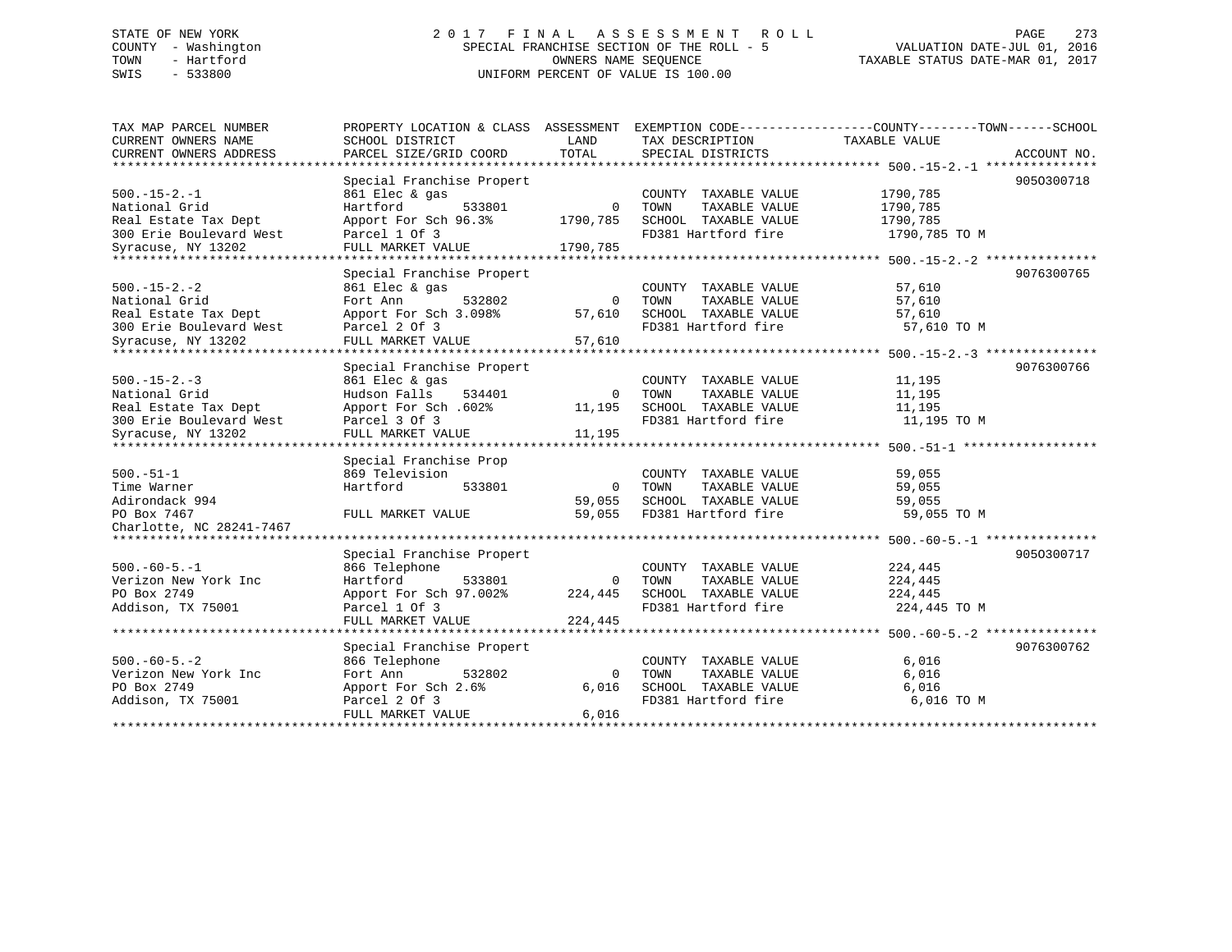# STATE OF NEW YORK 2 0 1 7 F I N A L A S S E S S M E N T R O L L PAGE 273 COUNTY - Washington SPECIAL FRANCHISE SECTION OF THE ROLL - 5 VALUATION DATE-JUL 01, 2016 TOWN - Hartford OWNERS NAME SEQUENCE TAXABLE STATUS DATE-MAR 01, 2017 SWIS - 533800 UNIFORM PERCENT OF VALUE IS 100.00

| TAX MAP PARCEL NUMBER<br>CURRENT OWNERS NAME | PROPERTY LOCATION & CLASS ASSESSMENT<br>SCHOOL DISTRICT | LAND           | TAX DESCRIPTION       | EXEMPTION CODE-----------------COUNTY-------TOWN------SCHOOL<br>TAXABLE VALUE |             |
|----------------------------------------------|---------------------------------------------------------|----------------|-----------------------|-------------------------------------------------------------------------------|-------------|
| CURRENT OWNERS ADDRESS                       | PARCEL SIZE/GRID COORD                                  | TOTAL          | SPECIAL DISTRICTS     |                                                                               | ACCOUNT NO. |
|                                              |                                                         |                |                       |                                                                               |             |
|                                              | Special Franchise Propert                               |                |                       |                                                                               | 9050300718  |
| $500. -15 - 2. -1$                           | 861 Elec & gas                                          |                | COUNTY TAXABLE VALUE  | 1790,785                                                                      |             |
| National Grid                                | Hartford<br>533801                                      | $\mathbf 0$    | TOWN<br>TAXABLE VALUE | 1790,785                                                                      |             |
| Real Estate Tax Dept                         | Apport For Sch 96.3%                                    | 1790,785       | SCHOOL TAXABLE VALUE  | 1790,785                                                                      |             |
| 300 Erie Boulevard West                      | Parcel 1 Of 3                                           |                | FD381 Hartford fire   | 1790,785 TO M                                                                 |             |
| Syracuse, NY 13202                           | FULL MARKET VALUE                                       | 1790,785       |                       |                                                                               |             |
| ***********************                      | **********************                                  |                |                       |                                                                               |             |
|                                              | Special Franchise Propert                               |                |                       |                                                                               | 9076300765  |
| $500. -15 - 2. -2$                           | 861 Elec & gas                                          |                | COUNTY TAXABLE VALUE  | 57,610                                                                        |             |
| National Grid                                | Fort Ann<br>532802                                      | 0              | TOWN<br>TAXABLE VALUE | 57,610                                                                        |             |
| Real Estate Tax Dept                         | Apport For Sch 3.098%                                   | 57,610         | SCHOOL TAXABLE VALUE  | 57,610                                                                        |             |
| 300 Erie Boulevard West                      | Parcel 2 Of 3                                           |                | FD381 Hartford fire   | 57,610 TO M                                                                   |             |
| Syracuse, NY 13202                           | FULL MARKET VALUE                                       | 57,610         |                       |                                                                               |             |
| *******************                          |                                                         |                |                       |                                                                               |             |
|                                              | Special Franchise Propert                               |                |                       |                                                                               | 9076300766  |
| $500. -15 - 2. -3$                           | 861 Elec & gas                                          |                | COUNTY TAXABLE VALUE  | 11,195                                                                        |             |
| National Grid                                | Hudson Falls<br>534401                                  | 0              | TOWN<br>TAXABLE VALUE | 11,195                                                                        |             |
| Real Estate Tax Dept                         | Apport For Sch. 602%                                    | 11,195         | SCHOOL TAXABLE VALUE  | 11,195                                                                        |             |
| 300 Erie Boulevard West                      | Parcel 3 Of 3                                           |                | FD381 Hartford fire   | 11,195 TO M                                                                   |             |
| Syracuse, NY 13202                           | FULL MARKET VALUE                                       | 11,195         |                       |                                                                               |             |
|                                              |                                                         |                |                       |                                                                               |             |
|                                              | Special Franchise Prop                                  |                |                       |                                                                               |             |
| $500. - 51 - 1$                              | 869 Television                                          |                | COUNTY TAXABLE VALUE  | 59,055                                                                        |             |
| Time Warner                                  | Hartford<br>533801                                      | 0              | TAXABLE VALUE<br>TOWN | 59,055                                                                        |             |
| Adirondack 994                               |                                                         | 59,055         | SCHOOL TAXABLE VALUE  | 59,055                                                                        |             |
| PO Box 7467                                  | FULL MARKET VALUE                                       | 59,055         | FD381 Hartford fire   | 59,055 TO M                                                                   |             |
| Charlotte, NC 28241-7467                     |                                                         |                |                       |                                                                               |             |
|                                              |                                                         |                |                       |                                                                               |             |
|                                              | Special Franchise Propert                               |                |                       |                                                                               | 9050300717  |
| $500. -60 - 5. -1$                           | 866 Telephone                                           |                | COUNTY TAXABLE VALUE  | 224,445                                                                       |             |
| Verizon New York Inc                         | Hartford<br>533801                                      | $\overline{0}$ | TAXABLE VALUE<br>TOWN | 224,445                                                                       |             |
| PO Box 2749                                  | Apport For Sch 97.002%                                  | 224,445        | SCHOOL TAXABLE VALUE  | 224,445                                                                       |             |
| Addison, TX 75001                            | Parcel 1 Of 3                                           |                | FD381 Hartford fire   | 224,445 TO M                                                                  |             |
|                                              | FULL MARKET VALUE                                       | 224,445        |                       |                                                                               |             |
|                                              |                                                         |                |                       |                                                                               |             |
|                                              | Special Franchise Propert                               |                |                       |                                                                               | 9076300762  |
| $500. -60 - 5. - 2$                          | 866 Telephone                                           |                | COUNTY TAXABLE VALUE  | 6,016                                                                         |             |
| Verizon New York Inc                         | Fort Ann<br>532802                                      | 0              | TOWN<br>TAXABLE VALUE | 6,016                                                                         |             |
| PO Box 2749                                  | Apport For Sch 2.6%                                     | 6,016          | SCHOOL TAXABLE VALUE  | 6,016                                                                         |             |
| Addison, TX 75001                            | Parcel 2 Of 3                                           |                | FD381 Hartford fire   | 6,016 TO M                                                                    |             |
|                                              | FULL MARKET VALUE                                       | 6,016          |                       |                                                                               |             |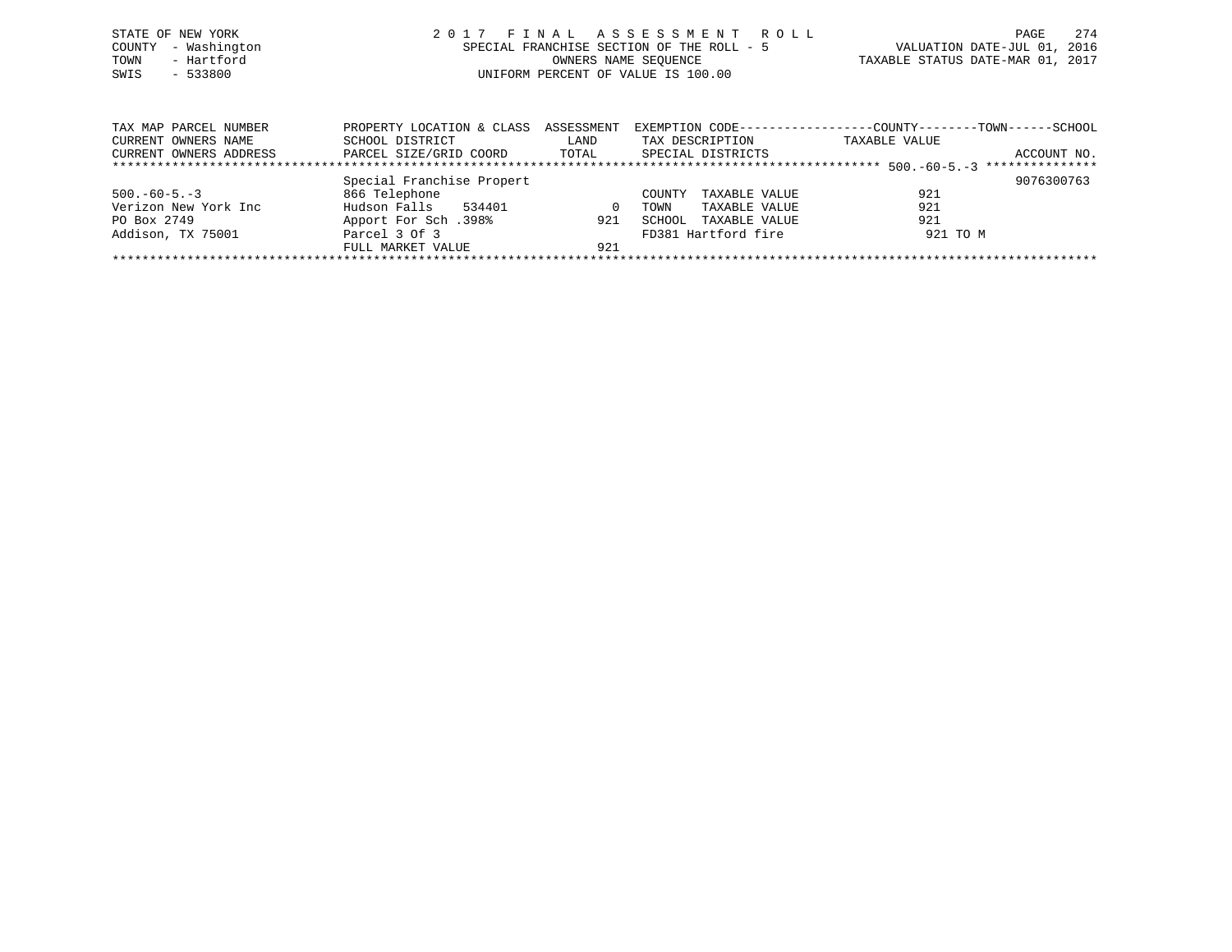| STATE OF NEW YORK   | 2017 FINAL ASSESSMENT ROLL                | 2.74<br>PAGE                     |
|---------------------|-------------------------------------------|----------------------------------|
| COUNTY - Washington | SPECIAL FRANCHISE SECTION OF THE ROLL - 5 | VALUATION DATE-JUL 01, 2016      |
| - Hartford<br>TOWN  | OWNERS NAME SEOUENCE                      | TAXABLE STATUS DATE-MAR 01, 2017 |
| SWIS<br>- 533800    | UNIFORM PERCENT OF VALUE IS 100.00        |                                  |
|                     |                                           |                                  |
|                     |                                           |                                  |
|                     |                                           |                                  |

| TAX MAP PARCEL NUMBER  | PROPERTY LOCATION & CLASS ASSESSMENT |          | EXEMPTION CODE----------------- | -COUNTY--------TOWN------SCHOOL |             |
|------------------------|--------------------------------------|----------|---------------------------------|---------------------------------|-------------|
| CURRENT OWNERS NAME    | SCHOOL DISTRICT                      | LAND     | TAX DESCRIPTION                 | TAXABLE VALUE                   |             |
| CURRENT OWNERS ADDRESS | PARCEL SIZE/GRID COORD               | TOTAL    | SPECIAL DISTRICTS               |                                 | ACCOUNT NO. |
|                        |                                      |          |                                 |                                 |             |
|                        | Special Franchise Propert            |          |                                 |                                 | 9076300763  |
| $500. -60 - 5. -3$     | 866 Telephone                        |          | TAXABLE VALUE<br>COUNTY         | 921                             |             |
| Verizon New York Inc   | Hudson Falls<br>534401               | $\Omega$ | TAXABLE VALUE<br>TOWN           | 921                             |             |
| PO Box 2749            | Apport For Sch.398%                  | 921      | TAXABLE VALUE<br>SCHOOL         | 921                             |             |
| Addison, TX 75001      | Parcel 3 Of 3                        |          | FD381 Hartford fire             | 921 TO M                        |             |
|                        | FULL MARKET VALUE                    | 921      |                                 |                                 |             |
|                        |                                      |          |                                 |                                 |             |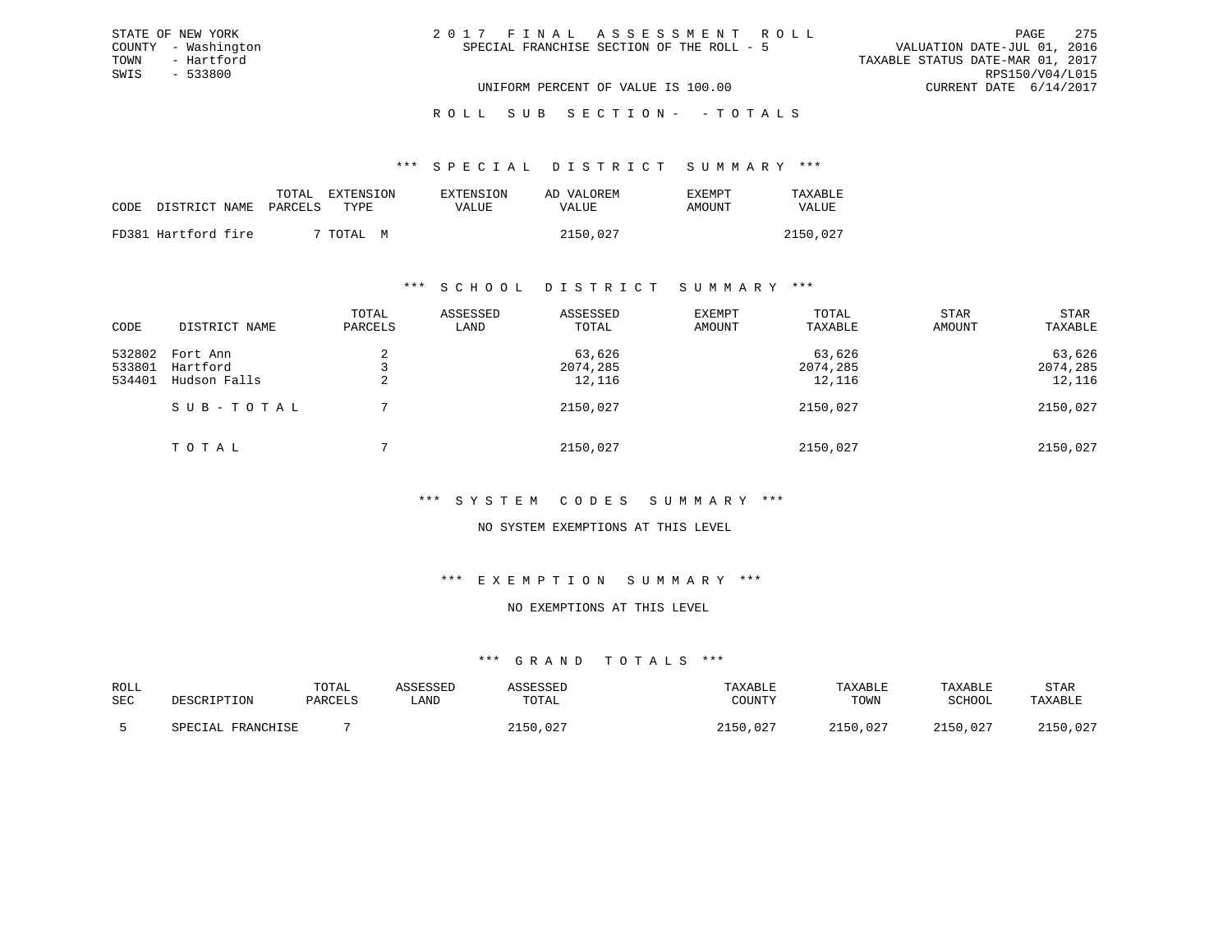| 2017 FINAL ASSESSMENT ROLL |                                           |                                  |                             | PAGE 275 |
|----------------------------|-------------------------------------------|----------------------------------|-----------------------------|----------|
|                            | SPECIAL FRANCHISE SECTION OF THE ROLL - 5 |                                  | VALUATION DATE-JUL 01, 2016 |          |
|                            |                                           | TAXABLE STATUS DATE-MAR 01, 2017 |                             |          |
|                            |                                           |                                  | RPS150/V04/L015             |          |
|                            | UNIFORM PERCENT OF VALUE IS 100.00        |                                  | CURRENT DATE 6/14/2017      |          |

ROLL SUB SECTION - - TOTALS

#### \*\*\* S P E C I A L D I S T R I C T S U M M A R Y \*\*\*

|      |                     | TOTAL   | EXTENSION    | EXTENSION | AD VALOREM | EXEMPT | TAXABLE  |
|------|---------------------|---------|--------------|-----------|------------|--------|----------|
| CODE | DISTRICT NAME       | PARCELS | TYPE.        | VALUE     | VALUE      | AMOUNT | VALUE    |
|      | FD381 Hartford fire |         | 7 TOTAL<br>M |           | 2150,027   |        | 2150,027 |

STATE OF NEW YORK COUNTY - Washington TOWN - Hartford SWIS - 533800

#### \*\*\* S C H O O L D I S T R I C T S U M M A R Y \*\*\*

| CODE                       | DISTRICT NAME                        | TOTAL<br>PARCELS | ASSESSED<br>LAND | ASSESSED<br>TOTAL            | EXEMPT<br>AMOUNT | TOTAL<br>TAXABLE             | <b>STAR</b><br>AMOUNT | STAR<br>TAXABLE              |
|----------------------------|--------------------------------------|------------------|------------------|------------------------------|------------------|------------------------------|-----------------------|------------------------------|
| 532802<br>533801<br>534401 | Fort Ann<br>Hartford<br>Hudson Falls | ∠<br>∠           |                  | 63,626<br>2074,285<br>12,116 |                  | 63,626<br>2074,285<br>12,116 |                       | 63,626<br>2074,285<br>12,116 |
|                            | SUB-TOTAL                            |                  |                  | 2150,027                     |                  | 2150,027                     |                       | 2150,027                     |
|                            | TOTAL                                |                  |                  | 2150,027                     |                  | 2150,027                     |                       | 2150,027                     |

## \*\*\* S Y S T E M C O D E S S U M M A R Y \*\*\*

### NO SYSTEM EXEMPTIONS AT THIS LEVEL

#### \*\*\* E X E M P T I O N S U M M A R Y \*\*\*

# NO EXEMPTIONS AT THIS LEVEL

| ROLL<br><b>SEC</b> | DESCRIPTION                 | TOTAL<br>PARCELS | SSESSEI<br>. AND | SSESSED<br>TOTAL | TAXABLE<br>COUNTY | TAXABLE<br>TOWN | TAXABLE<br>SCHOOL | <b>STAR</b><br>TAXABLE |
|--------------------|-----------------------------|------------------|------------------|------------------|-------------------|-----------------|-------------------|------------------------|
|                    | <b>FRANCHISE</b><br>SPECTAL |                  |                  | ∩ິດ⊏<br>، ب _    | .027              | 2150<br>,027    | 150,027           | $\cap$ $\cap$<br>. UZ  |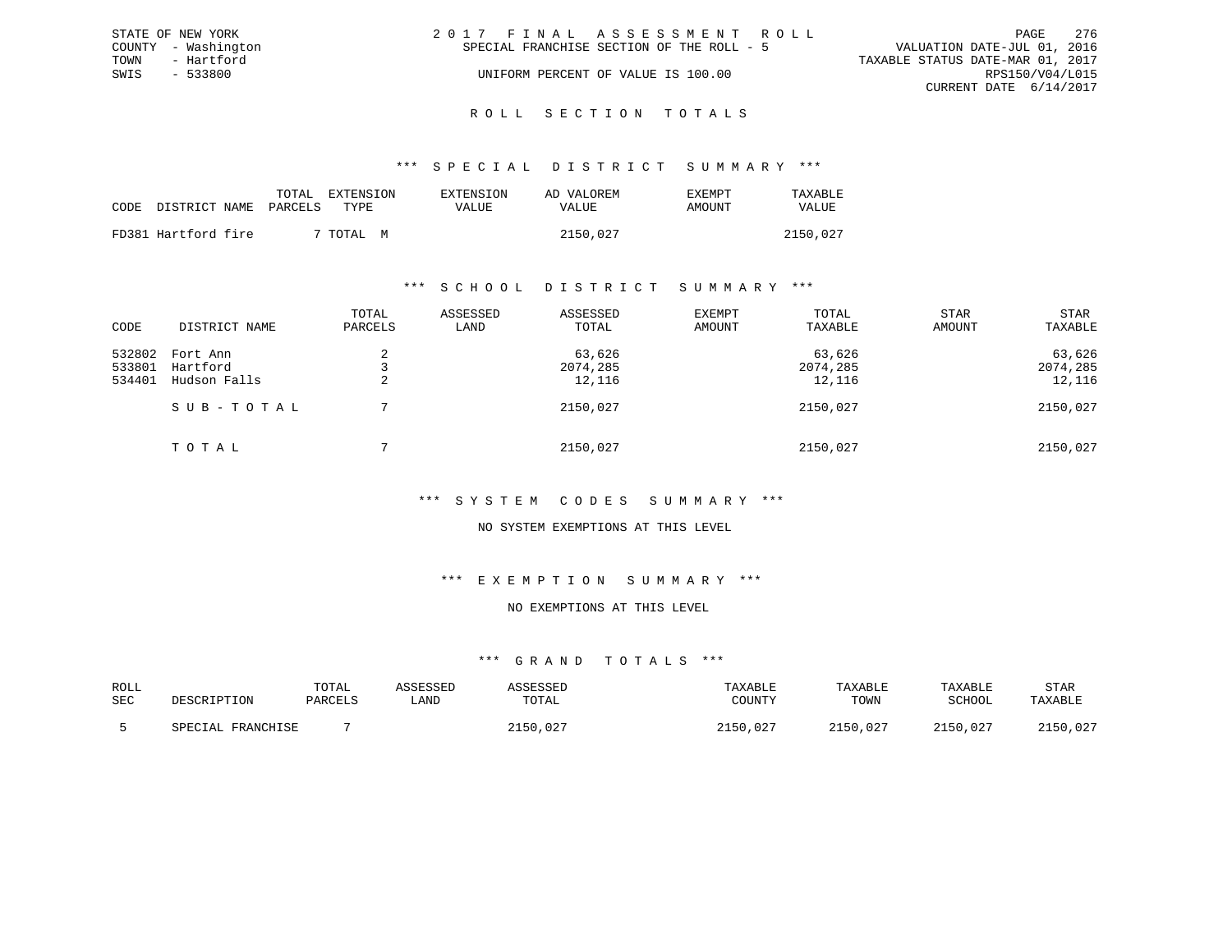|      | STATE OF NEW YORK   | 2017 FINAL ASSESSMENT ROLL                                               | PAGE            | - 276 |
|------|---------------------|--------------------------------------------------------------------------|-----------------|-------|
|      | COUNTY - Washington | VALUATION DATE-JUL 01, 2016<br>SPECIAL FRANCHISE SECTION OF THE ROLL - 5 |                 |       |
| TOWN | - Hartford          | TAXABLE STATUS DATE-MAR 01, 2017                                         |                 |       |
| SWIS | $-533800$           | UNIFORM PERCENT OF VALUE IS 100.00                                       | RPS150/V04/L015 |       |
|      |                     | CURRENT DATE 6/14/2017                                                   |                 |       |
|      |                     |                                                                          |                 |       |

ROLL SECTION TOTALS

### \*\*\* S P E C I A L D I S T R I C T S U M M A R Y \*\*\*

|                     | TOTAL   | EXTENSION<br>TYPE. | <b>EXTENSION</b> | AD VALOREM | EXEMPT | TAXABLE      |
|---------------------|---------|--------------------|------------------|------------|--------|--------------|
| CODE DISTRICT NAME  | PARCELS |                    | VALUE            | VALUE      | AMOUNT | <b>VALUE</b> |
| FD381 Hartford fire |         | 7 TOTAL<br>M       |                  | 2150,027   |        | 2150,027     |

### \*\*\* S C H O O L D I S T R I C T S U M M A R Y \*\*\*

| CODE                       | DISTRICT NAME                        | TOTAL<br>PARCELS | ASSESSED<br>LAND | ASSESSED<br>TOTAL            | EXEMPT<br>AMOUNT | TOTAL<br>TAXABLE             | <b>STAR</b><br>AMOUNT | STAR<br>TAXABLE              |
|----------------------------|--------------------------------------|------------------|------------------|------------------------------|------------------|------------------------------|-----------------------|------------------------------|
| 532802<br>533801<br>534401 | Fort Ann<br>Hartford<br>Hudson Falls |                  |                  | 63,626<br>2074,285<br>12,116 |                  | 63,626<br>2074,285<br>12,116 |                       | 63,626<br>2074,285<br>12,116 |
|                            | SUB-TOTAL                            |                  |                  | 2150,027                     |                  | 2150,027                     |                       | 2150,027                     |
|                            | TOTAL                                |                  |                  | 2150,027                     |                  | 2150,027                     |                       | 2150,027                     |

## \*\*\* S Y S T E M C O D E S S U M M A R Y \*\*\*

### NO SYSTEM EXEMPTIONS AT THIS LEVEL

#### \*\*\* E X E M P T I O N S U M M A R Y \*\*\*

## NO EXEMPTIONS AT THIS LEVEL

| ROLL<br>SEC | DESCRIPTION                 | TOTAL<br>PARCELS | SSESSEL<br>∟AND | <sup>~</sup> SESSED<br>TOTAL | TAXABLE<br><b>IOTTATTLY</b><br>UUNI | TAXABLE<br>TOWN | TAXABLE<br>SCHOOL | <b>STAR</b><br>TAXABLE |
|-------------|-----------------------------|------------------|-----------------|------------------------------|-------------------------------------|-----------------|-------------------|------------------------|
|             | FRANCHICF<br><b>SDRCTAL</b> |                  |                 | $\cap$<br>.50<br>. U 4       | .027<br>2150                        | 2150.<br>,027   | 2150,027          | $\cap$<br>. UZ         |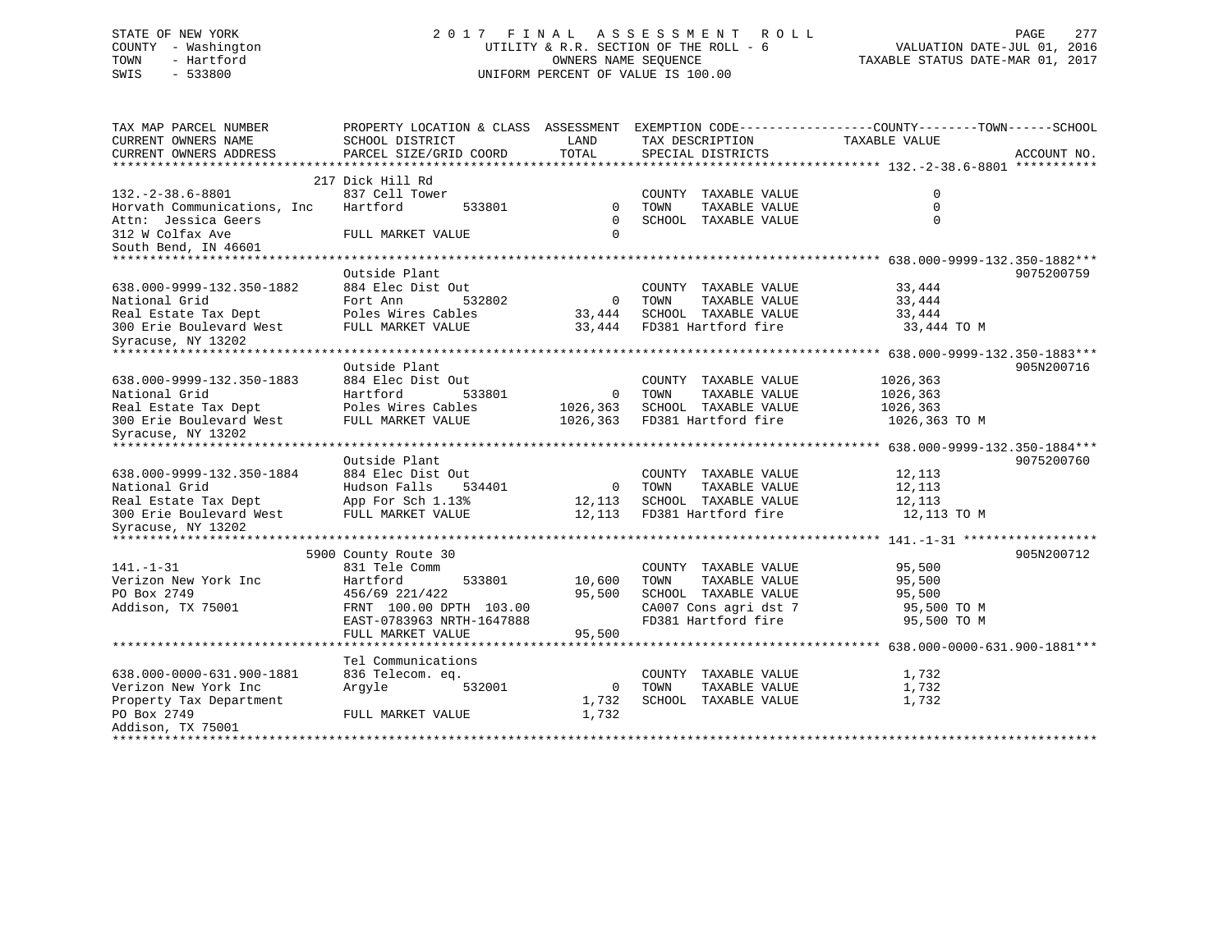# STATE OF NEW YORK 2 0 1 7 F I N A L A S S E S S M E N T R O L L PAGE 277 COUNTY - Washington UTILITY & R.R. SECTION OF THE ROLL - 6 VALUATION DATE-JUL 01, 2016 TOWN - Hartford OWNERS NAME SEQUENCE TAXABLE STATUS DATE-MAR 01, 2017 SWIS - 533800 UNIFORM PERCENT OF VALUE IS 100.00

| TAX MAP PARCEL NUMBER<br>CURRENT OWNERS NAME<br>CURRENT OWNERS ADDRESS | PROPERTY LOCATION & CLASS ASSESSMENT<br>SCHOOL DISTRICT<br>PARCEL SIZE/GRID COORD | LAND<br>TOTAL  | TAX DESCRIPTION<br>SPECIAL DISTRICTS | EXEMPTION CODE-----------------COUNTY--------TOWN------SCHOOL<br>TAXABLE VALUE | ACCOUNT NO. |
|------------------------------------------------------------------------|-----------------------------------------------------------------------------------|----------------|--------------------------------------|--------------------------------------------------------------------------------|-------------|
|                                                                        |                                                                                   |                |                                      |                                                                                |             |
|                                                                        | 217 Dick Hill Rd                                                                  |                |                                      |                                                                                |             |
| $132. -2 - 38.6 - 8801$                                                | 837 Cell Tower                                                                    |                | COUNTY TAXABLE VALUE                 | $\mathbf 0$                                                                    |             |
| Horvath Communications, Inc.                                           | Hartford<br>533801                                                                | $\Omega$       | TAXABLE VALUE<br>TOWN                | $\Omega$                                                                       |             |
| Attn: Jessica Geers                                                    |                                                                                   | $\Omega$       | SCHOOL TAXABLE VALUE                 | $\Omega$                                                                       |             |
| 312 W Colfax Ave                                                       | FULL MARKET VALUE                                                                 | $\mathbf 0$    |                                      |                                                                                |             |
| South Bend, IN 46601                                                   |                                                                                   |                |                                      |                                                                                |             |
|                                                                        |                                                                                   |                |                                      |                                                                                |             |
|                                                                        | Outside Plant                                                                     |                |                                      |                                                                                | 9075200759  |
| 638.000-9999-132.350-1882                                              | 884 Elec Dist Out                                                                 |                | COUNTY TAXABLE VALUE                 | 33,444                                                                         |             |
| National Grid                                                          | Fort Ann<br>532802                                                                | $\overline{0}$ | TOWN<br>TAXABLE VALUE                | 33,444                                                                         |             |
| Real Estate Tax Dept                                                   | Poles Wires Cables                                                                | 33,444         | SCHOOL TAXABLE VALUE                 | 33,444                                                                         |             |
| 300 Erie Boulevard West                                                | FULL MARKET VALUE                                                                 | 33,444         | FD381 Hartford fire                  | 33,444 TO M                                                                    |             |
| Syracuse, NY 13202                                                     |                                                                                   |                |                                      |                                                                                |             |
|                                                                        |                                                                                   |                |                                      |                                                                                |             |
|                                                                        | Outside Plant                                                                     |                |                                      |                                                                                | 905N200716  |
| 638.000-9999-132.350-1883                                              | 884 Elec Dist Out                                                                 |                | COUNTY TAXABLE VALUE                 | 1026,363                                                                       |             |
| National Grid                                                          | Hartford<br>533801                                                                | $\mathbf 0$    | TAXABLE VALUE<br>TOWN                | 1026,363                                                                       |             |
| Real Estate Tax Dept                                                   | Poles Wires Cables                                                                | 1026,363       | SCHOOL TAXABLE VALUE                 | 1026,363                                                                       |             |
| 300 Erie Boulevard West                                                | FULL MARKET VALUE                                                                 | 1026,363       | FD381 Hartford fire                  | 1026,363 TO M                                                                  |             |
| Syracuse, NY 13202                                                     |                                                                                   |                |                                      |                                                                                |             |
|                                                                        |                                                                                   |                |                                      |                                                                                |             |
|                                                                        | Outside Plant                                                                     |                |                                      |                                                                                | 9075200760  |
| 638.000-9999-132.350-1884                                              | 884 Elec Dist Out                                                                 |                | COUNTY TAXABLE VALUE                 | 12,113                                                                         |             |
| National Grid                                                          | Hudson Falls<br>534401                                                            | $\mathbf 0$    | TOWN<br>TAXABLE VALUE                | 12,113                                                                         |             |
| Real Estate Tax Dept                                                   | App For Sch 1.13%                                                                 | 12,113         | SCHOOL TAXABLE VALUE                 | 12,113                                                                         |             |
| 300 Erie Boulevard West                                                | FULL MARKET VALUE                                                                 | 12,113         | FD381 Hartford fire                  | 12,113 TO M                                                                    |             |
| Syracuse, NY 13202                                                     |                                                                                   |                |                                      |                                                                                |             |
|                                                                        |                                                                                   |                |                                      |                                                                                |             |
|                                                                        | 5900 County Route 30                                                              |                |                                      |                                                                                | 905N200712  |
| $141. - 1 - 31$                                                        | 831 Tele Comm                                                                     |                | COUNTY TAXABLE VALUE                 | 95,500                                                                         |             |
| Verizon New York Inc                                                   | Hartford<br>533801                                                                | 10,600         | TOWN<br>TAXABLE VALUE                | 95,500                                                                         |             |
| PO Box 2749                                                            | 456/69 221/422                                                                    | 95,500         | SCHOOL TAXABLE VALUE                 | 95,500                                                                         |             |
| Addison, TX 75001                                                      | FRNT 100.00 DPTH 103.00                                                           |                | CA007 Cons agri dst 7                | 95,500 TO M                                                                    |             |
|                                                                        | EAST-0783963 NRTH-1647888                                                         |                | FD381 Hartford fire                  | 95,500 TO M                                                                    |             |
|                                                                        | FULL MARKET VALUE                                                                 | 95,500         |                                      |                                                                                |             |
|                                                                        |                                                                                   |                |                                      |                                                                                |             |
|                                                                        | Tel Communications                                                                |                |                                      |                                                                                |             |
| 638.000-0000-631.900-1881                                              | 836 Telecom. eq.                                                                  |                | COUNTY TAXABLE VALUE                 | 1,732                                                                          |             |
| Verizon New York Inc                                                   | 532001<br>Argyle                                                                  | $\mathbf 0$    | TOWN<br>TAXABLE VALUE                | 1,732                                                                          |             |
| Property Tax Department                                                |                                                                                   | 1,732          | SCHOOL TAXABLE VALUE                 | 1,732                                                                          |             |
| PO Box 2749                                                            | FULL MARKET VALUE                                                                 | 1,732          |                                      |                                                                                |             |
| Addison, TX 75001                                                      |                                                                                   |                |                                      |                                                                                |             |
|                                                                        |                                                                                   |                |                                      |                                                                                |             |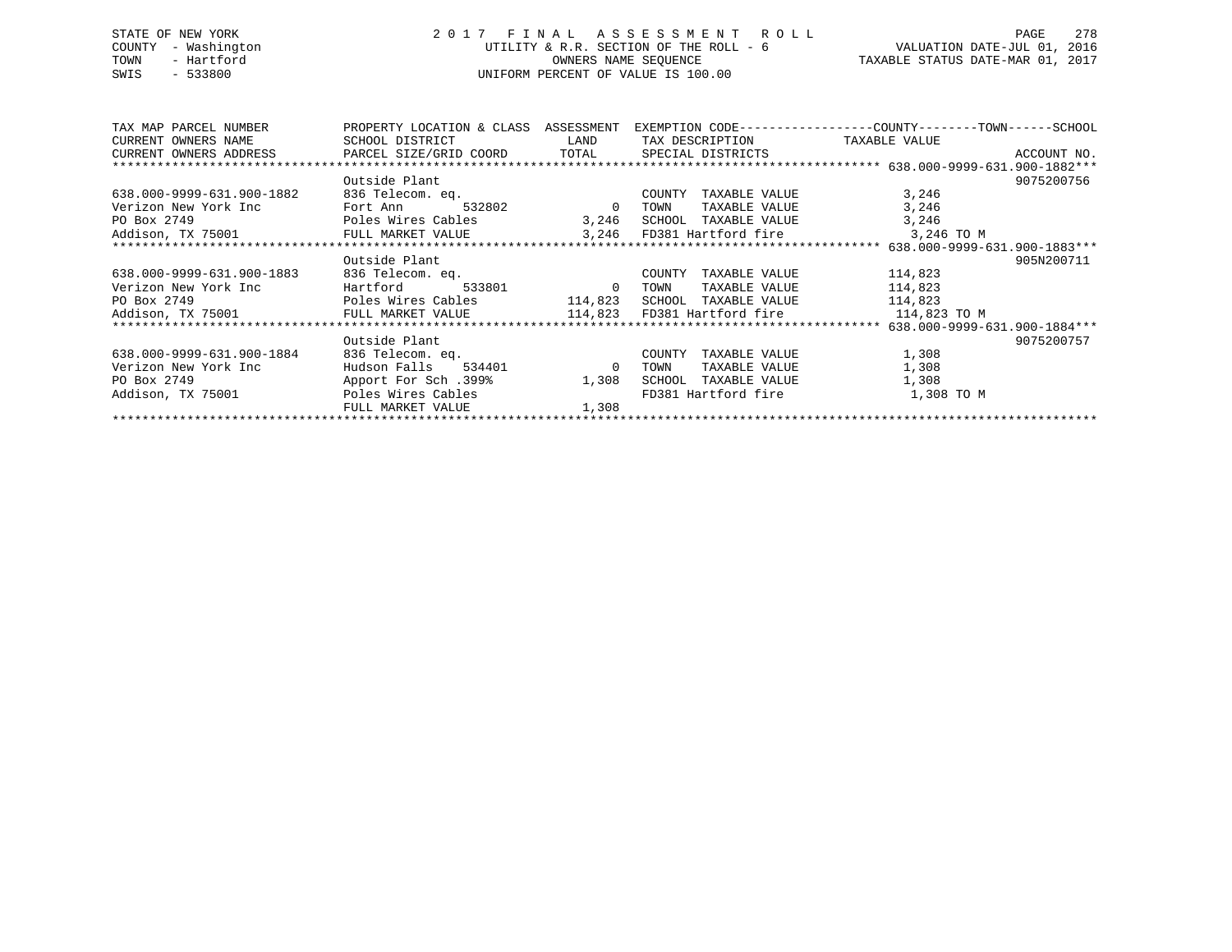# STATE OF NEW YORK 2 0 1 7 F I N A L A S S E S S M E N T R O L L PAGE 278 COUNTY - Washington UTILITY & R.R. SECTION OF THE ROLL - 6 VALUATION DATE-JUL 01, 2016 TOWN - Hartford **TAXABLE STATUS DATE-MAR 01, 2017** SWIS - 533800 UNIFORM PERCENT OF VALUE IS 100.00

| TAX MAP PARCEL NUMBER                                                             | PROPERTY LOCATION & CLASS | ASSESSMENT                        |                                      | EXEMPTION CODE-----------------COUNTY-------TOWN------SCHOOL |             |
|-----------------------------------------------------------------------------------|---------------------------|-----------------------------------|--------------------------------------|--------------------------------------------------------------|-------------|
| CURRENT OWNERS NAME                                                               | SCHOOL DISTRICT           | <b>LAND</b>                       | TAX DESCRIPTION                      | TAXABLE VALUE                                                |             |
| CURRENT OWNERS ADDRESS     PARCEL SIZE/GRID COORD     TOTAL     SPECIAL DISTRICTS |                           |                                   |                                      |                                                              | ACCOUNT NO. |
|                                                                                   |                           |                                   |                                      |                                                              |             |
|                                                                                   | Outside Plant             |                                   |                                      |                                                              | 9075200756  |
| 638.000-9999-631.900-1882                                                         | 836 Telecom. eq.          |                                   | COUNTY<br>TAXABLE VALUE              | 3,246                                                        |             |
| Verizon New York Inc                                                              | Fort Ann<br>532802        | $\sim$ 0 $\sim$ 0 $\sim$ 0 $\sim$ | TOWN<br>TAXABLE VALUE                | 3,246                                                        |             |
| PO Box 2749                                                                       | Poles Wires Cables        |                                   | 3,246 SCHOOL TAXABLE VALUE           | 3,246                                                        |             |
| Addison, TX 75001 TULL MARKET VALUE                                               |                           |                                   | 3,246 FD381 Hartford fire 3,246 TO M |                                                              |             |
|                                                                                   |                           |                                   |                                      |                                                              |             |
|                                                                                   | Outside Plant             |                                   |                                      |                                                              | 905N200711  |
| 638.000-9999-631.900-1883                                                         | 836 Telecom. eq.          |                                   | COUNTY<br>TAXABLE VALUE              | 114,823                                                      |             |
| Verizon New York Inc                                                              | Hartford                  | 533801 0                          | TOWN<br>TAXABLE VALUE                | 114,823                                                      |             |
| PO Box 2749                                                                       |                           |                                   |                                      | 114,823                                                      |             |
| Addison, TX 75001 FULL MARKET VALUE 114,823 FD381 Hartford fire 114,823 TO M      |                           |                                   |                                      |                                                              |             |
|                                                                                   |                           |                                   |                                      |                                                              |             |
|                                                                                   | Outside Plant             |                                   |                                      |                                                              | 9075200757  |
| 638.000-9999-631.900-1884                                                         | 836 Telecom. eq.          |                                   | TAXABLE VALUE<br>COUNTY              | 1,308                                                        |             |
| Verizon New York Inc                                                              | Hudson Falls<br>534401 0  |                                   | TAXABLE VALUE<br>TOWN                | 1,308                                                        |             |
| PO Box 2749                                                                       | Apport For Sch .399%      | 1,308                             | TAXABLE VALUE<br>SCHOOL              | 1,308                                                        |             |
| Addison, TX 75001                                                                 | Poles Wires Cables        |                                   | FD381 Hartford fire                  | 1,308 TO M                                                   |             |
|                                                                                   | FULL MARKET VALUE         | 1,308                             |                                      |                                                              |             |
|                                                                                   |                           |                                   |                                      |                                                              |             |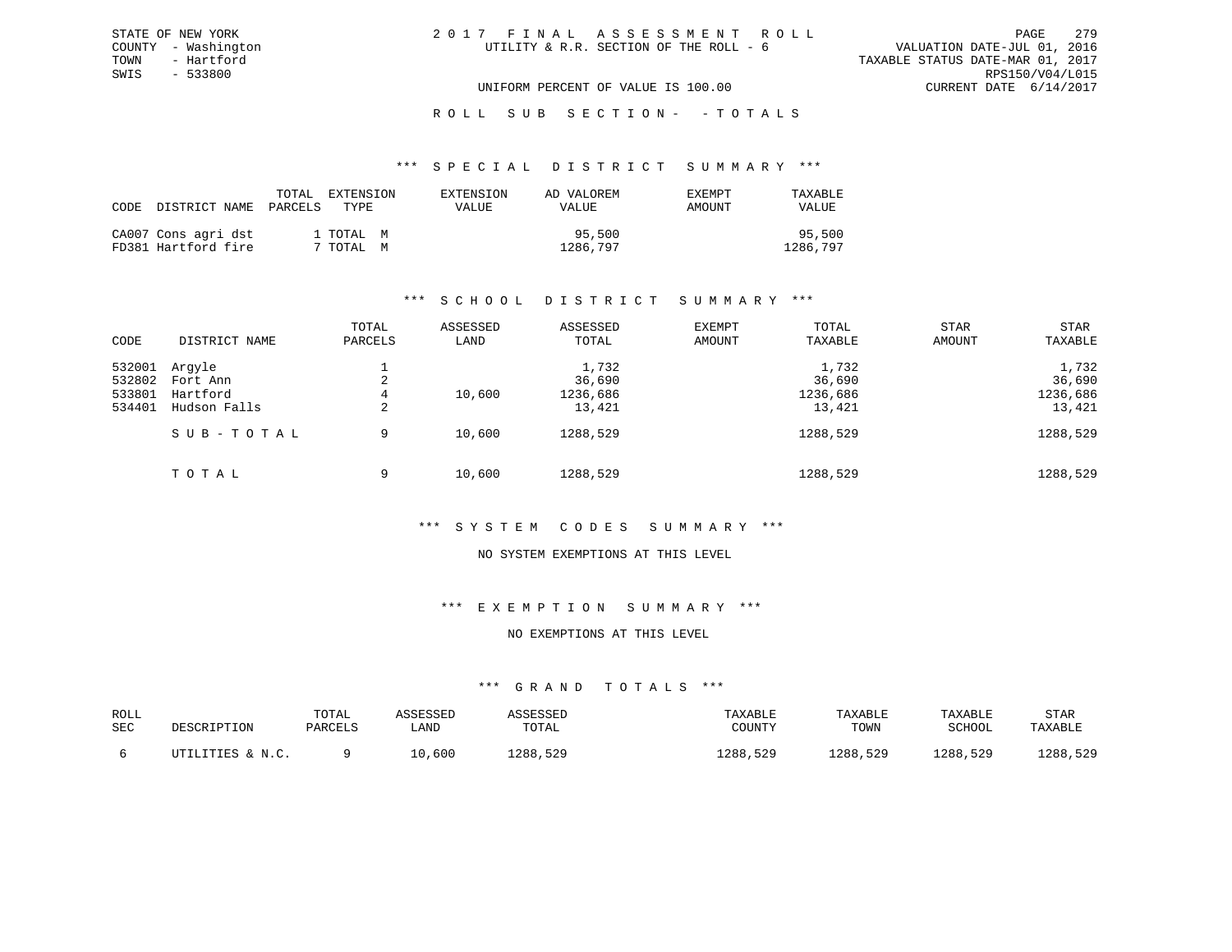ROLL SUB SECTION - - TOTALS

#### \*\*\* S P E C I A L D I S T R I C T S U M M A R Y \*\*\*

| CODE | DISTRICT NAME                              | TOTAL.<br>PARCELS | EXTENSION<br>TYPE.     | EXTENSION<br><b>VALUE</b> | AD VALOREM<br><b>VALUE</b> | <b>EXEMPT</b><br>AMOUNT | TAXABLE<br>VALUE   |
|------|--------------------------------------------|-------------------|------------------------|---------------------------|----------------------------|-------------------------|--------------------|
|      | CA007 Cons agri dst<br>FD381 Hartford fire |                   | 1 TOTAL M<br>7 TOTAL M |                           | 95,500<br>1286,797         |                         | 95,500<br>1286,797 |

## \*\*\* S C H O O L D I S T R I C T S U M M A R Y \*\*\*

|        |               | TOTAL   | ASSESSED | ASSESSED | <b>EXEMPT</b> | TOTAL    | <b>STAR</b> | <b>STAR</b> |
|--------|---------------|---------|----------|----------|---------------|----------|-------------|-------------|
| CODE   | DISTRICT NAME | PARCELS | LAND     | TOTAL    | AMOUNT        | TAXABLE  | AMOUNT      | TAXABLE     |
| 532001 | Arqyle        |         |          | 1,732    |               | 1,732    |             | 1,732       |
| 532802 | Fort Ann      | 2       |          | 36,690   |               | 36,690   |             | 36,690      |
| 533801 | Hartford      | 4       | 10,600   | 1236,686 |               | 1236,686 |             | 1236,686    |
| 534401 | Hudson Falls  | 2       |          | 13,421   |               | 13,421   |             | 13,421      |
|        | SUB-TOTAL     | 9       | 10,600   | 1288,529 |               | 1288,529 |             | 1288,529    |
|        | TOTAL         | 9       | 10,600   | 1288,529 |               | 1288,529 |             | 1288,529    |

# \*\*\* S Y S T E M C O D E S S U M M A R Y \*\*\*

#### NO SYSTEM EXEMPTIONS AT THIS LEVEL

# \*\*\* E X E M P T I O N S U M M A R Y \*\*\*

## NO EXEMPTIONS AT THIS LEVEL

| ROLL<br>SEC | DESCRIPTION      | TOTAL<br>PARCELS | SSESSEL<br>LAND | SSESSED<br>TOTAL | TAXABLE<br>COUNTY | TAXABLE<br>TOWN | TAXABLE<br>SCHOOL | STAR<br>TAXABLE |
|-------------|------------------|------------------|-----------------|------------------|-------------------|-----------------|-------------------|-----------------|
|             | UTILITIES & N.C. |                  | 0,600.          | 1288,529         | 1288,529          | 1288,529        | 1288,529          | 1288,529        |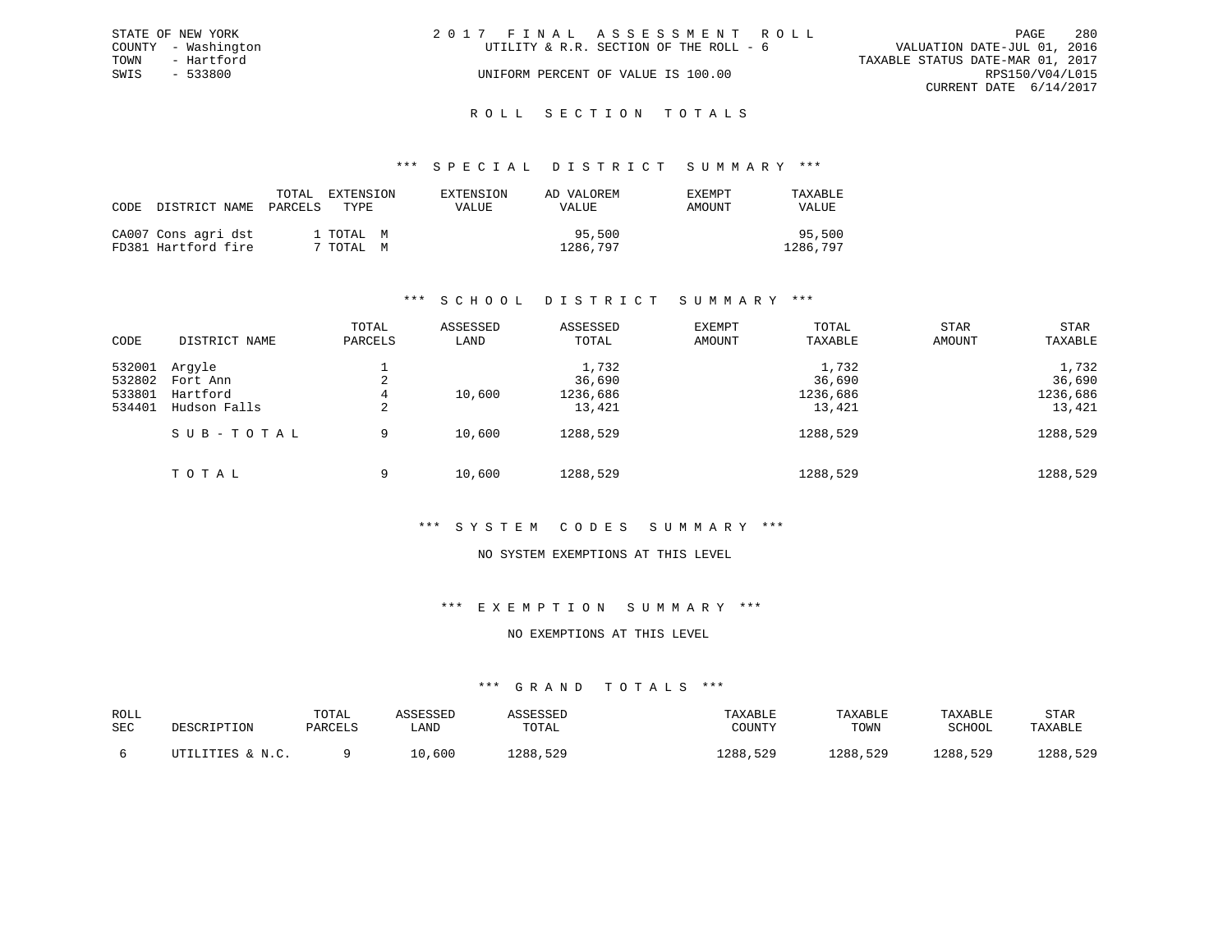|      | STATE OF NEW YORK   | 2017 FINAL ASSESSMENT ROLL |                                        |                                  |                        | PAGE | -280 |
|------|---------------------|----------------------------|----------------------------------------|----------------------------------|------------------------|------|------|
|      | COUNTY - Washington |                            | UTILITY & R.R. SECTION OF THE ROLL - 6 | VALUATION DATE-JUL 01, 2016      |                        |      |      |
| TOWN | - Hartford          |                            |                                        | TAXABLE STATUS DATE-MAR 01, 2017 |                        |      |      |
| SWIS | - 533800            |                            | UNIFORM PERCENT OF VALUE IS 100.00     |                                  | RPS150/V04/L015        |      |      |
|      |                     |                            |                                        |                                  | CURRENT DATE 6/14/2017 |      |      |
|      |                     |                            |                                        |                                  |                        |      |      |

# ROLL SECTION TOTALS

### \*\*\* S P E C I A L D I S T R I C T S U M M A R Y \*\*\*

| CODE DISTRICT NAME                         | TOTAL<br>PARCELS | EXTENSION<br>TYPE.     | EXTENSION<br>VALUE | AD VALOREM<br>VALUE | EXEMPT<br>AMOUNT | TAXABLE<br><b>VALUE</b> |
|--------------------------------------------|------------------|------------------------|--------------------|---------------------|------------------|-------------------------|
| CA007 Cons agri dst<br>FD381 Hartford fire |                  | 1 TOTAL M<br>7 TOTAL M |                    | 95,500<br>1286,797  |                  | 95,500<br>1286,797      |

# \*\*\* S C H O O L D I S T R I C T S U M M A R Y \*\*\*

|        |               | TOTAL   | ASSESSED | ASSESSED | <b>EXEMPT</b> | TOTAL    | <b>STAR</b> | <b>STAR</b> |
|--------|---------------|---------|----------|----------|---------------|----------|-------------|-------------|
| CODE   | DISTRICT NAME | PARCELS | LAND     | TOTAL    | AMOUNT        | TAXABLE  | AMOUNT      | TAXABLE     |
| 532001 | Arqyle        |         |          | 1,732    |               | 1,732    |             | 1,732       |
| 532802 | Fort Ann      | 2       |          | 36,690   |               | 36,690   |             | 36,690      |
| 533801 | Hartford      | 4       | 10,600   | 1236,686 |               | 1236,686 |             | 1236,686    |
| 534401 | Hudson Falls  | 2       |          | 13,421   |               | 13,421   |             | 13,421      |
|        | SUB-TOTAL     | 9       | 10,600   | 1288,529 |               | 1288,529 |             | 1288,529    |
|        | TOTAL         | 9       | 10,600   | 1288,529 |               | 1288,529 |             | 1288,529    |

### \*\*\* S Y S T E M C O D E S S U M M A R Y \*\*\*

#### NO SYSTEM EXEMPTIONS AT THIS LEVEL

# \*\*\* E X E M P T I O N S U M M A R Y \*\*\*

# NO EXEMPTIONS AT THIS LEVEL

| ROLL<br>SEC | DESCRIPTION      | TOTAL<br>PARCELS | <b><i>ASSESSED</i></b><br>LAND | ASSESSED<br>TOTAL | TAXABLE<br>COUNTY | TAXABLE<br>TOWN | TAXABLE<br>SCHOOL | <b>STAR</b><br>TAXABLE |
|-------------|------------------|------------------|--------------------------------|-------------------|-------------------|-----------------|-------------------|------------------------|
|             | UTILITIES & N.C. |                  | 10,600                         | 1288,529          | 1288,529          | 1288,529        | 1288,529          | 1288,529               |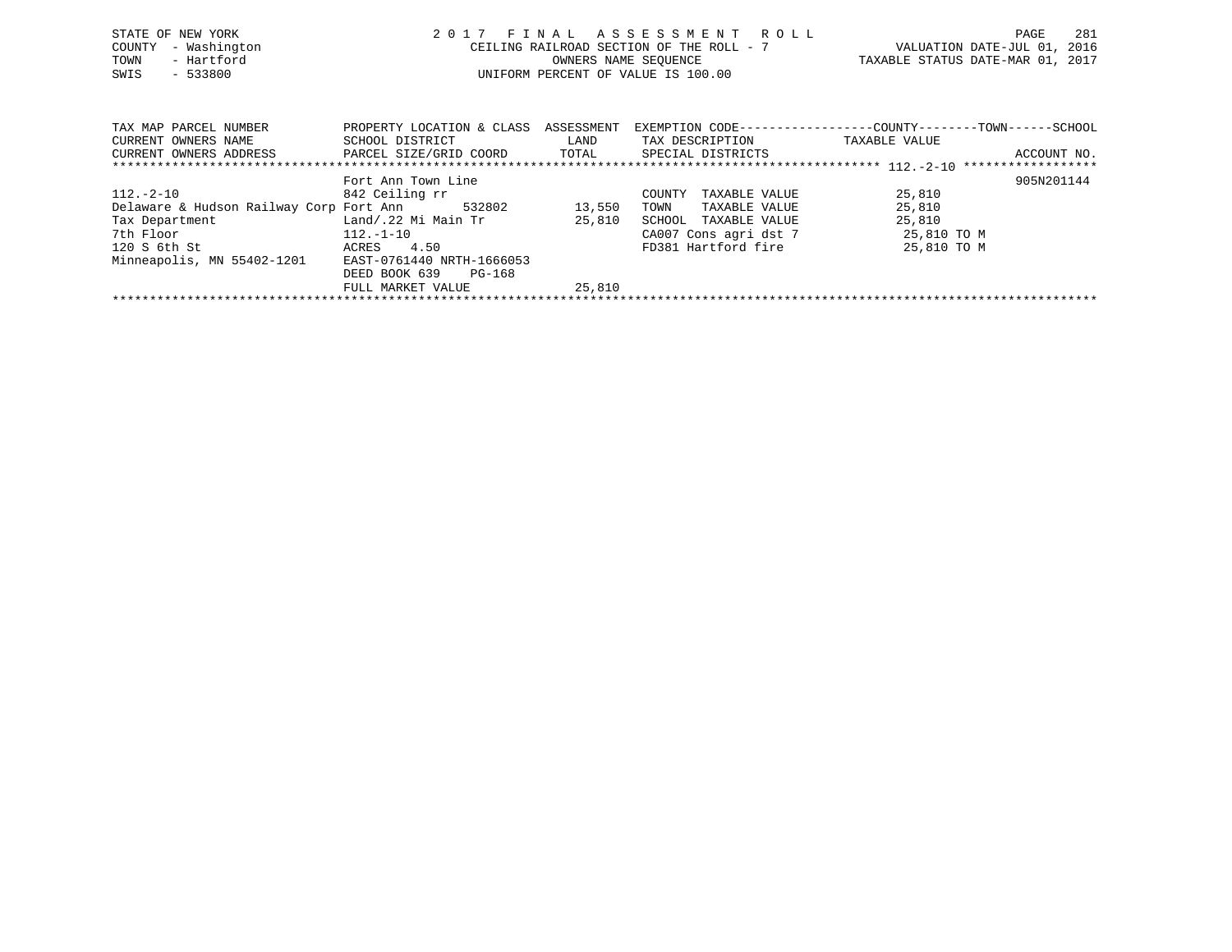| STATE OF NEW YORK<br>- Washington<br>COUNTY<br>- Hartford<br>TOWN<br>$-533800$<br>SWIS | 2017                                         | OWNERS NAME SEOUENCE | FINAL ASSESSMENT ROLL<br>CEILING RAILROAD SECTION OF THE ROLL - 7<br>UNIFORM PERCENT OF VALUE IS 100.00 | VALUATION DATE-JUL 01, 2016<br>TAXABLE STATUS DATE-MAR 01, 2017 | 281<br>PAGE |
|----------------------------------------------------------------------------------------|----------------------------------------------|----------------------|---------------------------------------------------------------------------------------------------------|-----------------------------------------------------------------|-------------|
| TAX MAP PARCEL NUMBER<br>CURRENT OWNERS NAME                                           | PROPERTY LOCATION & CLASS<br>SCHOOL DISTRICT | ASSESSMENT<br>LAND   | EXEMPTION CODE-----------------COUNTY-------TOWN------SCHOOL<br>TAX DESCRIPTION                         | TAXABLE VALUE                                                   |             |
| CURRENT OWNERS ADDRESS                                                                 | PARCEL SIZE/GRID COORD TOTAL                 |                      | SPECIAL DISTRICTS                                                                                       |                                                                 | ACCOUNT NO. |
|                                                                                        | Fort Ann Town Line                           |                      |                                                                                                         |                                                                 | 905N201144  |
| 112.-2-10                                                                              | 842 Ceiling rr                               |                      | TAXABLE VALUE<br>COUNTY                                                                                 | 25,810                                                          |             |
| Delaware & Hudson Railway Corp Fort Ann                                                | 532802                                       | 13,550               | TOWN<br>TAXABLE VALUE                                                                                   | 25,810                                                          |             |
| Tax Department                                                                         | Land/.22 Mi Main Tr                          | 25,810               | SCHOOL<br>TAXABLE VALUE                                                                                 | 25,810                                                          |             |
| 7th Floor                                                                              | $112.-1-10$                                  |                      | CA007 Cons agri dst 7                                                                                   | 25,810 TO M                                                     |             |
| 120 S 6th St                                                                           | 4.50<br>ACRES                                |                      | FD381 Hartford fire                                                                                     | 25,810 TO M                                                     |             |
| Minneapolis, MN 55402-1201 EAST-0761440 NRTH-1666053                                   |                                              |                      |                                                                                                         |                                                                 |             |

FULL MARKET VALUE 25,810 \*\*\*\*\*\*\*\*\*\*\*\*\*\*\*\*\*\*\*\*\*\*\*\*\*\*\*\*\*\*\*\*\*\*\*\*\*\*\*\*\*\*\*\*\*\*\*\*\*\*\*\*\*\*\*\*\*\*\*\*\*\*\*\*\*\*\*\*\*\*\*\*\*\*\*\*\*\*\*\*\*\*\*\*\*\*\*\*\*\*\*\*\*\*\*\*\*\*\*\*\*\*\*\*\*\*\*\*\*\*\*\*\*\*\*\*\*\*\*\*\*\*\*\*\*\*\*\*\*\*\*\*

DEED BOOK 639 PG-168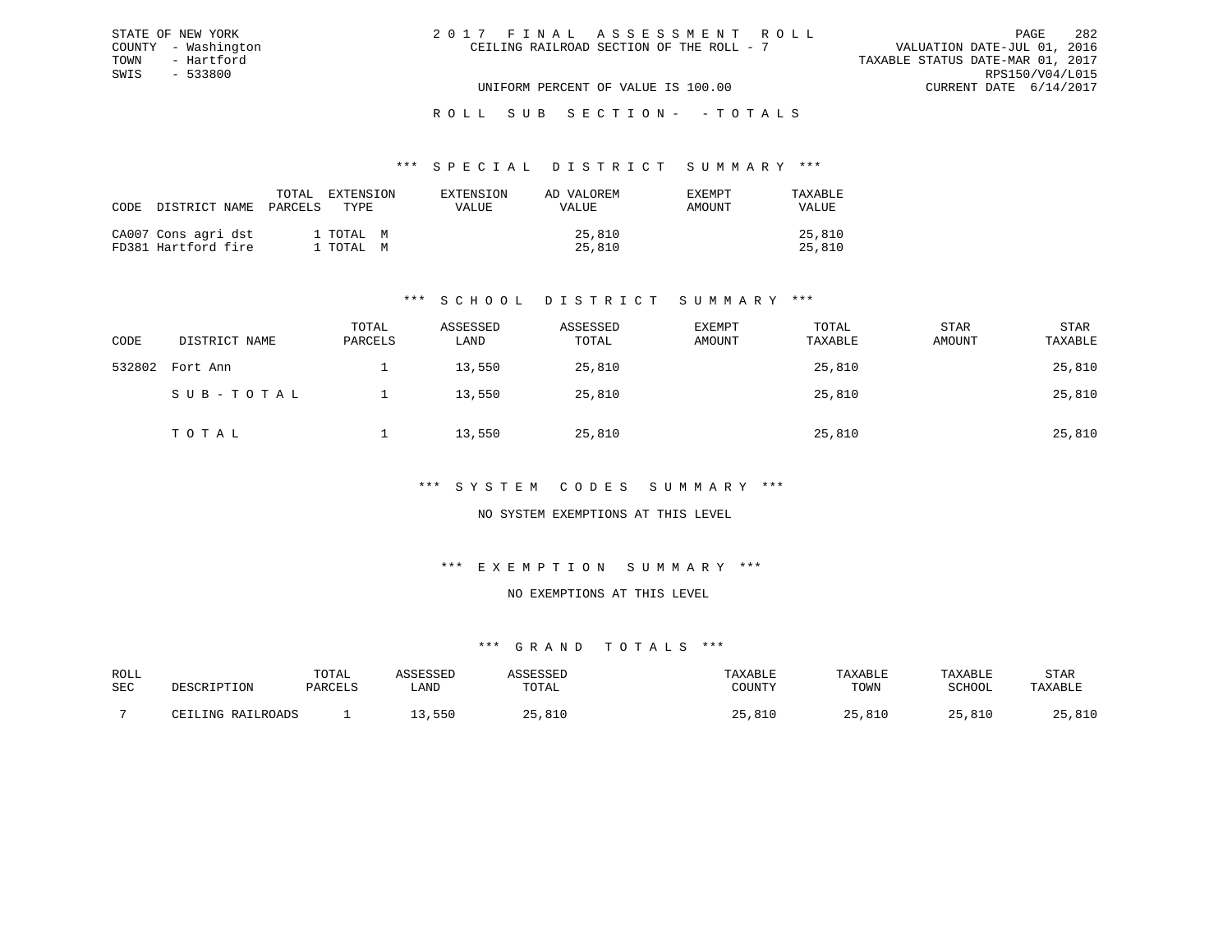| 2017 FINAL ASSESSMENT ROLL               |                                  | PAGE                        | 282 |
|------------------------------------------|----------------------------------|-----------------------------|-----|
| CEILING RAILROAD SECTION OF THE ROLL - 7 |                                  | VALUATION DATE-JUL 01, 2016 |     |
|                                          | TAXABLE STATUS DATE-MAR 01, 2017 |                             |     |
|                                          |                                  | RPS150/V04/L015             |     |
| UNIFORM PERCENT OF VALUE IS 100.00       |                                  | CURRENT DATE 6/14/2017      |     |

ROLL SUB SECTION - - TOTALS

#### \*\*\* S P E C I A L D I S T R I C T S U M M A R Y \*\*\*

| CODE DISTRICT NAME                         | TOTAL<br>PARCELS | EXTENSION<br>TYPE      | EXTENSION<br><b>VALUE</b> | AD VALOREM<br><b>VALUE</b> | <b>EXEMPT</b><br>AMOUNT | TAXABLE<br><b>VALUE</b> |
|--------------------------------------------|------------------|------------------------|---------------------------|----------------------------|-------------------------|-------------------------|
| CA007 Cons agri dst<br>FD381 Hartford fire |                  | 1 TOTAL M<br>1 TOTAL M |                           | 25,810<br>25,810           |                         | 25,810<br>25,810        |

STATE OF NEW YORK COUNTY - Washington TOWN - Hartford SWIS - 533800

# \*\*\* S C H O O L D I S T R I C T S U M M A R Y \*\*\*

| CODE   | DISTRICT NAME | TOTAL<br>PARCELS | ASSESSED<br>LAND | ASSESSED<br>TOTAL | <b>EXEMPT</b><br>AMOUNT | TOTAL<br>TAXABLE | <b>STAR</b><br>AMOUNT | STAR<br>TAXABLE |
|--------|---------------|------------------|------------------|-------------------|-------------------------|------------------|-----------------------|-----------------|
| 532802 | Fort Ann      |                  | 13,550           | 25,810            |                         | 25,810           |                       | 25,810          |
|        | SUB-TOTAL     |                  | 13,550           | 25,810            |                         | 25,810           |                       | 25,810          |
|        | TOTAL         |                  | 13,550           | 25,810            |                         | 25,810           |                       | 25,810          |

## \*\*\* S Y S T E M C O D E S S U M M A R Y \*\*\*

# NO SYSTEM EXEMPTIONS AT THIS LEVEL

## \*\*\* E X E M P T I O N S U M M A R Y \*\*\*

#### NO EXEMPTIONS AT THIS LEVEL

| ROLL |       | TOTAl  |      |       |               | ART.F          | ART.         | STAR           |
|------|-------|--------|------|-------|---------------|----------------|--------------|----------------|
| SEC  |       | דסומתח | ∟AND | 1 A I | CCTINTEM      | TOWN           | COUOOT       |                |
|      |       |        |      |       |               |                |              |                |
|      | T NTA |        | 55C  | ົດ -  | ◡∸◡<br>$\sim$ | O <sub>1</sub> | <b>R</b> 1 L | 01C<br>, U L U |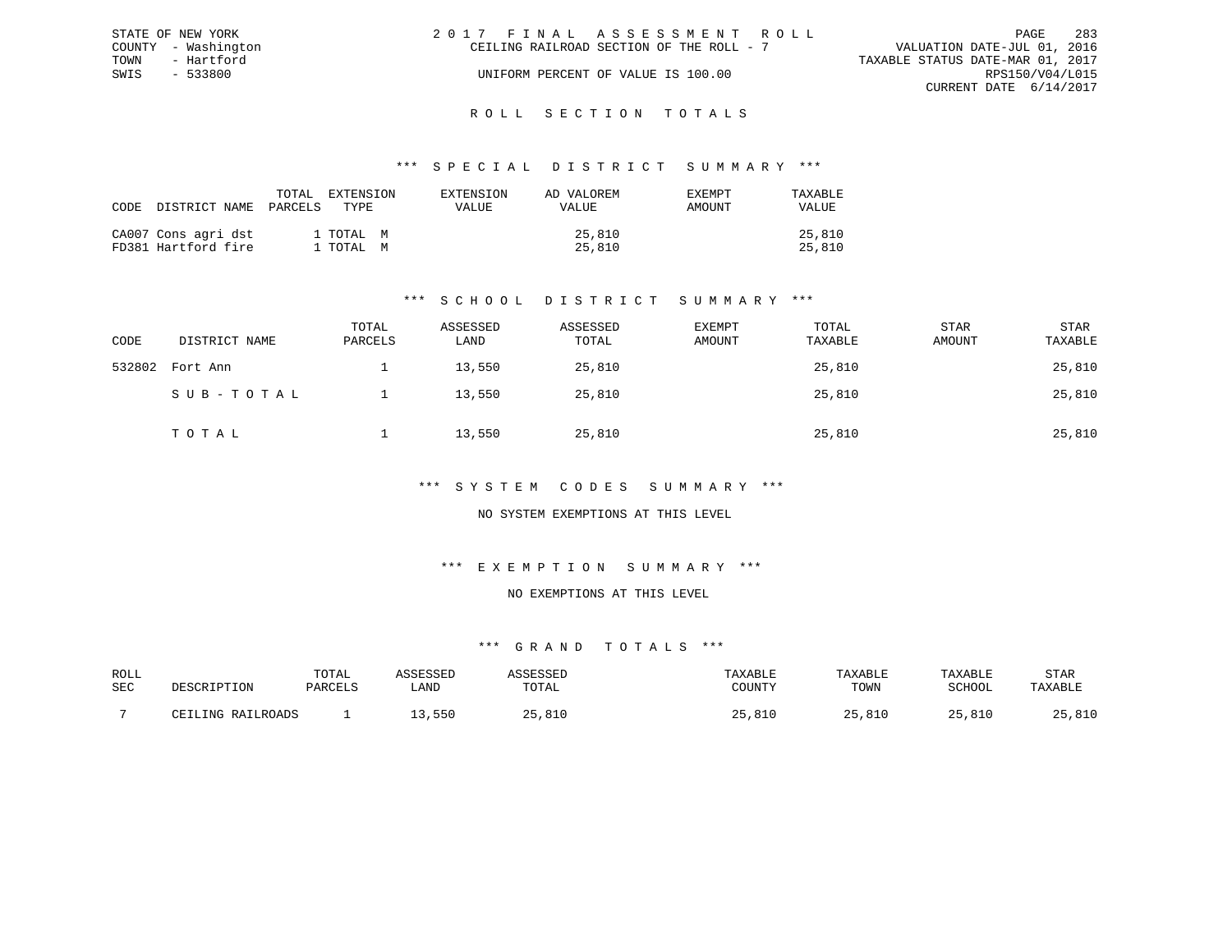| STATE OF NEW YORK   | 283<br>2017 FINAL ASSESSMENT ROLL<br>PAGE                               |
|---------------------|-------------------------------------------------------------------------|
| COUNTY - Washington | VALUATION DATE-JUL 01, 2016<br>CEILING RAILROAD SECTION OF THE ROLL - 7 |
| TOWN<br>- Hartford  | TAXABLE STATUS DATE-MAR 01, 2017                                        |
| $-533800$<br>SWIS   | RPS150/V04/L015<br>UNIFORM PERCENT OF VALUE IS 100.00                   |
|                     | CURRENT DATE 6/14/2017                                                  |
|                     |                                                                         |

#### R O L L S E C T I O N T O T A L S

### \*\*\* S P E C I A L D I S T R I C T S U M M A R Y \*\*\*

| CODE DISTRICT NAME                         | EXTENSION<br>TOTAL<br>PARCELS<br>TYPE. | EXTENSION<br><b>VALUE</b> | AD VALOREM<br>VALUE | EXEMPT<br>AMOUNT | TAXABLE<br>VALUE |
|--------------------------------------------|----------------------------------------|---------------------------|---------------------|------------------|------------------|
| CA007 Cons agri dst<br>FD381 Hartford fire | 1 TOTAL M<br>1 TOTAL M                 |                           | 25,810<br>25,810    |                  | 25,810<br>25,810 |

# \*\*\* S C H O O L D I S T R I C T S U M M A R Y \*\*\*

| CODE   | DISTRICT NAME | TOTAL<br>PARCELS | ASSESSED<br>LAND | ASSESSED<br>TOTAL | <b>EXEMPT</b><br>AMOUNT | TOTAL<br>TAXABLE | <b>STAR</b><br>AMOUNT | STAR<br>TAXABLE |
|--------|---------------|------------------|------------------|-------------------|-------------------------|------------------|-----------------------|-----------------|
| 532802 | Fort Ann      |                  | 13,550           | 25,810            |                         | 25,810           |                       | 25,810          |
|        | SUB-TOTAL     |                  | 13,550           | 25,810            |                         | 25,810           |                       | 25,810          |
|        | TOTAL         |                  | 13,550           | 25,810            |                         | 25,810           |                       | 25,810          |

## \*\*\* S Y S T E M C O D E S S U M M A R Y \*\*\*

# NO SYSTEM EXEMPTIONS AT THIS LEVEL

# \*\*\* E X E M P T I O N S U M M A R Y \*\*\*

#### NO EXEMPTIONS AT THIS LEVEL

| ROLL |       | TOTAl  |      |       |               | ART.F          | ART.         | STAR           |
|------|-------|--------|------|-------|---------------|----------------|--------------|----------------|
| SEC  |       | דסומתח | ∟AND | 1 A I | CCTINTEM      | TOWN           | COUOOT       |                |
|      |       |        |      |       |               |                |              |                |
|      | T NTA |        | 55C  | ົດ -  | ◡∸◡<br>$\sim$ | O <sub>1</sub> | <b>R</b> 1 L | 01C<br>, U L U |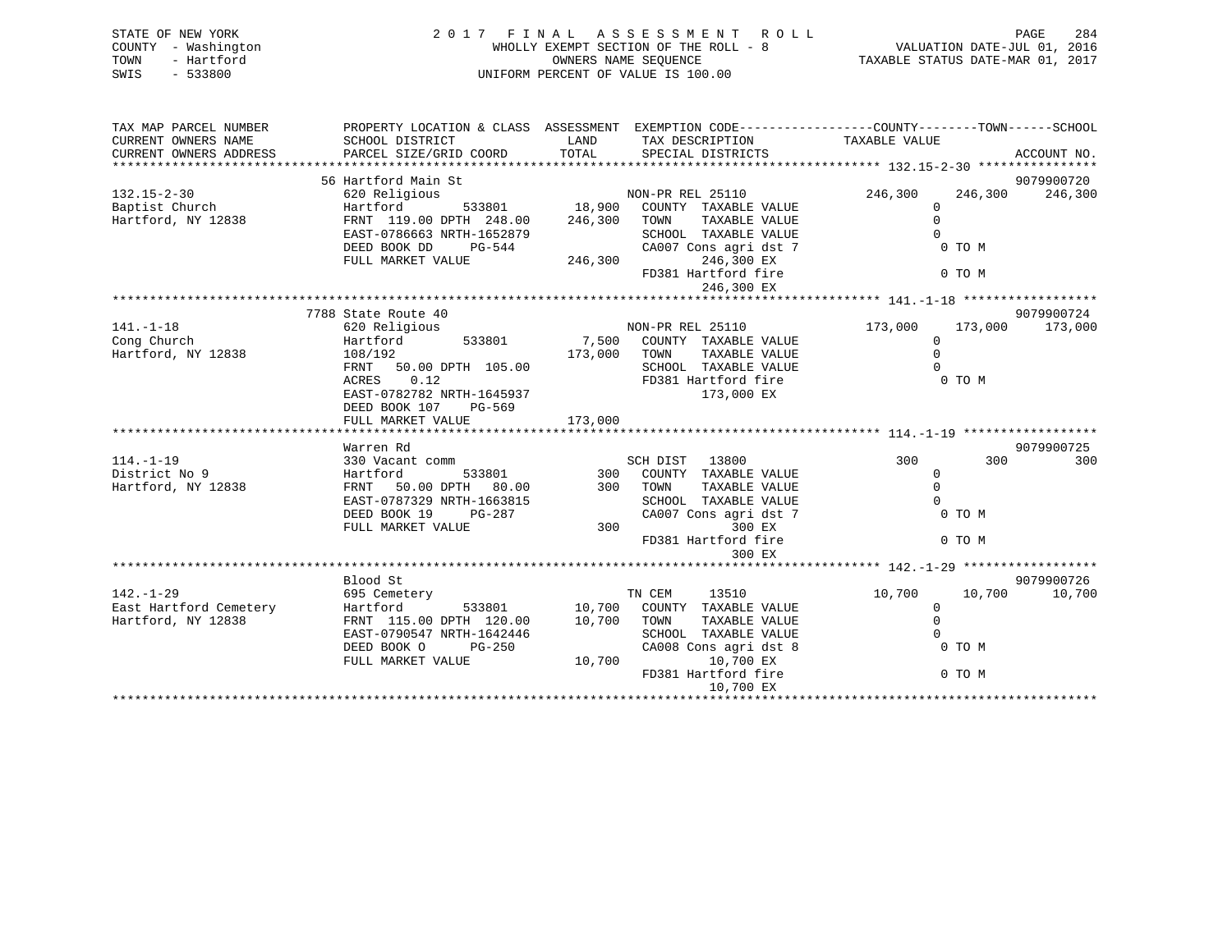| STATE OF NEW YORK<br>COUNTY - Washington<br>TOWN<br>- Hartford<br>$-533800$<br>SWIS | 2017 FINAL ASSESSMENT ROLL<br>WHOLLY EXEMPT SECTION OF THE ROLL - 8<br>OWNERS NAME SEOUENCE<br>UNIFORM PERCENT OF VALUE IS 100.00 |               |                                                                                                 | VALUATION DATE-JUL 01, 2016<br>TAXABLE STATUS DATE-MAR 01, 2017 |         | PAGE<br>284           |
|-------------------------------------------------------------------------------------|-----------------------------------------------------------------------------------------------------------------------------------|---------------|-------------------------------------------------------------------------------------------------|-----------------------------------------------------------------|---------|-----------------------|
| TAX MAP PARCEL NUMBER                                                               |                                                                                                                                   |               | PROPERTY LOCATION & CLASS ASSESSMENT EXEMPTION CODE----------------COUNTY-------TOWN-----SCHOOL |                                                                 |         |                       |
| CURRENT OWNERS NAME<br>CURRENT OWNERS ADDRESS                                       | SCHOOL DISTRICT<br>PARCEL SIZE/GRID COORD                                                                                         | LAND<br>TOTAL | TAX DESCRIPTION TAXABLE VALUE<br>SPECIAL DISTRICTS                                              |                                                                 |         | ACCOUNT NO.           |
|                                                                                     | 56 Hartford Main St                                                                                                               |               |                                                                                                 |                                                                 |         | 9079900720            |
| $132.15 - 2 - 30$                                                                   | 620 Religious                                                                                                                     |               | NON-PR REL 25110                                                                                | 246,300                                                         | 246,300 | 246,300               |
| Baptist Church                                                                      | Hartford                                                                                                                          | 533801 18,900 | COUNTY TAXABLE VALUE                                                                            | $\mathbf{0}$                                                    |         |                       |
| Hartford, NY 12838                                                                  | FRNT 119.00 DPTH 248.00                                                                                                           | 246,300       | TAXABLE VALUE<br>TOWN                                                                           | $\Omega$                                                        |         |                       |
|                                                                                     | EAST-0786663 NRTH-1652879<br>DEED BOOK DD<br>PG-544                                                                               |               | SCHOOL TAXABLE VALUE<br>CA007 Cons agri dst 7                                                   | $\Omega$                                                        | 0 TO M  |                       |
|                                                                                     | FULL MARKET VALUE                                                                                                                 | 246,300       | 246,300 EX                                                                                      |                                                                 |         |                       |
|                                                                                     |                                                                                                                                   |               | FD381 Hartford fire                                                                             |                                                                 | 0 TO M  |                       |
|                                                                                     |                                                                                                                                   |               | 246,300 EX                                                                                      |                                                                 |         |                       |
|                                                                                     |                                                                                                                                   |               |                                                                                                 |                                                                 |         |                       |
| $141. - 1 - 18$                                                                     | 7788 State Route 40<br>620 Religious                                                                                              |               | NON-PR REL 25110                                                                                | 173,000                                                         | 173,000 | 9079900724<br>173,000 |
| Cong Church                                                                         | 533801<br>Hartford                                                                                                                | 7,500         | COUNTY TAXABLE VALUE                                                                            | $\mathbf{0}$                                                    |         |                       |
| Hartford, NY 12838                                                                  | 108/192                                                                                                                           | 173,000       | TOWN<br>TAXABLE VALUE                                                                           | $\Omega$                                                        |         |                       |
|                                                                                     | FRNT<br>50.00 DPTH 105.00                                                                                                         |               | SCHOOL TAXABLE VALUE                                                                            |                                                                 |         |                       |
|                                                                                     | 0.12<br>ACRES<br>EAST-0782782 NRTH-1645937                                                                                        |               | FD381 Hartford fire<br>173,000 EX                                                               |                                                                 | 0 TO M  |                       |
|                                                                                     | DEED BOOK 107<br>PG-569                                                                                                           |               |                                                                                                 |                                                                 |         |                       |
|                                                                                     | FULL MARKET VALUE                                                                                                                 | 173,000       |                                                                                                 |                                                                 |         |                       |
|                                                                                     |                                                                                                                                   |               |                                                                                                 |                                                                 |         |                       |
|                                                                                     | Warren Rd                                                                                                                         |               |                                                                                                 |                                                                 |         | 9079900725            |
| $114. - 1 - 19$<br>District No 9                                                    | 330 Vacant comm<br>533801<br>Hartford                                                                                             | 300           | SCH DIST 13800<br>COUNTY TAXABLE VALUE                                                          | 300<br>$\Omega$                                                 | 300     | 300                   |
| Hartford, NY 12838                                                                  | FRNT 50.00 DPTH 80.00                                                                                                             |               | 300 TOWN<br>TAXABLE VALUE                                                                       | $\Omega$                                                        |         |                       |
|                                                                                     | EAST-0787329 NRTH-1663815                                                                                                         |               | SCHOOL TAXABLE VALUE                                                                            | $\cap$                                                          |         |                       |
|                                                                                     | DEED BOOK 19<br>PG-287                                                                                                            |               | CA007 Cons agri dst 7                                                                           |                                                                 | 0 TO M  |                       |
|                                                                                     | FULL MARKET VALUE                                                                                                                 | 300           | 300 EX                                                                                          |                                                                 |         |                       |
|                                                                                     |                                                                                                                                   |               | FD381 Hartford fire<br>300 EX                                                                   |                                                                 | 0 TO M  |                       |
|                                                                                     |                                                                                                                                   |               |                                                                                                 |                                                                 |         |                       |
|                                                                                     | Blood St                                                                                                                          |               |                                                                                                 |                                                                 |         | 9079900726            |
| $142. - 1 - 29$                                                                     | 695 Cemetery                                                                                                                      |               | TN CEM<br>13510                                                                                 | 10,700                                                          | 10,700  | 10,700                |
| East Hartford Cemetery                                                              | Hartford<br>533801                                                                                                                | 10,700        | COUNTY TAXABLE VALUE                                                                            | $\mathbf 0$                                                     |         |                       |
| Hartford, NY 12838                                                                  | FRNT 115.00 DPTH 120.00<br>EAST-0790547 NRTH-1642446                                                                              | 10,700        | TAXABLE VALUE<br>TOWN<br>SCHOOL TAXABLE VALUE                                                   | $\Omega$                                                        |         |                       |
|                                                                                     | DEED BOOK O<br>$PG-250$                                                                                                           |               | CA008 Cons agri dst 8                                                                           |                                                                 | 0 TO M  |                       |
|                                                                                     | FULL MARKET VALUE                                                                                                                 | 10,700        | 10,700 EX                                                                                       |                                                                 |         |                       |

10,700 EX \*\*\*\*\*\*\*\*\*\*\*\*\*\*\*\*\*\*\*\*\*\*\*\*\*\*\*\*\*\*\*\*\*\*\*\*\*\*\*\*\*\*\*\*\*\*\*\*\*\*\*\*\*\*\*\*\*\*\*\*\*\*\*\*\*\*\*\*\*\*\*\*\*\*\*\*\*\*\*\*\*\*\*\*\*\*\*\*\*\*\*\*\*\*\*\*\*\*\*\*\*\*\*\*\*\*\*\*\*\*\*\*\*\*\*\*\*\*\*\*\*\*\*\*\*\*\*\*\*\*\*\*

FD381 Hartford fire 0 TO M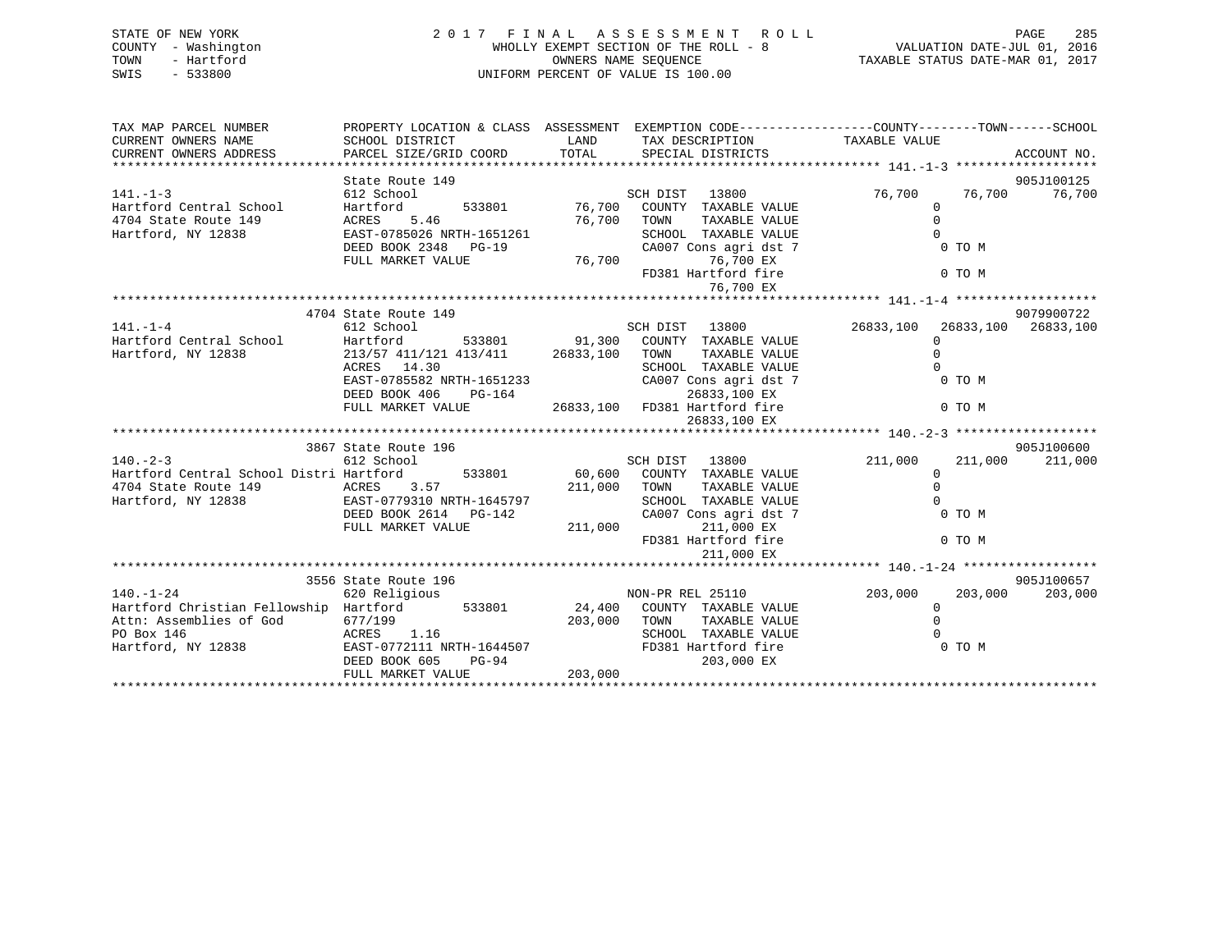| STATE OF NEW YORK<br>- Washington<br>COUNTY<br>- Hartford<br>TOWN<br>$-533800$<br>SWIS                                                                          | 2 0 1 7 F I N A L A S S E S S M E N T<br>WHOLLY EXEMPT SECTION OF THE ROLL<br>OWNERS NAME SEQUENCE<br>UNIFORM PERCENT OF VALUE IS 100.00 |        | PAGE 285 A S S E S S M E N T R O L L PAGE 285 A E N T C L L PAGE 285 A E N T C ROLL TO L L |          | TAXABLE STATUS DATE-MAR 01, 2017 |
|-----------------------------------------------------------------------------------------------------------------------------------------------------------------|------------------------------------------------------------------------------------------------------------------------------------------|--------|--------------------------------------------------------------------------------------------|----------|----------------------------------|
| TAX MAP PARCEL NUMBER THE PROPERTY LOCATION & CLASS ASSESSMENT EXEMPTION CODE---------------COUNTY-------TOWN------SCHOOL                                       |                                                                                                                                          |        | TAX DESCRIPTION TAXABLE VALUE                                                              |          |                                  |
| CURRENT OWNERS NAME<br>CURRENT OWNERS ADDRESS PARCEL SIZE/GRID COORD TOTAL                                                                                      |                                                                                                                                          |        | SPECIAL DISTRICTS                                                                          |          | ACCOUNT NO.                      |
|                                                                                                                                                                 |                                                                                                                                          |        |                                                                                            |          |                                  |
|                                                                                                                                                                 | State Route 149                                                                                                                          |        |                                                                                            |          | 905J100125                       |
|                                                                                                                                                                 |                                                                                                                                          |        | 13800                                                                                      |          | 76,700 76,700<br>76,700          |
| 141.-1-3 612 School SCH DIST<br>Hartford Central School Hartford 533801 76,700 COUNTY<br>4704 State Route 149 ACRES 5.46 76,700 TOWN 76,700 TOWN<br>167100 TOWN |                                                                                                                                          |        | TAXABLE VALUE                                                                              | $\Omega$ |                                  |
|                                                                                                                                                                 | 76,700 TOWN<br>RTH-1651261 SCHOOL                                                                                                        |        | TAXABLE VALUE                                                                              | $\Omega$ |                                  |
| Hartford, NY 12838 EAST-0785026 NRTH-1651261                                                                                                                    |                                                                                                                                          |        | SCHOOL TAXABLE VALUE                                                                       |          |                                  |
|                                                                                                                                                                 | DEED BOOK 2348 PG-19                                                                                                                     |        | CA007 Cons agri dst 7                                                                      |          | 0 TO M                           |
|                                                                                                                                                                 | FULL MARKET VALUE                                                                                                                        | 76,700 | 76,700 EX                                                                                  |          |                                  |
|                                                                                                                                                                 |                                                                                                                                          |        | FD381 Hartford fire                                                                        |          | $0$ TO M                         |
|                                                                                                                                                                 |                                                                                                                                          |        | 76,700 EX                                                                                  |          |                                  |
|                                                                                                                                                                 |                                                                                                                                          |        |                                                                                            |          |                                  |
|                                                                                                                                                                 | 4704 State Route 149                                                                                                                     |        |                                                                                            |          | 9079900722                       |
| $141. -1 - 4$                                                                                                                                                   | 612 School                                                                                                                               |        | SCH DIST 13800                                                                             |          | 26833,100 26833,100 26833,100    |
| Hartford Central School Martford 533801 91,300 COUNTY                                                                                                           |                                                                                                                                          |        | TAXABLE VALUE                                                                              |          |                                  |
| Hartford, NY 12838                                                                                                                                              | 213/57 411/121 413/411 26833,100                                                                                                         |        | TAXABLE VALUE<br>TOWN                                                                      | $\Omega$ |                                  |
|                                                                                                                                                                 | ACRES 14.30                                                                                                                              |        | TAXABLE VALUE<br>SCHOOL                                                                    |          |                                  |
|                                                                                                                                                                 | EAST-0785582 NRTH-1651233                                                                                                                |        | CA007 Cons agri dst 7                                                                      |          | 0 TO M                           |
|                                                                                                                                                                 | DEED BOOK 406<br>PG-164                                                                                                                  |        | 26833,100 EX                                                                               |          |                                  |
|                                                                                                                                                                 | FULL MARKET VALUE                                                                                                                        |        | 26833,100 FD381 Hartford fire                                                              |          | 0 TO M                           |
|                                                                                                                                                                 |                                                                                                                                          |        | 26833,100 EX                                                                               |          |                                  |
|                                                                                                                                                                 |                                                                                                                                          |        |                                                                                            |          |                                  |

|                                         | 3867 State Route 196      |        |         |                  |                       |         |         | 905J100600 |
|-----------------------------------------|---------------------------|--------|---------|------------------|-----------------------|---------|---------|------------|
| $140. - 2 - 3$                          | 612 School                |        |         | SCH DIST         | 13800                 | 211,000 | 211,000 | 211,000    |
| Hartford Central School Distri Hartford |                           | 533801 | 60,600  | COUNTY           | TAXABLE VALUE         |         |         |            |
| 4704 State Route 149                    | 3.57<br>ACRES             |        | 211,000 | TOWN             | TAXABLE VALUE         |         |         |            |
| Hartford, NY 12838                      | EAST-0779310 NRTH-1645797 |        |         | SCHOOL           | TAXABLE VALUE         |         |         |            |
|                                         | DEED BOOK 2614 PG-142     |        |         |                  | CA007 Cons agri dst 7 |         | 0 TO M  |            |
|                                         | FULL MARKET VALUE         |        | 211,000 |                  | 211,000 EX            |         |         |            |
|                                         |                           |        |         |                  | FD381 Hartford fire   |         | 0 TO M  |            |
|                                         |                           |        |         |                  | 211,000 EX            |         |         |            |
|                                         |                           |        |         |                  |                       |         |         |            |
|                                         | 3556 State Route 196      |        |         |                  |                       |         |         | 905J100657 |
| $140. - 1 - 24$                         | 620 Religious             |        |         | NON-PR REL 25110 |                       | 203,000 | 203,000 | 203,000    |
| Hartford Christian Fellowship           | Hartford                  | 533801 | 24,400  | COUNTY           | TAXABLE VALUE         |         |         |            |
| Attn: Assemblies of God                 | 677/199                   |        | 203,000 | TOWN             | TAXABLE VALUE         |         |         |            |
| PO Box 146                              | 1.16<br>ACRES             |        |         | SCHOOL           | TAXABLE VALUE         |         |         |            |
|                                         |                           |        |         |                  |                       |         |         |            |
| Hartford, NY 12838                      | EAST-0772111 NRTH-1644507 |        |         |                  | FD381 Hartford fire   |         | 0 TO M  |            |
|                                         | DEED BOOK 605             | PG-94  |         |                  | 203,000 EX            |         |         |            |
|                                         | FULL MARKET VALUE         |        | 203,000 |                  |                       |         |         |            |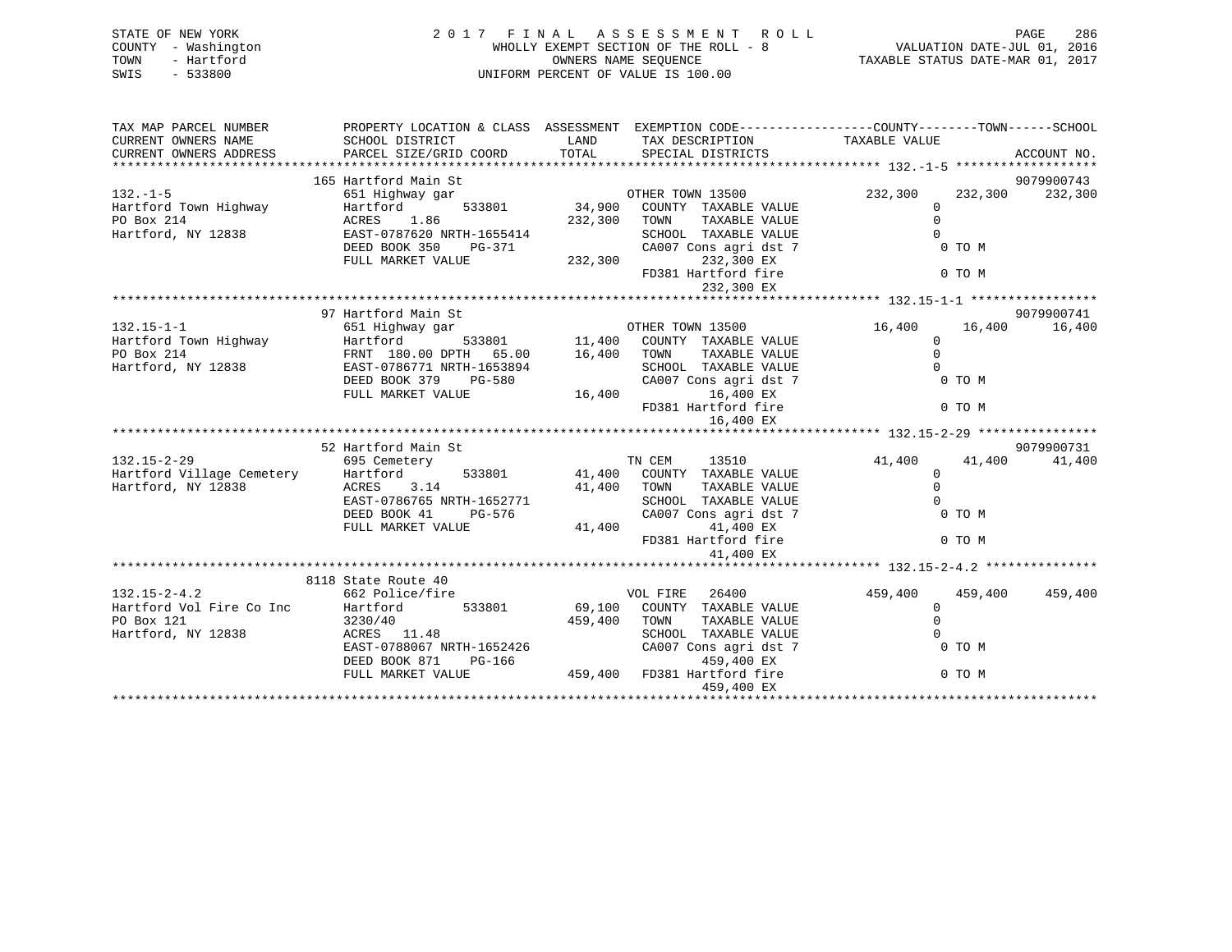| STATE OF NEW YORK<br>COUNTY - Washington<br>- Hartford<br>TOWN<br>$-533800$<br>SWIS |                                                                                                                     |             | 2017 FINAL ASSESSMENT ROLL<br>WHOLLY EXEMPT SECTION OF THE ROLL - 8<br>OWNERS NAME SEQUENCE<br>UNIFORM PERCENT OF VALUE IS 100.00 | N T ROLL - PAGE 286<br>ROLL - 8<br>TAXABLE STATUS DATE-MAR 01, 2017 |         | PAGE<br>286 |
|-------------------------------------------------------------------------------------|---------------------------------------------------------------------------------------------------------------------|-------------|-----------------------------------------------------------------------------------------------------------------------------------|---------------------------------------------------------------------|---------|-------------|
| TAX MAP PARCEL NUMBER<br>CURRENT OWNERS NAME                                        | PROPERTY LOCATION & CLASS ASSESSMENT EXEMPTION CODE----------------COUNTY-------TOWN------SCHOOL<br>SCHOOL DISTRICT | LAND        | TAX DESCRIPTION TAXABLE VALUE                                                                                                     |                                                                     |         |             |
| CURRENT OWNERS ADDRESS                                                              | PARCEL SIZE/GRID COORD                                                                                              | TOTAL       | SPECIAL DISTRICTS                                                                                                                 |                                                                     |         | ACCOUNT NO. |
|                                                                                     | 165 Hartford Main St                                                                                                |             |                                                                                                                                   |                                                                     |         | 9079900743  |
| $132. - 1 - 5$                                                                      | 651 Highway gar                                                                                                     |             | OTHER TOWN 13500                                                                                                                  | 232,300                                                             | 232,300 | 232,300     |
| Hartford Town Highway                                                               | 533801<br>Hartford                                                                                                  |             | 34,900 COUNTY TAXABLE VALUE                                                                                                       | $\mathbf 0$                                                         |         |             |
| PO Box 214                                                                          | 1.86<br>ACRES                                                                                                       |             | 232,300 TOWN<br>TAXABLE VALUE                                                                                                     | $\Omega$                                                            |         |             |
| Hartford, NY 12838                                                                  | EAST-0787620 NRTH-1655414                                                                                           |             | SCHOOL TAXABLE VALUE                                                                                                              | $\cap$                                                              |         |             |
|                                                                                     | DEED BOOK 350<br>PG-371                                                                                             |             | CA007 Cons agri dst 7                                                                                                             |                                                                     | 0 TO M  |             |
|                                                                                     | FULL MARKET VALUE                                                                                                   | 232,300     | 232,300 EX                                                                                                                        |                                                                     |         |             |
|                                                                                     |                                                                                                                     |             | FD381 Hartford fire                                                                                                               |                                                                     | 0 TO M  |             |
|                                                                                     |                                                                                                                     |             | 232,300 EX                                                                                                                        |                                                                     |         |             |
|                                                                                     | 97 Hartford Main St                                                                                                 |             |                                                                                                                                   |                                                                     |         | 9079900741  |
| $132.15 - 1 - 1$                                                                    | 651 Highway gar                                                                                                     |             | OTHER TOWN 13500                                                                                                                  | 16,400                                                              | 16,400  | 16,400      |
| Hartford Town Highway                                                               | Hartford                                                                                                            |             | 533801 11,400 COUNTY TAXABLE VALUE                                                                                                | $\mathbf 0$                                                         |         |             |
| PO Box 214                                                                          | FRNT 180.00 DPTH 65.00 16,400 TOWN                                                                                  |             | TAXABLE VALUE                                                                                                                     | $\mathbf 0$                                                         |         |             |
| Hartford, NY 12838                                                                  | EAST-0786771 NRTH-1653894                                                                                           |             | SCHOOL TAXABLE VALUE                                                                                                              | $\Omega$                                                            |         |             |
|                                                                                     | DEED BOOK 379 PG-580                                                                                                |             | CA007 Cons agri dst 7                                                                                                             |                                                                     | 0 TO M  |             |
|                                                                                     | FULL MARKET VALUE                                                                                                   |             | 16,400 EX<br>16,400                                                                                                               |                                                                     |         |             |
|                                                                                     |                                                                                                                     |             | FD381 Hartford fire                                                                                                               |                                                                     | 0 TO M  |             |
|                                                                                     |                                                                                                                     |             | 16,400 EX                                                                                                                         |                                                                     |         |             |
|                                                                                     | 52 Hartford Main St                                                                                                 |             |                                                                                                                                   |                                                                     |         | 9079900731  |
| $132.15 - 2 - 29$                                                                   | 695 Cemetery                                                                                                        |             | TN CEM<br>13510                                                                                                                   | 41,400                                                              | 41,400  | 41,400      |
| Hartford Village Cemetery                                                           | Hartford<br>533801                                                                                                  |             | 41,400 COUNTY TAXABLE VALUE                                                                                                       | $\overline{0}$                                                      |         |             |
| Hartford, NY 12838                                                                  | 3.14<br>ACRES                                                                                                       | 41,400 TOWN | TAXABLE VALUE                                                                                                                     | $\Omega$                                                            |         |             |
|                                                                                     | EAST-0786765 NRTH-1652771                                                                                           |             | SCHOOL TAXABLE VALUE                                                                                                              | $\Omega$                                                            |         |             |
|                                                                                     | DEED BOOK 41<br>PG-576                                                                                              |             | CA007 Cons agri dst 7                                                                                                             |                                                                     | 0 TO M  |             |
|                                                                                     | FULL MARKET VALUE                                                                                                   |             | 41,400 EX<br>41,400                                                                                                               |                                                                     |         |             |
|                                                                                     |                                                                                                                     |             | FD381 Hartford fire                                                                                                               |                                                                     | 0 TO M  |             |
|                                                                                     |                                                                                                                     |             | 41,400 EX                                                                                                                         |                                                                     |         |             |
|                                                                                     | 8118 State Route 40                                                                                                 |             |                                                                                                                                   |                                                                     |         |             |
| $132.15 - 2 - 4.2$                                                                  | 662 Police/fire                                                                                                     |             | 26400<br>VOL FIRE                                                                                                                 | 459,400                                                             | 459,400 | 459,400     |

| 134.13 4 T.4             | UUZ FUIILE/IIIE           |         | VULLILL | ムしエリし                 | ュリン,ユいい<br>ュリノ,ユリリ | ュリン,ユいい |
|--------------------------|---------------------------|---------|---------|-----------------------|--------------------|---------|
| Hartford Vol Fire Co Inc | 533801<br>Hartford        | 69,100  | COUNTY  | TAXABLE VALUE         |                    |         |
| PO Box 121               | 3230/40                   | 459,400 | TOWN    | TAXABLE VALUE         |                    |         |
| Hartford, NY 12838       | 11.48<br>ACRES            |         | SCHOOL  | TAXABLE VALUE         |                    |         |
|                          | EAST-0788067 NRTH-1652426 |         |         | CA007 Cons agri dst 7 | 0 TO M             |         |
|                          | DEED BOOK 871<br>PG-166   |         |         | 459,400 EX            |                    |         |
|                          | FULL MARKET VALUE         | 459,400 |         | FD381 Hartford fire   | 0 TO M             |         |
|                          |                           |         |         | 459,400 EX            |                    |         |
|                          |                           |         |         |                       |                    |         |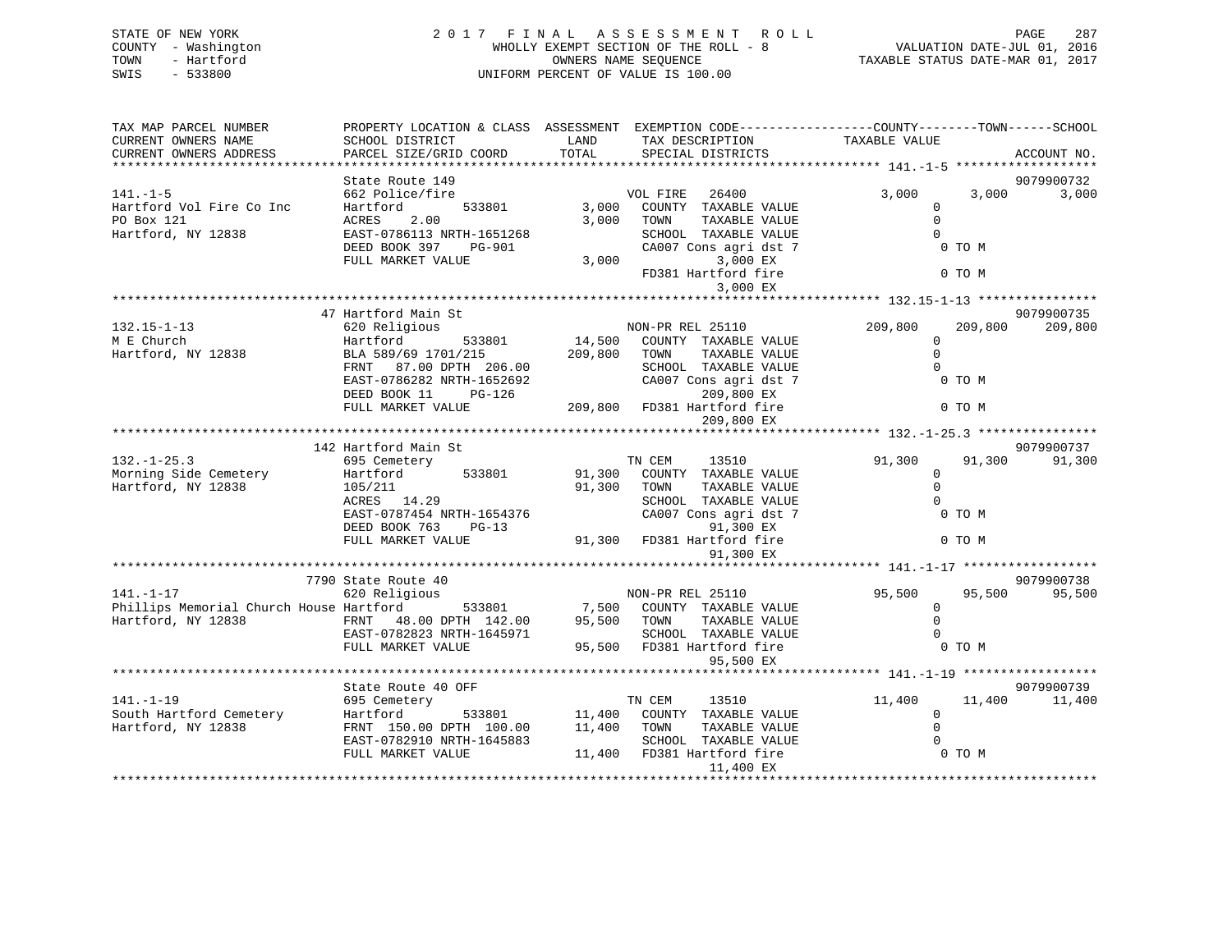| STATE OF NEW YORK<br>COUNTY - Washington<br>TOWN<br>- Hartford<br>$-533800$<br>SWIS |                                                                                                                                             |                | 2017 FINAL ASSESSMENT<br><b>ROLL</b><br>WHOLLY EXEMPT SECTION OF THE ROLL - 8<br>OWNERS NAME SEQUENCE<br>UNIFORM PERCENT OF VALUE IS 100.00 | 287 / VALUATION DATE-JUL<br>2016 / VALUATION DATE-JUL<br>2017 TAXABLE STATUS DATE-MAR |                  | PAGE<br>287 |
|-------------------------------------------------------------------------------------|---------------------------------------------------------------------------------------------------------------------------------------------|----------------|---------------------------------------------------------------------------------------------------------------------------------------------|---------------------------------------------------------------------------------------|------------------|-------------|
| TAX MAP PARCEL NUMBER<br>CURRENT OWNERS NAME<br>CURRENT OWNERS ADDRESS              | PROPERTY LOCATION & CLASS ASSESSMENT EXEMPTION CODE---------------COUNTY-------TOWN-----SCHOOL<br>SCHOOL DISTRICT<br>PARCEL SIZE/GRID COORD | LAND<br>TOTAL  | TAX DESCRIPTION<br>SPECIAL DISTRICTS                                                                                                        | TAXABLE VALUE                                                                         |                  | ACCOUNT NO. |
|                                                                                     |                                                                                                                                             |                |                                                                                                                                             |                                                                                       |                  |             |
|                                                                                     | State Route 149                                                                                                                             |                |                                                                                                                                             |                                                                                       |                  | 9079900732  |
| $141. - 1 - 5$                                                                      | 662 Police/fire                                                                                                                             |                | 26400<br>VOL FIRE                                                                                                                           | 3,000                                                                                 | 3,000            | 3,000       |
| Hartford Vol Fire Co Inc<br>PO Box 121<br>Hartford, NY 12838                        | Hartford<br>533801<br>ACRES<br>2.00<br>EAST-0786113 NRTH-1651268                                                                            | 3,000<br>3,000 | COUNTY TAXABLE VALUE<br>TOWN<br>TAXABLE VALUE<br>SCHOOL TAXABLE VALUE                                                                       | 0<br>$\Omega$<br>$\Omega$                                                             |                  |             |
|                                                                                     | DEED BOOK 397<br>PG-901<br>FULL MARKET VALUE                                                                                                | 3,000          | CA007 Cons agri dst 7<br>3,000 EX<br>FD381 Hartford fire<br>3,000 EX                                                                        |                                                                                       | 0 TO M<br>0 TO M |             |
|                                                                                     |                                                                                                                                             |                |                                                                                                                                             |                                                                                       |                  |             |
|                                                                                     | 47 Hartford Main St                                                                                                                         |                |                                                                                                                                             |                                                                                       |                  | 9079900735  |
| $132.15 - 1 - 13$<br>M E Church                                                     | 620 Religious<br>Hartford<br>533801                                                                                                         |                | NON-PR REL 25110<br>14,500 COUNTY TAXABLE VALUE                                                                                             | 209,800<br>$\Omega$                                                                   | 209,800          | 209,800     |
| Hartford, NY 12838                                                                  | BLA 589/69 1701/215<br>FRNT 87.00 DPTH 206.00                                                                                               | 209,800 TOWN   | TAXABLE VALUE<br>SCHOOL TAXABLE VALUE                                                                                                       | $\Omega$<br>$\cap$                                                                    |                  |             |
|                                                                                     | EAST-0786282 NRTH-1652692<br>DEED BOOK 11<br>PG-126                                                                                         |                | CA007 Cons agri dst 7<br>209,800 EX                                                                                                         |                                                                                       | 0 TO M           |             |
|                                                                                     | FULL MARKET VALUE                                                                                                                           |                | 209,800 FD381 Hartford fire<br>209,800 EX                                                                                                   |                                                                                       | 0 TO M           |             |
|                                                                                     |                                                                                                                                             |                |                                                                                                                                             |                                                                                       |                  |             |
|                                                                                     | 142 Hartford Main St                                                                                                                        |                |                                                                                                                                             |                                                                                       |                  | 9079900737  |
| $132. - 1 - 25.3$                                                                   | 695 Cemetery                                                                                                                                |                | TN CEM<br>13510                                                                                                                             | 91,300                                                                                | 91,300           | 91,300      |
| Morning Side Cemetery                                                               | Hartford<br>533801                                                                                                                          |                | 91,300 COUNTY TAXABLE VALUE                                                                                                                 | $\mathbf{0}$                                                                          |                  |             |
| Hartford, NY 12838                                                                  | 105/211                                                                                                                                     | 91,300 TOWN    | TAXABLE VALUE                                                                                                                               | $\Omega$                                                                              |                  |             |
|                                                                                     | ACRES 14.29<br>EAST-0787454 NRTH-1654376                                                                                                    |                | SCHOOL TAXABLE VALUE<br>CA007 Cons agri dst 7                                                                                               | $\Omega$                                                                              | 0 TO M           |             |
|                                                                                     | DEED BOOK 763<br>$PG-13$                                                                                                                    |                | 91,300 EX                                                                                                                                   |                                                                                       |                  |             |
|                                                                                     | FULL MARKET VALUE                                                                                                                           |                | 91,300 FD381 Hartford fire                                                                                                                  |                                                                                       | 0 TO M           |             |
|                                                                                     |                                                                                                                                             |                | 91,300 EX                                                                                                                                   |                                                                                       |                  |             |
|                                                                                     | 7790 State Route 40                                                                                                                         |                |                                                                                                                                             |                                                                                       |                  | 9079900738  |
| $141. - 1 - 17$                                                                     | 620 Religious                                                                                                                               |                | NON-PR REL 25110                                                                                                                            | 95,500                                                                                | 95,500           | 95,500      |
| Phillips Memorial Church House Hartford                                             |                                                                                                                                             |                | 533801 7,500 COUNTY TAXABLE VALUE                                                                                                           | $\mathbf 0$                                                                           |                  |             |
| Hartford, NY 12838                                                                  | FRNT $48.00$ DPTH $142.00$                                                                                                                  | 95,500 TOWN    | TAXABLE VALUE                                                                                                                               | $\mathbf 0$                                                                           |                  |             |
|                                                                                     | EAST-0782823 NRTH-1645971                                                                                                                   |                | SCHOOL TAXABLE VALUE                                                                                                                        | $\Omega$                                                                              |                  |             |
|                                                                                     | FULL MARKET VALUE                                                                                                                           |                | 95,500 FD381 Hartford fire<br>95,500 EX                                                                                                     |                                                                                       | $0$ TO M         |             |
|                                                                                     |                                                                                                                                             |                |                                                                                                                                             |                                                                                       |                  |             |

\*\*\*\*\*\*\*\*\*\*\*\*\*\*\*\*\*\*\*\*\*\*\*\*\*\*\*\*\*\*\*\*\*\*\*\*\*\*\*\*\*\*\*\*\*\*\*\*\*\*\*\*\*\*\*\*\*\*\*\*\*\*\*\*\*\*\*\*\*\*\*\*\*\*\*\*\*\*\*\*\*\*\*\*\*\*\*\*\*\*\*\*\*\*\*\*\*\*\*\*\*\*\* 141.-1-19 \*\*\*\*\*\*\*\*\*\*\*\*\*\*\*\*\*\*9079900739 State Route 40 OFF 11,400 11,400 11,400 141.-1-19 695 Cemetery TN CEM 13510 11,400 11,400 11,400 South Hartford Cemetery Hartford 533801 11,400 COUNTY TAXABLE VALUE 0 Hartford, NY 12838 FRNT 150.00 DPTH 100.00 11,400 TOWN TAXABLE VALUE 0 EAST-0782910 NRTH-1645883 SCHOOL TAXABLE VALUE 0 $0$  TO  $M$  FULL MARKET VALUE 11,400 FD381 Hartford fire 0 TO M 11,400 EX \*\*\*\*\*\*\*\*\*\*\*\*\*\*\*\*\*\*\*\*\*\*\*\*\*\*\*\*\*\*\*\*\*\*\*\*\*\*\*\*\*\*\*\*\*\*\*\*\*\*\*\*\*\*\*\*\*\*\*\*\*\*\*\*\*\*\*\*\*\*\*\*\*\*\*\*\*\*\*\*\*\*\*\*\*\*\*\*\*\*\*\*\*\*\*\*\*\*\*\*\*\*\*\*\*\*\*\*\*\*\*\*\*\*\*\*\*\*\*\*\*\*\*\*\*\*\*\*\*\*\*\*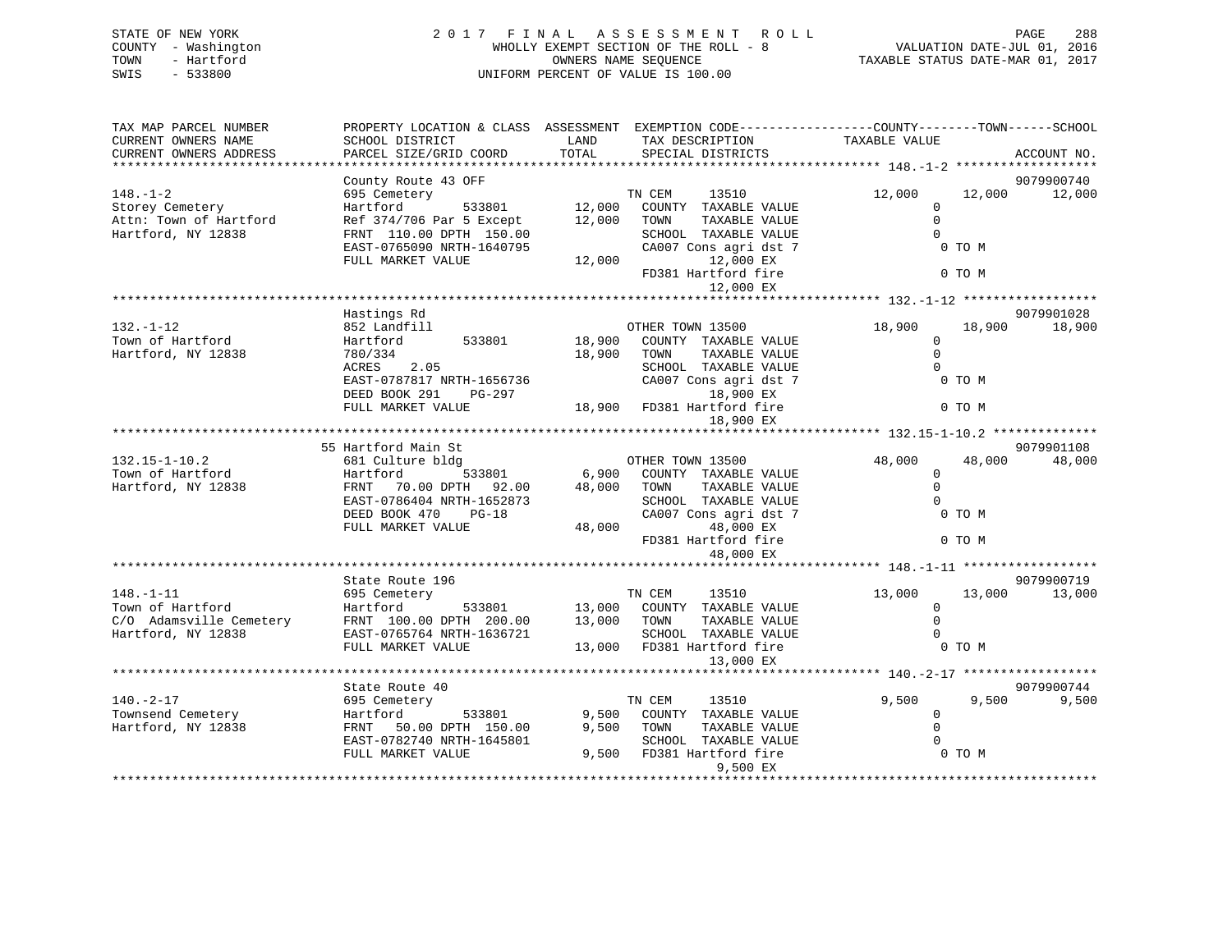|      | STATE OF NEW YORK   | 2017 FINAL ASSESSMENT ROLL            |                                  | PAGE | 288 |
|------|---------------------|---------------------------------------|----------------------------------|------|-----|
|      | COUNTY - Washington | WHOLLY EXEMPT SECTION OF THE ROLL - 8 | VALUATION DATE-JUL 01, 2016      |      |     |
| TOWN | - Hartford          | OWNERS NAME SEOUENCE                  | TAXABLE STATUS DATE-MAR 01, 2017 |      |     |
| SWIS | $-533800$           | UNIFORM PERCENT OF VALUE IS 100.00    |                                  |      |     |
|      |                     |                                       |                                  |      |     |
|      |                     |                                       |                                  |      |     |

| TAX MAP PARCEL NUMBER                         | PROPERTY LOCATION & CLASS ASSESSMENT EXEMPTION CODE----------------COUNTY-------TOWN-----SCHOOL |               |                                      |               |        |             |
|-----------------------------------------------|-------------------------------------------------------------------------------------------------|---------------|--------------------------------------|---------------|--------|-------------|
| CURRENT OWNERS NAME<br>CURRENT OWNERS ADDRESS | SCHOOL DISTRICT<br>PARCEL SIZE/GRID COORD                                                       | LAND<br>TOTAL | TAX DESCRIPTION<br>SPECIAL DISTRICTS | TAXABLE VALUE |        |             |
| ***********************                       |                                                                                                 |               |                                      |               |        | ACCOUNT NO. |
| 9079900740<br>County Route 43 OFF             |                                                                                                 |               |                                      |               |        |             |
| $148. - 1 - 2$                                | 695 Cemetery                                                                                    |               | 13510<br>TN CEM                      | 12,000        | 12,000 | 12,000      |
| Storey Cemetery                               | 533801<br>Hartford                                                                              | 12,000        | COUNTY TAXABLE VALUE                 | $\mathbf 0$   |        |             |
| Attn: Town of Hartford                        | Ref 374/706 Par 5 Except                                                                        | 12,000        | TAXABLE VALUE<br>TOWN                | $\Omega$      |        |             |
| Hartford, NY 12838                            | FRNT 110.00 DPTH 150.00                                                                         |               | SCHOOL TAXABLE VALUE                 | $\Omega$      |        |             |
|                                               | EAST-0765090 NRTH-1640795                                                                       |               | CA007 Cons agri dst 7                |               | 0 TO M |             |
|                                               | FULL MARKET VALUE                                                                               | 12,000        | 12,000 EX                            |               |        |             |
|                                               |                                                                                                 |               | FD381 Hartford fire                  |               | 0 TO M |             |
|                                               |                                                                                                 |               | 12,000 EX                            |               |        |             |
|                                               |                                                                                                 |               |                                      |               |        |             |
|                                               | Hastings Rd                                                                                     |               |                                      |               |        | 9079901028  |
| $132. - 1 - 12$                               | 852 Landfill                                                                                    |               | OTHER TOWN 13500                     | 18,900        | 18,900 | 18,900      |
| Town of Hartford                              | Hartford<br>533801                                                                              | 18,900        | COUNTY TAXABLE VALUE                 | $\mathbf 0$   |        |             |
| Hartford, NY 12838                            | 780/334                                                                                         | 18,900        | TAXABLE VALUE<br>TOWN                | $\Omega$      |        |             |
|                                               | 2.05<br>ACRES                                                                                   |               | SCHOOL TAXABLE VALUE                 | $\Omega$      |        |             |
|                                               | EAST-0787817 NRTH-1656736                                                                       |               | CA007 Cons agri dst 7                |               | 0 TO M |             |
|                                               | DEED BOOK 291<br>PG-297                                                                         |               | 18,900 EX                            |               |        |             |
|                                               | FULL MARKET VALUE                                                                               | 18,900        | FD381 Hartford fire                  |               | 0 TO M |             |
|                                               |                                                                                                 |               | 18,900 EX                            |               |        |             |
|                                               |                                                                                                 |               |                                      |               |        |             |
|                                               | 55 Hartford Main St                                                                             |               |                                      |               |        | 9079901108  |
| $132.15 - 1 - 10.2$                           | 681 Culture bldg                                                                                |               | OTHER TOWN 13500                     | 48,000        | 48,000 | 48,000      |
| Town of Hartford                              | Hartford<br>533801                                                                              | 6,900         | COUNTY TAXABLE VALUE                 | $\mathbf 0$   |        |             |
| Hartford, NY 12838                            | FRNT 70.00 DPTH 92.00                                                                           | 48,000        | TOWN<br>TAXABLE VALUE                | $\Omega$      |        |             |
|                                               | EAST-0786404 NRTH-1652873                                                                       |               | SCHOOL TAXABLE VALUE                 | $\Omega$      |        |             |
|                                               | DEED BOOK 470<br>$PG-18$                                                                        |               | CA007 Cons agri dst 7                |               | 0 TO M |             |
|                                               | FULL MARKET VALUE                                                                               | 48,000        | 48,000 EX                            | 0 TO M        |        |             |
|                                               |                                                                                                 |               | FD381 Hartford fire                  |               |        |             |
|                                               |                                                                                                 |               | 48,000 EX                            |               |        |             |
|                                               | State Route 196                                                                                 |               |                                      |               |        | 9079900719  |
| $148. - 1 - 11$                               | 695 Cemetery                                                                                    |               | TN CEM<br>13510                      | 13,000        | 13,000 | 13,000      |
| Town of Hartford                              | 533801<br>Hartford                                                                              | 13,000        | COUNTY TAXABLE VALUE                 | 0             |        |             |
| C/O Adamsville Cemetery                       | FRNT 100.00 DPTH 200.00                                                                         | 13,000        | TOWN<br>TAXABLE VALUE                | $\Omega$      |        |             |
| Hartford, NY 12838                            | EAST-0765764 NRTH-1636721                                                                       |               | SCHOOL TAXABLE VALUE                 | $\Omega$      |        |             |
|                                               | FULL MARKET VALUE                                                                               |               | 13,000 FD381 Hartford fire           |               | 0 TO M |             |
|                                               |                                                                                                 |               | 13,000 EX                            |               |        |             |
|                                               |                                                                                                 |               |                                      |               |        |             |
|                                               | State Route 40                                                                                  |               |                                      |               |        | 9079900744  |
| $140. - 2 - 17$                               | 695 Cemetery                                                                                    |               | 13510<br>TN CEM                      | 9,500         | 9,500  | 9,500       |
| Townsend Cemetery                             | 533801<br>Hartford                                                                              | 9,500         | COUNTY TAXABLE VALUE                 | $\mathbf 0$   |        |             |
| Hartford, NY 12838                            | 50.00 DPTH 150.00<br>FRNT                                                                       | 9,500         | TOWN<br>TAXABLE VALUE                | $\Omega$      |        |             |
|                                               | EAST-0782740 NRTH-1645801                                                                       |               | SCHOOL TAXABLE VALUE                 |               |        |             |
|                                               | FULL MARKET VALUE                                                                               | 9,500         | FD381 Hartford fire                  |               | 0 TO M |             |
|                                               |                                                                                                 |               | 9,500 EX                             |               |        |             |
|                                               |                                                                                                 |               |                                      |               |        |             |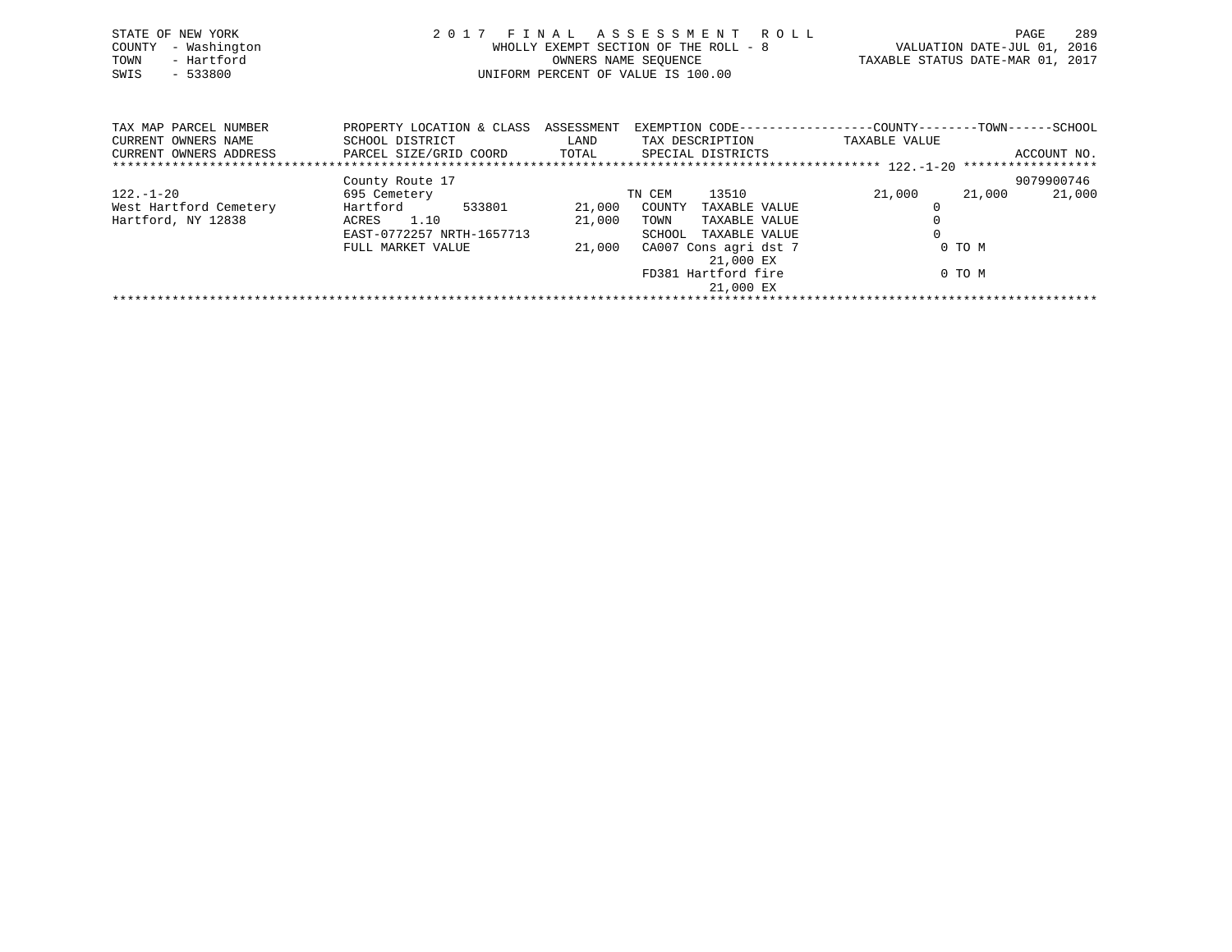| STATE OF NEW YORK<br>- Washington<br>COUNTY<br>- Hartford<br>TOWN<br>$-533800$<br>SWIS |                                                                        | WHOLLY EXEMPT SECTION OF THE ROLL - 8<br>UNIFORM PERCENT OF VALUE IS 100.00 | OWNERS NAME SEOUENCE | 2017 FINAL ASSESSMENT ROLL                                                        | VALUATION DATE-JUL 01, 2016<br>TAXABLE STATUS DATE-MAR 01, 2017 | PAGE   | 289         |
|----------------------------------------------------------------------------------------|------------------------------------------------------------------------|-----------------------------------------------------------------------------|----------------------|-----------------------------------------------------------------------------------|-----------------------------------------------------------------|--------|-------------|
| TAX MAP PARCEL NUMBER<br>CURRENT OWNERS NAME<br>CURRENT OWNERS ADDRESS                 | PROPERTY LOCATION & CLASS<br>SCHOOL DISTRICT<br>PARCEL SIZE/GRID COORD | ASSESSMENT<br>LAND<br>TOTAL                                                 | TAX DESCRIPTION      | EXEMPTION CODE-----------------COUNTY-------TOWN------SCHOOL<br>SPECIAL DISTRICTS | TAXABLE VALUE                                                   |        | ACCOUNT NO. |
|                                                                                        |                                                                        |                                                                             |                      |                                                                                   |                                                                 |        |             |
|                                                                                        | County Route 17                                                        |                                                                             |                      |                                                                                   |                                                                 |        | 9079900746  |
| 122.-1-20                                                                              | 695 Cemetery                                                           |                                                                             | TN CEM               | 13510                                                                             | 21,000                                                          | 21,000 | 21,000      |

\*\*\*\*\*\*\*\*\*\*\*\*\*\*\*\*\*\*\*\*\*\*\*\*\*\*\*\*\*\*\*\*\*\*\*\*\*\*\*\*\*\*\*\*\*\*\*\*\*\*\*\*\*\*\*\*\*\*\*\*\*\*\*\*\*\*\*\*\*\*\*\*\*\*\*\*\*\*\*\*\*\*\*\*\*\*\*\*\*\*\*\*\*\*\*\*\*\*\*\*\*\*\*\*\*\*\*\*\*\*\*\*\*\*\*\*\*\*\*\*\*\*\*\*\*\*\*\*\*\*\*\*

 EAST-0772257 NRTH-1657713 SCHOOL TAXABLE VALUE 0FULL MARKET VALUE  $21,000$  CA007 Cons agri dst 7 0 TO M

21,000 EX

21,000 EX

FD381 Hartford fire 0 TO M

West Hartford Cemetery Hartford 533801 21,000 COUNTY TAXABLE VALUE 0 Hartford, NY 12838 ACRES 1.10 21,000 TOWN TAXABLE VALUE 0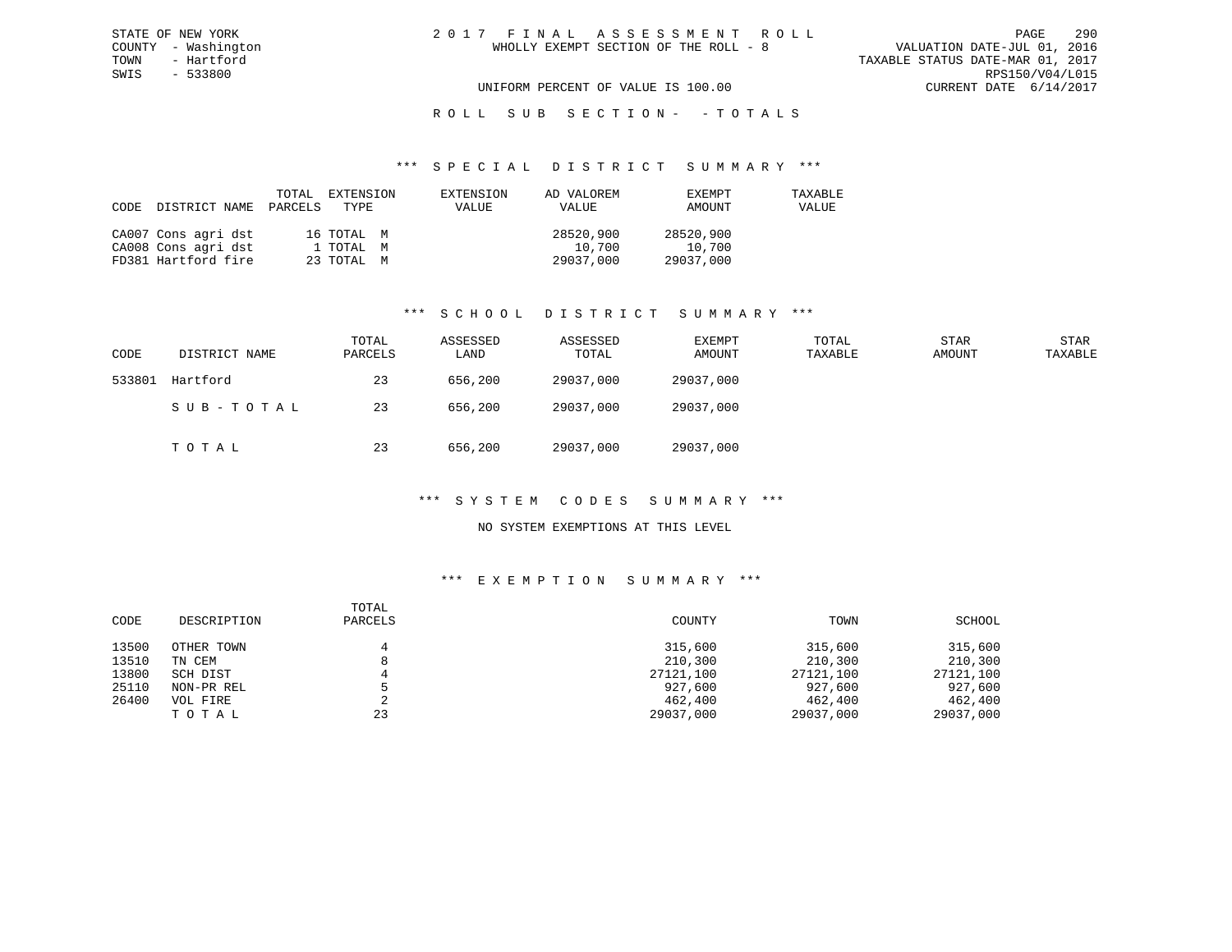# R O L L S U B S E C T I O N - - T O T A L S

### \*\*\* S P E C I A L D I S T R I C T S U M M A R Y \*\*\*

| CODE | DISTRICT NAME       | PARCELS | TOTAL EXTENSION<br>TYPE | EXTENSION<br>VALUE | AD VALOREM<br>VALUE | EXEMPT<br>AMOUNT | TAXABLE<br>VALUE |
|------|---------------------|---------|-------------------------|--------------------|---------------------|------------------|------------------|
|      | CA007 Cons agri dst |         | 16 TOTAL M              |                    | 28520,900           | 28520,900        |                  |
|      | CA008 Cons agri dst |         | 1 TOTAL M               |                    | 10,700              | 10,700           |                  |
|      | FD381 Hartford fire |         | 23 TOTAL M              |                    | 29037,000           | 29037,000        |                  |

### \*\*\* S C H O O L D I S T R I C T S U M M A R Y \*\*\*

| CODE   | DISTRICT NAME | TOTAL<br>PARCELS | ASSESSED<br>LAND | ASSESSED<br>TOTAL | EXEMPT<br>AMOUNT | TOTAL<br>TAXABLE | <b>STAR</b><br>AMOUNT | <b>STAR</b><br>TAXABLE |
|--------|---------------|------------------|------------------|-------------------|------------------|------------------|-----------------------|------------------------|
| 533801 | Hartford      | 23               | 656,200          | 29037,000         | 29037,000        |                  |                       |                        |
|        | SUB-TOTAL     | 23               | 656,200          | 29037,000         | 29037,000        |                  |                       |                        |
|        | TOTAL         | 23               | 656,200          | 29037,000         | 29037,000        |                  |                       |                        |

# \*\*\* S Y S T E M C O D E S S U M M A R Y \*\*\*

## NO SYSTEM EXEMPTIONS AT THIS LEVEL

| CODE  | DESCRIPTION | TOTAL<br>PARCELS | COUNTY    | TOWN      | SCHOOL    |
|-------|-------------|------------------|-----------|-----------|-----------|
| 13500 | OTHER TOWN  |                  | 315,600   | 315,600   | 315,600   |
| 13510 | TN CEM      |                  | 210,300   | 210,300   | 210,300   |
| 13800 | SCH DIST    |                  | 27121,100 | 27121,100 | 27121,100 |
| 25110 | NON-PR REL  |                  | 927,600   | 927,600   | 927,600   |
| 26400 | VOL FIRE    |                  | 462,400   | 462,400   | 462,400   |
|       | тотаь       | 23               | 29037,000 | 29037,000 | 29037,000 |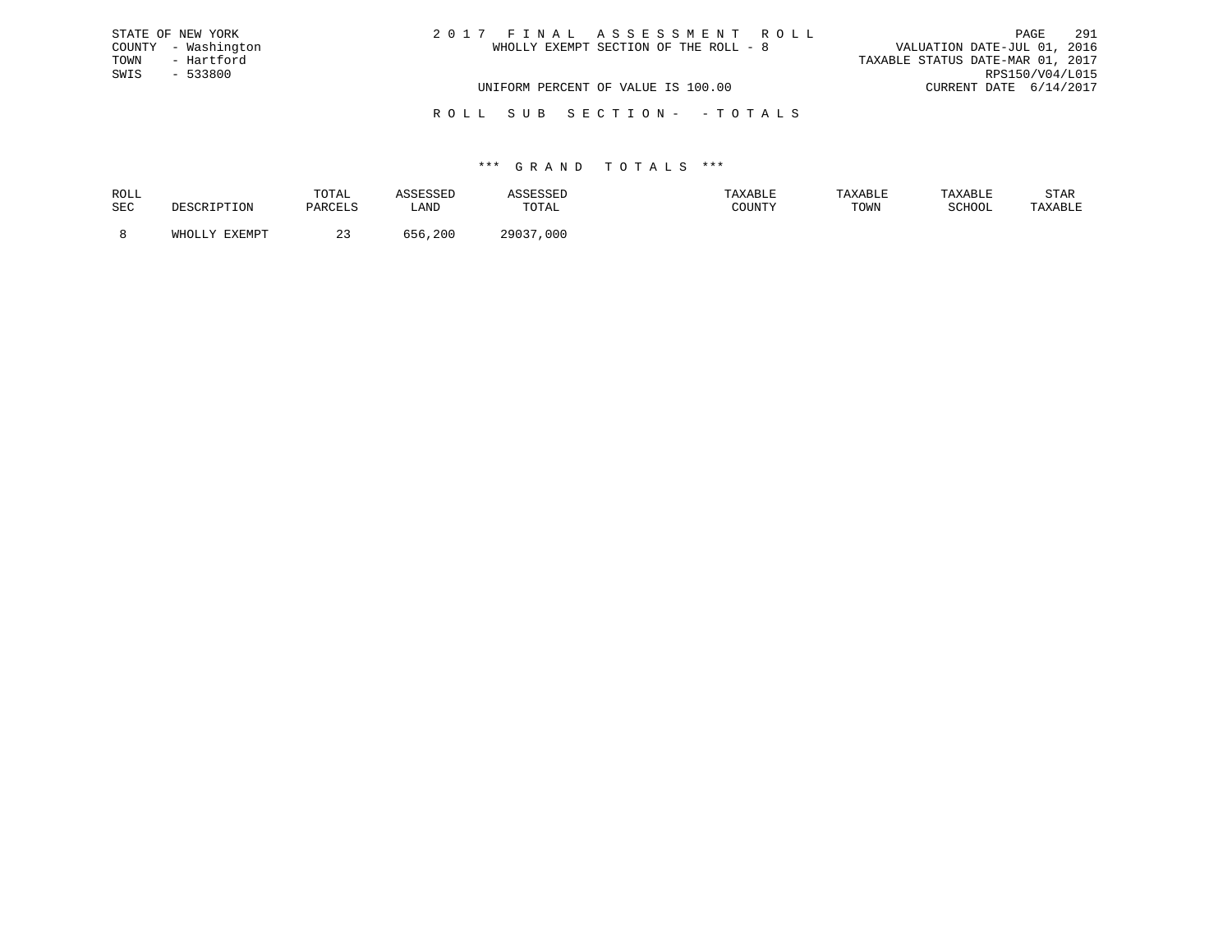| STATE OF NEW YORK   | 2017 FINAL ASSESSMENT ROLL            | 291<br>PAGE                      |
|---------------------|---------------------------------------|----------------------------------|
| COUNTY - Washington | WHOLLY EXEMPT SECTION OF THE ROLL - 8 | VALUATION DATE-JUL 01, 2016      |
| TOWN<br>- Hartford  |                                       | TAXABLE STATUS DATE-MAR 01, 2017 |
| SWIS<br>- 533800    |                                       | RPS150/V04/L015                  |
|                     | UNIFORM PERCENT OF VALUE IS 100.00    | CURRENT DATE 6/14/2017           |
|                     |                                       |                                  |

R O L L S U B S E C T I O N - - T O T A L S

### \*\*\* G R A N D T O T A L S \*\*\*

| ROLL |        | TOTAL          | <b>SSESSED</b> |               | AXABLE | TAXABLE | TAXABLE       | STAR    |
|------|--------|----------------|----------------|---------------|--------|---------|---------------|---------|
| SEC  |        | <b>DARCTIC</b> | ∟AND           | TOTAL         | COUNTY | TOWN    | <b>SCHOOL</b> | TAXABLE |
|      | FYFMDT |                | , 200          | 29037<br>,000 |        |         |               |         |
|      |        |                |                |               |        |         |               |         |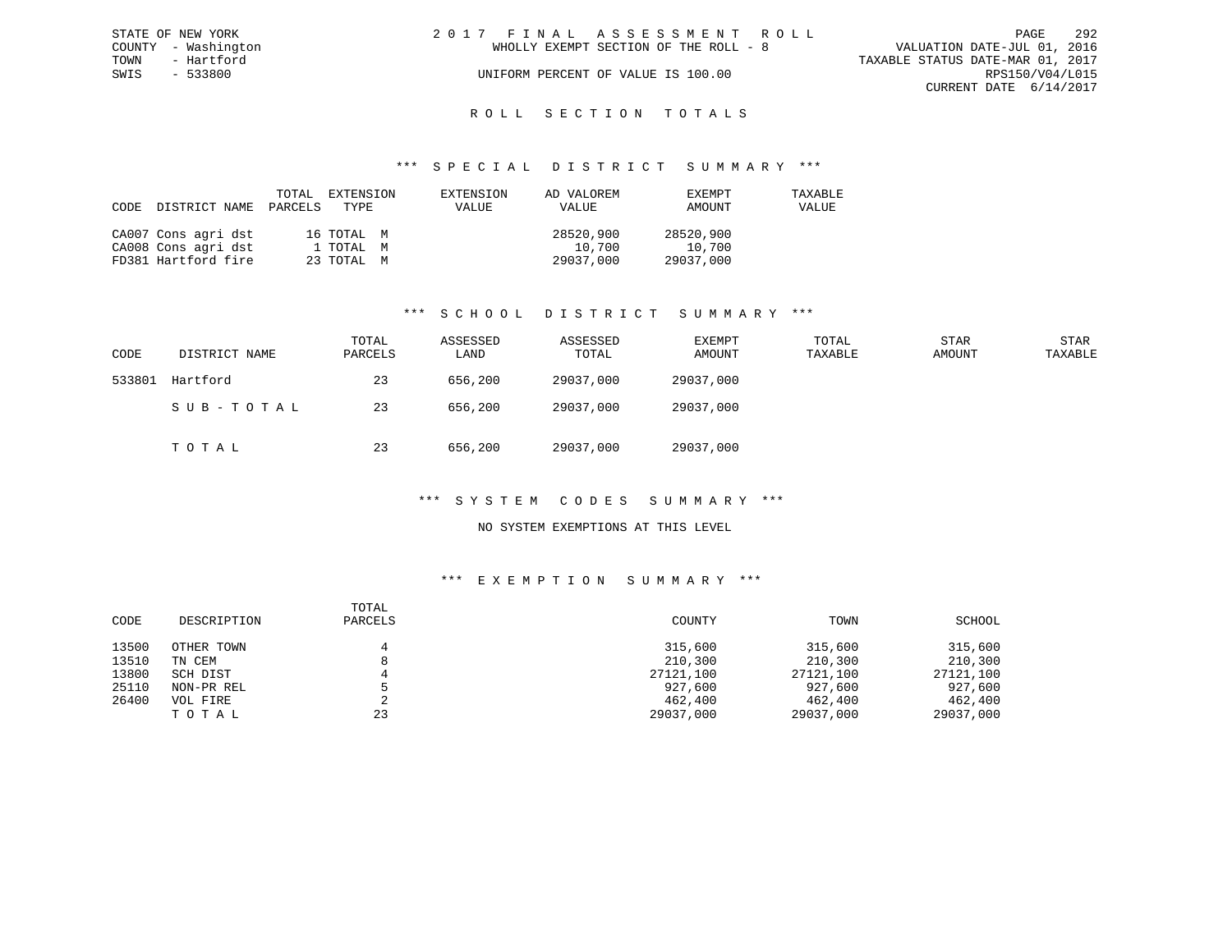| STATE OF NEW YORK   | 2017 FINAL ASSESSMENT ROLL            | -292<br><b>PAGE</b>              |
|---------------------|---------------------------------------|----------------------------------|
| COUNTY - Washington | WHOLLY EXEMPT SECTION OF THE ROLL - 8 | VALUATION DATE-JUL 01, 2016      |
| TOWN<br>- Hartford  |                                       | TAXABLE STATUS DATE-MAR 01, 2017 |
| SWIS<br>- 533800    | UNIFORM PERCENT OF VALUE IS 100.00    | RPS150/V04/L015                  |
|                     |                                       | CURRENT DATE $6/14/2017$         |
|                     |                                       |                                  |

# ROLL SECTION TOTALS

### \*\*\* S P E C I A L D I S T R I C T S U M M A R Y \*\*\*

| CODE | DISTRICT NAME PARCELS TYPE | TOTAL | EXTENSION  | EXTENSION<br><b>VALUE</b> | AD VALOREM<br>VALUE | EXEMPT<br>AMOUNT | TAXABLE<br>VALUE |
|------|----------------------------|-------|------------|---------------------------|---------------------|------------------|------------------|
|      | CA007 Cons agri dst        |       | 16 ТОТАЬ М |                           | 28520,900           | 28520,900        |                  |
|      | CA008 Cons agri dst        |       | 1 ТОТАL М  |                           | 10,700              | 10,700           |                  |
|      | FD381 Hartford fire        |       | 23 TOTAL M |                           | 29037,000           | 29037,000        |                  |

### \*\*\* S C H O O L D I S T R I C T S U M M A R Y \*\*\*

| CODE   | DISTRICT NAME | TOTAL<br>PARCELS | ASSESSED<br>LAND | ASSESSED<br>TOTAL | EXEMPT<br>AMOUNT | TOTAL<br>TAXABLE | <b>STAR</b><br>AMOUNT | STAR<br>TAXABLE |
|--------|---------------|------------------|------------------|-------------------|------------------|------------------|-----------------------|-----------------|
| 533801 | Hartford      | 23               | 656,200          | 29037,000         | 29037,000        |                  |                       |                 |
|        | SUB-TOTAL     | 23               | 656,200          | 29037,000         | 29037,000        |                  |                       |                 |
|        | тотаь         | 23               | 656,200          | 29037,000         | 29037,000        |                  |                       |                 |

### \*\*\* S Y S T E M C O D E S S U M M A R Y \*\*\*

### NO SYSTEM EXEMPTIONS AT THIS LEVEL

| CODE  | DESCRIPTION | TOTAL<br>PARCELS | COUNTY    | TOWN      | SCHOOL    |
|-------|-------------|------------------|-----------|-----------|-----------|
| 13500 | OTHER TOWN  |                  | 315,600   | 315,600   | 315,600   |
| 13510 | TN CEM      |                  | 210,300   | 210,300   | 210,300   |
| 13800 | SCH DIST    |                  | 27121,100 | 27121,100 | 27121,100 |
| 25110 | NON-PR REL  |                  | 927,600   | 927,600   | 927,600   |
| 26400 | VOL FIRE    | ∠                | 462,400   | 462,400   | 462,400   |
|       | TOTAL       | 23               | 29037,000 | 29037,000 | 29037,000 |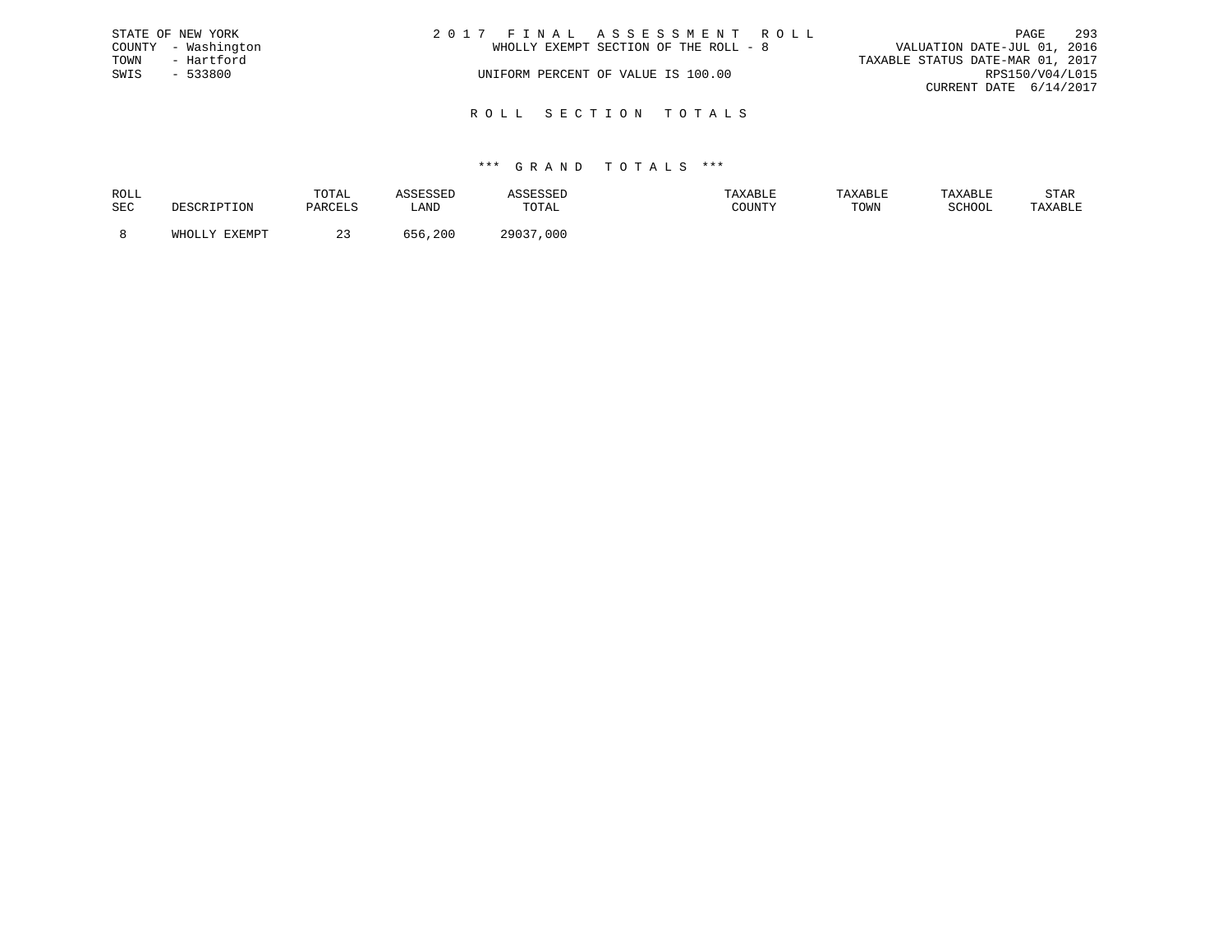|      | STATE OF NEW YORK   | 2017 FINAL ASSESSMENT ROLL            | 293<br>PAGE                      |
|------|---------------------|---------------------------------------|----------------------------------|
|      | COUNTY - Washington | WHOLLY EXEMPT SECTION OF THE ROLL - 8 | VALUATION DATE-JUL 01, 2016      |
| TOWN | - Hartford          |                                       | TAXABLE STATUS DATE-MAR 01, 2017 |
| SWIS | - 533800            | UNIFORM PERCENT OF VALUE IS 100.00    | RPS150/V04/L015                  |
|      |                     |                                       | CURRENT DATE 6/14/2017           |
|      |                     |                                       |                                  |

R O L L S E C T I O N T O T A L S

### \*\*\* G R A N D T O T A L S \*\*\*

| ROLL |        | TOTAL           |      | the company of the company of the company of the company of the company of the company of the company of the company of the company of the company of the company of the company of the company of the company of the company | AXABLE                                  | TAXABL |        | STAR    |
|------|--------|-----------------|------|-------------------------------------------------------------------------------------------------------------------------------------------------------------------------------------------------------------------------------|-----------------------------------------|--------|--------|---------|
| SEC  |        | <b>DARCEL</b> C | ≒AND | TOTAL                                                                                                                                                                                                                         | $C$ $C$ $T$ $T$ $T$ $T$ $T$ $T$ $T$ $T$ | TOWN   | SCHOOL | TAXABLE |
|      | FYFMDT |                 | 200  | 20027<br>000                                                                                                                                                                                                                  |                                         |        |        |         |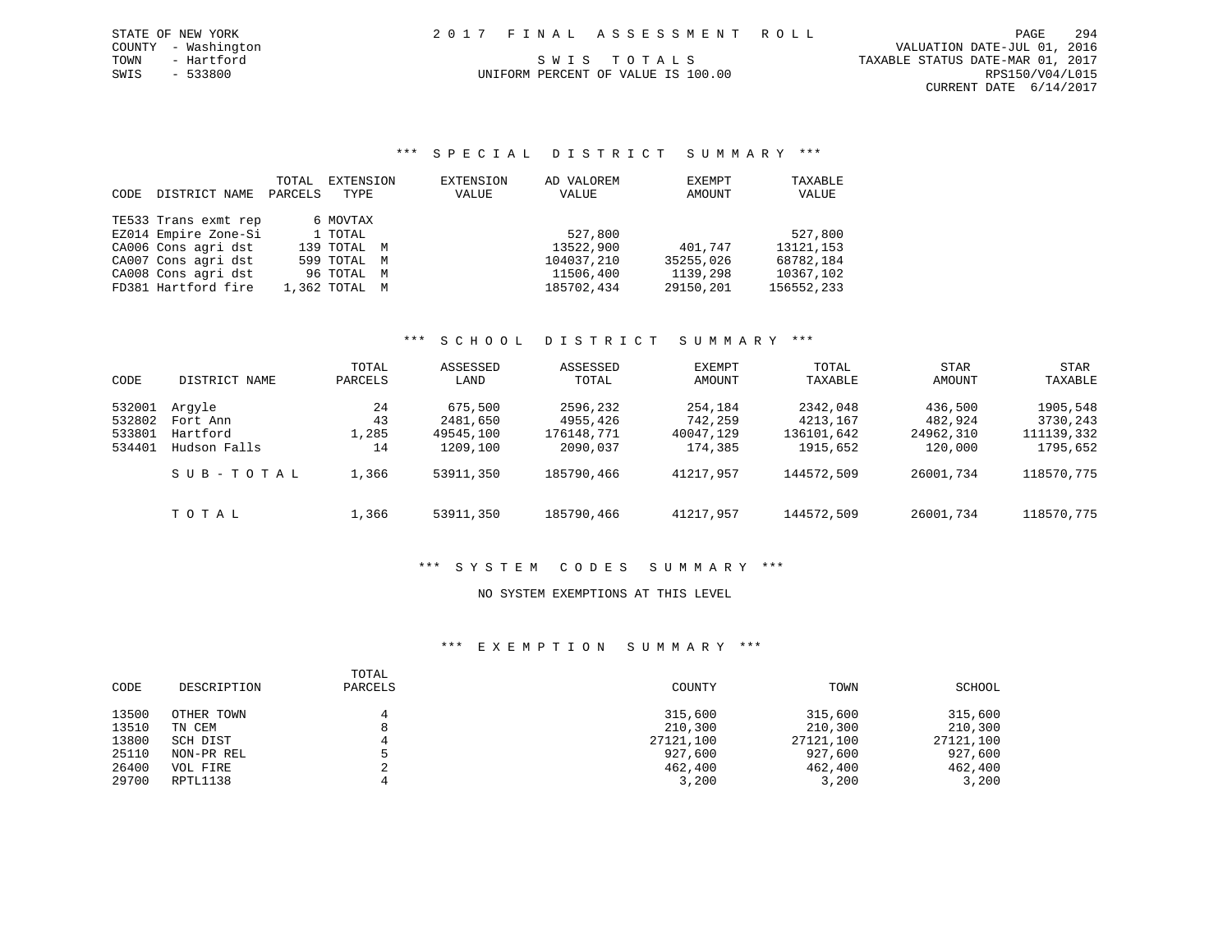SWIS - 533800 UNIFORM PERCENT OF VALUE IS 100.00 RPS150/V04/L015 CURRENT DATE 6/14/2017

# TOWN - Hartford S W I S T O T A L S TO T A L S TAXABLE STATUS DATE-MAR 01, 2017

\*\*\* S P E C I A L D I S T R I C T S U M M A R Y \*\*\*

| CODE. | DISTRICT NAME        | TOTAL<br>PARCELS | EXTENSION<br>TYPE |   | EXTENSION<br>VALUE | AD VALOREM<br>VALUE | EXEMPT<br>AMOUNT | TAXABLE<br>VALUE |
|-------|----------------------|------------------|-------------------|---|--------------------|---------------------|------------------|------------------|
|       | TE533 Trans exmt rep |                  | 6 MOVTAX          |   |                    |                     |                  |                  |
|       | EZ014 Empire Zone-Si |                  | 1 TOTAL           |   |                    | 527,800             |                  | 527,800          |
|       | CA006 Cons agri dst  |                  | 139 TOTAL M       |   |                    | 13522,900           | 401,747          | 13121, 153       |
|       | CA007 Cons agri dst  |                  | 599 TOTAL M       |   |                    | 104037,210          | 35255,026        | 68782,184        |
|       | CA008 Cons agri dst  |                  | 96 TOTAL          | M |                    | 11506,400           | 1139,298         | 10367,102        |
|       | FD381 Hartford fire  |                  | 1,362 TOTAL M     |   |                    | 185702,434          | 29150,201        | 156552,233       |

# \*\*\* S C H O O L D I S T R I C T S U M M A R Y \*\*\*

| CODE   | DISTRICT NAME | TOTAL<br>PARCELS | ASSESSED<br>LAND | ASSESSED<br>TOTAL | EXEMPT<br>AMOUNT | TOTAL<br>TAXABLE | STAR<br>AMOUNT | STAR<br>TAXABLE |
|--------|---------------|------------------|------------------|-------------------|------------------|------------------|----------------|-----------------|
| 532001 | Arqyle        | 24               | 675,500          | 2596,232          | 254,184          | 2342,048         | 436,500        | 1905,548        |
| 532802 | Fort Ann      | 43               | 2481,650         | 4955,426          | 742,259          | 4213,167         | 482,924        | 3730,243        |
| 533801 | Hartford      | 1,285            | 49545,100        | 176148,771        | 40047,129        | 136101,642       | 24962,310      | 111139,332      |
| 534401 | Hudson Falls  | 14               | 1209,100         | 2090,037          | 174,385          | 1915,652         | 120,000        | 1795,652        |
|        | SUB-TOTAL     | 1,366            | 53911,350        | 185790,466        | 41217,957        | 144572,509       | 26001,734      | 118570,775      |
|        | TOTAL         | 1,366            | 53911,350        | 185790,466        | 41217,957        | 144572,509       | 26001,734      | 118570,775      |

# \*\*\* S Y S T E M C O D E S S U M M A R Y \*\*\*

### NO SYSTEM EXEMPTIONS AT THIS LEVEL

| CODE  | DESCRIPTION | TOTAL<br>PARCELS | COUNTY    | TOWN      | SCHOOL    |
|-------|-------------|------------------|-----------|-----------|-----------|
| 13500 | OTHER TOWN  |                  | 315,600   | 315,600   | 315,600   |
| 13510 | TN CEM      |                  | 210,300   | 210,300   | 210,300   |
| 13800 | SCH DIST    |                  | 27121,100 | 27121,100 | 27121,100 |
| 25110 | NON-PR REL  |                  | 927,600   | 927,600   | 927,600   |
| 26400 | VOL FIRE    |                  | 462,400   | 462,400   | 462,400   |
| 29700 | RPTL1138    |                  | 3,200     | 3,200     | 3,200     |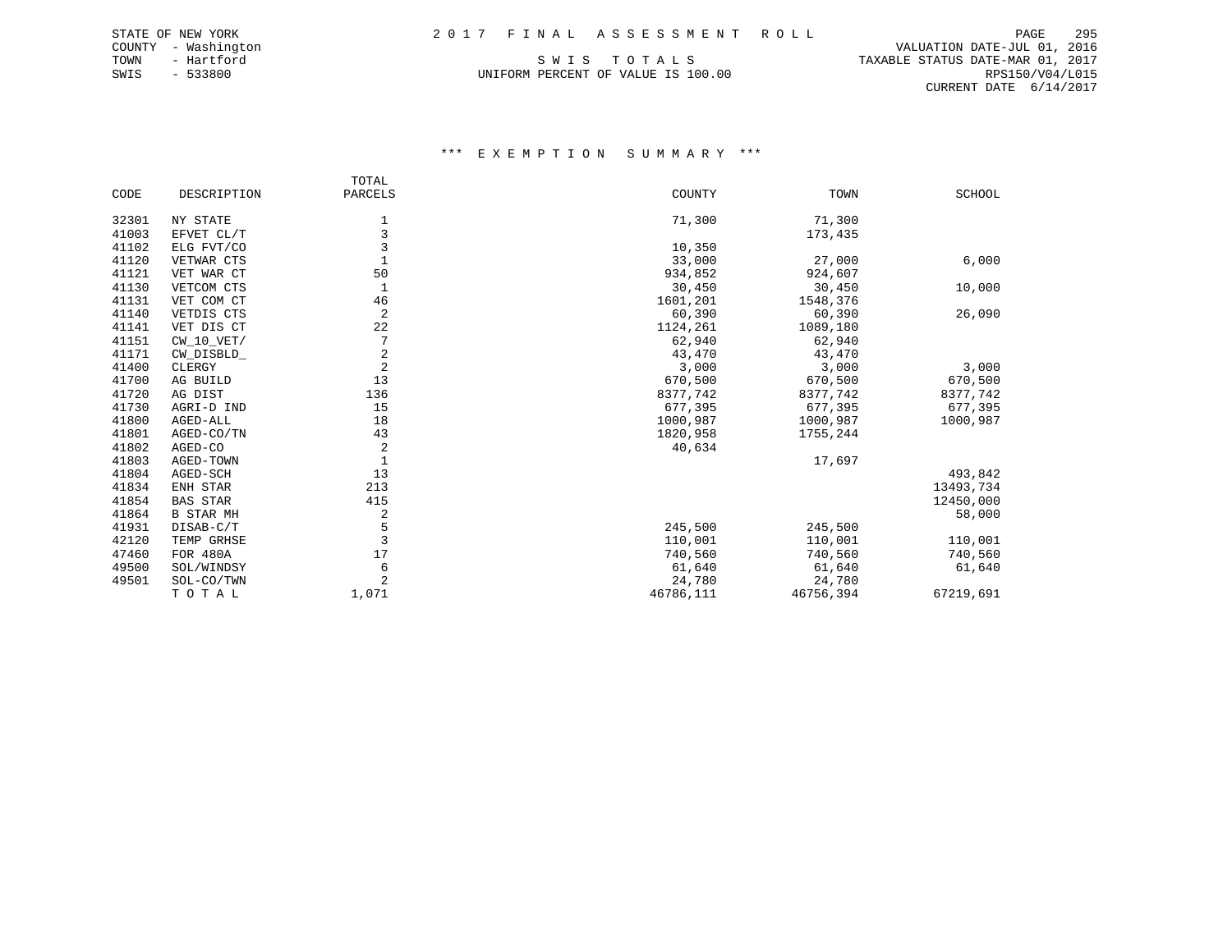SWIS - 533800 UNIFORM PERCENT OF VALUE IS 100.00 RPS150/V04/L015

 COUNTY - Washington VALUATION DATE-JUL 01, 2016 TOWN - Hartford SWIS TO TALS THE STATUS DATE-MAR 01, 2017 CURRENT DATE 6/14/2017

|       |                  | TOTAL          |           |           |               |
|-------|------------------|----------------|-----------|-----------|---------------|
| CODE  | DESCRIPTION      | PARCELS        | COUNTY    | TOWN      | <b>SCHOOL</b> |
| 32301 | NY STATE         | 1              | 71,300    | 71,300    |               |
| 41003 | EFVET CL/T       | 3              |           | 173,435   |               |
| 41102 | ELG FVT/CO       | 3              | 10,350    |           |               |
| 41120 | VETWAR CTS       | $\mathbf{1}$   | 33,000    | 27,000    | 6,000         |
| 41121 | VET WAR CT       | 50             | 934,852   | 924,607   |               |
| 41130 | VETCOM CTS       | 1              | 30,450    | 30,450    | 10,000        |
| 41131 | VET COM CT       | 46             | 1601,201  | 1548,376  |               |
| 41140 | VETDIS CTS       | $\overline{2}$ | 60,390    | 60,390    | 26,090        |
| 41141 | VET DIS CT       | 22             | 1124,261  | 1089,180  |               |
| 41151 | $CW_10_VET/$     |                | 62,940    | 62,940    |               |
| 41171 | CW DISBLD        | $\overline{2}$ | 43,470    | 43,470    |               |
| 41400 | CLERGY           | 2              | 3,000     | 3,000     | 3,000         |
| 41700 | AG BUILD         | 13             | 670,500   | 670,500   | 670,500       |
| 41720 | AG DIST          | 136            | 8377,742  | 8377,742  | 8377,742      |
| 41730 | AGRI-D IND       | 15             | 677,395   | 677,395   | 677,395       |
| 41800 | AGED-ALL         | 18             | 1000,987  | 1000,987  | 1000,987      |
| 41801 | AGED-CO/TN       | 43             | 1820,958  | 1755,244  |               |
| 41802 | AGED-CO          | 2              | 40,634    |           |               |
| 41803 | AGED-TOWN        |                |           | 17,697    |               |
| 41804 | AGED-SCH         | 13             |           |           | 493,842       |
| 41834 | ENH STAR         | 213            |           |           | 13493,734     |
| 41854 | <b>BAS STAR</b>  | 415            |           |           | 12450,000     |
| 41864 | <b>B STAR MH</b> | 2              |           |           | 58,000        |
| 41931 | DISAB-C/T        | 5              | 245,500   | 245,500   |               |
| 42120 | TEMP GRHSE       | 3              | 110,001   | 110,001   | 110,001       |
| 47460 | FOR 480A         | 17             | 740,560   | 740,560   | 740,560       |
| 49500 | SOL/WINDSY       | 6              | 61,640    | 61,640    | 61,640        |
| 49501 | SOL-CO/TWN       | 2              | 24,780    | 24,780    |               |
|       | TOTAL            | 1,071          | 46786,111 | 46756,394 | 67219,691     |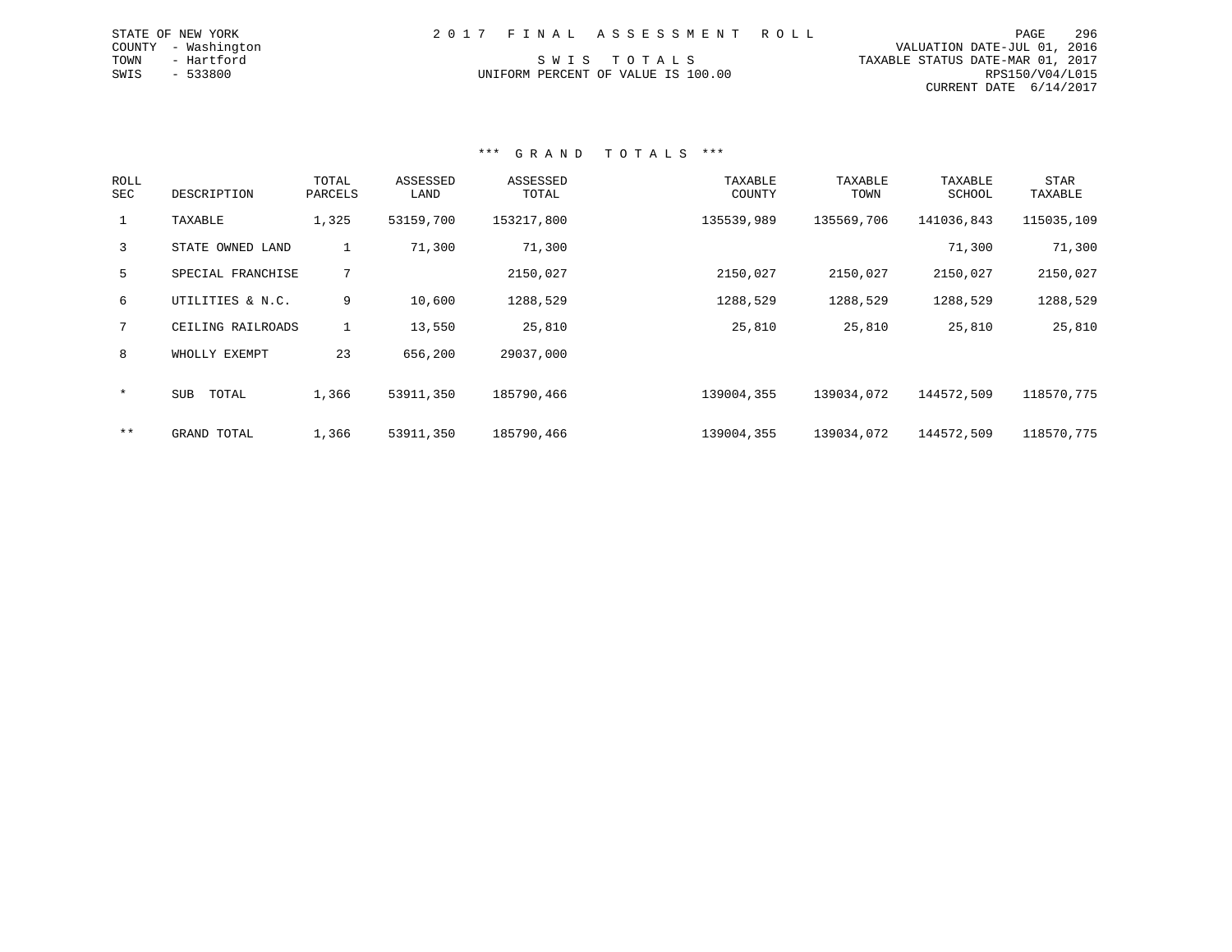| 2017 FINAL ASSESSMENT ROLL<br>STATE OF NEW YORK | PAGE | 296 |
|-------------------------------------------------|------|-----|
|-------------------------------------------------|------|-----|

 COUNTY - Washington VALUATION DATE-JUL 01, 2016 TOWN - Hartford S W I S T O T A L S TAXABLE STATUS DATE-MAR 01, 2017 UNIFORM PERCENT OF VALUE IS 100.00 RPS150/V04/L015 CURRENT DATE 6/14/2017

# \*\*\* G R A N D T O T A L S \*\*\*

| <b>ROLL</b><br>SEC | DESCRIPTION         | TOTAL<br>PARCELS | ASSESSED<br>LAND | ASSESSED<br>TOTAL | TAXABLE<br>COUNTY | TAXABLE<br>TOWN | TAXABLE<br>SCHOOL | <b>STAR</b><br>TAXABLE |
|--------------------|---------------------|------------------|------------------|-------------------|-------------------|-----------------|-------------------|------------------------|
| $\mathbf{1}$       | TAXABLE             | 1,325            | 53159,700        | 153217,800        | 135539,989        | 135569,706      | 141036,843        | 115035,109             |
| 3                  | STATE OWNED LAND    | 1                | 71,300           | 71,300            |                   |                 | 71,300            | 71,300                 |
| 5                  | SPECIAL FRANCHISE   | 7                |                  | 2150,027          | 2150,027          | 2150,027        | 2150,027          | 2150,027               |
| 6                  | UTILITIES & N.C.    | 9                | 10,600           | 1288,529          | 1288,529          | 1288,529        | 1288,529          | 1288,529               |
| 7                  | CEILING RAILROADS   |                  | 13,550           | 25,810            | 25,810            | 25,810          | 25,810            | 25,810                 |
| 8                  | WHOLLY EXEMPT       | 23               | 656,200          | 29037,000         |                   |                 |                   |                        |
| $\star$            | TOTAL<br><b>SUB</b> | 1,366            | 53911,350        | 185790,466        | 139004,355        | 139034,072      | 144572,509        | 118570,775             |
| $***$              | GRAND TOTAL         | 1,366            | 53911,350        | 185790,466        | 139004,355        | 139034,072      | 144572,509        | 118570,775             |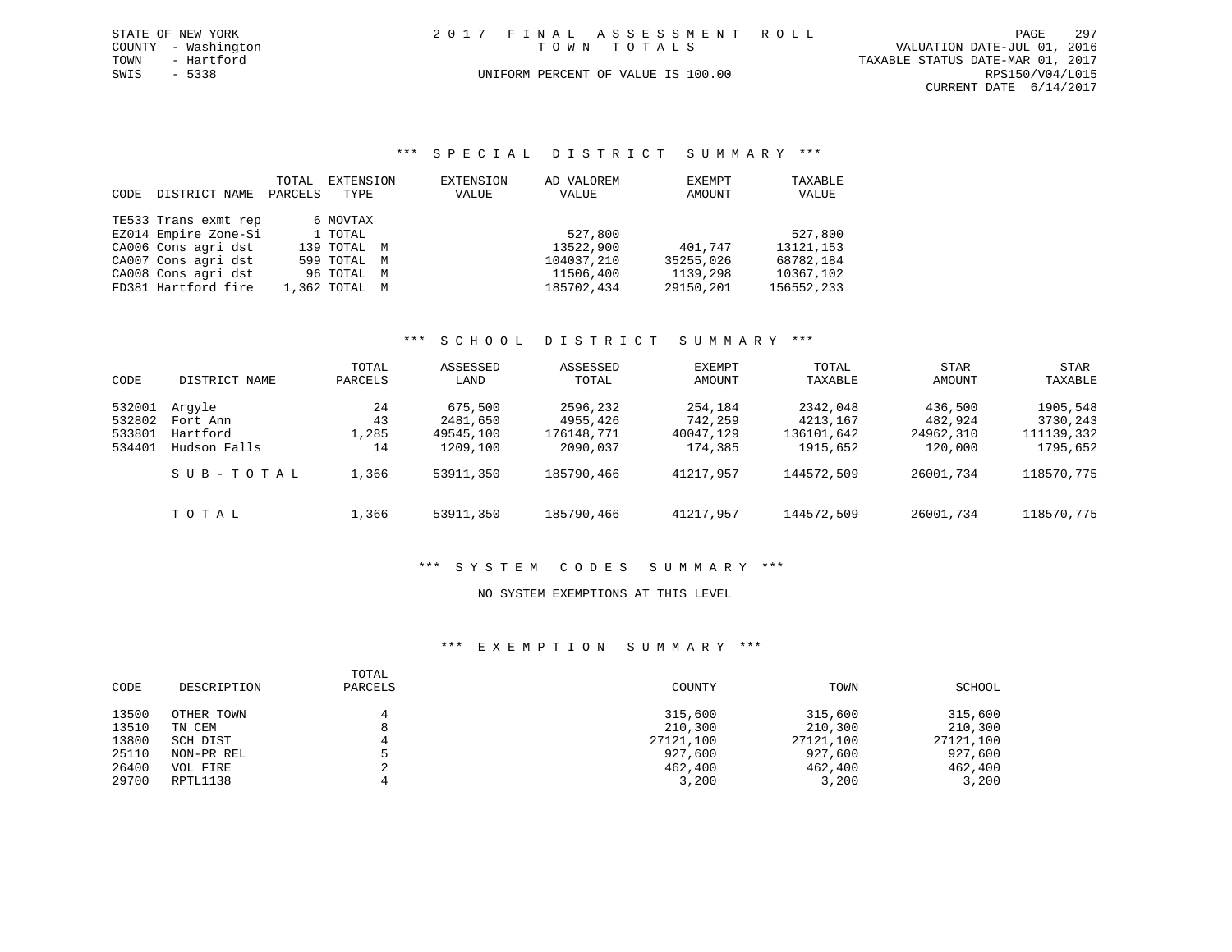| STATE OF NEW YORK   |  | 2017 FINAL ASSESSMENT ROLL         |                                  | PAGE                   | 297 |
|---------------------|--|------------------------------------|----------------------------------|------------------------|-----|
| COUNTY - Washington |  | TOWN TOTALS                        | VALUATION DATE-JUL 01, 2016      |                        |     |
| TOWN<br>- Hartford  |  |                                    | TAXABLE STATUS DATE-MAR 01, 2017 |                        |     |
| SWIS<br>- 5338      |  | UNIFORM PERCENT OF VALUE IS 100.00 |                                  | RPS150/V04/L015        |     |
|                     |  |                                    |                                  | CURRENT DATE 6/14/2017 |     |

### \*\*\* S P E C I A L D I S T R I C T S U M M A R Y \*\*\*

| CODE | DISTRICT NAME        | TOTAL<br>PARCELS | EXTENSION<br>TYPE | EXTENSION<br>VALUE | AD VALOREM<br>VALUE | EXEMPT<br>AMOUNT | TAXABLE<br>VALUE |
|------|----------------------|------------------|-------------------|--------------------|---------------------|------------------|------------------|
|      | TE533 Trans exmt rep |                  | 6 MOVTAX          |                    |                     |                  |                  |
|      | EZ014 Empire Zone-Si |                  | 1 TOTAL           |                    | 527,800             |                  | 527,800          |
|      | CA006 Cons agri dst  |                  | 139 TOTAL M       |                    | 13522,900           | 401,747          | 13121, 153       |
|      | CA007 Cons agri dst  |                  | 599 TOTAL M       |                    | 104037,210          | 35255,026        | 68782,184        |
|      | CA008 Cons agri dst  |                  | 96 TOTAL M        |                    | 11506,400           | 1139,298         | 10367,102        |
|      | FD381 Hartford fire  |                  | 1,362 TOTAL M     |                    | 185702,434          | 29150,201        | 156552,233       |

### \*\*\* S C H O O L D I S T R I C T S U M M A R Y \*\*\*

| CODE             | DISTRICT NAME        | TOTAL<br>PARCELS | ASSESSED<br>LAND      | ASSESSED<br>TOTAL      | EXEMPT<br>AMOUNT     | TOTAL<br>TAXABLE       | STAR<br>AMOUNT       | STAR<br>TAXABLE        |
|------------------|----------------------|------------------|-----------------------|------------------------|----------------------|------------------------|----------------------|------------------------|
| 532001           | Arqyle               | 24               | 675,500               | 2596,232               | 254,184              | 2342,048               | 436,500              | 1905,548               |
| 532802<br>533801 | Fort Ann<br>Hartford | 43<br>1,285      | 2481,650<br>49545,100 | 4955,426<br>176148,771 | 742,259<br>40047,129 | 4213,167<br>136101,642 | 482,924<br>24962,310 | 3730,243<br>111139,332 |
| 534401           | Hudson Falls         | 14               | 1209,100              | 2090,037               | 174,385              | 1915,652               | 120,000              | 1795,652               |
|                  | SUB-TOTAL            | 1,366            | 53911,350             | 185790,466             | 41217,957            | 144572,509             | 26001,734            | 118570,775             |
|                  | TOTAL                | 1,366            | 53911,350             | 185790,466             | 41217,957            | 144572,509             | 26001,734            | 118570,775             |

# \*\*\* S Y S T E M C O D E S S U M M A R Y \*\*\*

### NO SYSTEM EXEMPTIONS AT THIS LEVEL

| CODE  | DESCRIPTION | TOTAL<br>PARCELS | COUNTY    | TOWN      | SCHOOL    |
|-------|-------------|------------------|-----------|-----------|-----------|
| 13500 | OTHER TOWN  |                  | 315,600   | 315,600   | 315,600   |
| 13510 | TN CEM      | 8                | 210,300   | 210,300   | 210,300   |
| 13800 | SCH DIST    |                  | 27121,100 | 27121,100 | 27121,100 |
| 25110 | NON-PR REL  |                  | 927,600   | 927,600   | 927,600   |
| 26400 | VOL FIRE    |                  | 462,400   | 462,400   | 462,400   |
| 29700 | RPTL1138    |                  | 3,200     | 3,200     | 3,200     |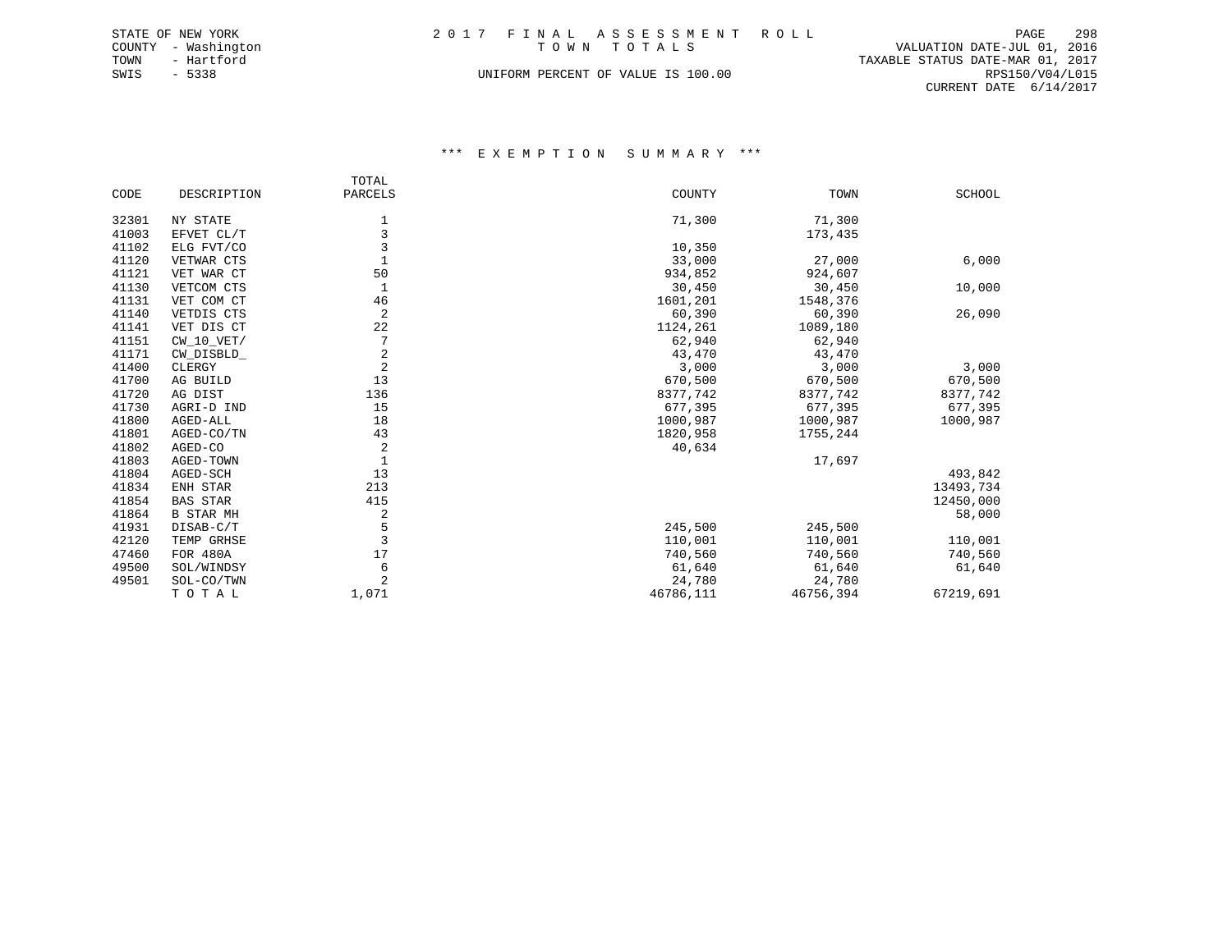| STATE OF NEW YORK   | 2017 FINAL ASSESSMENT ROLL         | 298<br>PAGE                      |
|---------------------|------------------------------------|----------------------------------|
| COUNTY - Washington | TOWN TOTALS                        | VALUATION DATE-JUL 01, 2016      |
| TOWN<br>- Hartford  |                                    | TAXABLE STATUS DATE-MAR 01, 2017 |
| SWIS<br>- 5338      | UNIFORM PERCENT OF VALUE IS 100.00 | RPS150/V04/L015                  |
|                     |                                    | CURRENT DATE 6/14/2017           |

|       |                  | TOTAL          |           |           |               |
|-------|------------------|----------------|-----------|-----------|---------------|
| CODE  | DESCRIPTION      | PARCELS        | COUNTY    | TOWN      | <b>SCHOOL</b> |
| 32301 | NY STATE         | 1              | 71,300    | 71,300    |               |
| 41003 | EFVET CL/T       | 3              |           | 173,435   |               |
| 41102 | ELG FVT/CO       | 3              | 10,350    |           |               |
| 41120 | VETWAR CTS       |                | 33,000    | 27,000    | 6,000         |
| 41121 | VET WAR CT       | 50             | 934,852   | 924,607   |               |
| 41130 | VETCOM CTS       | 1              | 30,450    | 30,450    | 10,000        |
| 41131 | VET COM CT       | 46             | 1601,201  | 1548,376  |               |
| 41140 | VETDIS CTS       | 2              | 60,390    | 60,390    | 26,090        |
| 41141 | VET DIS CT       | 22             | 1124,261  | 1089,180  |               |
| 41151 | $CW_10_VET/$     | 7              | 62,940    | 62,940    |               |
| 41171 | CW_DISBLD_       | 2              | 43,470    | 43,470    |               |
| 41400 | CLERGY           | $\overline{2}$ | 3,000     | 3,000     | 3,000         |
| 41700 | AG BUILD         | 13             | 670,500   | 670,500   | 670,500       |
| 41720 | AG DIST          | 136            | 8377,742  | 8377,742  | 8377,742      |
| 41730 | AGRI-D IND       | 15             | 677,395   | 677,395   | 677,395       |
| 41800 | AGED-ALL         | 18             | 1000,987  | 1000,987  | 1000,987      |
| 41801 | AGED-CO/TN       | 43             | 1820,958  | 1755,244  |               |
| 41802 | AGED-CO          | $\overline{2}$ | 40,634    |           |               |
| 41803 | AGED-TOWN        | $\mathbf{1}$   |           | 17,697    |               |
| 41804 | AGED-SCH         | 13             |           |           | 493,842       |
| 41834 | ENH STAR         | 213            |           |           | 13493,734     |
| 41854 | <b>BAS STAR</b>  | 415            |           |           | 12450,000     |
| 41864 | <b>B STAR MH</b> | 2              |           |           | 58,000        |
| 41931 | DISAB-C/T        | 5              | 245,500   | 245,500   |               |
| 42120 | TEMP GRHSE       | $\overline{3}$ | 110,001   | 110,001   | 110,001       |
| 47460 | FOR 480A         | 17             | 740,560   | 740,560   | 740,560       |
| 49500 | SOL/WINDSY       | 6              | 61,640    | 61,640    | 61,640        |
| 49501 | SOL-CO/TWN       | $\overline{2}$ | 24,780    | 24,780    |               |
|       | TOTAL            | 1,071          | 46786,111 | 46756,394 | 67219,691     |